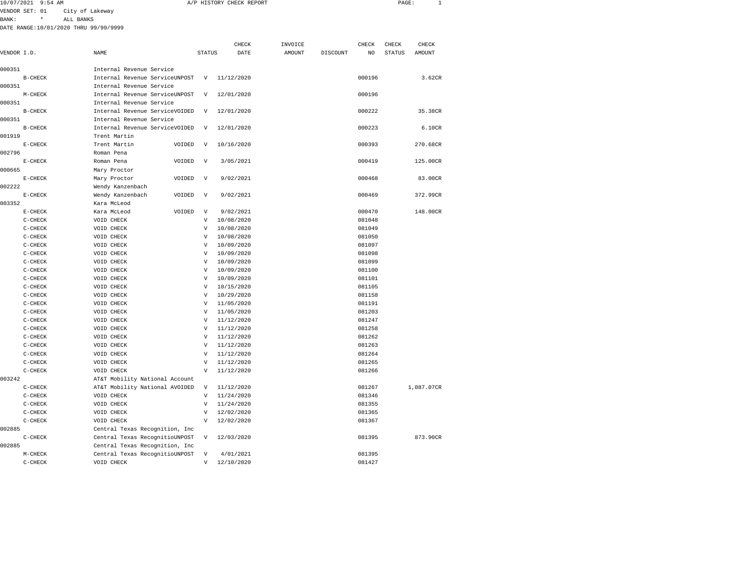| 10/07/2021             | 9:54<br>AM |                            | HISTORY CHECK REPORT | PAGE |  |
|------------------------|------------|----------------------------|----------------------|------|--|
| <b>VENDOD CET . 01</b> |            | $A + H$<br>$L = 5$<br>$-+$ |                      |      |  |

BANK: \* ALL BANKS

|             |           |                                |                           | CHECK      | INVOICE       |          |                         | CHECK         | CHECK      |
|-------------|-----------|--------------------------------|---------------------------|------------|---------------|----------|-------------------------|---------------|------------|
| VENDOR I.D. |           | NAME                           | <b>STATUS</b>             | DATE       | <b>AMOUNT</b> | DISCOUNT | CHECK<br>N <sub>O</sub> | <b>STATUS</b> | AMOUNT     |
|             |           |                                |                           |            |               |          |                         |               |            |
| 000351      |           | Internal Revenue Service       |                           |            |               |          |                         |               |            |
|             | $B-CHECK$ | Internal Revenue ServiceUNPOST | V                         | 11/12/2020 |               |          | 000196                  |               | 3.62CR     |
| 000351      |           | Internal Revenue Service       |                           |            |               |          |                         |               |            |
|             | $M-CHECK$ | Internal Revenue ServiceUNPOST | V                         | 12/01/2020 |               |          | 000196                  |               |            |
| 000351      |           | Internal Revenue Service       |                           |            |               |          |                         |               |            |
|             | $B-CHECK$ | Internal Revenue ServiceVOIDED | V                         | 12/01/2020 |               |          | 000222                  |               | 35.38CR    |
| 000351      |           | Internal Revenue Service       |                           |            |               |          |                         |               |            |
|             | $B-CHECK$ | Internal Revenue ServiceVOIDED | $\boldsymbol{\mathrm{V}}$ | 12/01/2020 |               |          | 000223                  |               | 6.10CR     |
| 001919      |           | Trent Martin                   |                           |            |               |          |                         |               |            |
|             | $E-CHECK$ | Trent Martin<br>VOIDED         | V                         | 10/16/2020 |               |          | 000393                  |               | 270.68CR   |
| 002796      |           | Roman Pena                     |                           |            |               |          |                         |               |            |
|             | $E-CHECK$ | Roman Pena<br>VOIDED           | V                         | 3/05/2021  |               |          | 000419                  |               | 125.00CR   |
| 000665      |           | Mary Proctor                   |                           |            |               |          |                         |               |            |
|             | $E-CHECK$ | Mary Proctor<br>VOIDED         | $\boldsymbol{\mathrm{V}}$ | 9/02/2021  |               |          | 000468                  |               | 83.00CR    |
| 002222      |           | Wendy Kanzenbach               |                           |            |               |          |                         |               |            |
|             | $E-CHECK$ | Wendy Kanzenbach<br>VOIDED     | $\boldsymbol{\mathrm{V}}$ | 9/02/2021  |               |          | 000469                  |               | 372.99CR   |
| 003352      |           | Kara McLeod                    |                           |            |               |          |                         |               |            |
|             | $E-CHECK$ | VOIDED<br>Kara McLeod          | V                         | 9/02/2021  |               |          | 000470                  |               | 148.00CR   |
|             | $C-CHECK$ | VOID CHECK                     | V                         | 10/08/2020 |               |          | 081048                  |               |            |
|             | $C-CHECK$ | VOID CHECK                     | $\overline{V}$            | 10/08/2020 |               |          | 081049                  |               |            |
|             | $C-CHECK$ | VOID CHECK                     | V                         | 10/08/2020 |               |          | 081050                  |               |            |
|             | $C-CHECK$ | VOID CHECK                     | V                         | 10/09/2020 |               |          | 081097                  |               |            |
|             | $C-CHECK$ | VOID CHECK                     | V                         | 10/09/2020 |               |          | 081098                  |               |            |
|             | $C-CHECK$ | VOID CHECK                     | $\boldsymbol{\mathrm{V}}$ | 10/09/2020 |               |          | 081099                  |               |            |
|             | $C-CHECK$ | VOID CHECK                     | $\overline{V}$            | 10/09/2020 |               |          | 081100                  |               |            |
|             | $C-CHECK$ | VOID CHECK                     | V                         | 10/09/2020 |               |          | 081101                  |               |            |
|             | $C-CHECK$ | VOID CHECK                     | $\overline{V}$            | 10/15/2020 |               |          | 081105                  |               |            |
|             | $C-CHECK$ | VOID CHECK                     | V                         | 10/29/2020 |               |          | 081158                  |               |            |
|             | $C-CHECK$ | VOID CHECK                     | V                         | 11/05/2020 |               |          | 081191                  |               |            |
|             | $C-CHECK$ | VOID CHECK                     | V                         | 11/05/2020 |               |          | 081203                  |               |            |
|             | $C-CHECK$ | VOID CHECK                     | $\overline{V}$            | 11/12/2020 |               |          | 081247                  |               |            |
|             | $C-CHECK$ | VOID CHECK                     | V                         | 11/12/2020 |               |          | 081258                  |               |            |
|             | $C-CHECK$ | VOID CHECK                     | V                         | 11/12/2020 |               |          | 081262                  |               |            |
|             | $C-CHECK$ | VOID CHECK                     | v                         | 11/12/2020 |               |          | 081263                  |               |            |
|             | C-CHECK   | VOID CHECK                     | V                         | 11/12/2020 |               |          | 081264                  |               |            |
|             | $C-CHECK$ | VOID CHECK                     | $\overline{V}$            | 11/12/2020 |               |          | 081265                  |               |            |
|             | $C-CHECK$ | VOID CHECK                     | V                         | 11/12/2020 |               |          | 081266                  |               |            |
| 003242      |           | AT&T Mobility National Account |                           |            |               |          |                         |               |            |
|             | $C-CHECK$ | AT&T Mobility National AVOIDED | V                         | 11/12/2020 |               |          | 081267                  |               | 1,087.07CR |
|             | $C-CHECK$ | VOID CHECK                     | V                         | 11/24/2020 |               |          | 081346                  |               |            |
|             | $C-CHECK$ | VOID CHECK                     | $\overline{V}$            | 11/24/2020 |               |          | 081355                  |               |            |
|             | $C-CHECK$ | VOID CHECK                     | V                         | 12/02/2020 |               |          | 081365                  |               |            |
|             | $C-CHECK$ | VOID CHECK                     | $\boldsymbol{\mathrm{V}}$ | 12/02/2020 |               |          | 081367                  |               |            |
| 002885      |           | Central Texas Recognition, Inc |                           |            |               |          |                         |               |            |
|             | $C-CHECK$ | Central Texas RecognitioUNPOST | V                         | 12/03/2020 |               |          | 081395                  |               | 873.90CR   |
| 002885      |           | Central Texas Recognition, Inc |                           |            |               |          |                         |               |            |
|             | $M-CHECK$ | Central Texas RecognitioUNPOST | $\boldsymbol{\mathrm{V}}$ | 4/01/2021  |               |          | 081395                  |               |            |
|             | C-CHECK   | VOID CHECK                     | V                         | 12/10/2020 |               |          | 081427                  |               |            |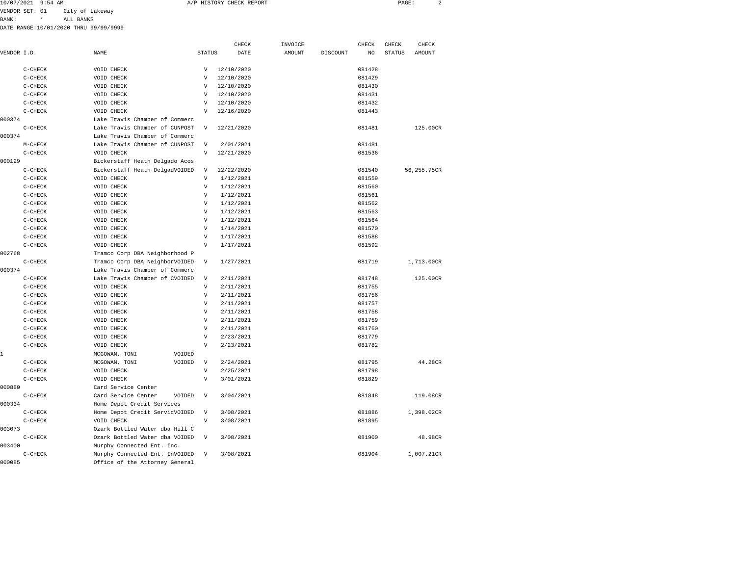| 10/07/2021 9:54 AM | A/P HISTORY CHECK REPORT | PAGE: |  |
|--------------------|--------------------------|-------|--|
|                    |                          |       |  |

VENDOR SET: 01 City of Lakeway BANK: \* ALL BANKS

|             |           |                                |                           | CHECK      | INVOICE       |          | CHECK  | CHECK         | CHECK       |
|-------------|-----------|--------------------------------|---------------------------|------------|---------------|----------|--------|---------------|-------------|
| VENDOR I.D. |           | NAME                           | <b>STATUS</b>             | DATE       | <b>AMOUNT</b> | DISCOUNT | NO     | <b>STATUS</b> | AMOUNT      |
|             | $C-CHECK$ | VOID CHECK                     | V                         | 12/10/2020 |               |          | 081428 |               |             |
|             | $C-CHECK$ | VOID CHECK                     | V                         | 12/10/2020 |               |          | 081429 |               |             |
|             | $C-CHECK$ | VOID CHECK                     | V                         | 12/10/2020 |               |          | 081430 |               |             |
|             | $C-CHECK$ | VOID CHECK                     | $\overline{V}$            | 12/10/2020 |               |          | 081431 |               |             |
|             | $C-CHECK$ | VOID CHECK                     | V                         | 12/10/2020 |               |          | 081432 |               |             |
|             | $C-CHECK$ | VOID CHECK                     | $\boldsymbol{\mathrm{V}}$ | 12/16/2020 |               |          | 081443 |               |             |
| 000374      |           | Lake Travis Chamber of Commerc |                           |            |               |          |        |               |             |
|             | $C-CHECK$ | Lake Travis Chamber of CUNPOST | V                         | 12/21/2020 |               |          | 081481 |               | 125.00CR    |
| 000374      |           | Lake Travis Chamber of Commerc |                           |            |               |          |        |               |             |
|             |           | Lake Travis Chamber of CUNPOST | $\overline{V}$            |            |               |          | 081481 |               |             |
|             | $M-CHECK$ |                                | $\overline{V}$            | 2/01/2021  |               |          | 081536 |               |             |
| 000129      | $C-CHECK$ | VOID CHECK                     |                           | 12/21/2020 |               |          |        |               |             |
|             |           | Bickerstaff Heath Delgado Acos |                           |            |               |          |        |               |             |
|             | $C-CHECK$ | Bickerstaff Heath DelgadVOIDED | $\mathbf v$               | 12/22/2020 |               |          | 081540 |               | 56,255.75CR |
|             | $C-CHECK$ | VOID CHECK                     | V                         | 1/12/2021  |               |          | 081559 |               |             |
|             | C-CHECK   | VOID CHECK                     | $\boldsymbol{\mathrm{V}}$ | 1/12/2021  |               |          | 081560 |               |             |
|             | $C-CHECK$ | VOID CHECK                     | $\overline{V}$            | 1/12/2021  |               |          | 081561 |               |             |
|             | $C-CHECK$ | VOID CHECK                     | $\overline{V}$            | 1/12/2021  |               |          | 081562 |               |             |
|             | $C-CHECK$ | VOID CHECK                     | $\overline{V}$            | 1/12/2021  |               |          | 081563 |               |             |
|             | $C-CHECK$ | VOID CHECK                     | $\overline{V}$            | 1/12/2021  |               |          | 081564 |               |             |
|             | $C-CHECK$ | VOID CHECK                     | $\boldsymbol{\mathrm{V}}$ | 1/14/2021  |               |          | 081570 |               |             |
|             | $C-CHECK$ | VOID CHECK                     | V                         | 1/17/2021  |               |          | 081588 |               |             |
|             | $C-CHECK$ | VOID CHECK                     | $\boldsymbol{\mathrm{V}}$ | 1/17/2021  |               |          | 081592 |               |             |
| 002768      |           | Tramco Corp DBA Neighborhood P |                           |            |               |          |        |               |             |
|             | $C-CHECK$ | Tramco Corp DBA NeighborVOIDED | $\boldsymbol{\mathrm{V}}$ | 1/27/2021  |               |          | 081719 |               | 1,713.00CR  |
| 000374      |           | Lake Travis Chamber of Commerc |                           |            |               |          |        |               |             |
|             | $C-CHECK$ | Lake Travis Chamber of CVOIDED | $\overline{V}$            | 2/11/2021  |               |          | 081748 |               | 125.00CR    |
|             | $C-CHECK$ | VOID CHECK                     | $\boldsymbol{\mathrm{V}}$ | 2/11/2021  |               |          | 081755 |               |             |
|             | $C-CHECK$ | VOID CHECK                     | $\overline{V}$            | 2/11/2021  |               |          | 081756 |               |             |
|             | $C-CHECK$ | VOID CHECK                     | $\boldsymbol{\mathrm{V}}$ | 2/11/2021  |               |          | 081757 |               |             |
|             | $C-CHECK$ | VOID CHECK                     | $\overline{V}$            | 2/11/2021  |               |          | 081758 |               |             |
|             | $C-CHECK$ | VOID CHECK                     | V                         | 2/11/2021  |               |          | 081759 |               |             |
|             | $C-CHECK$ | VOID CHECK                     | $\overline{V}$            | 2/11/2021  |               |          | 081760 |               |             |
|             | $C-CHECK$ | VOID CHECK                     | V                         | 2/23/2021  |               |          | 081779 |               |             |
|             | $C-CHECK$ | VOID CHECK                     | $\boldsymbol{\mathrm{V}}$ | 2/23/2021  |               |          | 081782 |               |             |
| 1           |           | MCGOWAN, TONI<br>VOIDED        |                           |            |               |          |        |               |             |
|             | $C-CHECK$ | MCGOWAN, TONI<br>VOIDED        | $\boldsymbol{\mathrm{V}}$ | 2/24/2021  |               |          | 081795 |               | 44.28CR     |
|             | $C-CHECK$ | VOID CHECK                     | $\boldsymbol{\mathrm{V}}$ | 2/25/2021  |               |          | 081798 |               |             |
|             | $C-CHECK$ | VOID CHECK                     | $\mathbf v$               | 3/01/2021  |               |          | 081829 |               |             |
| 000880      |           | Card Service Center            |                           |            |               |          |        |               |             |
|             | $C-CHECK$ | Card Service Center<br>VOIDED  | $\boldsymbol{\mathrm{V}}$ | 3/04/2021  |               |          | 081848 |               | 119.08CR    |
| 000334      |           | Home Depot Credit Services     |                           |            |               |          |        |               |             |
|             | $C-CHECK$ | Home Depot Credit ServicVOIDED | V                         | 3/08/2021  |               |          | 081886 |               | 1,398.02CR  |
|             | $C-CHECK$ | VOID CHECK                     | $\boldsymbol{\mathrm{V}}$ | 3/08/2021  |               |          | 081895 |               |             |
| 003073      |           | Ozark Bottled Water dba Hill C |                           |            |               |          |        |               |             |
|             | $C-CHECK$ | Ozark Bottled Water dba VOIDED | $\overline{V}$            | 3/08/2021  |               |          | 081900 |               | 48.98CR     |
| 003400      |           | Murphy Connected Ent. Inc.     |                           |            |               |          |        |               |             |
|             | $C-CHECK$ | Murphy Connected Ent. InVOIDED | $\mathbf v$               | 3/08/2021  |               |          | 081904 |               | 1,007.21CR  |
| 000085      |           | Office of the Attorney General |                           |            |               |          |        |               |             |
|             |           |                                |                           |            |               |          |        |               |             |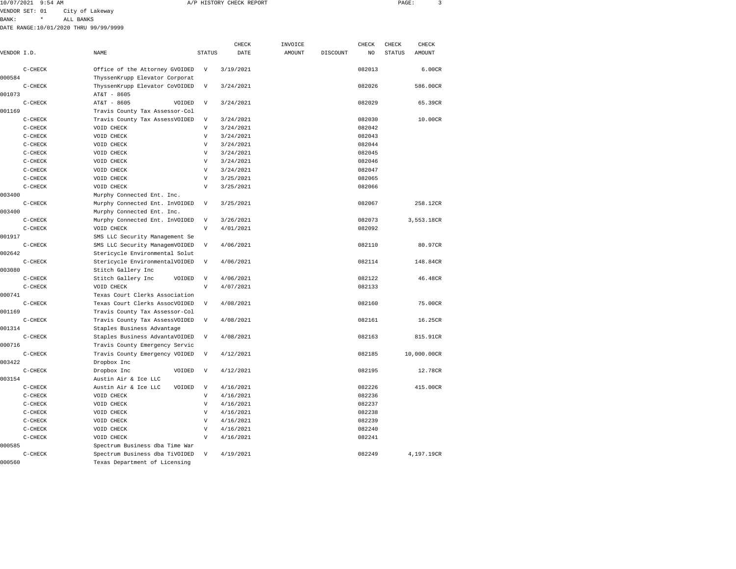| 10/07/2021 | $9:54$ AM | CHECK REPORT<br>HISTORY<br>$H$ . | PAGE |  |
|------------|-----------|----------------------------------|------|--|
|            |           |                                  |      |  |

BANK: \* ALL BANKS

|             |           |                                |                           | CHECK     | INVOICE |          | CHECK  | CHECK         | CHECK       |
|-------------|-----------|--------------------------------|---------------------------|-----------|---------|----------|--------|---------------|-------------|
| VENDOR I.D. |           | NAME                           | <b>STATUS</b>             | DATE      | AMOUNT  | DISCOUNT | NO     | <b>STATUS</b> | AMOUNT      |
|             | $C-CHECK$ | Office of the Attorney GVOIDED | $\mathbf v$               | 3/19/2021 |         |          | 082013 |               | 6.00CR      |
| 000584      |           | ThyssenKrupp Elevator Corporat |                           |           |         |          |        |               |             |
|             | C-CHECK   | ThyssenKrupp Elevator CoVOIDED | $\mathbf v$               | 3/24/2021 |         |          | 082026 |               | 586.00CR    |
| 001073      |           | AT&T - 8605                    |                           |           |         |          |        |               |             |
|             | C-CHECK   | AT&T - 8605<br>VOIDED          | $\boldsymbol{\mathrm{V}}$ | 3/24/2021 |         |          | 082029 |               | 65.39CR     |
| 001169      |           | Travis County Tax Assessor-Col |                           |           |         |          |        |               |             |
|             | C-CHECK   | Travis County Tax AssessVOIDED | $\boldsymbol{\mathrm{V}}$ | 3/24/2021 |         |          | 082030 |               | 10.00CR     |
|             | C-CHECK   | VOID CHECK                     | $\mathbf{V}$              | 3/24/2021 |         |          | 082042 |               |             |
|             | $C-CHECK$ | VOID CHECK                     | $\mathbf{V}$              | 3/24/2021 |         |          | 082043 |               |             |
|             | $C-CHECK$ | VOID CHECK                     | $\overline{V}$            | 3/24/2021 |         |          | 082044 |               |             |
|             | $C-CHECK$ | VOID CHECK                     | $\mathbf{V}$              | 3/24/2021 |         |          | 082045 |               |             |
|             | $C-CHECK$ | VOID CHECK                     | V                         | 3/24/2021 |         |          | 082046 |               |             |
|             | $C-CHECK$ | VOID CHECK                     | V                         | 3/24/2021 |         |          | 082047 |               |             |
|             | $C-CHECK$ | VOID CHECK                     | $\overline{V}$            | 3/25/2021 |         |          | 082065 |               |             |
|             | $C-CHECK$ | VOID CHECK                     | V                         | 3/25/2021 |         |          | 082066 |               |             |
| 003400      |           | Murphy Connected Ent. Inc.     |                           |           |         |          |        |               |             |
|             | $C-CHECK$ | Murphy Connected Ent. InVOIDED | $\mathbf{V}$              | 3/25/2021 |         |          | 082067 |               | 258.12CR    |
| 003400      |           | Murphy Connected Ent. Inc.     |                           |           |         |          |        |               |             |
|             | $C-CHECK$ | Murphy Connected Ent. InVOIDED | $\mathbf{V}$              | 3/26/2021 |         |          | 082073 |               | 3,553.18CR  |
|             | C-CHECK   | VOID CHECK                     | $\boldsymbol{\mathrm{V}}$ | 4/01/2021 |         |          | 082092 |               |             |
| 001917      |           | SMS LLC Security Management Se |                           |           |         |          |        |               |             |
|             | $C-CHECK$ | SMS LLC Security ManagemVOIDED | $\boldsymbol{\mathrm{V}}$ | 4/06/2021 |         |          | 082110 |               | 80.97CR     |
| 002642      |           | Stericycle Environmental Solut |                           |           |         |          |        |               |             |
|             | $C-CHECK$ | Stericycle EnvironmentalVOIDED | $\mathbf{V}$              | 4/06/2021 |         |          | 082114 |               | 148.84CR    |
| 003080      |           | Stitch Gallery Inc             |                           |           |         |          |        |               |             |
|             | C-CHECK   | Stitch Gallery Inc<br>VOIDED   | V                         | 4/06/2021 |         |          | 082122 |               | 46.48CR     |
|             | C-CHECK   | VOID CHECK                     | $\boldsymbol{\mathrm{V}}$ | 4/07/2021 |         |          | 082133 |               |             |
| 000741      |           | Texas Court Clerks Association |                           |           |         |          |        |               |             |
|             | $C-CHECK$ | Texas Court Clerks AssocVOIDED | $\mathbf{V}$              | 4/08/2021 |         |          | 082160 |               | 75.00CR     |
| 001169      |           | Travis County Tax Assessor-Col |                           |           |         |          |        |               |             |
|             | C-CHECK   | Travis County Tax AssessVOIDED | $\overline{V}$            | 4/08/2021 |         |          | 082161 |               | 16.25CR     |
| 001314      |           | Staples Business Advantage     |                           |           |         |          |        |               |             |
|             | $C-CHECK$ | Staples Business AdvantaVOIDED | $\boldsymbol{\mathrm{V}}$ | 4/08/2021 |         |          | 082163 |               | 815.91CR    |
| 000716      |           | Travis County Emergency Servic |                           |           |         |          |        |               |             |
|             | $C-CHECK$ | Travis County Emergency VOIDED | $\boldsymbol{\mathrm{V}}$ | 4/12/2021 |         |          | 082185 |               | 10,000.00CR |
| 003422      |           | Dropbox Inc                    |                           |           |         |          |        |               |             |
|             | C-CHECK   | Dropbox Inc<br>VOIDED          | V                         | 4/12/2021 |         |          | 082195 |               | 12.78CR     |
| 003154      |           | Austin Air & Ice LLC           |                           |           |         |          |        |               |             |
|             | C-CHECK   | Austin Air & Ice LLC<br>VOIDED | $\boldsymbol{\mathrm{V}}$ | 4/16/2021 |         |          | 082226 |               | 415.00CR    |
|             | $C-CHECK$ | VOID CHECK                     | $\boldsymbol{\mathrm{V}}$ | 4/16/2021 |         |          | 082236 |               |             |
|             | C-CHECK   | VOID CHECK                     | $\overline{V}$            | 4/16/2021 |         |          | 082237 |               |             |
|             | C-CHECK   | VOID CHECK                     | V                         | 4/16/2021 |         |          | 082238 |               |             |
|             | $C-CHECK$ | VOID CHECK                     | $\overline{V}$            | 4/16/2021 |         |          | 082239 |               |             |
|             | $C-CHECK$ | VOID CHECK                     | $\mathbf{V}$              | 4/16/2021 |         |          | 082240 |               |             |
|             | $C-CHECK$ | VOID CHECK                     | $\mathbf{V}$              | 4/16/2021 |         |          | 082241 |               |             |
| 000585      |           | Spectrum Business dba Time War |                           |           |         |          |        |               |             |
|             | C-CHECK   | Spectrum Business dba TiVOIDED | $\boldsymbol{\mathrm{V}}$ | 4/19/2021 |         |          | 082249 |               | 4,197.19CR  |
| 000560      |           | Texas Department of Licensing  |                           |           |         |          |        |               |             |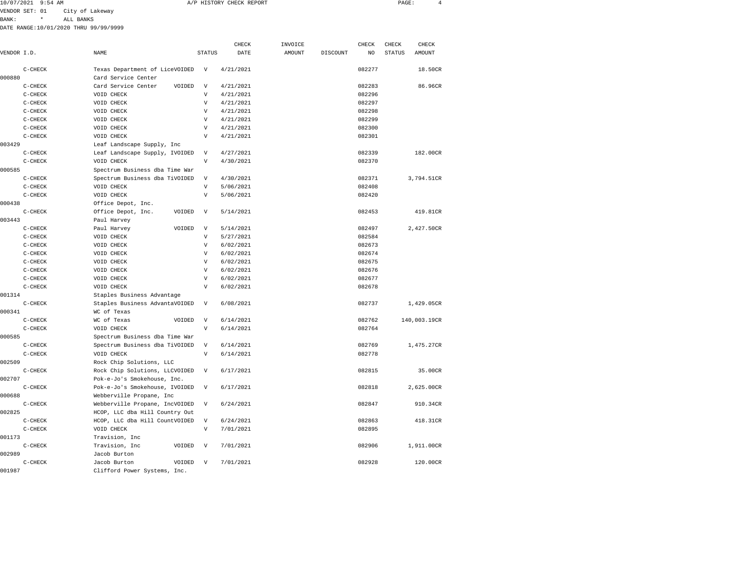| 10/07/2021 | 9:54 AM | <i>IP HISTORY</i><br>CHECK REPORT<br>. | PAGE<br>_____ |  |
|------------|---------|----------------------------------------|---------------|--|
|            |         |                                        |               |  |

BANK: \* ALL BANKS

| VENDOR I.D. |           | NAME                           | <b>STATUS</b>             | CHECK<br>DATE | INVOICE<br><b>AMOUNT</b> | <b>DISCOUNT</b> | CHECK<br>N <sub>O</sub> | CHECK<br><b>STATUS</b> | CHECK<br>AMOUNT |
|-------------|-----------|--------------------------------|---------------------------|---------------|--------------------------|-----------------|-------------------------|------------------------|-----------------|
|             |           |                                |                           |               |                          |                 |                         |                        |                 |
|             | $C-CHECK$ | Texas Department of LiceVOIDED | $\mathbf v$               | 4/21/2021     |                          |                 | 082277                  |                        | 18.50CR         |
| 000880      |           | Card Service Center            |                           |               |                          |                 |                         |                        |                 |
|             | $C-CHECK$ | Card Service Center<br>VOIDED  | $\mathbf v$               | 4/21/2021     |                          |                 | 082283                  |                        | 86.96CR         |
|             | C-CHECK   | VOID CHECK                     | V                         | 4/21/2021     |                          |                 | 082296                  |                        |                 |
|             | $C-CHECK$ | VOID CHECK                     | $\mathbf{V}$              | 4/21/2021     |                          |                 | 082297                  |                        |                 |
|             | $C-CHECK$ | VOID CHECK                     | V                         | 4/21/2021     |                          |                 | 082298                  |                        |                 |
|             | C-CHECK   | VOID CHECK                     | V                         | 4/21/2021     |                          |                 | 082299                  |                        |                 |
|             | $C-CHECK$ | VOID CHECK                     | V                         | 4/21/2021     |                          |                 | 082300                  |                        |                 |
|             | $C-CHECK$ | VOID CHECK                     | $\overline{V}$            | 4/21/2021     |                          |                 | 082301                  |                        |                 |
| 003429      |           | Leaf Landscape Supply, Inc     |                           |               |                          |                 |                         |                        |                 |
|             | $C-CHECK$ | Leaf Landscape Supply, IVOIDED | $\boldsymbol{\mathrm{V}}$ | 4/27/2021     |                          |                 | 082339                  |                        | 182.00CR        |
|             | C-CHECK   | VOID CHECK                     | $\mathbf{V}$              | 4/30/2021     |                          |                 | 082370                  |                        |                 |
| 000585      |           | Spectrum Business dba Time War |                           |               |                          |                 |                         |                        |                 |
|             | $C-CHECK$ | Spectrum Business dba TiVOIDED | $\boldsymbol{\mathrm{V}}$ | 4/30/2021     |                          |                 | 082371                  |                        | 3,794.51CR      |
|             | $C-CHECK$ | VOID CHECK                     | V                         | 5/06/2021     |                          |                 | 082408                  |                        |                 |
|             | $C-CHECK$ | VOID CHECK                     | $\mathbf{V}$              | 5/06/2021     |                          |                 | 082420                  |                        |                 |
| 000438      |           | Office Depot, Inc.             |                           |               |                          |                 |                         |                        |                 |
|             | $C-CHECK$ | Office Depot, Inc.<br>VOIDED   | $\mathbf v$               | 5/14/2021     |                          |                 | 082453                  |                        | 419.81CR        |
| 003443      |           | Paul Harvey                    |                           |               |                          |                 |                         |                        |                 |
|             | $C-CHECK$ | VOIDED<br>Paul Harvey          | $\boldsymbol{\mathrm{V}}$ | 5/14/2021     |                          |                 | 082497                  |                        | 2,427.50CR      |
|             | $C-CHECK$ | VOID CHECK                     | $\mathbf{V}$              | 5/27/2021     |                          |                 | 082584                  |                        |                 |
|             | $C-CHECK$ | VOID CHECK                     | $\mathbf{V}$              | 6/02/2021     |                          |                 | 082673                  |                        |                 |
|             | $C-CHECK$ | VOID CHECK                     | v                         | 6/02/2021     |                          |                 | 082674                  |                        |                 |
|             | $C-CHECK$ | VOID CHECK                     | V                         | 6/02/2021     |                          |                 | 082675                  |                        |                 |
|             | $C-CHECK$ | VOID CHECK                     | V                         | 6/02/2021     |                          |                 | 082676                  |                        |                 |
|             | $C-CHECK$ | VOID CHECK                     | V                         | 6/02/2021     |                          |                 | 082677                  |                        |                 |
|             | $C-CHECK$ | VOID CHECK                     | V                         | 6/02/2021     |                          |                 | 082678                  |                        |                 |
| 001314      |           | Staples Business Advantage     |                           |               |                          |                 |                         |                        |                 |
|             | $C-CHECK$ | Staples Business AdvantaVOIDED | $\mathbf{V}$              | 6/08/2021     |                          |                 | 082737                  |                        | 1,429.05CR      |
| 000341      |           | WC of Texas                    |                           |               |                          |                 |                         |                        |                 |
|             | $C-CHECK$ | VOIDED<br>WC of Texas          | $\mathbf{V}$              | 6/14/2021     |                          |                 | 082762                  |                        | 140,003.19CR    |
|             |           |                                | $\mathbf{V}$              |               |                          |                 | 082764                  |                        |                 |
|             | $C-CHECK$ | VOID CHECK                     |                           | 6/14/2021     |                          |                 |                         |                        |                 |
| 000585      |           | Spectrum Business dba Time War |                           |               |                          |                 |                         |                        |                 |
|             | $C-CHECK$ | Spectrum Business dba TiVOIDED | $\boldsymbol{\mathrm{V}}$ | 6/14/2021     |                          |                 | 082769                  |                        | 1,475.27CR      |
|             | $C-CHECK$ | VOID CHECK                     | $\boldsymbol{\mathrm{V}}$ | 6/14/2021     |                          |                 | 082778                  |                        |                 |
| 002509      |           | Rock Chip Solutions, LLC       |                           |               |                          |                 |                         |                        |                 |
|             | $C-CHECK$ | Rock Chip Solutions, LLCVOIDED | $\mathbf v$               | 6/17/2021     |                          |                 | 082815                  |                        | 35.00CR         |
| 002707      |           | Pok-e-Jo's Smokehouse, Inc.    |                           |               |                          |                 |                         |                        |                 |
|             | $C-CHECK$ | Pok-e-Jo's Smokehouse, IVOIDED | $\mathbf v$               | 6/17/2021     |                          |                 | 082818                  |                        | 2,625.00CR      |
| 000688      |           | Webberville Propane, Inc       |                           |               |                          |                 |                         |                        |                 |
|             | $C-CHECK$ | Webberville Propane, IncVOIDED | $\boldsymbol{\mathrm{V}}$ | 6/24/2021     |                          |                 | 082847                  |                        | 910.34CR        |
| 002825      |           | HCOP, LLC dba Hill Country Out |                           |               |                          |                 |                         |                        |                 |
|             | $C-CHECK$ | HCOP, LLC dba Hill CountVOIDED | $\overline{V}$            | 6/24/2021     |                          |                 | 082863                  |                        | 418.31CR        |
|             | $C-CHECK$ | VOID CHECK                     | $\overline{V}$            | 7/01/2021     |                          |                 | 082895                  |                        |                 |
| 001173      |           | Travision, Inc                 |                           |               |                          |                 |                         |                        |                 |
|             | $C-CHECK$ | Travision, Inc<br>VOIDED       | $\boldsymbol{\mathrm{V}}$ | 7/01/2021     |                          |                 | 082906                  |                        | 1,911.00CR      |
| 002989      |           | Jacob Burton                   |                           |               |                          |                 |                         |                        |                 |
|             | $C-CHECK$ | Jacob Burton<br>VOIDED         | $\mathbf v$               | 7/01/2021     |                          |                 | 082928                  |                        | 120.00CR        |
| 001987      |           | Clifford Power Systems, Inc.   |                           |               |                          |                 |                         |                        |                 |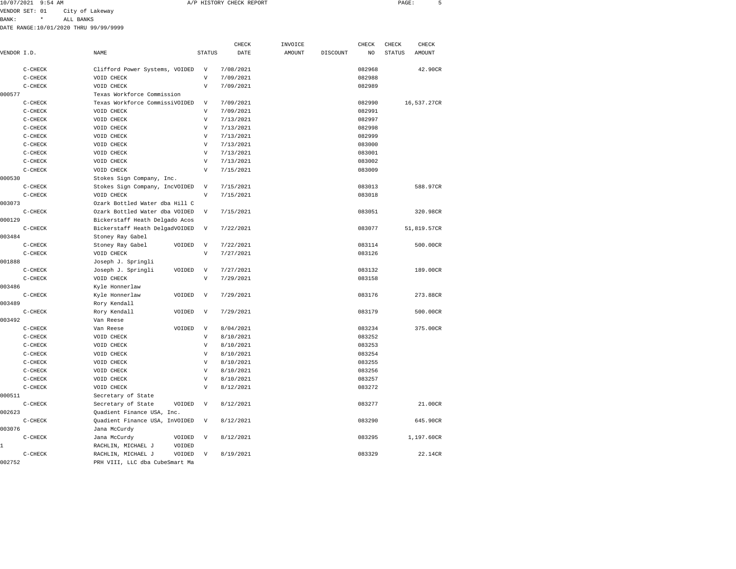| 10/07/2021 9:54 AM | A/P HISTORY CHECK REPORT | PAGE |  |
|--------------------|--------------------------|------|--|
|                    |                          |      |  |

BANK: \* ALL BANKS

|             |           |                                |                           | CHECK     | INVOICE |          | CHECK  | CHECK         | CHECK       |
|-------------|-----------|--------------------------------|---------------------------|-----------|---------|----------|--------|---------------|-------------|
| VENDOR I.D. |           | NAME                           | <b>STATUS</b>             | DATE      | AMOUNT  | DISCOUNT | NO     | <b>STATUS</b> | AMOUNT      |
|             | $C-CHECK$ | Clifford Power Systems, VOIDED | $\boldsymbol{\mathrm{V}}$ | 7/08/2021 |         |          | 082968 |               | 42.90CR     |
|             | $C-CHECK$ | VOID CHECK                     | $\mathbf V$               | 7/09/2021 |         |          | 082988 |               |             |
|             | $C-CHECK$ | VOID CHECK                     | $\mathbf v$               | 7/09/2021 |         |          | 082989 |               |             |
| 000577      |           | Texas Workforce Commission     |                           |           |         |          |        |               |             |
|             | C-CHECK   | Texas Workforce CommissiVOIDED | V                         | 7/09/2021 |         |          | 082990 |               | 16,537.27CR |
|             | C-CHECK   | VOID CHECK                     | V                         | 7/09/2021 |         |          | 082991 |               |             |
|             | C-CHECK   | VOID CHECK                     | V                         | 7/13/2021 |         |          | 082997 |               |             |
|             | $C-CHECK$ | VOID CHECK                     | $\mathbf{V}$              | 7/13/2021 |         |          | 082998 |               |             |
|             | C-CHECK   | VOID CHECK                     | $\mathbf{V}$              | 7/13/2021 |         |          | 082999 |               |             |
|             | $C-CHECK$ | VOID CHECK                     | $\mathbf{V}$              | 7/13/2021 |         |          | 083000 |               |             |
|             | $C-CHECK$ | VOID CHECK                     | V                         | 7/13/2021 |         |          | 083001 |               |             |
|             | $C-CHECK$ | VOID CHECK                     | $\mathbf{V}$              | 7/13/2021 |         |          | 083002 |               |             |
|             | $C-CHECK$ | VOID CHECK                     | V                         | 7/15/2021 |         |          | 083009 |               |             |
| 000530      |           | Stokes Sign Company, Inc.      |                           |           |         |          |        |               |             |
|             | $C-CHECK$ | Stokes Sign Company, IncVOIDED | $\boldsymbol{\mathrm{V}}$ | 7/15/2021 |         |          | 083013 |               | 588.97CR    |
|             | $C-CHECK$ | VOID CHECK                     | $\boldsymbol{\mathrm{V}}$ | 7/15/2021 |         |          | 083018 |               |             |
| 003073      |           | Ozark Bottled Water dba Hill C |                           |           |         |          |        |               |             |
|             | $C-CHECK$ | Ozark Bottled Water dba VOIDED | $\boldsymbol{\mathrm{V}}$ | 7/15/2021 |         |          | 083051 |               | 320.98CR    |
| 000129      |           | Bickerstaff Heath Delgado Acos |                           |           |         |          |        |               |             |
|             | $C-CHECK$ | Bickerstaff Heath DelgadVOIDED | V                         | 7/22/2021 |         |          | 083077 |               | 51,819.57CR |
| 003484      |           | Stoney Ray Gabel               |                           |           |         |          |        |               |             |
|             | $C-CHECK$ | Stoney Ray Gabel<br>VOIDED     | $\boldsymbol{\mathrm{V}}$ | 7/22/2021 |         |          | 083114 |               | 500.00CR    |
|             | C-CHECK   | VOID CHECK                     | $\boldsymbol{\mathrm{V}}$ | 7/27/2021 |         |          | 083126 |               |             |
| 001888      |           | Joseph J. Springli             |                           |           |         |          |        |               |             |
|             | $C-CHECK$ | Joseph J. Springli<br>VOIDED   | $\boldsymbol{\mathrm{V}}$ | 7/27/2021 |         |          | 083132 |               | 189.00CR    |
|             | C-CHECK   | VOID CHECK                     | $\boldsymbol{\mathrm{V}}$ | 7/29/2021 |         |          | 083158 |               |             |
| 003486      |           | Kyle Honnerlaw                 |                           |           |         |          |        |               |             |
|             | $C-CHECK$ | Kyle Honnerlaw<br>VOIDED       | $\mathbf v$               | 7/29/2021 |         |          | 083176 |               | 273.88CR    |
| 003489      |           | Rory Kendall                   |                           |           |         |          |        |               |             |
|             | $C-CHECK$ | Rory Kendall<br>VOIDED         | $\mathbf{V}$              | 7/29/2021 |         |          | 083179 |               | 500.00CR    |
| 003492      |           | Van Reese                      |                           |           |         |          |        |               |             |
|             | $C-CHECK$ | Van Reese<br>VOIDED            | $\mathbf{V}$              | 8/04/2021 |         |          | 083234 |               | 375.00CR    |
|             | $C-CHECK$ | VOID CHECK                     | $\mathbf V$               | 8/10/2021 |         |          | 083252 |               |             |
|             | C-CHECK   | VOID CHECK                     | $\mathbf{V}$              | 8/10/2021 |         |          | 083253 |               |             |
|             | $C-CHECK$ | VOID CHECK                     | $\mathbf{V}$              | 8/10/2021 |         |          | 083254 |               |             |
|             | $C-CHECK$ | VOID CHECK                     | $\mathbf{V}$              | 8/10/2021 |         |          | 083255 |               |             |
|             | $C-CHECK$ | VOID CHECK                     | $\mathbf{V}$              | 8/10/2021 |         |          | 083256 |               |             |
|             | $C-CHECK$ | VOID CHECK                     | V                         | 8/10/2021 |         |          | 083257 |               |             |
|             | C-CHECK   | VOID CHECK                     | $\mathbf{V}$              | 8/12/2021 |         |          | 083272 |               |             |
| 000511      |           | Secretary of State             |                           |           |         |          |        |               |             |
|             | C-CHECK   | Secretary of State<br>VOIDED   | $\boldsymbol{\mathrm{V}}$ | 8/12/2021 |         |          | 083277 |               | 21.00CR     |
| 002623      |           | Quadient Finance USA, Inc.     |                           |           |         |          |        |               |             |
|             | $C-CHECK$ | Quadient Finance USA, InVOIDED | V                         | 8/12/2021 |         |          | 083290 |               | 645.90CR    |
| 003076      |           | Jana McCurdy                   |                           |           |         |          |        |               |             |
|             | $C-CHECK$ | Jana McCurdy<br>VOIDED         | V                         | 8/12/2021 |         |          | 083295 |               | 1,197.60CR  |
| 1           |           | RACHLIN, MICHAEL J<br>VOIDED   |                           |           |         |          |        |               |             |
|             | C-CHECK   | RACHLIN, MICHAEL J<br>VOIDED   | V                         | 8/19/2021 |         |          | 083329 |               | 22.14CR     |
| 002752      |           | PRH VIII, LLC dba CubeSmart Ma |                           |           |         |          |        |               |             |
|             |           |                                |                           |           |         |          |        |               |             |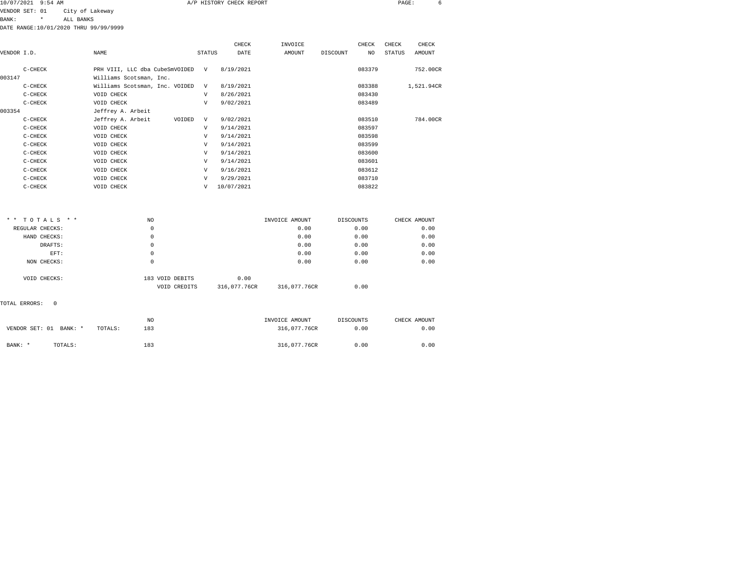| 10/07/2021 | $9:54$ AM | A/P HISTORY CHECK REPORT | PAGE: |  |
|------------|-----------|--------------------------|-------|--|
|            |           |                          |       |  |

BANK: \* ALL BANKS

DATE RANGE:10/01/2020 THRU 99/99/9999

|             |           |                                |        | CHECK      | INVOICE |          | CHECK  | CHECK  | CHECK      |
|-------------|-----------|--------------------------------|--------|------------|---------|----------|--------|--------|------------|
| VENDOR I.D. |           | <b>NAME</b>                    | STATUS | DATE       | AMOUNT  | DISCOUNT | NO     | STATUS | AMOUNT     |
|             | $C-CHECK$ | PRH VIII, LLC dba CubeSmVOIDED | V      | 8/19/2021  |         |          | 083379 |        | 752.00CR   |
| 003147      |           | Williams Scotsman, Inc.        |        |            |         |          |        |        |            |
|             | $C-CHECK$ | Williams Scotsman, Inc. VOIDED | V      | 8/19/2021  |         |          | 083388 |        | 1,521.94CR |
|             | $C-CHECK$ | VOID CHECK                     | V      | 8/26/2021  |         |          | 083430 |        |            |
|             | $C-CHECK$ | VOID CHECK                     | V      | 9/02/2021  |         |          | 083489 |        |            |
| 003354      |           | Jeffrey A. Arbeit              |        |            |         |          |        |        |            |
|             | C-CHECK   | Jeffrey A. Arbeit<br>VOIDED    | V      | 9/02/2021  |         |          | 083510 |        | 784.00CR   |
|             | C-CHECK   | VOID CHECK                     | V      | 9/14/2021  |         |          | 083597 |        |            |
|             | C-CHECK   | VOID CHECK                     | V      | 9/14/2021  |         |          | 083598 |        |            |
|             | $C-CHECK$ | VOID CHECK                     | V      | 9/14/2021  |         |          | 083599 |        |            |
|             | C-CHECK   | VOID CHECK                     | V      | 9/14/2021  |         |          | 083600 |        |            |
|             | $C-CHECK$ | VOID CHECK                     | V      | 9/14/2021  |         |          | 083601 |        |            |
|             | $C-CHECK$ | VOID CHECK                     | V      | 9/16/2021  |         |          | 083612 |        |            |
|             | $C-CHECK$ | VOID CHECK                     | V      | 9/29/2021  |         |          | 083710 |        |            |
|             | C-CHECK   | VOID CHECK                     | V      | 10/07/2021 |         |          | 083822 |        |            |

| ** TOTALS **    | NO. |                                                 | INVOICE AMOUNT       | DISCOUNTS | CHECK AMOUNT |
|-----------------|-----|-------------------------------------------------|----------------------|-----------|--------------|
| REGULAR CHECKS: | 0   |                                                 | 0.00                 | 0.00      | 0.00         |
| HAND CHECKS:    | 0   |                                                 | 0.00                 | 0.00      | 0.00         |
| DRAFTS:         | 0   |                                                 | 0.00                 | 0.00      | 0.00         |
| EFT:            | 0   |                                                 | 0.00                 | 0.00      | 0.00         |
| NON CHECKS:     | 0   |                                                 | 0.00                 | 0.00      | 0.00         |
| VOID CHECKS:    |     | 183 VOID DEBITS<br>316,077.76CR<br>VOID CREDITS | 0.00<br>316,077.76CR | 0.00      |              |
|                 |     |                                                 |                      |           |              |

TOTAL ERRORS: 0

|                |         |         | NO  | INVOICE AMOUNT | DISCOUNTS | CHECK AMOUNT |
|----------------|---------|---------|-----|----------------|-----------|--------------|
| VENDOR SET: 01 | BANK: * | TOTALS: | 183 | 316,077,76CR   | 0.00      | 0.00         |
|                |         |         |     |                |           |              |
| BANK: *        | TOTALS: |         | 183 | 316,077.76CR   | 0.00      | 0.00         |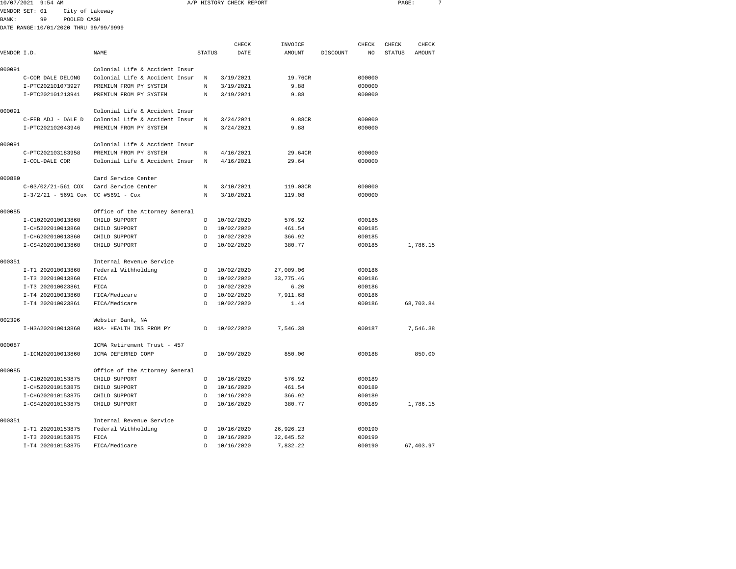| 10/07/2021     | 9:54 AM           |                    |                                       |  |        | A/P HISTORY CHECK REPORT |         |          |        | PAGE:         |        |  |
|----------------|-------------------|--------------------|---------------------------------------|--|--------|--------------------------|---------|----------|--------|---------------|--------|--|
| VENDOR SET: 01 |                   |                    | City of Lakeway                       |  |        |                          |         |          |        |               |        |  |
| <b>BANK:</b>   | 99                | POOLED CASH        |                                       |  |        |                          |         |          |        |               |        |  |
|                |                   |                    | DATE RANGE:10/01/2020 THRU 99/99/9999 |  |        |                          |         |          |        |               |        |  |
|                |                   |                    |                                       |  |        | CHECK                    | INVOICE |          | CHECK  | CHECK         | CHECK  |  |
| VENDOR I.D.    |                   |                    | NAME.                                 |  | STATUS | DATE                     | AMOUNT  | DISCOUNT | NO.    | <b>STATUS</b> | AMOUNT |  |
| 000091         |                   |                    | Colonial Life & Accident Insur        |  |        |                          |         |          |        |               |        |  |
|                | C-COR DALE DELONG |                    | Colonial Life & Accident Insur        |  | N      | 3/19/2021                | 19.76CR |          | 000000 |               |        |  |
|                | I-PTC202101073927 |                    | PREMIUM FROM PY SYSTEM                |  | N      | 3/19/2021                | 9.88    |          | 000000 |               |        |  |
|                | I-PTC202101213941 |                    | PREMIUM FROM PY SYSTEM                |  | N      | 3/19/2021                | 9.88    |          | 000000 |               |        |  |
| 000091         |                   |                    | Colonial Life & Accident Insur        |  |        |                          |         |          |        |               |        |  |
|                |                   | C-FEB ADJ - DALE D | Colonial Life & Accident Insur        |  | N      | 3/24/2021                | 9.88CR  |          | 000000 |               |        |  |
|                | I-PTC202102043946 |                    | PREMIUM FROM PY SYSTEM                |  | N      | 3/24/2021                | 9.88    |          | 000000 |               |        |  |
| 000091         |                   |                    | Colonial Life & Accident Insur        |  |        |                          |         |          |        |               |        |  |

C-PTC202103183958 PREMIUM FROM PY SYSTEM N 4/16/2021 29.64CR 000000

|        | I-COL-DALE COR                       | Colonial Life & Accident Insur | N  | 4/16/2021  | 29.64     | 000000 |           |
|--------|--------------------------------------|--------------------------------|----|------------|-----------|--------|-----------|
| 000880 |                                      | Card Service Center            |    |            |           |        |           |
|        | C-03/02/21-561 COX                   | Card Service Center            | N  | 3/10/2021  | 119.08CR  | 000000 |           |
|        | $I-3/2/21 - 5691$ Cox CC #5691 - Cox |                                | N  | 3/10/2021  | 119.08    | 000000 |           |
| 000085 |                                      | Office of the Attorney General |    |            |           |        |           |
|        | I-C10202010013860                    | CHILD SUPPORT                  | D  | 10/02/2020 | 576.92    | 000185 |           |
|        | I-CH5202010013860                    | CHILD SUPPORT                  | D  | 10/02/2020 | 461.54    | 000185 |           |
|        | I-CH6202010013860                    | CHILD SUPPORT                  | D  | 10/02/2020 | 366.92    | 000185 |           |
|        | I-CS4202010013860                    | CHILD SUPPORT                  | D  | 10/02/2020 | 380.77    | 000185 | 1,786.15  |
| 000351 |                                      | Internal Revenue Service       |    |            |           |        |           |
|        | I-T1 202010013860                    | Federal Withholding            | D  | 10/02/2020 | 27,009.06 | 000186 |           |
|        | I-T3 202010013860                    | FICA                           | D  | 10/02/2020 | 33,775.46 | 000186 |           |
|        | I-T3 202010023861                    | FICA                           | D  | 10/02/2020 | 6.20      | 000186 |           |
|        | I-T4 202010013860                    | FICA/Medicare                  | D. | 10/02/2020 | 7,911.68  | 000186 |           |
|        | I-T4 202010023861                    | FICA/Medicare                  | D  | 10/02/2020 | 1.44      | 000186 | 68,703.84 |
| 002396 |                                      | Webster Bank, NA               |    |            |           |        |           |
|        | I-H3A202010013860                    | H3A- HEALTH INS FROM PY        | D. | 10/02/2020 | 7,546.38  | 000187 | 7,546.38  |
| 000087 |                                      | ICMA Retirement Trust - 457    |    |            |           |        |           |
|        | I-ICM202010013860                    | ICMA DEFERRED COMP             | D  | 10/09/2020 | 850.00    | 000188 | 850.00    |
| 000085 |                                      | Office of the Attorney General |    |            |           |        |           |
|        | I-C10202010153875                    | CHILD SUPPORT                  | D  | 10/16/2020 | 576.92    | 000189 |           |
|        | I-CH5202010153875                    | CHILD SUPPORT                  | D  | 10/16/2020 | 461.54    | 000189 |           |
|        | I-CH6202010153875                    | CHILD SUPPORT                  | D  | 10/16/2020 | 366.92    | 000189 |           |
|        | I-CS4202010153875                    | CHILD SUPPORT                  | D  | 10/16/2020 | 380.77    | 000189 | 1,786.15  |
| 000351 |                                      | Internal Revenue Service       |    |            |           |        |           |
|        | I-T1 202010153875                    | Federal Withholding            | D  | 10/16/2020 | 26,926.23 | 000190 |           |
|        | I-T3 202010153875                    | FICA                           | D  | 10/16/2020 | 32,645.52 | 000190 |           |
|        | I-T4 202010153875                    | FICA/Medicare                  | D  | 10/16/2020 | 7,832.22  | 000190 | 67,403.97 |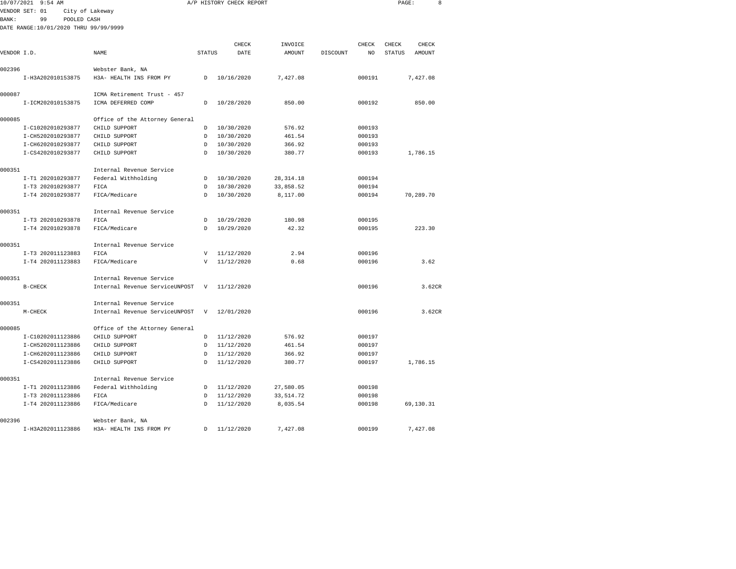|             | 10/07/2021 9:54 AM                    |                                                 |               | A/P HISTORY CHECK REPORT |                   |          |             | PAGE:                  |                 | 8 |
|-------------|---------------------------------------|-------------------------------------------------|---------------|--------------------------|-------------------|----------|-------------|------------------------|-----------------|---|
|             | VENDOR SET: 01                        | City of Lakeway                                 |               |                          |                   |          |             |                        |                 |   |
| BANK :      | 99<br>POOLED CASH                     |                                                 |               |                          |                   |          |             |                        |                 |   |
|             | DATE RANGE:10/01/2020 THRU 99/99/9999 |                                                 |               |                          |                   |          |             |                        |                 |   |
|             |                                       |                                                 |               |                          |                   |          |             |                        |                 |   |
| VENDOR I.D. |                                       | NAME                                            | <b>STATUS</b> | CHECK<br>DATE            | INVOICE<br>AMOUNT | DISCOUNT | CHECK<br>NO | CHECK<br><b>STATUS</b> | CHECK<br>AMOUNT |   |
|             |                                       |                                                 |               |                          |                   |          |             |                        |                 |   |
| 002396      |                                       | Webster Bank, NA                                |               |                          |                   |          |             |                        |                 |   |
|             | I-H3A202010153875                     | H3A- HEALTH INS FROM PY                         | D             | 10/16/2020               | 7,427.08          |          | 000191      |                        | 7,427.08        |   |
|             |                                       |                                                 |               |                          |                   |          |             |                        |                 |   |
| 000087      |                                       | ICMA Retirement Trust - 457                     |               |                          |                   |          |             |                        |                 |   |
|             | I-ICM202010153875                     | ICMA DEFERRED COMP                              | $\mathsf{D}$  | 10/28/2020               | 850.00            |          | 000192      |                        | 850.00          |   |
|             |                                       |                                                 |               |                          |                   |          |             |                        |                 |   |
| 000085      | I-C10202010293877                     | Office of the Attorney General<br>CHILD SUPPORT |               |                          | 576.92            |          | 000193      |                        |                 |   |
|             | I-CH5202010293877                     | CHILD SUPPORT                                   | D<br>D        | 10/30/2020<br>10/30/2020 | 461.54            |          | 000193      |                        |                 |   |
|             | I-CH6202010293877                     | CHILD SUPPORT                                   | D.            | 10/30/2020               | 366.92            |          | 000193      |                        |                 |   |
|             | I-CS4202010293877                     | CHILD SUPPORT                                   | D             | 10/30/2020               | 380.77            |          | 000193      |                        | 1,786.15        |   |
|             |                                       |                                                 |               |                          |                   |          |             |                        |                 |   |
| 000351      |                                       | Internal Revenue Service                        |               |                          |                   |          |             |                        |                 |   |
|             | I-T1 202010293877                     | Federal Withholding                             | D             | 10/30/2020               | 28, 314. 18       |          | 000194      |                        |                 |   |
|             | I-T3 202010293877                     | FICA                                            | D             | 10/30/2020               | 33,858.52         |          | 000194      |                        |                 |   |
|             | I-T4 202010293877                     | FICA/Medicare                                   | D             | 10/30/2020               | 8,117.00          |          | 000194      |                        | 70,289.70       |   |
| 000351      |                                       | Internal Revenue Service                        |               |                          |                   |          |             |                        |                 |   |
|             | I-T3 202010293878                     | FICA                                            | D             | 10/29/2020               | 180.98            |          | 000195      |                        |                 |   |
|             | I-T4 202010293878                     | FICA/Medicare                                   | D             | 10/29/2020               | 42.32             |          | 000195      |                        | 223.30          |   |
|             |                                       |                                                 |               |                          |                   |          |             |                        |                 |   |
| 000351      |                                       | Internal Revenue Service                        |               |                          |                   |          |             |                        |                 |   |
|             | I-T3 202011123883                     | FICA                                            | v             | 11/12/2020               | 2.94              |          | 000196      |                        |                 |   |
|             | I-T4 202011123883                     | FICA/Medicare                                   | V             | 11/12/2020               | 0.68              |          | 000196      |                        | 3.62            |   |
| 000351      |                                       | Internal Revenue Service                        |               |                          |                   |          |             |                        |                 |   |
|             | $B-CHECK$                             | Internal Revenue ServiceUNPOST                  | V             | 11/12/2020               |                   |          | 000196      |                        | 3.62CR          |   |
|             |                                       |                                                 |               |                          |                   |          |             |                        |                 |   |
| 000351      |                                       | Internal Revenue Service                        |               |                          |                   |          |             |                        |                 |   |
|             | $M-CHECK$                             | Internal Revenue ServiceUNPOST                  | V             | 12/01/2020               |                   |          | 000196      |                        | 3.62CR          |   |
|             |                                       |                                                 |               |                          |                   |          |             |                        |                 |   |
| 000085      | I-C10202011123886                     | Office of the Attorney General<br>CHILD SUPPORT | D             | 11/12/2020               | 576.92            |          | 000197      |                        |                 |   |
|             | I-CH5202011123886                     | CHILD SUPPORT                                   | D             | 11/12/2020               | 461.54            |          | 000197      |                        |                 |   |
|             | I-CH6202011123886                     | CHILD SUPPORT                                   | D             | 11/12/2020               | 366.92            |          | 000197      |                        |                 |   |
|             | I-CS4202011123886                     | CHILD SUPPORT                                   | D             | 11/12/2020               | 380.77            |          | 000197      |                        | 1,786.15        |   |
|             |                                       |                                                 |               |                          |                   |          |             |                        |                 |   |
| 000351      |                                       | Internal Revenue Service                        |               |                          |                   |          |             |                        |                 |   |
|             | I-T1 202011123886                     | Federal Withholding                             | D             | 11/12/2020               | 27,580.05         |          | 000198      |                        |                 |   |
|             | I-T3 202011123886                     | FICA                                            | $\mathsf{D}$  | 11/12/2020               | 33, 514.72        |          | 000198      |                        |                 |   |
|             | I-T4 202011123886                     | FICA/Medicare                                   | D             | 11/12/2020               | 8,035.54          |          | 000198      |                        | 69,130.31       |   |

I-H3A202011123886 H3A- HEALTH INS FROM PY D 11/12/2020 7,427.08 000199 7,427.08

002396 Webster Bank, NA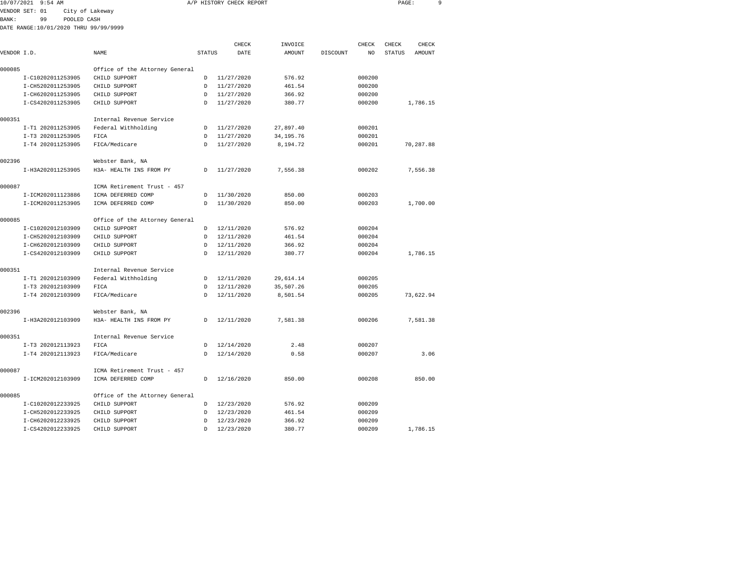| 10/07/2021 9:54 AM |    |                                       | A/P HISTORY CHECK REPORT |  | PAGE: |  |
|--------------------|----|---------------------------------------|--------------------------|--|-------|--|
| VENDOR SET: 01     |    | City of Lakeway                       |                          |  |       |  |
| BANK :             | 99 | POOLED CASH                           |                          |  |       |  |
|                    |    | DATE RANGE:10/01/2020 THRU 99/99/9999 |                          |  |       |  |

|             |                   |                                |               | CHECK      | INVOICE     |          | CHECK  | CHECK         | CHECK         |
|-------------|-------------------|--------------------------------|---------------|------------|-------------|----------|--------|---------------|---------------|
| VENDOR I.D. |                   | NAME                           | <b>STATUS</b> | DATE       | AMOUNT      | DISCOUNT | NO.    | <b>STATUS</b> | <b>AMOUNT</b> |
| 000085      |                   | Office of the Attorney General |               |            |             |          |        |               |               |
|             | I-C10202011253905 | CHILD SUPPORT                  | D             | 11/27/2020 | 576.92      |          | 000200 |               |               |
|             | I-CH5202011253905 | CHILD SUPPORT                  | D             | 11/27/2020 | 461.54      |          | 000200 |               |               |
|             | I-CH6202011253905 | CHILD SUPPORT                  | D             | 11/27/2020 | 366.92      |          | 000200 |               |               |
|             | I-CS4202011253905 | CHILD SUPPORT                  | D             | 11/27/2020 | 380.77      |          | 000200 |               | 1,786.15      |
| 000351      |                   | Internal Revenue Service       |               |            |             |          |        |               |               |
|             | I-T1 202011253905 | Federal Withholding            | D             | 11/27/2020 | 27,897.40   |          | 000201 |               |               |
|             | I-T3 202011253905 | FICA                           | D             | 11/27/2020 | 34, 195. 76 |          | 000201 |               |               |
|             | I-T4 202011253905 | FICA/Medicare                  | $\mathcal{D}$ | 11/27/2020 | 8,194.72    |          | 000201 |               | 70,287.88     |
| 002396      |                   | Webster Bank, NA               |               |            |             |          |        |               |               |
|             | I-H3A202011253905 | H3A- HEALTH INS FROM PY        | D             | 11/27/2020 | 7,556.38    |          | 000202 |               | 7,556.38      |
| 000087      |                   | ICMA Retirement Trust - 457    |               |            |             |          |        |               |               |
|             | I-ICM202011123886 | ICMA DEFERRED COMP             | D             | 11/30/2020 | 850.00      |          | 000203 |               |               |
|             | I-ICM202011253905 | ICMA DEFERRED COMP             | $\mathcal{D}$ | 11/30/2020 | 850.00      |          | 000203 |               | 1,700.00      |
| 000085      |                   | Office of the Attorney General |               |            |             |          |        |               |               |
|             | I-C10202012103909 | CHILD SUPPORT                  | D             | 12/11/2020 | 576.92      |          | 000204 |               |               |
|             | I-CH5202012103909 | CHILD SUPPORT                  | D             | 12/11/2020 | 461.54      |          | 000204 |               |               |
|             | I-CH6202012103909 | CHILD SUPPORT                  | D             | 12/11/2020 | 366.92      |          | 000204 |               |               |
|             | I-CS4202012103909 | CHILD SUPPORT                  | $\mathcal{D}$ | 12/11/2020 | 380.77      |          | 000204 |               | 1,786.15      |
| 000351      |                   | Internal Revenue Service       |               |            |             |          |        |               |               |
|             | I-T1 202012103909 | Federal Withholding            | D             | 12/11/2020 | 29,614.14   |          | 000205 |               |               |
|             | I-T3 202012103909 | FICA                           | D             | 12/11/2020 | 35,507.26   |          | 000205 |               |               |
|             | I-T4 202012103909 | FICA/Medicare                  | D             | 12/11/2020 | 8,501.54    |          | 000205 |               | 73,622.94     |
| 002396      |                   | Webster Bank, NA               |               |            |             |          |        |               |               |
|             | I-H3A202012103909 | H3A- HEALTH INS FROM PY        | D             | 12/11/2020 | 7,581.38    |          | 000206 |               | 7,581.38      |
| 000351      |                   | Internal Revenue Service       |               |            |             |          |        |               |               |
|             | I-T3 202012113923 | FICA                           | <sup>D</sup>  | 12/14/2020 | 2.48        |          | 000207 |               |               |
|             | I-T4 202012113923 | FICA/Medicare                  | D             | 12/14/2020 | 0.58        |          | 000207 |               | 3.06          |
| 000087      |                   | ICMA Retirement Trust - 457    |               |            |             |          |        |               |               |
|             | I-ICM202012103909 | ICMA DEFERRED COMP             | $\mathcal{D}$ | 12/16/2020 | 850.00      |          | 000208 |               | 850.00        |
| 000085      |                   | Office of the Attorney General |               |            |             |          |        |               |               |
|             | I-C10202012233925 | CHILD SUPPORT                  | D             | 12/23/2020 | 576.92      |          | 000209 |               |               |
|             | I-CH5202012233925 | CHILD SUPPORT                  | D             | 12/23/2020 | 461.54      |          | 000209 |               |               |
|             | I-CH6202012233925 | CHILD SUPPORT                  | D             | 12/23/2020 | 366.92      |          | 000209 |               |               |
|             | I-CS4202012233925 | CHILD SUPPORT                  | $\mathcal{D}$ | 12/23/2020 | 380.77      |          | 000209 |               | 1,786.15      |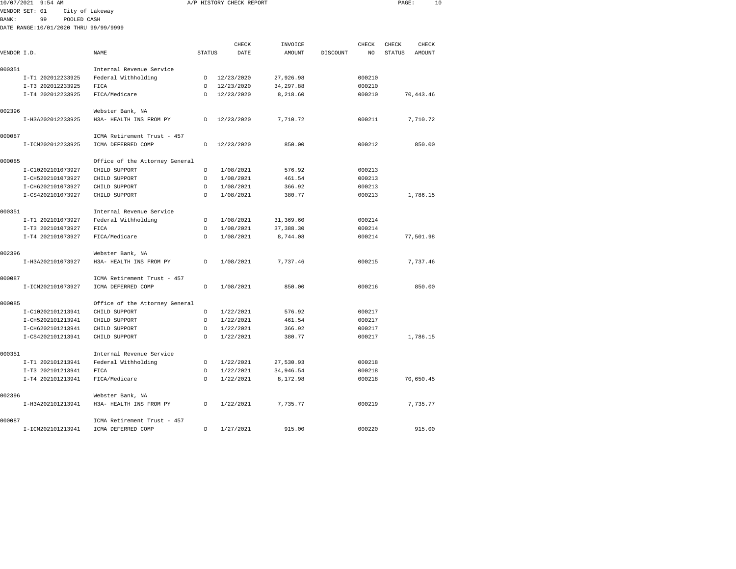| 10/07/2021 9:54 AM                    |                                             |               | A/P HISTORY CHECK REPORT |               | PAGE:<br>10 |        |               |           |
|---------------------------------------|---------------------------------------------|---------------|--------------------------|---------------|-------------|--------|---------------|-----------|
| VENDOR SET: 01                        | City of Lakeway                             |               |                          |               |             |        |               |           |
| 99<br>POOLED CASH<br>BANK:            |                                             |               |                          |               |             |        |               |           |
| DATE RANGE:10/01/2020 THRU 99/99/9999 |                                             |               |                          |               |             |        |               |           |
|                                       |                                             |               |                          |               |             |        |               |           |
|                                       |                                             |               | CHECK                    | INVOICE       |             | CHECK  | CHECK         | CHECK     |
| VENDOR I.D.                           | NAME                                        | <b>STATUS</b> | DATE                     | <b>AMOUNT</b> | DISCOUNT    | NO     | <b>STATUS</b> | AMOUNT    |
|                                       |                                             |               |                          |               |             |        |               |           |
| 000351                                | Internal Revenue Service                    |               |                          |               |             |        |               |           |
| I-T1 202012233925                     | Federal Withholding                         |               | D 12/23/2020             | 27,926.98     |             | 000210 |               |           |
| I-T3 202012233925                     | FICA                                        | D             | 12/23/2020               | 34, 297.88    |             | 000210 |               |           |
| I-T4 202012233925                     | FICA/Medicare                               | <sub>D</sub>  | 12/23/2020               | 8,218.60      |             | 000210 |               | 70,443.46 |
| 002396                                |                                             |               |                          |               |             |        |               |           |
| I-H3A202012233925                     | Webster Bank, NA<br>H3A- HEALTH INS FROM PY | $\mathbb{D}$  | 12/23/2020               | 7,710.72      |             | 000211 |               | 7,710.72  |
|                                       |                                             |               |                          |               |             |        |               |           |
| 000087                                | ICMA Retirement Trust - 457                 |               |                          |               |             |        |               |           |
| I-ICM202012233925                     | ICMA DEFERRED COMP                          | D             | 12/23/2020               | 850.00        |             | 000212 |               | 850.00    |
|                                       |                                             |               |                          |               |             |        |               |           |
| 000085                                | Office of the Attorney General              |               |                          |               |             |        |               |           |
| I-C10202101073927                     | CHILD SUPPORT                               | D             | 1/08/2021                | 576.92        |             | 000213 |               |           |
| I-CH5202101073927                     | CHILD SUPPORT                               | $\mathcal{D}$ | 1/08/2021                | 461.54        |             | 000213 |               |           |
| I-CH6202101073927                     | CHILD SUPPORT                               | $\mathcal{D}$ | 1/08/2021                | 366.92        |             | 000213 |               |           |
| I-CS4202101073927                     | CHILD SUPPORT                               | <sup>D</sup>  | 1/08/2021                | 380.77        |             | 000213 |               | 1,786.15  |
|                                       |                                             |               |                          |               |             |        |               |           |
| 000351                                | Internal Revenue Service                    |               |                          |               |             |        |               |           |
| I-T1 202101073927                     | Federal Withholding                         | D             | 1/08/2021                | 31,369.60     |             | 000214 |               |           |
| I-T3 202101073927                     | FICA                                        | $\mathcal{D}$ | 1/08/2021                | 37, 388.30    |             | 000214 |               |           |
| I-T4 202101073927                     | FICA/Medicare                               | $\mathbb{D}$  | 1/08/2021                | 8,744.08      |             | 000214 |               | 77,501.98 |
|                                       |                                             |               |                          |               |             |        |               |           |
| 002396                                | Webster Bank, NA                            |               |                          |               |             |        |               |           |
| I-H3A202101073927                     | H3A- HEALTH INS FROM PY                     | D             | 1/08/2021                | 7,737.46      |             | 000215 |               | 7,737.46  |
|                                       |                                             |               |                          |               |             |        |               |           |
| 000087                                | ICMA Retirement Trust - 457                 |               |                          |               |             |        |               |           |
| I-ICM202101073927                     | ICMA DEFERRED COMP                          | D             | 1/08/2021                | 850.00        |             | 000216 |               | 850.00    |
|                                       |                                             |               |                          |               |             |        |               |           |
| 000085                                | Office of the Attorney General              |               |                          |               |             |        |               |           |
| I-C10202101213941                     | CHILD SUPPORT                               | $\mathcal{D}$ | 1/22/2021                | 576.92        |             | 000217 |               |           |
| I-CH5202101213941                     | CHILD SUPPORT                               | $\mathcal{D}$ | 1/22/2021                | 461.54        |             | 000217 |               |           |
| I-CH6202101213941                     | CHILD SUPPORT                               | D<br>Ð        | 1/22/2021                | 366.92        |             | 000217 |               |           |
| I-CS4202101213941                     | CHILD SUPPORT                               |               | 1/22/2021                | 380.77        |             | 000217 |               | 1,786.15  |
| 000351                                | Internal Revenue Service                    |               |                          |               |             |        |               |           |
| I-T1 202101213941                     | Federal Withholding                         | D             | 1/22/2021                | 27,530.93     |             | 000218 |               |           |
| I-T3 202101213941                     | FICA                                        | D             | 1/22/2021                | 34,946.54     |             | 000218 |               |           |
| I-T4 202101213941                     | FICA/Medicare                               | $\mathcal{D}$ | 1/22/2021                | 8,172.98      |             | 000218 |               | 70,650.45 |
|                                       |                                             |               |                          |               |             |        |               |           |
| 002396                                | Webster Bank, NA                            |               |                          |               |             |        |               |           |
| I-H3A202101213941                     | H3A- HEALTH INS FROM PY                     | D             | 1/22/2021                | 7,735.77      |             | 000219 |               | 7,735.77  |
|                                       |                                             |               |                          |               |             |        |               |           |
| 000087                                | ICMA Retirement Trust - 457                 |               |                          |               |             |        |               |           |
| T-TCM202101213941                     | <b>TCMA DEFERRED COMP</b>                   | D.            | 1/27/2021                | 915.00        |             | 000220 |               | 915.00    |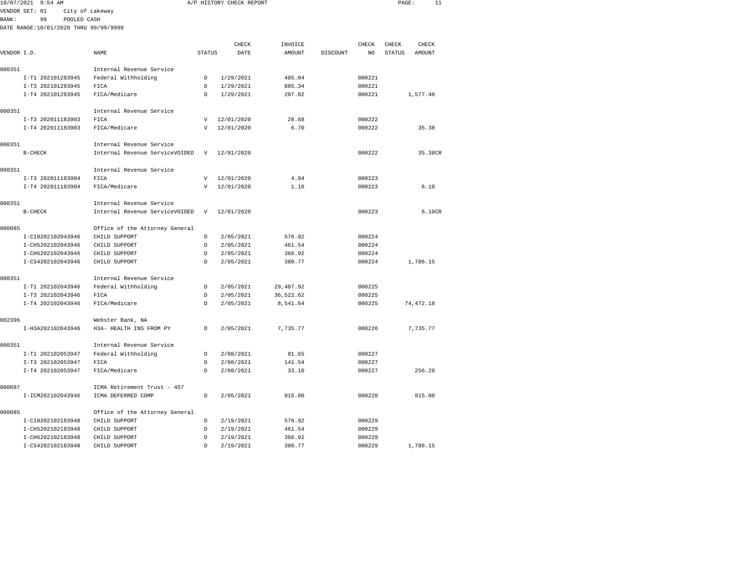| 10/07/2021 9:54 AM                    |                                                            |               | A/P HISTORY CHECK REPORT |           |          |        | PAGE:         | 11        |
|---------------------------------------|------------------------------------------------------------|---------------|--------------------------|-----------|----------|--------|---------------|-----------|
| VENDOR SET: 01                        | City of Lakeway                                            |               |                          |           |          |        |               |           |
| BANK :<br>99<br>POOLED CASH           |                                                            |               |                          |           |          |        |               |           |
| DATE RANGE:10/01/2020 THRU 99/99/9999 |                                                            |               |                          |           |          |        |               |           |
|                                       |                                                            |               |                          |           |          |        |               |           |
|                                       |                                                            |               | CHECK                    | INVOICE   |          | CHECK  | CHECK         | CHECK     |
| VENDOR I.D.                           | NAME                                                       | <b>STATUS</b> | DATE                     | AMOUNT    | DISCOUNT | NO.    | <b>STATUS</b> | AMOUNT    |
| 000351                                | Internal Revenue Service                                   |               |                          |           |          |        |               |           |
| I-T1 202101283945                     | Federal Withholding                                        | D             | 1/29/2021                | 485.04    |          | 000221 |               |           |
| I-T3 202101283945                     | FICA                                                       | D             | 1/29/2021                | 885.34    |          | 000221 |               |           |
| I-T4 202101283945                     | FICA/Medicare                                              | D             | 1/29/2021                | 207.02    |          | 000221 |               | 1,577.40  |
|                                       |                                                            |               |                          |           |          |        |               |           |
| 000351                                | Internal Revenue Service                                   |               |                          |           |          |        |               |           |
| I-T3 202011183903                     | FICA                                                       | $\mathbf v$   | 12/01/2020               | 28.68     |          | 000222 |               |           |
| I-T4 202011183903                     | FICA/Medicare                                              | $\mathbf v$   | 12/01/2020               | 6.70      |          | 000222 |               | 35.38     |
|                                       |                                                            |               |                          |           |          |        |               |           |
| 000351                                | Internal Revenue Service                                   |               |                          |           |          |        |               |           |
| $B-CHECK$                             | Internal Revenue ServiceVOIDED                             | v             | 12/01/2020               |           |          | 000222 |               | 35.38CR   |
|                                       |                                                            |               |                          |           |          |        |               |           |
| 000351                                | Internal Revenue Service                                   |               |                          |           |          |        |               |           |
| I-T3 202011183904                     | FICA                                                       | $\mathbf{V}$  | 12/01/2020               | 4.94      |          | 000223 |               |           |
| I-T4 202011183904                     | FICA/Medicare                                              | $\mathbf{V}$  | 12/01/2020               | 1.16      |          | 000223 |               | 6.10      |
|                                       |                                                            |               |                          |           |          |        |               |           |
| 000351<br>$B-CHECK$                   | Internal Revenue Service<br>Internal Revenue ServiceVOIDED | $\mathbf{v}$  | 12/01/2020               |           |          | 000223 |               | 6.10CR    |
|                                       |                                                            |               |                          |           |          |        |               |           |
| 000085                                | Office of the Attorney General                             |               |                          |           |          |        |               |           |
| I-C10202102043946                     | CHILD SUPPORT                                              | $\mathcal{D}$ | 2/05/2021                | 576.92    |          | 000224 |               |           |
| I-CH5202102043946                     | CHILD SUPPORT                                              | D             | 2/05/2021                | 461.54    |          | 000224 |               |           |
| I-CH6202102043946                     | CHILD SUPPORT                                              | D             | 2/05/2021                | 366.92    |          | 000224 |               |           |
| I-CS4202102043946                     | CHILD SUPPORT                                              | D             | 2/05/2021                | 380.77    |          | 000224 |               | 1,786.15  |
|                                       |                                                            |               |                          |           |          |        |               |           |
| 000351                                | Internal Revenue Service                                   |               |                          |           |          |        |               |           |
| I-T1 202102043946                     | Federal Withholding                                        | D             | 2/05/2021                | 29,407.92 |          | 000225 |               |           |
| I-T3 202102043946                     | FICA                                                       | $\mathbb{D}$  | 2/05/2021                | 36,522.62 |          | 000225 |               |           |
| I-T4 202102043946                     | FICA/Medicare                                              | $\Gamma$      | 2/05/2021                | 8,541.64  |          | 000225 |               | 74,472.18 |
|                                       |                                                            |               |                          |           |          |        |               |           |
| 002396                                | Webster Bank, NA                                           |               |                          |           |          |        |               |           |
| I-H3A202102043946                     | H3A- HEALTH INS FROM PY                                    | D             | 2/05/2021                | 7.735.77  |          | 000226 |               | 7.735.77  |
| 000351                                | Internal Revenue Service                                   |               |                          |           |          |        |               |           |
| I-T1 202102053947                     | Federal Withholding                                        | D             | 2/08/2021                | 81.65     |          | 000227 |               |           |
| I-T3 202102053947                     | FICA                                                       | D             | 2/08/2021                | 141.54    |          | 000227 |               |           |
| I-T4 202102053947                     | FICA/Medicare                                              | $\mathcal{D}$ | 2/08/2021                | 33.10     |          | 000227 |               | 256.29    |
|                                       |                                                            |               |                          |           |          |        |               |           |
| 000087                                | ICMA Retirement Trust - 457                                |               |                          |           |          |        |               |           |
| I-ICM202102043946                     | ICMA DEFERRED COMP                                         | D             | 2/05/2021                | 915.00    |          | 000228 |               | 915.00    |
|                                       |                                                            |               |                          |           |          |        |               |           |
| 000085                                | Office of the Attorney General                             |               |                          |           |          |        |               |           |
| I-C10202102183948                     | CHILD SUPPORT                                              | D             | 2/19/2021                | 576.92    |          | 000229 |               |           |
| I-CH5202102183948                     | CHILD SUPPORT                                              | D             | 2/19/2021                | 461.54    |          | 000229 |               |           |
| I-CH6202102183948                     | CHILD SUPPORT                                              | D             | 2/19/2021                | 366.92    |          | 000229 |               |           |
| T-CS4202102183948                     | CHILD SUPPORT                                              | D             | 2/19/2021                | 380.77    |          | 000229 |               | 1.786.15  |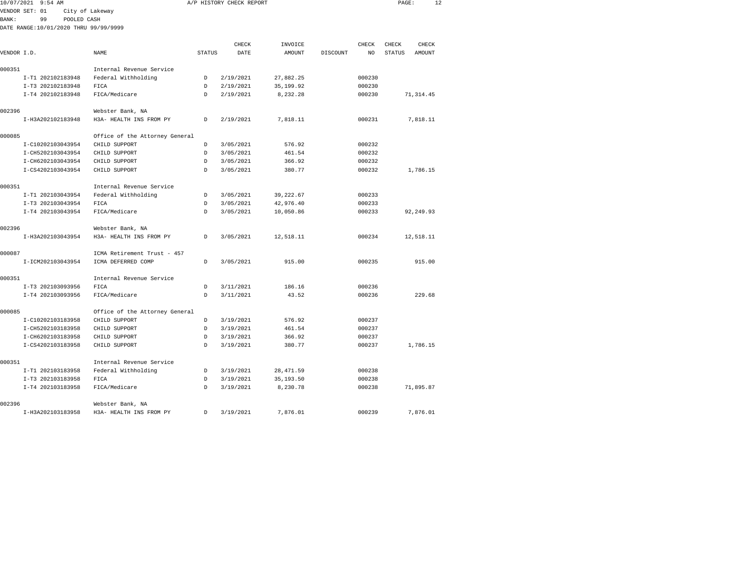| 10/07/2021   | $9:54$ AM                             |                                |               | A/P HISTORY CHECK REPORT |            |          |        | PAGE:         | 12            |
|--------------|---------------------------------------|--------------------------------|---------------|--------------------------|------------|----------|--------|---------------|---------------|
|              | VENDOR SET: 01                        | City of Lakeway                |               |                          |            |          |        |               |               |
| <b>BANK:</b> | 99<br>POOLED CASH                     |                                |               |                          |            |          |        |               |               |
|              | DATE RANGE:10/01/2020 THRU 99/99/9999 |                                |               |                          |            |          |        |               |               |
|              |                                       |                                |               |                          |            |          |        |               |               |
|              |                                       |                                |               | CHECK                    | INVOICE    |          | CHECK  | CHECK         | CHECK         |
| VENDOR I.D.  |                                       | <b>NAME</b>                    | <b>STATUS</b> | DATE                     | AMOUNT     | DISCOUNT | NO     | <b>STATUS</b> | <b>AMOUNT</b> |
| 000351       |                                       | Internal Revenue Service       |               |                          |            |          |        |               |               |
|              | I-T1 202102183948                     | Federal Withholding            | D             | 2/19/2021                | 27,882.25  |          | 000230 |               |               |
|              | I-T3 202102183948                     | FICA                           | D             | 2/19/2021                | 35, 199.92 |          | 000230 |               |               |
|              | I-T4 202102183948                     | FICA/Medicare                  | D             | 2/19/2021                | 8,232.28   |          | 000230 |               | 71, 314.45    |
| 002396       |                                       | Webster Bank, NA               |               |                          |            |          |        |               |               |
|              | I-H3A202102183948                     | H3A- HEALTH INS FROM PY        | D             | 2/19/2021                | 7,818.11   |          | 000231 |               | 7,818.11      |
| 000085       |                                       | Office of the Attorney General |               |                          |            |          |        |               |               |
|              | I-C10202103043954                     | CHILD SUPPORT                  | D             | 3/05/2021                | 576.92     |          | 000232 |               |               |
|              | I-CH5202103043954                     | CHILD SUPPORT                  | D             | 3/05/2021                | 461.54     |          | 000232 |               |               |
|              | I-CH6202103043954                     | CHILD SUPPORT                  | D             | 3/05/2021                | 366.92     |          | 000232 |               |               |
|              | I-CS4202103043954                     | CHILD SUPPORT                  | D.            | 3/05/2021                | 380.77     |          | 000232 |               | 1,786.15      |
| 000351       |                                       | Internal Revenue Service       |               |                          |            |          |        |               |               |
|              | I-T1 202103043954                     | Federal Withholding            | D             | 3/05/2021                | 39, 222.67 |          | 000233 |               |               |
|              | I-T3 202103043954                     | FICA                           | D             | 3/05/2021                | 42,976.40  |          | 000233 |               |               |
|              | I-T4 202103043954                     | FICA/Medicare                  | <sup>D</sup>  | 3/05/2021                | 10,050.86  |          | 000233 |               | 92,249.93     |
| 002396       |                                       | Webster Bank, NA               |               |                          |            |          |        |               |               |
|              | I-H3A202103043954                     | H3A- HEALTH INS FROM PY        | D             | 3/05/2021                | 12,518.11  |          | 000234 |               | 12,518.11     |
| 000087       |                                       | ICMA Retirement Trust - 457    |               |                          |            |          |        |               |               |
|              | I-ICM202103043954                     | ICMA DEFERRED COMP             | D             | 3/05/2021                | 915.00     |          | 000235 |               | 915.00        |
| 000351       |                                       | Internal Revenue Service       |               |                          |            |          |        |               |               |
|              | I-T3 202103093956                     | FICA                           | D             | 3/11/2021                | 186.16     |          | 000236 |               |               |
|              | I-T4 202103093956                     | FICA/Medicare                  | D             | 3/11/2021                | 43.52      |          | 000236 |               | 229.68        |
| 000085       |                                       | Office of the Attorney General |               |                          |            |          |        |               |               |
|              | I-C10202103183958                     | CHILD SUPPORT                  | D             | 3/19/2021                | 576.92     |          | 000237 |               |               |
|              | I-CH5202103183958                     | CHILD SUPPORT                  | D             | 3/19/2021                | 461.54     |          | 000237 |               |               |
|              | I-CH6202103183958                     | CHILD SUPPORT                  | D             | 3/19/2021                | 366.92     |          | 000237 |               |               |
|              | I-CS4202103183958                     | CHILD SUPPORT                  | D             | 3/19/2021                | 380.77     |          | 000237 |               | 1,786.15      |
| 000351       |                                       | Internal Revenue Service       |               |                          |            |          |        |               |               |
|              | I-T1 202103183958                     | Federal Withholding            | D             | 3/19/2021                | 28, 471.59 |          | 000238 |               |               |
|              | I-T3 202103183958                     | FICA                           | D             | 3/19/2021                | 35, 193.50 |          | 000238 |               |               |
|              | I-T4 202103183958                     | FICA/Medicare                  | D             | 3/19/2021                | 8,230.78   |          | 000238 |               | 71,895.87     |
| 002396       |                                       | Webster Bank, NA               |               |                          |            |          |        |               |               |

I-H3A202103183958 H3A- HEALTH INS FROM PY D 3/19/2021 7,876.01 000239 7,876.01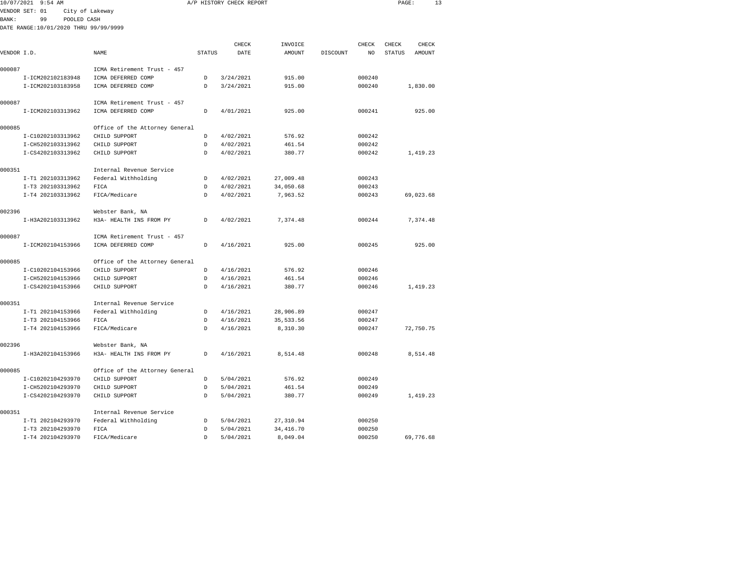| 10/07/2021 9:54 AM                     |                                                   |                    | A/P HISTORY CHECK REPORT |                  |          |                  | PAGE:         | 13        |
|----------------------------------------|---------------------------------------------------|--------------------|--------------------------|------------------|----------|------------------|---------------|-----------|
| VENDOR SET: 01                         | City of Lakeway                                   |                    |                          |                  |          |                  |               |           |
| <b>BANK:</b><br>99<br>POOLED CASH      |                                                   |                    |                          |                  |          |                  |               |           |
| DATE RANGE:10/01/2020 THRU 99/99/9999  |                                                   |                    |                          |                  |          |                  |               |           |
|                                        |                                                   |                    | CHECK                    | INVOICE          |          | CHECK            | CHECK         | CHECK     |
| VENDOR I.D.                            | NAME                                              | <b>STATUS</b>      | DATE                     | AMOUNT           | DISCOUNT | NO.              | <b>STATUS</b> | AMOUNT    |
|                                        |                                                   |                    |                          |                  |          |                  |               |           |
| 000087                                 | ICMA Retirement Trust - 457                       |                    |                          |                  |          |                  |               |           |
| I-ICM202102183948                      | ICMA DEFERRED COMP                                | D                  | 3/24/2021                | 915.00           |          | 000240           |               |           |
| I-ICM202103183958                      | ICMA DEFERRED COMP                                | D                  | 3/24/2021                | 915.00           |          | 000240           |               | 1,830.00  |
|                                        |                                                   |                    |                          |                  |          |                  |               |           |
| 000087<br>I-ICM202103313962            | ICMA Retirement Trust - 457<br>ICMA DEFERRED COMP | D                  | 4/01/2021                | 925.00           |          | 000241           |               | 925.00    |
|                                        |                                                   |                    |                          |                  |          |                  |               |           |
| 000085                                 | Office of the Attorney General                    |                    |                          |                  |          |                  |               |           |
| I-C10202103313962                      | CHILD SUPPORT                                     | D                  | 4/02/2021                | 576.92           |          | 000242           |               |           |
| I-CH5202103313962                      | CHILD SUPPORT                                     | D                  | 4/02/2021                | 461.54           |          | 000242           |               |           |
| I-CS4202103313962                      | CHILD SUPPORT                                     | D                  | 4/02/2021                | 380.77           |          | 000242           |               | 1,419.23  |
| 000351                                 | Internal Revenue Service                          |                    |                          |                  |          |                  |               |           |
| I-T1 202103313962                      | Federal Withholding                               | D                  | 4/02/2021                | 27,009.48        |          | 000243           |               |           |
| I-T3 202103313962                      | FICA                                              | D                  | 4/02/2021                | 34,050.68        |          | 000243           |               |           |
| I-T4 202103313962                      | FICA/Medicare                                     | D                  | 4/02/2021                | 7,963.52         |          | 000243           |               | 69,023.68 |
|                                        |                                                   |                    |                          |                  |          |                  |               |           |
| 002396                                 | Webster Bank, NA                                  |                    |                          |                  |          |                  |               |           |
| I-H3A202103313962                      | H3A- HEALTH INS FROM PY                           | D                  | 4/02/2021                | 7,374.48         |          | 000244           |               | 7,374.48  |
| 000087                                 | ICMA Retirement Trust - 457                       |                    |                          |                  |          |                  |               |           |
| I-ICM202104153966                      | ICMA DEFERRED COMP                                | D                  | 4/16/2021                | 925.00           |          | 000245           |               | 925.00    |
|                                        |                                                   |                    |                          |                  |          |                  |               |           |
| 000085<br>I-C10202104153966            | Office of the Attorney General<br>CHILD SUPPORT   | D                  | 4/16/2021                | 576.92           |          | 000246           |               |           |
| I-CH5202104153966                      | CHILD SUPPORT                                     | D                  | 4/16/2021                | 461.54           |          | 000246           |               |           |
| I-CS4202104153966                      | CHILD SUPPORT                                     | $\mathsf{D}$       | 4/16/2021                | 380.77           |          | 000246           |               | 1,419.23  |
|                                        |                                                   |                    |                          |                  |          |                  |               |           |
| 000351                                 | Internal Revenue Service                          |                    |                          |                  |          |                  |               |           |
| I-T1 202104153966                      | Federal Withholding                               | D                  | 4/16/2021                | 28,906.89        |          | 000247           |               |           |
| I-T3 202104153966                      | FICA                                              | D                  | 4/16/2021                | 35, 533.56       |          | 000247           |               |           |
| I-T4 202104153966                      | FICA/Medicare                                     | <sup>n</sup>       | 4/16/2021                | 8,310.30         |          | 000247           |               | 72,750.75 |
| 002396                                 | Webster Bank, NA                                  |                    |                          |                  |          |                  |               |           |
| I-H3A202104153966                      | H3A- HEALTH INS FROM PY                           | <sub>D</sub>       | 4/16/2021                | 8,514.48         |          | 000248           |               | 8,514.48  |
|                                        |                                                   |                    |                          |                  |          |                  |               |           |
| 000085                                 | Office of the Attorney General                    |                    |                          |                  |          |                  |               |           |
| I-C10202104293970                      | CHILD SUPPORT<br>CHILD SUPPORT                    | D<br>$\mathcal{D}$ | 5/04/2021<br>5/04/2021   | 576.92<br>461.54 |          | 000249<br>000249 |               |           |
| I-CH5202104293970<br>I-CS4202104293970 | CHILD SUPPORT                                     | D                  | 5/04/2021                | 380.77           |          | 000249           |               | 1,419.23  |
|                                        |                                                   |                    |                          |                  |          |                  |               |           |
| 000351                                 | Internal Revenue Service                          |                    |                          |                  |          |                  |               |           |
| I-T1 202104293970                      | Federal Withholding                               | D                  | 5/04/2021                | 27,310.94        |          | 000250           |               |           |
| I-T3 202104293970                      | FICA                                              | D                  | 5/04/2021                | 34, 416.70       |          | 000250           |               |           |

I-T4 202104293970 FICA/Medicare D 5/04/2021 8,049.04 000250 69,776.68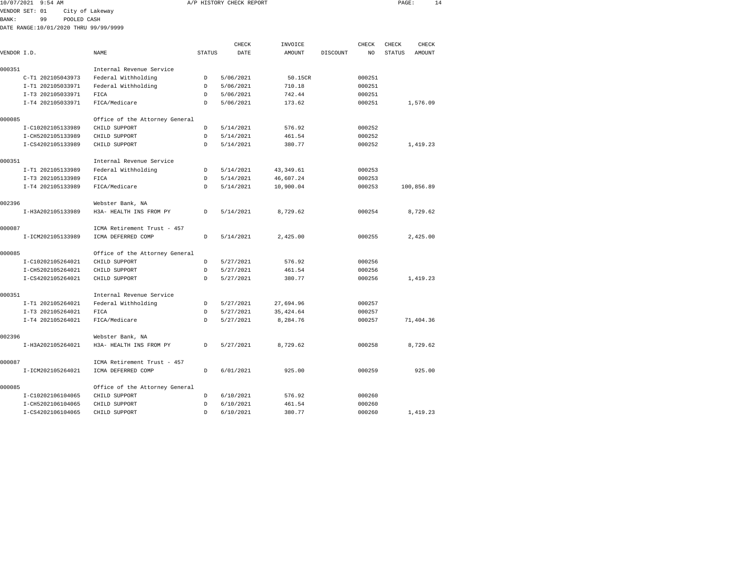|             | 10/07/2021 9:54 AM                    |                 |                                |               | A/P HISTORY CHECK REPORT |            |          |        | PAGE:         |            | 14 |
|-------------|---------------------------------------|-----------------|--------------------------------|---------------|--------------------------|------------|----------|--------|---------------|------------|----|
|             | VENDOR SET: 01                        | City of Lakeway |                                |               |                          |            |          |        |               |            |    |
| BANK:       | 99                                    | POOLED CASH     |                                |               |                          |            |          |        |               |            |    |
|             | DATE RANGE:10/01/2020 THRU 99/99/9999 |                 |                                |               |                          |            |          |        |               |            |    |
|             |                                       |                 |                                |               | CHECK                    | INVOICE    |          | CHECK  | CHECK         | CHECK      |    |
| VENDOR I.D. |                                       |                 | NAME                           | <b>STATUS</b> | DATE                     | AMOUNT     | DISCOUNT | NO     | <b>STATUS</b> | AMOUNT     |    |
|             |                                       |                 |                                |               |                          |            |          |        |               |            |    |
| 000351      |                                       |                 | Internal Revenue Service       |               |                          |            |          |        |               |            |    |
|             | C-T1 202105043973                     |                 | Federal Withholding            | D             | 5/06/2021                | 50.15CR    |          | 000251 |               |            |    |
|             | I-T1 202105033971                     |                 | Federal Withholding            | D             | 5/06/2021                | 710.18     |          | 000251 |               |            |    |
|             | I-T3 202105033971                     |                 | FICA                           | D             | 5/06/2021                | 742.44     |          | 000251 |               |            |    |
|             | I-T4 202105033971                     |                 | FICA/Medicare                  | D             | 5/06/2021                | 173.62     |          | 000251 |               | 1,576.09   |    |
| 000085      |                                       |                 | Office of the Attorney General |               |                          |            |          |        |               |            |    |
|             | I-C10202105133989                     |                 | CHILD SUPPORT                  | D             | 5/14/2021                | 576.92     |          | 000252 |               |            |    |
|             | I-CH5202105133989                     |                 | CHILD SUPPORT                  | Ð             | 5/14/2021                | 461.54     |          | 000252 |               |            |    |
|             | I-CS4202105133989                     |                 | CHILD SUPPORT                  | D             | 5/14/2021                | 380.77     |          | 000252 |               | 1,419.23   |    |
| 000351      |                                       |                 | Internal Revenue Service       |               |                          |            |          |        |               |            |    |
|             | I-T1 202105133989                     |                 | Federal Withholding            | D             | 5/14/2021                | 43, 349.61 |          | 000253 |               |            |    |
|             | I-T3 202105133989                     |                 | FICA                           | D             | 5/14/2021                | 46,607.24  |          | 000253 |               |            |    |
|             | I-T4 202105133989                     |                 | FICA/Medicare                  | D             | 5/14/2021                | 10,900.04  |          | 000253 |               | 100,856.89 |    |
|             |                                       |                 |                                |               |                          |            |          |        |               |            |    |
| 002396      |                                       |                 | Webster Bank, NA               |               |                          |            |          |        |               |            |    |
|             | I-H3A202105133989                     |                 | H3A- HEALTH INS FROM PY        | D             | 5/14/2021                | 8,729.62   |          | 000254 |               | 8,729.62   |    |
| 000087      |                                       |                 | ICMA Retirement Trust - 457    |               |                          |            |          |        |               |            |    |
|             | I-ICM202105133989                     |                 | ICMA DEFERRED COMP             | D             | 5/14/2021                | 2,425.00   |          | 000255 |               | 2,425.00   |    |
| 000085      |                                       |                 | Office of the Attorney General |               |                          |            |          |        |               |            |    |
|             | I-C10202105264021                     |                 | CHILD SUPPORT                  | D             | 5/27/2021                | 576.92     |          | 000256 |               |            |    |
|             | I-CH5202105264021                     |                 | CHILD SUPPORT                  | D             | 5/27/2021                | 461.54     |          | 000256 |               |            |    |
|             | I-CS4202105264021                     |                 | CHILD SUPPORT                  | D             | 5/27/2021                | 380.77     |          | 000256 |               | 1,419.23   |    |
| 000351      |                                       |                 | Internal Revenue Service       |               |                          |            |          |        |               |            |    |
|             | I-T1 202105264021                     |                 | Federal Withholding            | D             | 5/27/2021                | 27,694.96  |          | 000257 |               |            |    |
|             | I-T3 202105264021                     |                 | FICA                           | D             | 5/27/2021                | 35, 424.64 |          | 000257 |               |            |    |
|             | I-T4 202105264021                     |                 | FICA/Medicare                  | D             | 5/27/2021                | 8,284.76   |          | 000257 |               | 71,404.36  |    |
| 002396      |                                       |                 |                                |               |                          |            |          |        |               |            |    |
|             |                                       |                 | Webster Bank, NA               |               |                          |            |          |        |               |            |    |
|             | I-H3A202105264021                     |                 | H3A- HEALTH INS FROM PY        | D             | 5/27/2021                | 8.729.62   |          | 000258 |               | 8,729.62   |    |
| 000087      |                                       |                 | ICMA Retirement Trust - 457    |               |                          |            |          |        |               |            |    |
|             | I-ICM202105264021                     |                 | ICMA DEFERRED COMP             | D             | 6/01/2021                | 925.00     |          | 000259 |               | 925.00     |    |
| 000085      |                                       |                 | Office of the Attorney General |               |                          |            |          |        |               |            |    |
|             | I-C10202106104065                     |                 | CHILD SUPPORT                  | D             | 6/10/2021                | 576.92     |          | 000260 |               |            |    |

I-CS4202106104065 CHILD SUPPORT D 6/10/2021 380.77 000260 1,419.23

000260

I-CH5202106104065 CHILD SUPPORT D 6/10/2021 461.54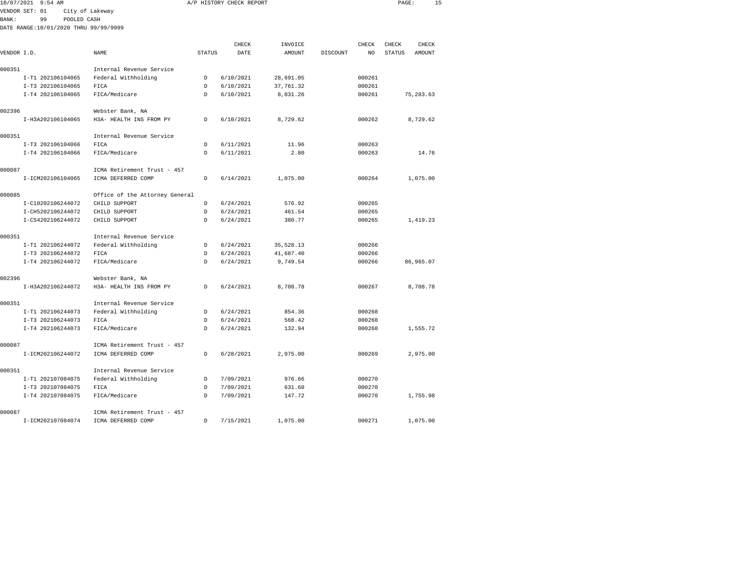| 10/07/2021 9:54 AM                    |                                |               | A/P HISTORY CHECK REPORT |           |          |        | PAGE:         | 15         |
|---------------------------------------|--------------------------------|---------------|--------------------------|-----------|----------|--------|---------------|------------|
| VENDOR SET: 01                        | City of Lakeway                |               |                          |           |          |        |               |            |
| BANK:<br>99<br>POOLED CASH            |                                |               |                          |           |          |        |               |            |
| DATE RANGE:10/01/2020 THRU 99/99/9999 |                                |               |                          |           |          |        |               |            |
|                                       |                                |               |                          |           |          |        |               |            |
|                                       |                                |               | CHECK                    | INVOICE   |          | CHECK  | CHECK         | CHECK      |
| VENDOR I.D.                           | NAME                           | <b>STATUS</b> | DATE                     | AMOUNT    | DISCOUNT | NO     | <b>STATUS</b> | AMOUNT     |
| 000351                                | Internal Revenue Service       |               |                          |           |          |        |               |            |
| I-T1 202106104065                     | Federal Withholding            | D             | 6/10/2021                | 28,691.05 |          | 000261 |               |            |
| I-T3 202106104065                     | FICA                           | <sub>D</sub>  | 6/10/2021                | 37,761.32 |          | 000261 |               |            |
| I-T4 202106104065                     | FICA/Medicare                  | D             | 6/10/2021                | 8,831.26  |          | 000261 |               | 75, 283.63 |
|                                       |                                |               |                          |           |          |        |               |            |
| 002396                                | Webster Bank, NA               |               |                          |           |          |        |               |            |
| I-H3A202106104065                     | H3A- HEALTH INS FROM PY        | D             | 6/10/2021                | 8.729.62  |          | 000262 |               | 8.729.62   |
| 000351                                | Internal Revenue Service       |               |                          |           |          |        |               |            |
| I-T3 202106104066                     | FICA                           | D             | 6/11/2021                | 11.96     |          | 000263 |               |            |
| I-T4 202106104066                     | FICA/Medicare                  | <sub>D</sub>  | 6/11/2021                | 2.80      |          | 000263 |               | 14.76      |
|                                       |                                |               |                          |           |          |        |               |            |
| 000087                                | ICMA Retirement Trust - 457    |               |                          |           |          |        |               |            |
| I-ICM202106104065                     | ICMA DEFERRED COMP             | D             | 6/14/2021                | 1,075.00  |          | 000264 |               | 1,075.00   |
| 000085                                | Office of the Attorney General |               |                          |           |          |        |               |            |
| I-C10202106244072                     | CHILD SUPPORT                  | D             | 6/24/2021                | 576.92    |          | 000265 |               |            |
| I-CH5202106244072                     | CHILD SUPPORT                  | D             | 6/24/2021                | 461.54    |          | 000265 |               |            |
| I-CS4202106244072                     | CHILD SUPPORT                  | D.            | 6/24/2021                | 380.77    |          | 000265 |               | 1,419.23   |
|                                       |                                |               |                          |           |          |        |               |            |
| 000351                                | Internal Revenue Service       |               |                          |           |          |        |               |            |
| I-T1 202106244072                     | Federal Withholding            | D             | 6/24/2021                | 35,528.13 |          | 000266 |               |            |
| I-T3 202106244072                     | FICA                           | D             | 6/24/2021                | 41,687.40 |          | 000266 |               |            |
| I-T4 202106244072                     | FICA/Medicare                  | D             | 6/24/2021                | 9,749.54  |          | 000266 |               | 86,965.07  |
| 002396                                | Webster Bank, NA               |               |                          |           |          |        |               |            |
| I-H3A202106244072                     | H3A- HEALTH INS FROM PY        | D             | 6/24/2021                | 8,708.78  |          | 000267 |               | 8,708.78   |
|                                       |                                |               |                          |           |          |        |               |            |
| 000351                                | Internal Revenue Service       |               |                          |           |          |        |               |            |
| I-T1 202106244073                     | Federal Withholding            | D.            | 6/24/2021                | 854.36    |          | 000268 |               |            |
| I-T3 202106244073                     | FICA                           | D.            | 6/24/2021                | 568.42    |          | 000268 |               |            |
| I-T4 202106244073                     | FICA/Medicare                  | <sup>D</sup>  | 6/24/2021                | 132.94    |          | 000268 |               | 1,555.72   |
| 000087                                | ICMA Retirement Trust - 457    |               |                          |           |          |        |               |            |
| I-ICM202106244072                     | ICMA DEFERRED COMP             | D             | 6/28/2021                | 2,975.00  |          | 000269 |               | 2,975.00   |
|                                       |                                |               |                          |           |          |        |               |            |
| 000351                                | Internal Revenue Service       |               |                          |           |          |        |               |            |
| I-T1 202107084075                     | Federal Withholding            | D             | 7/09/2021                | 976.66    |          | 000270 |               |            |
| I-T3 202107084075                     | FICA                           | D             | 7/09/2021                | 631.60    |          | 000270 |               |            |
| I-T4 202107084075                     | FICA/Medicare                  | D             | 7/09/2021                | 147.72    |          | 000270 |               | 1,755.98   |
|                                       |                                |               |                          |           |          |        |               |            |
| 000087                                | ICMA Retirement Trust - 457    |               |                          |           |          |        |               |            |

I-ICM202107084074 ICMA DEFERRED COMP D 7/15/2021 1,075.00 000271 1,075.00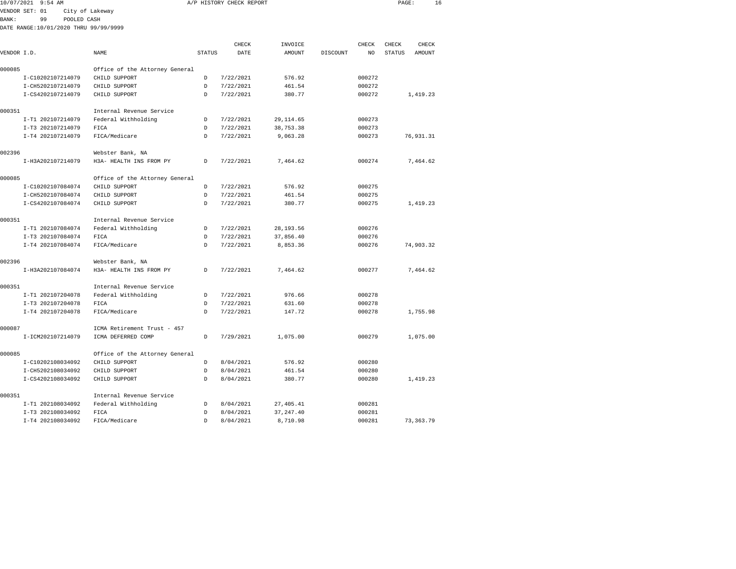| 10/07/2021  | 9:54 AM                               |                                |               | A/P HISTORY CHECK REPORT |            |          |        | PAGE:         | 16        |  |
|-------------|---------------------------------------|--------------------------------|---------------|--------------------------|------------|----------|--------|---------------|-----------|--|
|             | VENDOR SET: 01                        | City of Lakeway                |               |                          |            |          |        |               |           |  |
| BANK:       | 99<br>POOLED CASH                     |                                |               |                          |            |          |        |               |           |  |
|             | DATE RANGE:10/01/2020 THRU 99/99/9999 |                                |               |                          |            |          |        |               |           |  |
|             |                                       |                                |               |                          |            |          |        |               |           |  |
|             |                                       |                                |               | CHECK                    | INVOICE    |          | CHECK  | CHECK         | CHECK     |  |
| VENDOR I.D. |                                       | NAME                           | <b>STATUS</b> | DATE                     | AMOUNT     | DISCOUNT | NO     | <b>STATUS</b> | AMOUNT    |  |
| 000085      |                                       | Office of the Attorney General |               |                          |            |          |        |               |           |  |
|             | I-C10202107214079                     | CHILD SUPPORT                  | D             | 7/22/2021                | 576.92     |          | 000272 |               |           |  |
|             | I-CH5202107214079                     | CHILD SUPPORT                  | D             | 7/22/2021                | 461.54     |          | 000272 |               |           |  |
|             | I-CS4202107214079                     | CHILD SUPPORT                  | D             | 7/22/2021                | 380.77     |          | 000272 |               | 1,419.23  |  |
| 000351      |                                       | Internal Revenue Service       |               |                          |            |          |        |               |           |  |
|             | I-T1 202107214079                     | Federal Withholding            | D             | 7/22/2021                | 29, 114.65 |          | 000273 |               |           |  |
|             | I-T3 202107214079                     | FICA                           | D             | 7/22/2021                | 38,753.38  |          | 000273 |               |           |  |
|             | I-T4 202107214079                     | FICA/Medicare                  | D             | 7/22/2021                | 9,063.28   |          | 000273 |               | 76,931.31 |  |
| 002396      |                                       | Webster Bank, NA               |               |                          |            |          |        |               |           |  |
|             | I-H3A202107214079                     | H3A- HEALTH INS FROM PY        | D             | 7/22/2021                | 7,464.62   |          | 000274 |               | 7,464.62  |  |
| 000085      |                                       | Office of the Attorney General |               |                          |            |          |        |               |           |  |
|             | I-C10202107084074                     | CHILD SUPPORT                  | D             | 7/22/2021                | 576.92     |          | 000275 |               |           |  |
|             | I-CH5202107084074                     | CHILD SUPPORT                  | D             | 7/22/2021                | 461.54     |          | 000275 |               |           |  |
|             | I-CS4202107084074                     | CHILD SUPPORT                  | D             | 7/22/2021                | 380.77     |          | 000275 |               | 1,419.23  |  |
| 000351      |                                       | Internal Revenue Service       |               |                          |            |          |        |               |           |  |
|             | I-T1 202107084074                     | Federal Withholding            | D             | 7/22/2021                | 28, 193.56 |          | 000276 |               |           |  |
|             | I-T3 202107084074                     | FICA                           | D             | 7/22/2021                | 37,856.40  |          | 000276 |               |           |  |
|             | I-T4 202107084074                     | FICA/Medicare                  | D             | 7/22/2021                | 8,853.36   |          | 000276 |               | 74,903.32 |  |
| 002396      |                                       | Webster Bank, NA               |               |                          |            |          |        |               |           |  |
|             | I-H3A202107084074                     | H3A- HEALTH INS FROM PY        | D             | 7/22/2021                | 7,464.62   |          | 000277 |               | 7,464.62  |  |
| 000351      |                                       | Internal Revenue Service       |               |                          |            |          |        |               |           |  |
|             | I-T1 202107204078                     | Federal Withholding            | D             | 7/22/2021                | 976.66     |          | 000278 |               |           |  |
|             | I-T3 202107204078                     | FICA                           | $\mathsf{D}$  | 7/22/2021                | 631.60     |          | 000278 |               |           |  |
|             | I-T4 202107204078                     | FICA/Medicare                  | $\mathsf{D}$  | 7/22/2021                | 147.72     |          | 000278 |               | 1,755.98  |  |
| 000087      |                                       | ICMA Retirement Trust - 457    |               |                          |            |          |        |               |           |  |
|             | I-ICM202107214079                     | ICMA DEFERRED COMP             | D             | 7/29/2021                | 1,075.00   |          | 000279 |               | 1,075.00  |  |
| 000085      |                                       | Office of the Attorney General |               |                          |            |          |        |               |           |  |
|             | I-C10202108034092                     | CHILD SUPPORT                  | D             | 8/04/2021                | 576.92     |          | 000280 |               |           |  |
|             | I-CH5202108034092                     | CHILD SUPPORT                  | D             | 8/04/2021                | 461.54     |          | 000280 |               |           |  |
|             | I-CS4202108034092                     | CHILD SUPPORT                  | $\mathsf{D}$  | 8/04/2021                | 380.77     |          | 000280 |               | 1,419.23  |  |
| 000351      |                                       | Internal Revenue Service       |               |                          |            |          |        |               |           |  |
|             | I-T1 202108034092                     | Federal Withholding            | $\mathsf{D}$  | 8/04/2021                | 27.405.41  |          | 000281 |               |           |  |

I-T3 202108034092 FICA D 8/04/2021 37,247.40 000281

I-T4 202108034092 FICA/Medicare D 8/04/2021 8,710.98 000281 73,363.79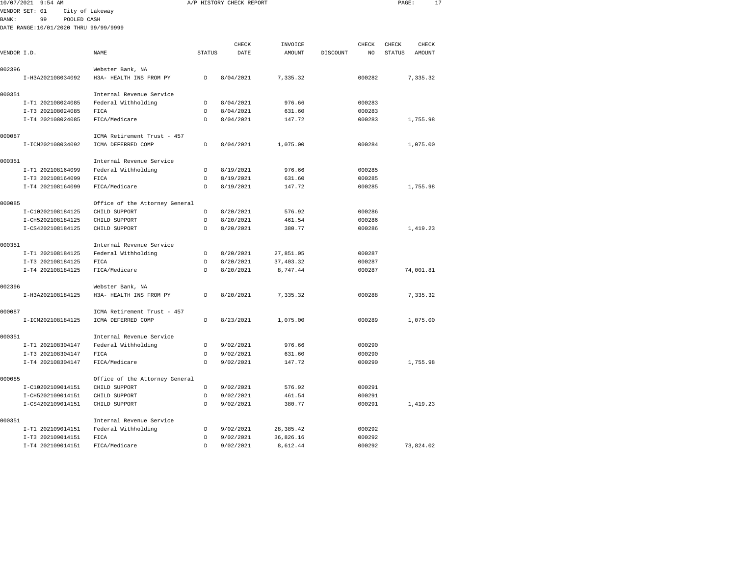| 10/07/2021 9:54 AM                    |                                | A/P HISTORY CHECK REPORT |           |            |          | PAGE:  | 17                      |  |
|---------------------------------------|--------------------------------|--------------------------|-----------|------------|----------|--------|-------------------------|--|
| VENDOR SET: 01                        | City of Lakeway                |                          |           |            |          |        |                         |  |
| BANK:<br>99<br>POOLED CASH            |                                |                          |           |            |          |        |                         |  |
| DATE RANGE:10/01/2020 THRU 99/99/9999 |                                |                          |           |            |          |        |                         |  |
|                                       |                                |                          |           |            |          |        |                         |  |
|                                       |                                |                          | CHECK     | INVOICE    |          | CHECK  | CHECK<br>CHECK          |  |
| VENDOR I.D.                           | NAME                           | <b>STATUS</b>            | DATE      | AMOUNT     | DISCOUNT | NO     | AMOUNT<br><b>STATUS</b> |  |
| 002396                                | Webster Bank, NA               |                          |           |            |          |        |                         |  |
| I-H3A202108034092                     | H3A- HEALTH INS FROM PY        | D                        | 8/04/2021 | 7,335.32   |          | 000282 | 7,335.32                |  |
|                                       |                                |                          |           |            |          |        |                         |  |
| 000351                                | Internal Revenue Service       |                          |           |            |          |        |                         |  |
| I-T1 202108024085                     | Federal Withholding            | $\mathsf{D}$             | 8/04/2021 | 976.66     |          | 000283 |                         |  |
| I-T3 202108024085                     | FICA                           | D                        | 8/04/2021 | 631.60     |          | 000283 |                         |  |
| I-T4 202108024085                     | FICA/Medicare                  | <sub>D</sub>             | 8/04/2021 | 147.72     |          | 000283 | 1,755.98                |  |
| 000087                                | ICMA Retirement Trust - 457    |                          |           |            |          |        |                         |  |
| I-ICM202108034092                     | ICMA DEFERRED COMP             | $\mathsf{D}$             | 8/04/2021 | 1,075.00   |          | 000284 | 1,075.00                |  |
|                                       |                                |                          |           |            |          |        |                         |  |
| 000351                                | Internal Revenue Service       |                          |           |            |          |        |                         |  |
| I-T1 202108164099                     | Federal Withholding            | D                        | 8/19/2021 | 976.66     |          | 000285 |                         |  |
| I-T3 202108164099                     | FICA                           | $\mathsf{D}$             | 8/19/2021 | 631.60     |          | 000285 |                         |  |
| I-T4 202108164099                     | FICA/Medicare                  | $\mathsf{D}$             | 8/19/2021 | 147.72     |          | 000285 | 1,755.98                |  |
| 000085                                | Office of the Attorney General |                          |           |            |          |        |                         |  |
| I-C10202108184125                     | CHILD SUPPORT                  | D                        | 8/20/2021 | 576.92     |          | 000286 |                         |  |
| I-CH5202108184125                     | CHILD SUPPORT                  | $\mathsf{D}$             | 8/20/2021 | 461.54     |          | 000286 |                         |  |
| I-CS4202108184125                     | CHILD SUPPORT                  | $\mathsf{D}$             | 8/20/2021 | 380.77     |          | 000286 | 1,419.23                |  |
| 000351                                | Internal Revenue Service       |                          |           |            |          |        |                         |  |
| I-T1 202108184125                     | Federal Withholding            | D                        | 8/20/2021 | 27,851.05  |          | 000287 |                         |  |
| I-T3 202108184125                     | FICA                           | D                        | 8/20/2021 | 37, 403.32 |          | 000287 |                         |  |
| I-T4 202108184125                     | FICA/Medicare                  | $\mathsf{D}$             | 8/20/2021 | 8,747.44   |          | 000287 | 74,001.81               |  |
|                                       |                                |                          |           |            |          |        |                         |  |
| 002396                                | Webster Bank, NA               |                          |           |            |          |        |                         |  |
| I-H3A202108184125                     | H3A- HEALTH INS FROM PY        | D                        | 8/20/2021 | 7.335.32   |          | 000288 | 7.335.32                |  |
| 000087                                | ICMA Retirement Trust - 457    |                          |           |            |          |        |                         |  |
| I-ICM202108184125                     | ICMA DEFERRED COMP             | D                        | 8/23/2021 | 1,075.00   |          | 000289 | 1,075.00                |  |
| 000351                                | Internal Revenue Service       |                          |           |            |          |        |                         |  |
| I-T1 202108304147                     | Federal Withholding            | $\mathsf{D}$             | 9/02/2021 | 976.66     |          | 000290 |                         |  |
| I-T3 202108304147                     | FICA                           | <sup>D</sup>             | 9/02/2021 | 631.60     |          | 000290 |                         |  |
| I-T4 202108304147                     | FICA/Medicare                  | D                        | 9/02/2021 | 147.72     |          | 000290 | 1,755.98                |  |
| 000085                                | Office of the Attorney General |                          |           |            |          |        |                         |  |
| I-C10202109014151                     | CHILD SUPPORT                  | D                        | 9/02/2021 | 576.92     |          | 000291 |                         |  |
| I-CH5202109014151                     | CHILD SUPPORT                  | <sup>D</sup>             | 9/02/2021 | 461.54     |          | 000291 |                         |  |
| I-CS4202109014151                     | CHILD SUPPORT                  | D                        | 9/02/2021 | 380.77     |          | 000291 | 1,419.23                |  |
|                                       |                                |                          |           |            |          |        |                         |  |
| 000351                                | Internal Revenue Service       |                          |           |            |          |        |                         |  |
| I-T1 202109014151                     | Federal Withholding            | D                        | 9/02/2021 | 28, 385.42 |          | 000292 |                         |  |
| I-T3 202109014151                     | FICA                           | <sup>D</sup>             | 9/02/2021 | 36,826.16  |          | 000292 |                         |  |

I-T4 202109014151 FICA/Medicare D 9/02/2021 8,612.44 000292 73,824.02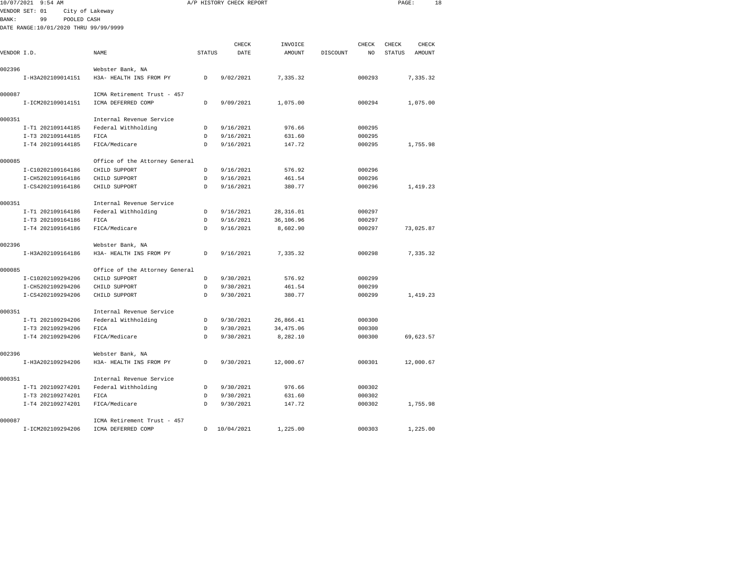| 10/07/2021 9:54 AM                     |                                                 |               | A/P HISTORY CHECK REPORT |            |          |        | PAGE:  | 18        |
|----------------------------------------|-------------------------------------------------|---------------|--------------------------|------------|----------|--------|--------|-----------|
| VENDOR SET: 01                         | City of Lakeway                                 |               |                          |            |          |        |        |           |
| <b>BANK:</b><br>99<br>POOLED CASH      |                                                 |               |                          |            |          |        |        |           |
| DATE RANGE:10/01/2020 THRU 99/99/9999  |                                                 |               |                          |            |          |        |        |           |
|                                        |                                                 |               | CHECK                    | INVOICE    |          | CHECK  | CHECK  | CHECK     |
| VENDOR I.D.                            | NAME                                            | <b>STATUS</b> | DATE                     | AMOUNT     | DISCOUNT | NO     | STATUS | AMOUNT    |
|                                        |                                                 |               |                          |            |          |        |        |           |
| 002396                                 | Webster Bank, NA                                |               |                          |            |          |        |        |           |
| I-H3A202109014151                      | H3A- HEALTH INS FROM PY                         | D             | 9/02/2021                | 7,335.32   |          | 000293 |        | 7,335.32  |
| 000087                                 | ICMA Retirement Trust - 457                     |               |                          |            |          |        |        |           |
| I-ICM202109014151                      | ICMA DEFERRED COMP                              | D             | 9/09/2021                | 1,075.00   |          | 000294 |        | 1,075.00  |
| 000351                                 | Internal Revenue Service                        |               |                          |            |          |        |        |           |
| I-T1 202109144185                      | Federal Withholding                             | D             | 9/16/2021                | 976.66     |          | 000295 |        |           |
| I-T3 202109144185                      | FICA                                            | D             | 9/16/2021                | 631.60     |          | 000295 |        |           |
| I-T4 202109144185                      | FICA/Medicare                                   | <sub>D</sub>  | 9/16/2021                | 147.72     |          | 000295 |        | 1,755.98  |
|                                        |                                                 |               |                          |            |          |        |        |           |
| 000085                                 | Office of the Attorney General<br>CHILD SUPPORT | D             |                          | 576.92     |          | 000296 |        |           |
| I-C10202109164186<br>I-CH5202109164186 | CHILD SUPPORT                                   | D             | 9/16/2021<br>9/16/2021   | 461.54     |          | 000296 |        |           |
| I-CS4202109164186                      | CHILD SUPPORT                                   | $\mathsf{D}$  | 9/16/2021                | 380.77     |          | 000296 |        | 1,419.23  |
|                                        |                                                 |               |                          |            |          |        |        |           |
| 000351                                 | Internal Revenue Service                        |               |                          |            |          |        |        |           |
| I-T1 202109164186                      | Federal Withholding                             | D             | 9/16/2021                | 28, 316.01 |          | 000297 |        |           |
| I-T3 202109164186                      | FICA                                            | D             | 9/16/2021                | 36,106.96  |          | 000297 |        |           |
| I-T4 202109164186                      | FICA/Medicare                                   | D             | 9/16/2021                | 8,602.90   |          | 000297 |        | 73,025.87 |
| 002396                                 | Webster Bank, NA                                |               |                          |            |          |        |        |           |
| I-H3A202109164186                      | H3A- HEALTH INS FROM PY                         | D             | 9/16/2021                | 7,335.32   |          | 000298 |        | 7,335.32  |
| 000085                                 | Office of the Attorney General                  |               |                          |            |          |        |        |           |
| I-C10202109294206                      | CHILD SUPPORT                                   | D             | 9/30/2021                | 576.92     |          | 000299 |        |           |
| I-CH5202109294206                      | CHILD SUPPORT                                   | $\mathsf{D}$  | 9/30/2021                | 461.54     |          | 000299 |        |           |
| I-CS4202109294206                      | CHILD SUPPORT                                   | D             | 9/30/2021                | 380.77     |          | 000299 |        | 1,419.23  |
| 000351                                 | Internal Revenue Service                        |               |                          |            |          |        |        |           |
| I-T1 202109294206                      | Federal Withholding                             | D             | 9/30/2021                | 26,866.41  |          | 000300 |        |           |
| I-T3 202109294206                      | FICA                                            | D             | 9/30/2021                | 34, 475.06 |          | 000300 |        |           |
| I-T4 202109294206                      | FICA/Medicare                                   | <sub>D</sub>  | 9/30/2021                | 8,282.10   |          | 000300 |        | 69,623.57 |
| 002396                                 | Webster Bank, NA                                |               |                          |            |          |        |        |           |
| I-H3A202109294206                      | H3A- HEALTH INS FROM PY                         | D             | 9/30/2021                | 12,000.67  |          | 000301 |        | 12,000.67 |
|                                        |                                                 |               |                          |            |          |        |        |           |
| 000351                                 | Internal Revenue Service                        |               |                          |            |          |        |        |           |
| I-T1 202109274201                      | Federal Withholding                             | D             | 9/30/2021                | 976.66     |          | 000302 |        |           |
| I-T3 202109274201                      | FICA                                            | D             | 9/30/2021                | 631.60     |          | 000302 |        |           |
| I-T4 202109274201                      | FICA/Medicare                                   | D             | 9/30/2021                | 147.72     |          | 000302 |        | 1,755.98  |
| 000087                                 | ICMA Retirement Trust - 457                     |               |                          |            |          |        |        |           |
| I-ICM202109294206                      | ICMA DEFERRED COMP                              | D             | 10/04/2021               | 1,225.00   |          | 000303 |        | 1,225.00  |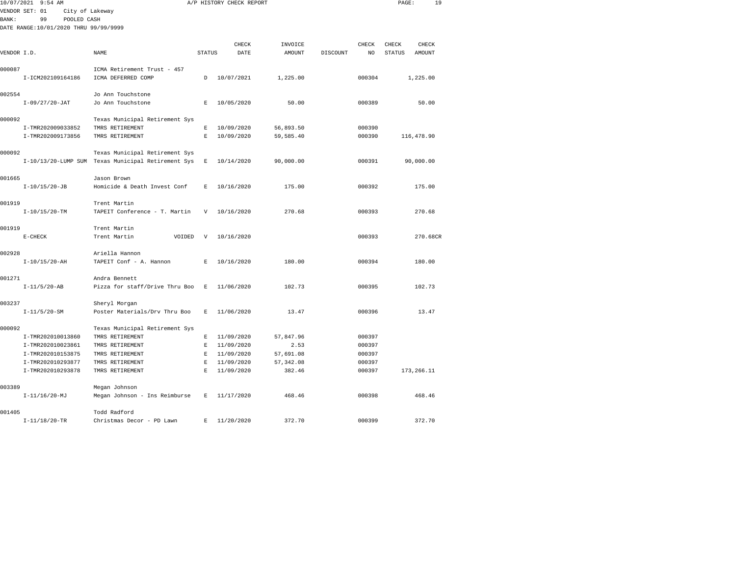| 10/07/2021   | $9:54$ AM                             |                                                    |                | A/P HISTORY CHECK REPORT |            |          |              | PAGE:  | 19          |  |
|--------------|---------------------------------------|----------------------------------------------------|----------------|--------------------------|------------|----------|--------------|--------|-------------|--|
|              | VENDOR SET: 01<br>City of Lakeway     |                                                    |                |                          |            |          |              |        |             |  |
| <b>BANK:</b> | 99<br>POOLED CASH                     |                                                    |                |                          |            |          |              |        |             |  |
|              | DATE RANGE:10/01/2020 THRU 99/99/9999 |                                                    |                |                          |            |          |              |        |             |  |
|              |                                       |                                                    |                | CHECK                    | INVOICE    |          | <b>CHECK</b> | CHECK  | CHECK       |  |
| VENDOR I.D.  |                                       | <b>NAME</b>                                        | <b>STATUS</b>  | DATE                     | AMOUNT     | DISCOUNT | NO           | STATUS | AMOUNT      |  |
|              |                                       |                                                    |                |                          |            |          |              |        |             |  |
| 000087       |                                       | ICMA Retirement Trust - 457                        |                |                          |            |          |              |        |             |  |
|              | I-ICM202109164186                     | ICMA DEFERRED COMP                                 | D              | 10/07/2021               | 1,225.00   |          | 000304       |        | 1,225.00    |  |
|              |                                       |                                                    |                |                          |            |          |              |        |             |  |
| 002554       |                                       | Jo Ann Touchstone                                  |                |                          |            |          |              |        |             |  |
|              | $I-09/27/20-JAT$                      | Jo Ann Touchstone                                  | E              | 10/05/2020               | 50.00      |          | 000389       |        | 50.00       |  |
| 000092       |                                       | Texas Municipal Retirement Sys                     |                |                          |            |          |              |        |             |  |
|              | I-TMR202009033852                     | TMRS RETIREMENT                                    | E              | 10/09/2020               | 56,893.50  |          | 000390       |        |             |  |
|              | I-TMR202009173856                     | TMRS RETIREMENT                                    | $\mathbb E$    | 10/09/2020               | 59,585.40  |          | 000390       |        | 116,478.90  |  |
|              |                                       |                                                    |                |                          |            |          |              |        |             |  |
| 000092       |                                       | Texas Municipal Retirement Sys                     |                |                          |            |          |              |        |             |  |
|              |                                       | I-10/13/20-LUMP SUM Texas Municipal Retirement Sys | $\mathbf{E}$   | 10/14/2020               | 90,000.00  |          | 000391       |        | 90,000.00   |  |
|              |                                       |                                                    |                |                          |            |          |              |        |             |  |
| 001665       |                                       | Jason Brown                                        |                |                          |            |          |              |        |             |  |
|              | $I-10/15/20-JB$                       | Homicide & Death Invest Conf                       | Е              | 10/16/2020               | 175.00     |          | 000392       |        | 175.00      |  |
|              |                                       |                                                    |                |                          |            |          |              |        |             |  |
| 001919       | $I-10/15/20-TM$                       | Trent Martin<br>TAPEIT Conference - T. Martin      | $\overline{V}$ | 10/16/2020               | 270.68     |          | 000393       |        | 270.68      |  |
|              |                                       |                                                    |                |                          |            |          |              |        |             |  |
| 001919       |                                       | Trent Martin                                       |                |                          |            |          |              |        |             |  |
|              | $E-CHECK$                             | Trent Martin<br>VOIDED                             | V              | 10/16/2020               |            |          | 000393       |        | 270.68CR    |  |
|              |                                       |                                                    |                |                          |            |          |              |        |             |  |
| 002928       |                                       | Ariella Hannon                                     |                |                          |            |          |              |        |             |  |
|              | $I-10/15/20-AH$                       | TAPEIT Conf - A. Hannon                            | E              | 10/16/2020               | 180.00     |          | 000394       |        | 180.00      |  |
|              |                                       |                                                    |                |                          |            |          |              |        |             |  |
| 001271       |                                       | Andra Bennett                                      |                |                          |            |          |              |        | 102.73      |  |
|              | $I-11/5/20-AB$                        | Pizza for staff/Drive Thru Boo                     | E              | 11/06/2020               | 102.73     |          | 000395       |        |             |  |
| 003237       |                                       | Sheryl Morgan                                      |                |                          |            |          |              |        |             |  |
|              | $I-11/5/20-SM$                        | Poster Materials/Drv Thru Boo                      | E              | 11/06/2020               | 13.47      |          | 000396       |        | 13.47       |  |
|              |                                       |                                                    |                |                          |            |          |              |        |             |  |
| 000092       |                                       | Texas Municipal Retirement Sys                     |                |                          |            |          |              |        |             |  |
|              | I-TMR202010013860                     | TMRS RETIREMENT                                    | E              | 11/09/2020               | 57,847.96  |          | 000397       |        |             |  |
|              | I-TMR202010023861                     | TMRS RETIREMENT                                    | E              | 11/09/2020               | 2.53       |          | 000397       |        |             |  |
|              | I-TMR202010153875                     | TMRS RETIREMENT                                    | E              | 11/09/2020               | 57,691.08  |          | 000397       |        |             |  |
|              | I-TMR202010293877                     | TMRS RETIREMENT                                    | E.             | 11/09/2020               | 57, 342.08 |          | 000397       |        |             |  |
|              | I-TMR202010293878                     | TMRS RETIREMENT                                    | E.             | 11/09/2020               | 382.46     |          | 000397       |        | 173, 266.11 |  |
| 003389       |                                       | Megan Johnson                                      |                |                          |            |          |              |        |             |  |
|              | $I-11/16/20-MJ$                       | Megan Johnson - Ins Reimburse                      | E              | 11/17/2020               | 468.46     |          | 000398       |        | 468.46      |  |
|              |                                       |                                                    |                |                          |            |          |              |        |             |  |
| 001405       |                                       | Todd Radford                                       |                |                          |            |          |              |        |             |  |

I-11/18/20-TR Christmas Decor - PD Lawn E 11/20/2020 372.70 000399 372.70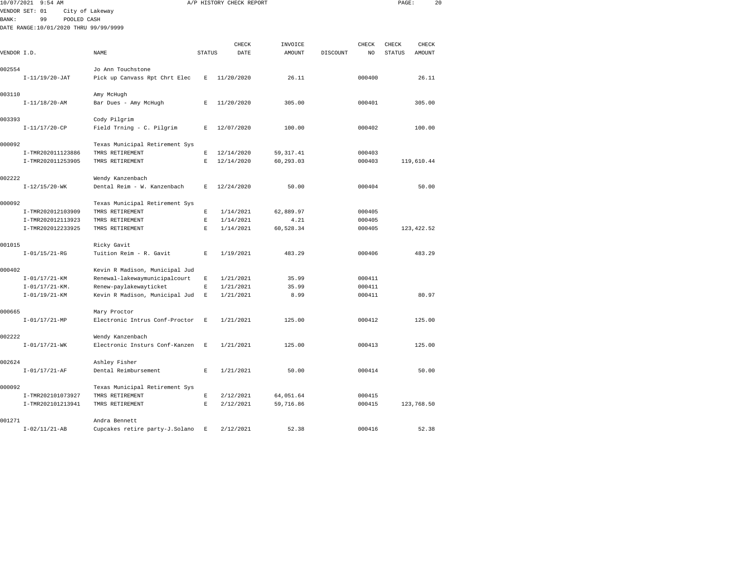|              | 10/07/2021 9:54 AM                    |                                |                    | A/P HISTORY CHECK REPORT |            |          |        | PAGE:         | 20          |  |
|--------------|---------------------------------------|--------------------------------|--------------------|--------------------------|------------|----------|--------|---------------|-------------|--|
|              | VENDOR SET: 01                        | City of Lakeway                |                    |                          |            |          |        |               |             |  |
| <b>BANK:</b> | 99<br>POOLED CASH                     |                                |                    |                          |            |          |        |               |             |  |
|              | DATE RANGE:10/01/2020 THRU 99/99/9999 |                                |                    |                          |            |          |        |               |             |  |
|              |                                       |                                |                    | CHECK                    | INVOICE    |          | CHECK  | CHECK         | CHECK       |  |
| VENDOR I.D.  |                                       | NAME                           | <b>STATUS</b>      | DATE                     | AMOUNT     | DISCOUNT | NO     | <b>STATUS</b> | AMOUNT      |  |
|              |                                       |                                |                    |                          |            |          |        |               |             |  |
| 002554       |                                       | Jo Ann Touchstone              |                    |                          |            |          |        |               |             |  |
|              | $I-11/19/20-JAT$                      | Pick up Canvass Rpt Chrt Elec  | $\mathbb E$        | 11/20/2020               | 26.11      |          | 000400 |               | 26.11       |  |
| 003110       |                                       | Amy McHugh                     |                    |                          |            |          |        |               |             |  |
|              | $I-11/18/20-AM$                       | Bar Dues - Amy McHugh          | E                  | 11/20/2020               | 305.00     |          | 000401 |               | 305.00      |  |
| 003393       |                                       | Cody Pilgrim                   |                    |                          |            |          |        |               |             |  |
|              | $I-11/17/20$ -CP                      | Field Trning - C. Pilgrim      | E                  | 12/07/2020               | 100.00     |          | 000402 |               | 100.00      |  |
| 000092       |                                       | Texas Municipal Retirement Sys |                    |                          |            |          |        |               |             |  |
|              | I-TMR202011123886                     | TMRS RETIREMENT                | $\mathbf E$        | 12/14/2020               | 59, 317.41 |          | 000403 |               |             |  |
|              | I-TMR202011253905                     | TMRS RETIREMENT                | $\mathbf E$        | 12/14/2020               | 60,293.03  |          | 000403 |               | 119,610.44  |  |
| 002222       |                                       | Wendy Kanzenbach               |                    |                          |            |          |        |               |             |  |
|              | $I-12/15/20-WK$                       | Dental Reim - W. Kanzenbach    | E                  | 12/24/2020               | 50.00      |          | 000404 |               | 50.00       |  |
| 000092       |                                       | Texas Municipal Retirement Sys |                    |                          |            |          |        |               |             |  |
|              | I-TMR202012103909                     | TMRS RETIREMENT                | $\mathbf E$        | 1/14/2021                | 62,889.97  |          | 000405 |               |             |  |
|              | I-TMR202012113923                     | TMRS RETIREMENT                | $\mathbf E$        | 1/14/2021                | 4.21       |          | 000405 |               |             |  |
|              | I-TMR202012233925                     | TMRS RETIREMENT                | $\mathbf{E}% _{0}$ | 1/14/2021                | 60,528.34  |          | 000405 |               | 123, 422.52 |  |
| 001015       |                                       | Ricky Gavit                    |                    |                          |            |          |        |               |             |  |
|              | $I - 01/15/21 - RG$                   | Tuition Reim - R. Gavit        | E                  | 1/19/2021                | 483.29     |          | 000406 |               | 483.29      |  |
| 000402       |                                       | Kevin R Madison, Municipal Jud |                    |                          |            |          |        |               |             |  |
|              | $I - 01/17/21 - KM$                   | Renewal-lakewaymunicipalcourt  | $\mathbb E$        | 1/21/2021                | 35.99      |          | 000411 |               |             |  |
|              | $I - 01/17/21 - KM$ .                 | Renew-paylakewayticket         | $\mathbf E$        | 1/21/2021                | 35.99      |          | 000411 |               |             |  |
|              | $I - 01/19/21 - KM$                   | Kevin R Madison, Municipal Jud | $\mathbf E$        | 1/21/2021                | 8.99       |          | 000411 |               | 80.97       |  |
| 000665       |                                       | Mary Proctor                   |                    |                          |            |          |        |               |             |  |
|              | $I - 01/17/21 - MP$                   | Electronic Intrus Conf-Proctor | E                  | 1/21/2021                | 125.00     |          | 000412 |               | 125.00      |  |
| 002222       |                                       | Wendy Kanzenbach               |                    |                          |            |          |        |               |             |  |
|              | $I - 01/17/21 - WK$                   | Electronic Insturs Conf-Kanzen | E                  | 1/21/2021                | 125.00     |          | 000413 |               | 125.00      |  |
| 002624       |                                       | Ashley Fisher                  |                    |                          |            |          |        |               |             |  |
|              | $I - 01/17/21 - AF$                   | Dental Reimbursement           | E                  | 1/21/2021                | 50.00      |          | 000414 |               | 50.00       |  |
| 000092       |                                       | Texas Municipal Retirement Sys |                    |                          |            |          |        |               |             |  |
|              | I-TMR202101073927                     | TMRS RETIREMENT                | $\mathbf E$        | 2/12/2021                | 64,051.64  |          | 000415 |               |             |  |
|              | I-TMR202101213941                     | TMRS RETIREMENT                | E                  | 2/12/2021                | 59,716.86  |          | 000415 |               | 123,768.50  |  |
| 001271       |                                       | Andra Bennett                  |                    |                          |            |          |        |               |             |  |
|              | $I - 02/11/21 - AB$                   | Cupcakes retire party-J.Solano | Е                  | 2/12/2021                | 52.38      |          | 000416 |               | 52.38       |  |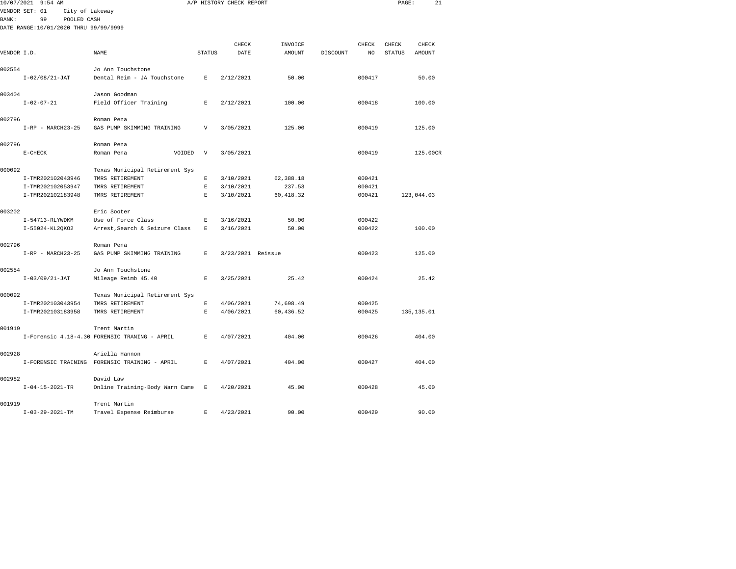|             | 10/07/2021 9:54 AM                    |                                                               |              | A/P HISTORY CHECK REPORT |            |          |        | PAGE:  | 21          |  |
|-------------|---------------------------------------|---------------------------------------------------------------|--------------|--------------------------|------------|----------|--------|--------|-------------|--|
|             | VENDOR SET: 01<br>City of Lakeway     |                                                               |              |                          |            |          |        |        |             |  |
| BANK:       | 99<br>POOLED CASH                     |                                                               |              |                          |            |          |        |        |             |  |
|             | DATE RANGE:10/01/2020 THRU 99/99/9999 |                                                               |              |                          |            |          |        |        |             |  |
|             |                                       |                                                               |              |                          |            |          |        |        |             |  |
|             |                                       |                                                               |              | CHECK                    | INVOICE    |          | CHECK  | CHECK  | CHECK       |  |
| VENDOR I.D. |                                       | NAME                                                          | STATUS       | DATE                     | AMOUNT     | DISCOUNT | NO     | STATUS | AMOUNT      |  |
|             |                                       |                                                               |              |                          |            |          |        |        |             |  |
| 002554      |                                       | Jo Ann Touchstone                                             | $\mathbf{E}$ |                          | 50.00      |          | 000417 |        |             |  |
|             | $I-02/08/21-JAT$                      | Dental Reim - JA Touchstone                                   |              | 2/12/2021                |            |          |        |        | 50.00       |  |
| 003404      |                                       | Jason Goodman                                                 |              |                          |            |          |        |        |             |  |
|             | $I - 02 - 07 - 21$                    | Field Officer Training                                        | E            | 2/12/2021                | 100.00     |          | 000418 |        | 100.00      |  |
|             |                                       |                                                               |              |                          |            |          |        |        |             |  |
| 002796      |                                       | Roman Pena                                                    |              |                          |            |          |        |        |             |  |
|             | $I-RP - MARCH23-25$                   | GAS PUMP SKIMMING TRAINING                                    | $\mathbf{V}$ | 3/05/2021                | 125.00     |          | 000419 |        | 125.00      |  |
|             |                                       |                                                               |              |                          |            |          |        |        |             |  |
| 002796      |                                       | Roman Pena                                                    |              |                          |            |          |        |        |             |  |
|             | $E-CHECK$                             | Roman Pena<br>VOIDED                                          | V            | 3/05/2021                |            |          | 000419 |        | 125.00CR    |  |
|             |                                       |                                                               |              |                          |            |          |        |        |             |  |
| 000092      |                                       | Texas Municipal Retirement Sys                                |              |                          |            |          |        |        |             |  |
|             | I-TMR202102043946                     | TMRS RETIREMENT                                               | E            | 3/10/2021                | 62,388.18  |          | 000421 |        |             |  |
|             | I-TMR202102053947                     | TMRS RETIREMENT                                               | E            | 3/10/2021                | 237.53     |          | 000421 |        |             |  |
|             | I-TMR202102183948                     | TMRS RETIREMENT                                               | E            | 3/10/2021                | 60, 418.32 |          | 000421 |        | 123,044.03  |  |
| 003202      |                                       | Eric Sooter                                                   |              |                          |            |          |        |        |             |  |
|             | I-54713-RLYWDKM                       | Use of Force Class                                            | $\mathbb E$  | 3/16/2021                | 50.00      |          | 000422 |        |             |  |
|             | I-55024-KL2QKO2                       | Arrest, Search & Seizure Class                                | E            | 3/16/2021                | 50.00      |          | 000422 |        | 100.00      |  |
|             |                                       |                                                               |              |                          |            |          |        |        |             |  |
| 002796      |                                       | Roman Pena                                                    |              |                          |            |          |        |        |             |  |
|             | $I-RP - MARCH23-25$                   | GAS PUMP SKIMMING TRAINING                                    | E            | 3/23/2021 Reissue        |            |          | 000423 |        | 125.00      |  |
|             |                                       |                                                               |              |                          |            |          |        |        |             |  |
| 002554      |                                       | Jo Ann Touchstone                                             |              |                          |            |          |        |        |             |  |
|             | $I-03/09/21-JAT$                      | Mileage Reimb 45.40                                           | Е            | 3/25/2021                | 25.42      |          | 000424 |        | 25.42       |  |
|             |                                       |                                                               |              |                          |            |          |        |        |             |  |
| 000092      |                                       | Texas Municipal Retirement Sys                                |              |                          |            |          |        |        |             |  |
|             | I-TMR202103043954                     | TMRS RETIREMENT                                               | E            | 4/06/2021                | 74,698.49  |          | 000425 |        |             |  |
|             | I-TMR202103183958                     | TMRS RETIREMENT                                               | E            | 4/06/2021                | 60,436.52  |          | 000425 |        | 135, 135.01 |  |
| 001919      |                                       |                                                               |              |                          |            |          |        |        |             |  |
|             |                                       | Trent Martin<br>I-Forensic 4.18-4.30 FORENSIC TRANING - APRIL | E            | 4/07/2021                | 404.00     |          | 000426 |        | 404.00      |  |
|             |                                       |                                                               |              |                          |            |          |        |        |             |  |
| 002928      |                                       | Ariella Hannon                                                |              |                          |            |          |        |        |             |  |
|             |                                       | I-FORENSIC TRAINING FORENSIC TRAINING - APRIL                 | E            | 4/07/2021                | 404.00     |          | 000427 |        | 404.00      |  |
|             |                                       |                                                               |              |                          |            |          |        |        |             |  |
| 002982      |                                       | David Law                                                     |              |                          |            |          |        |        |             |  |
|             | $I - 04 - 15 - 2021 - TR$             | Online Training-Body Warn Came                                | $\;$ E       | 4/20/2021                | 45.00      |          | 000428 |        | 45.00       |  |
|             |                                       |                                                               |              |                          |            |          |        |        |             |  |
| 001919      |                                       | Trent Martin                                                  |              |                          |            |          |        |        |             |  |
|             | $I - 03 - 29 - 2021 - TM$             | Travel Expense Reimburse                                      | E            | 4/23/2021                | 90.00      |          | 000429 |        | 90.00       |  |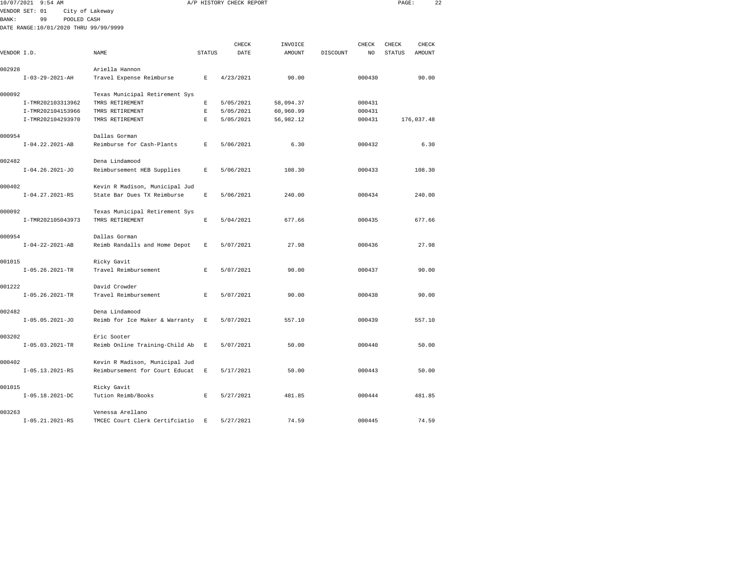| 10/07/2021<br>$9:54$ AM               |                                |               | A/P HISTORY CHECK REPORT |           |          |        | PAGE:         | 22         |  |
|---------------------------------------|--------------------------------|---------------|--------------------------|-----------|----------|--------|---------------|------------|--|
| VENDOR SET: 01                        | City of Lakeway                |               |                          |           |          |        |               |            |  |
| BANK:<br>99<br>POOLED CASH            |                                |               |                          |           |          |        |               |            |  |
| DATE RANGE:10/01/2020 THRU 99/99/9999 |                                |               |                          |           |          |        |               |            |  |
|                                       |                                |               |                          |           |          |        |               |            |  |
|                                       |                                |               | CHECK                    | INVOICE   |          | CHECK  | CHECK         | CHECK      |  |
| VENDOR I.D.                           | NAME                           | <b>STATUS</b> | DATE                     | AMOUNT    | DISCOUNT | NO     | <b>STATUS</b> | AMOUNT     |  |
| 002928                                | Ariella Hannon                 |               |                          |           |          |        |               |            |  |
| $I-03-29-2021-AH$                     | Travel Expense Reimburse       | E             | 4/23/2021                | 90.00     |          | 000430 |               | 90.00      |  |
| 000092                                | Texas Municipal Retirement Sys |               |                          |           |          |        |               |            |  |
| I-TMR202103313962                     | TMRS RETIREMENT                | E             | 5/05/2021                | 58,094.37 |          | 000431 |               |            |  |
| I-TMR202104153966                     | TMRS RETIREMENT                | E             | 5/05/2021                | 60,960.99 |          | 000431 |               |            |  |
| I-TMR202104293970                     | TMRS RETIREMENT                | E             | 5/05/2021                | 56,982.12 |          | 000431 |               | 176,037.48 |  |
| 000954                                | Dallas Gorman                  |               |                          |           |          |        |               |            |  |
| $I-04.22.2021-AB$                     | Reimburse for Cash-Plants      | E             | 5/06/2021                | 6.30      |          | 000432 |               | 6.30       |  |
| 002482                                | Dena Lindamood                 |               |                          |           |          |        |               |            |  |
| $I-04.26.2021-J0$                     | Reimbursement HEB Supplies     | $\mathbb E$   | 5/06/2021                | 108.30    |          | 000433 |               | 108.30     |  |
| 000402                                | Kevin R Madison, Municipal Jud |               |                          |           |          |        |               |            |  |
| $I-04.27.2021-RS$                     | State Bar Dues TX Reimburse    | E             | 5/06/2021                | 240.00    |          | 000434 |               | 240.00     |  |
| 000092                                | Texas Municipal Retirement Sys |               |                          |           |          |        |               |            |  |
| I-TMR202105043973                     | TMRS RETIREMENT                | $\mathbb E$   | 5/04/2021                | 677.66    |          | 000435 |               | 677.66     |  |
| 000954                                | Dallas Gorman                  |               |                          |           |          |        |               |            |  |
| $I - 04 - 22 - 2021 - AB$             | Reimb Randalls and Home Depot  | E             | 5/07/2021                | 27.98     |          | 000436 |               | 27.98      |  |
| 001015                                | Ricky Gavit                    |               |                          |           |          |        |               |            |  |
| $I-05.26.2021-TR$                     | Travel Reimbursement           | $\mathbb E$   | 5/07/2021                | 90.00     |          | 000437 |               | 90.00      |  |
| 001222                                | David Crowder                  |               |                          |           |          |        |               |            |  |
| $I-05.26.2021-TR$                     | Travel Reimbursement           | E             | 5/07/2021                | 90.00     |          | 000438 |               | 90.00      |  |
| 002482                                | Dena Lindamood                 |               |                          |           |          |        |               |            |  |
| $I-05.05.2021-J0$                     | Reimb for Ice Maker & Warranty | $\mathbf E$   | 5/07/2021                | 557.10    |          | 000439 |               | 557.10     |  |
| 003202                                | Eric Sooter                    |               |                          |           |          |        |               |            |  |
| $I-05.03.2021-TR$                     | Reimb Online Training-Child Ab | $\,$ E        | 5/07/2021                | 50.00     |          | 000440 |               | 50.00      |  |
| 000402                                | Kevin R Madison, Municipal Jud |               |                          |           |          |        |               |            |  |
| $I-05.13.2021-RS$                     | Reimbursement for Court Educat | E             | 5/17/2021                | 50.00     |          | 000443 |               | 50.00      |  |
| 001015                                | Ricky Gavit                    |               |                          |           |          |        |               |            |  |
| $I-05.18.2021-DC$                     | Tution Reimb/Books             | $\mathbb E$   | 5/27/2021                | 481.85    |          | 000444 |               | 481.85     |  |
| 003263                                | Venessa Arellano               |               |                          |           |          |        |               |            |  |
| $T-05.21.2021 - RS$                   | TMCRC Court Clerk Certifiiatio | E.            | 5/27/2021                | 74.59     |          | 000445 |               | 74.59      |  |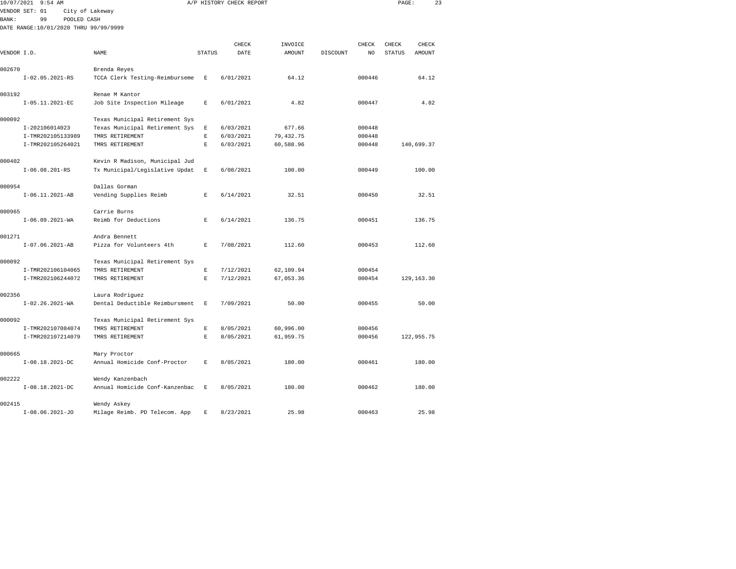|              | 10/07/2021 9:54 AM                    |                                |                    | A/P HISTORY CHECK REPORT |               |          |        | PAGE:         | 23          |  |
|--------------|---------------------------------------|--------------------------------|--------------------|--------------------------|---------------|----------|--------|---------------|-------------|--|
|              | VENDOR SET: 01                        | City of Lakeway                |                    |                          |               |          |        |               |             |  |
| <b>BANK:</b> | 99<br>POOLED CASH                     |                                |                    |                          |               |          |        |               |             |  |
|              | DATE RANGE:10/01/2020 THRU 99/99/9999 |                                |                    |                          |               |          |        |               |             |  |
|              |                                       |                                |                    | CHECK                    | INVOICE       |          | CHECK  | CHECK         | CHECK       |  |
| VENDOR I.D.  |                                       | NAME                           | <b>STATUS</b>      | DATE                     | <b>AMOUNT</b> | DISCOUNT | NO     | <b>STATUS</b> | AMOUNT      |  |
|              |                                       |                                |                    |                          |               |          |        |               |             |  |
| 002670       |                                       | Brenda Reyes                   |                    |                          |               |          |        |               |             |  |
|              | $I-02.05.2021-RS$                     | TCCA Clerk Testing-Reimburseme | E                  | 6/01/2021                | 64.12         |          | 000446 |               | 64.12       |  |
| 003192       |                                       | Renae M Kantor                 |                    |                          |               |          |        |               |             |  |
|              | I-05.11.2021-EC                       | Job Site Inspection Mileage    | E                  | 6/01/2021                | 4.82          |          | 000447 |               | 4.82        |  |
| 000092       |                                       | Texas Municipal Retirement Sys |                    |                          |               |          |        |               |             |  |
|              | I-202106014023                        | Texas Municipal Retirement Sys | $\mathbb E$        | 6/03/2021                | 677.66        |          | 000448 |               |             |  |
|              | I-TMR202105133989                     | TMRS RETIREMENT                | $\mathbf E$        | 6/03/2021                | 79, 432. 75   |          | 000448 |               |             |  |
|              | I-TMR202105264021                     | TMRS RETIREMENT                | $\mathbf{E}% _{0}$ | 6/03/2021                | 60,588.96     |          | 000448 |               | 140,699.37  |  |
| 000402       |                                       | Kevin R Madison, Municipal Jud |                    |                          |               |          |        |               |             |  |
|              | $I-06.08.201-RS$                      | Tx Municipal/Legislative Updat | $\mathbf E$        | 6/08/2021                | 100.00        |          | 000449 |               | 100.00      |  |
| 000954       |                                       | Dallas Gorman                  |                    |                          |               |          |        |               |             |  |
|              | I-06.11.2021-AB                       | Vending Supplies Reimb         | E                  | 6/14/2021                | 32.51         |          | 000450 |               | 32.51       |  |
| 000965       |                                       | Carrie Burns                   |                    |                          |               |          |        |               |             |  |
|              | $I-06.09.2021-WA$                     | Reimb for Deductions           | $\mathbf{E}% _{0}$ | 6/14/2021                | 136.75        |          | 000451 |               | 136.75      |  |
| 001271       |                                       | Andra Bennett                  |                    |                          |               |          |        |               |             |  |
|              | $I-07.06.2021-AB$                     | Pizza for Volunteers 4th       | E                  | 7/08/2021                | 112.60        |          | 000453 |               | 112.60      |  |
|              |                                       |                                |                    |                          |               |          |        |               |             |  |
| 000092       |                                       | Texas Municipal Retirement Sys |                    |                          |               |          |        |               |             |  |
|              | I-TMR202106104065                     | TMRS RETIREMENT                | E                  | 7/12/2021                | 62,109.94     |          | 000454 |               |             |  |
|              | I-TMR202106244072                     | TMRS RETIREMENT                | $\mathbf E$        | 7/12/2021                | 67,053.36     |          | 000454 |               | 129, 163.30 |  |
| 002356       |                                       | Laura Rodriguez                |                    |                          |               |          |        |               |             |  |
|              | $I-02.26.2021-WA$                     | Dental Deductible Reimbursment | E                  | 7/09/2021                | 50.00         |          | 000455 |               | 50.00       |  |
| 000092       |                                       | Texas Municipal Retirement Sys |                    |                          |               |          |        |               |             |  |
|              | I-TMR202107084074                     | TMRS RETIREMENT                | E                  | 8/05/2021                | 60,996.00     |          | 000456 |               |             |  |
|              | I-TMR202107214079                     | TMRS RETIREMENT                | $\mathbf{E}$       | 8/05/2021                | 61,959.75     |          | 000456 |               | 122,955.75  |  |
| 000665       |                                       | Mary Proctor                   |                    |                          |               |          |        |               |             |  |
|              | $I-08.18.2021-DC$                     | Annual Homicide Conf-Proctor   | $\mathbf{E}% _{0}$ | 8/05/2021                | 180.00        |          | 000461 |               | 180.00      |  |
| 002222       |                                       | Wendy Kanzenbach               |                    |                          |               |          |        |               |             |  |
|              | $I-08.18.2021-DC$                     | Annual Homicide Conf-Kanzenbac | $\mathbf E$        | 8/05/2021                | 180.00        |          | 000462 |               | 180.00      |  |
| 002415       |                                       | Wendy Askey                    |                    |                          |               |          |        |               |             |  |

I-08.06.2021-JO Milage Reimb. PD Telecom. App E 8/23/2021 25.98 000463 25.98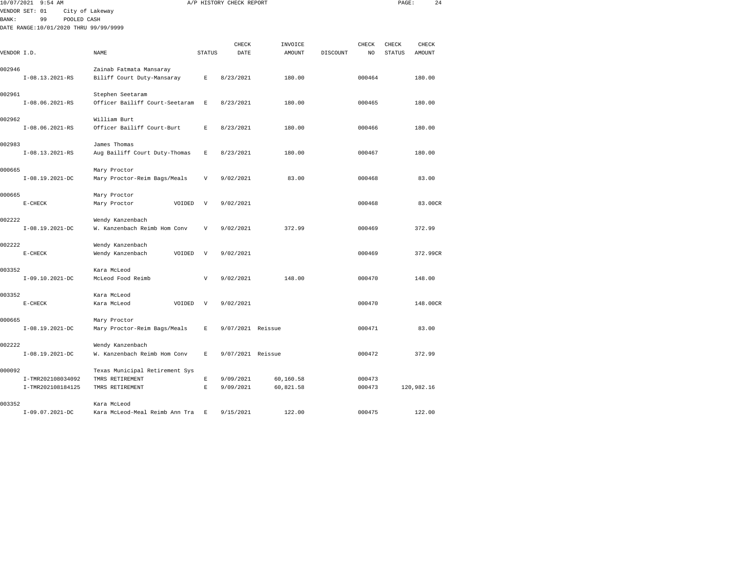| 10/07/2021 9:54 AM                    |                                |               | A/P HISTORY CHECK REPORT |                   |          |              | PAGE:                  | 24              |  |
|---------------------------------------|--------------------------------|---------------|--------------------------|-------------------|----------|--------------|------------------------|-----------------|--|
| VENDOR SET: 01                        | City of Lakeway                |               |                          |                   |          |              |                        |                 |  |
| 99<br>POOLED CASH<br><b>BANK:</b>     |                                |               |                          |                   |          |              |                        |                 |  |
| DATE RANGE:10/01/2020 THRU 99/99/9999 |                                |               |                          |                   |          |              |                        |                 |  |
|                                       |                                |               |                          |                   |          |              |                        |                 |  |
| VENDOR I.D.                           | NAME                           | <b>STATUS</b> | CHECK<br>DATE            | INVOICE<br>AMOUNT | DISCOUNT | CHECK<br>NO. | CHECK<br><b>STATUS</b> | CHECK<br>AMOUNT |  |
|                                       |                                |               |                          |                   |          |              |                        |                 |  |
| 002946                                | Zainab Fatmata Mansaray        |               |                          |                   |          |              |                        |                 |  |
| $I-08.13.2021-RS$                     | Biliff Court Duty-Mansaray     | $\mathbf E$   | 8/23/2021                | 180.00            |          | 000464       |                        | 180.00          |  |
| 002961                                | Stephen Seetaram               |               |                          |                   |          |              |                        |                 |  |
| $I-08.06.2021-RS$                     | Officer Bailiff Court-Seetaram | $\mathbb E$   | 8/23/2021                | 180.00            |          | 000465       |                        | 180.00          |  |
| 002962                                | William Burt                   |               |                          |                   |          |              |                        |                 |  |
| $I-08.06.2021-RS$                     | Officer Bailiff Court-Burt     | $\mathbf{E}$  | 8/23/2021                | 180.00            |          | 000466       |                        | 180.00          |  |
| 002983                                | James Thomas                   |               |                          |                   |          |              |                        |                 |  |
| $I-08.13.2021-RS$                     | Aug Bailiff Court Duty-Thomas  | Е             | 8/23/2021                | 180.00            |          | 000467       |                        | 180.00          |  |
| 000665                                | Mary Proctor                   |               |                          |                   |          |              |                        |                 |  |
| I-08.19.2021-DC                       | Mary Proctor-Reim Bags/Meals   | $\mathbf v$   | 9/02/2021                | 83.00             |          | 000468       |                        | 83.00           |  |
| 000665                                | Mary Proctor                   |               |                          |                   |          |              |                        |                 |  |
| $E-CHECK$                             | Mary Proctor<br>VOIDED         | V             | 9/02/2021                |                   |          | 000468       |                        | 83.00CR         |  |
| 002222                                | Wendy Kanzenbach               |               |                          |                   |          |              |                        |                 |  |
| $I-08.19.2021-DC$                     | W. Kanzenbach Reimb Hom Conv   | V             | 9/02/2021                | 372.99            |          | 000469       |                        | 372.99          |  |
| 002222                                | Wendy Kanzenbach               |               |                          |                   |          |              |                        |                 |  |
| $E-CHECK$                             | Wendy Kanzenbach<br>VOIDED     | V             | 9/02/2021                |                   |          | 000469       |                        | 372.99CR        |  |
| 003352                                | Kara McLeod                    |               |                          |                   |          |              |                        |                 |  |
| I-09.10.2021-DC                       | McLeod Food Reimb              | $\mathbf{V}$  | 9/02/2021                | 148.00            |          | 000470       |                        | 148.00          |  |
| 003352                                | Kara McLeod                    |               |                          |                   |          |              |                        |                 |  |
| $E-CHECK$                             | Kara McLeod<br>VOIDED          | V             | 9/02/2021                |                   |          | 000470       |                        | 148.00CR        |  |
| 000665                                | Mary Proctor                   |               |                          |                   |          |              |                        |                 |  |
| $I-08.19.2021-DC$                     | Mary Proctor-Reim Bags/Meals   | $\mathbf{E}$  | 9/07/2021 Reissue        |                   |          | 000471       |                        | 83.00           |  |
| 002222                                | Wendy Kanzenbach               |               |                          |                   |          |              |                        |                 |  |
| $I-08.19.2021-DC$                     | W. Kanzenbach Reimb Hom Conv   | E             | 9/07/2021 Reissue        |                   |          | 000472       |                        | 372.99          |  |
| 000092                                | Texas Municipal Retirement Sys |               |                          |                   |          |              |                        |                 |  |
| I-TMR202108034092                     | TMRS RETIREMENT                | $\mathbb E$   | 9/09/2021                | 60,160.58         |          | 000473       |                        |                 |  |
| I-TMR202108184125                     | TMRS RETIREMENT                | $\mathbb E$   | 9/09/2021                | 60,821.58         |          | 000473       |                        | 120,982.16      |  |
| 003352                                | Kara McLeod                    |               |                          |                   |          |              |                        |                 |  |
| I-09.07.2021-DC                       | Kara McLeod-Meal Reimb Ann Tra | E             | 9/15/2021                | 122.00            |          | 000475       |                        | 122.00          |  |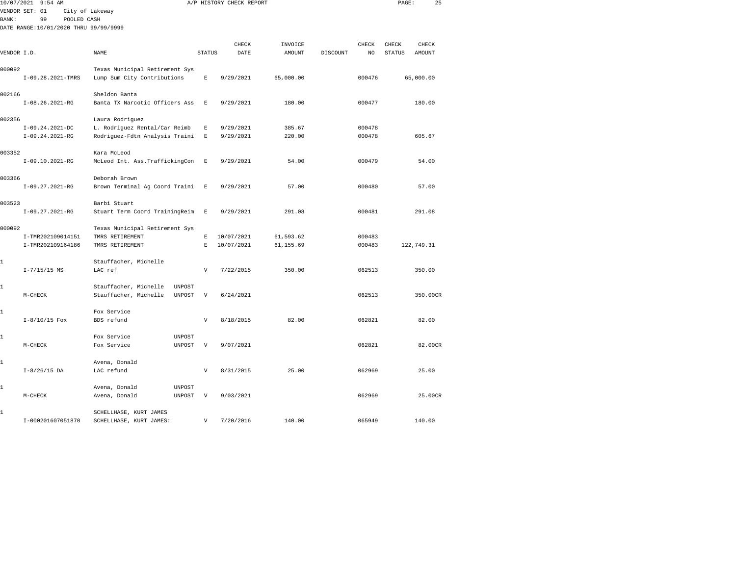| 10/07/2021   | 9:54 AM                               |                                                    |                    | A/P HISTORY CHECK REPORT |           |          |        | PAGE:         | 25       |
|--------------|---------------------------------------|----------------------------------------------------|--------------------|--------------------------|-----------|----------|--------|---------------|----------|
|              | VENDOR SET: 01                        | City of Lakeway                                    |                    |                          |           |          |        |               |          |
| <b>BANK:</b> | 99<br>POOLED CASH                     |                                                    |                    |                          |           |          |        |               |          |
|              | DATE RANGE:10/01/2020 THRU 99/99/9999 |                                                    |                    |                          |           |          |        |               |          |
|              |                                       |                                                    |                    | CHECK                    | INVOICE   |          | CHECK  | CHECK         | CHECK    |
| VENDOR I.D.  |                                       | NAME                                               | <b>STATUS</b>      | DATE                     | AMOUNT    | DISCOUNT | NO     | <b>STATUS</b> | AMOUNT   |
|              |                                       |                                                    |                    |                          |           |          |        |               |          |
| 000092       |                                       | Texas Municipal Retirement Sys                     |                    |                          |           |          |        |               |          |
|              | I-09.28.2021-TMRS                     | Lump Sum City Contributions                        | $\mathbb E$        | 9/29/2021                | 65,000.00 |          | 000476 | 65,000.00     |          |
|              |                                       |                                                    |                    |                          |           |          |        |               |          |
| 002166       |                                       | Sheldon Banta                                      |                    |                          |           |          |        |               |          |
|              | $I-08.26.2021-RG$                     | Banta TX Narcotic Officers Ass                     | Е                  | 9/29/2021                | 180.00    |          | 000477 |               | 180.00   |
| 002356       |                                       | Laura Rodriguez                                    |                    |                          |           |          |        |               |          |
|              | $I-09.24.2021-DC$                     | L. Rodriguez Rental/Car Reimb                      | E                  | 9/29/2021                | 385.67    |          | 000478 |               |          |
|              | $I-09.24.2021-RG$                     | Rodriguez-Fdtn Analysis Traini                     | $\mathbf E$        | 9/29/2021                | 220.00    |          | 000478 |               | 605.67   |
|              |                                       |                                                    |                    |                          |           |          |        |               |          |
| 003352       |                                       | Kara McLeod                                        |                    |                          |           |          |        |               |          |
|              | I-09.10.2021-RG                       | McLeod Int. Ass. TraffickingCon                    | E                  | 9/29/2021                | 54.00     |          | 000479 |               | 54.00    |
|              |                                       |                                                    |                    |                          |           |          |        |               |          |
| 003366       | I-09.27.2021-RG                       | Deborah Brown<br>Brown Terminal Ag Coord Traini    | E                  | 9/29/2021                | 57.00     |          | 000480 |               | 57.00    |
|              |                                       |                                                    |                    |                          |           |          |        |               |          |
| 003523       |                                       | Barbi Stuart                                       |                    |                          |           |          |        |               |          |
|              | $I-09.27.2021-RG$                     | Stuart Term Coord TrainingReim                     | $\,$ E             | 9/29/2021                | 291.08    |          | 000481 |               | 291.08   |
|              |                                       |                                                    |                    |                          |           |          |        |               |          |
| 000092       |                                       | Texas Municipal Retirement Sys                     |                    |                          |           |          |        |               |          |
|              | I-TMR202109014151                     | TMRS RETIREMENT                                    | E                  | 10/07/2021               | 61,593.62 |          | 000483 |               |          |
|              | I-TMR202109164186                     | TMRS RETIREMENT                                    | $\mathbf{E}% _{0}$ | 10/07/2021               | 61,155.69 |          | 000483 | 122,749.31    |          |
| 1            |                                       | Stauffacher, Michelle                              |                    |                          |           |          |        |               |          |
|              | $I - 7/15/15$ MS                      | LAC ref                                            | V                  | 7/22/2015                | 350.00    |          | 062513 |               | 350.00   |
|              |                                       |                                                    |                    |                          |           |          |        |               |          |
| 1            |                                       | Stauffacher, Michelle<br>UNPOST                    |                    |                          |           |          |        |               |          |
|              | $M-CHECK$                             | Stauffacher, Michelle<br><b>UNPOST</b>             | V                  | 6/24/2021                |           |          | 062513 |               | 350.00CR |
|              |                                       |                                                    |                    |                          |           |          |        |               |          |
| 1            | $I-8/10/15$ Fox                       | Fox Service<br>BDS refund                          | $\mathbf{V}$       | 8/18/2015                | 82.00     |          | 062821 |               | 82.00    |
|              |                                       |                                                    |                    |                          |           |          |        |               |          |
| 1            |                                       | Fox Service<br><b>UNPOST</b>                       |                    |                          |           |          |        |               |          |
|              | M-CHECK                               | Fox Service<br>UNPOST                              | V                  | 9/07/2021                |           |          | 062821 |               | 82.00CR  |
|              |                                       |                                                    |                    |                          |           |          |        |               |          |
| 1            |                                       | Avena, Donald                                      |                    |                          |           |          |        |               |          |
|              | $I-8/26/15$ DA                        | LAC refund                                         | $\mathbf{V}$       | 8/31/2015                | 25.00     |          | 062969 |               | 25.00    |
|              |                                       |                                                    |                    |                          |           |          |        |               |          |
| 1            | $M-CHECK$                             | Avena, Donald<br>UNPOST<br>Avena, Donald<br>UNPOST | V                  | 9/03/2021                |           |          | 062969 |               | 25.00CR  |
|              |                                       |                                                    |                    |                          |           |          |        |               |          |
| 1            |                                       | SCHELLHASE, KURT JAMES                             |                    |                          |           |          |        |               |          |

I-000201607051870 SCHELLHASE, KURT JAMES: V 7/20/2016 140.00 065949 140.00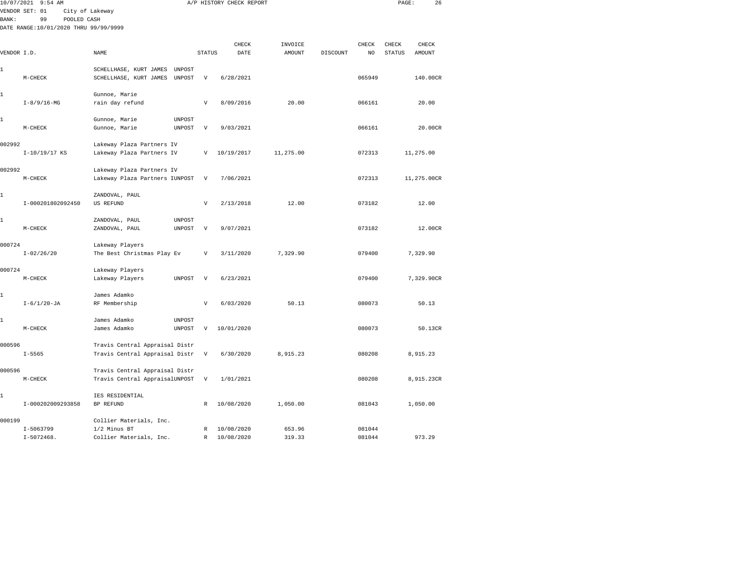|             | 10/07/2021 9:54 AM                    |                                                        |                           | A/P HISTORY CHECK REPORT |               |                 |        | PAGE:         | 26            |  |
|-------------|---------------------------------------|--------------------------------------------------------|---------------------------|--------------------------|---------------|-----------------|--------|---------------|---------------|--|
|             | VENDOR SET: 01                        | City of Lakeway                                        |                           |                          |               |                 |        |               |               |  |
| BANK:       | 99<br>POOLED CASH                     |                                                        |                           |                          |               |                 |        |               |               |  |
|             | DATE RANGE:10/01/2020 THRU 99/99/9999 |                                                        |                           |                          |               |                 |        |               |               |  |
|             |                                       |                                                        |                           | CHECK                    | INVOICE       |                 | CHECK  | CHECK         | CHECK         |  |
| VENDOR I.D. |                                       | NAME                                                   | <b>STATUS</b>             | DATE                     | <b>AMOUNT</b> | <b>DISCOUNT</b> | NO     | <b>STATUS</b> | <b>AMOUNT</b> |  |
|             |                                       |                                                        |                           |                          |               |                 |        |               |               |  |
| 1           |                                       | SCHELLHASE, KURT JAMES<br>UNPOST                       |                           |                          |               |                 |        |               |               |  |
|             | $M-CHECK$                             | UNPOST<br>SCHELLHASE, KURT JAMES                       | V                         | 6/28/2021                |               |                 | 065949 |               | 140.00CR      |  |
| 1           |                                       | Gunnoe, Marie                                          |                           |                          |               |                 |        |               |               |  |
|             | $I - 8/9/16 - MG$                     | rain day refund                                        | $\mathbf{V}$              | 8/09/2016                | 20.00         |                 | 066161 |               | 20.00         |  |
|             |                                       |                                                        |                           |                          |               |                 |        |               |               |  |
| 1           |                                       | Gunnoe, Marie<br>UNPOST                                |                           |                          |               |                 |        |               |               |  |
|             | $M-CHECK$                             | Gunnoe, Marie<br>UNPOST                                | $\mathbf v$               | 9/03/2021                |               |                 | 066161 |               | 20.00CR       |  |
|             |                                       |                                                        |                           |                          |               |                 |        |               |               |  |
| 002992      | I-10/19/17 KS                         | Lakeway Plaza Partners IV<br>Lakeway Plaza Partners IV | $\overline{V}$            | 10/19/2017               | 11,275.00     |                 | 072313 |               | 11,275.00     |  |
|             |                                       |                                                        |                           |                          |               |                 |        |               |               |  |
| 002992      |                                       | Lakeway Plaza Partners IV                              |                           |                          |               |                 |        |               |               |  |
|             | M-CHECK                               | Lakeway Plaza Partners IUNPOST                         | V                         | 7/06/2021                |               |                 | 072313 |               | 11,275.00CR   |  |
|             |                                       |                                                        |                           |                          |               |                 |        |               |               |  |
| 1           |                                       | ZANDOVAL, PAUL                                         |                           |                          |               |                 |        |               |               |  |
|             | I-000201802092450                     | US REFUND                                              | $\boldsymbol{\mathrm{V}}$ | 2/13/2018                | 12.00         |                 | 073182 |               | 12.00         |  |
| 1           |                                       | ZANDOVAL, PAUL<br><b>UNPOST</b>                        |                           |                          |               |                 |        |               |               |  |
|             | $M-CHECK$                             | ZANDOVAL, PAUL<br><b>UNPOST</b>                        | $\boldsymbol{\mathrm{V}}$ | 9/07/2021                |               |                 | 073182 |               | 12.00CR       |  |
|             |                                       |                                                        |                           |                          |               |                 |        |               |               |  |
| 000724      |                                       | Lakeway Players                                        |                           |                          |               |                 |        |               |               |  |
|             | $I - 02/26/20$                        | The Best Christmas Play Ev                             | $\mathbf{V}$              | 3/11/2020                | 7.329.90      |                 | 079400 |               | 7,329.90      |  |
| 000724      |                                       | Lakeway Players                                        |                           |                          |               |                 |        |               |               |  |
|             | $M-CHECK$                             | <b>UNPOST</b><br>Lakeway Players                       | $\boldsymbol{\mathrm{V}}$ | 6/23/2021                |               |                 | 079400 |               | 7,329.90CR    |  |
|             |                                       |                                                        |                           |                          |               |                 |        |               |               |  |
| 1           |                                       | James Adamko                                           |                           |                          |               |                 |        |               |               |  |
|             | $I - 6/1/20 - JA$                     | RF Membership                                          | $\mathbf{V}$              | 6/03/2020                | 50.13         |                 | 080073 |               | 50.13         |  |
| 1           |                                       | James Adamko<br>UNPOST                                 |                           |                          |               |                 |        |               |               |  |
|             | $M-CHECK$                             | UNPOST<br>James Adamko                                 | V                         | 10/01/2020               |               |                 | 080073 |               | 50.13CR       |  |
|             |                                       |                                                        |                           |                          |               |                 |        |               |               |  |
| 000596      |                                       | Travis Central Appraisal Distr                         |                           |                          |               |                 |        |               |               |  |
|             | $I - 5565$                            | Travis Central Appraisal Distr                         | V                         | 6/30/2020                | 8,915.23      |                 | 080208 |               | 8,915.23      |  |
| 000596      |                                       | Travis Central Appraisal Distr                         |                           |                          |               |                 |        |               |               |  |
|             | $M-CHECK$                             | Travis Central AppraisalUNPOST                         | $\boldsymbol{\mathrm{V}}$ | 1/01/2021                |               |                 | 080208 |               | 8,915.23CR    |  |
|             |                                       |                                                        |                           |                          |               |                 |        |               |               |  |
| 1           |                                       | IES RESIDENTIAL                                        |                           |                          |               |                 |        |               |               |  |
|             | I-000202009293858                     | BP REFUND                                              | R                         | 10/08/2020               | 1,050.00      |                 | 081043 |               | 1,050.00      |  |
| 000199      |                                       |                                                        |                           |                          |               |                 |        |               |               |  |
|             | $I - 5063799$                         | Collier Materials, Inc.<br>1/2 Minus BT                | R                         | 10/08/2020               | 653.96        |                 | 081044 |               |               |  |
|             |                                       |                                                        |                           |                          |               |                 |        |               |               |  |

I-5072468. Collier Materials, Inc. R 10/08/2020 319.33 081044 973.29

081044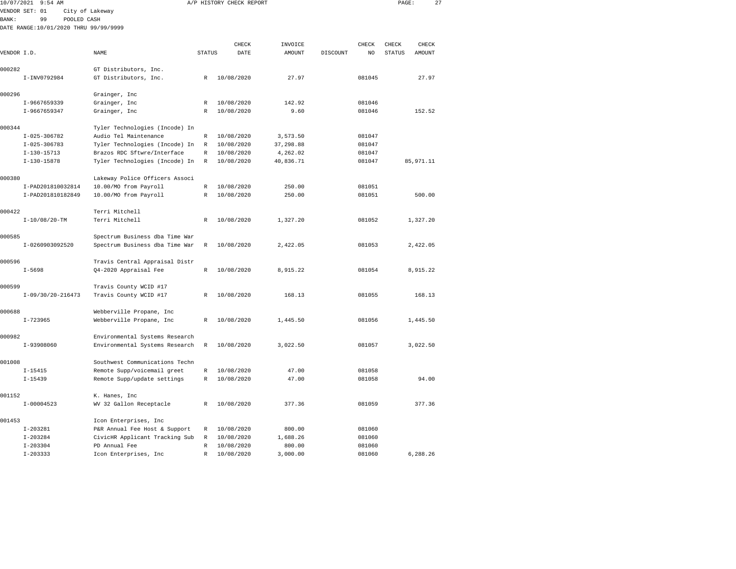| 10/07/2021<br>$9:54$ AM |                                       |                                |               | A/P HISTORY CHECK REPORT | PAGE:     |          | 27     |               |            |  |
|-------------------------|---------------------------------------|--------------------------------|---------------|--------------------------|-----------|----------|--------|---------------|------------|--|
|                         | VENDOR SET: 01                        | City of Lakeway                |               |                          |           |          |        |               |            |  |
| <b>BANK:</b>            | 99<br>POOLED CASH                     |                                |               |                          |           |          |        |               |            |  |
|                         | DATE RANGE:10/01/2020 THRU 99/99/9999 |                                |               |                          |           |          |        |               |            |  |
|                         |                                       |                                |               |                          |           |          |        |               |            |  |
|                         |                                       |                                |               | CHECK                    | INVOICE   |          | CHECK  | CHECK         | CHECK      |  |
| VENDOR I.D.             |                                       | NAME                           | <b>STATUS</b> | DATE                     | AMOUNT    | DISCOUNT | NO     | <b>STATUS</b> | AMOUNT     |  |
| 000282                  |                                       | GT Distributors, Inc.          |               |                          |           |          |        |               |            |  |
|                         | I-INV0792984                          | GT Distributors, Inc.          | R             | 10/08/2020               | 27.97     |          | 081045 |               | 27.97      |  |
|                         |                                       |                                |               |                          |           |          |        |               |            |  |
| 000296                  |                                       | Grainger, Inc                  |               |                          |           |          |        |               |            |  |
|                         | I-9667659339                          | Grainger, Inc                  | $\mathbb R$   | 10/08/2020               | 142.92    |          | 081046 |               |            |  |
|                         | I-9667659347                          | Grainger, Inc                  | R             | 10/08/2020               | 9.60      |          | 081046 |               | 152.52     |  |
| 000344                  |                                       | Tyler Technologies (Incode) In |               |                          |           |          |        |               |            |  |
|                         | $I - 025 - 306782$                    | Audio Tel Maintenance          | $\mathbb R$   | 10/08/2020               | 3,573.50  |          | 081047 |               |            |  |
|                         | $I-025-306783$                        | Tyler Technologies (Incode) In | $\mathbb R$   | 10/08/2020               | 37,298.88 |          | 081047 |               |            |  |
|                         | $I-130-15713$                         | Brazos RDC Sftwre/Interface    | $\mathbb{R}$  | 10/08/2020               | 4,262.02  |          | 081047 |               |            |  |
|                         | $I-130-15878$                         | Tyler Technologies (Incode) In | $\mathbb R$   | 10/08/2020               | 40,836.71 |          | 081047 |               | 85, 971.11 |  |
| 000380                  |                                       | Lakeway Police Officers Associ |               |                          |           |          |        |               |            |  |
|                         | I-PAD201810032814                     | 10.00/MO from Payroll          | R             | 10/08/2020               | 250.00    |          | 081051 |               |            |  |
|                         | I-PAD201810182849                     | 10.00/MO from Payroll          | $\mathbb{R}$  | 10/08/2020               | 250.00    |          | 081051 |               | 500.00     |  |
|                         |                                       |                                |               |                          |           |          |        |               |            |  |
| 000422                  |                                       | Terri Mitchell                 |               |                          |           |          |        |               |            |  |
|                         | $I-10/08/20-TM$                       | Terri Mitchell                 | R             | 10/08/2020               | 1,327.20  |          | 081052 |               | 1,327.20   |  |
| 000585                  |                                       | Spectrum Business dba Time War |               |                          |           |          |        |               |            |  |
|                         | I-0260903092520                       | Spectrum Business dba Time War | $\mathbb R$   | 10/08/2020               | 2,422.05  |          | 081053 |               | 2,422.05   |  |
|                         |                                       |                                |               |                          |           |          |        |               |            |  |
| 000596                  |                                       | Travis Central Appraisal Distr |               |                          |           |          |        |               |            |  |
|                         | $I - 5698$                            | Q4-2020 Appraisal Fee          | R             | 10/08/2020               | 8,915.22  |          | 081054 |               | 8,915.22   |  |
| 000599                  |                                       | Travis County WCID #17         |               |                          |           |          |        |               |            |  |
|                         | $I-09/30/20-216473$                   | Travis County WCID #17         | R             | 10/08/2020               | 168.13    |          | 081055 |               | 168.13     |  |
|                         |                                       |                                |               |                          |           |          |        |               |            |  |
| 000688                  |                                       | Webberville Propane, Inc       |               |                          |           |          |        |               |            |  |
|                         | $I - 723965$                          | Webberville Propane, Inc       | R             | 10/08/2020               | 1,445.50  |          | 081056 |               | 1,445.50   |  |
| 000982                  |                                       | Environmental Systems Research |               |                          |           |          |        |               |            |  |
|                         | I-93908060                            | Environmental Systems Research | R             | 10/08/2020               | 3,022.50  |          | 081057 |               | 3,022.50   |  |
|                         |                                       |                                |               |                          |           |          |        |               |            |  |
| 001008                  |                                       | Southwest Communications Techn |               |                          |           |          |        |               |            |  |
|                         | $I - 15415$                           | Remote Supp/voicemail greet    | R             | 10/08/2020               | 47.00     |          | 081058 |               |            |  |
|                         | $I - 15439$                           | Remote Supp/update settings    | R             | 10/08/2020               | 47.00     |          | 081058 |               | 94.00      |  |
| 001152                  |                                       | K. Hanes, Inc                  |               |                          |           |          |        |               |            |  |
|                         | $I-00004523$                          | WV 32 Gallon Receptacle        | R             | 10/08/2020               | 377.36    |          | 081059 |               | 377.36     |  |
| 001453                  |                                       | Icon Enterprises, Inc          |               |                          |           |          |        |               |            |  |
|                         | $I - 203281$                          | P&R Annual Fee Host & Support  | $\mathbb R$   | 10/08/2020               | 800.00    |          | 081060 |               |            |  |
|                         | $I - 203284$                          | CivicHR Applicant Tracking Sub | $\mathbb R$   | 10/08/2020               | 1,688.26  |          | 081060 |               |            |  |
|                         |                                       |                                |               |                          |           |          |        |               |            |  |

I-203304 PD Annual Fee R 10/08/2020 800.00 081060

I-203333 Icon Enterprises, Inc R 10/08/2020 3,000.00 081060 6,288.26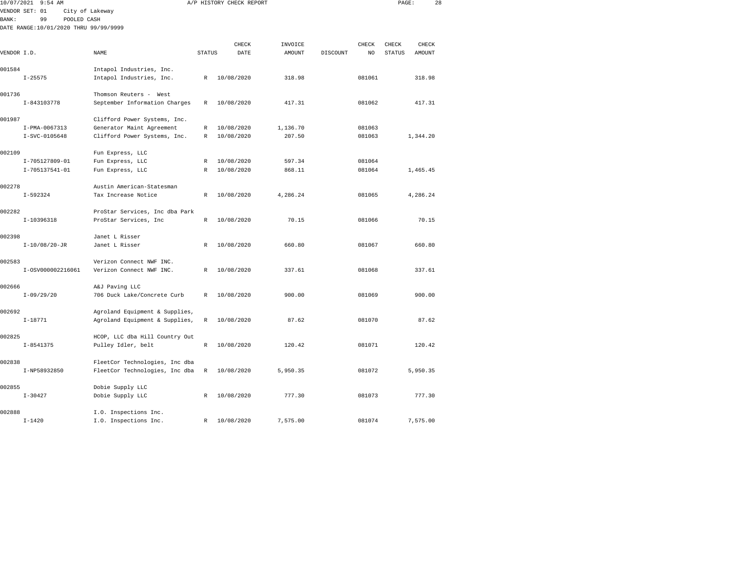|              | 10/07/2021 9:54 AM                    |                                |               | A/P HISTORY CHECK REPORT |          |          |        | PAGE:         |          | 28 |
|--------------|---------------------------------------|--------------------------------|---------------|--------------------------|----------|----------|--------|---------------|----------|----|
|              | VENDOR SET: 01                        | City of Lakeway                |               |                          |          |          |        |               |          |    |
| <b>BANK:</b> | 99<br>POOLED CASH                     |                                |               |                          |          |          |        |               |          |    |
|              | DATE RANGE:10/01/2020 THRU 99/99/9999 |                                |               |                          |          |          |        |               |          |    |
|              |                                       |                                |               |                          |          |          |        |               |          |    |
|              |                                       |                                |               | CHECK                    | INVOICE  |          | CHECK  | CHECK         | CHECK    |    |
| VENDOR I.D.  |                                       | NAME                           | <b>STATUS</b> | DATE                     | AMOUNT   | DISCOUNT | NO     | <b>STATUS</b> | AMOUNT   |    |
| 001584       |                                       | Intapol Industries, Inc.       |               |                          |          |          |        |               |          |    |
|              | $I - 25575$                           | Intapol Industries, Inc.       | R             | 10/08/2020               | 318.98   |          | 081061 |               | 318.98   |    |
|              |                                       |                                |               |                          |          |          |        |               |          |    |
| 001736       |                                       | Thomson Reuters - West         |               |                          |          |          |        |               |          |    |
|              | I-843103778                           | September Information Charges  | R             | 10/08/2020               | 417.31   |          | 081062 |               | 417.31   |    |
|              |                                       |                                |               |                          |          |          |        |               |          |    |
| 001987       |                                       | Clifford Power Systems, Inc.   |               |                          |          |          |        |               |          |    |
|              | I-PMA-0067313                         | Generator Maint Agreement      | R             | 10/08/2020               | 1,136.70 |          | 081063 |               |          |    |
|              | I-SVC-0105648                         | Clifford Power Systems, Inc.   | R             | 10/08/2020               | 207.50   |          | 081063 |               | 1,344.20 |    |
| 002109       |                                       | Fun Express, LLC               |               |                          |          |          |        |               |          |    |
|              | I-705127809-01                        | Fun Express, LLC               | R             | 10/08/2020               | 597.34   |          | 081064 |               |          |    |
|              | I-705137541-01                        | Fun Express, LLC               | R             | 10/08/2020               | 868.11   |          | 081064 |               | 1,465.45 |    |
|              |                                       |                                |               |                          |          |          |        |               |          |    |
| 002278       |                                       | Austin American-Statesman      |               |                          |          |          |        |               |          |    |
|              | $I-592324$                            | Tax Increase Notice            | R             | 10/08/2020               | 4,286.24 |          | 081065 |               | 4,286.24 |    |
|              |                                       |                                |               |                          |          |          |        |               |          |    |
| 002282       |                                       | ProStar Services, Inc dba Park |               |                          |          |          |        |               |          |    |
|              | I-10396318                            | ProStar Services, Inc          | $\mathbb{R}$  | 10/08/2020               | 70.15    |          | 081066 |               | 70.15    |    |
| 002398       |                                       | Janet L Risser                 |               |                          |          |          |        |               |          |    |
|              | $I-10/08/20-JR$                       | Janet L Risser                 | R             | 10/08/2020               | 660.80   |          | 081067 |               | 660.80   |    |
|              |                                       |                                |               |                          |          |          |        |               |          |    |
| 002583       |                                       | Verizon Connect NWF INC.       |               |                          |          |          |        |               |          |    |
|              | I-0SV000002216061                     | Verizon Connect NWF INC.       | $\mathbb{R}$  | 10/08/2020               | 337.61   |          | 081068 |               | 337.61   |    |
|              |                                       |                                |               |                          |          |          |        |               |          |    |
| 002666       |                                       | A&J Paving LLC                 |               |                          |          |          |        |               |          |    |
|              | $I-09/29/20$                          | 706 Duck Lake/Concrete Curb    | $\mathbb{R}$  | 10/08/2020               | 900.00   |          | 081069 |               | 900.00   |    |
| 002692       |                                       | Agroland Equipment & Supplies, |               |                          |          |          |        |               |          |    |
|              | $I-18771$                             | Agroland Equipment & Supplies, | R             | 10/08/2020               | 87.62    |          | 081070 |               | 87.62    |    |
|              |                                       |                                |               |                          |          |          |        |               |          |    |
| 002825       |                                       | HCOP, LLC dba Hill Country Out |               |                          |          |          |        |               |          |    |
|              | $I - 8541375$                         | Pulley Idler, belt             | R             | 10/08/2020               | 120.42   |          | 081071 |               | 120.42   |    |
|              |                                       |                                |               |                          |          |          |        |               |          |    |
| 002838       |                                       | FleetCor Technologies, Inc dba |               |                          |          |          |        |               |          |    |
|              | I-NP58932850                          | FleetCor Technologies, Inc dba | R             | 10/08/2020               | 5,950.35 |          | 081072 |               | 5,950.35 |    |
| 002855       |                                       | Dobie Supply LLC               |               |                          |          |          |        |               |          |    |
|              | $I - 30427$                           | Dobie Supply LLC               | R             | 10/08/2020               | 777.30   |          | 081073 |               | 777.30   |    |
|              |                                       |                                |               |                          |          |          |        |               |          |    |

I-1420 I.O. Inspections Inc. R 10/08/2020 7,575.00 081074 7,575.00

002888 I.O. Inspections Inc.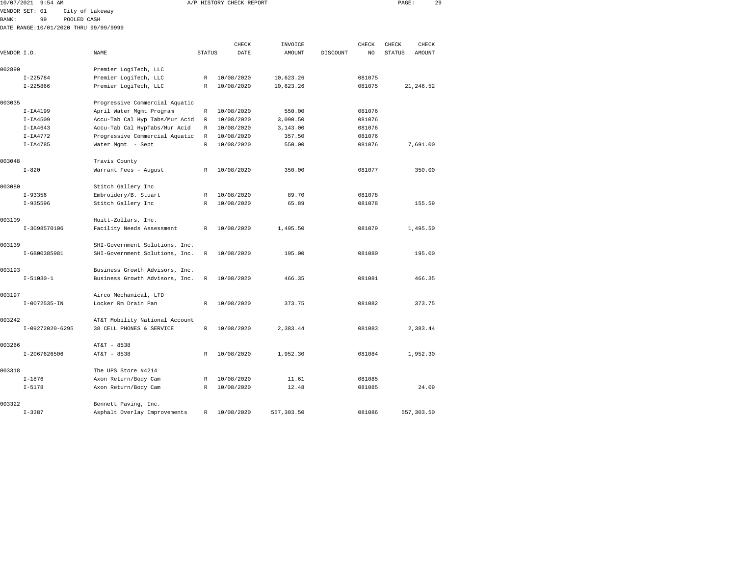| 10/07/2021   | $9:54$ AM                             |                                |               | A/P HISTORY CHECK REPORT |           |          |        | PAGE:         | 29         |  |
|--------------|---------------------------------------|--------------------------------|---------------|--------------------------|-----------|----------|--------|---------------|------------|--|
|              | VENDOR SET: 01                        | City of Lakeway                |               |                          |           |          |        |               |            |  |
| <b>BANK:</b> | 99<br>POOLED CASH                     |                                |               |                          |           |          |        |               |            |  |
|              | DATE RANGE:10/01/2020 THRU 99/99/9999 |                                |               |                          |           |          |        |               |            |  |
|              |                                       |                                |               |                          |           |          |        |               |            |  |
|              |                                       |                                |               | CHECK                    | INVOICE   |          | CHECK  | CHECK         | CHECK      |  |
| VENDOR I.D.  |                                       | NAME                           | <b>STATUS</b> | DATE                     | AMOUNT    | DISCOUNT | NO     | <b>STATUS</b> | AMOUNT     |  |
| 002890       |                                       | Premier LogiTech, LLC          |               |                          |           |          |        |               |            |  |
|              | $I - 225784$                          | Premier LogiTech, LLC          | R             | 10/08/2020               | 10,623.26 |          | 081075 |               |            |  |
|              | $I - 225866$                          | Premier LogiTech, LLC          | R             | 10/08/2020               | 10,623.26 |          | 081075 |               | 21, 246.52 |  |
| 003035       |                                       | Progressive Commercial Aquatic |               |                          |           |          |        |               |            |  |
|              | $I-IA4199$                            | April Water Mgmt Program       | R             | 10/08/2020               | 550.00    |          | 081076 |               |            |  |
|              | $I-IA4509$                            | Accu-Tab Cal Hyp Tabs/Mur Acid | R             | 10/08/2020               | 3,090.50  |          | 081076 |               |            |  |
|              | $I-IA4643$                            | Accu-Tab Cal HypTabs/Mur Acid  | R             | 10/08/2020               | 3,143.00  |          | 081076 |               |            |  |
|              | $I-IA4772$                            | Progressive Commercial Aquatic | R             | 10/08/2020               | 357.50    |          | 081076 |               |            |  |
|              | $I-IA4785$                            | Water Mgmt - Sept              | $\mathbb R$   | 10/08/2020               | 550.00    |          | 081076 |               | 7,691.00   |  |
| 003048       |                                       | Travis County                  |               |                          |           |          |        |               |            |  |
|              | $I - 820$                             | Warrant Fees - August          | R             | 10/08/2020               | 350.00    |          | 081077 |               | 350.00     |  |
| 003080       |                                       | Stitch Gallery Inc             |               |                          |           |          |        |               |            |  |
|              | $I-93356$                             | Embroidery/B. Stuart           | R             | 10/08/2020               | 89.70     |          | 081078 |               |            |  |
|              | $I-935596$                            | Stitch Gallery Inc             | R             | 10/08/2020               | 65.89     |          | 081078 |               | 155.59     |  |
| 003109       |                                       | Huitt-Zollars, Inc.            |               |                          |           |          |        |               |            |  |
|              | I-3098570106                          | Facility Needs Assessment      | R             | 10/08/2020               | 1,495.50  |          | 081079 |               | 1,495.50   |  |
| 003139       |                                       | SHI-Government Solutions, Inc. |               |                          |           |          |        |               |            |  |
|              | I-GB00385981                          | SHI-Government Solutions, Inc. | R             | 10/08/2020               | 195.00    |          | 081080 |               | 195.00     |  |
| 003193       |                                       | Business Growth Advisors, Inc. |               |                          |           |          |        |               |            |  |
|              | $I - 51030 - 1$                       | Business Growth Advisors, Inc. | R             | 10/08/2020               | 466.35    |          | 081081 |               | 466.35     |  |
| 003197       |                                       | Airco Mechanical, LTD          |               |                          |           |          |        |               |            |  |
|              | $I-0072535 - IN$                      | Locker Rm Drain Pan            | $\mathbb{R}$  | 10/08/2020               | 373.75    |          | 081082 |               | 373.75     |  |
| 003242       |                                       | AT&T Mobility National Account |               |                          |           |          |        |               |            |  |
|              | I-09272020-6295                       | 38 CELL PHONES & SERVICE       | R             | 10/08/2020               | 2,383.44  |          | 081083 |               | 2,383.44   |  |
| 003266       |                                       | AT&T - 8538                    |               |                          |           |          |        |               |            |  |
|              | I-2067626506                          | AT&T - 8538                    | R             | 10/08/2020               | 1,952.30  |          | 081084 |               | 1,952.30   |  |

I-1876 Axon Return/Body Cam R 10/08/2020 11.61 081085

I-5178 Axon Return/Body Cam R 10/08/2020 12.48 081085 24.09

I-3387 Asphalt Overlay Improvements R 10/08/2020 557,303.50 081086 557,303.50

003318 The UPS Store #4214

003322 Bennett Paving, Inc.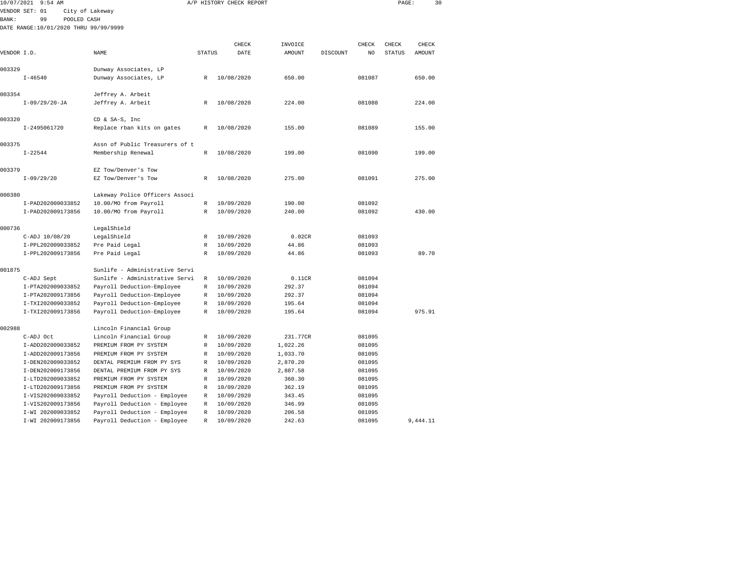| 10/07/2021<br>9:54 AM |                                       |                                                         |               | A/P HISTORY CHECK REPORT |          |          |                | PAGE:         |               | 30 |
|-----------------------|---------------------------------------|---------------------------------------------------------|---------------|--------------------------|----------|----------|----------------|---------------|---------------|----|
|                       | VENDOR SET: 01                        | City of Lakeway                                         |               |                          |          |          |                |               |               |    |
| BANK:                 | 99<br>POOLED CASH                     |                                                         |               |                          |          |          |                |               |               |    |
|                       | DATE RANGE:10/01/2020 THRU 99/99/9999 |                                                         |               |                          |          |          |                |               |               |    |
|                       |                                       |                                                         |               |                          |          |          |                |               |               |    |
|                       |                                       |                                                         |               | CHECK                    | INVOICE  |          | CHECK          | CHECK         | CHECK         |    |
| VENDOR I.D.           |                                       | <b>NAME</b>                                             | <b>STATUS</b> | DATE                     | AMOUNT   | DISCOUNT | N <sub>O</sub> | <b>STATUS</b> | <b>AMOUNT</b> |    |
|                       |                                       |                                                         |               |                          |          |          |                |               |               |    |
| 003329                |                                       | Dunway Associates, LP                                   |               |                          |          |          |                |               |               |    |
|                       | $I - 46540$                           | Dunway Associates, LP                                   | R             | 10/08/2020               | 650.00   |          | 081087         |               | 650.00        |    |
| 003354                |                                       | Jeffrey A. Arbeit                                       |               |                          |          |          |                |               |               |    |
|                       | $I-09/29/20-JA$                       | Jeffrey A. Arbeit                                       | R             | 10/08/2020               | 224.00   |          | 081088         |               | 224.00        |    |
|                       |                                       |                                                         |               |                          |          |          |                |               |               |    |
| 003320                |                                       | CD & SA-S, Inc                                          |               |                          |          |          |                |               |               |    |
|                       | I-2495061720                          | Replace rban kits on gates                              | R             | 10/08/2020               | 155.00   |          | 081089         |               | 155.00        |    |
|                       |                                       |                                                         |               |                          |          |          |                |               |               |    |
| 003375                |                                       | Assn of Public Treasurers of t                          |               |                          |          |          |                |               |               |    |
|                       | $I - 22544$                           | Membership Renewal                                      | R             | 10/08/2020               | 199.00   |          | 081090         |               | 199.00        |    |
|                       |                                       |                                                         |               |                          |          |          |                |               |               |    |
| 003379                |                                       | EZ Tow/Denver's Tow                                     |               |                          |          |          |                |               |               |    |
|                       | $I-09/29/20$                          | EZ Tow/Denver's Tow                                     | R             | 10/08/2020               | 275.00   |          | 081091         |               | 275.00        |    |
|                       |                                       |                                                         |               |                          |          |          |                |               |               |    |
| 000380                | I-PAD202009033852                     | Lakeway Police Officers Associ<br>10.00/MO from Payroll | $\mathbb R$   | 10/09/2020               | 190.00   |          | 081092         |               |               |    |
|                       | I-PAD202009173856                     | 10.00/MO from Payroll                                   | R             | 10/09/2020               | 240.00   |          | 081092         |               | 430.00        |    |
|                       |                                       |                                                         |               |                          |          |          |                |               |               |    |
| 000736                |                                       | LegalShield                                             |               |                          |          |          |                |               |               |    |
|                       | C-ADJ 10/08/20                        | LegalShield                                             | $\mathbb R$   | 10/09/2020               | 0.02CR   |          | 081093         |               |               |    |
|                       | I-PPL202009033852                     | Pre Paid Legal                                          | R             | 10/09/2020               | 44.86    |          | 081093         |               |               |    |
|                       | I-PPL202009173856                     | Pre Paid Legal                                          | R             | 10/09/2020               | 44.86    |          | 081093         |               | 89.70         |    |
|                       |                                       |                                                         |               |                          |          |          |                |               |               |    |
| 001875                |                                       | Sunlife - Administrative Servi                          |               |                          |          |          |                |               |               |    |
|                       | C-ADJ Sept                            | Sunlife - Administrative Servi                          | R             | 10/09/2020               | 0.11CR   |          | 081094         |               |               |    |
|                       | I-PTA202009033852                     | Payroll Deduction-Employee                              | R             | 10/09/2020               | 292.37   |          | 081094         |               |               |    |
|                       | I-PTA202009173856                     | Payroll Deduction-Employee                              | R             | 10/09/2020               | 292.37   |          | 081094         |               |               |    |
|                       | I-TXI202009033852                     | Payroll Deduction-Employee                              | R             | 10/09/2020               | 195.64   |          | 081094         |               |               |    |
|                       | I-TXI202009173856                     | Payroll Deduction-Employee                              | R             | 10/09/2020               | 195.64   |          | 081094         |               | 975.91        |    |
| 002988                |                                       | Lincoln Financial Group                                 |               |                          |          |          |                |               |               |    |
|                       | C-ADJ Oct                             | Lincoln Financial Group                                 | R             | 10/09/2020               | 231.77CR |          | 081095         |               |               |    |
|                       | I-ADD202009033852                     | PREMIUM FROM PY SYSTEM                                  | R             | 10/09/2020               | 1,022.26 |          | 081095         |               |               |    |
|                       | I-ADD202009173856                     | PREMIUM FROM PY SYSTEM                                  | R             | 10/09/2020               | 1,033.70 |          | 081095         |               |               |    |
|                       | I-DEN202009033852                     | DENTAL PREMIUM FROM PY SYS                              | R             | 10/09/2020               | 2,870.20 |          | 081095         |               |               |    |
|                       | I-DEN202009173856                     | DENTAL PREMIUM FROM PY SYS                              | R             | 10/09/2020               | 2,887.58 |          | 081095         |               |               |    |
|                       | I-LTD202009033852                     | PREMIUM FROM PY SYSTEM                                  | R             | 10/09/2020               | 360.30   |          | 081095         |               |               |    |
|                       | I-LTD202009173856                     | PREMIUM FROM PY SYSTEM                                  | R             | 10/09/2020               | 362.19   |          | 081095         |               |               |    |
|                       | I-VIS202009033852                     | Payroll Deduction - Employee                            | R             | 10/09/2020               | 343.45   |          | 081095         |               |               |    |
|                       | I-VIS202009173856                     | Payroll Deduction - Employee                            | R             | 10/09/2020               | 346.99   |          | 081095         |               |               |    |
|                       | I-WI 202009033852                     | Payroll Deduction - Employee                            | R             | 10/09/2020               | 206.58   |          | 081095         |               |               |    |

I-WI 202009173856 Payroll Deduction - Employee R 10/09/2020 242.63 081095 9,444.11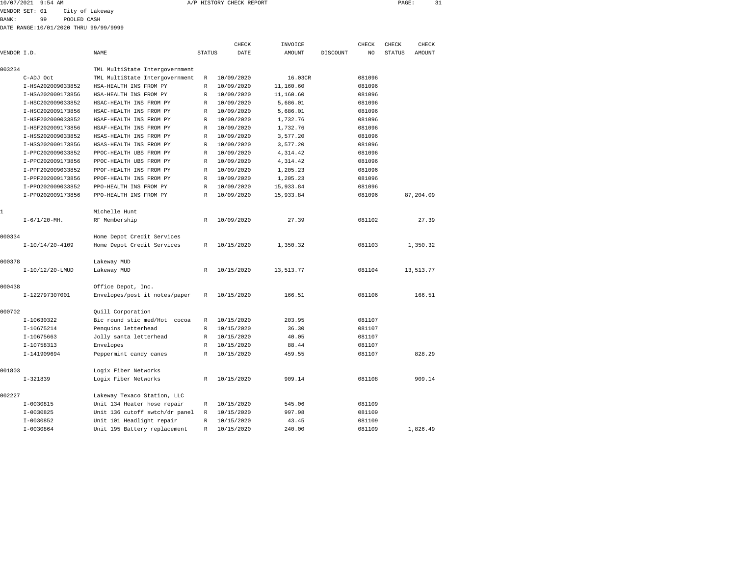| 10/07/2021 | $9:54$ AM | CHECK REPORT<br>A/P HISTORY | PAGE | the contract of the contract of the |
|------------|-----------|-----------------------------|------|-------------------------------------|
|            |           |                             |      |                                     |

BANK: 99 POOLED CASH

|              |                      |                                |               | CHECK      | INVOICE       |          | CHECK  | CHECK  | CHECK         |  |
|--------------|----------------------|--------------------------------|---------------|------------|---------------|----------|--------|--------|---------------|--|
| VENDOR I.D.  |                      | <b>NAME</b>                    | <b>STATUS</b> | DATE       | <b>AMOUNT</b> | DISCOUNT | NO.    | STATUS | <b>AMOUNT</b> |  |
|              |                      |                                |               |            |               |          |        |        |               |  |
| 003234       |                      | TML MultiState Intergovernment |               |            |               |          |        |        |               |  |
|              | C-ADJ Oct            | TML MultiState Intergovernment | R             | 10/09/2020 | 16.03CR       |          | 081096 |        |               |  |
|              | I-HSA202009033852    | HSA-HEALTH INS FROM PY         | $\mathbb R$   | 10/09/2020 | 11,160.60     |          | 081096 |        |               |  |
|              | I-HSA202009173856    | HSA-HEALTH INS FROM PY         | $\mathbb{R}$  | 10/09/2020 | 11,160.60     |          | 081096 |        |               |  |
|              | I-HSC202009033852    | HSAC-HEALTH INS FROM PY        | R             | 10/09/2020 | 5,686.01      |          | 081096 |        |               |  |
|              | I-HSC202009173856    | HSAC-HEALTH INS FROM PY        | R             | 10/09/2020 | 5,686.01      |          | 081096 |        |               |  |
|              | I-HSF202009033852    | HSAF-HEALTH INS FROM PY        | R             | 10/09/2020 | 1,732.76      |          | 081096 |        |               |  |
|              | I-HSF202009173856    | HSAF-HEALTH INS FROM PY        | $\mathbb R$   | 10/09/2020 | 1,732.76      |          | 081096 |        |               |  |
|              | I-HSS202009033852    | HSAS-HEALTH INS FROM PY        | R             | 10/09/2020 | 3,577.20      |          | 081096 |        |               |  |
|              | I-HSS202009173856    | HSAS-HEALTH INS FROM PY        | R             | 10/09/2020 | 3,577.20      |          | 081096 |        |               |  |
|              | I-PPC202009033852    | PPOC-HEALTH UBS FROM PY        | R             | 10/09/2020 | 4,314.42      |          | 081096 |        |               |  |
|              | I-PPC202009173856    | PPOC-HEALTH UBS FROM PY        | R             | 10/09/2020 | 4,314.42      |          | 081096 |        |               |  |
|              | I-PPF202009033852    | PPOF-HEALTH INS FROM PY        | R             | 10/09/2020 | 1,205.23      |          | 081096 |        |               |  |
|              | I-PPF202009173856    | PPOF-HEALTH INS FROM PY        | $\mathbb R$   | 10/09/2020 | 1,205.23      |          | 081096 |        |               |  |
|              | I-PP0202009033852    | PPO-HEALTH INS FROM PY         | R             | 10/09/2020 | 15,933.84     |          | 081096 |        |               |  |
|              | I-PP0202009173856    | PPO-HEALTH INS FROM PY         | $\mathbb R$   | 10/09/2020 | 15,933.84     |          | 081096 |        | 87,204.09     |  |
| $\mathbf{1}$ |                      | Michelle Hunt                  |               |            |               |          |        |        |               |  |
|              | $I - 6/1/20 - MHz$ . | RF Membership                  | $\mathbb{R}$  | 10/09/2020 | 27.39         |          | 081102 |        | 27.39         |  |
| 000334       |                      | Home Depot Credit Services     |               |            |               |          |        |        |               |  |
|              | $I-10/14/20-4109$    | Home Depot Credit Services     | R             | 10/15/2020 | 1,350.32      |          | 081103 |        | 1,350.32      |  |
| 000378       |                      | Lakeway MUD                    |               |            |               |          |        |        |               |  |
|              | $I-10/12/20-LMUD$    | Lakeway MUD                    | R             | 10/15/2020 | 13,513.77     |          | 081104 |        | 13,513.77     |  |
| 000438       |                      | Office Depot, Inc.             |               |            |               |          |        |        |               |  |
|              | I-122797307001       | Envelopes/post it notes/paper  | R             | 10/15/2020 | 166.51        |          | 081106 |        | 166.51        |  |
| 000702       |                      | Quill Corporation              |               |            |               |          |        |        |               |  |
|              | I-10630322           | Bic round stic med/Hot cocoa   | R             | 10/15/2020 | 203.95        |          | 081107 |        |               |  |
|              | I-10675214           | Penquins letterhead            | R             | 10/15/2020 | 36.30         |          | 081107 |        |               |  |
|              | $I-10675663$         | Jolly santa letterhead         | R             | 10/15/2020 | 40.05         |          | 081107 |        |               |  |
|              | I-10758313           | Envelopes                      | R             | 10/15/2020 | 88.44         |          | 081107 |        |               |  |
|              | I-141909694          | Peppermint candy canes         | $\mathbb R$   | 10/15/2020 | 459.55        |          | 081107 |        | 828.29        |  |
| 001803       |                      | Logix Fiber Networks           |               |            |               |          |        |        |               |  |
|              | $I-321839$           | Logix Fiber Networks           | R             | 10/15/2020 | 909.14        |          | 081108 |        | 909.14        |  |
| 002227       |                      | Lakeway Texaco Station, LLC    |               |            |               |          |        |        |               |  |
|              | $I-0030815$          | Unit 134 Heater hose repair    | R             | 10/15/2020 | 545.06        |          | 081109 |        |               |  |
|              | $I-0030825$          | Unit 136 cutoff swtch/dr panel | R             | 10/15/2020 | 997.98        |          | 081109 |        |               |  |
|              | $I-0030852$          | Unit 101 Headlight repair      | R             | 10/15/2020 | 43.45         |          | 081109 |        |               |  |
|              | $I-0030864$          | Unit 195 Battery replacement   | R             | 10/15/2020 | 240.00        |          | 081109 |        | 1,826.49      |  |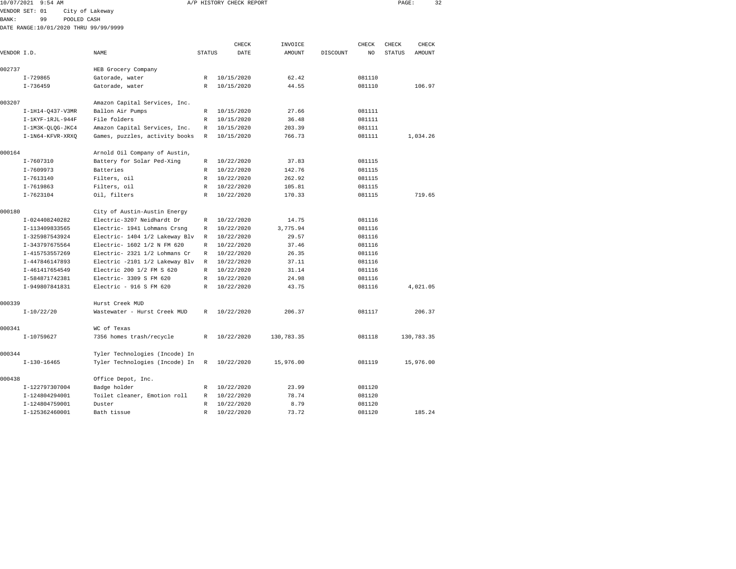|              | 10/07/2021 9:54 AM                    |                 |                                |               | A/P HISTORY CHECK REPORT |            |          |        | PAGE:         | 32         |  |
|--------------|---------------------------------------|-----------------|--------------------------------|---------------|--------------------------|------------|----------|--------|---------------|------------|--|
|              | VENDOR SET: 01                        | City of Lakeway |                                |               |                          |            |          |        |               |            |  |
| <b>BANK:</b> | 99                                    | POOLED CASH     |                                |               |                          |            |          |        |               |            |  |
|              | DATE RANGE:10/01/2020 THRU 99/99/9999 |                 |                                |               |                          |            |          |        |               |            |  |
|              |                                       |                 |                                |               |                          |            |          |        |               |            |  |
|              |                                       |                 |                                |               | CHECK                    | INVOICE    |          | CHECK  | CHECK         | CHECK      |  |
| VENDOR I.D.  |                                       |                 | NAME                           | <b>STATUS</b> | DATE                     | AMOUNT     | DISCOUNT | NO.    | <b>STATUS</b> | AMOUNT     |  |
| 002737       |                                       |                 | HEB Grocery Company            |               |                          |            |          |        |               |            |  |
|              | $I - 729865$                          |                 | Gatorade, water                | R             | 10/15/2020               | 62.42      |          | 081110 |               |            |  |
|              | $I - 736459$                          |                 | Gatorade, water                | R             | 10/15/2020               | 44.55      |          | 081110 |               | 106.97     |  |
| 003207       |                                       |                 | Amazon Capital Services, Inc.  |               |                          |            |          |        |               |            |  |
|              | I-1H14-Q437-V3MR                      |                 | Ballon Air Pumps               | R             | 10/15/2020               | 27.66      |          | 081111 |               |            |  |
|              | I-1KYF-1RJL-944F                      |                 | File folders                   | R             | 10/15/2020               | 36.48      |          | 081111 |               |            |  |
|              | I-1M3K-QLQG-JKC4                      |                 | Amazon Capital Services, Inc.  | R             | 10/15/2020               | 203.39     |          | 081111 |               |            |  |
|              | I-1N64-KFVR-XRXQ                      |                 | Games, puzzles, activity books | R             | 10/15/2020               | 766.73     |          | 081111 |               | 1,034.26   |  |
| 000164       |                                       |                 | Arnold Oil Company of Austin,  |               |                          |            |          |        |               |            |  |
|              | I-7607310                             |                 | Battery for Solar Ped-Xing     | R             | 10/22/2020               | 37.83      |          | 081115 |               |            |  |
|              | $I - 7609973$                         |                 | Batteries                      | R             | 10/22/2020               | 142.76     |          | 081115 |               |            |  |
|              | $I - 7613140$                         |                 | Filters, oil                   | $\mathbb{R}$  | 10/22/2020               | 262.92     |          | 081115 |               |            |  |
|              | I-7619863                             |                 | Filters, oil                   | R             | 10/22/2020               | 105.81     |          | 081115 |               |            |  |
|              | $I - 7623104$                         |                 | Oil, filters                   | R             | 10/22/2020               | 170.33     |          | 081115 |               | 719.65     |  |
| 000180       |                                       |                 | City of Austin-Austin Energy   |               |                          |            |          |        |               |            |  |
|              | I-024408240282                        |                 | Electric-3207 Neidhardt Dr     | R             | 10/22/2020               | 14.75      |          | 081116 |               |            |  |
|              | I-113409833565                        |                 | Electric- 1941 Lohmans Crsnq   | R             | 10/22/2020               | 3,775.94   |          | 081116 |               |            |  |
|              | I-325987543924                        |                 | Electric- 1404 1/2 Lakeway Blv | R             | 10/22/2020               | 29.57      |          | 081116 |               |            |  |
|              | I-343797675564                        |                 | Electric- 1602 1/2 N FM 620    | R             | 10/22/2020               | 37.46      |          | 081116 |               |            |  |
|              | I-415753557269                        |                 | Electric- 2321 1/2 Lohmans Cr  | R             | 10/22/2020               | 26.35      |          | 081116 |               |            |  |
|              | I-447846147893                        |                 | Electric -2101 1/2 Lakeway Blv | R             | 10/22/2020               | 37.11      |          | 081116 |               |            |  |
|              | I-461417654549                        |                 | Electric 200 1/2 FM S 620      | R             | 10/22/2020               | 31.14      |          | 081116 |               |            |  |
|              | I-584871742381                        |                 | Electric- 3309 S FM 620        | R             | 10/22/2020               | 24.98      |          | 081116 |               |            |  |
|              | I-949807841831                        |                 | Electric - 916 S FM 620        | R             | 10/22/2020               | 43.75      |          | 081116 |               | 4,021.05   |  |
| 000339       |                                       |                 | Hurst Creek MUD                |               |                          |            |          |        |               |            |  |
|              | $I-10/22/20$                          |                 | Wastewater - Hurst Creek MUD   | R             | 10/22/2020               | 206.37     |          | 081117 |               | 206.37     |  |
| 000341       |                                       |                 | WC of Texas                    |               |                          |            |          |        |               |            |  |
|              | I-10759627                            |                 | 7356 homes trash/recycle       | R             | 10/22/2020               | 130,783.35 |          | 081118 |               | 130,783.35 |  |
| 000344       |                                       |                 | Tyler Technologies (Incode) In |               |                          |            |          |        |               |            |  |
|              | $I-130-16465$                         |                 | Tyler Technologies (Incode) In | R             | 10/22/2020               | 15,976.00  |          | 081119 |               | 15,976.00  |  |
| 000438       |                                       |                 | Office Depot, Inc.             |               |                          |            |          |        |               |            |  |
|              | I-122797307004                        |                 | Badge holder                   | R             | 10/22/2020               | 23.99      |          | 081120 |               |            |  |
|              | I-124804294001                        |                 | Toilet cleaner, Emotion roll   | R             | 10/22/2020               | 78.74      |          | 081120 |               |            |  |

I-125362460001 Bath tissue R 10/22/2020 73.72 081120 185.24

081120

I-124804759001 Duster R 10/22/2020 8.79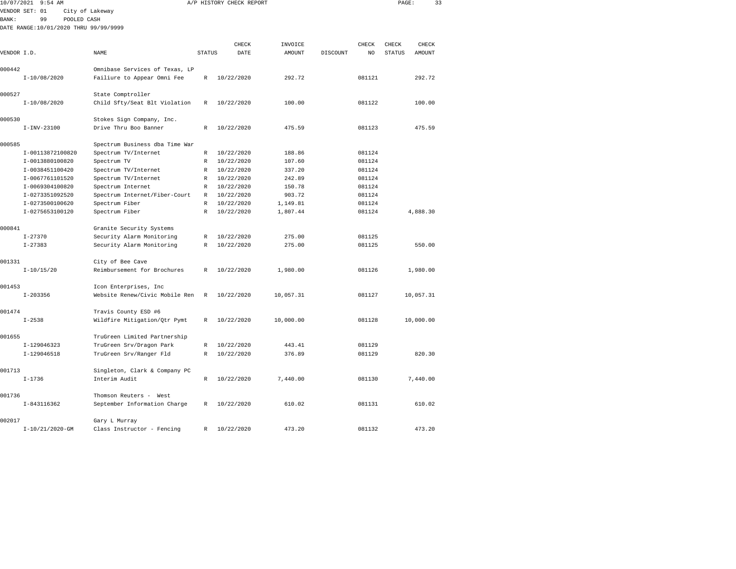| 10/07/2021<br>$9:54$ AM |                                       |                                |               | A/P HISTORY CHECK REPORT |           | PAGE:<br>33 |                |               |           |  |
|-------------------------|---------------------------------------|--------------------------------|---------------|--------------------------|-----------|-------------|----------------|---------------|-----------|--|
|                         | VENDOR SET: 01                        | City of Lakeway                |               |                          |           |             |                |               |           |  |
| <b>BANK:</b>            | 99<br>POOLED CASH                     |                                |               |                          |           |             |                |               |           |  |
|                         | DATE RANGE:10/01/2020 THRU 99/99/9999 |                                |               |                          |           |             |                |               |           |  |
|                         |                                       |                                |               |                          |           |             |                |               |           |  |
|                         |                                       |                                |               | CHECK                    | INVOICE   |             | CHECK          | CHECK         | CHECK     |  |
| VENDOR I.D.             |                                       | NAME                           | <b>STATUS</b> | DATE                     | AMOUNT    | DISCOUNT    | N <sub>O</sub> | <b>STATUS</b> | AMOUNT    |  |
|                         |                                       |                                |               |                          |           |             |                |               |           |  |
| 000442                  |                                       | Omnibase Services of Texas, LP |               |                          |           |             |                |               |           |  |
|                         | $I-10/08/2020$                        | Failiure to Appear Omni Fee    | $\mathbb R$   | 10/22/2020               | 292.72    |             | 081121         |               | 292.72    |  |
| 000527                  |                                       | State Comptroller              |               |                          |           |             |                |               |           |  |
|                         | $I-10/08/2020$                        | Child Sfty/Seat Blt Violation  | $\mathbb R$   | 10/22/2020               | 100.00    |             | 081122         |               | 100.00    |  |
|                         |                                       |                                |               |                          |           |             |                |               |           |  |
| 000530                  |                                       | Stokes Sign Company, Inc.      |               |                          |           |             |                |               |           |  |
|                         | $I-INV-23100$                         | Drive Thru Boo Banner          | $\mathbb{R}$  | 10/22/2020               | 475.59    |             | 081123         |               | 475.59    |  |
|                         |                                       |                                |               |                          |           |             |                |               |           |  |
| 000585                  |                                       | Spectrum Business dba Time War |               |                          |           |             |                |               |           |  |
|                         | I-00113872100820                      | Spectrum TV/Internet           | $\mathbb R$   | 10/22/2020               | 188.86    |             | 081124         |               |           |  |
|                         | I-0013880100820                       | Spectrum TV                    | R             | 10/22/2020               | 107.60    |             | 081124         |               |           |  |
|                         | I-0038451100420                       | Spectrum TV/Internet           | $\mathbb R$   | 10/22/2020               | 337.20    |             | 081124         |               |           |  |
|                         | I-0067761101520                       | Spectrum TV/Internet           | R             | 10/22/2020               | 242.89    |             | 081124         |               |           |  |
|                         | I-0069304100820                       | Spectrum Internet              | R             | 10/22/2020               | 150.78    |             | 081124         |               |           |  |
|                         | I-0273351092520                       | Spectrum Internet/Fiber-Court  | R             | 10/22/2020               | 903.72    |             | 081124         |               |           |  |
|                         | I-0273500100620                       | Spectrum Fiber                 | $\mathbb{R}$  | 10/22/2020               | 1,149.81  |             | 081124         |               |           |  |
|                         | I-0275653100120                       | Spectrum Fiber                 | $\mathbb{R}$  | 10/22/2020               | 1,807.44  |             | 081124         |               | 4,888.30  |  |
| 000841                  |                                       | Granite Security Systems       |               |                          |           |             |                |               |           |  |
|                         | $I - 27370$                           | Security Alarm Monitoring      | $\mathbb R$   | 10/22/2020               | 275.00    |             | 081125         |               |           |  |
|                         | $I - 27383$                           | Security Alarm Monitoring      | $\mathbb R$   | 10/22/2020               | 275.00    |             | 081125         |               | 550.00    |  |
|                         |                                       |                                |               |                          |           |             |                |               |           |  |
| 001331                  |                                       | City of Bee Cave               |               |                          |           |             |                |               |           |  |
|                         | $I-10/15/20$                          | Reimbursement for Brochures    | $\mathbb{R}$  | 10/22/2020               | 1,980.00  |             | 081126         |               | 1,980.00  |  |
|                         |                                       |                                |               |                          |           |             |                |               |           |  |
| 001453                  |                                       | Icon Enterprises, Inc          |               |                          |           |             |                |               |           |  |
|                         | $I - 203356$                          | Website Renew/Civic Mobile Ren | R             | 10/22/2020               | 10,057.31 |             | 081127         |               | 10,057.31 |  |
| 001474                  |                                       |                                |               |                          |           |             |                |               |           |  |
|                         | $I - 2538$                            | Travis County ESD #6           | R             | 10/22/2020               | 10,000.00 |             | 081128         |               | 10,000.00 |  |
|                         |                                       | Wildfire Mitigation/Qtr Pymt   |               |                          |           |             |                |               |           |  |
| 001655                  |                                       | TruGreen Limited Partnership   |               |                          |           |             |                |               |           |  |
|                         | I-129046323                           | TruGreen Srv/Dragon Park       | $\mathbb R$   | 10/22/2020               | 443.41    |             | 081129         |               |           |  |
|                         | I-129046518                           | TruGreen Srv/Ranger Fld        | R             | 10/22/2020               | 376.89    |             | 081129         |               | 820.30    |  |
|                         |                                       |                                |               |                          |           |             |                |               |           |  |
| 001713                  |                                       | Singleton, Clark & Company PC  |               |                          |           |             |                |               |           |  |
|                         | $I - 1736$                            | Interim Audit                  | R             | 10/22/2020               | 7,440.00  |             | 081130         |               | 7,440.00  |  |
|                         |                                       |                                |               |                          |           |             |                |               |           |  |
| 001736                  |                                       | Thomson Reuters - West         |               |                          |           |             |                |               |           |  |
|                         | I-843116362                           | September Information Charge   | $\mathbb{R}$  | 10/22/2020               | 610.02    |             | 081131         |               | 610.02    |  |
| 002017                  |                                       | Gary L Murray                  |               |                          |           |             |                |               |           |  |

I-10/21/2020-GM Class Instructor - Fencing R 10/22/2020 473.20 081132 473.20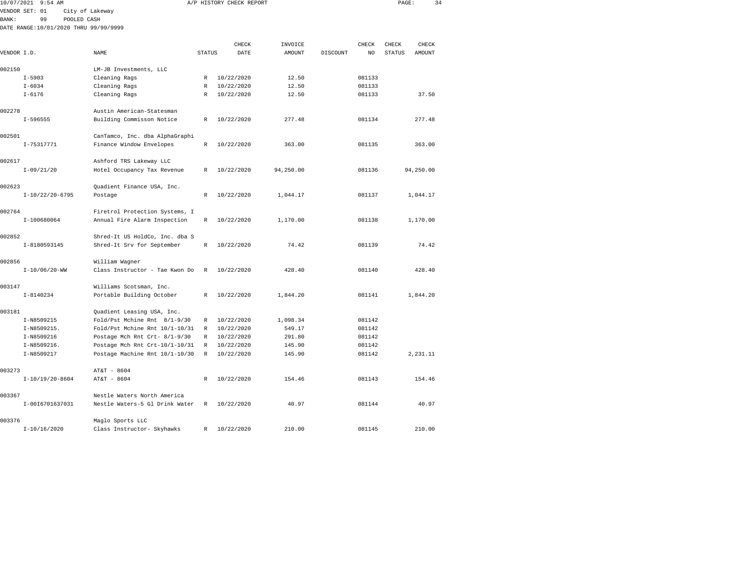| 10/07/2021  | $9:54$ AM         |                                       |               | A/P HISTORY CHECK REPORT |           | PAGE:    | 34     |               |               |  |
|-------------|-------------------|---------------------------------------|---------------|--------------------------|-----------|----------|--------|---------------|---------------|--|
|             | VENDOR SET: 01    | City of Lakeway                       |               |                          |           |          |        |               |               |  |
| BANK:       | 99                | POOLED CASH                           |               |                          |           |          |        |               |               |  |
|             |                   | DATE RANGE:10/01/2020 THRU 99/99/9999 |               |                          |           |          |        |               |               |  |
|             |                   |                                       |               |                          |           |          |        |               |               |  |
|             |                   | NAME                                  |               | CHECK                    | INVOICE   |          | CHECK  | CHECK         | CHECK         |  |
| VENDOR I.D. |                   |                                       | <b>STATUS</b> | DATE                     | AMOUNT    | DISCOUNT | NO.    | <b>STATUS</b> | <b>AMOUNT</b> |  |
| 002150      |                   | LM-JB Investments, LLC                |               |                          |           |          |        |               |               |  |
|             | $I - 5903$        | Cleaning Rags                         | R             | 10/22/2020               | 12.50     |          | 081133 |               |               |  |
|             | $I - 6034$        | Cleaning Rags                         | R             | 10/22/2020               | 12.50     |          | 081133 |               |               |  |
|             | $I - 6176$        | Cleaning Rags                         | R             | 10/22/2020               | 12.50     |          | 081133 |               | 37.50         |  |
| 002278      |                   | Austin American-Statesman             |               |                          |           |          |        |               |               |  |
|             | $I - 596555$      | Building Commisson Notice             | R             | 10/22/2020               | 277.48    |          | 081134 |               | 277.48        |  |
|             |                   |                                       |               |                          |           |          |        |               |               |  |
| 002501      |                   | CanTamco, Inc. dba AlphaGraphi        |               |                          |           |          |        |               |               |  |
|             | I-75317771        | Finance Window Envelopes              | R             | 10/22/2020               | 363.00    |          | 081135 |               | 363.00        |  |
| 002617      |                   | Ashford TRS Lakeway LLC               |               |                          |           |          |        |               |               |  |
|             | $I-09/21/20$      | Hotel Occupancy Tax Revenue           | R             | 10/22/2020               | 94,250.00 |          | 081136 |               | 94,250.00     |  |
| 002623      |                   | Quadient Finance USA, Inc.            |               |                          |           |          |        |               |               |  |
|             | $I-10/22/20-6795$ | Postage                               | R             | 10/22/2020               | 1,044.17  |          | 081137 |               | 1,044.17      |  |
|             |                   |                                       |               |                          |           |          |        |               |               |  |
| 002764      |                   | Firetrol Protection Systems, I        |               |                          |           |          |        |               |               |  |
|             | I-100680064       | Annual Fire Alarm Inspection          | R             | 10/22/2020               | 1,170.00  |          | 081138 |               | 1,170.00      |  |
| 002852      |                   | Shred-It US HoldCo, Inc. dba S        |               |                          |           |          |        |               |               |  |
|             | I-8180593145      | Shred-It Srv for September            | R             | 10/22/2020               | 74.42     |          | 081139 |               | 74.42         |  |
| 002856      |                   | William Wagner                        |               |                          |           |          |        |               |               |  |
|             | $I-10/06/20-WW$   | Class Instructor - Tae Kwon Do        | $\mathbb R$   | 10/22/2020               | 428.40    |          | 081140 |               | 428.40        |  |
|             |                   |                                       |               |                          |           |          |        |               |               |  |
| 003147      |                   | Williams Scotsman, Inc.               |               |                          |           |          |        |               |               |  |
|             | $I - 8140234$     | Portable Building October             | R             | 10/22/2020               | 1,844.20  |          | 081141 |               | 1,844.20      |  |
| 003181      |                   | Quadient Leasing USA, Inc.            |               |                          |           |          |        |               |               |  |
|             | I-N8509215        | Fold/Pst Mchine Rnt 8/1-9/30          | R             | 10/22/2020               | 1,098.34  |          | 081142 |               |               |  |
|             | I-N8509215.       | Fold/Pst Mchine Rnt 10/1-10/31        | R             | 10/22/2020               | 549.17    |          | 081142 |               |               |  |
|             | I-N8509216        | Postage Mch Rnt Crt- 8/1-9/30         | R             | 10/22/2020               | 291.80    |          | 081142 |               |               |  |
|             | I-N8509216.       | Postage Mch Rnt Crt-10/1-10/31        | R             | 10/22/2020               | 145.90    |          | 081142 |               |               |  |
|             | I-N8509217        | Postage Machine Rnt 10/1-10/30        | R             | 10/22/2020               | 145.90    |          | 081142 |               | 2,231.11      |  |
| 003273      |                   | AT&T - 8604                           |               |                          |           |          |        |               |               |  |
|             | $I-10/19/20-8604$ | AT&T - 8604                           | R             | 10/22/2020               | 154.46    |          | 081143 |               | 154.46        |  |
|             |                   |                                       |               |                          |           |          |        |               |               |  |
| 003367      |                   | Nestle Waters North America           |               |                          |           |          |        |               |               |  |
|             | I-0016701637031   | Nestle Waters-5 Gl Drink Water        | R             | 10/22/2020               | 40.97     |          | 081144 |               | 40.97         |  |

I-10/16/2020 Class Instructor- Skyhawks R 10/22/2020 210.00 081145 210.00

003376 Maglo Sports LLC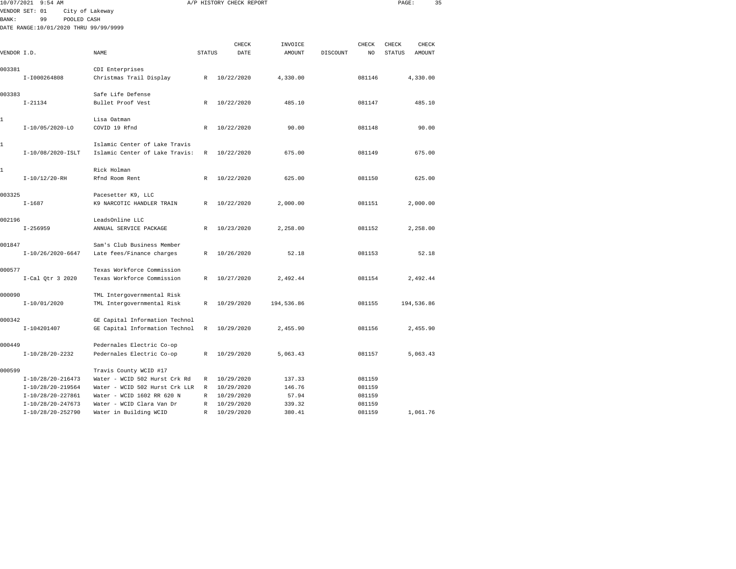|              | 10/07/2021 9:54 AM                    |                                                                 |               | A/P HISTORY CHECK REPORT |            |          |        | PAGE:         |               | 35 |
|--------------|---------------------------------------|-----------------------------------------------------------------|---------------|--------------------------|------------|----------|--------|---------------|---------------|----|
|              | VENDOR SET: 01                        | City of Lakeway                                                 |               |                          |            |          |        |               |               |    |
| <b>BANK:</b> | 99                                    | POOLED CASH                                                     |               |                          |            |          |        |               |               |    |
|              | DATE RANGE:10/01/2020 THRU 99/99/9999 |                                                                 |               |                          |            |          |        |               |               |    |
|              |                                       |                                                                 |               |                          |            |          |        |               |               |    |
|              |                                       |                                                                 |               | CHECK                    | INVOICE    |          | CHECK  | CHECK         | CHECK         |    |
| VENDOR I.D.  |                                       | NAME                                                            | <b>STATUS</b> | DATE                     | AMOUNT     | DISCOUNT | NO.    | <b>STATUS</b> | <b>AMOUNT</b> |    |
| 003381       |                                       | CDI Enterprises                                                 |               |                          |            |          |        |               |               |    |
|              | I-I000264808                          | Christmas Trail Display                                         | R             | 10/22/2020               | 4,330.00   |          | 081146 |               | 4,330.00      |    |
|              |                                       |                                                                 |               |                          |            |          |        |               |               |    |
| 003383       |                                       | Safe Life Defense                                               |               |                          |            |          |        |               |               |    |
|              | $I - 21134$                           | Bullet Proof Vest                                               | $\mathbb{R}$  | 10/22/2020               | 485.10     |          | 081147 |               | 485.10        |    |
|              |                                       |                                                                 |               |                          |            |          |        |               |               |    |
| 1            |                                       | Lisa Oatman                                                     |               |                          |            |          |        |               |               |    |
|              | I-10/05/2020-LO                       | COVID 19 Rfnd                                                   | R             | 10/22/2020               | 90.00      |          | 081148 |               | 90.00         |    |
|              |                                       |                                                                 |               |                          |            |          |        |               |               |    |
| 1            | I-10/08/2020-ISLT                     | Islamic Center of Lake Travis<br>Islamic Center of Lake Travis: | $\mathbb{R}$  | 10/22/2020               | 675.00     |          | 081149 |               | 675.00        |    |
|              |                                       |                                                                 |               |                          |            |          |        |               |               |    |
| 1            |                                       | Rick Holman                                                     |               |                          |            |          |        |               |               |    |
|              | $I-10/12/20 - RH$                     | Rfnd Room Rent                                                  | R             | 10/22/2020               | 625.00     |          | 081150 |               | 625.00        |    |
|              |                                       |                                                                 |               |                          |            |          |        |               |               |    |
| 003325       |                                       | Pacesetter K9, LLC                                              |               |                          |            |          |        |               |               |    |
|              | $I - 1687$                            | K9 NARCOTIC HANDLER TRAIN                                       | $\mathbb{R}$  | 10/22/2020               | 2,000.00   |          | 081151 |               | 2,000.00      |    |
|              |                                       |                                                                 |               |                          |            |          |        |               |               |    |
| 002196       |                                       | LeadsOnline LLC                                                 |               |                          |            |          |        |               |               |    |
|              | $I - 256959$                          | ANNUAL SERVICE PACKAGE                                          | $\mathbb{R}$  | 10/23/2020               | 2,258.00   |          | 081152 |               | 2,258.00      |    |
|              |                                       |                                                                 |               |                          |            |          |        |               |               |    |
| 001847       | $I-10/26/2020-6647$                   | Sam's Club Business Member<br>Late fees/Finance charges         | $\mathbb{R}$  | 10/26/2020               | 52.18      |          | 081153 |               | 52.18         |    |
|              |                                       |                                                                 |               |                          |            |          |        |               |               |    |
| 000577       |                                       | Texas Workforce Commission                                      |               |                          |            |          |        |               |               |    |
|              | $I-Cal$ Qtr 3 2020                    | Texas Workforce Commission                                      | R             | 10/27/2020               | 2,492.44   |          | 081154 |               | 2,492.44      |    |
|              |                                       |                                                                 |               |                          |            |          |        |               |               |    |
| 000090       |                                       | TML Intergovernmental Risk                                      |               |                          |            |          |        |               |               |    |
|              | $I-10/01/2020$                        | TML Intergovernmental Risk                                      | $\mathbb{R}$  | 10/29/2020               | 194,536.86 |          | 081155 |               | 194,536.86    |    |
|              |                                       |                                                                 |               |                          |            |          |        |               |               |    |
| 000342       |                                       | GE Capital Information Technol                                  |               |                          |            |          |        |               |               |    |
|              | I-104201407                           | GE Capital Information Technol                                  | $\mathbb{R}$  | 10/29/2020               | 2,455.90   |          | 081156 |               | 2,455.90      |    |
|              |                                       |                                                                 |               |                          |            |          |        |               |               |    |
| 000449       | I-10/28/20-2232                       | Pedernales Electric Co-op<br>Pedernales Electric Co-op          | R             | 10/29/2020               | 5,063.43   |          | 081157 |               | 5,063.43      |    |
|              |                                       |                                                                 |               |                          |            |          |        |               |               |    |
| 000599       |                                       | Travis County WCID #17                                          |               |                          |            |          |        |               |               |    |
|              | $I-10/28/20-216473$                   | Water - WCID 502 Hurst Crk Rd                                   | R             | 10/29/2020               | 137.33     |          | 081159 |               |               |    |
|              | I-10/28/20-219564                     | Water - WCID 502 Hurst Crk LLR                                  | R             | 10/29/2020               | 146.76     |          | 081159 |               |               |    |
|              | I-10/28/20-227861                     | Water - WCID 1602 RR 620 N                                      | R             | 10/29/2020               | 57.94      |          | 081159 |               |               |    |
|              | I-10/28/20-247673                     | Water - WCID Clara Van Dr                                       | R             | 10/29/2020               | 339.32     |          | 081159 |               |               |    |

I-10/28/20-252790 Water in Building WCID R 10/29/2020 380.41 081159 1,061.76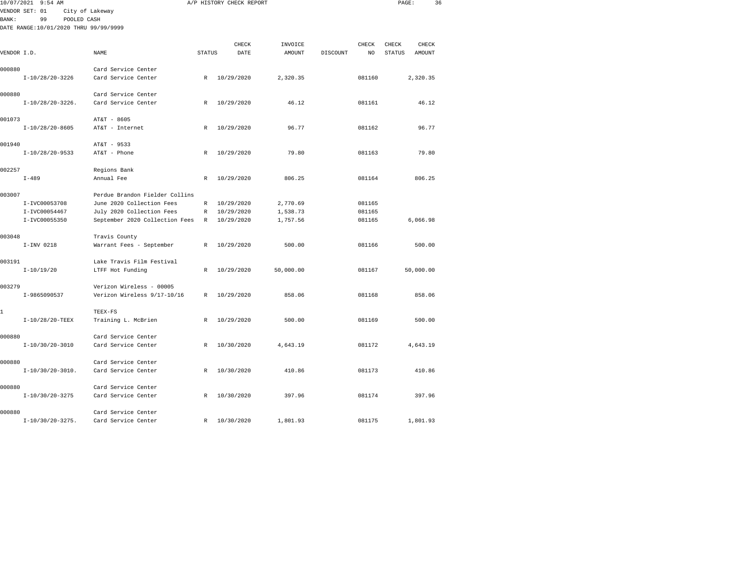| 10/07/2021<br>$9:54$ AM |                                       |                                               |               | A/P HISTORY CHECK REPORT |       |               |          |        | PAGE:         |               | 36 |
|-------------------------|---------------------------------------|-----------------------------------------------|---------------|--------------------------|-------|---------------|----------|--------|---------------|---------------|----|
|                         | VENDOR SET: 01                        | City of Lakeway                               |               |                          |       |               |          |        |               |               |    |
| BANK:                   | 99<br>POOLED CASH                     |                                               |               |                          |       |               |          |        |               |               |    |
|                         | DATE RANGE:10/01/2020 THRU 99/99/9999 |                                               |               |                          |       |               |          |        |               |               |    |
|                         |                                       |                                               |               |                          |       |               |          |        |               |               |    |
|                         |                                       |                                               |               |                          | CHECK | INVOICE       |          | CHECK  | CHECK         | CHECK         |    |
| VENDOR I.D.             |                                       | NAME                                          | <b>STATUS</b> |                          | DATE  | <b>AMOUNT</b> | DISCOUNT | NO     | <b>STATUS</b> | <b>AMOUNT</b> |    |
| 000880                  |                                       | Card Service Center                           |               |                          |       |               |          |        |               |               |    |
|                         | I-10/28/20-3226                       | Card Service Center                           | R             | 10/29/2020               |       | 2,320.35      |          | 081160 |               | 2,320.35      |    |
|                         |                                       |                                               |               |                          |       |               |          |        |               |               |    |
| 000880                  |                                       | Card Service Center                           |               |                          |       |               |          |        |               |               |    |
|                         | $I-10/28/20-3226$ .                   | Card Service Center                           | $\mathbb{R}$  | 10/29/2020               |       | 46.12         |          | 081161 |               | 46.12         |    |
|                         |                                       |                                               |               |                          |       |               |          |        |               |               |    |
| 001073                  | $I-10/28/20-8605$                     | AT&T - 8605<br>AT&T - Internet                | R             | 10/29/2020               |       | 96.77         |          | 081162 |               | 96.77         |    |
|                         |                                       |                                               |               |                          |       |               |          |        |               |               |    |
| 001940                  |                                       | AT&T - 9533                                   |               |                          |       |               |          |        |               |               |    |
|                         | $I-10/28/20-9533$                     | AT&T - Phone                                  | $\mathbb{R}$  | 10/29/2020               |       | 79.80         |          | 081163 |               | 79.80         |    |
|                         |                                       |                                               |               |                          |       |               |          |        |               |               |    |
| 002257                  |                                       | Regions Bank                                  |               |                          |       |               |          |        |               |               |    |
|                         | $I - 489$                             | Annual Fee                                    | $\mathbb{R}$  | 10/29/2020               |       | 806.25        |          | 081164 |               | 806.25        |    |
| 003007                  |                                       | Perdue Brandon Fielder Collins                |               |                          |       |               |          |        |               |               |    |
|                         | I-IVC00053708                         | June 2020 Collection Fees                     | R             | 10/29/2020               |       | 2,770.69      |          | 081165 |               |               |    |
|                         | I-IVC00054467                         | July 2020 Collection Fees                     | R             | 10/29/2020               |       | 1,538.73      |          | 081165 |               |               |    |
|                         | I-IVC00055350                         | September 2020 Collection Fees                | R             | 10/29/2020               |       | 1,757.56      |          | 081165 |               | 6,066.98      |    |
|                         |                                       |                                               |               |                          |       |               |          |        |               |               |    |
| 003048                  |                                       | Travis County                                 |               |                          |       |               |          |        |               |               |    |
|                         | I-INV 0218                            | Warrant Fees - September                      | $\mathbb R$   | 10/29/2020               |       | 500.00        |          | 081166 |               | 500.00        |    |
|                         |                                       |                                               |               |                          |       |               |          |        |               |               |    |
| 003191                  | $I-10/19/20$                          | Lake Travis Film Festival<br>LTFF Hot Funding | R             | 10/29/2020               |       | 50,000.00     |          | 081167 |               | 50,000.00     |    |
|                         |                                       |                                               |               |                          |       |               |          |        |               |               |    |
| 003279                  |                                       | Verizon Wireless - 00005                      |               |                          |       |               |          |        |               |               |    |
|                         | I-9865090537                          | Verizon Wireless 9/17-10/16                   | R             | 10/29/2020               |       | 858.06        |          | 081168 |               | 858.06        |    |
|                         |                                       |                                               |               |                          |       |               |          |        |               |               |    |
| 1                       |                                       | TEEX-FS                                       |               |                          |       |               |          |        |               |               |    |
|                         | I-10/28/20-TEEX                       | Training L. McBrien                           | R             | 10/29/2020               |       | 500.00        |          | 081169 |               | 500.00        |    |
| 000880                  |                                       | Card Service Center                           |               |                          |       |               |          |        |               |               |    |
|                         | $I-10/30/20-3010$                     | Card Service Center                           | $\mathbb{R}$  | 10/30/2020               |       | 4,643.19      |          | 081172 |               | 4,643.19      |    |
|                         |                                       |                                               |               |                          |       |               |          |        |               |               |    |
| 000880                  |                                       | Card Service Center                           |               |                          |       |               |          |        |               |               |    |
|                         | $I-10/30/20-3010$ .                   | Card Service Center                           | $\mathbb{R}$  | 10/30/2020               |       | 410.86        |          | 081173 |               | 410.86        |    |
|                         |                                       |                                               |               |                          |       |               |          |        |               |               |    |
| 000880                  | $I-10/30/20-3275$                     | Card Service Center<br>Card Service Center    | R             | 10/30/2020               |       | 397.96        |          | 081174 |               | 397.96        |    |
|                         |                                       |                                               |               |                          |       |               |          |        |               |               |    |
| 000880                  |                                       | Card Service Center                           |               |                          |       |               |          |        |               |               |    |
|                         | $I-10/30/20-3275$ .                   | Card Service Center                           | $\mathbb{R}$  | 10/30/2020               |       | 1,801.93      |          | 081175 |               | 1,801.93      |    |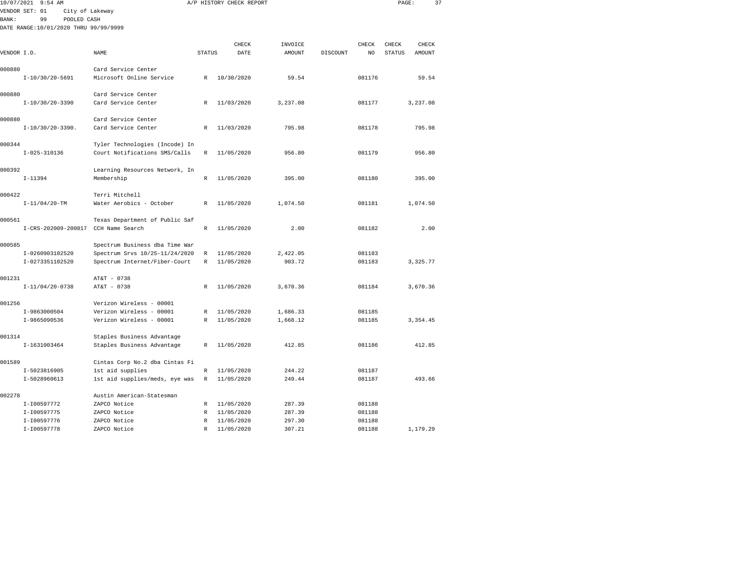|              | 10/07/2021 9:54 AM                    |                                                    |               | A/P HISTORY CHECK REPORT |                  |          |                  | PAGE:         | 37            |  |
|--------------|---------------------------------------|----------------------------------------------------|---------------|--------------------------|------------------|----------|------------------|---------------|---------------|--|
|              | VENDOR SET: 01<br>City of Lakeway     |                                                    |               |                          |                  |          |                  |               |               |  |
| <b>BANK:</b> | 99<br>POOLED CASH                     |                                                    |               |                          |                  |          |                  |               |               |  |
|              | DATE RANGE:10/01/2020 THRU 99/99/9999 |                                                    |               |                          |                  |          |                  |               |               |  |
|              |                                       |                                                    |               |                          |                  |          |                  |               |               |  |
|              |                                       |                                                    |               | CHECK                    | INVOICE          |          | CHECK            | CHECK         | CHECK         |  |
| VENDOR I.D.  |                                       | <b>NAME</b>                                        | <b>STATUS</b> | DATE                     | <b>AMOUNT</b>    | DISCOUNT | NO.              | <b>STATUS</b> | <b>AMOUNT</b> |  |
| 000880       |                                       | Card Service Center                                |               |                          |                  |          |                  |               |               |  |
|              | I-10/30/20-5691                       | Microsoft Online Service                           | R             | 10/30/2020               | 59.54            |          | 081176           |               | 59.54         |  |
|              |                                       |                                                    |               |                          |                  |          |                  |               |               |  |
| 000880       |                                       | Card Service Center                                |               |                          |                  |          |                  |               |               |  |
|              | $I-10/30/20-3390$                     | Card Service Center                                | R             | 11/03/2020               | 3,237.08         |          | 081177           |               | 3,237.08      |  |
|              |                                       |                                                    |               |                          |                  |          |                  |               |               |  |
| 000880       |                                       | Card Service Center                                |               |                          |                  |          |                  |               |               |  |
|              | $I-10/30/20-3390$ .                   | Card Service Center                                | $\mathbb{R}$  | 11/03/2020               | 795.98           |          | 081178           |               | 795.98        |  |
|              |                                       |                                                    |               |                          |                  |          |                  |               |               |  |
| 000344       |                                       | Tyler Technologies (Incode) In                     |               |                          |                  |          |                  |               |               |  |
|              | $I - 025 - 310136$                    | Court Notifications SMS/Calls                      | $\mathbb{R}$  | 11/05/2020               | 956.80           |          | 081179           |               | 956.80        |  |
| 000392       |                                       | Learning Resources Network, In                     |               |                          |                  |          |                  |               |               |  |
|              | $I-11394$                             | Membership                                         | R             | 11/05/2020               | 395.00           |          | 081180           |               | 395.00        |  |
|              |                                       |                                                    |               |                          |                  |          |                  |               |               |  |
| 000422       |                                       | Terri Mitchell                                     |               |                          |                  |          |                  |               |               |  |
|              | $I-11/04/20-TM$                       | Water Aerobics - October                           | $\mathbb{R}$  | 11/05/2020               | 1,074.50         |          | 081181           |               | 1,074.50      |  |
|              |                                       |                                                    |               |                          |                  |          |                  |               |               |  |
| 000561       |                                       | Texas Department of Public Saf                     |               |                          |                  |          |                  |               |               |  |
|              | I-CRS-202009-200817                   | CCH Name Search                                    | $\mathbb{R}$  | 11/05/2020               | 2.00             |          | 081182           |               | 2.00          |  |
|              |                                       |                                                    |               |                          |                  |          |                  |               |               |  |
| 000585       |                                       | Spectrum Business dba Time War                     |               |                          |                  |          |                  |               |               |  |
|              | I-0260903102520                       | Spectrum Srvs 10/25-11/24/2020                     | R             | 11/05/2020               | 2,422.05         |          | 081183           |               |               |  |
|              | I-0273351102520                       | Spectrum Internet/Fiber-Court                      | R             | 11/05/2020               | 903.72           |          | 081183           |               | 3,325.77      |  |
| 001231       |                                       | AT&T - 0738                                        |               |                          |                  |          |                  |               |               |  |
|              | $I-11/04/20-0738$                     | AT&T - 0738                                        | R             | 11/05/2020               | 3,670.36         |          | 081184           |               | 3,670.36      |  |
|              |                                       |                                                    |               |                          |                  |          |                  |               |               |  |
| 001256       |                                       | Verizon Wireless - 00001                           |               |                          |                  |          |                  |               |               |  |
|              | I-9863000504                          | Verizon Wireless - 00001                           | R             | 11/05/2020               | 1,686.33         |          | 081185           |               |               |  |
|              | I-9865090536                          | Verizon Wireless - 00001                           | $\mathbb R$   | 11/05/2020               | 1,668.12         |          | 081185           |               | 3, 354.45     |  |
|              |                                       |                                                    |               |                          |                  |          |                  |               |               |  |
| 001314       |                                       | Staples Business Advantage                         |               |                          |                  |          |                  |               |               |  |
|              | I-1631003464                          | Staples Business Advantage                         | R             | 11/05/2020               | 412.85           |          | 081186           |               | 412.85        |  |
|              |                                       |                                                    |               |                          |                  |          |                  |               |               |  |
| 001589       |                                       | Cintas Corp No.2 dba Cintas Fi                     |               |                          |                  |          |                  |               |               |  |
|              | I-5023816905<br>I-5028960613          | 1st aid supplies<br>1st aid supplies/meds, eye was | R<br>R        | 11/05/2020<br>11/05/2020 | 244.22<br>249.44 |          | 081187<br>081187 |               | 493.66        |  |
|              |                                       |                                                    |               |                          |                  |          |                  |               |               |  |
| 002278       |                                       | Austin American-Statesman                          |               |                          |                  |          |                  |               |               |  |
|              | I-I00597772                           | ZAPCO Notice                                       | R             | 11/05/2020               | 287.39           |          | 081188           |               |               |  |
|              | I-I00597775                           | ZAPCO Notice                                       | R             | 11/05/2020               | 287.39           |          | 081188           |               |               |  |

I-I00597778 ZAPCO Notice R 11/05/2020 307.21 081188 1,179.29

081188<br>081188

I-I00597776 ZAPCO Notice R 11/05/2020 297.30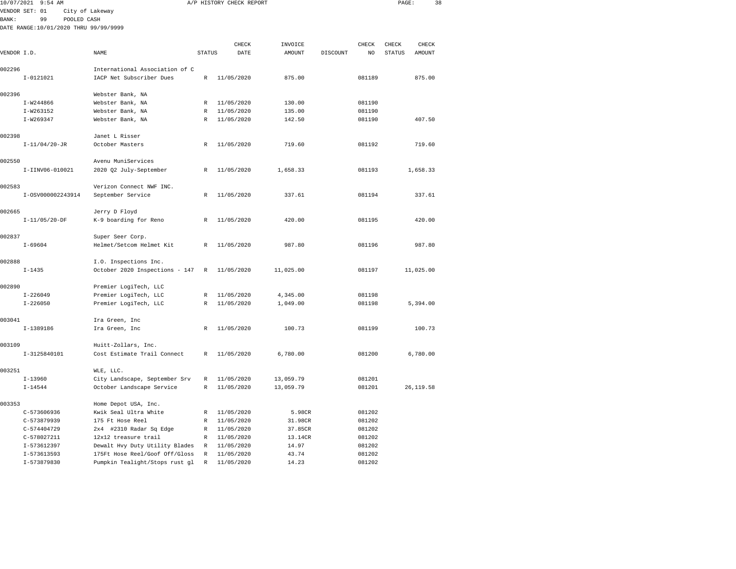|                | 10/07/2021 9:54 AM                     |                 |                                |              | A/P HISTORY CHECK REPORT |          |          |        | PAGE:         | 38       |  |
|----------------|----------------------------------------|-----------------|--------------------------------|--------------|--------------------------|----------|----------|--------|---------------|----------|--|
| VENDOR SET: 01 |                                        | City of Lakeway |                                |              |                          |          |          |        |               |          |  |
| <b>BANK:</b>   | 99                                     | POOLED CASH     |                                |              |                          |          |          |        |               |          |  |
|                | DATE RANGE: 10/01/2020 THRU 99/99/9999 |                 |                                |              |                          |          |          |        |               |          |  |
|                |                                        |                 |                                |              | CHECK                    | INVOICE  |          | CHECK  | CHECK         | CHECK    |  |
| VENDOR I.D.    |                                        |                 | NAME                           | STATUS       | DATE                     | AMOUNT   | DISCOUNT | NO     | <b>STATUS</b> | AMOUNT   |  |
| 002296         |                                        |                 | International Association of C |              |                          |          |          |        |               |          |  |
|                | I-0121021                              |                 | IACP Net Subscriber Dues       | R            | 11/05/2020               | 875.00   |          | 081189 |               | 875.00   |  |
| 002396         |                                        |                 | Webster Bank, NA               |              |                          |          |          |        |               |          |  |
|                | I-W244866                              |                 | Webster Bank, NA               | R            | 11/05/2020               | 130.00   |          | 081190 |               |          |  |
|                | I-W263152                              |                 | Webster Bank, NA               | R            | 11/05/2020               | 135.00   |          | 081190 |               |          |  |
|                | I-W269347                              |                 | Webster Bank, NA               | $\mathbb{R}$ | 11/05/2020               | 142.50   |          | 081190 |               | 407.50   |  |
| 002398         |                                        |                 | Janet L Risser                 |              |                          |          |          |        |               |          |  |
|                | $I-11/04/20-JR$                        |                 | October Masters                | R            | 11/05/2020               | 719.60   |          | 081192 |               | 719.60   |  |
| 002550         |                                        |                 | Avenu MuniServices             |              |                          |          |          |        |               |          |  |
|                | I-IINV06-010021                        |                 | 2020 Q2 July-September         | R            | 11/05/2020               | 1,658.33 |          | 081193 |               | 1,658.33 |  |
| 002583         |                                        |                 | Verizon Connect NWF INC.       |              |                          |          |          |        |               |          |  |
|                | I-0SV000002243914                      |                 | September Service              | R            | 11/05/2020               | 337.61   |          | 081194 |               | 337.61   |  |
| 002665         |                                        |                 | Jerry D Floyd                  |              |                          |          |          |        |               |          |  |

I-11/05/20-DF K-9 boarding for Reno R 11/05/2020 420.00 081195 420.00

I-69604 Helmet/Setcom Helmet Kit R 11/05/2020 987.80 081196 987.80

I-1435 October 2020 Inspections - 147 R 11/05/2020 11,025.00 081197 11,025.00

I-226050 Premier LogiTech, LLC R 11/05/2020 1,049.00 081198 5,394.00

I-1389186 Ira Green, Inc R 11/05/2020 100.73 081199 100.73

I-3125840101 Cost Estimate Trail Connect R 11/05/2020 6,780.00 081200 6,780.00

I-14544 October Landscape Service R 11/05/2020 13,059.79 081201 26,119.58

I-226049 Premier LogiTech, LLC R 11/05/2020 4,345.00 081198

I-13960 City Landscape, September Srv R 11/05/2020 13,059.79 081201

 C-573606936 Kwik Seal Ultra White R 11/05/2020 5.98CR 081202 C-573879939 175 Ft Hose Reel R 11/05/2020 31.98CR 081202 C-574404729 2x4 #2310 Radar Sq Edge R 11/05/2020 37.85CR 081202 C-578027211 12x12 treasure trail R 11/05/2020 13.14CR 081202 I-573612397 Dewalt Hvy Duty Utility Blades R 11/05/2020 14.97 081202 I-573613593 175Ft Hose Reel/Goof Off/Gloss R 11/05/2020 43.74 081202I-573879830 Pumpkin Tealight/Stops rust gl R 11/05/2020 14.23 081202

002837 Super Seer Corp.

002888 I.O. Inspections Inc.

002890 Premier LogiTech, LLC

003041 Ira Green, Inc

003251 WLE, LLC.

003109 Huitt-Zollars, Inc.

003353 Home Depot USA, Inc.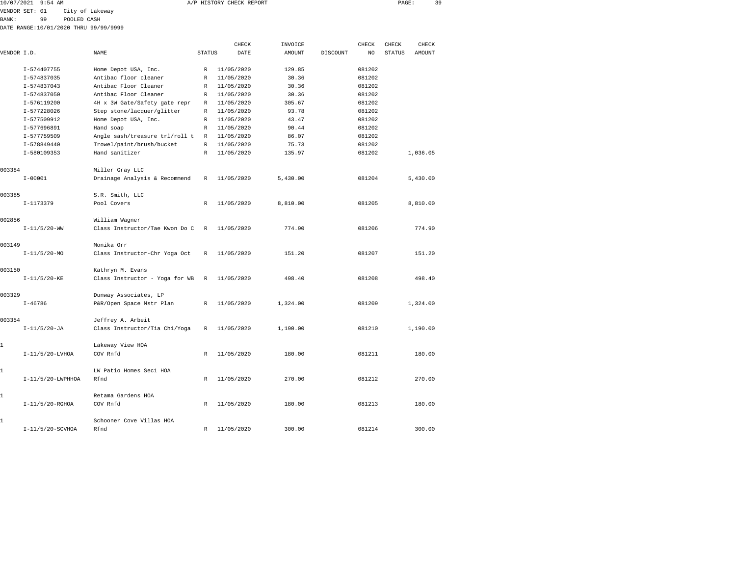| 10/07/2021 9:54 AM | A/P HISTORY CHECK REPORT | PAGE | 20. |
|--------------------|--------------------------|------|-----|
|                    |                          |      |     |

VENDOR SET: 01 City of Lakeway

BANK: 99 POOLED CASH

DATE RANGE:10/01/2020 THRU 99/99/9999

|              |                   |                                |               | CHECK      | INVOICE  |          | CHECK  | CHECK         | CHECK    |
|--------------|-------------------|--------------------------------|---------------|------------|----------|----------|--------|---------------|----------|
| VENDOR I.D.  |                   | NAME                           | <b>STATUS</b> | DATE       | AMOUNT   | DISCOUNT | NO     | <b>STATUS</b> | AMOUNT   |
|              | I-574407755       | Home Depot USA, Inc.           | $\mathbb{R}$  | 11/05/2020 | 129.85   |          | 081202 |               |          |
|              | I-574837035       | Antibac floor cleaner          | R             | 11/05/2020 | 30.36    |          | 081202 |               |          |
|              | I-574837043       | Antibac Floor Cleaner          | R             | 11/05/2020 | 30.36    |          | 081202 |               |          |
|              | I-574837050       | Antibac Floor Cleaner          | R             | 11/05/2020 | 30.36    |          | 081202 |               |          |
|              | I-576119200       | 4H x 3W Gate/Safety gate repr  | R             | 11/05/2020 | 305.67   |          | 081202 |               |          |
|              | I-577228026       | Step stone/lacquer/glitter     | R             | 11/05/2020 | 93.78    |          | 081202 |               |          |
|              | I-577509912       | Home Depot USA, Inc.           | R             | 11/05/2020 | 43.47    |          | 081202 |               |          |
|              | I-577696891       | Hand soap                      | R             | 11/05/2020 | 90.44    |          | 081202 |               |          |
|              | I-577759509       | Angle sash/treasure trl/roll t | R             | 11/05/2020 | 86.07    |          | 081202 |               |          |
|              | I-578849440       | Trowel/paint/brush/bucket      | R             | 11/05/2020 | 75.73    |          | 081202 |               |          |
|              | I-580109353       | Hand sanitizer                 | R             | 11/05/2020 | 135.97   |          | 081202 |               | 1,036.05 |
| 003384       |                   | Miller Gray LLC                |               |            |          |          |        |               |          |
|              | $I - 00001$       | Drainage Analysis & Recommend  | R             | 11/05/2020 | 5,430.00 |          | 081204 |               | 5,430.00 |
| 003385       |                   | S.R. Smith, LLC                |               |            |          |          |        |               |          |
|              | I-1173379         | Pool Covers                    | R             | 11/05/2020 | 8,810.00 |          | 081205 |               | 8,810.00 |
| 002856       |                   | William Wagner                 |               |            |          |          |        |               |          |
|              | $I-11/5/20-WW$    | Class Instructor/Tae Kwon Do C | $\mathbb{R}$  | 11/05/2020 | 774.90   |          | 081206 |               | 774.90   |
| 003149       |                   | Monika Orr                     |               |            |          |          |        |               |          |
|              | $I-11/5/20-MO$    | Class Instructor-Chr Yoga Oct  | R             | 11/05/2020 | 151.20   |          | 081207 |               | 151.20   |
| 003150       |                   | Kathryn M. Evans               |               |            |          |          |        |               |          |
|              | $I-11/5/20-KE$    | Class Instructor - Yoga for WB | R             | 11/05/2020 | 498.40   |          | 081208 |               | 498.40   |
| 003329       |                   | Dunway Associates, LP          |               |            |          |          |        |               |          |
|              | $I - 46786$       | P&R/Open Space Mstr Plan       | $\mathbb{R}$  | 11/05/2020 | 1,324.00 |          | 081209 |               | 1,324.00 |
| 003354       |                   | Jeffrey A. Arbeit              |               |            |          |          |        |               |          |
|              | $I-11/5/20-JA$    | Class Instructor/Tia Chi/Yoga  | R             | 11/05/2020 | 1,190.00 |          | 081210 |               | 1,190.00 |
| $\mathbf 1$  |                   | Lakeway View HOA               |               |            |          |          |        |               |          |
|              | $I-11/5/20-LVHOA$ | COV Rnfd                       | $\mathbb{R}$  | 11/05/2020 | 180.00   |          | 081211 |               | 180.00   |
| $\mathbf{1}$ |                   | LW Patio Homes Sec1 HOA        |               |            |          |          |        |               |          |
|              | I-11/5/20-LWPHHOA | Rfnd                           | $\mathbb{R}$  | 11/05/2020 | 270.00   |          | 081212 |               | 270.00   |
| 1            |                   | Retama Gardens HOA             |               |            |          |          |        |               |          |
|              | $I-11/5/20-RGHOA$ | COV Rnfd                       | R             | 11/05/2020 | 180.00   |          | 081213 |               | 180.00   |
| 1            |                   | Schooner Cove Villas HOA       |               |            |          |          |        |               |          |
|              | I-11/5/20-SCVHOA  | Rfnd                           | R             | 11/05/2020 | 300.00   |          | 081214 |               | 300.00   |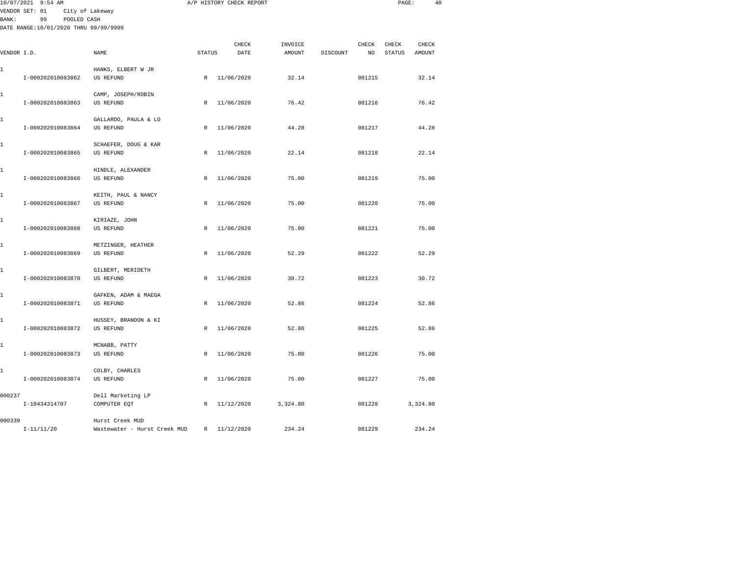|             | 10/07/2021 9:54 AM                                                           |                                                 |               | A/P HISTORY CHECK REPORT |                   |          |             |                        |                 | 40 |
|-------------|------------------------------------------------------------------------------|-------------------------------------------------|---------------|--------------------------|-------------------|----------|-------------|------------------------|-----------------|----|
| BANK :      | VENDOR SET: 01<br>99<br>POOLED CASH<br>DATE RANGE:10/01/2020 THRU 99/99/9999 | City of Lakeway                                 |               |                          |                   |          |             |                        |                 |    |
| VENDOR I.D. |                                                                              | NAME                                            | <b>STATUS</b> | CHECK<br>DATE            | INVOICE<br>AMOUNT | DISCOUNT | CHECK<br>NO | CHECK<br><b>STATUS</b> | CHECK<br>AMOUNT |    |
| 1           | I-000202010083862                                                            | HANKS, ELBERT W JR<br>US REFUND                 |               | R 11/06/2020             | 32.14             |          | 081215      |                        | 32.14           |    |
| 1           | I-000202010083863                                                            | CAMP, JOSEPH/ROBIN<br>US REFUND                 | $\mathbb{R}$  | 11/06/2020               | 76.42             |          | 081216      |                        | 76.42           |    |
| 1           | I-000202010083864                                                            | GALLARDO, PAULA & LO<br>US REFUND               | $\mathbb{R}$  | 11/06/2020               | 44.28             |          | 081217      |                        | 44.28           |    |
| 1           | I-000202010083865                                                            | SCHAEFER, DOUG & KAR<br>US REFUND               | $\mathbb{R}$  | 11/06/2020               | 22.14             |          | 081218      |                        | 22.14           |    |
| 1           | I-000202010083866                                                            | HINDLE, ALEXANDER<br>US REFUND                  | $\mathbb{R}$  | 11/06/2020               | 75.00             |          | 081219      |                        | 75.00           |    |
| 1           | I-000202010083867                                                            | KEITH, PAUL & NANCY<br>US REFUND                | R             | 11/06/2020               | 75.00             |          | 081220      |                        | 75.00           |    |
| 1           | I-000202010083868                                                            | KIRIAZE, JOHN<br>US REFUND                      | R             | 11/06/2020               | 75.00             |          | 081221      |                        | 75.00           |    |
| 1           | I-000202010083869                                                            | METZINGER, HEATHER<br>US REFUND                 | $\mathbb{R}$  | 11/06/2020               | 52.29             |          | 081222      |                        | 52.29           |    |
| 1           | I-000202010083870                                                            | GILBERT, MERIDETH<br>US REFUND                  | R             | 11/06/2020               | 30.72             |          | 081223      |                        | 30.72           |    |
| 1           | I-000202010083871                                                            | GAFKEN, ADAM & MAEGA<br>US REFUND               | $\mathbb{R}$  | 11/06/2020               | 52.86             |          | 081224      |                        | 52.86           |    |
| 1           | I-000202010083872                                                            | HUSSEY, BRANDON & KI<br>US REFUND               | R             | 11/06/2020               | 52.86             |          | 081225      |                        | 52.86           |    |
| 1           | I-000202010083873                                                            | MCNABB, PATTY<br>US REFUND                      | R             | 11/06/2020               | 75.00             |          | 081226      |                        | 75.00           |    |
| 1           | I-000202010083874                                                            | COLBY, CHARLES<br>US REFUND                     | R             | 11/06/2020               | 75.00             |          | 081227      |                        | 75.00           |    |
| 000237      | I-10434314707                                                                | Dell Marketing LP<br>COMPUTER EQT               | $\mathbb{R}$  | 11/12/2020               | 3,324.80          |          | 081228      |                        | 3,324.80        |    |
| 000339      | $T - 11/11/20$                                                               | Hurst Creek MUD<br>Wastewater - Hurst Creek MUD |               | R 11/12/2020             | 234.24            |          | 081229      |                        | 234.24          |    |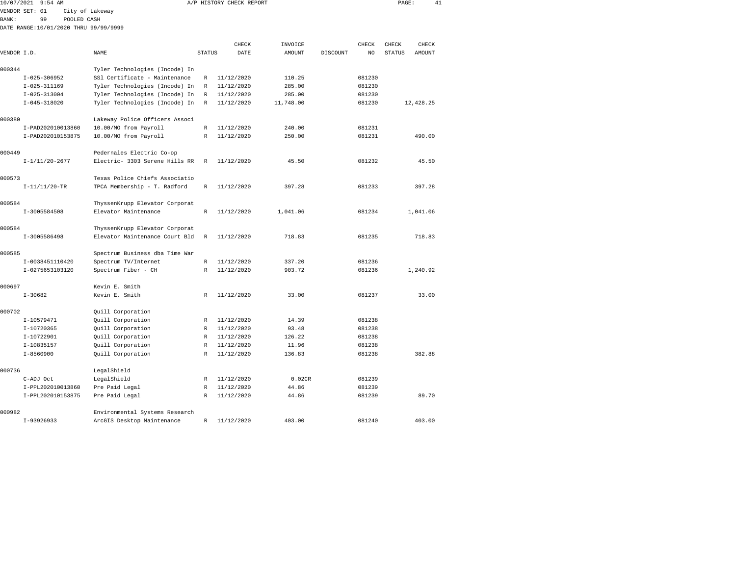|             | 10/07/2021 9:54 AM                    |                                |               | A/P HISTORY CHECK REPORT |                   |          |             | PAGE:                  |                 | 41 |
|-------------|---------------------------------------|--------------------------------|---------------|--------------------------|-------------------|----------|-------------|------------------------|-----------------|----|
|             | VENDOR SET: 01                        | City of Lakeway                |               |                          |                   |          |             |                        |                 |    |
| BANK:       | 99<br>POOLED CASH                     |                                |               |                          |                   |          |             |                        |                 |    |
|             | DATE RANGE:10/01/2020 THRU 99/99/9999 |                                |               |                          |                   |          |             |                        |                 |    |
|             |                                       |                                |               |                          |                   |          |             |                        |                 |    |
| VENDOR I.D. |                                       | NAME                           | <b>STATUS</b> | CHECK<br>DATE            | INVOICE<br>AMOUNT | DISCOUNT | CHECK<br>NO | CHECK<br><b>STATUS</b> | CHECK<br>AMOUNT |    |
|             |                                       |                                |               |                          |                   |          |             |                        |                 |    |
| 000344      |                                       | Tyler Technologies (Incode) In |               |                          |                   |          |             |                        |                 |    |
|             | $I - 025 - 306952$                    | SS1 Certificate - Maintenance  | R             | 11/12/2020               | 110.25            |          | 081230      |                        |                 |    |
|             | $I-025-311169$                        | Tyler Technologies (Incode) In | R             | 11/12/2020               | 285.00            |          | 081230      |                        |                 |    |
|             | $I - 025 - 313004$                    | Tyler Technologies (Incode) In | $\mathbb R$   | 11/12/2020               | 285.00            |          | 081230      |                        |                 |    |
|             | $I - 045 - 318020$                    | Tyler Technologies (Incode) In | $\mathbb{R}$  | 11/12/2020               | 11,748.00         |          | 081230      |                        | 12,428.25       |    |
|             |                                       |                                |               |                          |                   |          |             |                        |                 |    |
| 000380      |                                       | Lakeway Police Officers Associ |               |                          |                   |          |             |                        |                 |    |
|             | I-PAD202010013860                     | 10.00/MO from Payroll          | $\mathbb R$   | 11/12/2020               | 240.00            |          | 081231      |                        |                 |    |
|             | I-PAD202010153875                     | 10.00/MO from Payroll          | $\mathbb R$   | 11/12/2020               | 250.00            |          | 081231      |                        | 490.00          |    |
|             |                                       |                                |               |                          |                   |          |             |                        |                 |    |
| 000449      |                                       | Pedernales Electric Co-op      |               |                          |                   |          |             |                        |                 |    |
|             | $I-1/11/20-2677$                      | Electric- 3303 Serene Hills RR | R             | 11/12/2020               | 45.50             |          | 081232      |                        | 45.50           |    |
|             |                                       |                                |               |                          |                   |          |             |                        |                 |    |
| 000573      |                                       | Texas Police Chiefs Associatio |               |                          |                   |          |             |                        |                 |    |
|             | $I-11/11/20-TR$                       | TPCA Membership - T. Radford   | $\mathbb{R}$  | 11/12/2020               | 397.28            |          | 081233      |                        | 397.28          |    |
|             |                                       |                                |               |                          |                   |          |             |                        |                 |    |
| 000584      |                                       | ThyssenKrupp Elevator Corporat |               |                          |                   |          |             |                        |                 |    |
|             | I-3005584508                          | Elevator Maintenance           | R             | 11/12/2020               | 1,041.06          |          | 081234      |                        | 1,041.06        |    |
| 000584      |                                       | ThyssenKrupp Elevator Corporat |               |                          |                   |          |             |                        |                 |    |
|             | I-3005586498                          | Elevator Maintenance Court Bld | $\mathbb R$   | 11/12/2020               | 718.83            |          | 081235      |                        | 718.83          |    |
|             |                                       |                                |               |                          |                   |          |             |                        |                 |    |
| 000585      |                                       | Spectrum Business dba Time War |               |                          |                   |          |             |                        |                 |    |
|             | I-0038451110420                       | Spectrum TV/Internet           | R             | 11/12/2020               | 337.20            |          | 081236      |                        |                 |    |
|             | I-0275653103120                       | Spectrum Fiber - CH            | R             | 11/12/2020               | 903.72            |          | 081236      |                        | 1,240.92        |    |
|             |                                       |                                |               |                          |                   |          |             |                        |                 |    |
| 000697      |                                       | Kevin E. Smith                 |               |                          |                   |          |             |                        |                 |    |
|             | $I-30682$                             | Kevin E. Smith                 | R             | 11/12/2020               | 33.00             |          | 081237      |                        | 33.00           |    |
|             |                                       |                                |               |                          |                   |          |             |                        |                 |    |
| 000702      |                                       | Quill Corporation              |               |                          |                   |          |             |                        |                 |    |
|             | I-10579471                            | Quill Corporation              | R             | 11/12/2020               | 14.39             |          | 081238      |                        |                 |    |
|             | I-10720365                            | Quill Corporation              | $\mathbb R$   | 11/12/2020               | 93.48             |          | 081238      |                        |                 |    |
|             | I-10722901                            | Quill Corporation              | R             | 11/12/2020               | 126.22            |          | 081238      |                        |                 |    |
|             | I-10835157                            | Quill Corporation              | R             | 11/12/2020               | 11.96             |          | 081238      |                        |                 |    |
|             | $I - 8560900$                         | Quill Corporation              | $\mathbb{R}$  | 11/12/2020               | 136.83            |          | 081238      |                        | 382.88          |    |
|             |                                       |                                |               |                          |                   |          |             |                        |                 |    |
| 000736      |                                       | LegalShield                    |               |                          |                   |          |             |                        |                 |    |
|             | C-ADJ Oct                             | LegalShield                    | R             | 11/12/2020               | 0.02CR            |          | 081239      |                        |                 |    |
|             | T-PPL202010013860                     | Pre Paid Legal                 | R             | 11/12/2020               | 44 86             |          | 081239      |                        |                 |    |

| $L-FFLU2U2U1UU13UUU$ | FIE FAIU DEUAI                 | 900012177  | 77. UU | <b>001432</b> |        |
|----------------------|--------------------------------|------------|--------|---------------|--------|
| I-PPL202010153875    | Pre Paid Legal                 | 11/12/2020 | 44.86  | 081239        | 89.70  |
| 000982               | Environmental Systems Research |            |        |               |        |
| I-93926933           | ArcGIS Desktop Maintenance     | 11/12/2020 | 403.00 | 081240        | 403.00 |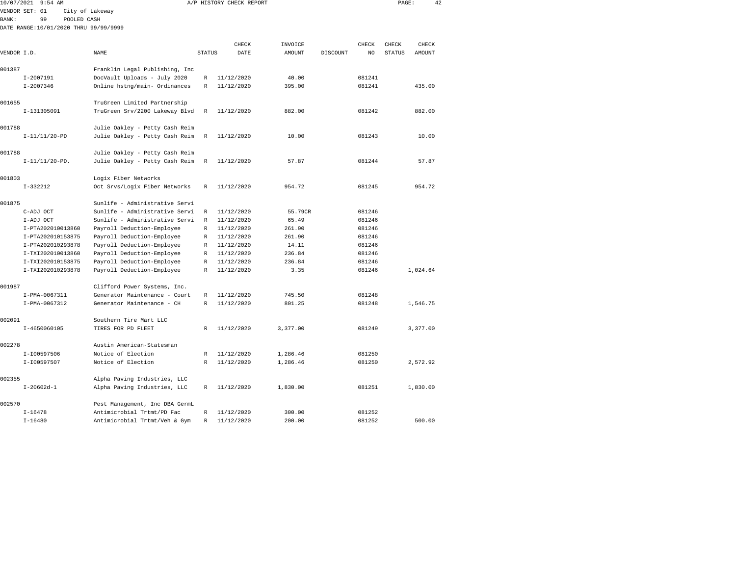| 10/07/2021   | 9:54 AM           |                                       |               | A/P HISTORY CHECK REPORT |               |          |        | PAGE:         | 42       |
|--------------|-------------------|---------------------------------------|---------------|--------------------------|---------------|----------|--------|---------------|----------|
|              | VENDOR SET: 01    | City of Lakeway                       |               |                          |               |          |        |               |          |
| <b>BANK:</b> | 99                | POOLED CASH                           |               |                          |               |          |        |               |          |
|              |                   | DATE RANGE:10/01/2020 THRU 99/99/9999 |               |                          |               |          |        |               |          |
|              |                   |                                       |               |                          |               |          |        |               |          |
| VENDOR I.D.  |                   | NAME                                  |               | CHECK<br>DATE            | INVOICE       |          | CHECK  | CHECK         | CHECK    |
|              |                   |                                       | <b>STATUS</b> |                          | <b>AMOUNT</b> | DISCOUNT | NO.    | <b>STATUS</b> | AMOUNT   |
| 001387       |                   | Franklin Legal Publishing, Inc        |               |                          |               |          |        |               |          |
|              | $I-2007191$       | DocVault Uploads - July 2020          | R             | 11/12/2020               | 40.00         |          | 081241 |               |          |
|              | $I - 2007346$     | Online hstng/main- Ordinances         | R             | 11/12/2020               | 395.00        |          | 081241 |               | 435.00   |
|              |                   |                                       |               |                          |               |          |        |               |          |
| 001655       |                   | TruGreen Limited Partnership          |               |                          |               |          |        |               |          |
|              | I-131305091       | TruGreen Srv/2200 Lakeway Blvd        | $\mathbb R$   | 11/12/2020               | 882.00        |          | 081242 |               | 882.00   |
|              |                   |                                       |               |                          |               |          |        |               |          |
| 001788       |                   | Julie Oakley - Petty Cash Reim        |               |                          |               |          |        |               |          |
|              | $I-11/11/20-PD$   | Julie Oakley - Petty Cash Reim        | $\mathbb R$   | 11/12/2020               | 10.00         |          | 081243 |               | 10.00    |
|              |                   |                                       |               |                          |               |          |        |               |          |
| 001788       |                   | Julie Oakley - Petty Cash Reim        |               |                          |               |          |        |               |          |
|              | $I-11/11/20-PD.$  | Julie Oakley - Petty Cash Reim        | $\mathbb R$   | 11/12/2020               | 57.87         |          | 081244 |               | 57.87    |
| 001803       |                   | Logix Fiber Networks                  |               |                          |               |          |        |               |          |
|              | $I-332212$        | Oct Srvs/Logix Fiber Networks         | R             | 11/12/2020               | 954.72        |          | 081245 |               | 954.72   |
|              |                   |                                       |               |                          |               |          |        |               |          |
| 001875       |                   | Sunlife - Administrative Servi        |               |                          |               |          |        |               |          |
|              | C-ADJ OCT         | Sunlife - Administrative Servi        | R             | 11/12/2020               | 55.79CR       |          | 081246 |               |          |
|              | I-ADJ OCT         | Sunlife - Administrative Servi        | R             | 11/12/2020               | 65.49         |          | 081246 |               |          |
|              | I-PTA202010013860 | Payroll Deduction-Employee            | R             | 11/12/2020               | 261.90        |          | 081246 |               |          |
|              | I-PTA202010153875 | Payroll Deduction-Employee            | $\mathbb{R}$  | 11/12/2020               | 261.90        |          | 081246 |               |          |
|              | I-PTA202010293878 | Payroll Deduction-Employee            | R             | 11/12/2020               | 14.11         |          | 081246 |               |          |
|              | I-TXI202010013860 | Payroll Deduction-Employee            | R             | 11/12/2020               | 236.84        |          | 081246 |               |          |
|              | I-TXI202010153875 | Payroll Deduction-Employee            | R             | 11/12/2020               | 236.84        |          | 081246 |               |          |
|              | I-TXI202010293878 | Payroll Deduction-Employee            | R             | 11/12/2020               | 3.35          |          | 081246 |               | 1,024.64 |
| 001987       |                   | Clifford Power Systems, Inc.          |               |                          |               |          |        |               |          |
|              | I-PMA-0067311     | Generator Maintenance - Court         | R             | 11/12/2020               | 745.50        |          | 081248 |               |          |
|              | I-PMA-0067312     | Generator Maintenance - CH            | R             | 11/12/2020               | 801.25        |          | 081248 |               | 1,546.75 |
|              |                   |                                       |               |                          |               |          |        |               |          |
| 002091       |                   | Southern Tire Mart LLC                |               |                          |               |          |        |               |          |
|              | I-4650060105      | TIRES FOR PD FLEET                    | R             | 11/12/2020               | 3,377.00      |          | 081249 |               | 3,377.00 |
|              |                   |                                       |               |                          |               |          |        |               |          |
| 002278       |                   | Austin American-Statesman             |               |                          |               |          |        |               |          |
|              | I-I00597506       | Notice of Election                    | R             | 11/12/2020               | 1,286.46      |          | 081250 |               |          |
|              | I-I00597507       | Notice of Election                    | $\mathbb{R}$  | 11/12/2020               | 1,286.46      |          | 081250 |               | 2,572.92 |
|              |                   |                                       |               |                          |               |          |        |               |          |
| 002355       |                   | Alpha Paving Industries, LLC          |               |                          |               |          |        |               |          |
|              | $I-20602d-1$      | Alpha Paving Industries, LLC          | $\mathbb{R}$  | 11/12/2020               | 1,830.00      |          | 081251 |               | 1,830.00 |
| 002570       |                   | Pest Management, Inc DBA GermL        |               |                          |               |          |        |               |          |
|              | $T - 16478$       | Antimicrobial Trtmt/PD Fac            | R             | 11/12/2020               | 300.00        |          | 081252 |               |          |

I-16480 Antimicrobial Trtmt/Veh & Gym R 11/12/2020 200.00 081252 500.00

081252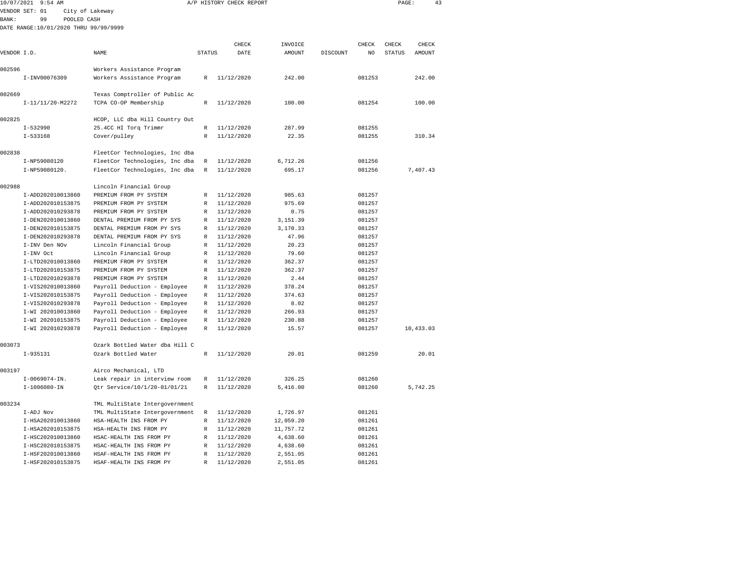| 10/07/2021  | $9:54$ AM                              |                                                        |                   | A/P HISTORY CHECK REPORT | PAGE:          |          | 43               |               |           |  |
|-------------|----------------------------------------|--------------------------------------------------------|-------------------|--------------------------|----------------|----------|------------------|---------------|-----------|--|
|             | VENDOR SET: 01                         | City of Lakeway                                        |                   |                          |                |          |                  |               |           |  |
| BANK:       | 99<br>POOLED CASH                      |                                                        |                   |                          |                |          |                  |               |           |  |
|             | DATE RANGE:10/01/2020 THRU 99/99/9999  |                                                        |                   |                          |                |          |                  |               |           |  |
|             |                                        |                                                        |                   |                          |                |          |                  |               |           |  |
|             |                                        |                                                        |                   | CHECK                    | INVOICE        |          | CHECK            | CHECK         | CHECK     |  |
| VENDOR I.D. |                                        | NAME                                                   | <b>STATUS</b>     | DATE                     | <b>AMOUNT</b>  | DISCOUNT | NO               | <b>STATUS</b> | AMOUNT    |  |
|             |                                        |                                                        |                   |                          |                |          |                  |               |           |  |
| 002596      |                                        | Workers Assistance Program                             |                   |                          |                |          |                  |               |           |  |
|             | I-INV00076309                          | Workers Assistance Program                             | $\mathbb{R}$      | 11/12/2020               | 242.00         |          | 081253           |               | 242.00    |  |
| 002669      |                                        | Texas Comptroller of Public Ac                         |                   |                          |                |          |                  |               |           |  |
|             | I-11/11/20-M2272                       | TCPA CO-OP Membership                                  | R                 | 11/12/2020               | 100.00         |          | 081254           |               | 100.00    |  |
|             |                                        |                                                        |                   |                          |                |          |                  |               |           |  |
| 002825      |                                        | HCOP, LLC dba Hill Country Out                         |                   |                          |                |          |                  |               |           |  |
|             | $I - 532990$                           | 25.4CC HI Torq Trimmr                                  | R                 | 11/12/2020               | 287.99         |          | 081255           |               |           |  |
|             | $I - 533168$                           | Cover/pulley                                           | $\mathbb{R}$      | 11/12/2020               | 22.35          |          | 081255           |               | 310.34    |  |
|             |                                        |                                                        |                   |                          |                |          |                  |               |           |  |
| 002838      |                                        | FleetCor Technologies, Inc dba                         |                   |                          |                |          |                  |               |           |  |
|             | I-NP59080120                           | FleetCor Technologies, Inc dba                         | $\mathbb R$       | 11/12/2020               | 6,712.26       |          | 081256           |               |           |  |
|             | I-NP59080120.                          | FleetCor Technologies, Inc dba                         | $\mathbb R$       | 11/12/2020               | 695.17         |          | 081256           |               | 7,407.43  |  |
|             |                                        |                                                        |                   |                          |                |          |                  |               |           |  |
| 002988      |                                        | Lincoln Financial Group                                |                   |                          |                |          |                  |               |           |  |
|             | I-ADD202010013860                      | PREMIUM FROM PY SYSTEM                                 | R<br>$\mathbb{R}$ | 11/12/2020               | 985.63         |          | 081257           |               |           |  |
|             | I-ADD202010153875<br>I-ADD202010293878 | PREMIUM FROM PY SYSTEM<br>PREMIUM FROM PY SYSTEM       | $\mathbb{R}$      | 11/12/2020<br>11/12/2020 | 975.69<br>0.75 |          | 081257<br>081257 |               |           |  |
|             | I-DEN202010013860                      | DENTAL PREMIUM FROM PY SYS                             | R                 | 11/12/2020               | 3,151.39       |          | 081257           |               |           |  |
|             | I-DEN202010153875                      | DENTAL PREMIUM FROM PY SYS                             | R                 | 11/12/2020               | 3,170.33       |          | 081257           |               |           |  |
|             | I-DEN202010293878                      | DENTAL PREMIUM FROM PY SYS                             | $\mathbb R$       | 11/12/2020               | 47.96          |          | 081257           |               |           |  |
|             | I-INV Den NOv                          | Lincoln Financial Group                                | R                 | 11/12/2020               | 20.23          |          | 081257           |               |           |  |
|             | I-INV Oct                              | Lincoln Financial Group                                | R                 | 11/12/2020               | 79.60          |          | 081257           |               |           |  |
|             | I-LTD202010013860                      | PREMIUM FROM PY SYSTEM                                 | $\mathbb{R}$      | 11/12/2020               | 362.37         |          | 081257           |               |           |  |
|             | I-LTD202010153875                      | PREMIUM FROM PY SYSTEM                                 | $\mathbb{R}$      | 11/12/2020               | 362.37         |          | 081257           |               |           |  |
|             | I-LTD202010293878                      | PREMIUM FROM PY SYSTEM                                 | R                 | 11/12/2020               | 2.44           |          | 081257           |               |           |  |
|             | I-VIS202010013860                      | Payroll Deduction - Employee                           | $\mathbb R$       | 11/12/2020               | 378.24         |          | 081257           |               |           |  |
|             | I-VIS202010153875                      | Payroll Deduction - Employee                           | $\mathbb R$       | 11/12/2020               | 374.63         |          | 081257           |               |           |  |
|             | I-VIS202010293878                      | Payroll Deduction - Employee                           | R                 | 11/12/2020               | 8.02           |          | 081257           |               |           |  |
|             | I-WI 202010013860                      | Payroll Deduction - Employee                           | $\mathbb{R}$      | 11/12/2020               | 266.93         |          | 081257           |               |           |  |
|             | I-WI 202010153875                      | Payroll Deduction - Employee                           | $\mathbb{R}$      | 11/12/2020               | 230.88         |          | 081257           |               |           |  |
|             | I-WI 202010293878                      | Payroll Deduction - Employee                           | $\mathbb{R}$      | 11/12/2020               | 15.57          |          | 081257           |               | 10,433.03 |  |
|             |                                        |                                                        |                   |                          |                |          |                  |               |           |  |
| 003073      |                                        | Ozark Bottled Water dba Hill C                         |                   |                          |                |          |                  |               |           |  |
|             | $I-935131$                             | Ozark Bottled Water                                    | $\mathbb R$       | 11/12/2020               | 20.01          |          | 081259           |               | 20.01     |  |
|             |                                        |                                                        |                   |                          |                |          |                  |               |           |  |
| 003197      | $I-0069074-IN.$                        | Airco Mechanical, LTD<br>Leak repair in interview room | R                 | 11/12/2020               | 326.25         |          | 081260           |               |           |  |
|             | $I-1006080 - IN$                       | Otr Service/10/1/20-01/01/21                           | R                 | 11/12/2020               | 5,416.00       |          | 081260           |               | 5,742.25  |  |
|             |                                        |                                                        |                   |                          |                |          |                  |               |           |  |
| 003234      |                                        | TML MultiState Intergovernment                         |                   |                          |                |          |                  |               |           |  |
|             | I-ADJ Nov                              | TML MultiState Intergovernment                         | R                 | 11/12/2020               | 1,726.97       |          | 081261           |               |           |  |
|             | I-HSA202010013860                      | HSA-HEALTH INS FROM PY                                 | $\mathbb{R}$      | 11/12/2020               | 12,059.20      |          | 081261           |               |           |  |
|             | I-HSA202010153875                      | HSA-HEALTH INS FROM PY                                 | $\mathbb{R}$      | 11/12/2020               | 11,757.72      |          | 081261           |               |           |  |
|             | I-HSC202010013860                      | HSAC-HEALTH INS FROM PY                                | R                 | 11/12/2020               | 4,638.60       |          | 081261           |               |           |  |
|             | I-HSC202010153875                      | HSAC-HEALTH INS FROM PY                                | $\mathbb{R}$      | 11/12/2020               | 4,638.60       |          | 081261           |               |           |  |
|             | I-HSF202010013860                      | HSAF-HEALTH INS FROM PY                                | $\mathbb R$       | 11/12/2020               | 2,551.05       |          | 081261           |               |           |  |
|             | I-HSF202010153875                      | HSAF-HEALTH INS FROM PY                                | R                 | 11/12/2020               | 2,551.05       |          | 081261           |               |           |  |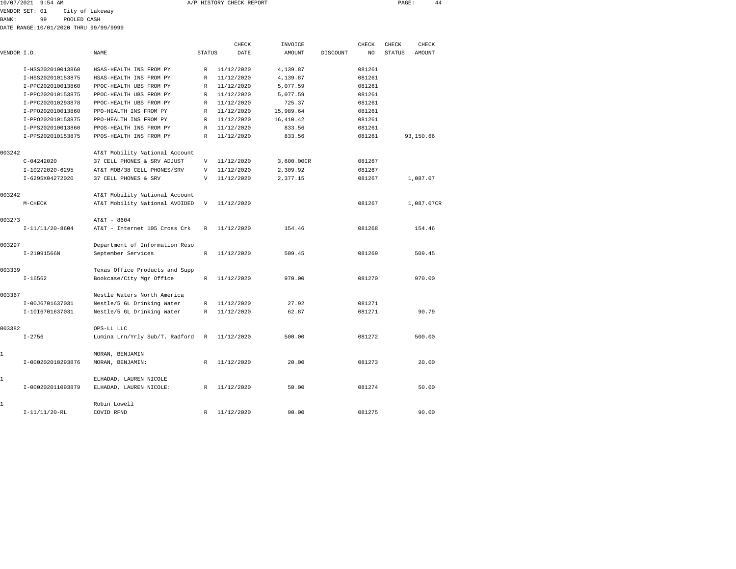| 10/07/2021 9:54 AM | A/P HISTORY CHECK REPORT | PAGE | 44 |
|--------------------|--------------------------|------|----|
|                    |                          |      |    |

VENDOR SET: 01 City of Lakeway

BANK: 99 POOLED CASH

DATE RANGE:10/01/2020 THRU 99/99/9999

|             |                   |                                |               | CHECK      | INVOICE    |          | CHECK  | CHECK         | CHECK         |
|-------------|-------------------|--------------------------------|---------------|------------|------------|----------|--------|---------------|---------------|
| VENDOR I.D. |                   | NAME                           | <b>STATUS</b> | DATE       | AMOUNT     | DISCOUNT | NO     | <b>STATUS</b> | <b>AMOUNT</b> |
|             | I-HSS202010013860 | HSAS-HEALTH INS FROM PY        | $\mathbb{R}$  | 11/12/2020 | 4,139.87   |          | 081261 |               |               |
|             | I-HSS202010153875 | HSAS-HEALTH INS FROM PY        | R             | 11/12/2020 | 4,139.87   |          | 081261 |               |               |
|             | I-PPC202010013860 | PPOC-HEALTH UBS FROM PY        | R             | 11/12/2020 | 5,077.59   |          | 081261 |               |               |
|             | I-PPC202010153875 | PPOC-HEALTH UBS FROM PY        | R             | 11/12/2020 | 5,077.59   |          | 081261 |               |               |
|             | I-PPC202010293878 | PPOC-HEALTH UBS FROM PY        | R             | 11/12/2020 | 725.37     |          | 081261 |               |               |
|             | I-PP0202010013860 | PPO-HEALTH INS FROM PY         | $\mathbb{R}$  | 11/12/2020 | 15,989.64  |          | 081261 |               |               |
|             | I-PP0202010153875 | PPO-HEALTH INS FROM PY         | R             | 11/12/2020 | 16,410.42  |          | 081261 |               |               |
|             | I-PPS202010013860 | PPOS-HEALTH INS FROM PY        | R             | 11/12/2020 | 833.56     |          | 081261 |               |               |
|             | I-PPS202010153875 | PPOS-HEALTH INS FROM PY        | $\mathbb{R}$  | 11/12/2020 | 833.56     |          | 081261 |               | 93,150.66     |
| 003242      |                   | AT&T Mobility National Account |               |            |            |          |        |               |               |
|             | $C - 04242020$    | 37 CELL PHONES & SRV ADJUST    | V             | 11/12/2020 | 3,600.00CR |          | 081267 |               |               |
|             | I-10272020-6295   | AT&T MOB/38 CELL PHONES/SRV    | V             | 11/12/2020 | 2,309.92   |          | 081267 |               |               |
|             | I-6295X04272020   | 37 CELL PHONES & SRV           | $\mathbf v$   | 11/12/2020 | 2,377.15   |          | 081267 |               | 1,087.07      |
| 003242      |                   | AT&T Mobility National Account |               |            |            |          |        |               |               |
|             | M-CHECK           | AT&T Mobility National AVOIDED | V             | 11/12/2020 |            |          | 081267 |               | 1,087.07CR    |
| 003273      |                   | AT&T - 8604                    |               |            |            |          |        |               |               |
|             | $I-11/11/20-8604$ | AT&T - Internet 105 Cross Crk  | $\mathbb{R}$  | 11/12/2020 | 154.46     |          | 081268 |               | 154.46        |
| 003297      |                   | Department of Information Reso |               |            |            |          |        |               |               |
|             | I-21091566N       | September Services             | $\mathbb{R}$  | 11/12/2020 | 509.45     |          | 081269 |               | 509.45        |
| 003339      |                   | Texas Office Products and Supp |               |            |            |          |        |               |               |
|             | $I-16562$         | Bookcase/City Mgr Office       | R             | 11/12/2020 | 970.00     |          | 081270 |               | 970.00        |
| 003367      |                   | Nestle Waters North America    |               |            |            |          |        |               |               |
|             | I-00J6701637031   | Nestle/5 GL Drinking Water     | R             | 11/12/2020 | 27.92      |          | 081271 |               |               |
|             | I-1016701637031   | Nestle/5 GL Drinking Water     | R             | 11/12/2020 | 62.87      |          | 081271 |               | 90.79         |
| 003382      |                   | OPS-LL LLC                     |               |            |            |          |        |               |               |
|             | $I - 2756$        | Lumina Lrn/Yrly Sub/T. Radford | R             | 11/12/2020 | 500.00     |          | 081272 |               | 500.00        |
| 1           |                   | MORAN, BENJAMIN                |               |            |            |          |        |               |               |
|             | I-000202010293876 | MORAN, BENJAMIN:               | $\mathbb{R}$  | 11/12/2020 | 20.00      |          | 081273 |               | 20.00         |
| 1           |                   | ELHADAD, LAUREN NICOLE         |               |            |            |          |        |               |               |
|             | I-000202011093879 | ELHADAD, LAUREN NICOLE:        | R             | 11/12/2020 | 50.00      |          | 081274 |               | 50.00         |
| 1           |                   | Robin Lowell                   |               |            |            |          |        |               |               |
|             | $I-11/11/20-RL$   | COVID RFND                     | $\mathbb{R}$  | 11/12/2020 | 90.00      |          | 081275 |               | 90.00         |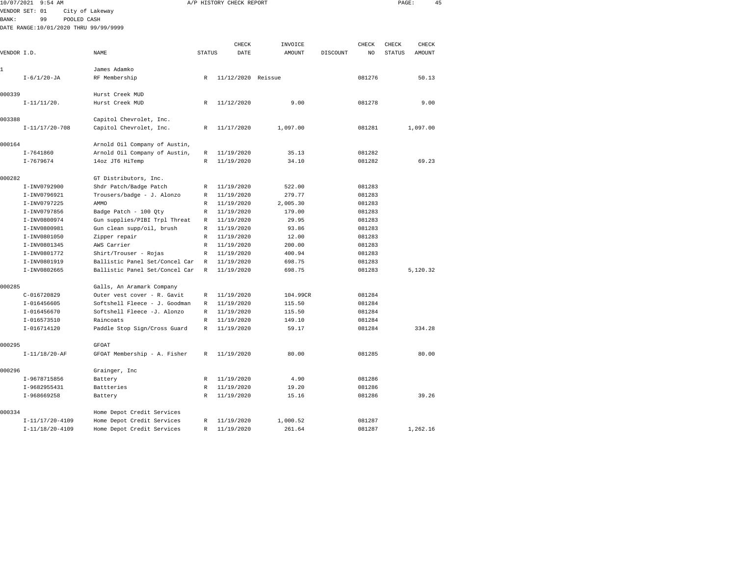|             | 10/07/2021 9:54 AM                    |                                                                  |               | A/P HISTORY CHECK REPORT | PAGE:            |          | 45               |               |          |  |
|-------------|---------------------------------------|------------------------------------------------------------------|---------------|--------------------------|------------------|----------|------------------|---------------|----------|--|
|             | VENDOR SET: 01                        | City of Lakeway                                                  |               |                          |                  |          |                  |               |          |  |
| BANK:       | 99<br>POOLED CASH                     |                                                                  |               |                          |                  |          |                  |               |          |  |
|             | DATE RANGE:10/01/2020 THRU 99/99/9999 |                                                                  |               |                          |                  |          |                  |               |          |  |
|             |                                       |                                                                  |               |                          |                  |          |                  |               |          |  |
|             |                                       |                                                                  |               | CHECK                    | INVOICE          |          | CHECK            | CHECK         | CHECK    |  |
| VENDOR I.D. |                                       | NAME                                                             | <b>STATUS</b> | DATE                     | <b>AMOUNT</b>    | DISCOUNT | NO               | <b>STATUS</b> | AMOUNT   |  |
| 1           |                                       | James Adamko                                                     |               |                          |                  |          |                  |               |          |  |
|             | $I - 6/1/20 - JA$                     |                                                                  | R             | 11/12/2020 Reissue       |                  |          | 081276           |               | 50.13    |  |
|             |                                       | RF Membership                                                    |               |                          |                  |          |                  |               |          |  |
| 000339      |                                       | Hurst Creek MUD                                                  |               |                          |                  |          |                  |               |          |  |
|             | $I-11/11/20$ .                        | Hurst Creek MUD                                                  | $\mathbb R$   | 11/12/2020               | 9.00             |          | 081278           |               | 9.00     |  |
|             |                                       |                                                                  |               |                          |                  |          |                  |               |          |  |
| 003388      |                                       | Capitol Chevrolet, Inc.                                          |               |                          |                  |          |                  |               |          |  |
|             | $I-11/17/20-708$                      | Capitol Chevrolet, Inc.                                          | R             | 11/17/2020               | 1,097.00         |          | 081281           |               | 1,097.00 |  |
|             |                                       |                                                                  |               |                          |                  |          |                  |               |          |  |
| 000164      |                                       | Arnold Oil Company of Austin,                                    |               |                          |                  |          |                  |               |          |  |
|             | $I - 7641860$                         | Arnold Oil Company of Austin,                                    | R             | 11/19/2020               | 35.13            |          | 081282           |               |          |  |
|             | $I - 7679674$                         | 14oz JT6 HiTemp                                                  | R             | 11/19/2020               | 34.10            |          | 081282           |               | 69.23    |  |
|             |                                       |                                                                  |               |                          |                  |          |                  |               |          |  |
| 000282      |                                       | GT Distributors, Inc.                                            |               |                          |                  |          |                  |               |          |  |
|             | I-INV0792900                          | Shdr Patch/Badge Patch                                           | R             | 11/19/2020               | 522.00           |          | 081283           |               |          |  |
|             | I-INV0796921                          | Trousers/badge - J. Alonzo                                       | R             | 11/19/2020               | 279.77           |          | 081283           |               |          |  |
|             | I-INV0797225                          | AMMO                                                             | R             | 11/19/2020               | 2,005.30         |          | 081283           |               |          |  |
|             | I-INV0797856                          | Badge Patch - 100 Qty                                            | R             | 11/19/2020               | 179.00           |          | 081283           |               |          |  |
|             | I-INV0800974                          | Gun supplies/PIBI Trpl Threat                                    | R             | 11/19/2020               | 29.95            |          | 081283           |               |          |  |
|             | I-INV0800981                          | Gun clean supp/oil, brush                                        | $\mathbb R$   | 11/19/2020               | 93.86            |          | 081283           |               |          |  |
|             | I-INV0801050                          | Zipper repair                                                    | R             | 11/19/2020               | 12.00            |          | 081283           |               |          |  |
|             | I-INV0801345                          | AWS Carrier                                                      | R             | 11/19/2020               | 200.00           |          | 081283           |               |          |  |
|             | I-INV0801772                          | Shirt/Trouser - Rojas                                            | R             | 11/19/2020               | 400.94           |          | 081283           |               |          |  |
|             | I-INV0801919<br>I-INV0802665          | Ballistic Panel Set/Concel Car<br>Ballistic Panel Set/Concel Car | R<br>R        | 11/19/2020<br>11/19/2020 | 698.75<br>698.75 |          | 081283<br>081283 |               | 5,120.32 |  |
|             |                                       |                                                                  |               |                          |                  |          |                  |               |          |  |
| 000285      |                                       | Galls, An Aramark Company                                        |               |                          |                  |          |                  |               |          |  |
|             | C-016720829                           | Outer vest cover - R. Gavit                                      | R             | 11/19/2020               | 104.99CR         |          | 081284           |               |          |  |
|             | $I-016456605$                         | Softshell Fleece - J. Goodman                                    | R             | 11/19/2020               | 115.50           |          | 081284           |               |          |  |
|             | I-016456670                           | Softshell Fleece -J. Alonzo                                      | R             | 11/19/2020               | 115.50           |          | 081284           |               |          |  |
|             | I-016573510                           | Raincoats                                                        | R             | 11/19/2020               | 149.10           |          | 081284           |               |          |  |
|             | I-016714120                           | Paddle Stop Sign/Cross Guard                                     | R             | 11/19/2020               | 59.17            |          | 081284           |               | 334.28   |  |
|             |                                       |                                                                  |               |                          |                  |          |                  |               |          |  |
| 000295      |                                       | <b>GFOAT</b>                                                     |               |                          |                  |          |                  |               |          |  |
|             | $I-11/18/20-AF$                       | GFOAT Membership - A. Fisher                                     | R             | 11/19/2020               | 80.00            |          | 081285           |               | 80.00    |  |
| 000296      |                                       | Grainger, Inc                                                    |               |                          |                  |          |                  |               |          |  |
|             | I-9678715856                          | Battery                                                          | R             | 11/19/2020               | 4.90             |          | 081286           |               |          |  |
|             | I-9682955431                          | Battteries                                                       | R             | 11/19/2020               | 19.20            |          | 081286           |               |          |  |
|             | I-968669258                           | Battery                                                          | $\mathbb{R}$  | 11/19/2020               | 15.16            |          | 081286           |               | 39.26    |  |
|             |                                       |                                                                  |               |                          |                  |          |                  |               |          |  |
| 000334      |                                       | Home Depot Credit Services                                       |               |                          |                  |          |                  |               |          |  |
|             | $I-11/17/20-4109$                     | Home Depot Credit Services                                       | R             | 11/19/2020               | 1,000.52         |          | 081287           |               |          |  |
|             | $I-11/18/20-4109$                     | Home Depot Credit Services                                       | R             | 11/19/2020               | 261.64           |          | 081287           |               | 1,262.16 |  |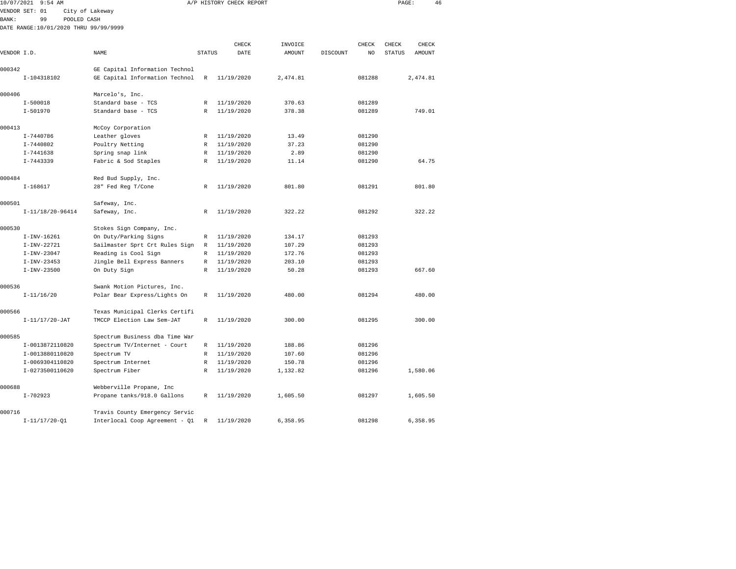| 10/07/2021  | 9:54 AM                               |                                |               | A/P HISTORY CHECK REPORT |               |          |        | PAGE:         | 46       |  |
|-------------|---------------------------------------|--------------------------------|---------------|--------------------------|---------------|----------|--------|---------------|----------|--|
|             | VENDOR SET: 01                        | City of Lakeway                |               |                          |               |          |        |               |          |  |
| BANK:       | 99<br>POOLED CASH                     |                                |               |                          |               |          |        |               |          |  |
|             | DATE RANGE:10/01/2020 THRU 99/99/9999 |                                |               |                          |               |          |        |               |          |  |
|             |                                       |                                |               |                          |               |          |        |               |          |  |
|             |                                       |                                |               | CHECK                    | INVOICE       |          | CHECK  | CHECK         | CHECK    |  |
| VENDOR I.D. |                                       | NAME                           | <b>STATUS</b> | DATE                     | <b>AMOUNT</b> | DISCOUNT | NO     | <b>STATUS</b> | AMOUNT   |  |
|             |                                       |                                |               |                          |               |          |        |               |          |  |
| 000342      |                                       | GE Capital Information Technol |               |                          |               |          |        |               |          |  |
|             | I-104318102                           | GE Capital Information Technol | $\mathbb R$   | 11/19/2020               | 2,474.81      |          | 081288 |               | 2,474.81 |  |
| 000406      |                                       | Marcelo's, Inc.                |               |                          |               |          |        |               |          |  |
|             | $I-500018$                            | Standard base - TCS            | R             | 11/19/2020               | 370.63        |          | 081289 |               |          |  |
|             | $I - 501970$                          | Standard base - TCS            | R             | 11/19/2020               | 378.38        |          | 081289 |               | 749.01   |  |
|             |                                       |                                |               |                          |               |          |        |               |          |  |
| 000413      |                                       | McCoy Corporation              |               |                          |               |          |        |               |          |  |
|             | I-7440786                             | Leather gloves                 | R             | 11/19/2020               | 13.49         |          | 081290 |               |          |  |
|             | $I - 7440802$                         | Poultry Netting                | R             | 11/19/2020               | 37.23         |          | 081290 |               |          |  |
|             | $I - 7441638$                         | Spring snap link               | R             | 11/19/2020               | 2.89          |          | 081290 |               |          |  |
|             | $I - 7443339$                         | Fabric & Sod Staples           | $\mathbb{R}$  | 11/19/2020               | 11.14         |          | 081290 |               | 64.75    |  |
|             |                                       |                                |               |                          |               |          |        |               |          |  |
| 000484      |                                       | Red Bud Supply, Inc.           |               |                          |               |          |        |               |          |  |
|             | $I-168617$                            | 28" Fed Reg T/Cone             | R             | 11/19/2020               | 801.80        |          | 081291 |               | 801.80   |  |
| 000501      |                                       | Safeway, Inc.                  |               |                          |               |          |        |               |          |  |
|             | $I-11/18/20-96414$                    | Safeway, Inc.                  | $\mathbb{R}$  | 11/19/2020               | 322.22        |          | 081292 |               | 322.22   |  |
|             |                                       |                                |               |                          |               |          |        |               |          |  |
| 000530      |                                       | Stokes Sign Company, Inc.      |               |                          |               |          |        |               |          |  |
|             | I-INV-16261                           | On Duty/Parking Signs          | R             | 11/19/2020               | 134.17        |          | 081293 |               |          |  |
|             | $I-INV-22721$                         | Sailmaster Sprt Crt Rules Sign | $\mathbb R$   | 11/19/2020               | 107.29        |          | 081293 |               |          |  |
|             | $I-INV-23047$                         | Reading is Cool Sign           | $\mathbb R$   | 11/19/2020               | 172.76        |          | 081293 |               |          |  |
|             | $I-INV-23453$                         | Jingle Bell Express Banners    | $\mathbb R$   | 11/19/2020               | 203.10        |          | 081293 |               |          |  |
|             | $I-INV-23500$                         | On Duty Sign                   | R             | 11/19/2020               | 50.28         |          | 081293 |               | 667.60   |  |
|             |                                       |                                |               |                          |               |          |        |               |          |  |
| 000536      |                                       | Swank Motion Pictures, Inc.    |               |                          |               |          | 081294 |               | 480.00   |  |
|             | $I-11/16/20$                          | Polar Bear Express/Lights On   | R             | 11/19/2020               | 480.00        |          |        |               |          |  |
| 000566      |                                       | Texas Municipal Clerks Certifi |               |                          |               |          |        |               |          |  |
|             | $I-11/17/20-JAT$                      | TMCCP Election Law Sem-JAT     | R             | 11/19/2020               | 300.00        |          | 081295 |               | 300.00   |  |
|             |                                       |                                |               |                          |               |          |        |               |          |  |
| 000585      |                                       | Spectrum Business dba Time War |               |                          |               |          |        |               |          |  |
|             | I-0013872110820                       | Spectrum TV/Internet - Court   | $\mathbb R$   | 11/19/2020               | 188.86        |          | 081296 |               |          |  |
|             | I-0013880110820                       | Spectrum TV                    | $\mathbb R$   | 11/19/2020               | 107.60        |          | 081296 |               |          |  |
|             | I-0069304110820                       | Spectrum Internet              | R             | 11/19/2020               | 150.78        |          | 081296 |               |          |  |
|             | I-0273500110620                       | Spectrum Fiber                 | $\mathbb R$   | 11/19/2020               | 1,132.82      |          | 081296 |               | 1,580.06 |  |
|             |                                       |                                |               |                          |               |          |        |               |          |  |
| 000688      |                                       | Webberville Propane, Inc       |               |                          |               |          |        |               |          |  |
|             | $I - 702923$                          | Propane tanks/918.0 Gallons    | R             | 11/19/2020               | 1,605.50      |          | 081297 |               | 1,605.50 |  |

I-11/17/20-Q1 Interlocal Coop Agreement - Q1 R 11/19/2020 6,358.95 081298 6,358.95

000716 Travis County Emergency Servic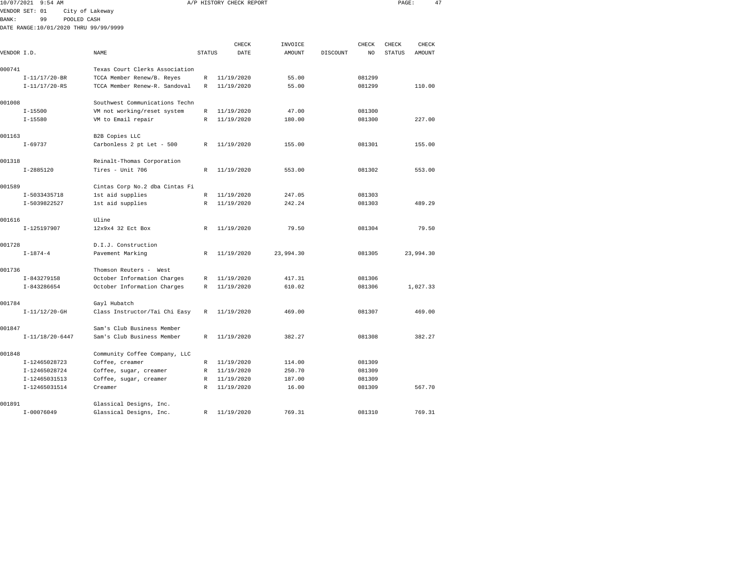| 10/07/2021     |                | $9:54$ AM         |                                       |                                                |               | A/P HISTORY CHECK REPORT |      |               |          |        | PAGE:         | 47        |  |
|----------------|----------------|-------------------|---------------------------------------|------------------------------------------------|---------------|--------------------------|------|---------------|----------|--------|---------------|-----------|--|
| VENDOR SET: 01 |                |                   | City of Lakeway                       |                                                |               |                          |      |               |          |        |               |           |  |
| <b>BANK:</b>   |                | 99                | POOLED CASH                           |                                                |               |                          |      |               |          |        |               |           |  |
|                |                |                   | DATE RANGE:10/01/2020 THRU 99/99/9999 |                                                |               |                          |      |               |          |        |               |           |  |
|                |                |                   |                                       |                                                |               |                          |      |               |          |        |               |           |  |
|                |                |                   |                                       |                                                |               | CHECK                    |      | INVOICE       |          | CHECK  | CHECK         | CHECK     |  |
| VENDOR I.D.    |                |                   |                                       | <b>NAME</b>                                    | <b>STATUS</b> |                          | DATE | <b>AMOUNT</b> | DISCOUNT | NO     | <b>STATUS</b> | AMOUNT    |  |
| 000741         |                |                   |                                       | Texas Court Clerks Association                 |               |                          |      |               |          |        |               |           |  |
|                |                | $I-11/17/20-BR$   |                                       | TCCA Member Renew/B. Reyes                     | R             | 11/19/2020               |      | 55.00         |          | 081299 |               |           |  |
|                |                | $I-11/17/20-RS$   |                                       | TCCA Member Renew-R. Sandoval                  | R             | 11/19/2020               |      | 55.00         |          | 081299 |               | 110.00    |  |
| 001008         |                |                   |                                       | Southwest Communications Techn                 |               |                          |      |               |          |        |               |           |  |
|                | $I - 15500$    |                   |                                       | VM not working/reset system                    | R             | 11/19/2020               |      | 47.00         |          | 081300 |               |           |  |
|                | $I - 15580$    |                   |                                       | VM to Email repair                             | R             | 11/19/2020               |      | 180.00        |          | 081300 |               | 227.00    |  |
| 001163         |                |                   |                                       | B2B Copies LLC                                 |               |                          |      |               |          |        |               |           |  |
|                | $I-69737$      |                   |                                       | Carbonless 2 pt Let - 500                      | R             | 11/19/2020               |      | 155.00        |          | 081301 |               | 155.00    |  |
|                |                |                   |                                       |                                                |               |                          |      |               |          |        |               |           |  |
| 001318         |                |                   |                                       | Reinalt-Thomas Corporation<br>Tires - Unit 706 |               |                          |      | 553.00        |          | 081302 |               |           |  |
|                | $I-2885120$    |                   |                                       |                                                | R             | 11/19/2020               |      |               |          |        |               | 553.00    |  |
| 001589         |                |                   |                                       | Cintas Corp No.2 dba Cintas Fi                 |               |                          |      |               |          |        |               |           |  |
|                |                | I-5033435718      |                                       | 1st aid supplies                               | R             | 11/19/2020               |      | 247.05        |          | 081303 |               |           |  |
|                |                | I-5039822527      |                                       | 1st aid supplies                               | R             | 11/19/2020               |      | 242.24        |          | 081303 |               | 489.29    |  |
| 001616         |                |                   |                                       | Uline                                          |               |                          |      |               |          |        |               |           |  |
|                |                | I-125197907       |                                       | 12x9x4 32 Ect Box                              | R             | 11/19/2020               |      | 79.50         |          | 081304 |               | 79.50     |  |
| 001728         |                |                   |                                       | D.I.J. Construction                            |               |                          |      |               |          |        |               |           |  |
|                | $I - 1874 - 4$ |                   |                                       | Pavement Marking                               | R             | 11/19/2020               |      | 23,994.30     |          | 081305 |               | 23,994.30 |  |
| 001736         |                |                   |                                       | Thomson Reuters - West                         |               |                          |      |               |          |        |               |           |  |
|                |                | I-843279158       |                                       | October Information Charges                    | R             | 11/19/2020               |      | 417.31        |          | 081306 |               |           |  |
|                |                | I-843286654       |                                       | October Information Charges                    | R             | 11/19/2020               |      | 610.02        |          | 081306 |               | 1,027.33  |  |
| 001784         |                |                   |                                       | Gayl Hubatch                                   |               |                          |      |               |          |        |               |           |  |
|                |                | $I-11/12/20-GH$   |                                       | Class Instructor/Tai Chi Easy                  | R             | 11/19/2020               |      | 469.00        |          | 081307 |               | 469.00    |  |
| 001847         |                |                   |                                       | Sam's Club Business Member                     |               |                          |      |               |          |        |               |           |  |
|                |                | $I-11/18/20-6447$ |                                       | Sam's Club Business Member                     | R             | 11/19/2020               |      | 382.27        |          | 081308 |               | 382.27    |  |
|                |                |                   |                                       |                                                |               |                          |      |               |          |        |               |           |  |
| 001848         |                |                   |                                       | Community Coffee Company, LLC                  |               |                          |      |               |          |        |               |           |  |
|                |                | I-12465028723     |                                       | Coffee, creamer                                | R             | 11/19/2020               |      | 114.00        |          | 081309 |               |           |  |
|                |                | I-12465028724     |                                       | Coffee, sugar, creamer                         | R             | 11/19/2020               |      | 250.70        |          | 081309 |               |           |  |
|                |                | I-12465031513     |                                       | Coffee, sugar, creamer                         | R             | 11/19/2020               |      | 187.00        |          | 081309 |               |           |  |
|                |                | I-12465031514     |                                       | Creamer                                        | R             | 11/19/2020               |      | 16.00         |          | 081309 |               | 567.70    |  |
|                |                |                   |                                       |                                                |               |                          |      |               |          |        |               |           |  |

I-00076049 Glassical Designs, Inc. R 11/19/2020 769.31 081310 769.31

001891 Glassical Designs, Inc.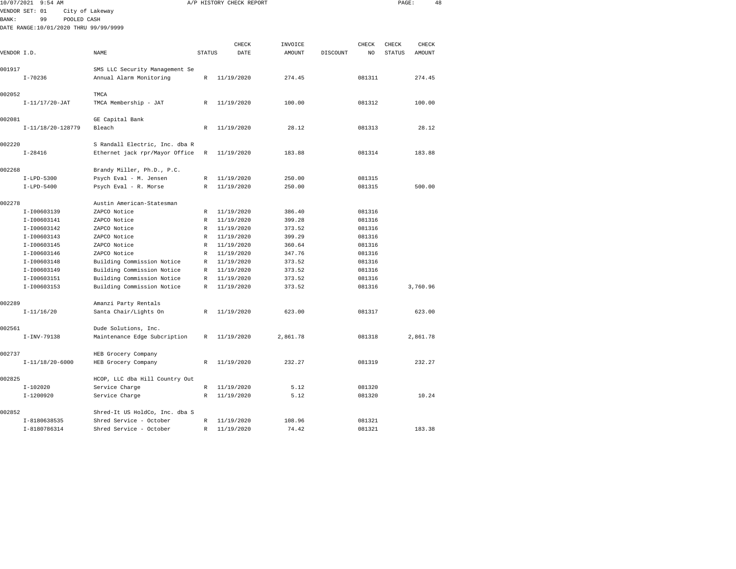| 10/07/2021   | $9:54$ AM                             |                                |                  | A/P HISTORY CHECK REPORT |                  |          |                  | PAGE:         | 48       |  |
|--------------|---------------------------------------|--------------------------------|------------------|--------------------------|------------------|----------|------------------|---------------|----------|--|
|              | VENDOR SET: 01                        | City of Lakeway                |                  |                          |                  |          |                  |               |          |  |
| <b>BANK:</b> | 99<br>POOLED CASH                     |                                |                  |                          |                  |          |                  |               |          |  |
|              | DATE RANGE:10/01/2020 THRU 99/99/9999 |                                |                  |                          |                  |          |                  |               |          |  |
|              |                                       |                                |                  |                          |                  |          |                  |               |          |  |
|              |                                       |                                |                  | CHECK                    | INVOICE          |          | CHECK            | CHECK         | CHECK    |  |
| VENDOR I.D.  |                                       | NAME                           | <b>STATUS</b>    | DATE                     | AMOUNT           | DISCOUNT | NO               | <b>STATUS</b> | AMOUNT   |  |
|              |                                       |                                |                  |                          |                  |          |                  |               |          |  |
| 001917       |                                       | SMS LLC Security Management Se |                  |                          |                  |          |                  |               |          |  |
|              | $I - 70236$                           | Annual Alarm Monitoring        | R                | 11/19/2020               | 274.45           |          | 081311           |               | 274.45   |  |
| 002052       |                                       | TMCA                           |                  |                          |                  |          |                  |               |          |  |
|              | $I-11/17/20-JAT$                      | TMCA Membership - JAT          | R                | 11/19/2020               | 100.00           |          | 081312           |               | 100.00   |  |
|              |                                       |                                |                  |                          |                  |          |                  |               |          |  |
| 002081       |                                       | GE Capital Bank                |                  |                          |                  |          |                  |               |          |  |
|              | I-11/18/20-128779                     | Bleach                         | $\mathbb R$      | 11/19/2020               | 28.12            |          | 081313           |               | 28.12    |  |
|              |                                       |                                |                  |                          |                  |          |                  |               |          |  |
| 002220       |                                       | S Randall Electric, Inc. dba R |                  |                          |                  |          |                  |               |          |  |
|              | $I - 28416$                           | Ethernet jack rpr/Mayor Office | R                | 11/19/2020               | 183.88           |          | 081314           |               | 183.88   |  |
|              |                                       |                                |                  |                          |                  |          |                  |               |          |  |
| 002268       |                                       | Brandy Miller, Ph.D., P.C.     |                  |                          |                  |          |                  |               |          |  |
|              | $I-LPD-5300$                          | Psych Eval - M. Jensen         | R                | 11/19/2020               | 250.00           |          | 081315           |               |          |  |
|              | $I-LPD-5400$                          | Psych Eval - R. Morse          | R                | 11/19/2020               | 250.00           |          | 081315           |               | 500.00   |  |
|              |                                       |                                |                  |                          |                  |          |                  |               |          |  |
| 002278       |                                       | Austin American-Statesman      |                  |                          |                  |          |                  |               |          |  |
|              | I-I00603139<br>I-I00603141            | ZAPCO Notice<br>ZAPCO Notice   | R<br>$\mathbb R$ | 11/19/2020<br>11/19/2020 | 386.40<br>399.28 |          | 081316<br>081316 |               |          |  |
|              | I-I00603142                           | ZAPCO Notice                   | R                | 11/19/2020               | 373.52           |          | 081316           |               |          |  |
|              | I-I00603143                           | ZAPCO Notice                   | R                | 11/19/2020               | 399.29           |          | 081316           |               |          |  |
|              | I-I00603145                           | ZAPCO Notice                   | $\mathbb R$      | 11/19/2020               | 360.64           |          | 081316           |               |          |  |
|              | I-I00603146                           | ZAPCO Notice                   | $\mathbb R$      | 11/19/2020               | 347.76           |          | 081316           |               |          |  |
|              | I-I00603148                           | Building Commission Notice     | R                | 11/19/2020               | 373.52           |          | 081316           |               |          |  |
|              | I-I00603149                           | Building Commission Notice     | R                | 11/19/2020               | 373.52           |          | 081316           |               |          |  |
|              | I-I00603151                           | Building Commission Notice     | R                | 11/19/2020               | 373.52           |          | 081316           |               |          |  |
|              | I-I00603153                           | Building Commission Notice     | R                | 11/19/2020               | 373.52           |          | 081316           |               | 3,760.96 |  |
|              |                                       |                                |                  |                          |                  |          |                  |               |          |  |
| 002289       |                                       | Amanzi Party Rentals           |                  |                          |                  |          |                  |               |          |  |
|              | $I-11/16/20$                          | Santa Chair/Lights On          | R                | 11/19/2020               | 623.00           |          | 081317           |               | 623.00   |  |
|              |                                       |                                |                  |                          |                  |          |                  |               |          |  |
| 002561       |                                       | Dude Solutions, Inc.           |                  |                          |                  |          |                  |               |          |  |
|              | $I-INV-79138$                         | Maintenance Edge Subcription   | R                | 11/19/2020               | 2,861.78         |          | 081318           |               | 2,861.78 |  |
|              |                                       |                                |                  |                          |                  |          |                  |               |          |  |
| 002737       |                                       | HEB Grocery Company            |                  |                          |                  |          |                  |               |          |  |
|              | $I-11/18/20-6000$                     | HEB Grocery Company            | R                | 11/19/2020               | 232.27           |          | 081319           |               | 232.27   |  |
| 002825       |                                       | HCOP, LLC dba Hill Country Out |                  |                          |                  |          |                  |               |          |  |
|              | $I-102020$                            | Service Charge                 | R                | 11/19/2020               | 5.12             |          | 081320           |               |          |  |
|              | $I - 1200920$                         | Service Charge                 | $\mathbb R$      | 11/19/2020               | 5.12             |          | 081320           |               | 10.24    |  |
|              |                                       |                                |                  |                          |                  |          |                  |               |          |  |
| 002852       |                                       | Shred-It US HoldCo, Inc. dba S |                  |                          |                  |          |                  |               |          |  |
|              | I-8180638535                          | Shred Service - October        | R                | 11/19/2020               | 108.96           |          | 081321           |               |          |  |
|              | I-8180786314                          | Shred Service - October        | $\mathbb R$      | 11/19/2020               | 74.42            |          | 081321           |               | 183.38   |  |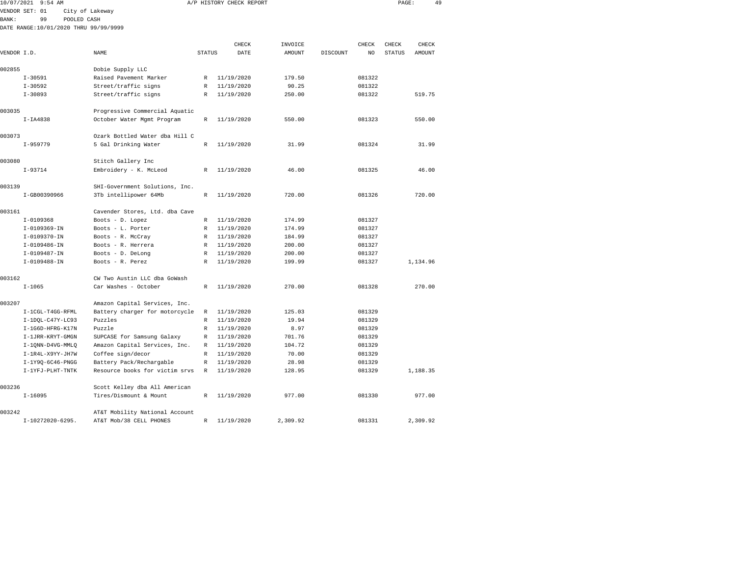| 10/07/2021  | $9:54$ AM                             |                                |               | A/P HISTORY CHECK REPORT |         |          |        | PAGE:         | 49       |  |
|-------------|---------------------------------------|--------------------------------|---------------|--------------------------|---------|----------|--------|---------------|----------|--|
|             | VENDOR SET: 01                        | City of Lakeway                |               |                          |         |          |        |               |          |  |
| BANK:       | 99<br>POOLED CASH                     |                                |               |                          |         |          |        |               |          |  |
|             | DATE RANGE:10/01/2020 THRU 99/99/9999 |                                |               |                          |         |          |        |               |          |  |
|             |                                       |                                |               |                          |         |          |        |               |          |  |
|             |                                       |                                |               | CHECK                    | INVOICE |          | CHECK  | CHECK         | CHECK    |  |
| VENDOR I.D. |                                       | NAME                           | <b>STATUS</b> | DATE                     | AMOUNT  | DISCOUNT | NO     | <b>STATUS</b> | AMOUNT   |  |
| 002855      |                                       | Dobie Supply LLC               |               |                          |         |          |        |               |          |  |
|             | $I - 30591$                           | Raised Pavement Marker         | R             | 11/19/2020               | 179.50  |          | 081322 |               |          |  |
|             | $I - 30592$                           | Street/traffic signs           | $\mathbb{R}$  | 11/19/2020               | 90.25   |          | 081322 |               |          |  |
|             | $I - 30893$                           | Street/traffic signs           | R             | 11/19/2020               | 250.00  |          | 081322 |               | 519.75   |  |
|             |                                       |                                |               |                          |         |          |        |               |          |  |
| 003035      |                                       | Progressive Commercial Aquatic |               |                          |         |          |        |               |          |  |
|             | $I-IA4838$                            | October Water Mgmt Program     | R             | 11/19/2020               | 550.00  |          | 081323 |               | 550.00   |  |
| 003073      |                                       | Ozark Bottled Water dba Hill C |               |                          |         |          |        |               |          |  |
|             | $I-959779$                            | 5 Gal Drinking Water           | $\mathbb{R}$  | 11/19/2020               | 31.99   |          | 081324 |               | 31.99    |  |
| 003080      |                                       | Stitch Gallery Inc             |               |                          |         |          |        |               |          |  |
|             | $I-93714$                             | Embroidery - K. McLeod         | $\mathbb{R}$  | 11/19/2020               | 46.00   |          | 081325 |               | 46.00    |  |
| 003139      |                                       | SHI-Government Solutions, Inc. |               |                          |         |          |        |               |          |  |
|             | I-GB00390966                          | 3Tb intellipower 64Mb          | $\mathbb R$   | 11/19/2020               | 720.00  |          | 081326 |               | 720.00   |  |
| 003161      |                                       | Cavender Stores, Ltd. dba Cave |               |                          |         |          |        |               |          |  |
|             | $I-0109368$                           | Boots - D. Lopez               | $\mathbb R$   | 11/19/2020               | 174.99  |          | 081327 |               |          |  |
|             | I-0109369-IN                          | Boots - L. Porter              | $\mathbb R$   | 11/19/2020               | 174.99  |          | 081327 |               |          |  |
|             | $I-0109370-IN$                        | Boots - R. McCray              | R             | 11/19/2020               | 184.99  |          | 081327 |               |          |  |
|             | $I-0109486 - IN$                      | Boots - R. Herrera             | R             | 11/19/2020               | 200.00  |          | 081327 |               |          |  |
|             | I-0109487-IN                          | Boots - D. DeLong              | R             | 11/19/2020               | 200.00  |          | 081327 |               |          |  |
|             | $I-0109488 - IN$                      | Boots - R. Perez               | $\mathbb{R}$  | 11/19/2020               | 199.99  |          | 081327 |               | 1,134.96 |  |
| 003162      |                                       | CW Two Austin LLC dba GoWash   |               |                          |         |          |        |               |          |  |
|             | $I - 1065$                            | Car Washes - October           | R             | 11/19/2020               | 270.00  |          | 081328 |               | 270.00   |  |
| 003207      |                                       | Amazon Capital Services, Inc.  |               |                          |         |          |        |               |          |  |
|             | I-1CGL-T4GG-RFML                      | Battery charger for motorcycle | R             | 11/19/2020               | 125.03  |          | 081329 |               |          |  |
|             | $I-1DQL-C47Y-LC93$                    | Puzzles                        | R             | 11/19/2020               | 19.94   |          | 081329 |               |          |  |
|             | I-1G6D-HFRG-K17N                      | Puzzle                         | R             | 11/19/2020               | 8.97    |          | 081329 |               |          |  |
|             | I-1JRR-KRYT-GMGN                      | SUPCASE for Samsung Galaxy     | R             | 11/19/2020               | 701.76  |          | 081329 |               |          |  |
|             | I-1QNN-D4VG-MMLQ                      | Amazon Capital Services, Inc.  | $\mathbb R$   | 11/19/2020               | 104.72  |          | 081329 |               |          |  |
|             | I-1R4L-X9YY-JH7W                      | Coffee sign/decor              | $\mathbb R$   | 11/19/2020               | 70.00   |          | 081329 |               |          |  |
|             | I-1Y9Q-6C46-PNGG                      | Battery Pack/Rechargable       | R             | 11/19/2020               | 28.98   |          | 081329 |               |          |  |
|             | I-1YFJ-PLHT-TNTK                      | Resource books for victim srvs | $\mathbb R$   | 11/19/2020               | 128.95  |          | 081329 |               | 1,188.35 |  |
| 003236      |                                       | Scott Kelley dba All American  |               |                          |         |          |        |               |          |  |
|             | $I-16095$                             | Tires/Dismount & Mount         | R             | 11/19/2020               | 977.00  |          | 081330 |               | 977.00   |  |
|             |                                       |                                |               |                          |         |          |        |               |          |  |

I-10272020-6295. AT&T Mob/38 CELL PHONES R 11/19/2020 2,309.92 081331 2,309.92

003242 AT&T Mobility National Account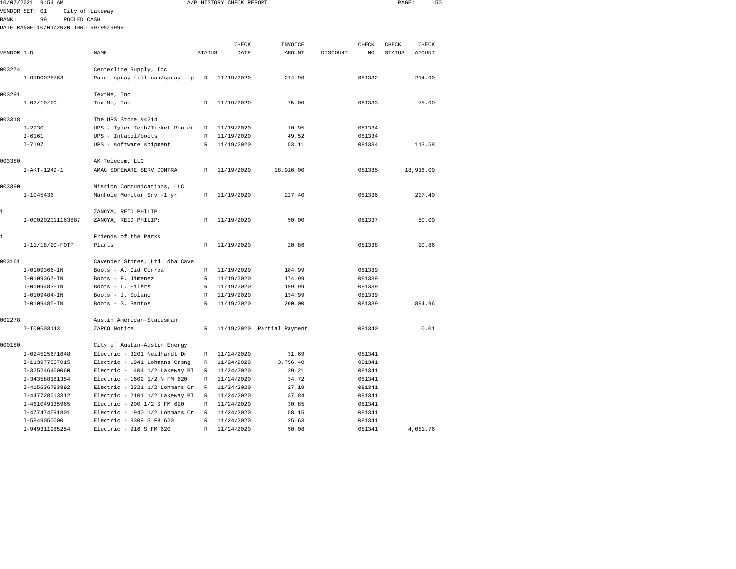|              | 10/07/2021 9:54 AM                    |                                |               | A/P HISTORY CHECK REPORT |                            |          |        | PAGE:         |           | 50 |
|--------------|---------------------------------------|--------------------------------|---------------|--------------------------|----------------------------|----------|--------|---------------|-----------|----|
|              | VENDOR SET: 01                        | City of Lakeway                |               |                          |                            |          |        |               |           |    |
| <b>BANK:</b> | 99<br>POOLED CASH                     |                                |               |                          |                            |          |        |               |           |    |
|              | DATE RANGE:10/01/2020 THRU 99/99/9999 |                                |               |                          |                            |          |        |               |           |    |
|              |                                       |                                |               |                          |                            |          |        |               |           |    |
|              |                                       |                                |               | CHECK                    | INVOICE                    |          | CHECK  | CHECK         | CHECK     |    |
| VENDOR I.D.  |                                       | NAME                           | <b>STATUS</b> | DATE                     | AMOUNT                     | DISCOUNT | NO     | <b>STATUS</b> | AMOUNT    |    |
| 003274       |                                       | Centerline Supply, Inc         |               |                          |                            |          |        |               |           |    |
|              | I-ORD0025763                          | Paint spray fill can/spray tip | R             | 11/19/2020               | 214.90                     |          | 081332 |               | 214.90    |    |
| 003291       |                                       | TextMe, Inc                    |               |                          |                            |          |        |               |           |    |
|              | $I - 02/10/20$                        | TextMe, Inc                    | R             | 11/19/2020               | 75.00                      |          | 081333 |               | 75.00     |    |
| 003318       |                                       | The UPS Store #4214            |               |                          |                            |          |        |               |           |    |
|              | $I - 2930$                            | UPS - Tyler Tech/Ticket Router | R             | 11/19/2020               | 10.95                      |          | 081334 |               |           |    |
|              | $I - 6161$                            | UPS - Intapol/boots            | R             | 11/19/2020               | 49.52                      |          | 081334 |               |           |    |
|              | $I - 7197$                            | UPS - software shipment        | R             | 11/19/2020               | 53.11                      |          | 081334 |               | 113.58    |    |
| 003380       |                                       | AK Telecom, LLC                |               |                          |                            |          |        |               |           |    |
|              | $I-AKT-1249-1$                        | AMAG SOFEWARE SERV CONTRA      | R             | 11/19/2020               | 18,916.00                  |          | 081335 |               | 18,916.00 |    |
| 003390       |                                       | Mission Communications, LLC    |               |                          |                            |          |        |               |           |    |
|              | $I-1045436$                           | Manhole Monitor Srv -1 yr      | R             | 11/19/2020               | 227.40                     |          | 081336 |               | 227.40    |    |
| $\mathbf{1}$ |                                       | ZANOYA, REID PHILIP            |               |                          |                            |          |        |               |           |    |
|              | I-000202011163887                     | ZANOYA, REID PHILIP:           | R             | 11/19/2020               | 50.00                      |          | 081337 |               | 50.00     |    |
| 1            |                                       | Friends of the Parks           |               |                          |                            |          |        |               |           |    |
|              | I-11/18/20-FOTP                       | Plants                         | $\mathbb{R}$  | 11/19/2020               | 20.86                      |          | 081338 |               | 20.86     |    |
| 003161       |                                       | Cavender Stores, Ltd. dba Cave |               |                          |                            |          |        |               |           |    |
|              | I-0109366-IN                          | Boots - A. Cid Correa          | $\mathbb{R}$  | 11/19/2020               | 184.99                     |          | 081339 |               |           |    |
|              | $I-0109367 - IN$                      | Boots - F. Jimenez             | $\mathbb{R}$  | 11/19/2020               | 174.99                     |          | 081339 |               |           |    |
|              | I-0109483-IN                          | Boots - L. Eilers              | R             | 11/19/2020               | 199.99                     |          | 081339 |               |           |    |
|              | $I-0109484-IN$                        | Boots - J. Solano              | $\mathbb{R}$  | 11/19/2020               | 134.99                     |          | 081339 |               |           |    |
|              | $I-0109485 - IN$                      | Boots - S. Santos              | R             | 11/19/2020               | 200.00                     |          | 081339 |               | 894.96    |    |
| 002278       |                                       | Austin American-Statesman      |               |                          |                            |          |        |               |           |    |
|              | I-I00603143                           | ZAPCO Notice                   | R             |                          | 11/19/2020 Partial Payment |          | 081340 |               | 0.01      |    |
| 000180       |                                       | City of Austin-Austin Energy   |               |                          |                            |          |        |               |           |    |
|              | I-024525671648                        | Electric - 3201 Neidhardt Dr   | R             | 11/24/2020               | 31.69                      |          | 081341 |               |           |    |
|              | I-113977557015                        | Electric - 1941 Lohmans Crsng  | R             | 11/24/2020               | 3,756.40                   |          | 081341 |               |           |    |
|              | I-325246460060                        | Electric - 1404 1/2 Lakeway Bl | R             | 11/24/2020               | 29.21                      |          | 081341 |               |           |    |
|              | I-343588181354                        | Electric - 1602 1/2 N FM 620   | R             | 11/24/2020               | 34.72                      |          | 081341 |               |           |    |
|              | I-415636793892                        | Electric - 2321 1/2 Lohmans Cr | R             | 11/24/2020               | 27.19                      |          | 081341 |               |           |    |
|              | I-447728013312                        | Electric - 2101 1/2 Lakeway Bl | R             | 11/24/2020               | 37.84                      |          | 081341 |               |           |    |
|              | I-461049135965                        | Electric - 200 1/2 S FM 620    | R             | 11/24/2020               | 30.85                      |          | 081341 |               |           |    |
|              | I-477474591801                        | Electric - 1940 1/2 Lohmans Cr | R             | 11/24/2020               | 58.15                      |          | 081341 |               |           |    |

I-5849050000 Electric - 3309 S FM 620 R 11/24/2020 25.63 081341

I-949311985254 Electric - 916 S FM 620 R 11/24/2020 50.08 081341 4,081.76

081341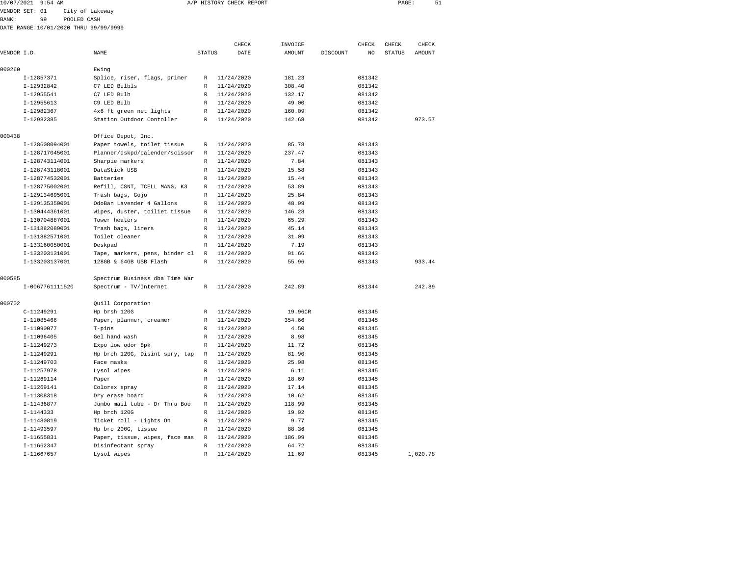|              | 10/07/2021 9:54 AM |                                       |               | A/P HISTORY CHECK REPORT |               |          |        | PAGE:         | 51     |  |
|--------------|--------------------|---------------------------------------|---------------|--------------------------|---------------|----------|--------|---------------|--------|--|
|              | VENDOR SET: 01     | City of Lakeway                       |               |                          |               |          |        |               |        |  |
| <b>BANK:</b> | 99                 | POOLED CASH                           |               |                          |               |          |        |               |        |  |
|              |                    | DATE RANGE:10/01/2020 THRU 99/99/9999 |               |                          |               |          |        |               |        |  |
|              |                    |                                       |               | CHECK                    | INVOICE       |          | CHECK  | CHECK         | CHECK  |  |
| VENDOR I.D.  |                    | NAME                                  | <b>STATUS</b> | DATE                     | <b>AMOUNT</b> | DISCOUNT | NO     | <b>STATUS</b> | AMOUNT |  |
| 000260       |                    | Ewing                                 |               |                          |               |          |        |               |        |  |
|              | I-12857371         | Splice, riser, flags, primer          | R             | 11/24/2020               | 181.23        |          | 081342 |               |        |  |
|              | I-12932842         | C7 LED Bulbls                         | $\mathbb{R}$  | 11/24/2020               | 308.40        |          | 081342 |               |        |  |
|              | $I-12955541$       | C7 LED Bulb                           | $\mathbb{R}$  | 11/24/2020               | 132.17        |          | 081342 |               |        |  |
|              | $I-12955613$       | C9 LED Bulb                           | $\mathbb{R}$  | 11/24/2020               | 49.00         |          | 081342 |               |        |  |
|              | I-12982367         | 4x6 ft green net lights               | R             | 11/24/2020               | 160.09        |          | 081342 |               |        |  |
|              | I-12982385         | Station Outdoor Contoller             | $\mathbb{R}$  | 11/24/2020               | 142.68        |          | 081342 |               | 973.57 |  |
| 000438       |                    | Office Depot, Inc.                    |               |                          |               |          |        |               |        |  |
|              | I-128608094001     | Paper towels, toilet tissue           | $\mathbb{R}$  | 11/24/2020               | 85.78         |          | 081343 |               |        |  |
|              | I-128717045001     | Planner/dskpd/calender/scissor        | R             | 11/24/2020               | 237.47        |          | 081343 |               |        |  |
|              | I-128743114001     | Sharpie markers                       | R             | 11/24/2020               | 7.84          |          | 081343 |               |        |  |
|              | I-128743118001     | DataStick USB                         | R             | 11/24/2020               | 15.58         |          | 081343 |               |        |  |
|              | I-128774532001     | Batteries                             | R             | 11/24/2020               | 15.44         |          | 081343 |               |        |  |
|              | I-128775002001     | Refill, CSNT, TCELL MANG, K3          | R             | 11/24/2020               | 53.89         |          | 081343 |               |        |  |
|              | I-129134695001     | Trash bags, Gojo                      | R             | 11/24/2020               | 25.84         |          | 081343 |               |        |  |
|              | I-129135350001     | OdoBan Lavender 4 Gallons             | $\mathbb{R}$  | 11/24/2020               | 48.99         |          | 081343 |               |        |  |
|              | I-130444361001     | Wipes, duster, toiliet tissue         | $\mathbb{R}$  | 11/24/2020               | 146.28        |          | 081343 |               |        |  |
|              | I-130704887001     | Tower heaters                         | R             | 11/24/2020               | 65.29         |          | 081343 |               |        |  |
|              | I-131882089001     | Trash bags, liners                    | R             | 11/24/2020               | 45.14         |          | 081343 |               |        |  |
|              | I-131882571001     | Toilet cleaner                        | $\mathbb{R}$  | 11/24/2020               | 31.09         |          | 081343 |               |        |  |
|              | I-133160050001     | Deskpad                               | $\mathbb{R}$  | 11/24/2020               | 7.19          |          | 081343 |               |        |  |
|              | I-133203131001     | Tape, markers, pens, binder cl        | $\mathbb{R}$  | 11/24/2020               | 91.66         |          | 081343 |               |        |  |
|              | I-133203137001     | 128GB & 64GB USB Flash                | $\mathbb{R}$  | 11/24/2020               | 55.96         |          | 081343 |               | 933.44 |  |
| 000585       |                    | Spectrum Business dba Time War        |               |                          |               |          |        |               |        |  |
|              | I-0067761111520    | Spectrum - TV/Internet                | R             | 11/24/2020               | 242.89        |          | 081344 |               | 242.89 |  |
| 000702       |                    | Quill Corporation                     |               |                          |               |          |        |               |        |  |
|              | C-11249291         | Hp brsh 120G                          | R             | 11/24/2020               | 19.96CR       |          | 081345 |               |        |  |

 I-11085466 Paper, planner, creamer R 11/24/2020 354.66 081345 I-11090077 T-pins R 11/24/2020 4.50 081345 I-11096405 Gel hand wash R 11/24/2020 8.98 081345 I-11249273 Expo low odor 8pk R 11/24/2020 11.72 081345 I-11249291 Hp brch 120G, Disint spry, tap R 11/24/2020 81.90 081345 I-11249703 Face masks R 11/24/2020 25.98 081345 I-11257978 Lysol wipes R 11/24/2020 6.11 081345 I-11269114 Paper R 11/24/2020 18.69 081345 I-11269141 Colorex spray R 11/24/2020 17.14 081345 I-11308318 Dry erase board R 11/24/2020 10.62 081345 I-11436877 Jumbo mail tube - Dr Thru Boo R 11/24/2020 118.99 081345 I-1144333 Hp brch 120G R 11/24/2020 19.92 081345 I-11480819 Ticket roll - Lights On R 11/24/2020 9.77 081345 I-11493597 Hp bro 200G, tissue R 11/24/2020 88.36 081345 I-11655831 Paper, tissue, wipes, face mas R 11/24/2020 186.99 081345 I-11662347 Disinfectant spray R 11/24/2020 64.72 081345

I-11667657 Lysol wipes R 11/24/2020 11.69 081345 1,020.78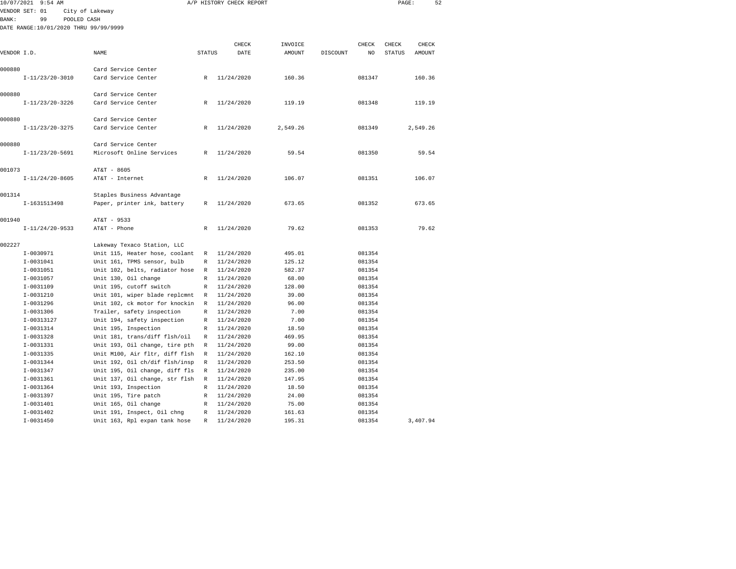| 10/07/2021 9:54 AM                    |                                |               | A/P HISTORY CHECK REPORT |               |          |              | PAGE:         | 52       |  |
|---------------------------------------|--------------------------------|---------------|--------------------------|---------------|----------|--------------|---------------|----------|--|
| VENDOR SET: 01                        | City of Lakeway                |               |                          |               |          |              |               |          |  |
| <b>BANK:</b><br>99                    | POOLED CASH                    |               |                          |               |          |              |               |          |  |
| DATE RANGE:10/01/2020 THRU 99/99/9999 |                                |               |                          |               |          |              |               |          |  |
|                                       |                                |               |                          |               |          |              |               |          |  |
|                                       |                                |               | CHECK                    | INVOICE       |          | <b>CHECK</b> | CHECK         | CHECK    |  |
| VENDOR I.D.                           | NAME                           | <b>STATUS</b> | DATE                     | <b>AMOUNT</b> | DISCOUNT | NO           | <b>STATUS</b> | AMOUNT   |  |
|                                       |                                |               |                          |               |          |              |               |          |  |
| 000880                                | Card Service Center            |               |                          |               |          |              |               |          |  |
| $I-11/23/20-3010$                     | Card Service Center            | R             | 11/24/2020               | 160.36        |          | 081347       |               | 160.36   |  |
| 000880                                | Card Service Center            |               |                          |               |          |              |               |          |  |
| $I-11/23/20-3226$                     | Card Service Center            | $\mathbb{R}$  | 11/24/2020               | 119.19        |          | 081348       |               | 119.19   |  |
|                                       |                                |               |                          |               |          |              |               |          |  |
| 000880                                | Card Service Center            |               |                          |               |          |              |               |          |  |
| $I-11/23/20-3275$                     | Card Service Center            | R             | 11/24/2020               | 2,549.26      |          | 081349       |               | 2,549.26 |  |
|                                       |                                |               |                          |               |          |              |               |          |  |
| 000880                                | Card Service Center            |               |                          |               |          |              |               |          |  |
| $I-11/23/20-5691$                     | Microsoft Online Services      | R             | 11/24/2020               | 59.54         |          | 081350       |               | 59.54    |  |
| 001073                                | AT&T - 8605                    |               |                          |               |          |              |               |          |  |
| $I-11/24/20-8605$                     | AT&T - Internet                | $\mathbb{R}$  | 11/24/2020               | 106.07        |          | 081351       |               | 106.07   |  |
|                                       |                                |               |                          |               |          |              |               |          |  |
| 001314                                | Staples Business Advantage     |               |                          |               |          |              |               |          |  |
| I-1631513498                          | Paper, printer ink, battery    | R             | 11/24/2020               | 673.65        |          | 081352       |               | 673.65   |  |
|                                       |                                |               |                          |               |          |              |               |          |  |
| 001940                                | AT&T - 9533                    |               |                          |               |          |              |               |          |  |
| $I-11/24/20-9533$                     | AT&T - Phone                   | $\mathbb{R}$  | 11/24/2020               | 79.62         |          | 081353       |               | 79.62    |  |
| 002227                                | Lakeway Texaco Station, LLC    |               |                          |               |          |              |               |          |  |
| I-0030971                             | Unit 115, Heater hose, coolant | R             | 11/24/2020               | 495.01        |          | 081354       |               |          |  |
| $I-0031041$                           | Unit 161, TPMS sensor, bulb    | R             | 11/24/2020               | 125.12        |          | 081354       |               |          |  |
| $I-0031051$                           | Unit 102, belts, radiator hose | $\mathbb R$   | 11/24/2020               | 582.37        |          | 081354       |               |          |  |
| I-0031057                             | Unit 130, Oil change           | R             | 11/24/2020               | 68.00         |          | 081354       |               |          |  |
| I-0031109                             | Unit 195, cutoff switch        | R             | 11/24/2020               | 128.00        |          | 081354       |               |          |  |
| I-0031210                             | Unit 101, wiper blade replcmnt | R             | 11/24/2020               | 39.00         |          | 081354       |               |          |  |
| $I-0031296$                           | Unit 102, ck motor for knockin | R             | 11/24/2020               | 96.00         |          | 081354       |               |          |  |
| $I-0031306$                           | Trailer, safety inspection     | $\mathbb{R}$  | 11/24/2020               | 7.00          |          | 081354       |               |          |  |
| I-00313127                            | Unit 194, safety inspection    | R             | 11/24/2020               | 7.00          |          | 081354       |               |          |  |
| I-0031314                             | Unit 195, Inspection           | R             | 11/24/2020               | 18.50         |          | 081354       |               |          |  |
| $I-0031328$                           | Unit 181, trans/diff flsh/oil  | R             | 11/24/2020               | 469.95        |          | 081354       |               |          |  |
| I-0031331                             | Unit 193, Oil change, tire pth | R             | 11/24/2020               | 99.00         |          | 081354       |               |          |  |
| $I - 0031335$                         | Unit M100, Air fltr, diff flsh | $\mathbb{R}$  | 11/24/2020               | 162.10        |          | 081354       |               |          |  |
| $I-0031344$                           | Unit 192, Oil ch/dif flsh/insp | R             | 11/24/2020               | 253.50        |          | 081354       |               |          |  |
| $I - 0031347$                         | Unit 195, Oil change, diff fls | $\mathbb R$   | 11/24/2020               | 235.00        |          | 081354       |               |          |  |
| $I-0031361$                           | Unit 137, Oil change, str flsh | R             | 11/24/2020               | 147.95        |          | 081354       |               |          |  |
| I-0031364                             | Unit 193, Inspection           | R             | 11/24/2020               | 18.50         |          | 081354       |               |          |  |
| I-0031397                             | Unit 195, Tire patch           | R             | 11/24/2020               | 24.00         |          | 081354       |               |          |  |
| $I-0031401$                           | Unit 165, Oil change           | R             | 11/24/2020               | 75.00         |          | 081354       |               |          |  |
| $I-0031402$                           | Unit 191, Inspect, Oil chng    | R             | 11/24/2020               | 161.63        |          | 081354       |               |          |  |
| $I - 0031450$                         | Unit 163, Rpl expan tank hose  | R             | 11/24/2020               | 195.31        |          | 081354       |               | 3,407.94 |  |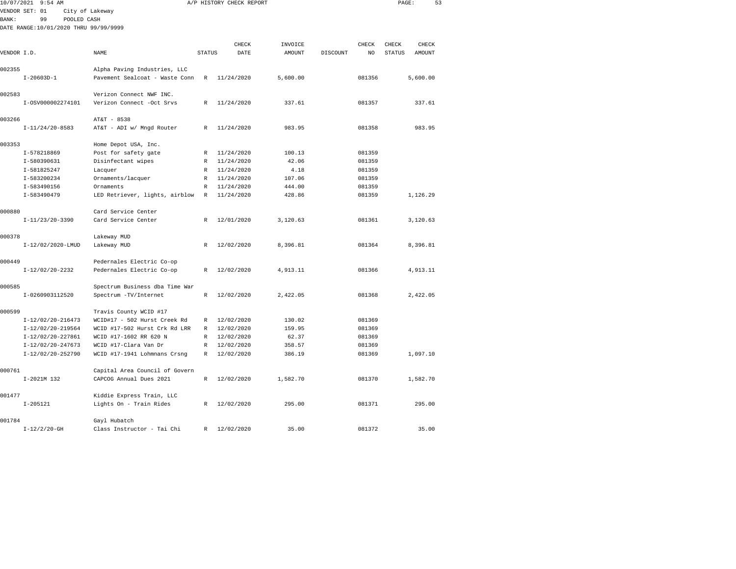|              | 10/07/2021 9:54 AM                    |                                |               | A/P HISTORY CHECK REPORT |               |          |        | PAGE:         |          | 53 |
|--------------|---------------------------------------|--------------------------------|---------------|--------------------------|---------------|----------|--------|---------------|----------|----|
|              | VENDOR SET: 01                        | City of Lakeway                |               |                          |               |          |        |               |          |    |
| <b>BANK:</b> | 99<br>POOLED CASH                     |                                |               |                          |               |          |        |               |          |    |
|              | DATE RANGE:10/01/2020 THRU 99/99/9999 |                                |               |                          |               |          |        |               |          |    |
|              |                                       |                                |               |                          |               |          |        |               |          |    |
|              |                                       |                                |               | CHECK                    | INVOICE       |          | CHECK  | CHECK         | CHECK    |    |
| VENDOR I.D.  |                                       | <b>NAME</b>                    | <b>STATUS</b> | DATE                     | <b>AMOUNT</b> | DISCOUNT | NO     | <b>STATUS</b> | AMOUNT   |    |
| 002355       |                                       | Alpha Paving Industries, LLC   |               |                          |               |          |        |               |          |    |
|              | $I-20603D-1$                          | Pavement Sealcoat - Waste Conn | $\mathbb R$   | 11/24/2020               | 5,600.00      |          | 081356 |               | 5,600.00 |    |
|              |                                       |                                |               |                          |               |          |        |               |          |    |
| 002583       |                                       | Verizon Connect NWF INC.       |               |                          |               |          |        |               |          |    |
|              | I-0SV000002274101                     | Verizon Connect -Oct Srvs      | R             | 11/24/2020               | 337.61        |          | 081357 |               | 337.61   |    |
|              |                                       |                                |               |                          |               |          |        |               |          |    |
| 003266       |                                       | AT&T - 8538                    |               |                          |               |          |        |               |          |    |
|              | $I-11/24/20-8583$                     | AT&T - ADI w/ Mnqd Router      | $\mathbb{R}$  | 11/24/2020               | 983.95        |          | 081358 |               | 983.95   |    |
| 003353       |                                       | Home Depot USA, Inc.           |               |                          |               |          |        |               |          |    |
|              | I-578218869                           | Post for safety gate           | R             | 11/24/2020               | 100.13        |          | 081359 |               |          |    |
|              | I-580390631                           | Disinfectant wipes             | $\mathbb R$   | 11/24/2020               | 42.06         |          | 081359 |               |          |    |
|              | I-581825247                           | Lacquer                        | R             | 11/24/2020               | 4.18          |          | 081359 |               |          |    |
|              | I-583200234                           | Ornaments/lacquer              | R             | 11/24/2020               | 107.06        |          | 081359 |               |          |    |
|              | I-583490156                           | Ornaments                      | $\mathbb R$   | 11/24/2020               | 444.00        |          | 081359 |               |          |    |
|              | I-583490479                           | LED Retriever, lights, airblow | R             | 11/24/2020               | 428.86        |          | 081359 |               | 1,126.29 |    |
|              |                                       |                                |               |                          |               |          |        |               |          |    |
| 000880       |                                       | Card Service Center            |               |                          |               |          |        |               |          |    |
|              | $I-11/23/20-3390$                     | Card Service Center            | R             | 12/01/2020               | 3,120.63      |          | 081361 |               | 3,120.63 |    |
|              |                                       |                                |               |                          |               |          |        |               |          |    |
| 000378       |                                       | Lakeway MUD                    |               | 12/02/2020               |               |          | 081364 |               |          |    |
|              | I-12/02/2020-LMUD                     | Lakeway MUD                    | R             |                          | 8,396.81      |          |        |               | 8,396.81 |    |
| 000449       |                                       | Pedernales Electric Co-op      |               |                          |               |          |        |               |          |    |
|              | $I-12/02/20-2232$                     | Pedernales Electric Co-op      | R             | 12/02/2020               | 4,913.11      |          | 081366 |               | 4,913.11 |    |
|              |                                       |                                |               |                          |               |          |        |               |          |    |
| 000585       |                                       | Spectrum Business dba Time War |               |                          |               |          |        |               |          |    |
|              | I-0260903112520                       | Spectrum -TV/Internet          | R             | 12/02/2020               | 2,422.05      |          | 081368 |               | 2,422.05 |    |
|              |                                       |                                |               |                          |               |          |        |               |          |    |
| 000599       |                                       | Travis County WCID #17         |               |                          |               |          |        |               |          |    |
|              | $I-12/02/20-216473$                   | WCID#17 - 502 Hurst Creek Rd   | R             | 12/02/2020               | 130.02        |          | 081369 |               |          |    |
|              | $I-12/02/20-219564$                   | WCID #17-502 Hurst Crk Rd LRR  | R             | 12/02/2020               | 159.95        |          | 081369 |               |          |    |
|              | $I-12/02/20-227861$                   | WCID #17-1602 RR 620 N         | R             | 12/02/2020               | 62.37         |          | 081369 |               |          |    |
|              | I-12/02/20-247673                     | WCID #17-Clara Van Dr          | $\mathbb R$   | 12/02/2020               | 358.57        |          | 081369 |               |          |    |
|              | I-12/02/20-252790                     | WCID #17-1941 Lohmnans Crsng   | $\mathbb R$   | 12/02/2020               | 386.19        |          | 081369 |               | 1,097.10 |    |
| 000761       |                                       | Capital Area Council of Govern |               |                          |               |          |        |               |          |    |
|              | I-2021M 132                           | CAPCOG Annual Dues 2021        | $\mathbb R$   | 12/02/2020               | 1,582.70      |          | 081370 |               | 1,582.70 |    |
|              |                                       |                                |               |                          |               |          |        |               |          |    |
| 001477       |                                       | Kiddie Express Train, LLC      |               |                          |               |          |        |               |          |    |
|              | $I - 205121$                          | Lights On - Train Rides        | R             | 12/02/2020               | 295.00        |          | 081371 |               | 295.00   |    |
|              |                                       |                                |               |                          |               |          |        |               |          |    |
| 001784       |                                       | Gayl Hubatch                   |               |                          |               |          |        |               |          |    |
|              | $I-12/2/20-GH$                        | Class Instructor - Tai Chi     | R             | 12/02/2020               | 35.00         |          | 081372 |               | 35.00    |    |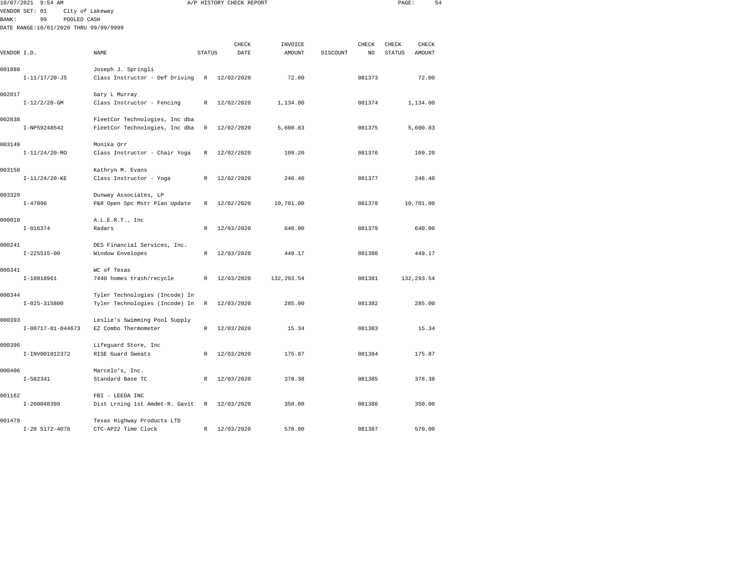|              | 10/07/2021 9:54 AM<br>VENDOR SET: 01<br>City of Lakeway    |                                                                  |               | A/P HISTORY CHECK REPORT |                   |          |             | PAGE:                  |                 | 54 |
|--------------|------------------------------------------------------------|------------------------------------------------------------------|---------------|--------------------------|-------------------|----------|-------------|------------------------|-----------------|----|
| <b>BANK:</b> | 99<br>POOLED CASH<br>DATE RANGE:10/01/2020 THRU 99/99/9999 |                                                                  |               |                          |                   |          |             |                        |                 |    |
| VENDOR I.D.  |                                                            | NAME                                                             | <b>STATUS</b> | CHECK<br>DATE            | INVOICE<br>AMOUNT | DISCOUNT | CHECK<br>NO | CHECK<br><b>STATUS</b> | CHECK<br>AMOUNT |    |
| 001888       | $I-11/17/20-JS$                                            | Joseph J. Springli<br>Class Instructor - Def Driving             | R             | 12/02/2020               | 72.00             |          | 081373      |                        | 72.00           |    |
| 002017       | $I-12/2/20$ -GM                                            | Gary L Murray<br>Class Instructor - Fencing                      | R             | 12/02/2020               | 1,134.00          |          | 081374      |                        | 1,134.00        |    |
| 002838       | I-NP59248542                                               | FleetCor Technologies, Inc dba<br>FleetCor Technologies, Inc dba | R             | 12/02/2020               | 5,600.83          |          | 081375      |                        | 5,600.83        |    |
| 003149       | $I-11/24/20-MO$                                            | Monika Orr<br>Class Instructor - Chair Yoga                      | $\mathbb R$   | 12/02/2020               | 109.20            |          | 081376      |                        | 109.20          |    |
| 003150       | $I-11/24/20-KE$                                            | Kathryn M. Evans<br>Class Instructor - Yoga                      | R             | 12/02/2020               | 246.40            |          | 081377      |                        | 246.40          |    |
| 003329       | $I - 47096$                                                | Dunway Associates, LP<br>P&R Open Spc Mstr Plan Update           | R             | 12/02/2020               | 10,701.00         |          | 081378      |                        | 10,701.00       |    |
| 000010       | $I - 016374$                                               | A.L.E.R.T., Inc<br>Radars                                        | $\mathbb{R}$  | 12/03/2020               | 640.00            |          | 081379      |                        | 640.00          |    |
| 000241       | $I-225515-00$                                              | DES Financial Services, Inc.<br>Window Envelopes                 | R             | 12/03/2020               | 449.17            |          | 081380      |                        | 449.17          |    |
| 000341       | I-10818961                                                 | WC of Texas<br>7440 homes trash/recycle                          | $\mathbb{R}$  | 12/03/2020               | 132, 293.54       |          | 081381      |                        | 132, 293.54     |    |
| 000344       | $I - 025 - 315800$                                         | Tyler Technologies (Incode) In<br>Tyler Technologies (Incode) In | R             | 12/03/2020               | 285.00            |          | 081382      |                        | 285.00          |    |
| 000393       | $I-00717-01-044673$                                        | Leslie's Swimming Pool Supply<br>EZ Combo Thermometer            | R             | 12/03/2020               | 15.34             |          | 081383      |                        | 15.34           |    |
| 000396       | I-INV001012372                                             | Lifeguard Store, Inc<br>RISE Guard Sweats                        | R             | 12/03/2020               | 175.87            |          | 081384      |                        | 175.87          |    |
| 000406       | $I - 502341$                                               | Marcelo's, Inc.<br>Standard Base TC                              | R             | 12/03/2020               | 378.38            |          | 081385      |                        | 378.38          |    |
| 001162       | I-200048399                                                | FBI - LEEDA INC<br>Dist Lrning 1st Amdmt-R. Gavit                | R             | 12/03/2020               | 350.00            |          | 081386      |                        | 350.00          |    |

I-20 5172-4078 CTC-AP22 Time Clock R 12/03/2020 570.00 081387 570.00

001478 Texas Highway Products LTD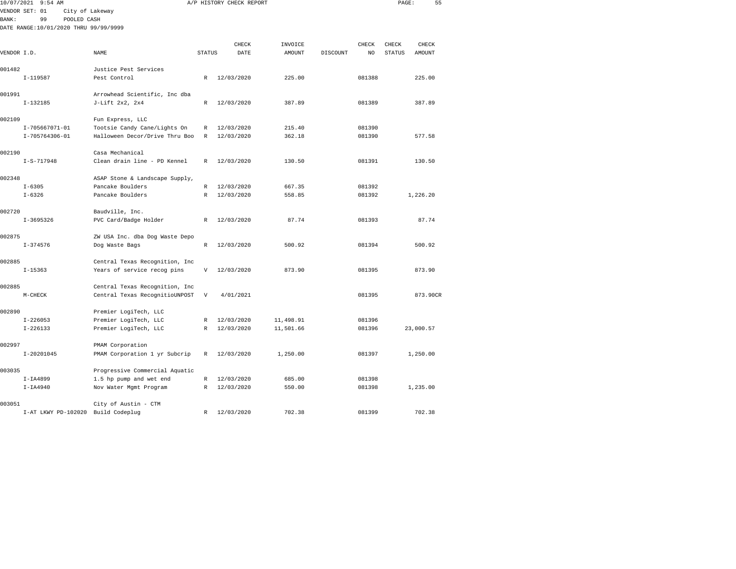|             | 10/07/2021 9:54 AM                    |                                |               | A/P HISTORY CHECK REPORT |           |          |        | PAGE:         | 55            |
|-------------|---------------------------------------|--------------------------------|---------------|--------------------------|-----------|----------|--------|---------------|---------------|
|             | VENDOR SET: 01                        | City of Lakeway                |               |                          |           |          |        |               |               |
| BANK:       | 99<br>POOLED CASH                     |                                |               |                          |           |          |        |               |               |
|             | DATE RANGE:10/01/2020 THRU 99/99/9999 |                                |               |                          |           |          |        |               |               |
|             |                                       |                                |               |                          |           |          |        |               |               |
|             |                                       |                                |               | CHECK                    | INVOICE   |          | CHECK  | CHECK         | CHECK         |
| VENDOR I.D. |                                       | <b>NAME</b>                    | <b>STATUS</b> | DATE                     | AMOUNT    | DISCOUNT | NO.    | <b>STATUS</b> | <b>AMOUNT</b> |
| 001482      |                                       | Justice Pest Services          |               |                          |           |          |        |               |               |
|             | $I-119587$                            | Pest Control                   | R             | 12/03/2020               | 225.00    |          | 081388 |               | 225.00        |
|             |                                       |                                |               |                          |           |          |        |               |               |
| 001991      |                                       | Arrowhead Scientific, Inc dba  |               |                          |           |          |        |               |               |
|             | $I-132185$                            | J-Lift 2x2, 2x4                | R             | 12/03/2020               | 387.89    |          | 081389 |               | 387.89        |
| 002109      |                                       | Fun Express, LLC               |               |                          |           |          |        |               |               |
|             | I-705667071-01                        | Tootsie Candy Cane/Lights On   | R             | 12/03/2020               | 215.40    |          | 081390 |               |               |
|             | I-705764306-01                        | Halloween Decor/Drive Thru Boo | R             | 12/03/2020               | 362.18    |          | 081390 |               | 577.58        |
| 002190      |                                       | Casa Mechanical                |               |                          |           |          |        |               |               |
|             | $I-S-717948$                          | Clean drain line - PD Kennel   | $\mathbb{R}$  | 12/03/2020               | 130.50    |          | 081391 |               | 130.50        |
|             |                                       |                                |               |                          |           |          |        |               |               |
| 002348      |                                       | ASAP Stone & Landscape Supply, |               |                          |           |          |        |               |               |
|             | $I - 6305$                            | Pancake Boulders               | R             | 12/03/2020               | 667.35    |          | 081392 |               |               |
|             | $I - 6326$                            | Pancake Boulders               | $\mathbb R$   | 12/03/2020               | 558.85    |          | 081392 |               | 1,226.20      |
| 002720      |                                       | Baudville, Inc.                |               |                          |           |          |        |               |               |
|             | $I-3695326$                           | PVC Card/Badge Holder          | R             | 12/03/2020               | 87.74     |          | 081393 |               | 87.74         |
|             |                                       |                                |               |                          |           |          |        |               |               |
| 002875      |                                       | ZW USA Inc. dba Dog Waste Depo |               |                          |           |          |        |               |               |
|             | $I - 374576$                          | Dog Waste Bags                 | R             | 12/03/2020               | 500.92    |          | 081394 |               | 500.92        |
| 002885      |                                       | Central Texas Recognition, Inc |               |                          |           |          |        |               |               |
|             | $I - 15363$                           | Years of service recog pins    | V             | 12/03/2020               | 873.90    |          | 081395 |               | 873.90        |
| 002885      |                                       | Central Texas Recognition, Inc |               |                          |           |          |        |               |               |
|             | M-CHECK                               | Central Texas RecognitioUNPOST | V             | 4/01/2021                |           |          | 081395 |               | 873.90CR      |
|             |                                       |                                |               |                          |           |          |        |               |               |
| 002890      |                                       | Premier LogiTech, LLC          |               |                          |           |          |        |               |               |
|             | $I - 226053$                          | Premier LogiTech, LLC          | $\mathbb{R}$  | 12/03/2020               | 11,498.91 |          | 081396 |               |               |
|             | $I - 226133$                          | Premier LogiTech, LLC          | R             | 12/03/2020               | 11,501.66 |          | 081396 |               | 23,000.57     |
| 002997      |                                       | PMAM Corporation               |               |                          |           |          |        |               |               |
|             | $I-20201045$                          | PMAM Corporation 1 yr Subcrip  | R             | 12/03/2020               | 1,250.00  |          | 081397 |               | 1,250.00      |
| 003035      |                                       | Progressive Commercial Aquatic |               |                          |           |          |        |               |               |
|             | $I-IA4899$                            | 1.5 hp pump and wet end        | R             | 12/03/2020               | 685.00    |          | 081398 |               |               |
|             | $I-IA4940$                            | Nov Water Mgmt Program         | R             | 12/03/2020               | 550.00    |          | 081398 |               | 1,235.00      |
|             |                                       |                                |               |                          |           |          |        |               |               |

003051 City of Austin - CTM I-AT LKWY PD-102020 Build Codeplug R 12/03/2020 702.38 081399 702.38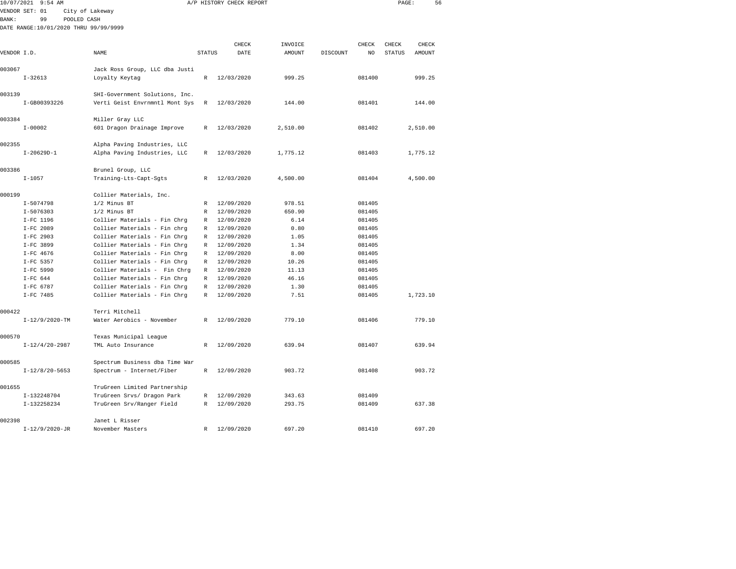| 10/07/2021   | $9:54$ AM               |                                                              |               | A/P HISTORY CHECK REPORT |               |          |                  | PAGE:         | 56       |  |
|--------------|-------------------------|--------------------------------------------------------------|---------------|--------------------------|---------------|----------|------------------|---------------|----------|--|
|              | VENDOR SET: 01          | City of Lakeway                                              |               |                          |               |          |                  |               |          |  |
| <b>BANK:</b> | 99                      | POOLED CASH                                                  |               |                          |               |          |                  |               |          |  |
|              |                         | DATE RANGE:10/01/2020 THRU 99/99/9999                        |               |                          |               |          |                  |               |          |  |
|              |                         |                                                              |               |                          |               |          |                  |               |          |  |
|              |                         |                                                              |               | CHECK                    | INVOICE       |          | CHECK            | CHECK         | CHECK    |  |
| VENDOR I.D.  |                         | NAME                                                         | <b>STATUS</b> | DATE                     | <b>AMOUNT</b> | DISCOUNT | NO               | <b>STATUS</b> | AMOUNT   |  |
| 003067       |                         | Jack Ross Group, LLC dba Justi                               |               |                          |               |          |                  |               |          |  |
|              | $I - 32613$             | Loyalty Keytag                                               | $\mathbb{R}$  | 12/03/2020               | 999.25        |          | 081400           |               | 999.25   |  |
|              |                         |                                                              |               |                          |               |          |                  |               |          |  |
| 003139       |                         | SHI-Government Solutions, Inc.                               |               |                          |               |          |                  |               |          |  |
|              | I-GB00393226            | Verti Geist Envrnmntl Mont Sys                               | R             | 12/03/2020               | 144.00        |          | 081401           |               | 144.00   |  |
|              |                         |                                                              |               |                          |               |          |                  |               |          |  |
| 003384       |                         | Miller Gray LLC                                              |               |                          |               |          |                  |               |          |  |
|              | $I - 00002$             | 601 Dragon Drainage Improve                                  | R             | 12/03/2020               | 2,510.00      |          | 081402           |               | 2,510.00 |  |
|              |                         |                                                              |               |                          |               |          |                  |               |          |  |
| 002355       |                         | Alpha Paving Industries, LLC                                 |               |                          |               |          |                  |               |          |  |
|              | $I-20629D-1$            | Alpha Paving Industries, LLC                                 | R             | 12/03/2020               | 1,775.12      |          | 081403           |               | 1,775.12 |  |
| 003386       |                         | Brunel Group, LLC                                            |               |                          |               |          |                  |               |          |  |
|              | $I - 1057$              | Training-Lts-Capt-Sgts                                       | R             | 12/03/2020               | 4,500.00      |          | 081404           |               | 4,500.00 |  |
|              |                         |                                                              |               |                          |               |          |                  |               |          |  |
| 000199       |                         | Collier Materials, Inc.                                      |               |                          |               |          |                  |               |          |  |
|              | $I - 5074798$           | 1/2 Minus BT                                                 | R             | 12/09/2020               | 978.51        |          | 081405           |               |          |  |
|              | $I - 5076303$           | 1/2 Minus BT                                                 | R             | 12/09/2020               | 650.90        |          | 081405           |               |          |  |
|              | I-FC 1196               | Collier Materials - Fin Chrg                                 | R             | 12/09/2020               | 6.14          |          | 081405           |               |          |  |
|              | I-FC 2089               | Collier Materials - Fin chrg                                 | R             | 12/09/2020               | 0.80          |          | 081405           |               |          |  |
|              | I-FC 2903               | Collier Materials - Fin Chrg                                 | R             | 12/09/2020               | 1.05          |          | 081405           |               |          |  |
|              | I-FC 3899               | Collier Materials - Fin Chrg                                 | R             | 12/09/2020               | 1.34          |          | 081405           |               |          |  |
|              | I-FC 4676               | Collier Materials - Fin Chrq                                 | R             | 12/09/2020               | 8.00          |          | 081405           |               |          |  |
|              | I-FC 5357               | Collier Materials - Fin Chrg                                 | R             | 12/09/2020               | 10.26         |          | 081405           |               |          |  |
|              | I-FC 5990               | Collier Materials - Fin Chrq                                 | R             | 12/09/2020               | 11.13         |          | 081405           |               |          |  |
|              | $I-FC 644$<br>I-FC 6787 | Collier Materials - Fin Chrg<br>Collier Materials - Fin Chrq | R<br>R        | 12/09/2020<br>12/09/2020 | 46.16<br>1.30 |          | 081405<br>081405 |               |          |  |
|              | I-FC 7485               | Collier Materials - Fin Chrg                                 | R             | 12/09/2020               | 7.51          |          | 081405           |               | 1,723.10 |  |
|              |                         |                                                              |               |                          |               |          |                  |               |          |  |
| 000422       |                         | Terri Mitchell                                               |               |                          |               |          |                  |               |          |  |
|              | $I-12/9/2020-TM$        | Water Aerobics - November                                    | R             | 12/09/2020               | 779.10        |          | 081406           |               | 779.10   |  |
|              |                         |                                                              |               |                          |               |          |                  |               |          |  |
| 000570       |                         | Texas Municipal League                                       |               |                          |               |          |                  |               |          |  |
|              | $I-12/4/20-2987$        | TML Auto Insurance                                           | R             | 12/09/2020               | 639.94        |          | 081407           |               | 639.94   |  |
|              |                         |                                                              |               |                          |               |          |                  |               |          |  |
| 000585       |                         | Spectrum Business dba Time War                               |               |                          |               |          |                  |               |          |  |
|              | $I-12/8/20-5653$        | Spectrum - Internet/Fiber                                    | R             | 12/09/2020               | 903.72        |          | 081408           |               | 903.72   |  |
|              |                         |                                                              |               |                          |               |          |                  |               |          |  |
| 001655       |                         | TruGreen Limited Partnership                                 |               |                          |               |          |                  |               |          |  |
|              | I-132248704             | TruGreen Srvs/ Dragon Park                                   | R             | 12/09/2020               | 343.63        |          | 081409           |               |          |  |
|              | I-132258234             | TruGreen Srv/Ranger Field                                    | R             | 12/09/2020               | 293.75        |          | 081409           |               | 637.38   |  |
|              |                         |                                                              |               |                          |               |          |                  |               |          |  |

I-12/9/2020-JR November Masters R 12/09/2020 697.20 081410 697.20

002398 Janet L Risser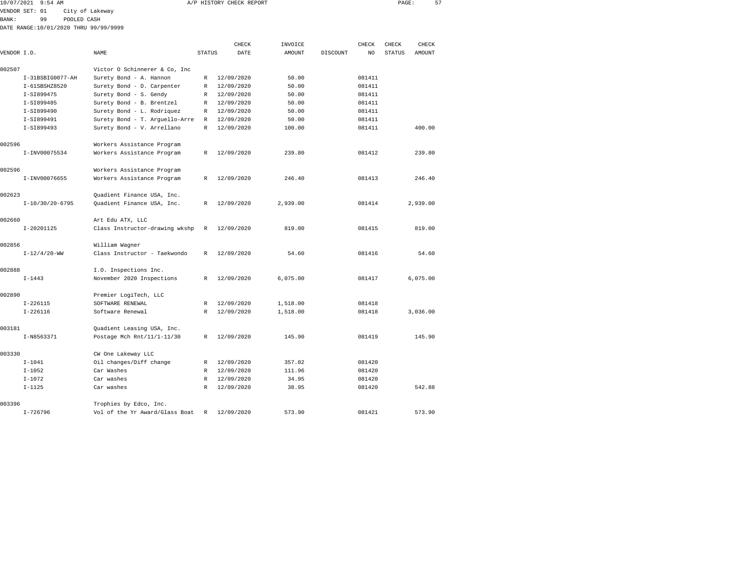| 10/07/2021     | $9:54$ AM        |             |                                       |                                |        | A/P HISTORY CHECK REPORT |         |          |        | PAGE:         |        | 57 |
|----------------|------------------|-------------|---------------------------------------|--------------------------------|--------|--------------------------|---------|----------|--------|---------------|--------|----|
| VENDOR SET: 01 |                  |             | City of Lakeway                       |                                |        |                          |         |          |        |               |        |    |
| BANK:          | 99               | POOLED CASH |                                       |                                |        |                          |         |          |        |               |        |    |
|                |                  |             | DATE RANGE:10/01/2020 THRU 99/99/9999 |                                |        |                          |         |          |        |               |        |    |
|                |                  |             |                                       |                                |        | CHECK                    | INVOICE |          | CHECK  | CHECK         | CHECK  |    |
| VENDOR I.D.    |                  |             | NAME                                  |                                | STATUS | DATE                     | AMOUNT  | DISCOUNT | NO.    | <b>STATUS</b> | AMOUNT |    |
| 002507         |                  |             |                                       | Victor O Schinnerer & Co, Inc  |        |                          |         |          |        |               |        |    |
|                | I-31BSBIG0077-AH |             | Surety Bond - A. Hannon               |                                | R      | 12/09/2020               | 50.00   |          | 081411 |               |        |    |
|                | I-61SBSHZ8520    |             |                                       | Surety Bond - D. Carpenter     | R      | 12/09/2020               | 50.00   |          | 081411 |               |        |    |
|                | I-SI899475       |             | Surety Bond - S. Gendy                |                                | R      | 12/09/2020               | 50.00   |          | 081411 |               |        |    |
|                | I-SI899485       |             | Surety Bond - B. Brentzel             |                                | R      | 12/09/2020               | 50.00   |          | 081411 |               |        |    |
|                | I-SI899490       |             | Surety Bond - L. Rodriquez            |                                | R      | 12/09/2020               | 50.00   |          | 081411 |               |        |    |
|                | I-SI899491       |             |                                       | Surety Bond - T. Arquello-Arre | R      | 12/09/2020               | 50.00   |          | 081411 |               |        |    |
|                | I-SI899493       |             | Surety Bond - V. Arrellano            |                                | R      | 12/09/2020               | 100.00  |          | 081411 |               | 400.00 |    |

|        | I-SI899491        | Surety Bond - T. Arquello-Arre | R            | 12/09/2020 | 50.00    | 081411 |          |
|--------|-------------------|--------------------------------|--------------|------------|----------|--------|----------|
|        | I-SI899493        | Surety Bond - V. Arrellano     | $\mathbb{R}$ | 12/09/2020 | 100.00   | 081411 | 400.00   |
| 002596 |                   | Workers Assistance Program     |              |            |          |        |          |
|        | I-INV00075534     | Workers Assistance Program     | R            | 12/09/2020 | 239.80   | 081412 | 239.80   |
| 002596 |                   | Workers Assistance Program     |              |            |          |        |          |
|        | I-INV00076655     | Workers Assistance Program     | $\mathbb{R}$ | 12/09/2020 | 246.40   | 081413 | 246.40   |
| 002623 |                   | Quadient Finance USA, Inc.     |              |            |          |        |          |
|        | $I-10/30/20-6795$ | Quadient Finance USA, Inc.     | $\mathbb{R}$ | 12/09/2020 | 2,939.00 | 081414 | 2,939.00 |
| 002660 |                   | Art Edu ATX, LLC               |              |            |          |        |          |
|        | I-20201125        | Class Instructor-drawing wkshp | $\mathbb{R}$ | 12/09/2020 | 819.00   | 081415 | 819.00   |
| 002856 |                   | William Wagner                 |              |            |          |        |          |
|        | $I-12/4/20-WW$    | Class Instructor - Taekwondo   | R            | 12/09/2020 | 54.60    | 081416 | 54.60    |
| 002888 |                   | I.O. Inspections Inc.          |              |            |          |        |          |
|        | $I - 1443$        | November 2020 Inspections      | R            | 12/09/2020 | 6,075.00 | 081417 | 6,075.00 |
| 002890 |                   | Premier LogiTech, LLC          |              |            |          |        |          |
|        | $I-226115$        | SOFTWARE RENEWAL               | R            | 12/09/2020 | 1,518.00 | 081418 |          |
|        | $I-226116$        | Software Renewal               | R            | 12/09/2020 | 1,518.00 | 081418 | 3,036.00 |
| 003181 |                   | Quadient Leasing USA, Inc.     |              |            |          |        |          |
|        | I-N8563371        | Postage Mch Rnt/11/1-11/30     | R            | 12/09/2020 | 145.90   | 081419 | 145.90   |
| 003330 |                   | CW One Lakeway LLC             |              |            |          |        |          |
|        | $I - 1041$        | Oil changes/Diff change        | R            | 12/09/2020 | 357.02   | 081420 |          |
|        | $I - 1052$        | Car Washes                     | R            | 12/09/2020 | 111.96   | 081420 |          |
|        | $I - 1072$        | Car washes                     | R            | 12/09/2020 | 34.95    | 081420 |          |
|        | $I-1125$          | Car washes                     | R            | 12/09/2020 | 38.95    | 081420 | 542.88   |
| 003396 |                   | Trophies by Edco, Inc.         |              |            |          |        |          |
|        | $I - 726796$      | Vol of the Yr Award/Glass Boat | $\mathbb{R}$ | 12/09/2020 | 573.90   | 081421 | 573.90   |
|        |                   |                                |              |            |          |        |          |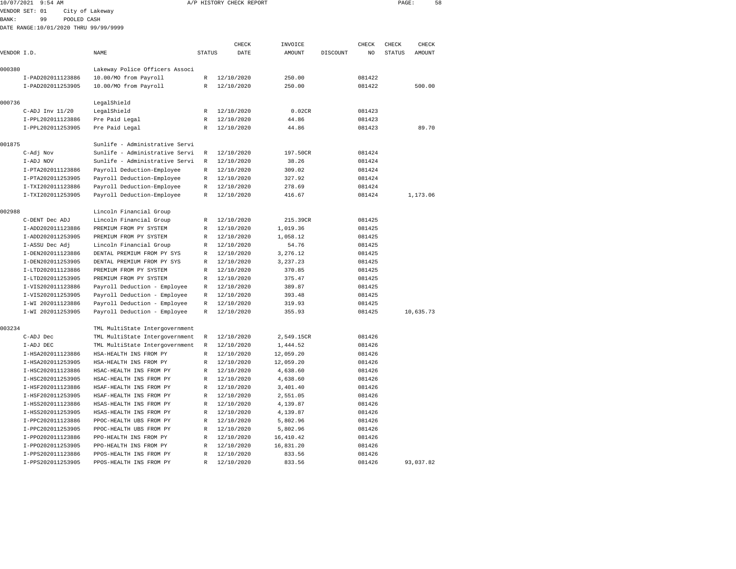|              | 10/07/2021 9:54 AM                     |                                                      |               | A/P HISTORY CHECK REPORT |                    |          |                  | PAGE:         | 58        |  |
|--------------|----------------------------------------|------------------------------------------------------|---------------|--------------------------|--------------------|----------|------------------|---------------|-----------|--|
|              | VENDOR SET: 01                         | City of Lakeway                                      |               |                          |                    |          |                  |               |           |  |
| <b>BANK:</b> | POOLED CASH<br>99                      |                                                      |               |                          |                    |          |                  |               |           |  |
|              | DATE RANGE:10/01/2020 THRU 99/99/9999  |                                                      |               |                          |                    |          |                  |               |           |  |
|              |                                        |                                                      |               |                          |                    |          |                  |               |           |  |
|              |                                        |                                                      |               | CHECK                    | INVOICE            |          | CHECK            | CHECK         | CHECK     |  |
| VENDOR I.D.  |                                        | NAME                                                 | <b>STATUS</b> | DATE                     | AMOUNT             | DISCOUNT | NO               | <b>STATUS</b> | AMOUNT    |  |
| 000380       |                                        | Lakeway Police Officers Associ                       |               |                          |                    |          |                  |               |           |  |
|              | I-PAD202011123886                      | 10.00/MO from Payroll                                | R             | 12/10/2020               | 250.00             |          | 081422           |               |           |  |
|              | I-PAD202011253905                      | 10.00/MO from Payroll                                | R             | 12/10/2020               | 250.00             |          | 081422           |               | 500.00    |  |
|              |                                        |                                                      |               |                          |                    |          |                  |               |           |  |
| 000736       |                                        | LegalShield                                          |               |                          |                    |          |                  |               |           |  |
|              | $C-ADJ$ Inv $11/20$                    | LegalShield                                          | R             | 12/10/2020               | 0.02CR             |          | 081423           |               |           |  |
|              | I-PPL202011123886                      | Pre Paid Legal                                       | R             | 12/10/2020               | 44.86              |          | 081423           |               |           |  |
|              | I-PPL202011253905                      | Pre Paid Legal                                       | R             | 12/10/2020               | 44.86              |          | 081423           |               | 89.70     |  |
| 001875       |                                        | Sunlife - Administrative Servi                       |               |                          |                    |          |                  |               |           |  |
|              | C-Adj Nov                              | Sunlife - Administrative Servi                       | R             | 12/10/2020               | 197.50CR           |          | 081424           |               |           |  |
|              | I-ADJ NOV                              | Sunlife - Administrative Servi                       | R             | 12/10/2020               | 38.26              |          | 081424           |               |           |  |
|              | I-PTA202011123886                      | Payroll Deduction-Employee                           | R             | 12/10/2020               | 309.02             |          | 081424           |               |           |  |
|              | I-PTA202011253905                      | Payroll Deduction-Employee                           | R             | 12/10/2020               | 327.92             |          | 081424           |               |           |  |
|              | I-TXI202011123886                      | Payroll Deduction-Employee                           | R             | 12/10/2020               | 278.69             |          | 081424           |               |           |  |
|              | I-TXI202011253905                      | Payroll Deduction-Employee                           | R             | 12/10/2020               | 416.67             |          | 081424           |               | 1,173.06  |  |
|              |                                        |                                                      |               |                          |                    |          |                  |               |           |  |
| 002988       |                                        | Lincoln Financial Group                              |               |                          |                    |          |                  |               |           |  |
|              | C-DENT Dec ADJ                         | Lincoln Financial Group                              | R             | 12/10/2020               | 215.39CR           |          | 081425           |               |           |  |
|              | I-ADD202011123886                      | PREMIUM FROM PY SYSTEM                               | R             | 12/10/2020               | 1,019.36           |          | 081425           |               |           |  |
|              | I-ADD202011253905                      | PREMIUM FROM PY SYSTEM                               | R             | 12/10/2020               | 1,058.12           |          | 081425           |               |           |  |
|              | I-ASSU Dec Adj                         | Lincoln Financial Group                              | R             | 12/10/2020               | 54.76              |          | 081425           |               |           |  |
|              | I-DEN202011123886                      | DENTAL PREMIUM FROM PY SYS                           | R             | 12/10/2020               | 3,276.12           |          | 081425           |               |           |  |
|              | I-DEN202011253905<br>I-LTD202011123886 | DENTAL PREMIUM FROM PY SYS<br>PREMIUM FROM PY SYSTEM | R<br>R        | 12/10/2020<br>12/10/2020 | 3,237.23<br>370.85 |          | 081425<br>081425 |               |           |  |
|              | I-LTD202011253905                      | PREMIUM FROM PY SYSTEM                               | R             | 12/10/2020               | 375.47             |          | 081425           |               |           |  |
|              | I-VIS202011123886                      | Payroll Deduction - Employee                         | R             | 12/10/2020               | 389.87             |          | 081425           |               |           |  |
|              | I-VIS202011253905                      | Payroll Deduction - Employee                         | R             | 12/10/2020               | 393.48             |          | 081425           |               |           |  |
|              | I-WI 202011123886                      | Payroll Deduction - Employee                         | R             | 12/10/2020               | 319.93             |          | 081425           |               |           |  |
|              | I-WI 202011253905                      | Payroll Deduction - Employee                         | $\mathbb R$   | 12/10/2020               | 355.93             |          | 081425           |               | 10,635.73 |  |
|              |                                        |                                                      |               |                          |                    |          |                  |               |           |  |
| 003234       |                                        | TML MultiState Intergovernment                       |               |                          |                    |          |                  |               |           |  |
|              | C-ADJ Dec                              | TML MultiState Intergovernment                       | R             | 12/10/2020               | 2,549.15CR         |          | 081426           |               |           |  |
|              | I-ADJ DEC                              | TML MultiState Intergovernment                       | R             | 12/10/2020               | 1,444.52           |          | 081426           |               |           |  |
|              | I-HSA202011123886                      | HSA-HEALTH INS FROM PY                               | R             | 12/10/2020               | 12,059.20          |          | 081426           |               |           |  |
|              | I-HSA202011253905                      | HSA-HEALTH INS FROM PY                               | R             | 12/10/2020               | 12,059.20          |          | 081426           |               |           |  |
|              | I-HSC202011123886                      | HSAC-HEALTH INS FROM PY                              | R             | 12/10/2020               | 4,638.60           |          | 081426           |               |           |  |
|              | I-HSC202011253905                      | HSAC-HEALTH INS FROM PY                              | R             | 12/10/2020               | 4,638.60           |          | 081426           |               |           |  |
|              | I-HSF202011123886                      | HSAF-HEALTH INS FROM PY                              | R             | 12/10/2020               | 3,401.40           |          | 081426           |               |           |  |
|              | I-HSF202011253905                      | HSAF-HEALTH INS FROM PY                              | R             | 12/10/2020               | 2,551.05           |          | 081426           |               |           |  |
|              | I-HSS202011123886                      | HSAS-HEALTH INS FROM PY                              | R             | 12/10/2020               | 4,139.87           |          | 081426           |               |           |  |
|              | I-HSS202011253905                      | HSAS-HEALTH INS FROM PY                              | R             | 12/10/2020               | 4,139.87           |          | 081426           |               |           |  |
|              | I-PPC202011123886                      | PPOC-HEALTH UBS FROM PY                              | R             | 12/10/2020               | 5,802.96           |          | 081426           |               |           |  |
|              | I-PPC202011253905                      | PPOC-HEALTH UBS FROM PY                              | R             | 12/10/2020               | 5,802.96           |          | 081426           |               |           |  |
|              | I-PP0202011123886                      | PPO-HEALTH INS FROM PY                               | R             | 12/10/2020               | 16, 410.42         |          | 081426           |               |           |  |
|              | I-PP0202011253905                      | PPO-HEALTH INS FROM PY                               | R             | 12/10/2020               | 16,831.20          |          | 081426           |               |           |  |

I-PPS202011123886 PPOS-HEALTH INS FROM PY R 12/10/2020 833.56 081426

I-PPS202011253905 PPOS-HEALTH INS FROM PY R 12/10/2020 833.56 081426 93,037.82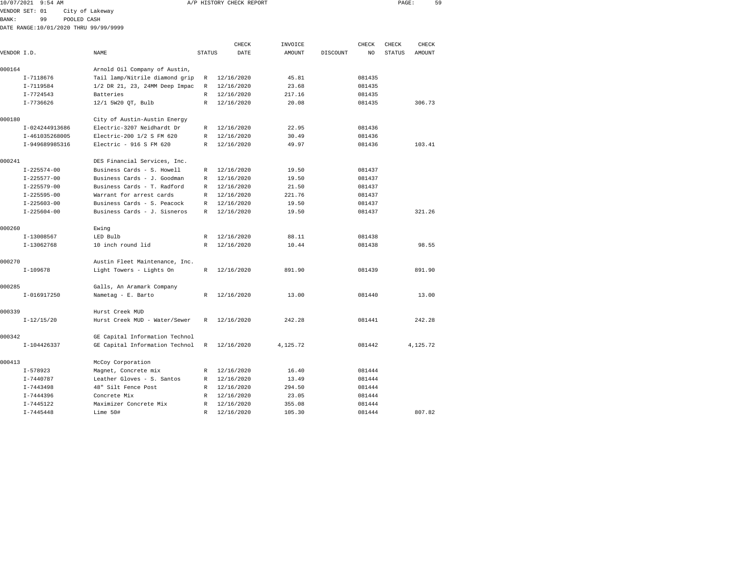|             | 10/07/2021 9:54 AM |                                        |               | A/P HISTORY CHECK REPORT |               |          |              | PAGE:         | 59     |  |
|-------------|--------------------|----------------------------------------|---------------|--------------------------|---------------|----------|--------------|---------------|--------|--|
|             | VENDOR SET: 01     | City of Lakeway                        |               |                          |               |          |              |               |        |  |
| BANK:       | 99                 | POOLED CASH                            |               |                          |               |          |              |               |        |  |
|             |                    | DATE RANGE: 10/01/2020 THRU 99/99/9999 |               |                          |               |          |              |               |        |  |
|             |                    |                                        |               | CHECK                    | INVOICE       |          | <b>CHECK</b> | CHECK         | CHECK  |  |
| VENDOR I.D. |                    | <b>NAME</b>                            | <b>STATUS</b> | DATE                     | <b>AMOUNT</b> | DISCOUNT | NO.          | <b>STATUS</b> | AMOUNT |  |
| 000164      |                    | Arnold Oil Company of Austin,          |               |                          |               |          |              |               |        |  |
|             | I-7118676          | Tail lamp/Nitrile diamond grip         | R             | 12/16/2020               | 45.81         |          | 081435       |               |        |  |
|             | I-7119584          | 1/2 DR 21, 23, 24MM Deep Impac         | R             | 12/16/2020               | 23.68         |          | 081435       |               |        |  |
|             | $I - 7724543$      | Batteries                              | R             | 12/16/2020               | 217.16        |          | 081435       |               |        |  |
|             | $I - 7736626$      | 12/1 5W20 OT, Bulb                     | $\mathbb{R}$  | 12/16/2020               | 20.08         |          | 081435       |               | 306.73 |  |
| 000180      |                    | City of Austin-Austin Energy           |               |                          |               |          |              |               |        |  |
|             | I-024244913686     | Electric-3207 Neidhardt Dr             | R             | 12/16/2020               | 22.95         |          | 081436       |               |        |  |
|             | I-461035268005     | Electric-200 1/2 S FM 620              | $\mathbb R$   | 12/16/2020               | 30.49         |          | 081436       |               |        |  |
|             | I-949689985316     | Electric - $916$ S FM 620              | R             | 12/16/2020               | 49.97         |          | 081436       |               | 103.41 |  |
| 000241      |                    | DES Financial Services, Inc.           |               |                          |               |          |              |               |        |  |
|             | $I - 225574 - 00$  | Business Cards - S. Howell             | R             | 12/16/2020               | 19.50         |          | 081437       |               |        |  |
|             | $I - 225577 - 00$  | Business Cards - J. Goodman            | R             | 12/16/2020               | 19.50         |          | 081437       |               |        |  |
|             | $I - 225579 - 00$  | Business Cards - T. Radford            | $\mathbb R$   | 12/16/2020               | 21.50         |          | 081437       |               |        |  |
|             | $I - 225595 - 00$  | Warrant for arrest cards               | R             | 12/16/2020               | 221.76        |          | 081437       |               |        |  |
|             | $I - 225603 - 00$  | Business Cards - S. Peacock            | R             | 12/16/2020               | 19.50         |          | 081437       |               |        |  |
|             | $I - 225604 - 00$  | Business Cards - J. Sisneros           | R             | 12/16/2020               | 19.50         |          | 081437       |               | 321.26 |  |
| 000260      |                    | Ewing                                  |               |                          |               |          |              |               |        |  |
|             | I-13008567         | LED Bulb                               | R             | 12/16/2020               | 88.11         |          | 081438       |               |        |  |
|             | I-13062768         | 10 inch round lid                      | R             | 12/16/2020               | 10.44         |          | 081438       |               | 98.55  |  |
| 000270      |                    | Austin Fleet Maintenance, Inc.         |               |                          |               |          |              |               |        |  |
|             | I-109678           | Light Towers - Lights On               | R             | 12/16/2020               | 891.90        |          | 081439       |               | 891.90 |  |

|        | I-109678      | Light Towers - Lights On                        | R | 12/16/2020 | 891.90   | 081439 | 891.90   |
|--------|---------------|-------------------------------------------------|---|------------|----------|--------|----------|
| 000285 | I-016917250   | Galls, An Aramark Company<br>Nametag - E. Barto | R | 12/16/2020 | 13.00    | 081440 | 13.00    |
| 000339 |               | Hurst Creek MUD                                 |   |            |          |        |          |
|        | $I-12/15/20$  | Hurst Creek MUD - Water/Sewer                   | R | 12/16/2020 | 242.28   | 081441 | 242.28   |
| 000342 |               | GE Capital Information Technol                  |   |            |          |        |          |
|        | I-104426337   | GE Capital Information Technol R 12/16/2020     |   |            | 4,125.72 | 081442 | 4,125.72 |
| 000413 |               | McCoy Corporation                               |   |            |          |        |          |
|        | $I - 578923$  | Magnet, Concrete mix                            | R | 12/16/2020 | 16.40    | 081444 |          |
|        | I-7440787     | Leather Gloves - S. Santos                      | R | 12/16/2020 | 13.49    | 081444 |          |
|        | $I - 7443498$ | 48" Silt Fence Post                             | R | 12/16/2020 | 294.50   | 081444 |          |
|        | I-7444396     | Concrete Mix                                    | R | 12/16/2020 | 23.05    | 081444 |          |
|        | I-7445122     | Maximizer Concrete Mix                          | R | 12/16/2020 | 355.08   | 081444 |          |
|        | $I - 7445448$ | Lime 50#                                        | R | 12/16/2020 | 105.30   | 081444 | 807.82   |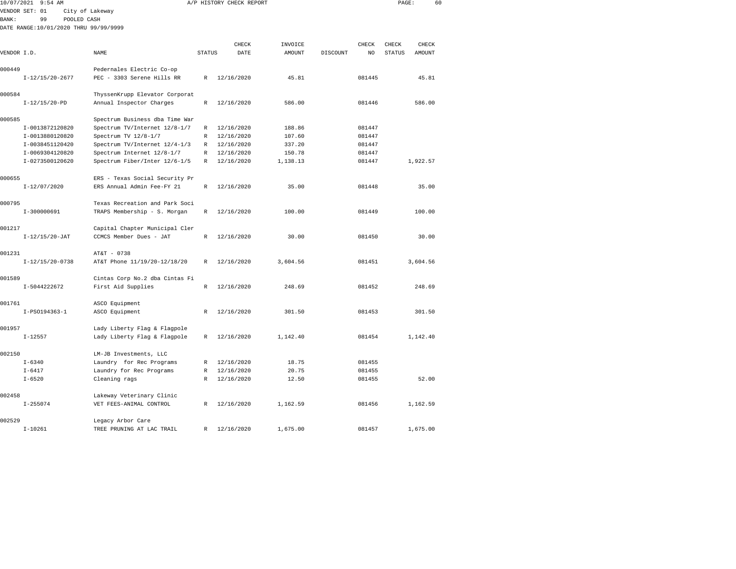| 10/07/2021 9:54 AM |                                       |                                |              | A/P HISTORY CHECK REPORT | PAGE:             |          | 60          |               |          |  |
|--------------------|---------------------------------------|--------------------------------|--------------|--------------------------|-------------------|----------|-------------|---------------|----------|--|
|                    | VENDOR SET: 01                        | City of Lakeway                |              |                          |                   |          |             |               |          |  |
| <b>BANK:</b>       | 99<br>POOLED CASH                     |                                |              |                          |                   |          |             |               |          |  |
|                    | DATE RANGE:10/01/2020 THRU 99/99/9999 |                                |              |                          |                   |          |             |               |          |  |
|                    |                                       |                                |              | CHECK                    |                   |          |             | CHECK         | CHECK    |  |
| VENDOR I.D.        |                                       | NAME                           | STATUS       | DATE                     | INVOICE<br>AMOUNT | DISCOUNT | CHECK<br>NO | <b>STATUS</b> | AMOUNT   |  |
|                    |                                       |                                |              |                          |                   |          |             |               |          |  |
| 000449             |                                       | Pedernales Electric Co-op      |              |                          |                   |          |             |               |          |  |
|                    | $I-12/15/20-2677$                     | PEC - 3303 Serene Hills RR     | R            | 12/16/2020               | 45.81             |          | 081445      |               | 45.81    |  |
| 000584             |                                       | ThyssenKrupp Elevator Corporat |              |                          |                   |          |             |               |          |  |
|                    | $I-12/15/20-PD$                       | Annual Inspector Charges       | $\,$ R       | 12/16/2020               | 586.00            |          | 081446      |               | 586.00   |  |
| 000585             |                                       | Spectrum Business dba Time War |              |                          |                   |          |             |               |          |  |
|                    | I-0013872120820                       | Spectrum TV/Internet 12/8-1/7  | R            | 12/16/2020               | 188.86            |          | 081447      |               |          |  |
|                    | I-0013880120820                       | Spectrum TV 12/8-1/7           | $\mathbb{R}$ | 12/16/2020               | 107.60            |          | 081447      |               |          |  |
|                    | I-0038451120420                       | Spectrum TV/Internet 12/4-1/3  | $\mathbb{R}$ | 12/16/2020               | 337.20            |          | 081447      |               |          |  |
|                    | I-0069304120820                       | Spectrum Internet 12/8-1/7     | $\mathbb{R}$ | 12/16/2020               | 150.78            |          | 081447      |               |          |  |
|                    | I-0273500120620                       | Spectrum Fiber/Inter 12/6-1/5  | $\mathbb R$  | 12/16/2020               | 1,138.13          |          | 081447      |               | 1,922.57 |  |
| 000655             |                                       | ERS - Texas Social Security Pr |              |                          |                   |          |             |               |          |  |
|                    | I-12/07/2020                          | ERS Annual Admin Fee-FY 21     | $\mathbb{R}$ | 12/16/2020               | 35.00             |          | 081448      |               | 35.00    |  |
| 000795             |                                       | Texas Recreation and Park Soci |              |                          |                   |          |             |               |          |  |
|                    | I-300000691                           | TRAPS Membership - S. Morgan   | R            | 12/16/2020               | 100.00            |          | 081449      |               | 100.00   |  |
| 001217             |                                       | Capital Chapter Municipal Cler |              |                          |                   |          |             |               |          |  |
|                    | $I-12/15/20-JAT$                      | CCMCS Member Dues - JAT        | $\mathbb{R}$ | 12/16/2020               | 30.00             |          | 081450      |               | 30.00    |  |
| 001231             |                                       | AT&T - 0738                    |              |                          |                   |          |             |               |          |  |
|                    | $I-12/15/20-0738$                     | AT&T Phone 11/19/20-12/18/20   | $\mathbb{R}$ | 12/16/2020               | 3,604.56          |          | 081451      |               | 3,604.56 |  |
| 001589             |                                       | Cintas Corp No.2 dba Cintas Fi |              |                          |                   |          |             |               |          |  |
|                    | I-5044222672                          | First Aid Supplies             | $\mathbb{R}$ | 12/16/2020               | 248.69            |          | 081452      |               | 248.69   |  |
| 001761             |                                       | ASCO Equipment                 |              |                          |                   |          |             |               |          |  |
|                    | I-PS0194363-1                         | ASCO Equipment                 | $\mathbb{R}$ | 12/16/2020               | 301.50            |          | 081453      |               | 301.50   |  |
| 001957             |                                       | Lady Liberty Flag & Flagpole   |              |                          |                   |          |             |               |          |  |
|                    | $I - 12557$                           | Lady Liberty Flag & Flagpole   | R            | 12/16/2020               | 1,142.40          |          | 081454      |               | 1,142.40 |  |
| 002150             |                                       | LM-JB Investments, LLC         |              |                          |                   |          |             |               |          |  |
|                    | $I - 6340$                            | Laundry for Rec Programs       | $\mathbb{R}$ | 12/16/2020               | 18.75             |          | 081455      |               |          |  |
|                    | $I - 6417$                            | Laundry for Rec Programs       | $\mathbb{R}$ | 12/16/2020               | 20.75             |          | 081455      |               |          |  |
|                    | $I - 6520$                            | Cleaning rags                  | R            | 12/16/2020               | 12.50             |          | 081455      |               | 52.00    |  |
| 002458             |                                       | Lakeway Veterinary Clinic      |              |                          |                   |          |             |               |          |  |
|                    | $I - 255074$                          | VET FEES-ANIMAL CONTROL        | R            | 12/16/2020               | 1,162.59          |          | 081456      |               | 1,162.59 |  |
|                    |                                       |                                |              |                          |                   |          |             |               |          |  |

I-10261 TREE PRUNING AT LAC TRAIL R 12/16/2020 1,675.00 081457 1,675.00

002529 Legacy Arbor Care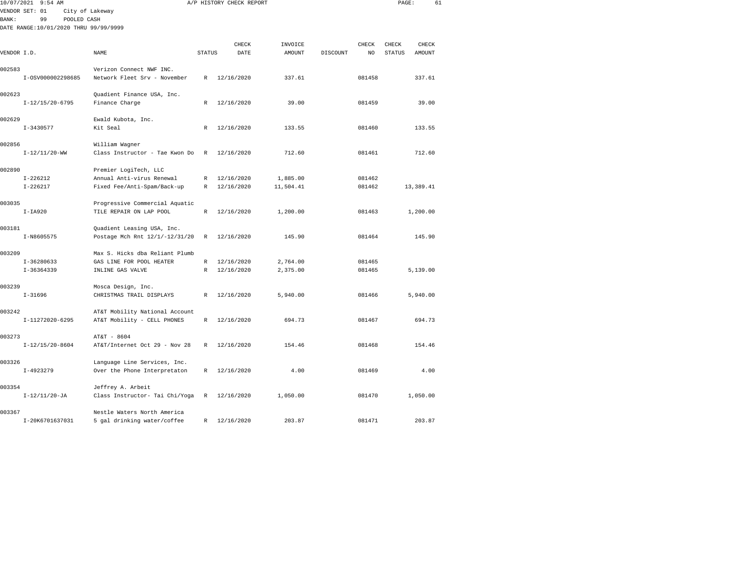| 10/07/2021 9:54 AM                    |                                |               | A/P HISTORY CHECK REPORT | PAGE:     |                 | 61     |               |           |  |
|---------------------------------------|--------------------------------|---------------|--------------------------|-----------|-----------------|--------|---------------|-----------|--|
| VENDOR SET: 01                        | City of Lakeway                |               |                          |           |                 |        |               |           |  |
| 99<br><b>BANK:</b><br>POOLED CASH     |                                |               |                          |           |                 |        |               |           |  |
| DATE RANGE:10/01/2020 THRU 99/99/9999 |                                |               |                          |           |                 |        |               |           |  |
|                                       |                                |               |                          |           |                 |        |               |           |  |
|                                       |                                |               | CHECK                    | INVOICE   |                 | CHECK  | CHECK         | CHECK     |  |
| VENDOR I.D.                           | NAME                           | <b>STATUS</b> | DATE                     | AMOUNT    | <b>DISCOUNT</b> | NO.    | <b>STATUS</b> | AMOUNT    |  |
| 002583                                | Verizon Connect NWF INC.       |               |                          |           |                 |        |               |           |  |
| I-0SV000002298685                     | Network Fleet Srv - November   | $\mathbb{R}$  | 12/16/2020               | 337.61    |                 | 081458 |               | 337.61    |  |
|                                       |                                |               |                          |           |                 |        |               |           |  |
| 002623                                | Quadient Finance USA, Inc.     |               |                          |           |                 |        |               |           |  |
| $I-12/15/20-6795$                     | Finance Charge                 | R             | 12/16/2020               | 39.00     |                 | 081459 |               | 39.00     |  |
|                                       |                                |               |                          |           |                 |        |               |           |  |
| 002629                                | Ewald Kubota, Inc.             |               |                          |           |                 |        |               |           |  |
| $I - 3430577$                         | Kit Seal                       | R             | 12/16/2020               | 133.55    |                 | 081460 |               | 133.55    |  |
|                                       |                                |               |                          |           |                 |        |               |           |  |
| 002856                                | William Wagner                 |               |                          |           |                 |        |               |           |  |
| $I-12/11/20-WW$                       | Class Instructor - Tae Kwon Do | $\mathbb{R}$  | 12/16/2020               | 712.60    |                 | 081461 |               | 712.60    |  |
|                                       |                                |               |                          |           |                 |        |               |           |  |
| 002890<br>$I - 226212$                | Premier LogiTech, LLC          |               |                          |           |                 | 081462 |               |           |  |
|                                       | Annual Anti-virus Renewal      | R             | 12/16/2020               | 1,885.00  |                 |        |               |           |  |
| $I - 226217$                          | Fixed Fee/Anti-Spam/Back-up    | R             | 12/16/2020               | 11,504.41 |                 | 081462 |               | 13,389.41 |  |
| 003035                                | Progressive Commercial Aquatic |               |                          |           |                 |        |               |           |  |
| $I-IA920$                             | TILE REPAIR ON LAP POOL        | $\mathbb R$   | 12/16/2020               | 1,200.00  |                 | 081463 |               | 1,200.00  |  |
|                                       |                                |               |                          |           |                 |        |               |           |  |
| 003181                                | Quadient Leasing USA, Inc.     |               |                          |           |                 |        |               |           |  |
| I-N8605575                            | Postage Mch Rnt 12/1/-12/31/20 | R             | 12/16/2020               | 145.90    |                 | 081464 |               | 145.90    |  |
|                                       |                                |               |                          |           |                 |        |               |           |  |
| 003209                                | Max S. Hicks dba Reliant Plumb |               |                          |           |                 |        |               |           |  |
| $I-36280633$                          | GAS LINE FOR POOL HEATER       | R             | 12/16/2020               | 2,764.00  |                 | 081465 |               |           |  |
| $I-36364339$                          | INLINE GAS VALVE               | $\mathbb R$   | 12/16/2020               | 2,375.00  |                 | 081465 |               | 5,139.00  |  |
|                                       |                                |               |                          |           |                 |        |               |           |  |
| 003239                                | Mosca Design, Inc.             |               |                          |           |                 |        |               |           |  |
| $I-31696$                             | CHRISTMAS TRAIL DISPLAYS       | R             | 12/16/2020               | 5,940.00  |                 | 081466 |               | 5,940.00  |  |
| 003242                                | AT&T Mobility National Account |               |                          |           |                 |        |               |           |  |
| I-11272020-6295                       | AT&T Mobility - CELL PHONES    | R             | 12/16/2020               | 694.73    |                 | 081467 |               | 694.73    |  |
|                                       |                                |               |                          |           |                 |        |               |           |  |
| 003273                                | AT&T - 8604                    |               |                          |           |                 |        |               |           |  |
| $I-12/15/20-8604$                     | AT&T/Internet Oct 29 - Nov 28  | R             | 12/16/2020               | 154.46    |                 | 081468 |               | 154.46    |  |
|                                       |                                |               |                          |           |                 |        |               |           |  |
| 003326                                | Language Line Services, Inc.   |               |                          |           |                 |        |               |           |  |
| $I-4923279$                           | Over the Phone Interpretaton   | R             | 12/16/2020               | 4.00      |                 | 081469 |               | 4.00      |  |
|                                       |                                |               |                          |           |                 |        |               |           |  |
| 003354                                | Jeffrey A. Arbeit              |               |                          |           |                 |        |               |           |  |
| $I-12/11/20-JA$                       | Class Instructor- Tai Chi/Yoga | R             | 12/16/2020               | 1,050.00  |                 | 081470 |               | 1,050.00  |  |
|                                       |                                |               |                          |           |                 |        |               |           |  |
| 003367                                | Nestle Waters North America    |               |                          |           |                 |        |               |           |  |

I-20K6701637031 5 gal drinking water/coffee R 12/16/2020 203.87 081471 203.87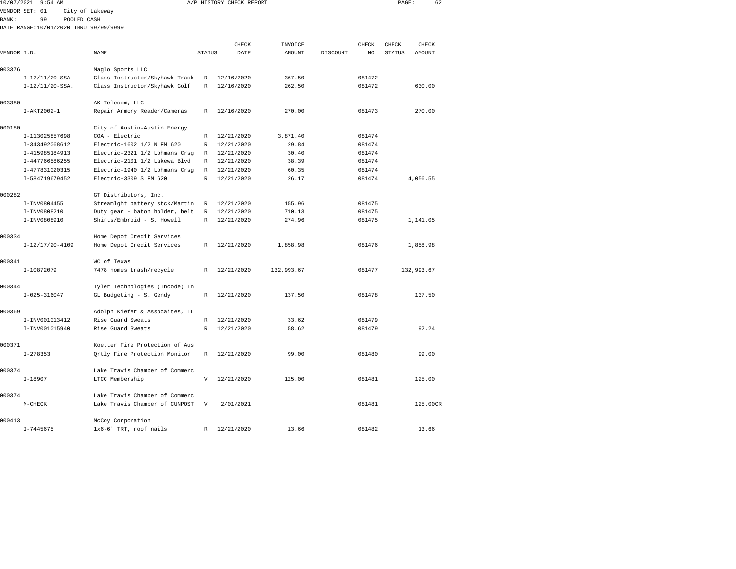| 10/07/2021 9:54 AM |                                       |                                |               | A/P HISTORY CHECK REPORT | PAGE:         | 62       |        |               |               |  |
|--------------------|---------------------------------------|--------------------------------|---------------|--------------------------|---------------|----------|--------|---------------|---------------|--|
|                    | VENDOR SET: 01                        | City of Lakeway                |               |                          |               |          |        |               |               |  |
| BANK:              | 99                                    | POOLED CASH                    |               |                          |               |          |        |               |               |  |
|                    | DATE RANGE:10/01/2020 THRU 99/99/9999 |                                |               |                          |               |          |        |               |               |  |
|                    |                                       |                                |               |                          |               |          |        |               |               |  |
|                    |                                       |                                |               | CHECK                    | INVOICE       |          | CHECK  | CHECK         | CHECK         |  |
| VENDOR I.D.        |                                       | <b>NAME</b>                    | <b>STATUS</b> | DATE                     | <b>AMOUNT</b> | DISCOUNT | NO     | <b>STATUS</b> | <b>AMOUNT</b> |  |
|                    |                                       |                                |               |                          |               |          |        |               |               |  |
| 003376             |                                       | Maglo Sports LLC               |               |                          |               |          |        |               |               |  |
|                    | $I-12/11/20-SSA$                      | Class Instructor/Skyhawk Track | R             | 12/16/2020               | 367.50        |          | 081472 |               |               |  |
|                    | $I-12/11/20-SSA.$                     | Class Instructor/Skyhawk Golf  | $\mathbb R$   | 12/16/2020               | 262.50        |          | 081472 |               | 630.00        |  |
| 003380             |                                       | AK Telecom, LLC                |               |                          |               |          |        |               |               |  |
|                    | I-AKT2002-1                           | Repair Armory Reader/Cameras   | R             | 12/16/2020               | 270.00        |          | 081473 |               | 270.00        |  |
|                    |                                       |                                |               |                          |               |          |        |               |               |  |
| 000180             |                                       | City of Austin-Austin Energy   |               |                          |               |          |        |               |               |  |
|                    | I-113025857698                        | COA - Electric                 | R             | 12/21/2020               | 3,871.40      |          | 081474 |               |               |  |
|                    | I-343492068612                        | Electric-1602 1/2 N FM 620     | $\mathbb{R}$  | 12/21/2020               | 29.84         |          | 081474 |               |               |  |
|                    | I-415985184913                        | Electric-2321 1/2 Lohmans Crsg | $\mathbb{R}$  | 12/21/2020               | 30.40         |          | 081474 |               |               |  |
|                    | I-447766586255                        | Electric-2101 1/2 Lakewa Blvd  | R             | 12/21/2020               | 38.39         |          | 081474 |               |               |  |
|                    | I-477831020315                        | Electric-1940 1/2 Lohmans Crsg | R             | 12/21/2020               | 60.35         |          | 081474 |               |               |  |
|                    | I-584719679452                        | Electric-3309 S FM 620         | $\mathbb{R}$  | 12/21/2020               | 26.17         |          | 081474 |               | 4,056.55      |  |
|                    |                                       |                                |               |                          |               |          |        |               |               |  |
| 000282             |                                       | GT Distributors, Inc.          |               |                          |               |          |        |               |               |  |
|                    | I-INV0804455                          | Streamlght battery stck/Martin | R             | 12/21/2020               | 155.96        |          | 081475 |               |               |  |
|                    | I-INV0808210                          | Duty gear - baton holder, belt | R             | 12/21/2020               | 710.13        |          | 081475 |               |               |  |
|                    | I-INV0808910                          | Shirts/Embroid - S. Howell     | $\mathbb{R}$  | 12/21/2020               | 274.96        |          | 081475 |               | 1,141.05      |  |
| 000334             |                                       | Home Depot Credit Services     |               |                          |               |          |        |               |               |  |
|                    | $I-12/17/20-4109$                     | Home Depot Credit Services     | $\mathbb{R}$  | 12/21/2020               | 1,858.98      |          | 081476 |               | 1,858.98      |  |
|                    |                                       |                                |               |                          |               |          |        |               |               |  |
| 000341             |                                       | WC of Texas                    |               |                          |               |          |        |               |               |  |
|                    | I-10872079                            | 7478 homes trash/recycle       | R             | 12/21/2020               | 132,993.67    |          | 081477 |               | 132,993.67    |  |
|                    |                                       |                                |               |                          |               |          |        |               |               |  |
| 000344             |                                       | Tyler Technologies (Incode) In |               |                          |               |          |        |               |               |  |
|                    | $I - 025 - 316047$                    | GL Budgeting - S. Gendy        | $\mathbb R$   | 12/21/2020               | 137.50        |          | 081478 |               | 137.50        |  |
|                    |                                       |                                |               |                          |               |          |        |               |               |  |
| 000369             |                                       | Adolph Kiefer & Assocaites, LL |               |                          |               |          |        |               |               |  |
|                    | I-INV001013412                        | Rise Guard Sweats              | R             | 12/21/2020               | 33.62         |          | 081479 |               |               |  |
|                    | I-INV001015940                        | Rise Guard Sweats              | $\mathbb{R}$  | 12/21/2020               | 58.62         |          | 081479 |               | 92.24         |  |
|                    |                                       |                                |               |                          |               |          |        |               |               |  |
| 000371             |                                       | Koetter Fire Protection of Aus |               |                          |               |          |        |               |               |  |
|                    | $I - 278353$                          | Qrtly Fire Protection Monitor  | $\mathbb R$   | 12/21/2020               | 99.00         |          | 081480 |               | 99.00         |  |
| 000374             |                                       | Lake Travis Chamber of Commerc |               |                          |               |          |        |               |               |  |
|                    | $I-18907$                             | LTCC Membership                | V             | 12/21/2020               | 125.00        |          | 081481 |               | 125.00        |  |
|                    |                                       |                                |               |                          |               |          |        |               |               |  |
| 000374             |                                       | Lake Travis Chamber of Commerc |               |                          |               |          |        |               |               |  |
|                    | $M-CHECK$                             | Lake Travis Chamber of CUNPOST | V             | 2/01/2021                |               |          | 081481 |               | 125.00CR      |  |
|                    |                                       |                                |               |                          |               |          |        |               |               |  |
| 000413             |                                       | McCoy Corporation              |               |                          |               |          |        |               |               |  |
|                    | $I - 7445675$                         | 1x6-6' TRT, roof nails         | R             | 12/21/2020               | 13.66         |          | 081482 |               | 13.66         |  |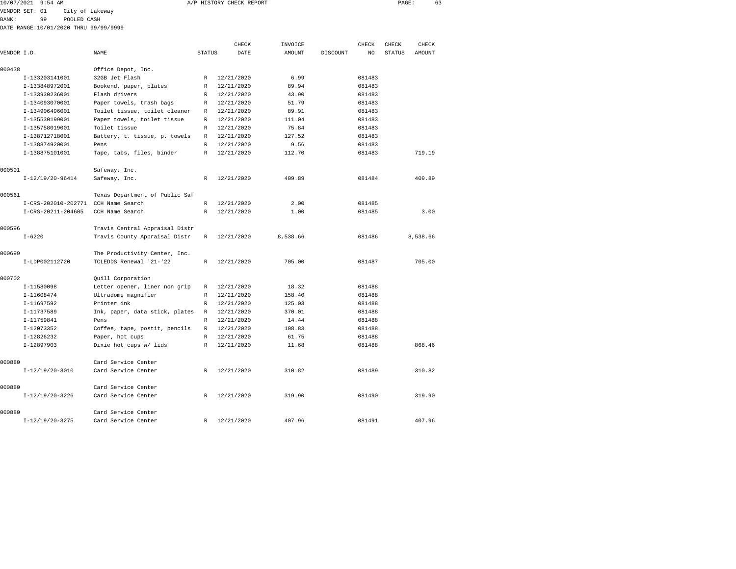|                | 10/07/2021 9:54 AM                    |                 |                               |        | A/P HISTORY CHECK REPORT |         |          |        | PAGE:         | 63     |  |
|----------------|---------------------------------------|-----------------|-------------------------------|--------|--------------------------|---------|----------|--------|---------------|--------|--|
| VENDOR SET: 01 |                                       | City of Lakeway |                               |        |                          |         |          |        |               |        |  |
| BANK:          | 99                                    | POOLED CASH     |                               |        |                          |         |          |        |               |        |  |
|                | DATE RANGE:10/01/2020 THRU 99/99/9999 |                 |                               |        |                          |         |          |        |               |        |  |
|                |                                       |                 |                               |        | CHECK                    | INVOICE |          | CHECK  | CHECK         | CHECK  |  |
| VENDOR I.D.    |                                       |                 | NAME                          | STATUS | DATE                     | AMOUNT  | DISCOUNT | NO.    | <b>STATUS</b> | AMOUNT |  |
| 000438         |                                       |                 | Office Depot, Inc.            |        |                          |         |          |        |               |        |  |
|                | I-133203141001                        |                 | 32GB Jet Flash                | R      | 12/21/2020               | 6.99    |          | 081483 |               |        |  |
|                | I-133848972001                        |                 | Bookend, paper, plates        | R      | 12/21/2020               | 89.94   |          | 081483 |               |        |  |
|                | I-133930236001                        |                 | Flash drivers                 | R      | 12/21/2020               | 43.90   |          | 081483 |               |        |  |
|                | I-134093070001                        |                 | Paper towels, trash bags      | R      | 12/21/2020               | 51.79   |          | 081483 |               |        |  |
|                | I-134906496001                        |                 | Toilet tissue, toilet cleaner | R      | 12/21/2020               | 89.91   |          | 081483 |               |        |  |
|                | I-135530199001                        |                 | Paper towels, toilet tissue   | R      | 12/21/2020               | 111.04  |          | 081483 |               |        |  |
|                | I-135758019001                        |                 | Toilet tissue                 | R      | 12/21/2020               | 75.84   |          | 081483 |               |        |  |
|                | I-138712718001                        |                 | Battery, t. tissue, p. towels | R      | 12/21/2020               | 127.52  |          | 081483 |               |        |  |
|                | I-138874920001                        |                 | Pens                          | R      | 12/21/2020               | 9.56    |          | 081483 |               |        |  |
|                | I-138875101001                        |                 | Tape, tabs, files, binder     | R      | 12/21/2020               | 112.70  |          | 081483 |               | 719.19 |  |
| 000501         |                                       |                 | Safeway, Inc.                 |        |                          |         |          |        |               |        |  |

| 000501 |                                     | Safeway, Inc.                  |              |              |          |        |          |
|--------|-------------------------------------|--------------------------------|--------------|--------------|----------|--------|----------|
|        | $I-12/19/20-96414$                  | Safeway, Inc.                  |              | R 12/21/2020 | 409.89   | 081484 | 409.89   |
| 000561 |                                     | Texas Department of Public Saf |              |              |          |        |          |
|        | I-CRS-202010-202771 CCH Name Search |                                | R            | 12/21/2020   | 2.00     | 081485 |          |
|        | I-CRS-20211-204605                  | CCH Name Search                | $\mathbb{R}$ | 12/21/2020   | 1.00     | 081485 | 3.00     |
| 000596 |                                     | Travis Central Appraisal Distr |              |              |          |        |          |
|        | $I - 6220$                          | Travis County Appraisal Distr  |              | R 12/21/2020 | 8,538.66 | 081486 | 8,538.66 |
| 000699 |                                     | The Productivity Center, Inc.  |              |              |          |        |          |
|        | I-LDP002112720                      | TCLEDDS Renewal '21-'22        | R            | 12/21/2020   | 705.00   | 081487 | 705.00   |
| 000702 |                                     | Ouill Corporation              |              |              |          |        |          |
|        | I-11580098                          | Letter opener, liner non grip  | R            | 12/21/2020   | 18.32    | 081488 |          |
|        | I-11608474                          | Ultradome magnifier            | R            | 12/21/2020   | 158.40   | 081488 |          |
|        | I-11697592                          | Printer ink                    | R            | 12/21/2020   | 125.03   | 081488 |          |
|        | I-11737589                          | Ink, paper, data stick, plates | R            | 12/21/2020   | 370.01   | 081488 |          |
|        | I-11759841                          | Pens                           | R.           | 12/21/2020   | 14.44    | 081488 |          |
|        | I-12073352                          | Coffee, tape, postit, pencils  | R            | 12/21/2020   | 108.83   | 081488 |          |
|        | I-12826232                          | Paper, hot cups                |              | R 12/21/2020 | 61.75    | 081488 |          |
|        | I-12897903                          | Dixie hot cups w/ lids         | R            | 12/21/2020   | 11.68    | 081488 | 868.46   |
| 000880 |                                     | Card Service Center            |              |              |          |        |          |
|        | $I-12/19/20-3010$                   | Card Service Center            | R            | 12/21/2020   | 310.82   | 081489 | 310.82   |
| 000880 |                                     | Card Service Center            |              |              |          |        |          |
|        | $I-12/19/20-3226$                   | Card Service Center            |              | R 12/21/2020 | 319.90   | 081490 | 319.90   |
| 000880 |                                     | Card Service Center            |              |              |          |        |          |
|        | $I-12/19/20-3275$                   | Card Service Center            | R            | 12/21/2020   | 407.96   | 081491 | 407.96   |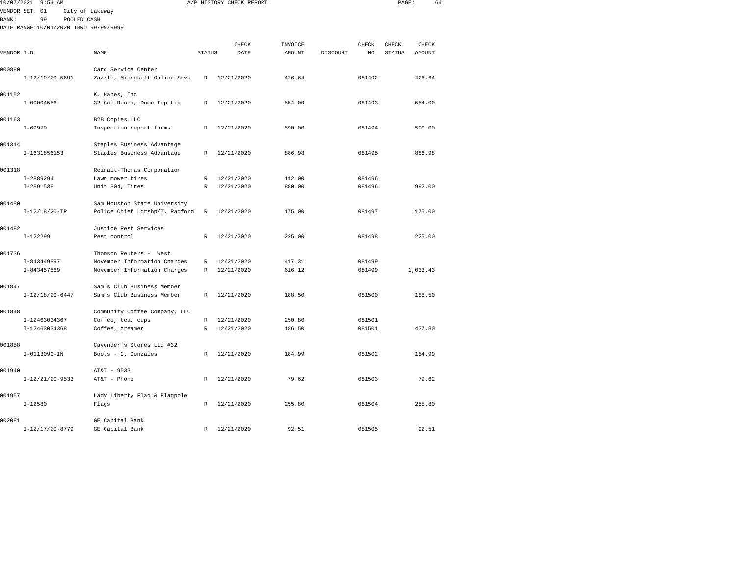| 10/07/2021<br>$9:54$ AM |                                       |                                |               | A/P HISTORY CHECK REPORT |         | PAGE:    |        | 64     |          |  |
|-------------------------|---------------------------------------|--------------------------------|---------------|--------------------------|---------|----------|--------|--------|----------|--|
|                         | VENDOR SET: 01                        | City of Lakeway                |               |                          |         |          |        |        |          |  |
| <b>BANK:</b>            | 99<br>POOLED CASH                     |                                |               |                          |         |          |        |        |          |  |
|                         | DATE RANGE:10/01/2020 THRU 99/99/9999 |                                |               |                          |         |          |        |        |          |  |
|                         |                                       |                                |               | CHECK                    | INVOICE |          | CHECK  | CHECK  | CHECK    |  |
| VENDOR I.D.             |                                       | NAME                           | <b>STATUS</b> | DATE                     | AMOUNT  | DISCOUNT | NO     | STATUS | AMOUNT   |  |
|                         |                                       |                                |               |                          |         |          |        |        |          |  |
| 000880                  |                                       | Card Service Center            |               |                          |         |          |        |        |          |  |
|                         | $I-12/19/20-5691$                     | Zazzle, Microsoft Online Srvs  | $\mathbb R$   | 12/21/2020               | 426.64  |          | 081492 |        | 426.64   |  |
| 001152                  |                                       | K. Hanes, Inc                  |               |                          |         |          |        |        |          |  |
|                         | $I-00004556$                          | 32 Gal Recep, Dome-Top Lid     | R             | 12/21/2020               | 554.00  |          | 081493 |        | 554.00   |  |
| 001163                  |                                       | B2B Copies LLC                 |               |                          |         |          |        |        |          |  |
|                         | $I - 69979$                           | Inspection report forms        | R             | 12/21/2020               | 590.00  |          | 081494 |        | 590.00   |  |
| 001314                  |                                       | Staples Business Advantage     |               |                          |         |          |        |        |          |  |
|                         | I-1631856153                          | Staples Business Advantage     | R             | 12/21/2020               | 886.98  |          | 081495 |        | 886.98   |  |
| 001318                  |                                       | Reinalt-Thomas Corporation     |               |                          |         |          |        |        |          |  |
|                         | $I-2889294$                           | Lawn mower tires               | R             | 12/21/2020               | 112.00  |          | 081496 |        |          |  |
|                         | $I-2891538$                           | Unit 804, Tires                | R             | 12/21/2020               | 880.00  |          | 081496 |        | 992.00   |  |
| 001480                  |                                       | Sam Houston State University   |               |                          |         |          |        |        |          |  |
|                         | $I-12/18/20-TR$                       | Police Chief Ldrshp/T. Radford | R             | 12/21/2020               | 175.00  |          | 081497 |        | 175.00   |  |
| 001482                  |                                       | Justice Pest Services          |               |                          |         |          |        |        |          |  |
|                         | $I-122299$                            | Pest control                   | R             | 12/21/2020               | 225.00  |          | 081498 |        | 225.00   |  |
| 001736                  |                                       | Thomson Reuters - West         |               |                          |         |          |        |        |          |  |
|                         | I-843449897                           | November Information Charges   | R             | 12/21/2020               | 417.31  |          | 081499 |        |          |  |
|                         | $I - 843457569$                       | November Information Charges   | R             | 12/21/2020               | 616.12  |          | 081499 |        | 1,033.43 |  |
| 001847                  |                                       | Sam's Club Business Member     |               |                          |         |          |        |        |          |  |
|                         | $I-12/18/20-6447$                     | Sam's Club Business Member     | R             | 12/21/2020               | 188.50  |          | 081500 |        | 188.50   |  |
| 001848                  |                                       | Community Coffee Company, LLC  |               |                          |         |          |        |        |          |  |
|                         | I-12463034367                         | Coffee, tea, cups              | R             | 12/21/2020               | 250.80  |          | 081501 |        |          |  |
|                         | I-12463034368                         | Coffee, creamer                | R             | 12/21/2020               | 186.50  |          | 081501 |        | 437.30   |  |
| 001858                  |                                       | Cavender's Stores Ltd #32      |               |                          |         |          |        |        |          |  |
|                         | $I-0113090-IN$                        | Boots - C. Gonzales            | R             | 12/21/2020               | 184.99  |          | 081502 |        | 184.99   |  |
| 001940                  |                                       | AT&T - 9533                    |               |                          |         |          |        |        |          |  |
|                         | $I-12/21/20-9533$                     | AT&T - Phone                   | R             | 12/21/2020               | 79.62   |          | 081503 |        | 79.62    |  |
| 001957                  |                                       | Lady Liberty Flag & Flagpole   |               |                          |         |          |        |        |          |  |
|                         | $I - 12580$                           | Flags                          | R             | 12/21/2020               | 255.80  |          | 081504 |        | 255.80   |  |
| 002081                  |                                       | GE Capital Bank                |               |                          |         |          |        |        |          |  |
|                         | $I-12/17/20-8779$                     | GE Capital Bank                | R             | 12/21/2020               | 92.51   |          | 081505 |        | 92.51    |  |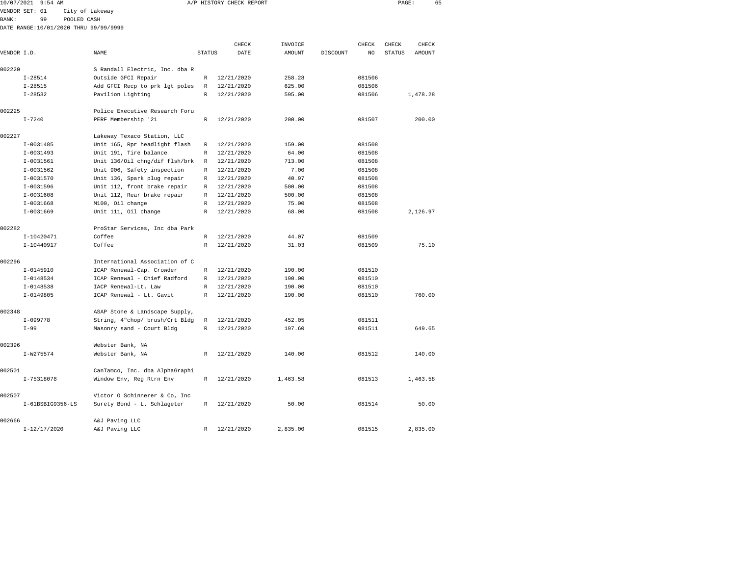|             | 10/07/2021 9:54 AM |                                       |               | A/P HISTORY CHECK REPORT |                          |          |             | PAGE:                  | 65              |
|-------------|--------------------|---------------------------------------|---------------|--------------------------|--------------------------|----------|-------------|------------------------|-----------------|
|             | VENDOR SET: 01     | City of Lakeway                       |               |                          |                          |          |             |                        |                 |
| BANK:       | 99                 | POOLED CASH                           |               |                          |                          |          |             |                        |                 |
|             |                    | DATE RANGE:10/01/2020 THRU 99/99/9999 |               |                          |                          |          |             |                        |                 |
|             |                    |                                       |               |                          |                          |          |             |                        |                 |
| VENDOR I.D. |                    | <b>NAME</b>                           | <b>STATUS</b> | CHECK<br>DATE            | INVOICE<br><b>AMOUNT</b> | DISCOUNT | CHECK<br>NO | CHECK<br><b>STATUS</b> | CHECK<br>AMOUNT |
| 002220      |                    | S Randall Electric, Inc. dba R        |               |                          |                          |          |             |                        |                 |
|             | $I - 28514$        | Outside GFCI Repair                   | $\mathbb{R}$  | 12/21/2020               | 258.28                   |          | 081506      |                        |                 |
|             | $I - 28515$        | Add GFCI Recp to prk lgt poles        | R             | 12/21/2020               | 625.00                   |          | 081506      |                        |                 |
|             | $I - 28532$        | Pavilion Lighting                     | R             | 12/21/2020               | 595.00                   |          | 081506      |                        | 1,478.28        |
| 002225      |                    | Police Executive Research Foru        |               |                          |                          |          |             |                        |                 |
|             | $I - 7240$         | PERF Membership '21                   | $\mathbb{R}$  | 12/21/2020               | 200.00                   |          | 081507      |                        | 200.00          |
| 002227      |                    | Lakeway Texaco Station, LLC           |               |                          |                          |          |             |                        |                 |
|             | $I-0031485$        | Unit 165, Rpr headlight flash         | R             | 12/21/2020               | 159.00                   |          | 081508      |                        |                 |
|             | $I - 0031493$      | Unit 191, Tire balance                | R             | 12/21/2020               | 64.00                    |          | 081508      |                        |                 |
|             | $I - 0031561$      | Unit 136/0il chng/dif flsh/brk        | R             | 12/21/2020               | 713.00                   |          | 081508      |                        |                 |
|             | $I-0031562$        | Unit 906, Safety inspection           | R             | 12/21/2020               | 7.00                     |          | 081508      |                        |                 |
|             | $I-0031570$        | Unit 136, Spark plug repair           | R             | 12/21/2020               | 40.97                    |          | 081508      |                        |                 |
|             | $I-0031596$        | Unit 112, front brake repair          | $\mathbb{R}$  | 12/21/2020               | 500.00                   |          | 081508      |                        |                 |
|             | $I - 0031608$      | Unit 112, Rear brake repair           | $\mathbb{R}$  | 12/21/2020               | 500.00                   |          | 081508      |                        |                 |
|             | $I-0031668$        | M100, Oil change                      | $\mathbb{R}$  | 12/21/2020               | 75.00                    |          | 081508      |                        |                 |
|             | $I-0031669$        | Unit 111, Oil change                  | $\mathbb{R}$  | 12/21/2020               | 68.00                    |          | 081508      |                        | 2,126.97        |
| 002282      |                    | ProStar Services, Inc dba Park        |               |                          |                          |          |             |                        |                 |
|             | I-10420471         | Coffee                                | $\mathbb{R}$  | 12/21/2020               | 44.07                    |          | 081509      |                        |                 |
|             | $I-10440917$       | Coffee                                | R             | 12/21/2020               | 31.03                    |          | 081509      |                        | 75.10           |
| 002296      |                    | International Association of C        |               |                          |                          |          |             |                        |                 |
|             | $I-0145910$        | ICAP Renewal-Cap. Crowder             | R             | 12/21/2020               | 190.00                   |          | 081510      |                        |                 |
|             | $I - 0148534$      | ICAP Renewal - Chief Radford          | R             | 12/21/2020               | 190.00                   |          | 081510      |                        |                 |
|             | $I-0148538$        | IACP Renewal-Lt. Law                  | R             | 12/21/2020               | 190.00                   |          | 081510      |                        |                 |
|             | $I-0149805$        | ICAP Renewal - Lt. Gavit              | $\mathbb{R}$  | 12/21/2020               | 190.00                   |          | 081510      |                        | 760.00          |
| 002348      |                    | ASAP Stone & Landscape Supply,        |               |                          |                          |          |             |                        |                 |
|             | $I-099778$         | String, 4"chop/ brush/Crt Bldg        | R             | 12/21/2020               | 452.05                   |          | 081511      |                        |                 |
|             | $I-99$             | Masonry sand - Court Bldg             | R             | 12/21/2020               | 197.60                   |          | 081511      |                        | 649.65          |
| 002396      |                    | Webster Bank, NA                      |               |                          |                          |          |             |                        |                 |

I-W275574 Webster Bank, NA R 12/21/2020 140.00 081512 140.00

I-75318078 Window Env, Reg Rtrn Env R 12/21/2020 1,463.58 081513 1,463.58

I-61BSBIG9356-LS Surety Bond - L. Schlageter R 12/21/2020 50.00 081514 50.00

I-12/17/2020 A&J Paving LLC R 12/21/2020 2,835.00 081515 2,835.00

002501 CanTamco, Inc. dba AlphaGraphi

002507 Victor O Schinnerer & Co, Inc

002666 A&J Paving LLC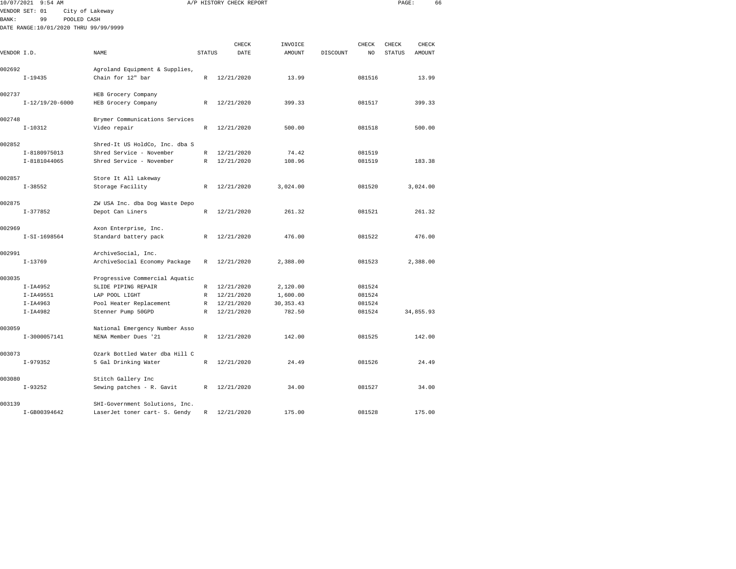| 10/07/2021   | 9:54 AM                               |                                |               | A/P HISTORY CHECK REPORT |               |          |        | PAGE:         |           | 66 |
|--------------|---------------------------------------|--------------------------------|---------------|--------------------------|---------------|----------|--------|---------------|-----------|----|
|              | VENDOR SET: 01                        | City of Lakeway                |               |                          |               |          |        |               |           |    |
| <b>BANK:</b> | 99<br>POOLED CASH                     |                                |               |                          |               |          |        |               |           |    |
|              | DATE RANGE:10/01/2020 THRU 99/99/9999 |                                |               |                          |               |          |        |               |           |    |
|              |                                       |                                |               |                          |               |          |        |               |           |    |
|              |                                       |                                |               | CHECK                    | INVOICE       |          | CHECK  | CHECK         | CHECK     |    |
| VENDOR I.D.  |                                       | NAME                           | <b>STATUS</b> | DATE                     | <b>AMOUNT</b> | DISCOUNT | NO     | <b>STATUS</b> | AMOUNT    |    |
| 002692       |                                       | Agroland Equipment & Supplies, |               |                          |               |          |        |               |           |    |
|              | $I-19435$                             | Chain for 12" bar              | $\mathbb{R}$  | 12/21/2020               | 13.99         |          | 081516 |               | 13.99     |    |
|              |                                       |                                |               |                          |               |          |        |               |           |    |
| 002737       |                                       | HEB Grocery Company            |               |                          |               |          |        |               |           |    |
|              | $I-12/19/20-6000$                     | HEB Grocery Company            | $\mathbb{R}$  | 12/21/2020               | 399.33        |          | 081517 |               | 399.33    |    |
| 002748       |                                       | Brymer Communications Services |               |                          |               |          |        |               |           |    |
|              | $I - 10312$                           | Video repair                   | $\mathbb{R}$  | 12/21/2020               | 500.00        |          | 081518 |               | 500.00    |    |
|              |                                       |                                |               |                          |               |          |        |               |           |    |
| 002852       |                                       | Shred-It US HoldCo, Inc. dba S |               |                          |               |          |        |               |           |    |
|              | I-8180975013                          | Shred Service - November       | $\mathbb{R}$  | 12/21/2020               | 74.42         |          | 081519 |               |           |    |
|              | I-8181044065                          | Shred Service - November       | $\mathbb{R}$  | 12/21/2020               | 108.96        |          | 081519 |               | 183.38    |    |
| 002857       |                                       | Store It All Lakeway           |               |                          |               |          |        |               |           |    |
|              | $I - 38552$                           | Storage Facility               | $\mathbb{R}$  | 12/21/2020               | 3,024,00      |          | 081520 |               | 3,024.00  |    |
| 002875       |                                       | ZW USA Inc. dba Dog Waste Depo |               |                          |               |          |        |               |           |    |
|              | $I-377852$                            | Depot Can Liners               | R             | 12/21/2020               | 261.32        |          | 081521 |               | 261.32    |    |
|              |                                       |                                |               |                          |               |          |        |               |           |    |
| 002969       |                                       | Axon Enterprise, Inc.          |               |                          |               |          |        |               |           |    |
|              | I-SI-1698564                          | Standard battery pack          | R             | 12/21/2020               | 476.00        |          | 081522 |               | 476.00    |    |
| 002991       |                                       | ArchiveSocial, Inc.            |               |                          |               |          |        |               |           |    |
|              | $I-13769$                             | ArchiveSocial Economy Package  | R             | 12/21/2020               | 2,388.00      |          | 081523 |               | 2,388.00  |    |
|              |                                       |                                |               |                          |               |          |        |               |           |    |
| 003035       |                                       | Progressive Commercial Aquatic |               |                          |               |          |        |               |           |    |
|              | $I-IA4952$                            | SLIDE PIPING REPAIR            | $\mathbb{R}$  | 12/21/2020               | 2,120.00      |          | 081524 |               |           |    |
|              | $I-IA49551$                           | LAP POOL LIGHT                 | R             | 12/21/2020               | 1,600.00      |          | 081524 |               |           |    |
|              | $I-IA4963$                            | Pool Heater Replacement        | $\mathbb R$   | 12/21/2020               | 30, 353. 43   |          | 081524 |               |           |    |
|              | $I-IA4982$                            | Stenner Pump 50GPD             | $\mathbb R$   | 12/21/2020               | 782.50        |          | 081524 |               | 34,855.93 |    |
| 003059       |                                       | National Emergency Number Asso |               |                          |               |          |        |               |           |    |
|              | I-3000057141                          | NENA Member Dues '21           | $\mathbb{R}$  | 12/21/2020               | 142.00        |          | 081525 |               | 142.00    |    |
| 003073       |                                       | Ozark Bottled Water dba Hill C |               |                          |               |          |        |               |           |    |
|              | $I-979352$                            | 5 Gal Drinking Water           | R             | 12/21/2020               | 24.49         |          | 081526 |               | 24.49     |    |
|              |                                       |                                |               |                          |               |          |        |               |           |    |
| 003080       |                                       | Stitch Gallery Inc             |               |                          |               |          |        |               |           |    |
|              | $I-93252$                             | Sewing patches - R. Gavit      | R             | 12/21/2020               | 34.00         |          | 081527 |               | 34.00     |    |
|              |                                       |                                |               |                          |               |          |        |               |           |    |

I-GB00394642 LaserJet toner cart- S. Gendy R 12/21/2020 175.00 081528 175.00

003139 SHI-Government Solutions, Inc.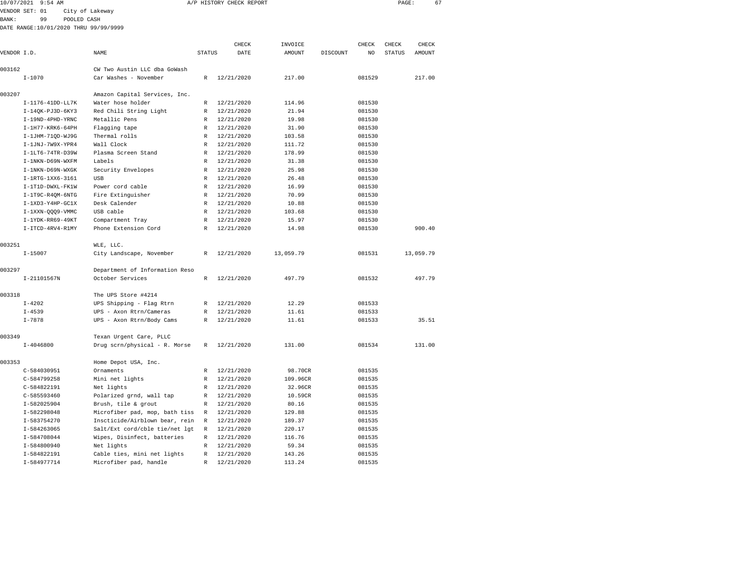| 10/07/2021 9:54 AM |    |                                       | A/P HISTORY CHECK REPORT |                 |              | PAGE: |       | 67 |
|--------------------|----|---------------------------------------|--------------------------|-----------------|--------------|-------|-------|----|
| VENDOR SET: 01     |    | City of Lakeway                       |                          |                 |              |       |       |    |
| BANK :             | 99 | POOLED CASH                           |                          |                 |              |       |       |    |
|                    |    | DATE RANGE:10/01/2020 THRU 99/99/9999 |                          |                 |              |       |       |    |
|                    |    |                                       | CUPCV                    | <b>TMMZOTCE</b> | <b>CUPCV</b> | CUPCV | CUPCV |    |

|             |                    |                                |               | CHECK      | INVOICE   |          | CHECK  | CHECK         | CHECK     |
|-------------|--------------------|--------------------------------|---------------|------------|-----------|----------|--------|---------------|-----------|
| VENDOR I.D. |                    | NAME                           | <b>STATUS</b> | DATE       | AMOUNT    | DISCOUNT | NO     | <b>STATUS</b> | AMOUNT    |
| 003162      |                    | CW Two Austin LLC dba GoWash   |               |            |           |          |        |               |           |
|             | $I - 1070$         | Car Washes - November          | $\mathbb{R}$  | 12/21/2020 | 217.00    |          | 081529 |               | 217.00    |
| 003207      |                    | Amazon Capital Services, Inc.  |               |            |           |          |        |               |           |
|             | I-1176-41DD-LL7K   | Water hose holder              | R             | 12/21/2020 | 114.96    |          | 081530 |               |           |
|             | I-14QK-PJ3D-6KY3   | Red Chili String Light         | $\mathbb{R}$  | 12/21/2020 | 21.94     |          | 081530 |               |           |
|             | I-19ND-4PHD-YRNC   | Metallic Pens                  | $\mathbb{R}$  | 12/21/2020 | 19.98     |          | 081530 |               |           |
|             | $I-1H77-KRK6-64PH$ | Flagging tape                  | $\mathbb{R}$  | 12/21/2020 | 31.90     |          | 081530 |               |           |
|             | I-1JHM-71QD-WJ9G   | Thermal rolls                  | $\mathbb{R}$  | 12/21/2020 | 103.58    |          | 081530 |               |           |
|             | I-1JNJ-7W9X-YPR4   | Wall Clock                     | $\mathbb{R}$  | 12/21/2020 | 111.72    |          | 081530 |               |           |
|             | I-1LT6-74TR-D39W   | Plasma Screen Stand            | $\mathbb{R}$  | 12/21/2020 | 178.99    |          | 081530 |               |           |
|             | I-1NKN-D69N-WXFM   | Labels                         | $\mathbb{R}$  | 12/21/2020 | 31.38     |          | 081530 |               |           |
|             | I-1NKN-D69N-WXGK   | Security Envelopes             | $\mathbb{R}$  | 12/21/2020 | 25.98     |          | 081530 |               |           |
|             | I-1RTG-1XX6-3161   | USB                            | R             | 12/21/2020 | 26.48     |          | 081530 |               |           |
|             | I-1T1D-DWXL-FK1W   | Power cord cable               | $\mathbb{R}$  | 12/21/2020 | 16.99     |          | 081530 |               |           |
|             | I-1T9C-R4OM-6NTG   | Fire Extinquisher              | $\mathbb{R}$  | 12/21/2020 | 70.99     |          | 081530 |               |           |
|             | $I-1XD3-Y4HP-GCLX$ | Desk Calender                  | R             | 12/21/2020 | 10.88     |          | 081530 |               |           |
|             | I-1XXN-QQQ9-VMMC   | USB cable                      | $\mathbb{R}$  | 12/21/2020 | 103.68    |          | 081530 |               |           |
|             | $I-1YDK-RR69-49KT$ | Compartment Tray               | $\mathbb{R}$  | 12/21/2020 | 15.97     |          | 081530 |               |           |
|             | I-ITCD-4RV4-R1MY   | Phone Extension Cord           | $\mathbb{R}$  | 12/21/2020 | 14.98     |          | 081530 |               | 900.40    |
| 003251      |                    | WLE, LLC.                      |               |            |           |          |        |               |           |
|             | $I - 15007$        | City Landscape, November       | R             | 12/21/2020 | 13,059.79 |          | 081531 |               | 13,059.79 |
| 003297      |                    | Department of Information Reso |               |            |           |          |        |               |           |
|             | $I-21101567N$      | October Services               | $\mathbb{R}$  | 12/21/2020 | 497.79    |          | 081532 |               | 497.79    |
| 003318      |                    | The UPS Store #4214            |               |            |           |          |        |               |           |
|             | $I - 4202$         | UPS Shipping - Flag Rtrn       | R             | 12/21/2020 | 12.29     |          | 081533 |               |           |
|             | $I - 4539$         | UPS - Axon Rtrn/Cameras        | R             | 12/21/2020 | 11.61     |          | 081533 |               |           |
|             | $I - 7878$         | UPS - Axon Rtrn/Body Cams      | $\mathbb{R}$  | 12/21/2020 | 11.61     |          | 081533 |               | 35.51     |
| 003349      |                    | Texan Urgent Care, PLLC        |               |            |           |          |        |               |           |
|             | $I - 4046800$      | Drug scrn/physical - R. Morse  | $\mathbb{R}$  | 12/21/2020 | 131.00    |          | 081534 |               | 131.00    |
| 003353      |                    | Home Depot USA, Inc.           |               |            |           |          |        |               |           |
|             | C-584030951        | Ornaments                      | $\mathbb{R}$  | 12/21/2020 | 98.70CR   |          | 081535 |               |           |
|             | C-584799258        | Mini net lights                | $\mathbb{R}$  | 12/21/2020 | 109.96CR  |          | 081535 |               |           |
|             | C-584822191        | Net lights                     | R             | 12/21/2020 | 32.96CR   |          | 081535 |               |           |
|             | $C - 585593460$    | Polarized grnd, wall tap       | R             | 12/21/2020 | 10.59CR   |          | 081535 |               |           |
|             | I-582025904        | Brush, tile & grout            | R             | 12/21/2020 | 80.16     |          | 081535 |               |           |
|             | I-582298048        | Microfiber pad, mop, bath tiss | R             | 12/21/2020 | 129.88    |          | 081535 |               |           |
|             | I-583754270        | Inscticide/Airblown bear, rein | R             | 12/21/2020 | 189.37    |          | 081535 |               |           |
|             | I-584263065        | Salt/Ext cord/cble tie/net lgt | R             | 12/21/2020 | 220.17    |          | 081535 |               |           |
|             | I-584708044        | Wipes, Disinfect, batteries    | R             | 12/21/2020 | 116.76    |          | 081535 |               |           |
|             | I-584800940        | Net lights                     | R             | 12/21/2020 | 59.34     |          | 081535 |               |           |
|             | I-584822191        | Cable ties, mini net lights    | $\mathbb{R}$  | 12/21/2020 | 143.26    |          | 081535 |               |           |
|             | I-584977714        | Microfiber pad, handle         | $\mathbb{R}$  | 12/21/2020 | 113.24    |          | 081535 |               |           |
|             |                    |                                |               |            |           |          |        |               |           |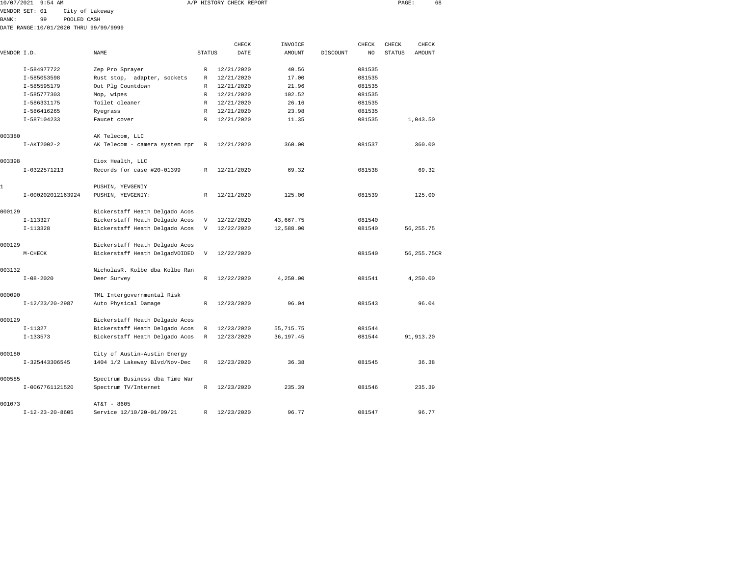| 10/07/2021 9:54 AM |             |                 |                                        |  |              | A/P HISTORY CHECK REPORT |         |          |        | PAGE:         |          | 68 |
|--------------------|-------------|-----------------|----------------------------------------|--|--------------|--------------------------|---------|----------|--------|---------------|----------|----|
| VENDOR SET: 01     |             | City of Lakeway |                                        |  |              |                          |         |          |        |               |          |    |
| BANK:              | 99          | POOLED CASH     |                                        |  |              |                          |         |          |        |               |          |    |
|                    |             |                 | DATE RANGE: 10/01/2020 THRU 99/99/9999 |  |              |                          |         |          |        |               |          |    |
|                    |             |                 |                                        |  |              | CHECK                    | INVOICE |          | CHECK  | CHECK         | CHECK    |    |
| VENDOR I.D.        |             |                 | NAME                                   |  | STATUS       | DATE                     | AMOUNT  | DISCOUNT | NO.    | <b>STATUS</b> | AMOUNT   |    |
|                    | I-584977722 |                 | Zep Pro Sprayer                        |  | R            | 12/21/2020               | 40.56   |          | 081535 |               |          |    |
|                    | I-585053598 |                 | Rust stop, adapter, sockets            |  | $\mathbb{R}$ | 12/21/2020               | 17.00   |          | 081535 |               |          |    |
|                    | I-585595179 |                 | Out Plg Countdown                      |  | R            | 12/21/2020               | 21.96   |          | 081535 |               |          |    |
|                    | I-585777303 |                 | Mop, wipes                             |  | R            | 12/21/2020               | 102.52  |          | 081535 |               |          |    |
|                    | I-586331175 |                 | Toilet cleaner                         |  | R            | 12/21/2020               | 26.16   |          | 081535 |               |          |    |
|                    | I-586416265 |                 | Ryegrass                               |  | R            | 12/21/2020               | 23.98   |          | 081535 |               |          |    |
|                    | I-587104233 |                 | Faucet cover                           |  | R            | 12/21/2020               | 11.35   |          | 081535 |               | 1,043.50 |    |

|        | I-585595179       | Out Plg Countdown              | R            | 12/21/2020 | 21.96       | 081535 |              |
|--------|-------------------|--------------------------------|--------------|------------|-------------|--------|--------------|
|        | I-585777303       | Mop, wipes                     | $\mathbb{R}$ | 12/21/2020 | 102.52      | 081535 |              |
|        | I-586331175       | Toilet cleaner                 | $\mathbb{R}$ | 12/21/2020 | 26.16       | 081535 |              |
|        | I-586416265       | Ryegrass                       | R            | 12/21/2020 | 23.98       | 081535 |              |
|        | I-587104233       | Faucet cover                   | R            | 12/21/2020 | 11.35       | 081535 | 1,043.50     |
| 003380 |                   | AK Telecom, LLC                |              |            |             |        |              |
|        | I-AKT2002-2       | AK Telecom - camera system rpr | R            | 12/21/2020 | 360.00      | 081537 | 360.00       |
| 003398 |                   | Ciox Health, LLC               |              |            |             |        |              |
|        | I-0322571213      | Records for case #20-01399     | R            | 12/21/2020 | 69.32       | 081538 | 69.32        |
|        |                   | PUSHIN, YEVGENIY               |              |            |             |        |              |
|        | I-000202012163924 | PUSHIN, YEVGENIY:              | R            | 12/21/2020 | 125.00      | 081539 | 125.00       |
| 000129 |                   | Bickerstaff Heath Delgado Acos |              |            |             |        |              |
|        | $I-113327$        | Bickerstaff Heath Delgado Acos | V            | 12/22/2020 | 43,667.75   | 081540 |              |
|        | $I-113328$        | Bickerstaff Heath Delgado Acos | V            | 12/22/2020 | 12,588.00   | 081540 | 56, 255. 75  |
| 000129 |                   | Bickerstaff Heath Delgado Acos |              |            |             |        |              |
|        | M-CHECK           | Bickerstaff Heath DelgadVOIDED | V            | 12/22/2020 |             | 081540 | 56, 255.75CR |
| 003132 |                   | NicholasR. Kolbe dba Kolbe Ran |              |            |             |        |              |
|        | $I - 08 - 2020$   | Deer Survey                    | $\mathbb{R}$ | 12/22/2020 | 4,250.00    | 081541 | 4,250.00     |
| 000090 |                   | TML Intergovernmental Risk     |              |            |             |        |              |
|        | $I-12/23/20-2987$ | Auto Physical Damage           | $\mathbb{R}$ | 12/23/2020 | 96.04       | 081543 | 96.04        |
| 000129 |                   | Bickerstaff Heath Delgado Acos |              |            |             |        |              |
|        | $I-11327$         | Bickerstaff Heath Delgado Acos | R            | 12/23/2020 | 55, 715. 75 | 081544 |              |
|        | $I-133573$        | Bickerstaff Heath Delgado Acos | $\mathbb{R}$ | 12/23/2020 | 36, 197.45  | 081544 | 91, 913.20   |
| 000180 |                   | City of Austin-Austin Energy   |              |            |             |        |              |
|        | I-325443306545    | 1404 1/2 Lakeway Blvd/Nov-Dec  | R            | 12/23/2020 | 36.38       | 081545 | 36.38        |
| 000585 |                   | Spectrum Business dba Time War |              |            |             |        |              |
|        | I-0067761121520   | Spectrum TV/Internet           | R            | 12/23/2020 | 235.39      | 081546 | 235.39       |
| 001073 |                   | AT&T - 8605                    |              |            |             |        |              |
|        | $I-12-23-20-8605$ | Service 12/10/20-01/09/21      | R            | 12/23/2020 | 96.77       | 081547 | 96.77        |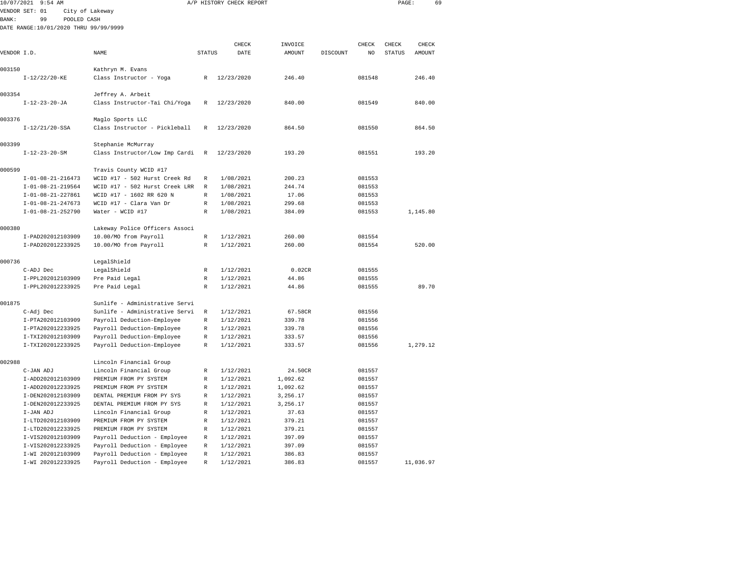|              | 10/07/2021 9:54 AM                    |                                |               | A/P HISTORY CHECK REPORT |          |          |        | PAGE:         |          | 69 |
|--------------|---------------------------------------|--------------------------------|---------------|--------------------------|----------|----------|--------|---------------|----------|----|
|              | VENDOR SET: 01                        | City of Lakeway                |               |                          |          |          |        |               |          |    |
| <b>BANK:</b> | 99<br>POOLED CASH                     |                                |               |                          |          |          |        |               |          |    |
|              | DATE RANGE:10/01/2020 THRU 99/99/9999 |                                |               |                          |          |          |        |               |          |    |
|              |                                       |                                |               |                          |          |          |        |               |          |    |
|              |                                       |                                |               | CHECK                    | INVOICE  |          | CHECK  | CHECK         | CHECK    |    |
| VENDOR I.D.  |                                       | NAME                           | <b>STATUS</b> | DATE                     | AMOUNT   | DISCOUNT | NO.    | <b>STATUS</b> | AMOUNT   |    |
|              |                                       |                                |               |                          |          |          |        |               |          |    |
| 003150       |                                       | Kathryn M. Evans               |               |                          |          |          |        |               |          |    |
|              | $I-12/22/20-KE$                       | Class Instructor - Yoga        | R             | 12/23/2020               | 246.40   |          | 081548 |               | 246.40   |    |
| 003354       |                                       | Jeffrey A. Arbeit              |               |                          |          |          |        |               |          |    |
|              | $I - 12 - 23 - 20 - JA$               | Class Instructor-Tai Chi/Yoga  | R             | 12/23/2020               | 840.00   |          | 081549 |               | 840.00   |    |
|              |                                       |                                |               |                          |          |          |        |               |          |    |
| 003376       |                                       | Maglo Sports LLC               |               |                          |          |          |        |               |          |    |
|              | $I-12/21/20-SSA$                      | Class Instructor - Pickleball  | R             | 12/23/2020               | 864.50   |          | 081550 |               | 864.50   |    |
|              |                                       |                                |               |                          |          |          |        |               |          |    |
| 003399       |                                       | Stephanie McMurray             |               |                          |          |          |        |               |          |    |
|              | $I - 12 - 23 - 20 - SM$               | Class Instructor/Low Imp Cardi | R             | 12/23/2020               | 193.20   |          | 081551 |               | 193.20   |    |
| 000599       |                                       | Travis County WCID #17         |               |                          |          |          |        |               |          |    |
|              | $I-01-08-21-216473$                   | WCID #17 - 502 Hurst Creek Rd  | R             | 1/08/2021                | 200.23   |          | 081553 |               |          |    |
|              | $I-01-08-21-219564$                   | WCID #17 - 502 Hurst Creek LRR | $\mathbb{R}$  | 1/08/2021                | 244.74   |          | 081553 |               |          |    |
|              | $I-01-08-21-227861$                   | WCID #17 - 1602 RR 620 N       | $\mathbb R$   | 1/08/2021                | 17.06    |          | 081553 |               |          |    |
|              | $I - 01 - 08 - 21 - 247673$           | WCID #17 - Clara Van Dr        | $\mathbb R$   | 1/08/2021                | 299.68   |          | 081553 |               |          |    |
|              | $I - 01 - 08 - 21 - 252790$           | Water - WCID #17               | R             | 1/08/2021                | 384.09   |          | 081553 |               | 1,145.80 |    |
|              |                                       |                                |               |                          |          |          |        |               |          |    |
| 000380       |                                       | Lakeway Police Officers Associ |               |                          |          |          |        |               |          |    |
|              | I-PAD202012103909                     | 10.00/MO from Payroll          | R             | 1/12/2021                | 260.00   |          | 081554 |               |          |    |
|              | I-PAD202012233925                     | 10.00/MO from Payroll          | $\mathbb R$   | 1/12/2021                | 260.00   |          | 081554 |               | 520.00   |    |
| 000736       |                                       | LegalShield                    |               |                          |          |          |        |               |          |    |
|              | C-ADJ Dec                             | LegalShield                    | R             | 1/12/2021                | 0.02CR   |          | 081555 |               |          |    |
|              | I-PPL202012103909                     | Pre Paid Legal                 | $\mathbb R$   | 1/12/2021                | 44.86    |          | 081555 |               |          |    |
|              | I-PPL202012233925                     | Pre Paid Legal                 | R             | 1/12/2021                | 44.86    |          | 081555 |               | 89.70    |    |
|              |                                       |                                |               |                          |          |          |        |               |          |    |
| 001875       |                                       | Sunlife - Administrative Servi |               |                          |          |          |        |               |          |    |
|              | C-Adj Dec                             | Sunlife - Administrative Servi | R             | 1/12/2021                | 67.58CR  |          | 081556 |               |          |    |
|              | I-PTA202012103909                     | Payroll Deduction-Employee     | R             | 1/12/2021                | 339.78   |          | 081556 |               |          |    |
|              | I-PTA202012233925                     | Payroll Deduction-Employee     | R             | 1/12/2021                | 339.78   |          | 081556 |               |          |    |
|              | I-TXI202012103909                     | Payroll Deduction-Employee     | $\mathbb R$   | 1/12/2021                | 333.57   |          | 081556 |               |          |    |
|              | I-TXI202012233925                     | Payroll Deduction-Employee     | R             | 1/12/2021                | 333.57   |          | 081556 |               | 1,279.12 |    |
| 002988       |                                       | Lincoln Financial Group        |               |                          |          |          |        |               |          |    |
|              | C-JAN ADJ                             | Lincoln Financial Group        | R             | 1/12/2021                | 24.50CR  |          | 081557 |               |          |    |
|              | I-ADD202012103909                     | PREMIUM FROM PY SYSTEM         | R             | 1/12/2021                | 1,092.62 |          | 081557 |               |          |    |
|              | I-ADD202012233925                     | PREMIUM FROM PY SYSTEM         | $\mathbb R$   | 1/12/2021                | 1,092.62 |          | 081557 |               |          |    |
|              | I-DEN202012103909                     | DENTAL PREMIUM FROM PY SYS     | R             | 1/12/2021                | 3,256.17 |          | 081557 |               |          |    |
|              | I-DEN202012233925                     | DENTAL PREMIUM FROM PY SYS     | R             | 1/12/2021                | 3,256.17 |          | 081557 |               |          |    |
|              | I-JAN ADJ                             | Lincoln Financial Group        | R             | 1/12/2021                | 37.63    |          | 081557 |               |          |    |
|              | I-LTD202012103909                     | PREMIUM FROM PY SYSTEM         | $\mathbb R$   | 1/12/2021                | 379.21   |          | 081557 |               |          |    |
|              | I-LTD202012233925                     | PREMIUM FROM PY SYSTEM         | R             | 1/12/2021                | 379.21   |          | 081557 |               |          |    |
|              | I-VIS202012103909                     | Payroll Deduction - Employee   | R             | 1/12/2021                | 397.09   |          | 081557 |               |          |    |
|              | I-VIS202012233925                     | Payroll Deduction - Employee   | $\mathbb R$   | 1/12/2021                | 397.09   |          | 081557 |               |          |    |
|              | I-WI 202012103909                     | Pavroll Deduction - Employee   | $\mathbb R$   | 1/12/2021                | 386.83   |          | 081557 |               |          |    |

I-WI 202012233925 Payroll Deduction - Employee R 1/12/2021 386.83 081557 11,036.97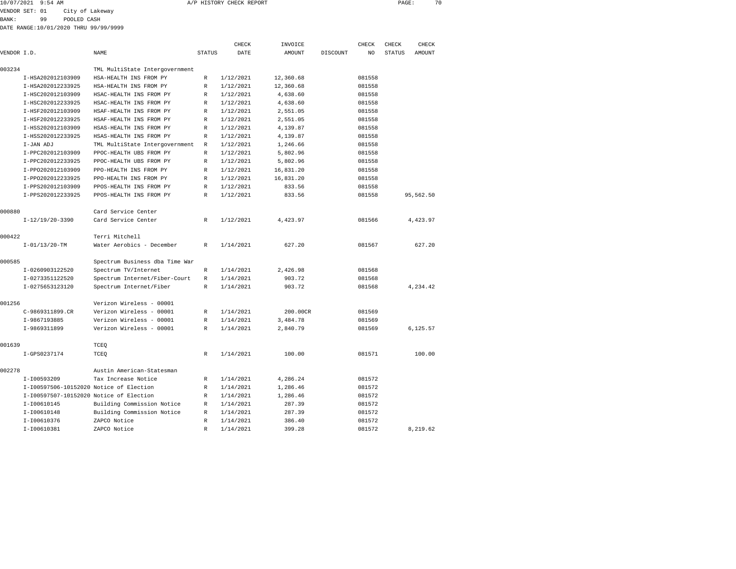| 10/07/2021 | 9:54 AM | CHECK REPORT<br>A/P HISTORY | PAGE | 70 |
|------------|---------|-----------------------------|------|----|
|            |         |                             |      |    |

VENDOR SET: 01 City of Lakeway

BANK: 99 POOLED CASH

DATE RANGE:10/01/2020 THRU 99/99/9999

|             |                                         |                                |               | CHECK     | INVOICE       |          | <b>CHECK</b> | CHECK         | CHECK     |  |
|-------------|-----------------------------------------|--------------------------------|---------------|-----------|---------------|----------|--------------|---------------|-----------|--|
| VENDOR I.D. |                                         | <b>NAME</b>                    | <b>STATUS</b> | DATE      | <b>AMOUNT</b> | DISCOUNT | NO           | <b>STATUS</b> | AMOUNT    |  |
| 003234      |                                         | TML MultiState Intergovernment |               |           |               |          |              |               |           |  |
|             | I-HSA202012103909                       | HSA-HEALTH INS FROM PY         | R             | 1/12/2021 | 12,360.68     |          | 081558       |               |           |  |
|             | I-HSA202012233925                       | HSA-HEALTH INS FROM PY         | R             | 1/12/2021 | 12,360.68     |          | 081558       |               |           |  |
|             | I-HSC202012103909                       | HSAC-HEALTH INS FROM PY        | R             | 1/12/2021 | 4,638.60      |          | 081558       |               |           |  |
|             | I-HSC202012233925                       | HSAC-HEALTH INS FROM PY        | R             | 1/12/2021 | 4,638.60      |          | 081558       |               |           |  |
|             | I-HSF202012103909                       | HSAF-HEALTH INS FROM PY        | R             | 1/12/2021 | 2,551.05      |          | 081558       |               |           |  |
|             | I-HSF202012233925                       | HSAF-HEALTH INS FROM PY        | R             | 1/12/2021 | 2,551.05      |          | 081558       |               |           |  |
|             | I-HSS202012103909                       | HSAS-HEALTH INS FROM PY        | R             | 1/12/2021 | 4,139.87      |          | 081558       |               |           |  |
|             | I-HSS202012233925                       | HSAS-HEALTH INS FROM PY        | R             | 1/12/2021 | 4,139.87      |          | 081558       |               |           |  |
|             | I-JAN ADJ                               | TML MultiState Intergovernment | R             | 1/12/2021 | 1,246.66      |          | 081558       |               |           |  |
|             | I-PPC202012103909                       | PPOC-HEALTH UBS FROM PY        | R             | 1/12/2021 | 5,802.96      |          | 081558       |               |           |  |
|             | I-PPC202012233925                       | PPOC-HEALTH UBS FROM PY        | R             | 1/12/2021 | 5,802.96      |          | 081558       |               |           |  |
|             | I-PP0202012103909                       | PPO-HEALTH INS FROM PY         | $\mathbb{R}$  | 1/12/2021 | 16,831.20     |          | 081558       |               |           |  |
|             | I-PP0202012233925                       | PPO-HEALTH INS FROM PY         | R             | 1/12/2021 | 16,831.20     |          | 081558       |               |           |  |
|             | I-PPS202012103909                       | PPOS-HEALTH INS FROM PY        | R             | 1/12/2021 | 833.56        |          | 081558       |               |           |  |
|             | I-PPS202012233925                       | PPOS-HEALTH INS FROM PY        | R             | 1/12/2021 | 833.56        |          | 081558       |               | 95,562.50 |  |
|             |                                         |                                |               |           |               |          |              |               |           |  |
| 000880      |                                         | Card Service Center            |               |           |               |          |              |               |           |  |
|             | $I-12/19/20-3390$                       | Card Service Center            | $\mathbb{R}$  | 1/12/2021 | 4,423.97      |          | 081566       |               | 4,423.97  |  |
| 000422      |                                         | Terri Mitchell                 |               |           |               |          |              |               |           |  |
|             | $I - 01/13/20 - TM$                     | Water Aerobics - December      | R             | 1/14/2021 | 627.20        |          | 081567       |               | 627.20    |  |
| 000585      |                                         | Spectrum Business dba Time War |               |           |               |          |              |               |           |  |
|             | I-0260903122520                         | Spectrum TV/Internet           | R             | 1/14/2021 | 2,426.98      |          | 081568       |               |           |  |
|             | I-0273351122520                         | Spectrum Internet/Fiber-Court  | R             | 1/14/2021 | 903.72        |          | 081568       |               |           |  |
|             | I-0275653123120                         | Spectrum Internet/Fiber        | R             | 1/14/2021 | 903.72        |          | 081568       |               | 4,234.42  |  |
| 001256      |                                         | Verizon Wireless - 00001       |               |           |               |          |              |               |           |  |
|             | C-9869311899.CR                         | Verizon Wireless - 00001       | R             | 1/14/2021 | 200.00CR      |          | 081569       |               |           |  |
|             | I-9867193885                            | Verizon Wireless - 00001       | R             | 1/14/2021 | 3,484.78      |          | 081569       |               |           |  |
|             | I-9869311899                            | Verizon Wireless - 00001       | R             | 1/14/2021 | 2,840.79      |          | 081569       |               | 6,125.57  |  |
| 001639      |                                         | TCEQ                           |               |           |               |          |              |               |           |  |
|             | I-GPS0237174                            | TCEO                           | R             | 1/14/2021 | 100.00        |          | 081571       |               | 100.00    |  |
| 002278      |                                         | Austin American-Statesman      |               |           |               |          |              |               |           |  |
|             | I-I00593209                             | Tax Increase Notice            | R             | 1/14/2021 | 4,286.24      |          | 081572       |               |           |  |
|             | I-I00597506-10152020 Notice of Election |                                | R             | 1/14/2021 | 1,286.46      |          | 081572       |               |           |  |
|             | I-I00597507-10152020 Notice of Election |                                | R             | 1/14/2021 | 1,286.46      |          | 081572       |               |           |  |
|             | I-I00610145                             | Building Commission Notice     | R             | 1/14/2021 | 287.39        |          | 081572       |               |           |  |
|             | I-I00610148                             | Building Commission Notice     | R             | 1/14/2021 | 287.39        |          | 081572       |               |           |  |
|             | I-I00610376                             | ZAPCO Notice                   | R             | 1/14/2021 | 386.40        |          | 081572       |               |           |  |
|             | I-I00610381                             | ZAPCO Notice                   | R             | 1/14/2021 | 399.28        |          | 081572       |               | 8,219.62  |  |
|             |                                         |                                |               |           |               |          |              |               |           |  |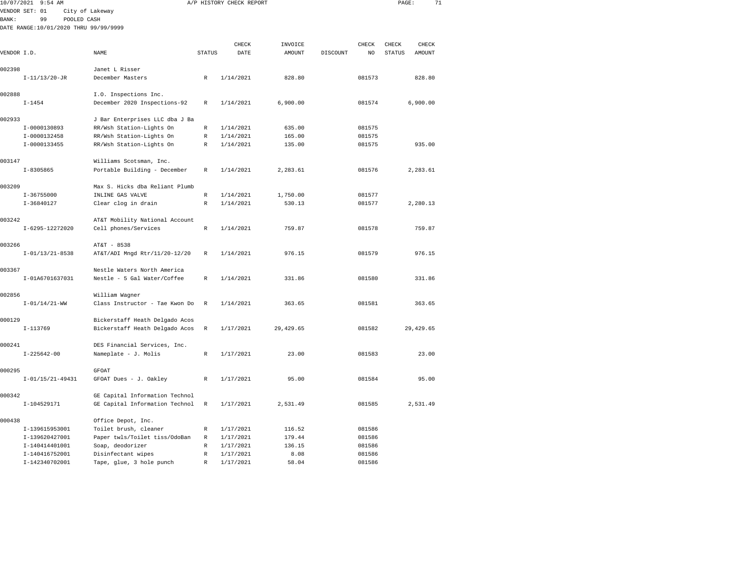|                      | 10/07/2021 9:54 AM  |             |                                        |        | A/P HISTORY CHECK REPORT |                   |          |             | PAGE:                  |                 | 71 |
|----------------------|---------------------|-------------|----------------------------------------|--------|--------------------------|-------------------|----------|-------------|------------------------|-----------------|----|
|                      | VENDOR SET: 01      |             | City of Lakeway                        |        |                          |                   |          |             |                        |                 |    |
| <b>BANK:</b>         | 99                  | POOLED CASH |                                        |        |                          |                   |          |             |                        |                 |    |
|                      |                     |             | DATE RANGE: 10/01/2020 THRU 99/99/9999 |        |                          |                   |          |             |                        |                 |    |
|                      |                     |             |                                        |        | CHECK                    |                   |          |             |                        |                 |    |
| VENDOR I.D.          |                     |             | <b>NAME</b>                            | STATUS | DATE                     | INVOICE<br>AMOUNT | DISCOUNT | CHECK<br>NO | CHECK<br><b>STATUS</b> | CHECK<br>AMOUNT |    |
| 002398               |                     |             | Janet L Risser                         |        |                          |                   |          |             |                        |                 |    |
|                      | $I - 11/13/20 - JR$ |             | December Masters                       | R      | 1/14/2021                | 828.80            |          | 081573      |                        | 828.80          |    |
| 002888               |                     |             | I.O. Inspections Inc.                  |        |                          |                   |          |             |                        |                 |    |
|                      | $I - 1454$          |             | December 2020 Inspections-92           | R      | 1/14/2021                | 6,900.00          |          | 081574      |                        | 6,900.00        |    |
| 002933               |                     |             | J Bar Enterprises LLC dba J Ba         |        |                          |                   |          |             |                        |                 |    |
|                      | I-0000130893        |             | RR/Wsh Station-Lights On               | R      | 1/14/2021                | 635.00            |          | 081575      |                        |                 |    |
|                      | I-0000132458        |             | RR/Wsh Station-Lights On               | R      | 1/14/2021                | 165.00            |          | 081575      |                        |                 |    |
|                      | I-0000133455        |             | RR/Wsh Station-Lights On               | R      | 1/14/2021                | 135.00            |          | 081575      |                        | 935.00          |    |
| 003147               |                     |             | Williams Scotsman, Inc.                |        |                          |                   |          |             |                        |                 |    |
|                      | $I - 8305865$       |             | Portable Building - December           | R      | 1/14/2021                | 2,283.61          |          | 081576      |                        | 2,283.61        |    |
| 003209               |                     |             | Max S. Hicks dba Reliant Plumb         |        |                          |                   |          |             |                        |                 |    |
|                      | $I - 36755000$      |             | INLINE GAS VALVE                       | R      | 1/14/2021                | 1,750.00          |          | 081577      |                        |                 |    |
|                      | $I-36840127$        |             | Clear clog in drain                    | R      | 1/14/2021                | 530.13            |          | 081577      |                        | 2,280.13        |    |
| 003242               |                     |             | AT&T Mobility National Account         |        |                          |                   |          |             |                        |                 |    |
|                      | I-6295-12272020     |             | Cell phones/Services                   | R      | 1/14/2021                | 759.87            |          | 081578      |                        | 759.87          |    |
| 003266               |                     |             | AT&T - 8538                            |        |                          |                   |          |             |                        |                 |    |
|                      | $I-01/13/21-8538$   |             | AT&T/ADI Mngd Rtr/11/20-12/20          | R      | 1/14/2021                | 976.15            |          | 081579      |                        | 976.15          |    |
| 003367               |                     |             | Nestle Waters North America            |        |                          |                   |          |             |                        |                 |    |
|                      | I-01A6701637031     |             | Nestle - 5 Gal Water/Coffee            | R      | 1/14/2021                | 331.86            |          | 081580      |                        | 331.86          |    |
| $\sum_{n=1}^{n} a_n$ |                     |             |                                        |        |                          |                   |          |             |                        |                 |    |

| 002856 | $I - 01/14/21 - WW$ | William Waqner<br>Class Instructor - Tae Kwon Do R                           |              | 1/14/2021   | 363.65    | 081581 | 363.65    |
|--------|---------------------|------------------------------------------------------------------------------|--------------|-------------|-----------|--------|-----------|
| 000129 | $I-113769$          | Bickerstaff Heath Delgado Acos<br>Bickerstaff Heath Delgado Acos R 1/17/2021 |              |             | 29,429.65 | 081582 | 29,429.65 |
| 000241 | $I - 225642 - 00$   | DES Financial Services, Inc.<br>Nameplate - J. Molis                         |              | R 1/17/2021 | 23.00     | 081583 | 23.00     |
| 000295 | I-01/15/21-49431    | <b>GFOAT</b><br>GFOAT Dues - J. Oakley                                       | R            | 1/17/2021   | 95.00     | 081584 | 95.00     |
| 000342 | I-104529171         | GE Capital Information Technol<br>GE Capital Information Technol R           |              | 1/17/2021   | 2,531.49  | 081585 | 2,531.49  |
| 000438 |                     | Office Depot, Inc.                                                           |              |             |           |        |           |
|        | I-139615953001      | Toilet brush, cleaner                                                        | R            | 1/17/2021   | 116.52    | 081586 |           |
|        | I-139620427001      | Paper twls/Toilet tiss/OdoBan                                                | R            | 1/17/2021   | 179.44    | 081586 |           |
|        | I-140414401001      | Soap, deodorizer                                                             | R            | 1/17/2021   | 136.15    | 081586 |           |
|        | I-140416752001      | Disinfectant wipes                                                           | $\mathbb{R}$ | 1/17/2021   | 8.08      | 081586 |           |
|        | I-142340702001      | Tape, glue, 3 hole punch                                                     | $\mathbb{R}$ | 1/17/2021   | 58.04     | 081586 |           |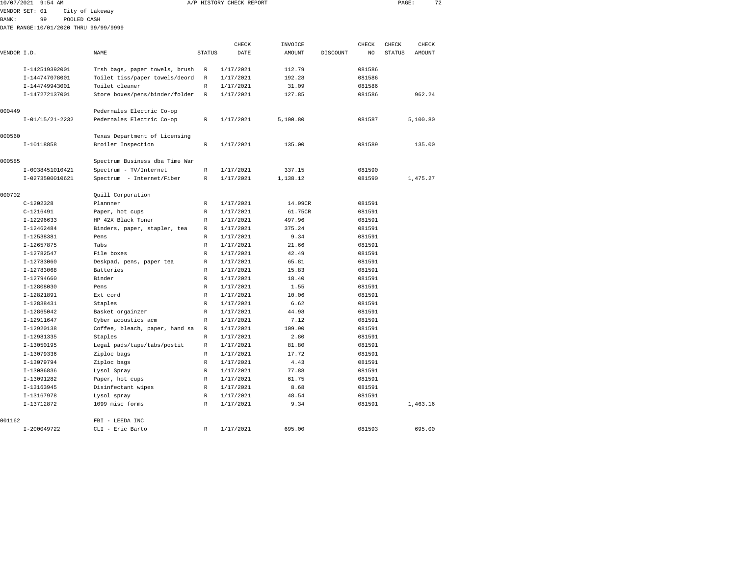| 10/07/2021  | $9:54$ AM         |             |                                        |               | A/P HISTORY CHECK REPORT |          |          |        | PAGE:         | 72       |  |
|-------------|-------------------|-------------|----------------------------------------|---------------|--------------------------|----------|----------|--------|---------------|----------|--|
|             | VENDOR SET: 01    |             | City of Lakeway                        |               |                          |          |          |        |               |          |  |
| BANK:       | 99                | POOLED CASH |                                        |               |                          |          |          |        |               |          |  |
|             |                   |             | DATE RANGE: 10/01/2020 THRU 99/99/9999 |               |                          |          |          |        |               |          |  |
|             |                   |             |                                        |               |                          |          |          |        |               |          |  |
|             |                   |             |                                        |               | CHECK                    | INVOICE  |          | CHECK  | CHECK         | CHECK    |  |
| VENDOR I.D. |                   |             | NAME                                   | <b>STATUS</b> | DATE                     | AMOUNT   | DISCOUNT | NO     | <b>STATUS</b> | AMOUNT   |  |
|             | I-142519392001    |             | Trsh bags, paper towels, brush         | R             | 1/17/2021                | 112.79   |          | 081586 |               |          |  |
|             | I-144747078001    |             | Toilet tiss/paper towels/deord         | $\mathbb R$   | 1/17/2021                | 192.28   |          | 081586 |               |          |  |
|             | I-144749943001    |             | Toilet cleaner                         | R             | 1/17/2021                | 31.09    |          | 081586 |               |          |  |
|             | I-147272137001    |             | Store boxes/pens/binder/folder         | $\mathbb{R}$  | 1/17/2021                | 127.85   |          | 081586 |               | 962.24   |  |
| 000449      |                   |             | Pedernales Electric Co-op              |               |                          |          |          |        |               |          |  |
|             | $I-01/15/21-2232$ |             | Pedernales Electric Co-op              | R             | 1/17/2021                | 5,100.80 |          | 081587 |               | 5,100.80 |  |
| 000560      |                   |             | Texas Department of Licensing          |               |                          |          |          |        |               |          |  |
|             | I-10118858        |             | Broiler Inspection                     | R             | 1/17/2021                | 135.00   |          | 081589 |               | 135.00   |  |
| 000585      |                   |             | Spectrum Business dba Time War         |               |                          |          |          |        |               |          |  |
|             | I-0038451010421   |             | Spectrum - TV/Internet                 | R             | 1/17/2021                | 337.15   |          | 081590 |               |          |  |
|             | I-0273500010621   |             | Spectrum - Internet/Fiber              | R             | 1/17/2021                | 1,138.12 |          | 081590 |               | 1,475.27 |  |
| 000702      |                   |             | Quill Corporation                      |               |                          |          |          |        |               |          |  |
|             | $C-1202328$       |             | Plannner                               | R             | 1/17/2021                | 14.99CR  |          | 081591 |               |          |  |
|             | $C-1216491$       |             | Paper, hot cups                        | R             | 1/17/2021                | 61.75CR  |          | 081591 |               |          |  |
|             | $I-12296633$      |             | HP 42X Black Toner                     | R             | 1/17/2021                | 497.96   |          | 081591 |               |          |  |
|             | I-12462484        |             | Binders, paper, stapler, tea           | R             | 1/17/2021                | 375.24   |          | 081591 |               |          |  |
|             | I-12538381        |             | Pens                                   | R             | 1/17/2021                | 9.34     |          | 081591 |               |          |  |
|             | I-12657875        |             | Tabs                                   | R             | 1/17/2021                | 21.66    |          | 081591 |               |          |  |
|             | I-12782547        |             | File boxes                             | R             | 1/17/2021                | 42.49    |          | 081591 |               |          |  |
|             | I-12783060        |             | Deskpad, pens, paper tea               | R             | 1/17/2021                | 65.81    |          | 081591 |               |          |  |
|             | I-12783068        |             | Batteries                              | R             | 1/17/2021                | 15.83    |          | 081591 |               |          |  |
|             | I-12794660        |             | Binder                                 | R             | 1/17/2021                | 18.40    |          | 081591 |               |          |  |
|             | I-12808030        |             | Pens                                   | R             | 1/17/2021                | 1.55     |          | 081591 |               |          |  |

|        | 1 1270JUU   | bebrpaa, penb, paper cea       |              | 1 <i>1 1 1 2</i> 0 2 1 | <u>.</u> | <u>.</u> |          |
|--------|-------------|--------------------------------|--------------|------------------------|----------|----------|----------|
|        | I-12783068  | Batteries                      | R            | 1/17/2021              | 15.83    | 081591   |          |
|        | I-12794660  | Binder                         | R            | 1/17/2021              | 18.40    | 081591   |          |
|        | I-12808030  | Pens                           | $\mathbb{R}$ | 1/17/2021              | 1.55     | 081591   |          |
|        | I-12821891  | Ext cord                       | $\mathbb{R}$ | 1/17/2021              | 10.06    | 081591   |          |
|        | I-12838431  | Staples                        | R            | 1/17/2021              | 6.62     | 081591   |          |
|        | I-12865042  | Basket orgainzer               | $\mathbb{R}$ | 1/17/2021              | 44.98    | 081591   |          |
|        | I-12911647  | Cyber acoustics acm            | $\mathbb{R}$ | 1/17/2021              | 7.12     | 081591   |          |
|        | I-12920138  | Coffee, bleach, paper, hand sa | R            | 1/17/2021              | 109.90   | 081591   |          |
|        | I-12981335  | Staples                        | $\mathbb{R}$ | 1/17/2021              | 2.80     | 081591   |          |
|        | I-13050195  | Legal pads/tape/tabs/postit    | R            | 1/17/2021              | 81.80    | 081591   |          |
|        | I-13079336  | Ziploc bags                    | $\mathbb{R}$ | 1/17/2021              | 17.72    | 081591   |          |
|        | I-13079794  | Ziploc bags                    | $\mathbb{R}$ | 1/17/2021              | 4.43     | 081591   |          |
|        | I-13086836  | Lysol Spray                    | $\mathbb{R}$ | 1/17/2021              | 77.88    | 081591   |          |
|        | I-13091282  | Paper, hot cups                | $\mathbb{R}$ | 1/17/2021              | 61.75    | 081591   |          |
|        | I-13163945  | Disinfectant wipes             | $\mathbb{R}$ | 1/17/2021              | 8.68     | 081591   |          |
|        | I-13167978  | Lysol spray                    | $\mathbb{R}$ | 1/17/2021              | 48.54    | 081591   |          |
|        | I-13712872  | 1099 misc forms                | $\mathbb{R}$ | 1/17/2021              | 9.34     | 081591   | 1,463.16 |
| 001162 |             | FBI - LEEDA INC                |              |                        |          |          |          |
|        | I-200049722 | CLI - Eric Barto               | $\mathbb{R}$ | 1/17/2021              | 695.00   | 081593   | 695.00   |
|        |             |                                |              |                        |          |          |          |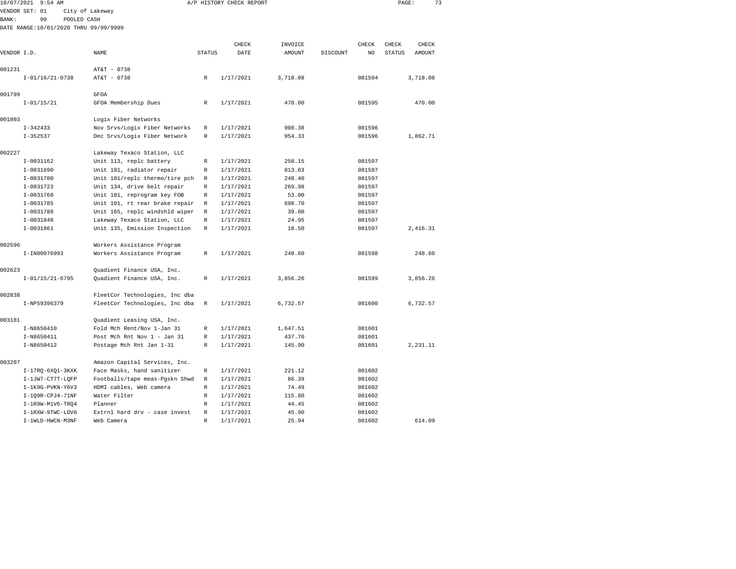| 10/07/2021   | $9:54$ AM                             |                                |               | A/P HISTORY CHECK REPORT |               |          |        | PAGE:         |               | 73 |
|--------------|---------------------------------------|--------------------------------|---------------|--------------------------|---------------|----------|--------|---------------|---------------|----|
|              | VENDOR SET: 01                        | City of Lakeway                |               |                          |               |          |        |               |               |    |
| <b>BANK:</b> | 99<br>POOLED CASH                     |                                |               |                          |               |          |        |               |               |    |
|              | DATE RANGE:10/01/2020 THRU 99/99/9999 |                                |               |                          |               |          |        |               |               |    |
|              |                                       |                                |               |                          |               |          |        |               |               |    |
|              |                                       |                                |               | CHECK                    | INVOICE       |          | CHECK  | CHECK         | CHECK         |    |
| VENDOR I.D.  |                                       | NAME                           | <b>STATUS</b> | DATE                     | <b>AMOUNT</b> | DISCOUNT | NO     | <b>STATUS</b> | <b>AMOUNT</b> |    |
|              |                                       |                                |               |                          |               |          |        |               |               |    |
| 001231       |                                       | AT&T - 0738                    |               |                          |               |          |        |               |               |    |
|              | $I-01/16/21-0738$                     | AT&T - 0738                    | $\mathbb R$   | 1/17/2021                | 3,718.08      |          | 081594 |               | 3,718.08      |    |
| 001799       |                                       |                                |               |                          |               |          |        |               |               |    |
|              | $I - 01/15/21$                        | GFOA                           |               | 1/17/2021                | 470.00        |          | 081595 |               | 470.00        |    |
|              |                                       | GFOA Membership Dues           | R             |                          |               |          |        |               |               |    |
| 001803       |                                       | Logix Fiber Networks           |               |                          |               |          |        |               |               |    |
|              | $I - 342433$                          | Nov Srvs/Logix Fiber Networks  | R             | 1/17/2021                | 908.38        |          | 081596 |               |               |    |
|              | $I - 352537$                          | Dec Srvs/Logix Fiber Network   | R             | 1/17/2021                | 954.33        |          | 081596 |               | 1,862.71      |    |
|              |                                       |                                |               |                          |               |          |        |               |               |    |
| 002227       |                                       | Lakeway Texaco Station, LLC    |               |                          |               |          |        |               |               |    |
|              | $I-0031162$                           | Unit 113, replc battery        | R             | 1/17/2021                | 250.15        |          | 081597 |               |               |    |
|              | I-0031690                             | Unit 181, radiator repair      | R             | 1/17/2021                | 813.63        |          | 081597 |               |               |    |
|              | $I - 0031700$                         | Unit 181/replc thermo/tire pch | R             | 1/17/2021                | 248.40        |          | 081597 |               |               |    |
|              | $I-0031723$                           | Unit 134, drive belt repair    | R             | 1/17/2021                | 269.98        |          | 081597 |               |               |    |
|              | $I-0031768$                           | Unit 181, reprogram key FOB    | R             | 1/17/2021                | 53.00         |          | 081597 |               |               |    |
|              | $I - 0031785$                         | Unit 101, rt rear brake repair | $\mathbb R$   | 1/17/2021                | 698.70        |          | 081597 |               |               |    |
|              | I-0031788                             | Unit 165, replc windshld wiper | R             | 1/17/2021                | 39.00         |          | 081597 |               |               |    |
|              | I-0031848                             | Lakeway Texaco Station, LLC    | R             | 1/17/2021                | 24.95         |          | 081597 |               |               |    |
|              | $I-0031861$                           | Unit 135, Emission Inspection  | R             | 1/17/2021                | 18.50         |          | 081597 |               | 2,416.31      |    |
| 002596       |                                       |                                |               |                          |               |          |        |               |               |    |
|              | I-IN00076993                          | Workers Assistance Program     | R             | 1/17/2021                | 248.60        |          | 081598 |               | 248.60        |    |
|              |                                       | Workers Assistance Program     |               |                          |               |          |        |               |               |    |
| 002623       |                                       | Quadient Finance USA, Inc.     |               |                          |               |          |        |               |               |    |
|              | $I-01/15/21-6795$                     | Quadient Finance USA, Inc.     | R             | 1/17/2021                | 3,856.26      |          | 081599 |               | 3,856.26      |    |
|              |                                       |                                |               |                          |               |          |        |               |               |    |
| 002838       |                                       | FleetCor Technologies, Inc dba |               |                          |               |          |        |               |               |    |
|              | I-NP59396379                          | FleetCor Technologies, Inc dba | R             | 1/17/2021                | 6,732.57      |          | 081600 |               | 6,732.57      |    |
|              |                                       |                                |               |                          |               |          |        |               |               |    |
| 003181       |                                       | Quadient Leasing USA, Inc.     |               |                          |               |          |        |               |               |    |
|              | I-N8650410                            | Fold Mch Rent/Nov 1-Jan 31     | R             | 1/17/2021                | 1,647.51      |          | 081601 |               |               |    |
|              | I-N8650411                            | Post Mch Rnt Nov 1 - Jan 31    | R             | 1/17/2021                | 437.70        |          | 081601 |               |               |    |
|              | I-N8650412                            | Postage Mch Rnt Jan 1-31       | $\mathbb{R}$  | 1/17/2021                | 145.90        |          | 081601 |               | 2,231.11      |    |
| 003207       |                                       | Amazon Capital Services, Inc.  |               |                          |               |          |        |               |               |    |
|              | $I-17RQ-6XQ1-3KXK$                    | Face Masks, hand sanitizer     | R             | 1/17/2021                | 221.12        |          | 081602 |               |               |    |
|              | I-1JW7-CT7T-LQFP                      | Footballs/tape meas-Pgskn Shwd | R             | 1/17/2021                | 86.39         |          | 081602 |               |               |    |
|              | I-1K9G-PVKN-Y6V3                      | HDMI cables, Web camera        | $\mathbb R$   | 1/17/2021                | 74.49         |          | 081602 |               |               |    |
|              | I-109R-CPJ4-71NF                      | Water Filter                   | R             | 1/17/2021                | 115.80        |          | 081602 |               |               |    |
|              | I-1R9W-M1V6-TRO4                      | Planner                        | R             | 1/17/2021                | 44.45         |          | 081602 |               |               |    |
|              | I-1RXW-9TWC-LDV6                      | Extrnl hard drv - case invest  | R             | 1/17/2021                | 45.90         |          | 081602 |               |               |    |
|              | T-1WLD-HWCN-M3NF                      | Web Camera                     | R             | 1/17/2021                | 25.94         |          | 081602 |               | 614.09        |    |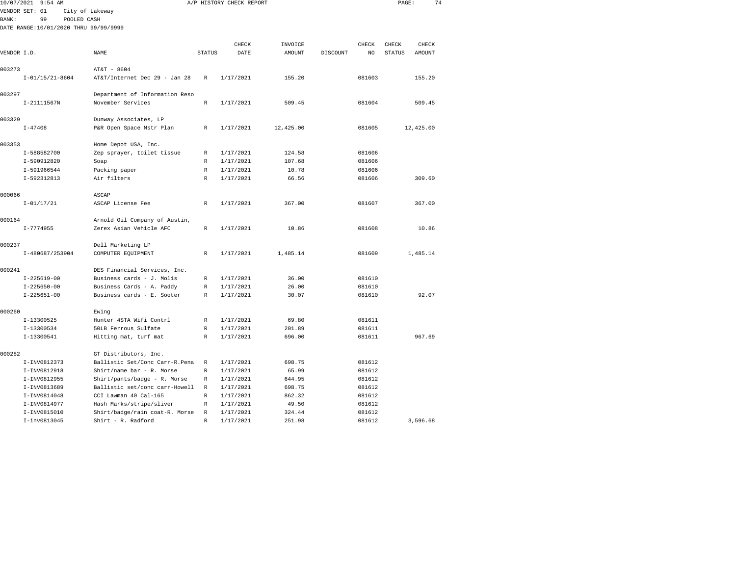| 10/07/2021   | $9:54$ AM                             |                                 |               | A/P HISTORY CHECK REPORT |               |          |                | PAGE:         | 74        |  |
|--------------|---------------------------------------|---------------------------------|---------------|--------------------------|---------------|----------|----------------|---------------|-----------|--|
|              | VENDOR SET: 01                        | City of Lakeway                 |               |                          |               |          |                |               |           |  |
| <b>BANK:</b> | 99<br>POOLED CASH                     |                                 |               |                          |               |          |                |               |           |  |
|              | DATE RANGE:10/01/2020 THRU 99/99/9999 |                                 |               |                          |               |          |                |               |           |  |
|              |                                       |                                 |               |                          |               |          |                |               |           |  |
|              |                                       |                                 |               | CHECK                    | INVOICE       |          | CHECK          | CHECK         | CHECK     |  |
| VENDOR I.D.  |                                       | NAME                            | <b>STATUS</b> | DATE                     | <b>AMOUNT</b> | DISCOUNT | N <sub>O</sub> | <b>STATUS</b> | AMOUNT    |  |
|              |                                       |                                 |               |                          |               |          |                |               |           |  |
| 003273       |                                       | AT&T - 8604                     |               |                          |               |          |                |               |           |  |
|              | $I-01/15/21-8604$                     | AT&T/Internet Dec 29 - Jan 28   | $\mathbb R$   | 1/17/2021                | 155.20        |          | 081603         |               | 155.20    |  |
| 003297       |                                       | Department of Information Reso  |               |                          |               |          |                |               |           |  |
|              | I-21111567N                           | November Services               | $\mathbb R$   | 1/17/2021                | 509.45        |          | 081604         |               | 509.45    |  |
| 003329       |                                       | Dunway Associates, LP           |               |                          |               |          |                |               |           |  |
|              | $I - 47408$                           | P&R Open Space Mstr Plan        | R             | 1/17/2021                | 12,425.00     |          | 081605         |               | 12,425.00 |  |
| 003353       |                                       | Home Depot USA, Inc.            |               |                          |               |          |                |               |           |  |
|              | I-588582700                           | Zep sprayer, toilet tissue      | $\mathbb R$   | 1/17/2021                | 124.58        |          | 081606         |               |           |  |
|              | I-590912820                           | Soap                            | $\mathbb R$   | 1/17/2021                | 107.68        |          | 081606         |               |           |  |
|              | I-591966544                           | Packing paper                   | $\mathbb R$   | 1/17/2021                | 10.78         |          | 081606         |               |           |  |
|              | I-592312813                           | Air filters                     | $\mathbb R$   | 1/17/2021                | 66.56         |          | 081606         |               | 309.60    |  |
| 000066       |                                       | ASCAP                           |               |                          |               |          |                |               |           |  |
|              | $I - 01/17/21$                        | ASCAP License Fee               | R             | 1/17/2021                | 367.00        |          | 081607         |               | 367.00    |  |
| 000164       |                                       | Arnold Oil Company of Austin,   |               |                          |               |          |                |               |           |  |
|              | $I - 7774955$                         | Zerex Asian Vehicle AFC         | $\mathbb{R}$  | 1/17/2021                | 10.86         |          | 081608         |               | 10.86     |  |
| 000237       |                                       | Dell Marketing LP               |               |                          |               |          |                |               |           |  |
|              | I-480687/253904                       | COMPUTER EQUIPMENT              | R             | 1/17/2021                | 1,485.14      |          | 081609         |               | 1,485.14  |  |
| 000241       |                                       | DES Financial Services, Inc.    |               |                          |               |          |                |               |           |  |
|              | $I - 225619 - 00$                     | Business cards - J. Molis       | R             | 1/17/2021                | 36.00         |          | 081610         |               |           |  |
|              | $I - 225650 - 00$                     | Business Cards - A. Paddy       | R             | 1/17/2021                | 26.00         |          | 081610         |               |           |  |
|              | $I - 225651 - 00$                     | Business cards - E. Sooter      | $\mathbb R$   | 1/17/2021                | 30.07         |          | 081610         |               | 92.07     |  |
| 000260       |                                       | Ewing                           |               |                          |               |          |                |               |           |  |
|              | I-13300525                            | Hunter 4STA Wifi Contrl         | R             | 1/17/2021                | 69.80         |          | 081611         |               |           |  |
|              | I-13300534                            | 50LB Ferrous Sulfate            | $\mathbb R$   | 1/17/2021                | 201.89        |          | 081611         |               |           |  |
|              | I-13300541                            | Hitting mat, turf mat           | R             | 1/17/2021                | 696.00        |          | 081611         |               | 967.69    |  |
| 000282       |                                       | GT Distributors, Inc.           |               |                          |               |          |                |               |           |  |
|              | I-INV0812373                          | Ballistic Set/Conc Carr-R. Pena | $\mathbb{R}$  | 1/17/2021                | 698.75        |          | 081612         |               |           |  |
|              | I-INV0812918                          | Shirt/name bar - R. Morse       | $\mathbb R$   | 1/17/2021                | 65.99         |          | 081612         |               |           |  |
|              | I-INV0812955                          | Shirt/pants/badge - R. Morse    | $\mathbb R$   | 1/17/2021                | 644.95        |          | 081612         |               |           |  |
|              | I-INV0813689                          | Ballistic set/conc carr-Howell  | $\mathbb R$   | 1/17/2021                | 698.75        |          | 081612         |               |           |  |
|              | I-INV0814048                          | CCI Lawman 40 Cal-165           | R             | 1/17/2021                | 862.32        |          | 081612         |               |           |  |
|              | I-INV0814977                          | Hash Marks/stripe/sliver        | $\mathbb R$   | 1/17/2021                | 49.50         |          | 081612         |               |           |  |
|              | I-INV0815010                          | Shirt/badge/rain coat-R. Morse  | R             | 1/17/2021                | 324.44        |          | 081612         |               |           |  |

I-inv0813045 Shirt - R. Radford R 1/17/2021 251.98 081612 3,596.68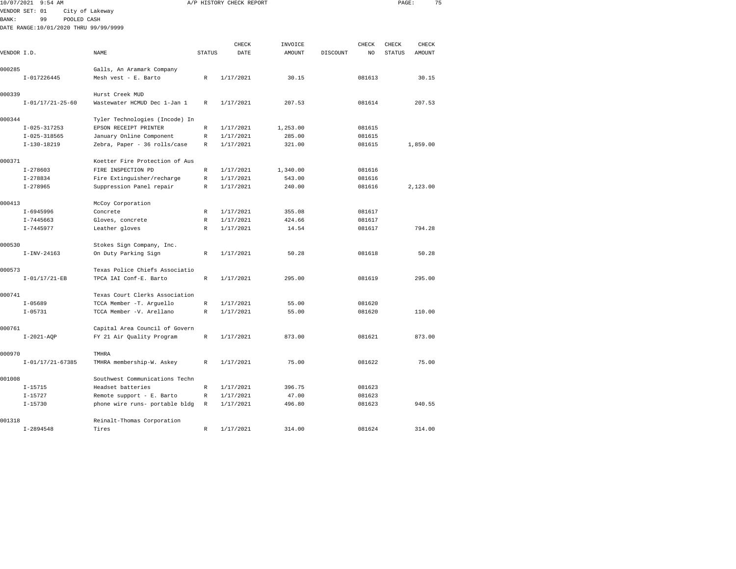| 10/07/2021   | $9:54$ AM                             |                                |               | A/P HISTORY CHECK REPORT |          |          |        | PAGE:         | 75       |  |
|--------------|---------------------------------------|--------------------------------|---------------|--------------------------|----------|----------|--------|---------------|----------|--|
|              | VENDOR SET: 01                        | City of Lakeway                |               |                          |          |          |        |               |          |  |
| <b>BANK:</b> | 99<br>POOLED CASH                     |                                |               |                          |          |          |        |               |          |  |
|              | DATE RANGE:10/01/2020 THRU 99/99/9999 |                                |               |                          |          |          |        |               |          |  |
|              |                                       |                                |               |                          |          |          |        |               |          |  |
|              |                                       |                                |               | CHECK                    | INVOICE  |          | CHECK  | CHECK         | CHECK    |  |
| VENDOR I.D.  |                                       | NAME                           | <b>STATUS</b> | DATE                     | AMOUNT   | DISCOUNT | NO     | <b>STATUS</b> | AMOUNT   |  |
| 000285       |                                       | Galls, An Aramark Company      |               |                          |          |          |        |               |          |  |
|              | I-017226445                           | Mesh vest - E. Barto           | R             | 1/17/2021                | 30.15    |          | 081613 |               | 30.15    |  |
| 000339       |                                       | Hurst Creek MUD                |               |                          |          |          |        |               |          |  |
|              | $I-01/17/21-25-60$                    | Wastewater HCMUD Dec 1-Jan 1   | R             | 1/17/2021                | 207.53   |          | 081614 |               | 207.53   |  |
|              |                                       |                                |               |                          |          |          |        |               |          |  |
| 000344       |                                       | Tyler Technologies (Incode) In |               |                          |          |          |        |               |          |  |
|              | $I-025-317253$                        | EPSON RECEIPT PRINTER          | R             | 1/17/2021                | 1,253.00 |          | 081615 |               |          |  |
|              | $I-025-318565$                        | January Online Component       | R             | 1/17/2021                | 285.00   |          | 081615 |               |          |  |
|              | $I-130-18219$                         | Zebra, Paper - 36 rolls/case   | R             | 1/17/2021                | 321.00   |          | 081615 |               | 1,859.00 |  |
| 000371       |                                       | Koetter Fire Protection of Aus |               |                          |          |          |        |               |          |  |
|              | $I - 278603$                          | FIRE INSPECTION PD             | R             | 1/17/2021                | 1,340.00 |          | 081616 |               |          |  |
|              | $I-278834$                            | Fire Extinguisher/recharge     | R             | 1/17/2021                | 543.00   |          | 081616 |               |          |  |
|              | $I - 278965$                          | Suppression Panel repair       | R             | 1/17/2021                | 240.00   |          | 081616 |               | 2,123.00 |  |
| 000413       |                                       | McCoy Corporation              |               |                          |          |          |        |               |          |  |
|              | I-6945996                             | Concrete                       | R             | 1/17/2021                | 355.08   |          | 081617 |               |          |  |
|              | $I - 7445663$                         | Gloves, concrete               | R             | 1/17/2021                | 424.66   |          | 081617 |               |          |  |
|              | I-7445977                             | Leather gloves                 | R             | 1/17/2021                | 14.54    |          | 081617 |               | 794.28   |  |
| 000530       |                                       | Stokes Sign Company, Inc.      |               |                          |          |          |        |               |          |  |
|              | $I-INV-24163$                         | On Duty Parking Sign           | $\mathbb R$   | 1/17/2021                | 50.28    |          | 081618 |               | 50.28    |  |
|              |                                       |                                |               |                          |          |          |        |               |          |  |
| 000573       |                                       | Texas Police Chiefs Associatio |               |                          |          |          |        |               |          |  |
|              | $I - 01/17/21 - EB$                   | TPCA IAI Conf-E. Barto         | $\mathbb R$   | 1/17/2021                | 295.00   |          | 081619 |               | 295.00   |  |
| 000741       |                                       | Texas Court Clerks Association |               |                          |          |          |        |               |          |  |
|              | $I - 05689$                           | TCCA Member -T. Arguello       | $\mathbb R$   | 1/17/2021                | 55.00    |          | 081620 |               |          |  |
|              | $I - 05731$                           | TCCA Member -V. Arellano       | R             | 1/17/2021                | 55.00    |          | 081620 |               | 110.00   |  |
| 000761       |                                       | Capital Area Council of Govern |               |                          |          |          |        |               |          |  |
|              | $I-2021-AQP$                          | FY 21 Air Quality Program      | R             | 1/17/2021                | 873.00   |          | 081621 |               | 873.00   |  |
|              |                                       |                                |               |                          |          |          |        |               |          |  |
| 000970       |                                       | TMHRA                          |               |                          |          |          |        |               |          |  |
|              | $I-01/17/21-67385$                    | TMHRA membership-W. Askey      | R             | 1/17/2021                | 75.00    |          | 081622 |               | 75.00    |  |
| 001008       |                                       | Southwest Communications Techn |               |                          |          |          |        |               |          |  |
|              | $I - 15715$                           | Headset batteries              | R             | 1/17/2021                | 396.75   |          | 081623 |               |          |  |
|              | $I - 15727$                           | Remote support - E. Barto      | R             | 1/17/2021                | 47.00    |          | 081623 |               |          |  |
|              | $I - 15730$                           | phone wire runs- portable bldg | $\mathbb{R}$  | 1/17/2021                | 496.80   |          | 081623 |               | 940.55   |  |

I-2894548 Tires R 1/17/2021 314.00 081624 314.00

001318 Reinalt-Thomas Corporation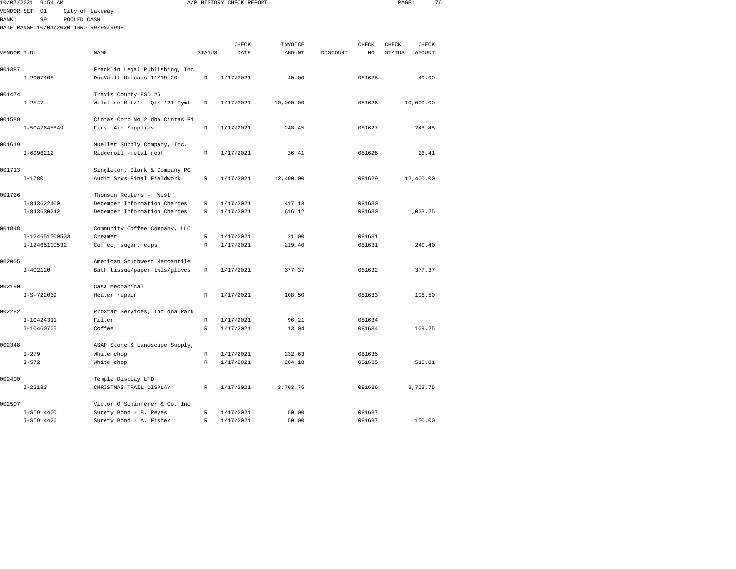| 10/07/2021   | $9:54$ AM                             |                 |                                |               | A/P HISTORY CHECK REPORT |               |          |        | PAGE:         | 76            |  |
|--------------|---------------------------------------|-----------------|--------------------------------|---------------|--------------------------|---------------|----------|--------|---------------|---------------|--|
|              | VENDOR SET: 01                        | City of Lakeway |                                |               |                          |               |          |        |               |               |  |
| <b>BANK:</b> | 99                                    | POOLED CASH     |                                |               |                          |               |          |        |               |               |  |
|              | DATE RANGE:10/01/2020 THRU 99/99/9999 |                 |                                |               |                          |               |          |        |               |               |  |
|              |                                       |                 |                                |               |                          |               |          |        |               |               |  |
|              |                                       |                 |                                |               | CHECK                    | INVOICE       |          | CHECK  | CHECK         | CHECK         |  |
| VENDOR I.D.  |                                       |                 | NAME                           | <b>STATUS</b> | DATE                     | <b>AMOUNT</b> | DISCOUNT | NO     | <b>STATUS</b> | <b>AMOUNT</b> |  |
| 001387       |                                       |                 | Franklin Legal Publishing, Inc |               |                          |               |          |        |               |               |  |
|              | $I - 2007408$                         |                 | DocVault Uploads 11/19-20      | $\mathbb R$   | 1/17/2021                | 40.00         |          | 081625 |               | 40.00         |  |
|              |                                       |                 |                                |               |                          |               |          |        |               |               |  |
| 001474       |                                       |                 | Travis County ESD #6           |               |                          |               |          |        |               |               |  |
|              | $I - 2547$                            |                 | Wildfire Mit/1st Qtr '21 Pymt  | $\mathbb{R}$  | 1/17/2021                | 10,000.00     |          | 081626 |               | 10,000.00     |  |
| 001589       |                                       |                 | Cintas Corp No.2 dba Cintas Fi |               |                          |               |          |        |               |               |  |
|              | I-5047645849                          |                 | First Aid Supplies             | $\mathbb{R}$  | 1/17/2021                | 248.45        |          | 081627 |               | 248.45        |  |
|              |                                       |                 |                                |               |                          |               |          |        |               |               |  |
| 001619       |                                       |                 | Mueller Supply Company, Inc.   |               |                          |               |          |        |               |               |  |
|              | $I-6096212$                           |                 | Ridgeroll -metal roof          | $\mathbb{R}$  | 1/17/2021                | 26.41         |          | 081628 |               | 26.41         |  |
| 001713       |                                       |                 | Singleton, Clark & Company PC  |               |                          |               |          |        |               |               |  |
|              | $I - 1780$                            |                 | Audit Srvs Final Fieldwork     | R             | 1/17/2021                | 12,400.00     |          | 081629 |               | 12,400.00     |  |
|              |                                       |                 |                                |               |                          |               |          |        |               |               |  |
| 001736       |                                       |                 | Thomson Reuters - West         |               |                          |               |          |        |               |               |  |
|              | I-843622400                           |                 | December Information Charges   | R             | 1/17/2021                | 417.13        |          | 081630 |               |               |  |
|              | I-843630242                           |                 | December Information Charges   | $\mathbb{R}$  | 1/17/2021                | 616.12        |          | 081630 |               | 1,033.25      |  |
| 001848       |                                       |                 | Community Coffee Company, LLC  |               |                          |               |          |        |               |               |  |
|              | I-124651000533                        |                 | Creamer                        | R             | 1/17/2021                | 21.00         |          | 081631 |               |               |  |
|              | I-12465100532                         |                 | Coffee, sugar, cups            | R             | 1/17/2021                | 219.40        |          | 081631 |               | 240.40        |  |
|              |                                       |                 |                                |               |                          |               |          |        |               |               |  |
| 002005       |                                       |                 | American Southwest Mercantile  |               |                          |               |          |        |               |               |  |
|              | $I - 402120$                          |                 | Bath tissue/paper twls/gloves  | R             | 1/17/2021                | 377.37        |          | 081632 |               | 377.37        |  |
| 002190       |                                       |                 | Casa Mechanical                |               |                          |               |          |        |               |               |  |
|              | $I-S-722039$                          |                 | Heater repair                  | R             | 1/17/2021                | 108.50        |          | 081633 |               | 108.50        |  |
|              |                                       |                 |                                |               |                          |               |          |        |               |               |  |
| 002282       |                                       |                 | ProStar Services, Inc dba Park |               |                          |               |          |        |               |               |  |
|              | I-10424311                            |                 | Filter                         | $\mathbb R$   | 1/17/2021                | 96.21         |          | 081634 |               |               |  |
|              | $I - 10460705$                        |                 | Coffee                         | $\mathbb{R}$  | 1/17/2021                | 13.04         |          | 081634 |               | 109.25        |  |
| 002348       |                                       |                 | ASAP Stone & Landscape Supply, |               |                          |               |          |        |               |               |  |
|              | $I - 279$                             |                 | White chop                     | R             | 1/17/2021                | 232.63        |          | 081635 |               |               |  |
|              | $I - 572$                             |                 | White chop                     | $\mathbb{R}$  | 1/17/2021                | 284.18        |          | 081635 |               | 516.81        |  |
|              |                                       |                 |                                |               |                          |               |          |        |               |               |  |
| 002400       |                                       |                 | Temple Display LTD             |               |                          |               |          |        |               |               |  |
|              | $I - 22183$                           |                 | CHRISTMAS TRAIL DISPLAY        | $\mathbb{R}$  | 1/17/2021                | 3,703.75      |          | 081636 |               | 3,703.75      |  |
|              |                                       |                 |                                |               |                          |               |          |        |               |               |  |

I-SI914400 Surety Bond - B. Reyes R 1/17/2021 50.00 081637

I-SI914426 Surety Bond - A. Fisher R 1/17/2021 50.00 081637 100.00

002507 Victor O Schinnerer & Co, Inc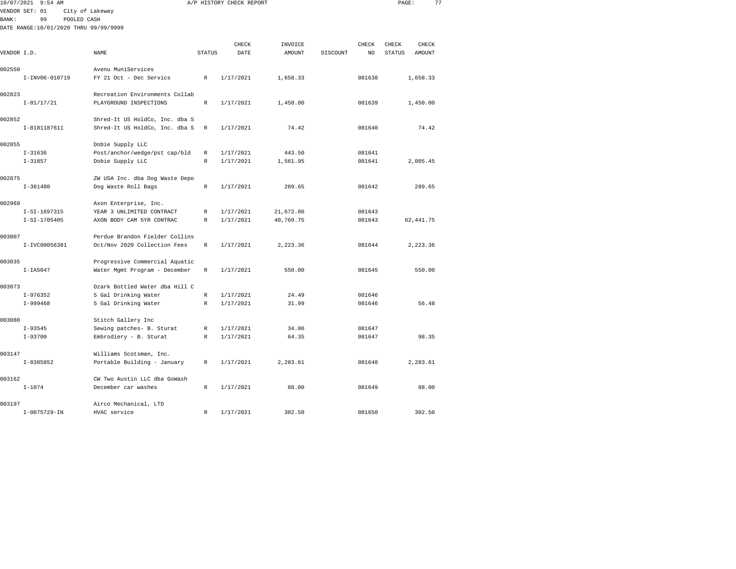| 10/07/2021     |               | $9:54$ AM      |                                       |                                |               | A/P HISTORY CHECK REPORT |           |          |        | PAGE:         |            | 77 |
|----------------|---------------|----------------|---------------------------------------|--------------------------------|---------------|--------------------------|-----------|----------|--------|---------------|------------|----|
| VENDOR SET: 01 |               |                | City of Lakeway                       |                                |               |                          |           |          |        |               |            |    |
| BANK:          |               | 99             | POOLED CASH                           |                                |               |                          |           |          |        |               |            |    |
|                |               |                | DATE RANGE:10/01/2020 THRU 99/99/9999 |                                |               |                          |           |          |        |               |            |    |
|                |               |                |                                       |                                |               |                          |           |          |        |               |            |    |
|                |               |                |                                       |                                |               | CHECK                    | INVOICE   |          | CHECK  | CHECK         | CHECK      |    |
| VENDOR I.D.    |               |                |                                       | NAME                           | <b>STATUS</b> | DATE                     | AMOUNT    | DISCOUNT | NO     | <b>STATUS</b> | AMOUNT     |    |
| 002550         |               |                |                                       | Avenu MuniServices             |               |                          |           |          |        |               |            |    |
|                |               | I-INV06-010719 |                                       | FY 21 Oct - Dec Servics        | R             | 1/17/2021                | 1,658.33  |          | 081638 |               | 1,658.33   |    |
| 002823         |               |                |                                       | Recreation Environments Collab |               |                          |           |          |        |               |            |    |
|                |               | $I - 01/17/21$ |                                       | PLAYGROUND INSPECTIONS         | $\mathbb{R}$  | 1/17/2021                | 1,450.00  |          | 081639 |               | 1,450.00   |    |
| 002852         |               |                |                                       | Shred-It US HoldCo, Inc. dba S |               |                          |           |          |        |               |            |    |
|                |               | I-8181187611   |                                       | Shred-It US HoldCo, Inc. dba S | R             | 1/17/2021                | 74.42     |          | 081640 |               | 74.42      |    |
|                |               |                |                                       |                                |               |                          |           |          |        |               |            |    |
| 002855         |               |                |                                       | Dobie Supply LLC               |               |                          |           |          |        |               |            |    |
|                | $I - 31636$   |                |                                       | Post/anchor/wedge/pst cap/bld  | R             | 1/17/2021                | 443.50    |          | 081641 |               |            |    |
|                | $I-31857$     |                |                                       | Dobie Supply LLC               | R             | 1/17/2021                | 1,561.95  |          | 081641 |               | 2,005.45   |    |
| 002875         |               |                |                                       | ZW USA Inc. dba Dog Waste Depo |               |                          |           |          |        |               |            |    |
|                | $I-381480$    |                |                                       | Dog Waste Roll Bags            | $\mathbb R$   | 1/17/2021                | 289.65    |          | 081642 |               | 289.65     |    |
| 002969         |               |                |                                       | Axon Enterprise, Inc.          |               |                          |           |          |        |               |            |    |
|                |               | $I-SI-1697315$ |                                       | YEAR 3 UNLIMITED CONTRACT      | R             | 1/17/2021                | 21,672.00 |          | 081643 |               |            |    |
|                |               | $I-SI-1705405$ |                                       | AXON BODY CAM 5YR CONTRAC      | $\mathbb{R}$  | 1/17/2021                | 40,769.75 |          | 081643 |               | 62, 441.75 |    |
| 003007         |               |                |                                       | Perdue Brandon Fielder Collins |               |                          |           |          |        |               |            |    |
|                |               | I-IVC00056381  |                                       | Oct/Nov 2020 Collection Fees   | R             | 1/17/2021                | 2,223.36  |          | 081644 |               | 2,223.36   |    |
|                |               |                |                                       |                                |               |                          |           |          |        |               |            |    |
| 003035         |               |                |                                       | Progressive Commercial Aquatic |               |                          |           |          |        |               |            |    |
|                | $I-IA5047$    |                |                                       | Water Mgmt Program - December  | R             | 1/17/2021                | 550.00    |          | 081645 |               | 550.00     |    |
| 003073         |               |                |                                       | Ozark Bottled Water dba Hill C |               |                          |           |          |        |               |            |    |
|                | $I-976352$    |                |                                       | 5 Gal Drinking Water           | R             | 1/17/2021                | 24.49     |          | 081646 |               |            |    |
|                | $I-999468$    |                |                                       | 5 Gal Drinking Water           | $\mathbb R$   | 1/17/2021                | 31.99     |          | 081646 |               | 56.48      |    |
| 003080         |               |                |                                       | Stitch Gallery Inc             |               |                          |           |          |        |               |            |    |
|                | $I-93545$     |                |                                       | Sewing patches- B. Sturat      | R             | 1/17/2021                | 34.00     |          | 081647 |               |            |    |
|                | $I - 93700$   |                |                                       | Embrodiery - B. Sturat         | R             | 1/17/2021                | 64.35     |          | 081647 |               | 98.35      |    |
|                |               |                |                                       |                                |               |                          |           |          |        |               |            |    |
| 003147         |               |                |                                       | Williams Scotsman, Inc.        |               |                          |           |          |        |               |            |    |
|                | $I - 8385852$ |                |                                       | Portable Building - January    | R             | 1/17/2021                | 2,283.61  |          | 081648 |               | 2,283.61   |    |
| 003162         |               |                |                                       | CW Two Austin LLC dba GoWash   |               |                          |           |          |        |               |            |    |
|                | $I - 1074$    |                |                                       | December car washes            | R             | 1/17/2021                | 88.00     |          | 081649 |               | 88.00      |    |
|                |               |                |                                       |                                |               |                          |           |          |        |               |            |    |

I-0075729-IN HVAC service R 1/17/2021 302.50 081650 302.50

003197 Airco Mechanical, LTD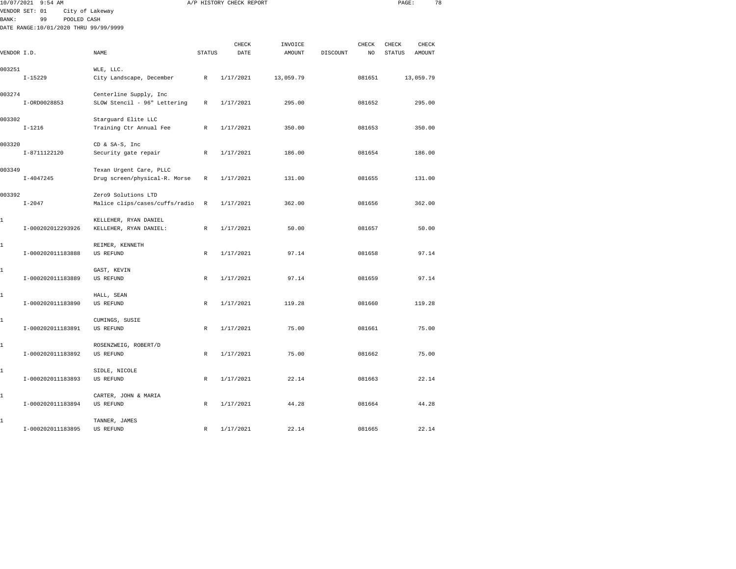| 10/07/2021   | $9:54$ AM                                                  |                                                          |               | A/P HISTORY CHECK REPORT |                   |          |                     | PAGE:                  |                 | 78 |
|--------------|------------------------------------------------------------|----------------------------------------------------------|---------------|--------------------------|-------------------|----------|---------------------|------------------------|-----------------|----|
|              | VENDOR SET: 01<br>City of Lakeway                          |                                                          |               |                          |                   |          |                     |                        |                 |    |
| <b>BANK:</b> | 99<br>POOLED CASH<br>DATE RANGE:10/01/2020 THRU 99/99/9999 |                                                          |               |                          |                   |          |                     |                        |                 |    |
|              |                                                            |                                                          |               |                          |                   |          |                     |                        |                 |    |
| VENDOR I.D.  |                                                            | NAME                                                     | <b>STATUS</b> | CHECK<br>DATE            | INVOICE<br>AMOUNT | DISCOUNT | <b>CHECK</b><br>NO. | CHECK<br><b>STATUS</b> | CHECK<br>AMOUNT |    |
| 003251       | $I-15229$                                                  | WLE, LLC.<br>City Landscape, December                    | $\mathbb{R}$  | 1/17/2021                | 13,059.79         |          | 081651              |                        | 13,059.79       |    |
| 003274       |                                                            | Centerline Supply, Inc                                   |               |                          |                   |          |                     |                        |                 |    |
|              | I-ORD0028853                                               | SLOW Stencil - 96" Lettering                             | R             | 1/17/2021                | 295.00            |          | 081652              |                        | 295.00          |    |
| 003302       | $I - 1216$                                                 | Starguard Elite LLC<br>Training Ctr Annual Fee           | $\mathbb{R}$  | 1/17/2021                | 350.00            |          | 081653              |                        | 350.00          |    |
| 003320       | I-8711122120                                               | CD & SA-S, Inc<br>Security gate repair                   | R             | 1/17/2021                | 186.00            |          | 081654              |                        | 186.00          |    |
| 003349       | $I - 4047245$                                              | Texan Urgent Care, PLLC<br>Drug screen/physical-R. Morse | R             | 1/17/2021                | 131.00            |          | 081655              |                        | 131.00          |    |
| 003392       | $I - 2047$                                                 | Zero9 Solutions LTD<br>Malice clips/cases/cuffs/radio    | $\, {\bf R}$  | 1/17/2021                | 362.00            |          | 081656              |                        | 362.00          |    |
| 1            | I-000202012293926                                          | KELLEHER, RYAN DANIEL<br>KELLEHER, RYAN DANIEL:          | $\,$ R        | 1/17/2021                | 50.00             |          | 081657              |                        | 50.00           |    |
| 1            | I-000202011183888                                          | REIMER, KENNETH<br><b>US REFUND</b>                      | $\mathbb{R}$  | 1/17/2021                | 97.14             |          | 081658              |                        | 97.14           |    |
| 1            | I-000202011183889                                          | GAST, KEVIN<br>US REFUND                                 | $\mathbb{R}$  | 1/17/2021                | 97.14             |          | 081659              |                        | 97.14           |    |
| 1            | I-000202011183890                                          | HALL, SEAN<br>US REFUND                                  | R             | 1/17/2021                | 119.28            |          | 081660              |                        | 119.28          |    |
| 1            | I-000202011183891                                          | CUMINGS, SUSIE<br><b>US REFUND</b>                       | $\mathbb{R}$  | 1/17/2021                | 75.00             |          | 081661              |                        | 75.00           |    |
| 1            | I-000202011183892                                          | ROSENZWEIG, ROBERT/D<br>US REFUND                        | $\mathbb{R}$  | 1/17/2021                | 75.00             |          | 081662              |                        | 75.00           |    |
| 1            | I-000202011183893                                          | SIDLE, NICOLE<br>US REFUND                               | R             | 1/17/2021                | 22.14             |          | 081663              |                        | 22.14           |    |
| 1            | I-000202011183894                                          | CARTER, JOHN & MARIA<br>US REFUND                        | $\mathbb{R}$  | 1/17/2021                | 44.28             |          | 081664              |                        | 44.28           |    |
|              |                                                            |                                                          |               |                          |                   |          |                     |                        |                 |    |

I-000202011183895 US REFUND R 1/17/2021 22.14 081665 22.14

1 TANNER, JAMES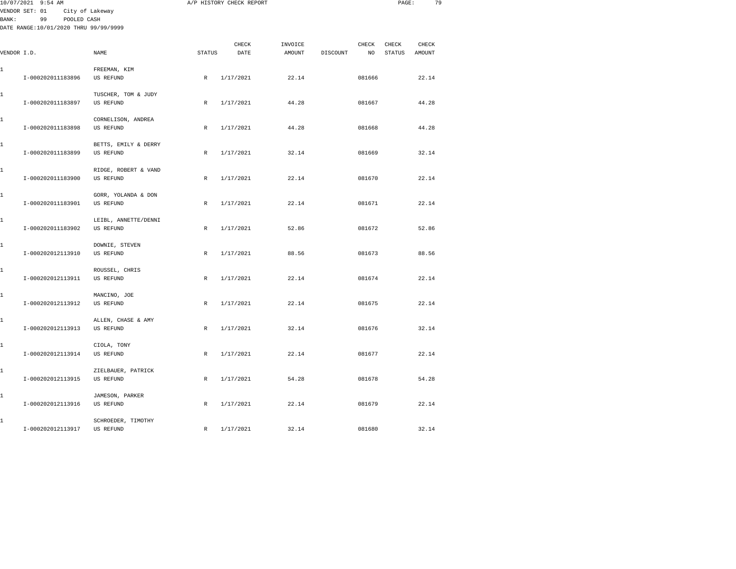|             | 10/07/2021 9:54 AM                    |                      |              | A/P HISTORY CHECK REPORT |         |          |        | PAGE:         | 79     |  |
|-------------|---------------------------------------|----------------------|--------------|--------------------------|---------|----------|--------|---------------|--------|--|
| BANK:       | VENDOR SET: 01<br>99<br>POOLED CASH   | City of Lakeway      |              |                          |         |          |        |               |        |  |
|             | DATE RANGE:10/01/2020 THRU 99/99/9999 |                      |              |                          |         |          |        |               |        |  |
|             |                                       |                      |              |                          |         |          |        |               |        |  |
|             |                                       |                      |              | CHECK                    | INVOICE |          | CHECK  | CHECK         | CHECK  |  |
| VENDOR I.D. |                                       | NAME                 | STATUS       | DATE                     | AMOUNT  | DISCOUNT | NO     | <b>STATUS</b> | AMOUNT |  |
| 1           |                                       | FREEMAN, KIM         |              |                          |         |          |        |               |        |  |
|             | I-000202011183896                     | <b>US REFUND</b>     | $\mathbb{R}$ | 1/17/2021                | 22.14   |          | 081666 |               | 22.14  |  |
| 1           |                                       | TUSCHER, TOM & JUDY  |              |                          |         |          |        |               |        |  |
|             | I-000202011183897                     | US REFUND            | $\mathbb R$  | 1/17/2021                | 44.28   |          | 081667 |               | 44.28  |  |
| 1           |                                       | CORNELISON, ANDREA   |              |                          |         |          |        |               |        |  |
|             | I-000202011183898                     | US REFUND            | R            | 1/17/2021                | 44.28   |          | 081668 |               | 44.28  |  |
| 1           |                                       | BETTS, EMILY & DERRY |              |                          |         |          |        |               |        |  |
|             | I-000202011183899                     | US REFUND            | $\mathbb{R}$ | 1/17/2021                | 32.14   |          | 081669 |               | 32.14  |  |
| 1           |                                       | RIDGE, ROBERT & VAND |              |                          |         |          |        |               |        |  |
|             | I-000202011183900                     | US REFUND            | R            | 1/17/2021                | 22.14   |          | 081670 |               | 22.14  |  |
| 1           |                                       | GORR, YOLANDA & DON  |              |                          |         |          |        |               |        |  |
|             | I-000202011183901                     | <b>US REFUND</b>     | $\mathbb R$  | 1/17/2021                | 22.14   |          | 081671 |               | 22.14  |  |
| 1           |                                       | LEIBL, ANNETTE/DENNI |              |                          |         |          |        |               |        |  |
|             | I-000202011183902                     | US REFUND            | R            | 1/17/2021                | 52.86   |          | 081672 |               | 52.86  |  |
| 1           |                                       | DOWNIE, STEVEN       |              |                          |         |          |        |               |        |  |
|             | I-000202012113910                     | <b>US REFUND</b>     | R            | 1/17/2021                | 88.56   |          | 081673 |               | 88.56  |  |
| 1           |                                       | ROUSSEL, CHRIS       |              |                          |         |          |        |               |        |  |
|             | I-000202012113911                     | US REFUND            | R            | 1/17/2021                | 22.14   |          | 081674 |               | 22.14  |  |
| 1           |                                       | MANCINO, JOE         |              |                          |         |          |        |               |        |  |
|             | I-000202012113912                     | US REFUND            | R            | 1/17/2021                | 22.14   |          | 081675 |               | 22.14  |  |
| 1           |                                       | ALLEN, CHASE & AMY   |              |                          |         |          |        |               |        |  |
|             | I-000202012113913                     | <b>US REFUND</b>     | R            | 1/17/2021                | 32.14   |          | 081676 |               | 32.14  |  |
| 1           |                                       | CIOLA, TONY          |              |                          |         |          |        |               |        |  |
|             | I-000202012113914                     | US REFUND            | $\mathbb{R}$ | 1/17/2021                | 22.14   |          | 081677 |               | 22.14  |  |
| 1           |                                       | ZIELBAUER, PATRICK   |              |                          |         |          |        |               |        |  |
|             | I-000202012113915                     | <b>US REFUND</b>     | $\mathbb R$  | 1/17/2021                | 54.28   |          | 081678 |               | 54.28  |  |
| 1           |                                       | JAMESON, PARKER      |              |                          |         |          |        |               |        |  |
|             | I-000202012113916                     | US REFUND            | R            | 1/17/2021                | 22.14   |          | 081679 |               | 22.14  |  |
| 1           |                                       | SCHROEDER, TIMOTHY   |              |                          |         |          |        |               |        |  |

I-000202012113917 US REFUND R 1/17/2021 32.14 081680 32.14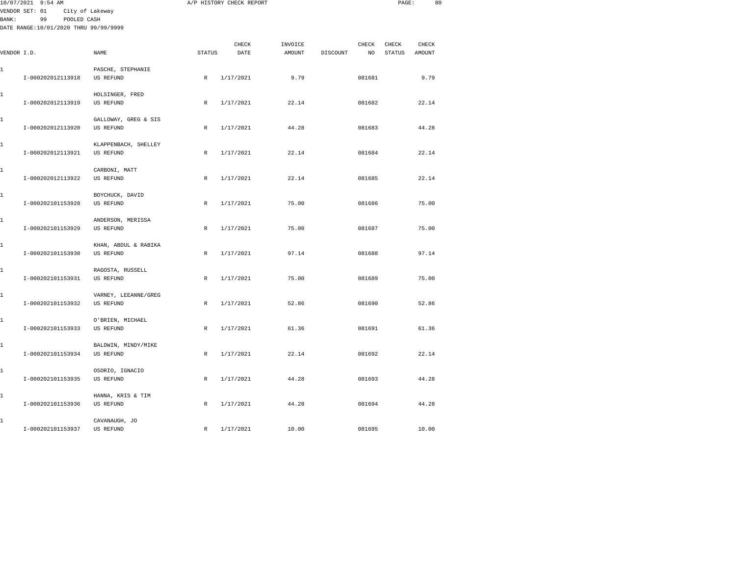|        | 10/07/2021 9:54 AM                                         |                                          |              | A/P HISTORY CHECK REPORT |         |          |              | PAGE:         | 80     |  |
|--------|------------------------------------------------------------|------------------------------------------|--------------|--------------------------|---------|----------|--------------|---------------|--------|--|
|        | VENDOR SET: 01                                             | City of Lakeway                          |              |                          |         |          |              |               |        |  |
| BANK : | POOLED CASH<br>99<br>DATE RANGE:10/01/2020 THRU 99/99/9999 |                                          |              |                          |         |          |              |               |        |  |
|        |                                                            |                                          |              |                          |         |          |              |               |        |  |
|        |                                                            |                                          |              | CHECK                    | INVOICE |          | <b>CHECK</b> | CHECK         | CHECK  |  |
|        | VENDOR I.D.                                                | NAME                                     | STATUS       | DATE                     | AMOUNT  | DISCOUNT | NO           | <b>STATUS</b> | AMOUNT |  |
|        |                                                            |                                          |              |                          |         |          |              |               |        |  |
| 1      | I-000202012113918                                          | PASCHE, STEPHANIE<br>US REFUND           | $\mathbb{R}$ | 1/17/2021                | 9.79    |          | 081681       |               | 9.79   |  |
|        |                                                            |                                          |              |                          |         |          |              |               |        |  |
| 1      |                                                            | HOLSINGER, FRED                          |              |                          |         |          |              |               |        |  |
|        | I-000202012113919                                          | US REFUND                                | R            | 1/17/2021                | 22.14   |          | 081682       |               | 22.14  |  |
|        |                                                            |                                          |              |                          |         |          |              |               |        |  |
| 1      | I-000202012113920                                          | GALLOWAY, GREG & SIS<br><b>US REFUND</b> | $\mathbb R$  | 1/17/2021                | 44.28   |          | 081683       |               | 44.28  |  |
|        |                                                            |                                          |              |                          |         |          |              |               |        |  |
| 1      |                                                            | KLAPPENBACH, SHELLEY                     |              |                          |         |          |              |               |        |  |
|        | I-000202012113921                                          | US REFUND                                | R            | 1/17/2021                | 22.14   |          | 081684       |               | 22.14  |  |
|        |                                                            |                                          |              |                          |         |          |              |               |        |  |
| 1      |                                                            | CARBONI, MATT                            |              |                          |         |          |              |               |        |  |
|        | I-000202012113922                                          | US REFUND                                | R            | 1/17/2021                | 22.14   |          | 081685       |               | 22.14  |  |
| 1      |                                                            | BOYCHUCK, DAVID                          |              |                          |         |          |              |               |        |  |
|        | I-000202101153928                                          | <b>US REFUND</b>                         | $\mathbb R$  | 1/17/2021                | 75.00   |          | 081686       |               | 75.00  |  |
|        |                                                            |                                          |              |                          |         |          |              |               |        |  |
| 1      |                                                            | ANDERSON, MERISSA                        |              |                          |         |          |              |               |        |  |
|        | I-000202101153929                                          | US REFUND                                | R            | 1/17/2021                | 75.00   |          | 081687       |               | 75.00  |  |
| 1      |                                                            | KHAN, ABDUL & RABIKA                     |              |                          |         |          |              |               |        |  |
|        | I-000202101153930                                          | <b>US REFUND</b>                         | $\mathbb R$  | 1/17/2021                | 97.14   |          | 081688       |               | 97.14  |  |
|        |                                                            |                                          |              |                          |         |          |              |               |        |  |
| 1      |                                                            | RAGOSTA, RUSSELL                         |              |                          |         |          |              |               |        |  |
|        | I-000202101153931                                          | US REFUND                                | R            | 1/17/2021                | 75.00   |          | 081689       |               | 75.00  |  |
| 1      |                                                            | VARNEY, LEEANNE/GREG                     |              |                          |         |          |              |               |        |  |
|        | I-000202101153932                                          | US REFUND                                | R            | 1/17/2021                | 52.86   |          | 081690       |               | 52.86  |  |
|        |                                                            |                                          |              |                          |         |          |              |               |        |  |
| 1      |                                                            | O'BRIEN, MICHAEL                         |              |                          |         |          |              |               |        |  |
|        | I-000202101153933                                          | <b>US REFUND</b>                         | $\mathbb R$  | 1/17/2021                | 61.36   |          | 081691       |               | 61.36  |  |
| 1      |                                                            | BALDWIN, MINDY/MIKE                      |              |                          |         |          |              |               |        |  |
|        | I-000202101153934                                          | US REFUND                                | R            | 1/17/2021                | 22.14   |          | 081692       |               | 22.14  |  |
|        |                                                            |                                          |              |                          |         |          |              |               |        |  |
| 1      |                                                            | OSORIO, IGNACIO                          |              |                          |         |          |              |               |        |  |
|        | I-000202101153935                                          | <b>US REFUND</b>                         | $\mathbb{R}$ | 1/17/2021                | 44.28   |          | 081693       |               | 44.28  |  |
| 1      |                                                            | HANNA, KRIS & TIM                        |              |                          |         |          |              |               |        |  |
|        | I-000202101153936                                          | <b>US REFUND</b>                         | $\mathbb R$  | 1/17/2021                | 44.28   |          | 081694       |               | 44.28  |  |
|        |                                                            |                                          |              |                          |         |          |              |               |        |  |
| 1      |                                                            | CAVANAUGH, JO                            |              |                          |         |          |              |               |        |  |

I-000202101153937 US REFUND R 1/17/2021 10.00 081695 10.00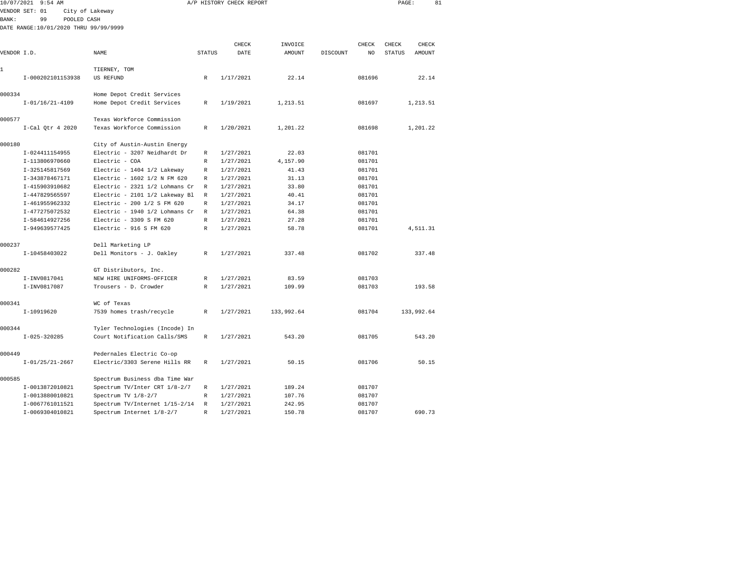|              | 10/07/2021 9:54 AM                    |                                                              |               | A/P HISTORY CHECK REPORT |            |          |                | PAGE:         |               | 81 |
|--------------|---------------------------------------|--------------------------------------------------------------|---------------|--------------------------|------------|----------|----------------|---------------|---------------|----|
|              | VENDOR SET: 01                        | City of Lakeway                                              |               |                          |            |          |                |               |               |    |
| <b>BANK:</b> | 99                                    | POOLED CASH                                                  |               |                          |            |          |                |               |               |    |
|              | DATE RANGE:10/01/2020 THRU 99/99/9999 |                                                              |               |                          |            |          |                |               |               |    |
|              |                                       |                                                              |               |                          |            |          |                |               |               |    |
|              |                                       |                                                              |               | CHECK                    | INVOICE    |          | CHECK          | CHECK         | CHECK         |    |
| VENDOR I.D.  |                                       | NAME                                                         | <b>STATUS</b> | DATE                     | AMOUNT     | DISCOUNT | N <sub>O</sub> | <b>STATUS</b> | <b>AMOUNT</b> |    |
| 1            |                                       | TIERNEY, TOM                                                 |               |                          |            |          |                |               |               |    |
|              | I-000202101153938                     | US REFUND                                                    | R             | 1/17/2021                | 22.14      |          | 081696         |               | 22.14         |    |
|              |                                       |                                                              |               |                          |            |          |                |               |               |    |
| 000334       |                                       | Home Depot Credit Services                                   |               |                          |            |          |                |               |               |    |
|              | $I-01/16/21-4109$                     | Home Depot Credit Services                                   | R             | 1/19/2021                | 1,213.51   |          | 081697         |               | 1,213.51      |    |
|              |                                       |                                                              |               |                          |            |          |                |               |               |    |
| 000577       |                                       | Texas Workforce Commission                                   |               |                          |            |          |                |               |               |    |
|              | $I-Cal$ Qtr 4 2020                    | Texas Workforce Commission                                   | R             | 1/20/2021                | 1,201.22   |          | 081698         |               | 1,201.22      |    |
| 000180       |                                       |                                                              |               |                          |            |          |                |               |               |    |
|              | I-024411154955                        | City of Austin-Austin Energy<br>Electric - 3207 Neidhardt Dr | R             | 1/27/2021                | 22.03      |          | 081701         |               |               |    |
|              | I-113806970660                        | Electric - COA                                               | R             | 1/27/2021                | 4,157.90   |          | 081701         |               |               |    |
|              | I-325145817569                        | Electric - 1404 1/2 Lakeway                                  | R             | 1/27/2021                | 41.43      |          | 081701         |               |               |    |
|              | I-343878467171                        | Electric - 1602 1/2 N FM 620                                 | R             | 1/27/2021                | 31.13      |          | 081701         |               |               |    |
|              | I-415903910682                        | Electric - 2321 1/2 Lohmans Cr                               | R             | 1/27/2021                | 33.80      |          | 081701         |               |               |    |
|              | I-447829565597                        | Electric - 2101 1/2 Lakeway Bl                               | R             | 1/27/2021                | 40.41      |          | 081701         |               |               |    |
|              | I-461955962332                        | Electric - 200 1/2 S FM 620                                  | R             | 1/27/2021                | 34.17      |          | 081701         |               |               |    |
|              | I-477275072532                        | Electric - 1940 1/2 Lohmans Cr                               | R             | 1/27/2021                | 64.38      |          | 081701         |               |               |    |
|              | I-584614927256                        | Electric - 3309 S FM 620                                     | R             | 1/27/2021                | 27.28      |          | 081701         |               |               |    |
|              | I-949639577425                        | Electric - 916 S FM 620                                      | R             | 1/27/2021                | 58.78      |          | 081701         |               | 4,511.31      |    |
|              |                                       |                                                              |               |                          |            |          |                |               |               |    |
| 000237       |                                       | Dell Marketing LP                                            |               |                          |            |          |                |               |               |    |
|              | I-10458403022                         | Dell Monitors - J. Oakley                                    | $\mathbb R$   | 1/27/2021                | 337.48     |          | 081702         |               | 337.48        |    |
|              |                                       |                                                              |               |                          |            |          |                |               |               |    |
| 000282       |                                       | GT Distributors, Inc.                                        |               |                          |            |          |                |               |               |    |
|              | I-INV0817041                          | NEW HIRE UNIFORMS-OFFICER                                    | R             | 1/27/2021                | 83.59      |          | 081703         |               |               |    |
|              | I-INV0817087                          | Trousers - D. Crowder                                        | R             | 1/27/2021                | 109.99     |          | 081703         |               | 193.58        |    |
|              |                                       |                                                              |               |                          |            |          |                |               |               |    |
| 000341       |                                       | WC of Texas                                                  |               |                          |            |          |                |               |               |    |
|              | I-10919620                            | 7539 homes trash/recycle                                     | $\mathbb R$   | 1/27/2021                | 133,992.64 |          | 081704         |               | 133,992.64    |    |
| 000344       |                                       | Tyler Technologies (Incode) In                               |               |                          |            |          |                |               |               |    |
|              | $I-025-320285$                        | Court Notification Calls/SMS                                 | R             | 1/27/2021                | 543.20     |          | 081705         |               | 543.20        |    |
|              |                                       |                                                              |               |                          |            |          |                |               |               |    |
| 000449       |                                       | Pedernales Electric Co-op                                    |               |                          |            |          |                |               |               |    |
|              | $I-01/25/21-2667$                     | Electric/3303 Serene Hills RR                                | R             | 1/27/2021                | 50.15      |          | 081706         |               | 50.15         |    |
|              |                                       |                                                              |               |                          |            |          |                |               |               |    |
| 000585       |                                       | Spectrum Business dba Time War                               |               |                          |            |          |                |               |               |    |
|              | I-0013872010821                       | Spectrum TV/Inter CRT 1/8-2/7                                | R             | 1/27/2021                | 189.24     |          | 081707         |               |               |    |
|              | I-0013880010821                       | Spectrum TV 1/8-2/7                                          | R             | 1/27/2021                | 107.76     |          | 081707         |               |               |    |
|              | I-0067761011521                       | Spectrum TV/Internet 1/15-2/14                               | R             | 1/27/2021                | 242.95     |          | 081707         |               |               |    |

I-0069304010821 Spectrum Internet 1/8-2/7 R 1/27/2021 150.78 081707 690.73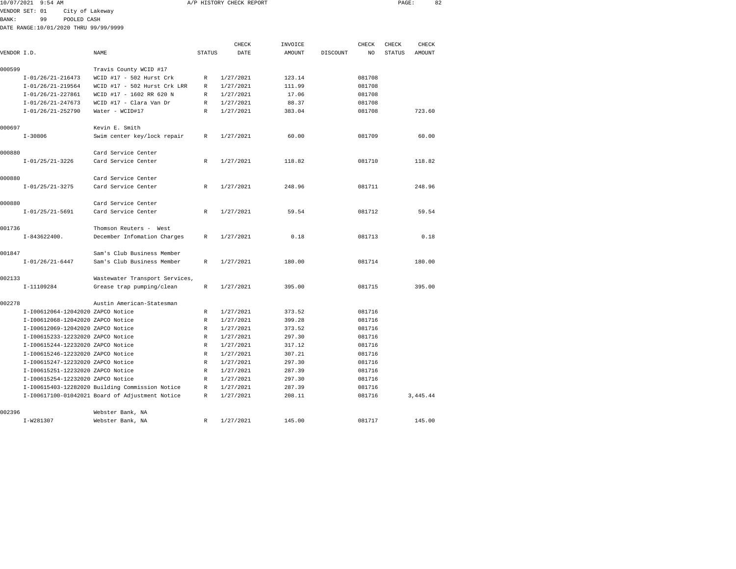| 10/07/2021  | $9:54$ AM                             |                                                 |               | A/P HISTORY CHECK REPORT |         |          |        | PAGE:         | 82        |  |
|-------------|---------------------------------------|-------------------------------------------------|---------------|--------------------------|---------|----------|--------|---------------|-----------|--|
|             | VENDOR SET: 01<br>City of Lakeway     |                                                 |               |                          |         |          |        |               |           |  |
| BANK :      | 99<br>POOLED CASH                     |                                                 |               |                          |         |          |        |               |           |  |
|             | DATE RANGE:10/01/2020 THRU 99/99/9999 |                                                 |               |                          |         |          |        |               |           |  |
|             |                                       |                                                 |               |                          |         |          |        |               |           |  |
|             |                                       |                                                 |               | CHECK                    | INVOICE |          | CHECK  | CHECK         | CHECK     |  |
| VENDOR I.D. |                                       | <b>NAME</b>                                     | <b>STATUS</b> | DATE                     | AMOUNT  | DISCOUNT | NO     | <b>STATUS</b> | AMOUNT    |  |
| 000599      |                                       | Travis County WCID #17                          |               |                          |         |          |        |               |           |  |
|             | $I-01/26/21-216473$                   | WCID #17 - 502 Hurst Crk                        | R             | 1/27/2021                | 123.14  |          | 081708 |               |           |  |
|             | $I-01/26/21-219564$                   | WCID #17 - 502 Hurst Crk LRR                    | R             | 1/27/2021                | 111.99  |          | 081708 |               |           |  |
|             | I-01/26/21-227861                     | WCID #17 - 1602 RR 620 N                        | R             | 1/27/2021                | 17.06   |          | 081708 |               |           |  |
|             | $I-01/26/21-247673$                   | WCID #17 - Clara Van Dr                         | R             | 1/27/2021                | 88.37   |          | 081708 |               |           |  |
|             | $I-01/26/21-252790$                   | Water - WCID#17                                 | R             | 1/27/2021                | 383.04  |          | 081708 |               | 723.60    |  |
| 000697      |                                       | Kevin E. Smith                                  |               |                          |         |          |        |               |           |  |
|             | $I - 30806$                           | Swim center key/lock repair                     | R             | 1/27/2021                | 60.00   |          | 081709 |               | 60.00     |  |
| 000880      |                                       | Card Service Center                             |               |                          |         |          |        |               |           |  |
|             | $I-01/25/21-3226$                     | Card Service Center                             | R             | 1/27/2021                | 118.82  |          | 081710 |               | 118.82    |  |
| 000880      |                                       | Card Service Center                             |               |                          |         |          |        |               |           |  |
|             | $I-01/25/21-3275$                     | Card Service Center                             | R             | 1/27/2021                | 248.96  |          | 081711 |               | 248.96    |  |
| 000880      |                                       | Card Service Center                             |               |                          |         |          |        |               |           |  |
|             | $I-01/25/21-5691$                     | Card Service Center                             | R             | 1/27/2021                | 59.54   |          | 081712 |               | 59.54     |  |
| 001736      |                                       | Thomson Reuters - West                          |               |                          |         |          |        |               |           |  |
|             | $I-843622400.$                        | December Infomation Charges                     | R             | 1/27/2021                | 0.18    |          | 081713 |               | 0.18      |  |
| 001847      |                                       | Sam's Club Business Member                      |               |                          |         |          |        |               |           |  |
|             | $I-01/26/21-6447$                     | Sam's Club Business Member                      | R             | 1/27/2021                | 180.00  |          | 081714 |               | 180.00    |  |
| 002133      |                                       | Wastewater Transport Services,                  |               |                          |         |          |        |               |           |  |
|             | I-11109284                            | Grease trap pumping/clean                       | R             | 1/27/2021                | 395.00  |          | 081715 |               | 395.00    |  |
| 002278      |                                       | Austin American-Statesman                       |               |                          |         |          |        |               |           |  |
|             | I-I00612064-12042020 ZAPCO Notice     |                                                 | R             | 1/27/2021                | 373.52  |          | 081716 |               |           |  |
|             | I-I00612068-12042020 ZAPCO Notice     |                                                 | R             | 1/27/2021                | 399.28  |          | 081716 |               |           |  |
|             | I-I00612069-12042020 ZAPCO Notice     |                                                 | R             | 1/27/2021                | 373.52  |          | 081716 |               |           |  |
|             | I-I00615233-12232020 ZAPCO Notice     |                                                 | $\mathbb{R}$  | 1/27/2021                | 297.30  |          | 081716 |               |           |  |
|             | I-I00615244-12232020 ZAPCO Notice     |                                                 | R             | 1/27/2021                | 317.12  |          | 081716 |               |           |  |
|             | I-I00615246-12232020 ZAPCO Notice     |                                                 | R             | 1/27/2021                | 307.21  |          | 081716 |               |           |  |
|             | I-I00615247-12232020 ZAPCO Notice     |                                                 | R             | 1/27/2021                | 297.30  |          | 081716 |               |           |  |
|             | I-I00615251-12232020 ZAPCO Notice     |                                                 | R             | 1/27/2021                | 287.39  |          | 081716 |               |           |  |
|             | I-I00615254-12232020 ZAPCO Notice     |                                                 | R             | 1/27/2021                | 297.30  |          | 081716 |               |           |  |
|             |                                       | I-I00615403-12282020 Building Commission Notice | R             | 1/27/2021                | 287.39  |          | 081716 |               |           |  |
|             |                                       | I-I00617100-01042021 Board of Adjustment Notice | R             | 1/27/2021                | 208.11  |          | 081716 |               | 3, 445.44 |  |
|             |                                       |                                                 |               |                          |         |          |        |               |           |  |

I-W281307 Webster Bank, NA R 1/27/2021 145.00 081717 145.00

002396 Webster Bank, NA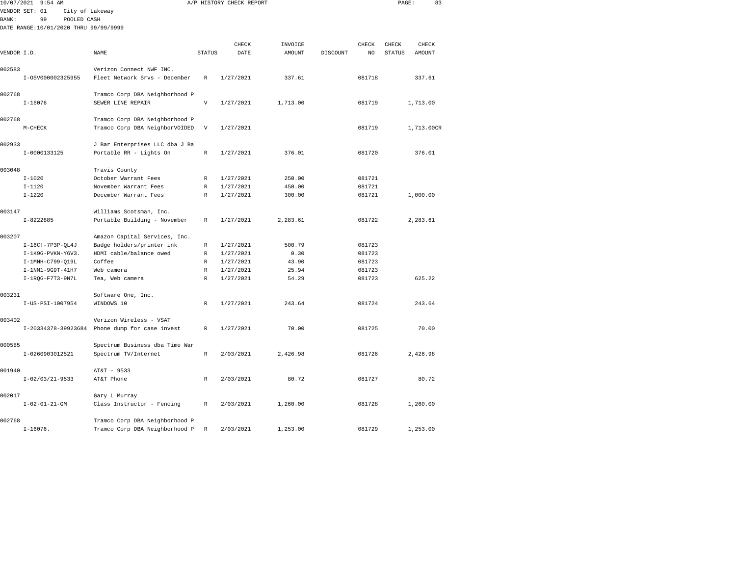|              | 10/07/2021 9:54 AM                    |                                                         |                           | A/P HISTORY CHECK REPORT |          |          |        | PAGE:         | 83         |  |
|--------------|---------------------------------------|---------------------------------------------------------|---------------------------|--------------------------|----------|----------|--------|---------------|------------|--|
|              | VENDOR SET: 01<br>City of Lakeway     |                                                         |                           |                          |          |          |        |               |            |  |
| <b>BANK:</b> | 99<br>POOLED CASH                     |                                                         |                           |                          |          |          |        |               |            |  |
|              | DATE RANGE:10/01/2020 THRU 99/99/9999 |                                                         |                           |                          |          |          |        |               |            |  |
|              |                                       |                                                         |                           |                          |          |          |        |               |            |  |
|              |                                       |                                                         |                           | CHECK                    | INVOICE  |          | CHECK  | CHECK         | CHECK      |  |
| VENDOR I.D.  |                                       | NAME                                                    | <b>STATUS</b>             | DATE                     | AMOUNT   | DISCOUNT | NO     | <b>STATUS</b> | AMOUNT     |  |
|              |                                       |                                                         |                           |                          |          |          |        |               |            |  |
| 002583       |                                       | Verizon Connect NWF INC.                                |                           |                          |          |          |        |               |            |  |
|              | I-0SV000002325955                     | Fleet Network Srvs - December                           | R                         | 1/27/2021                | 337.61   |          | 081718 |               | 337.61     |  |
| 002768       |                                       | Tramco Corp DBA Neighborhood P                          |                           |                          |          |          |        |               |            |  |
|              | $I - 16076$                           | SEWER LINE REPAIR                                       | $\boldsymbol{\mathrm{V}}$ | 1/27/2021                | 1,713.00 |          | 081719 |               | 1,713.00   |  |
|              |                                       |                                                         |                           |                          |          |          |        |               |            |  |
| 002768       |                                       | Tramco Corp DBA Neighborhood P                          |                           |                          |          |          |        |               |            |  |
|              | $M-CHECK$                             | Tramco Corp DBA NeighborVOIDED                          | $\mathbf v$               | 1/27/2021                |          |          | 081719 |               | 1,713.00CR |  |
|              |                                       |                                                         |                           |                          |          |          |        |               |            |  |
| 002933       |                                       | J Bar Enterprises LLC dba J Ba                          |                           |                          |          |          |        |               |            |  |
|              | I-0000133125                          | Portable RR - Lights On                                 | $\mathbb{R}$              | 1/27/2021                | 376.01   |          | 081720 |               | 376.01     |  |
|              |                                       |                                                         |                           |                          |          |          |        |               |            |  |
| 003048       |                                       | Travis County                                           |                           |                          |          |          |        |               |            |  |
|              | $I - 1020$                            | October Warrant Fees                                    | $\mathbb R$               | 1/27/2021                | 250.00   |          | 081721 |               |            |  |
|              | $I - 1120$                            | November Warrant Fees                                   | $\mathbb R$               | 1/27/2021                | 450.00   |          | 081721 |               |            |  |
|              | $I - 1220$                            | December Warrant Fees                                   | R                         | 1/27/2021                | 300.00   |          | 081721 |               | 1,000.00   |  |
|              |                                       |                                                         |                           |                          |          |          |        |               |            |  |
| 003147       | $I - 8222885$                         | Williams Scotsman, Inc.<br>Portable Building - November | R                         | 1/27/2021                | 2,283.61 |          | 081722 |               | 2,283.61   |  |
|              |                                       |                                                         |                           |                          |          |          |        |               |            |  |
| 003207       |                                       | Amazon Capital Services, Inc.                           |                           |                          |          |          |        |               |            |  |
|              | $I-16C! -7P3P-QL4J$                   | Badge holders/printer ink                               | R                         | 1/27/2021                | 500.79   |          | 081723 |               |            |  |
|              | I-1K9G-PVKN-Y6V3.                     | HDMI cable/balance owed                                 | R                         | 1/27/2021                | 0.30     |          | 081723 |               |            |  |
|              | I-1MNH-C799-Q19L                      | Coffee                                                  | R                         | 1/27/2021                | 43.90    |          | 081723 |               |            |  |
|              | $I-1NM1-9G9T-41H7$                    | Web camera                                              | R                         | 1/27/2021                | 25.94    |          | 081723 |               |            |  |
|              | $I-1RQG-F7T3-9N7L$                    | Tea, Web camera                                         | R                         | 1/27/2021                | 54.29    |          | 081723 |               | 625.22     |  |
|              |                                       |                                                         |                           |                          |          |          |        |               |            |  |
| 003231       |                                       | Software One, Inc.                                      |                           |                          |          |          |        |               |            |  |
|              | I-US-PSI-1007954                      | WINDOWS 10                                              | R                         | 1/27/2021                | 243.64   |          | 081724 |               | 243.64     |  |
|              |                                       |                                                         |                           |                          |          |          |        |               |            |  |
| 003402       |                                       | Verizon Wireless - VSAT                                 |                           |                          |          |          |        |               |            |  |
|              |                                       | I-20334378-39923684 Phone dump for case invest          | R                         | 1/27/2021                | 70.00    |          | 081725 |               | 70.00      |  |
| 000585       |                                       | Spectrum Business dba Time War                          |                           |                          |          |          |        |               |            |  |
|              | I-0260903012521                       | Spectrum TV/Internet                                    | $\mathbb R$               | 2/03/2021                | 2,426.98 |          | 081726 |               | 2,426.98   |  |
|              |                                       |                                                         |                           |                          |          |          |        |               |            |  |
| 001940       |                                       | AT&T - 9533                                             |                           |                          |          |          |        |               |            |  |
|              | $I-02/03/21-9533$                     | AT&T Phone                                              | R                         | 2/03/2021                | 80.72    |          | 081727 |               | 80.72      |  |
|              |                                       |                                                         |                           |                          |          |          |        |               |            |  |
| 002017       |                                       | Gary L Murray                                           |                           |                          |          |          |        |               |            |  |
|              | $I - 02 - 01 - 21 - GM$               | Class Instructor - Fencing                              | R                         | 2/03/2021                | 1,260.00 |          | 081728 |               | 1,260.00   |  |
|              |                                       |                                                         |                           |                          |          |          |        |               |            |  |
| 002768       |                                       | Tramco Corp DBA Neighborhood P                          |                           |                          |          |          |        |               |            |  |

I-16076. Tramco Corp DBA Neighborhood P R 2/03/2021 1,253.00 081729 1,253.00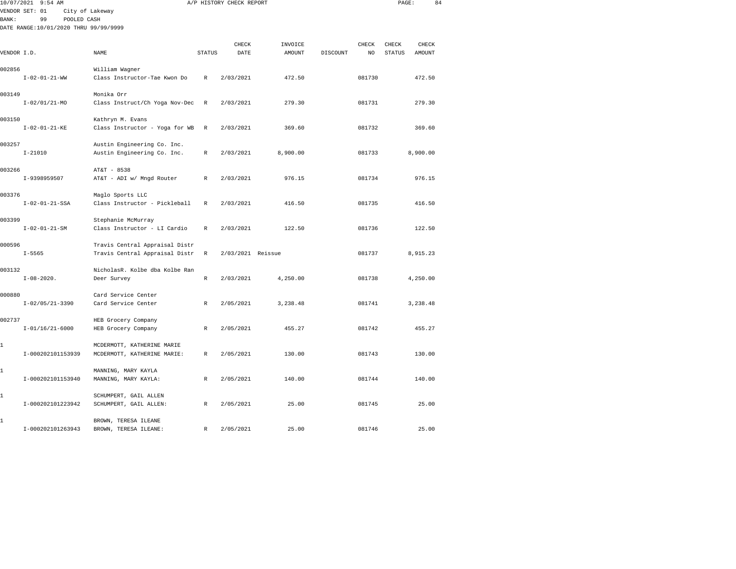|              | 10/07/2021 9:54 AM                                                                              |                                                                  |               | A/P HISTORY CHECK REPORT |                   |          |             | PAGE:                  |                        | 84 |
|--------------|-------------------------------------------------------------------------------------------------|------------------------------------------------------------------|---------------|--------------------------|-------------------|----------|-------------|------------------------|------------------------|----|
| <b>BANK:</b> | VENDOR SET: 01<br>City of Lakeway<br>99<br>POOLED CASH<br>DATE RANGE:10/01/2020 THRU 99/99/9999 |                                                                  |               |                          |                   |          |             |                        |                        |    |
| VENDOR I.D.  |                                                                                                 | <b>NAME</b>                                                      | <b>STATUS</b> | CHECK<br>DATE            | INVOICE<br>AMOUNT | DISCOUNT | CHECK<br>NO | CHECK<br><b>STATUS</b> | CHECK<br><b>AMOUNT</b> |    |
| 002856       |                                                                                                 | William Wagner                                                   |               |                          |                   |          |             |                        |                        |    |
|              | $I - 02 - 01 - 21 - WW$                                                                         | Class Instructor-Tae Kwon Do                                     | R             | 2/03/2021                | 472.50            |          | 081730      |                        | 472.50                 |    |
| 003149       |                                                                                                 | Monika Orr                                                       |               |                          |                   |          |             |                        |                        |    |
|              | $I - 02/01/21 - MO$                                                                             | Class Instruct/Ch Yoga Nov-Dec                                   | R             | 2/03/2021                | 279.30            |          | 081731      |                        | 279.30                 |    |
| 003150       |                                                                                                 | Kathryn M. Evans                                                 |               |                          |                   |          |             |                        |                        |    |
|              | $I - 02 - 01 - 21 - KE$                                                                         | Class Instructor - Yoga for WB                                   | R             | 2/03/2021                | 369.60            |          | 081732      |                        | 369.60                 |    |
| 003257       | $I - 21010$                                                                                     | Austin Engineering Co. Inc.<br>Austin Engineering Co. Inc.       | R             | 2/03/2021                | 8,900.00          |          | 081733      |                        | 8,900.00               |    |
| 003266       |                                                                                                 | AT&T - 8538                                                      |               |                          |                   |          |             |                        |                        |    |
|              | I-9398959507                                                                                    | AT&T - ADI w/ Mngd Router                                        | $\mathbb{R}$  | 2/03/2021                | 976.15            |          | 081734      |                        | 976.15                 |    |
| 003376       | $I-02-01-21-SSA$                                                                                | Maglo Sports LLC<br>Class Instructor - Pickleball                | R             | 2/03/2021                | 416.50            |          | 081735      |                        | 416.50                 |    |
| 003399       | $I - 02 - 01 - 21 - SM$                                                                         | Stephanie McMurray<br>Class Instructor - LI Cardio               | R             | 2/03/2021                | 122.50            |          | 081736      |                        | 122.50                 |    |
| 000596       | $I - 5565$                                                                                      | Travis Central Appraisal Distr<br>Travis Central Appraisal Distr | R             | 2/03/2021 Reissue        |                   |          | 081737      |                        | 8,915.23               |    |
| 003132       | $I-08-2020$ .                                                                                   | NicholasR. Kolbe dba Kolbe Ran<br>Deer Survey                    | R             | 2/03/2021                | 4,250.00          |          | 081738      |                        | 4,250.00               |    |
| 000880       | $I-02/05/21-3390$                                                                               | Card Service Center<br>Card Service Center                       | R             | 2/05/2021                | 3,238.48          |          | 081741      |                        | 3,238.48               |    |
| 002737       | $I-01/16/21-6000$                                                                               | HEB Grocery Company<br>HEB Grocery Company                       | R             | 2/05/2021                | 455.27            |          | 081742      |                        | 455.27                 |    |
| 1            | I-000202101153939                                                                               | MCDERMOTT, KATHERINE MARIE<br>MCDERMOTT, KATHERINE MARIE:        | R             | 2/05/2021                | 130.00            |          | 081743      |                        | 130.00                 |    |
| 1            | I-000202101153940                                                                               | MANNING, MARY KAYLA<br>MANNING, MARY KAYLA:                      | $\mathbb{R}$  | 2/05/2021                | 140.00            |          | 081744      |                        | 140.00                 |    |
| 1            | I-000202101223942                                                                               | SCHUMPERT, GAIL ALLEN<br>SCHUMPERT, GAIL ALLEN:                  | R             | 2/05/2021                | 25.00             |          | 081745      |                        | 25.00                  |    |
| 1            |                                                                                                 | BROWN, TERESA ILEANE                                             |               |                          |                   |          |             |                        |                        |    |

I-000202101263943 BROWN, TERESA ILEANE: R 2/05/2021 25.00 081746 25.00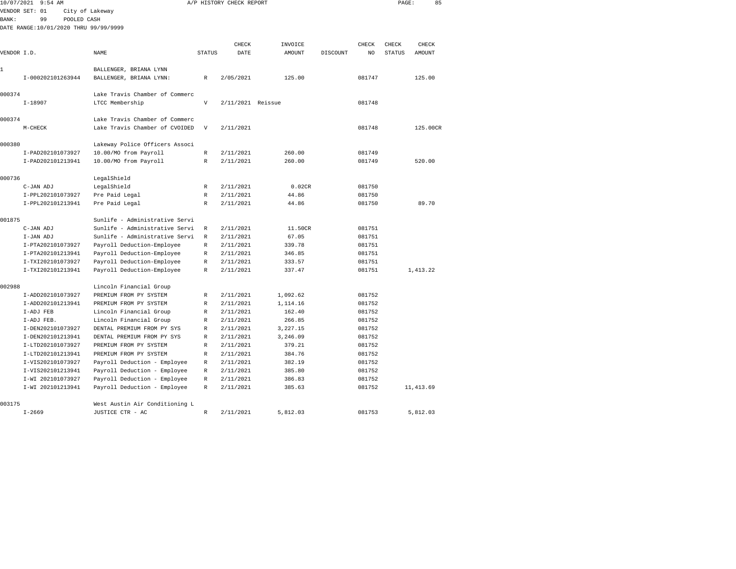|              | 10/07/2021 9:54 AM                    |                                                   |               | A/P HISTORY CHECK REPORT |          |          |        | PAGE:  | 85         |
|--------------|---------------------------------------|---------------------------------------------------|---------------|--------------------------|----------|----------|--------|--------|------------|
|              | VENDOR SET: 01                        | City of Lakeway                                   |               |                          |          |          |        |        |            |
| <b>BANK:</b> | 99<br>POOLED CASH                     |                                                   |               |                          |          |          |        |        |            |
|              | DATE RANGE:10/01/2020 THRU 99/99/9999 |                                                   |               |                          |          |          |        |        |            |
|              |                                       |                                                   |               |                          |          |          |        |        |            |
|              |                                       |                                                   |               | CHECK                    | INVOICE  |          | CHECK  | CHECK  | CHECK      |
| VENDOR I.D.  |                                       | NAME                                              | <b>STATUS</b> | DATE                     | AMOUNT   | DISCOUNT | NO     | STATUS | AMOUNT     |
|              |                                       |                                                   |               |                          |          |          |        |        |            |
| 1            |                                       | BALLENGER, BRIANA LYNN                            |               |                          |          |          |        |        |            |
|              | I-000202101263944                     | BALLENGER, BRIANA LYNN:                           | $\mathbb R$   | 2/05/2021                | 125.00   |          | 081747 |        | 125.00     |
|              |                                       |                                                   |               |                          |          |          |        |        |            |
| 000374       |                                       | Lake Travis Chamber of Commerc                    |               |                          |          |          |        |        |            |
|              | $I-18907$                             | LTCC Membership                                   | V             | 2/11/2021 Reissue        |          |          | 081748 |        |            |
|              |                                       |                                                   |               |                          |          |          |        |        |            |
| 000374       |                                       | Lake Travis Chamber of Commerc                    |               |                          |          |          |        |        |            |
|              | M-CHECK                               | Lake Travis Chamber of CVOIDED                    | V             | 2/11/2021                |          |          | 081748 |        | 125.00CR   |
|              |                                       |                                                   |               |                          |          |          |        |        |            |
| 000380       |                                       | Lakeway Police Officers Associ                    |               |                          |          |          |        |        |            |
|              | I-PAD202101073927                     | 10.00/MO from Payroll                             | $\mathbb R$   | 2/11/2021                | 260.00   |          | 081749 |        |            |
|              | I-PAD202101213941                     | 10.00/MO from Payroll                             | R             | 2/11/2021                | 260.00   |          | 081749 |        | 520.00     |
|              |                                       |                                                   |               |                          |          |          |        |        |            |
| 000736       |                                       | LegalShield                                       |               |                          |          |          |        |        |            |
|              | C-JAN ADJ                             | LegalShield                                       | R             | 2/11/2021                | 0.02CR   |          | 081750 |        |            |
|              | I-PPL202101073927                     | Pre Paid Legal                                    | $\mathbb R$   | 2/11/2021                | 44.86    |          | 081750 |        |            |
|              | I-PPL202101213941                     | Pre Paid Legal                                    | R             | 2/11/2021                | 44.86    |          | 081750 |        | 89.70      |
|              |                                       |                                                   |               |                          |          |          |        |        |            |
| 001875       |                                       | Sunlife - Administrative Servi                    |               |                          |          |          |        |        |            |
|              | C-JAN ADJ                             | Sunlife - Administrative Servi                    | R             | 2/11/2021                | 11.50CR  |          | 081751 |        |            |
|              | I-JAN ADJ                             | Sunlife - Administrative Servi                    | R             | 2/11/2021                | 67.05    |          | 081751 |        |            |
|              | I-PTA202101073927                     | Payroll Deduction-Employee                        | R             | 2/11/2021                | 339.78   |          | 081751 |        |            |
|              | I-PTA202101213941                     | Payroll Deduction-Employee                        | $\mathbb R$   | 2/11/2021                | 346.85   |          | 081751 |        |            |
|              | I-TXI202101073927                     | Payroll Deduction-Employee                        | R             | 2/11/2021                | 333.57   |          | 081751 |        |            |
|              | I-TXI202101213941                     | Payroll Deduction-Employee                        | R             | 2/11/2021                | 337.47   |          | 081751 |        | 1,413.22   |
| 002988       |                                       |                                                   |               |                          |          |          |        |        |            |
|              | I-ADD202101073927                     | Lincoln Financial Group<br>PREMIUM FROM PY SYSTEM | $\mathbb R$   | 2/11/2021                | 1,092.62 |          | 081752 |        |            |
|              | I-ADD202101213941                     | PREMIUM FROM PY SYSTEM                            | $\mathbb R$   | 2/11/2021                | 1,114.16 |          | 081752 |        |            |
|              | I-ADJ FEB                             | Lincoln Financial Group                           | $\mathbb R$   | 2/11/2021                | 162.40   |          | 081752 |        |            |
|              | I-ADJ FEB.                            | Lincoln Financial Group                           | $\mathbb R$   | 2/11/2021                | 266.85   |          | 081752 |        |            |
|              | I-DEN202101073927                     | DENTAL PREMIUM FROM PY SYS                        | $\mathbb R$   | 2/11/2021                | 3,227.15 |          | 081752 |        |            |
|              | I-DEN202101213941                     | DENTAL PREMIUM FROM PY SYS                        | $\mathbb R$   | 2/11/2021                | 3,246.09 |          | 081752 |        |            |
|              | I-LTD202101073927                     | PREMIUM FROM PY SYSTEM                            | $\mathbb R$   | 2/11/2021                | 379.21   |          | 081752 |        |            |
|              | I-LTD202101213941                     | PREMIUM FROM PY SYSTEM                            | $\mathbb R$   | 2/11/2021                | 384.76   |          | 081752 |        |            |
|              | I-VIS202101073927                     | Payroll Deduction - Employee                      | R             | 2/11/2021                | 382.19   |          | 081752 |        |            |
|              | I-VIS202101213941                     | Payroll Deduction - Employee                      | R             | 2/11/2021                | 385.80   |          | 081752 |        |            |
|              | I-WI 202101073927                     | Payroll Deduction - Employee                      | $\mathbb R$   | 2/11/2021                | 386.83   |          | 081752 |        |            |
|              | I-WI 202101213941                     | Payroll Deduction - Employee                      | $\mathbb R$   | 2/11/2021                | 385.63   |          | 081752 |        | 11, 413.69 |
|              |                                       |                                                   |               |                          |          |          |        |        |            |
| 003175       |                                       | West Austin Air Conditioning L                    |               |                          |          |          |        |        |            |
|              | $I - 2669$                            | JUSTICE CTR - AC                                  | R             | 2/11/2021                | 5,812.03 |          | 081753 |        | 5,812.03   |
|              |                                       |                                                   |               |                          |          |          |        |        |            |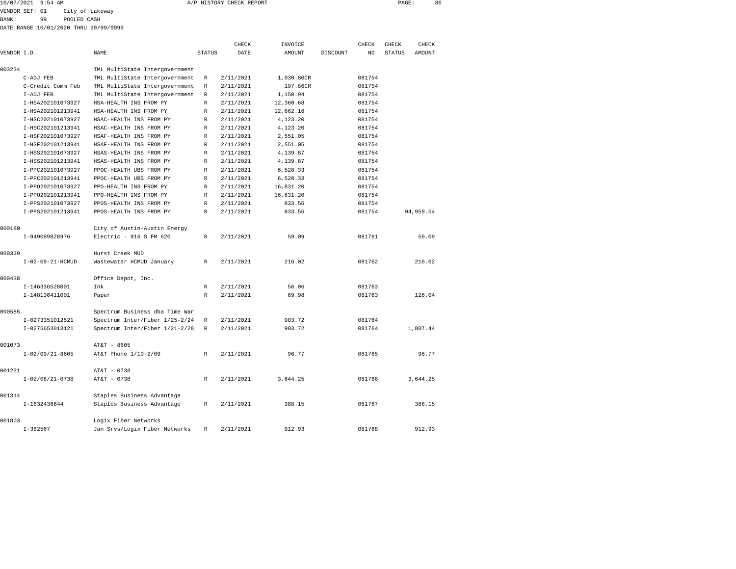| 10/07/2021 | $9:54$ AM | A/P HISTORY CHECK REPORT | PAGE | 86 |
|------------|-----------|--------------------------|------|----|
|            |           |                          |      |    |

VENDOR SET: 01 City of Lakeway

BANK: 99 POOLED CASH DATE RANGE:10/01/2020 THRU 99/99/9999

|             |                   |                                |               | CHECK     | INVOICE       |          | CHECK  | CHECK         | CHECK     |  |
|-------------|-------------------|--------------------------------|---------------|-----------|---------------|----------|--------|---------------|-----------|--|
| VENDOR I.D. |                   | NAME                           | <b>STATUS</b> | DATE      | <b>AMOUNT</b> | DISCOUNT | NO     | <b>STATUS</b> | AMOUNT    |  |
| 003234      |                   | TML MultiState Intergovernment |               |           |               |          |        |               |           |  |
|             | C-ADJ FEB         | TML MultiState Intergovernment | R             | 2/11/2021 | 1,030.80CR    |          | 081754 |               |           |  |
|             | C-Credit Comm Feb | TML MultiState Intergovernment | R             | 2/11/2021 | 197.86CR      |          | 081754 |               |           |  |
|             | I-ADJ FEB         | TML MultiState Intergovernment | R             | 2/11/2021 | 1,150.94      |          | 081754 |               |           |  |
|             | I-HSA202101073927 | HSA-HEALTH INS FROM PY         | $\mathbb R$   | 2/11/2021 | 12,360.68     |          | 081754 |               |           |  |
|             | I-HSA202101213941 | HSA-HEALTH INS FROM PY         | $\mathbb R$   | 2/11/2021 | 12,662.16     |          | 081754 |               |           |  |
|             | I-HSC202101073927 | HSAC-HEALTH INS FROM PY        | R             | 2/11/2021 | 4,123.20      |          | 081754 |               |           |  |
|             | I-HSC202101213941 | HSAC-HEALTH INS FROM PY        | R             | 2/11/2021 | 4,123.20      |          | 081754 |               |           |  |
|             | I-HSF202101073927 | HSAF-HEALTH INS FROM PY        | R             | 2/11/2021 | 2,551.05      |          | 081754 |               |           |  |
|             | I-HSF202101213941 | HSAF-HEALTH INS FROM PY        | R             | 2/11/2021 | 2,551.05      |          | 081754 |               |           |  |
|             | I-HSS202101073927 | HSAS-HEALTH INS FROM PY        | $\mathbb R$   | 2/11/2021 | 4,139.87      |          | 081754 |               |           |  |
|             | I-HSS202101213941 | HSAS-HEALTH INS FROM PY        | R             | 2/11/2021 | 4,139.87      |          | 081754 |               |           |  |
|             | I-PPC202101073927 | PPOC-HEALTH UBS FROM PY        | R             | 2/11/2021 | 6,528.33      |          | 081754 |               |           |  |
|             | I-PPC202101213941 | PPOC-HEALTH UBS FROM PY        | R             | 2/11/2021 | 6,528.33      |          | 081754 |               |           |  |
|             | I-PP0202101073927 | PPO-HEALTH INS FROM PY         | $\mathbb R$   | 2/11/2021 | 16,831.20     |          | 081754 |               |           |  |
|             | I-PP0202101213941 | PPO-HEALTH INS FROM PY         | R             | 2/11/2021 | 16,831.20     |          | 081754 |               |           |  |
|             | I-PPS202101073927 | PPOS-HEALTH INS FROM PY        | R             | 2/11/2021 | 833.56        |          | 081754 |               |           |  |
|             | I-PPS202101213941 | PPOS-HEALTH INS FROM PY        | $\mathbb R$   | 2/11/2021 | 833.56        |          | 081754 |               | 94,959.54 |  |
| 000180      |                   | City of Austin-Austin Energy   |               |           |               |          |        |               |           |  |
|             | I-949089828976    | Electric - 916 S FM 620        | $\mathbb{R}$  | 2/11/2021 | 59.09         |          | 081761 |               | 59.09     |  |
| 000339      |                   | Hurst Creek MUD                |               |           |               |          |        |               |           |  |
|             | I-02-09-21-HCMUD  | Wastewater HCMUD January       | R             | 2/11/2021 | 216.02        |          | 081762 |               | 216.02    |  |
| 000438      |                   | Office Depot, Inc.             |               |           |               |          |        |               |           |  |
|             | I-146336528001    | Ink                            | $\mathbb{R}$  | 2/11/2021 | 56.06         |          | 081763 |               |           |  |
|             | I-148136411001    | Paper                          | R             | 2/11/2021 | 69.98         |          | 081763 |               | 126.04    |  |
| 000585      |                   | Spectrum Business dba Time War |               |           |               |          |        |               |           |  |
|             | I-0273351012521   | Spectrum Inter/Fiber 1/25-2/24 | R             | 2/11/2021 | 903.72        |          | 081764 |               |           |  |
|             | I-0275653013121   | Spectrum Inter/Fiber 1/21-2/28 | R             | 2/11/2021 | 903.72        |          | 081764 |               | 1,807.44  |  |
| 001073      |                   | AT&T - 8605                    |               |           |               |          |        |               |           |  |
|             | $I-02/09/21-8605$ | AT&T Phone 1/10-2/09           | $\mathbb R$   | 2/11/2021 | 96.77         |          | 081765 |               | 96.77     |  |
| 001231      |                   | AT&T - 0738                    |               |           |               |          |        |               |           |  |
|             | $I-02/08/21-0738$ | AT&T - 0738                    | R             | 2/11/2021 | 3,644.25      |          | 081766 |               | 3,644.25  |  |
| 001314      |                   | Staples Business Advantage     |               |           |               |          |        |               |           |  |
|             | I-1632436644      | Staples Business Advantage     | $\mathbb R$   | 2/11/2021 | 388.15        |          | 081767 |               | 388.15    |  |
| 001803      |                   | Logix Fiber Networks           |               |           |               |          |        |               |           |  |
|             | $I - 362567$      | Jan Srvs/Logix Fiber Networks  | R             | 2/11/2021 | 912.93        |          | 081768 |               | 912.93    |  |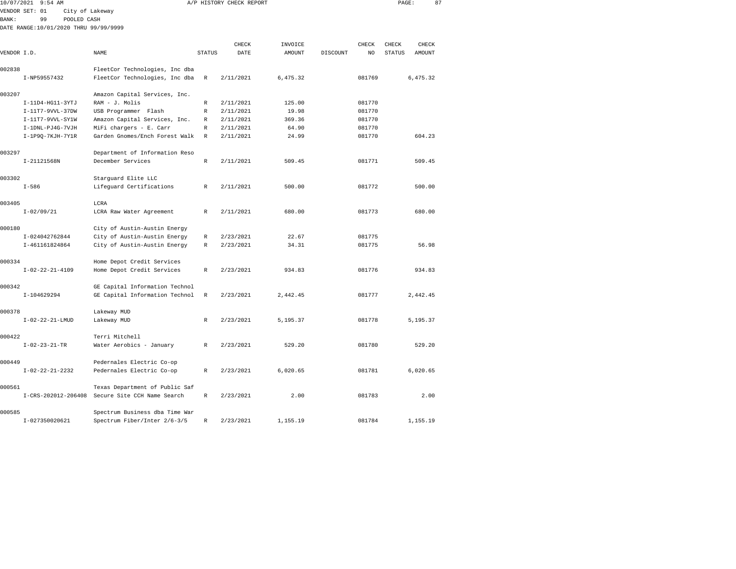| 10/07/2021    | 9:54 AM                               |                                                 |               | A/P HISTORY CHECK REPORT |          |          |        | PAGE:  |          | 87 |
|---------------|---------------------------------------|-------------------------------------------------|---------------|--------------------------|----------|----------|--------|--------|----------|----|
|               | VENDOR SET: 01<br>City of Lakeway     |                                                 |               |                          |          |          |        |        |          |    |
| <b>BANK :</b> | 99<br>POOLED CASH                     |                                                 |               |                          |          |          |        |        |          |    |
|               | DATE RANGE:10/01/2020 THRU 99/99/9999 |                                                 |               |                          |          |          |        |        |          |    |
|               |                                       |                                                 |               |                          |          |          |        |        |          |    |
|               |                                       |                                                 |               | CHECK                    | INVOICE  |          | CHECK  | CHECK  | CHECK    |    |
| VENDOR I.D.   |                                       | NAME                                            | <b>STATUS</b> | DATE                     | AMOUNT   | DISCOUNT | NO     | STATUS | AMOUNT   |    |
| 002838        |                                       | FleetCor Technologies, Inc dba                  |               |                          |          |          |        |        |          |    |
|               | I-NP59557432                          | FleetCor Technologies, Inc dba                  | R             | 2/11/2021                | 6,475.32 |          | 081769 |        | 6,475.32 |    |
| 003207        |                                       |                                                 |               |                          |          |          |        |        |          |    |
|               | I-11D4-HG11-3YTJ                      | Amazon Capital Services, Inc.<br>RAM - J. Molis | R             | 2/11/2021                | 125.00   |          | 081770 |        |          |    |
|               | I-11T7-9VVL-37DW                      | USB Programmer Flash                            |               | 2/11/2021                | 19.98    |          | 081770 |        |          |    |
|               |                                       |                                                 | R             | 2/11/2021                |          |          |        |        |          |    |
|               | I-11T7-9VVL-SY1W                      | Amazon Capital Services, Inc.                   | R             |                          | 369.36   |          | 081770 |        |          |    |
|               | I-1DNL-PJ4G-7VJH                      | MiFi chargers - E. Carr                         | R             | 2/11/2021                | 64.90    |          | 081770 |        |          |    |
|               | I-1P9Q-7KJH-7Y1R                      | Garden Gnomes/Ench Forest Walk                  | R             | 2/11/2021                | 24.99    |          | 081770 |        | 604.23   |    |
| 003297        |                                       | Department of Information Reso                  |               |                          |          |          |        |        |          |    |
|               | I-21121568N                           | December Services                               | R             | 2/11/2021                | 509.45   |          | 081771 |        | 509.45   |    |
|               |                                       |                                                 |               |                          |          |          |        |        |          |    |
| 003302        |                                       | Starguard Elite LLC                             |               |                          |          |          |        |        |          |    |
|               | $I - 586$                             | Lifeguard Certifications                        | R             | 2/11/2021                | 500.00   |          | 081772 |        | 500.00   |    |
| 003405        |                                       | LCRA                                            |               |                          |          |          |        |        |          |    |
|               | $I - 02/09/21$                        | LCRA Raw Water Agreement                        | R             | 2/11/2021                | 680.00   |          | 081773 |        | 680.00   |    |
|               |                                       |                                                 |               |                          |          |          |        |        |          |    |
| 000180        |                                       | City of Austin-Austin Energy                    |               |                          |          |          |        |        |          |    |
|               | I-024042762844                        | City of Austin-Austin Energy                    | R             | 2/23/2021                | 22.67    |          | 081775 |        |          |    |
|               | I-461161824864                        | City of Austin-Austin Energy                    | R             | 2/23/2021                | 34.31    |          | 081775 |        | 56.98    |    |
| 000334        |                                       | Home Depot Credit Services                      |               |                          |          |          |        |        |          |    |
|               | $I-02-22-21-4109$                     | Home Depot Credit Services                      | R             | 2/23/2021                | 934.83   |          | 081776 |        | 934.83   |    |
|               |                                       |                                                 |               |                          |          |          |        |        |          |    |
| 000342        |                                       | GE Capital Information Technol                  |               |                          |          |          |        |        |          |    |
|               | I-104629294                           | GE Capital Information Technol                  | R             | 2/23/2021                | 2,442.45 |          | 081777 |        | 2,442.45 |    |
| 000378        |                                       | Lakeway MUD                                     |               |                          |          |          |        |        |          |    |
|               | $I-02-22-21-LMUD$                     | Lakeway MUD                                     | R             | 2/23/2021                | 5,195.37 |          | 081778 |        | 5,195.37 |    |
|               |                                       |                                                 |               |                          |          |          |        |        |          |    |
| 000422        |                                       | Terri Mitchell                                  |               |                          |          |          |        |        |          |    |
|               | $I - 02 - 23 - 21 - TR$               | Water Aerobics - January                        | R             | 2/23/2021                | 529.20   |          | 081780 |        | 529.20   |    |
|               |                                       |                                                 |               |                          |          |          |        |        |          |    |
| 000449        |                                       | Pedernales Electric Co-op                       |               |                          | 6,020.65 |          |        |        |          |    |
|               | $I-02-22-21-2232$                     | Pedernales Electric Co-op                       | R             | 2/23/2021                |          |          | 081781 |        | 6,020.65 |    |
| 000561        |                                       | Texas Department of Public Saf                  |               |                          |          |          |        |        |          |    |
|               |                                       | I-CRS-202012-206408 Secure Site CCH Name Search | R             | 2/23/2021                | 2.00     |          | 081783 |        | 2.00     |    |
|               |                                       |                                                 |               |                          |          |          |        |        |          |    |

I-027350020621 Spectrum Fiber/Inter 2/6-3/5 R 2/23/2021 1,155.19 081784 1,155.19

000585 Spectrum Business dba Time War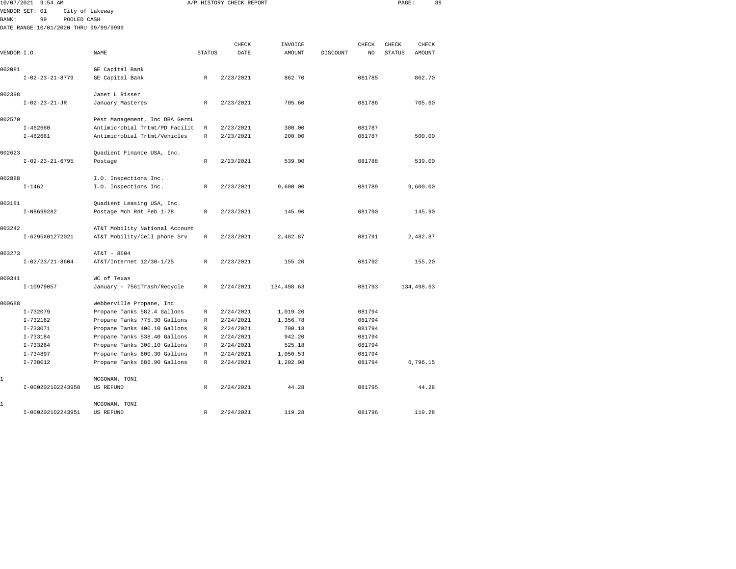| 10/07/2021 9:54 AM                    |                                |               | A/P HISTORY CHECK REPORT |                   |          |              | PAGE:                  | 88            |  |
|---------------------------------------|--------------------------------|---------------|--------------------------|-------------------|----------|--------------|------------------------|---------------|--|
| VENDOR SET: 01                        | City of Lakeway                |               |                          |                   |          |              |                        |               |  |
| BANK:<br>99<br>POOLED CASH            |                                |               |                          |                   |          |              |                        |               |  |
| DATE RANGE:10/01/2020 THRU 99/99/9999 |                                |               |                          |                   |          |              |                        |               |  |
|                                       |                                |               |                          |                   |          |              |                        | CHECK         |  |
| VENDOR I.D.                           | NAME                           | <b>STATUS</b> | CHECK<br>DATE            | INVOICE<br>AMOUNT | DISCOUNT | CHECK<br>NO. | CHECK<br><b>STATUS</b> | <b>AMOUNT</b> |  |
|                                       |                                |               |                          |                   |          |              |                        |               |  |
| 002081                                | GE Capital Bank                |               |                          |                   |          |              |                        |               |  |
| $I - 02 - 23 - 21 - 8779$             | GE Capital Bank                | R             | 2/23/2021                | 862.70            |          | 081785       |                        | 862.70        |  |
|                                       |                                |               |                          |                   |          |              |                        |               |  |
| 002398                                | Janet L Risser                 |               |                          |                   |          |              |                        |               |  |
| $I - 02 - 23 - 21 - JR$               | January Masteres               | R             | 2/23/2021                | 705.60            |          | 081786       |                        | 705.60        |  |
| 002570                                | Pest Management, Inc DBA GermL |               |                          |                   |          |              |                        |               |  |
| $I - 462660$                          | Antimicrobial Trtmt/PD Facilit | $\mathbb R$   | 2/23/2021                | 300.00            |          | 081787       |                        |               |  |
| $I - 462661$                          | Antimicrobial Trtmt/Vehicles   | $\mathbb R$   | 2/23/2021                | 200.00            |          | 081787       |                        | 500.00        |  |
|                                       |                                |               |                          |                   |          |              |                        |               |  |
| 002623                                | Quadient Finance USA, Inc.     |               |                          |                   |          |              |                        |               |  |
| $I-02-23-21-6795$                     | Postage                        | $\mathbb R$   | 2/23/2021                | 539.00            |          | 081788       |                        | 539.00        |  |
|                                       |                                |               |                          |                   |          |              |                        |               |  |
| 002888                                | I.O. Inspections Inc.          |               |                          |                   |          |              |                        |               |  |
| $I - 1462$                            | I.O. Inspections Inc.          | R             | 2/23/2021                | 9,600.00          |          | 081789       |                        | 9,600.00      |  |
| 003181                                | Quadient Leasing USA, Inc.     |               |                          |                   |          |              |                        |               |  |
| I-N8699282                            | Postage Mch Rnt Feb 1-28       | $\mathbb R$   | 2/23/2021                | 145.90            |          | 081790       |                        | 145.90        |  |
|                                       |                                |               |                          |                   |          |              |                        |               |  |
| 003242                                | AT&T Mobility National Account |               |                          |                   |          |              |                        |               |  |
| I-6295X01272021                       | AT&T Mobility/Cell phone Srv   | R             | 2/23/2021                | 2,482.87          |          | 081791       |                        | 2,482.87      |  |
| 003273                                | AT&T - 8604                    |               |                          |                   |          |              |                        |               |  |
| $I-02/23/21-8604$                     | AT&T/Internet 12/30-1/25       | R             | 2/23/2021                | 155.20            |          | 081792       |                        | 155.20        |  |
|                                       |                                |               |                          |                   |          |              |                        |               |  |
| 000341                                | WC of Texas                    |               |                          |                   |          |              |                        |               |  |
| I-10979057                            | January - 7561Trash/Recycle    | R             | 2/24/2021                | 134,498.63        |          | 081793       |                        | 134,498.63    |  |
|                                       |                                |               |                          |                   |          |              |                        |               |  |
| 000688                                | Webberville Propane, Inc       |               |                          |                   |          |              |                        |               |  |
| $I - 732079$                          | Propane Tanks 582.4 Gallons    | R             | 2/24/2021                | 1,019.20          |          | 081794       |                        |               |  |
| $I-732162$                            | Propane Tanks 775.30 Gallons   | R             | 2/24/2021                | 1,356.78          |          | 081794       |                        |               |  |
| $I - 733071$                          | Propane Tanks 400.10 Gallons   | R             | 2/24/2021                | 700.18            |          | 081794       |                        |               |  |
| $I - 733184$                          | Propane Tanks 538.40 Gallons   | R             | 2/24/2021                | 942.20            |          | 081794       |                        |               |  |
| $I - 733264$                          | Propane Tanks 300.10 Gallons   | R             | 2/24/2021                | 525.18            |          | 081794       |                        |               |  |
| $I - 734897$                          | Propane Tanks 600.30 Gallons   | R             | 2/24/2021                | 1,050.53          |          | 081794       |                        |               |  |
| $I-738012$                            | Propane Tanks 686.90 Gallons   | R             | 2/24/2021                | 1,202.08          |          | 081794       |                        | 6,796.15      |  |
|                                       |                                |               |                          |                   |          |              |                        |               |  |
| 1                                     | MCGOWAN, TONI                  |               |                          |                   |          |              |                        |               |  |
| I-000202102243950                     | US REFUND                      | R             | 2/24/2021                | 44.28             |          | 081795       |                        | 44.28         |  |
| 1                                     | MCGOWAN, TONI                  |               |                          |                   |          |              |                        |               |  |
|                                       |                                |               |                          |                   |          |              |                        |               |  |

I-000202102243951 US REFUND R 2/24/2021 119.28 081796 119.28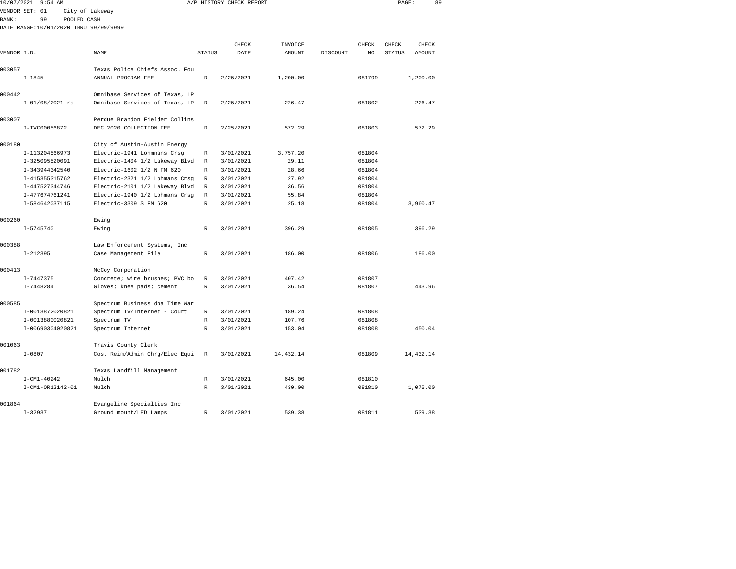| 10/07/2021   | $9:54$ AM                             |                 |                                |               | A/P HISTORY CHECK REPORT |            |                            |               | PAGE:<br>89 |  |
|--------------|---------------------------------------|-----------------|--------------------------------|---------------|--------------------------|------------|----------------------------|---------------|-------------|--|
|              | VENDOR SET: 01                        | City of Lakeway |                                |               |                          |            |                            |               |             |  |
| <b>BANK:</b> | 99                                    | POOLED CASH     |                                |               |                          |            |                            |               |             |  |
|              | DATE RANGE:10/01/2020 THRU 99/99/9999 |                 |                                |               |                          |            |                            |               |             |  |
|              |                                       |                 |                                |               |                          |            |                            |               |             |  |
|              |                                       |                 |                                |               | CHECK                    | INVOICE    | CHECK                      | CHECK         | CHECK       |  |
| VENDOR I.D.  |                                       |                 | NAME                           | <b>STATUS</b> | DATE                     | AMOUNT     | DISCOUNT<br>N <sub>O</sub> | <b>STATUS</b> | AMOUNT      |  |
| 003057       |                                       |                 | Texas Police Chiefs Assoc. Fou |               |                          |            |                            |               |             |  |
|              | $I - 1845$                            |                 | ANNUAL PROGRAM FEE             | $\mathbb{R}$  | 2/25/2021                | 1,200.00   | 081799                     |               | 1,200.00    |  |
| 000442       |                                       |                 | Omnibase Services of Texas, LP |               |                          |            |                            |               |             |  |
|              | $I-01/08/2021-rs$                     |                 | Omnibase Services of Texas, LP | R             | 2/25/2021                | 226.47     | 081802                     |               | 226.47      |  |
| 003007       |                                       |                 | Perdue Brandon Fielder Collins |               |                          |            |                            |               |             |  |
|              | I-IVC00056872                         |                 | DEC 2020 COLLECTION FEE        | $\mathbb{R}$  | 2/25/2021                | 572.29     | 081803                     |               | 572.29      |  |
| 000180       |                                       |                 | City of Austin-Austin Energy   |               |                          |            |                            |               |             |  |
|              | I-113204566973                        |                 | Electric-1941 Lohmnans Crsq    | R             | 3/01/2021                | 3,757.20   | 081804                     |               |             |  |
|              | I-325095520091                        |                 | Electric-1404 1/2 Lakeway Blvd | $\mathbb R$   | 3/01/2021                | 29.11      | 081804                     |               |             |  |
|              | I-343944342540                        |                 | Electric-1602 1/2 N FM 620     | R             | 3/01/2021                | 28.66      | 081804                     |               |             |  |
|              | I-415355315762                        |                 | Electric-2321 1/2 Lohmans Crsg | $\mathbb{R}$  | 3/01/2021                | 27.92      | 081804                     |               |             |  |
|              | I-447527344746                        |                 | Electric-2101 1/2 Lakeway Blvd | $\mathbb R$   | 3/01/2021                | 36.56      | 081804                     |               |             |  |
|              | I-477674761241                        |                 | Electric-1940 1/2 Lohmans Crsg | $\mathbb R$   | 3/01/2021                | 55.84      | 081804                     |               |             |  |
|              | I-584642037115                        |                 | Electric-3309 S FM 620         | $\mathbb{R}$  | 3/01/2021                | 25.18      | 081804                     |               | 3,960.47    |  |
| 000260       |                                       |                 | Ewing                          |               |                          |            |                            |               |             |  |
|              | $I - 5745740$                         |                 | Ewing                          | $\mathbb R$   | 3/01/2021                | 396.29     | 081805                     |               | 396.29      |  |
|              |                                       |                 |                                |               |                          |            |                            |               |             |  |
| 000388       |                                       |                 | Law Enforcement Systems, Inc   |               |                          |            |                            |               |             |  |
|              | $I-212395$                            |                 | Case Management File           | $\mathbb R$   | 3/01/2021                | 186.00     | 081806                     |               | 186.00      |  |
| 000413       |                                       |                 | McCoy Corporation              |               |                          |            |                            |               |             |  |
|              | $I - 7447375$                         |                 | Concrete; wire brushes; PVC bo | $\mathbb R$   | 3/01/2021                | 407.42     | 081807                     |               |             |  |
|              | $I - 7448284$                         |                 | Gloves; knee pads; cement      | $\mathbb R$   | 3/01/2021                | 36.54      | 081807                     |               | 443.96      |  |
| 000585       |                                       |                 | Spectrum Business dba Time War |               |                          |            |                            |               |             |  |
|              | I-0013872020821                       |                 | Spectrum TV/Internet - Court   | $\mathbb R$   | 3/01/2021                | 189.24     | 081808                     |               |             |  |
|              | I-0013880020821                       |                 | Spectrum TV                    | $\mathbb R$   | 3/01/2021                | 107.76     | 081808                     |               |             |  |
|              | I-00690304020821                      |                 | Spectrum Internet              | $\mathbb R$   | 3/01/2021                | 153.04     | 081808                     |               | 450.04      |  |
| 001063       |                                       |                 | Travis County Clerk            |               |                          |            |                            |               |             |  |
|              | $I - 0807$                            |                 | Cost Reim/Admin Chrg/Elec Equi | $\mathbb{R}$  | 3/01/2021                | 14, 432.14 | 081809                     |               | 14,432.14   |  |
| 001782       |                                       |                 | Texas Landfill Management      |               |                          |            |                            |               |             |  |
|              | $I - CM1 - 40242$                     |                 | Mulch                          | $\mathbb R$   | 3/01/2021                | 645.00     | 081810                     |               |             |  |
|              | I-CM1-OR12142-01                      |                 | Mulch                          | $\mathbb{R}$  | 3/01/2021                | 430.00     | 081810                     |               | 1,075.00    |  |
|              |                                       |                 |                                |               |                          |            |                            |               |             |  |

I-32937 Ground mount/LED Lamps R 3/01/2021 539.38 081811 539.38

001864 Evangeline Specialties Inc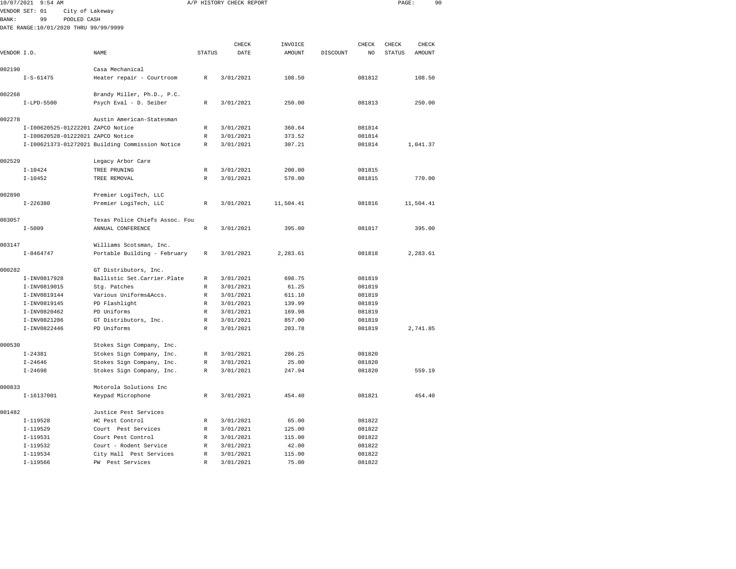|              | 10/07/2021 9:54 AM                    |                                                 |                   | A/P HISTORY CHECK REPORT |                 |          |                  | PAGE:  | 90        |  |
|--------------|---------------------------------------|-------------------------------------------------|-------------------|--------------------------|-----------------|----------|------------------|--------|-----------|--|
|              | VENDOR SET: 01<br>City of Lakeway     |                                                 |                   |                          |                 |          |                  |        |           |  |
| <b>BANK:</b> | 99<br>POOLED CASH                     |                                                 |                   |                          |                 |          |                  |        |           |  |
|              | DATE RANGE:10/01/2020 THRU 99/99/9999 |                                                 |                   |                          |                 |          |                  |        |           |  |
|              |                                       |                                                 |                   |                          |                 |          |                  |        |           |  |
|              |                                       |                                                 |                   | CHECK                    | INVOICE         |          | CHECK            | CHECK  | CHECK     |  |
| VENDOR I.D.  |                                       | NAME                                            | <b>STATUS</b>     | DATE                     | AMOUNT          | DISCOUNT | NO.              | STATUS | AMOUNT    |  |
| 002190       |                                       | Casa Mechanical                                 |                   |                          |                 |          |                  |        |           |  |
|              | $I-S-61475$                           | Heater repair - Courtroom                       | R                 | 3/01/2021                | 108.50          |          | 081812           |        | 108.50    |  |
| 002268       |                                       | Brandy Miller, Ph.D., P.C.                      |                   |                          |                 |          |                  |        |           |  |
|              | $I-LPD-5500$                          | Psych Eval - D. Seiber                          | R                 | 3/01/2021                | 250.00          |          | 081813           |        | 250.00    |  |
| 002278       |                                       | Austin American-Statesman                       |                   |                          |                 |          |                  |        |           |  |
|              | I-I00620525-01222201 ZAPCO Notice     |                                                 | R                 | 3/01/2021                | 360.64          |          | 081814           |        |           |  |
|              | I-I00620528-01222021 ZAPCO Notice     |                                                 | $\mathbb R$       | 3/01/2021                | 373.52          |          | 081814           |        |           |  |
|              |                                       | I-I00621373-01272021 Building Commission Notice | R                 | 3/01/2021                | 307.21          |          | 081814           |        | 1,041.37  |  |
|              |                                       |                                                 |                   |                          |                 |          |                  |        |           |  |
| 002529       |                                       | Legacy Arbor Care                               |                   |                          |                 |          |                  |        |           |  |
|              | $I - 10424$                           | TREE PRUNING                                    | $\mathbb R$<br>R  | 3/01/2021                | 200.00          |          | 081815           |        |           |  |
|              | $I - 10452$                           | TREE REMOVAL                                    |                   | 3/01/2021                | 570.00          |          | 081815           |        | 770.00    |  |
| 002890       |                                       | Premier LogiTech, LLC                           |                   |                          |                 |          |                  |        |           |  |
|              | $I - 226380$                          | Premier LogiTech, LLC                           | R                 | 3/01/2021                | 11,504.41       |          | 081816           |        | 11,504.41 |  |
| 003057       |                                       | Texas Police Chiefs Assoc. Fou                  |                   |                          |                 |          |                  |        |           |  |
|              | $I - 5009$                            | ANNUAL CONFERENCE                               | $\mathbb R$       | 3/01/2021                | 395.00          |          | 081817           |        | 395.00    |  |
| 003147       |                                       | Williams Scotsman, Inc.                         |                   |                          |                 |          |                  |        |           |  |
|              | $I - 8464747$                         | Portable Building - February                    | $\mathbb R$       | 3/01/2021                | 2,283.61        |          | 081818           |        | 2,283.61  |  |
|              |                                       |                                                 |                   |                          |                 |          |                  |        |           |  |
| 000282       |                                       | GT Distributors, Inc.                           |                   |                          |                 |          |                  |        |           |  |
|              | I-INV0817928                          | Ballistic Set.Carrier.Plate<br>Stg. Patches     | R<br>$\mathbb{R}$ | 3/01/2021                | 698.75          |          | 081819           |        |           |  |
|              | I-INV0819015<br>I-INV0819144          |                                                 |                   | 3/01/2021<br>3/01/2021   | 61.25<br>611.10 |          | 081819           |        |           |  |
|              | I-INV0819145                          | Various Uniforms&Accs.<br>PD Flashlight         | R<br>$\mathbb R$  | 3/01/2021                | 139.99          |          | 081819<br>081819 |        |           |  |
|              | I-INV0820462                          | PD Uniforms                                     | R                 | 3/01/2021                | 169.98          |          | 081819           |        |           |  |
|              | I-INV0821286                          | GT Distributors, Inc.                           | R                 | 3/01/2021                | 857.00          |          | 081819           |        |           |  |
|              | I-INV0822446                          | PD Uniforms                                     | R                 | 3/01/2021                | 203.78          |          | 081819           |        | 2,741.85  |  |
|              |                                       |                                                 |                   |                          |                 |          |                  |        |           |  |
| 000530       |                                       | Stokes Sign Company, Inc.                       |                   |                          |                 |          |                  |        |           |  |
|              | $I - 24381$                           | Stokes Sign Company, Inc.                       | R                 | 3/01/2021                | 286.25          |          | 081820           |        |           |  |
|              | $I - 24646$                           | Stokes Sign Company, Inc.                       | $\mathbb R$       | 3/01/2021                | 25.00           |          | 081820           |        |           |  |
|              | $I - 24698$                           | Stokes Sign Company, Inc.                       | R                 | 3/01/2021                | 247.94          |          | 081820           |        | 559.19    |  |
| 000833       |                                       | Motorola Solutions Inc                          |                   |                          |                 |          |                  |        |           |  |
|              | $I-16137001$                          | Keypad Microphone                               | R                 | 3/01/2021                | 454.40          |          | 081821           |        | 454.40    |  |
| 001482       |                                       | Justice Pest Services                           |                   |                          |                 |          |                  |        |           |  |
|              | $I-119528$                            | HC Pest Control                                 | R                 | 3/01/2021                | 65.00           |          | 081822           |        |           |  |
|              | $I-119529$                            | Court Pest Services                             | R                 | 3/01/2021                | 125.00          |          | 081822           |        |           |  |
|              | $I-119531$                            | Court Pest Control                              | R                 | 3/01/2021                | 115.00          |          | 081822           |        |           |  |
|              | $I-119532$                            | Court - Rodent Service                          | R                 | 3/01/2021                | 42.00           |          | 081822           |        |           |  |
|              | $I-119534$                            | City Hall Pest Services                         | $\mathbb{R}$      | 3/01/2021                | 115.00          |          | 081822           |        |           |  |

I-119566 PW Pest Services R 3/01/2021 75.00 081822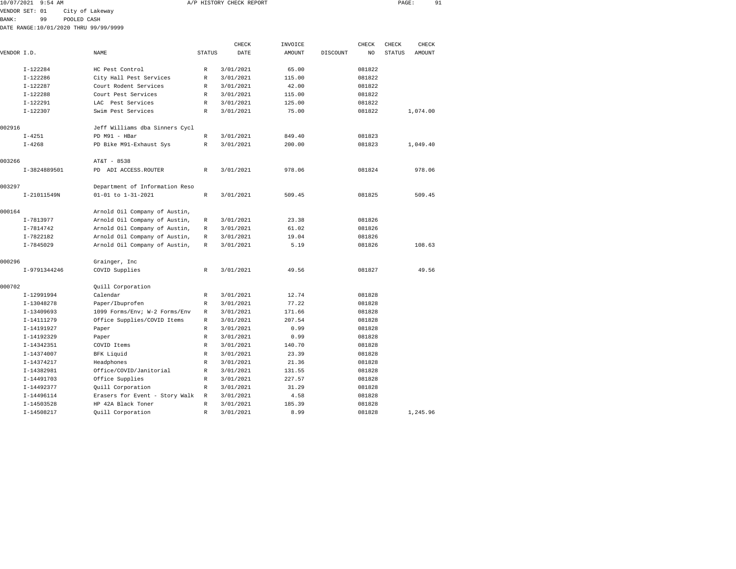| 10/07/2021 9:54 AM |    |                                       | A/P HISTORY CHECK REPORT |  | PAGE: |  |
|--------------------|----|---------------------------------------|--------------------------|--|-------|--|
|                    |    | VENDOR SET: 01 City of Lakeway        |                          |  |       |  |
| <b>BANK:</b>       | 99 | POOLED CASH                           |                          |  |       |  |
|                    |    | DATE RANGE:10/01/2020 THRU 99/99/9999 |                          |  |       |  |

|             |               |                                |               | CHECK     | INVOICE       |          | CHECK  | CHECK         | CHECK    |  |
|-------------|---------------|--------------------------------|---------------|-----------|---------------|----------|--------|---------------|----------|--|
| VENDOR I.D. |               | NAME                           | <b>STATUS</b> | DATE      | <b>AMOUNT</b> | DISCOUNT | NO.    | <b>STATUS</b> | AMOUNT   |  |
|             | $I-122284$    | HC Pest Control                | R             | 3/01/2021 | 65.00         |          | 081822 |               |          |  |
|             | $I-122286$    | City Hall Pest Services        | $\mathbb{R}$  | 3/01/2021 | 115.00        |          | 081822 |               |          |  |
|             | $I-122287$    | Court Rodent Services          | $\mathbb{R}$  | 3/01/2021 | 42.00         |          | 081822 |               |          |  |
|             | $I-122288$    | Court Pest Services            | $\mathbb{R}$  | 3/01/2021 | 115.00        |          | 081822 |               |          |  |
|             | $I-122291$    | LAC Pest Services              | R             | 3/01/2021 | 125.00        |          | 081822 |               |          |  |
|             | $I-122307$    | Swim Pest Services             | $\mathbb{R}$  | 3/01/2021 | 75.00         |          | 081822 |               | 1,074.00 |  |
| 002916      |               | Jeff Williams dba Sinners Cycl |               |           |               |          |        |               |          |  |
|             | $I - 4251$    | PD M91 - HBar                  | $\mathbb{R}$  | 3/01/2021 | 849.40        |          | 081823 |               |          |  |
|             | $I - 4268$    | PD Bike M91-Exhaust Sys        | $\mathbb R$   | 3/01/2021 | 200.00        |          | 081823 |               | 1,049.40 |  |
| 003266      |               | AT&T - 8538                    |               |           |               |          |        |               |          |  |
|             | I-3824889501  | PD ADI ACCESS. ROUTER          | $\mathbb{R}$  | 3/01/2021 | 978.06        |          | 081824 |               | 978.06   |  |
| 003297      |               | Department of Information Reso |               |           |               |          |        |               |          |  |
|             | I-21011549N   | 01-01 to 1-31-2021             | $\mathbb R$   | 3/01/2021 | 509.45        |          | 081825 |               | 509.45   |  |
| 000164      |               | Arnold Oil Company of Austin,  |               |           |               |          |        |               |          |  |
|             | I-7813977     | Arnold Oil Company of Austin,  | $\mathbb{R}$  | 3/01/2021 | 23.38         |          | 081826 |               |          |  |
|             | $I - 7814742$ | Arnold Oil Company of Austin,  | $\mathbb{R}$  | 3/01/2021 | 61.02         |          | 081826 |               |          |  |
|             | I-7822182     | Arnold Oil Company of Austin,  | R             | 3/01/2021 | 19.04         |          | 081826 |               |          |  |
|             | $I - 7845029$ | Arnold Oil Company of Austin,  | R             | 3/01/2021 | 5.19          |          | 081826 |               | 108.63   |  |
| 000296      |               | Grainger, Inc                  |               |           |               |          |        |               |          |  |
|             | I-9791344246  | COVID Supplies                 | $\mathbb{R}$  | 3/01/2021 | 49.56         |          | 081827 |               | 49.56    |  |
| 000702      |               | Quill Corporation              |               |           |               |          |        |               |          |  |
|             | I-12991994    | Calendar                       | $\mathbb R$   | 3/01/2021 | 12.74         |          | 081828 |               |          |  |
|             | I-13048278    | Paper/Ibuprofen                | R             | 3/01/2021 | 77.22         |          | 081828 |               |          |  |
|             | I-13409693    | 1099 Forms/Env; W-2 Forms/Env  | $\mathbb{R}$  | 3/01/2021 | 171.66        |          | 081828 |               |          |  |
|             | I-14111279    | Office Supplies/COVID Items    | $\mathbb{R}$  | 3/01/2021 | 207.54        |          | 081828 |               |          |  |
|             | I-14191927    | Paper                          | R             | 3/01/2021 | 0.99          |          | 081828 |               |          |  |
|             | I-14192329    | Paper                          | $\mathbb{R}$  | 3/01/2021 | 0.99          |          | 081828 |               |          |  |
|             | I-14342351    | COVID Items                    | $\mathbb R$   | 3/01/2021 | 140.70        |          | 081828 |               |          |  |
|             | I-14374007    | BFK Liquid                     | R             | 3/01/2021 | 23.39         |          | 081828 |               |          |  |
|             | I-14374217    | Headphones                     | R             | 3/01/2021 | 21.36         |          | 081828 |               |          |  |
|             | I-14382981    | Office/COVID/Janitorial        | $\mathbb R$   | 3/01/2021 | 131.55        |          | 081828 |               |          |  |
|             | I-14491703    | Office Supplies                | R             | 3/01/2021 | 227.57        |          | 081828 |               |          |  |
|             | I-14492377    | Quill Corporation              | $\mathbb{R}$  | 3/01/2021 | 31.29         |          | 081828 |               |          |  |
|             | I-14496114    | Erasers for Event - Story Walk | $\mathbb R$   | 3/01/2021 | 4.58          |          | 081828 |               |          |  |
|             | I-14503528    | HP 42A Black Toner             | $\mathbb{R}$  | 3/01/2021 | 185.39        |          | 081828 |               |          |  |
|             | I-14508217    | Quill Corporation              | $\mathbb R$   | 3/01/2021 | 8.99          |          | 081828 |               | 1,245.96 |  |
|             |               |                                |               |           |               |          |        |               |          |  |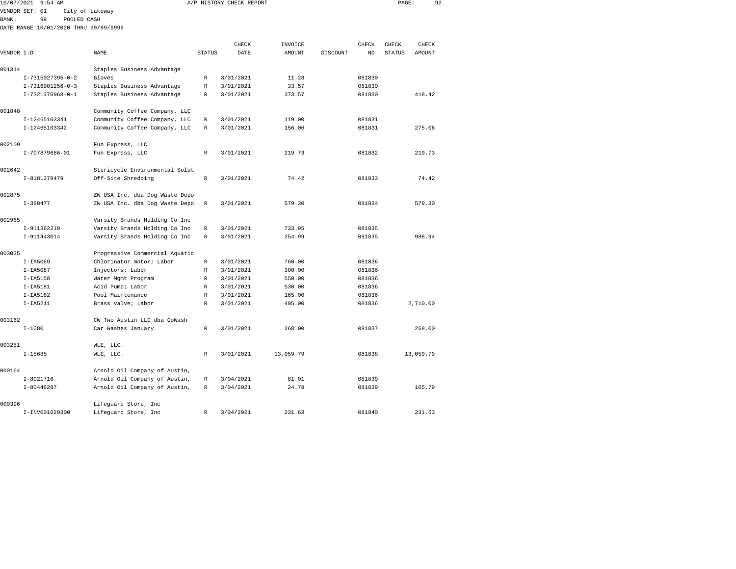| 10/07/2021   | $9:54$ AM                             |                                                      |               | A/P HISTORY CHECK REPORT |                  |          |                  | PAGE:         | 92        |
|--------------|---------------------------------------|------------------------------------------------------|---------------|--------------------------|------------------|----------|------------------|---------------|-----------|
|              | VENDOR SET: 01                        | City of Lakeway                                      |               |                          |                  |          |                  |               |           |
| <b>BANK:</b> | 99<br>POOLED CASH                     |                                                      |               |                          |                  |          |                  |               |           |
|              | DATE RANGE:10/01/2020 THRU 99/99/9999 |                                                      |               |                          |                  |          |                  |               |           |
|              |                                       |                                                      |               |                          |                  |          |                  |               |           |
|              |                                       |                                                      |               | CHECK                    | INVOICE          |          | CHECK            | CHECK         | CHECK     |
| VENDOR I.D.  |                                       | NAME                                                 | <b>STATUS</b> | DATE                     | AMOUNT           | DISCOUNT | NO               | <b>STATUS</b> | AMOUNT    |
| 001314       |                                       | Staples Business Advantage                           |               |                          |                  |          |                  |               |           |
|              | $I-7315027395-0-2$                    | Gloves                                               | R             | 3/01/2021                | 11.28            |          | 081830           |               |           |
|              | I-7316901256-0-3                      | Staples Business Advantage                           | R             | 3/01/2021                | 33.57            |          | 081830           |               |           |
|              | I-7321370968-0-1                      | Staples Business Advantage                           | R             | 3/01/2021                | 373.57           |          | 081830           |               | 418.42    |
|              |                                       |                                                      |               |                          |                  |          |                  |               |           |
| 001848       |                                       | Community Coffee Company, LLC                        |               |                          |                  |          |                  |               |           |
|              | I-12465103341                         | Community Coffee Company, LLC                        | R             | 3/01/2021                | 119.00           |          | 081831           |               |           |
|              | I-12465103342                         | Community Coffee Company, LLC                        | R             | 3/01/2021                | 156.06           |          | 081831           |               | 275.06    |
|              |                                       |                                                      |               |                          |                  |          |                  |               |           |
| 002109       |                                       | Fun Express, LLC                                     |               |                          |                  |          |                  |               |           |
|              | I-707879666-01                        | Fun Express, LLC                                     | R             | 3/01/2021                | 219.73           |          | 081832           |               | 219.73    |
|              |                                       |                                                      |               |                          |                  |          |                  |               |           |
| 002642       | I-8181378479                          | Stericycle Environmental Solut<br>Off-Site Shredding | R             | 3/01/2021                | 74.42            |          | 081833           |               | 74.42     |
|              |                                       |                                                      |               |                          |                  |          |                  |               |           |
| 002875       |                                       | ZW USA Inc. dba Dog Waste Depo                       |               |                          |                  |          |                  |               |           |
|              | $I-388477$                            | ZW USA Inc. dba Dog Waste Depo                       | R             | 3/01/2021                | 579.30           |          | 081834           |               | 579.30    |
|              |                                       |                                                      |               |                          |                  |          |                  |               |           |
| 002965       |                                       | Varsity Brands Holding Co Inc                        |               |                          |                  |          |                  |               |           |
|              | I-911362219                           | Varsity Brands Holding Co Inc                        | R             | 3/01/2021                | 733.95           |          | 081835           |               |           |
|              | I-911443014                           | Varsity Brands Holding Co Inc                        | R             | 3/01/2021                | 254.99           |          | 081835           |               | 988.94    |
|              |                                       |                                                      |               |                          |                  |          |                  |               |           |
| 003035       |                                       | Progressive Commercial Aquatic                       |               |                          |                  |          |                  |               |           |
|              | $I-IA5069$                            | Chlorinator motor; Labor                             | R             | 3/01/2021                | 760.00           |          | 081836           |               |           |
|              | $I-IA5087$                            | Injectors; Labor                                     | R             | 3/01/2021                | 300.00           |          | 081836           |               |           |
|              | $I-IA5158$<br>$I-IA5181$              | Water Mgmt Program<br>Acid Pump; Labor               | R<br>R        | 3/01/2021<br>3/01/2021   | 550.00<br>530.00 |          | 081836<br>081836 |               |           |
|              | $I-IA5182$                            | Pool Maintenance                                     | R             | 3/01/2021                | 165.00           |          | 081836           |               |           |
|              | $I-IA5211$                            | Brass valve; Labor                                   | R             | 3/01/2021                | 405.00           |          | 081836           |               | 2,710.00  |
|              |                                       |                                                      |               |                          |                  |          |                  |               |           |
| 003162       |                                       | CW Two Austin LLC dba GoWash                         |               |                          |                  |          |                  |               |           |
|              | $I - 1080$                            | Car Washes January                                   | R             | 3/01/2021                | 268.00           |          | 081837           |               | 268.00    |
|              |                                       |                                                      |               |                          |                  |          |                  |               |           |
| 003251       |                                       | WLE, LLC.                                            |               |                          |                  |          |                  |               |           |
|              | $I-15685$                             | WLE, LLC.                                            | R             | 3/01/2021                | 13,059.79        |          | 081838           |               | 13,059.79 |
|              |                                       |                                                      |               |                          |                  |          |                  |               |           |
| 000164       |                                       | Arnold Oil Company of Austin,                        |               |                          |                  |          |                  |               |           |
|              | $I - 8021716$                         | Arnold Oil Company of Austin,                        | R             | 3/04/2021                | 81.01            |          | 081839           |               |           |
|              | $I-80446287$                          | Arnold Oil Company of Austin,                        | R             | 3/04/2021                | 24.78            |          | 081839           |               | 105.79    |

I-INV001029300 Lifeguard Store, Inc R 3/04/2021 231.63 081840 231.63

000396 Lifeguard Store, Inc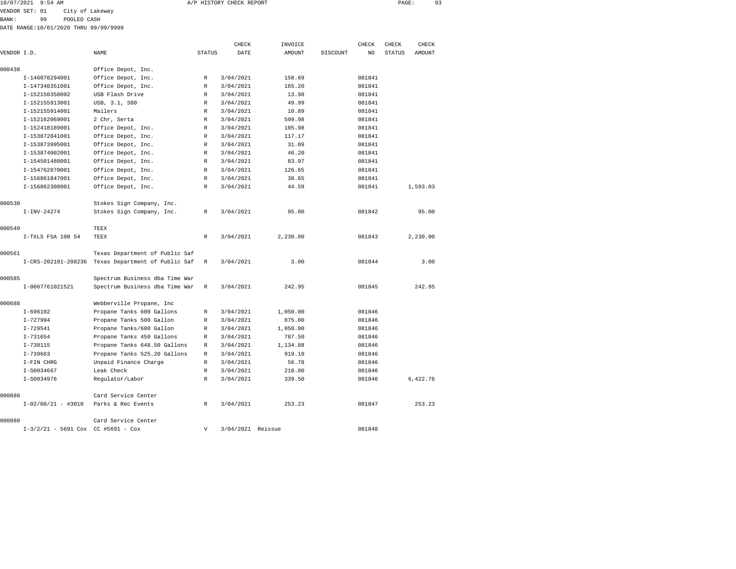| 10/07/2021 9:54 AM |                 | A/P HISTORY CHECK REPORT | PAGE |  |
|--------------------|-----------------|--------------------------|------|--|
| VENDOR SET: 01     | City of Lakeway |                          |      |  |

VENDOR SET: 01 City of Lakeway

BANK: 99 POOLED CASH

DATE RANGE:10/01/2020 THRU 99/99/9999

|             |                                    |                                |                           | CHECK             | INVOICE       |          | CHECK  | CHECK         | CHECK    |
|-------------|------------------------------------|--------------------------------|---------------------------|-------------------|---------------|----------|--------|---------------|----------|
| VENDOR I.D. |                                    | NAME                           | <b>STATUS</b>             | DATE              | <b>AMOUNT</b> | DISCOUNT | NO     | <b>STATUS</b> | AMOUNT   |
| 000438      |                                    | Office Depot, Inc.             |                           |                   |               |          |        |               |          |
|             | I-146070294001                     | Office Depot, Inc.             | R                         | 3/04/2021         | 158.69        |          | 081841 |               |          |
|             | I-147340351001                     | Office Depot, Inc.             | R                         | 3/04/2021         | 165.20        |          | 081841 |               |          |
|             | I-152150358002                     | USB Flash Drive                | R                         | 3/04/2021         | 13.98         |          | 081841 |               |          |
|             | I-152155913001                     | USB, 3.1, S80                  | R                         | 3/04/2021         | 49.99         |          | 081841 |               |          |
|             | I-152155914001                     | Mailers                        | R                         | 3/04/2021         | 10.89         |          | 081841 |               |          |
|             | I-152162069001                     | 2 Chr, Serta                   | R                         | 3/04/2021         | 599.98        |          | 081841 |               |          |
|             | I-152418189001                     | Office Depot, Inc.             | R                         | 3/04/2021         | 105.98        |          | 081841 |               |          |
|             | I-153872841001                     | Office Depot, Inc.             | R                         | 3/04/2021         | 117.17        |          | 081841 |               |          |
|             | I-153873995001                     | Office Depot, Inc.             | R                         | 3/04/2021         | 31.09         |          | 081841 |               |          |
|             | I-153874002001                     | Office Depot, Inc.             | R                         | 3/04/2021         | 46.20         |          | 081841 |               |          |
|             | I-154501488001                     | Office Depot, Inc.             | R                         | 3/04/2021         | 83.97         |          | 081841 |               |          |
|             | I-154762870001                     | Office Depot, Inc.             | $\mathbb{R}$              | 3/04/2021         | 126.65        |          | 081841 |               |          |
|             | I-156861847001                     | Office Depot, Inc.             | R                         | 3/04/2021         | 38.65         |          | 081841 |               |          |
|             | I-156862308001                     | Office Depot, Inc.             | R                         | 3/04/2021         | 44.59         |          | 081841 |               | 1,593.03 |
| 000530      |                                    | Stokes Sign Company, Inc.      |                           |                   |               |          |        |               |          |
|             | $I-INV-24274$                      | Stokes Sign Company, Inc.      | R                         | 3/04/2021         | 95.00         |          | 081842 |               | 95.00    |
| 000549      |                                    | TEEX                           |                           |                   |               |          |        |               |          |
|             | I-TXLS FSA 100 54                  | TEEX                           | R                         | 3/04/2021         | 2,230.00      |          | 081843 |               | 2,230.00 |
| 000561      |                                    | Texas Department of Public Saf |                           |                   |               |          |        |               |          |
|             | I-CRS-202101-208236                | Texas Department of Public Saf | R                         | 3/04/2021         | 3.00          |          | 081844 |               | 3.00     |
| 000585      |                                    | Spectrum Business dba Time War |                           |                   |               |          |        |               |          |
|             | I-0067761021521                    | Spectrum Business dba Time War | R                         | 3/04/2021         | 242.95        |          | 081845 |               | 242.95   |
| 000688      |                                    | Webberville Propane, Inc       |                           |                   |               |          |        |               |          |
|             | $I-696102$                         | Propane Tanks 600 Gallons      | R                         | 3/04/2021         | 1,050.00      |          | 081846 |               |          |
|             | $I - 727994$                       | Propane Tanks 500 Gallon       | R                         | 3/04/2021         | 875.00        |          | 081846 |               |          |
|             | $I - 729541$                       | Propane Tanks/600 Gallon       | R                         | 3/04/2021         | 1,050.00      |          | 081846 |               |          |
|             | $I - 731654$                       | Propane Tanks 450 Gallons      | R                         | 3/04/2021         | 787.50        |          | 081846 |               |          |
|             | $I - 738115$                       | Propane Tanks 648.50 Gallons   | R                         | 3/04/2021         | 1,134.88      |          | 081846 |               |          |
|             | $I - 739663$                       | Propane Tanks 525.20 Gallons   | R                         | 3/04/2021         | 919.10        |          | 081846 |               |          |
|             | I-FIN CHRG                         | Unpaid Finance Charge          | $\mathbb{R}$              | 3/04/2021         | 56.78         |          | 081846 |               |          |
|             | I-S0034667                         | Leak Check                     | R                         | 3/04/2021         | 210.00        |          | 081846 |               |          |
|             | $I-S0034976$                       | Regulator/Labor                | R                         | 3/04/2021         | 339.50        |          | 081846 |               | 6,422.76 |
| 000880      |                                    | Card Service Center            |                           |                   |               |          |        |               |          |
|             | $I-02/08/21 - #3010$               | Parks & Rec Events             | R                         | 3/04/2021         | 253.23        |          | 081847 |               | 253.23   |
| 000880      |                                    | Card Service Center            |                           |                   |               |          |        |               |          |
|             | I-3/2/21 - 5691 Cox CC #5691 - Cox |                                | $\boldsymbol{\mathrm{V}}$ | 3/04/2021 Reissue |               |          | 081848 |               |          |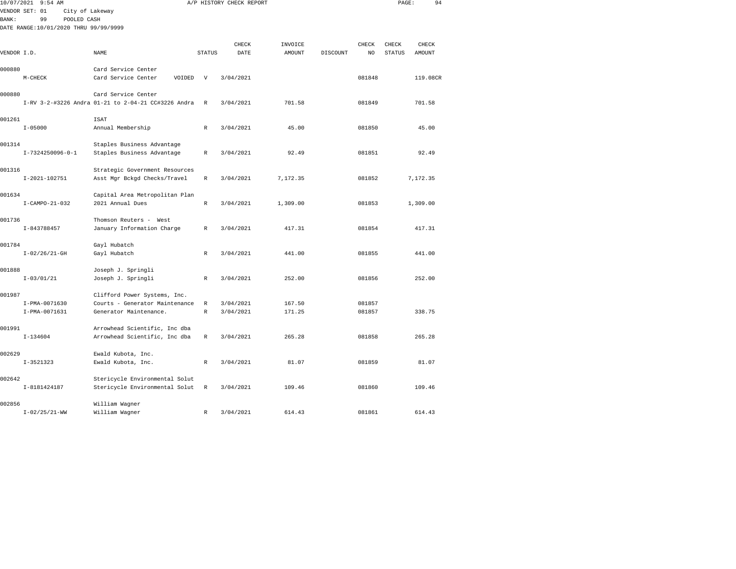|              | 10/07/2021 9:54 AM                     |                                                          |                   | A/P HISTORY CHECK REPORT |                  |          |                  | PAGE:         |          | 94 |
|--------------|----------------------------------------|----------------------------------------------------------|-------------------|--------------------------|------------------|----------|------------------|---------------|----------|----|
|              | VENDOR SET: 01<br>City of Lakeway      |                                                          |                   |                          |                  |          |                  |               |          |    |
| <b>BANK:</b> | 99<br>POOLED CASH                      |                                                          |                   |                          |                  |          |                  |               |          |    |
|              | DATE RANGE: 10/01/2020 THRU 99/99/9999 |                                                          |                   |                          |                  |          |                  |               |          |    |
|              |                                        |                                                          |                   |                          |                  |          |                  |               |          |    |
|              |                                        |                                                          |                   | CHECK                    | INVOICE          |          | CHECK            | CHECK         | CHECK    |    |
| VENDOR I.D.  |                                        | NAME                                                     | <b>STATUS</b>     | DATE                     | AMOUNT           | DISCOUNT | NO.              | <b>STATUS</b> | AMOUNT   |    |
| 000880       |                                        | Card Service Center                                      |                   |                          |                  |          |                  |               |          |    |
|              | $M-CHECK$                              | Card Service Center<br>VOIDED                            | V                 | 3/04/2021                |                  |          | 081848           |               | 119.08CR |    |
|              |                                        |                                                          |                   |                          |                  |          |                  |               |          |    |
| 000880       |                                        | Card Service Center                                      |                   |                          |                  |          |                  |               |          |    |
|              |                                        | I-RV 3-2-#3226 Andra 01-21 to 2-04-21 CC#3226 Andra      | R                 | 3/04/2021                | 701.58           |          | 081849           |               | 701.58   |    |
|              |                                        |                                                          |                   |                          |                  |          |                  |               |          |    |
| 001261       |                                        | <b>ISAT</b>                                              |                   |                          |                  |          |                  |               |          |    |
|              | $I - 05000$                            | Annual Membership                                        | R                 | 3/04/2021                | 45.00            |          | 081850           |               | 45.00    |    |
| 001314       |                                        | Staples Business Advantage                               |                   |                          |                  |          |                  |               |          |    |
|              | $I-7324250096-0-1$                     | Staples Business Advantage                               | R                 | 3/04/2021                | 92.49            |          | 081851           |               | 92.49    |    |
|              |                                        |                                                          |                   |                          |                  |          |                  |               |          |    |
| 001316       |                                        | Strategic Government Resources                           |                   |                          |                  |          |                  |               |          |    |
|              | $I-2021-102751$                        | Asst Mgr Bckgd Checks/Travel                             | $\,$ R            | 3/04/2021                | 7,172.35         |          | 081852           |               | 7,172.35 |    |
|              |                                        |                                                          |                   |                          |                  |          |                  |               |          |    |
| 001634       |                                        | Capital Area Metropolitan Plan                           |                   |                          |                  |          |                  |               |          |    |
|              | $I-CAMPO-21-032$                       | 2021 Annual Dues                                         | $\mathbb{R}$      | 3/04/2021                | 1,309.00         |          | 081853           |               | 1,309.00 |    |
|              |                                        |                                                          |                   |                          |                  |          |                  |               |          |    |
| 001736       |                                        | Thomson Reuters - West                                   |                   |                          |                  |          |                  |               |          |    |
|              | I-843788457                            | January Information Charge                               | R                 | 3/04/2021                | 417.31           |          | 081854           |               | 417.31   |    |
| 001784       |                                        | Gayl Hubatch                                             |                   |                          |                  |          |                  |               |          |    |
|              | $I-02/26/21-GH$                        | Gayl Hubatch                                             | R                 | 3/04/2021                | 441.00           |          | 081855           |               | 441.00   |    |
|              |                                        |                                                          |                   |                          |                  |          |                  |               |          |    |
| 001888       |                                        | Joseph J. Springli                                       |                   |                          |                  |          |                  |               |          |    |
|              | $I - 03/01/21$                         | Joseph J. Springli                                       | R                 | 3/04/2021                | 252.00           |          | 081856           |               | 252.00   |    |
|              |                                        |                                                          |                   |                          |                  |          |                  |               |          |    |
| 001987       |                                        | Clifford Power Systems, Inc.                             |                   |                          |                  |          |                  |               |          |    |
|              | I-PMA-0071630<br>I-PMA-0071631         | Courts - Generator Maintenance<br>Generator Maintenance. | R<br>$\mathbb{R}$ | 3/04/2021<br>3/04/2021   | 167.50<br>171.25 |          | 081857<br>081857 |               | 338.75   |    |
|              |                                        |                                                          |                   |                          |                  |          |                  |               |          |    |
| 001991       |                                        | Arrowhead Scientific, Inc dba                            |                   |                          |                  |          |                  |               |          |    |
|              | $I-134604$                             | Arrowhead Scientific, Inc dba                            | $\mathbb{R}$      | 3/04/2021                | 265.28           |          | 081858           |               | 265.28   |    |
|              |                                        |                                                          |                   |                          |                  |          |                  |               |          |    |
| 002629       |                                        | Ewald Kubota, Inc.                                       |                   |                          |                  |          |                  |               |          |    |
|              | $I-3521323$                            | Ewald Kubota, Inc.                                       | R                 | 3/04/2021                | 81.07            |          | 081859           |               | 81.07    |    |
|              |                                        |                                                          |                   |                          |                  |          |                  |               |          |    |
| 002642       |                                        | Stericycle Environmental Solut                           | R                 |                          |                  |          |                  |               | 109.46   |    |
|              | I-8181424187                           | Stericycle Environmental Solut                           |                   | 3/04/2021                | 109.46           |          | 081860           |               |          |    |
| 002856       |                                        | William Wagner                                           |                   |                          |                  |          |                  |               |          |    |
|              | $I - 02/25/21 - WW$                    | William Wagner                                           | R                 | 3/04/2021                | 614.43           |          | 081861           |               | 614.43   |    |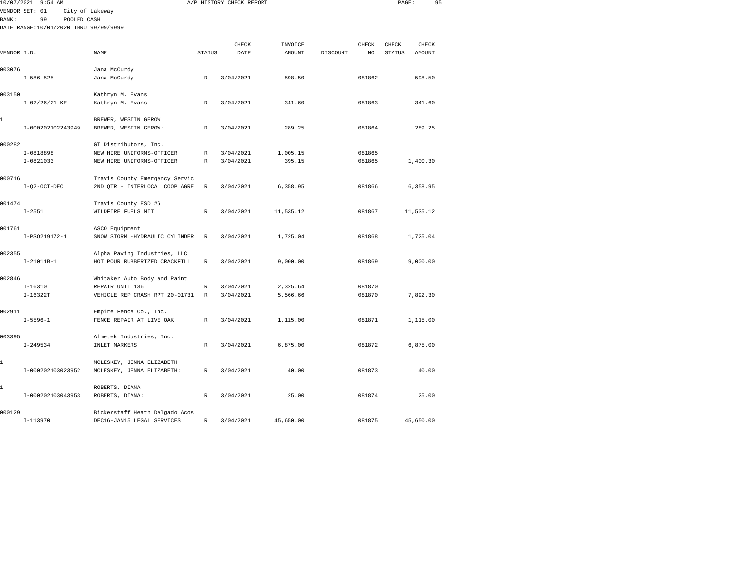|             | 10/07/2021 9:54 AM                    |                                                                  |               | A/P HISTORY CHECK REPORT |                   |          |             | PAGE:                  |                 | 95 |
|-------------|---------------------------------------|------------------------------------------------------------------|---------------|--------------------------|-------------------|----------|-------------|------------------------|-----------------|----|
|             | City of Lakeway<br>VENDOR SET: 01     |                                                                  |               |                          |                   |          |             |                        |                 |    |
| BANK:       | POOLED CASH<br>99                     |                                                                  |               |                          |                   |          |             |                        |                 |    |
|             | DATE RANGE:10/01/2020 THRU 99/99/9999 |                                                                  |               |                          |                   |          |             |                        |                 |    |
|             |                                       |                                                                  |               |                          |                   |          |             |                        |                 |    |
| VENDOR I.D. |                                       | NAME                                                             | <b>STATUS</b> | CHECK<br>DATE            | INVOICE<br>AMOUNT | DISCOUNT | CHECK<br>NO | CHECK<br><b>STATUS</b> | CHECK<br>AMOUNT |    |
|             |                                       |                                                                  |               |                          |                   |          |             |                        |                 |    |
| 003076      |                                       | Jana McCurdy                                                     |               |                          |                   |          |             |                        |                 |    |
|             | $I-586$ 525                           | Jana McCurdy                                                     | $\mathbb{R}$  | 3/04/2021                | 598.50            |          | 081862      |                        | 598.50          |    |
|             |                                       |                                                                  |               |                          |                   |          |             |                        |                 |    |
| 003150      |                                       | Kathryn M. Evans                                                 |               |                          |                   |          |             |                        |                 |    |
|             | $I-02/26/21-KE$                       | Kathryn M. Evans                                                 | R             | 3/04/2021                | 341.60            |          | 081863      |                        | 341.60          |    |
| 1           |                                       | BREWER, WESTIN GEROW                                             |               |                          |                   |          |             |                        |                 |    |
|             | I-000202102243949                     | BREWER, WESTIN GEROW:                                            | R             | 3/04/2021                | 289.25            |          | 081864      |                        | 289.25          |    |
|             |                                       |                                                                  |               |                          |                   |          |             |                        |                 |    |
| 000282      |                                       | GT Distributors, Inc.                                            |               |                          |                   |          |             |                        |                 |    |
|             | I-0818898                             | NEW HIRE UNIFORMS-OFFICER                                        | R             | 3/04/2021                | 1,005.15          |          | 081865      |                        |                 |    |
|             | $I-0821033$                           | NEW HIRE UNIFORMS-OFFICER                                        | R             | 3/04/2021                | 395.15            |          | 081865      |                        | 1,400.30        |    |
|             |                                       |                                                                  |               |                          |                   |          |             |                        |                 |    |
| 000716      | $I-Q2-OCT-DEC$                        | Travis County Emergency Servic<br>2ND QTR - INTERLOCAL COOP AGRE | R             | 3/04/2021                | 6,358.95          |          | 081866      |                        | 6,358.95        |    |
|             |                                       |                                                                  |               |                          |                   |          |             |                        |                 |    |
| 001474      |                                       | Travis County ESD #6                                             |               |                          |                   |          |             |                        |                 |    |
|             | $I - 2551$                            | WILDFIRE FUELS MIT                                               | R             | 3/04/2021                | 11,535.12         |          | 081867      |                        | 11,535.12       |    |
|             |                                       |                                                                  |               |                          |                   |          |             |                        |                 |    |
| 001761      |                                       | ASCO Equipment                                                   |               |                          |                   |          |             |                        |                 |    |
|             | I-PS0219172-1                         | SNOW STORM -HYDRAULIC CYLINDER                                   | $\mathbb{R}$  | 3/04/2021                | 1,725.04          |          | 081868      |                        | 1,725.04        |    |
| 002355      |                                       | Alpha Paving Industries, LLC                                     |               |                          |                   |          |             |                        |                 |    |
|             | $I-21011B-1$                          | HOT POUR RUBBERIZED CRACKFILL                                    | R             | 3/04/2021                | 9.000.00          |          | 081869      |                        | 9,000.00        |    |
|             |                                       |                                                                  |               |                          |                   |          |             |                        |                 |    |
| 002846      |                                       | Whitaker Auto Body and Paint                                     |               |                          |                   |          |             |                        |                 |    |
|             | $I - 16310$                           | REPAIR UNIT 136                                                  | R             | 3/04/2021                | 2,325.64          |          | 081870      |                        |                 |    |
|             | $I-16322T$                            | VEHICLE REP CRASH RPT 20-01731                                   | $\mathbb{R}$  | 3/04/2021                | 5,566.66          |          | 081870      |                        | 7,892.30        |    |
|             |                                       |                                                                  |               |                          |                   |          |             |                        |                 |    |
| 002911      |                                       | Empire Fence Co., Inc.                                           |               |                          |                   |          |             |                        |                 |    |
|             | $I - 5596 - 1$                        | FENCE REPAIR AT LIVE OAK                                         | R             | 3/04/2021                | 1,115.00          |          | 081871      |                        | 1,115.00        |    |
| 003395      |                                       | Almetek Industries, Inc.                                         |               |                          |                   |          |             |                        |                 |    |
|             | $I - 249534$                          | INLET MARKERS                                                    | R             | 3/04/2021                | 6,875.00          |          | 081872      |                        | 6,875.00        |    |
|             |                                       |                                                                  |               |                          |                   |          |             |                        |                 |    |
| 1           |                                       | MCLESKEY, JENNA ELIZABETH                                        |               |                          |                   |          |             |                        |                 |    |
|             | I-000202103023952                     | MCLESKEY, JENNA ELIZABETH:                                       | R             | 3/04/2021                | 40.00             |          | 081873      |                        | 40.00           |    |
|             |                                       |                                                                  |               |                          |                   |          |             |                        |                 |    |
| 1           | I-000202103043953                     | ROBERTS, DIANA<br>ROBERTS, DIANA:                                | R             | 3/04/2021                | 25.00             |          | 081874      |                        | 25.00           |    |
|             |                                       |                                                                  |               |                          |                   |          |             |                        |                 |    |
|             |                                       |                                                                  |               |                          |                   |          |             |                        |                 |    |

I-113970 DEC16-JAN15 LEGAL SERVICES R 3/04/2021 45,650.00 081875 45,650.00

000129 Bickerstaff Heath Delgado Acos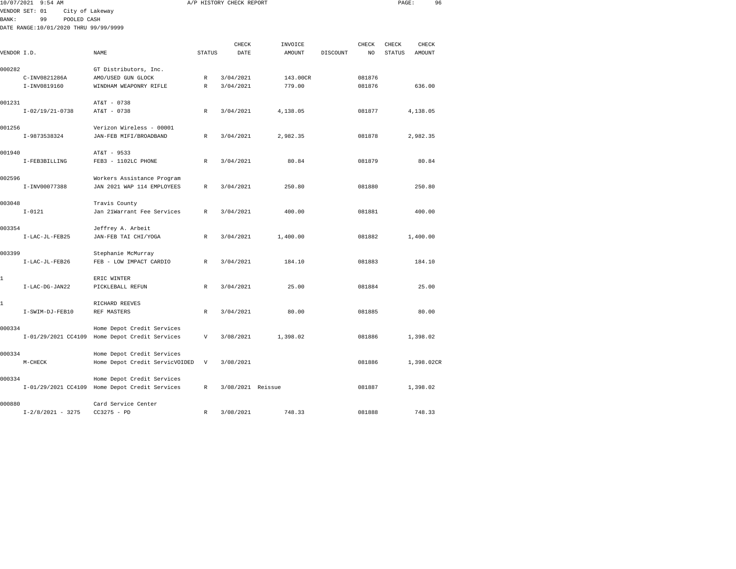| 10/07/2021 9:54 AM<br>VENDOR SET: 01                                                             |                                                                                                     |                                                                                                                                                                                                                                                                                                                                                                                                                                |                                                                                                          |                                                                                          |                                                                                                                        |          |                                                                         | 96                     |                                                                                                                                |
|--------------------------------------------------------------------------------------------------|-----------------------------------------------------------------------------------------------------|--------------------------------------------------------------------------------------------------------------------------------------------------------------------------------------------------------------------------------------------------------------------------------------------------------------------------------------------------------------------------------------------------------------------------------|----------------------------------------------------------------------------------------------------------|------------------------------------------------------------------------------------------|------------------------------------------------------------------------------------------------------------------------|----------|-------------------------------------------------------------------------|------------------------|--------------------------------------------------------------------------------------------------------------------------------|
|                                                                                                  |                                                                                                     |                                                                                                                                                                                                                                                                                                                                                                                                                                |                                                                                                          |                                                                                          |                                                                                                                        |          |                                                                         |                        |                                                                                                                                |
| 99                                                                                               |                                                                                                     |                                                                                                                                                                                                                                                                                                                                                                                                                                |                                                                                                          |                                                                                          |                                                                                                                        |          |                                                                         |                        |                                                                                                                                |
|                                                                                                  |                                                                                                     |                                                                                                                                                                                                                                                                                                                                                                                                                                |                                                                                                          |                                                                                          |                                                                                                                        |          |                                                                         |                        |                                                                                                                                |
|                                                                                                  |                                                                                                     |                                                                                                                                                                                                                                                                                                                                                                                                                                |                                                                                                          |                                                                                          |                                                                                                                        |          |                                                                         |                        |                                                                                                                                |
|                                                                                                  |                                                                                                     |                                                                                                                                                                                                                                                                                                                                                                                                                                |                                                                                                          |                                                                                          |                                                                                                                        |          |                                                                         |                        |                                                                                                                                |
|                                                                                                  |                                                                                                     |                                                                                                                                                                                                                                                                                                                                                                                                                                |                                                                                                          |                                                                                          |                                                                                                                        |          |                                                                         |                        |                                                                                                                                |
|                                                                                                  | GT Distributors, Inc.                                                                               |                                                                                                                                                                                                                                                                                                                                                                                                                                |                                                                                                          |                                                                                          |                                                                                                                        |          |                                                                         |                        |                                                                                                                                |
| C-INV0821286A                                                                                    | AMO/USED GUN GLOCK                                                                                  | R                                                                                                                                                                                                                                                                                                                                                                                                                              | 3/04/2021                                                                                                | 143.00CR                                                                                 |                                                                                                                        | 081876   |                                                                         |                        |                                                                                                                                |
| I-INV0819160                                                                                     | WINDHAM WEAPONRY RIFLE                                                                              | R                                                                                                                                                                                                                                                                                                                                                                                                                              | 3/04/2021                                                                                                | 779.00                                                                                   |                                                                                                                        | 081876   |                                                                         | 636.00                 |                                                                                                                                |
|                                                                                                  |                                                                                                     |                                                                                                                                                                                                                                                                                                                                                                                                                                |                                                                                                          |                                                                                          |                                                                                                                        |          |                                                                         |                        |                                                                                                                                |
|                                                                                                  | AT&T - 0738                                                                                         |                                                                                                                                                                                                                                                                                                                                                                                                                                |                                                                                                          |                                                                                          |                                                                                                                        |          |                                                                         |                        |                                                                                                                                |
|                                                                                                  |                                                                                                     |                                                                                                                                                                                                                                                                                                                                                                                                                                |                                                                                                          |                                                                                          |                                                                                                                        |          |                                                                         |                        |                                                                                                                                |
|                                                                                                  |                                                                                                     |                                                                                                                                                                                                                                                                                                                                                                                                                                |                                                                                                          |                                                                                          |                                                                                                                        |          |                                                                         |                        |                                                                                                                                |
|                                                                                                  |                                                                                                     |                                                                                                                                                                                                                                                                                                                                                                                                                                |                                                                                                          |                                                                                          |                                                                                                                        |          |                                                                         |                        |                                                                                                                                |
|                                                                                                  |                                                                                                     |                                                                                                                                                                                                                                                                                                                                                                                                                                |                                                                                                          |                                                                                          |                                                                                                                        |          |                                                                         |                        |                                                                                                                                |
|                                                                                                  | AT&T - 9533                                                                                         |                                                                                                                                                                                                                                                                                                                                                                                                                                |                                                                                                          |                                                                                          |                                                                                                                        |          |                                                                         |                        |                                                                                                                                |
| I-FEB3BILLING                                                                                    | FEB3 - 1102LC PHONE                                                                                 | $\mathbb{R}$                                                                                                                                                                                                                                                                                                                                                                                                                   | 3/04/2021                                                                                                | 80.84                                                                                    |                                                                                                                        | 081879   |                                                                         | 80.84                  |                                                                                                                                |
|                                                                                                  |                                                                                                     |                                                                                                                                                                                                                                                                                                                                                                                                                                |                                                                                                          |                                                                                          |                                                                                                                        |          |                                                                         |                        |                                                                                                                                |
|                                                                                                  | Workers Assistance Program                                                                          |                                                                                                                                                                                                                                                                                                                                                                                                                                |                                                                                                          |                                                                                          |                                                                                                                        |          |                                                                         |                        |                                                                                                                                |
| I-INV00077388                                                                                    | JAN 2021 WAP 114 EMPLOYEES                                                                          | $\mathbb{R}$                                                                                                                                                                                                                                                                                                                                                                                                                   | 3/04/2021                                                                                                | 250.80                                                                                   |                                                                                                                        | 081880   |                                                                         | 250.80                 |                                                                                                                                |
|                                                                                                  |                                                                                                     |                                                                                                                                                                                                                                                                                                                                                                                                                                |                                                                                                          |                                                                                          |                                                                                                                        |          |                                                                         |                        |                                                                                                                                |
|                                                                                                  |                                                                                                     |                                                                                                                                                                                                                                                                                                                                                                                                                                |                                                                                                          |                                                                                          |                                                                                                                        |          |                                                                         |                        |                                                                                                                                |
|                                                                                                  |                                                                                                     |                                                                                                                                                                                                                                                                                                                                                                                                                                |                                                                                                          |                                                                                          |                                                                                                                        |          |                                                                         |                        |                                                                                                                                |
|                                                                                                  |                                                                                                     |                                                                                                                                                                                                                                                                                                                                                                                                                                |                                                                                                          |                                                                                          |                                                                                                                        |          |                                                                         |                        |                                                                                                                                |
| I-LAC-JL-FEB25                                                                                   | JAN-FEB TAI CHI/YOGA                                                                                | $\mathbb{R}$                                                                                                                                                                                                                                                                                                                                                                                                                   | 3/04/2021                                                                                                | 1,400.00                                                                                 |                                                                                                                        | 081882   |                                                                         |                        |                                                                                                                                |
|                                                                                                  |                                                                                                     |                                                                                                                                                                                                                                                                                                                                                                                                                                |                                                                                                          |                                                                                          |                                                                                                                        |          |                                                                         |                        |                                                                                                                                |
|                                                                                                  | Stephanie McMurray                                                                                  |                                                                                                                                                                                                                                                                                                                                                                                                                                |                                                                                                          |                                                                                          |                                                                                                                        |          |                                                                         |                        |                                                                                                                                |
| I-LAC-JL-FEB26                                                                                   | FEB - LOW IMPACT CARDIO                                                                             | R                                                                                                                                                                                                                                                                                                                                                                                                                              | 3/04/2021                                                                                                | 184.10                                                                                   |                                                                                                                        | 081883   |                                                                         | 184.10                 |                                                                                                                                |
|                                                                                                  |                                                                                                     |                                                                                                                                                                                                                                                                                                                                                                                                                                |                                                                                                          |                                                                                          |                                                                                                                        |          |                                                                         |                        |                                                                                                                                |
|                                                                                                  |                                                                                                     |                                                                                                                                                                                                                                                                                                                                                                                                                                |                                                                                                          |                                                                                          |                                                                                                                        |          |                                                                         |                        |                                                                                                                                |
|                                                                                                  |                                                                                                     |                                                                                                                                                                                                                                                                                                                                                                                                                                |                                                                                                          |                                                                                          |                                                                                                                        |          |                                                                         |                        |                                                                                                                                |
|                                                                                                  |                                                                                                     |                                                                                                                                                                                                                                                                                                                                                                                                                                |                                                                                                          |                                                                                          |                                                                                                                        |          |                                                                         |                        |                                                                                                                                |
|                                                                                                  |                                                                                                     |                                                                                                                                                                                                                                                                                                                                                                                                                                |                                                                                                          |                                                                                          |                                                                                                                        |          |                                                                         |                        |                                                                                                                                |
|                                                                                                  |                                                                                                     |                                                                                                                                                                                                                                                                                                                                                                                                                                |                                                                                                          |                                                                                          |                                                                                                                        |          |                                                                         |                        |                                                                                                                                |
|                                                                                                  | Home Depot Credit Services                                                                          |                                                                                                                                                                                                                                                                                                                                                                                                                                |                                                                                                          |                                                                                          |                                                                                                                        |          |                                                                         |                        |                                                                                                                                |
|                                                                                                  |                                                                                                     | V                                                                                                                                                                                                                                                                                                                                                                                                                              | 3/08/2021                                                                                                | 1,398.02                                                                                 |                                                                                                                        | 081886   |                                                                         |                        |                                                                                                                                |
|                                                                                                  |                                                                                                     |                                                                                                                                                                                                                                                                                                                                                                                                                                |                                                                                                          |                                                                                          |                                                                                                                        |          |                                                                         |                        |                                                                                                                                |
|                                                                                                  | Home Depot Credit Services                                                                          |                                                                                                                                                                                                                                                                                                                                                                                                                                |                                                                                                          |                                                                                          |                                                                                                                        |          |                                                                         |                        |                                                                                                                                |
| M-CHECK                                                                                          |                                                                                                     | V                                                                                                                                                                                                                                                                                                                                                                                                                              | 3/08/2021                                                                                                |                                                                                          |                                                                                                                        | 081886   |                                                                         |                        |                                                                                                                                |
|                                                                                                  |                                                                                                     |                                                                                                                                                                                                                                                                                                                                                                                                                                |                                                                                                          |                                                                                          |                                                                                                                        |          |                                                                         |                        |                                                                                                                                |
|                                                                                                  |                                                                                                     |                                                                                                                                                                                                                                                                                                                                                                                                                                |                                                                                                          |                                                                                          |                                                                                                                        |          |                                                                         |                        |                                                                                                                                |
|                                                                                                  |                                                                                                     |                                                                                                                                                                                                                                                                                                                                                                                                                                |                                                                                                          |                                                                                          |                                                                                                                        |          |                                                                         |                        |                                                                                                                                |
|                                                                                                  | Card Service Center                                                                                 |                                                                                                                                                                                                                                                                                                                                                                                                                                |                                                                                                          |                                                                                          |                                                                                                                        |          |                                                                         |                        |                                                                                                                                |
| 000282<br>001231<br>001940<br>002596<br>003048<br>003354<br>003399<br>000334<br>000334<br>000334 | VENDOR I.D.<br>$I-02/19/21-0738$<br>I-9873538324<br>$I - 0121$<br>I-LAC-DG-JAN22<br>I-SWIM-DJ-FEB10 | City of Lakeway<br>POOLED CASH<br>DATE RANGE:10/01/2020 THRU 99/99/9999<br>NAME<br>AT&T - 0738<br>Verizon Wireless - 00001<br>JAN-FEB MIFI/BROADBAND<br>Travis County<br>Jan 21Warrant Fee Services<br>Jeffrey A. Arbeit<br>ERIC WINTER<br>PICKLEBALL REFUN<br>RICHARD REEVES<br>REF MASTERS<br>I-01/29/2021 CC4109 Home Depot Credit Services<br>Home Depot Credit Services<br>I-01/29/2021 CC4109 Home Depot Credit Services | $\mathbb{R}$<br>$\mathbb{R}$<br>R<br>$\mathbb{R}$<br>$\mathbb{R}$<br>Home Depot Credit ServicVOIDED<br>R | CHECK<br>STATUS<br>DATE<br>3/04/2021<br>3/04/2021<br>3/04/2021<br>3/04/2021<br>3/04/2021 | A/P HISTORY CHECK REPORT<br>INVOICE<br>AMOUNT<br>4,138.05<br>2,982.35<br>400.00<br>25.00<br>80.00<br>3/08/2021 Reissue | DISCOUNT | CHECK<br>NO<br>081877<br>081878<br>081881<br>081884<br>081885<br>081887 | CHECK<br><b>STATUS</b> | PAGE:<br>CHECK<br>AMOUNT<br>4,138.05<br>2,982.35<br>400.00<br>1,400.00<br>25.00<br>80.00<br>1,398.02<br>1,398.02CR<br>1,398.02 |

I-2/8/2021 - 3275 CC3275 - PD R 3/08/2021 748.33 081888 748.33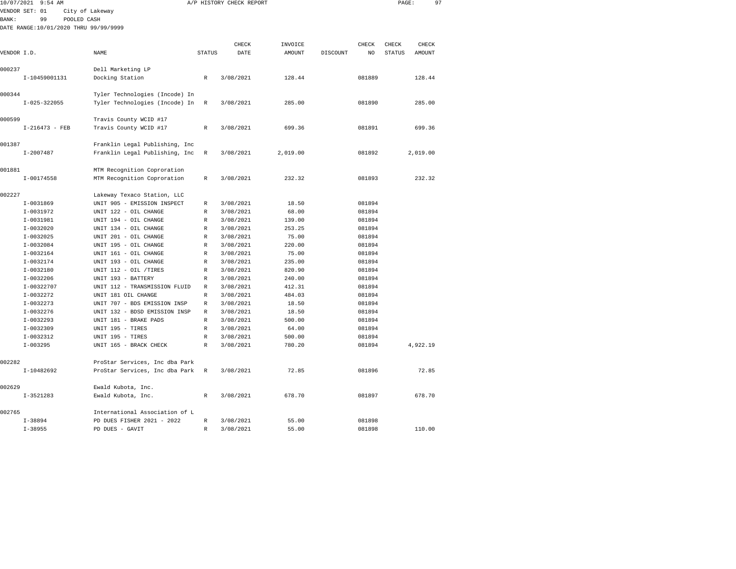| 10/07/2021   | $9:54$ AM                             |                                                      |                   | A/P HISTORY CHECK REPORT |                |          |                  | PAGE:         |               | 97 |
|--------------|---------------------------------------|------------------------------------------------------|-------------------|--------------------------|----------------|----------|------------------|---------------|---------------|----|
|              | VENDOR SET: 01                        | City of Lakeway                                      |                   |                          |                |          |                  |               |               |    |
| <b>BANK:</b> | 99<br>POOLED CASH                     |                                                      |                   |                          |                |          |                  |               |               |    |
|              | DATE RANGE:10/01/2020 THRU 99/99/9999 |                                                      |                   |                          |                |          |                  |               |               |    |
|              |                                       |                                                      |                   |                          |                |          |                  |               |               |    |
|              |                                       |                                                      |                   | CHECK                    | INVOICE        |          | CHECK            | CHECK         | CHECK         |    |
| VENDOR I.D.  |                                       | <b>NAME</b>                                          | <b>STATUS</b>     | DATE                     | <b>AMOUNT</b>  | DISCOUNT | N <sub>O</sub>   | <b>STATUS</b> | <b>AMOUNT</b> |    |
|              |                                       |                                                      |                   |                          |                |          |                  |               |               |    |
| 000237       |                                       | Dell Marketing LP                                    |                   |                          |                |          |                  |               |               |    |
|              | I-10459001131                         | Docking Station                                      | $\mathbb R$       | 3/08/2021                | 128.44         |          | 081889           |               | 128.44        |    |
| 000344       |                                       | Tyler Technologies (Incode) In                       |                   |                          |                |          |                  |               |               |    |
|              | $I - 025 - 322055$                    | Tyler Technologies (Incode) In                       | $\mathbb{R}$      | 3/08/2021                | 285.00         |          | 081890           |               | 285.00        |    |
|              |                                       |                                                      |                   |                          |                |          |                  |               |               |    |
| 000599       |                                       | Travis County WCID #17                               |                   |                          |                |          |                  |               |               |    |
|              | $I-216473 - FEB$                      | Travis County WCID #17                               | R                 | 3/08/2021                | 699.36         |          | 081891           |               | 699.36        |    |
|              |                                       |                                                      |                   |                          |                |          |                  |               |               |    |
| 001387       |                                       | Franklin Legal Publishing, Inc                       |                   |                          |                |          |                  |               |               |    |
|              | $I - 2007487$                         | Franklin Legal Publishing, Inc                       | R                 | 3/08/2021                | 2,019.00       |          | 081892           |               | 2,019.00      |    |
|              |                                       |                                                      |                   |                          |                |          |                  |               |               |    |
| 001881       |                                       | MTM Recognition Coproration                          |                   |                          |                |          |                  |               |               |    |
|              | $I - 00174558$                        | MTM Recognition Coproration                          | R                 | 3/08/2021                | 232.32         |          | 081893           |               | 232.32        |    |
|              |                                       |                                                      |                   |                          |                |          |                  |               |               |    |
| 002227       |                                       | Lakeway Texaco Station, LLC                          |                   |                          |                |          |                  |               |               |    |
|              | $I-0031869$<br>$I-0031972$            | UNIT 905 - EMISSION INSPECT<br>UNIT 122 - OIL CHANGE | R<br>$\mathbb{R}$ | 3/08/2021<br>3/08/2021   | 18.50<br>68.00 |          | 081894<br>081894 |               |               |    |
|              | $I-0031981$                           | UNIT 194 - OIL CHANGE                                | $\mathbb{R}$      | 3/08/2021                | 139.00         |          | 081894           |               |               |    |
|              | $I-0032020$                           | UNIT 134 - OIL CHANGE                                | R                 | 3/08/2021                | 253.25         |          | 081894           |               |               |    |
|              | $I-0032025$                           | UNIT 201 - OIL CHANGE                                | R                 | 3/08/2021                | 75.00          |          | 081894           |               |               |    |
|              | $I-0032084$                           | UNIT 195 - OIL CHANGE                                | R                 | 3/08/2021                | 220.00         |          | 081894           |               |               |    |
|              | I-0032164                             | UNIT 161 - OIL CHANGE                                | R                 | 3/08/2021                | 75.00          |          | 081894           |               |               |    |
|              | I-0032174                             | UNIT 193 - OIL CHANGE                                | R                 | 3/08/2021                | 235.00         |          | 081894           |               |               |    |
|              | $I-0032180$                           | UNIT 112 - OIL /TIRES                                | R                 | 3/08/2021                | 820.90         |          | 081894           |               |               |    |
|              | I-0032206                             | UNIT 193 - BATTERY                                   | R                 | 3/08/2021                | 240.00         |          | 081894           |               |               |    |
|              | I-00322707                            | UNIT 112 - TRANSMISSION FLUID                        | R                 | 3/08/2021                | 412.31         |          | 081894           |               |               |    |
|              | I-0032272                             | UNIT 181 OIL CHANGE                                  | $\mathbb{R}$      | 3/08/2021                | 484.03         |          | 081894           |               |               |    |
|              | I-0032273                             | UNIT 707 - BDS EMISSION INSP                         | R                 | 3/08/2021                | 18.50          |          | 081894           |               |               |    |
|              | $I-0032276$                           | UNIT 132 - BDSD EMISSION INSP                        | R                 | 3/08/2021                | 18.50          |          | 081894           |               |               |    |
|              | $I-0032293$                           | UNIT 181 - BRAKE PADS                                | $\mathbb{R}$      | 3/08/2021                | 500.00         |          | 081894           |               |               |    |
|              | $I-0032309$                           | UNIT 195 - TIRES                                     | $\mathbb{R}$      | 3/08/2021                | 64.00          |          | 081894           |               |               |    |
|              | I-0032312                             | UNIT 195 - TIRES                                     | R                 | 3/08/2021                | 500.00         |          | 081894           |               |               |    |
|              | $I-003295$                            | UNIT 165 - BRACK CHECK                               | R                 | 3/08/2021                | 780.20         |          | 081894           |               | 4,922.19      |    |
|              |                                       |                                                      |                   |                          |                |          |                  |               |               |    |
| 002282       |                                       | ProStar Services, Inc dba Park                       |                   |                          |                |          |                  |               |               |    |
|              | I-10482692                            | ProStar Services, Inc dba Park                       | R                 | 3/08/2021                | 72.85          |          | 081896           |               | 72.85         |    |
|              |                                       |                                                      |                   |                          |                |          |                  |               |               |    |
| 002629       |                                       | Ewald Kubota, Inc.                                   |                   |                          |                |          |                  |               |               |    |
|              | $I-3521283$                           | Ewald Kubota, Inc.                                   | R                 | 3/08/2021                | 678.70         |          | 081897           |               | 678.70        |    |
| 002765       |                                       | International Association of L                       |                   |                          |                |          |                  |               |               |    |
|              | $I - 38894$                           | PD DUES FISHER 2021 - 2022                           | R                 | 3/08/2021                | 55.00          |          | 081898           |               |               |    |
|              | $I - 38955$                           | PD DUES - GAVIT                                      | R                 | 3/08/2021                | 55.00          |          | 081898           |               | 110.00        |    |
|              |                                       |                                                      |                   |                          |                |          |                  |               |               |    |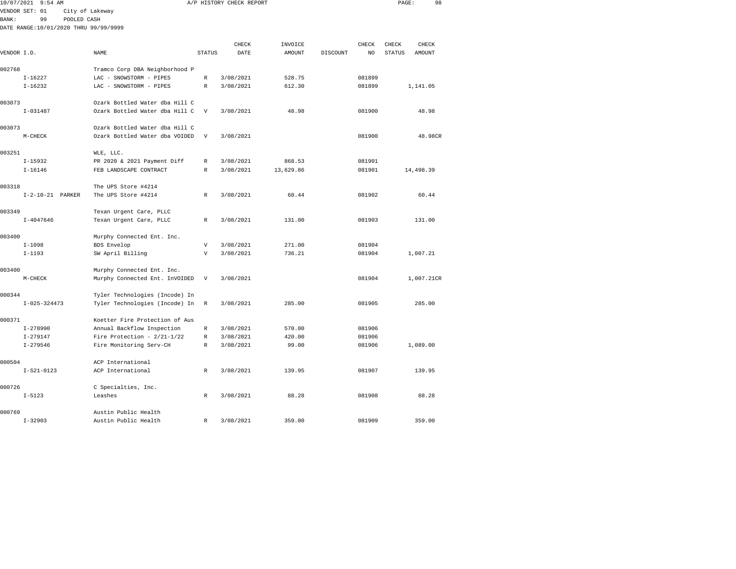|             | 10/07/2021 9:54 AM                    |                                |               | A/P HISTORY CHECK REPORT |           |          |        | PAGE:         | 98         |  |
|-------------|---------------------------------------|--------------------------------|---------------|--------------------------|-----------|----------|--------|---------------|------------|--|
|             | VENDOR SET: 01                        | City of Lakeway                |               |                          |           |          |        |               |            |  |
| BANK:       | 99<br>POOLED CASH                     |                                |               |                          |           |          |        |               |            |  |
|             | DATE RANGE:10/01/2020 THRU 99/99/9999 |                                |               |                          |           |          |        |               |            |  |
|             |                                       |                                |               |                          |           |          |        |               |            |  |
|             |                                       |                                |               | CHECK                    | INVOICE   |          | CHECK  | CHECK         | CHECK      |  |
| VENDOR I.D. |                                       | NAME                           | <b>STATUS</b> | DATE                     | AMOUNT    | DISCOUNT | NO     | <b>STATUS</b> | AMOUNT     |  |
|             |                                       |                                |               |                          |           |          |        |               |            |  |
| 002768      |                                       | Tramco Corp DBA Neighborhood P |               |                          |           |          |        |               |            |  |
|             | $I-16227$                             | LAC - SNOWSTORM - PIPES        | R             | 3/08/2021                | 528.75    |          | 081899 |               |            |  |
|             | $I-16232$                             | LAC - SNOWSTORM - PIPES        | $\mathbb R$   | 3/08/2021                | 612.30    |          | 081899 |               | 1,141.05   |  |
|             |                                       |                                |               |                          |           |          |        |               |            |  |
| 003073      |                                       | Ozark Bottled Water dba Hill C |               |                          |           |          |        |               |            |  |
|             | $I - 031487$                          | Ozark Bottled Water dba Hill C | V             | 3/08/2021                | 48.98     |          | 081900 |               | 48.98      |  |
|             |                                       |                                |               |                          |           |          |        |               |            |  |
| 003073      |                                       | Ozark Bottled Water dba Hill C |               |                          |           |          |        |               |            |  |
|             | M-CHECK                               | Ozark Bottled Water dba VOIDED | V             | 3/08/2021                |           |          | 081900 |               | 48.98CR    |  |
|             |                                       |                                |               |                          |           |          |        |               |            |  |
| 003251      |                                       | WLE, LLC.                      |               |                          |           |          |        |               |            |  |
|             | $I-15932$                             | PR 2020 & 2021 Payment Diff    | R             | 3/08/2021                | 868.53    |          | 081901 |               |            |  |
|             | $I - 16146$                           | FEB LANDSCAPE CONTRACT         | R             | 3/08/2021                | 13,629.86 |          | 081901 |               | 14,498.39  |  |
|             |                                       |                                |               |                          |           |          |        |               |            |  |
| 003318      |                                       | The UPS Store #4214            |               |                          |           |          |        |               |            |  |
|             | $I-2-10-21$ PARKER                    | The UPS Store #4214            | R             | 3/08/2021                | 60.44     |          | 081902 |               | 60.44      |  |
|             |                                       |                                |               |                          |           |          |        |               |            |  |
| 003349      |                                       | Texan Urgent Care, PLLC        |               |                          |           |          |        |               |            |  |
|             | $I - 4047646$                         | Texan Urgent Care, PLLC        | $\mathbb R$   | 3/08/2021                | 131.00    |          | 081903 |               | 131.00     |  |
|             |                                       |                                |               |                          |           |          |        |               |            |  |
| 003400      |                                       | Murphy Connected Ent. Inc.     |               |                          |           |          |        |               |            |  |
|             | $I - 1098$                            | BDS Envelop                    | $\mathbf{V}$  | 3/08/2021                | 271.00    |          | 081904 |               |            |  |
|             | $I-1193$                              | SW April Billing               | V             | 3/08/2021                | 736.21    |          | 081904 |               | 1,007.21   |  |
|             |                                       |                                |               |                          |           |          |        |               |            |  |
| 003400      |                                       | Murphy Connected Ent. Inc.     |               |                          |           |          |        |               |            |  |
|             | $M-CHECK$                             | Murphy Connected Ent. InVOIDED | V             | 3/08/2021                |           |          | 081904 |               | 1,007.21CR |  |
|             |                                       |                                |               |                          |           |          |        |               |            |  |
| 000344      |                                       | Tyler Technologies (Incode) In |               |                          |           |          |        |               |            |  |
|             | $I-025-324473$                        | Tyler Technologies (Incode) In | R             | 3/08/2021                | 285.00    |          | 081905 |               | 285.00     |  |
|             |                                       |                                |               |                          |           |          |        |               |            |  |
| 000371      |                                       | Koetter Fire Protection of Aus |               |                          |           |          |        |               |            |  |
|             | $I-278990$                            | Annual Backflow Inspection     | R             | 3/08/2021                | 570.00    |          | 081906 |               |            |  |
|             | $I - 279147$                          | Fire Protection - $2/21-1/22$  | R             | 3/08/2021                | 420.00    |          | 081906 |               |            |  |
|             | $I - 279546$                          | Fire Monitoring Serv-CH        | R             | 3/08/2021                | 99.00     |          | 081906 |               | 1,089.00   |  |
|             |                                       |                                |               |                          |           |          |        |               |            |  |
| 000504      |                                       | ACP International              |               |                          |           |          |        |               |            |  |
|             | $I-S21-0123$                          | ACP International              | R             | 3/08/2021                | 139.95    |          | 081907 |               | 139.95     |  |
|             |                                       |                                |               |                          |           |          |        |               |            |  |

I-5123 Leashes R 3/08/2021 88.28 081908 88.28

I-32903 Austin Public Health R 3/08/2021 359.00 081909 359.00

88.28

000726 C Specialties, Inc.

000769 Austin Public Health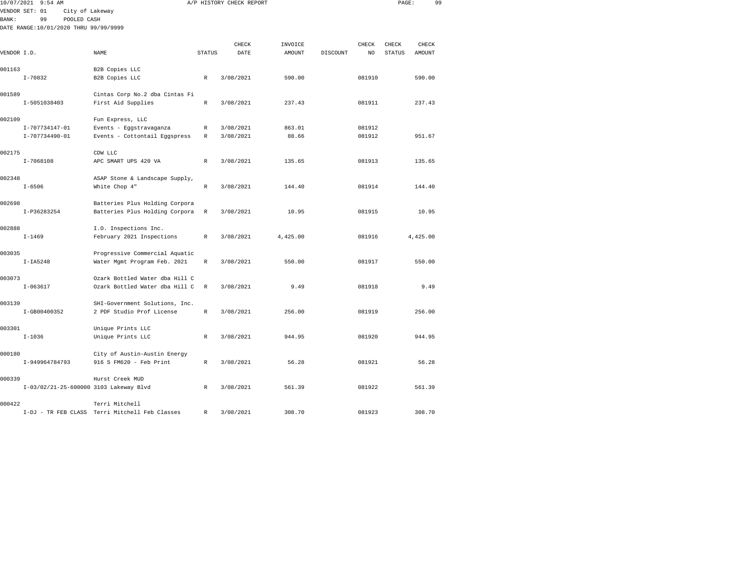| 10/07/2021   | 9:54 AM                                                                                         |                                                                              |                  | A/P HISTORY CHECK REPORT |                          |                         | 99<br>PAGE:                               |  |
|--------------|-------------------------------------------------------------------------------------------------|------------------------------------------------------------------------------|------------------|--------------------------|--------------------------|-------------------------|-------------------------------------------|--|
| <b>BANK:</b> | VENDOR SET: 01<br>City of Lakeway<br>99<br>POOLED CASH<br>DATE RANGE:10/01/2020 THRU 99/99/9999 |                                                                              |                  |                          |                          |                         |                                           |  |
| VENDOR I.D.  |                                                                                                 | NAME                                                                         | <b>STATUS</b>    | CHECK<br>DATE            | INVOICE<br><b>AMOUNT</b> | CHECK<br>DISCOUNT<br>NO | CHECK<br>CHECK<br><b>STATUS</b><br>AMOUNT |  |
| 001163       | $I - 70832$                                                                                     | B2B Copies LLC<br>B2B Copies LLC                                             | $\mathbb{R}$     | 3/08/2021                | 590.00                   | 081910                  | 590.00                                    |  |
| 001589       | I-5051038403                                                                                    | Cintas Corp No.2 dba Cintas Fi<br>First Aid Supplies                         | R                | 3/08/2021                | 237.43                   | 081911                  | 237.43                                    |  |
| 002109       | I-707734147-01<br>I-707734490-01                                                                | Fun Express, LLC<br>Events - Eggstravaganza<br>Events - Cottontail Eggspress | R<br>$\mathbb R$ | 3/08/2021<br>3/08/2021   | 863.01<br>88.66          | 081912<br>081912        | 951.67                                    |  |
| 002175       | $I - 7068108$                                                                                   | CDW LLC<br>APC SMART UPS 420 VA                                              | $\mathbb{R}$     | 3/08/2021                | 135.65                   | 081913                  | 135.65                                    |  |
| 002348       | $I - 6506$                                                                                      | ASAP Stone & Landscape Supply,<br>White Chop 4"                              | $\mathbb R$      | 3/08/2021                | 144.40                   | 081914                  | 144.40                                    |  |
| 002698       | I-P36283254                                                                                     | Batteries Plus Holding Corpora<br>Batteries Plus Holding Corpora             | R                | 3/08/2021                | 10.95                    | 081915                  | 10.95                                     |  |
| 002888       | $I - 1469$                                                                                      | I.O. Inspections Inc.<br>February 2021 Inspections                           | $\mathbb{R}$     | 3/08/2021                | 4,425.00                 | 081916                  | 4,425.00                                  |  |
| 003035       | $I-IA5248$                                                                                      | Progressive Commercial Aquatic<br>Water Mgmt Program Feb. 2021               | R                | 3/08/2021                | 550.00                   | 081917                  | 550.00                                    |  |
| 003073       | $I - 063617$                                                                                    | Ozark Bottled Water dba Hill C<br>Ozark Bottled Water dba Hill C             | $\mathbb R$      | 3/08/2021                | 9.49                     | 081918                  | 9.49                                      |  |
| 003139       | I-GB00400352                                                                                    | SHI-Government Solutions, Inc.<br>2 PDF Studio Prof License                  | R                | 3/08/2021                | 256.00                   | 081919                  | 256.00                                    |  |
| 003301       | $I - 1036$                                                                                      | Unique Prints LLC<br>Unique Prints LLC                                       | R                | 3/08/2021                | 944.95                   | 081920                  | 944.95                                    |  |
| 000180       | I-949964784793                                                                                  | City of Austin-Austin Energy<br>916 S FM620 - Feb Print                      | R                | 3/08/2021                | 56.28                    | 081921                  | 56.28                                     |  |
| 000339       | I-03/02/21-25-600000 3103 Lakeway Blvd                                                          | Hurst Creek MUD                                                              | R                | 3/08/2021                | 561.39                   | 081922                  | 561.39                                    |  |

000422 Terri Mitchell I-DJ - TR FEB CLASS Terri Mitchell Feb Classes R 3/08/2021 308.70 081923 308.70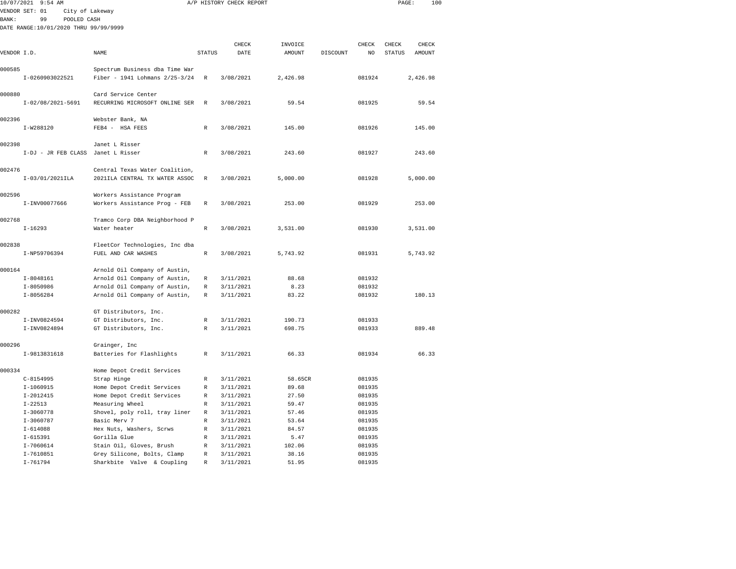|             | 10/07/2021 9:54 AM                    |                                                       |                  | A/P HISTORY CHECK REPORT |                |          |                  | PAGE:  |          | 100 |
|-------------|---------------------------------------|-------------------------------------------------------|------------------|--------------------------|----------------|----------|------------------|--------|----------|-----|
|             | VENDOR SET: 01<br>City of Lakeway     |                                                       |                  |                          |                |          |                  |        |          |     |
| BANK:       | POOLED CASH<br>99                     |                                                       |                  |                          |                |          |                  |        |          |     |
|             | DATE RANGE:10/01/2020 THRU 99/99/9999 |                                                       |                  |                          |                |          |                  |        |          |     |
|             |                                       |                                                       |                  |                          |                |          |                  |        |          |     |
|             |                                       |                                                       |                  | CHECK                    | INVOICE        |          | CHECK            | CHECK  | CHECK    |     |
| VENDOR I.D. |                                       | NAME                                                  | STATUS           | DATE                     | AMOUNT         | DISCOUNT | NO               | STATUS | AMOUNT   |     |
|             |                                       |                                                       |                  |                          |                |          |                  |        |          |     |
| 000585      |                                       | Spectrum Business dba Time War                        |                  |                          |                |          |                  |        |          |     |
|             | I-0260903022521                       | Fiber - 1941 Lohmans 2/25-3/24                        | $\mathbb{R}$     | 3/08/2021                | 2,426.98       |          | 081924           |        | 2,426.98 |     |
|             |                                       |                                                       |                  |                          |                |          |                  |        |          |     |
| 000880      |                                       | Card Service Center<br>RECURRING MICROSOFT ONLINE SER |                  | 3/08/2021                | 59.54          |          | 081925           |        | 59.54    |     |
|             | $I-02/08/2021-5691$                   |                                                       | $\mathbb R$      |                          |                |          |                  |        |          |     |
| 002396      |                                       | Webster Bank, NA                                      |                  |                          |                |          |                  |        |          |     |
|             | I-W288120                             | FEB4 - HSA FEES                                       | R                | 3/08/2021                | 145.00         |          | 081926           |        | 145.00   |     |
|             |                                       |                                                       |                  |                          |                |          |                  |        |          |     |
| 002398      |                                       | Janet L Risser                                        |                  |                          |                |          |                  |        |          |     |
|             | I-DJ - JR FEB CLASS Janet L Risser    |                                                       | R                | 3/08/2021                | 243.60         |          | 081927           |        | 243.60   |     |
|             |                                       |                                                       |                  |                          |                |          |                  |        |          |     |
| 002476      |                                       | Central Texas Water Coalition,                        |                  |                          |                |          |                  |        |          |     |
|             | $I-03/01/2021$ ILA                    | 2021ILA CENTRAL TX WATER ASSOC                        | $\,$ R           | 3/08/2021                | 5,000.00       |          | 081928           |        | 5,000.00 |     |
|             |                                       |                                                       |                  |                          |                |          |                  |        |          |     |
| 002596      |                                       | Workers Assistance Program                            |                  |                          |                |          |                  |        |          |     |
|             | I-INV00077666                         | Workers Assistance Prog - FEB                         | R                | 3/08/2021                | 253.00         |          | 081929           |        | 253.00   |     |
|             |                                       |                                                       |                  |                          |                |          |                  |        |          |     |
| 002768      |                                       | Tramco Corp DBA Neighborhood P                        |                  |                          |                |          |                  |        |          |     |
|             | $I-16293$                             | Water heater                                          | R                | 3/08/2021                | 3,531.00       |          | 081930           |        | 3,531.00 |     |
|             |                                       |                                                       |                  |                          |                |          |                  |        |          |     |
| 002838      |                                       | FleetCor Technologies, Inc dba                        |                  |                          |                |          |                  |        |          |     |
|             | I-NP59706394                          | FUEL AND CAR WASHES                                   | R                | 3/08/2021                | 5,743.92       |          | 081931           |        | 5,743.92 |     |
| 000164      |                                       | Arnold Oil Company of Austin,                         |                  |                          |                |          |                  |        |          |     |
|             | $I - 8048161$                         | Arnold Oil Company of Austin,                         | $\mathbb R$      | 3/11/2021                | 88.68          |          | 081932           |        |          |     |
|             | I-8050986                             | Arnold Oil Company of Austin,                         | R                | 3/11/2021                | 8.23           |          | 081932           |        |          |     |
|             | $I - 8056284$                         | Arnold Oil Company of Austin,                         | $\mathbb{R}$     | 3/11/2021                | 83.22          |          | 081932           |        | 180.13   |     |
|             |                                       |                                                       |                  |                          |                |          |                  |        |          |     |
| 000282      |                                       | GT Distributors, Inc.                                 |                  |                          |                |          |                  |        |          |     |
|             | I-INV0824594                          | GT Distributors, Inc.                                 | R                | 3/11/2021                | 190.73         |          | 081933           |        |          |     |
|             | I-INV0824894                          | GT Distributors, Inc.                                 | $\mathbb{R}$     | 3/11/2021                | 698.75         |          | 081933           |        | 889.48   |     |
|             |                                       |                                                       |                  |                          |                |          |                  |        |          |     |
| 000296      |                                       | Grainger, Inc                                         |                  |                          |                |          |                  |        |          |     |
|             | I-9813831618                          | Batteries for Flashlights                             | $\mathbb R$      | 3/11/2021                | 66.33          |          | 081934           |        | 66.33    |     |
|             |                                       |                                                       |                  |                          |                |          |                  |        |          |     |
| 000334      |                                       | Home Depot Credit Services                            |                  |                          |                |          |                  |        |          |     |
|             | $C-8154995$                           | Strap Hinge                                           | R                | 3/11/2021                | 58.65CR        |          | 081935           |        |          |     |
|             | $I-1060915$                           | Home Depot Credit Services                            | $\mathbb{R}$     | 3/11/2021                | 89.68          |          | 081935           |        |          |     |
|             | $I - 2012415$                         | Home Depot Credit Services                            | $\mathbb R$      | 3/11/2021                | 27.50          |          | 081935           |        |          |     |
|             | $I - 22513$                           | Measuring Wheel                                       | R                | 3/11/2021                | 59.47          |          | 081935           |        |          |     |
|             | $I-3060778$                           | Shovel, poly roll, tray liner                         | R                | 3/11/2021                | 57.46          |          | 081935           |        |          |     |
|             | $I-3060787$<br>$I - 614088$           | Basic Merv 7<br>Hex Nuts, Washers, Scrws              | R<br>$\mathbb R$ | 3/11/2021<br>3/11/2021   | 53.64<br>84.57 |          | 081935<br>081935 |        |          |     |
|             | $I - 615391$                          | Gorilla Glue                                          | R                | 3/11/2021                | 5.47           |          | 081935           |        |          |     |
|             | $I - 7060614$                         | Stain Oil, Gloves, Brush                              | R                | 3/11/2021                | 102.06         |          | 081935           |        |          |     |
|             | $I - 7610851$                         | Grev Silicone, Bolts, Clamp                           | R                | 3/11/2021                | 38.16          |          | 081935           |        |          |     |
|             |                                       |                                                       |                  |                          |                |          |                  |        |          |     |

I-761794 Sharkbite Valve & Coupling R 3/11/2021 51.95 081935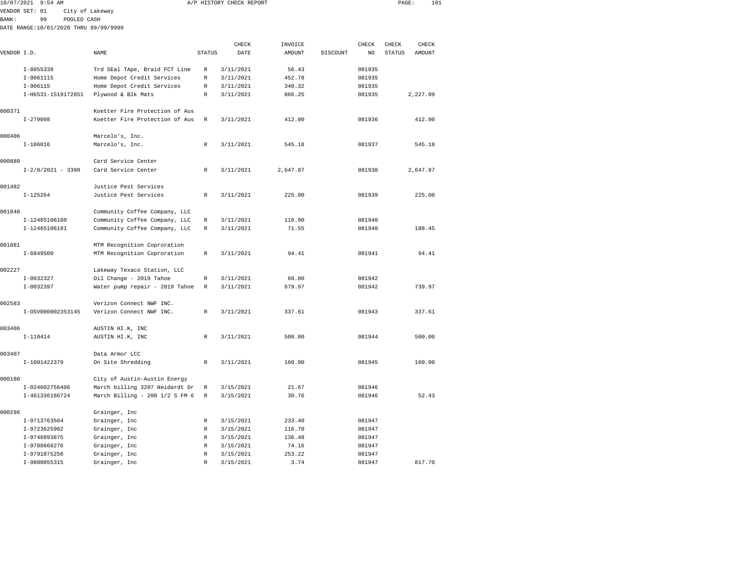| 10/07/2021 9:54 AM<br>A/P HISTORY CHECK REPORT |                                       |                 |                                |               |           |         |          | PAGE:  | 101           |          |  |
|------------------------------------------------|---------------------------------------|-----------------|--------------------------------|---------------|-----------|---------|----------|--------|---------------|----------|--|
|                                                |                                       |                 |                                |               |           |         |          |        |               |          |  |
|                                                | VENDOR SET: 01                        | City of Lakeway |                                |               |           |         |          |        |               |          |  |
| BANK:                                          | 99                                    | POOLED CASH     |                                |               |           |         |          |        |               |          |  |
|                                                | DATE RANGE:10/01/2020 THRU 99/99/9999 |                 |                                |               |           |         |          |        |               |          |  |
|                                                |                                       |                 |                                |               | CHECK     | INVOICE |          | CHECK  | CHECK         | CHECK    |  |
| VENDOR I.D.                                    |                                       |                 | NAME                           | <b>STATUS</b> | DATE      | AMOUNT  | DISCOUNT | NO     | <b>STATUS</b> | AMOUNT   |  |
|                                                | $I - 8055338$                         |                 | Trd SEal TApe, Braid FCT Line  | R             | 3/11/2021 | 56.43   |          | 081935 |               |          |  |
|                                                | I-9061115                             |                 | Home Depot Credit Services     | R             | 3/11/2021 | 452.78  |          | 081935 |               |          |  |
|                                                | $I-906115$                            |                 | Home Depot Credit Services     | R             | 3/11/2021 | 340.32  |          | 081935 |               |          |  |
|                                                | I-H6531-1519172851                    |                 | Plywood & Blk Mats             | R             | 3/11/2021 | 866.25  |          | 081935 |               | 2,227.09 |  |
| 000371                                         |                                       |                 | Koetter Fire Protection of Aus |               |           |         |          |        |               |          |  |
|                                                | $I - 279098$                          |                 | Koetter Fire Protection of Aus | R             | 3/11/2021 | 412.00  |          | 081936 |               | 412.00   |  |
| 000406                                         |                                       |                 | Marcelo's, Inc.                |               |           |         |          |        |               |          |  |
|                                                | $I-106016$                            |                 | Marcelo's, Inc.                | $\mathbb{R}$  | 3/11/2021 | 545.18  |          | 081937 |               | 545.18   |  |
|                                                |                                       |                 |                                |               |           |         |          |        |               |          |  |

| 000406 | $I-106016$          | Marcelo's, Inc.<br>Marcelo's, Inc.             | R            | 3/11/2021 | 545.18   | 081937 | 545.18   |
|--------|---------------------|------------------------------------------------|--------------|-----------|----------|--------|----------|
| 000880 | $I-2/8/2021 - 3390$ | Card Service Center<br>Card Service Center     | R            | 3/11/2021 | 2,647.87 | 081938 | 2,647.87 |
|        |                     |                                                |              |           |          |        |          |
| 001482 | $I-125264$          | Justice Pest Services<br>Justice Pest Services | $\mathbb{R}$ | 3/11/2021 | 225.00   | 081939 | 225.00   |
| 001848 |                     | Community Coffee Company, LLC                  |              |           |          |        |          |
|        | I-12465106180       | Community Coffee Company, LLC                  | R            | 3/11/2021 | 116.90   | 081940 |          |
|        | I-12465106181       | Community Coffee Company, LLC                  | R            | 3/11/2021 | 71.55    | 081940 | 188.45   |
| 001881 |                     | MTM Recognition Coproration                    |              |           |          |        |          |
|        | $I - 6049500$       | MTM Recognition Coproration                    | R            | 3/11/2021 | 94.41    | 081941 | 94.41    |
| 002227 |                     | Lakeway Texaco Station, LLC                    |              |           |          |        |          |
|        | $I-0032327$         | Oil Change - 2019 Tahoe                        | R            | 3/11/2021 | 60.00    | 081942 |          |
|        | $I-0032397$         | Water pump repair - 2019 Tahoe                 | R            | 3/11/2021 | 679.97   | 081942 | 739.97   |
| 002583 |                     | Verizon Connect NWF INC.                       |              |           |          |        |          |
|        | I-0SV000002353145   | Verizon Connect NWF INC.                       | R            | 3/11/2021 | 337.61   | 081943 | 337.61   |
| 003406 |                     | AUSTIN HI.K, INC                               |              |           |          |        |          |
|        | $I-110414$          | AUSTIN HI.K, INC                               | R            | 3/11/2021 | 500.00   | 081944 | 500.00   |
| 003407 |                     |                                                |              |           |          |        |          |
|        |                     | Data Armor LCC                                 |              |           |          |        |          |
|        | I-1001422379        | On Site Shredding                              | R            | 3/11/2021 | 160.00   | 081945 | 160.00   |
| 000180 |                     | City of Austin-Austin Energy                   |              |           |          |        |          |
|        | I-024602756406      | March billing 3207 Neidardt Dr                 | R            | 3/15/2021 | 21.67    | 081946 |          |
|        | I-461336186724      | March Billing - 200 1/2 S FM 6                 | R            | 3/15/2021 | 30.76    | 081946 | 52.43    |
| 000296 |                     | Grainger, Inc                                  |              |           |          |        |          |
|        | I-9713763564        | Grainger, Inc                                  | R            | 3/15/2021 | 233.40   | 081947 |          |
|        | I-9723625902        | Grainger, Inc                                  | R            | 3/15/2021 | 116.70   | 081947 |          |
|        | I-9746893875        | Grainger, Inc                                  | R            | 3/15/2021 | 136.48   | 081947 |          |
|        | I-9788668276        | Grainger, Inc                                  | R            | 3/15/2021 | 74.16    | 081947 |          |
|        | I-9791875256        | Grainger, Inc                                  | R            | 3/15/2021 | 253.22   | 081947 |          |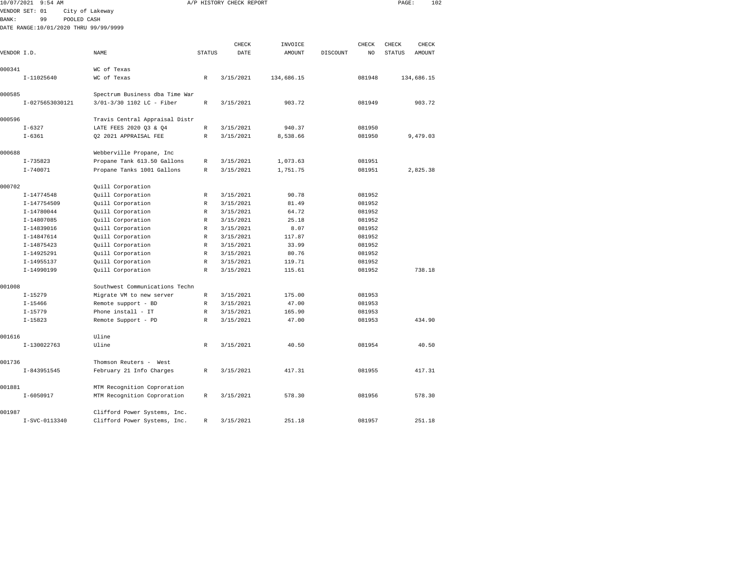|             | 10/07/2021 9:54 AM                    |                                |                              | A/P HISTORY CHECK REPORT |            |          |        | PAGE:         |            | 102 |
|-------------|---------------------------------------|--------------------------------|------------------------------|--------------------------|------------|----------|--------|---------------|------------|-----|
|             | VENDOR SET: 01                        | City of Lakeway                |                              |                          |            |          |        |               |            |     |
| BANK:       | 99<br>POOLED CASH                     |                                |                              |                          |            |          |        |               |            |     |
|             | DATE RANGE:10/01/2020 THRU 99/99/9999 |                                |                              |                          |            |          |        |               |            |     |
|             |                                       |                                |                              |                          |            |          |        |               |            |     |
|             |                                       |                                |                              | CHECK                    | INVOICE    |          | CHECK  | CHECK         | CHECK      |     |
| VENDOR I.D. |                                       | NAME                           | <b>STATUS</b>                | DATE                     | AMOUNT     | DISCOUNT | NO     | <b>STATUS</b> | AMOUNT     |     |
| 000341      |                                       | WC of Texas                    |                              |                          |            |          |        |               |            |     |
|             | $I-11025640$                          | WC of Texas                    | $\mathbb{R}$                 | 3/15/2021                | 134,686.15 |          | 081948 |               | 134,686.15 |     |
|             |                                       |                                |                              |                          |            |          |        |               |            |     |
| 000585      |                                       | Spectrum Business dba Time War |                              |                          |            |          |        |               |            |     |
|             | I-0275653030121                       | 3/01-3/30 1102 LC - Fiber      | R                            | 3/15/2021                | 903.72     |          | 081949 |               | 903.72     |     |
|             |                                       |                                |                              |                          |            |          |        |               |            |     |
| 000596      |                                       | Travis Central Appraisal Distr |                              |                          |            |          |        |               |            |     |
|             | $I - 6327$                            | LATE FEES 2020 Q3 & Q4         | $\mathbb R$                  | 3/15/2021                | 940.37     |          | 081950 |               |            |     |
|             | $I - 6361$                            | Q2 2021 APPRAISAL FEE          | R                            | 3/15/2021                | 8,538.66   |          | 081950 |               | 9,479.03   |     |
|             |                                       |                                |                              |                          |            |          |        |               |            |     |
| 000688      |                                       | Webberville Propane, Inc       |                              |                          |            |          |        |               |            |     |
|             | $I - 735823$                          | Propane Tank 613.50 Gallons    | R                            | 3/15/2021                | 1,073.63   |          | 081951 |               |            |     |
|             | $I - 740071$                          | Propane Tanks 1001 Gallons     | R                            | 3/15/2021                | 1,751.75   |          | 081951 |               | 2,825.38   |     |
|             |                                       |                                |                              |                          |            |          |        |               |            |     |
| 000702      |                                       | Quill Corporation              |                              |                          |            |          |        |               |            |     |
|             | I-14774548                            | Quill Corporation              | R                            | 3/15/2021                | 90.78      |          | 081952 |               |            |     |
|             | I-147754509                           | Quill Corporation              | R                            | 3/15/2021                | 81.49      |          | 081952 |               |            |     |
|             | $I-14780044$                          | Quill Corporation              | R                            | 3/15/2021                | 64.72      |          | 081952 |               |            |     |
|             | I-14807085                            | Quill Corporation              | $\mathbb R$                  | 3/15/2021                | 25.18      |          | 081952 |               |            |     |
|             | I-14839016                            | Quill Corporation              | $\mathbb R$                  | 3/15/2021                | 8.07       |          | 081952 |               |            |     |
|             | I-14847614                            | Quill Corporation              | R                            | 3/15/2021                | 117.87     |          | 081952 |               |            |     |
|             | $I-14875423$                          | Quill Corporation              | R                            | 3/15/2021                | 33.99      |          | 081952 |               |            |     |
|             | I-14925291                            | Quill Corporation              | $\mathbb{R}$                 | 3/15/2021                | 80.76      |          | 081952 |               |            |     |
|             | $I-14955137$                          | Quill Corporation              | $\mathbb{R}$<br>$\mathbb{R}$ | 3/15/2021                | 119.71     |          | 081952 |               | 738.18     |     |
|             | I-14990199                            | Quill Corporation              |                              | 3/15/2021                | 115.61     |          | 081952 |               |            |     |
| 001008      |                                       | Southwest Communications Techn |                              |                          |            |          |        |               |            |     |
|             | $I-15279$                             | Migrate VM to new server       | R                            | 3/15/2021                | 175.00     |          | 081953 |               |            |     |
|             | $I - 15466$                           | Remote support - BD            | R                            | 3/15/2021                | 47.00      |          | 081953 |               |            |     |
|             | $I - 15779$                           | Phone install - IT             | $\mathbb R$                  | 3/15/2021                | 165.90     |          | 081953 |               |            |     |
|             | $I - 15823$                           | Remote Support - PD            | $\mathbb R$                  | 3/15/2021                | 47.00      |          | 081953 |               | 434.90     |     |
|             |                                       |                                |                              |                          |            |          |        |               |            |     |
| 001616      |                                       | Uline                          |                              |                          |            |          |        |               |            |     |
|             | I-130022763                           | Uline                          | R                            | 3/15/2021                | 40.50      |          | 081954 |               | 40.50      |     |
|             |                                       |                                |                              |                          |            |          |        |               |            |     |
| 001736      |                                       | Thomson Reuters - West         |                              |                          |            |          |        |               |            |     |
|             | I-843951545                           | February 21 Info Charges       | R                            | 3/15/2021                | 417.31     |          | 081955 |               | 417.31     |     |
| 001881      |                                       | MTM Recognition Coproration    |                              |                          |            |          |        |               |            |     |
|             | $I - 6050917$                         | MTM Recognition Coproration    | R                            | 3/15/2021                | 578.30     |          | 081956 |               | 578.30     |     |
|             |                                       |                                |                              |                          |            |          |        |               |            |     |
| 001987      |                                       | Clifford Power Systems. Inc.   |                              |                          |            |          |        |               |            |     |

I-SVC-0113340 Clifford Power Systems, Inc. R 3/15/2021 251.18 081957 251.18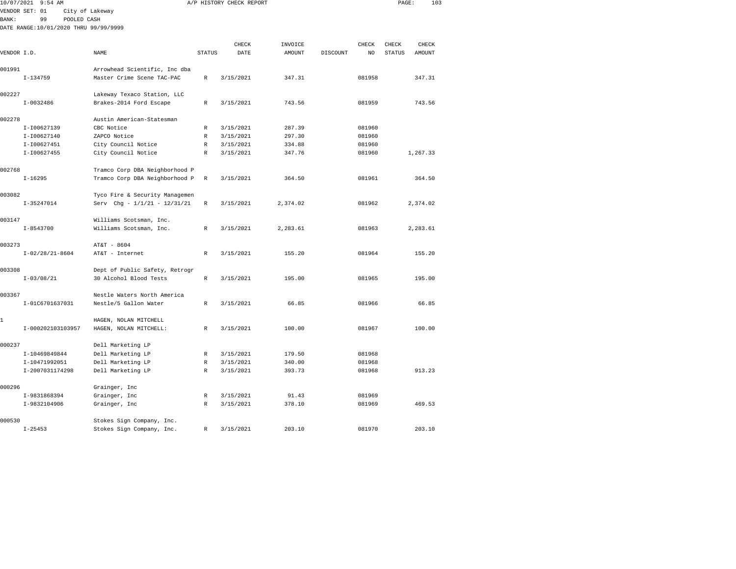|               | 10/07/2021 9:54 AM                    |                                |               | A/P HISTORY CHECK REPORT |          |          |        | PAGE:         | 103      |  |
|---------------|---------------------------------------|--------------------------------|---------------|--------------------------|----------|----------|--------|---------------|----------|--|
|               | VENDOR SET: 01                        | City of Lakeway                |               |                          |          |          |        |               |          |  |
| <b>BANK :</b> | 99<br>POOLED CASH                     |                                |               |                          |          |          |        |               |          |  |
|               | DATE RANGE:10/01/2020 THRU 99/99/9999 |                                |               |                          |          |          |        |               |          |  |
|               |                                       |                                |               |                          |          |          |        |               |          |  |
|               |                                       |                                |               | CHECK                    | INVOICE  |          | CHECK  | CHECK         | CHECK    |  |
| VENDOR I.D.   |                                       | NAME                           | <b>STATUS</b> | DATE                     | AMOUNT   | DISCOUNT | NO     | <b>STATUS</b> | AMOUNT   |  |
| 001991        |                                       | Arrowhead Scientific, Inc dba  |               |                          |          |          |        |               |          |  |
|               | $I-134759$                            | Master Crime Scene TAC-PAC     | R             | 3/15/2021                | 347.31   |          | 081958 |               | 347.31   |  |
| 002227        |                                       | Lakeway Texaco Station, LLC    |               |                          |          |          |        |               |          |  |
|               | $I-0032486$                           | Brakes-2014 Ford Escape        | $\,$ R        | 3/15/2021                | 743.56   |          | 081959 |               | 743.56   |  |
| 002278        |                                       | Austin American-Statesman      |               |                          |          |          |        |               |          |  |
|               | I-I00627139                           | CBC Notice                     | $\mathbb R$   | 3/15/2021                | 287.39   |          | 081960 |               |          |  |
|               | I-I00627140                           | ZAPCO Notice                   | R             | 3/15/2021                | 297.30   |          | 081960 |               |          |  |
|               | I-I00627451                           | City Council Notice            | R             | 3/15/2021                | 334.88   |          | 081960 |               |          |  |
|               | I-I00627455                           | City Council Notice            | R             | 3/15/2021                | 347.76   |          | 081960 |               | 1,267.33 |  |
| 002768        |                                       | Tramco Corp DBA Neighborhood P |               |                          |          |          |        |               |          |  |
|               | $I - 16295$                           | Tramco Corp DBA Neighborhood P | R             | 3/15/2021                | 364.50   |          | 081961 |               | 364.50   |  |
|               |                                       |                                |               |                          |          |          |        |               |          |  |
| 003082        |                                       | Tyco Fire & Security Managemen |               |                          |          |          |        |               |          |  |
|               | $I-35247014$                          | Serv Chg - 1/1/21 - 12/31/21   | $\mathbb{R}$  | 3/15/2021                | 2,374.02 |          | 081962 |               | 2,374.02 |  |
| 003147        |                                       | Williams Scotsman, Inc.        |               |                          |          |          |        |               |          |  |
|               | $I - 8543700$                         | Williams Scotsman, Inc.        | R             | 3/15/2021                | 2,283.61 |          | 081963 |               | 2,283.61 |  |
| 003273        |                                       | AT&T - 8604                    |               |                          |          |          |        |               |          |  |
|               | $I-02/28/21-8604$                     | AT&T - Internet                | $\mathbb{R}$  | 3/15/2021                | 155.20   |          | 081964 |               | 155.20   |  |
| 003308        |                                       | Dept of Public Safety, Retrogr |               |                          |          |          |        |               |          |  |
|               | $I - 03/08/21$                        | 30 Alcohol Blood Tests         | R             | 3/15/2021                | 195.00   |          | 081965 |               | 195.00   |  |
|               |                                       |                                |               |                          |          |          |        |               |          |  |
| 003367        |                                       | Nestle Waters North America    |               |                          |          |          |        |               |          |  |
|               | I-01C6701637031                       | Nestle/5 Gallon Water          | $\,$ R        | 3/15/2021                | 66.85    |          | 081966 |               | 66.85    |  |
| 1             |                                       | HAGEN, NOLAN MITCHELL          |               |                          |          |          |        |               |          |  |
|               | I-000202103103957                     | HAGEN, NOLAN MITCHELL:         | R             | 3/15/2021                | 100.00   |          | 081967 |               | 100.00   |  |
| 000237        |                                       | Dell Marketing LP              |               |                          |          |          |        |               |          |  |
|               | I-10469849844                         | Dell Marketing LP              | $\mathbb{R}$  | 3/15/2021                | 179.50   |          | 081968 |               |          |  |
|               | I-10471992051                         | Dell Marketing LP              | R             | 3/15/2021                | 340.00   |          | 081968 |               |          |  |
|               | I-2007031174298                       | Dell Marketing LP              | $\mathbb R$   | 3/15/2021                | 393.73   |          | 081968 |               | 913.23   |  |
| 000296        |                                       | Grainger, Inc                  |               |                          |          |          |        |               |          |  |
|               | I-9831868394                          | Grainger, Inc                  | R             | 3/15/2021                | 91.43    |          | 081969 |               |          |  |
|               | I-9832104906                          | Grainger, Inc                  | R             | 3/15/2021                | 378.10   |          | 081969 |               | 469.53   |  |
|               |                                       |                                |               |                          |          |          |        |               |          |  |
| 000530        |                                       | Stokes Sign Company, Inc.      |               |                          |          |          |        |               |          |  |

I-25453 Stokes Sign Company, Inc. R 3/15/2021 203.10 081970 203.10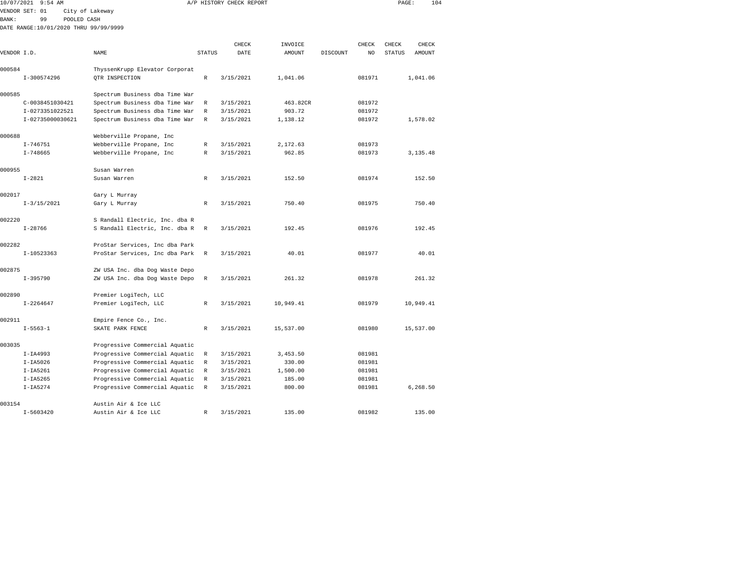| 10/07/2021   |                  | $9:54$ AM |                                       |                                |               | A/P HISTORY CHECK REPORT |           |          |        | PAGE:  | 104       |
|--------------|------------------|-----------|---------------------------------------|--------------------------------|---------------|--------------------------|-----------|----------|--------|--------|-----------|
|              | VENDOR SET: 01   |           | City of Lakeway                       |                                |               |                          |           |          |        |        |           |
| <b>BANK:</b> | 99               |           | POOLED CASH                           |                                |               |                          |           |          |        |        |           |
|              |                  |           | DATE RANGE:10/01/2020 THRU 99/99/9999 |                                |               |                          |           |          |        |        |           |
|              |                  |           |                                       |                                |               |                          |           |          |        |        |           |
|              |                  |           |                                       |                                |               | CHECK                    | INVOICE   |          | CHECK  | CHECK  | CHECK     |
| VENDOR I.D.  |                  |           | NAME                                  |                                | <b>STATUS</b> | DATE                     | AMOUNT    | DISCOUNT | NO     | STATUS | AMOUNT    |
| 000584       |                  |           |                                       | ThyssenKrupp Elevator Corporat |               |                          |           |          |        |        |           |
|              | I-300574296      |           |                                       | QTR INSPECTION                 | R             | 3/15/2021                | 1,041.06  |          | 081971 |        | 1,041.06  |
|              |                  |           |                                       |                                |               |                          |           |          |        |        |           |
| 000585       |                  |           |                                       | Spectrum Business dba Time War |               |                          |           |          |        |        |           |
|              | C-0038451030421  |           |                                       | Spectrum Business dba Time War | R             | 3/15/2021                | 463.82CR  |          | 081972 |        |           |
|              | I-0273351022521  |           |                                       | Spectrum Business dba Time War | R             | 3/15/2021                | 903.72    |          | 081972 |        |           |
|              | I-02735000030621 |           |                                       | Spectrum Business dba Time War | R             | 3/15/2021                | 1,138.12  |          | 081972 |        | 1,578.02  |
|              |                  |           |                                       |                                |               |                          |           |          |        |        |           |
| 000688       |                  |           |                                       | Webberville Propane, Inc       |               |                          |           |          |        |        |           |
|              | $I - 746751$     |           |                                       | Webberville Propane, Inc       | R             | 3/15/2021                | 2,172.63  |          | 081973 |        |           |
|              | $I - 748665$     |           |                                       | Webberville Propane, Inc       | R             | 3/15/2021                | 962.85    |          | 081973 |        | 3,135.48  |
|              |                  |           |                                       |                                |               |                          |           |          |        |        |           |
| 000955       |                  |           | Susan Warren                          |                                |               |                          |           |          |        |        |           |
|              | $I - 2821$       |           | Susan Warren                          |                                | R             | 3/15/2021                | 152.50    |          | 081974 |        | 152.50    |
| 002017       |                  |           |                                       |                                |               |                          |           |          |        |        |           |
|              | $I-3/15/2021$    |           |                                       | Gary L Murray<br>Gary L Murray | R             | 3/15/2021                | 750.40    |          | 081975 |        | 750.40    |
|              |                  |           |                                       |                                |               |                          |           |          |        |        |           |
| 002220       |                  |           |                                       | S Randall Electric, Inc. dba R |               |                          |           |          |        |        |           |
|              | $I - 28766$      |           |                                       | S Randall Electric, Inc. dba R | R             | 3/15/2021                | 192.45    |          | 081976 |        | 192.45    |
|              |                  |           |                                       |                                |               |                          |           |          |        |        |           |
| 002282       |                  |           |                                       | ProStar Services, Inc dba Park |               |                          |           |          |        |        |           |
|              | I-10523363       |           |                                       | ProStar Services, Inc dba Park | $\mathbb R$   | 3/15/2021                | 40.01     |          | 081977 |        | 40.01     |
|              |                  |           |                                       |                                |               |                          |           |          |        |        |           |
| 002875       |                  |           |                                       | ZW USA Inc. dba Dog Waste Depo |               |                          |           |          |        |        |           |
|              | $I-395790$       |           |                                       | ZW USA Inc. dba Dog Waste Depo | R             | 3/15/2021                | 261.32    |          | 081978 |        | 261.32    |
|              |                  |           |                                       |                                |               |                          |           |          |        |        |           |
| 002890       |                  |           |                                       | Premier LogiTech, LLC          |               |                          |           |          |        |        |           |
|              | $I - 2264647$    |           |                                       | Premier LogiTech, LLC          | R             | 3/15/2021                | 10,949.41 |          | 081979 |        | 10,949.41 |
| 002911       |                  |           |                                       | Empire Fence Co., Inc.         |               |                          |           |          |        |        |           |
|              | $I - 5563 - 1$   |           |                                       | SKATE PARK FENCE               | R             | 3/15/2021                | 15,537.00 |          | 081980 |        | 15,537.00 |
|              |                  |           |                                       |                                |               |                          |           |          |        |        |           |
| 003035       |                  |           |                                       | Progressive Commercial Aquatic |               |                          |           |          |        |        |           |
|              | $I-IA4993$       |           |                                       | Progressive Commercial Aquatic | R             | 3/15/2021                | 3,453.50  |          | 081981 |        |           |
|              | $I-IA5026$       |           |                                       | Progressive Commercial Aquatic | R             | 3/15/2021                | 330.00    |          | 081981 |        |           |
|              | $I-IA5261$       |           |                                       | Progressive Commercial Aquatic | R             | 3/15/2021                | 1,500.00  |          | 081981 |        |           |
|              | $I-IA5265$       |           |                                       | Progressive Commercial Aquatic | R             | 3/15/2021                | 185.00    |          | 081981 |        |           |
|              | $I-IA5274$       |           |                                       | Progressive Commercial Aquatic | R             | 3/15/2021                | 800.00    |          | 081981 |        | 6,268.50  |
|              |                  |           |                                       |                                |               |                          |           |          |        |        |           |
| 003154       |                  |           |                                       | Austin Air & Ice LLC           |               |                          |           |          |        |        |           |

I-5603420 Austin Air & Ice LLC R 3/15/2021 135.00 081982 135.00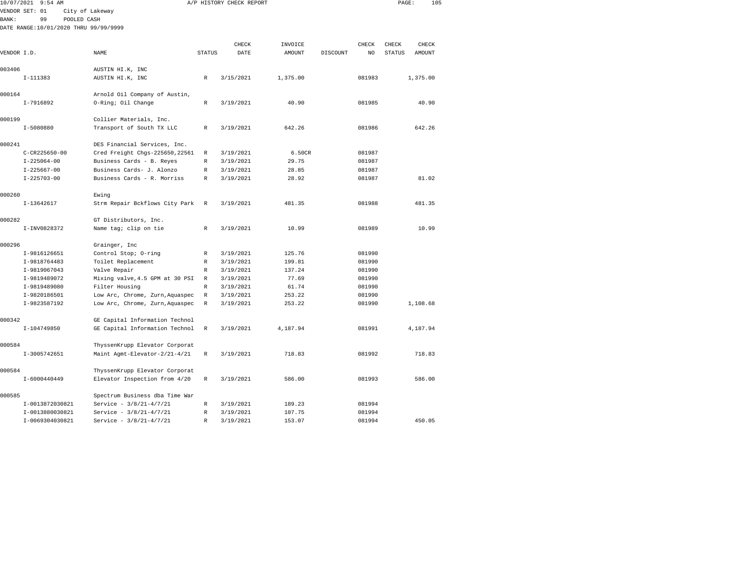|              | 10/07/2021 9:54 AM                    |                                 |               | A/P HISTORY CHECK REPORT |               |          |        | PAGE:         |          | 105 |
|--------------|---------------------------------------|---------------------------------|---------------|--------------------------|---------------|----------|--------|---------------|----------|-----|
|              | VENDOR SET: 01                        | City of Lakeway                 |               |                          |               |          |        |               |          |     |
| <b>BANK:</b> | 99<br>POOLED CASH                     |                                 |               |                          |               |          |        |               |          |     |
|              | DATE RANGE:10/01/2020 THRU 99/99/9999 |                                 |               |                          |               |          |        |               |          |     |
|              |                                       |                                 |               |                          |               |          |        |               |          |     |
|              |                                       |                                 |               | CHECK                    | INVOICE       |          | CHECK  | CHECK         | CHECK    |     |
| VENDOR I.D.  |                                       | NAME                            | <b>STATUS</b> | DATE                     | <b>AMOUNT</b> | DISCOUNT | NO     | <b>STATUS</b> | AMOUNT   |     |
| 003406       |                                       | AUSTIN HI.K, INC                |               |                          |               |          |        |               |          |     |
|              | I-111383                              | AUSTIN HI.K, INC                | R             | 3/15/2021                | 1,375.00      |          | 081983 |               | 1,375.00 |     |
| 000164       |                                       | Arnold Oil Company of Austin,   |               |                          |               |          |        |               |          |     |
|              | $I-7916892$                           | 0-Ring; Oil Change              | R             | 3/19/2021                | 40.90         |          | 081985 |               | 40.90    |     |
| 000199       |                                       | Collier Materials, Inc.         |               |                          |               |          |        |               |          |     |
|              | $I-5080880$                           | Transport of South TX LLC       | R             | 3/19/2021                | 642.26        |          | 081986 |               | 642.26   |     |
| 000241       |                                       | DES Financial Services, Inc.    |               |                          |               |          |        |               |          |     |
|              | $C-CR225650-00$                       | Cred Freight Chgs-225650, 22561 | $\mathbb R$   | 3/19/2021                | 6.50CR        |          | 081987 |               |          |     |
|              | $I - 225064 - 00$                     | Business Cards - B. Reyes       | R             | 3/19/2021                | 29.75         |          | 081987 |               |          |     |
|              | $I - 225667 - 00$                     | Business Cards- J. Alonzo       | R             | 3/19/2021                | 28.85         |          | 081987 |               |          |     |
|              | $I - 225703 - 00$                     | Business Cards - R. Morriss     | R             | 3/19/2021                | 28.92         |          | 081987 |               | 81.02    |     |
| 000260       |                                       | Ewing                           |               |                          |               |          |        |               |          |     |
|              | $I-13642617$                          | Strm Repair Bckflows City Park  | R             | 3/19/2021                | 481.35        |          | 081988 |               | 481.35   |     |
| 000282       |                                       | GT Distributors, Inc.           |               |                          |               |          |        |               |          |     |
|              | I-INV0828372                          | Name tag; clip on tie           | R             | 3/19/2021                | 10.99         |          | 081989 |               | 10.99    |     |
| 000296       |                                       | Grainger, Inc                   |               |                          |               |          |        |               |          |     |
|              | I-9816126651                          | Control Stop; O-ring            | R             | 3/19/2021                | 125.76        |          | 081990 |               |          |     |
|              | I-9818764483                          | Toilet Replacement              | R             | 3/19/2021                | 199.81        |          | 081990 |               |          |     |
|              | I-9819067043                          | Valve Repair                    | R             | 3/19/2021                | 137.24        |          | 081990 |               |          |     |
|              | I-9819489072                          | Mixing valve, 4.5 GPM at 30 PSI | $\mathbb R$   | 3/19/2021                | 77.69         |          | 081990 |               |          |     |
|              | I-9819489080                          | Filter Housing                  | R             | 3/19/2021                | 61.74         |          | 081990 |               |          |     |
|              | I-9820186501                          | Low Arc, Chrome, Zurn, Aquaspec | $\mathbb R$   | 3/19/2021                | 253.22        |          | 081990 |               |          |     |
|              | I-9823587192                          | Low Arc, Chrome, Zurn, Aquaspec | R             | 3/19/2021                | 253.22        |          | 081990 |               | 1,108.68 |     |
| 000342       |                                       | GE Capital Information Technol  |               |                          |               |          |        |               |          |     |
|              | I-104749850                           | GE Capital Information Technol  | R             | 3/19/2021                | 4,187.94      |          | 081991 |               | 4,187.94 |     |
| 000584       |                                       | ThyssenKrupp Elevator Corporat  |               |                          |               |          |        |               |          |     |
|              | I-3005742651                          | Maint Agmt-Elevator-2/21-4/21   | R             | 3/19/2021                | 718.83        |          | 081992 |               | 718.83   |     |
| 000584       |                                       | ThyssenKrupp Elevator Corporat  |               |                          |               |          |        |               |          |     |
|              | I-6000440449                          | Elevator Inspection from 4/20   | $\mathbb R$   | 3/19/2021                | 586.00        |          | 081993 |               | 586.00   |     |
| 000585       |                                       | Spectrum Business dba Time War  |               |                          |               |          |        |               |          |     |
|              | I-0013872030821                       | Service - 3/8/21-4/7/21         | R             | 3/19/2021                | 189.23        |          | 081994 |               |          |     |
|              | I-0013880030821                       | Service - 3/8/21-4/7/21         | R             | 3/19/2021                | 107.75        |          | 081994 |               |          |     |
|              | T-0069304030821                       | Service - 3/8/21-4/7/21         | R             | 3/19/2021                | 153.07        |          | 081994 |               | 450.05   |     |

I-0069304030821 Service - 3/8/21-4/7/21 R 3/19/2021 153.07 081994 450.05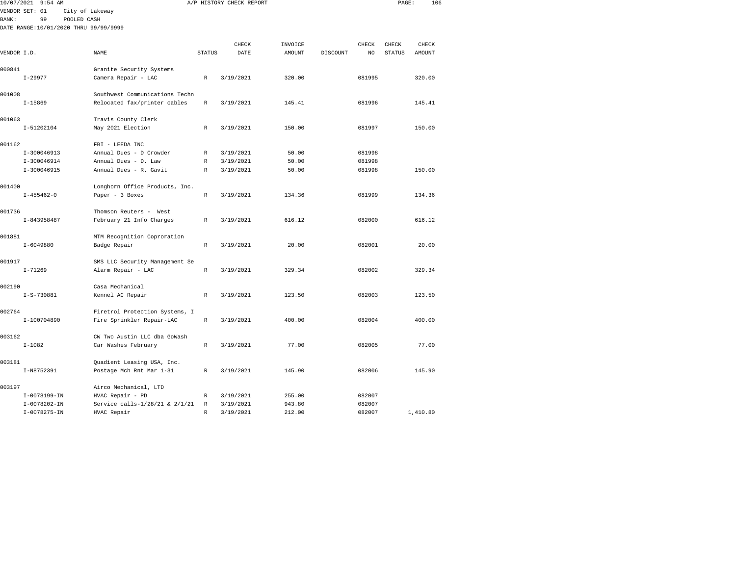|               | 10/07/2021 9:54 AM                    |                                                             |               | A/P HISTORY CHECK REPORT |               |          |                | PAGE:         | 106    |  |
|---------------|---------------------------------------|-------------------------------------------------------------|---------------|--------------------------|---------------|----------|----------------|---------------|--------|--|
|               | VENDOR SET: 01                        | City of Lakeway                                             |               |                          |               |          |                |               |        |  |
| <b>BANK :</b> | 99<br>POOLED CASH                     |                                                             |               |                          |               |          |                |               |        |  |
|               | DATE RANGE:10/01/2020 THRU 99/99/9999 |                                                             |               |                          |               |          |                |               |        |  |
|               |                                       |                                                             |               |                          |               |          |                |               |        |  |
|               |                                       |                                                             |               | CHECK                    | INVOICE       |          | CHECK          | CHECK         | CHECK  |  |
| VENDOR I.D.   |                                       | <b>NAME</b>                                                 | <b>STATUS</b> | DATE                     | <b>AMOUNT</b> | DISCOUNT | N <sub>O</sub> | <b>STATUS</b> | AMOUNT |  |
| 000841        |                                       |                                                             |               |                          |               |          |                |               |        |  |
|               | $I-29977$                             | Granite Security Systems<br>Camera Repair - LAC             | R             | 3/19/2021                | 320.00        |          | 081995         |               | 320.00 |  |
|               |                                       |                                                             |               |                          |               |          |                |               |        |  |
| 001008        |                                       | Southwest Communications Techn                              |               |                          |               |          |                |               |        |  |
|               | $I - 15869$                           | Relocated fax/printer cables                                | $\mathbb R$   | 3/19/2021                | 145.41        |          | 081996         |               | 145.41 |  |
|               |                                       |                                                             |               |                          |               |          |                |               |        |  |
| 001063        |                                       | Travis County Clerk                                         |               |                          |               |          |                |               |        |  |
|               | I-51202104                            | May 2021 Election                                           | R             | 3/19/2021                | 150.00        |          | 081997         |               | 150.00 |  |
| 001162        |                                       | FBI - LEEDA INC                                             |               |                          |               |          |                |               |        |  |
|               | $I-300046913$                         | Annual Dues - D Crowder                                     | R             | 3/19/2021                | 50.00         |          | 081998         |               |        |  |
|               | $I-300046914$                         | Annual Dues - D. Law                                        | R             | 3/19/2021                | 50.00         |          | 081998         |               |        |  |
|               | I-300046915                           | Annual Dues - R. Gavit                                      | R             | 3/19/2021                | 50.00         |          | 081998         |               | 150.00 |  |
|               |                                       |                                                             |               |                          |               |          |                |               |        |  |
| 001400        |                                       | Longhorn Office Products, Inc.                              |               |                          |               |          |                |               |        |  |
|               | $I - 455462 - 0$                      | Paper - 3 Boxes                                             | R             | 3/19/2021                | 134.36        |          | 081999         |               | 134.36 |  |
|               |                                       |                                                             |               |                          |               |          |                |               |        |  |
| 001736        |                                       | Thomson Reuters - West                                      |               |                          |               |          |                |               |        |  |
|               | I-843958487                           | February 21 Info Charges                                    | R             | 3/19/2021                | 616.12        |          | 082000         |               | 616.12 |  |
| 001881        |                                       | MTM Recognition Coproration                                 |               |                          |               |          |                |               |        |  |
|               | $I - 6049880$                         | Badge Repair                                                | R             | 3/19/2021                | 20.00         |          | 082001         |               | 20.00  |  |
|               |                                       |                                                             |               |                          |               |          |                |               |        |  |
| 001917        |                                       | SMS LLC Security Management Se                              |               |                          |               |          |                |               |        |  |
|               | $I - 71269$                           | Alarm Repair - LAC                                          | $\mathbb R$   | 3/19/2021                | 329.34        |          | 082002         |               | 329.34 |  |
|               |                                       |                                                             |               |                          |               |          |                |               |        |  |
| 002190        |                                       | Casa Mechanical                                             |               |                          |               |          |                |               |        |  |
|               | $I-S-730881$                          | Kennel AC Repair                                            | R             | 3/19/2021                | 123.50        |          | 082003         |               | 123.50 |  |
| 002764        |                                       |                                                             |               |                          |               |          |                |               |        |  |
|               | I-100704890                           | Firetrol Protection Systems, I<br>Fire Sprinkler Repair-LAC | $\mathbb{R}$  | 3/19/2021                | 400.00        |          | 082004         |               | 400.00 |  |
|               |                                       |                                                             |               |                          |               |          |                |               |        |  |
| 003162        |                                       | CW Two Austin LLC dba GoWash                                |               |                          |               |          |                |               |        |  |
|               | $I - 1082$                            | Car Washes February                                         | R             | 3/19/2021                | 77.00         |          | 082005         |               | 77.00  |  |
|               |                                       |                                                             |               |                          |               |          |                |               |        |  |
| 003181        |                                       | Quadient Leasing USA, Inc.                                  |               |                          |               |          |                |               |        |  |
|               | I-N8752391                            | Postage Mch Rnt Mar 1-31                                    | R             | 3/19/2021                | 145.90        |          | 082006         |               | 145.90 |  |
|               |                                       |                                                             |               |                          |               |          |                |               |        |  |
| 003197        | I-0078199-IN                          | Airco Mechanical, LTD<br>HVAC Repair - PD                   | R             | 3/19/2021                | 255.00        |          | 082007         |               |        |  |
|               | $I-0078202 - IN$                      | Service calls-1/28/21 & 2/1/21                              | R             | 3/19/2021                | 943.80        |          | 082007         |               |        |  |
|               |                                       |                                                             |               |                          |               |          |                |               |        |  |

I-0078275-IN HVAC Repair R 3/19/2021 212.00 082007 1,410.80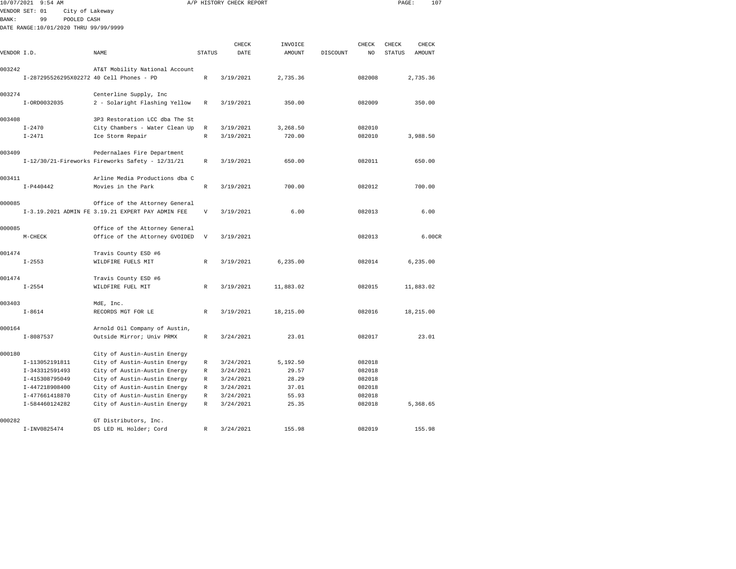| 10/07/2021  | 9:54 AM                                  |                                                              |                           | A/P HISTORY CHECK REPORT |                |          |                  | PAGE:         |           | 107    |
|-------------|------------------------------------------|--------------------------------------------------------------|---------------------------|--------------------------|----------------|----------|------------------|---------------|-----------|--------|
|             | VENDOR SET: 01<br>City of Lakeway        |                                                              |                           |                          |                |          |                  |               |           |        |
| BANK:       | 99<br>POOLED CASH                        |                                                              |                           |                          |                |          |                  |               |           |        |
|             | DATE RANGE:10/01/2020 THRU 99/99/9999    |                                                              |                           |                          |                |          |                  |               |           |        |
|             |                                          |                                                              |                           |                          |                |          |                  |               |           |        |
|             |                                          |                                                              |                           | CHECK                    | INVOICE        |          | CHECK            | CHECK         | CHECK     |        |
| VENDOR I.D. |                                          | NAME                                                         | <b>STATUS</b>             | DATE                     | AMOUNT         | DISCOUNT | NO               | <b>STATUS</b> | AMOUNT    |        |
| 003242      |                                          |                                                              |                           |                          |                |          |                  |               |           |        |
|             | I-287295526295X02272 40 Cell Phones - PD | AT&T Mobility National Account                               | R                         | 3/19/2021                | 2,735.36       |          | 082008           |               | 2,735.36  |        |
|             |                                          |                                                              |                           |                          |                |          |                  |               |           |        |
| 003274      |                                          | Centerline Supply, Inc                                       |                           |                          |                |          |                  |               |           |        |
|             | I-ORD0032035                             | 2 - Solaright Flashing Yellow                                | $\mathbb R$               | 3/19/2021                | 350.00         |          | 082009           |               | 350.00    |        |
|             |                                          |                                                              |                           |                          |                |          |                  |               |           |        |
| 003408      |                                          | 3P3 Restoration LCC dba The St                               |                           |                          |                |          |                  |               |           |        |
|             | $I - 2470$                               | City Chambers - Water Clean Up                               | R                         | 3/19/2021                | 3,268.50       |          | 082010           |               |           |        |
|             | $I - 2471$                               | Ice Storm Repair                                             | R                         | 3/19/2021                | 720.00         |          | 082010           |               | 3,988.50  |        |
|             |                                          |                                                              |                           |                          |                |          |                  |               |           |        |
| 003409      |                                          | Pedernalaes Fire Department                                  |                           |                          |                |          |                  |               |           |        |
|             |                                          | I-12/30/21-Fireworks Fireworks Safety - 12/31/21             | R                         | 3/19/2021                | 650.00         |          | 082011           |               | 650.00    |        |
| 003411      |                                          | Arline Media Productions dba C                               |                           |                          |                |          |                  |               |           |        |
|             | $I-P440442$                              | Movies in the Park                                           | R                         | 3/19/2021                | 700.00         |          | 082012           |               | 700.00    |        |
|             |                                          |                                                              |                           |                          |                |          |                  |               |           |        |
| 000085      |                                          | Office of the Attorney General                               |                           |                          |                |          |                  |               |           |        |
|             |                                          | I-3.19.2021 ADMIN FE 3.19.21 EXPERT PAY ADMIN FEE            | $\boldsymbol{\mathrm{V}}$ | 3/19/2021                | 6.00           |          | 082013           |               |           | 6.00   |
|             |                                          |                                                              |                           |                          |                |          |                  |               |           |        |
| 000085      |                                          | Office of the Attorney General                               |                           |                          |                |          |                  |               |           |        |
|             | M-CHECK                                  | Office of the Attorney GVOIDED                               | $\mathbf{V}$              | 3/19/2021                |                |          | 082013           |               |           | 6.00CR |
|             |                                          |                                                              |                           |                          |                |          |                  |               |           |        |
| 001474      |                                          | Travis County ESD #6                                         |                           |                          |                |          |                  |               |           |        |
|             | $I - 2553$                               | WILDFIRE FUELS MIT                                           | $\mathbb{R}$              | 3/19/2021                | 6, 235.00      |          | 082014           |               | 6,235.00  |        |
| 001474      |                                          |                                                              |                           |                          |                |          |                  |               |           |        |
|             | $I - 2554$                               | Travis County ESD #6<br>WILDFIRE FUEL MIT                    | $\mathbb R$               | 3/19/2021                | 11,883.02      |          | 082015           |               | 11,883.02 |        |
|             |                                          |                                                              |                           |                          |                |          |                  |               |           |        |
| 003403      |                                          | MdE, Inc.                                                    |                           |                          |                |          |                  |               |           |        |
|             | $I - 8614$                               | RECORDS MGT FOR LE                                           | $\mathbb{R}$              | 3/19/2021                | 18,215.00      |          | 082016           |               | 18,215.00 |        |
|             |                                          |                                                              |                           |                          |                |          |                  |               |           |        |
| 000164      |                                          | Arnold Oil Company of Austin,                                |                           |                          |                |          |                  |               |           |        |
|             | $I - 8087537$                            | Outside Mirror; Univ PRMX                                    | $\mathbb R$               | 3/24/2021                | 23.01          |          | 082017           |               | 23.01     |        |
|             |                                          |                                                              |                           |                          |                |          |                  |               |           |        |
| 000180      |                                          | City of Austin-Austin Energy                                 |                           |                          |                |          |                  |               |           |        |
|             | I-113052191811                           | City of Austin-Austin Energy                                 | R                         | 3/24/2021                | 5,192.50       |          | 082018           |               |           |        |
|             | I-343312591493<br>I-415308795049         | City of Austin-Austin Energy<br>City of Austin-Austin Energy | R<br>R                    | 3/24/2021<br>3/24/2021   | 29.57<br>28.29 |          | 082018<br>082018 |               |           |        |
|             | I-447218908400                           | City of Austin-Austin Energy                                 | R                         | 3/24/2021                | 37.01          |          | 082018           |               |           |        |
|             | I-477661418870                           | City of Austin-Austin Energy                                 | R                         | 3/24/2021                | 55.93          |          | 082018           |               |           |        |
|             | I-584460124282                           | City of Austin-Austin Energy                                 | R                         | 3/24/2021                | 25.35          |          | 082018           |               | 5,368.65  |        |
|             |                                          |                                                              |                           |                          |                |          |                  |               |           |        |
| 000282      |                                          | GT Distributors, Inc.                                        |                           |                          |                |          |                  |               |           |        |
|             | I-INV0825474                             | DS LED HL Holder; Cord                                       | R                         | 3/24/2021                | 155.98         |          | 082019           |               | 155.98    |        |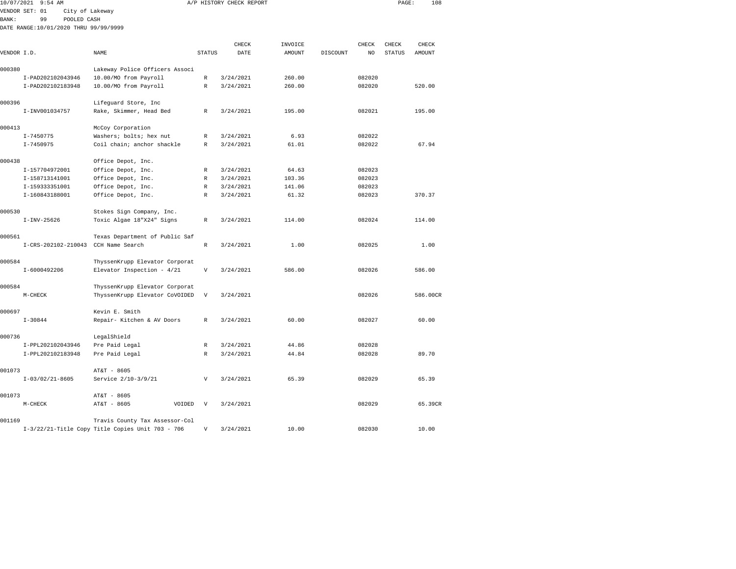| 10/07/2021   | $9:54$ AM                             |                                |               | A/P HISTORY CHECK REPORT |         |          |        | PAGE:         | 108      |
|--------------|---------------------------------------|--------------------------------|---------------|--------------------------|---------|----------|--------|---------------|----------|
|              | VENDOR SET: 01<br>City of Lakeway     |                                |               |                          |         |          |        |               |          |
| <b>BANK:</b> | 99<br>POOLED CASH                     |                                |               |                          |         |          |        |               |          |
|              | DATE RANGE:10/01/2020 THRU 99/99/9999 |                                |               |                          |         |          |        |               |          |
|              |                                       |                                |               |                          |         |          |        |               |          |
|              |                                       |                                |               | CHECK                    | INVOICE |          | CHECK  | CHECK         | CHECK    |
| VENDOR I.D.  |                                       | NAME                           | <b>STATUS</b> | DATE                     | AMOUNT  | DISCOUNT | NO     | <b>STATUS</b> | AMOUNT   |
| 000380       |                                       | Lakeway Police Officers Associ |               |                          |         |          |        |               |          |
|              | I-PAD202102043946                     | 10.00/MO from Payroll          | R             | 3/24/2021                | 260.00  |          | 082020 |               |          |
|              | I-PAD202102183948                     | 10.00/MO from Payroll          | $\mathbb{R}$  | 3/24/2021                | 260.00  |          | 082020 |               | 520.00   |
| 000396       |                                       | Lifeguard Store, Inc           |               |                          |         |          |        |               |          |
|              | I-INV001034757                        | Rake, Skimmer, Head Bed        | R             | 3/24/2021                | 195.00  |          | 082021 |               | 195.00   |
| 000413       |                                       | McCoy Corporation              |               |                          |         |          |        |               |          |
|              | I-7450775                             | Washers; bolts; hex nut        | R             | 3/24/2021                | 6.93    |          | 082022 |               |          |
|              | I-7450975                             | Coil chain; anchor shackle     | R             | 3/24/2021                | 61.01   |          | 082022 |               | 67.94    |
|              |                                       |                                |               |                          |         |          |        |               |          |
| 000438       |                                       | Office Depot, Inc.             |               |                          |         |          |        |               |          |
|              | I-157704972001                        | Office Depot, Inc.             | R             | 3/24/2021                | 64.63   |          | 082023 |               |          |
|              | I-158713141001                        | Office Depot, Inc.             | $\mathbb{R}$  | 3/24/2021                | 103.36  |          | 082023 |               |          |
|              | I-159333351001                        | Office Depot, Inc.             | R             | 3/24/2021                | 141.06  |          | 082023 |               |          |
|              | I-160843188001                        | Office Depot, Inc.             | R             | 3/24/2021                | 61.32   |          | 082023 |               | 370.37   |
| 000530       |                                       | Stokes Sign Company, Inc.      |               |                          |         |          |        |               |          |
|              | $I-INV-25626$                         | Toxic Algae 18"X24" Signs      | R             | 3/24/2021                | 114.00  |          | 082024 |               | 114.00   |
|              |                                       |                                |               |                          |         |          |        |               |          |
| 000561       |                                       | Texas Department of Public Saf |               |                          |         |          |        |               |          |
|              | I-CRS-202102-210043 CCH Name Search   |                                | $\mathbb R$   | 3/24/2021                | 1.00    |          | 082025 |               | 1.00     |
| 000584       |                                       | ThyssenKrupp Elevator Corporat |               |                          |         |          |        |               |          |
|              | I-6000492206                          | Elevator Inspection - 4/21     | V             | 3/24/2021                | 586.00  |          | 082026 |               | 586.00   |
| 000584       |                                       | ThyssenKrupp Elevator Corporat |               |                          |         |          |        |               |          |
|              | $M-CHECK$                             | ThyssenKrupp Elevator CoVOIDED | V             | 3/24/2021                |         |          | 082026 |               | 586.00CR |
|              |                                       |                                |               |                          |         |          |        |               |          |
| 000697       |                                       | Kevin E. Smith                 |               |                          |         |          |        |               |          |
|              | $I - 30844$                           | Repair- Kitchen & AV Doors     | R             | 3/24/2021                | 60.00   |          | 082027 |               | 60.00    |
| 000736       |                                       | LegalShield                    |               |                          |         |          |        |               |          |
|              | I-PPL202102043946                     | Pre Paid Legal                 | $\mathbb{R}$  | 3/24/2021                | 44.86   |          | 082028 |               |          |
|              | I-PPL202102183948                     | Pre Paid Legal                 | $\mathbb R$   | 3/24/2021                | 44.84   |          | 082028 |               | 89.70    |
| 001073       |                                       | AT&T - 8605                    |               |                          |         |          |        |               |          |
|              | $I-03/02/21-8605$                     | Service 2/10-3/9/21            | V             | 3/24/2021                | 65.39   |          | 082029 |               | 65.39    |
|              |                                       |                                |               |                          |         |          |        |               |          |
| 001073       |                                       | AT&T - 8605                    |               |                          |         |          |        |               |          |
|              | $M-CHECK$                             | AT&T - 8605<br>VOIDED          | V             | 3/24/2021                |         |          | 082029 |               | 65.39CR  |
|              |                                       |                                |               |                          |         |          |        |               |          |

001169 Travis County Tax Assessor-Col I-3/22/21-Title Copy Title Copies Unit 703 - 706 V 3/24/2021 10.00 082030 10.00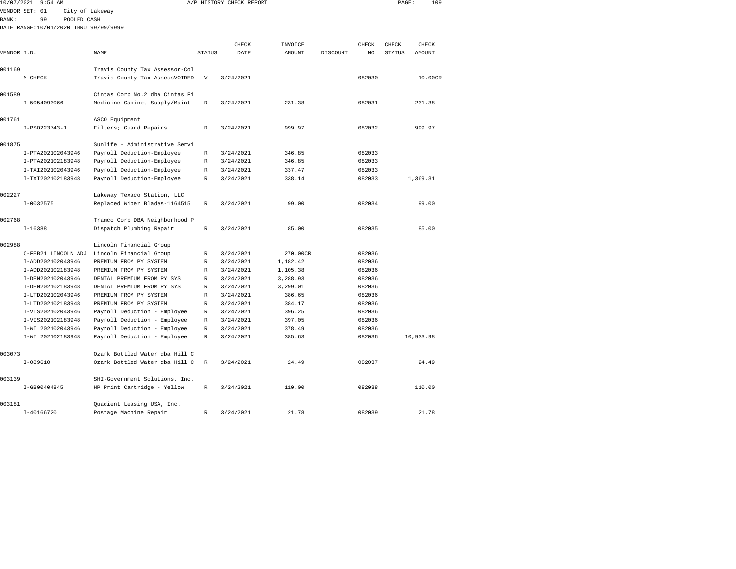| 10/07/2021  | $9:54$ AM                             |                                                               |                           | A/P HISTORY CHECK REPORT |          |          |        | PAGE:  | 109       |  |
|-------------|---------------------------------------|---------------------------------------------------------------|---------------------------|--------------------------|----------|----------|--------|--------|-----------|--|
|             | VENDOR SET: 01<br>City of Lakeway     |                                                               |                           |                          |          |          |        |        |           |  |
| BANK:       | 99<br>POOLED CASH                     |                                                               |                           |                          |          |          |        |        |           |  |
|             | DATE RANGE:10/01/2020 THRU 99/99/9999 |                                                               |                           |                          |          |          |        |        |           |  |
|             |                                       |                                                               |                           |                          |          |          |        |        |           |  |
|             |                                       |                                                               |                           | CHECK                    | INVOICE  |          | CHECK  | CHECK  | CHECK     |  |
| VENDOR I.D. |                                       | NAME                                                          | <b>STATUS</b>             | DATE                     | AMOUNT   | DISCOUNT | NO     | STATUS | AMOUNT    |  |
| 001169      |                                       | Travis County Tax Assessor-Col                                |                           |                          |          |          |        |        |           |  |
|             | $M-CHECK$                             | Travis County Tax AssessVOIDED                                | $\boldsymbol{\mathrm{V}}$ | 3/24/2021                |          |          | 082030 |        | 10.00CR   |  |
|             |                                       |                                                               |                           |                          |          |          |        |        |           |  |
| 001589      |                                       | Cintas Corp No.2 dba Cintas Fi                                |                           |                          |          |          |        |        |           |  |
|             | I-5054093066                          | Medicine Cabinet Supply/Maint                                 | R                         | 3/24/2021                | 231.38   |          | 082031 |        | 231.38    |  |
|             |                                       |                                                               |                           |                          |          |          |        |        |           |  |
| 001761      |                                       | ASCO Equipment                                                |                           |                          |          |          |        |        |           |  |
|             | I-PS0223743-1                         | Filters; Guard Repairs                                        | R                         | 3/24/2021                | 999.97   |          | 082032 |        | 999.97    |  |
|             |                                       |                                                               |                           |                          |          |          |        |        |           |  |
| 001875      |                                       | Sunlife - Administrative Servi                                |                           |                          |          |          |        |        |           |  |
|             | I-PTA202102043946                     | Payroll Deduction-Employee                                    | R                         | 3/24/2021                | 346.85   |          | 082033 |        |           |  |
|             | I-PTA202102183948                     | Payroll Deduction-Employee                                    | R                         | 3/24/2021                | 346.85   |          | 082033 |        |           |  |
|             | I-TXI202102043946                     | Payroll Deduction-Employee                                    | R                         | 3/24/2021                | 337.47   |          | 082033 |        |           |  |
|             | I-TXI202102183948                     | Payroll Deduction-Employee                                    | R                         | 3/24/2021                | 338.14   |          | 082033 |        | 1,369.31  |  |
| 002227      |                                       | Lakeway Texaco Station, LLC                                   |                           |                          |          |          |        |        |           |  |
|             | $I - 0032575$                         | Replaced Wiper Blades-1164515                                 | R                         | 3/24/2021                | 99.00    |          | 082034 |        | 99.00     |  |
|             |                                       |                                                               |                           |                          |          |          |        |        |           |  |
| 002768      |                                       | Tramco Corp DBA Neighborhood P                                |                           |                          |          |          |        |        |           |  |
|             | $I-16388$                             | Dispatch Plumbing Repair                                      | R                         | 3/24/2021                | 85.00    |          | 082035 |        | 85.00     |  |
| 002988      |                                       | Lincoln Financial Group                                       |                           |                          |          |          |        |        |           |  |
|             | C-FEB21 LINCOLN ADJ                   | Lincoln Financial Group                                       | R                         | 3/24/2021                | 270.00CR |          | 082036 |        |           |  |
|             | I-ADD202102043946                     | PREMIUM FROM PY SYSTEM                                        | R                         | 3/24/2021                | 1,182.42 |          | 082036 |        |           |  |
|             | I-ADD202102183948                     | PREMIUM FROM PY SYSTEM                                        | R                         | 3/24/2021                | 1,105.38 |          | 082036 |        |           |  |
|             | I-DEN202102043946                     | DENTAL PREMIUM FROM PY SYS                                    | R                         | 3/24/2021                | 3,288.93 |          | 082036 |        |           |  |
|             | I-DEN202102183948                     | DENTAL PREMIUM FROM PY SYS                                    | R                         | 3/24/2021                | 3,299.01 |          | 082036 |        |           |  |
|             | I-LTD202102043946                     | PREMIUM FROM PY SYSTEM                                        | R                         | 3/24/2021                | 386.65   |          | 082036 |        |           |  |
|             | I-LTD202102183948                     | PREMIUM FROM PY SYSTEM                                        | R                         | 3/24/2021                | 384.17   |          | 082036 |        |           |  |
|             | I-VIS202102043946                     | Payroll Deduction - Employee                                  | R                         | 3/24/2021                | 396.25   |          | 082036 |        |           |  |
|             | I-VIS202102183948                     | Payroll Deduction - Employee                                  | R                         | 3/24/2021                | 397.05   |          | 082036 |        |           |  |
|             | I-WI 202102043946                     | Payroll Deduction - Employee                                  | R                         | 3/24/2021                | 378.49   |          | 082036 |        |           |  |
|             | I-WI 202102183948                     | Payroll Deduction - Employee                                  | R                         | 3/24/2021                | 385.63   |          | 082036 |        | 10,933.98 |  |
|             |                                       |                                                               |                           |                          |          |          |        |        |           |  |
| 003073      |                                       | Ozark Bottled Water dba Hill C                                |                           |                          |          |          |        |        |           |  |
|             | $I-089610$                            | Ozark Bottled Water dba Hill C                                | R                         | 3/24/2021                | 24.49    |          | 082037 |        | 24.49     |  |
| 003139      |                                       |                                                               |                           |                          |          |          |        |        |           |  |
|             | I-GB00404845                          | SHI-Government Solutions, Inc.<br>HP Print Cartridge - Yellow | R                         | 3/24/2021                | 110.00   |          | 082038 |        | 110.00    |  |
|             |                                       |                                                               |                           |                          |          |          |        |        |           |  |
| 003181      |                                       | Quadient Leasing USA, Inc.                                    |                           |                          |          |          |        |        |           |  |

I-40166720 Postage Machine Repair R 3/24/2021 21.78 082039 21.78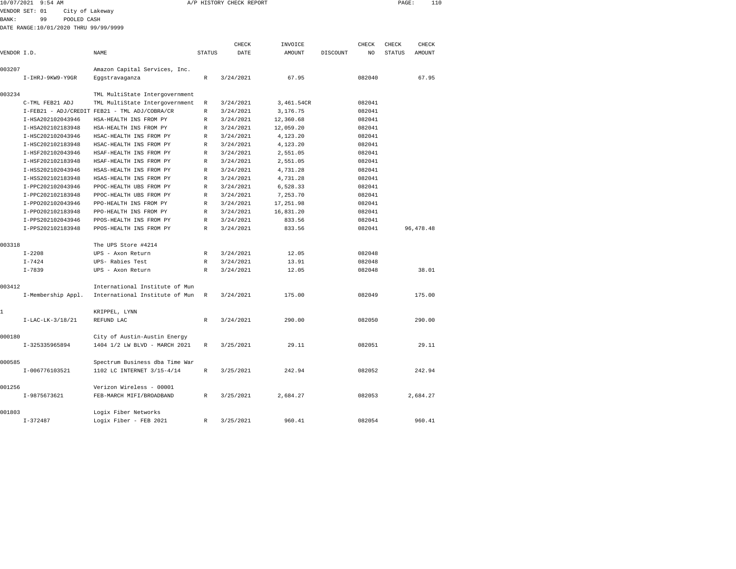|              | 10/07/2021 9:54 AM                     |                                               |               | A/P HISTORY CHECK REPORT |            |                 |                | PAGE:         | 110         |  |
|--------------|----------------------------------------|-----------------------------------------------|---------------|--------------------------|------------|-----------------|----------------|---------------|-------------|--|
|              | VENDOR SET: 01<br>City of Lakeway      |                                               |               |                          |            |                 |                |               |             |  |
| <b>BANK:</b> | 99<br>POOLED CASH                      |                                               |               |                          |            |                 |                |               |             |  |
|              | DATE RANGE: 10/01/2020 THRU 99/99/9999 |                                               |               |                          |            |                 |                |               |             |  |
|              |                                        |                                               |               |                          |            |                 |                |               |             |  |
|              |                                        |                                               |               | CHECK                    | INVOICE    |                 | CHECK          | CHECK         | CHECK       |  |
| VENDOR I.D.  |                                        | NAME                                          | <b>STATUS</b> | DATE                     | AMOUNT     | <b>DISCOUNT</b> | N <sub>O</sub> | <b>STATUS</b> | AMOUNT      |  |
| 003207       |                                        | Amazon Capital Services, Inc.                 |               |                          |            |                 |                |               |             |  |
|              | I-IHRJ-9KW9-Y9GR                       | Eggstravaganza                                | R             | 3/24/2021                | 67.95      |                 | 082040         |               | 67.95       |  |
| 003234       |                                        | TML MultiState Intergovernment                |               |                          |            |                 |                |               |             |  |
|              | C-TML FEB21 ADJ                        | TML MultiState Intergovernment                | R             | 3/24/2021                | 3,461.54CR |                 | 082041         |               |             |  |
|              |                                        | I-FEB21 - ADJ/CREDIT FEB21 - TML ADJ/COBRA/CR | R             | 3/24/2021                | 3,176.75   |                 | 082041         |               |             |  |
|              | I-HSA202102043946                      | HSA-HEALTH INS FROM PY                        | R             | 3/24/2021                | 12,360.68  |                 | 082041         |               |             |  |
|              | I-HSA202102183948                      | HSA-HEALTH INS FROM PY                        | R             | 3/24/2021                | 12,059.20  |                 | 082041         |               |             |  |
|              | I-HSC202102043946                      | HSAC-HEALTH INS FROM PY                       | R             | 3/24/2021                | 4,123.20   |                 | 082041         |               |             |  |
|              | I-HSC202102183948                      | HSAC-HEALTH INS FROM PY                       | R             | 3/24/2021                | 4,123.20   |                 | 082041         |               |             |  |
|              | I-HSF202102043946                      | HSAF-HEALTH INS FROM PY                       | R             | 3/24/2021                | 2,551.05   |                 | 082041         |               |             |  |
|              | I-HSF202102183948                      | HSAF-HEALTH INS FROM PY                       | R             | 3/24/2021                | 2,551.05   |                 | 082041         |               |             |  |
|              | I-HSS202102043946                      | HSAS-HEALTH INS FROM PY                       | R             | 3/24/2021                | 4,731.28   |                 | 082041         |               |             |  |
|              | I-HSS202102183948                      | HSAS-HEALTH INS FROM PY                       | R             | 3/24/2021                | 4,731.28   |                 | 082041         |               |             |  |
|              | I-PPC202102043946                      | PPOC-HEALTH UBS FROM PY                       | R             | 3/24/2021                | 6,528.33   |                 | 082041         |               |             |  |
|              | I-PPC202102183948                      | PPOC-HEALTH UBS FROM PY                       | R             | 3/24/2021                | 7,253.70   |                 | 082041         |               |             |  |
|              | I-PP0202102043946                      | PPO-HEALTH INS FROM PY                        | R             | 3/24/2021                | 17,251.98  |                 | 082041         |               |             |  |
|              | I-PP0202102183948                      | PPO-HEALTH INS FROM PY                        | R             | 3/24/2021                | 16,831.20  |                 | 082041         |               |             |  |
|              | I-PPS202102043946                      | PPOS-HEALTH INS FROM PY                       | R             | 3/24/2021                | 833.56     |                 | 082041         |               |             |  |
|              | I-PPS202102183948                      | PPOS-HEALTH INS FROM PY                       | R             | 3/24/2021                | 833.56     |                 | 082041         |               | 96, 478. 48 |  |
| 003318       |                                        | The UPS Store #4214                           |               |                          |            |                 |                |               |             |  |
|              | $I - 2208$                             | UPS - Axon Return                             | R             | 3/24/2021                | 12.05      |                 | 082048         |               |             |  |
|              | $I - 7424$                             | UPS- Rabies Test                              | R             | 3/24/2021                | 13.91      |                 | 082048         |               |             |  |
|              | $I - 7839$                             | UPS - Axon Return                             | R             | 3/24/2021                | 12.05      |                 | 082048         |               | 38.01       |  |
| 003412       |                                        | International Institute of Mun                |               |                          |            |                 |                |               |             |  |
|              | I-Membership Appl.                     | International Institute of Mun                | R             | 3/24/2021                | 175.00     |                 | 082049         |               | 175.00      |  |
|              |                                        |                                               |               |                          |            |                 |                |               |             |  |

|        | $I-LAC-LK-3/18/21$ | KRIPPEL, LYNN<br>REFUND LAC                                   | R | 3/24/2021 | 290.00   | 082050 | 290.00   |
|--------|--------------------|---------------------------------------------------------------|---|-----------|----------|--------|----------|
| 000180 | I-325335965894     | City of Austin-Austin Energy<br>1404 1/2 LW BLVD - MARCH 2021 | R | 3/25/2021 | 29.11    | 082051 | 29.11    |
| 000585 | I-006776103521     | Spectrum Business dba Time War<br>1102 LC INTERNET 3/15-4/14  | R | 3/25/2021 | 242.94   | 082052 | 242.94   |
| 001256 | I-9875673621       | Verizon Wireless - 00001<br>FEB-MARCH MIFI/BROADBAND          | R | 3/25/2021 | 2,684.27 | 082053 | 2,684.27 |
| 001803 | $I - 372487$       | Logix Fiber Networks<br>Logix Fiber - FEB 2021                | R | 3/25/2021 | 960.41   | 082054 | 960.41   |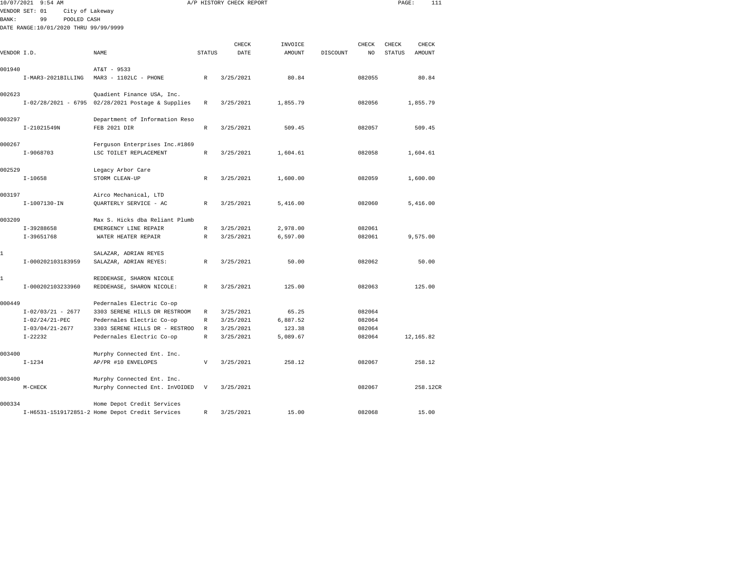|              | 10/07/2021 9:54 AM                    |                                                   |               | A/P HISTORY CHECK REPORT |          |          |        | PAGE:         | 111        |
|--------------|---------------------------------------|---------------------------------------------------|---------------|--------------------------|----------|----------|--------|---------------|------------|
|              | VENDOR SET: 01<br>City of Lakeway     |                                                   |               |                          |          |          |        |               |            |
| <b>BANK:</b> | 99<br>POOLED CASH                     |                                                   |               |                          |          |          |        |               |            |
|              | DATE RANGE:10/01/2020 THRU 99/99/9999 |                                                   |               |                          |          |          |        |               |            |
|              |                                       |                                                   |               |                          |          |          |        |               |            |
|              |                                       |                                                   |               | CHECK                    | INVOICE  |          | CHECK  | CHECK         | CHECK      |
| VENDOR I.D.  |                                       | NAME                                              | <b>STATUS</b> | DATE                     | AMOUNT   | DISCOUNT | NO     | <b>STATUS</b> | AMOUNT     |
| 001940       |                                       | AT&T - 9533                                       |               |                          |          |          |        |               |            |
|              | I-MAR3-2021BILLING                    | $MAR3 - 1102LC - PHONE$                           | $\mathbb R$   | 3/25/2021                | 80.84    |          | 082055 |               | 80.84      |
| 002623       |                                       | Quadient Finance USA, Inc.                        |               |                          |          |          |        |               |            |
|              |                                       | I-02/28/2021 - 6795 02/28/2021 Postage & Supplies | R             | 3/25/2021                | 1,855.79 |          | 082056 |               | 1,855.79   |
| 003297       |                                       | Department of Information Reso                    |               |                          |          |          |        |               |            |
|              | I-21021549N                           | FEB 2021 DIR                                      | R             | 3/25/2021                | 509.45   |          | 082057 |               | 509.45     |
| 000267       |                                       | Ferguson Enterprises Inc.#1869                    |               |                          |          |          |        |               |            |
|              | $I-9068703$                           | LSC TOILET REPLACEMENT                            | $\mathbb{R}$  | 3/25/2021                | 1,604.61 |          | 082058 |               | 1,604.61   |
| 002529       |                                       | Legacy Arbor Care                                 |               |                          |          |          |        |               |            |
|              | $I-10658$                             | STORM CLEAN-UP                                    | R             | 3/25/2021                | 1,600.00 |          | 082059 |               | 1,600.00   |
| 003197       |                                       | Airco Mechanical, LTD                             |               |                          |          |          |        |               |            |
|              | $I-1007130 - IN$                      | QUARTERLY SERVICE - AC                            | R             | 3/25/2021                | 5,416.00 |          | 082060 |               | 5,416.00   |
| 003209       |                                       | Max S. Hicks dba Reliant Plumb                    |               |                          |          |          |        |               |            |
|              | I-39288658                            | EMERGENCY LINE REPAIR                             | R             | 3/25/2021                | 2,978.00 |          | 082061 |               |            |
|              | $I-39651768$                          | WATER HEATER REPAIR                               | $\mathbb{R}$  | 3/25/2021                | 6,597.00 |          | 082061 |               | 9,575.00   |
| 1            |                                       | SALAZAR, ADRIAN REYES                             |               |                          |          |          |        |               |            |
|              | I-000202103183959                     | SALAZAR, ADRIAN REYES:                            | R             | 3/25/2021                | 50.00    |          | 082062 |               | 50.00      |
| 1            |                                       | REDDEHASE, SHARON NICOLE                          |               |                          |          |          |        |               |            |
|              | I-000202103233960                     | REDDEHASE, SHARON NICOLE:                         | $\mathbb{R}$  | 3/25/2021                | 125.00   |          | 082063 |               | 125.00     |
| 000449       |                                       | Pedernales Electric Co-op                         |               |                          |          |          |        |               |            |
|              | $I-02/03/21 - 2677$                   | 3303 SERENE HILLS DR RESTROOM                     | $\mathbb{R}$  | 3/25/2021                | 65.25    |          | 082064 |               |            |
|              | $I-02/24/21-PEC$                      | Pedernales Electric Co-op                         | $\mathbb{R}$  | 3/25/2021                | 6,887.52 |          | 082064 |               |            |
|              | $I-03/04/21-2677$                     | 3303 SERENE HILLS DR - RESTROO                    | $\mathbb{R}$  | 3/25/2021                | 123.38   |          | 082064 |               |            |
|              | $I - 22232$                           | Pedernales Electric Co-op                         | R             | 3/25/2021                | 5,089.67 |          | 082064 |               | 12, 165.82 |
| 003400       |                                       | Murphy Connected Ent. Inc.                        |               |                          |          |          |        |               |            |
|              | $I - 1234$                            | AP/PR #10 ENVELOPES                               | V             | 3/25/2021                | 258.12   |          | 082067 |               | 258.12     |
| 003400       |                                       | Murphy Connected Ent. Inc.                        |               |                          |          |          |        |               |            |
|              | $M-CHECK$                             | Murphy Connected Ent. InVOIDED                    | V             | 3/25/2021                |          |          | 082067 |               | 258.12CR   |
| 000334       |                                       | Home Depot Credit Services                        |               |                          |          |          |        |               |            |
|              |                                       | I-H6531-1519172851-2 Home Depot Credit Services   | R             | 3/25/2021                | 15.00    |          | 082068 |               | 15.00      |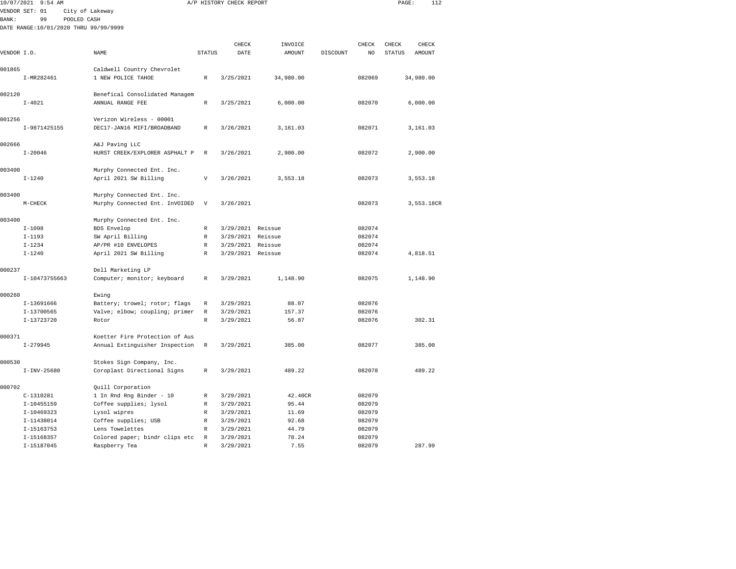| 10/07/2021   | $9:54$ AM                             |                                                   |                            | A/P HISTORY CHECK REPORT |                |          |                  | PAGE:         | 112        |
|--------------|---------------------------------------|---------------------------------------------------|----------------------------|--------------------------|----------------|----------|------------------|---------------|------------|
|              | VENDOR SET: 01                        | City of Lakeway                                   |                            |                          |                |          |                  |               |            |
| <b>BANK:</b> | 99                                    | POOLED CASH                                       |                            |                          |                |          |                  |               |            |
|              | DATE RANGE:10/01/2020 THRU 99/99/9999 |                                                   |                            |                          |                |          |                  |               |            |
|              |                                       |                                                   |                            |                          |                |          |                  |               |            |
|              |                                       |                                                   |                            | CHECK                    | INVOICE        |          | CHECK            | CHECK         | CHECK      |
| VENDOR I.D.  |                                       | NAME                                              | <b>STATUS</b>              | DATE                     | AMOUNT         | DISCOUNT | NO               | <b>STATUS</b> | AMOUNT     |
|              |                                       |                                                   |                            |                          |                |          |                  |               |            |
| 001865       |                                       | Caldwell Country Chevrolet                        |                            |                          |                |          |                  |               |            |
|              | I-MR282461                            | 1 NEW POLICE TAHOE                                | $\mathbb R$                | 3/25/2021                | 34,980.00      |          | 082069           |               | 34,980.00  |
|              |                                       |                                                   |                            |                          |                |          |                  |               |            |
| 002120       |                                       | Benefical Consolidated Managem                    |                            |                          |                |          |                  |               |            |
|              | $I - 4021$                            | ANNUAL RANGE FEE                                  | $\mathbb R$                | 3/25/2021                | 6,000.00       |          | 082070           |               | 6,000.00   |
|              |                                       |                                                   |                            |                          |                |          |                  |               |            |
| 001256       |                                       | Verizon Wireless - 00001                          |                            |                          |                |          |                  |               |            |
|              | I-9871425155                          | DEC17-JAN16 MIFI/BROADBAND                        | R                          | 3/26/2021                | 3,161.03       |          | 082071           |               | 3,161.03   |
| 002666       |                                       | A&J Paving LLC                                    |                            |                          |                |          |                  |               |            |
|              | $I - 20046$                           | HURST CREEK/EXPLORER ASPHALT P                    | $\mathbb{R}$               | 3/26/2021                | 2,900.00       |          | 082072           |               | 2,900.00   |
|              |                                       |                                                   |                            |                          |                |          |                  |               |            |
| 003400       |                                       | Murphy Connected Ent. Inc.                        |                            |                          |                |          |                  |               |            |
|              | $I - 1240$                            | April 2021 SW Billing                             | $\mathbf v$                | 3/26/2021                | 3,553.18       |          | 082073           |               | 3,553.18   |
|              |                                       |                                                   |                            |                          |                |          |                  |               |            |
| 003400       |                                       | Murphy Connected Ent. Inc.                        |                            |                          |                |          |                  |               |            |
|              | M-CHECK                               | Murphy Connected Ent. InVOIDED                    | V                          | 3/26/2021                |                |          | 082073           |               | 3,553.18CR |
|              |                                       |                                                   |                            |                          |                |          |                  |               |            |
| 003400       |                                       | Murphy Connected Ent. Inc.                        |                            |                          |                |          |                  |               |            |
|              | $I-1098$                              | BDS Envelop                                       | R                          | 3/29/2021 Reissue        |                |          | 082074           |               |            |
|              | $I-1193$                              | SW April Billing                                  | $\mathbb R$                | 3/29/2021 Reissue        |                |          | 082074           |               |            |
|              | $I - 1234$                            | AP/PR #10 ENVELOPES                               | $\mathbb R$                | 3/29/2021 Reissue        |                |          | 082074           |               |            |
|              | $I - 1240$                            | April 2021 SW Billing                             | R                          | 3/29/2021 Reissue        |                |          | 082074           |               | 4,818.51   |
|              |                                       |                                                   |                            |                          |                |          |                  |               |            |
| 000237       |                                       | Dell Marketing LP                                 |                            |                          |                |          |                  |               |            |
|              | I-10473755663                         | Computer; monitor; keyboard                       | $\mathbb R$                | 3/29/2021                | 1,148.90       |          | 082075           |               | 1,148.90   |
| 000260       |                                       | Ewing                                             |                            |                          |                |          |                  |               |            |
|              | I-13691666                            | Battery; trowel; rotor; flags                     | $\mathbb R$                | 3/29/2021                | 88.07          |          | 082076           |               |            |
|              | I-13700565                            | Valve; elbow; coupling; primer                    | $\mathbb R$                | 3/29/2021                | 157.37         |          | 082076           |               |            |
|              | I-13723720                            | Rotor                                             | $\mathbb{R}$               | 3/29/2021                | 56.87          |          | 082076           |               | 302.31     |
|              |                                       |                                                   |                            |                          |                |          |                  |               |            |
| 000371       |                                       | Koetter Fire Protection of Aus                    |                            |                          |                |          |                  |               |            |
|              | $I - 279945$                          | Annual Extinguisher Inspection                    | R                          | 3/29/2021                | 385.00         |          | 082077           |               | 385.00     |
|              |                                       |                                                   |                            |                          |                |          |                  |               |            |
| 000530       |                                       | Stokes Sign Company, Inc.                         |                            |                          |                |          |                  |               |            |
|              | $I-INV-25680$                         | Coroplast Directional Signs                       | $\mathbb R$                | 3/29/2021                | 489.22         |          | 082078           |               | 489.22     |
|              |                                       |                                                   |                            |                          |                |          |                  |               |            |
| 000702       |                                       | Quill Corporation                                 |                            |                          |                |          |                  |               |            |
|              | $C-1310281$                           | 1 In Rnd Rng Binder - 10                          | R                          | 3/29/2021                | 42.40CR        |          | 082079           |               |            |
|              | $I-10455159$                          | Coffee supplies; lysol                            | $\mathbb R$                | 3/29/2021                | 95.44          |          | 082079           |               |            |
|              | I-10469323                            | Lysol wipres                                      | $\mathbb R$                | 3/29/2021                | 11.69          |          | 082079           |               |            |
|              | I-11438014                            | Coffee supplies; USB                              | $\mathbb R$                | 3/29/2021                | 92.68          |          | 082079           |               |            |
|              | I-15163753<br>I-15168357              | Lens Towelettes<br>Colored paper; bindr clips etc | $\mathbb R$<br>$\mathbb R$ | 3/29/2021<br>3/29/2021   | 44.79<br>78.24 |          | 082079<br>082079 |               |            |
|              |                                       |                                                   |                            |                          |                |          |                  |               |            |

I-15187045 Raspberry Tea R 3/29/2021 7.55 082079 287.99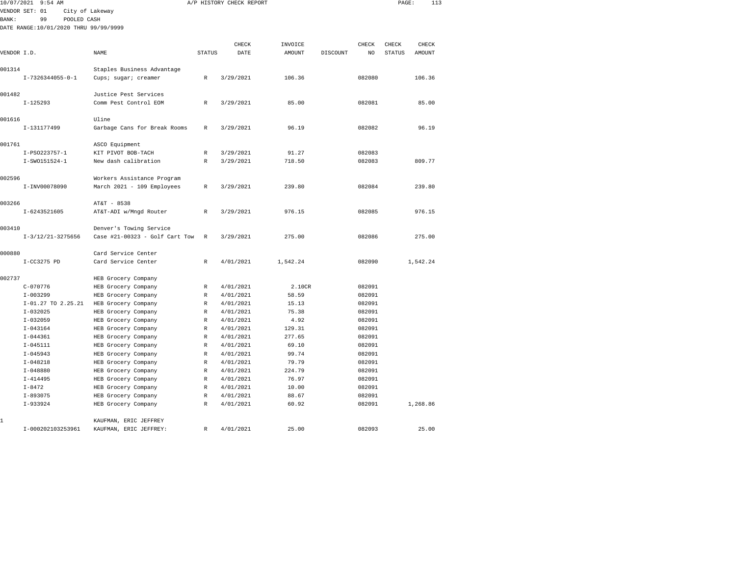| 10/07/2021<br>$9:54$ AM               |                                                    |               | A/P HISTORY CHECK REPORT |                |          |                  | PAGE:         | 113      |
|---------------------------------------|----------------------------------------------------|---------------|--------------------------|----------------|----------|------------------|---------------|----------|
| VENDOR SET: 01                        | City of Lakeway                                    |               |                          |                |          |                  |               |          |
| <b>BANK:</b><br>99<br>POOLED CASH     |                                                    |               |                          |                |          |                  |               |          |
| DATE RANGE:10/01/2020 THRU 99/99/9999 |                                                    |               |                          |                |          |                  |               |          |
|                                       |                                                    |               |                          |                |          |                  |               |          |
|                                       |                                                    |               | CHECK                    | INVOICE        |          | CHECK            | CHECK         | CHECK    |
| VENDOR I.D.                           | NAME                                               | <b>STATUS</b> | DATE                     | AMOUNT         | DISCOUNT | NO               | <b>STATUS</b> | AMOUNT   |
| 001314                                |                                                    |               |                          |                |          |                  |               |          |
| $I-7326344055-0-1$                    | Staples Business Advantage<br>Cups; sugar; creamer | R             | 3/29/2021                | 106.36         |          | 082080           |               | 106.36   |
|                                       |                                                    |               |                          |                |          |                  |               |          |
| 001482                                | Justice Pest Services                              |               |                          |                |          |                  |               |          |
| $I-125293$                            | Comm Pest Control EOM                              | R             | 3/29/2021                | 85.00          |          | 082081           |               | 85.00    |
|                                       |                                                    |               |                          |                |          |                  |               |          |
| 001616                                | Uline                                              |               |                          |                |          |                  |               |          |
| I-131177499                           | Garbage Cans for Break Rooms                       | R             | 3/29/2021                | 96.19          |          | 082082           |               | 96.19    |
|                                       |                                                    |               |                          |                |          |                  |               |          |
| 001761                                | ASCO Equipment                                     |               |                          |                |          |                  |               |          |
| I-PS0223757-1                         | KIT PIVOT BOB-TACH                                 | $\mathbb R$   | 3/29/2021                | 91.27          |          | 082083           |               |          |
| I-SW0151524-1                         | New dash calibration                               | $\mathbb R$   | 3/29/2021                | 718.50         |          | 082083           |               | 809.77   |
|                                       |                                                    |               |                          |                |          |                  |               |          |
| 002596                                | Workers Assistance Program                         |               |                          |                |          |                  |               |          |
| I-INV00078090                         | March 2021 - 109 Employees                         | $\mathbb{R}$  | 3/29/2021                | 239.80         |          | 082084           |               | 239.80   |
| 003266                                | AT&T - 8538                                        |               |                          |                |          |                  |               |          |
| I-6243521605                          | AT&T-ADI w/Mngd Router                             | R             | 3/29/2021                | 976.15         |          | 082085           |               | 976.15   |
|                                       |                                                    |               |                          |                |          |                  |               |          |
| 003410                                | Denver's Towing Service                            |               |                          |                |          |                  |               |          |
| $I-3/12/21-3275656$                   | Case #21-00323 - Golf Cart Tow                     | $\mathbb R$   | 3/29/2021                | 275.00         |          | 082086           |               | 275.00   |
|                                       |                                                    |               |                          |                |          |                  |               |          |
| 000880                                | Card Service Center                                |               |                          |                |          |                  |               |          |
| I-CC3275 PD                           | Card Service Center                                | R             | 4/01/2021                | 1,542.24       |          | 082090           |               | 1,542.24 |
|                                       |                                                    |               |                          |                |          |                  |               |          |
| 002737                                | HEB Grocery Company                                |               |                          |                |          |                  |               |          |
| $C - 070776$                          | HEB Grocery Company                                | $\mathbb R$   | 4/01/2021                | 2.10CR         |          | 082091           |               |          |
| $I-003299$                            | HEB Grocery Company                                | R             | 4/01/2021                | 58.59          |          | 082091           |               |          |
| I-01.27 TO 2.25.21<br>$I - 032025$    | HEB Grocery Company                                | $\mathbb R$   | 4/01/2021                | 15.13<br>75.38 |          | 082091<br>082091 |               |          |
| $I - 032059$                          | HEB Grocery Company                                | R<br>R        | 4/01/2021<br>4/01/2021   | 4.92           |          | 082091           |               |          |
| $I - 043164$                          | HEB Grocery Company<br>HEB Grocery Company         | R             | 4/01/2021                | 129.31         |          | 082091           |               |          |
| $I - 044361$                          | HEB Grocery Company                                | $\mathbb R$   | 4/01/2021                | 277.65         |          | 082091           |               |          |
| $I - 045111$                          | HEB Grocery Company                                | $\mathbb R$   | 4/01/2021                | 69.10          |          | 082091           |               |          |
| $I - 045943$                          | HEB Grocery Company                                | $\mathbb R$   | 4/01/2021                | 99.74          |          | 082091           |               |          |
| $I - 048218$                          | HEB Grocery Company                                | $\mathbb R$   | 4/01/2021                | 79.79          |          | 082091           |               |          |
| $I - 048880$                          | HEB Grocery Company                                | R             | 4/01/2021                | 224.79         |          | 082091           |               |          |
| $I - 414495$                          | HEB Grocery Company                                | $\mathbb R$   | 4/01/2021                | 76.97          |          | 082091           |               |          |
| $I - 8472$                            | HEB Grocery Company                                | $\mathbb R$   | 4/01/2021                | 10.00          |          | 082091           |               |          |
| $I - 893075$                          | HEB Grocery Company                                | $\mathbb R$   | 4/01/2021                | 88.67          |          | 082091           |               |          |
| $I-933924$                            | HEB Grocery Company                                | R             | 4/01/2021                | 60.92          |          | 082091           |               | 1,268.86 |
|                                       |                                                    |               |                          |                |          |                  |               |          |
| 1                                     | KAUFMAN, ERIC JEFFREY                              |               |                          |                |          |                  |               |          |
| I-000202103253961                     | KAUFMAN, ERIC JEFFREY:                             | R             | 4/01/2021                | 25.00          |          | 082093           |               | 25.00    |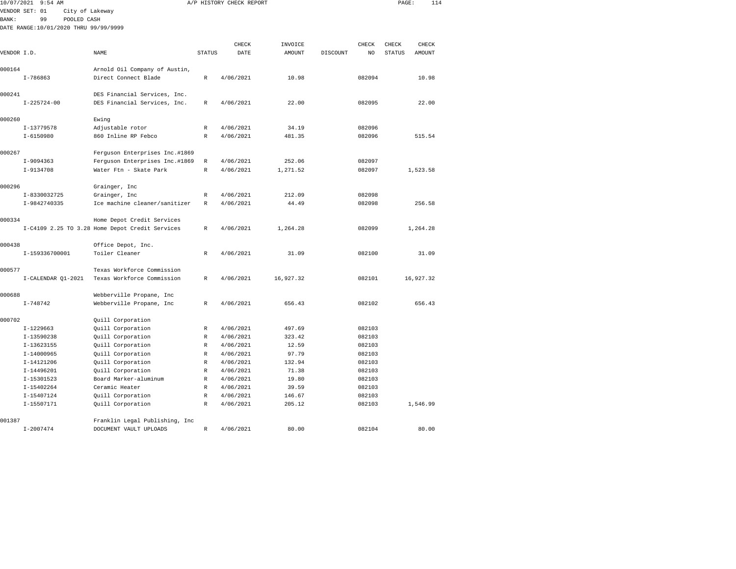| 10/07/2021  | 9:54 AM                               |                                                 |               | A/P HISTORY CHECK REPORT |           |          |        | PAGE:         |           | 114 |
|-------------|---------------------------------------|-------------------------------------------------|---------------|--------------------------|-----------|----------|--------|---------------|-----------|-----|
|             | VENDOR SET: 01<br>City of Lakeway     |                                                 |               |                          |           |          |        |               |           |     |
| BANK:       | 99<br>POOLED CASH                     |                                                 |               |                          |           |          |        |               |           |     |
|             | DATE RANGE:10/01/2020 THRU 99/99/9999 |                                                 |               |                          |           |          |        |               |           |     |
|             |                                       |                                                 |               |                          |           |          |        |               |           |     |
|             |                                       |                                                 |               | CHECK                    | INVOICE   |          | CHECK  | CHECK         | CHECK     |     |
| VENDOR I.D. |                                       | NAME                                            | <b>STATUS</b> | DATE                     | AMOUNT    | DISCOUNT | NO     | <b>STATUS</b> | AMOUNT    |     |
|             |                                       |                                                 |               |                          |           |          |        |               |           |     |
| 000164      |                                       | Arnold Oil Company of Austin,                   |               |                          |           |          |        |               |           |     |
|             | $I-786863$                            | Direct Connect Blade                            | R             | 4/06/2021                | 10.98     |          | 082094 |               | 10.98     |     |
| 000241      |                                       | DES Financial Services, Inc.                    |               |                          |           |          |        |               |           |     |
|             | $I - 225724 - 00$                     | DES Financial Services, Inc.                    | $\mathbb R$   | 4/06/2021                | 22.00     |          | 082095 |               | 22.00     |     |
|             |                                       |                                                 |               |                          |           |          |        |               |           |     |
| 000260      |                                       | Ewing                                           |               |                          |           |          |        |               |           |     |
|             | $I-13779578$                          | Adjustable rotor                                | R             | 4/06/2021                | 34.19     |          | 082096 |               |           |     |
|             | $I - 6150980$                         | 860 Inline RP Febco                             | R             | 4/06/2021                | 481.35    |          | 082096 |               | 515.54    |     |
|             |                                       |                                                 |               |                          |           |          |        |               |           |     |
| 000267      |                                       | Ferguson Enterprises Inc.#1869                  |               |                          |           |          |        |               |           |     |
|             | I-9094363                             | Ferguson Enterprises Inc.#1869                  | $\mathbb R$   | 4/06/2021                | 252.06    |          | 082097 |               |           |     |
|             | I-9134708                             | Water Ftn - Skate Park                          | $\mathbb R$   | 4/06/2021                | 1,271.52  |          | 082097 |               | 1,523.58  |     |
| 000296      |                                       | Grainger, Inc                                   |               |                          |           |          |        |               |           |     |
|             | I-8330032725                          | Grainger, Inc                                   | R             | 4/06/2021                | 212.09    |          | 082098 |               |           |     |
|             | I-9842740335                          | Ice machine cleaner/sanitizer                   | $\mathbb R$   | 4/06/2021                | 44.49     |          | 082098 |               | 256.58    |     |
|             |                                       |                                                 |               |                          |           |          |        |               |           |     |
| 000334      |                                       | Home Depot Credit Services                      |               |                          |           |          |        |               |           |     |
|             |                                       | I-C4109 2.25 TO 3.28 Home Depot Credit Services | R             | 4/06/2021                | 1,264.28  |          | 082099 |               | 1,264.28  |     |
|             |                                       |                                                 |               |                          |           |          |        |               |           |     |
| 000438      |                                       | Office Depot, Inc.                              |               |                          |           |          |        |               |           |     |
|             | I-159336700001                        | Toiler Cleaner                                  | R             | 4/06/2021                | 31.09     |          | 082100 |               | 31.09     |     |
| 000577      |                                       | Texas Workforce Commission                      |               |                          |           |          |        |               |           |     |
|             | I-CALENDAR Q1-2021                    | Texas Workforce Commission                      | R             | 4/06/2021                | 16,927.32 |          | 082101 |               | 16,927.32 |     |
|             |                                       |                                                 |               |                          |           |          |        |               |           |     |
| 000688      |                                       | Webberville Propane, Inc                        |               |                          |           |          |        |               |           |     |
|             | $I - 748742$                          | Webberville Propane, Inc                        | R             | 4/06/2021                | 656.43    |          | 082102 |               | 656.43    |     |
|             |                                       |                                                 |               |                          |           |          |        |               |           |     |
| 000702      |                                       | Quill Corporation                               |               |                          |           |          |        |               |           |     |
|             | $I-1229663$                           | Quill Corporation                               | R             | 4/06/2021                | 497.69    |          | 082103 |               |           |     |
|             | I-13590238                            | Quill Corporation                               | R             | 4/06/2021                | 323.42    |          | 082103 |               |           |     |
|             | I-13623155                            | Quill Corporation                               | $\mathbb{R}$  | 4/06/2021                | 12.59     |          | 082103 |               |           |     |
|             | $I-14000965$                          | Quill Corporation                               | R             | 4/06/2021                | 97.79     |          | 082103 |               |           |     |
|             | I-14121206                            | Quill Corporation                               | R             | 4/06/2021                | 132.94    |          | 082103 |               |           |     |
|             | I-14496201                            | Quill Corporation                               | R             | 4/06/2021                | 71.38     |          | 082103 |               |           |     |
|             | I-15301523                            | Board Marker-aluminum                           | R             | 4/06/2021                | 19.80     |          | 082103 |               |           |     |
|             | I-15402264                            | Ceramic Heater                                  | R             | 4/06/2021                | 39.59     |          | 082103 |               |           |     |
|             | I-15407124                            | Quill Corporation                               | R             | 4/06/2021                | 146.67    |          | 082103 |               |           |     |
|             | I-15507171                            | Quill Corporation                               | R             | 4/06/2021                | 205.12    |          | 082103 |               | 1,546.99  |     |
| 001387      |                                       | Franklin Legal Publishing, Inc                  |               |                          |           |          |        |               |           |     |
|             | $I - 2007474$                         | DOCUMENT VAULT UPLOADS                          | R             | 4/06/2021                | 80.00     |          | 082104 |               | 80.00     |     |
|             |                                       |                                                 |               |                          |           |          |        |               |           |     |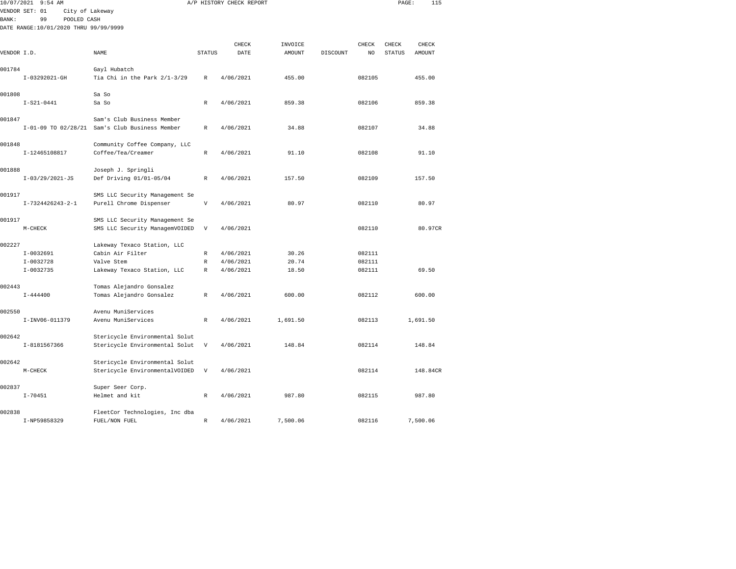| 10/07/2021   | $9:54$ AM                             |                                                |                           | A/P HISTORY CHECK REPORT |               |          |        | PAGE:         | 115           |  |
|--------------|---------------------------------------|------------------------------------------------|---------------------------|--------------------------|---------------|----------|--------|---------------|---------------|--|
|              | VENDOR SET: 01<br>City of Lakeway     |                                                |                           |                          |               |          |        |               |               |  |
| <b>BANK:</b> | 99<br>POOLED CASH                     |                                                |                           |                          |               |          |        |               |               |  |
|              | DATE RANGE:10/01/2020 THRU 99/99/9999 |                                                |                           |                          |               |          |        |               |               |  |
|              |                                       |                                                |                           |                          |               |          |        |               |               |  |
|              |                                       |                                                |                           | CHECK                    | INVOICE       |          | CHECK  | CHECK         | CHECK         |  |
| VENDOR I.D.  |                                       | NAME                                           | <b>STATUS</b>             | DATE                     | <b>AMOUNT</b> | DISCOUNT | NO     | <b>STATUS</b> | <b>AMOUNT</b> |  |
| 001784       |                                       | Gayl Hubatch                                   |                           |                          |               |          |        |               |               |  |
|              | I-03292021-GH                         | Tia Chi in the Park 2/1-3/29                   | R                         | 4/06/2021                | 455.00        |          | 082105 |               | 455.00        |  |
|              |                                       |                                                |                           |                          |               |          |        |               |               |  |
| 001808       |                                       | Sa So                                          |                           |                          |               |          |        |               |               |  |
|              | $I-S21-0441$                          | Sa So                                          | R                         | 4/06/2021                | 859.38        |          | 082106 |               | 859.38        |  |
|              |                                       |                                                |                           |                          |               |          |        |               |               |  |
| 001847       |                                       | Sam's Club Business Member                     |                           |                          |               |          |        |               |               |  |
|              |                                       | I-01-09 TO 02/28/21 Sam's Club Business Member | R                         | 4/06/2021                | 34.88         |          | 082107 |               | 34.88         |  |
| 001848       |                                       | Community Coffee Company, LLC                  |                           |                          |               |          |        |               |               |  |
|              | I-12465108817                         | Coffee/Tea/Creamer                             | $\mathbb R$               | 4/06/2021                | 91.10         |          | 082108 |               | 91.10         |  |
|              |                                       |                                                |                           |                          |               |          |        |               |               |  |
| 001888       |                                       | Joseph J. Springli                             |                           |                          |               |          |        |               |               |  |
|              | $I-03/29/2021-JS$                     | Def Driving 01/01-05/04                        | $\mathbb{R}$              | 4/06/2021                | 157.50        |          | 082109 |               | 157.50        |  |
|              |                                       |                                                |                           |                          |               |          |        |               |               |  |
| 001917       |                                       | SMS LLC Security Management Se                 |                           |                          |               |          |        |               |               |  |
|              | I-7324426243-2-1                      | Purell Chrome Dispenser                        | V                         | 4/06/2021                | 80.97         |          | 082110 |               | 80.97         |  |
|              |                                       |                                                |                           |                          |               |          |        |               |               |  |
| 001917       |                                       | SMS LLC Security Management Se                 |                           |                          |               |          |        |               |               |  |
|              | M-CHECK                               | SMS LLC Security ManagemVOIDED                 | $\ensuremath{\mathsf{V}}$ | 4/06/2021                |               |          | 082110 |               | 80.97CR       |  |
| 002227       |                                       | Lakeway Texaco Station, LLC                    |                           |                          |               |          |        |               |               |  |
|              | $I-0032691$                           | Cabin Air Filter                               | $\mathbb R$               | 4/06/2021                | 30.26         |          | 082111 |               |               |  |
|              | $I-0032728$                           | Valve Stem                                     | R                         | 4/06/2021                | 20.74         |          | 082111 |               |               |  |
|              | I-0032735                             | Lakeway Texaco Station, LLC                    | R                         | 4/06/2021                | 18.50         |          | 082111 |               | 69.50         |  |
|              |                                       |                                                |                           |                          |               |          |        |               |               |  |
| 002443       |                                       | Tomas Alejandro Gonsalez                       |                           |                          |               |          |        |               |               |  |
|              | $I - 444400$                          | Tomas Alejandro Gonsalez                       | $\mathbb R$               | 4/06/2021                | 600.00        |          | 082112 |               | 600.00        |  |
|              |                                       |                                                |                           |                          |               |          |        |               |               |  |
| 002550       | I-INV06-011379                        | Avenu MuniServices<br>Avenu MuniServices       | R                         | 4/06/2021                | 1,691.50      |          | 082113 |               | 1,691.50      |  |
|              |                                       |                                                |                           |                          |               |          |        |               |               |  |
| 002642       |                                       | Stericycle Environmental Solut                 |                           |                          |               |          |        |               |               |  |
|              | I-8181567366                          | Stericycle Environmental Solut                 | $\ensuremath{\mathsf{V}}$ | 4/06/2021                | 148.84        |          | 082114 |               | 148.84        |  |
|              |                                       |                                                |                           |                          |               |          |        |               |               |  |
| 002642       |                                       | Stericycle Environmental Solut                 |                           |                          |               |          |        |               |               |  |
|              | M-CHECK                               | Stericycle EnvironmentalVOIDED                 | V                         | 4/06/2021                |               |          | 082114 |               | 148.84CR      |  |
|              |                                       |                                                |                           |                          |               |          |        |               |               |  |
| 002837       |                                       | Super Seer Corp.                               |                           |                          |               |          |        |               |               |  |
|              | $I - 70451$                           | Helmet and kit                                 | R                         | 4/06/2021                | 987.80        |          | 082115 |               | 987.80        |  |
| 002838       |                                       | FleetCor Technologies, Inc dba                 |                           |                          |               |          |        |               |               |  |
|              | I-NP59858329                          | FUEL/NON FUEL                                  | R                         | 4/06/2021                | 7,500.06      |          | 082116 |               | 7,500.06      |  |
|              |                                       |                                                |                           |                          |               |          |        |               |               |  |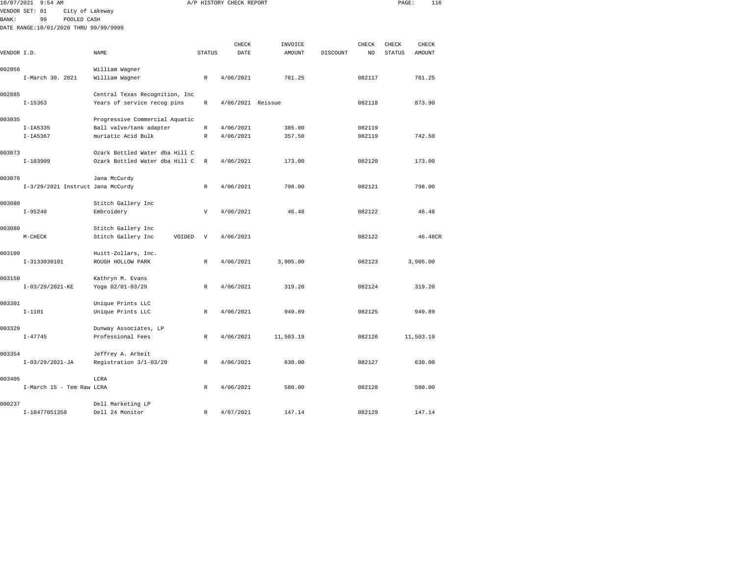|              | 10/07/2021 9:54 AM                    |                                |               | A/P HISTORY CHECK REPORT |                   |          |             | PAGE:                  | 116             |  |
|--------------|---------------------------------------|--------------------------------|---------------|--------------------------|-------------------|----------|-------------|------------------------|-----------------|--|
|              | VENDOR SET: 01<br>City of Lakeway     |                                |               |                          |                   |          |             |                        |                 |  |
| <b>BANK:</b> | 99<br>POOLED CASH                     |                                |               |                          |                   |          |             |                        |                 |  |
|              | DATE RANGE:10/01/2020 THRU 99/99/9999 |                                |               |                          |                   |          |             |                        |                 |  |
|              |                                       |                                |               |                          |                   |          |             |                        |                 |  |
| VENDOR I.D.  |                                       | NAME                           | <b>STATUS</b> | CHECK<br>DATE            | INVOICE<br>AMOUNT | DISCOUNT | CHECK<br>NO | CHECK<br><b>STATUS</b> | CHECK<br>AMOUNT |  |
|              |                                       |                                |               |                          |                   |          |             |                        |                 |  |
| 002856       |                                       | William Wagner                 |               |                          |                   |          |             |                        |                 |  |
|              | I-March 30. 2021                      | William Wagner                 | $\,$ R        | 4/06/2021                | 761.25            |          | 082117      |                        | 761.25          |  |
| 002885       |                                       | Central Texas Recognition, Inc |               |                          |                   |          |             |                        |                 |  |
|              | $I-15363$                             | Years of service recog pins    | R             | 4/06/2021 Reissue        |                   |          | 082118      |                        | 873.90          |  |
| 003035       |                                       | Progressive Commercial Aquatic |               |                          |                   |          |             |                        |                 |  |
|              | $I-IA5335$                            | Ball valve/tank adapter        | $\mathbb R$   | 4/06/2021                | 385.00            |          | 082119      |                        |                 |  |
|              | $I-IA5367$                            | muriatic Acid Bulk             | $\mathbb R$   | 4/06/2021                | 357.50            |          | 082119      |                        | 742.50          |  |
| 003073       |                                       | Ozark Bottled Water dba Hill C |               |                          |                   |          |             |                        |                 |  |
|              | $I-103909$                            | Ozark Bottled Water dba Hill C | R             | 4/06/2021                | 173.00            |          | 082120      |                        | 173.00          |  |
| 003076       |                                       | Jana McCurdy                   |               |                          |                   |          |             |                        |                 |  |
|              | I-3/29/2021 Instruct Jana McCurdy     |                                | R             | 4/06/2021                | 798.00            |          | 082121      |                        | 798.00          |  |
| 003080       |                                       | Stitch Gallery Inc             |               |                          |                   |          |             |                        |                 |  |
|              | $I - 95240$                           | Embroidery                     | $\mathbf v$   | 4/06/2021                | 46.48             |          | 082122      |                        | 46.48           |  |
| 003080       |                                       | Stitch Gallery Inc             |               |                          |                   |          |             |                        |                 |  |
|              | $M-CHECK$                             | VOIDED<br>Stitch Gallery Inc   | $\mathbf {V}$ | 4/06/2021                |                   |          | 082122      |                        | 46.48CR         |  |
| 003109       |                                       | Huitt-Zollars, Inc.            |               |                          |                   |          |             |                        |                 |  |
|              | I-3133030101                          | ROUGH HOLLOW PARK              | R             | 4/06/2021                | 3,905.00          |          | 082123      |                        | 3,905.00        |  |
| 003150       |                                       | Kathryn M. Evans               |               |                          |                   |          |             |                        |                 |  |
|              | $I-03/29/2021-KE$                     | Yoga 02/01-03/29               | $\mathbb{R}$  | 4/06/2021                | 319.20            |          | 082124      |                        | 319.20          |  |
| 003301       |                                       | Unique Prints LLC              |               |                          |                   |          |             |                        |                 |  |
|              | $I - 1101$                            | Unique Prints LLC              | R             | 4/06/2021                | 949.89            |          | 082125      |                        | 949.89          |  |
| 003329       |                                       | Dunway Associates, LP          |               |                          |                   |          |             |                        |                 |  |
|              | $I - 47745$                           | Professional Fees              | R             | 4/06/2021                | 11,503.19         |          | 082126      |                        | 11,503.19       |  |
| 003354       |                                       | Jeffrey A. Arbeit              |               |                          |                   |          |             |                        |                 |  |
|              | $I-03/29/2021-JA$                     | Registration 3/1-03/29         | R             | 4/06/2021                | 630.00            |          | 082127      |                        | 630.00          |  |
| 003405       |                                       | LCRA                           |               |                          |                   |          |             |                        |                 |  |
|              | I-March 15 - Tem Raw LCRA             |                                | R             | 4/06/2021                | 580.00            |          | 082128      |                        | 580.00          |  |
| 000237       |                                       | Dell Marketing LP              |               |                          |                   |          |             |                        |                 |  |
|              | I-10477051350                         | Dell 24 Monitor                | R             | 4/07/2021                | 147.14            |          | 082129      |                        | 147.14          |  |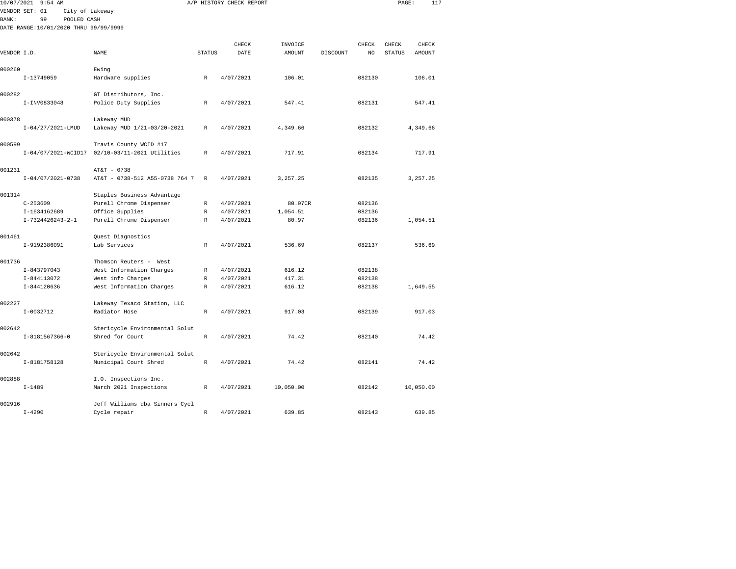|              | 10/07/2021 9:54 AM                    |                                |               | A/P HISTORY CHECK REPORT |                   |          |             | PAGE:                  | 117             |  |
|--------------|---------------------------------------|--------------------------------|---------------|--------------------------|-------------------|----------|-------------|------------------------|-----------------|--|
|              | VENDOR SET: 01<br>City of Lakeway     |                                |               |                          |                   |          |             |                        |                 |  |
| <b>BANK:</b> | 99<br>POOLED CASH                     |                                |               |                          |                   |          |             |                        |                 |  |
|              | DATE RANGE:10/01/2020 THRU 99/99/9999 |                                |               |                          |                   |          |             |                        |                 |  |
|              |                                       |                                |               |                          |                   |          |             |                        |                 |  |
| VENDOR I.D.  |                                       | NAME                           | <b>STATUS</b> | CHECK<br>DATE            | INVOICE<br>AMOUNT | DISCOUNT | CHECK<br>NO | CHECK<br><b>STATUS</b> | CHECK<br>AMOUNT |  |
|              |                                       |                                |               |                          |                   |          |             |                        |                 |  |
| 000260       |                                       | Ewing                          |               |                          |                   |          |             |                        |                 |  |
|              | I-13749059                            | Hardware supplies              | $\mathbb R$   | 4/07/2021                | 106.01            |          | 082130      |                        | 106.01          |  |
| 000282       |                                       | GT Distributors, Inc.          |               |                          |                   |          |             |                        |                 |  |
|              | I-INV0833048                          | Police Duty Supplies           | R             | 4/07/2021                | 547.41            |          | 082131      |                        | 547.41          |  |
| 000378       |                                       | Lakeway MUD                    |               |                          |                   |          |             |                        |                 |  |
|              | $I-04/27/2021$ -LMUD                  | Lakeway MUD 1/21-03/20-2021    | $\mathbb{R}$  | 4/07/2021                | 4.349.66          |          | 082132      |                        | 4.349.66        |  |
| 000599       |                                       | Travis County WCID #17         |               |                          |                   |          |             |                        |                 |  |
|              | I-04/07/2021-WCID17                   | 02/10-03/11-2021 Utilities     | R             | 4/07/2021                | 717.91            |          | 082134      |                        | 717.91          |  |
| 001231       |                                       | AT&T - 0738                    |               |                          |                   |          |             |                        |                 |  |
|              | $I-04/07/2021-0738$                   | AT&T - 0738-512 A55-0738 764 7 | $\mathbb{R}$  | 4/07/2021                | 3, 257.25         |          | 082135      |                        | 3,257.25        |  |
| 001314       |                                       | Staples Business Advantage     |               |                          |                   |          |             |                        |                 |  |
|              | $C-253609$                            | Purell Chrome Dispenser        | R             | 4/07/2021                | 80.97CR           |          | 082136      |                        |                 |  |
|              | I-1634162689                          | Office Supplies                | R             | 4/07/2021                | 1,054.51          |          | 082136      |                        |                 |  |
|              | $I-7324426243-2-1$                    | Purell Chrome Dispenser        | $\mathbb{R}$  | 4/07/2021                | 80.97             |          | 082136      |                        | 1,054.51        |  |
| 001461       |                                       | Quest Diagnostics              |               |                          |                   |          |             |                        |                 |  |
|              | I-9192386091                          | Lab Services                   | R             | 4/07/2021                | 536.69            |          | 082137      |                        | 536.69          |  |
| 001736       |                                       | Thomson Reuters - West         |               |                          |                   |          |             |                        |                 |  |
|              | I-843797043                           | West Information Charges       | $\mathbb{R}$  | 4/07/2021                | 616.12            |          | 082138      |                        |                 |  |
|              | I-844113072                           | West info Charges              | R             | 4/07/2021                | 417.31            |          | 082138      |                        |                 |  |
|              | I-844120636                           | West Information Charges       | R             | 4/07/2021                | 616.12            |          | 082138      |                        | 1,649.55        |  |
| 002227       |                                       | Lakeway Texaco Station, LLC    |               |                          |                   |          |             |                        |                 |  |
|              | $I-0032712$                           | Radiator Hose                  | $\mathbb{R}$  | 4/07/2021                | 917.03            |          | 082139      |                        | 917.03          |  |
| 002642       |                                       | Stericycle Environmental Solut |               |                          |                   |          |             |                        |                 |  |
|              | I-8181567366-0                        | Shred for Court                | R             | 4/07/2021                | 74.42             |          | 082140      |                        | 74.42           |  |
| 002642       |                                       | Stericycle Environmental Solut |               |                          |                   |          |             |                        |                 |  |
|              | I-8181758128                          | Municipal Court Shred          | $\mathbb{R}$  | 4/07/2021                | 74.42             |          | 082141      |                        | 74.42           |  |
| 002888       |                                       | I.O. Inspections Inc.          |               |                          |                   |          |             |                        |                 |  |
|              | $I - 1489$                            | March 2021 Inspections         | R             | 4/07/2021                | 10,050.00         |          | 082142      |                        | 10,050.00       |  |
| 002916       |                                       | Jeff Williams dba Sinners Cycl |               |                          |                   |          |             |                        |                 |  |
|              | $I - 4290$                            | Cycle repair                   | R             | 4/07/2021                | 639.85            |          | 082143      |                        | 639.85          |  |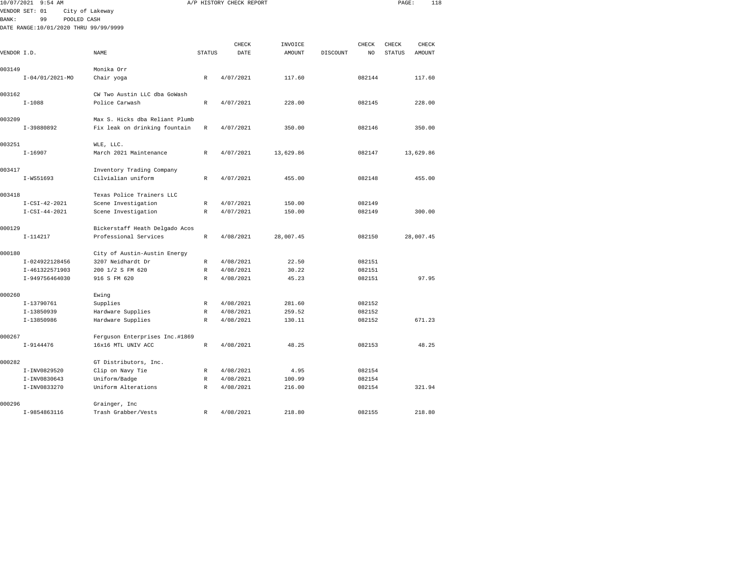|              | 10/07/2021 9:54 AM                    |                                |               | A/P HISTORY CHECK REPORT |                   |          |             | PAGE:                  | 118             |  |
|--------------|---------------------------------------|--------------------------------|---------------|--------------------------|-------------------|----------|-------------|------------------------|-----------------|--|
|              | VENDOR SET: 01                        | City of Lakeway                |               |                          |                   |          |             |                        |                 |  |
| <b>BANK:</b> | 99<br>POOLED CASH                     |                                |               |                          |                   |          |             |                        |                 |  |
|              | DATE RANGE:10/01/2020 THRU 99/99/9999 |                                |               |                          |                   |          |             |                        |                 |  |
|              |                                       |                                |               |                          |                   |          |             |                        |                 |  |
| VENDOR I.D.  |                                       | NAME                           | <b>STATUS</b> | CHECK<br>DATE            | INVOICE<br>AMOUNT | DISCOUNT | CHECK<br>NO | CHECK<br><b>STATUS</b> | CHECK<br>AMOUNT |  |
|              |                                       |                                |               |                          |                   |          |             |                        |                 |  |
| 003149       |                                       | Monika Orr                     |               |                          |                   |          |             |                        |                 |  |
|              | $I-04/01/2021-MO$                     | Chair yoga                     | $\mathbb R$   | 4/07/2021                | 117.60            |          | 082144      |                        | 117.60          |  |
| 003162       |                                       | CW Two Austin LLC dba GoWash   |               |                          |                   |          |             |                        |                 |  |
|              | $I - 1088$                            | Police Carwash                 | $\mathbb R$   | 4/07/2021                | 228.00            |          | 082145      |                        | 228.00          |  |
| 003209       |                                       | Max S. Hicks dba Reliant Plumb |               |                          |                   |          |             |                        |                 |  |
|              | I-39880892                            | Fix leak on drinking fountain  | R             | 4/07/2021                | 350.00            |          | 082146      |                        | 350.00          |  |
| 003251       |                                       | WLE, LLC.                      |               |                          |                   |          |             |                        |                 |  |
|              | $I - 16907$                           | March 2021 Maintenance         | $\mathbb{R}$  | 4/07/2021                | 13,629.86         |          | 082147      |                        | 13,629.86       |  |
| 003417       |                                       | Inventory Trading Company      |               |                          |                   |          |             |                        |                 |  |
|              | I-WS51693                             | Cilvialian uniform             | R             | 4/07/2021                | 455.00            |          | 082148      |                        | 455.00          |  |
| 003418       |                                       | Texas Police Trainers LLC      |               |                          |                   |          |             |                        |                 |  |
|              | $I-CSI-42-2021$                       | Scene Investigation            | R             | 4/07/2021                | 150.00            |          | 082149      |                        |                 |  |
|              | $I-CSI-44-2021$                       | Scene Investigation            | R             | 4/07/2021                | 150.00            |          | 082149      |                        | 300.00          |  |
| 000129       |                                       | Bickerstaff Heath Delgado Acos |               |                          |                   |          |             |                        |                 |  |
|              | $I-114217$                            | Professional Services          | $\mathbb R$   | 4/08/2021                | 28,007.45         |          | 082150      |                        | 28,007.45       |  |
| 000180       |                                       | City of Austin-Austin Energy   |               |                          |                   |          |             |                        |                 |  |
|              | I-024922128456                        | 3207 Neidhardt Dr              | R             | 4/08/2021                | 22.50             |          | 082151      |                        |                 |  |
|              | I-461322571903                        | 200 1/2 S FM 620               | $\mathbb{R}$  | 4/08/2021                | 30.22             |          | 082151      |                        |                 |  |
|              | I-949756464030                        | 916 S FM 620                   | $\mathbb{R}$  | 4/08/2021                | 45.23             |          | 082151      |                        | 97.95           |  |
| 000260       |                                       | Ewing                          |               |                          |                   |          |             |                        |                 |  |
|              | I-13790761                            | Supplies                       | R             | 4/08/2021                | 281.60            |          | 082152      |                        |                 |  |
|              | I-13850939                            | Hardware Supplies              | R             | 4/08/2021                | 259.52            |          | 082152      |                        |                 |  |
|              | I-13850986                            | Hardware Supplies              | $\mathbb{R}$  | 4/08/2021                | 130.11            |          | 082152      |                        | 671.23          |  |
| 000267       |                                       | Ferguson Enterprises Inc.#1869 |               |                          |                   |          |             |                        |                 |  |
|              | I-9144476                             | 16x16 MTL UNIV ACC             | R             | 4/08/2021                | 48.25             |          | 082153      |                        | 48.25           |  |
| 000282       |                                       | GT Distributors, Inc.          |               |                          |                   |          |             |                        |                 |  |
|              | I-INV0829520                          | Clip on Navy Tie               | R             | 4/08/2021                | 4.95              |          | 082154      |                        |                 |  |
|              | I-INV0830643                          | Uniform/Badge                  | R             | 4/08/2021                | 100.99            |          | 082154      |                        |                 |  |
|              | I-INV0833270                          | Uniform Alterations            | R             | 4/08/2021                | 216.00            |          | 082154      |                        | 321.94          |  |
| 000296       |                                       | Grainger, Inc                  |               |                          |                   |          |             |                        |                 |  |
|              | I-9854863116                          | Trash Grabber/Vests            | R             | 4/08/2021                | 218.80            |          | 082155      |                        | 218.80          |  |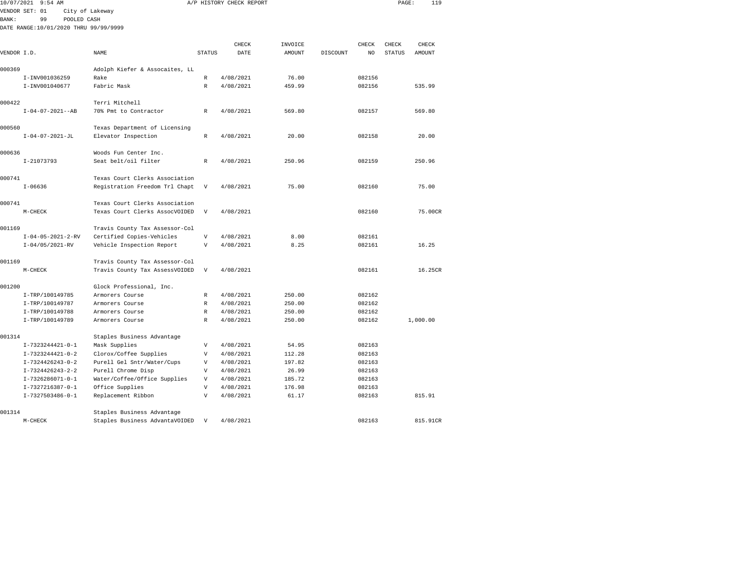| 10/07/2021   | $9:54$ AM                                          |                                |                                           | A/P HISTORY CHECK REPORT |               |          |                  | PAGE:         | 119      |
|--------------|----------------------------------------------------|--------------------------------|-------------------------------------------|--------------------------|---------------|----------|------------------|---------------|----------|
|              | VENDOR SET: 01                                     | City of Lakeway                |                                           |                          |               |          |                  |               |          |
| <b>BANK:</b> | 99<br>POOLED CASH                                  |                                |                                           |                          |               |          |                  |               |          |
|              | DATE RANGE:10/01/2020 THRU 99/99/9999              |                                |                                           |                          |               |          |                  |               |          |
|              |                                                    |                                |                                           |                          |               |          |                  |               |          |
|              |                                                    |                                |                                           | CHECK                    | INVOICE       |          | CHECK            | CHECK         | CHECK    |
| VENDOR I.D.  |                                                    | NAME                           | <b>STATUS</b>                             | DATE                     | <b>AMOUNT</b> | DISCOUNT | NO               | <b>STATUS</b> | AMOUNT   |
| 000369       |                                                    | Adolph Kiefer & Assocaites, LL |                                           |                          |               |          |                  |               |          |
|              | I-INV001036259                                     | Rake                           | $\mathbb{R}$                              | 4/08/2021                | 76.00         |          | 082156           |               |          |
|              | I-INV001040677                                     | Fabric Mask                    | $\mathbb{R}$                              | 4/08/2021                | 459.99        |          | 082156           |               | 535.99   |
| 000422       |                                                    | Terri Mitchell                 |                                           |                          |               |          |                  |               |          |
|              | $I - 04 - 07 - 2021 - -AB$                         | 70% Pmt to Contractor          | R                                         | 4/08/2021                | 569.80        |          | 082157           |               | 569.80   |
|              |                                                    |                                |                                           |                          |               |          |                  |               |          |
| 000560       |                                                    | Texas Department of Licensing  |                                           |                          |               |          |                  |               |          |
|              | $I - 04 - 07 - 2021 - JL$                          | Elevator Inspection            | R                                         | 4/08/2021                | 20.00         |          | 082158           |               | 20.00    |
|              |                                                    |                                |                                           |                          |               |          |                  |               |          |
| 000636       |                                                    | Woods Fun Center Inc.          |                                           |                          |               |          |                  |               |          |
|              | I-21073793                                         | Seat belt/oil filter           | $\mathbb{R}$                              | 4/08/2021                | 250.96        |          | 082159           |               | 250.96   |
| 000741       |                                                    | Texas Court Clerks Association |                                           |                          |               |          |                  |               |          |
|              | $I - 06636$                                        | Registration Freedom Trl Chapt | V                                         | 4/08/2021                | 75.00         |          | 082160           |               | 75.00    |
|              |                                                    |                                |                                           |                          |               |          |                  |               |          |
| 000741       |                                                    | Texas Court Clerks Association |                                           |                          |               |          |                  |               |          |
|              | $M-CHECK$                                          | Texas Court Clerks AssocVOIDED | $\mathbf v$                               | 4/08/2021                |               |          | 082160           |               | 75.00CR  |
|              |                                                    |                                |                                           |                          |               |          |                  |               |          |
| 001169       |                                                    | Travis County Tax Assessor-Col |                                           |                          |               |          |                  |               |          |
|              | $I - 04 - 05 - 2021 - 2 - RV$<br>$I-04/05/2021-RV$ | Certified Copies-Vehicles      | $\boldsymbol{\mathrm{V}}$<br>$\mathbf{V}$ | 4/08/2021<br>4/08/2021   | 8.00<br>8.25  |          | 082161<br>082161 |               | 16.25    |
|              |                                                    | Vehicle Inspection Report      |                                           |                          |               |          |                  |               |          |
| 001169       |                                                    | Travis County Tax Assessor-Col |                                           |                          |               |          |                  |               |          |
|              | $M-CHECK$                                          | Travis County Tax AssessVOIDED | $\boldsymbol{\mathrm{V}}$                 | 4/08/2021                |               |          | 082161           |               | 16.25CR  |
|              |                                                    |                                |                                           |                          |               |          |                  |               |          |
| 001200       |                                                    | Glock Professional, Inc.       |                                           |                          |               |          |                  |               |          |
|              | I-TRP/100149785                                    | Armorers Course                | R                                         | 4/08/2021                | 250.00        |          | 082162           |               |          |
|              | I-TRP/100149787                                    | Armorers Course                | $\mathbb R$                               | 4/08/2021                | 250.00        |          | 082162           |               |          |
|              | I-TRP/100149788                                    | Armorers Course                | R                                         | 4/08/2021                | 250.00        |          | 082162           |               |          |
|              | I-TRP/100149789                                    | Armorers Course                | $\mathbb{R}$                              | 4/08/2021                | 250.00        |          | 082162           |               | 1,000.00 |
| 001314       |                                                    | Staples Business Advantage     |                                           |                          |               |          |                  |               |          |
|              | I-7323244421-0-1                                   | Mask Supplies                  | V                                         | 4/08/2021                | 54.95         |          | 082163           |               |          |
|              | I-7323244421-0-2                                   | Clorox/Coffee Supplies         | $\mathbf{V}$                              | 4/08/2021                | 112.28        |          | 082163           |               |          |
|              | $I-7324426243-0-2$                                 | Purell Gel Sntr/Water/Cups     | $\mathbf{V}$                              | 4/08/2021                | 197.82        |          | 082163           |               |          |
|              | $I-7324426243-2-2$                                 | Purell Chrome Disp             | V                                         | 4/08/2021                | 26.99         |          | 082163           |               |          |
|              | I-7326286071-0-1                                   | Water/Coffee/Office Supplies   | $\boldsymbol{\mathrm{V}}$                 | 4/08/2021                | 185.72        |          | 082163           |               |          |
|              | I-7327216387-0-1                                   | Office Supplies                | V                                         | 4/08/2021                | 176.98        |          | 082163           |               |          |
|              | I-7327503486-0-1                                   | Replacement Ribbon             | V                                         | 4/08/2021                | 61.17         |          | 082163           |               | 815.91   |
|              |                                                    |                                |                                           |                          |               |          |                  |               |          |
| 001314       |                                                    | Staples Business Advantage     |                                           |                          |               |          |                  |               |          |

M-CHECK Staples Business AdvantaVOIDED V 4/08/2021 815.91CR 815.91CR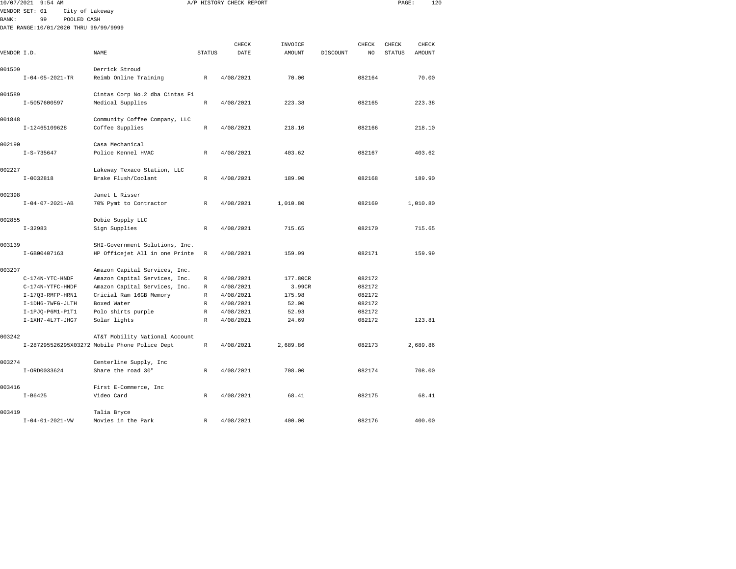|               | 10/07/2021 9:54 AM                    |                                               |               | A/P HISTORY CHECK REPORT |          |          |        | PAGE:         | 120      |  |
|---------------|---------------------------------------|-----------------------------------------------|---------------|--------------------------|----------|----------|--------|---------------|----------|--|
|               | VENDOR SET: 01<br>City of Lakeway     |                                               |               |                          |          |          |        |               |          |  |
| <b>BANK :</b> | 99<br>POOLED CASH                     |                                               |               |                          |          |          |        |               |          |  |
|               | DATE RANGE:10/01/2020 THRU 99/99/9999 |                                               |               |                          |          |          |        |               |          |  |
|               |                                       |                                               |               | CHECK                    | INVOICE  |          | CHECK  | CHECK         | CHECK    |  |
| VENDOR I.D.   |                                       | NAME                                          | <b>STATUS</b> | DATE                     | AMOUNT   | DISCOUNT | NO     | <b>STATUS</b> | AMOUNT   |  |
|               |                                       |                                               |               |                          |          |          |        |               |          |  |
| 001509        |                                       | Derrick Stroud                                |               |                          |          |          |        |               |          |  |
|               | $I - 04 - 05 - 2021 - TR$             | Reimb Online Training                         | R             | 4/08/2021                | 70.00    |          | 082164 |               | 70.00    |  |
| 001589        |                                       | Cintas Corp No.2 dba Cintas Fi                |               |                          |          |          |        |               |          |  |
|               | I-5057600597                          | Medical Supplies                              | $\mathbb R$   | 4/08/2021                | 223.38   |          | 082165 |               | 223.38   |  |
| 001848        |                                       | Community Coffee Company, LLC                 |               |                          |          |          |        |               |          |  |
|               | I-12465109628                         | Coffee Supplies                               | $\mathbb R$   | 4/08/2021                | 218.10   |          | 082166 |               | 218.10   |  |
| 002190        |                                       | Casa Mechanical                               |               |                          |          |          |        |               |          |  |
|               | $I-S-735647$                          | Police Kennel HVAC                            | R             | 4/08/2021                | 403.62   |          | 082167 |               | 403.62   |  |
| 002227        |                                       | Lakeway Texaco Station, LLC                   |               |                          |          |          |        |               |          |  |
|               | $I-0032818$                           | Brake Flush/Coolant                           | R             | 4/08/2021                | 189.90   |          | 082168 |               | 189.90   |  |
| 002398        |                                       | Janet L Risser                                |               |                          |          |          |        |               |          |  |
|               | $I - 04 - 07 - 2021 - AB$             | 70% Pymt to Contractor                        | $\mathbb{R}$  | 4/08/2021                | 1,010.80 |          | 082169 |               | 1,010.80 |  |
| 002855        |                                       | Dobie Supply LLC                              |               |                          |          |          |        |               |          |  |
|               | $I-32983$                             | Sign Supplies                                 | $\mathbb{R}$  | 4/08/2021                | 715.65   |          | 082170 |               | 715.65   |  |
|               |                                       |                                               |               |                          |          |          |        |               |          |  |
| 003139        |                                       | SHI-Government Solutions, Inc.                |               |                          |          |          |        |               |          |  |
|               | I-GB00407163                          | HP Officejet All in one Printe                | R             | 4/08/2021                | 159.99   |          | 082171 |               | 159.99   |  |
| 003207        |                                       | Amazon Capital Services, Inc.                 |               |                          |          |          |        |               |          |  |
|               | C-174N-YTC-HNDF                       | Amazon Capital Services, Inc.                 | R             | 4/08/2021                | 177.80CR |          | 082172 |               |          |  |
|               | C-174N-YTFC-HNDF                      | Amazon Capital Services, Inc.                 | $\mathbb{R}$  | 4/08/2021                | 3.99CR   |          | 082172 |               |          |  |
|               | $I-17Q3-RMFP-HRN1$                    | Cricial Ram 16GB Memory                       | R             | 4/08/2021                | 175.98   |          | 082172 |               |          |  |
|               | I-1DH6-7WFG-JLTH                      | Boxed Water                                   | $\mathbb R$   | 4/08/2021                | 52.00    |          | 082172 |               |          |  |
|               | $I-1$ PJQ-P6M1-P1T1                   | Polo shirts purple                            | $\mathbb{R}$  | 4/08/2021                | 52.93    |          | 082172 |               |          |  |
|               | $I-1XH7-4L7T-JHG7$                    | Solar lights                                  | $\mathbb{R}$  | 4/08/2021                | 24.69    |          | 082172 |               | 123.81   |  |
| 003242        |                                       | AT&T Mobility National Account                |               |                          |          |          |        |               |          |  |
|               |                                       | I-287295526295X03272 Mobile Phone Police Dept | $\mathbb R$   | 4/08/2021                | 2,689.86 |          | 082173 |               | 2,689.86 |  |
| 003274        |                                       | Centerline Supply, Inc                        |               |                          |          |          |        |               |          |  |
|               |                                       |                                               |               |                          |          |          |        |               |          |  |
|               | I-ORD0033624                          | Share the road 30"                            | $\mathbb R$   | 4/08/2021                | 708.00   |          | 082174 |               | 708.00   |  |
| 003416        |                                       | First E-Commerce, Inc                         |               |                          |          |          |        |               |          |  |
|               | $I - B6425$                           | Video Card                                    | R             | 4/08/2021                | 68.41    |          | 082175 |               | 68.41    |  |
| 003419        |                                       | Talia Bryce                                   |               |                          |          |          |        |               |          |  |
|               | $I - 04 - 01 - 2021 - VW$             | Movies in the Park                            | $\mathbb{R}$  | 4/08/2021                | 400.00   |          | 082176 |               | 400.00   |  |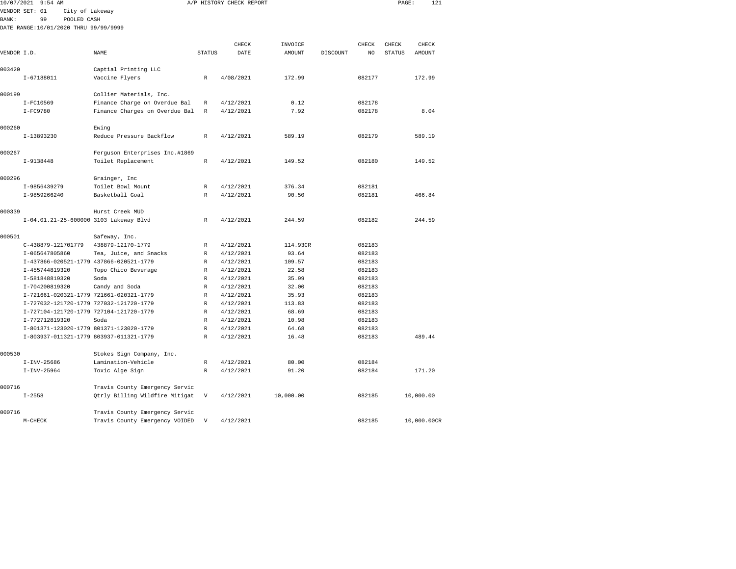| 10/07/2021  | 9:54 AM                               |                                         |                           | A/P HISTORY CHECK REPORT |           |          |        | PAGE:         | 121       |  |
|-------------|---------------------------------------|-----------------------------------------|---------------------------|--------------------------|-----------|----------|--------|---------------|-----------|--|
|             | VENDOR SET: 01                        | City of Lakeway                         |                           |                          |           |          |        |               |           |  |
| BANK:       | 99                                    | POOLED CASH                             |                           |                          |           |          |        |               |           |  |
|             | DATE RANGE:10/01/2020 THRU 99/99/9999 |                                         |                           |                          |           |          |        |               |           |  |
|             |                                       |                                         |                           | CHECK                    | INVOICE   |          | CHECK  | CHECK         | CHECK     |  |
| VENDOR I.D. |                                       | NAME                                    | <b>STATUS</b>             | DATE                     | AMOUNT    | DISCOUNT |        | <b>STATUS</b> | AMOUNT    |  |
|             |                                       |                                         |                           |                          |           |          | NO     |               |           |  |
| 003420      |                                       | Captial Printing LLC                    |                           |                          |           |          |        |               |           |  |
|             | I-67188011                            | Vaccine Flyers                          | R                         | 4/08/2021                | 172.99    |          | 082177 |               | 172.99    |  |
| 000199      |                                       | Collier Materials, Inc.                 |                           |                          |           |          |        |               |           |  |
|             | I-FC10569                             | Finance Charge on Overdue Bal           | $\mathbb R$               | 4/12/2021                | 0.12      |          | 082178 |               |           |  |
|             | $I-FC9780$                            | Finance Charges on Overdue Bal          | $\mathbb R$               | 4/12/2021                | 7.92      |          | 082178 |               | 8.04      |  |
| 000260      |                                       | Ewing                                   |                           |                          |           |          |        |               |           |  |
|             | I-13893230                            | Reduce Pressure Backflow                | R                         | 4/12/2021                | 589.19    |          | 082179 |               | 589.19    |  |
|             |                                       |                                         |                           |                          |           |          |        |               |           |  |
| 000267      |                                       | Ferguson Enterprises Inc.#1869          |                           |                          |           |          |        |               |           |  |
|             | I-9138448                             | Toilet Replacement                      | R                         | 4/12/2021                | 149.52    |          | 082180 |               | 149.52    |  |
| 000296      |                                       | Grainger, Inc                           |                           |                          |           |          |        |               |           |  |
|             | I-9856439279                          | Toilet Bowl Mount                       | $\mathbb{R}$              | 4/12/2021                | 376.34    |          | 082181 |               |           |  |
|             | I-9859266240                          | Basketball Goal                         | $\mathbb{R}$              | 4/12/2021                | 90.50     |          | 082181 |               | 466.84    |  |
| 000339      |                                       | Hurst Creek MUD                         |                           |                          |           |          |        |               |           |  |
|             |                                       | I-04.01.21-25-600000 3103 Lakeway Blvd  | R                         | 4/12/2021                | 244.59    |          | 082182 |               | 244.59    |  |
| 000501      |                                       | Safeway, Inc.                           |                           |                          |           |          |        |               |           |  |
|             | C-438879-121701779                    | 438879-12170-1779                       | $\mathbb R$               | 4/12/2021                | 114.93CR  |          | 082183 |               |           |  |
|             | I-065647805860                        | Tea, Juice, and Snacks                  | $\mathbb R$               | 4/12/2021                | 93.64     |          | 082183 |               |           |  |
|             |                                       | I-437866-020521-1779 437866-020521-1779 | $\mathbb R$               | 4/12/2021                | 109.57    |          | 082183 |               |           |  |
|             | I-455744819320                        | Topo Chico Beverage                     | $\mathbb R$               | 4/12/2021                | 22.58     |          | 082183 |               |           |  |
|             | I-581848819320                        | Soda                                    | $\mathbb R$               | 4/12/2021                | 35.99     |          | 082183 |               |           |  |
|             | I-704200819320                        | Candy and Soda                          | $\mathbb{R}$              | 4/12/2021                | 32.00     |          | 082183 |               |           |  |
|             |                                       | I-721661-020321-1779 721661-020321-1779 | $\mathbb R$               | 4/12/2021                | 35.93     |          | 082183 |               |           |  |
|             |                                       | I-727032-121720-1779 727032-121720-1779 | $\mathbb R$               | 4/12/2021                | 113.83    |          | 082183 |               |           |  |
|             |                                       | I-727104-121720-1779 727104-121720-1779 | $\mathbb R$               | 4/12/2021                | 68.69     |          | 082183 |               |           |  |
|             | I-772712819320                        | Soda                                    | $\mathbb R$               | 4/12/2021                | 10.98     |          | 082183 |               |           |  |
|             |                                       | I-801371-123020-1779 801371-123020-1779 | R                         | 4/12/2021                | 64.68     |          | 082183 |               |           |  |
|             |                                       | I-803937-011321-1779 803937-011321-1779 | $\mathbb{R}$              |                          | 16.48     |          |        |               | 489.44    |  |
|             |                                       |                                         |                           | 4/12/2021                |           |          | 082183 |               |           |  |
| 000530      |                                       | Stokes Sign Company, Inc.               |                           |                          |           |          |        |               |           |  |
|             | $I-INV-25686$                         | Lamination-Vehicle                      | R                         | 4/12/2021                | 80.00     |          | 082184 |               |           |  |
|             | $I-INV-25964$                         | Toxic Alge Sign                         | $\mathbb{R}$              | 4/12/2021                | 91.20     |          | 082184 |               | 171.20    |  |
| 000716      |                                       | Travis County Emergency Servic          |                           |                          |           |          |        |               |           |  |
|             | $I - 2558$                            | Qtrly Billing Wildfire Mitigat          | $\boldsymbol{\mathrm{V}}$ | 4/12/2021                | 10,000.00 |          | 082185 |               | 10,000.00 |  |
| 000716      |                                       | Travis County Emergency Servic          |                           |                          |           |          |        |               |           |  |
|             |                                       |                                         |                           |                          |           |          |        |               |           |  |

M-CHECK Travis County Emergency VOIDED V 4/12/2021 1821 082185 10,000.00CR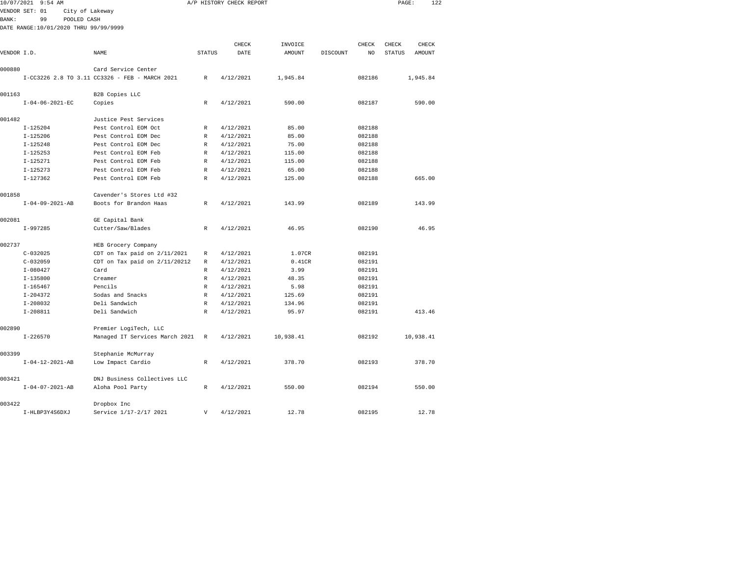|              | 10/07/2021 9:54 AM                    |                                                                       |                | A/P HISTORY CHECK REPORT |           |          |        | PAGE:         |           | 122 |
|--------------|---------------------------------------|-----------------------------------------------------------------------|----------------|--------------------------|-----------|----------|--------|---------------|-----------|-----|
|              | VENDOR SET: 01<br>City of Lakeway     |                                                                       |                |                          |           |          |        |               |           |     |
| <b>BANK:</b> | 99<br>POOLED CASH                     |                                                                       |                |                          |           |          |        |               |           |     |
|              | DATE RANGE:10/01/2020 THRU 99/99/9999 |                                                                       |                |                          |           |          |        |               |           |     |
|              |                                       |                                                                       |                |                          |           |          |        |               |           |     |
|              |                                       |                                                                       |                | CHECK                    | INVOICE   |          | CHECK  | CHECK         | CHECK     |     |
| VENDOR I.D.  |                                       | NAME                                                                  | <b>STATUS</b>  | DATE                     | AMOUNT    | DISCOUNT | NO     | <b>STATUS</b> | AMOUNT    |     |
| 000880       |                                       |                                                                       |                |                          |           |          |        |               |           |     |
|              |                                       | Card Service Center<br>I-CC3226 2.8 TO 3.11 CC3326 - FEB - MARCH 2021 | R              | 4/12/2021                | 1,945.84  |          | 082186 |               | 1,945.84  |     |
|              |                                       |                                                                       |                |                          |           |          |        |               |           |     |
| 001163       |                                       | B2B Copies LLC                                                        |                |                          |           |          |        |               |           |     |
|              | $I - 04 - 06 - 2021 - EC$             | Copies                                                                | R              | 4/12/2021                | 590.00    |          | 082187 |               | 590.00    |     |
|              |                                       |                                                                       |                |                          |           |          |        |               |           |     |
| 001482       |                                       | Justice Pest Services                                                 |                |                          |           |          |        |               |           |     |
|              | $I-125204$                            | Pest Control EOM Oct                                                  | R              | 4/12/2021                | 85.00     |          | 082188 |               |           |     |
|              | $I-125206$                            | Pest Control EOM Dec                                                  | R              | 4/12/2021                | 85.00     |          | 082188 |               |           |     |
|              | $I-125248$                            | Pest Control EOM Dec                                                  | R              | 4/12/2021                | 75.00     |          | 082188 |               |           |     |
|              | $I-125253$                            | Pest Control EOM Feb                                                  | R              | 4/12/2021                | 115.00    |          | 082188 |               |           |     |
|              | $I - 125271$                          | Pest Control EOM Feb                                                  | R              | 4/12/2021                | 115.00    |          | 082188 |               |           |     |
|              | $I - 125273$                          | Pest Control EOM Feb                                                  | R              | 4/12/2021                | 65.00     |          | 082188 |               |           |     |
|              | $I-127362$                            | Pest Control EOM Feb                                                  | $\mathbb{R}$   | 4/12/2021                | 125.00    |          | 082188 |               | 665.00    |     |
| 001858       |                                       | Cavender's Stores Ltd #32                                             |                |                          |           |          |        |               |           |     |
|              | $I - 04 - 09 - 2021 - AB$             | Boots for Brandon Haas                                                | $\mathbb{R}$   | 4/12/2021                | 143.99    |          | 082189 |               | 143.99    |     |
| 002081       |                                       |                                                                       |                |                          |           |          |        |               |           |     |
|              | $I-997285$                            | GE Capital Bank<br>Cutter/Saw/Blades                                  | $\mathbb{R}$   | 4/12/2021                | 46.95     |          | 082190 |               | 46.95     |     |
|              |                                       |                                                                       |                |                          |           |          |        |               |           |     |
| 002737       |                                       | HEB Grocery Company                                                   |                |                          |           |          |        |               |           |     |
|              | $C - 032025$                          | CDT on Tax paid on 2/11/2021                                          | R              | 4/12/2021                | 1.07CR    |          | 082191 |               |           |     |
|              | $C - 032059$                          | CDT on Tax paid on $2/11/20212$                                       | R              | 4/12/2021                | 0.41CR    |          | 082191 |               |           |     |
|              | $I - 080427$                          | Card                                                                  | R              | 4/12/2021                | 3.99      |          | 082191 |               |           |     |
|              | $I - 135800$                          | Creamer                                                               | R              | 4/12/2021                | 48.35     |          | 082191 |               |           |     |
|              | $I - 165467$                          | Pencils                                                               | R              | 4/12/2021                | 5.98      |          | 082191 |               |           |     |
|              | $I - 204372$                          | Sodas and Snacks                                                      | R              | 4/12/2021                | 125.69    |          | 082191 |               |           |     |
|              | $I - 208032$                          | Deli Sandwich                                                         | R              | 4/12/2021                | 134.96    |          | 082191 |               |           |     |
|              | $I-208811$                            | Deli Sandwich                                                         | R              | 4/12/2021                | 95.97     |          | 082191 |               | 413.46    |     |
| 002890       |                                       | Premier LogiTech, LLC                                                 |                |                          |           |          |        |               |           |     |
|              | $I - 226570$                          | Managed IT Services March 2021                                        | $\mathbb R$    | 4/12/2021                | 10,938.41 |          | 082192 |               | 10,938.41 |     |
|              |                                       |                                                                       |                |                          |           |          |        |               |           |     |
| 003399       |                                       | Stephanie McMurray                                                    |                |                          |           |          |        |               |           |     |
|              | $I - 04 - 12 - 2021 - AB$             | Low Impact Cardio                                                     | R              | 4/12/2021                | 378.70    |          | 082193 |               | 378.70    |     |
| 003421       |                                       | DNJ Business Collectives LLC                                          |                |                          |           |          |        |               |           |     |
|              | $I - 04 - 07 - 2021 - AB$             | Aloha Pool Party                                                      | R              | 4/12/2021                | 550.00    |          | 082194 |               | 550.00    |     |
| 003422       |                                       | Dropbox Inc                                                           |                |                          |           |          |        |               |           |     |
|              | I-HLBP3Y4S6DXJ                        | Service 1/17-2/17 2021                                                | $\overline{V}$ | 4/12/2021                | 12.78     |          | 082195 |               | 12.78     |     |
|              |                                       |                                                                       |                |                          |           |          |        |               |           |     |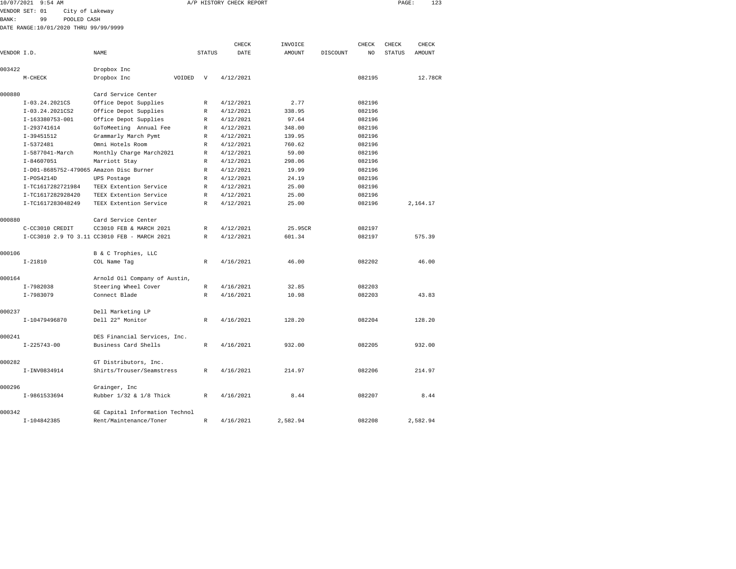|              | 10/07/2021 9:54 AM                      |                                              |        |               | A/P HISTORY CHECK REPORT |               |          |        | PAGE:         | 123      |  |
|--------------|-----------------------------------------|----------------------------------------------|--------|---------------|--------------------------|---------------|----------|--------|---------------|----------|--|
|              | VENDOR SET: 01<br>City of Lakeway       |                                              |        |               |                          |               |          |        |               |          |  |
| <b>BANK:</b> | 99<br>POOLED CASH                       |                                              |        |               |                          |               |          |        |               |          |  |
|              | DATE RANGE:10/01/2020 THRU 99/99/9999   |                                              |        |               |                          |               |          |        |               |          |  |
|              |                                         |                                              |        |               |                          |               |          |        |               |          |  |
|              |                                         |                                              |        |               | CHECK                    | INVOICE       |          | CHECK  | CHECK         | CHECK    |  |
| VENDOR I.D.  |                                         | NAME                                         |        | <b>STATUS</b> | DATE                     | <b>AMOUNT</b> | DISCOUNT | NO     | <b>STATUS</b> | AMOUNT   |  |
| 003422       |                                         | Dropbox Inc                                  |        |               |                          |               |          |        |               |          |  |
|              | $M-CHECK$                               | Dropbox Inc                                  | VOIDED | $\mathbf{v}$  | 4/12/2021                |               |          | 082195 |               | 12.78CR  |  |
|              |                                         |                                              |        |               |                          |               |          |        |               |          |  |
| 000880       |                                         | Card Service Center                          |        |               |                          |               |          |        |               |          |  |
|              | I-03.24.2021CS                          | Office Depot Supplies                        |        | R             | 4/12/2021                | 2.77          |          | 082196 |               |          |  |
|              | I-03.24.2021CS2                         | Office Depot Supplies                        |        | $\mathbb R$   | 4/12/2021                | 338.95        |          | 082196 |               |          |  |
|              | I-163380753-001                         | Office Depot Supplies                        |        | R             | 4/12/2021                | 97.64         |          | 082196 |               |          |  |
|              | I-293741614                             | GoToMeeting Annual Fee                       |        | $\mathbb R$   | 4/12/2021                | 348.00        |          | 082196 |               |          |  |
|              | I-39451512                              | Grammarly March Pymt                         |        | $\mathbb R$   | 4/12/2021                | 139.95        |          | 082196 |               |          |  |
|              | I-5372481                               | Omni Hotels Room                             |        | R             | 4/12/2021                | 760.62        |          | 082196 |               |          |  |
|              | I-5877041-March                         | Monthly Charge March2021                     |        | $\mathbb R$   | 4/12/2021                | 59.00         |          | 082196 |               |          |  |
|              | $I - 84607051$                          | Marriott Stay                                |        | $\mathbb R$   | 4/12/2021                | 298.06        |          | 082196 |               |          |  |
|              | I-D01-8685752-479065 Amazon Disc Burner |                                              |        | $\mathbb R$   | 4/12/2021                | 19.99         |          | 082196 |               |          |  |
|              | $I-POS4214D$                            | UPS Postage                                  |        | R             | 4/12/2021                | 24.19         |          | 082196 |               |          |  |
|              | I-TC1617282721984                       | TEEX Extention Service                       |        | $\mathbb{R}$  | 4/12/2021                | 25.00         |          | 082196 |               |          |  |
|              | I-TC1617282928420                       | TEEX Extention Service                       |        | $\mathbb R$   | 4/12/2021                | 25.00         |          | 082196 |               |          |  |
|              | I-TC1617283048249                       | TEEX Extention Service                       |        | R             | 4/12/2021                | 25.00         |          | 082196 |               | 2,164.17 |  |
|              |                                         |                                              |        |               |                          |               |          |        |               |          |  |
| 000880       |                                         | Card Service Center                          |        |               |                          |               |          |        |               |          |  |
|              | C-CC3010 CREDIT                         | CC3010 FEB & MARCH 2021                      |        | R             | 4/12/2021                | 25.95CR       |          | 082197 |               |          |  |
|              |                                         | I-CC3010 2.9 TO 3.11 CC3010 FEB - MARCH 2021 |        | R             | 4/12/2021                | 601.34        |          | 082197 |               | 575.39   |  |
|              |                                         |                                              |        |               |                          |               |          |        |               |          |  |
| 000106       |                                         | B & C Trophies, LLC                          |        |               |                          |               |          |        |               |          |  |
|              | $I - 21810$                             | COL Name Tag                                 |        | R             | 4/16/2021                | 46.00         |          | 082202 |               | 46.00    |  |
| 000164       |                                         | Arnold Oil Company of Austin,                |        |               |                          |               |          |        |               |          |  |
|              | I-7982038                               | Steering Wheel Cover                         |        | R             | 4/16/2021                | 32.85         |          | 082203 |               |          |  |
|              | I-7983079                               | Connect Blade                                |        | R             | 4/16/2021                | 10.98         |          | 082203 |               | 43.83    |  |
|              |                                         |                                              |        |               |                          |               |          |        |               |          |  |
| 000237       |                                         | Dell Marketing LP                            |        |               |                          |               |          |        |               |          |  |
|              | I-10479496870                           | Dell 22" Monitor                             |        | R             | 4/16/2021                | 128.20        |          | 082204 |               | 128.20   |  |
|              |                                         |                                              |        |               |                          |               |          |        |               |          |  |
| 000241       |                                         | DES Financial Services, Inc.                 |        |               |                          |               |          |        |               |          |  |
|              | $I - 225743 - 00$                       | Business Card Shells                         |        | $\mathbb{R}$  | 4/16/2021                | 932.00        |          | 082205 |               | 932.00   |  |
|              |                                         |                                              |        |               |                          |               |          |        |               |          |  |
| 000282       |                                         | GT Distributors, Inc.                        |        |               |                          |               |          |        |               |          |  |
|              | I-INV0834914                            | Shirts/Trouser/Seamstress                    |        | R             | 4/16/2021                | 214.97        |          | 082206 |               | 214.97   |  |
|              |                                         |                                              |        |               |                          |               |          |        |               |          |  |
| 000296       |                                         | Grainger, Inc                                |        |               |                          |               |          |        |               |          |  |
|              | I-9861533694                            | Rubber 1/32 & 1/8 Thick                      |        | R             | 4/16/2021                | 8.44          |          | 082207 |               | 8.44     |  |

I-104842385 Rent/Maintenance/Toner R 4/16/2021 2,582.94 082208 2,582.94

000342 GE Capital Information Technol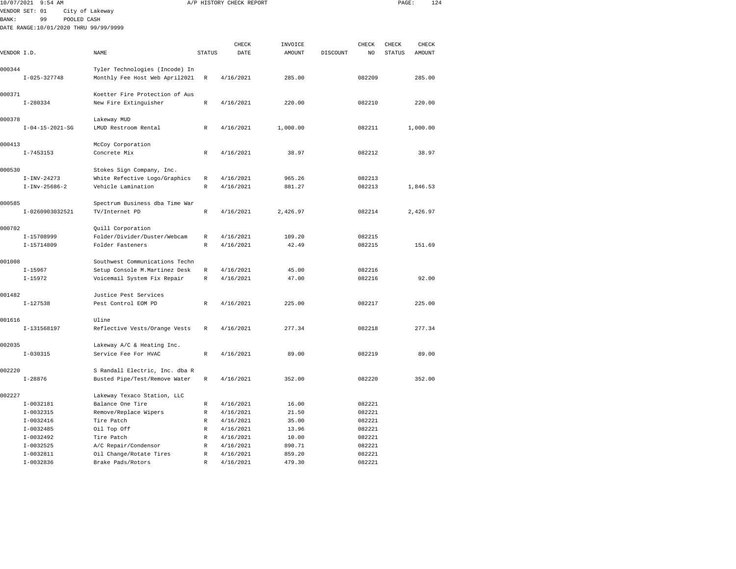|              | 10/07/2021 9:54 AM                    |                                |               | A/P HISTORY CHECK REPORT |               |          |        | PAGE:         | 124           |  |
|--------------|---------------------------------------|--------------------------------|---------------|--------------------------|---------------|----------|--------|---------------|---------------|--|
|              | VENDOR SET: 01                        | City of Lakeway                |               |                          |               |          |        |               |               |  |
| <b>BANK:</b> | POOLED CASH<br>99                     |                                |               |                          |               |          |        |               |               |  |
|              | DATE RANGE:10/01/2020 THRU 99/99/9999 |                                |               |                          |               |          |        |               |               |  |
|              |                                       |                                |               |                          |               |          |        |               |               |  |
|              |                                       |                                |               | CHECK                    | INVOICE       |          | CHECK  | CHECK         | CHECK         |  |
| VENDOR I.D.  |                                       | NAME                           | <b>STATUS</b> | DATE                     | <b>AMOUNT</b> | DISCOUNT | NO     | <b>STATUS</b> | <b>AMOUNT</b> |  |
|              |                                       |                                |               |                          |               |          |        |               |               |  |
| 000344       |                                       | Tyler Technologies (Incode) In |               |                          |               |          |        |               |               |  |
|              | $I - 025 - 327748$                    | Monthly Fee Host Web April2021 | $\mathbb R$   | 4/16/2021                | 285.00        |          | 082209 |               | 285.00        |  |
| 000371       |                                       | Koetter Fire Protection of Aus |               |                          |               |          |        |               |               |  |
|              | $I - 280334$                          | New Fire Extinguisher          | $\mathbb R$   | 4/16/2021                | 220.00        |          | 082210 |               | 220.00        |  |
|              |                                       |                                |               |                          |               |          |        |               |               |  |
| 000378       |                                       | Lakeway MUD                    |               |                          |               |          |        |               |               |  |
|              | $I - 04 - 15 - 2021 - SG$             | LMUD Restroom Rental           | R             | 4/16/2021                | 1,000.00      |          | 082211 |               | 1,000.00      |  |
|              |                                       |                                |               |                          |               |          |        |               |               |  |
| 000413       |                                       | McCoy Corporation              |               |                          |               |          |        |               |               |  |
|              | $I - 7453153$                         | Concrete Mix                   | R             | 4/16/2021                | 38.97         |          | 082212 |               | 38.97         |  |
|              |                                       |                                |               |                          |               |          |        |               |               |  |
| 000530       |                                       | Stokes Sign Company, Inc.      |               |                          |               |          |        |               |               |  |
|              | $I-INV-24273$                         | White Refective Logo/Graphics  | R             | 4/16/2021                | 965.26        |          | 082213 |               |               |  |
|              | $I-INV-25686-2$                       | Vehicle Lamination             | R             | 4/16/2021                | 881.27        |          | 082213 |               | 1,846.53      |  |
| 000585       |                                       | Spectrum Business dba Time War |               |                          |               |          |        |               |               |  |
|              | I-0260903032521                       | TV/Internet PD                 | $\mathbb R$   | 4/16/2021                | 2,426.97      |          | 082214 |               | 2,426.97      |  |
|              |                                       |                                |               |                          |               |          |        |               |               |  |
| 000702       |                                       | Quill Corporation              |               |                          |               |          |        |               |               |  |
|              | I-15708999                            | Folder/Divider/Duster/Webcam   | $\mathbb R$   | 4/16/2021                | 109.20        |          | 082215 |               |               |  |
|              | $I-15714809$                          | Folder Fasteners               | $\mathbb{R}$  | 4/16/2021                | 42.49         |          | 082215 |               | 151.69        |  |
|              |                                       |                                |               |                          |               |          |        |               |               |  |
| 001008       |                                       | Southwest Communications Techn |               |                          |               |          |        |               |               |  |
|              | $I - 15967$                           | Setup Console M.Martinez Desk  | $\mathbb R$   | 4/16/2021                | 45.00         |          | 082216 |               |               |  |
|              | $I-15972$                             | Voicemail System Fix Repair    | R             | 4/16/2021                | 47.00         |          | 082216 |               | 92.00         |  |
| 001482       |                                       | Justice Pest Services          |               |                          |               |          |        |               |               |  |
|              | $I-127538$                            | Pest Control EOM PD            | R             | 4/16/2021                | 225.00        |          | 082217 |               | 225.00        |  |
|              |                                       |                                |               |                          |               |          |        |               |               |  |
| 001616       |                                       | Uline                          |               |                          |               |          |        |               |               |  |
|              | I-131568197                           | Reflective Vests/Orange Vests  | $\mathbb R$   | 4/16/2021                | 277.34        |          | 082218 |               | 277.34        |  |
|              |                                       |                                |               |                          |               |          |        |               |               |  |
| 002035       |                                       | Lakeway A/C & Heating Inc.     |               |                          |               |          |        |               |               |  |
|              | $I - 030315$                          | Service Fee For HVAC           | $\mathbb R$   | 4/16/2021                | 89.00         |          | 082219 |               | 89.00         |  |
| 002220       |                                       | S Randall Electric, Inc. dba R |               |                          |               |          |        |               |               |  |
|              | $I - 28876$                           | Busted Pipe/Test/Remove Water  | $\mathbb R$   | 4/16/2021                | 352.00        |          | 082220 |               | 352.00        |  |
|              |                                       |                                |               |                          |               |          |        |               |               |  |
| 002227       |                                       | Lakeway Texaco Station, LLC    |               |                          |               |          |        |               |               |  |
|              | I-0032181                             | Balance One Tire               | R             | 4/16/2021                | 16.00         |          | 082221 |               |               |  |
|              | $I-0032315$                           | Remove/Replace Wipers          | R             | 4/16/2021                | 21.50         |          | 082221 |               |               |  |
|              | $I-0032416$                           | Tire Patch                     | R             | 4/16/2021                | 35.00         |          | 082221 |               |               |  |
|              | $I-0032485$                           | Oil Top Off                    | R             | 4/16/2021                | 13.96         |          | 082221 |               |               |  |
|              | I-0032492                             | Tire Patch                     | R             | 4/16/2021                | 10.00         |          | 082221 |               |               |  |
|              | $I-0032525$                           | A/C Repair/Condensor           | R             | 4/16/2021                | 890.71        |          | 082221 |               |               |  |
|              | $I-0032811$                           | Oil Change/Rotate Tires        | R             | 4/16/2021                | 859.20        |          | 082221 |               |               |  |

I-0032836 Brake Pads/Rotors R 4/16/2021 479.30 082221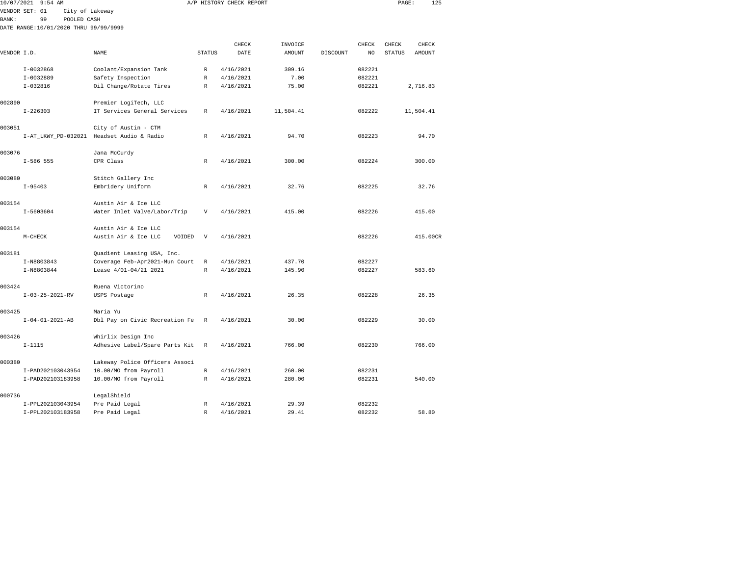|              | 10/07/2021 9:54 AM                    |                                           |               | A/P HISTORY CHECK REPORT |           |          |        | PAGE:         | 125       |  |
|--------------|---------------------------------------|-------------------------------------------|---------------|--------------------------|-----------|----------|--------|---------------|-----------|--|
|              | VENDOR SET: 01<br>City of Lakeway     |                                           |               |                          |           |          |        |               |           |  |
| <b>BANK:</b> | 99<br>POOLED CASH                     |                                           |               |                          |           |          |        |               |           |  |
|              | DATE RANGE:10/01/2020 THRU 99/99/9999 |                                           |               |                          |           |          |        |               |           |  |
|              |                                       |                                           |               |                          |           |          |        |               |           |  |
|              |                                       |                                           |               | CHECK                    | INVOICE   |          | CHECK  | CHECK         | CHECK     |  |
| VENDOR I.D.  |                                       | NAME                                      | <b>STATUS</b> | DATE                     | AMOUNT    | DISCOUNT | NO     | <b>STATUS</b> | AMOUNT    |  |
|              |                                       |                                           |               |                          |           |          |        |               |           |  |
|              | $I-0032868$                           | Coolant/Expansion Tank                    | $\mathbb{R}$  | 4/16/2021                | 309.16    |          | 082221 |               |           |  |
|              | I-0032889                             | Safety Inspection                         | R             | 4/16/2021                | 7.00      |          | 082221 |               |           |  |
|              | $I-032816$                            | Oil Change/Rotate Tires                   | R             | 4/16/2021                | 75.00     |          | 082221 |               | 2,716.83  |  |
|              |                                       |                                           |               |                          |           |          |        |               |           |  |
| 002890       |                                       | Premier LogiTech, LLC                     |               |                          |           |          |        |               |           |  |
|              | $I - 226303$                          | IT Services General Services              | R             | 4/16/2021                | 11,504.41 |          | 082222 |               | 11,504.41 |  |
|              |                                       |                                           |               |                          |           |          |        |               |           |  |
| 003051       |                                       | City of Austin - CTM                      |               |                          |           |          |        |               |           |  |
|              |                                       | I-AT_LKWY_PD-032021 Headset Audio & Radio | R             | 4/16/2021                | 94.70     |          | 082223 |               | 94.70     |  |
| 003076       |                                       | Jana McCurdy                              |               |                          |           |          |        |               |           |  |
|              | $I-586$ 555                           | CPR Class                                 | R             | 4/16/2021                | 300.00    |          | 082224 |               | 300.00    |  |
|              |                                       |                                           |               |                          |           |          |        |               |           |  |
| 003080       |                                       | Stitch Gallery Inc                        |               |                          |           |          |        |               |           |  |
|              | $I - 95403$                           | Embridery Uniform                         | R             | 4/16/2021                | 32.76     |          | 082225 |               | 32.76     |  |
|              |                                       |                                           |               |                          |           |          |        |               |           |  |
| 003154       |                                       | Austin Air & Ice LLC                      |               |                          |           |          |        |               |           |  |
|              | $I - 5603604$                         | Water Inlet Valve/Labor/Trip              | V             | 4/16/2021                | 415.00    |          | 082226 |               | 415.00    |  |
|              |                                       |                                           |               |                          |           |          |        |               |           |  |
| 003154       |                                       | Austin Air & Ice LLC                      |               |                          |           |          |        |               |           |  |
|              | $M-CHECK$                             | Austin Air & Ice LLC<br>VOIDED            | V             | 4/16/2021                |           |          | 082226 |               | 415.00CR  |  |
|              |                                       |                                           |               |                          |           |          |        |               |           |  |
| 003181       |                                       | Quadient Leasing USA, Inc.                |               |                          |           |          |        |               |           |  |
|              | I-N8803843                            | Coverage Feb-Apr2021-Mun Court            | R             | 4/16/2021                | 437.70    |          | 082227 |               |           |  |
|              | I-N8803844                            | Lease 4/01-04/21 2021                     | $\mathbb R$   | 4/16/2021                | 145.90    |          | 082227 |               | 583.60    |  |
|              |                                       |                                           |               |                          |           |          |        |               |           |  |
| 003424       |                                       | Ruena Victorino                           |               |                          |           |          |        |               |           |  |
|              | $I - 03 - 25 - 2021 - RV$             | USPS Postage                              | R             | 4/16/2021                | 26.35     |          | 082228 |               | 26.35     |  |
| 003425       |                                       | Maria Yu                                  |               |                          |           |          |        |               |           |  |
|              | $I - 04 - 01 - 2021 - AB$             | Dbl Pay on Civic Recreation Fe            | R             | 4/16/2021                | 30.00     |          | 082229 |               | 30.00     |  |
|              |                                       |                                           |               |                          |           |          |        |               |           |  |
| 003426       |                                       | Whirlix Design Inc                        |               |                          |           |          |        |               |           |  |
|              | $I - 1115$                            | Adhesive Label/Spare Parts Kit            | R             | 4/16/2021                | 766.00    |          | 082230 |               | 766.00    |  |
|              |                                       |                                           |               |                          |           |          |        |               |           |  |
| 000380       |                                       | Lakeway Police Officers Associ            |               |                          |           |          |        |               |           |  |
|              | I-PAD202103043954                     | 10.00/MO from Payroll                     | R             | 4/16/2021                | 260.00    |          | 082231 |               |           |  |
|              | I-PAD202103183958                     | 10.00/MO from Payroll                     | R             | 4/16/2021                | 280.00    |          | 082231 |               | 540.00    |  |

| ------            |                       |   |           |        |        |        |
|-------------------|-----------------------|---|-----------|--------|--------|--------|
| I-PAD202103043954 | 10.00/MO from Payroll | R | 4/16/2021 | 260.00 | 082231 |        |
| I-PAD202103183958 | 10.00/MO from Payroll | R | 4/16/2021 | 280.00 | 082231 | 540.00 |
| 000736            | LegalShield           |   |           |        |        |        |
| I-PPL202103043954 | Pre Paid Legal        | R | 4/16/2021 | 29.39  | 082232 |        |
| I-PPL202103183958 | Pre Paid Legal        |   | 4/16/2021 | 29.41  | 082232 | 58.80  |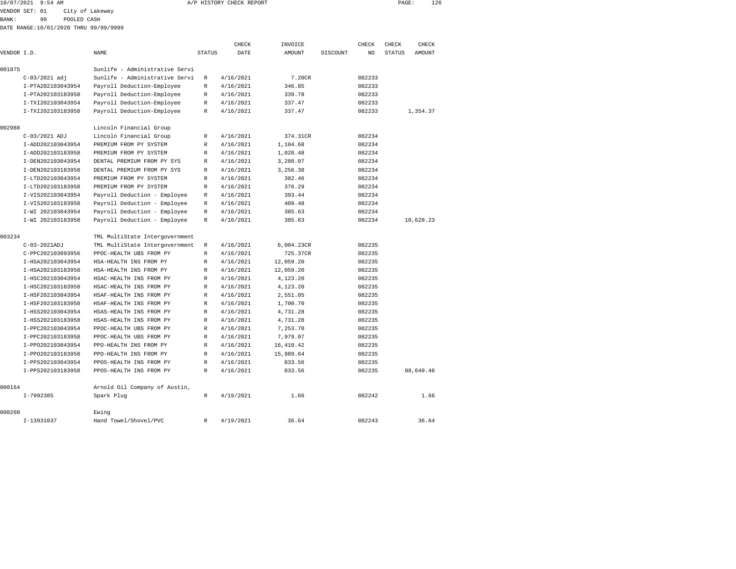|             | 10/07/2021 9:54 AM                    |                 |                                                                  |               | A/P HISTORY CHECK REPORT |               |          |        | PAGE:         |           | 126   |
|-------------|---------------------------------------|-----------------|------------------------------------------------------------------|---------------|--------------------------|---------------|----------|--------|---------------|-----------|-------|
|             | VENDOR SET: 01                        | City of Lakeway |                                                                  |               |                          |               |          |        |               |           |       |
| BANK:       | 99                                    | POOLED CASH     |                                                                  |               |                          |               |          |        |               |           |       |
|             | DATE RANGE:10/01/2020 THRU 99/99/9999 |                 |                                                                  |               |                          |               |          |        |               |           |       |
|             |                                       |                 |                                                                  |               |                          |               |          |        |               |           |       |
|             |                                       |                 |                                                                  |               | CHECK                    | INVOICE       |          | CHECK  | CHECK         |           | CHECK |
| VENDOR I.D. |                                       |                 | <b>NAME</b>                                                      | <b>STATUS</b> | DATE                     | <b>AMOUNT</b> | DISCOUNT | NO.    | <b>STATUS</b> | AMOUNT    |       |
|             |                                       |                 |                                                                  |               |                          |               |          |        |               |           |       |
| 001875      |                                       |                 | Sunlife - Administrative Servi<br>Sunlife - Administrative Servi |               | 4/16/2021                | 7.20CR        |          | 082233 |               |           |       |
|             | $C-03/2021$ adj                       |                 |                                                                  | R             |                          |               |          |        |               |           |       |
|             | I-PTA202103043954                     |                 | Payroll Deduction-Employee                                       | R             | 4/16/2021                | 346.85        |          | 082233 |               |           |       |
|             | I-PTA202103183958                     |                 | Payroll Deduction-Employee                                       | $\mathbb{R}$  | 4/16/2021                | 339.78        |          | 082233 |               |           |       |
|             | I-TXI202103043954                     |                 | Payroll Deduction-Employee                                       | $\mathbb R$   | 4/16/2021                | 337.47        |          | 082233 |               |           |       |
|             | I-TXI202103183958                     |                 | Payroll Deduction-Employee                                       | R             | 4/16/2021                | 337.47        |          | 082233 |               | 1,354.37  |       |
| 002988      |                                       |                 | Lincoln Financial Group                                          |               |                          |               |          |        |               |           |       |
|             | C-03/2021 ADJ                         |                 | Lincoln Financial Group                                          | R             | 4/16/2021                | 374.31CR      |          | 082234 |               |           |       |
|             | I-ADD202103043954                     |                 | PREMIUM FROM PY SYSTEM                                           | R             | 4/16/2021                | 1,104.68      |          | 082234 |               |           |       |
|             | I-ADD202103183958                     |                 | PREMIUM FROM PY SYSTEM                                           | $\mathbb R$   | 4/16/2021                | 1,028.48      |          | 082234 |               |           |       |
|             | I-DEN202103043954                     |                 | DENTAL PREMIUM FROM PY SYS                                       | R             | 4/16/2021                | 3,280.07      |          | 082234 |               |           |       |
|             | I-DEN202103183958                     |                 | DENTAL PREMIUM FROM PY SYS                                       | R             | 4/16/2021                | 3,256.38      |          | 082234 |               |           |       |
|             | I-LTD202103043954                     |                 | PREMIUM FROM PY SYSTEM                                           | R             | 4/16/2021                | 382.46        |          | 082234 |               |           |       |
|             | I-LTD202103183958                     |                 | PREMIUM FROM PY SYSTEM                                           | R             | 4/16/2021                | 376.29        |          | 082234 |               |           |       |
|             | I-VIS202103043954                     |                 | Payroll Deduction - Employee                                     | R             | 4/16/2021                | 393.44        |          | 082234 |               |           |       |
|             | I-VIS202103183958                     |                 | Payroll Deduction - Employee                                     | $\mathbb{R}$  | 4/16/2021                | 409.48        |          | 082234 |               |           |       |
|             | I-WI 202103043954                     |                 | Payroll Deduction - Employee                                     | R             | 4/16/2021                | 385.63        |          | 082234 |               |           |       |
|             | I-WI 202103183958                     |                 | Payroll Deduction - Employee                                     | R             | 4/16/2021                | 385.63        |          | 082234 |               | 10,628.23 |       |
|             |                                       |                 |                                                                  |               |                          |               |          |        |               |           |       |
| 003234      |                                       |                 | TML MultiState Intergovernment                                   |               |                          |               |          |        |               |           |       |
|             | C-03-2021ADJ                          |                 | TML MultiState Intergovernment                                   | R             | 4/16/2021                | 6,004.23CR    |          | 082235 |               |           |       |
|             | C-PPC202103093956                     |                 | PPOC-HEALTH UBS FROM PY                                          | $\mathbb{R}$  | 4/16/2021                | 725.37CR      |          | 082235 |               |           |       |
|             | I-HSA202103043954                     |                 | HSA-HEALTH INS FROM PY                                           | R             | 4/16/2021                | 12,059.20     |          | 082235 |               |           |       |
|             | I-HSA202103183958                     |                 | HSA-HEALTH INS FROM PY                                           | R             | 4/16/2021                | 12,059.20     |          | 082235 |               |           |       |
|             | I-HSC202103043954                     |                 | HSAC-HEALTH INS FROM PY                                          | $\mathbb R$   | 4/16/2021                | 4,123.20      |          | 082235 |               |           |       |
|             | I-HSC202103183958                     |                 | HSAC-HEALTH INS FROM PY                                          | R             | 4/16/2021                | 4,123.20      |          | 082235 |               |           |       |
|             | I-HSF202103043954                     |                 | HSAF-HEALTH INS FROM PY                                          | $\mathbb{R}$  | 4/16/2021                | 2,551.05      |          | 082235 |               |           |       |
|             | I-HSF202103183958                     |                 | HSAF-HEALTH INS FROM PY                                          | R             | 4/16/2021                | 1,700.70      |          | 082235 |               |           |       |
|             | I-HSS202103043954                     |                 | HSAS-HEALTH INS FROM PY                                          | R             | 4/16/2021                | 4,731.28      |          | 082235 |               |           |       |
|             | I-HSS202103183958                     |                 | HSAS-HEALTH INS FROM PY                                          | R             | 4/16/2021                | 4,731.28      |          | 082235 |               |           |       |
|             | I-PPC202103043954                     |                 | PPOC-HEALTH UBS FROM PY                                          | R             | 4/16/2021                | 7,253.70      |          | 082235 |               |           |       |
|             | I-PPC202103183958                     |                 | PPOC-HEALTH UBS FROM PY                                          | R             | 4/16/2021                | 7,979.07      |          | 082235 |               |           |       |
|             | I-PP0202103043954                     |                 | PPO-HEALTH INS FROM PY                                           | R             | 4/16/2021                | 16,410.42     |          | 082235 |               |           |       |
|             | I-PP0202103183958                     |                 | PPO-HEALTH INS FROM PY                                           | R             | 4/16/2021                | 15,989.64     |          | 082235 |               |           |       |
|             | I-PPS202103043954                     |                 | PPOS-HEALTH INS FROM PY                                          | R             | 4/16/2021                | 833.56        |          | 082235 |               |           |       |
|             | I-PPS202103183958                     |                 | PPOS-HEALTH INS FROM PY                                          | $\mathbb R$   | 4/16/2021                | 833.56        |          | 082235 |               | 88,649.46 |       |

|        | I-PPS202103183958 | PPOS-HEALTH INS FROM PY       | R | 4/16/2021 | 833.56 | 082235 | 88,649.46 |
|--------|-------------------|-------------------------------|---|-----------|--------|--------|-----------|
| 000164 |                   | Arnold Oil Company of Austin, |   |           |        |        |           |
|        | I-7992385         | Spark Plug                    | R | 4/19/2021 | 1.66   | 082242 | 1.66      |
| 000260 |                   | Ewing                         |   |           |        |        |           |
|        | I-13931037        | Hand Towel/Shovel/PVC         | R | 4/19/2021 | 36.64  | 082243 | 36.64     |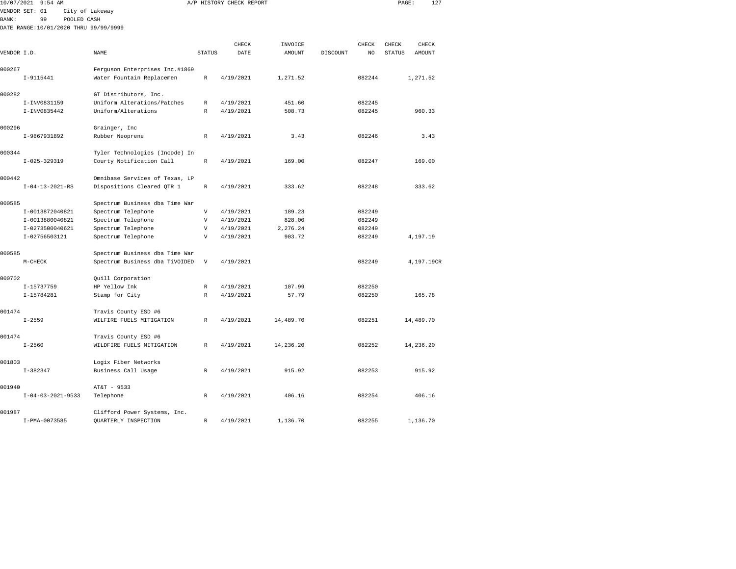| 10/07/2021  | $9:54$ AM                   |                                       |                           | A/P HISTORY CHECK REPORT |               |          |                | PAGE:         | 127           |  |
|-------------|-----------------------------|---------------------------------------|---------------------------|--------------------------|---------------|----------|----------------|---------------|---------------|--|
|             | VENDOR SET: 01              | City of Lakeway                       |                           |                          |               |          |                |               |               |  |
| BANK:       | 99                          | POOLED CASH                           |                           |                          |               |          |                |               |               |  |
|             |                             | DATE RANGE:10/01/2020 THRU 99/99/9999 |                           |                          |               |          |                |               |               |  |
|             |                             |                                       |                           |                          |               |          |                |               |               |  |
|             |                             |                                       |                           | CHECK                    | INVOICE       |          | CHECK          | CHECK         | CHECK         |  |
| VENDOR I.D. |                             | <b>NAME</b>                           | <b>STATUS</b>             | DATE                     | <b>AMOUNT</b> | DISCOUNT | N <sub>O</sub> | <b>STATUS</b> | <b>AMOUNT</b> |  |
| 000267      |                             | Ferguson Enterprises Inc.#1869        |                           |                          |               |          |                |               |               |  |
|             | $I-9115441$                 | Water Fountain Replacemen             | $\mathbb R$               | 4/19/2021                | 1,271.52      |          | 082244         |               | 1,271.52      |  |
| 000282      |                             | GT Distributors, Inc.                 |                           |                          |               |          |                |               |               |  |
|             | I-INV0831159                | Uniform Alterations/Patches           | R                         | 4/19/2021                | 451.60        |          | 082245         |               |               |  |
|             | I-INV0835442                | Uniform/Alterations                   | $\mathbb R$               | 4/19/2021                | 508.73        |          | 082245         |               | 960.33        |  |
|             |                             |                                       |                           |                          |               |          |                |               |               |  |
| 000296      |                             | Grainger, Inc                         |                           |                          |               |          |                |               |               |  |
|             | I-9867931892                | Rubber Neoprene                       | R                         | 4/19/2021                | 3.43          |          | 082246         |               | 3.43          |  |
| 000344      |                             |                                       |                           |                          |               |          |                |               |               |  |
|             | $I-025-329319$              | Tyler Technologies (Incode) In        | $\mathbb R$               |                          | 169.00        |          | 082247         |               |               |  |
|             |                             | Courty Notification Call              |                           | 4/19/2021                |               |          |                |               | 169.00        |  |
| 000442      |                             | Omnibase Services of Texas, LP        |                           |                          |               |          |                |               |               |  |
|             | $I - 04 - 13 - 2021 - RS$   | Dispositions Cleared QTR 1            | R                         | 4/19/2021                | 333.62        |          | 082248         |               | 333.62        |  |
| 000585      |                             | Spectrum Business dba Time War        |                           |                          |               |          |                |               |               |  |
|             | I-0013872040821             | Spectrum Telephone                    | $\overline{\mathbf{V}}$   | 4/19/2021                | 189.23        |          | 082249         |               |               |  |
|             | I-0013880040821             | Spectrum Telephone                    | $\mathbf{V}$              | 4/19/2021                | 828.00        |          | 082249         |               |               |  |
|             | I-0273500040621             | Spectrum Telephone                    | $\mathbf{V}$              | 4/19/2021                | 2,276.24      |          | 082249         |               |               |  |
|             | I-02756503121               | Spectrum Telephone                    | $\mathbf{V}$              | 4/19/2021                | 903.72        |          | 082249         |               | 4,197.19      |  |
|             |                             |                                       |                           |                          |               |          |                |               |               |  |
| 000585      |                             | Spectrum Business dba Time War        |                           |                          |               |          |                |               |               |  |
|             | $M-CHECK$                   | Spectrum Business dba TiVOIDED        | $\boldsymbol{\mathrm{V}}$ | 4/19/2021                |               |          | 082249         |               | 4,197.19CR    |  |
| 000702      |                             | Quill Corporation                     |                           |                          |               |          |                |               |               |  |
|             | I-15737759                  | HP Yellow Ink                         | R                         | 4/19/2021                | 107.99        |          | 082250         |               |               |  |
|             | I-15784281                  | Stamp for City                        | $\mathbb R$               | 4/19/2021                | 57.79         |          | 082250         |               | 165.78        |  |
|             |                             |                                       |                           |                          |               |          |                |               |               |  |
| 001474      |                             | Travis County ESD #6                  |                           |                          |               |          |                |               |               |  |
|             | $I - 2559$                  | WILFIRE FUELS MITIGATION              | $\mathbb R$               | 4/19/2021                | 14,489.70     |          | 082251         |               | 14,489.70     |  |
| 001474      |                             | Travis County ESD #6                  |                           |                          |               |          |                |               |               |  |
|             | $I - 2560$                  | WILDFIRE FUELS MITIGATION             | $\mathbb R$               | 4/19/2021                | 14,236.20     |          | 082252         |               | 14,236.20     |  |
|             |                             |                                       |                           |                          |               |          |                |               |               |  |
| 001803      |                             | Logix Fiber Networks                  |                           |                          |               |          |                |               |               |  |
|             | $I-382347$                  | Business Call Usage                   | R                         | 4/19/2021                | 915.92        |          | 082253         |               | 915.92        |  |
| 001940      |                             | AT&T - 9533                           |                           |                          |               |          |                |               |               |  |
|             | $I - 04 - 03 - 2021 - 9533$ | Telephone                             | R                         | 4/19/2021                | 406.16        |          | 082254         |               | 406.16        |  |
|             |                             |                                       |                           |                          |               |          |                |               |               |  |

|        | $\pm$ - 0 $\pm$ - 0 3 - 2 0 2 $\pm$ - 2 3 3 3 | TETEMINIE                    | $\mathbf{r}$ | - 17774941 | <b>TUU.LU</b> | <b>UU44JT</b> | ユリリ・エリ   |
|--------|-----------------------------------------------|------------------------------|--------------|------------|---------------|---------------|----------|
| 001987 |                                               | Clifford Power Systems, Inc. |              |            |               |               |          |
|        | I-PMA-0073585                                 | OUARTERLY INSPECTION         |              | 4/19/2021  | 1,136.70      | 082255        | 1,136.70 |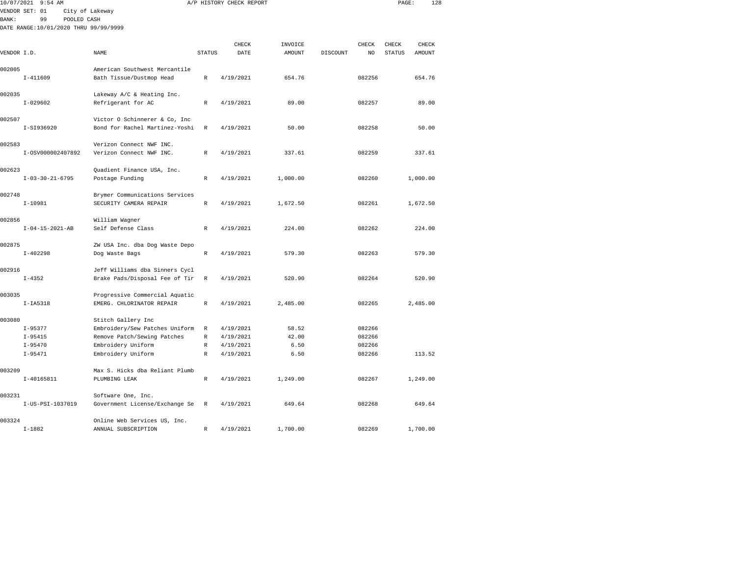| 10/07/2021   | $9:54$ AM                             |                                                      |              | A/P HISTORY CHECK REPORT |          |          |        | PAGE:         | 128      |  |
|--------------|---------------------------------------|------------------------------------------------------|--------------|--------------------------|----------|----------|--------|---------------|----------|--|
|              | VENDOR SET: 01                        | City of Lakeway                                      |              |                          |          |          |        |               |          |  |
| <b>BANK:</b> | 99<br>POOLED CASH                     |                                                      |              |                          |          |          |        |               |          |  |
|              | DATE RANGE:10/01/2020 THRU 99/99/9999 |                                                      |              |                          |          |          |        |               |          |  |
|              |                                       |                                                      |              |                          |          |          |        |               |          |  |
|              |                                       |                                                      |              | CHECK                    | INVOICE  |          | CHECK  | CHECK         | CHECK    |  |
| VENDOR I.D.  |                                       | NAME                                                 | STATUS       | DATE                     | AMOUNT   | DISCOUNT | NO     | <b>STATUS</b> | AMOUNT   |  |
| 002005       |                                       | American Southwest Mercantile                        |              |                          |          |          |        |               |          |  |
|              | $I-411609$                            | Bath Tissue/Dustmop Head                             | R            | 4/19/2021                | 654.76   |          | 082256 |               | 654.76   |  |
|              |                                       |                                                      |              |                          |          |          |        |               |          |  |
| 002035       |                                       | Lakeway A/C & Heating Inc.                           |              |                          |          |          |        |               |          |  |
|              | $I - 029602$                          | Refrigerant for AC                                   | R            | 4/19/2021                | 89.00    |          | 082257 |               | 89.00    |  |
|              |                                       |                                                      |              |                          |          |          |        |               |          |  |
| 002507       |                                       | Victor O Schinnerer & Co, Inc                        |              |                          |          |          |        |               |          |  |
|              | I-SI936920                            | Bond for Rachel Martinez-Yoshi                       | $\mathbb R$  | 4/19/2021                | 50.00    |          | 082258 |               | 50.00    |  |
|              |                                       |                                                      |              |                          |          |          |        |               |          |  |
| 002583       |                                       | Verizon Connect NWF INC.                             |              |                          |          |          |        |               |          |  |
|              | I-0SV000002407892                     | Verizon Connect NWF INC.                             | $\mathbb{R}$ | 4/19/2021                | 337.61   |          | 082259 |               | 337.61   |  |
|              |                                       |                                                      |              |                          |          |          |        |               |          |  |
| 002623       |                                       | Quadient Finance USA, Inc.                           | $\mathbb{R}$ |                          |          |          |        |               | 1,000.00 |  |
|              | $I - 03 - 30 - 21 - 6795$             | Postage Funding                                      |              | 4/19/2021                | 1,000.00 |          | 082260 |               |          |  |
| 002748       |                                       | Brymer Communications Services                       |              |                          |          |          |        |               |          |  |
|              | $I-10981$                             | SECURITY CAMERA REPAIR                               | $\mathbb R$  | 4/19/2021                | 1,672.50 |          | 082261 |               | 1,672.50 |  |
|              |                                       |                                                      |              |                          |          |          |        |               |          |  |
| 002856       |                                       | William Wagner                                       |              |                          |          |          |        |               |          |  |
|              | $I - 04 - 15 - 2021 - AB$             | Self Defense Class                                   | R            | 4/19/2021                | 224.00   |          | 082262 |               | 224.00   |  |
|              |                                       |                                                      |              |                          |          |          |        |               |          |  |
| 002875       |                                       | ZW USA Inc. dba Dog Waste Depo                       |              |                          |          |          |        |               |          |  |
|              | $I - 402298$                          | Dog Waste Bags                                       | $\mathbb R$  | 4/19/2021                | 579.30   |          | 082263 |               | 579.30   |  |
|              |                                       |                                                      |              |                          |          |          |        |               |          |  |
| 002916       |                                       | Jeff Williams dba Sinners Cycl                       |              |                          |          |          |        |               |          |  |
|              | $I - 4352$                            | Brake Pads/Disposal Fee of Tir                       | $\mathbb R$  | 4/19/2021                | 520.90   |          | 082264 |               | 520.90   |  |
| 003035       |                                       | Progressive Commercial Aquatic                       |              |                          |          |          |        |               |          |  |
|              | $I-IA5318$                            | EMERG. CHLORINATOR REPAIR                            | $\mathbb{R}$ | 4/19/2021                | 2,485.00 |          | 082265 |               | 2,485.00 |  |
|              |                                       |                                                      |              |                          |          |          |        |               |          |  |
| 003080       |                                       | Stitch Gallery Inc                                   |              |                          |          |          |        |               |          |  |
|              | $I-95377$                             | Embroidery/Sew Patches Uniform                       | R            | 4/19/2021                | 58.52    |          | 082266 |               |          |  |
|              | $I-95415$                             | Remove Patch/Sewing Patches                          | R            | 4/19/2021                | 42.00    |          | 082266 |               |          |  |
|              | $I-95470$                             | Embroidery Uniform                                   | R            | 4/19/2021                | 6.50     |          | 082266 |               |          |  |
|              | $I-95471$                             | Embroidery Uniform                                   | R            | 4/19/2021                | 6.50     |          | 082266 |               | 113.52   |  |
|              |                                       |                                                      |              |                          |          |          |        |               |          |  |
| 003209       |                                       | Max S. Hicks dba Reliant Plumb                       |              |                          |          |          |        |               |          |  |
|              | $I-40165811$                          | PLUMBING LEAK                                        | $\mathbb{R}$ | 4/19/2021                | 1,249.00 |          | 082267 |               | 1,249.00 |  |
| 003231       |                                       |                                                      |              |                          |          |          |        |               |          |  |
|              | I-US-PSI-1037019                      | Software One, Inc.<br>Government License/Exchange Se | $\mathbb R$  | 4/19/2021                | 649.64   |          | 082268 |               | 649.64   |  |
|              |                                       |                                                      |              |                          |          |          |        |               |          |  |
| 003324       |                                       | Online Web Services US, Inc.                         |              |                          |          |          |        |               |          |  |

I-1882 ANNUAL SUBSCRIPTION R 4/19/2021 1,700.00 082269 1,700.00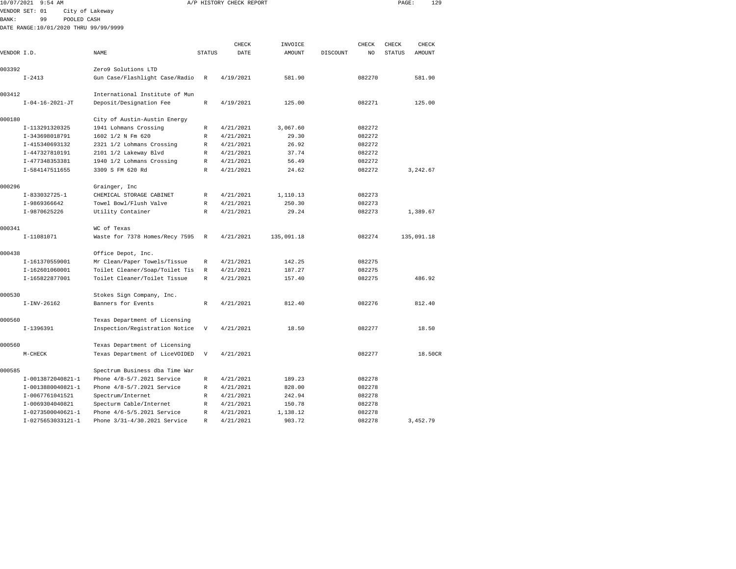| 10/07/2021<br>9:54 AM                 |                                |               | A/P HISTORY CHECK REPORT |            |          |        | PAGE:         | 129        |
|---------------------------------------|--------------------------------|---------------|--------------------------|------------|----------|--------|---------------|------------|
| VENDOR SET: 01                        | City of Lakeway                |               |                          |            |          |        |               |            |
| 99<br>POOLED CASH<br><b>BANK:</b>     |                                |               |                          |            |          |        |               |            |
| DATE RANGE:10/01/2020 THRU 99/99/9999 |                                |               |                          |            |          |        |               |            |
|                                       |                                |               |                          |            |          |        |               |            |
|                                       |                                |               | CHECK                    | INVOICE    |          | CHECK  | CHECK         | CHECK      |
| VENDOR I.D.                           | NAME                           | <b>STATUS</b> | DATE                     | AMOUNT     | DISCOUNT | NO.    | <b>STATUS</b> | AMOUNT     |
| 003392                                | Zero9 Solutions LTD            |               |                          |            |          |        |               |            |
| $I - 2413$                            | Gun Case/Flashlight Case/Radio | R             | 4/19/2021                | 581.90     |          | 082270 |               | 581.90     |
|                                       |                                |               |                          |            |          |        |               |            |
| 003412                                | International Institute of Mun |               |                          |            |          |        |               |            |
| $I - 04 - 16 - 2021 - JT$             | Deposit/Designation Fee        | R             | 4/19/2021                | 125.00     |          | 082271 |               | 125.00     |
|                                       |                                |               |                          |            |          |        |               |            |
| 000180                                | City of Austin-Austin Energy   |               |                          |            |          |        |               |            |
| I-113291320325                        | 1941 Lohmans Crossing          | R             | 4/21/2021                | 3,067.60   |          | 082272 |               |            |
| I-343698018791                        | 1602 1/2 N Fm 620              | R             | 4/21/2021                | 29.30      |          | 082272 |               |            |
| I-415340693132                        | 2321 1/2 Lohmans Crossing      | R             | 4/21/2021                | 26.92      |          | 082272 |               |            |
| I-447327810191                        | 2101 1/2 Lakeway Blvd          | R             | 4/21/2021                | 37.74      |          | 082272 |               |            |
| I-477348353381                        | 1940 1/2 Lohmans Crossing      | R             | 4/21/2021                | 56.49      |          | 082272 |               |            |
| I-584147511655                        | 3309 S FM 620 Rd               | R             | 4/21/2021                | 24.62      |          | 082272 |               | 3,242.67   |
| 000296                                | Grainger, Inc                  |               |                          |            |          |        |               |            |
| $I-833032725-1$                       | CHEMICAL STORAGE CABINET       | R             | 4/21/2021                | 1,110.13   |          | 082273 |               |            |
| I-9869366642                          | Towel Bowl/Flush Valve         | R             | 4/21/2021                | 250.30     |          | 082273 |               |            |
| I-9870625226                          | Utility Container              | R             | 4/21/2021                | 29.24      |          | 082273 |               | 1,389.67   |
|                                       |                                |               |                          |            |          |        |               |            |
| 000341                                | WC of Texas                    |               |                          |            |          |        |               |            |
| I-11081071                            | Waste for 7378 Homes/Recy 7595 | R             | 4/21/2021                | 135,091.18 |          | 082274 |               | 135,091.18 |
| 000438                                | Office Depot, Inc.             |               |                          |            |          |        |               |            |
| I-161370559001                        | Mr Clean/Paper Towels/Tissue   | R             | 4/21/2021                | 142.25     |          | 082275 |               |            |
| I-162601060001                        | Toilet Cleaner/Soap/Toilet Tis | R             | 4/21/2021                | 187.27     |          | 082275 |               |            |
| I-165822877001                        | Toilet Cleaner/Toilet Tissue   | $\mathbb{R}$  | 4/21/2021                | 157.40     |          | 082275 |               | 486.92     |
|                                       |                                |               |                          |            |          |        |               |            |
| 000530                                | Stokes Sign Company, Inc.      |               |                          |            |          |        |               |            |
| $I-INV-26162$                         | Banners for Events             | $\mathbb{R}$  | 4/21/2021                | 812.40     |          | 082276 |               | 812.40     |
| 000560                                | Texas Department of Licensing  |               |                          |            |          |        |               |            |
| I-1396391                             | Inspection/Registration Notice | V             | 4/21/2021                | 18.50      |          | 082277 |               | 18.50      |
|                                       |                                |               |                          |            |          |        |               |            |
| 000560                                | Texas Department of Licensing  |               |                          |            |          |        |               |            |
| $M-CHECK$                             | Texas Department of LiceVOIDED | V             | 4/21/2021                |            |          | 082277 |               | 18.50CR    |
| 000585                                | Spectrum Business dba Time War |               |                          |            |          |        |               |            |
| I-0013872040821-1                     | Phone 4/8-5/7.2021 Service     | R             | 4/21/2021                | 189.23     |          | 082278 |               |            |
| I-0013880040821-1                     | Phone 4/8-5/7.2021 Service     | R             | 4/21/2021                | 828.00     |          | 082278 |               |            |
| I-0067761041521                       | Spectrum/Internet              | R             | 4/21/2021                | 242.94     |          | 082278 |               |            |
| I-0069304040821                       | Specturm Cable/Internet        | R             | 4/21/2021                | 150.78     |          | 082278 |               |            |
| I-0273500040621-1                     | Phone 4/6-5/5.2021 Service     | R             | 4/21/2021                | 1,138.12   |          | 082278 |               |            |
|                                       |                                |               |                          |            |          |        |               |            |

I-0275653033121-1 Phone 3/31-4/30.2021 Service R 4/21/2021 903.72 082278 3,452.79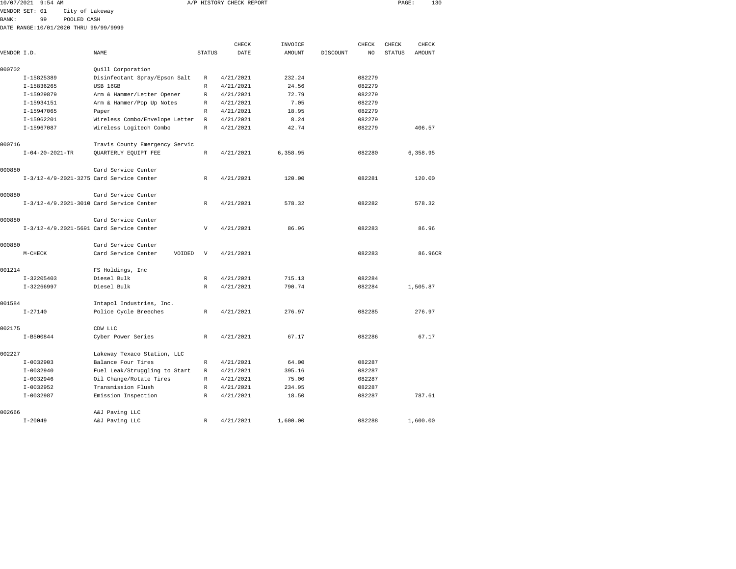|             |                                          |                                                          |                   |                        | A/P HISTORY CHECK REPORT |          |        |                        | 130<br>PAGE: |
|-------------|------------------------------------------|----------------------------------------------------------|-------------------|------------------------|--------------------------|----------|--------|------------------------|--------------|
|             | VENDOR SET: 01<br>City of Lakeway        |                                                          |                   |                        |                          |          |        |                        |              |
| BANK:       | 99<br>POOLED CASH                        |                                                          |                   |                        |                          |          |        |                        |              |
|             | DATE RANGE:10/01/2020 THRU 99/99/9999    |                                                          |                   |                        |                          |          |        |                        |              |
|             |                                          |                                                          |                   | CHECK                  |                          |          | CHECK  |                        | CHECK        |
| VENDOR I.D. |                                          | NAME                                                     | <b>STATUS</b>     | DATE                   | INVOICE<br>AMOUNT        | DISCOUNT | NO     | CHECK<br><b>STATUS</b> | AMOUNT       |
|             |                                          |                                                          |                   |                        |                          |          |        |                        |              |
| 000702      |                                          | Quill Corporation                                        |                   |                        |                          |          |        |                        |              |
|             | I-15825389                               | Disinfectant Spray/Epson Salt                            | R                 | 4/21/2021              | 232.24                   |          | 082279 |                        |              |
|             | I-15836265                               | USB 16GB                                                 | R                 | 4/21/2021              | 24.56                    |          | 082279 |                        |              |
|             | I-15929879                               | Arm & Hammer/Letter Opener                               | R                 | 4/21/2021              | 72.79                    |          | 082279 |                        |              |
|             | I-15934151                               | Arm & Hammer/Pop Up Notes                                | R                 | 4/21/2021              | 7.05                     |          | 082279 |                        |              |
|             | I-15947065                               | Paper                                                    | R                 | 4/21/2021              | 18.95                    |          | 082279 |                        |              |
|             | I-15962201                               | Wireless Combo/Envelope Letter                           | R                 | 4/21/2021              | 8.24                     |          | 082279 |                        |              |
|             | I-15967087                               | Wireless Logitech Combo                                  | R                 | 4/21/2021              | 42.74                    |          | 082279 |                        | 406.57       |
| 000716      |                                          | Travis County Emergency Servic                           |                   |                        |                          |          |        |                        |              |
|             | $I - 04 - 20 - 2021 - TR$                | QUARTERLY EQUIPT FEE                                     | R                 | 4/21/2021              | 6,358.95                 |          | 082280 |                        | 6,358.95     |
|             |                                          |                                                          |                   |                        |                          |          |        |                        |              |
| 000880      |                                          | Card Service Center                                      |                   |                        |                          |          |        |                        |              |
|             | I-3/12-4/9-2021-3275 Card Service Center |                                                          | R                 | 4/21/2021              | 120.00                   |          | 082281 |                        | 120.00       |
|             |                                          |                                                          |                   |                        |                          |          |        |                        |              |
| 000880      |                                          | Card Service Center                                      |                   |                        |                          |          |        |                        |              |
|             | I-3/12-4/9.2021-3010 Card Service Center |                                                          | R                 | 4/21/2021              | 578.32                   |          | 082282 |                        | 578.32       |
|             |                                          |                                                          |                   |                        |                          |          |        |                        |              |
| 000880      |                                          | Card Service Center                                      |                   |                        |                          |          |        |                        |              |
|             | I-3/12-4/9.2021-5691 Card Service Center |                                                          | V                 | 4/21/2021              | 86.96                    |          | 082283 |                        | 86.96        |
|             |                                          |                                                          |                   |                        |                          |          |        |                        |              |
| 000880      |                                          | Card Service Center                                      |                   |                        |                          |          |        |                        |              |
|             | $M-CHECK$                                | Card Service Center<br>VOIDED                            | $\mathbf{V}$      | 4/21/2021              |                          |          | 082283 |                        | 86.96CR      |
| 001214      |                                          | FS Holdings, Inc                                         |                   |                        |                          |          |        |                        |              |
|             | $I - 32205403$                           | Diesel Bulk                                              | $\mathbb{R}$      | 4/21/2021              | 715.13                   |          | 082284 |                        |              |
|             | I-32266997                               | Diesel Bulk                                              | R                 | 4/21/2021              | 790.74                   |          | 082284 |                        | 1,505.87     |
|             |                                          |                                                          |                   |                        |                          |          |        |                        |              |
| 001584      |                                          | Intapol Industries, Inc.                                 |                   |                        |                          |          |        |                        |              |
|             | $I - 27140$                              | Police Cycle Breeches                                    | R                 | 4/21/2021              | 276.97                   |          | 082285 |                        | 276.97       |
|             |                                          |                                                          |                   |                        |                          |          |        |                        |              |
| 002175      |                                          | CDW LLC                                                  |                   |                        |                          |          |        |                        |              |
|             | I-B500844                                | Cyber Power Series                                       | R                 | 4/21/2021              | 67.17                    |          | 082286 |                        | 67.17        |
|             |                                          |                                                          |                   |                        |                          |          |        |                        |              |
| 002227      |                                          | Lakeway Texaco Station, LLC                              |                   |                        |                          |          | 082287 |                        |              |
|             | $I-0032903$<br>$I-0032940$               | Balance Four Tires                                       | $\mathbb{R}$<br>R | 4/21/2021<br>4/21/2021 | 64.00<br>395.16          |          | 082287 |                        |              |
|             | $I-0032946$                              | Fuel Leak/Struggling to Start<br>Oil Change/Rotate Tires | R                 | 4/21/2021              | 75.00                    |          | 082287 |                        |              |
|             | $I-0032952$                              | Transmission Flush                                       | R                 | 4/21/2021              | 234.95                   |          | 082287 |                        |              |
|             | I-0032987                                | Emission Inspection                                      | R                 | 4/21/2021              | 18.50                    |          | 082287 |                        | 787.61       |
|             |                                          |                                                          |                   |                        |                          |          |        |                        |              |
| 002666      |                                          | A&J Paving LLC                                           |                   |                        |                          |          |        |                        |              |

I-20049 A&J Paving LLC R 4/21/2021 1,600.00 082288 1,600.00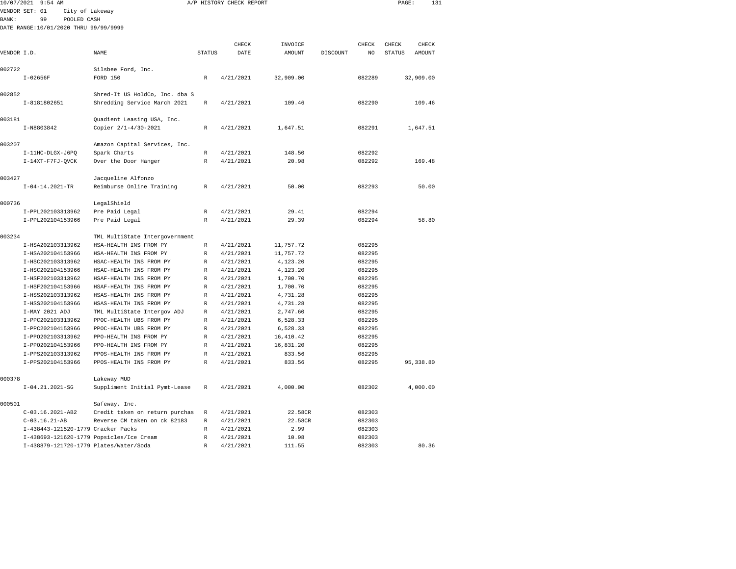| 10/07/2021  | $9:54$ AM                                |                                |               | A/P HISTORY CHECK REPORT |            |          |        | PAGE:            | 131   |
|-------------|------------------------------------------|--------------------------------|---------------|--------------------------|------------|----------|--------|------------------|-------|
|             | VENDOR SET: 01<br>City of Lakeway        |                                |               |                          |            |          |        |                  |       |
| BANK:       | 99<br>POOLED CASH                        |                                |               |                          |            |          |        |                  |       |
|             | DATE RANGE:10/01/2020 THRU 99/99/9999    |                                |               |                          |            |          |        |                  |       |
|             |                                          |                                |               |                          |            |          |        |                  |       |
|             |                                          |                                |               | CHECK                    | INVOICE    |          | CHECK  | <b>CHECK</b>     | CHECK |
| VENDOR I.D. |                                          | NAME                           | <b>STATUS</b> | DATE                     | AMOUNT     | DISCOUNT | NO     | STATUS<br>AMOUNT |       |
|             |                                          |                                |               |                          |            |          |        |                  |       |
| 002722      | $I-02656F$                               | Silsbee Ford, Inc.<br>FORD 150 | $\mathbb R$   | 4/21/2021                | 32,909.00  |          | 082289 |                  |       |
|             |                                          |                                |               |                          |            |          |        | 32,909.00        |       |
| 002852      |                                          | Shred-It US HoldCo, Inc. dba S |               |                          |            |          |        |                  |       |
|             | I-8181802651                             | Shredding Service March 2021   | $\mathbb R$   | 4/21/2021                | 109.46     |          | 082290 | 109.46           |       |
|             |                                          |                                |               |                          |            |          |        |                  |       |
| 003181      |                                          | Quadient Leasing USA, Inc.     |               |                          |            |          |        |                  |       |
|             | I-N8803842                               | Copier 2/1-4/30-2021           | R             | 4/21/2021                | 1,647.51   |          | 082291 | 1,647.51         |       |
|             |                                          |                                |               |                          |            |          |        |                  |       |
| 003207      |                                          | Amazon Capital Services, Inc.  |               |                          |            |          |        |                  |       |
|             | I-11HC-DLGX-J6PQ                         | Spark Charts                   | R             | 4/21/2021                | 148.50     |          | 082292 |                  |       |
|             | I-14XT-F7FJ-QVCK                         | Over the Door Hanger           | $\mathbb R$   | 4/21/2021                | 20.98      |          | 082292 | 169.48           |       |
|             |                                          |                                |               |                          |            |          |        |                  |       |
| 003427      |                                          | Jacqueline Alfonzo             |               |                          |            |          |        |                  |       |
|             | $I-04-14.2021-TR$                        | Reimburse Online Training      | R             | 4/21/2021                | 50.00      |          | 082293 |                  | 50.00 |
| 000736      |                                          | LegalShield                    |               |                          |            |          |        |                  |       |
|             | I-PPL202103313962                        | Pre Paid Legal                 | R             | 4/21/2021                | 29.41      |          | 082294 |                  |       |
|             | I-PPL202104153966                        | Pre Paid Legal                 | R             | 4/21/2021                | 29.39      |          | 082294 |                  | 58.80 |
|             |                                          |                                |               |                          |            |          |        |                  |       |
| 003234      |                                          | TML MultiState Intergovernment |               |                          |            |          |        |                  |       |
|             | I-HSA202103313962                        | HSA-HEALTH INS FROM PY         | R             | 4/21/2021                | 11,757.72  |          | 082295 |                  |       |
|             | I-HSA202104153966                        | HSA-HEALTH INS FROM PY         | R             | 4/21/2021                | 11,757.72  |          | 082295 |                  |       |
|             | I-HSC202103313962                        | HSAC-HEALTH INS FROM PY        | R             | 4/21/2021                | 4,123.20   |          | 082295 |                  |       |
|             | I-HSC202104153966                        | HSAC-HEALTH INS FROM PY        | R             | 4/21/2021                | 4,123.20   |          | 082295 |                  |       |
|             | I-HSF202103313962                        | HSAF-HEALTH INS FROM PY        | $\mathbb R$   | 4/21/2021                | 1,700.70   |          | 082295 |                  |       |
|             | I-HSF202104153966                        | HSAF-HEALTH INS FROM PY        | R             | 4/21/2021                | 1,700.70   |          | 082295 |                  |       |
|             | I-HSS202103313962                        | HSAS-HEALTH INS FROM PY        | R             | 4/21/2021                | 4,731.28   |          | 082295 |                  |       |
|             | I-HSS202104153966                        | HSAS-HEALTH INS FROM PY        | R             | 4/21/2021                | 4,731.28   |          | 082295 |                  |       |
|             | I-MAY 2021 ADJ                           | TML MultiState Intergov ADJ    | R             | 4/21/2021                | 2,747.60   |          | 082295 |                  |       |
|             | I-PPC202103313962                        | PPOC-HEALTH UBS FROM PY        | R             | 4/21/2021                | 6,528.33   |          | 082295 |                  |       |
|             | I-PPC202104153966                        | PPOC-HEALTH UBS FROM PY        | R             | 4/21/2021                | 6,528.33   |          | 082295 |                  |       |
|             | I-PP0202103313962                        | PPO-HEALTH INS FROM PY         | $\mathbb{R}$  | 4/21/2021                | 16, 410.42 |          | 082295 |                  |       |
|             | I-PP0202104153966                        | PPO-HEALTH INS FROM PY         | R             | 4/21/2021                | 16,831.20  |          | 082295 |                  |       |
|             | I-PPS202103313962                        | PPOS-HEALTH INS FROM PY        | R             | 4/21/2021                | 833.56     |          | 082295 |                  |       |
|             | I-PPS202104153966                        | PPOS-HEALTH INS FROM PY        | $\mathbb{R}$  | 4/21/2021                | 833.56     |          | 082295 | 95, 338.80       |       |
|             |                                          |                                |               |                          |            |          |        |                  |       |
| 000378      |                                          | Lakeway MUD                    |               |                          |            |          |        |                  |       |
|             | $I-04.21.2021-SG$                        | Suppliment Initial Pymt-Lease  | R             | 4/21/2021                | 4,000.00   |          | 082302 | 4,000.00         |       |
| 000501      |                                          | Safeway, Inc.                  |               |                          |            |          |        |                  |       |
|             | C-03.16.2021-AB2                         | Credit taken on return purchas | R             | 4/21/2021                | 22.58CR    |          | 082303 |                  |       |
|             | $C-03.16.21-AB$                          | Reverse CM taken on ck 82183   | R             | 4/21/2021                | 22.58CR    |          | 082303 |                  |       |
|             | I-438443-121520-1779 Cracker Packs       |                                | R             | 4/21/2021                | 2.99       |          | 082303 |                  |       |
|             | I-438693-121620-1779 Popsicles/Ice Cream |                                | R             | 4/21/2021                | 10.98      |          | 082303 |                  |       |

I-438879-121720-1779 Plates/Water/Soda R 4/21/2021 111.55 082303 80.36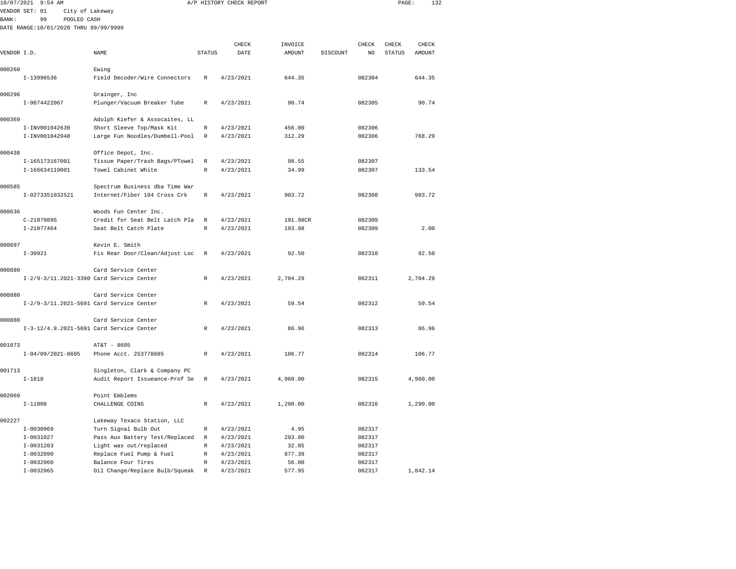|             | 10/07/2021 9:54 AM                       |                                |              | A/P HISTORY CHECK REPORT |               |          |              | PAGE:         | 132      |  |
|-------------|------------------------------------------|--------------------------------|--------------|--------------------------|---------------|----------|--------------|---------------|----------|--|
|             | VENDOR SET: 01<br>City of Lakeway        |                                |              |                          |               |          |              |               |          |  |
| BANK:       | 99<br>POOLED CASH                        |                                |              |                          |               |          |              |               |          |  |
|             | DATE RANGE:10/01/2020 THRU 99/99/9999    |                                |              |                          |               |          |              |               |          |  |
|             |                                          |                                |              |                          |               |          |              |               |          |  |
|             |                                          |                                |              | CHECK                    | INVOICE       |          | <b>CHECK</b> | CHECK         | CHECK    |  |
| VENDOR I.D. |                                          | NAME                           | STATUS       | DATE                     | <b>AMOUNT</b> | DISCOUNT | NO.          | <b>STATUS</b> | AMOUNT   |  |
|             |                                          |                                |              |                          |               |          |              |               |          |  |
| 000260      |                                          | Ewing                          |              |                          |               |          |              |               |          |  |
|             | I-13996536                               | Field Decoder/Wire Connectors  | R            | 4/23/2021                | 644.35        |          | 082304       |               | 644.35   |  |
| 000296      |                                          | Grainger, Inc                  |              |                          |               |          |              |               |          |  |
|             | I-9874422067                             | Plunger/Vacuum Breaker Tube    | R            | 4/23/2021                | 90.74         |          | 082305       |               | 90.74    |  |
|             |                                          |                                |              |                          |               |          |              |               |          |  |
| 000369      |                                          | Adolph Kiefer & Assocaites, LL |              |                          |               |          |              |               |          |  |
|             | I-INV001042630                           | Short Sleeve Top/Mask Kit      | $\mathbb R$  | 4/23/2021                | 456.00        |          | 082306       |               |          |  |
|             | I-INV001042948                           | Large Fun Noodles/Dumbell-Pool | $\mathbb R$  | 4/23/2021                | 312.29        |          | 082306       |               | 768.29   |  |
| 000438      |                                          | Office Depot, Inc.             |              |                          |               |          |              |               |          |  |
|             | I-165173167001                           | Tissue Paper/Trash Bags/PTowel | $\mathbb R$  | 4/23/2021                | 98.55         |          | 082307       |               |          |  |
|             | I-166634119001                           | Towel Cabinet White            | $\mathbb{R}$ | 4/23/2021                | 34.99         |          | 082307       |               | 133.54   |  |
|             |                                          |                                |              |                          |               |          |              |               |          |  |
| 000585      |                                          | Spectrum Business dba Time War |              |                          |               |          |              |               |          |  |
|             | I-0273351032521                          | Internet/Fiber 104 Cross Crk   | R            | 4/23/2021                | 903.72        |          | 082308       |               | 903.72   |  |
| 000636      |                                          | Woods Fun Center Inc.          |              |                          |               |          |              |               |          |  |
|             | $C-21079895$                             | Credit for Seat Belt Latch Pla | R            | 4/23/2021                | 191.98CR      |          | 082309       |               |          |  |
|             | $I-21077464$                             | Seat Belt Catch Plate          | $\mathbb{R}$ | 4/23/2021                | 193.98        |          | 082309       |               | 2.00     |  |
|             |                                          |                                |              |                          |               |          |              |               |          |  |
| 000697      |                                          | Kevin E. Smith                 |              |                          |               |          |              |               |          |  |
|             | $I-30921$                                | Fix Rear Door/Clean/Adjust Loc | R            | 4/23/2021                | 92.50         |          | 082310       |               | 92.50    |  |
|             |                                          |                                |              |                          |               |          |              |               |          |  |
| 000880      |                                          | Card Service Center            |              |                          |               |          |              |               |          |  |
|             | I-2/9-3/11.2021-3390 Card Service Center |                                | $\mathbb R$  | 4/23/2021                | 2,704.29      |          | 082311       |               | 2,704.29 |  |
| 000880      |                                          | Card Service Center            |              |                          |               |          |              |               |          |  |
|             | I-2/9-3/11.2021-5691 Card Service Center |                                | $\mathbb R$  | 4/23/2021                | 59.54         |          | 082312       |               | 59.54    |  |
|             |                                          |                                |              |                          |               |          |              |               |          |  |
| 000880      |                                          | Card Service Center            |              |                          |               |          |              |               |          |  |
|             | I-3-12/4.9.2021-5691 Card Service Center |                                | $\mathbb R$  | 4/23/2021                | 86.96         |          | 082313       |               | 86.96    |  |
|             |                                          |                                |              |                          |               |          |              |               |          |  |
| 001073      |                                          | AT&T - 8605                    |              |                          |               |          |              |               |          |  |
|             | $I-04/09/2021-8605$                      | Phone Acct. 253778605          | R            | 4/23/2021                | 106.77        |          | 082314       |               | 106.77   |  |
| 001713      |                                          | Singleton, Clark & Company PC  |              |                          |               |          |              |               |          |  |
|             | $I-1818$                                 | Audit Report Issueance-Prof Se | R            | 4/23/2021                | 4,960.00      |          | 082315       |               | 4,960.00 |  |
|             |                                          |                                |              |                          |               |          |              |               |          |  |
| 002069      |                                          | Point Emblems                  |              |                          |               |          |              |               |          |  |
|             | $I-11008$                                | CHALLENGE COINS                | R            | 4/23/2021                | 1,290.00      |          | 082316       |               | 1,290.00 |  |
| 002227      |                                          | Lakeway Texaco Station, LLC    |              |                          |               |          |              |               |          |  |
|             | $I-0030969$                              | Turn Signal Bulb Out           | R            | 4/23/2021                | 4.95          |          | 082317       |               |          |  |
|             | $I-0031027$                              | Pass Aux Battery Test/Replaced | $\mathbb R$  | 4/23/2021                | 293.00        |          | 082317       |               |          |  |
|             | $I-0031203$                              | Light was out/replaced         | R            | 4/23/2021                | 32.85         |          | 082317       |               |          |  |
|             | $I-0032890$                              | Replace Fuel Pump & Fuel       | $\mathbb R$  | 4/23/2021                | 877.39        |          | 082317       |               |          |  |
|             | $I-0032960$                              | Balance Four Tires             | R            | 4/23/2021                | 56.00         |          | 082317       |               |          |  |

I-0032965 Oil Change/Replace Bulb/Squeak R 4/23/2021 577.95 082317 1,842.14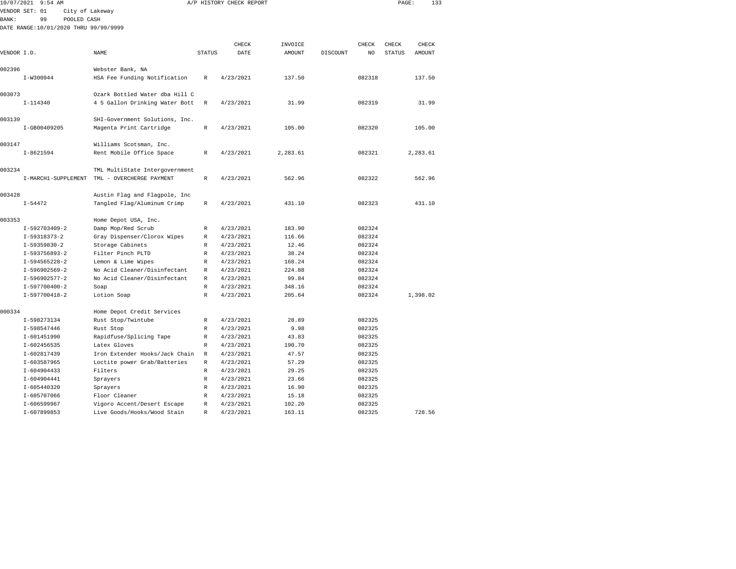| 10/07/2021   | $9:54$ AM                             |                                              |               | A/P HISTORY CHECK REPORT |                 |          |                  | PAGE:         | 133      |  |
|--------------|---------------------------------------|----------------------------------------------|---------------|--------------------------|-----------------|----------|------------------|---------------|----------|--|
|              | VENDOR SET: 01<br>City of Lakeway     |                                              |               |                          |                 |          |                  |               |          |  |
| <b>BANK:</b> | 99<br>POOLED CASH                     |                                              |               |                          |                 |          |                  |               |          |  |
|              | DATE RANGE:10/01/2020 THRU 99/99/9999 |                                              |               |                          |                 |          |                  |               |          |  |
|              |                                       |                                              |               |                          |                 |          |                  |               |          |  |
|              |                                       |                                              |               | CHECK                    | INVOICE         |          | CHECK            | CHECK         | CHECK    |  |
| VENDOR I.D.  |                                       | NAME                                         | <b>STATUS</b> | DATE                     | <b>AMOUNT</b>   | DISCOUNT | NO               | <b>STATUS</b> | AMOUNT   |  |
|              |                                       |                                              |               |                          |                 |          |                  |               |          |  |
| 002396       |                                       | Webster Bank, NA                             |               |                          |                 |          |                  |               |          |  |
|              | I-W300944                             | HSA Fee Funding Notification                 | $\mathbb R$   | 4/23/2021                | 137.50          |          | 082318           |               | 137.50   |  |
|              |                                       |                                              |               |                          |                 |          |                  |               |          |  |
| 003073       |                                       | Ozark Bottled Water dba Hill C               |               |                          |                 |          |                  |               |          |  |
|              | $I-114340$                            | 4 5 Gallon Drinking Water Bott               | $\mathbb R$   | 4/23/2021                | 31.99           |          | 082319           |               | 31.99    |  |
| 003139       |                                       | SHI-Government Solutions, Inc.               |               |                          |                 |          |                  |               |          |  |
|              | I-GB00409205                          | Magenta Print Cartridge                      | R             | 4/23/2021                | 105.00          |          | 082320           |               | 105.00   |  |
|              |                                       |                                              |               |                          |                 |          |                  |               |          |  |
| 003147       |                                       | Williams Scotsman, Inc.                      |               |                          |                 |          |                  |               |          |  |
|              | $I - 8621594$                         | Rent Mobile Office Space                     | R             | 4/23/2021                | 2,283.61        |          | 082321           |               | 2,283.61 |  |
|              |                                       |                                              |               |                          |                 |          |                  |               |          |  |
| 003234       |                                       | TML MultiState Intergovernment               |               |                          |                 |          |                  |               |          |  |
|              | I-MARCH1-SUPPLEMENT                   | TML - OVERCHERGE PAYMENT                     | R             | 4/23/2021                | 562.96          |          | 082322           |               | 562.96   |  |
|              |                                       |                                              |               |                          |                 |          |                  |               |          |  |
| 003428       |                                       | Austin Flag and Flagpole, Inc                |               |                          |                 |          |                  |               |          |  |
|              | $I - 54472$                           | Tangled Flag/Aluminum Crimp                  | $\mathbb R$   | 4/23/2021                | 431.10          |          | 082323           |               | 431.10   |  |
|              |                                       |                                              |               |                          |                 |          |                  |               |          |  |
| 003353       |                                       | Home Depot USA, Inc.                         |               |                          |                 |          |                  |               |          |  |
|              | $I-592703409-2$                       | Damp Mop/Red Scrub                           | R             | 4/23/2021                | 183.90          |          | 082324           |               |          |  |
|              | $I-59318373-2$                        | Gray Dispenser/Clorox Wipes                  | $\mathbb R$   | 4/23/2021                | 116.66          |          | 082324           |               |          |  |
|              | $I-59359830-2$                        | Storage Cabinets                             | $\mathbb R$   | 4/23/2021                | 12.46           |          | 082324           |               |          |  |
|              | $I-593756893-2$                       | Filter Pinch PLTD                            | R             | 4/23/2021                | 38.24           |          | 082324           |               |          |  |
|              | $I-594565228-2$                       | Lemon & Lime Wipes                           | R             | 4/23/2021                | 168.24          |          | 082324           |               |          |  |
|              | I-596902569-2                         | No Acid Cleaner/Disinfectant                 | $\mathbb R$   | 4/23/2021                | 224.88          |          | 082324           |               |          |  |
|              | I-596902577-2                         | No Acid Cleaner/Disinfectant                 | $\mathbb R$   | 4/23/2021                | 99.84           |          | 082324           |               |          |  |
|              | I-597700400-2                         | Soap                                         | $\mathbb R$   | 4/23/2021                | 348.16          |          | 082324           |               |          |  |
|              | I-597700418-2                         | Lotion Soap                                  | $\mathbb R$   | 4/23/2021                | 205.64          |          | 082324           |               | 1,398.02 |  |
|              |                                       |                                              |               |                          |                 |          |                  |               |          |  |
| 000334       |                                       | Home Depot Credit Services                   |               |                          |                 |          |                  |               |          |  |
|              | I-598273134                           | Rust Stop/Twintube                           | R             | 4/23/2021                | 28.89           |          | 082325           |               |          |  |
|              | I-598547446                           | Rust Stop                                    | R             | 4/23/2021                | 9.98            |          | 082325           |               |          |  |
|              | I-601451990                           | Rapidfuse/Splicing Tape                      | R             | 4/23/2021                | 43.83           |          | 082325           |               |          |  |
|              | I-602456535                           | Latex Gloves                                 | $\mathbb R$   | 4/23/2021                | 190.70          |          | 082325           |               |          |  |
|              | I-602817439<br>I-603587965            | Iron Extender Hooks/Jack Chain               | R             | 4/23/2021                | 47.57<br>57.29  |          | 082325<br>082325 |               |          |  |
|              |                                       | Loctite power Grab/Batteries                 | R             | 4/23/2021                |                 |          |                  |               |          |  |
|              | $I-604904433$                         | Filters                                      | $\mathbb R$   | 4/23/2021                | 29.25           |          | 082325           |               |          |  |
|              | $I-604904441$                         | Sprayers                                     | $\mathbb R$   | 4/23/2021                | 23.66           |          | 082325           |               |          |  |
|              | $I-605440320$                         | Sprayers                                     | $\mathbb R$   | 4/23/2021                | 16.90           |          | 082325           |               |          |  |
|              | I-605707066<br>I-606599967            | Floor Cleaner<br>Vigoro Accent/Desert Escape | R<br>R        | 4/23/2021<br>4/23/2021   | 15.18<br>102.20 |          | 082325<br>082325 |               |          |  |
|              | I-607899853                           | Live Goods/Hooks/Wood Stain                  | $\mathbb R$   | 4/23/2021                | 163.11          |          | 082325           |               | 728.56   |  |
|              |                                       |                                              |               |                          |                 |          |                  |               |          |  |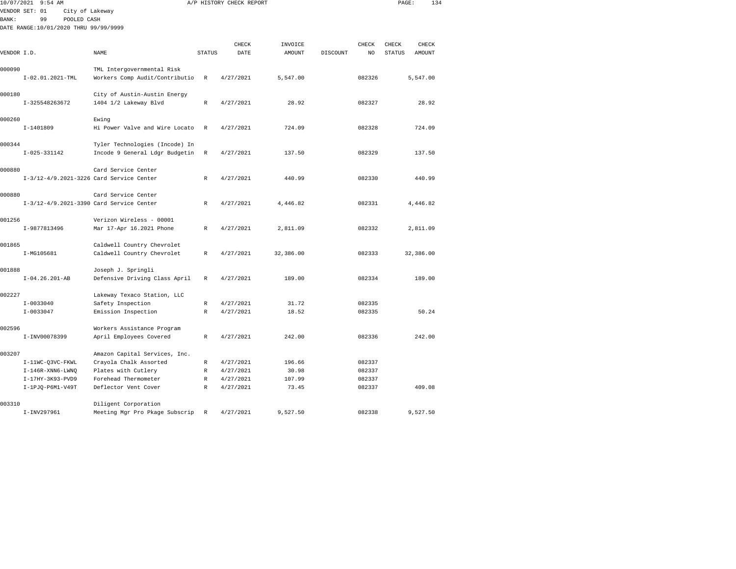|             | 10/07/2021 9:54 AM                       |                                                          |                   | A/P HISTORY CHECK REPORT |                |          |                         | PAGE:         |                        | 134 |
|-------------|------------------------------------------|----------------------------------------------------------|-------------------|--------------------------|----------------|----------|-------------------------|---------------|------------------------|-----|
|             | VENDOR SET: 01<br>City of Lakeway        |                                                          |                   |                          |                |          |                         |               |                        |     |
| BANK:       | 99<br>POOLED CASH                        |                                                          |                   |                          |                |          |                         |               |                        |     |
|             | DATE RANGE:10/01/2020 THRU 99/99/9999    |                                                          |                   |                          |                |          |                         |               |                        |     |
|             |                                          |                                                          |                   |                          |                |          |                         |               |                        |     |
| VENDOR I.D. |                                          | <b>NAME</b>                                              | <b>STATUS</b>     | CHECK<br>DATE            | INVOICE        |          | CHECK<br>N <sub>O</sub> | CHECK         | CHECK<br><b>AMOUNT</b> |     |
|             |                                          |                                                          |                   |                          | <b>AMOUNT</b>  | DISCOUNT |                         | <b>STATUS</b> |                        |     |
| 000090      |                                          | TML Intergovernmental Risk                               |                   |                          |                |          |                         |               |                        |     |
|             | I-02.01.2021-TML                         | Workers Comp Audit/Contributio                           | R                 | 4/27/2021                | 5,547.00       |          | 082326                  |               | 5,547.00               |     |
|             |                                          |                                                          |                   |                          |                |          |                         |               |                        |     |
| 000180      |                                          | City of Austin-Austin Energy                             |                   |                          |                |          |                         |               |                        |     |
|             | I-325548263672                           | 1404 1/2 Lakeway Blvd                                    | R                 | 4/27/2021                | 28.92          |          | 082327                  |               | 28.92                  |     |
| 000260      |                                          | Ewing                                                    |                   |                          |                |          |                         |               |                        |     |
|             | $I-1401809$                              | Hi Power Valve and Wire Locato                           | $\mathbb R$       | 4/27/2021                | 724.09         |          | 082328                  |               | 724.09                 |     |
|             |                                          |                                                          |                   |                          |                |          |                         |               |                        |     |
| 000344      |                                          | Tyler Technologies (Incode) In                           |                   |                          |                |          |                         |               |                        |     |
|             | $I - 025 - 331142$                       | Incode 9 General Ldgr Budgetin                           | $\mathbb R$       | 4/27/2021                | 137.50         |          | 082329                  |               | 137.50                 |     |
|             |                                          |                                                          |                   |                          |                |          |                         |               |                        |     |
| 000880      |                                          | Card Service Center                                      |                   |                          |                |          |                         |               |                        |     |
|             | I-3/12-4/9.2021-3226 Card Service Center |                                                          | R                 | 4/27/2021                | 440.99         |          | 082330                  |               | 440.99                 |     |
| 000880      |                                          | Card Service Center                                      |                   |                          |                |          |                         |               |                        |     |
|             | I-3/12-4/9.2021-3390 Card Service Center |                                                          | $\mathbb R$       | 4/27/2021                | 4,446.82       |          | 082331                  |               | 4,446.82               |     |
|             |                                          |                                                          |                   |                          |                |          |                         |               |                        |     |
| 001256      |                                          | Verizon Wireless - 00001                                 |                   |                          |                |          |                         |               |                        |     |
|             | I-9877813496                             | Mar 17-Apr 16.2021 Phone                                 | R                 | 4/27/2021                | 2,811.09       |          | 082332                  |               | 2,811.09               |     |
| 001865      |                                          |                                                          |                   |                          |                |          |                         |               |                        |     |
|             | I-MG105681                               | Caldwell Country Chevrolet<br>Caldwell Country Chevrolet | R                 | 4/27/2021                | 32,386.00      |          | 082333                  |               | 32,386.00              |     |
|             |                                          |                                                          |                   |                          |                |          |                         |               |                        |     |
| 001888      |                                          | Joseph J. Springli                                       |                   |                          |                |          |                         |               |                        |     |
|             | $I-04.26.201-AB$                         | Defensive Driving Class April                            | R                 | 4/27/2021                | 189.00         |          | 082334                  |               | 189.00                 |     |
|             |                                          |                                                          |                   |                          |                |          |                         |               |                        |     |
| 002227      |                                          | Lakeway Texaco Station, LLC                              |                   |                          |                |          |                         |               |                        |     |
|             | $I - 0033040$<br>$I - 0033047$           | Safety Inspection<br>Emission Inspection                 | $\mathbb{R}$<br>R | 4/27/2021<br>4/27/2021   | 31.72<br>18.52 |          | 082335<br>082335        |               | 50.24                  |     |
|             |                                          |                                                          |                   |                          |                |          |                         |               |                        |     |
| 002596      |                                          | Workers Assistance Program                               |                   |                          |                |          |                         |               |                        |     |
|             | I-INV00078399                            | April Employees Covered                                  | $\mathbb{R}$      | 4/27/2021                | 242.00         |          | 082336                  |               | 242.00                 |     |
|             |                                          |                                                          |                   |                          |                |          |                         |               |                        |     |
| 003207      |                                          | Amazon Capital Services, Inc.                            |                   |                          |                |          |                         |               |                        |     |
|             | I-11WC-Q3VC-FKWL                         | Crayola Chalk Assorted                                   | R                 | 4/27/2021                | 196.66         |          | 082337                  |               |                        |     |
|             | $I-146R-$ XNN $6$ -LWN $Q$               | Plates with Cutlery                                      | R                 | 4/27/2021                | 30.98          |          | 082337                  |               |                        |     |
|             | I-17HY-3K93-PVD9                         | Forehead Thermometer                                     | R                 | 4/27/2021                | 107.99         |          | 082337                  |               |                        |     |
|             | $I-1PJO-P6M1-V49T$                       | Deflector Vent Cover                                     | R                 | 4/27/2021                | 73.45          |          | 082337                  |               | 409.08                 |     |
| 003310      |                                          | Diligent Corporation                                     |                   |                          |                |          |                         |               |                        |     |
|             | I-INV297961                              | Meeting Mgr Pro Pkage Subscrip                           | $\mathbb R$       | 4/27/2021                | 9,527.50       |          | 082338                  |               | 9,527.50               |     |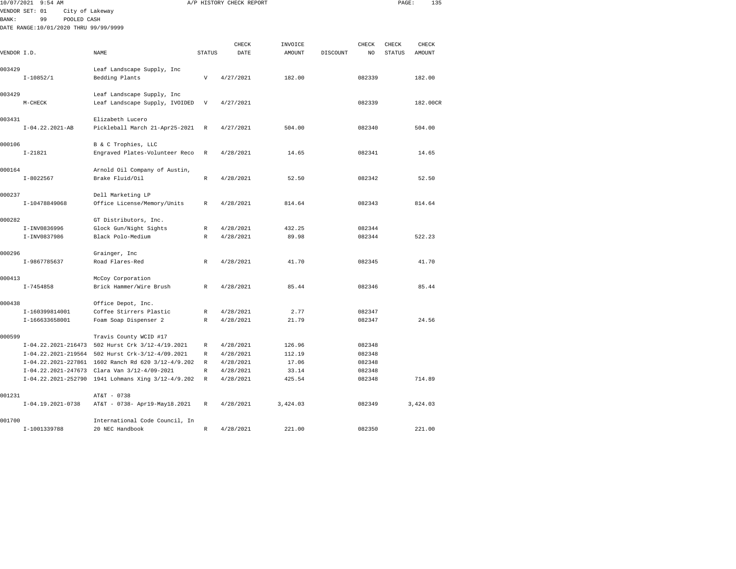|              | 10/07/2021 9:54 AM                    |                                                    |               | A/P HISTORY CHECK REPORT |          |          |        | PAGE:         | 135      |
|--------------|---------------------------------------|----------------------------------------------------|---------------|--------------------------|----------|----------|--------|---------------|----------|
|              | VENDOR SET: 01<br>City of Lakeway     |                                                    |               |                          |          |          |        |               |          |
| <b>BANK:</b> | 99<br>POOLED CASH                     |                                                    |               |                          |          |          |        |               |          |
|              | DATE RANGE:10/01/2020 THRU 99/99/9999 |                                                    |               |                          |          |          |        |               |          |
|              |                                       |                                                    |               |                          |          |          |        |               |          |
|              |                                       |                                                    |               | CHECK                    | INVOICE  |          | CHECK  | CHECK         | CHECK    |
| VENDOR I.D.  |                                       | NAME                                               | <b>STATUS</b> | DATE                     | AMOUNT   | DISCOUNT | NO     | <b>STATUS</b> | AMOUNT   |
|              |                                       |                                                    |               |                          |          |          |        |               |          |
| 003429       |                                       | Leaf Landscape Supply, Inc                         |               |                          |          |          |        |               |          |
|              | $I-10852/1$                           | Bedding Plants                                     | V             | 4/27/2021                | 182.00   |          | 082339 |               | 182.00   |
| 003429       |                                       | Leaf Landscape Supply, Inc                         |               |                          |          |          |        |               |          |
|              | $M-CHECK$                             | Leaf Landscape Supply, IVOIDED                     | $\mathbf v$   | 4/27/2021                |          |          | 082339 |               | 182.00CR |
|              |                                       |                                                    |               |                          |          |          |        |               |          |
| 003431       |                                       | Elizabeth Lucero                                   |               |                          |          |          |        |               |          |
|              | $I-04.22.2021-AB$                     | Pickleball March 21-Apr25-2021                     | $\,$ R        | 4/27/2021                | 504.00   |          | 082340 |               | 504.00   |
|              |                                       |                                                    |               |                          |          |          |        |               |          |
| 000106       |                                       | B & C Trophies, LLC                                |               |                          |          |          |        |               |          |
|              | $I-21821$                             | Engraved Plates-Volunteer Reco                     | R             | 4/28/2021                | 14.65    |          | 082341 |               | 14.65    |
|              |                                       |                                                    |               |                          |          |          |        |               |          |
| 000164       |                                       | Arnold Oil Company of Austin,                      |               |                          |          |          |        |               |          |
|              | $I - 8022567$                         | Brake Fluid/Oil                                    | $\mathbb R$   | 4/28/2021                | 52.50    |          | 082342 |               | 52.50    |
|              |                                       |                                                    |               |                          |          |          |        |               |          |
| 000237       |                                       | Dell Marketing LP                                  |               |                          |          |          |        |               |          |
|              | I-10478849068                         | Office License/Memory/Units                        | R             | 4/28/2021                | 814.64   |          | 082343 |               | 814.64   |
| 000282       |                                       | GT Distributors, Inc.                              |               |                          |          |          |        |               |          |
|              | I-INV0836996                          | Glock Gun/Night Sights                             | R             | 4/28/2021                | 432.25   |          | 082344 |               |          |
|              | I-INV0837986                          | Black Polo-Medium                                  | R             | 4/28/2021                | 89.98    |          | 082344 |               | 522.23   |
|              |                                       |                                                    |               |                          |          |          |        |               |          |
| 000296       |                                       | Grainger, Inc                                      |               |                          |          |          |        |               |          |
|              | I-9867785637                          | Road Flares-Red                                    | R             | 4/28/2021                | 41.70    |          | 082345 |               | 41.70    |
|              |                                       |                                                    |               |                          |          |          |        |               |          |
| 000413       |                                       | McCoy Corporation                                  |               |                          |          |          |        |               |          |
|              | $I - 7454858$                         | Brick Hammer/Wire Brush                            | R             | 4/28/2021                | 85.44    |          | 082346 |               | 85.44    |
|              |                                       |                                                    |               |                          |          |          |        |               |          |
| 000438       |                                       | Office Depot, Inc.                                 |               |                          |          |          |        |               |          |
|              | I-160399814001                        | Coffee Stirrers Plastic                            | R             | 4/28/2021                | 2.77     |          | 082347 |               |          |
|              | I-166633658001                        | Foam Soap Dispenser 2                              | R             | 4/28/2021                | 21.79    |          | 082347 |               | 24.56    |
| 000599       |                                       | Travis County WCID #17                             |               |                          |          |          |        |               |          |
|              |                                       | I-04.22.2021-216473 502 Hurst Crk 3/12-4/19.2021   | R             | 4/28/2021                | 126.96   |          | 082348 |               |          |
|              |                                       | I-04.22.2021-219564 502 Hurst Crk-3/12-4/09.2021   | R             | 4/28/2021                | 112.19   |          | 082348 |               |          |
|              |                                       | I-04.22.2021-227861 1602 Ranch Rd 620 3/12-4/9.202 | $\mathbb{R}$  | 4/28/2021                | 17.06    |          | 082348 |               |          |
|              |                                       | I-04.22.2021-247673 Clara Van 3/12-4/09-2021       | R             | 4/28/2021                | 33.14    |          | 082348 |               |          |
|              |                                       | I-04.22.2021-252790 1941 Lohmans Xing 3/12-4/9.202 | R             | 4/28/2021                | 425.54   |          | 082348 |               | 714.89   |
|              |                                       |                                                    |               |                          |          |          |        |               |          |
| 001231       |                                       | AT&T - 0738                                        |               |                          |          |          |        |               |          |
|              | $I-04.19.2021-0738$                   | AT&T - 0738- Apr19-May18.2021                      | R             | 4/28/2021                | 3,424.03 |          | 082349 |               | 3,424.03 |
|              |                                       |                                                    |               |                          |          |          |        |               |          |
| 001700       |                                       | International Code Council, In                     |               |                          |          |          |        |               |          |
|              | I-1001339788                          | 20 NEC Handbook                                    | R             | 4/28/2021                | 221.00   |          | 082350 |               | 221.00   |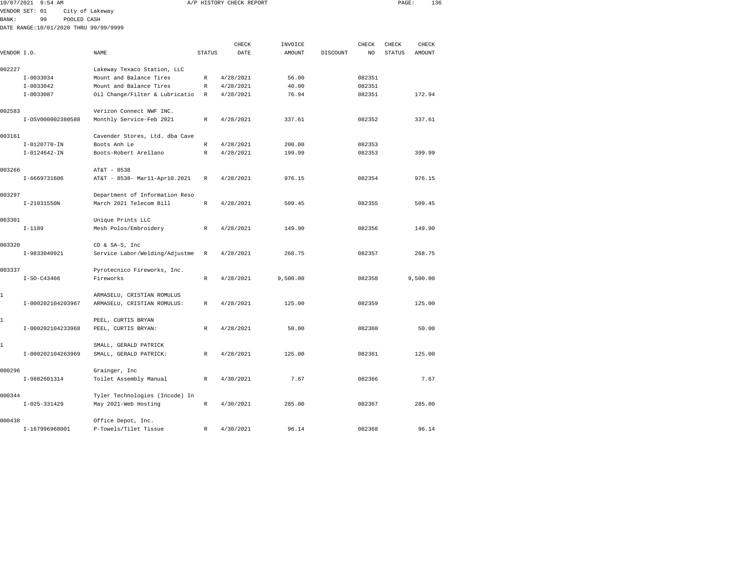| $9:54$ AM         |                                                                                                                                                                                                                    |                                                                                                                                                                                                                                                                                                                                                                                                                       |                                                                                                                                                                                                                                                           |                                                                                                                       |                                                                                                                             |          |                                                                                             | 136                    |                                                                                                 |
|-------------------|--------------------------------------------------------------------------------------------------------------------------------------------------------------------------------------------------------------------|-----------------------------------------------------------------------------------------------------------------------------------------------------------------------------------------------------------------------------------------------------------------------------------------------------------------------------------------------------------------------------------------------------------------------|-----------------------------------------------------------------------------------------------------------------------------------------------------------------------------------------------------------------------------------------------------------|-----------------------------------------------------------------------------------------------------------------------|-----------------------------------------------------------------------------------------------------------------------------|----------|---------------------------------------------------------------------------------------------|------------------------|-------------------------------------------------------------------------------------------------|
|                   |                                                                                                                                                                                                                    |                                                                                                                                                                                                                                                                                                                                                                                                                       |                                                                                                                                                                                                                                                           |                                                                                                                       |                                                                                                                             |          |                                                                                             |                        |                                                                                                 |
| 99                |                                                                                                                                                                                                                    |                                                                                                                                                                                                                                                                                                                                                                                                                       |                                                                                                                                                                                                                                                           |                                                                                                                       |                                                                                                                             |          |                                                                                             |                        |                                                                                                 |
|                   |                                                                                                                                                                                                                    |                                                                                                                                                                                                                                                                                                                                                                                                                       |                                                                                                                                                                                                                                                           |                                                                                                                       |                                                                                                                             |          |                                                                                             |                        |                                                                                                 |
|                   |                                                                                                                                                                                                                    |                                                                                                                                                                                                                                                                                                                                                                                                                       |                                                                                                                                                                                                                                                           |                                                                                                                       |                                                                                                                             |          |                                                                                             |                        |                                                                                                 |
|                   |                                                                                                                                                                                                                    |                                                                                                                                                                                                                                                                                                                                                                                                                       |                                                                                                                                                                                                                                                           |                                                                                                                       |                                                                                                                             |          |                                                                                             |                        |                                                                                                 |
|                   |                                                                                                                                                                                                                    |                                                                                                                                                                                                                                                                                                                                                                                                                       |                                                                                                                                                                                                                                                           |                                                                                                                       |                                                                                                                             |          |                                                                                             |                        |                                                                                                 |
|                   |                                                                                                                                                                                                                    |                                                                                                                                                                                                                                                                                                                                                                                                                       |                                                                                                                                                                                                                                                           |                                                                                                                       |                                                                                                                             |          |                                                                                             |                        |                                                                                                 |
| $I-0033034$       |                                                                                                                                                                                                                    | $\mathbb R$                                                                                                                                                                                                                                                                                                                                                                                                           | 4/28/2021                                                                                                                                                                                                                                                 | 56.00                                                                                                                 |                                                                                                                             | 082351   |                                                                                             |                        |                                                                                                 |
|                   | Mount and Balance Tires                                                                                                                                                                                            | R                                                                                                                                                                                                                                                                                                                                                                                                                     |                                                                                                                                                                                                                                                           |                                                                                                                       |                                                                                                                             |          |                                                                                             |                        |                                                                                                 |
| $I-0033087$       |                                                                                                                                                                                                                    | R                                                                                                                                                                                                                                                                                                                                                                                                                     | 4/28/2021                                                                                                                                                                                                                                                 | 76.94                                                                                                                 |                                                                                                                             | 082351   |                                                                                             | 172.94                 |                                                                                                 |
|                   |                                                                                                                                                                                                                    |                                                                                                                                                                                                                                                                                                                                                                                                                       |                                                                                                                                                                                                                                                           |                                                                                                                       |                                                                                                                             |          |                                                                                             |                        |                                                                                                 |
|                   |                                                                                                                                                                                                                    |                                                                                                                                                                                                                                                                                                                                                                                                                       |                                                                                                                                                                                                                                                           |                                                                                                                       |                                                                                                                             |          |                                                                                             |                        |                                                                                                 |
|                   |                                                                                                                                                                                                                    |                                                                                                                                                                                                                                                                                                                                                                                                                       |                                                                                                                                                                                                                                                           |                                                                                                                       |                                                                                                                             |          |                                                                                             |                        |                                                                                                 |
|                   |                                                                                                                                                                                                                    |                                                                                                                                                                                                                                                                                                                                                                                                                       |                                                                                                                                                                                                                                                           |                                                                                                                       |                                                                                                                             |          |                                                                                             |                        |                                                                                                 |
|                   |                                                                                                                                                                                                                    |                                                                                                                                                                                                                                                                                                                                                                                                                       |                                                                                                                                                                                                                                                           |                                                                                                                       |                                                                                                                             |          |                                                                                             |                        |                                                                                                 |
|                   |                                                                                                                                                                                                                    |                                                                                                                                                                                                                                                                                                                                                                                                                       |                                                                                                                                                                                                                                                           |                                                                                                                       |                                                                                                                             |          |                                                                                             |                        |                                                                                                 |
|                   |                                                                                                                                                                                                                    |                                                                                                                                                                                                                                                                                                                                                                                                                       |                                                                                                                                                                                                                                                           |                                                                                                                       |                                                                                                                             |          |                                                                                             |                        |                                                                                                 |
|                   | AT&T - 8538                                                                                                                                                                                                        |                                                                                                                                                                                                                                                                                                                                                                                                                       |                                                                                                                                                                                                                                                           |                                                                                                                       |                                                                                                                             |          |                                                                                             |                        |                                                                                                 |
| I-6669731606      | AT&T - 8538- Mar11-Apr10.2021                                                                                                                                                                                      | $\mathbb{R}$                                                                                                                                                                                                                                                                                                                                                                                                          | 4/28/2021                                                                                                                                                                                                                                                 | 976.15                                                                                                                |                                                                                                                             | 082354   |                                                                                             | 976.15                 |                                                                                                 |
|                   |                                                                                                                                                                                                                    |                                                                                                                                                                                                                                                                                                                                                                                                                       |                                                                                                                                                                                                                                                           |                                                                                                                       |                                                                                                                             |          |                                                                                             |                        |                                                                                                 |
|                   |                                                                                                                                                                                                                    |                                                                                                                                                                                                                                                                                                                                                                                                                       |                                                                                                                                                                                                                                                           |                                                                                                                       |                                                                                                                             |          |                                                                                             |                        |                                                                                                 |
|                   |                                                                                                                                                                                                                    |                                                                                                                                                                                                                                                                                                                                                                                                                       |                                                                                                                                                                                                                                                           |                                                                                                                       |                                                                                                                             |          |                                                                                             |                        |                                                                                                 |
|                   | Unique Prints LLC                                                                                                                                                                                                  |                                                                                                                                                                                                                                                                                                                                                                                                                       |                                                                                                                                                                                                                                                           |                                                                                                                       |                                                                                                                             |          |                                                                                             |                        |                                                                                                 |
| $I-1189$          | Mesh Polos/Embroidery                                                                                                                                                                                              | $\mathbb{R}$                                                                                                                                                                                                                                                                                                                                                                                                          | 4/28/2021                                                                                                                                                                                                                                                 | 149.90                                                                                                                |                                                                                                                             | 082356   |                                                                                             | 149.90                 |                                                                                                 |
|                   |                                                                                                                                                                                                                    |                                                                                                                                                                                                                                                                                                                                                                                                                       |                                                                                                                                                                                                                                                           |                                                                                                                       |                                                                                                                             |          |                                                                                             |                        |                                                                                                 |
|                   |                                                                                                                                                                                                                    |                                                                                                                                                                                                                                                                                                                                                                                                                       |                                                                                                                                                                                                                                                           |                                                                                                                       |                                                                                                                             |          |                                                                                             |                        |                                                                                                 |
|                   |                                                                                                                                                                                                                    |                                                                                                                                                                                                                                                                                                                                                                                                                       |                                                                                                                                                                                                                                                           |                                                                                                                       |                                                                                                                             |          |                                                                                             |                        |                                                                                                 |
|                   |                                                                                                                                                                                                                    |                                                                                                                                                                                                                                                                                                                                                                                                                       |                                                                                                                                                                                                                                                           |                                                                                                                       |                                                                                                                             |          |                                                                                             |                        |                                                                                                 |
| $I-SO-C43466$     | Fireworks                                                                                                                                                                                                          | $\mathbb R$                                                                                                                                                                                                                                                                                                                                                                                                           | 4/28/2021                                                                                                                                                                                                                                                 | 9,500.00                                                                                                              |                                                                                                                             | 082358   |                                                                                             |                        |                                                                                                 |
|                   |                                                                                                                                                                                                                    |                                                                                                                                                                                                                                                                                                                                                                                                                       |                                                                                                                                                                                                                                                           |                                                                                                                       |                                                                                                                             |          |                                                                                             |                        |                                                                                                 |
|                   | ARMASELU, CRISTIAN ROMULUS                                                                                                                                                                                         |                                                                                                                                                                                                                                                                                                                                                                                                                       |                                                                                                                                                                                                                                                           |                                                                                                                       |                                                                                                                             |          |                                                                                             |                        |                                                                                                 |
| I-000202104203967 | ARMASELU, CRISTIAN ROMULUS:                                                                                                                                                                                        | R                                                                                                                                                                                                                                                                                                                                                                                                                     | 4/28/2021                                                                                                                                                                                                                                                 | 125.00                                                                                                                |                                                                                                                             | 082359   |                                                                                             | 125.00                 |                                                                                                 |
|                   |                                                                                                                                                                                                                    |                                                                                                                                                                                                                                                                                                                                                                                                                       |                                                                                                                                                                                                                                                           |                                                                                                                       |                                                                                                                             |          |                                                                                             |                        |                                                                                                 |
|                   |                                                                                                                                                                                                                    |                                                                                                                                                                                                                                                                                                                                                                                                                       |                                                                                                                                                                                                                                                           |                                                                                                                       |                                                                                                                             |          |                                                                                             |                        |                                                                                                 |
|                   |                                                                                                                                                                                                                    |                                                                                                                                                                                                                                                                                                                                                                                                                       |                                                                                                                                                                                                                                                           |                                                                                                                       |                                                                                                                             |          |                                                                                             |                        |                                                                                                 |
|                   | SMALL, GERALD PATRICK                                                                                                                                                                                              |                                                                                                                                                                                                                                                                                                                                                                                                                       |                                                                                                                                                                                                                                                           |                                                                                                                       |                                                                                                                             |          |                                                                                             |                        |                                                                                                 |
|                   |                                                                                                                                                                                                                    | R                                                                                                                                                                                                                                                                                                                                                                                                                     | 4/28/2021                                                                                                                                                                                                                                                 | 125.00                                                                                                                |                                                                                                                             | 082361   |                                                                                             | 125.00                 |                                                                                                 |
|                   |                                                                                                                                                                                                                    |                                                                                                                                                                                                                                                                                                                                                                                                                       |                                                                                                                                                                                                                                                           |                                                                                                                       |                                                                                                                             |          |                                                                                             |                        |                                                                                                 |
|                   | Grainger, Inc                                                                                                                                                                                                      |                                                                                                                                                                                                                                                                                                                                                                                                                       |                                                                                                                                                                                                                                                           |                                                                                                                       |                                                                                                                             |          |                                                                                             |                        |                                                                                                 |
| I-9882601314      | Toilet Assembly Manual                                                                                                                                                                                             | R                                                                                                                                                                                                                                                                                                                                                                                                                     | 4/30/2021                                                                                                                                                                                                                                                 | 7.67                                                                                                                  |                                                                                                                             | 082366   |                                                                                             | 7.67                   |                                                                                                 |
|                   |                                                                                                                                                                                                                    |                                                                                                                                                                                                                                                                                                                                                                                                                       |                                                                                                                                                                                                                                                           |                                                                                                                       |                                                                                                                             |          |                                                                                             |                        |                                                                                                 |
|                   |                                                                                                                                                                                                                    |                                                                                                                                                                                                                                                                                                                                                                                                                       |                                                                                                                                                                                                                                                           |                                                                                                                       |                                                                                                                             |          |                                                                                             |                        |                                                                                                 |
|                   |                                                                                                                                                                                                                    |                                                                                                                                                                                                                                                                                                                                                                                                                       |                                                                                                                                                                                                                                                           |                                                                                                                       |                                                                                                                             |          |                                                                                             |                        |                                                                                                 |
|                   | Office Depot, Inc.                                                                                                                                                                                                 |                                                                                                                                                                                                                                                                                                                                                                                                                       |                                                                                                                                                                                                                                                           |                                                                                                                       |                                                                                                                             |          |                                                                                             |                        |                                                                                                 |
|                   | 10/07/2021<br>VENDOR SET: 01<br>VENDOR I.D.<br>$I-0033042$<br>I-0SV000002380588<br>I-0120770-IN<br>$I-0124642 - IN$<br>I-21031550N<br>I-9833040921<br>I-000202104233968<br>I-000202104263969<br>$I - 025 - 331429$ | City of Lakeway<br>POOLED CASH<br>DATE RANGE:10/01/2020 THRU 99/99/9999<br>NAME<br>Lakeway Texaco Station, LLC<br>Mount and Balance Tires<br>Verizon Connect NWF INC.<br>Monthly Service-Feb 2021<br>Boots Anh Le<br>Boots-Robert Arellano<br>March 2021 Telecom Bill<br>CD & SA-S, Inc<br>Pyrotecnico Fireworks, Inc.<br>PEEL, CURTIS BRYAN<br>PEEL, CURTIS BRYAN:<br>SMALL, GERALD PATRICK:<br>May 2021-Web Hosting | <b>STATUS</b><br>Oil Change/Filter & Lubricatio<br>$\mathbb{R}$<br>Cavender Stores, Ltd. dba Cave<br>R<br>$\mathbb R$<br>Department of Information Reso<br>$\mathbb R$<br>Service Labor/Welding/Adjustme<br>R<br>R<br>Tyler Technologies (Incode) In<br>R | CHECK<br>DATE<br>4/28/2021<br>4/28/2021<br>4/28/2021<br>4/28/2021<br>4/28/2021<br>4/28/2021<br>4/28/2021<br>4/30/2021 | A/P HISTORY CHECK REPORT<br>INVOICE<br>AMOUNT<br>40.00<br>337.61<br>200.00<br>199.99<br>509.45<br>268.75<br>50.00<br>285.00 | DISCOUNT | CHECK<br>NO<br>082351<br>082352<br>082353<br>082353<br>082355<br>082357<br>082360<br>082367 | CHECK<br><b>STATUS</b> | PAGE:<br>CHECK<br>AMOUNT<br>337.61<br>399.99<br>509.45<br>268.75<br>9,500.00<br>50.00<br>285.00 |

I-167996968001 P-Towels/Tilet Tissue R 4/30/2021 96.14 082368 96.14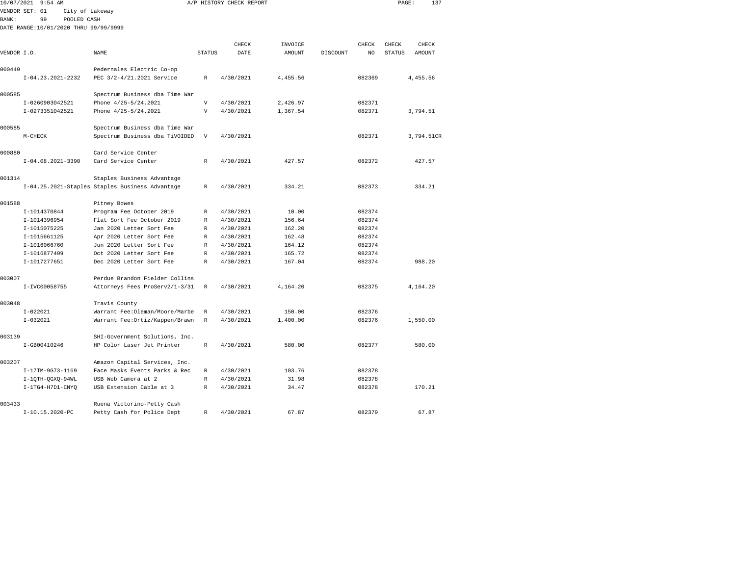| 10/07/2021   | 9:54 AM                               |                                                 |               | A/P HISTORY CHECK REPORT |          |          |        | PAGE:         | 137           |  |
|--------------|---------------------------------------|-------------------------------------------------|---------------|--------------------------|----------|----------|--------|---------------|---------------|--|
|              | VENDOR SET: 01<br>City of Lakeway     |                                                 |               |                          |          |          |        |               |               |  |
| <b>BANK:</b> | 99<br>POOLED CASH                     |                                                 |               |                          |          |          |        |               |               |  |
|              | DATE RANGE:10/01/2020 THRU 99/99/9999 |                                                 |               |                          |          |          |        |               |               |  |
|              |                                       |                                                 |               |                          |          |          |        |               |               |  |
|              |                                       |                                                 |               | CHECK                    | INVOICE  |          | CHECK  | CHECK         | CHECK         |  |
| VENDOR I.D.  |                                       | NAME                                            | <b>STATUS</b> | DATE                     | AMOUNT   | DISCOUNT | NO     | <b>STATUS</b> | <b>AMOUNT</b> |  |
| 000449       |                                       | Pedernales Electric Co-op                       |               |                          |          |          |        |               |               |  |
|              | I-04.23.2021-2232                     | PEC 3/2-4/21.2021 Service                       | R             | 4/30/2021                | 4,455.56 |          | 082369 |               | 4,455.56      |  |
|              |                                       |                                                 |               |                          |          |          |        |               |               |  |
| 000585       |                                       | Spectrum Business dba Time War                  |               |                          |          |          |        |               |               |  |
|              | I-0260903042521                       | Phone 4/25-5/24.2021                            | $\mathbf{V}$  | 4/30/2021                | 2,426.97 |          | 082371 |               |               |  |
|              | I-0273351042521                       | Phone 4/25-5/24.2021                            | $\mathbf{V}$  | 4/30/2021                | 1,367.54 |          | 082371 |               | 3,794.51      |  |
| 000585       |                                       | Spectrum Business dba Time War                  |               |                          |          |          |        |               |               |  |
|              | $M-CHECK$                             | Spectrum Business dba TiVOIDED                  | V             | 4/30/2021                |          |          | 082371 |               | 3,794.51CR    |  |
|              |                                       |                                                 |               |                          |          |          |        |               |               |  |
| 000880       |                                       | Card Service Center                             |               |                          |          |          |        |               |               |  |
|              | $I-04.08.2021-3390$                   | Card Service Center                             | R             | 4/30/2021                | 427.57   |          | 082372 |               | 427.57        |  |
| 001314       |                                       | Staples Business Advantage                      |               |                          |          |          |        |               |               |  |
|              |                                       | I-04.25.2021-Staples Staples Business Advantage | R             | 4/30/2021                | 334.21   |          | 082373 |               | 334.21        |  |
|              |                                       |                                                 |               |                          |          |          |        |               |               |  |
| 001588       |                                       | Pitney Bowes                                    |               |                          |          |          |        |               |               |  |
|              | I-1014370844                          | Program Fee October 2019                        | R             | 4/30/2021                | 10.00    |          | 082374 |               |               |  |
|              | I-1014396954                          | Flat Sort Fee October 2019                      | R             | 4/30/2021                | 156.64   |          | 082374 |               |               |  |
|              | I-1015075225                          | Jan 2020 Letter Sort Fee                        | $\mathbb{R}$  | 4/30/2021                | 162.20   |          | 082374 |               |               |  |
|              | I-1015661125                          | Apr 2020 Letter Sort Fee                        | R             | 4/30/2021                | 162.48   |          | 082374 |               |               |  |
|              | I-1016066760                          | Jun 2020 Letter Sort Fee                        | R             | 4/30/2021                | 164.12   |          | 082374 |               |               |  |
|              | I-1016877499                          | Oct 2020 Letter Sort Fee                        | R             | 4/30/2021                | 165.72   |          | 082374 |               |               |  |
|              | I-1017277651                          | Dec 2020 Letter Sort Fee                        | $\mathbb{R}$  | 4/30/2021                | 167.04   |          | 082374 |               | 988.20        |  |
| 003007       |                                       | Perdue Brandon Fielder Collins                  |               |                          |          |          |        |               |               |  |
|              | I-IVC00058755                         | Attorneys Fees ProServ2/1-3/31                  | R             | 4/30/2021                | 4,164.20 |          | 082375 |               | 4.164.20      |  |
|              |                                       |                                                 |               |                          |          |          |        |               |               |  |
| 003048       |                                       | Travis County                                   |               |                          |          |          |        |               |               |  |
|              | $I - 022021$                          | Warrant Fee: Oleman/Moore/Marbe                 | R             | 4/30/2021                | 150.00   |          | 082376 |               |               |  |
|              | $I-032021$                            | Warrant Fee: Ortiz/Kappen/Brawn                 | R             | 4/30/2021                | 1,400.00 |          | 082376 |               | 1,550.00      |  |
| 003139       |                                       | SHI-Government Solutions, Inc.                  |               |                          |          |          |        |               |               |  |
|              | I-GB00410246                          | HP Color Laser Jet Printer                      | R             | 4/30/2021                | 580.00   |          | 082377 |               | 580.00        |  |
|              |                                       |                                                 |               |                          |          |          |        |               |               |  |
| 003207       |                                       | Amazon Capital Services, Inc.                   |               |                          |          |          |        |               |               |  |
|              | I-17TM-9G73-1169                      | Face Masks Events Parks & Rec                   | $\mathbb{R}$  | 4/30/2021                | 103.76   |          | 082378 |               |               |  |
|              | I-1QTH-QGXQ-94WL                      | USB Web Camera at 2                             | R             | 4/30/2021                | 31.98    |          | 082378 |               |               |  |
|              | I-1TG4-H7D1-CNYO                      | USB Extension Cable at 3                        | R             | 4/30/2021                | 34.47    |          | 082378 |               | 170.21        |  |
| 003433       |                                       | Ruena Victorino-Petty Cash                      |               |                          |          |          |        |               |               |  |
|              | I-10.15.2020-PC                       | Petty Cash for Police Dept                      | R             | 4/30/2021                | 67.87    |          | 082379 |               | 67.87         |  |
|              |                                       |                                                 |               |                          |          |          |        |               |               |  |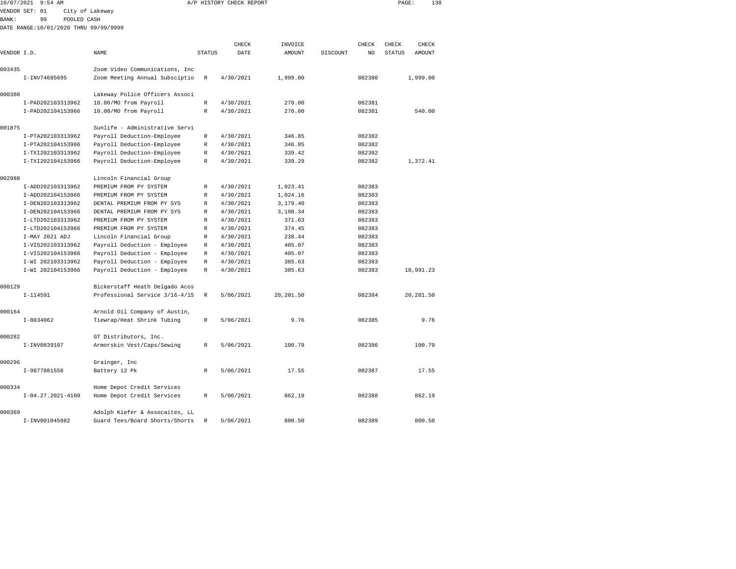| 10/07/2021   | $9:54$ AM                             |                                |              | A/P HISTORY CHECK REPORT |           |          |        | PAGE:         | 138        |  |
|--------------|---------------------------------------|--------------------------------|--------------|--------------------------|-----------|----------|--------|---------------|------------|--|
|              | VENDOR SET: 01                        | City of Lakeway                |              |                          |           |          |        |               |            |  |
| <b>BANK:</b> | 99<br>POOLED CASH                     |                                |              |                          |           |          |        |               |            |  |
|              | DATE RANGE:10/01/2020 THRU 99/99/9999 |                                |              |                          |           |          |        |               |            |  |
|              |                                       |                                |              |                          |           |          |        |               |            |  |
|              |                                       |                                |              | CHECK                    | INVOICE   |          | CHECK  | CHECK         | CHECK      |  |
| VENDOR I.D.  |                                       | NAME                           | STATUS       | DATE                     | AMOUNT    | DISCOUNT | NO     | <b>STATUS</b> | AMOUNT     |  |
| 003435       |                                       | Zoom Video Communications, Inc |              |                          |           |          |        |               |            |  |
|              | I-INV74685695                         | Zoom Meeting Annual Subsciptio | R            | 4/30/2021                | 1,999.00  |          | 082380 |               | 1,999.00   |  |
| 000380       |                                       | Lakeway Police Officers Associ |              |                          |           |          |        |               |            |  |
|              | I-PAD202103313962                     | 10.00/MO from Payroll          | $\mathbb R$  | 4/30/2021                | 270.00    |          | 082381 |               |            |  |
|              | I-PAD202104153966                     | 10.00/MO from Payroll          | R            | 4/30/2021                | 270.00    |          | 082381 |               | 540.00     |  |
| 001875       |                                       | Sunlife - Administrative Servi |              |                          |           |          |        |               |            |  |
|              | I-PTA202103313962                     | Payroll Deduction-Employee     | R            | 4/30/2021                | 346.85    |          | 082382 |               |            |  |
|              | I-PTA202104153966                     | Payroll Deduction-Employee     | R            | 4/30/2021                | 346.85    |          | 082382 |               |            |  |
|              | I-TXI202103313962                     | Payroll Deduction-Employee     | R            | 4/30/2021                | 339.42    |          | 082382 |               |            |  |
|              | I-TXI202104153966                     | Payroll Deduction-Employee     | $\mathbb R$  | 4/30/2021                | 339.29    |          | 082382 |               | 1,372.41   |  |
| 002988       |                                       | Lincoln Financial Group        |              |                          |           |          |        |               |            |  |
|              | I-ADD202103313962                     | PREMIUM FROM PY SYSTEM         | R            | 4/30/2021                | 1,023.41  |          | 082383 |               |            |  |
|              | I-ADD202104153966                     | PREMIUM FROM PY SYSTEM         | R            | 4/30/2021                | 1,024.16  |          | 082383 |               |            |  |
|              | I-DEN202103313962                     | DENTAL PREMIUM FROM PY SYS     | $\mathbb R$  | 4/30/2021                | 3,179.40  |          | 082383 |               |            |  |
|              | I-DEN202104153966                     | DENTAL PREMIUM FROM PY SYS     | R            | 4/30/2021                | 3,198.34  |          | 082383 |               |            |  |
|              | I-LTD202103313962                     | PREMIUM FROM PY SYSTEM         | $\mathbb{R}$ | 4/30/2021                | 371.63    |          | 082383 |               |            |  |
|              | I-LTD202104153966                     | PREMIUM FROM PY SYSTEM         | R            | 4/30/2021                | 374.45    |          | 082383 |               |            |  |
|              | I-MAY 2021 ADJ                        | Lincoln Financial Group        | R            | 4/30/2021                | 238.44    |          | 082383 |               |            |  |
|              | I-VIS202103313962                     | Payroll Deduction - Employee   | R            | 4/30/2021                | 405.07    |          | 082383 |               |            |  |
|              | I-VIS202104153966                     | Payroll Deduction - Employee   | R            | 4/30/2021                | 405.07    |          | 082383 |               |            |  |
|              | I-WI 202103313962                     | Payroll Deduction - Employee   | R            | 4/30/2021                | 385.63    |          | 082383 |               |            |  |
|              | I-WI 202104153966                     | Payroll Deduction - Employee   | R            | 4/30/2021                | 385.63    |          | 082383 |               | 10,991.23  |  |
| 000129       |                                       | Bickerstaff Heath Delgado Acos |              |                          |           |          |        |               |            |  |
|              | $I-114591$                            | Professional Service 3/16-4/15 | $\mathbb R$  | 5/06/2021                | 20,201.50 |          | 082384 |               | 20, 201.50 |  |
| 000164       |                                       | Arnold Oil Company of Austin,  |              |                          |           |          |        |               |            |  |
|              | $I-8034062$                           | Tiewrap/Heat Shrink Tubing     | R            | 5/06/2021                | 9.76      |          | 082385 |               | 9.76       |  |
| 000282       |                                       | GT Distributors, Inc.          |              |                          |           |          |        |               |            |  |
|              | I-INV0839107                          | Armorskin Vest/Caps/Sewing     | R            | 5/06/2021                | 100.79    |          | 082386 |               | 100.79     |  |
| 000296       |                                       | Grainger, Inc                  |              |                          |           |          |        |               |            |  |
|              | I-9877881558                          | Battery 12 Pk                  | R            | 5/06/2021                | 17.55     |          | 082387 |               | 17.55      |  |
| 000334       |                                       | Home Depot Credit Services     |              |                          |           |          |        |               |            |  |
|              | I-04.27.2021-4109                     | Home Depot Credit Services     | R            | 5/06/2021                | 862.19    |          | 082388 |               | 862.19     |  |
| 000369       |                                       | Adolph Kiefer & Assocaites, LL |              |                          |           |          |        |               |            |  |
|              | I-INV001045982                        | Guard Tees/Board Shorts/Shorts | R            | 5/06/2021                | 800.50    |          | 082389 |               | 800.50     |  |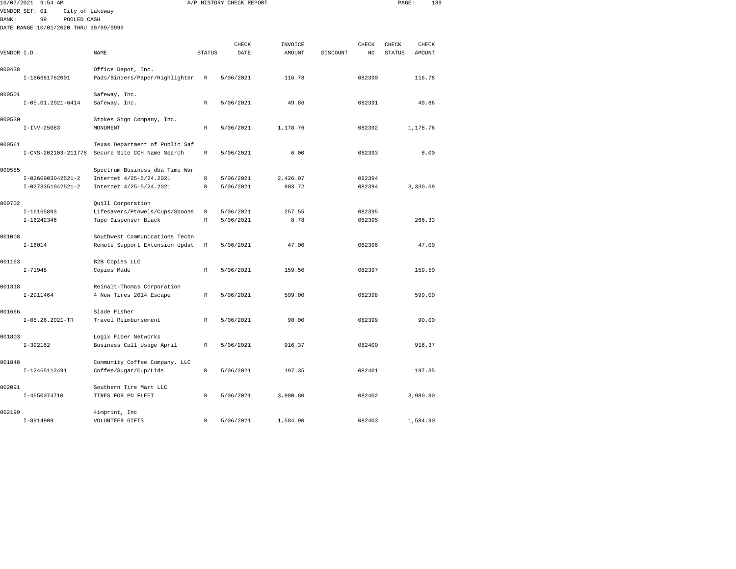| 10/07/2021   | $9:54$ AM                             |                                                        |                            | A/P HISTORY CHECK REPORT |                |          |                  | PAGE:         | 139      |  |
|--------------|---------------------------------------|--------------------------------------------------------|----------------------------|--------------------------|----------------|----------|------------------|---------------|----------|--|
|              | VENDOR SET: 01<br>City of Lakeway     |                                                        |                            |                          |                |          |                  |               |          |  |
| <b>BANK:</b> | 99<br>POOLED CASH                     |                                                        |                            |                          |                |          |                  |               |          |  |
|              | DATE RANGE:10/01/2020 THRU 99/99/9999 |                                                        |                            |                          |                |          |                  |               |          |  |
|              |                                       |                                                        |                            |                          |                |          |                  |               |          |  |
|              |                                       |                                                        |                            | CHECK                    | INVOICE        |          | <b>CHECK</b>     | CHECK         | CHECK    |  |
| VENDOR I.D.  |                                       | NAME                                                   | <b>STATUS</b>              | DATE                     | <b>AMOUNT</b>  | DISCOUNT | NO               | <b>STATUS</b> | AMOUNT   |  |
|              |                                       |                                                        |                            |                          |                |          |                  |               |          |  |
| 000438       |                                       | Office Depot, Inc.                                     |                            |                          |                |          |                  |               |          |  |
|              | I-166681762001                        | Pads/Binders/Paper/Highlighter                         | R                          | 5/06/2021                | 116.78         |          | 082390           |               | 116.78   |  |
| 000501       |                                       | Safeway, Inc.                                          |                            |                          |                |          |                  |               |          |  |
|              | I-05.01.2021-6414                     | Safeway, Inc.                                          | $\mathbb R$                | 5/06/2021                | 49.86          |          | 082391           |               | 49.86    |  |
|              |                                       |                                                        |                            |                          |                |          |                  |               |          |  |
| 000530       |                                       | Stokes Sign Company, Inc.                              |                            |                          |                |          |                  |               |          |  |
|              | $I-INV-25083$                         | MONUMENT                                               | $\mathbb{R}$               | 5/06/2021                | 1,178.76       |          | 082392           |               | 1,178.76 |  |
|              |                                       |                                                        |                            |                          |                |          |                  |               |          |  |
| 000561       |                                       | Texas Department of Public Saf                         |                            |                          |                |          |                  |               |          |  |
|              | I-CRS-202103-211778                   | Secure Site CCH Name Search                            | R                          | 5/06/2021                | 6.00           |          | 082393           |               | 6.00     |  |
|              |                                       |                                                        |                            |                          |                |          |                  |               |          |  |
| 000585       |                                       | Spectrum Business dba Time War                         |                            |                          |                |          |                  |               |          |  |
|              | I-0260903042521-2                     | Internet 4/25-5/24.2021                                | $\mathbb R$                | 5/06/2021                | 2,426.97       |          | 082394           |               |          |  |
|              | I-0273351042521-2                     | Internet 4/25-5/24.2021                                | $\mathbb{R}$               | 5/06/2021                | 903.72         |          | 082394           |               | 3,330.69 |  |
|              |                                       |                                                        |                            |                          |                |          |                  |               |          |  |
| 000702       |                                       | Quill Corporation                                      |                            |                          |                |          |                  |               |          |  |
|              | I-16165893<br>I-16242346              | Lifesavers/Ptowels/Cups/Spoons<br>Tape Dispenser Black | $\mathbb R$<br>$\mathbb R$ | 5/06/2021<br>5/06/2021   | 257.55<br>8.78 |          | 082395<br>082395 |               | 266.33   |  |
|              |                                       |                                                        |                            |                          |                |          |                  |               |          |  |
| 001008       |                                       | Southwest Communications Techn                         |                            |                          |                |          |                  |               |          |  |
|              | $I - 16014$                           | Remote Support Extension Updat                         | R                          | 5/06/2021                | 47.00          |          | 082396           |               | 47.00    |  |
|              |                                       |                                                        |                            |                          |                |          |                  |               |          |  |
| 001163       |                                       | B2B Copies LLC                                         |                            |                          |                |          |                  |               |          |  |
|              | $I - 71948$                           | Copies Made                                            | $\mathbb R$                | 5/06/2021                | 159.50         |          | 082397           |               | 159.50   |  |
|              |                                       |                                                        |                            |                          |                |          |                  |               |          |  |
| 001318       |                                       | Reinalt-Thomas Corporation                             |                            |                          |                |          |                  |               |          |  |
|              | $I-2911464$                           | 4 New Tires 2014 Escape                                | R                          | 5/06/2021                | 599.00         |          | 082398           |               | 599.00   |  |
|              |                                       |                                                        |                            |                          |                |          |                  |               |          |  |
| 001666       |                                       | Slade Fisher                                           |                            |                          |                |          |                  |               |          |  |
|              | $I-05.26.2021-TR$                     | Travel Reimbursement                                   | $\mathbb R$                | 5/06/2021                | 90.00          |          | 082399           |               | 90.00    |  |
|              |                                       |                                                        |                            |                          |                |          |                  |               |          |  |
| 001803       | $I-392162$                            | Logix Fiber Networks<br>Business Call Usage April      | R                          | 5/06/2021                | 916.37         |          | 082400           |               | 916.37   |  |
|              |                                       |                                                        |                            |                          |                |          |                  |               |          |  |
| 001848       |                                       | Community Coffee Company, LLC                          |                            |                          |                |          |                  |               |          |  |
|              | I-12465112491                         | Coffee/Sugar/Cup/Lids                                  | R                          | 5/06/2021                | 197.35         |          | 082401           |               | 197.35   |  |
|              |                                       |                                                        |                            |                          |                |          |                  |               |          |  |
| 002091       |                                       | Southern Tire Mart LLC                                 |                            |                          |                |          |                  |               |          |  |
|              | I-4650074710                          | TIRES FOR PD FLEET                                     | $\mathbb R$                | 5/06/2021                | 3,980.80       |          | 082402           |               | 3,980.80 |  |
|              |                                       |                                                        |                            |                          |                |          |                  |               |          |  |
| 002199       |                                       | 4imprint, Inc                                          |                            |                          |                |          |                  |               |          |  |
|              | $I-8914909$                           | VOLUNTEER GIFTS                                        | $\mathbb R$                | 5/06/2021                | 1,584.90       |          | 082403           |               | 1,584.90 |  |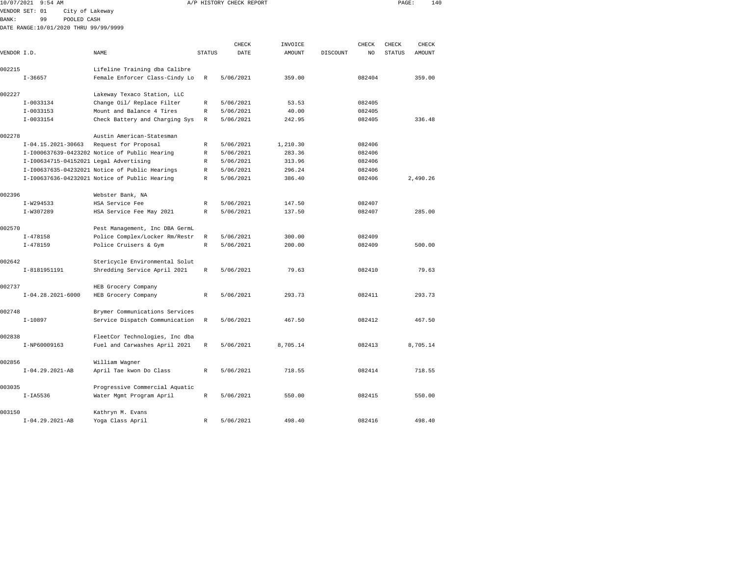| 10/07/2021   | $9:54$ AM                              |                                                                 |               | A/P HISTORY CHECK REPORT |          |          |        | PAGE:         | 140           |  |
|--------------|----------------------------------------|-----------------------------------------------------------------|---------------|--------------------------|----------|----------|--------|---------------|---------------|--|
|              | VENDOR SET: 01<br>City of Lakeway      |                                                                 |               |                          |          |          |        |               |               |  |
| <b>BANK:</b> | 99<br>POOLED CASH                      |                                                                 |               |                          |          |          |        |               |               |  |
|              | DATE RANGE:10/01/2020 THRU 99/99/9999  |                                                                 |               |                          |          |          |        |               |               |  |
|              |                                        |                                                                 |               |                          |          |          |        |               |               |  |
|              |                                        |                                                                 |               | CHECK                    | INVOICE  |          | CHECK  | CHECK         | CHECK         |  |
| VENDOR I.D.  |                                        | <b>NAME</b>                                                     | <b>STATUS</b> | DATE                     | AMOUNT   | DISCOUNT | NO.    | <b>STATUS</b> | <b>AMOUNT</b> |  |
| 002215       |                                        | Lifeline Training dba Calibre                                   |               |                          |          |          |        |               |               |  |
|              | $I - 36657$                            | Female Enforcer Class-Cindy Lo                                  | R             | 5/06/2021                | 359.00   |          | 082404 |               | 359.00        |  |
|              |                                        |                                                                 |               |                          |          |          |        |               |               |  |
| 002227       |                                        | Lakeway Texaco Station, LLC                                     |               |                          |          |          |        |               |               |  |
|              | $I-0033134$                            | Change Oil/ Replace Filter                                      | R             | 5/06/2021                | 53.53    |          | 082405 |               |               |  |
|              | $I-0033153$                            | Mount and Balance 4 Tires                                       | R             | 5/06/2021                | 40.00    |          | 082405 |               |               |  |
|              | I-0033154                              | Check Battery and Charging Sys                                  | R             | 5/06/2021                | 242.95   |          | 082405 |               | 336.48        |  |
|              |                                        |                                                                 |               |                          |          |          |        |               |               |  |
| 002278       |                                        | Austin American-Statesman                                       |               |                          |          |          |        |               |               |  |
|              | I-04.15.2021-30663                     | Request for Proposal                                            | R             | 5/06/2021                | 1,210.30 |          | 082406 |               |               |  |
|              |                                        | I-I000637639-0423202 Notice of Public Hearing                   | $\mathbb R$   | 5/06/2021                | 283.36   |          | 082406 |               |               |  |
|              | I-I00634715-04152021 Legal Advertising |                                                                 | R             | 5/06/2021                | 313.96   |          | 082406 |               |               |  |
|              |                                        | I-I00637635-04232021 Notice of Public Hearings                  | R             | 5/06/2021                | 296.24   |          | 082406 |               |               |  |
|              |                                        | I-I00637636-04232021 Notice of Public Hearing                   | R             | 5/06/2021                | 386.40   |          | 082406 |               | 2,490.26      |  |
|              |                                        |                                                                 |               |                          |          |          |        |               |               |  |
| 002396       |                                        | Webster Bank, NA                                                |               |                          |          |          |        |               |               |  |
|              | $I-W294533$                            | HSA Service Fee                                                 | R             | 5/06/2021                | 147.50   |          | 082407 |               |               |  |
|              | I-W307289                              | HSA Service Fee May 2021                                        | R             | 5/06/2021                | 137.50   |          | 082407 |               | 285.00        |  |
| 002570       |                                        | Pest Management, Inc DBA GermL                                  |               |                          |          |          |        |               |               |  |
|              | $I - 478158$                           | Police Complex/Locker Rm/Restr                                  | $\mathbb R$   | 5/06/2021                | 300.00   |          | 082409 |               |               |  |
|              | $I - 478159$                           | Police Cruisers & Gym                                           | R             | 5/06/2021                | 200.00   |          | 082409 |               | 500.00        |  |
|              |                                        |                                                                 |               |                          |          |          |        |               |               |  |
| 002642       |                                        | Stericycle Environmental Solut                                  |               |                          |          |          |        |               |               |  |
|              | I-8181951191                           | Shredding Service April 2021                                    | $\mathbb R$   | 5/06/2021                | 79.63    |          | 082410 |               | 79.63         |  |
|              |                                        |                                                                 |               |                          |          |          |        |               |               |  |
| 002737       |                                        | HEB Grocery Company                                             |               |                          |          |          |        |               |               |  |
|              | $I-04.28.2021-6000$                    | HEB Grocery Company                                             | R             | 5/06/2021                | 293.73   |          | 082411 |               | 293.73        |  |
|              |                                        |                                                                 |               |                          |          |          |        |               |               |  |
| 002748       |                                        | Brymer Communications Services                                  |               |                          |          |          |        |               |               |  |
|              | $I-10897$                              | Service Dispatch Communication                                  | $\mathbb R$   | 5/06/2021                | 467.50   |          | 082412 |               | 467.50        |  |
| 002838       |                                        |                                                                 |               |                          |          |          |        |               |               |  |
|              | I-NP60009163                           | FleetCor Technologies, Inc dba<br>Fuel and Carwashes April 2021 | R             | 5/06/2021                | 8,705.14 |          | 082413 |               | 8,705.14      |  |
|              |                                        |                                                                 |               |                          |          |          |        |               |               |  |
| 002856       |                                        | William Wagner                                                  |               |                          |          |          |        |               |               |  |
|              | $I-04.29.2021-AB$                      | April Tae kwon Do Class                                         | $\mathbb{R}$  | 5/06/2021                | 718.55   |          | 082414 |               | 718.55        |  |
|              |                                        |                                                                 |               |                          |          |          |        |               |               |  |
| 003035       |                                        | Progressive Commercial Aquatic                                  |               |                          |          |          |        |               |               |  |
|              | $I-IA5536$                             | Water Mgmt Program April                                        | R             | 5/06/2021                | 550.00   |          | 082415 |               | 550.00        |  |
|              |                                        |                                                                 |               |                          |          |          |        |               |               |  |
| 003150       |                                        | Kathryn M. Evans                                                |               |                          |          |          |        |               |               |  |
|              | $I-04.29.2021-AB$                      | Yoga Class April                                                | R             | 5/06/2021                | 498.40   |          | 082416 |               | 498.40        |  |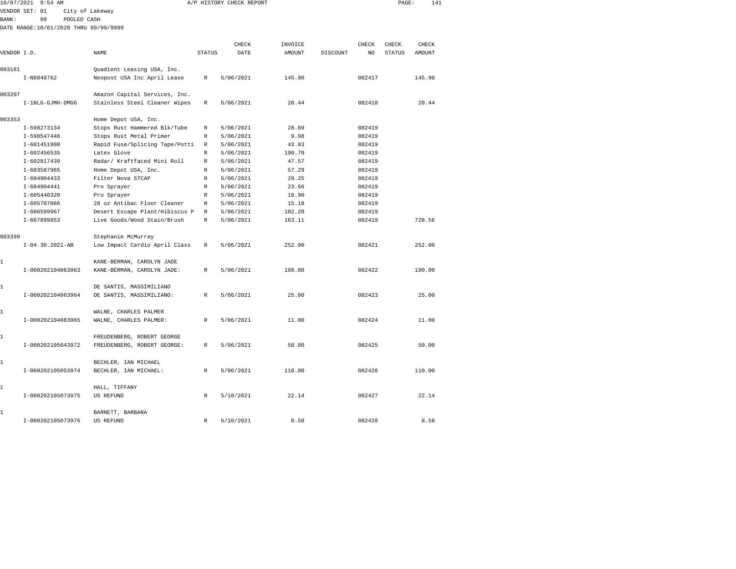| 10/07/2021 9:54 AM |                                                                                                                                                                                                                                                 |                                                                                                                                                                     |                                                                                                                                                                                                                                                                                                                                                                                                                                                                                                                                                     |                                                                                                                                        | PAGE:                                                                                                                                                                                                                                                         |                                                                                                                                                              |          |                                                                                                                                                                   |                        |                                                               |
|--------------------|-------------------------------------------------------------------------------------------------------------------------------------------------------------------------------------------------------------------------------------------------|---------------------------------------------------------------------------------------------------------------------------------------------------------------------|-----------------------------------------------------------------------------------------------------------------------------------------------------------------------------------------------------------------------------------------------------------------------------------------------------------------------------------------------------------------------------------------------------------------------------------------------------------------------------------------------------------------------------------------------------|----------------------------------------------------------------------------------------------------------------------------------------|---------------------------------------------------------------------------------------------------------------------------------------------------------------------------------------------------------------------------------------------------------------|--------------------------------------------------------------------------------------------------------------------------------------------------------------|----------|-------------------------------------------------------------------------------------------------------------------------------------------------------------------|------------------------|---------------------------------------------------------------|
|                    |                                                                                                                                                                                                                                                 |                                                                                                                                                                     |                                                                                                                                                                                                                                                                                                                                                                                                                                                                                                                                                     |                                                                                                                                        |                                                                                                                                                                                                                                                               |                                                                                                                                                              |          |                                                                                                                                                                   |                        |                                                               |
| 99                 |                                                                                                                                                                                                                                                 |                                                                                                                                                                     |                                                                                                                                                                                                                                                                                                                                                                                                                                                                                                                                                     |                                                                                                                                        |                                                                                                                                                                                                                                                               |                                                                                                                                                              |          |                                                                                                                                                                   |                        |                                                               |
|                    |                                                                                                                                                                                                                                                 |                                                                                                                                                                     |                                                                                                                                                                                                                                                                                                                                                                                                                                                                                                                                                     |                                                                                                                                        |                                                                                                                                                                                                                                                               |                                                                                                                                                              |          |                                                                                                                                                                   |                        |                                                               |
|                    |                                                                                                                                                                                                                                                 |                                                                                                                                                                     |                                                                                                                                                                                                                                                                                                                                                                                                                                                                                                                                                     |                                                                                                                                        |                                                                                                                                                                                                                                                               |                                                                                                                                                              |          |                                                                                                                                                                   |                        |                                                               |
|                    |                                                                                                                                                                                                                                                 |                                                                                                                                                                     |                                                                                                                                                                                                                                                                                                                                                                                                                                                                                                                                                     |                                                                                                                                        |                                                                                                                                                                                                                                                               |                                                                                                                                                              |          |                                                                                                                                                                   |                        |                                                               |
|                    |                                                                                                                                                                                                                                                 |                                                                                                                                                                     |                                                                                                                                                                                                                                                                                                                                                                                                                                                                                                                                                     |                                                                                                                                        |                                                                                                                                                                                                                                                               |                                                                                                                                                              |          |                                                                                                                                                                   |                        |                                                               |
|                    |                                                                                                                                                                                                                                                 | Quadient Leasing USA, Inc.                                                                                                                                          |                                                                                                                                                                                                                                                                                                                                                                                                                                                                                                                                                     |                                                                                                                                        |                                                                                                                                                                                                                                                               |                                                                                                                                                              |          |                                                                                                                                                                   |                        |                                                               |
|                    |                                                                                                                                                                                                                                                 | Neopost USA Inc April Lease                                                                                                                                         | R                                                                                                                                                                                                                                                                                                                                                                                                                                                                                                                                                   | 5/06/2021                                                                                                                              | 145.90                                                                                                                                                                                                                                                        |                                                                                                                                                              | 082417   |                                                                                                                                                                   | 145.90                 |                                                               |
|                    |                                                                                                                                                                                                                                                 |                                                                                                                                                                     |                                                                                                                                                                                                                                                                                                                                                                                                                                                                                                                                                     |                                                                                                                                        |                                                                                                                                                                                                                                                               |                                                                                                                                                              |          |                                                                                                                                                                   |                        |                                                               |
|                    |                                                                                                                                                                                                                                                 | Amazon Capital Services, Inc.                                                                                                                                       |                                                                                                                                                                                                                                                                                                                                                                                                                                                                                                                                                     |                                                                                                                                        |                                                                                                                                                                                                                                                               |                                                                                                                                                              |          |                                                                                                                                                                   |                        |                                                               |
|                    |                                                                                                                                                                                                                                                 | Stainless Steel Cleaner Wipes                                                                                                                                       | $\mathbb R$                                                                                                                                                                                                                                                                                                                                                                                                                                                                                                                                         | 5/06/2021                                                                                                                              | 20.44                                                                                                                                                                                                                                                         |                                                                                                                                                              | 082418   |                                                                                                                                                                   | 20.44                  |                                                               |
|                    |                                                                                                                                                                                                                                                 |                                                                                                                                                                     |                                                                                                                                                                                                                                                                                                                                                                                                                                                                                                                                                     |                                                                                                                                        |                                                                                                                                                                                                                                                               |                                                                                                                                                              |          |                                                                                                                                                                   |                        |                                                               |
|                    |                                                                                                                                                                                                                                                 |                                                                                                                                                                     |                                                                                                                                                                                                                                                                                                                                                                                                                                                                                                                                                     |                                                                                                                                        |                                                                                                                                                                                                                                                               |                                                                                                                                                              |          |                                                                                                                                                                   |                        |                                                               |
|                    |                                                                                                                                                                                                                                                 |                                                                                                                                                                     |                                                                                                                                                                                                                                                                                                                                                                                                                                                                                                                                                     |                                                                                                                                        |                                                                                                                                                                                                                                                               |                                                                                                                                                              |          |                                                                                                                                                                   |                        |                                                               |
|                    |                                                                                                                                                                                                                                                 |                                                                                                                                                                     |                                                                                                                                                                                                                                                                                                                                                                                                                                                                                                                                                     |                                                                                                                                        |                                                                                                                                                                                                                                                               |                                                                                                                                                              |          |                                                                                                                                                                   |                        |                                                               |
|                    |                                                                                                                                                                                                                                                 |                                                                                                                                                                     |                                                                                                                                                                                                                                                                                                                                                                                                                                                                                                                                                     |                                                                                                                                        |                                                                                                                                                                                                                                                               |                                                                                                                                                              |          |                                                                                                                                                                   |                        |                                                               |
|                    |                                                                                                                                                                                                                                                 |                                                                                                                                                                     |                                                                                                                                                                                                                                                                                                                                                                                                                                                                                                                                                     |                                                                                                                                        |                                                                                                                                                                                                                                                               |                                                                                                                                                              |          |                                                                                                                                                                   |                        |                                                               |
|                    |                                                                                                                                                                                                                                                 |                                                                                                                                                                     |                                                                                                                                                                                                                                                                                                                                                                                                                                                                                                                                                     |                                                                                                                                        |                                                                                                                                                                                                                                                               |                                                                                                                                                              |          |                                                                                                                                                                   |                        |                                                               |
|                    |                                                                                                                                                                                                                                                 |                                                                                                                                                                     |                                                                                                                                                                                                                                                                                                                                                                                                                                                                                                                                                     |                                                                                                                                        |                                                                                                                                                                                                                                                               |                                                                                                                                                              |          |                                                                                                                                                                   |                        |                                                               |
|                    |                                                                                                                                                                                                                                                 |                                                                                                                                                                     |                                                                                                                                                                                                                                                                                                                                                                                                                                                                                                                                                     |                                                                                                                                        |                                                                                                                                                                                                                                                               |                                                                                                                                                              |          |                                                                                                                                                                   |                        |                                                               |
|                    |                                                                                                                                                                                                                                                 |                                                                                                                                                                     |                                                                                                                                                                                                                                                                                                                                                                                                                                                                                                                                                     |                                                                                                                                        |                                                                                                                                                                                                                                                               |                                                                                                                                                              |          |                                                                                                                                                                   |                        |                                                               |
|                    |                                                                                                                                                                                                                                                 |                                                                                                                                                                     |                                                                                                                                                                                                                                                                                                                                                                                                                                                                                                                                                     |                                                                                                                                        |                                                                                                                                                                                                                                                               |                                                                                                                                                              |          |                                                                                                                                                                   |                        |                                                               |
|                    |                                                                                                                                                                                                                                                 |                                                                                                                                                                     |                                                                                                                                                                                                                                                                                                                                                                                                                                                                                                                                                     |                                                                                                                                        |                                                                                                                                                                                                                                                               |                                                                                                                                                              |          |                                                                                                                                                                   |                        |                                                               |
|                    |                                                                                                                                                                                                                                                 |                                                                                                                                                                     | R                                                                                                                                                                                                                                                                                                                                                                                                                                                                                                                                                   |                                                                                                                                        |                                                                                                                                                                                                                                                               |                                                                                                                                                              |          |                                                                                                                                                                   |                        |                                                               |
|                    |                                                                                                                                                                                                                                                 |                                                                                                                                                                     |                                                                                                                                                                                                                                                                                                                                                                                                                                                                                                                                                     |                                                                                                                                        |                                                                                                                                                                                                                                                               |                                                                                                                                                              |          |                                                                                                                                                                   |                        |                                                               |
|                    |                                                                                                                                                                                                                                                 | Stephanie McMurray                                                                                                                                                  |                                                                                                                                                                                                                                                                                                                                                                                                                                                                                                                                                     |                                                                                                                                        |                                                                                                                                                                                                                                                               |                                                                                                                                                              |          |                                                                                                                                                                   |                        |                                                               |
|                    |                                                                                                                                                                                                                                                 | Low Impact Cardio April Class                                                                                                                                       | R                                                                                                                                                                                                                                                                                                                                                                                                                                                                                                                                                   | 5/06/2021                                                                                                                              | 252.00                                                                                                                                                                                                                                                        |                                                                                                                                                              | 082421   |                                                                                                                                                                   | 252.00                 |                                                               |
|                    |                                                                                                                                                                                                                                                 |                                                                                                                                                                     |                                                                                                                                                                                                                                                                                                                                                                                                                                                                                                                                                     |                                                                                                                                        |                                                                                                                                                                                                                                                               |                                                                                                                                                              |          |                                                                                                                                                                   |                        |                                                               |
|                    |                                                                                                                                                                                                                                                 |                                                                                                                                                                     |                                                                                                                                                                                                                                                                                                                                                                                                                                                                                                                                                     |                                                                                                                                        |                                                                                                                                                                                                                                                               |                                                                                                                                                              |          |                                                                                                                                                                   |                        |                                                               |
|                    |                                                                                                                                                                                                                                                 |                                                                                                                                                                     |                                                                                                                                                                                                                                                                                                                                                                                                                                                                                                                                                     |                                                                                                                                        |                                                                                                                                                                                                                                                               |                                                                                                                                                              |          |                                                                                                                                                                   |                        |                                                               |
|                    |                                                                                                                                                                                                                                                 | DE SANTIS, MASSIMILIANO                                                                                                                                             |                                                                                                                                                                                                                                                                                                                                                                                                                                                                                                                                                     |                                                                                                                                        |                                                                                                                                                                                                                                                               |                                                                                                                                                              |          |                                                                                                                                                                   |                        |                                                               |
|                    |                                                                                                                                                                                                                                                 | DE SANTIS, MASSIMILIANO:                                                                                                                                            | R                                                                                                                                                                                                                                                                                                                                                                                                                                                                                                                                                   | 5/06/2021                                                                                                                              | 25.00                                                                                                                                                                                                                                                         |                                                                                                                                                              | 082423   |                                                                                                                                                                   | 25.00                  |                                                               |
|                    |                                                                                                                                                                                                                                                 |                                                                                                                                                                     |                                                                                                                                                                                                                                                                                                                                                                                                                                                                                                                                                     |                                                                                                                                        |                                                                                                                                                                                                                                                               |                                                                                                                                                              |          |                                                                                                                                                                   |                        |                                                               |
|                    |                                                                                                                                                                                                                                                 | WALNE, CHARLES PALMER                                                                                                                                               |                                                                                                                                                                                                                                                                                                                                                                                                                                                                                                                                                     |                                                                                                                                        |                                                                                                                                                                                                                                                               |                                                                                                                                                              |          |                                                                                                                                                                   |                        |                                                               |
|                    |                                                                                                                                                                                                                                                 | WALNE, CHARLES PALMER:                                                                                                                                              | R                                                                                                                                                                                                                                                                                                                                                                                                                                                                                                                                                   | 5/06/2021                                                                                                                              | 11.00                                                                                                                                                                                                                                                         |                                                                                                                                                              | 082424   |                                                                                                                                                                   | 11.00                  |                                                               |
|                    |                                                                                                                                                                                                                                                 |                                                                                                                                                                     |                                                                                                                                                                                                                                                                                                                                                                                                                                                                                                                                                     |                                                                                                                                        |                                                                                                                                                                                                                                                               |                                                                                                                                                              |          |                                                                                                                                                                   |                        |                                                               |
|                    |                                                                                                                                                                                                                                                 |                                                                                                                                                                     |                                                                                                                                                                                                                                                                                                                                                                                                                                                                                                                                                     |                                                                                                                                        |                                                                                                                                                                                                                                                               |                                                                                                                                                              |          |                                                                                                                                                                   |                        |                                                               |
|                    |                                                                                                                                                                                                                                                 |                                                                                                                                                                     |                                                                                                                                                                                                                                                                                                                                                                                                                                                                                                                                                     |                                                                                                                                        |                                                                                                                                                                                                                                                               |                                                                                                                                                              |          |                                                                                                                                                                   |                        |                                                               |
|                    |                                                                                                                                                                                                                                                 |                                                                                                                                                                     |                                                                                                                                                                                                                                                                                                                                                                                                                                                                                                                                                     |                                                                                                                                        |                                                                                                                                                                                                                                                               |                                                                                                                                                              |          |                                                                                                                                                                   |                        |                                                               |
|                    |                                                                                                                                                                                                                                                 |                                                                                                                                                                     |                                                                                                                                                                                                                                                                                                                                                                                                                                                                                                                                                     |                                                                                                                                        |                                                                                                                                                                                                                                                               |                                                                                                                                                              |          |                                                                                                                                                                   |                        |                                                               |
|                    |                                                                                                                                                                                                                                                 |                                                                                                                                                                     |                                                                                                                                                                                                                                                                                                                                                                                                                                                                                                                                                     |                                                                                                                                        |                                                                                                                                                                                                                                                               |                                                                                                                                                              |          |                                                                                                                                                                   |                        |                                                               |
|                    |                                                                                                                                                                                                                                                 |                                                                                                                                                                     |                                                                                                                                                                                                                                                                                                                                                                                                                                                                                                                                                     |                                                                                                                                        |                                                                                                                                                                                                                                                               |                                                                                                                                                              |          |                                                                                                                                                                   |                        |                                                               |
|                    |                                                                                                                                                                                                                                                 | <b>US REFUND</b>                                                                                                                                                    | R                                                                                                                                                                                                                                                                                                                                                                                                                                                                                                                                                   | 5/10/2021                                                                                                                              | 22.14                                                                                                                                                                                                                                                         |                                                                                                                                                              | 082427   |                                                                                                                                                                   | 22.14                  |                                                               |
|                    |                                                                                                                                                                                                                                                 |                                                                                                                                                                     |                                                                                                                                                                                                                                                                                                                                                                                                                                                                                                                                                     |                                                                                                                                        |                                                                                                                                                                                                                                                               |                                                                                                                                                              |          |                                                                                                                                                                   |                        |                                                               |
|                    | VENDOR SET: 01<br>VENDOR I.D.<br>I-N8848762<br>I-598273134<br>I-598547446<br>I-601451990<br>$I - 602456535$<br>I-602817439<br>I-603587965<br>$I - 604904433$<br>$I - 604904441$<br>$I - 605440320$<br>I-605707066<br>I-606599967<br>I-607899853 | I-1NLG-GJMH-DMG6<br>$I-04.30.2021-AB$<br>I-000202104063963<br>I-000202104063964<br>I-000202104083965<br>I-000202105043972<br>I-000202105053974<br>I-000202105073975 | City of Lakeway<br>POOLED CASH<br>DATE RANGE:10/01/2020 THRU 99/99/9999<br>NAME<br>Home Depot USA, Inc.<br>Stops Rust Hammered Blk/Tube<br>Stops Rust Metal Primer<br>Latex Glove<br>Radar/ Kraftfaced Mini Roll<br>Home Depot USA, Inc.<br>Filter Nova STCAP<br>Pro Sprayer<br>Pro Sprayer<br>28 oz Antibac Floor Cleaner<br>Live Goods/Wood Stain/Brush<br>KANE-BERMAN, CAROLYN JADE<br>KANE-BERMAN, CAROLYN JADE:<br>FREUDENBERG, ROBERT GEORGE<br>FREUDENBERG, ROBERT GEORGE:<br>BECHLER, IAN MICHAEL<br>BECHLER, IAN MICHAEL:<br>HALL, TIFFANY | R<br>R<br>Rapid Fuse/Splicing Tape/Potti<br>R<br>R<br>R<br>R<br>R<br>R<br>R<br>R<br>Desert Escape Plant/Hibiscus P<br>R<br>R<br>R<br>R | A/P HISTORY CHECK REPORT<br>CHECK<br><b>STATUS</b><br>DATE<br>5/06/2021<br>5/06/2021<br>5/06/2021<br>5/06/2021<br>5/06/2021<br>5/06/2021<br>5/06/2021<br>5/06/2021<br>5/06/2021<br>5/06/2021<br>5/06/2021<br>5/06/2021<br>5/06/2021<br>5/06/2021<br>5/06/2021 | INVOICE<br>AMOUNT<br>28.89<br>9.98<br>43.83<br>190.70<br>47.57<br>57.29<br>29.25<br>23.66<br>16.90<br>15.18<br>102.20<br>163.11<br>190.00<br>50.00<br>110.00 | DISCOUNT | CHECK<br>NO<br>082419<br>082419<br>082419<br>082419<br>082419<br>082419<br>082419<br>082419<br>082419<br>082419<br>082419<br>082419<br>082422<br>082425<br>082426 | CHECK<br><b>STATUS</b> | 141<br>CHECK<br>AMOUNT<br>728.56<br>190.00<br>50.00<br>110.00 |

I-000202105073976 US REFUND R 5/10/2021 8.58 082428 8.58

1 BARNETT, BARBARA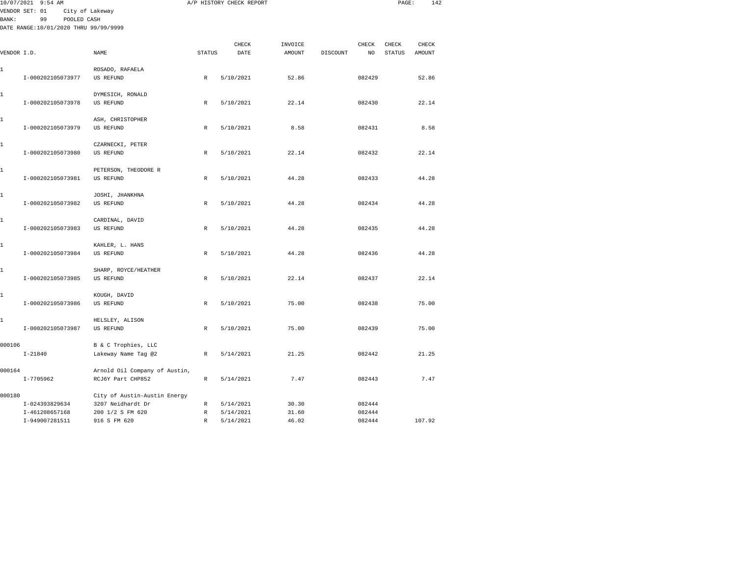| 10/07/2021 9:54 AM<br>VENDOR SET: 01<br>City of Lakeway |                                       |                               | A/P HISTORY CHECK REPORT |               |                   |          |             |                        | 142<br>PAGE:    |  |  |
|---------------------------------------------------------|---------------------------------------|-------------------------------|--------------------------|---------------|-------------------|----------|-------------|------------------------|-----------------|--|--|
|                                                         |                                       |                               |                          |               |                   |          |             |                        |                 |  |  |
| <b>BANK :</b>                                           | 99<br>POOLED CASH                     |                               |                          |               |                   |          |             |                        |                 |  |  |
|                                                         | DATE RANGE:10/01/2020 THRU 99/99/9999 |                               |                          |               |                   |          |             |                        |                 |  |  |
|                                                         |                                       |                               |                          |               |                   |          |             |                        |                 |  |  |
| VENDOR I.D.                                             |                                       | NAME                          | <b>STATUS</b>            | CHECK<br>DATE | INVOICE<br>AMOUNT | DISCOUNT | CHECK<br>NO | CHECK<br><b>STATUS</b> | CHECK<br>AMOUNT |  |  |
|                                                         |                                       |                               |                          |               |                   |          |             |                        |                 |  |  |
| 1                                                       |                                       | ROSADO, RAFAELA               |                          |               |                   |          |             |                        |                 |  |  |
|                                                         | I-000202105073977                     | US REFUND                     | $\,$ R                   | 5/10/2021     | 52.86             |          | 082429      |                        | 52.86           |  |  |
| 1                                                       |                                       | DYMESICH, RONALD              |                          |               |                   |          |             |                        |                 |  |  |
|                                                         | I-000202105073978                     | <b>US REFUND</b>              | $\,$ R                   | 5/10/2021     | 22.14             |          | 082430      |                        | 22.14           |  |  |
| 1                                                       |                                       | ASH, CHRISTOPHER              |                          |               |                   |          |             |                        |                 |  |  |
|                                                         | I-000202105073979                     | US REFUND                     | $\mathbb R$              | 5/10/2021     | 8.58              |          | 082431      |                        | 8.58            |  |  |
| 1                                                       |                                       | CZARNECKI, PETER              |                          |               |                   |          |             |                        |                 |  |  |
|                                                         | I-000202105073980                     | <b>US REFUND</b>              | R                        | 5/10/2021     | 22.14             |          | 082432      |                        | 22.14           |  |  |
| 1                                                       |                                       | PETERSON, THEODORE R          |                          |               |                   |          |             |                        |                 |  |  |
|                                                         | I-000202105073981                     | US REFUND                     | R                        | 5/10/2021     | 44.28             |          | 082433      |                        | 44.28           |  |  |
| 1                                                       |                                       | JOSHI, JHANKHNA               |                          |               |                   |          |             |                        |                 |  |  |
|                                                         | I-000202105073982                     | <b>US REFUND</b>              | $\mathbb{R}$             | 5/10/2021     | 44.28             |          | 082434      |                        | 44.28           |  |  |
| 1                                                       |                                       | CARDINAL, DAVID               |                          |               |                   |          |             |                        |                 |  |  |
|                                                         | I-000202105073983                     | US REFUND                     | $\mathbb{R}$             | 5/10/2021     | 44.28             |          | 082435      |                        | 44.28           |  |  |
| 1                                                       |                                       | KAHLER, L. HANS               |                          |               |                   |          |             |                        |                 |  |  |
|                                                         | I-000202105073984                     | <b>US REFUND</b>              | R                        | 5/10/2021     | 44.28             |          | 082436      |                        | 44.28           |  |  |
| 1                                                       |                                       | SHARP, ROYCE/HEATHER          |                          |               |                   |          |             |                        |                 |  |  |
|                                                         | I-000202105073985                     | US REFUND                     | R                        | 5/10/2021     | 22.14             |          | 082437      |                        | 22.14           |  |  |
| 1                                                       |                                       | KOUGH, DAVID                  |                          |               |                   |          |             |                        |                 |  |  |
|                                                         | I-000202105073986                     | <b>US REFUND</b>              | $\,$ R                   | 5/10/2021     | 75.00             |          | 082438      |                        | 75.00           |  |  |
| 1                                                       |                                       | HELSLEY, ALISON               |                          |               |                   |          |             |                        |                 |  |  |
|                                                         | I-000202105073987                     | US REFUND                     | $\mathbb R$              | 5/10/2021     | 75.00             |          | 082439      |                        | 75.00           |  |  |
| 000106                                                  |                                       | B & C Trophies, LLC           |                          |               |                   |          |             |                        |                 |  |  |
|                                                         | $I - 21840$                           | Lakeway Name Tag @2           | $\,$ R                   | 5/14/2021     | 21.25             |          | 082442      |                        | 21.25           |  |  |
| 000164                                                  |                                       | Arnold Oil Company of Austin, |                          |               |                   |          |             |                        |                 |  |  |
|                                                         | $I - 7705962$                         | RCJ6Y Part CHP852             | R                        | 5/14/2021     | 7.47              |          | 082443      |                        | 7.47            |  |  |
| 000180                                                  |                                       | City of Austin-Austin Energy  |                          |               |                   |          |             |                        |                 |  |  |
|                                                         | I-024393829634                        | 3207 Neidhardt Dr             | $\mathbb{R}$             | 5/14/2021     | 30.30             |          | 082444      |                        |                 |  |  |
|                                                         | I-461208657168                        | 200 1/2 S FM 620              | R                        | 5/14/2021     | 31.60             |          | 082444      |                        |                 |  |  |
|                                                         | I-949007281511                        | 916 S FM 620                  | $\mathbb{R}$             | 5/14/2021     | 46.02             |          | 082444      |                        | 107.92          |  |  |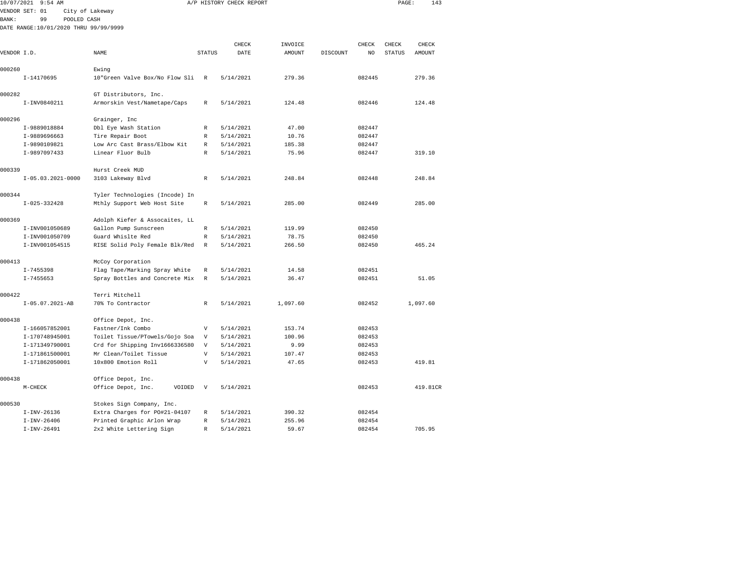| 10/07/2021   | $9:54$ AM                             |                                |                           | A/P HISTORY CHECK REPORT |          |          |        | PAGE:         | 143      |
|--------------|---------------------------------------|--------------------------------|---------------------------|--------------------------|----------|----------|--------|---------------|----------|
|              | VENDOR SET: 01                        | City of Lakeway                |                           |                          |          |          |        |               |          |
| <b>BANK:</b> | 99<br>POOLED CASH                     |                                |                           |                          |          |          |        |               |          |
|              | DATE RANGE:10/01/2020 THRU 99/99/9999 |                                |                           |                          |          |          |        |               |          |
|              |                                       |                                |                           |                          |          |          |        |               |          |
|              |                                       |                                |                           | CHECK                    | INVOICE  |          | CHECK  | CHECK         | CHECK    |
| VENDOR I.D.  |                                       | NAME                           | <b>STATUS</b>             | DATE                     | AMOUNT   | DISCOUNT | NO     | <b>STATUS</b> | AMOUNT   |
| 000260       |                                       | Ewing                          |                           |                          |          |          |        |               |          |
|              | I-14170695                            | 10"Green Valve Box/No Flow Sli | $\mathbb R$               | 5/14/2021                | 279.36   |          | 082445 |               | 279.36   |
|              |                                       |                                |                           |                          |          |          |        |               |          |
| 000282       |                                       | GT Distributors, Inc.          |                           |                          |          |          |        |               |          |
|              | I-INV0840211                          | Armorskin Vest/Nametape/Caps   | R                         | 5/14/2021                | 124.48   |          | 082446 |               | 124.48   |
|              |                                       |                                |                           |                          |          |          |        |               |          |
| 000296       |                                       | Grainger, Inc                  |                           |                          |          |          |        |               |          |
|              | I-9889018884                          | Dbl Eye Wash Station           | R                         | 5/14/2021                | 47.00    |          | 082447 |               |          |
|              | I-9889696663                          | Tire Repair Boot               | R                         | 5/14/2021                | 10.76    |          | 082447 |               |          |
|              | I-9890109821                          | Low Arc Cast Brass/Elbow Kit   | R                         | 5/14/2021                | 185.38   |          | 082447 |               |          |
|              | I-9897097433                          | Linear Fluor Bulb              | $\mathbb{R}$              | 5/14/2021                | 75.96    |          | 082447 |               | 319.10   |
| 000339       |                                       | Hurst Creek MUD                |                           |                          |          |          |        |               |          |
|              | $I-05.03.2021-0000$                   | 3103 Lakeway Blvd              | R                         | 5/14/2021                | 248.84   |          | 082448 |               | 248.84   |
|              |                                       |                                |                           |                          |          |          |        |               |          |
| 000344       |                                       | Tyler Technologies (Incode) In |                           |                          |          |          |        |               |          |
|              | $I - 025 - 332428$                    | Mthly Support Web Host Site    | $\mathbb R$               | 5/14/2021                | 285.00   |          | 082449 |               | 285.00   |
|              |                                       |                                |                           |                          |          |          |        |               |          |
| 000369       |                                       | Adolph Kiefer & Assocaites, LL |                           |                          |          |          |        |               |          |
|              | I-INV001050689                        | Gallon Pump Sunscreen          | R                         | 5/14/2021                | 119.99   |          | 082450 |               |          |
|              | I-INV001050709                        | Guard Whislte Red              | R                         | 5/14/2021                | 78.75    |          | 082450 |               |          |
|              | I-INV001054515                        | RISE Solid Poly Female Blk/Red | R                         | 5/14/2021                | 266.50   |          | 082450 |               | 465.24   |
| 000413       |                                       | McCoy Corporation              |                           |                          |          |          |        |               |          |
|              | I-7455398                             | Flag Tape/Marking Spray White  | R                         | 5/14/2021                | 14.58    |          | 082451 |               |          |
|              | $I - 7455653$                         | Spray Bottles and Concrete Mix | R                         | 5/14/2021                | 36.47    |          | 082451 |               | 51.05    |
|              |                                       |                                |                           |                          |          |          |        |               |          |
| 000422       |                                       | Terri Mitchell                 |                           |                          |          |          |        |               |          |
|              | $I-05.07.2021-AB$                     | 70% To Contractor              | R                         | 5/14/2021                | 1,097.60 |          | 082452 |               | 1,097.60 |
|              |                                       |                                |                           |                          |          |          |        |               |          |
| 000438       |                                       | Office Depot, Inc.             |                           |                          |          |          |        |               |          |
|              | I-166057852001                        | Fastner/Ink Combo              | $\boldsymbol{\mathrm{V}}$ | 5/14/2021                | 153.74   |          | 082453 |               |          |
|              | I-170748945001                        | Toilet Tissue/PTowels/Gojo Soa | V                         | 5/14/2021                | 100.96   |          | 082453 |               |          |
|              | I-171349790001                        | Crd for Shipping Inv1666336580 | V                         | 5/14/2021                | 9.99     |          | 082453 |               |          |
|              | I-171861500001                        | Mr Clean/Toilet Tissue         | $\boldsymbol{\mathrm{V}}$ | 5/14/2021                | 107.47   |          | 082453 |               |          |
|              | I-171862050001                        | 10x800 Emotion Roll            | $\mathbf{V}$              | 5/14/2021                | 47.65    |          | 082453 |               | 419.81   |
|              |                                       |                                |                           |                          |          |          |        |               |          |
| 000438       |                                       | Office Depot, Inc.             |                           |                          |          |          |        |               |          |
|              | M-CHECK                               | Office Depot, Inc.<br>VOIDED   | $\mathbf v$               | 5/14/2021                |          |          | 082453 |               | 419.81CR |
| 000530       |                                       | Stokes Sign Company, Inc.      |                           |                          |          |          |        |               |          |
|              | $I-INV-26136$                         | Extra Charges for PO#21-04107  | R                         | 5/14/2021                | 390.32   |          | 082454 |               |          |
|              | $I-INV-26406$                         | Printed Graphic Arlon Wrap     | R                         | 5/14/2021                | 255.96   |          | 082454 |               |          |

I-INV-26491 2x2 White Lettering Sign R 5/14/2021 59.67 082454 705.95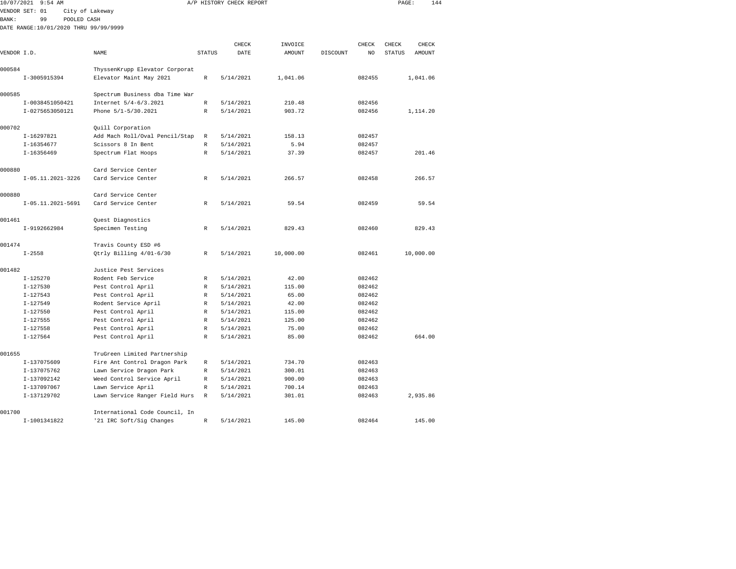| 10/07/2021  | $9:54$ AM                             |                                                              |               | A/P HISTORY CHECK REPORT |           |          |        | PAGE:         | 144       |
|-------------|---------------------------------------|--------------------------------------------------------------|---------------|--------------------------|-----------|----------|--------|---------------|-----------|
|             | VENDOR SET: 01                        | City of Lakeway                                              |               |                          |           |          |        |               |           |
| BANK:       | 99<br>POOLED CASH                     |                                                              |               |                          |           |          |        |               |           |
|             | DATE RANGE:10/01/2020 THRU 99/99/9999 |                                                              |               |                          |           |          |        |               |           |
|             |                                       |                                                              |               |                          |           |          |        |               |           |
|             |                                       |                                                              |               | CHECK                    | INVOICE   |          | CHECK  | CHECK         | CHECK     |
| VENDOR I.D. |                                       | NAME                                                         | <b>STATUS</b> | DATE                     | AMOUNT    | DISCOUNT | NO     | <b>STATUS</b> | AMOUNT    |
|             |                                       |                                                              |               |                          |           |          |        |               |           |
| 000584      |                                       | ThyssenKrupp Elevator Corporat                               |               |                          |           |          |        |               |           |
|             | I-3005915394                          | Elevator Maint May 2021                                      | $\mathbb R$   | 5/14/2021                | 1,041.06  |          | 082455 |               | 1,041.06  |
| 000585      |                                       | Spectrum Business dba Time War                               |               |                          |           |          |        |               |           |
|             | I-0038451050421                       | Internet 5/4-6/3.2021                                        | $\mathbb R$   | 5/14/2021                | 210.48    |          | 082456 |               |           |
|             | I-0275653050121                       | Phone 5/1-5/30.2021                                          | R             | 5/14/2021                | 903.72    |          | 082456 |               | 1,114.20  |
|             |                                       |                                                              |               |                          |           |          |        |               |           |
| 000702      |                                       | Quill Corporation                                            |               |                          |           |          |        |               |           |
|             | I-16297821                            | Add Mach Roll/Oval Pencil/Stap                               | R             | 5/14/2021                | 158.13    |          | 082457 |               |           |
|             | I-16354677                            | Scissors 8 In Bent                                           | $\mathbb R$   | 5/14/2021                | 5.94      |          | 082457 |               |           |
|             | $I-16356469$                          | Spectrum Flat Hoops                                          | $\mathbb R$   | 5/14/2021                | 37.39     |          | 082457 |               | 201.46    |
|             |                                       |                                                              |               |                          |           |          |        |               |           |
| 000880      |                                       | Card Service Center                                          |               |                          |           |          |        |               |           |
|             | I-05.11.2021-3226                     | Card Service Center                                          | R             | 5/14/2021                | 266.57    |          | 082458 |               | 266.57    |
|             |                                       |                                                              |               |                          |           |          |        |               |           |
| 000880      |                                       | Card Service Center                                          |               |                          |           |          |        |               |           |
|             | I-05.11.2021-5691                     | Card Service Center                                          | R             | 5/14/2021                | 59.54     |          | 082459 |               | 59.54     |
| 001461      |                                       | Quest Diagnostics                                            |               |                          |           |          |        |               |           |
|             | I-9192662984                          | Specimen Testing                                             | R             | 5/14/2021                | 829.43    |          | 082460 |               | 829.43    |
|             |                                       |                                                              |               |                          |           |          |        |               |           |
| 001474      |                                       | Travis County ESD #6                                         |               |                          |           |          |        |               |           |
|             | $I - 2558$                            | Qtrly Billing 4/01-6/30                                      | R             | 5/14/2021                | 10,000.00 |          | 082461 |               | 10,000.00 |
|             |                                       |                                                              |               |                          |           |          |        |               |           |
| 001482      |                                       | Justice Pest Services                                        |               |                          |           |          |        |               |           |
|             | $I-125270$                            | Rodent Feb Service                                           | R             | 5/14/2021                | 42.00     |          | 082462 |               |           |
|             | $I - 127530$                          | Pest Control April                                           | $\mathbb R$   | 5/14/2021                | 115.00    |          | 082462 |               |           |
|             | $I - 127543$                          | Pest Control April                                           | $\mathbb R$   | 5/14/2021                | 65.00     |          | 082462 |               |           |
|             | $I - 127549$                          | Rodent Service April                                         | $\mathbb R$   | 5/14/2021                | 42.00     |          | 082462 |               |           |
|             | $I - 127550$                          | Pest Control April                                           | $\mathbb R$   | 5/14/2021                | 115.00    |          | 082462 |               |           |
|             | $I - 127555$                          | Pest Control April                                           | R             | 5/14/2021                | 125.00    |          | 082462 |               |           |
|             | $I - 127558$                          | Pest Control April                                           | $\mathbb R$   | 5/14/2021                | 75.00     |          | 082462 |               |           |
|             | $I-127564$                            | Pest Control April                                           | $\mathbb R$   | 5/14/2021                | 85.00     |          | 082462 |               | 664.00    |
| 001655      |                                       |                                                              |               |                          |           |          |        |               |           |
|             | I-137075609                           | TruGreen Limited Partnership<br>Fire Ant Control Dragon Park | R             | 5/14/2021                | 734.70    |          | 082463 |               |           |
|             | I-137075762                           | Lawn Service Dragon Park                                     | R             | 5/14/2021                | 300.01    |          | 082463 |               |           |
|             | I-137092142                           | Weed Control Service April                                   | $\mathbb R$   | 5/14/2021                | 900.00    |          | 082463 |               |           |
|             | I-137097067                           | Lawn Service April                                           | $\mathbb R$   | 5/14/2021                | 700.14    |          | 082463 |               |           |
|             | I-137129702                           | Lawn Service Ranger Field Hurs                               | $\mathbb R$   | 5/14/2021                | 301.01    |          | 082463 |               | 2,935.86  |
|             |                                       |                                                              |               |                          |           |          |        |               |           |
| 001700      |                                       | International Code Council, In                               |               |                          |           |          |        |               |           |

I-1001341822 '21 IRC Soft/Sig Changes R 5/14/2021 145.00 082464 145.00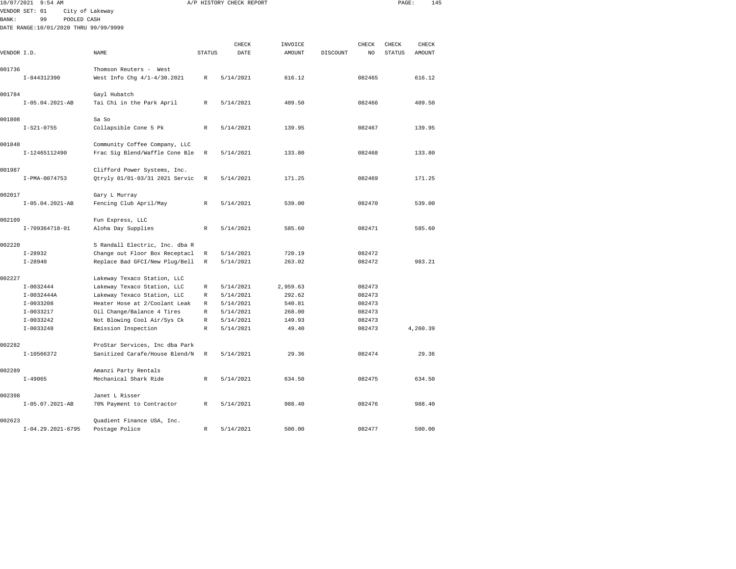|              | 10/07/2021 9:54 AM                    |                                                                  |               | A/P HISTORY CHECK REPORT |          |                 |        | PAGE:         | 145      |  |
|--------------|---------------------------------------|------------------------------------------------------------------|---------------|--------------------------|----------|-----------------|--------|---------------|----------|--|
|              | VENDOR SET: 01                        | City of Lakeway                                                  |               |                          |          |                 |        |               |          |  |
| <b>BANK:</b> | 99<br>POOLED CASH                     |                                                                  |               |                          |          |                 |        |               |          |  |
|              | DATE RANGE:10/01/2020 THRU 99/99/9999 |                                                                  |               |                          |          |                 |        |               |          |  |
|              |                                       |                                                                  |               |                          |          |                 |        |               |          |  |
|              |                                       |                                                                  |               | CHECK                    | INVOICE  |                 | CHECK  | CHECK         | CHECK    |  |
| VENDOR I.D.  |                                       | $\ensuremath{\mathsf{NAME}}$                                     | <b>STATUS</b> | DATE                     | AMOUNT   | <b>DISCOUNT</b> | NO     | <b>STATUS</b> | AMOUNT   |  |
| 001736       |                                       | Thomson Reuters - West                                           |               |                          |          |                 |        |               |          |  |
|              | I-844312390                           | West Info Chg 4/1-4/30.2021                                      | R             | 5/14/2021                | 616.12   |                 | 082465 |               | 616.12   |  |
|              |                                       |                                                                  |               |                          |          |                 |        |               |          |  |
| 001784       |                                       | Gayl Hubatch                                                     |               |                          |          |                 |        |               |          |  |
|              | $I-05.04.2021-AB$                     | Tai Chi in the Park April                                        | $\mathbb R$   | 5/14/2021                | 409.50   |                 | 082466 |               | 409.50   |  |
|              |                                       |                                                                  |               |                          |          |                 |        |               |          |  |
| 001808       | $I-S21-0755$                          | Sa So<br>Collapsible Cone 5 Pk                                   | $\mathbb R$   | 5/14/2021                | 139.95   |                 | 082467 |               | 139.95   |  |
|              |                                       |                                                                  |               |                          |          |                 |        |               |          |  |
| 001848       |                                       | Community Coffee Company, LLC                                    |               |                          |          |                 |        |               |          |  |
|              | I-12465112490                         | Frac Sig Blend/Waffle Cone Ble                                   | R             | 5/14/2021                | 133.80   |                 | 082468 |               | 133.80   |  |
|              |                                       |                                                                  |               |                          |          |                 |        |               |          |  |
| 001987       |                                       | Clifford Power Systems, Inc.                                     |               |                          |          |                 |        |               |          |  |
|              | I-PMA-0074753                         | Qtryly 01/01-03/31 2021 Servic                                   | R             | 5/14/2021                | 171.25   |                 | 082469 |               | 171.25   |  |
|              |                                       |                                                                  |               |                          |          |                 |        |               |          |  |
| 002017       | $I-05.04.2021-AB$                     | Gary L Murray                                                    | $\mathbb R$   | 5/14/2021                | 539.00   |                 | 082470 |               | 539.00   |  |
|              |                                       | Fencing Club April/May                                           |               |                          |          |                 |        |               |          |  |
| 002109       |                                       | Fun Express, LLC                                                 |               |                          |          |                 |        |               |          |  |
|              | I-709364718-01                        | Aloha Day Supplies                                               | R             | 5/14/2021                | 585.60   |                 | 082471 |               | 585.60   |  |
|              |                                       |                                                                  |               |                          |          |                 |        |               |          |  |
| 002220       |                                       | S Randall Electric, Inc. dba R                                   |               |                          |          |                 |        |               |          |  |
|              | $I-28932$                             | Change out Floor Box Receptacl                                   | R             | 5/14/2021                | 720.19   |                 | 082472 |               |          |  |
|              | $I - 28940$                           | Replace Bad GFCI/New Plug/Bell                                   | R             | 5/14/2021                | 263.02   |                 | 082472 |               | 983.21   |  |
| 002227       |                                       | Lakeway Texaco Station, LLC                                      |               |                          |          |                 |        |               |          |  |
|              | $I-0032444$                           | Lakeway Texaco Station, LLC                                      | R             | 5/14/2021                | 2,959.63 |                 | 082473 |               |          |  |
|              | $I-0032444A$                          | Lakeway Texaco Station, LLC                                      | R             | 5/14/2021                | 292.62   |                 | 082473 |               |          |  |
|              | $I-0033208$                           | Heater Hose at 2/Coolant Leak                                    | R             | 5/14/2021                | 540.81   |                 | 082473 |               |          |  |
|              | I-0033217                             | Oil Change/Balance 4 Tires                                       | R             | 5/14/2021                | 268.00   |                 | 082473 |               |          |  |
|              | I-0033242                             | Not Blowing Cool Air/Sys Ck                                      | R             | 5/14/2021                | 149.93   |                 | 082473 |               |          |  |
|              | $I-0033248$                           | Emission Inspection                                              | R             | 5/14/2021                | 49.40    |                 | 082473 |               | 4,260.39 |  |
|              |                                       |                                                                  |               |                          |          |                 |        |               |          |  |
| 002282       | $I-10566372$                          | ProStar Services, Inc dba Park<br>Sanitized Carafe/House Blend/N |               | 5/14/2021                | 29.36    |                 | 082474 |               | 29.36    |  |
|              |                                       |                                                                  | R             |                          |          |                 |        |               |          |  |
| 002289       |                                       | Amanzi Party Rentals                                             |               |                          |          |                 |        |               |          |  |
|              | $I - 49065$                           | Mechanical Shark Ride                                            | R             | 5/14/2021                | 634.50   |                 | 082475 |               | 634.50   |  |
|              |                                       |                                                                  |               |                          |          |                 |        |               |          |  |
| 002398       |                                       | Janet L Risser                                                   |               |                          |          |                 |        |               |          |  |
|              | $I-05.07.2021-AB$                     | 70% Payment to Contractor                                        | R             | 5/14/2021                | 988.40   |                 | 082476 |               | 988.40   |  |
| 002623       |                                       |                                                                  |               |                          |          |                 |        |               |          |  |
|              | $I-04.29.2021-6795$                   | Quadient Finance USA, Inc.<br>Postage Police                     | R             | 5/14/2021                | 500.00   |                 | 082477 |               | 500.00   |  |
|              |                                       |                                                                  |               |                          |          |                 |        |               |          |  |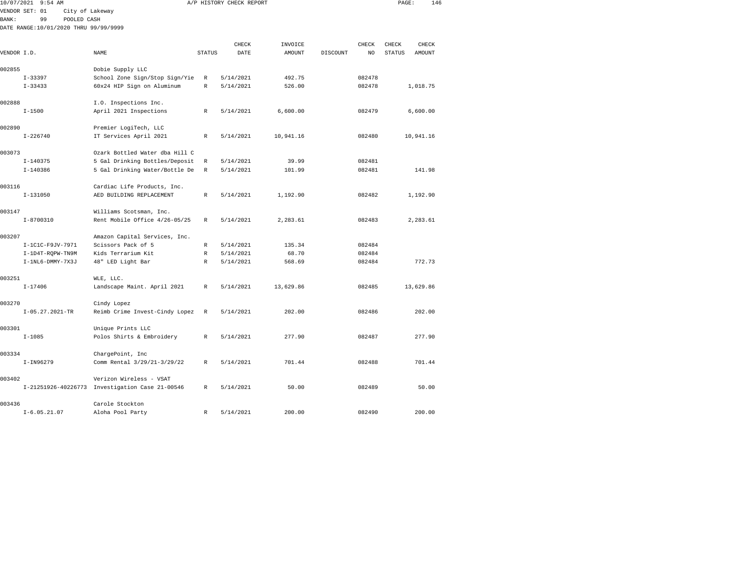| 10/07/2021   | $9:54$ AM                             |                 |                                                 |               | A/P HISTORY CHECK REPORT |               |          |        | PAGE:         | 146       |  |
|--------------|---------------------------------------|-----------------|-------------------------------------------------|---------------|--------------------------|---------------|----------|--------|---------------|-----------|--|
|              | VENDOR SET: 01                        | City of Lakeway |                                                 |               |                          |               |          |        |               |           |  |
| <b>BANK:</b> | 99                                    | POOLED CASH     |                                                 |               |                          |               |          |        |               |           |  |
|              | DATE RANGE:10/01/2020 THRU 99/99/9999 |                 |                                                 |               |                          |               |          |        |               |           |  |
|              |                                       |                 |                                                 |               |                          |               |          |        |               |           |  |
|              |                                       |                 |                                                 |               | CHECK                    | INVOICE       |          | CHECK  | CHECK         | CHECK     |  |
| VENDOR I.D.  |                                       | <b>NAME</b>     |                                                 | <b>STATUS</b> | DATE                     | <b>AMOUNT</b> | DISCOUNT | NO     | <b>STATUS</b> | AMOUNT    |  |
| 002855       |                                       |                 | Dobie Supply LLC                                |               |                          |               |          |        |               |           |  |
|              | $I - 33397$                           |                 | School Zone Sign/Stop Sign/Yie                  | R             | 5/14/2021                | 492.75        |          | 082478 |               |           |  |
|              | $I - 33433$                           |                 | 60x24 HIP Sign on Aluminum                      | $\mathbb R$   | 5/14/2021                | 526.00        |          | 082478 |               | 1,018.75  |  |
|              |                                       |                 |                                                 |               |                          |               |          |        |               |           |  |
| 002888       |                                       |                 | I.O. Inspections Inc.                           |               |                          |               |          |        |               |           |  |
|              | $I - 1500$                            |                 | April 2021 Inspections                          | $\mathbb R$   | 5/14/2021                | 6,600.00      |          | 082479 |               | 6,600.00  |  |
|              |                                       |                 |                                                 |               |                          |               |          |        |               |           |  |
| 002890       |                                       |                 | Premier LogiTech, LLC                           |               |                          |               |          |        |               |           |  |
|              | $I - 226740$                          |                 | IT Services April 2021                          | R             | 5/14/2021                | 10,941.16     |          | 082480 |               | 10,941.16 |  |
| 003073       |                                       |                 | Ozark Bottled Water dba Hill C                  |               |                          |               |          |        |               |           |  |
|              | $I - 140375$                          |                 | 5 Gal Drinking Bottles/Deposit                  | R             | 5/14/2021                | 39.99         |          | 082481 |               |           |  |
|              | $I - 140386$                          |                 | 5 Gal Drinking Water/Bottle De                  | R             | 5/14/2021                | 101.99        |          | 082481 |               | 141.98    |  |
|              |                                       |                 |                                                 |               |                          |               |          |        |               |           |  |
| 003116       |                                       |                 | Cardiac Life Products, Inc.                     |               |                          |               |          |        |               |           |  |
|              | $I - 131050$                          |                 | AED BUILDING REPLACEMENT                        | $\mathbb{R}$  | 5/14/2021                | 1,192.90      |          | 082482 |               | 1,192.90  |  |
|              |                                       |                 |                                                 |               |                          |               |          |        |               |           |  |
| 003147       |                                       |                 | Williams Scotsman, Inc.                         |               |                          |               |          |        |               |           |  |
|              | $I-8700310$                           |                 | Rent Mobile Office 4/26-05/25                   | $\mathbb{R}$  | 5/14/2021                | 2,283.61      |          | 082483 |               | 2,283.61  |  |
| 003207       |                                       |                 | Amazon Capital Services, Inc.                   |               |                          |               |          |        |               |           |  |
|              | I-1C1C-F9JV-7971                      |                 | Scissors Pack of 5                              | R             | 5/14/2021                | 135.34        |          | 082484 |               |           |  |
|              | I-1D4T-RQPW-TN9M                      |                 | Kids Terrarium Kit                              | R             | 5/14/2021                | 68.70         |          | 082484 |               |           |  |
|              | I-1NL6-DMMY-7X3J                      |                 | 48" LED Light Bar                               | R             | 5/14/2021                | 568.69        |          | 082484 |               | 772.73    |  |
|              |                                       |                 |                                                 |               |                          |               |          |        |               |           |  |
| 003251       |                                       |                 | WLE, LLC.                                       |               |                          |               |          |        |               |           |  |
|              | $I - 17406$                           |                 | Landscape Maint. April 2021                     | R             | 5/14/2021                | 13,629.86     |          | 082485 |               | 13,629.86 |  |
|              |                                       |                 |                                                 |               |                          |               |          |        |               |           |  |
| 003270       |                                       |                 | Cindy Lopez                                     |               |                          |               |          |        |               |           |  |
|              | $I-05.27.2021-TR$                     |                 | Reimb Crime Invest-Cindy Lopez                  | R             | 5/14/2021                | 202.00        |          | 082486 |               | 202.00    |  |
| 003301       |                                       |                 | Unique Prints LLC                               |               |                          |               |          |        |               |           |  |
|              | $I - 1085$                            |                 | Polos Shirts & Embroidery                       | $\mathbb R$   | 5/14/2021                | 277.90        |          | 082487 |               | 277.90    |  |
|              |                                       |                 |                                                 |               |                          |               |          |        |               |           |  |
| 003334       |                                       |                 | ChargePoint, Inc                                |               |                          |               |          |        |               |           |  |
|              | I-IN96279                             |                 | Comm Rental 3/29/21-3/29/22                     | R             | 5/14/2021                | 701.44        |          | 082488 |               | 701.44    |  |
|              |                                       |                 |                                                 |               |                          |               |          |        |               |           |  |
| 003402       |                                       |                 | Verizon Wireless - VSAT                         |               |                          |               |          |        |               |           |  |
|              |                                       |                 | I-21251926-40226773 Investigation Case 21-00546 | R             | 5/14/2021                | 50.00         |          | 082489 |               | 50.00     |  |
|              |                                       |                 |                                                 |               |                          |               |          |        |               |           |  |

I-6.05.21.07 Aloha Pool Party R 5/14/2021 200.00 082490 200.00

003436 Carole Stockton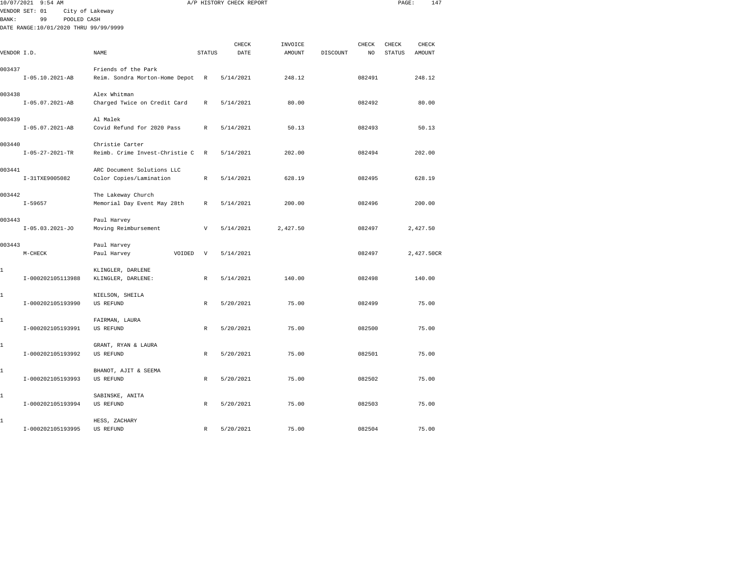|             | 10/07/2021 9:54 AM                    |                                                       |                           | A/P HISTORY CHECK REPORT |          |          |        | PAGE:         | 147           |  |
|-------------|---------------------------------------|-------------------------------------------------------|---------------------------|--------------------------|----------|----------|--------|---------------|---------------|--|
|             | VENDOR SET: 01                        | City of Lakeway                                       |                           |                          |          |          |        |               |               |  |
| BANK:       | 99<br>POOLED CASH                     |                                                       |                           |                          |          |          |        |               |               |  |
|             | DATE RANGE:10/01/2020 THRU 99/99/9999 |                                                       |                           |                          |          |          |        |               |               |  |
|             |                                       |                                                       |                           | CHECK                    | INVOICE  |          | CHECK  | CHECK         | CHECK         |  |
| VENDOR I.D. |                                       | <b>NAME</b>                                           | <b>STATUS</b>             | DATE                     | AMOUNT   | DISCOUNT | NO.    | <b>STATUS</b> | <b>AMOUNT</b> |  |
|             |                                       |                                                       |                           |                          |          |          |        |               |               |  |
| 003437      | $I-05.10.2021-AB$                     | Friends of the Park<br>Reim. Sondra Morton-Home Depot | $\mathbb R$               | 5/14/2021                | 248.12   |          | 082491 |               | 248.12        |  |
|             |                                       |                                                       |                           |                          |          |          |        |               |               |  |
| 003438      |                                       | Alex Whitman                                          |                           |                          |          |          |        |               |               |  |
|             | $I-05.07.2021-AB$                     | Charged Twice on Credit Card                          | R                         | 5/14/2021                | 80.00    |          | 082492 |               | 80.00         |  |
| 003439      |                                       | Al Malek                                              |                           |                          |          |          |        |               |               |  |
|             | $I-05.07.2021-AB$                     | Covid Refund for 2020 Pass                            | $\mathbb R$               | 5/14/2021                | 50.13    |          | 082493 |               | 50.13         |  |
|             |                                       |                                                       |                           |                          |          |          |        |               |               |  |
| 003440      |                                       | Christie Carter                                       |                           |                          |          |          |        |               |               |  |
|             | $I - 05 - 27 - 2021 - TR$             | Reimb. Crime Invest-Christie C                        | R                         | 5/14/2021                | 202.00   |          | 082494 |               | 202.00        |  |
| 003441      |                                       | ARC Document Solutions LLC                            |                           |                          |          |          |        |               |               |  |
|             | I-31TXE9005082                        | Color Copies/Lamination                               | $\mathbb{R}$              | 5/14/2021                | 628.19   |          | 082495 |               | 628.19        |  |
|             |                                       |                                                       |                           |                          |          |          |        |               |               |  |
| 003442      |                                       | The Lakeway Church                                    |                           |                          |          |          |        |               |               |  |
|             | $I - 59657$                           | Memorial Day Event May 28th                           | R                         | 5/14/2021                | 200.00   |          | 082496 |               | 200.00        |  |
| 003443      |                                       | Paul Harvey                                           |                           |                          |          |          |        |               |               |  |
|             | $I-05.03.2021-J0$                     | Moving Reimbursement                                  | $\boldsymbol{\mathrm{V}}$ | 5/14/2021                | 2,427.50 |          | 082497 |               | 2,427.50      |  |
|             |                                       |                                                       |                           |                          |          |          |        |               |               |  |
| 003443      | $M-CHECK$                             | Paul Harvey<br>VOIDED<br>Paul Harvey                  | $\boldsymbol{\mathrm{V}}$ | 5/14/2021                |          |          | 082497 |               | 2,427.50CR    |  |
|             |                                       |                                                       |                           |                          |          |          |        |               |               |  |
| 1           |                                       | KLINGLER, DARLENE                                     |                           |                          |          |          |        |               |               |  |
|             | I-000202105113988                     | KLINGLER, DARLENE:                                    | R                         | 5/14/2021                | 140.00   |          | 082498 |               | 140.00        |  |
| 1           |                                       | NIELSON, SHEILA                                       |                           |                          |          |          |        |               |               |  |
|             | I-000202105193990                     | <b>US REFUND</b>                                      | $\mathbb{R}$              | 5/20/2021                | 75.00    |          | 082499 |               | 75.00         |  |
|             |                                       |                                                       |                           |                          |          |          |        |               |               |  |
| 1           |                                       | FAIRMAN, LAURA                                        |                           |                          |          |          |        |               |               |  |
|             | I-000202105193991                     | <b>US REFUND</b>                                      | $\mathbb R$               | 5/20/2021                | 75.00    |          | 082500 |               | 75.00         |  |
| 1           |                                       | GRANT, RYAN & LAURA                                   |                           |                          |          |          |        |               |               |  |
|             | I-000202105193992                     | <b>US REFUND</b>                                      | R                         | 5/20/2021                | 75.00    |          | 082501 |               | 75.00         |  |
|             |                                       |                                                       |                           |                          |          |          |        |               |               |  |
| 1           |                                       | BHANOT, AJIT & SEEMA                                  |                           |                          |          |          |        |               |               |  |
|             | I-000202105193993                     | US REFUND                                             | $\mathbb R$               | 5/20/2021                | 75.00    |          | 082502 |               | 75.00         |  |
| 1           |                                       | SABINSKE, ANITA                                       |                           |                          |          |          |        |               |               |  |
|             | I-000202105193994                     | US REFUND                                             | R                         | 5/20/2021                | 75.00    |          | 082503 |               | 75.00         |  |
|             |                                       |                                                       |                           |                          |          |          |        |               |               |  |
| 1           | I-000202105193995                     | HESS, ZACHARY<br>US REFUND                            | R                         | 5/20/2021                | 75.00    |          | 082504 |               | 75.00         |  |
|             |                                       |                                                       |                           |                          |          |          |        |               |               |  |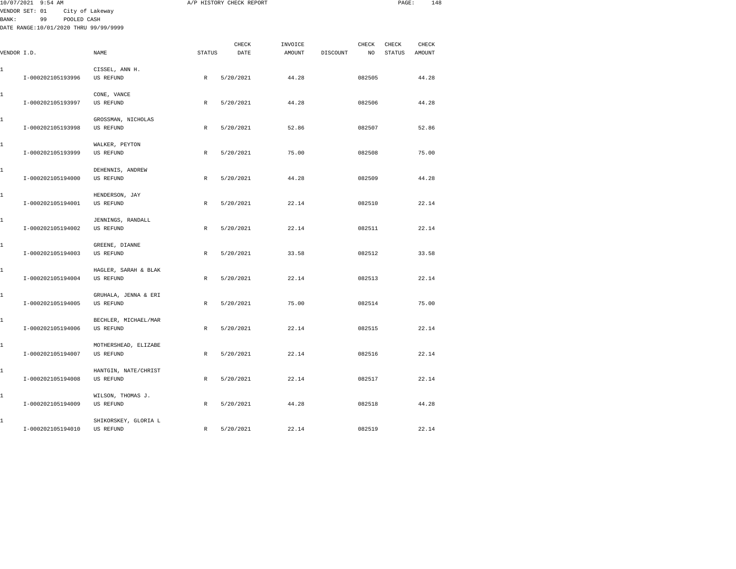| 10/07/2021 9:54 AM                                                                           |                                   |              | A/P HISTORY CHECK REPORT |                   |          |             | PAGE:           | 148             |
|----------------------------------------------------------------------------------------------|-----------------------------------|--------------|--------------------------|-------------------|----------|-------------|-----------------|-----------------|
| VENDOR SET: 01<br>99<br><b>BANK:</b><br>POOLED CASH<br>DATE RANGE:10/01/2020 THRU 99/99/9999 | City of Lakeway                   |              |                          |                   |          |             |                 |                 |
| VENDOR I.D.                                                                                  | NAME                              | STATUS       | CHECK<br>DATE            | INVOICE<br>AMOUNT | DISCOUNT | CHECK<br>NO | CHECK<br>STATUS | CHECK<br>AMOUNT |
| 1<br>I-000202105193996                                                                       | CISSEL, ANN H.<br>US REFUND       | $\mathbb R$  | 5/20/2021                | 44.28             |          | 082505      |                 | 44.28           |
| 1<br>I-000202105193997                                                                       | CONE, VANCE<br>US REFUND          | R            | 5/20/2021                | 44.28             |          | 082506      |                 | 44.28           |
| 1<br>I-000202105193998                                                                       | GROSSMAN, NICHOLAS<br>US REFUND   | $\mathbb R$  | 5/20/2021                | 52.86             |          | 082507      |                 | 52.86           |
| 1<br>I-000202105193999                                                                       | WALKER, PEYTON<br>US REFUND       | $\mathbb R$  | 5/20/2021                | 75.00             |          | 082508      |                 | 75.00           |
| 1<br>I-000202105194000                                                                       | DEHENNIS, ANDREW<br>US REFUND     | $\mathbb R$  | 5/20/2021                | 44.28             |          | 082509      |                 | 44.28           |
| 1<br>I-000202105194001                                                                       | HENDERSON, JAY<br>US REFUND       | R            | 5/20/2021                | 22.14             |          | 082510      |                 | 22.14           |
| 1<br>I-000202105194002                                                                       | JENNINGS, RANDALL<br>US REFUND    | $\,$ R       | 5/20/2021                | 22.14             |          | 082511      |                 | 22.14           |
| 1<br>I-000202105194003                                                                       | GREENE, DIANNE<br>US REFUND       | R            | 5/20/2021                | 33.58             |          | 082512      |                 | 33.58           |
| 1<br>I-000202105194004                                                                       | HAGLER, SARAH & BLAK<br>US REFUND | R            | 5/20/2021                | 22.14             |          | 082513      |                 | 22.14           |
| 1<br>I-000202105194005                                                                       | GRUHALA, JENNA & ERI<br>US REFUND | R            | 5/20/2021                | 75.00             |          | 082514      |                 | 75.00           |
| 1<br>I-000202105194006                                                                       | BECHLER, MICHAEL/MAR<br>US REFUND | $\mathbb{R}$ | 5/20/2021                | 22.14             |          | 082515      |                 | 22.14           |
| 1<br>I-000202105194007                                                                       | MOTHERSHEAD, ELIZABE<br>US REFUND | R            | 5/20/2021                | 22.14             |          | 082516      |                 | 22.14           |
| 1<br>I-000202105194008                                                                       | HANTGIN, NATE/CHRIST<br>US REFUND | $\mathbb{R}$ | 5/20/2021                | 22.14             |          | 082517      |                 | 22.14           |
| 1<br>I-000202105194009                                                                       | WILSON, THOMAS J.<br>US REFUND    | R            | 5/20/2021                | 44.28             |          | 082518      |                 | 44.28           |
| 1                                                                                            | SHIKORSKEY, GLORIA L              |              |                          |                   |          |             |                 |                 |

I-000202105194010 US REFUND R 5/20/2021 22.14 082519 22.14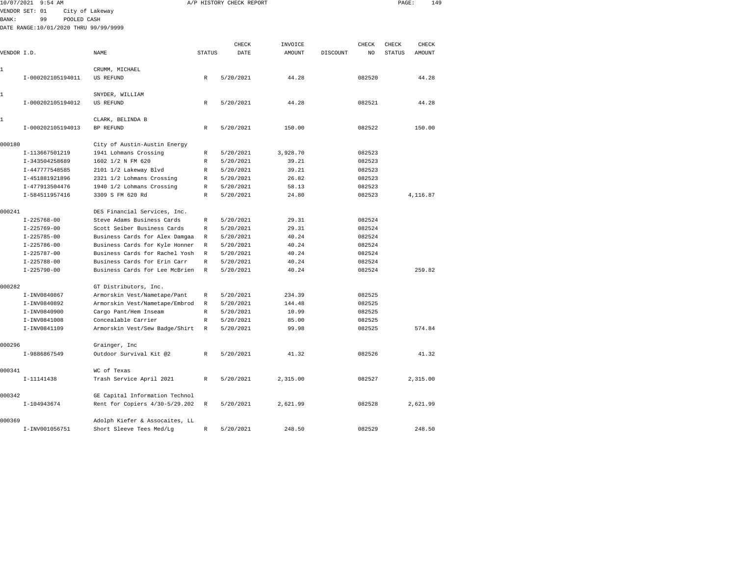|              | 10/07/2021 9:54 AM                    |                                |               | A/P HISTORY CHECK REPORT |          |          |        | PAGE:         | 149      |  |
|--------------|---------------------------------------|--------------------------------|---------------|--------------------------|----------|----------|--------|---------------|----------|--|
|              | VENDOR SET: 01                        | City of Lakeway                |               |                          |          |          |        |               |          |  |
| <b>BANK:</b> | 99<br>POOLED CASH                     |                                |               |                          |          |          |        |               |          |  |
|              | DATE RANGE:10/01/2020 THRU 99/99/9999 |                                |               |                          |          |          |        |               |          |  |
|              |                                       |                                |               |                          |          |          |        |               |          |  |
|              |                                       |                                |               | CHECK                    | INVOICE  |          | CHECK  | CHECK         | CHECK    |  |
| VENDOR I.D.  |                                       | NAME                           | <b>STATUS</b> | DATE                     | AMOUNT   | DISCOUNT | NO     | <b>STATUS</b> | AMOUNT   |  |
| 1            |                                       | CRUMM, MICHAEL                 |               |                          |          |          |        |               |          |  |
|              | I-000202105194011                     | US REFUND                      | R             | 5/20/2021                | 44.28    |          | 082520 |               | 44.28    |  |
|              |                                       |                                |               |                          |          |          |        |               |          |  |
| 1            |                                       | SNYDER, WILLIAM                |               |                          |          |          |        |               |          |  |
|              | I-000202105194012                     | US REFUND                      | R             | 5/20/2021                | 44.28    |          | 082521 |               | 44.28    |  |
|              |                                       |                                |               |                          |          |          |        |               |          |  |
| 1            |                                       | CLARK, BELINDA B               |               |                          |          |          |        |               |          |  |
|              | I-000202105194013                     | BP REFUND                      | R             | 5/20/2021                | 150.00   |          | 082522 |               | 150.00   |  |
|              |                                       |                                |               |                          |          |          |        |               |          |  |
| 000180       |                                       | City of Austin-Austin Energy   |               |                          |          |          |        |               |          |  |
|              | I-113667501219                        | 1941 Lohmans Crossing          | R             | 5/20/2021                | 3,928.70 |          | 082523 |               |          |  |
|              | I-343504258689                        | 1602 1/2 N FM 620              | R             | 5/20/2021                | 39.21    |          | 082523 |               |          |  |
|              | I-447777548585                        | 2101 1/2 Lakeway Blvd          | R             | 5/20/2021                | 39.21    |          | 082523 |               |          |  |
|              | I-451881921896                        | 2321 1/2 Lohmans Crossing      | R             | 5/20/2021                | 26.82    |          | 082523 |               |          |  |
|              | I-477913504476                        | 1940 1/2 Lohmans Crossing      | R             | 5/20/2021                | 58.13    |          | 082523 |               |          |  |
|              | I-584511957416                        | 3309 S FM 620 Rd               | $\mathbb R$   | 5/20/2021                | 24.80    |          | 082523 |               | 4,116.87 |  |
| 000241       |                                       | DES Financial Services, Inc.   |               |                          |          |          |        |               |          |  |
|              | $I - 225768 - 00$                     | Steve Adams Business Cards     | R             | 5/20/2021                | 29.31    |          | 082524 |               |          |  |
|              | $I - 225769 - 00$                     | Scott Seiber Business Cards    | R             | 5/20/2021                | 29.31    |          | 082524 |               |          |  |
|              | $I - 225785 - 00$                     | Business Cards for Alex Damgaa | R             | 5/20/2021                | 40.24    |          | 082524 |               |          |  |
|              | $I - 225786 - 00$                     | Business Cards for Kyle Honner | R             | 5/20/2021                | 40.24    |          | 082524 |               |          |  |
|              | $I - 225787 - 00$                     | Business Cards for Rachel Yosh | R             | 5/20/2021                | 40.24    |          | 082524 |               |          |  |
|              | $I - 225788 - 00$                     | Business Cards for Erin Carr   | R             | 5/20/2021                | 40.24    |          | 082524 |               |          |  |
|              | $I - 225790 - 00$                     | Business Cards for Lee McBrien | R             | 5/20/2021                | 40.24    |          | 082524 |               | 259.82   |  |
|              |                                       |                                |               |                          |          |          |        |               |          |  |
| 000282       |                                       | GT Distributors, Inc.          |               |                          |          |          |        |               |          |  |
|              | I-INV0840867                          | Armorskin Vest/Nametape/Pant   | R             | 5/20/2021                | 234.39   |          | 082525 |               |          |  |
|              | I-INV0840892                          | Armorskin Vest/Nametape/Embrod | R             | 5/20/2021                | 144.48   |          | 082525 |               |          |  |
|              | I-INV0840900                          | Cargo Pant/Hem Inseam          | R             | 5/20/2021                | 10.99    |          | 082525 |               |          |  |
|              | I-INV0841008                          | Concealable Carrier            | R             | 5/20/2021                | 85.00    |          | 082525 |               |          |  |
|              | I-INV0841109                          | Armorskin Vest/Sew Badge/Shirt | R             | 5/20/2021                | 99.98    |          | 082525 |               | 574.84   |  |
|              |                                       |                                |               |                          |          |          |        |               |          |  |
| 000296       |                                       | Grainger, Inc                  |               |                          |          |          |        |               |          |  |
|              | I-9886867549                          | Outdoor Survival Kit @2        | R             | 5/20/2021                | 41.32    |          | 082526 |               | 41.32    |  |
| 000341       |                                       | WC of Texas                    |               |                          |          |          |        |               |          |  |
|              | I-11141438                            | Trash Service April 2021       | $\mathbb R$   | 5/20/2021                | 2,315.00 |          | 082527 |               | 2,315.00 |  |
|              |                                       |                                |               |                          |          |          |        |               |          |  |
| 000342       |                                       | GE Capital Information Technol |               |                          |          |          |        |               |          |  |
|              | I-104943674                           | Rent for Copiers 4/30-5/29.202 | R             | 5/20/2021                | 2,621.99 |          | 082528 |               | 2,621.99 |  |
|              |                                       |                                |               |                          |          |          |        |               |          |  |
| 000369       |                                       | Adolph Kiefer & Assocaites, LL |               |                          |          |          |        |               |          |  |
|              | I-INV001056751                        | Short Sleeve Tees Med/Lq       | R             | 5/20/2021                | 248.50   |          | 082529 |               | 248.50   |  |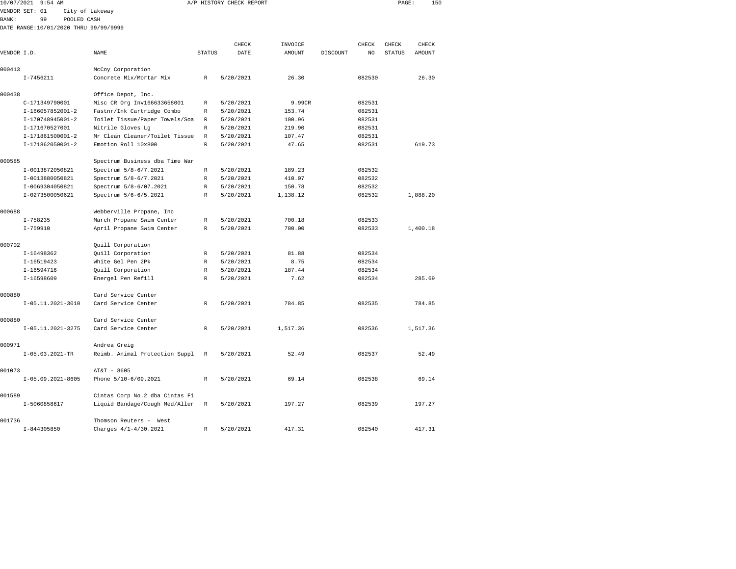| 10/07/2021   | $9:54$ AM                             |                                |               | A/P HISTORY CHECK REPORT |               |                 | 150<br>PAGE:            |  |
|--------------|---------------------------------------|--------------------------------|---------------|--------------------------|---------------|-----------------|-------------------------|--|
|              | VENDOR SET: 01<br>City of Lakeway     |                                |               |                          |               |                 |                         |  |
| <b>BANK:</b> | 99<br>POOLED CASH                     |                                |               |                          |               |                 |                         |  |
|              | DATE RANGE:10/01/2020 THRU 99/99/9999 |                                |               |                          |               |                 |                         |  |
|              |                                       |                                |               |                          |               |                 |                         |  |
|              |                                       |                                |               | CHECK                    | INVOICE       | CHECK           | CHECK<br>CHECK          |  |
| VENDOR I.D.  |                                       | <b>NAME</b>                    | <b>STATUS</b> | DATE                     | <b>AMOUNT</b> | DISCOUNT<br>NO. | <b>STATUS</b><br>AMOUNT |  |
| 000413       |                                       | McCoy Corporation              |               |                          |               |                 |                         |  |
|              | $I - 7456211$                         | Concrete Mix/Mortar Mix        | R             | 5/20/2021                | 26.30         | 082530          | 26.30                   |  |
| 000438       |                                       | Office Depot, Inc.             |               |                          |               |                 |                         |  |
|              | C-171349790001                        | Misc CR Org Inv166633658001    | R             | 5/20/2021                | 9.99CR        | 082531          |                         |  |
|              | I-166057852001-2                      | Fastnr/Ink Cartridge Combo     | R             | 5/20/2021                | 153.74        | 082531          |                         |  |
|              | I-170748945001-2                      | Toilet Tissue/Paper Towels/Soa | $\mathbb R$   | 5/20/2021                | 100.96        | 082531          |                         |  |
|              | I-171670527001                        | Nitrile Gloves Lq              | $\mathbb{R}$  | 5/20/2021                | 219.90        | 082531          |                         |  |
|              | I-171861500001-2                      | Mr Clean Cleaner/Toilet Tissue | R             | 5/20/2021                | 107.47        | 082531          |                         |  |
|              | I-171862050001-2                      | Emotion Roll 10x800            | $\mathbb{R}$  | 5/20/2021                | 47.65         | 082531          | 619.73                  |  |
| 000585       |                                       | Spectrum Business dba Time War |               |                          |               |                 |                         |  |
|              | I-0013872050821                       | Spectrum 5/8-6/7.2021          | $\mathbb{R}$  | 5/20/2021                | 189.23        | 082532          |                         |  |
|              | I-0013880050821                       | Spectrum 5/8-6/7.2021          | R             | 5/20/2021                | 410.07        | 082532          |                         |  |
|              | I-0069304050821                       | Spectrum 5/8-6/07.2021         | R             | 5/20/2021                | 150.78        | 082532          |                         |  |
|              | I-0273500050621                       | Spectrum 5/6-6/5.2021          | $\mathbb{R}$  | 5/20/2021                | 1,138.12      | 082532          | 1,888.20                |  |
|              |                                       |                                |               |                          |               |                 |                         |  |
| 000688       |                                       | Webberville Propane, Inc       |               |                          |               |                 |                         |  |
|              | $I - 758235$                          | March Propane Swim Center      | R             | 5/20/2021                | 700.18        | 082533          |                         |  |
|              | $I - 759910$                          | April Propane Swim Center      | $\mathbb{R}$  | 5/20/2021                | 700.00        | 082533          | 1,400.18                |  |
|              |                                       |                                |               |                          |               |                 |                         |  |
| 000702       |                                       | Quill Corporation              |               |                          |               |                 |                         |  |
|              | I-16498362                            | Quill Corporation              | $\mathbb R$   | 5/20/2021                | 81.88         | 082534          |                         |  |
|              | I-16519423                            | White Gel Pen 2Pk              | R             | 5/20/2021                | 8.75          | 082534          |                         |  |
|              | I-16594716                            | Quill Corporation              | $\mathbb R$   | 5/20/2021                | 187.44        | 082534          |                         |  |
|              | I-16598609                            | Energel Pen Refill             | R             | 5/20/2021                | 7.62          | 082534          | 285.69                  |  |
| 000880       |                                       | Card Service Center            |               |                          |               |                 |                         |  |
|              | $I-05.11.2021-3010$                   | Card Service Center            | $\mathbb{R}$  | 5/20/2021                | 784.85        | 082535          | 784.85                  |  |
| 000880       |                                       | Card Service Center            |               |                          |               |                 |                         |  |
|              | I-05.11.2021-3275                     | Card Service Center            | R             | 5/20/2021                | 1,517.36      | 082536          | 1,517.36                |  |
| 000971       |                                       | Andrea Greig                   |               |                          |               |                 |                         |  |
|              | $I-05.03.2021-TR$                     | Reimb. Animal Protection Suppl | $\mathbb R$   | 5/20/2021                | 52.49         | 082537          | 52.49                   |  |
|              |                                       |                                |               |                          |               |                 |                         |  |
| 001073       |                                       | AT&T - 8605                    |               |                          |               |                 |                         |  |
|              | I-05.09.2021-8605                     | Phone 5/10-6/09.2021           | R             | 5/20/2021                | 69.14         | 082538          | 69.14                   |  |
| 001589       |                                       | Cintas Corp No.2 dba Cintas Fi |               |                          |               |                 |                         |  |
|              | I-5060858617                          | Liquid Bandage/Cough Med/Aller | R             | 5/20/2021                | 197.27        | 082539          | 197.27                  |  |
|              |                                       |                                |               |                          |               |                 |                         |  |

I-844305850 Charges 4/1-4/30.2021 R 5/20/2021 417.31 082540 417.31

001736 Thomson Reuters - West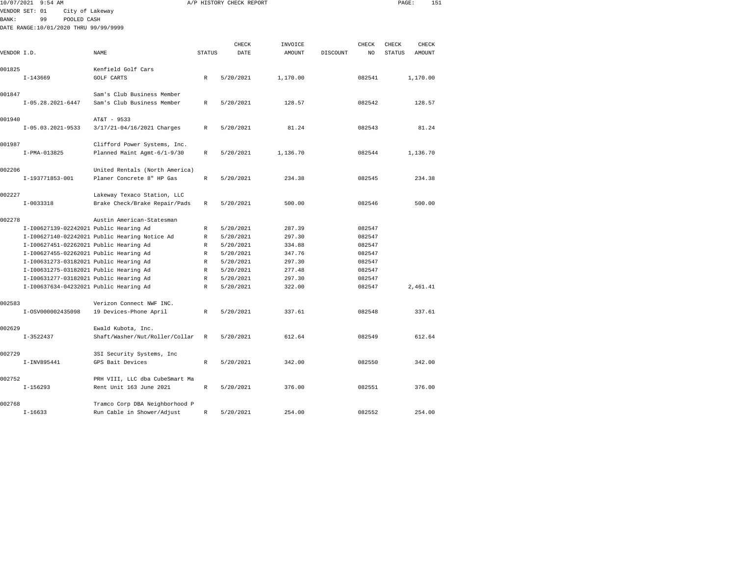| 10/07/2021  | $9:54$ AM                              |                                               |               | A/P HISTORY CHECK REPORT |          |          |        | PAGE:         | 151      |  |
|-------------|----------------------------------------|-----------------------------------------------|---------------|--------------------------|----------|----------|--------|---------------|----------|--|
|             | VENDOR SET: 01<br>City of Lakeway      |                                               |               |                          |          |          |        |               |          |  |
| BANK:       | 99<br>POOLED CASH                      |                                               |               |                          |          |          |        |               |          |  |
|             | DATE RANGE:10/01/2020 THRU 99/99/9999  |                                               |               |                          |          |          |        |               |          |  |
|             |                                        |                                               |               |                          |          |          |        |               |          |  |
|             |                                        |                                               |               | CHECK                    | INVOICE  |          | CHECK  | CHECK         | CHECK    |  |
| VENDOR I.D. |                                        | NAME                                          | <b>STATUS</b> | DATE                     | AMOUNT   | DISCOUNT | NO     | <b>STATUS</b> | AMOUNT   |  |
|             |                                        |                                               |               |                          |          |          |        |               |          |  |
| 001825      |                                        | Kenfield Golf Cars                            |               |                          |          |          |        |               |          |  |
|             | $I-143669$                             | <b>GOLF CARTS</b>                             | R             | 5/20/2021                | 1,170.00 |          | 082541 |               | 1,170.00 |  |
|             |                                        |                                               |               |                          |          |          |        |               |          |  |
| 001847      |                                        | Sam's Club Business Member                    |               |                          |          |          |        |               |          |  |
|             | $I-05.28.2021-6447$                    | Sam's Club Business Member                    | R             | 5/20/2021                | 128.57   |          | 082542 |               | 128.57   |  |
|             |                                        |                                               |               |                          |          |          |        |               |          |  |
| 001940      |                                        | AT&T - 9533                                   |               |                          |          |          |        |               |          |  |
|             | $I-05.03.2021-9533$                    | 3/17/21-04/16/2021 Charges                    | R             | 5/20/2021                | 81.24    |          | 082543 |               | 81.24    |  |
|             |                                        |                                               |               |                          |          |          |        |               |          |  |
| 001987      |                                        | Clifford Power Systems, Inc.                  |               |                          |          |          |        |               |          |  |
|             | I-PMA-013825                           | Planned Maint Agmt-6/1-9/30                   | R             | 5/20/2021                | 1,136.70 |          | 082544 |               | 1,136.70 |  |
|             |                                        |                                               |               |                          |          |          |        |               |          |  |
| 002206      |                                        | United Rentals (North America)                |               |                          |          |          |        |               |          |  |
|             | I-193771853-001                        | Planer Concrete 8" HP Gas                     | R             | 5/20/2021                | 234.38   |          | 082545 |               | 234.38   |  |
|             |                                        |                                               |               |                          |          |          |        |               |          |  |
| 002227      |                                        | Lakeway Texaco Station, LLC                   |               |                          |          |          |        |               |          |  |
|             | $I-0033318$                            | Brake Check/Brake Repair/Pads                 | R             | 5/20/2021                | 500.00   |          | 082546 |               | 500.00   |  |
|             |                                        |                                               |               |                          |          |          |        |               |          |  |
| 002278      |                                        | Austin American-Statesman                     |               |                          |          |          |        |               |          |  |
|             | I-I00627139-02242021 Public Hearing Ad |                                               | R             | 5/20/2021                | 287.39   |          | 082547 |               |          |  |
|             |                                        | I-I00627140-02242021 Public Hearing Notice Ad | R             | 5/20/2021                | 297.30   |          | 082547 |               |          |  |
|             | I-I00627451-02262021 Public Hearing Ad |                                               | R             | 5/20/2021                | 334.88   |          | 082547 |               |          |  |
|             | I-I00627455-02262021 Public Hearing Ad |                                               | $\mathbb{R}$  | 5/20/2021                | 347.76   |          | 082547 |               |          |  |
|             | I-I00631273-03182021 Public Hearing Ad |                                               | R             | 5/20/2021                | 297.30   |          | 082547 |               |          |  |
|             | I-I00631275-03182021 Public Hearing Ad |                                               | R             | 5/20/2021                | 277.48   |          | 082547 |               |          |  |
|             | I-I00631277-03182021 Public Hearing Ad |                                               | R             | 5/20/2021                | 297.30   |          | 082547 |               |          |  |
|             | I-I00637634-04232021 Public Hearing Ad |                                               | R             | 5/20/2021                | 322.00   |          | 082547 |               | 2,461.41 |  |
|             |                                        |                                               |               |                          |          |          |        |               |          |  |
| 002583      |                                        | Verizon Connect NWF INC.                      |               |                          |          |          |        |               |          |  |
|             | I-0SV000002435098                      | 19 Devices-Phone April                        | R             | 5/20/2021                | 337.61   |          | 082548 |               | 337.61   |  |
|             |                                        |                                               |               |                          |          |          |        |               |          |  |
| 002629      |                                        | Ewald Kubota, Inc.                            |               |                          |          |          |        |               |          |  |
|             | $I-3522437$                            | Shaft/Washer/Nut/Roller/Collar                | $\,$ R        | 5/20/2021                | 612.64   |          | 082549 |               | 612.64   |  |
|             |                                        |                                               |               |                          |          |          |        |               |          |  |
| 002729      |                                        | 3SI Security Systems, Inc                     |               |                          |          |          |        |               |          |  |
|             | I-INV895441                            | GPS Bait Devices                              | $\mathbb R$   | 5/20/2021                | 342.00   |          | 082550 |               | 342.00   |  |
|             |                                        |                                               |               |                          |          |          |        |               |          |  |
| 002752      |                                        | PRH VIII, LLC dba CubeSmart Ma                |               |                          |          |          |        |               |          |  |
|             | $I-156293$                             | Rent Unit 163 June 2021                       | R             | 5/20/2021                | 376.00   |          | 082551 |               | 376.00   |  |
|             |                                        |                                               |               |                          |          |          |        |               |          |  |
| 002768      |                                        | Tramco Corp DBA Neighborhood P                |               |                          |          |          |        |               |          |  |
|             | $I-16633$                              | Run Cable in Shower/Adjust                    | R             | 5/20/2021                | 254.00   |          | 082552 |               | 254.00   |  |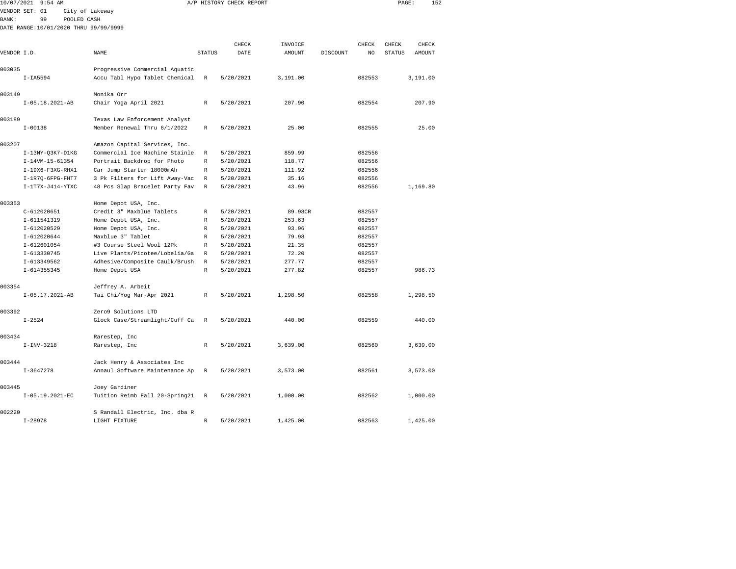| 10/07/2021  | $9:54$ AM                             |                                |               | A/P HISTORY CHECK REPORT |          |          |                | PAGE:         |               | 152 |
|-------------|---------------------------------------|--------------------------------|---------------|--------------------------|----------|----------|----------------|---------------|---------------|-----|
|             | VENDOR SET: 01                        | City of Lakeway                |               |                          |          |          |                |               |               |     |
| BANK:       | 99<br>POOLED CASH                     |                                |               |                          |          |          |                |               |               |     |
|             | DATE RANGE:10/01/2020 THRU 99/99/9999 |                                |               |                          |          |          |                |               |               |     |
|             |                                       |                                |               |                          |          |          |                |               |               |     |
|             |                                       |                                |               | CHECK                    | INVOICE  |          | CHECK          | CHECK         | CHECK         |     |
| VENDOR I.D. |                                       | <b>NAME</b>                    | <b>STATUS</b> | DATE                     | AMOUNT   | DISCOUNT | N <sub>O</sub> | <b>STATUS</b> | <b>AMOUNT</b> |     |
|             |                                       |                                |               |                          |          |          |                |               |               |     |
| 003035      |                                       | Progressive Commercial Aquatic |               |                          |          |          |                |               |               |     |
|             | $I-IA5594$                            | Accu Tabl Hypo Tablet Chemical | R             | 5/20/2021                | 3,191.00 |          | 082553         |               | 3,191.00      |     |
|             |                                       |                                |               |                          |          |          |                |               |               |     |
| 003149      |                                       | Monika Orr                     |               |                          |          |          |                |               |               |     |
|             | $I-05.18.2021-AB$                     | Chair Yoga April 2021          | R             | 5/20/2021                | 207.90   |          | 082554         |               | 207.90        |     |
|             |                                       |                                |               |                          |          |          |                |               |               |     |
| 003189      |                                       | Texas Law Enforcement Analyst  |               |                          |          |          |                |               |               |     |
|             | $I - 00138$                           | Member Renewal Thru 6/1/2022   | $\mathbb{R}$  | 5/20/2021                | 25.00    |          | 082555         |               | 25.00         |     |
|             |                                       |                                |               |                          |          |          |                |               |               |     |
| 003207      |                                       | Amazon Capital Services, Inc.  |               |                          |          |          |                |               |               |     |
|             | $I-13NY-Q3K7-D1KG$                    | Commercial Ice Machine Stainle | R             | 5/20/2021                | 859.99   |          | 082556         |               |               |     |
|             | $I-14VM-15-61354$                     | Portrait Backdrop for Photo    | R             | 5/20/2021                | 118.77   |          | 082556         |               |               |     |
|             | $I-19X6-F3XG-RHX1$                    | Car Jump Starter 18000mAh      | $\mathbb{R}$  | 5/20/2021                | 111.92   |          | 082556         |               |               |     |
|             | $I-1R7O-6FPG-FHT7$                    | 3 Pk Filters for Lift Away-Vac | $\mathbb{R}$  | 5/20/2021                | 35.16    |          | 082556         |               |               |     |
|             | I-1T7X-J414-YTXC                      | 48 Pcs Slap Bracelet Party Fav | R             | 5/20/2021                | 43.96    |          | 082556         |               | 1,169.80      |     |
|             |                                       |                                |               |                          |          |          |                |               |               |     |
| 003353      |                                       | Home Depot USA, Inc.           |               |                          |          |          |                |               |               |     |
|             | $C-612020651$                         | Credit 3" Maxblue Tablets      | R             | 5/20/2021                | 89.98CR  |          | 082557         |               |               |     |
|             | I-611541319                           | Home Depot USA, Inc.           | R             | 5/20/2021                | 253.63   |          | 082557         |               |               |     |
|             | I-612020529                           | Home Depot USA, Inc.           | R             | 5/20/2021                | 93.96    |          | 082557         |               |               |     |
|             | $I-612020644$                         | Maxblue 3" Tablet              | R             | 5/20/2021                | 79.98    |          | 082557         |               |               |     |
|             | $I-612601054$                         | #3 Course Steel Wool 12Pk      | R             | 5/20/2021                | 21.35    |          | 082557         |               |               |     |
|             | I-613330745                           | Live Plants/Picotee/Lobelia/Ga | R             | 5/20/2021                | 72.20    |          | 082557         |               |               |     |
|             | I-613349562                           | Adhesive/Composite Caulk/Brush | R             | 5/20/2021                | 277.77   |          | 082557         |               |               |     |
|             | $I - 614355345$                       | Home Depot USA                 | R             | 5/20/2021                | 277.82   |          | 082557         |               | 986.73        |     |
|             |                                       |                                |               |                          |          |          |                |               |               |     |
| 003354      |                                       | Jeffrey A. Arbeit              |               |                          |          |          |                |               |               |     |
|             | I-05.17.2021-AB                       | Tai Chi/Yog Mar-Apr 2021       | R             | 5/20/2021                | 1,298.50 |          | 082558         |               | 1,298.50      |     |
|             |                                       |                                |               |                          |          |          |                |               |               |     |
| 003392      |                                       | Zero9 Solutions LTD            |               |                          |          |          |                |               |               |     |
|             | $I - 2524$                            | Glock Case/Streamlight/Cuff Ca | R             | 5/20/2021                | 440.00   |          | 082559         |               | 440.00        |     |
|             |                                       |                                |               |                          |          |          |                |               |               |     |
| 003434      |                                       | Rarestep, Inc                  |               |                          |          |          |                |               |               |     |
|             | $I-INV-3218$                          | Rarestep, Inc                  | $\mathbb{R}$  | 5/20/2021                | 3,639.00 |          | 082560         |               | 3,639.00      |     |
|             |                                       |                                |               |                          |          |          |                |               |               |     |
| 003444      |                                       | Jack Henry & Associates Inc    |               |                          |          |          |                |               |               |     |
|             | $I-3647278$                           | Annaul Software Maintenance Ap | R             | 5/20/2021                | 3,573.00 |          | 082561         |               | 3,573.00      |     |
|             |                                       |                                |               |                          |          |          |                |               |               |     |
| 003445      |                                       | Joey Gardiner                  |               |                          |          |          |                |               |               |     |
|             | I-05.19.2021-EC                       | Tuition Reimb Fall 20-Spring21 | $\, {\bf R}$  | 5/20/2021                | 1,000.00 |          | 082562         |               | 1,000.00      |     |
|             |                                       |                                |               |                          |          |          |                |               |               |     |
| 002220      |                                       | S Randall Electric. Inc. dba R |               |                          |          |          |                |               |               |     |

I-28978 LIGHT FIXTURE R 5/20/2021 1,425.00 082563 1,425.00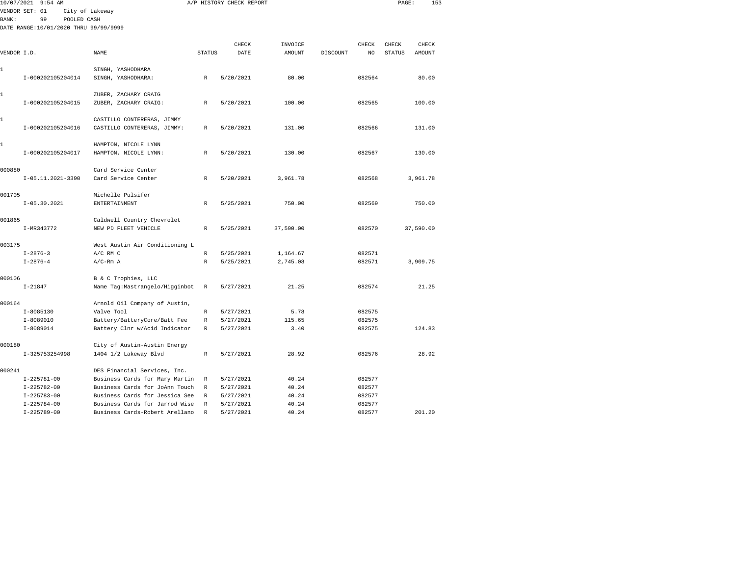| 10/07/2021   | $9:54$ AM                             |                                                                  |               | A/P HISTORY CHECK REPORT |                |          |                  | PAGE:         | 153       |  |
|--------------|---------------------------------------|------------------------------------------------------------------|---------------|--------------------------|----------------|----------|------------------|---------------|-----------|--|
|              | VENDOR SET: 01<br>City of Lakeway     |                                                                  |               |                          |                |          |                  |               |           |  |
| <b>BANK:</b> | 99<br>POOLED CASH                     |                                                                  |               |                          |                |          |                  |               |           |  |
|              | DATE RANGE:10/01/2020 THRU 99/99/9999 |                                                                  |               |                          |                |          |                  |               |           |  |
|              |                                       |                                                                  |               |                          |                |          |                  |               |           |  |
|              |                                       |                                                                  |               | CHECK                    | INVOICE        |          | CHECK            | CHECK         | CHECK     |  |
| VENDOR I.D.  |                                       | NAME                                                             | <b>STATUS</b> | DATE                     | AMOUNT         | DISCOUNT | NO               | <b>STATUS</b> | AMOUNT    |  |
|              |                                       |                                                                  |               |                          |                |          |                  |               |           |  |
| 1            |                                       | SINGH, YASHODHARA                                                |               |                          |                |          |                  |               |           |  |
|              | I-000202105204014                     | SINGH, YASHODHARA:                                               | $\mathbb{R}$  | 5/20/2021                | 80.00          |          | 082564           |               | 80.00     |  |
| 1            |                                       | ZUBER, ZACHARY CRAIG                                             |               |                          |                |          |                  |               |           |  |
|              | I-000202105204015                     | ZUBER, ZACHARY CRAIG:                                            | R             | 5/20/2021                | 100.00         |          | 082565           |               | 100.00    |  |
|              |                                       |                                                                  |               |                          |                |          |                  |               |           |  |
| 1            |                                       | CASTILLO CONTERERAS, JIMMY                                       |               |                          |                |          |                  |               |           |  |
|              | I-000202105204016                     | CASTILLO CONTERERAS, JIMMY:                                      | R             | 5/20/2021                | 131.00         |          | 082566           |               | 131.00    |  |
|              |                                       |                                                                  |               |                          |                |          |                  |               |           |  |
| 1            |                                       | HAMPTON, NICOLE LYNN                                             |               |                          |                |          |                  |               |           |  |
|              | I-000202105204017                     | HAMPTON, NICOLE LYNN:                                            | R             | 5/20/2021                | 130.00         |          | 082567           |               | 130.00    |  |
|              |                                       |                                                                  |               |                          |                |          |                  |               |           |  |
| 000880       |                                       | Card Service Center                                              |               |                          |                |          |                  |               |           |  |
|              | $I-05.11.2021-3390$                   | Card Service Center                                              | R             | 5/20/2021                | 3,961.78       |          | 082568           |               | 3,961.78  |  |
|              |                                       |                                                                  |               |                          |                |          |                  |               |           |  |
| 001705       |                                       | Michelle Pulsifer                                                |               |                          |                |          |                  |               |           |  |
|              | $I-05.30.2021$                        | <b>ENTERTAINMENT</b>                                             | R             | 5/25/2021                | 750.00         |          | 082569           |               | 750.00    |  |
|              |                                       |                                                                  |               |                          |                |          |                  |               |           |  |
| 001865       |                                       | Caldwell Country Chevrolet                                       |               |                          |                |          |                  |               |           |  |
|              | I-MR343772                            | NEW PD FLEET VEHICLE                                             | R             | 5/25/2021                | 37,590.00      |          | 082570           |               | 37,590.00 |  |
| 003175       |                                       | West Austin Air Conditioning L                                   |               |                          |                |          |                  |               |           |  |
|              | $I - 2876 - 3$                        | $A/C$ RM $C$                                                     | $\mathbb{R}$  | 5/25/2021                | 1,164.67       |          | 082571           |               |           |  |
|              | $I - 2876 - 4$                        | $A/C-Rm A$                                                       | R             | 5/25/2021                | 2,745.08       |          | 082571           |               | 3,909.75  |  |
|              |                                       |                                                                  |               |                          |                |          |                  |               |           |  |
| 000106       |                                       | B & C Trophies, LLC                                              |               |                          |                |          |                  |               |           |  |
|              | $I - 21847$                           | Name Tag: Mastrangelo/Higginbot                                  | R             | 5/27/2021                | 21.25          |          | 082574           |               | 21.25     |  |
|              |                                       |                                                                  |               |                          |                |          |                  |               |           |  |
| 000164       |                                       | Arnold Oil Company of Austin,                                    |               |                          |                |          |                  |               |           |  |
|              | $I - 8085130$                         | Valve Tool                                                       | R             | 5/27/2021                | 5.78           |          | 082575           |               |           |  |
|              | I-8089010                             | Battery/BatteryCore/Batt Fee                                     | R             | 5/27/2021                | 115.65         |          | 082575           |               |           |  |
|              | $I-8089014$                           | Battery Clnr w/Acid Indicator                                    | $\mathbb R$   | 5/27/2021                | 3.40           |          | 082575           |               | 124.83    |  |
|              |                                       |                                                                  |               |                          |                |          |                  |               |           |  |
| 000180       |                                       | City of Austin-Austin Energy                                     |               |                          |                |          |                  |               |           |  |
|              | I-325753254998                        | 1404 1/2 Lakeway Blvd                                            | R             | 5/27/2021                | 28.92          |          | 082576           |               | 28.92     |  |
|              |                                       |                                                                  |               |                          |                |          |                  |               |           |  |
| 000241       |                                       | DES Financial Services, Inc.                                     |               |                          |                |          |                  |               |           |  |
|              | $I-225781-00$                         | Business Cards for Mary Martin                                   | R             | 5/27/2021                | 40.24<br>40.24 |          | 082577           |               |           |  |
|              | $I-225782-00$<br>$I - 225783 - 00$    | Business Cards for JoAnn Touch<br>Business Cards for Jessica See | R<br>R        | 5/27/2021<br>5/27/2021   | 40.24          |          | 082577<br>082577 |               |           |  |
|              | $I - 225784 - 00$                     | Business Cards for Jarrod Wise                                   | R             | 5/27/2021                | 40.24          |          | 082577           |               |           |  |
|              |                                       |                                                                  |               |                          |                |          |                  |               |           |  |

I-225789-00 Business Cards-Robert Arellano R 5/27/2021 40.24 082577 201.20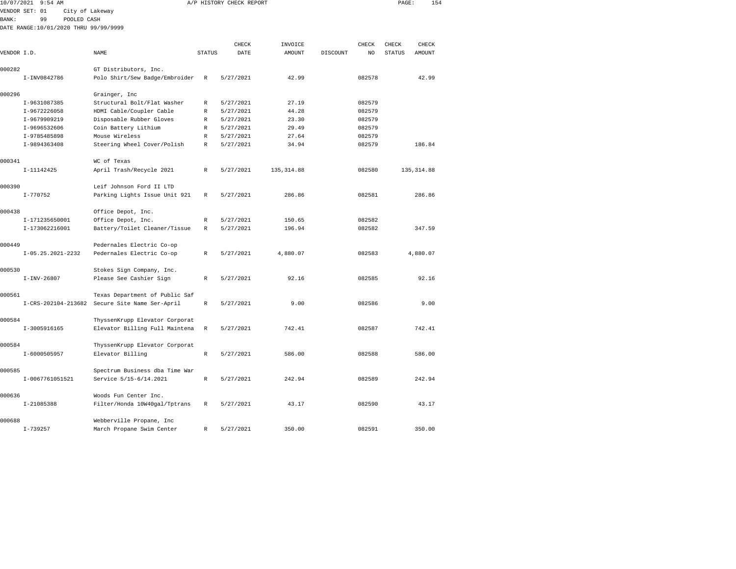| 10/07/2021   | 9:54 AM                               |                                |               | A/P HISTORY CHECK REPORT |             |          |        | PAGE:         | 154         |  |
|--------------|---------------------------------------|--------------------------------|---------------|--------------------------|-------------|----------|--------|---------------|-------------|--|
|              | VENDOR SET: 01                        | City of Lakeway                |               |                          |             |          |        |               |             |  |
| <b>BANK:</b> | 99                                    | POOLED CASH                    |               |                          |             |          |        |               |             |  |
|              | DATE RANGE:10/01/2020 THRU 99/99/9999 |                                |               |                          |             |          |        |               |             |  |
|              |                                       |                                |               |                          |             |          |        |               |             |  |
|              |                                       |                                |               | CHECK                    | INVOICE     |          | CHECK  | CHECK         | CHECK       |  |
| VENDOR I.D.  |                                       | NAME                           | <b>STATUS</b> | DATE                     | AMOUNT      | DISCOUNT | NO     | <b>STATUS</b> | AMOUNT      |  |
| 000282       |                                       | GT Distributors, Inc.          |               |                          |             |          |        |               |             |  |
|              | I-INV0842786                          | Polo Shirt/Sew Badge/Embroider | $\mathbb R$   | 5/27/2021                | 42.99       |          | 082578 |               | 42.99       |  |
|              |                                       |                                |               |                          |             |          |        |               |             |  |
| 000296       |                                       | Grainger, Inc                  |               |                          |             |          |        |               |             |  |
|              | I-9631087385                          | Structural Bolt/Flat Washer    | $\mathbb R$   | 5/27/2021                | 27.19       |          | 082579 |               |             |  |
|              | I-9672226058                          | HDMI Cable/Coupler Cable       | $\mathbb R$   | 5/27/2021                | 44.28       |          | 082579 |               |             |  |
|              | I-9679909219                          | Disposable Rubber Gloves       | $\mathbb R$   | 5/27/2021                | 23.30       |          | 082579 |               |             |  |
|              | I-9696532606                          | Coin Battery Lithium           | $\mathbb R$   | 5/27/2021                | 29.49       |          | 082579 |               |             |  |
|              | I-9785485898                          | Mouse Wireless                 | R             | 5/27/2021                | 27.64       |          | 082579 |               |             |  |
|              | I-9894363408                          | Steering Wheel Cover/Polish    | R             | 5/27/2021                | 34.94       |          | 082579 |               | 186.84      |  |
| 000341       |                                       | WC of Texas                    |               |                          |             |          |        |               |             |  |
|              | I-11142425                            | April Trash/Recycle 2021       | R             | 5/27/2021                | 135, 314.88 |          | 082580 |               | 135, 314.88 |  |
|              |                                       |                                |               |                          |             |          |        |               |             |  |
| 000390       |                                       | Leif Johnson Ford II LTD       |               |                          |             |          |        |               |             |  |
|              | $I - 770752$                          | Parking Lights Issue Unit 921  | R             | 5/27/2021                | 286.86      |          | 082581 |               | 286.86      |  |
| 000438       |                                       | Office Depot, Inc.             |               |                          |             |          |        |               |             |  |
|              | I-171235650001                        | Office Depot, Inc.             | $\mathbb R$   | 5/27/2021                | 150.65      |          | 082582 |               |             |  |
|              | I-173062216001                        | Battery/Toilet Cleaner/Tissue  | R             | 5/27/2021                | 196.94      |          | 082582 |               | 347.59      |  |
| 000449       |                                       | Pedernales Electric Co-op      |               |                          |             |          |        |               |             |  |
|              | $I-05.25.2021-2232$                   | Pedernales Electric Co-op      | R             | 5/27/2021                | 4,880.07    |          | 082583 |               | 4,880.07    |  |
|              |                                       |                                |               |                          |             |          |        |               |             |  |
| 000530       |                                       | Stokes Sign Company, Inc.      |               |                          |             |          |        |               |             |  |
|              | $I-INV-26807$                         | Please See Cashier Sign        | $\mathbb{R}$  | 5/27/2021                | 92.16       |          | 082585 |               | 92.16       |  |
| 000561       |                                       | Texas Department of Public Saf |               |                          |             |          |        |               |             |  |
|              | I-CRS-202104-213682                   | Secure Site Name Ser-April     | R             | 5/27/2021                | 9.00        |          | 082586 |               | 9.00        |  |
|              |                                       |                                |               |                          |             |          |        |               |             |  |
| 000584       |                                       | ThyssenKrupp Elevator Corporat |               |                          |             |          |        |               |             |  |
|              | I-3005916165                          | Elevator Billing Full Maintena | $\mathbb R$   | 5/27/2021                | 742.41      |          | 082587 |               | 742.41      |  |
| 000584       |                                       | ThyssenKrupp Elevator Corporat |               |                          |             |          |        |               |             |  |
|              | I-6000505957                          | Elevator Billing               | $\mathbb{R}$  | 5/27/2021                | 586.00      |          | 082588 |               | 586.00      |  |
|              |                                       |                                |               |                          |             |          |        |               |             |  |
| 000585       |                                       | Spectrum Business dba Time War |               |                          |             |          |        |               |             |  |
|              | I-0067761051521                       | Service 5/15-6/14.2021         | $\mathbb{R}$  | 5/27/2021                | 242.94      |          | 082589 |               | 242.94      |  |
| 000636       |                                       | Woods Fun Center Inc.          |               |                          |             |          |        |               |             |  |
|              | I-21085388                            | Filter/Honda 10W40gal/Tptrans  | $\mathbb R$   | 5/27/2021                | 43.17       |          | 082590 |               | 43.17       |  |
|              |                                       |                                |               |                          |             |          |        |               |             |  |

I-739257 March Propane Swim Center R 5/27/2021 350.00 082591 350.00

000688 Webberville Propane, Inc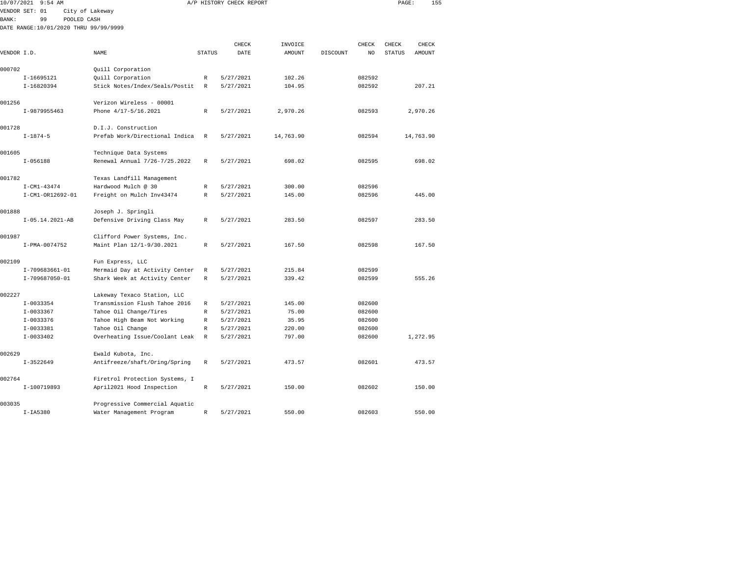| 10/07/2021   | $9:54$ AM                             |                                |               | A/P HISTORY CHECK REPORT |           |          |              | PAGE:  | 155       |  |
|--------------|---------------------------------------|--------------------------------|---------------|--------------------------|-----------|----------|--------------|--------|-----------|--|
|              | VENDOR SET: 01                        | City of Lakeway                |               |                          |           |          |              |        |           |  |
| <b>BANK:</b> | 99<br>POOLED CASH                     |                                |               |                          |           |          |              |        |           |  |
|              | DATE RANGE:10/01/2020 THRU 99/99/9999 |                                |               |                          |           |          |              |        |           |  |
|              |                                       |                                |               |                          |           |          |              |        |           |  |
|              |                                       |                                |               | CHECK                    | INVOICE   |          | <b>CHECK</b> | CHECK  | CHECK     |  |
| VENDOR I.D.  |                                       | NAME                           | <b>STATUS</b> | DATE                     | AMOUNT    | DISCOUNT | NO           | STATUS | AMOUNT    |  |
| 000702       |                                       | Quill Corporation              |               |                          |           |          |              |        |           |  |
|              | I-16695121                            | Quill Corporation              | R             | 5/27/2021                | 102.26    |          | 082592       |        |           |  |
|              | I-16820394                            | Stick Notes/Index/Seals/Postit | R             | 5/27/2021                | 104.95    |          | 082592       |        | 207.21    |  |
|              |                                       |                                |               |                          |           |          |              |        |           |  |
| 001256       |                                       | Verizon Wireless - 00001       |               |                          |           |          |              |        |           |  |
|              | I-9879955463                          | Phone 4/17-5/16.2021           | R             | 5/27/2021                | 2,970.26  |          | 082593       |        | 2,970.26  |  |
|              |                                       |                                |               |                          |           |          |              |        |           |  |
| 001728       |                                       | D.I.J. Construction            |               |                          |           |          |              |        |           |  |
|              | $I - 1874 - 5$                        | Prefab Work/Directional Indica | $\mathbb{R}$  | 5/27/2021                | 14,763.90 |          | 082594       |        | 14,763.90 |  |
|              |                                       |                                |               |                          |           |          |              |        |           |  |
| 001605       |                                       | Technique Data Systems         |               |                          |           |          |              |        |           |  |
|              | $I - 056188$                          | Renewal Annual 7/26-7/25.2022  | R             | 5/27/2021                | 698.02    |          | 082595       |        | 698.02    |  |
| 001782       |                                       | Texas Landfill Management      |               |                          |           |          |              |        |           |  |
|              | $I - CM1 - 43474$                     | Hardwood Mulch @ 30            | R             | 5/27/2021                | 300.00    |          | 082596       |        |           |  |
|              | I-CM1-OR12692-01                      | Freight on Mulch Inv43474      | R             | 5/27/2021                | 145.00    |          | 082596       |        | 445.00    |  |
|              |                                       |                                |               |                          |           |          |              |        |           |  |
| 001888       |                                       | Joseph J. Springli             |               |                          |           |          |              |        |           |  |
|              | $I-05.14.2021-AB$                     | Defensive Driving Class May    | $\mathbb{R}$  | 5/27/2021                | 283.50    |          | 082597       |        | 283.50    |  |
|              |                                       |                                |               |                          |           |          |              |        |           |  |
| 001987       |                                       | Clifford Power Systems, Inc.   |               |                          |           |          |              |        |           |  |
|              | I-PMA-0074752                         | Maint Plan 12/1-9/30.2021      | R             | 5/27/2021                | 167.50    |          | 082598       |        | 167.50    |  |
| 002109       |                                       | Fun Express, LLC               |               |                          |           |          |              |        |           |  |
|              | I-709683661-01                        | Mermaid Day at Activity Center | R             | 5/27/2021                | 215.84    |          | 082599       |        |           |  |
|              | I-709687050-01                        | Shark Week at Activity Center  | R             | 5/27/2021                | 339.42    |          | 082599       |        | 555.26    |  |
|              |                                       |                                |               |                          |           |          |              |        |           |  |
| 002227       |                                       | Lakeway Texaco Station, LLC    |               |                          |           |          |              |        |           |  |
|              | $I-0033354$                           | Transmission Flush Tahoe 2016  | R             | 5/27/2021                | 145.00    |          | 082600       |        |           |  |
|              | I-0033367                             | Tahoe Oil Change/Tires         | R             | 5/27/2021                | 75.00     |          | 082600       |        |           |  |
|              | $I-0033376$                           | Tahoe High Beam Not Working    | R             | 5/27/2021                | 35.95     |          | 082600       |        |           |  |
|              | I-0033381                             | Tahoe Oil Change               | R             | 5/27/2021                | 220.00    |          | 082600       |        |           |  |
|              | $I-0033402$                           | Overheating Issue/Coolant Leak | R             | 5/27/2021                | 797.00    |          | 082600       |        | 1,272.95  |  |
|              |                                       |                                |               |                          |           |          |              |        |           |  |
| 002629       |                                       | Ewald Kubota, Inc.             |               |                          |           |          |              |        |           |  |
|              | $I-3522649$                           | Antifreeze/shaft/Oring/Spring  | R             | 5/27/2021                | 473.57    |          | 082601       |        | 473.57    |  |
| 002764       |                                       | Firetrol Protection Systems, I |               |                          |           |          |              |        |           |  |
|              | I-100719893                           | April2021 Hood Inspection      | $\mathbb{R}$  | 5/27/2021                | 150.00    |          | 082602       |        | 150.00    |  |
|              |                                       |                                |               |                          |           |          |              |        |           |  |
| 003035       |                                       | Progressive Commercial Aquatic |               |                          |           |          |              |        |           |  |

I-IA5380 Water Management Program R 5/27/2021 550.00 082603 550.00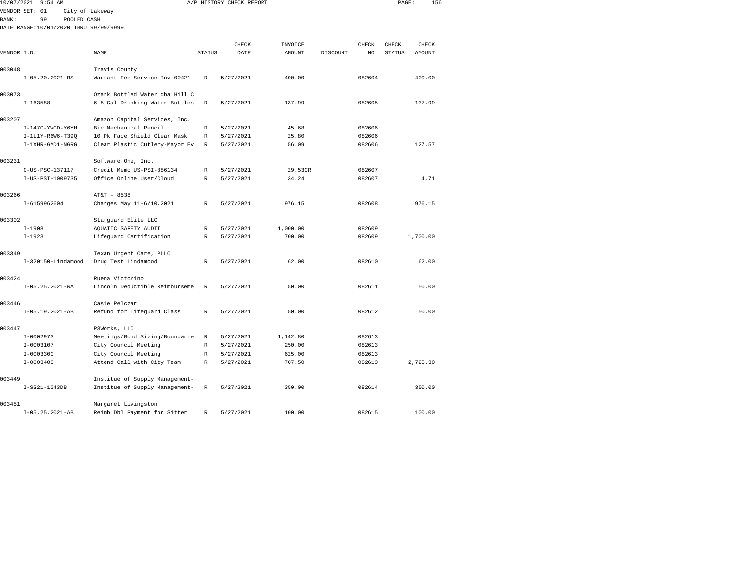| 10/07/2021  | $9:54$ AM                             |                                                |               | A/P HISTORY CHECK REPORT |               |          |                | PAGE:         |               | 156 |
|-------------|---------------------------------------|------------------------------------------------|---------------|--------------------------|---------------|----------|----------------|---------------|---------------|-----|
|             | VENDOR SET: 01                        | City of Lakeway                                |               |                          |               |          |                |               |               |     |
| BANK:       | 99<br>POOLED CASH                     |                                                |               |                          |               |          |                |               |               |     |
|             | DATE RANGE:10/01/2020 THRU 99/99/9999 |                                                |               |                          |               |          |                |               |               |     |
|             |                                       |                                                |               | CHECK                    | INVOICE       |          | CHECK          | CHECK         | CHECK         |     |
| VENDOR I.D. |                                       | NAME                                           | <b>STATUS</b> | DATE                     | <b>AMOUNT</b> | DISCOUNT | N <sub>O</sub> | <b>STATUS</b> | <b>AMOUNT</b> |     |
|             |                                       |                                                |               |                          |               |          |                |               |               |     |
| 003048      |                                       | Travis County                                  |               |                          |               |          |                |               |               |     |
|             | $I-05.20.2021-RS$                     | Warrant Fee Service Inv 00421                  | R             | 5/27/2021                | 400.00        |          | 082604         |               | 400.00        |     |
|             |                                       |                                                |               |                          |               |          |                |               |               |     |
| 003073      |                                       | Ozark Bottled Water dba Hill C                 |               |                          |               |          |                |               |               |     |
|             | $I-163588$                            | 6 5 Gal Drinking Water Bottles                 | R             | 5/27/2021                | 137.99        |          | 082605         |               | 137.99        |     |
| 003207      |                                       | Amazon Capital Services, Inc.                  |               |                          |               |          |                |               |               |     |
|             | I-147C-YWGD-Y6YH                      | Bic Mechanical Pencil                          | R             | 5/27/2021                | 45.68         |          | 082606         |               |               |     |
|             | I-1L1Y-R6W6-T39Q                      | 10 Pk Face Shield Clear Mask                   | R             | 5/27/2021                | 25.80         |          | 082606         |               |               |     |
|             | I-1XHR-GMD1-NGRG                      | Clear Plastic Cutlery-Mayor Ev                 | R             | 5/27/2021                | 56.09         |          | 082606         |               | 127.57        |     |
|             |                                       |                                                |               |                          |               |          |                |               |               |     |
| 003231      |                                       | Software One, Inc.                             |               |                          |               |          |                |               |               |     |
|             | C-US-PSC-137117                       | Credit Memo US-PSI-886134                      | $\mathbb R$   | 5/27/2021                | 29.53CR       |          | 082607         |               |               |     |
|             | I-US-PSI-1009735                      | Office Online User/Cloud                       | R             | 5/27/2021                | 34.24         |          | 082607         |               | 4.71          |     |
| 003266      |                                       | AT&T - 8538                                    |               |                          |               |          |                |               |               |     |
|             | I-6159962604                          | Charges May 11-6/10.2021                       | R             | 5/27/2021                | 976.15        |          | 082608         |               | 976.15        |     |
|             |                                       |                                                |               |                          |               |          |                |               |               |     |
| 003302      |                                       | Starguard Elite LLC                            |               |                          |               |          |                |               |               |     |
|             | $I-1908$                              | AQUATIC SAFETY AUDIT                           | R             | 5/27/2021                | 1,000.00      |          | 082609         |               |               |     |
|             | $I-1923$                              | Lifequard Certification                        | R             | 5/27/2021                | 700.00        |          | 082609         |               | 1,700.00      |     |
|             |                                       |                                                |               |                          |               |          |                |               |               |     |
| 003349      | $I-320150$ -Lindamood                 | Texan Urgent Care, PLLC<br>Drug Test Lindamood | R             | 5/27/2021                | 62.00         |          | 082610         |               | 62.00         |     |
|             |                                       |                                                |               |                          |               |          |                |               |               |     |
| 003424      |                                       | Ruena Victorino                                |               |                          |               |          |                |               |               |     |
|             | $I-05.25.2021-WA$                     | Lincoln Deductible Reimburseme                 | R             | 5/27/2021                | 50.00         |          | 082611         |               | 50.00         |     |
|             |                                       |                                                |               |                          |               |          |                |               |               |     |
| 003446      |                                       | Casie Pelczar                                  |               |                          |               |          |                |               |               |     |
|             | $I-05.19.2021-AB$                     | Refund for Lifeguard Class                     | R             | 5/27/2021                | 50.00         |          | 082612         |               | 50.00         |     |
| 003447      |                                       | P3Works, LLC                                   |               |                          |               |          |                |               |               |     |
|             | $I-0002973$                           | Meetings/Bond Sizing/Boundarie                 | R             | 5/27/2021                | 1,142.80      |          | 082613         |               |               |     |
|             | $I-0003107$                           | City Council Meeting                           | R             | 5/27/2021                | 250.00        |          | 082613         |               |               |     |
|             | $I - 0003300$                         | City Council Meeting                           | $\mathbb{R}$  | 5/27/2021                | 625.00        |          | 082613         |               |               |     |
|             | $I - 0003400$                         | Attend Call with City Team                     | R             | 5/27/2021                | 707.50        |          | 082613         |               | 2,725.30      |     |
|             |                                       |                                                |               |                          |               |          |                |               |               |     |
| 003449      |                                       | Institue of Supply Management-                 |               |                          |               |          |                |               |               |     |
|             | I-SS21-1043DB                         | Institue of Supply Management-                 | R             | 5/27/2021                | 350.00        |          | 082614         |               | 350.00        |     |
|             |                                       |                                                |               |                          |               |          |                |               |               |     |

I-05.25.2021-AB Reimb Dbl Payment for Sitter R 5/27/2021 100.00 082615 100.00

003451 Margaret Livingston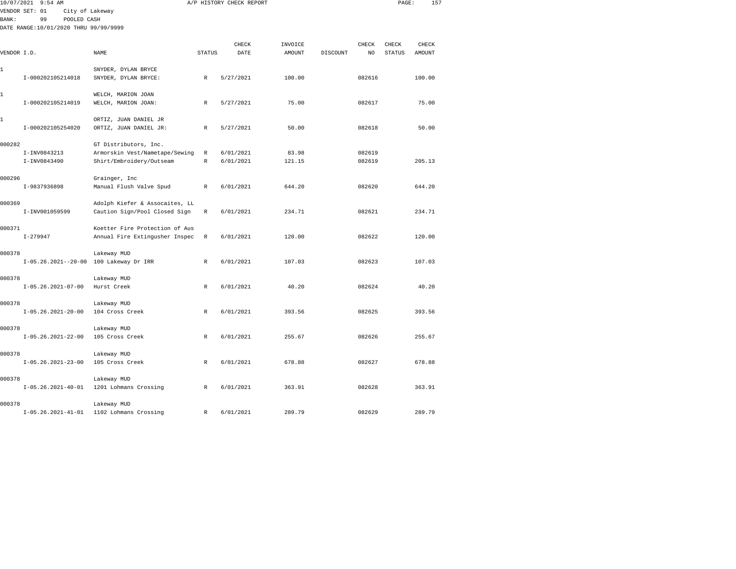|              | 10/07/2021 9:54 AM                    |                                |               | A/P HISTORY CHECK REPORT |               |          |        | PAGE:         | 157    |  |
|--------------|---------------------------------------|--------------------------------|---------------|--------------------------|---------------|----------|--------|---------------|--------|--|
|              | VENDOR SET: 01<br>City of Lakeway     |                                |               |                          |               |          |        |               |        |  |
| <b>BANK:</b> | 99<br>POOLED CASH                     |                                |               |                          |               |          |        |               |        |  |
|              | DATE RANGE:10/01/2020 THRU 99/99/9999 |                                |               |                          |               |          |        |               |        |  |
|              |                                       |                                |               |                          |               |          |        |               |        |  |
|              |                                       |                                |               | CHECK                    | INVOICE       |          | CHECK  | CHECK         | CHECK  |  |
| VENDOR I.D.  |                                       | NAME                           | <b>STATUS</b> | DATE                     | <b>AMOUNT</b> | DISCOUNT | NO     | <b>STATUS</b> | AMOUNT |  |
| 1            |                                       | SNYDER, DYLAN BRYCE            |               |                          |               |          |        |               |        |  |
|              | I-000202105214018                     | SNYDER, DYLAN BRYCE:           | R             | 5/27/2021                | 100.00        |          | 082616 |               | 100.00 |  |
|              |                                       |                                |               |                          |               |          |        |               |        |  |
| 1            |                                       | WELCH, MARION JOAN             |               |                          |               |          |        |               |        |  |
|              | I-000202105214019                     | WELCH, MARION JOAN:            | $\mathbb{R}$  | 5/27/2021                | 75.00         |          | 082617 |               | 75.00  |  |
|              |                                       |                                |               |                          |               |          |        |               |        |  |
| 1            |                                       | ORTIZ, JUAN DANIEL JR          |               |                          |               |          |        |               |        |  |
|              | I-000202105254020                     | ORTIZ, JUAN DANIEL JR:         | R             | 5/27/2021                | 50.00         |          | 082618 |               | 50.00  |  |
|              |                                       |                                |               |                          |               |          |        |               |        |  |
| 000282       |                                       | GT Distributors, Inc.          |               |                          |               |          |        |               |        |  |
|              | I-INV0843213                          | Armorskin Vest/Nametape/Sewing | R             | 6/01/2021                | 83.98         |          | 082619 |               |        |  |
|              | I-INV0843490                          | Shirt/Embroidery/Outseam       | $\mathbb R$   | 6/01/2021                | 121.15        |          | 082619 |               | 205.13 |  |
| 000296       |                                       | Grainger, Inc                  |               |                          |               |          |        |               |        |  |
|              | I-9837936898                          | Manual Flush Valve Spud        | $\mathbb R$   | 6/01/2021                | 644.20        |          | 082620 |               | 644.20 |  |
|              |                                       |                                |               |                          |               |          |        |               |        |  |
| 000369       |                                       | Adolph Kiefer & Assocaites, LL |               |                          |               |          |        |               |        |  |
|              | I-INV001059599                        | Caution Sign/Pool Closed Sign  | $\mathbb R$   | 6/01/2021                | 234.71        |          | 082621 |               | 234.71 |  |
|              |                                       |                                |               |                          |               |          |        |               |        |  |
| 000371       |                                       | Koetter Fire Protection of Aus |               |                          |               |          |        |               |        |  |
|              | $I-279947$                            | Annual Fire Extingusher Inspec | R             | 6/01/2021                | 120.00        |          | 082622 |               | 120.00 |  |
|              |                                       |                                |               |                          |               |          |        |               |        |  |
| 000378       |                                       | Lakeway MUD                    |               |                          |               |          |        |               |        |  |
|              | $I-05.26.2021--20-00$                 | 100 Lakeway Dr IRR             | R             | 6/01/2021                | 107.03        |          | 082623 |               | 107.03 |  |
|              |                                       |                                |               |                          |               |          |        |               |        |  |
| 000378       |                                       | Lakeway MUD                    |               |                          |               |          |        |               |        |  |
|              | $I-05.26.2021-07-00$                  | Hurst Creek                    | R             | 6/01/2021                | 40.20         |          | 082624 |               | 40.20  |  |
| 000378       |                                       | Lakeway MUD                    |               |                          |               |          |        |               |        |  |
|              | $I-05.26.2021-20-00$                  | 104 Cross Creek                | R             | 6/01/2021                | 393.56        |          | 082625 |               | 393.56 |  |
|              |                                       |                                |               |                          |               |          |        |               |        |  |
| 000378       |                                       | Lakeway MUD                    |               |                          |               |          |        |               |        |  |
|              | $I-05.26.2021-22-00$                  | 105 Cross Creek                | R             | 6/01/2021                | 255.67        |          | 082626 |               | 255.67 |  |
|              |                                       |                                |               |                          |               |          |        |               |        |  |
| 000378       |                                       | Lakeway MUD                    |               |                          |               |          |        |               |        |  |
|              | $I-05.26.2021-23-00$                  | 105 Cross Creek                | $\mathbb{R}$  | 6/01/2021                | 678.88        |          | 082627 |               | 678.88 |  |
|              |                                       |                                |               |                          |               |          |        |               |        |  |
| 000378       |                                       | Lakeway MUD                    |               |                          |               |          |        |               |        |  |
|              | $I-05.26.2021-40-01$                  | 1201 Lohmans Crossing          | $\mathbb{R}$  | 6/01/2021                | 363.91        |          | 082628 |               | 363.91 |  |
|              |                                       |                                |               |                          |               |          |        |               |        |  |
| 000378       |                                       | Lakeway MUD                    |               |                          |               |          |        |               |        |  |

I-05.26.2021-41-01 1102 Lohmans Crossing R 6/01/2021 289.79 082629 289.79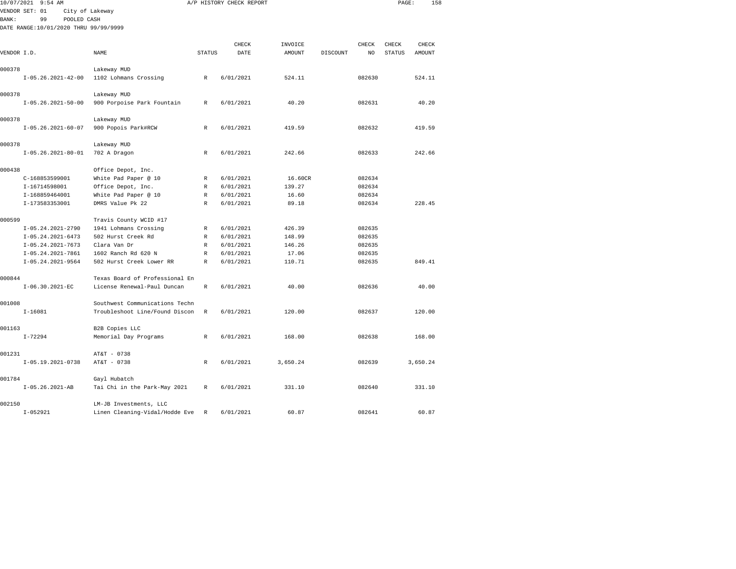| 10/07/2021  | $9:54$ AM                             |                                |               | A/P HISTORY CHECK REPORT |          |          |        | PAGE:         | 158      |  |
|-------------|---------------------------------------|--------------------------------|---------------|--------------------------|----------|----------|--------|---------------|----------|--|
|             | VENDOR SET: 01<br>City of Lakeway     |                                |               |                          |          |          |        |               |          |  |
| BANK:       | 99<br>POOLED CASH                     |                                |               |                          |          |          |        |               |          |  |
|             | DATE RANGE:10/01/2020 THRU 99/99/9999 |                                |               |                          |          |          |        |               |          |  |
|             |                                       |                                |               |                          |          |          |        |               |          |  |
|             |                                       |                                |               | CHECK                    | INVOICE  |          | CHECK  | CHECK         | CHECK    |  |
| VENDOR I.D. |                                       | NAME                           | <b>STATUS</b> | DATE                     | AMOUNT   | DISCOUNT | NO     | <b>STATUS</b> | AMOUNT   |  |
|             |                                       |                                |               |                          |          |          |        |               |          |  |
| 000378      |                                       | Lakeway MUD                    |               |                          |          |          |        |               |          |  |
|             | $I-05.26.2021-42-00$                  | 1102 Lohmans Crossing          | R             | 6/01/2021                | 524.11   |          | 082630 |               | 524.11   |  |
| 000378      |                                       | Lakeway MUD                    |               |                          |          |          |        |               |          |  |
|             | $I-05.26.2021-50-00$                  | 900 Porpoise Park Fountain     | R             | 6/01/2021                | 40.20    |          | 082631 |               | 40.20    |  |
|             |                                       |                                |               |                          |          |          |        |               |          |  |
| 000378      |                                       | Lakeway MUD                    |               |                          |          |          |        |               |          |  |
|             | $I-05.26.2021-60-07$                  | 900 Popois Park#RCW            | $\mathbb{R}$  | 6/01/2021                | 419.59   |          | 082632 |               | 419.59   |  |
| 000378      |                                       | Lakeway MUD                    |               |                          |          |          |        |               |          |  |
|             | $I-05.26.2021-80-01$                  | 702 A Dragon                   | R             | 6/01/2021                | 242.66   |          | 082633 |               | 242.66   |  |
|             |                                       |                                |               |                          |          |          |        |               |          |  |
| 000438      |                                       | Office Depot, Inc.             |               |                          |          |          |        |               |          |  |
|             | C-168853599001                        | White Pad Paper @ 10           | R             | 6/01/2021                | 16.60CR  |          | 082634 |               |          |  |
|             | I-16714598001                         | Office Depot, Inc.             | R             | 6/01/2021                | 139.27   |          | 082634 |               |          |  |
|             | I-168859464001                        | White Pad Paper @ 10           | R             | 6/01/2021                | 16.60    |          | 082634 |               |          |  |
|             | I-173583353001                        | DMRS Value Pk 22               | R             | 6/01/2021                | 89.18    |          | 082634 |               | 228.45   |  |
|             |                                       |                                |               |                          |          |          |        |               |          |  |
| 000599      |                                       | Travis County WCID #17         |               |                          |          |          |        |               |          |  |
|             | I-05.24.2021-2790                     | 1941 Lohmans Crossing          | R             | 6/01/2021                | 426.39   |          | 082635 |               |          |  |
|             | $I-05.24.2021-6473$                   | 502 Hurst Creek Rd             | R             | 6/01/2021                | 148.99   |          | 082635 |               |          |  |
|             | $I-05.24.2021-7673$                   | Clara Van Dr                   | $\mathbb{R}$  | 6/01/2021                | 146.26   |          | 082635 |               |          |  |
|             | I-05.24.2021-7861                     | 1602 Ranch Rd 620 N            | $\mathbb{R}$  | 6/01/2021                | 17.06    |          | 082635 |               |          |  |
|             | $I-05.24.2021-9564$                   | 502 Hurst Creek Lower RR       | R             | 6/01/2021                | 110.71   |          | 082635 |               | 849.41   |  |
| 000844      |                                       | Texas Board of Professional En |               |                          |          |          |        |               |          |  |
|             | $I-06.30.2021-EC$                     | License Renewal-Paul Duncan    | R             | 6/01/2021                | 40.00    |          | 082636 |               | 40.00    |  |
|             |                                       |                                |               |                          |          |          |        |               |          |  |
| 001008      |                                       | Southwest Communications Techn |               |                          |          |          |        |               |          |  |
|             | $I - 16081$                           | Troubleshoot Line/Found Discon | R             | 6/01/2021                | 120.00   |          | 082637 |               | 120.00   |  |
| 001163      |                                       | B2B Copies LLC                 |               |                          |          |          |        |               |          |  |
|             | $I - 72294$                           | Memorial Day Programs          | $\,$ R        | 6/01/2021                | 168.00   |          | 082638 |               | 168.00   |  |
| 001231      |                                       | AT&T - 0738                    |               |                          |          |          |        |               |          |  |
|             | $I-05.19.2021-0738$                   | AT&T - 0738                    | $\mathbb R$   | 6/01/2021                | 3,650.24 |          | 082639 |               | 3,650.24 |  |
|             |                                       |                                |               |                          |          |          |        |               |          |  |
| 001784      |                                       | Gayl Hubatch                   |               |                          |          |          |        |               |          |  |
|             | $I-05.26.2021-AB$                     | Tai Chi in the Park-May 2021   | R             | 6/01/2021                | 331.10   |          | 082640 |               | 331.10   |  |
| 002150      |                                       | LM-JB Investments, LLC         |               |                          |          |          |        |               |          |  |
|             | $I - 052921$                          | Linen Cleaning-Vidal/Hodde Eve | R             | 6/01/2021                | 60.87    |          | 082641 |               | 60.87    |  |
|             |                                       |                                |               |                          |          |          |        |               |          |  |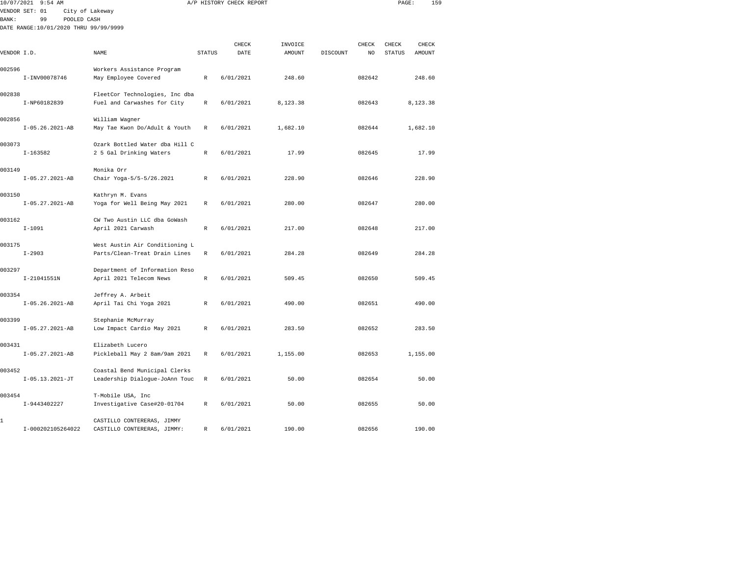| 10/07/2021   | $9:54$ AM                             |                                                                 |               | A/P HISTORY CHECK REPORT |          |                | PAGE:  | 159      |  |
|--------------|---------------------------------------|-----------------------------------------------------------------|---------------|--------------------------|----------|----------------|--------|----------|--|
| <b>BANK:</b> | VENDOR SET: 01<br>99<br>POOLED CASH   | City of Lakeway                                                 |               |                          |          |                |        |          |  |
|              | DATE RANGE:10/01/2020 THRU 99/99/9999 |                                                                 |               |                          |          |                |        |          |  |
|              |                                       |                                                                 |               | CHECK                    | INVOICE  | CHECK          | CHECK  | CHECK    |  |
| VENDOR I.D.  |                                       | NAME                                                            | <b>STATUS</b> | DATE                     | AMOUNT   | DISCOUNT<br>NO | STATUS | AMOUNT   |  |
| 002596       |                                       | Workers Assistance Program                                      |               |                          |          |                |        |          |  |
|              | I-INV00078746                         | May Employee Covered                                            | $\mathbb{R}$  | 6/01/2021                | 248.60   | 082642         |        | 248.60   |  |
| 002838       |                                       | FleetCor Technologies, Inc dba                                  |               |                          |          |                |        |          |  |
|              | I-NP60182839                          | Fuel and Carwashes for City                                     | R             | 6/01/2021                | 8,123.38 | 082643         |        | 8,123.38 |  |
| 002856       |                                       | William Wagner                                                  |               |                          |          |                |        |          |  |
|              | $I-05.26.2021-AB$                     | May Tae Kwon Do/Adult & Youth                                   | R             | 6/01/2021                | 1,682.10 | 082644         |        | 1,682.10 |  |
| 003073       |                                       | Ozark Bottled Water dba Hill C                                  |               |                          |          |                |        |          |  |
|              | $I-163582$                            | 2 5 Gal Drinking Waters                                         | $\mathbb R$   | 6/01/2021                | 17.99    | 082645         |        | 17.99    |  |
| 003149       |                                       | Monika Orr                                                      |               |                          |          |                |        |          |  |
|              | $I-05.27.2021-AB$                     | Chair Yoga-5/5-5/26.2021                                        | R             | 6/01/2021                | 228.90   | 082646         |        | 228.90   |  |
| 003150       |                                       | Kathryn M. Evans                                                |               |                          |          |                |        |          |  |
|              | $I-05.27.2021-AB$                     | Yoga for Well Being May 2021                                    | $\mathbb{R}$  | 6/01/2021                | 280.00   | 082647         |        | 280.00   |  |
| 003162       |                                       | CW Two Austin LLC dba GoWash                                    |               |                          |          |                |        |          |  |
|              | $I-1091$                              | April 2021 Carwash                                              | $\mathbb{R}$  | 6/01/2021                | 217.00   | 082648         |        | 217.00   |  |
| 003175       |                                       | West Austin Air Conditioning L                                  |               |                          |          |                |        |          |  |
|              | $I - 2903$                            | Parts/Clean-Treat Drain Lines                                   | $\mathbb R$   | 6/01/2021                | 284.28   | 082649         |        | 284.28   |  |
| 003297       |                                       | Department of Information Reso                                  |               |                          |          |                |        |          |  |
|              | I-21041551N                           | April 2021 Telecom News                                         | R             | 6/01/2021                | 509.45   | 082650         |        | 509.45   |  |
| 003354       | $I-05.26.2021-AB$                     | Jeffrey A. Arbeit                                               | $\mathbb{R}$  | 6/01/2021                | 490.00   | 082651         |        | 490.00   |  |
|              |                                       | April Tai Chi Yoga 2021                                         |               |                          |          |                |        |          |  |
| 003399       | $I-05.27.2021-AB$                     | Stephanie McMurray<br>Low Impact Cardio May 2021                | $\mathbb R$   | 6/01/2021                | 283.50   | 082652         |        | 283.50   |  |
|              |                                       |                                                                 |               |                          |          |                |        |          |  |
| 003431       | $I-05.27.2021-AB$                     | Elizabeth Lucero<br>Pickleball May 2 8am/9am 2021               | $\mathbb{R}$  | 6/01/2021                | 1,155.00 | 082653         |        | 1,155.00 |  |
|              |                                       |                                                                 |               |                          |          |                |        |          |  |
| 003452       | $I-05.13.2021-JT$                     | Coastal Bend Municipal Clerks<br>Leadership Dialogue-JoAnn Touc | $\mathbb R$   | 6/01/2021                | 50.00    | 082654         |        | 50.00    |  |
|              |                                       |                                                                 |               |                          |          |                |        |          |  |
| 003454       | I-9443402227                          | T-Mobile USA, Inc<br>Investigative Case#20-01704                | R             | 6/01/2021                | 50.00    | 082655         |        | 50.00    |  |
|              |                                       |                                                                 |               |                          |          |                |        |          |  |
| 1            |                                       | CASTILLO CONTERERAS, JIMMY                                      |               |                          |          |                |        |          |  |

I-000202105264022 CASTILLO CONTERERAS, JIMMY: R 6/01/2021 190.00 082656 190.00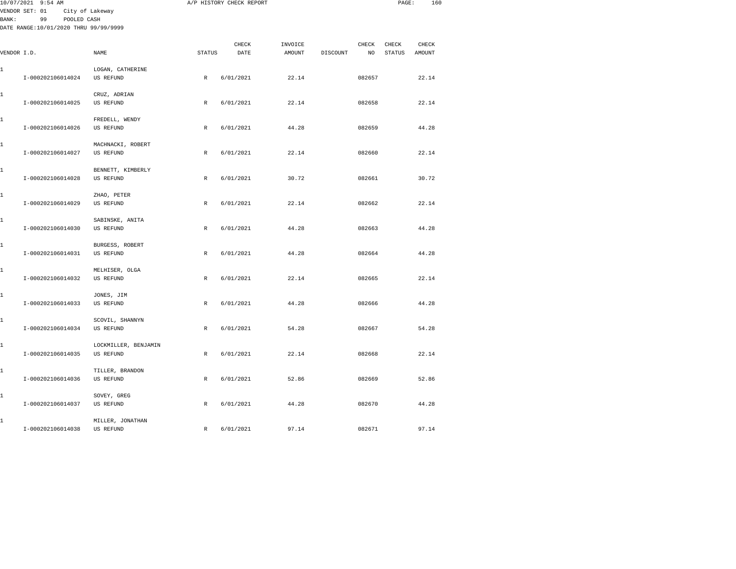|       | 10/07/2021 9:54 AM                    |                      |               | A/P HISTORY CHECK REPORT |               |          |        | PAGE:         | 160           |  |
|-------|---------------------------------------|----------------------|---------------|--------------------------|---------------|----------|--------|---------------|---------------|--|
|       | VENDOR SET: 01                        | City of Lakeway      |               |                          |               |          |        |               |               |  |
| BANK: | 99<br>POOLED CASH                     |                      |               |                          |               |          |        |               |               |  |
|       | DATE RANGE:10/01/2020 THRU 99/99/9999 |                      |               |                          |               |          |        |               |               |  |
|       |                                       |                      |               | CHECK                    | INVOICE       |          | CHECK  | CHECK         | ${\tt CHECK}$ |  |
|       | VENDOR I.D.                           | <b>NAME</b>          | <b>STATUS</b> | DATE                     | <b>AMOUNT</b> | DISCOUNT | NO     | <b>STATUS</b> | AMOUNT        |  |
|       |                                       |                      |               |                          |               |          |        |               |               |  |
| 1     |                                       | LOGAN, CATHERINE     |               |                          |               |          |        |               |               |  |
|       | I-000202106014024                     | US REFUND            | $\,$ R        | 6/01/2021                | 22.14         |          | 082657 |               | 22.14         |  |
| 1     |                                       | CRUZ, ADRIAN         |               |                          |               |          |        |               |               |  |
|       | I-000202106014025                     | US REFUND            | $\mathbb{R}$  | 6/01/2021                | 22.14         |          | 082658 |               | 22.14         |  |
|       |                                       |                      |               |                          |               |          |        |               |               |  |
| 1     |                                       | FREDELL, WENDY       |               |                          |               |          |        |               |               |  |
|       | I-000202106014026                     | US REFUND            | R             | 6/01/2021                | 44.28         |          | 082659 |               | 44.28         |  |
| 1     |                                       | MACHNACKI, ROBERT    |               |                          |               |          |        |               |               |  |
|       | I-000202106014027                     | US REFUND            | R             | 6/01/2021                | 22.14         |          | 082660 |               | 22.14         |  |
|       |                                       |                      |               |                          |               |          |        |               |               |  |
| 1     |                                       | BENNETT, KIMBERLY    |               |                          |               |          |        |               |               |  |
|       | I-000202106014028                     | US REFUND            | R             | 6/01/2021                | 30.72         |          | 082661 |               | 30.72         |  |
| 1     |                                       | ZHAO, PETER          |               |                          |               |          |        |               |               |  |
|       | I-000202106014029                     | US REFUND            | $\mathbb R$   | 6/01/2021                | 22.14         |          | 082662 |               | 22.14         |  |
|       |                                       |                      |               |                          |               |          |        |               |               |  |
| 1     |                                       | SABINSKE, ANITA      |               |                          |               |          |        |               |               |  |
|       | I-000202106014030                     | US REFUND            | $\,$ R        | 6/01/2021                | 44.28         |          | 082663 |               | 44.28         |  |
| 1     |                                       | BURGESS, ROBERT      |               |                          |               |          |        |               |               |  |
|       | I-000202106014031                     | US REFUND            | $\,$ R        | 6/01/2021                | 44.28         |          | 082664 |               | 44.28         |  |
|       |                                       |                      |               |                          |               |          |        |               |               |  |
| 1     |                                       | MELHISER, OLGA       |               |                          |               |          |        |               |               |  |
|       | I-000202106014032                     | US REFUND            | $\mathbb R$   | 6/01/2021                | 22.14         |          | 082665 |               | 22.14         |  |
| 1     |                                       | JONES, JIM           |               |                          |               |          |        |               |               |  |
|       | I-000202106014033                     | US REFUND            | R             | 6/01/2021                | 44.28         |          | 082666 |               | 44.28         |  |
|       |                                       |                      |               |                          |               |          |        |               |               |  |
| 1     |                                       | SCOVIL, SHANNYN      |               |                          |               |          |        |               |               |  |
|       | I-000202106014034                     | US REFUND            | $\mathbb{R}$  | 6/01/2021                | 54.28         |          | 082667 |               | 54.28         |  |
| 1     |                                       | LOCKMILLER, BENJAMIN |               |                          |               |          |        |               |               |  |
|       | I-000202106014035                     | US REFUND            | $\,$ R        | 6/01/2021                | 22.14         |          | 082668 |               | 22.14         |  |
|       |                                       |                      |               |                          |               |          |        |               |               |  |
| 1     |                                       | TILLER, BRANDON      |               |                          |               |          |        |               |               |  |
|       | I-000202106014036                     | US REFUND            | $\mathbb{R}$  | 6/01/2021                | 52.86         |          | 082669 |               | 52.86         |  |
| 1     |                                       | SOVEY, GREG          |               |                          |               |          |        |               |               |  |
|       | I-000202106014037                     | US REFUND            | $\,$ R        | 6/01/2021                | 44.28         |          | 082670 |               | 44.28         |  |
|       |                                       |                      |               |                          |               |          |        |               |               |  |
| 1     |                                       | MILLER, JONATHAN     |               |                          |               |          |        |               |               |  |
|       | I-000202106014038                     | US REFUND            | $\mathbb{R}$  | 6/01/2021                | 97.14         |          | 082671 |               | 97.14         |  |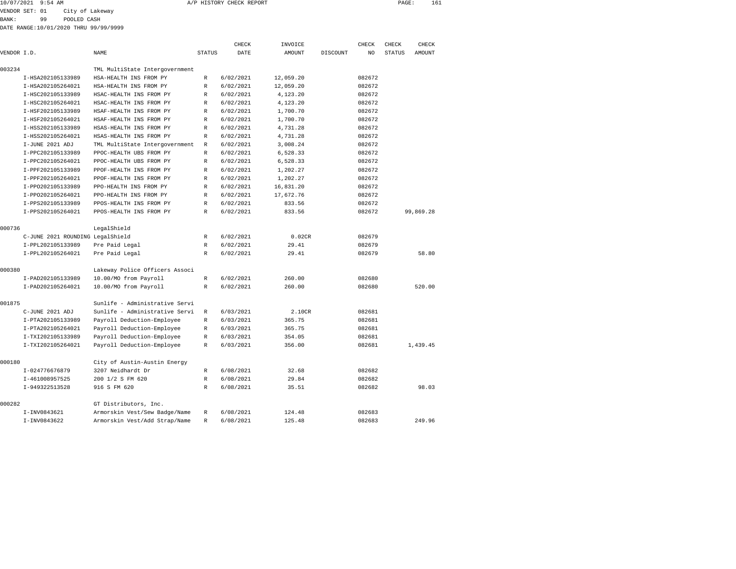| 10/07/2021 9:54 AM |               | A/P HISTORY CHECK REPORT | PAGE | TPT |
|--------------------|---------------|--------------------------|------|-----|
|                    | $\frac{1}{2}$ |                          |      |     |

VENDOR SET: 01 City of Lakeway

BANK: 99 POOLED CASH DATE RANGE:10/01/2020 THRU 99/99/9999

| DATE RANGE:10/01/2020 THRU 99/99/99 |  |  |  |
|-------------------------------------|--|--|--|
|                                     |  |  |  |

|             |                                  |                                |               | CHECK     | INVOICE       |          | CHECK  | CHECK         | CHECK         |
|-------------|----------------------------------|--------------------------------|---------------|-----------|---------------|----------|--------|---------------|---------------|
| VENDOR I.D. |                                  | <b>NAME</b>                    | <b>STATUS</b> | DATE      | <b>AMOUNT</b> | DISCOUNT | NO.    | <b>STATUS</b> | <b>AMOUNT</b> |
|             |                                  |                                |               |           |               |          |        |               |               |
| 003234      |                                  | TML MultiState Intergovernment |               |           |               |          |        |               |               |
|             | I-HSA202105133989                | HSA-HEALTH INS FROM PY         | R             | 6/02/2021 | 12,059.20     |          | 082672 |               |               |
|             | I-HSA202105264021                | HSA-HEALTH INS FROM PY         | R             | 6/02/2021 | 12,059.20     |          | 082672 |               |               |
|             | I-HSC202105133989                | HSAC-HEALTH INS FROM PY        | $\mathbb{R}$  | 6/02/2021 | 4,123.20      |          | 082672 |               |               |
|             | I-HSC202105264021                | HSAC-HEALTH INS FROM PY        | R             | 6/02/2021 | 4,123.20      |          | 082672 |               |               |
|             | I-HSF202105133989                | HSAF-HEALTH INS FROM PY        | R             | 6/02/2021 | 1,700.70      |          | 082672 |               |               |
|             | I-HSF202105264021                | HSAF-HEALTH INS FROM PY        | $\mathbb R$   | 6/02/2021 | 1,700.70      |          | 082672 |               |               |
|             | I-HSS202105133989                | HSAS-HEALTH INS FROM PY        | $\mathbb{R}$  | 6/02/2021 | 4,731.28      |          | 082672 |               |               |
|             | I-HSS202105264021                | HSAS-HEALTH INS FROM PY        | R             | 6/02/2021 | 4,731.28      |          | 082672 |               |               |
|             | I-JUNE 2021 ADJ                  | TML MultiState Intergovernment | $\mathbb{R}$  | 6/02/2021 | 3,008.24      |          | 082672 |               |               |
|             | I-PPC202105133989                | PPOC-HEALTH UBS FROM PY        | R             | 6/02/2021 | 6,528.33      |          | 082672 |               |               |
|             | I-PPC202105264021                | PPOC-HEALTH UBS FROM PY        | $\mathbb{R}$  | 6/02/2021 | 6,528.33      |          | 082672 |               |               |
|             | I-PPF202105133989                | PPOF-HEALTH INS FROM PY        | R             | 6/02/2021 | 1,202.27      |          | 082672 |               |               |
|             | I-PPF202105264021                | PPOF-HEALTH INS FROM PY        | $\mathbb{R}$  | 6/02/2021 | 1,202.27      |          | 082672 |               |               |
|             | I-PP0202105133989                | PPO-HEALTH INS FROM PY         | $\mathbb{R}$  | 6/02/2021 | 16,831.20     |          | 082672 |               |               |
|             | I-PP0202105264021                | PPO-HEALTH INS FROM PY         | $\mathbb{R}$  | 6/02/2021 | 17,672.76     |          | 082672 |               |               |
|             | I-PPS202105133989                | PPOS-HEALTH INS FROM PY        | $\mathbb{R}$  | 6/02/2021 | 833.56        |          | 082672 |               |               |
|             | I-PPS202105264021                | PPOS-HEALTH INS FROM PY        | $\mathbb{R}$  | 6/02/2021 | 833.56        |          | 082672 |               | 99.869.28     |
| 000736      |                                  | LegalShield                    |               |           |               |          |        |               |               |
|             | C-JUNE 2021 ROUNDING LegalShield |                                | R             | 6/02/2021 | 0.02CR        |          | 082679 |               |               |
|             | I-PPL202105133989                | Pre Paid Legal                 | R             | 6/02/2021 | 29.41         |          | 082679 |               |               |
|             | I-PPL202105264021                | Pre Paid Legal                 | R             | 6/02/2021 | 29.41         |          | 082679 |               | 58.80         |
| 000380      |                                  | Lakeway Police Officers Associ |               |           |               |          |        |               |               |
|             | I-PAD202105133989                | 10.00/MO from Payroll          | R             | 6/02/2021 | 260.00        |          | 082680 |               |               |
|             | I-PAD202105264021                | 10.00/MO from Payroll          | $\mathbb{R}$  | 6/02/2021 | 260.00        |          | 082680 |               | 520.00        |
| 001875      |                                  | Sunlife - Administrative Servi |               |           |               |          |        |               |               |
|             | C-JUNE 2021 ADJ                  | Sunlife - Administrative Servi | R             | 6/03/2021 | 2.10CR        |          | 082681 |               |               |
|             | I-PTA202105133989                | Payroll Deduction-Employee     | R             | 6/03/2021 | 365.75        |          | 082681 |               |               |
|             | I-PTA202105264021                | Payroll Deduction-Employee     | R             | 6/03/2021 | 365.75        |          | 082681 |               |               |
|             | I-TXI202105133989                | Payroll Deduction-Employee     | $\mathbb{R}$  | 6/03/2021 | 354.05        |          | 082681 |               |               |
|             | I-TXI202105264021                | Payroll Deduction-Employee     | $\mathbb{R}$  | 6/03/2021 | 356.00        |          | 082681 |               | 1.439.45      |
| 000180      |                                  | City of Austin-Austin Energy   |               |           |               |          |        |               |               |
|             | I-024776676879                   | 3207 Neidhardt Dr              | R             | 6/08/2021 | 32.68         |          | 082682 |               |               |
|             | I-461008957525                   | 200 1/2 S FM 620               | R             | 6/08/2021 | 29.84         |          | 082682 |               |               |
|             | I-949322513528                   | 916 S FM 620                   | $\mathbb{R}$  | 6/08/2021 | 35.51         |          | 082682 |               | 98.03         |
| 000282      |                                  | GT Distributors, Inc.          |               |           |               |          |        |               |               |
|             | I-INV0843621                     | Armorskin Vest/Sew Badge/Name  | R             | 6/08/2021 | 124.48        |          | 082683 |               |               |
|             | I-INV0843622                     | Armorskin Vest/Add Strap/Name  | R             | 6/08/2021 | 125.48        |          | 082683 |               | 249.96        |
|             |                                  |                                |               |           |               |          |        |               |               |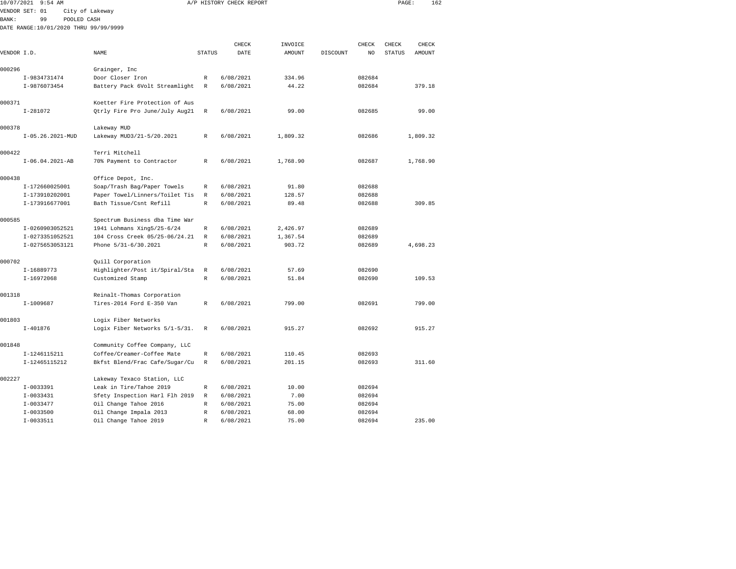| 10/07/2021    | $9:54$ AM                             |                                |               | A/P HISTORY CHECK REPORT |          |          |        | PAGE:         | 162      |  |
|---------------|---------------------------------------|--------------------------------|---------------|--------------------------|----------|----------|--------|---------------|----------|--|
|               | VENDOR SET: 01                        | City of Lakeway                |               |                          |          |          |        |               |          |  |
| <b>BANK :</b> | 99<br>POOLED CASH                     |                                |               |                          |          |          |        |               |          |  |
|               | DATE RANGE:10/01/2020 THRU 99/99/9999 |                                |               |                          |          |          |        |               |          |  |
|               |                                       |                                |               |                          |          |          |        |               |          |  |
|               |                                       |                                |               | CHECK                    | INVOICE  |          | CHECK  | CHECK         | CHECK    |  |
| VENDOR I.D.   |                                       | NAME                           | <b>STATUS</b> | DATE                     | AMOUNT   | DISCOUNT | NO     | <b>STATUS</b> | AMOUNT   |  |
| 000296        |                                       | Grainger, Inc                  |               |                          |          |          |        |               |          |  |
|               | I-9834731474                          | Door Closer Iron               | R             | 6/08/2021                | 334.96   |          | 082684 |               |          |  |
|               | I-9876073454                          | Battery Pack 6Volt Streamlight | R             | 6/08/2021                | 44.22    |          | 082684 |               | 379.18   |  |
|               |                                       |                                |               |                          |          |          |        |               |          |  |
| 000371        |                                       | Koetter Fire Protection of Aus |               |                          |          |          |        |               |          |  |
|               | $I-281072$                            | Qtrly Fire Pro June/July Aug21 | $\mathbb R$   | 6/08/2021                | 99.00    |          | 082685 |               | 99.00    |  |
| 000378        |                                       | Lakeway MUD                    |               |                          |          |          |        |               |          |  |
|               | I-05.26.2021-MUD                      | Lakeway MUD3/21-5/20.2021      | R             | 6/08/2021                | 1,809.32 |          | 082686 |               | 1,809.32 |  |
| 000422        |                                       | Terri Mitchell                 |               |                          |          |          |        |               |          |  |
|               | $I-06.04.2021-AB$                     | 70% Payment to Contractor      | $\mathbb{R}$  | 6/08/2021                | 1,768.90 |          | 082687 |               | 1,768.90 |  |
|               |                                       |                                |               |                          |          |          |        |               |          |  |
| 000438        |                                       | Office Depot, Inc.             |               |                          |          |          |        |               |          |  |
|               | I-172660025001                        | Soap/Trash Bag/Paper Towels    | R             | 6/08/2021                | 91.80    |          | 082688 |               |          |  |
|               | I-173910202001                        | Paper Towel/Linners/Toilet Tis | $\mathbb R$   | 6/08/2021                | 128.57   |          | 082688 |               |          |  |
|               | I-173916677001                        | Bath Tissue/Csnt Refill        | $\mathbb{R}$  | 6/08/2021                | 89.48    |          | 082688 |               | 309.85   |  |
| 000585        |                                       | Spectrum Business dba Time War |               |                          |          |          |        |               |          |  |
|               | I-0260903052521                       | 1941 Lohmans Xing5/25-6/24     | $\mathbb R$   | 6/08/2021                | 2,426.97 |          | 082689 |               |          |  |
|               | I-0273351052521                       | 104 Cross Creek 05/25-06/24.21 | $\mathbb R$   | 6/08/2021                | 1,367.54 |          | 082689 |               |          |  |
|               | I-0275653053121                       | Phone 5/31-6/30.2021           | $\mathbb{R}$  | 6/08/2021                | 903.72   |          | 082689 |               | 4,698.23 |  |
| 000702        |                                       | Quill Corporation              |               |                          |          |          |        |               |          |  |
|               | I-16889773                            | Highlighter/Post it/Spiral/Sta | R             | 6/08/2021                | 57.69    |          | 082690 |               |          |  |
|               | I-16972068                            | Customized Stamp               | $\mathbb R$   | 6/08/2021                | 51.84    |          | 082690 |               | 109.53   |  |
|               |                                       |                                |               |                          |          |          |        |               |          |  |
| 001318        |                                       | Reinalt-Thomas Corporation     |               |                          |          |          |        |               |          |  |
|               | $I-1009687$                           | Tires-2014 Ford E-350 Van      | $\mathbb{R}$  | 6/08/2021                | 799.00   |          | 082691 |               | 799.00   |  |
| 001803        |                                       | Logix Fiber Networks           |               |                          |          |          |        |               |          |  |
|               | $I - 401876$                          | Logix Fiber Networks 5/1-5/31. | R             | 6/08/2021                | 915.27   |          | 082692 |               | 915.27   |  |
| 001848        |                                       | Community Coffee Company, LLC  |               |                          |          |          |        |               |          |  |
|               | I-1246115211                          | Coffee/Creamer-Coffee Mate     | R             | 6/08/2021                | 110.45   |          | 082693 |               |          |  |
|               | I-12465115212                         | Bkfst Blend/Frac Cafe/Sugar/Cu | R             | 6/08/2021                | 201.15   |          | 082693 |               | 311.60   |  |
| 002227        |                                       | Lakeway Texaco Station, LLC    |               |                          |          |          |        |               |          |  |
|               | I-0033391                             | Leak in Tire/Tahoe 2019        | R             | 6/08/2021                | 10.00    |          | 082694 |               |          |  |
|               | I-0033431                             | Sfety Inspection Harl Flh 2019 | R             | 6/08/2021                | 7.00     |          | 082694 |               |          |  |
|               | $I-0033477$                           | Oil Change Tahoe 2016          | R             | 6/08/2021                | 75.00    |          | 082694 |               |          |  |
|               | $I - 0033500$                         | Oil Change Impala 2013         | $\mathbb R$   | 6/08/2021                | 68.00    |          | 082694 |               |          |  |
|               | $I-0033511$                           | Oil Change Tahoe 2019          | $\mathbb R$   | 6/08/2021                | 75.00    |          | 082694 |               | 235.00   |  |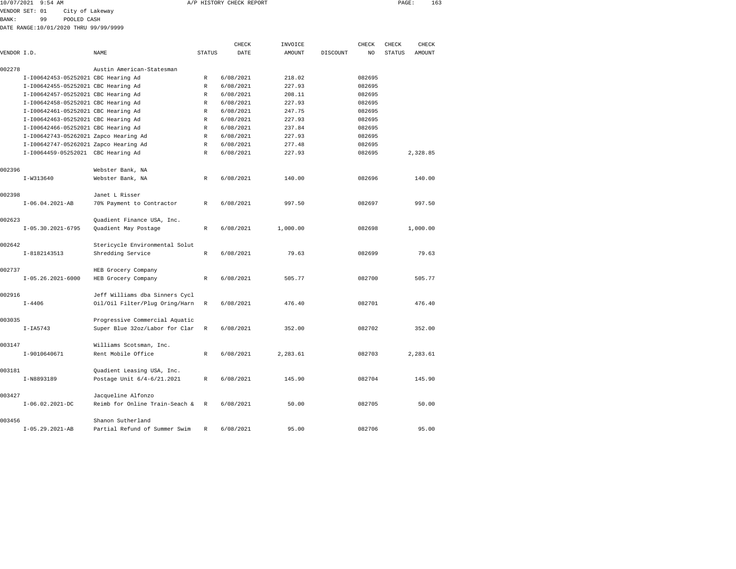| 10/07/2021     | 9:54 AM |                                       |                                     |        | A/P HISTORY CHECK REPORT |          |          |                                  | PAGE:         | 163    |
|----------------|---------|---------------------------------------|-------------------------------------|--------|--------------------------|----------|----------|----------------------------------|---------------|--------|
| VENDOR SET: 01 |         | City of Lakeway                       |                                     |        |                          |          |          |                                  |               |        |
| BANK :         | 99      | POOLED CASH                           |                                     |        |                          |          |          |                                  |               |        |
|                |         | DATE RANGE:10/01/2020 THRU 99/99/9999 |                                     |        |                          |          |          |                                  |               |        |
|                |         |                                       |                                     |        | CHECK                    | INVOICE  |          | CHECK                            | CHECK         | CHECK  |
| VENDOR I.D.    |         |                                       | NAME                                | STATUS | DATE                     | AMOUNT   | DISCOUNT | NO.                              | <b>STATUS</b> | AMOUNT |
| 002278         |         |                                       | Austin American-Statesman           |        |                          |          |          |                                  |               |        |
|                |         |                                       | I-I00642453-05252021 CBC Hearing Ad | R      | 6/08/2021                | 218.02   |          | 082695                           |               |        |
|                |         |                                       | I-I00642455-05252021 CBC Hearing Ad | R      | 6/08/2021                | 227.93   |          | 082695                           |               |        |
|                |         |                                       | I-I00642457-05252021 CBC Hearing Ad | R      | 6/08/2021                | 208.11   |          | 082695                           |               |        |
|                |         |                                       |                                     |        |                          | 0.000000 |          | $\begin{array}{c} \n\end{array}$ |               |        |

|        | I-I00642458-05252021 CBC Hearing Ad   |                                                    | R | 6/08/2021 | 227.93   | 082695 |          |  |
|--------|---------------------------------------|----------------------------------------------------|---|-----------|----------|--------|----------|--|
|        | I-I00642461-05252021 CBC Hearing Ad   |                                                    | R | 6/08/2021 | 247.75   | 082695 |          |  |
|        | I-I00642463-05252021 CBC Hearing Ad   |                                                    | R | 6/08/2021 | 227.93   | 082695 |          |  |
|        | I-I00642466-05252021 CBC Hearing Ad   |                                                    | R | 6/08/2021 | 237.84   | 082695 |          |  |
|        | I-I00642743-05262021 Zapco Hearing Ad |                                                    | R | 6/08/2021 | 227.93   | 082695 |          |  |
|        | I-I00642747-05262021 Zapco Hearing Ad |                                                    | R | 6/08/2021 | 277.48   | 082695 |          |  |
|        | I-I0064459-05252021 CBC Hearing Ad    |                                                    | R | 6/08/2021 | 227.93   | 082695 | 2,328.85 |  |
| 002396 |                                       | Webster Bank, NA                                   |   |           |          |        |          |  |
|        | I-W313640                             | Webster Bank, NA                                   | R | 6/08/2021 | 140.00   | 082696 | 140.00   |  |
| 002398 |                                       | Janet L Risser                                     |   |           |          |        |          |  |
|        | $I-06.04.2021-AB$                     | 70% Payment to Contractor                          | R | 6/08/2021 | 997.50   | 082697 | 997.50   |  |
|        |                                       |                                                    |   |           |          |        |          |  |
| 002623 | $I-05.30.2021-6795$                   | Quadient Finance USA, Inc.<br>Quadient May Postage | R | 6/08/2021 | 1,000.00 | 082698 | 1,000.00 |  |
|        |                                       |                                                    |   |           |          |        |          |  |
| 002642 |                                       | Stericycle Environmental Solut                     |   |           |          |        |          |  |
|        | I-8182143513                          | Shredding Service                                  | R | 6/08/2021 | 79.63    | 082699 | 79.63    |  |
| 002737 |                                       | HEB Grocery Company                                |   |           |          |        |          |  |
|        | $I-05.26.2021-6000$                   | HEB Grocery Company                                | R | 6/08/2021 | 505.77   | 082700 | 505.77   |  |
| 002916 |                                       | Jeff Williams dba Sinners Cycl                     |   |           |          |        |          |  |
|        | $I - 4406$                            | Oil/Oil Filter/Plug Oring/Harn                     | R | 6/08/2021 | 476.40   | 082701 | 476.40   |  |
| 003035 |                                       | Progressive Commercial Aquatic                     |   |           |          |        |          |  |
|        | $I-IA5743$                            | Super Blue 32oz/Labor for Clar R                   |   | 6/08/2021 | 352.00   | 082702 | 352.00   |  |
|        |                                       |                                                    |   |           |          |        |          |  |
| 003147 | I-9010640671                          | Williams Scotsman, Inc.<br>Rent Mobile Office      | R | 6/08/2021 | 2,283.61 | 082703 | 2,283.61 |  |
|        |                                       |                                                    |   |           |          |        |          |  |
| 003181 |                                       | Quadient Leasing USA, Inc.                         |   |           |          |        |          |  |
|        | I-N8893189                            | Postage Unit 6/4-6/21.2021                         | R | 6/08/2021 | 145.90   | 082704 | 145.90   |  |
| 003427 |                                       | Jacqueline Alfonzo                                 |   |           |          |        |          |  |
|        | $I-06.02.2021-DC$                     | Reimb for Online Train-Seach &                     | R | 6/08/2021 | 50.00    | 082705 | 50.00    |  |
| 003456 |                                       | Shanon Sutherland                                  |   |           |          |        |          |  |
|        | $I-05.29.2021-AB$                     | Partial Refund of Summer Swim                      | R | 6/08/2021 | 95.00    | 082706 | 95.00    |  |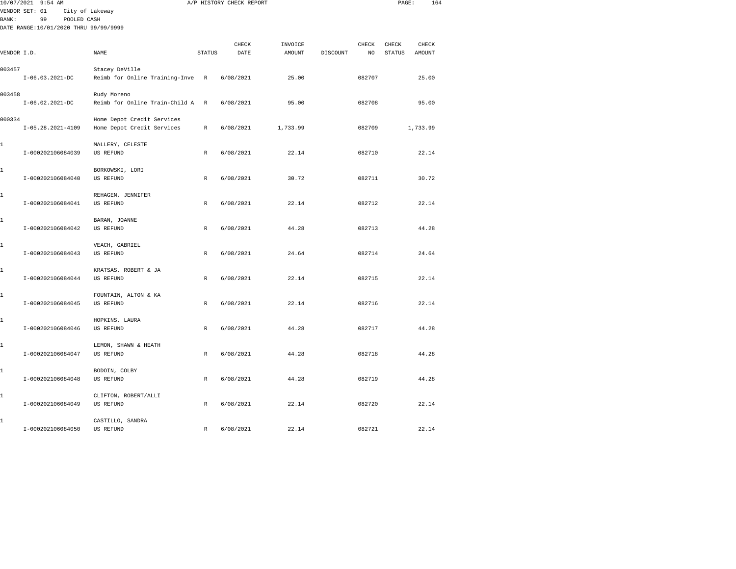|             | 10/07/2021 9:54 AM                                          |                                |               | A/P HISTORY CHECK REPORT |          |          |        | PAGE:         | 164      |  |
|-------------|-------------------------------------------------------------|--------------------------------|---------------|--------------------------|----------|----------|--------|---------------|----------|--|
|             | VENDOR SET: 01                                              | City of Lakeway                |               |                          |          |          |        |               |          |  |
| BANK:       | 99<br>POOLED CASH<br>DATE RANGE: 10/01/2020 THRU 99/99/9999 |                                |               |                          |          |          |        |               |          |  |
|             |                                                             |                                |               |                          |          |          |        |               |          |  |
|             |                                                             |                                |               | CHECK                    | INVOICE  |          | CHECK  | CHECK         | CHECK    |  |
| VENDOR I.D. |                                                             | NAME                           | <b>STATUS</b> | DATE                     | AMOUNT   | DISCOUNT | NO     | <b>STATUS</b> | AMOUNT   |  |
|             |                                                             |                                |               |                          |          |          |        |               |          |  |
| 003457      |                                                             | Stacey DeVille                 |               |                          |          |          |        |               |          |  |
|             | $I-06.03.2021-DC$                                           | Reimb for Online Training-Inve | R             | 6/08/2021                | 25.00    |          | 082707 |               | 25.00    |  |
| 003458      |                                                             | Rudy Moreno                    |               |                          |          |          |        |               |          |  |
|             | $I-06.02.2021-DC$                                           | Reimb for Online Train-Child A | R             | 6/08/2021                | 95.00    |          | 082708 |               | 95.00    |  |
|             |                                                             |                                |               |                          |          |          |        |               |          |  |
| 000334      |                                                             | Home Depot Credit Services     |               |                          |          |          |        |               |          |  |
|             | $I-05.28.2021-4109$                                         | Home Depot Credit Services     | R             | 6/08/2021                | 1,733.99 |          | 082709 |               | 1,733.99 |  |
|             |                                                             |                                |               |                          |          |          |        |               |          |  |
| 1           |                                                             | MALLERY, CELESTE               |               |                          |          |          |        |               |          |  |
|             | I-000202106084039                                           | <b>US REFUND</b>               | $\mathbb R$   | 6/08/2021                | 22.14    |          | 082710 |               | 22.14    |  |
| 1           |                                                             | BORKOWSKI, LORI                |               |                          |          |          |        |               |          |  |
|             | I-000202106084040                                           | US REFUND                      | $\mathbb{R}$  | 6/08/2021                | 30.72    |          | 082711 |               | 30.72    |  |
|             |                                                             |                                |               |                          |          |          |        |               |          |  |
| 1           |                                                             | REHAGEN, JENNIFER              |               |                          |          |          |        |               |          |  |
|             | I-000202106084041                                           | US REFUND                      | $\mathbb{R}$  | 6/08/2021                | 22.14    |          | 082712 |               | 22.14    |  |
|             |                                                             |                                |               |                          |          |          |        |               |          |  |
| 1           | I-000202106084042                                           | BARAN, JOANNE<br>US REFUND     | $\mathbb R$   | 6/08/2021                | 44.28    |          | 082713 |               | 44.28    |  |
|             |                                                             |                                |               |                          |          |          |        |               |          |  |
| 1           |                                                             | VEACH, GABRIEL                 |               |                          |          |          |        |               |          |  |
|             | I-000202106084043                                           | US REFUND                      | R             | 6/08/2021                | 24.64    |          | 082714 |               | 24.64    |  |
|             |                                                             |                                |               |                          |          |          |        |               |          |  |
| 1           |                                                             | KRATSAS, ROBERT & JA           |               |                          |          |          |        |               |          |  |
|             | I-000202106084044                                           | <b>US REFUND</b>               | $\mathbb R$   | 6/08/2021                | 22.14    |          | 082715 |               | 22.14    |  |
| 1           |                                                             | FOUNTAIN, ALTON & KA           |               |                          |          |          |        |               |          |  |
|             | I-000202106084045                                           | US REFUND                      | $\mathbb{R}$  | 6/08/2021                | 22.14    |          | 082716 |               | 22.14    |  |
|             |                                                             |                                |               |                          |          |          |        |               |          |  |
| 1           |                                                             | HOPKINS, LAURA                 |               |                          |          |          |        |               |          |  |
|             | I-000202106084046                                           | US REFUND                      | R             | 6/08/2021                | 44.28    |          | 082717 |               | 44.28    |  |
| 1           |                                                             | LEMON, SHAWN & HEATH           |               |                          |          |          |        |               |          |  |
|             | I-000202106084047                                           | US REFUND                      | R             | 6/08/2021                | 44.28    |          | 082718 |               | 44.28    |  |
|             |                                                             |                                |               |                          |          |          |        |               |          |  |
| 1           |                                                             | BODOIN, COLBY                  |               |                          |          |          |        |               |          |  |
|             | I-000202106084048                                           | US REFUND                      | R             | 6/08/2021                | 44.28    |          | 082719 |               | 44.28    |  |
|             |                                                             |                                |               |                          |          |          |        |               |          |  |
| 1           |                                                             | CLIFTON, ROBERT/ALLI           |               |                          |          |          |        |               |          |  |
|             | I-000202106084049                                           | <b>US REFUND</b>               | $\mathbb R$   | 6/08/2021                | 22.14    |          | 082720 |               | 22.14    |  |
| 1           |                                                             | CASTILLO, SANDRA               |               |                          |          |          |        |               |          |  |
|             | I-000202106084050                                           | US REFUND                      | R             | 6/08/2021                | 22.14    |          | 082721 |               | 22.14    |  |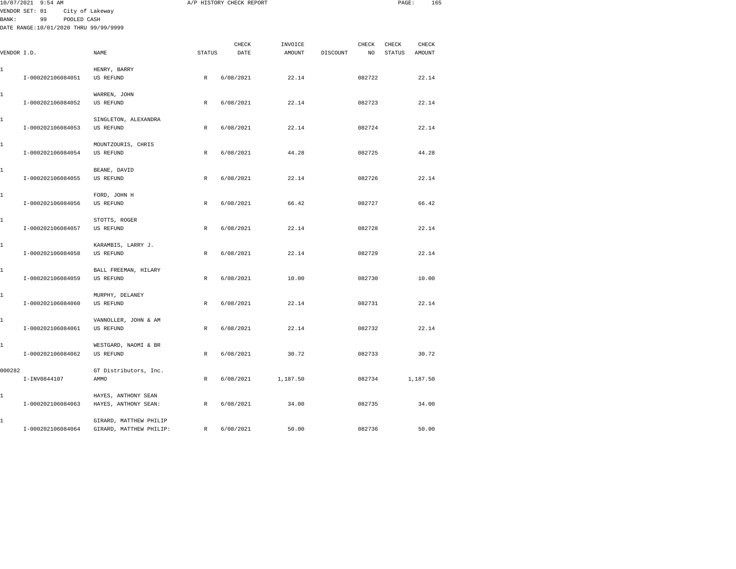|             | 10/07/2021 9:54 AM                    |                                 |               | A/P HISTORY CHECK REPORT |          |          |        | PAGE:  | 165      |  |
|-------------|---------------------------------------|---------------------------------|---------------|--------------------------|----------|----------|--------|--------|----------|--|
|             | VENDOR SET: 01                        | City of Lakeway                 |               |                          |          |          |        |        |          |  |
| BANK:       | 99<br>POOLED CASH                     |                                 |               |                          |          |          |        |        |          |  |
|             | DATE RANGE:10/01/2020 THRU 99/99/9999 |                                 |               |                          |          |          |        |        |          |  |
|             |                                       |                                 |               | CHECK                    | INVOICE  |          | CHECK  | CHECK  | CHECK    |  |
| VENDOR I.D. |                                       | NAME                            | <b>STATUS</b> | DATE                     | AMOUNT   | DISCOUNT | NO     | STATUS | AMOUNT   |  |
|             |                                       |                                 |               |                          |          |          |        |        |          |  |
| 1           |                                       | HENRY, BARRY                    |               |                          |          |          |        |        |          |  |
|             | I-000202106084051                     | US REFUND                       | $\mathbb{R}$  | 6/08/2021                | 22.14    |          | 082722 |        | 22.14    |  |
| 1           |                                       | WARREN, JOHN                    |               |                          |          |          |        |        |          |  |
|             | I-000202106084052                     | US REFUND                       | $\mathbb{R}$  | 6/08/2021                | 22.14    |          | 082723 |        | 22.14    |  |
|             |                                       |                                 |               |                          |          |          |        |        |          |  |
| 1           |                                       | SINGLETON, ALEXANDRA            |               |                          |          |          |        |        |          |  |
|             | I-000202106084053                     | US REFUND                       | R             | 6/08/2021                | 22.14    |          | 082724 |        | 22.14    |  |
|             |                                       |                                 |               |                          |          |          |        |        |          |  |
| 1           | I-000202106084054                     | MOUNTZOURIS, CHRIS<br>US REFUND | R             | 6/08/2021                | 44.28    |          | 082725 |        | 44.28    |  |
|             |                                       |                                 |               |                          |          |          |        |        |          |  |
| 1           |                                       | BEANE, DAVID                    |               |                          |          |          |        |        |          |  |
|             | I-000202106084055                     | US REFUND                       | $\mathbb R$   | 6/08/2021                | 22.14    |          | 082726 |        | 22.14    |  |
|             |                                       |                                 |               |                          |          |          |        |        |          |  |
| 1           | I-000202106084056                     | FORD, JOHN H                    | $\mathbb{R}$  |                          | 66.42    |          | 082727 |        | 66.42    |  |
|             |                                       | <b>US REFUND</b>                |               | 6/08/2021                |          |          |        |        |          |  |
| 1           |                                       | STOTTS, ROGER                   |               |                          |          |          |        |        |          |  |
|             | I-000202106084057                     | US REFUND                       | $\mathbb{R}$  | 6/08/2021                | 22.14    |          | 082728 |        | 22.14    |  |
|             |                                       |                                 |               |                          |          |          |        |        |          |  |
| 1           |                                       | KARAMBIS, LARRY J.              |               |                          |          |          |        |        |          |  |
|             | I-000202106084058                     | US REFUND                       | R             | 6/08/2021                | 22.14    |          | 082729 |        | 22.14    |  |
| 1           |                                       | BALL FREEMAN, HILARY            |               |                          |          |          |        |        |          |  |
|             | I-000202106084059                     | US REFUND                       | $\mathbb{R}$  | 6/08/2021                | 10.00    |          | 082730 |        | 10.00    |  |
|             |                                       |                                 |               |                          |          |          |        |        |          |  |
| 1           |                                       | MURPHY, DELANEY                 |               |                          |          |          |        |        |          |  |
|             | I-000202106084060                     | US REFUND                       | $\mathbb R$   | 6/08/2021                | 22.14    |          | 082731 |        | 22.14    |  |
| 1           |                                       | VANNOLLER, JOHN & AM            |               |                          |          |          |        |        |          |  |
|             | I-000202106084061                     | <b>US REFUND</b>                | $\mathbb{R}$  | 6/08/2021                | 22.14    |          | 082732 |        | 22.14    |  |
|             |                                       |                                 |               |                          |          |          |        |        |          |  |
| 1           |                                       | WESTGARD, NAOMI & BR            |               |                          |          |          |        |        |          |  |
|             | I-000202106084062                     | US REFUND                       | $\mathbb R$   | 6/08/2021                | 30.72    |          | 082733 |        | 30.72    |  |
| 000282      |                                       | GT Distributors, Inc.           |               |                          |          |          |        |        |          |  |
|             | I-INV0844107                          | AMMO                            | R             | 6/08/2021                | 1,187.50 |          | 082734 |        | 1,187.50 |  |
|             |                                       |                                 |               |                          |          |          |        |        |          |  |
| 1           |                                       | HAYES, ANTHONY SEAN             |               |                          |          |          |        |        |          |  |
|             | I-000202106084063                     | HAYES, ANTHONY SEAN:            | R             | 6/08/2021                | 34.00    |          | 082735 |        | 34.00    |  |
| 1           |                                       | GIRARD, MATTHEW PHILIP          |               |                          |          |          |        |        |          |  |
|             | I-000202106084064                     | GIRARD, MATTHEW PHILIP:         | $\mathbb{R}$  | 6/08/2021                | 50.00    |          | 082736 |        | 50.00    |  |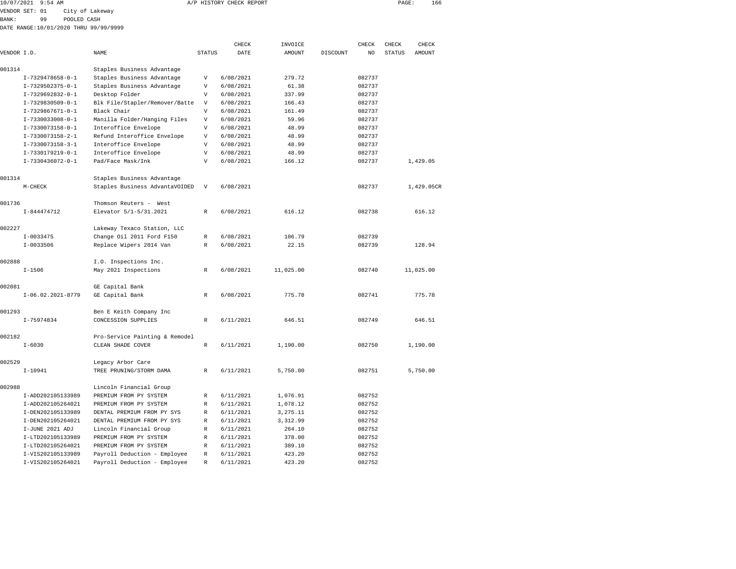|              | 10/07/2021 9:54 AM                    |                                |               | A/P HISTORY CHECK REPORT |               |          |                | PAGE:         | 166           |  |
|--------------|---------------------------------------|--------------------------------|---------------|--------------------------|---------------|----------|----------------|---------------|---------------|--|
|              | VENDOR SET: 01                        | City of Lakeway                |               |                          |               |          |                |               |               |  |
| <b>BANK:</b> | 99                                    | POOLED CASH                    |               |                          |               |          |                |               |               |  |
|              | DATE RANGE:10/01/2020 THRU 99/99/9999 |                                |               |                          |               |          |                |               |               |  |
|              |                                       |                                |               | CHECK                    | INVOICE       |          | CHECK          | CHECK         | CHECK         |  |
| VENDOR I.D.  |                                       | NAME                           | <b>STATUS</b> | <b>DATE</b>              | <b>AMOUNT</b> | DISCOUNT | N <sub>O</sub> | <b>STATUS</b> | <b>AMOUNT</b> |  |
| 001314       |                                       | Staples Business Advantage     |               |                          |               |          |                |               |               |  |
|              | $T-7329478658 - 0 - 1$                | Staples Business Advantage     | V             | 6/08/2021                | 279.72        |          | 082737         |               |               |  |
|              | $I-7329502375-0-1$                    | Staples Business Advantage     | V             | 6/08/2021                | 61.38         |          | 082737         |               |               |  |
|              | $I-7329692832-0-1$                    | Desktop Folder                 | V             | 6/08/2021                | 337.99        |          | 082737         |               |               |  |
|              | $I-7329830509-0-1$                    | Blk File/Stapler/Remover/Batte | V             | 6/08/2021                | 166.43        |          | 082737         |               |               |  |
|              | $I-7329867671-0-1$                    | Black Chair                    | V             | 6/08/2021                | 161.49        |          | 082737         |               |               |  |
|              | $I-7330033008-0-1$                    | Manilla Folder/Hanging Files   | V             | 6/08/2021                | 59.96         |          | 082737         |               |               |  |
|              | $I-7330073158-0-1$                    | Interoffice Envelope           | V             | 6/08/2021                | 48.99         |          | 082737         |               |               |  |
|              | $I-7330073158-2-1$                    | Refund Interoffice Envelope    | V             | 6/08/2021                | 48.99         |          | 082737         |               |               |  |
|              | $I-7330073158-3-1$                    | Interoffice Envelope           | V             | 6/08/2021                | 48.99         |          | 082737         |               |               |  |
|              | $I-7330179219-0-1$                    | Interoffice Envelope           | V             | 6/08/2021                | 48.99         |          | 082737         |               |               |  |
|              | $I-7330436072-0-1$                    | Pad/Face Mask/Ink              | V             | 6/08/2021                | 166.12        |          | 082737         |               | 1,429.05      |  |
| 001314       |                                       | Staples Business Advantage     |               |                          |               |          |                |               |               |  |
|              | M-CHECK                               | Staples Business AdvantaVOIDED | V             | 6/08/2021                |               |          | 082737         |               | 1,429.05CR    |  |
| 001736       |                                       | Thomson Reuters - West         |               |                          |               |          |                |               |               |  |
|              | $I - 844474712$                       | Elevator 5/1-5/31.2021         | R             | 6/08/2021                | 616.12        |          | 082738         |               | 616.12        |  |
| 002227       |                                       | Lakeway Texaco Station, LLC    |               |                          |               |          |                |               |               |  |
|              | $I-0033475$                           | Change Oil 2011 Ford F150      | R             | 6/08/2021                | 106.79        |          | 082739         |               |               |  |
|              | $I-0033506$                           | Replace Wipers 2014 Van        | R             | 6/08/2021                | 22.15         |          | 082739         |               | 128.94        |  |
| 002888       |                                       | I.O. Inspections Inc.          |               |                          |               |          |                |               |               |  |
|              | $I - 1506$                            | May 2021 Inspections           | R             | 6/08/2021                | 11,025.00     |          | 082740         |               | 11,025.00     |  |
| 002081       |                                       | GE Capital Bank                |               |                          |               |          |                |               |               |  |
|              | $I-06.02.2021-8779$                   | GE Capital Bank                | R             | 6/08/2021                | 775.78        |          | 082741         |               | 775.78        |  |

| 002081 |                   | GE Capital Bank                |              |           |          |        |          |
|--------|-------------------|--------------------------------|--------------|-----------|----------|--------|----------|
|        | I-06.02.2021-8779 | GE Capital Bank                | R            | 6/08/2021 | 775.78   | 082741 | 775.78   |
| 001293 |                   | Ben E Keith Company Inc        |              |           |          |        |          |
|        | I-75974834        | CONCESSION SUPPLIES            | R            | 6/11/2021 | 646.51   | 082749 | 646.51   |
| 002182 |                   | Pro-Service Painting & Remodel |              |           |          |        |          |
|        | $I - 6030$        | CLEAN SHADE COVER              | R            | 6/11/2021 | 1,190.00 | 082750 | 1,190.00 |
| 002529 |                   | Legacy Arbor Care              |              |           |          |        |          |
|        | $I-10941$         | TREE PRUNING/STORM DAMA        | R            | 6/11/2021 | 5,750.00 | 082751 | 5,750.00 |
| 002988 |                   | Lincoln Financial Group        |              |           |          |        |          |
|        | I-ADD202105133989 | PREMIUM FROM PY SYSTEM         | R            | 6/11/2021 | 1,076.91 | 082752 |          |
|        | I-ADD202105264021 | PREMIUM FROM PY SYSTEM         | $\mathbb{R}$ | 6/11/2021 | 1,078.12 | 082752 |          |
|        | I-DEN202105133989 | DENTAL PREMIUM FROM PY SYS     | R            | 6/11/2021 | 3,275.11 | 082752 |          |
|        | I-DEN202105264021 | DENTAL PREMIUM FROM PY SYS     | R            | 6/11/2021 | 3,312.99 | 082752 |          |
|        | I-JUNE 2021 ADJ   | Lincoln Financial Group        | R            | 6/11/2021 | 264.10   | 082752 |          |
|        | I-LTD202105133989 | PREMIUM FROM PY SYSTEM         | R            | 6/11/2021 | 378.00   | 082752 |          |
|        | I-LTD202105264021 | PREMIUM FROM PY SYSTEM         | $\mathbb{R}$ | 6/11/2021 | 389.10   | 082752 |          |
|        | I-VIS202105133989 | Payroll Deduction - Employee   | R            | 6/11/2021 | 423.20   | 082752 |          |
|        | T-VTS202105264021 | Payroll Deduction - Employee   | R            | 6/11/2021 | 423.20   | 082752 |          |

646.51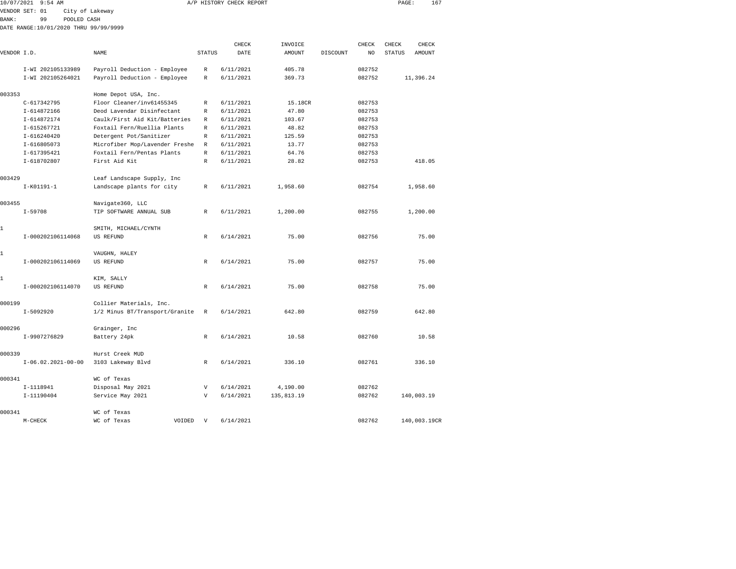|                | 10/07/2021 9:54 AM |                                       |                              |        | A/P HISTORY CHECK REPORT |         |          |        | PAGE:         | 167       |  |
|----------------|--------------------|---------------------------------------|------------------------------|--------|--------------------------|---------|----------|--------|---------------|-----------|--|
| VENDOR SET: 01 |                    | City of Lakeway                       |                              |        |                          |         |          |        |               |           |  |
| BANK:          | 99                 | POOLED CASH                           |                              |        |                          |         |          |        |               |           |  |
|                |                    | DATE RANGE:10/01/2020 THRU 99/99/9999 |                              |        |                          |         |          |        |               |           |  |
|                |                    |                                       |                              |        | CHECK                    | INVOICE |          | CHECK  | CHECK         | CHECK     |  |
| VENDOR I.D.    |                    |                                       | NAME                         | STATUS | DATE                     | AMOUNT  | DISCOUNT | NO.    | <b>STATUS</b> | AMOUNT    |  |
|                | I-WI 202105133989  |                                       | Payroll Deduction - Employee | R      | 6/11/2021                | 405.78  |          | 082752 |               |           |  |
|                | I-WI 202105264021  |                                       | Payroll Deduction - Employee | R      | 6/11/2021                | 369.73  |          | 082752 |               | 11,396.24 |  |
| 003353         |                    |                                       | Home Depot USA, Inc.         |        |                          |         |          |        |               |           |  |

|              | $C-617342795$        | Floor Cleaner/inv61455345      |        | R            | 6/11/2021 | 15.18CR    | 082753 |              |
|--------------|----------------------|--------------------------------|--------|--------------|-----------|------------|--------|--------------|
|              | I-614872166          | Deod Lavendar Disinfectant     |        | R            | 6/11/2021 | 47.80      | 082753 |              |
|              | I-614872174          | Caulk/First Aid Kit/Batteries  |        | R            | 6/11/2021 | 103.67     | 082753 |              |
|              | I-615267721          | Foxtail Fern/Ruellia Plants    |        | R            | 6/11/2021 | 48.82      | 082753 |              |
|              | $I - 616240420$      | Detergent Pot/Sanitizer        |        | R            | 6/11/2021 | 125.59     | 082753 |              |
|              | $I - 616805073$      | Microfiber Mop/Lavender Freshe |        | $\mathbb{R}$ | 6/11/2021 | 13.77      | 082753 |              |
|              | $I - 617395421$      | Foxtail Fern/Pentas Plants     |        | R            | 6/11/2021 | 64.76      | 082753 |              |
|              | I-618702807          | First Aid Kit                  |        | R            | 6/11/2021 | 28.82      | 082753 | 418.05       |
| 003429       |                      | Leaf Landscape Supply, Inc     |        |              |           |            |        |              |
|              | $I-K01191-1$         | Landscape plants for city      |        | R            | 6/11/2021 | 1,958.60   | 082754 | 1,958.60     |
| 003455       |                      | Navigate360, LLC               |        |              |           |            |        |              |
|              | $I - 59708$          | TIP SOFTWARE ANNUAL SUB        |        | R            | 6/11/2021 | 1,200.00   | 082755 | 1,200.00     |
| $\mathbf{1}$ |                      | SMITH, MICHAEL/CYNTH           |        |              |           |            |        |              |
|              | I-000202106114068    | US REFUND                      |        | R            | 6/14/2021 | 75.00      | 082756 | 75.00        |
| $\mathbf{1}$ |                      | VAUGHN, HALEY                  |        |              |           |            |        |              |
|              | I-000202106114069    | US REFUND                      |        | R            | 6/14/2021 | 75.00      | 082757 | 75.00        |
| $\mathbf{1}$ |                      | KIM, SALLY                     |        |              |           |            |        |              |
|              | I-000202106114070    | US REFUND                      |        | $\mathbb{R}$ | 6/14/2021 | 75.00      | 082758 | 75.00        |
| 000199       |                      | Collier Materials, Inc.        |        |              |           |            |        |              |
|              | $I-5092920$          | 1/2 Minus BT/Transport/Granite |        | R            | 6/14/2021 | 642.80     | 082759 | 642.80       |
| 000296       |                      | Grainger, Inc                  |        |              |           |            |        |              |
|              | I-9907276829         | Battery 24pk                   |        | $\mathbb{R}$ | 6/14/2021 | 10.58      | 082760 | 10.58        |
| 000339       |                      | Hurst Creek MUD                |        |              |           |            |        |              |
|              | $I-06.02.2021-00-00$ | 3103 Lakeway Blvd              |        | R            | 6/14/2021 | 336.10     | 082761 | 336.10       |
| 000341       |                      | WC of Texas                    |        |              |           |            |        |              |
|              | I-1118941            | Disposal May 2021              |        | V            | 6/14/2021 | 4,190.00   | 082762 |              |
|              | I-11190404           | Service May 2021               |        | V            | 6/14/2021 | 135,813.19 | 082762 | 140,003.19   |
| 000341       |                      | WC of Texas                    |        |              |           |            |        |              |
|              | M-CHECK              | WC of Texas                    | VOIDED | V            | 6/14/2021 |            | 082762 | 140,003.19CR |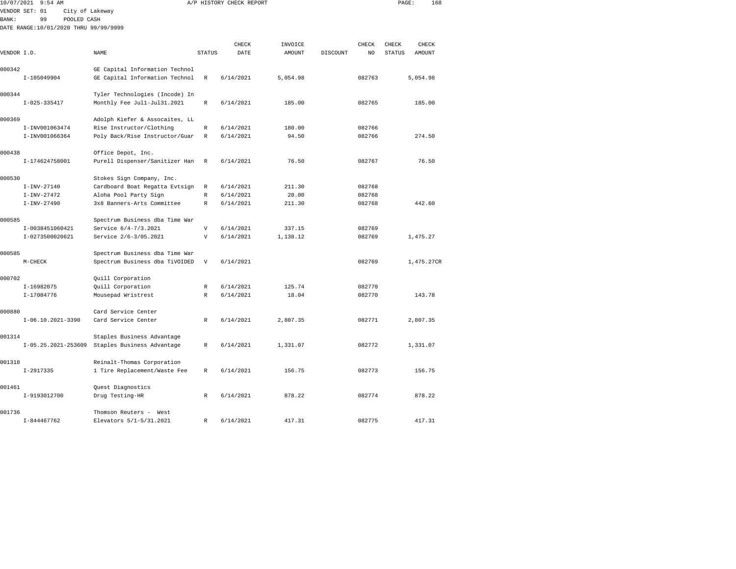| 10/07/2021   | $9:54$ AM                             |                                |                | A/P HISTORY CHECK REPORT |          |          |                | PAGE:         | 168        |
|--------------|---------------------------------------|--------------------------------|----------------|--------------------------|----------|----------|----------------|---------------|------------|
|              | VENDOR SET: 01<br>City of Lakeway     |                                |                |                          |          |          |                |               |            |
| <b>BANK:</b> | 99<br>POOLED CASH                     |                                |                |                          |          |          |                |               |            |
|              | DATE RANGE:10/01/2020 THRU 99/99/9999 |                                |                |                          |          |          |                |               |            |
|              |                                       |                                |                |                          |          |          |                |               |            |
|              |                                       |                                |                | CHECK                    | INVOICE  |          | CHECK          | CHECK         | CHECK      |
| VENDOR I.D.  |                                       | NAME                           | <b>STATUS</b>  | DATE                     | AMOUNT   | DISCOUNT | N <sub>O</sub> | <b>STATUS</b> | AMOUNT     |
| 000342       |                                       | GE Capital Information Technol |                |                          |          |          |                |               |            |
|              | I-105049904                           | GE Capital Information Technol | $\mathbb R$    | 6/14/2021                | 5,054.98 |          | 082763         |               | 5,054.98   |
|              |                                       |                                |                |                          |          |          |                |               |            |
| 000344       |                                       | Tyler Technologies (Incode) In |                |                          |          |          |                |               |            |
|              | $I - 025 - 335417$                    | Monthly Fee Jul1-Jul31.2021    | $\mathbb R$    | 6/14/2021                | 185.00   |          | 082765         |               | 185.00     |
|              |                                       |                                |                |                          |          |          |                |               |            |
| 000369       |                                       | Adolph Kiefer & Assocaites, LL |                |                          |          |          |                |               |            |
|              | I-INV001063474                        | Rise Instructor/Clothing       | $\mathbb R$    | 6/14/2021                | 180.00   |          | 082766         |               |            |
|              | I-INV001066364                        | Poly Back/Rise Instructor/Guar | R              | 6/14/2021                | 94.50    |          | 082766         |               | 274.50     |
|              |                                       |                                |                |                          |          |          |                |               |            |
| 000438       | I-174624758001                        | Office Depot, Inc.             | R              | 6/14/2021                | 76.50    |          | 082767         |               | 76.50      |
|              |                                       | Purell Dispenser/Sanitizer Han |                |                          |          |          |                |               |            |
| 000530       |                                       | Stokes Sign Company, Inc.      |                |                          |          |          |                |               |            |
|              | $I-INV-27140$                         | Cardboard Boat Regatta Evtsign | R              | 6/14/2021                | 211.30   |          | 082768         |               |            |
|              | $I-INV-27472$                         | Aloha Pool Party Sign          | $\mathbb R$    | 6/14/2021                | 20.00    |          | 082768         |               |            |
|              | $I-INV-27490$                         | 3x8 Banners-Arts Committee     | $\mathbb{R}$   | 6/14/2021                | 211.30   |          | 082768         |               | 442.60     |
|              |                                       |                                |                |                          |          |          |                |               |            |
| 000585       |                                       | Spectrum Business dba Time War |                |                          |          |          |                |               |            |
|              | I-0038451060421                       | Service 6/4-7/3.2021           | $\overline{V}$ | 6/14/2021                | 337.15   |          | 082769         |               |            |
|              | I-0273500020621                       | Service 2/6-3/05.2021          | $\overline{V}$ | 6/14/2021                | 1,138.12 |          | 082769         |               | 1,475.27   |
|              |                                       |                                |                |                          |          |          |                |               |            |
| 000585       |                                       | Spectrum Business dba Time War |                |                          |          |          |                |               |            |
|              | $M-CHECK$                             | Spectrum Business dba TiVOIDED | $\mathbf{V}$   | 6/14/2021                |          |          | 082769         |               | 1,475.27CR |
| 000702       |                                       | Quill Corporation              |                |                          |          |          |                |               |            |
|              | I-16982075                            | Quill Corporation              | R              | 6/14/2021                | 125.74   |          | 082770         |               |            |
|              | I-17084776                            | Mousepad Wristrest             | R              | 6/14/2021                | 18.04    |          | 082770         |               | 143.78     |
|              |                                       |                                |                |                          |          |          |                |               |            |
| 000880       |                                       | Card Service Center            |                |                          |          |          |                |               |            |
|              | $I-06.10.2021-3390$                   | Card Service Center            | R              | 6/14/2021                | 2,807.35 |          | 082771         |               | 2,807.35   |
|              |                                       |                                |                |                          |          |          |                |               |            |
| 001314       |                                       | Staples Business Advantage     |                |                          |          |          |                |               |            |
|              | I-05.25.2021-253609                   | Staples Business Advantage     | R              | 6/14/2021                | 1,331.07 |          | 082772         |               | 1,331.07   |
|              |                                       |                                |                |                          |          |          |                |               |            |
| 001318       |                                       | Reinalt-Thomas Corporation     |                |                          |          |          |                |               |            |
|              | $I-2917335$                           | 1 Tire Replacement/Waste Fee   | R              | 6/14/2021                | 156.75   |          | 082773         |               | 156.75     |
| 001461       |                                       | Quest Diagnostics              |                |                          |          |          |                |               |            |
|              | I-9193012700                          | Drug Testing-HR                | R              | 6/14/2021                | 878.22   |          | 082774         |               | 878.22     |
|              |                                       |                                |                |                          |          |          |                |               |            |
|              |                                       |                                |                |                          |          |          |                |               |            |

I-844467762 Elevators 5/1-5/31.2021 R 6/14/2021 417.31 082775 417.31

001736 Thomson Reuters - West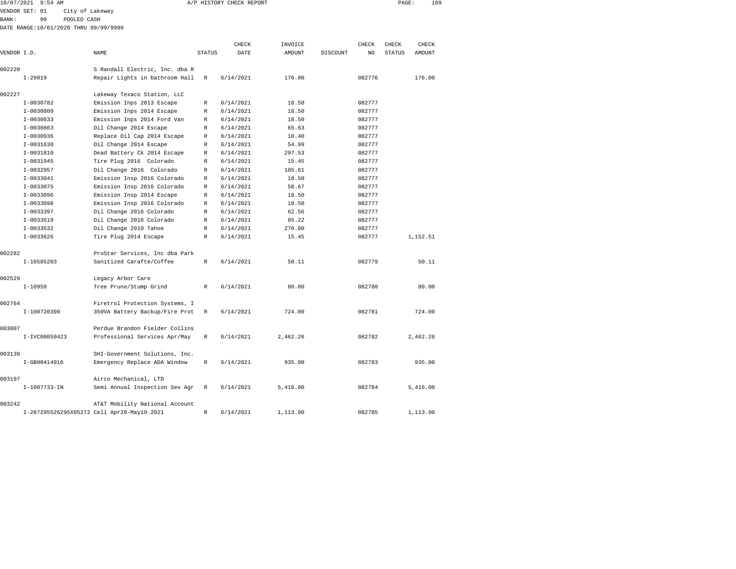| 10/07/2021     | 9:54 AM |                                       |        | A/P HISTORY CHECK REPORT |         |          |       | PAGE:  | 169    |  |
|----------------|---------|---------------------------------------|--------|--------------------------|---------|----------|-------|--------|--------|--|
| VENDOR SET: 01 |         | City of Lakeway                       |        |                          |         |          |       |        |        |  |
| BANK:          | 99      | POOLED CASH                           |        |                          |         |          |       |        |        |  |
|                |         | DATE RANGE:10/01/2020 THRU 99/99/9999 |        |                          |         |          |       |        |        |  |
|                |         |                                       |        |                          |         |          |       |        |        |  |
|                |         |                                       |        | CHECK                    | INVOICE |          | CHECK | CHECK  | CHECK  |  |
| VENDOR I.D.    |         | NAME                                  | STATUS | DATE                     | AMOUNT  | DISCOUNT | NO.   | STATUS | AMOUNT |  |
|                |         |                                       |        |                          |         |          |       |        |        |  |
|                |         |                                       |        |                          |         |          |       |        |        |  |

| 002220 |               | S Randall Electric, Inc. dba R             |              |           |          |        |          |
|--------|---------------|--------------------------------------------|--------------|-----------|----------|--------|----------|
|        | $I-29019$     | Repair Lights in bathroom Hall             | R            | 6/14/2021 | 176.00   | 082776 | 176.00   |
| 002227 |               | Lakeway Texaco Station, LLC                |              |           |          |        |          |
|        | I-0030782     | Emission Inps 2013 Escape                  | R            | 6/14/2021 | 18.50    | 082777 |          |
|        | $I-0030809$   | Emission Inps 2014 Escape                  | R            | 6/14/2021 | 18.50    | 082777 |          |
|        | $I-0030833$   | Emission Inps 2014 Ford Van                | R            | 6/14/2021 | 18.50    | 082777 |          |
|        | $I - 0030863$ | Oil Change 2014 Escape                     | R            | 6/14/2021 | 65.63    | 082777 |          |
|        | $I-0030936$   | Replace Oil Cap 2014 Escape                | R            | 6/14/2021 | 10.40    | 082777 |          |
|        | $I-0031638$   | Oil Change 2014 Escape                     | R            | 6/14/2021 | 54.99    | 082777 |          |
|        | $I-0031810$   | Dead Battery Ck 2014 Escape                | R            | 6/14/2021 | 297.53   | 082777 |          |
|        | $I-0031945$   | Tire Plug 2016 Colorado                    | R            | 6/14/2021 | 15.45    | 082777 |          |
|        | $I-0032957$   | Oil Change 2016 Colorado                   | R            | 6/14/2021 | 105.61   | 082777 |          |
|        | $I-0033041$   | Emission Insp 2016 Colorado                | R            | 6/14/2021 | 18.50    | 082777 |          |
|        | $I - 0033075$ | Emission Insp 2016 Colorado                | R            | 6/14/2021 | 58.67    | 082777 |          |
|        | $I-0033096$   | Emission Insp 2014 Escape                  | R            | 6/14/2021 | 18.50    | 082777 |          |
|        | I-0033098     | Emission Insp 2016 Colorado                | R            | 6/14/2021 | 18.50    | 082777 |          |
|        | $I-0033397$   | Oil Change 2016 Colorado                   | R            | 6/14/2021 | 62.56    | 082777 |          |
|        | $I-0033519$   | Oil Change 2016 Colorado                   | R            | 6/14/2021 | 85.22    | 082777 |          |
|        | $I - 0033532$ | Oil Change 2019 Tahoe                      | R            | 6/14/2021 | 270.00   | 082777 |          |
|        | $I-0033626$   | Tire Plug 2014 Escape                      | R            | 6/14/2021 | 15.45    | 082777 | 1,152.51 |
| 002282 |               | ProStar Services, Inc dba Park             |              |           |          |        |          |
|        | $I-10585203$  | Sanitized Carafte/Coffee                   | $\mathbb{R}$ | 6/14/2021 | 50.11    | 082779 | 50.11    |
| 002529 |               | Legacy Arbor Care                          |              |           |          |        |          |
|        | $I-10959$     | Tree Prune/Stump Grind                     | R            | 6/14/2021 | 80.00    | 082780 | 80.00    |
| 002764 |               | Firetrol Protection Systems, I             |              |           |          |        |          |
|        | I-100720399   | 350VA Battery Backup/Fire Prot             | $\mathbb{R}$ | 6/14/2021 | 724.00   | 082781 | 724.00   |
| 003007 |               | Perdue Brandon Fielder Collins             |              |           |          |        |          |
|        | I-IVC00059423 | Professional Services Apr/May              | R            | 6/14/2021 | 2,462.26 | 082782 | 2,462.26 |
| 003139 |               | SHI-Government Solutions, Inc.             |              |           |          |        |          |
|        | I-GB00414916  | Emergency Replace ADA Window               | R            | 6/14/2021 | 935.00   | 082783 | 935.00   |
| 003197 |               | Airco Mechanical, LTD                      |              |           |          |        |          |
|        | I-1007733-IN  | Semi Annual Inspection Sev Agr             | R            | 6/14/2021 | 5,416.00 | 082784 | 5,416.00 |
| 003242 |               | AT&T Mobility National Account             |              |           |          |        |          |
|        |               | I-287295526295X05272 Cell Apr20-May19.2021 | R            | 6/14/2021 | 1,113.90 | 082785 | 1,113.90 |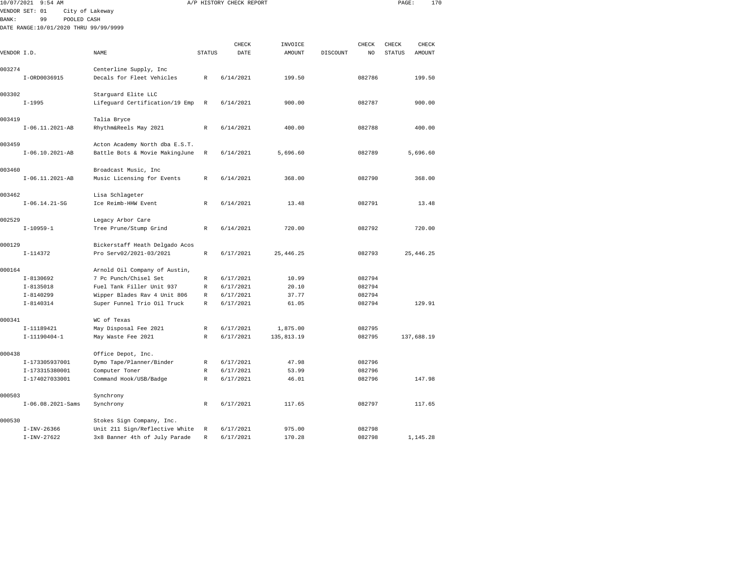|             | 10/07/2021 9:54 AM                    |                                      |               | A/P HISTORY CHECK REPORT |               |          |        | PAGE:         | 170        |  |
|-------------|---------------------------------------|--------------------------------------|---------------|--------------------------|---------------|----------|--------|---------------|------------|--|
|             | VENDOR SET: 01                        | City of Lakeway                      |               |                          |               |          |        |               |            |  |
| BANK:       | 99<br>POOLED CASH                     |                                      |               |                          |               |          |        |               |            |  |
|             | DATE RANGE:10/01/2020 THRU 99/99/9999 |                                      |               |                          |               |          |        |               |            |  |
|             |                                       |                                      |               |                          |               |          |        |               |            |  |
|             |                                       |                                      |               | CHECK                    | INVOICE       |          | CHECK  | CHECK         | CHECK      |  |
| VENDOR I.D. |                                       | <b>NAME</b>                          | <b>STATUS</b> | DATE                     | <b>AMOUNT</b> | DISCOUNT | NO     | <b>STATUS</b> | AMOUNT     |  |
|             |                                       |                                      |               |                          |               |          |        |               |            |  |
| 003274      |                                       | Centerline Supply, Inc               |               |                          |               |          |        |               |            |  |
|             | I-ORD0036915                          | Decals for Fleet Vehicles            | $\mathbb R$   | 6/14/2021                | 199.50        |          | 082786 |               | 199.50     |  |
| 003302      |                                       | Starguard Elite LLC                  |               |                          |               |          |        |               |            |  |
|             | $I - 1995$                            | Lifeguard Certification/19 Emp       | $\mathbb R$   | 6/14/2021                | 900.00        |          | 082787 |               | 900.00     |  |
|             |                                       |                                      |               |                          |               |          |        |               |            |  |
| 003419      |                                       | Talia Bryce                          |               |                          |               |          |        |               |            |  |
|             | I-06.11.2021-AB                       | Rhythm&Reels May 2021                | $\mathbb R$   | 6/14/2021                | 400.00        |          | 082788 |               | 400.00     |  |
|             |                                       |                                      |               |                          |               |          |        |               |            |  |
| 003459      |                                       | Acton Academy North dba E.S.T.       |               |                          |               |          |        |               |            |  |
|             | $I-06.10.2021-AB$                     | Battle Bots & Movie MakingJune       | R             | 6/14/2021                | 5,696.60      |          | 082789 |               | 5,696.60   |  |
|             |                                       |                                      |               |                          |               |          |        |               |            |  |
| 003460      |                                       | Broadcast Music, Inc                 |               |                          |               |          |        |               |            |  |
|             | I-06.11.2021-AB                       | Music Licensing for Events           | R             | 6/14/2021                | 368.00        |          | 082790 |               | 368.00     |  |
|             |                                       |                                      |               |                          |               |          |        |               |            |  |
| 003462      |                                       | Lisa Schlageter                      |               |                          |               |          |        |               |            |  |
|             | $I-06.14.21-SG$                       | Ice Reimb-HHW Event                  | R             | 6/14/2021                | 13.48         |          | 082791 |               | 13.48      |  |
| 002529      |                                       | Legacy Arbor Care                    |               |                          |               |          |        |               |            |  |
|             | $I-10959-1$                           | Tree Prune/Stump Grind               | R             | 6/14/2021                | 720.00        |          | 082792 |               | 720.00     |  |
|             |                                       |                                      |               |                          |               |          |        |               |            |  |
| 000129      |                                       | Bickerstaff Heath Delgado Acos       |               |                          |               |          |        |               |            |  |
|             | $I-114372$                            | Pro Serv02/2021-03/2021              | $\mathbb R$   | 6/17/2021                | 25, 446.25    |          | 082793 |               | 25, 446.25 |  |
|             |                                       |                                      |               |                          |               |          |        |               |            |  |
| 000164      |                                       | Arnold Oil Company of Austin,        |               |                          |               |          |        |               |            |  |
|             | $I-8130692$                           | 7 Pc Punch/Chisel Set                | $\mathbb R$   | 6/17/2021                | 10.99         |          | 082794 |               |            |  |
|             | $I - 8135018$                         | Fuel Tank Filler Unit 937            | R             | 6/17/2021                | 20.10         |          | 082794 |               |            |  |
|             | $I - 8140299$                         | Wipper Blades Rav 4 Unit 806         | $\mathbb R$   | 6/17/2021                | 37.77         |          | 082794 |               |            |  |
|             | $I - 8140314$                         | Super Funnel Trio Oil Truck          | $\mathbb{R}$  | 6/17/2021                | 61.05         |          | 082794 |               | 129.91     |  |
|             |                                       |                                      |               |                          |               |          |        |               |            |  |
| 000341      | I-11189421                            | WC of Texas<br>May Disposal Fee 2021 | R             | 6/17/2021                | 1,875.00      |          | 082795 |               |            |  |
|             | $I-11190404-1$                        | May Waste Fee 2021                   | $\mathbb R$   | 6/17/2021                | 135,813.19    |          | 082795 |               | 137,688.19 |  |
|             |                                       |                                      |               |                          |               |          |        |               |            |  |
| 000438      |                                       | Office Depot, Inc.                   |               |                          |               |          |        |               |            |  |
|             | I-173305937001                        | Dymo Tape/Planner/Binder             | R             | 6/17/2021                | 47.98         |          | 082796 |               |            |  |
|             | I-173315380001                        | Computer Toner                       | $\mathbb R$   | 6/17/2021                | 53.99         |          | 082796 |               |            |  |
|             | I-174027033001                        | Command Hook/USB/Badge               | $\mathbb R$   | 6/17/2021                | 46.01         |          | 082796 |               | 147.98     |  |
|             |                                       |                                      |               |                          |               |          |        |               |            |  |
| 000503      |                                       | Synchrony                            |               |                          |               |          |        |               |            |  |
|             | $I-06.08.2021-Sams$                   | Synchrony                            | $\mathbb R$   | 6/17/2021                | 117.65        |          | 082797 |               | 117.65     |  |
|             |                                       |                                      |               |                          |               |          |        |               |            |  |
| 000530      |                                       | Stokes Sign Company, Inc.            |               |                          |               |          |        |               |            |  |
|             | $I-INV-26366$                         | Unit 211 Sign/Reflective White       | R             | 6/17/2021                | 975.00        |          | 082798 |               |            |  |

I-INV-27622 3x8 Banner 4th of July Parade R 6/17/2021 170.28 082798 1,145.28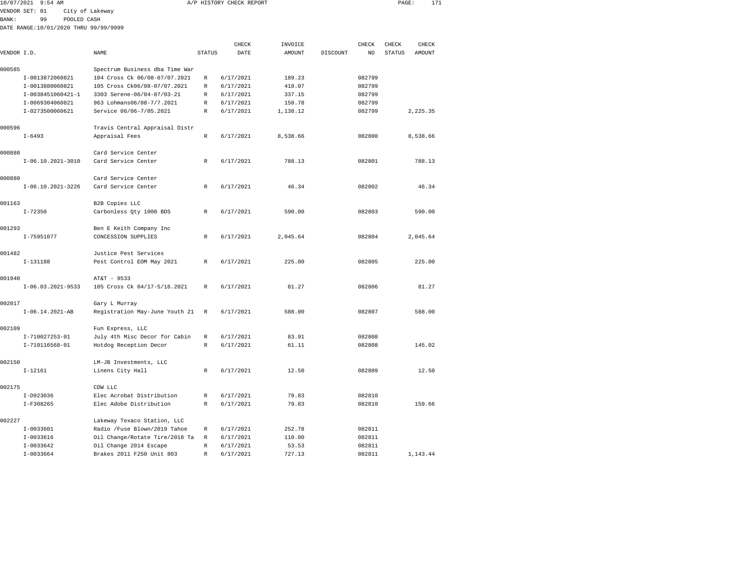| 10/07/2021   | $9:54$ AM                             |                                                                |               | A/P HISTORY CHECK REPORT |               |          |                  | PAGE:         | 171           |  |
|--------------|---------------------------------------|----------------------------------------------------------------|---------------|--------------------------|---------------|----------|------------------|---------------|---------------|--|
|              | VENDOR SET: 01                        | City of Lakeway                                                |               |                          |               |          |                  |               |               |  |
| <b>BANK:</b> | 99<br>POOLED CASH                     |                                                                |               |                          |               |          |                  |               |               |  |
|              | DATE RANGE:10/01/2020 THRU 99/99/9999 |                                                                |               |                          |               |          |                  |               |               |  |
|              |                                       |                                                                |               |                          |               |          |                  |               |               |  |
|              |                                       |                                                                |               | CHECK                    | INVOICE       |          | CHECK            | CHECK         | CHECK         |  |
| VENDOR I.D.  |                                       | NAME                                                           | <b>STATUS</b> | DATE                     | <b>AMOUNT</b> | DISCOUNT | NO               | <b>STATUS</b> | <b>AMOUNT</b> |  |
| 000585       |                                       | Spectrum Business dba Time War                                 |               |                          |               |          |                  |               |               |  |
|              | I-0013872060821                       | 104 Cross Ck 06/08-07/07.2021                                  | R             | 6/17/2021                | 189.23        |          | 082799           |               |               |  |
|              | I-0013880060821                       | 105 Cross Ck06/08-07/07.2021                                   | $\mathbb{R}$  | 6/17/2021                | 410.07        |          | 082799           |               |               |  |
|              | I-0038451060421-1                     | 3303 Serene-06/04-07/03-21                                     | $\mathbb{R}$  | 6/17/2021                | 337.15        |          | 082799           |               |               |  |
|              | I-0069304060821                       | 963 Lohmans06/08-7/7.2021                                      | R             | 6/17/2021                | 150.78        |          | 082799           |               |               |  |
|              | I-0273500060621                       | Service 06/06-7/05.2021                                        | $\mathbb{R}$  | 6/17/2021                | 1,138.12      |          | 082799           |               | 2,225.35      |  |
|              |                                       |                                                                |               |                          |               |          |                  |               |               |  |
| 000596       |                                       | Travis Central Appraisal Distr                                 |               |                          |               |          |                  |               |               |  |
|              | $I - 6493$                            | Appraisal Fees                                                 | R             | 6/17/2021                | 8,538.66      |          | 082800           |               | 8,538.66      |  |
|              |                                       |                                                                |               |                          |               |          |                  |               |               |  |
| 000880       |                                       | Card Service Center                                            |               |                          |               |          |                  |               |               |  |
|              | $I-06.10.2021-3010$                   | Card Service Center                                            | $\mathbb R$   | 6/17/2021                | 788.13        |          | 082801           |               | 788.13        |  |
|              |                                       |                                                                |               |                          |               |          |                  |               |               |  |
| 000880       |                                       | Card Service Center                                            |               |                          |               |          |                  |               |               |  |
|              | $I-06.10.2021-3226$                   | Card Service Center                                            | R             | 6/17/2021                | 46.34         |          | 082802           |               | 46.34         |  |
|              |                                       |                                                                |               |                          |               |          |                  |               |               |  |
| 001163       |                                       | B2B Copies LLC                                                 |               |                          |               |          |                  |               |               |  |
|              | $I - 72350$                           | Carbonless Qty 1000 BDS                                        | $\mathbb{R}$  | 6/17/2021                | 590.00        |          | 082803           |               | 590.00        |  |
|              |                                       |                                                                |               |                          |               |          |                  |               |               |  |
| 001293       |                                       | Ben E Keith Company Inc                                        |               |                          |               |          |                  |               |               |  |
|              | I-75951077                            | CONCESSION SUPPLIES                                            | $\mathbb R$   | 6/17/2021                | 2,045.64      |          | 082804           |               | 2,045.64      |  |
| 001482       |                                       | Justice Pest Services                                          |               |                          |               |          |                  |               |               |  |
|              | $I-131188$                            | Pest Control EOM May 2021                                      | R             | 6/17/2021                | 225.00        |          | 082805           |               | 225.00        |  |
|              |                                       |                                                                |               |                          |               |          |                  |               |               |  |
| 001940       |                                       | AT&T - 9533                                                    |               |                          |               |          |                  |               |               |  |
|              | $I-06.03.2021-9533$                   | 105 Cross Ck 04/17-5/16.2021                                   | R             | 6/17/2021                | 81.27         |          | 082806           |               | 81.27         |  |
|              |                                       |                                                                |               |                          |               |          |                  |               |               |  |
| 002017       |                                       | Gary L Murray                                                  |               |                          |               |          |                  |               |               |  |
|              | $I-06.14.2021-AB$                     | Registration May-June Youth 21                                 | $\mathbb R$   | 6/17/2021                | 588.00        |          | 082807           |               | 588.00        |  |
|              |                                       |                                                                |               |                          |               |          |                  |               |               |  |
| 002109       |                                       | Fun Express, LLC                                               |               |                          |               |          |                  |               |               |  |
|              | I-710027253-01                        | July 4th Misc Decor for Cabin                                  | R             | 6/17/2021                | 83.91         |          | 082808           |               |               |  |
|              | I-710116568-01                        | Hotdog Reception Decor                                         | $\mathbb{R}$  | 6/17/2021                | 61.11         |          | 082808           |               | 145.02        |  |
|              |                                       |                                                                |               |                          |               |          |                  |               |               |  |
| 002150       |                                       | LM-JB Investments, LLC                                         |               |                          |               |          |                  |               |               |  |
|              | $I - 12161$                           | Linens City Hall                                               | $\mathbb R$   | 6/17/2021                | 12.50         |          | 082809           |               | 12.50         |  |
|              |                                       |                                                                |               |                          |               |          |                  |               |               |  |
| 002175       |                                       | CDW LLC                                                        |               |                          |               |          |                  |               |               |  |
|              | I-D923036                             | Elec Acrobat Distribution                                      | $\mathbb{R}$  | 6/17/2021                | 79.83         |          | 082810           |               |               |  |
|              | I-F308265                             | Elec Adobe Distribution                                        | $\mathbb R$   | 6/17/2021                | 79.83         |          | 082810           |               | 159.66        |  |
|              |                                       |                                                                |               |                          |               |          |                  |               |               |  |
| 002227       |                                       | Lakeway Texaco Station, LLC                                    |               |                          |               |          |                  |               |               |  |
|              | $I-0033601$<br>$I-0033616$            | Radio /Fuse Blown/2019 Tahoe<br>Oil Change/Rotate Tire/2018 Ta | R<br>R        | 6/17/2021<br>6/17/2021   | 252.78        |          | 082811<br>082811 |               |               |  |
|              |                                       |                                                                |               |                          | 110.00        |          |                  |               |               |  |

I-0033642 Oil Change 2014 Escape R 6/17/2021 53.53 082811

I-0033664 Brakes 2011 F250 Unit 803 R 6/17/2021 727.13 082811 1,143.44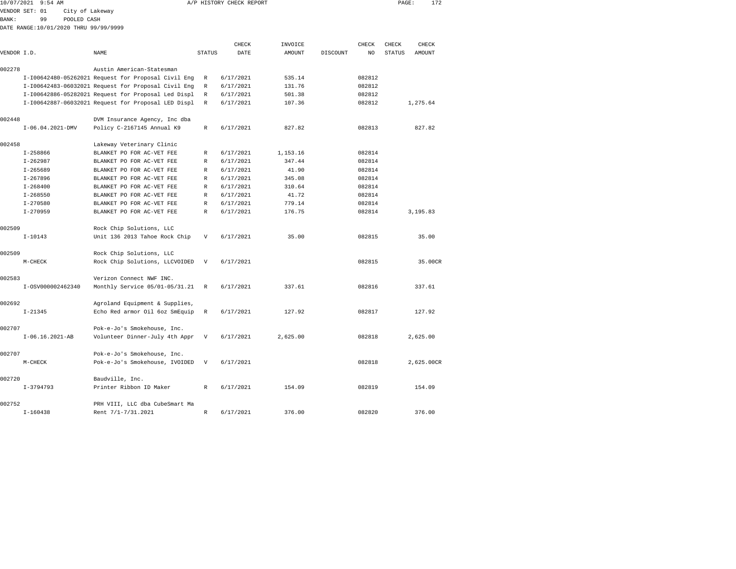| 10/07/2021   | $9:54$ AM                             |                                                     |                           | A/P HISTORY CHECK REPORT |          |          |        | PAGE:  | 172        |  |
|--------------|---------------------------------------|-----------------------------------------------------|---------------------------|--------------------------|----------|----------|--------|--------|------------|--|
|              | VENDOR SET: 01                        | City of Lakeway                                     |                           |                          |          |          |        |        |            |  |
| <b>BANK:</b> | 99                                    | POOLED CASH                                         |                           |                          |          |          |        |        |            |  |
|              | DATE RANGE:10/01/2020 THRU 99/99/9999 |                                                     |                           |                          |          |          |        |        |            |  |
|              |                                       |                                                     |                           | CHECK                    | INVOICE  |          | CHECK  | CHECK  | CHECK      |  |
| VENDOR I.D.  |                                       | NAME                                                | STATUS                    | DATE                     | AMOUNT   | DISCOUNT | NO     | STATUS | AMOUNT     |  |
|              |                                       |                                                     |                           |                          |          |          |        |        |            |  |
| 002278       |                                       | Austin American-Statesman                           |                           |                          |          |          |        |        |            |  |
|              |                                       | I-I00642480-05262021 Request for Proposal Civil Eng | R                         | 6/17/2021                | 535.14   |          | 082812 |        |            |  |
|              |                                       | I-I00642483-06032021 Request for Proposal Civil Eng | R                         | 6/17/2021                | 131.76   |          | 082812 |        |            |  |
|              |                                       | I-I00642886-05282021 Request for Proposal Led Displ | R                         | 6/17/2021                | 501.38   |          | 082812 |        |            |  |
|              |                                       | I-I00642887-06032021 Request for Proposal LED Displ | R                         | 6/17/2021                | 107.36   |          | 082812 |        | 1,275.64   |  |
| 002448       |                                       | DVM Insurance Agency, Inc dba                       |                           |                          |          |          |        |        |            |  |
|              | $I-06.04.2021-DMV$                    | Policy C-2167145 Annual K9                          | R                         | 6/17/2021                | 827.82   |          | 082813 |        | 827.82     |  |
| 002458       |                                       | Lakeway Veterinary Clinic                           |                           |                          |          |          |        |        |            |  |
|              | $I - 258866$                          | BLANKET PO FOR AC-VET FEE                           | R                         | 6/17/2021                | 1,153.16 |          | 082814 |        |            |  |
|              | $I - 262987$                          | BLANKET PO FOR AC-VET FEE                           | R                         | 6/17/2021                | 347.44   |          | 082814 |        |            |  |
|              | $I - 265689$                          | BLANKET PO FOR AC-VET FEE                           | R                         | 6/17/2021                | 41.90    |          | 082814 |        |            |  |
|              | $I - 267896$                          | BLANKET PO FOR AC-VET FEE                           | R                         | 6/17/2021                | 345.08   |          | 082814 |        |            |  |
|              | $I - 268400$                          | BLANKET PO FOR AC-VET FEE                           | R                         | 6/17/2021                | 310.64   |          | 082814 |        |            |  |
|              | $I - 268550$                          | BLANKET PO FOR AC-VET FEE                           | R                         | 6/17/2021                | 41.72    |          | 082814 |        |            |  |
|              | $I - 270580$                          | BLANKET PO FOR AC-VET FEE                           | $\mathbb R$               | 6/17/2021                | 779.14   |          | 082814 |        |            |  |
|              | $I - 270959$                          | BLANKET PO FOR AC-VET FEE                           | $\mathbb R$               | 6/17/2021                | 176.75   |          | 082814 |        | 3,195.83   |  |
| 002509       |                                       | Rock Chip Solutions, LLC                            |                           |                          |          |          |        |        |            |  |
|              | $I - 10143$                           | Unit 136 2013 Tahoe Rock Chip                       | $\boldsymbol{\mathrm{V}}$ | 6/17/2021                | 35.00    |          | 082815 |        | 35.00      |  |
|              |                                       |                                                     |                           |                          |          |          |        |        |            |  |
| 002509       |                                       | Rock Chip Solutions, LLC                            |                           |                          |          |          |        |        |            |  |
|              | M-CHECK                               | Rock Chip Solutions, LLCVOIDED                      | V                         | 6/17/2021                |          |          | 082815 |        | 35.00CR    |  |
| 002583       |                                       | Verizon Connect NWF INC.                            |                           |                          |          |          |        |        |            |  |
|              | I-0SV000002462340                     | Monthly Service 05/01-05/31.21                      | R                         | 6/17/2021                | 337.61   |          | 082816 |        | 337.61     |  |
|              |                                       |                                                     |                           |                          |          |          |        |        |            |  |
| 002692       |                                       | Agroland Equipment & Supplies,                      |                           |                          |          |          |        |        |            |  |
|              | $I - 21345$                           | Echo Red armor Oil 6oz SmEquip                      | R                         | 6/17/2021                | 127.92   |          | 082817 |        | 127.92     |  |
| 002707       |                                       | Pok-e-Jo's Smokehouse, Inc.                         |                           |                          |          |          |        |        |            |  |
|              | $I-06.16.2021-AB$                     | Volunteer Dinner-July 4th Appr                      | V                         | 6/17/2021                | 2,625.00 |          | 082818 |        | 2,625.00   |  |
| 002707       |                                       | Pok-e-Jo's Smokehouse, Inc.                         |                           |                          |          |          |        |        |            |  |
|              | $M-CHECK$                             | Pok-e-Jo's Smokehouse, IVOIDED                      | $\mathbf v$               | 6/17/2021                |          |          | 082818 |        | 2,625.00CR |  |
|              |                                       |                                                     |                           |                          |          |          |        |        |            |  |
| 002720       |                                       | Baudville, Inc.                                     |                           |                          |          |          |        |        |            |  |
|              | $I-3794793$                           | Printer Ribbon ID Maker                             | R                         | 6/17/2021                | 154.09   |          | 082819 |        | 154.09     |  |
| 002752       |                                       | PRH VIII, LLC dba CubeSmart Ma                      |                           |                          |          |          |        |        |            |  |

I-160438 Rent 7/1-7/31.2021 R 6/17/2021 376.00 082820 376.00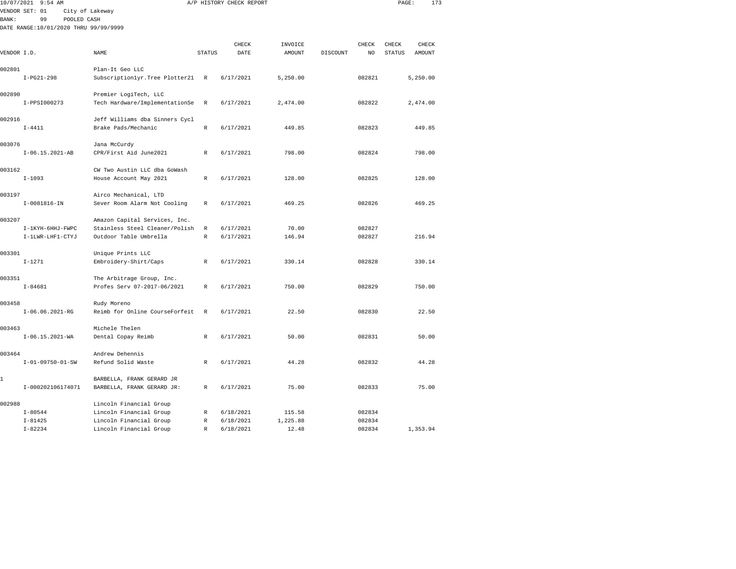| 10/07/2021   | $9:54$ AM                             |                                 |               | A/P HISTORY CHECK REPORT |          |          |        | PAGE:         | 173      |  |
|--------------|---------------------------------------|---------------------------------|---------------|--------------------------|----------|----------|--------|---------------|----------|--|
|              | VENDOR SET: 01                        | City of Lakeway                 |               |                          |          |          |        |               |          |  |
| <b>BANK:</b> | 99<br>POOLED CASH                     |                                 |               |                          |          |          |        |               |          |  |
|              | DATE RANGE:10/01/2020 THRU 99/99/9999 |                                 |               |                          |          |          |        |               |          |  |
|              |                                       |                                 |               | CHECK                    | INVOICE  |          | CHECK  | CHECK         | CHECK    |  |
| VENDOR I.D.  |                                       | NAME                            | <b>STATUS</b> | $\texttt{DATE}$          | AMOUNT   | DISCOUNT | NO     | <b>STATUS</b> | AMOUNT   |  |
|              |                                       |                                 |               |                          |          |          |        |               |          |  |
| 002801       |                                       | Plan-It Geo LLC                 |               |                          |          |          |        |               |          |  |
|              | $I-PG21-298$                          | Subscriptionlyr. Tree Plotter21 | $\mathbb{R}$  | 6/17/2021                | 5,250.00 |          | 082821 |               | 5,250.00 |  |
| 002890       |                                       | Premier LogiTech, LLC           |               |                          |          |          |        |               |          |  |
|              | I-PPSI000273                          | Tech Hardware/ImplementationSe  | $\mathbb R$   | 6/17/2021                | 2,474.00 |          | 082822 |               | 2,474.00 |  |
| 002916       |                                       | Jeff Williams dba Sinners Cycl  |               |                          |          |          |        |               |          |  |
|              | $I - 4411$                            | Brake Pads/Mechanic             | R             | 6/17/2021                | 449.85   |          | 082823 |               | 449.85   |  |
| 003076       |                                       | Jana McCurdy                    |               |                          |          |          |        |               |          |  |
|              | $I-06.15.2021-AB$                     | CPR/First Aid June2021          | R             | 6/17/2021                | 798.00   |          | 082824 |               | 798.00   |  |
| 003162       |                                       | CW Two Austin LLC dba GoWash    |               |                          |          |          |        |               |          |  |
|              | $I - 1093$                            | House Account May 2021          | $\mathbb{R}$  | 6/17/2021                | 128.00   |          | 082825 |               | 128.00   |  |
| 003197       |                                       | Airco Mechanical, LTD           |               |                          |          |          |        |               |          |  |
|              | I-0081816-IN                          | Sever Room Alarm Not Cooling    | R             | 6/17/2021                | 469.25   |          | 082826 |               | 469.25   |  |
| 003207       |                                       | Amazon Capital Services, Inc.   |               |                          |          |          |        |               |          |  |
|              | I-1KYH-6HHJ-FWPC                      | Stainless Steel Cleaner/Polish  | R             | 6/17/2021                | 70.00    |          | 082827 |               |          |  |
|              | I-1LWR-LHF1-CTYJ                      | Outdoor Table Umbrella          | $\mathbb R$   | 6/17/2021                | 146.94   |          | 082827 |               | 216.94   |  |
| 003301       |                                       | Unique Prints LLC               |               |                          |          |          |        |               |          |  |
|              | $I - 1271$                            | Embroidery-Shirt/Caps           | R             | 6/17/2021                | 330.14   |          | 082828 |               | 330.14   |  |
| 003351       |                                       | The Arbitrage Group, Inc.       |               |                          |          |          |        |               |          |  |
|              | $I - 84681$                           | Profes Serv 07-2017-06/2021     | R             | 6/17/2021                | 750.00   |          | 082829 |               | 750.00   |  |
| 003458       |                                       | Rudy Moreno                     |               |                          |          |          |        |               |          |  |
|              | $I-06.06.2021-RG$                     | Reimb for Online CourseForfeit  | R             | 6/17/2021                | 22.50    |          | 082830 |               | 22.50    |  |
| 003463       |                                       | Michele Thelen                  |               |                          |          |          |        |               |          |  |
|              | $I-06.15.2021 - WA$                   | Dental Copay Reimb              | R             | 6/17/2021                | 50.00    |          | 082831 |               | 50.00    |  |
| 003464       |                                       | Andrew Dehennis                 |               |                          |          |          |        |               |          |  |
|              | $I - 01 - 09750 - 01 - SW$            | Refund Solid Waste              | R             | 6/17/2021                | 44.28    |          | 082832 |               | 44.28    |  |
| 1            |                                       | BARBELLA, FRANK GERARD JR       |               |                          |          |          |        |               |          |  |
|              | I-000202106174071                     | BARBELLA, FRANK GERARD JR:      | R             | 6/17/2021                | 75.00    |          | 082833 |               | 75.00    |  |
| 002988       |                                       | Lincoln Financial Group         |               |                          |          |          |        |               |          |  |
|              | $I - 80544$                           | Lincoln Financial Group         | R             | 6/18/2021                | 115.58   |          | 082834 |               |          |  |
|              | $I - 81425$                           | Lincoln Financial Group         | $\mathbb R$   | 6/18/2021                | 1,225.88 |          | 082834 |               |          |  |

I-82234 Lincoln Financial Group R 6/18/2021 12.48 082834 1,353.94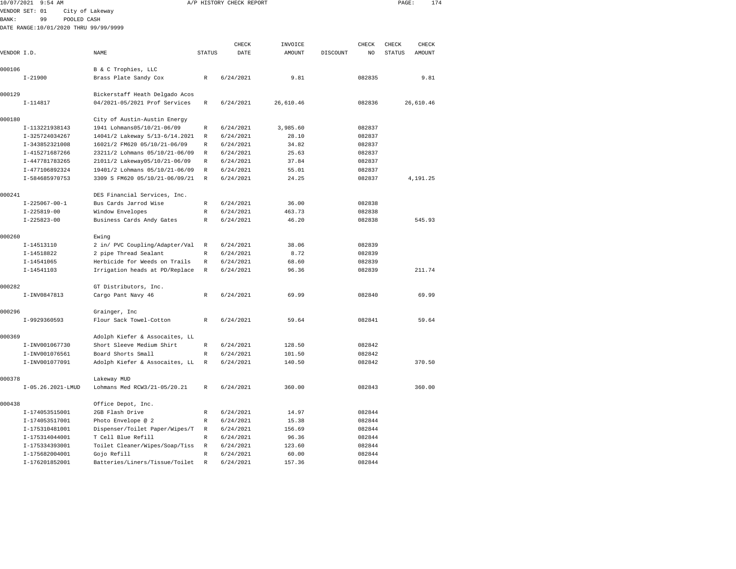|              | 10/07/2021 9:54 AM                    |                                                            |               | A/P HISTORY CHECK REPORT |                |          |                  | PAGE:         | 174       |  |
|--------------|---------------------------------------|------------------------------------------------------------|---------------|--------------------------|----------------|----------|------------------|---------------|-----------|--|
|              | VENDOR SET: 01                        | City of Lakeway                                            |               |                          |                |          |                  |               |           |  |
| <b>BANK:</b> | POOLED CASH<br>99                     |                                                            |               |                          |                |          |                  |               |           |  |
|              | DATE RANGE:10/01/2020 THRU 99/99/9999 |                                                            |               |                          |                |          |                  |               |           |  |
|              |                                       |                                                            |               | CHECK                    | INVOICE        |          | CHECK            | CHECK         | CHECK     |  |
| VENDOR I.D.  |                                       | NAME                                                       | <b>STATUS</b> | DATE                     | AMOUNT         | DISCOUNT | NO.              | <b>STATUS</b> | AMOUNT    |  |
|              |                                       |                                                            |               |                          |                |          |                  |               |           |  |
| 000106       |                                       | B & C Trophies, LLC                                        |               |                          |                |          |                  |               |           |  |
|              | $I - 21900$                           | Brass Plate Sandy Cox                                      | R             | 6/24/2021                | 9.81           |          | 082835           |               | 9.81      |  |
| 000129       |                                       | Bickerstaff Heath Delgado Acos                             |               |                          |                |          |                  |               |           |  |
|              | $I-114817$                            | 04/2021-05/2021 Prof Services                              | R             | 6/24/2021                | 26,610.46      |          | 082836           |               | 26,610.46 |  |
|              |                                       |                                                            |               |                          |                |          |                  |               |           |  |
| 000180       | I-113221938143                        | City of Austin-Austin Energy<br>1941 Lohmans05/10/21-06/09 | R             | 6/24/2021                | 3,985.60       |          | 082837           |               |           |  |
|              |                                       | 14041/2 Lakeway 5/13-6/14.2021                             |               |                          |                |          |                  |               |           |  |
|              | I-325724034267                        | 16021/2 FM620 05/10/21-06/09                               | R<br>R        | 6/24/2021<br>6/24/2021   | 28.10<br>34.82 |          | 082837           |               |           |  |
|              | I-343852321008<br>I-415271687266      | 23211/2 Lohmans 05/10/21-06/09                             |               | 6/24/2021                | 25.63          |          | 082837<br>082837 |               |           |  |
|              | I-447781783265                        | 21011/2 Lakeway05/10/21-06/09                              | R<br>R        | 6/24/2021                | 37.84          |          | 082837           |               |           |  |
|              | I-477106892324                        | 19401/2 Lohmans 05/10/21-06/09                             | R             | 6/24/2021                | 55.01          |          |                  |               |           |  |
|              | I-584685970753                        | 3309 S FM620 05/10/21-06/09/21                             | R             | 6/24/2021                | 24.25          |          | 082837<br>082837 |               | 4,191.25  |  |
|              |                                       |                                                            |               |                          |                |          |                  |               |           |  |
| 000241       |                                       | DES Financial Services, Inc.                               |               |                          |                |          |                  |               |           |  |
|              | $I-225067-00-1$                       | Bus Cards Jarrod Wise                                      | R             | 6/24/2021                | 36.00          |          | 082838           |               |           |  |
|              | $I-225819-00$                         | Window Envelopes                                           | R             | 6/24/2021                | 463.73         |          | 082838           |               |           |  |
|              | $I - 225823 - 00$                     | Business Cards Andy Gates                                  | R             | 6/24/2021                | 46.20          |          | 082838           |               | 545.93    |  |
| 000260       |                                       | Ewing                                                      |               |                          |                |          |                  |               |           |  |
|              | I-14513110                            | 2 in/ PVC Coupling/Adapter/Val                             | $\mathbb R$   | 6/24/2021                | 38.06          |          | 082839           |               |           |  |
|              | I-14518822                            | 2 pipe Thread Sealant                                      | R             | 6/24/2021                | 8.72           |          | 082839           |               |           |  |
|              | $I-14541065$                          | Herbicide for Weeds on Trails                              | R             | 6/24/2021                | 68.60          |          | 082839           |               |           |  |
|              | $I-14541103$                          | Irrigation heads at PD/Replace                             | $\mathbb R$   | 6/24/2021                | 96.36          |          | 082839           |               | 211.74    |  |
| 000282       |                                       | GT Distributors, Inc.                                      |               |                          |                |          |                  |               |           |  |
|              | I-INV0847813                          | Cargo Pant Navy 46                                         | $\mathbb R$   | 6/24/2021                | 69.99          |          | 082840           |               | 69.99     |  |
|              |                                       |                                                            |               |                          |                |          |                  |               |           |  |
| 000296       |                                       | Grainger, Inc                                              |               |                          |                |          |                  |               |           |  |
|              | I-9929360593                          | Flour Sack Towel-Cotton                                    | R             | 6/24/2021                | 59.64          |          | 082841           |               | 59.64     |  |
| 000369       |                                       | Adolph Kiefer & Assocaites, LL                             |               |                          |                |          |                  |               |           |  |
|              | I-INV001067730                        | Short Sleeve Medium Shirt                                  | $\mathbb{R}$  | 6/24/2021                | 128.50         |          | 082842           |               |           |  |
|              | I-INV001076561                        | Board Shorts Small                                         | R             | 6/24/2021                | 101.50         |          | 082842           |               |           |  |
|              | I-INV001077091                        | Adolph Kiefer & Assocaites, LL                             | $\mathbb R$   | 6/24/2021                | 140.50         |          | 082842           |               | 370.50    |  |
| 000378       |                                       | Lakeway MUD                                                |               |                          |                |          |                  |               |           |  |
|              | I-05.26.2021-LMUD                     | Lohmans Med RCW3/21-05/20.21                               | R             | 6/24/2021                | 360.00         |          | 082843           |               | 360.00    |  |
| 000438       |                                       | Office Depot, Inc.                                         |               |                          |                |          |                  |               |           |  |
|              | I-174053515001                        | 2GB Flash Drive                                            | R             | 6/24/2021                | 14.97          |          | 082844           |               |           |  |
|              | I-174053517001                        | Photo Envelope @ 2                                         | R             | 6/24/2021                | 15.38          |          | 082844           |               |           |  |
|              | I-175310481001                        | Dispenser/Toilet Paper/Wipes/T                             | R             | 6/24/2021                | 156.69         |          | 082844           |               |           |  |
|              | I-175314044001                        | T Cell Blue Refill                                         | R             | 6/24/2021                | 96.36          |          | 082844           |               |           |  |
|              | I-175334393001                        | Toilet Cleaner/Wipes/Soap/Tiss                             | R             | 6/24/2021                | 123.60         |          | 082844           |               |           |  |
|              |                                       |                                                            |               |                          |                |          |                  |               |           |  |

 I-175682004001 Gojo Refill R 6/24/2021 60.00 082844 I-176201852001 Batteries/Liners/Tissue/Toilet R 6/24/2021 157.36 082844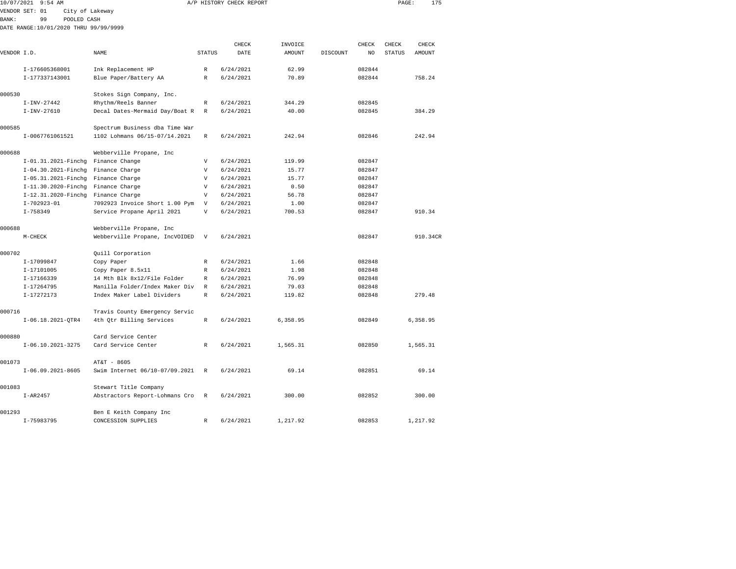| 10/07/2021   | $9:54$ AM                             |                                |                           | A/P HISTORY CHECK REPORT |                   |          |             | PAGE:                  | 175      |  |
|--------------|---------------------------------------|--------------------------------|---------------------------|--------------------------|-------------------|----------|-------------|------------------------|----------|--|
|              | VENDOR SET: 01<br>City of Lakeway     |                                |                           |                          |                   |          |             |                        |          |  |
| <b>BANK:</b> | 99<br>POOLED CASH                     |                                |                           |                          |                   |          |             |                        |          |  |
|              | DATE RANGE:10/01/2020 THRU 99/99/9999 |                                |                           |                          |                   |          |             |                        |          |  |
|              |                                       |                                |                           | CHECK                    |                   |          |             |                        | CHECK    |  |
| VENDOR I.D.  |                                       | NAME                           | <b>STATUS</b>             | DATE                     | INVOICE<br>AMOUNT | DISCOUNT | CHECK<br>NO | CHECK<br><b>STATUS</b> | AMOUNT   |  |
|              |                                       |                                |                           |                          |                   |          |             |                        |          |  |
|              | I-176605368001                        | Ink Replacement HP             | R                         | 6/24/2021                | 62.99             |          | 082844      |                        |          |  |
|              | I-177337143001                        | Blue Paper/Battery AA          | $\mathbb{R}$              | 6/24/2021                | 70.89             |          | 082844      |                        | 758.24   |  |
| 000530       |                                       | Stokes Sign Company, Inc.      |                           |                          |                   |          |             |                        |          |  |
|              | $I-INV-27442$                         | Rhythm/Reels Banner            | $\mathbb R$               | 6/24/2021                | 344.29            |          | 082845      |                        |          |  |
|              | $I-INV-27610$                         | Decal Dates-Mermaid Day/Boat R | R                         | 6/24/2021                | 40.00             |          | 082845      |                        | 384.29   |  |
| 000585       |                                       | Spectrum Business dba Time War |                           |                          |                   |          |             |                        |          |  |
|              | I-0067761061521                       | 1102 Lohmans 06/15-07/14.2021  | R                         | 6/24/2021                | 242.94            |          | 082846      |                        | 242.94   |  |
| 000688       |                                       | Webberville Propane, Inc       |                           |                          |                   |          |             |                        |          |  |
|              | I-01.31.2021-Finchg                   | Finance Change                 | V                         | 6/24/2021                | 119.99            |          | 082847      |                        |          |  |
|              | I-04.30.2021-Finchg                   | Finance Charge                 | V                         | 6/24/2021                | 15.77             |          | 082847      |                        |          |  |
|              | I-05.31.2021-Finchg                   | Finance Charge                 | $\boldsymbol{\mathrm{V}}$ | 6/24/2021                | 15.77             |          | 082847      |                        |          |  |
|              | I-11.30.2020-Finchg                   | Finance Charge                 | V                         | 6/24/2021                | 0.50              |          | 082847      |                        |          |  |
|              | I-12.31.2020-Finchq                   | Finance Charge                 | V                         | 6/24/2021                | 56.78             |          | 082847      |                        |          |  |
|              | $I - 702923 - 01$                     | 7092923 Invoice Short 1.00 Pym | V                         | 6/24/2021                | 1.00              |          | 082847      |                        |          |  |
|              | $I - 758349$                          | Service Propane April 2021     | $\overline{V}$            | 6/24/2021                | 700.53            |          | 082847      |                        | 910.34   |  |
| 000688       |                                       | Webberville Propane, Inc       |                           |                          |                   |          |             |                        |          |  |
|              | $M-CHECK$                             | Webberville Propane, IncVOIDED | $\boldsymbol{\mathrm{V}}$ | 6/24/2021                |                   |          | 082847      |                        | 910.34CR |  |
| 000702       |                                       | Quill Corporation              |                           |                          |                   |          |             |                        |          |  |
|              | I-17099847                            | Copy Paper                     | $\mathbb{R}$              | 6/24/2021                | 1.66              |          | 082848      |                        |          |  |
|              | I-17101005                            | Copy Paper 8.5x11              | $\mathbb{R}$              | 6/24/2021                | 1.98              |          | 082848      |                        |          |  |
|              | I-17166339                            | 14 Mth Blk 8x12/File Folder    | R                         | 6/24/2021                | 76.99             |          | 082848      |                        |          |  |
|              | I-17264795                            | Manilla Folder/Index Maker Div | $\mathbb R$               | 6/24/2021                | 79.03             |          | 082848      |                        |          |  |
|              | I-17272173                            | Index Maker Label Dividers     | $\mathbb R$               | 6/24/2021                | 119.82            |          | 082848      |                        | 279.48   |  |
| 000716       |                                       | Travis County Emergency Servic |                           |                          |                   |          |             |                        |          |  |
|              | $I-06.18.2021-QTR4$                   | 4th Qtr Billing Services       | $\mathbb R$               | 6/24/2021                | 6,358.95          |          | 082849      |                        | 6,358.95 |  |
| 000880       |                                       | Card Service Center            |                           |                          |                   |          |             |                        |          |  |
|              | $I-06.10.2021-3275$                   | Card Service Center            | $\mathbb R$               | 6/24/2021                | 1,565.31          |          | 082850      |                        | 1,565.31 |  |
| 001073       |                                       | AT&T - 8605                    |                           |                          |                   |          |             |                        |          |  |
|              | $I-06.09.2021-8605$                   | Swim Internet 06/10-07/09.2021 | R                         | 6/24/2021                | 69.14             |          | 082851      |                        | 69.14    |  |
| 001083       |                                       | Stewart Title Company          |                           |                          |                   |          |             |                        |          |  |
|              | $I-AR2457$                            | Abstractors Report-Lohmans Cro | R                         | 6/24/2021                | 300.00            |          | 082852      |                        | 300.00   |  |
| 001293       |                                       | Ben E Keith Company Inc        |                           |                          |                   |          |             |                        |          |  |

I-75983795 CONCESSION SUPPLIES R 6/24/2021 1,217.92 082853 1,217.92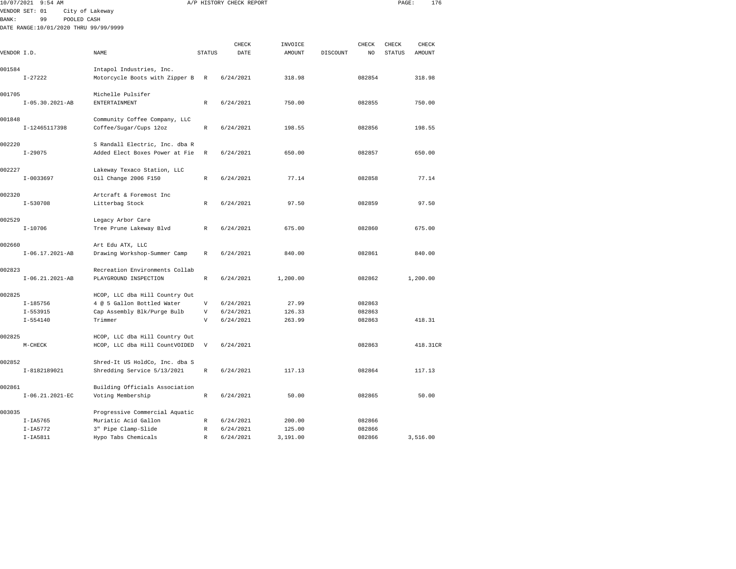|              | 10/07/2021 9:54 AM                    |                                                        |                           | A/P HISTORY CHECK REPORT |               |          |              | PAGE:         | 176      |  |
|--------------|---------------------------------------|--------------------------------------------------------|---------------------------|--------------------------|---------------|----------|--------------|---------------|----------|--|
|              | VENDOR SET: 01                        | City of Lakeway                                        |                           |                          |               |          |              |               |          |  |
| <b>BANK:</b> | 99<br>POOLED CASH                     |                                                        |                           |                          |               |          |              |               |          |  |
|              | DATE RANGE:10/01/2020 THRU 99/99/9999 |                                                        |                           |                          |               |          |              |               |          |  |
|              |                                       |                                                        |                           |                          |               |          |              |               |          |  |
|              |                                       |                                                        |                           | CHECK                    | INVOICE       |          | <b>CHECK</b> | CHECK         | CHECK    |  |
| VENDOR I.D.  |                                       | NAME                                                   | <b>STATUS</b>             | DATE                     | <b>AMOUNT</b> | DISCOUNT | NO           | <b>STATUS</b> | AMOUNT   |  |
|              |                                       |                                                        |                           |                          |               |          |              |               |          |  |
| 001584       |                                       | Intapol Industries, Inc.                               |                           |                          |               |          |              |               |          |  |
|              | $I - 27222$                           | Motorcycle Boots with Zipper B                         | $\mathbb R$               | 6/24/2021                | 318.98        |          | 082854       |               | 318.98   |  |
| 001705       |                                       | Michelle Pulsifer                                      |                           |                          |               |          |              |               |          |  |
|              | $I-05.30.2021-AB$                     | ENTERTAINMENT                                          | $\mathbb R$               | 6/24/2021                | 750.00        |          | 082855       |               | 750.00   |  |
|              |                                       |                                                        |                           |                          |               |          |              |               |          |  |
| 001848       |                                       | Community Coffee Company, LLC                          |                           |                          |               |          |              |               |          |  |
|              | I-12465117398                         | Coffee/Sugar/Cups 12oz                                 | R                         | 6/24/2021                | 198.55        |          | 082856       |               | 198.55   |  |
|              |                                       |                                                        |                           |                          |               |          |              |               |          |  |
| 002220       |                                       | S Randall Electric, Inc. dba R                         |                           |                          |               |          |              |               |          |  |
|              | $I - 29075$                           | Added Elect Boxes Power at Fie                         | $\mathbb R$               | 6/24/2021                | 650.00        |          | 082857       |               | 650.00   |  |
|              |                                       |                                                        |                           |                          |               |          |              |               |          |  |
| 002227       |                                       | Lakeway Texaco Station, LLC                            |                           |                          |               |          |              |               |          |  |
|              | $I-0033697$                           | Oil Change 2006 F150                                   | R                         | 6/24/2021                | 77.14         |          | 082858       |               | 77.14    |  |
|              |                                       |                                                        |                           |                          |               |          |              |               |          |  |
| 002320       |                                       | Artcraft & Foremost Inc                                |                           |                          |               |          |              |               |          |  |
|              | $I - 530708$                          | Litterbag Stock                                        | R                         | 6/24/2021                | 97.50         |          | 082859       |               | 97.50    |  |
|              |                                       |                                                        |                           |                          |               |          |              |               |          |  |
| 002529       |                                       | Legacy Arbor Care                                      |                           |                          |               |          |              |               |          |  |
|              | $I - 10706$                           | Tree Prune Lakeway Blvd                                | R                         | 6/24/2021                | 675.00        |          | 082860       |               | 675.00   |  |
| 002660       |                                       |                                                        |                           |                          |               |          |              |               |          |  |
|              | $I-06.17.2021-AB$                     | Art Edu ATX, LLC                                       | $\mathbb{R}$              | 6/24/2021                | 840.00        |          | 082861       |               | 840.00   |  |
|              |                                       | Drawing Workshop-Summer Camp                           |                           |                          |               |          |              |               |          |  |
| 002823       |                                       | Recreation Environments Collab                         |                           |                          |               |          |              |               |          |  |
|              | $I-06.21.2021-AB$                     | PLAYGROUND INSPECTION                                  | $\mathbb R$               | 6/24/2021                | 1,200.00      |          | 082862       |               | 1,200.00 |  |
|              |                                       |                                                        |                           |                          |               |          |              |               |          |  |
| 002825       |                                       | HCOP, LLC dba Hill Country Out                         |                           |                          |               |          |              |               |          |  |
|              | $I - 185756$                          | 4 @ 5 Gallon Bottled Water                             | V                         | 6/24/2021                | 27.99         |          | 082863       |               |          |  |
|              | $I - 553915$                          | Cap Assembly Blk/Purge Bulb                            | V                         | 6/24/2021                | 126.33        |          | 082863       |               |          |  |
|              | $I - 554140$                          | Trimmer                                                | V                         | 6/24/2021                | 263.99        |          | 082863       |               | 418.31   |  |
|              |                                       |                                                        |                           |                          |               |          |              |               |          |  |
| 002825       |                                       | HCOP, LLC dba Hill Country Out                         |                           |                          |               |          |              |               |          |  |
|              | $M-CHECK$                             | HCOP, LLC dba Hill CountVOIDED                         | $\boldsymbol{\mathrm{V}}$ | 6/24/2021                |               |          | 082863       |               | 418.31CR |  |
|              |                                       |                                                        |                           |                          |               |          |              |               |          |  |
| 002852       |                                       | Shred-It US HoldCo, Inc. dba S                         |                           |                          |               |          |              |               |          |  |
|              | I-8182189021                          | Shredding Service 5/13/2021                            | R                         | 6/24/2021                | 117.13        |          | 082864       |               | 117.13   |  |
|              |                                       |                                                        |                           |                          |               |          |              |               |          |  |
| 002861       |                                       | Building Officials Association                         |                           |                          |               |          |              |               |          |  |
|              | $I-06.21.2021-EC$                     | Voting Membership                                      | $\mathbb R$               | 6/24/2021                | 50.00         |          | 082865       |               | 50.00    |  |
| 003035       |                                       |                                                        |                           |                          |               |          |              |               |          |  |
|              | $I-IA5765$                            | Progressive Commercial Aquatic<br>Muriatic Acid Gallon | R                         | 6/24/2021                | 200.00        |          | 082866       |               |          |  |
|              | $I-IA5772$                            | 3" Pipe Clamp-Slide                                    | $\mathbb R$               | 6/24/2021                | 125.00        |          | 082866       |               |          |  |
|              |                                       |                                                        |                           |                          |               |          |              |               |          |  |

I-IA5811 Hypo Tabs Chemicals R 6/24/2021 3,191.00 082866 3,516.00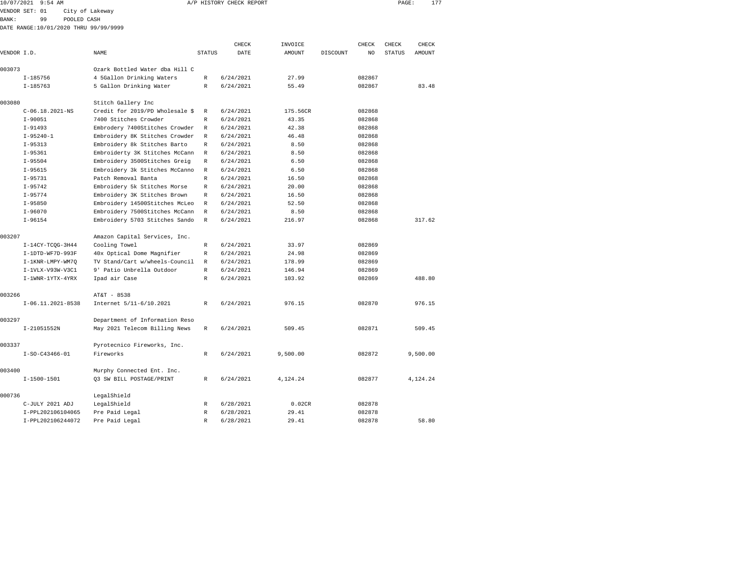| 10/07/2021 9:54 AM |                                       |                                 | A/P HISTORY CHECK REPORT | PAGE:     | 177      |          |                |        |        |  |
|--------------------|---------------------------------------|---------------------------------|--------------------------|-----------|----------|----------|----------------|--------|--------|--|
| VENDOR SET: 01     |                                       | City of Lakeway                 |                          |           |          |          |                |        |        |  |
| BANK :             | 99<br>POOLED CASH                     |                                 |                          |           |          |          |                |        |        |  |
|                    | DATE RANGE:10/01/2020 THRU 99/99/9999 |                                 |                          |           |          |          |                |        |        |  |
|                    |                                       |                                 |                          |           |          |          |                |        |        |  |
|                    |                                       |                                 |                          | CHECK     | INVOICE  |          | CHECK          | CHECK  | CHECK  |  |
| VENDOR I.D.        |                                       | NAME                            | <b>STATUS</b>            | DATE      | AMOUNT   | DISCOUNT | N <sub>O</sub> | STATUS | AMOUNT |  |
| 003073             |                                       | Ozark Bottled Water dba Hill C  |                          |           |          |          |                |        |        |  |
|                    | $I-185756$                            | 4 5Gallon Drinking Waters       | $\mathbb R$              | 6/24/2021 | 27.99    |          | 082867         |        |        |  |
|                    | $I-185763$                            | 5 Gallon Drinking Water         | R                        | 6/24/2021 | 55.49    |          | 082867         |        | 83.48  |  |
| 003080             |                                       | Stitch Gallery Inc              |                          |           |          |          |                |        |        |  |
|                    | $C-06.18.2021 - NS$                   | Credit for 2019/PD Wholesale \$ | R                        | 6/24/2021 | 175.56CR |          | 082868         |        |        |  |
|                    | $I-90051$                             | 7400 Stitches Crowder           | $\mathbb{R}$             | 6/24/2021 | 43.35    |          | 082868         |        |        |  |
|                    | $I-91493$                             | Embrodery 7400Stitches Crowder  | $\mathbb{R}$             | 6/24/2021 | 42.38    |          | 082868         |        |        |  |
|                    | $I-95240-1$                           | Embroidery 8K Stitches Crowder  | $\mathbb{R}$             | 6/24/2021 | 46.48    |          | 082868         |        |        |  |
|                    | $I-95313$                             | Embroidery 8k Stitches Barto    | $\mathbb{R}$             | 6/24/2021 | 8.50     |          | 082868         |        |        |  |
|                    | $I-95361$                             | Embroiderty 3K Stitches McCann  | $\mathbb{R}$             | 6/24/2021 | 8.50     |          | 082868         |        |        |  |
|                    | $I-95504$                             | Embroidery 3500Stitches Greig   | $\mathbb{R}$             | 6/24/2021 | 6.50     |          | 082868         |        |        |  |
|                    | $I-95615$                             | Embroidery 3k Stitches McCanno  | $\mathbb{R}$             | 6/24/2021 | 6.50     |          | 082868         |        |        |  |
|                    | $I-95731$                             | Patch Removal Banta             | R                        | 6/24/2021 | 16.50    |          | 082868         |        |        |  |
|                    | $I-95742$                             | Embroidery 5k Stitches Morse    | $\mathbb{R}$             | 6/24/2021 | 20.00    |          | 082868         |        |        |  |
|                    | $I-95774$                             | Embroidery 3K Stitches Brown    | $\mathbb{R}$             | 6/24/2021 | 16.50    |          | 082868         |        |        |  |
|                    | $I-95850$                             | Embroidery 14500Stitches McLeo  | $\mathbb{R}$             | 6/24/2021 | 52.50    |          | 082868         |        |        |  |
|                    | $I-96070$                             | Embroidery 7500Stitches McCann  | R                        | 6/24/2021 | 8.50     |          | 082868         |        |        |  |
|                    | $I-96154$                             | Embroidery 5703 Stitches Sando  | $\mathbb{R}$             | 6/24/2021 | 216.97   |          | 082868         |        | 317.62 |  |
| 003207             |                                       | Amazon Capital Services, Inc.   |                          |           |          |          |                |        |        |  |
|                    | $I-14CY-TCOG-3H44$                    | Cooling Towel                   | R                        | 6/24/2021 | 33.97    |          | 082869         |        |        |  |
|                    | I-1DTD-WF7D-993F                      | 40x Optical Dome Magnifier      | $\mathbb{R}$             | 6/24/2021 | 24.98    |          | 082869         |        |        |  |
|                    | I-1KNR-LMPY-WM70                      | TV Stand/Cart w/wheels-Council  | R                        | 6/24/2021 | 178.99   |          | 082869         |        |        |  |
|                    | I-1VLX-V93W-V3C1                      | 9' Patio Unbrella Outdoor       | R                        | 6/24/2021 | 146.94   |          | 082869         |        |        |  |
|                    | $I-1$ WNR- $1$ YTX- $4$ YRX           | Ipad air Case                   | R                        | 6/24/2021 | 103.92   |          | 082869         |        | 488.80 |  |
| 003266             |                                       | AT&T - 8538                     |                          |           |          |          |                |        |        |  |

|        | $1 - 96154$                 | Embroidery 5703 Stitches Sando | ĸ            | 6/24/2021 | 216.97   | 082868 | 317.62   |
|--------|-----------------------------|--------------------------------|--------------|-----------|----------|--------|----------|
| 003207 |                             | Amazon Capital Services, Inc.  |              |           |          |        |          |
|        | $I-14CY-TCOG-3H44$          | Cooling Towel                  | R            | 6/24/2021 | 33.97    | 082869 |          |
|        | I-1DTD-WF7D-993F            | 40x Optical Dome Magnifier     | R            | 6/24/2021 | 24.98    | 082869 |          |
|        | I-1KNR-LMPY-WM70            | TV Stand/Cart w/wheels-Council | $\mathbb{R}$ | 6/24/2021 | 178.99   | 082869 |          |
|        | $I-1VLX-V93W-V3C1$          | 9' Patio Unbrella Outdoor      | R            | 6/24/2021 | 146.94   | 082869 |          |
|        | $I-1$ WNR- $1$ YTX- $4$ YRX | Ipad air Case                  | R            | 6/24/2021 | 103.92   | 082869 | 488.80   |
| 003266 |                             | AT&T - 8538                    |              |           |          |        |          |
|        | $I-06.11.2021-8538$         | Internet 5/11-6/10.2021        | R            | 6/24/2021 | 976.15   | 082870 | 976.15   |
| 003297 |                             | Department of Information Reso |              |           |          |        |          |
|        | I-21051552N                 | May 2021 Telecom Billing News  | R            | 6/24/2021 | 509.45   | 082871 | 509.45   |
| 003337 |                             | Pyrotecnico Fireworks, Inc.    |              |           |          |        |          |
|        | $I-SO-C43466-01$            | Fireworks                      | R            | 6/24/2021 | 9,500.00 | 082872 | 9,500.00 |
| 003400 |                             | Murphy Connected Ent. Inc.     |              |           |          |        |          |
|        | $I-1500-1501$               | 03 SW BILL POSTAGE/PRINT       | R            | 6/24/2021 | 4.124.24 | 082877 | 4,124.24 |
| 000736 |                             | LegalShield                    |              |           |          |        |          |
|        | C-JULY 2021 ADJ             | LegalShield                    | $\mathbb{R}$ | 6/28/2021 | 0.02CR   | 082878 |          |
|        | I-PPL202106104065           | Pre Paid Legal                 | $\mathbb{R}$ | 6/28/2021 | 29.41    | 082878 |          |
|        | I-PPL202106244072           | Pre Paid Legal                 | $\mathbb{R}$ | 6/28/2021 | 29.41    | 082878 | 58.80    |
|        |                             |                                |              |           |          |        |          |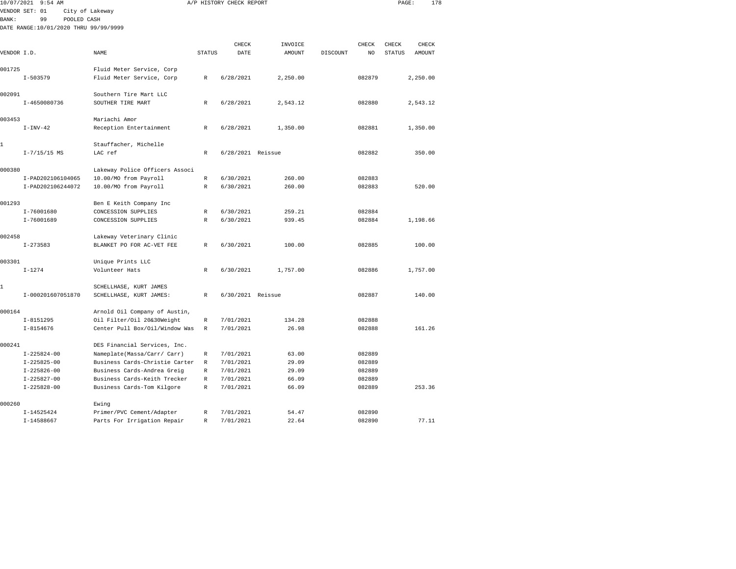| 10/07/2021   | $9:54$ AM                             |                                |               | A/P HISTORY CHECK REPORT |               |          |                | PAGE:         |          | 178 |
|--------------|---------------------------------------|--------------------------------|---------------|--------------------------|---------------|----------|----------------|---------------|----------|-----|
|              | VENDOR SET: 01                        | City of Lakeway                |               |                          |               |          |                |               |          |     |
| <b>BANK:</b> | 99<br>POOLED CASH                     |                                |               |                          |               |          |                |               |          |     |
|              | DATE RANGE:10/01/2020 THRU 99/99/9999 |                                |               |                          |               |          |                |               |          |     |
|              |                                       |                                |               |                          |               |          |                |               |          |     |
|              |                                       |                                |               | CHECK                    | INVOICE       |          | CHECK          | CHECK         | CHECK    |     |
| VENDOR I.D.  |                                       | <b>NAME</b>                    | <b>STATUS</b> | DATE                     | <b>AMOUNT</b> | DISCOUNT | N <sub>O</sub> | <b>STATUS</b> | AMOUNT   |     |
|              |                                       |                                |               |                          |               |          |                |               |          |     |
| 001725       |                                       | Fluid Meter Service, Corp      |               |                          |               |          |                |               |          |     |
|              | $I - 503579$                          | Fluid Meter Service, Corp      | R             | 6/28/2021                | 2,250.00      |          | 082879         |               | 2,250.00 |     |
| 002091       |                                       | Southern Tire Mart LLC         |               |                          |               |          |                |               |          |     |
|              | I-4650080736                          | SOUTHER TIRE MART              | R             | 6/28/2021                | 2,543.12      |          | 082880         |               | 2.543.12 |     |
|              |                                       |                                |               |                          |               |          |                |               |          |     |
| 003453       |                                       | Mariachi Amor                  |               |                          |               |          |                |               |          |     |
|              | $I-INV-42$                            | Reception Entertainment        | R             | 6/28/2021                | 1,350.00      |          | 082881         |               | 1,350.00 |     |
|              |                                       |                                |               |                          |               |          |                |               |          |     |
| 1            |                                       | Stauffacher, Michelle          |               |                          |               |          |                |               |          |     |
|              | $I - 7/15/15$ MS                      | LAC ref                        | $\mathbb R$   | 6/28/2021 Reissue        |               |          | 082882         |               | 350.00   |     |
|              |                                       |                                |               |                          |               |          |                |               |          |     |
| 000380       |                                       | Lakeway Police Officers Associ |               |                          |               |          |                |               |          |     |
|              | I-PAD202106104065                     | 10.00/MO from Payroll          | $\mathbb R$   | 6/30/2021                | 260.00        |          | 082883         |               |          |     |
|              | I-PAD202106244072                     | 10.00/MO from Payroll          | $\mathbb{R}$  | 6/30/2021                | 260.00        |          | 082883         |               | 520.00   |     |
| 001293       |                                       | Ben E Keith Company Inc        |               |                          |               |          |                |               |          |     |
|              | I-76001680                            | CONCESSION SUPPLIES            | $\mathbb R$   | 6/30/2021                | 259.21        |          | 082884         |               |          |     |
|              | I-76001689                            | CONCESSION SUPPLIES            | $\mathbb R$   | 6/30/2021                | 939.45        |          | 082884         |               | 1,198.66 |     |
|              |                                       |                                |               |                          |               |          |                |               |          |     |
| 002458       |                                       | Lakeway Veterinary Clinic      |               |                          |               |          |                |               |          |     |
|              | $I - 273583$                          | BLANKET PO FOR AC-VET FEE      | R             | 6/30/2021                | 100.00        |          | 082885         |               | 100.00   |     |
|              |                                       |                                |               |                          |               |          |                |               |          |     |
| 003301       |                                       | Unique Prints LLC              |               |                          |               |          |                |               |          |     |
|              | $I - 1274$                            | Volunteer Hats                 | R             | 6/30/2021                | 1,757.00      |          | 082886         |               | 1,757.00 |     |
|              |                                       |                                |               |                          |               |          |                |               |          |     |
| 1            |                                       | SCHELLHASE, KURT JAMES         |               |                          |               |          |                |               |          |     |
|              | I-000201607051870                     | SCHELLHASE, KURT JAMES:        | $\mathbb{R}$  | 6/30/2021 Reissue        |               |          | 082887         |               | 140.00   |     |
|              |                                       |                                |               |                          |               |          |                |               |          |     |
| 000164       |                                       | Arnold Oil Company of Austin,  |               |                          |               |          |                |               |          |     |
|              | $I - 8151295$                         | Oil Filter/Oil 20&30Weight     | $\mathbb R$   | 7/01/2021                | 134.28        |          | 082888         |               |          |     |
|              | $I - 8154676$                         | Center Pull Box/Oil/Window Was | $\mathbb{R}$  | 7/01/2021                | 26.98         |          | 082888         |               | 161.26   |     |
| 000241       |                                       | DES Financial Services, Inc.   |               |                          |               |          |                |               |          |     |
|              | $I - 225824 - 00$                     | Nameplate(Massa/Carr/ Carr)    | R             | 7/01/2021                | 63.00         |          | 082889         |               |          |     |
|              | $I - 225825 - 00$                     | Business Cards-Christie Carter | R             | 7/01/2021                | 29.09         |          | 082889         |               |          |     |
|              | $I - 225826 - 00$                     | Business Cards-Andrea Greig    | $\mathbb R$   | 7/01/2021                | 29.09         |          | 082889         |               |          |     |
|              | $I - 225827 - 00$                     | Business Cards-Keith Trecker   | $\mathbb R$   | 7/01/2021                | 66.09         |          | 082889         |               |          |     |
|              | $I - 225828 - 00$                     | Business Cards-Tom Kilgore     | R             | 7/01/2021                | 66.09         |          | 082889         |               | 253.36   |     |
|              |                                       |                                |               |                          |               |          |                |               |          |     |
| 000260       |                                       | Ewing                          |               |                          |               |          |                |               |          |     |
|              | $I-14525424$                          | Primer/PVC Cement/Adapter      | $\mathbb R$   | 7/01/2021                | 54.47         |          | 082890         |               |          |     |
|              | $I-14588667$                          | Parts For Irrigation Repair    | $\mathbb R$   | 7/01/2021                | 22.64         |          | 082890         |               | 77.11    |     |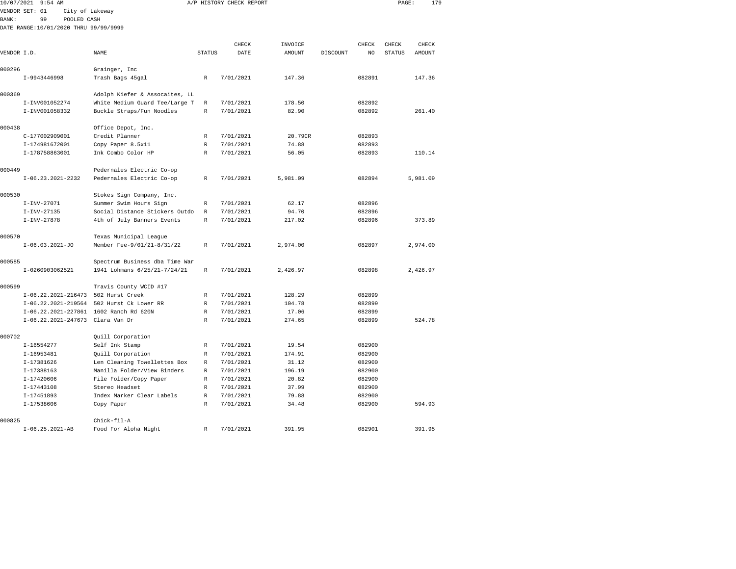|              | 10/07/2021 9:54 AM                     |                                |               | A/P HISTORY CHECK REPORT |          |          |        | PAGE:         |          | 179 |
|--------------|----------------------------------------|--------------------------------|---------------|--------------------------|----------|----------|--------|---------------|----------|-----|
|              | VENDOR SET: 01<br>City of Lakeway      |                                |               |                          |          |          |        |               |          |     |
| <b>BANK:</b> | 99<br>POOLED CASH                      |                                |               |                          |          |          |        |               |          |     |
|              | DATE RANGE:10/01/2020 THRU 99/99/9999  |                                |               |                          |          |          |        |               |          |     |
|              |                                        |                                |               |                          |          |          |        |               |          |     |
|              |                                        |                                |               | CHECK                    | INVOICE  |          | CHECK  | CHECK         | CHECK    |     |
| VENDOR I.D.  |                                        | NAME                           | <b>STATUS</b> | DATE                     | AMOUNT   | DISCOUNT | NO     | <b>STATUS</b> | AMOUNT   |     |
| 000296       |                                        | Grainger, Inc                  |               |                          |          |          |        |               |          |     |
|              | I-9943446998                           | Trash Bags 45gal               | $\mathbb R$   | 7/01/2021                | 147.36   |          | 082891 |               | 147.36   |     |
| 000369       |                                        | Adolph Kiefer & Assocaites, LL |               |                          |          |          |        |               |          |     |
|              | I-INV001052274                         | White Medium Guard Tee/Large T | R             | 7/01/2021                | 178.50   |          | 082892 |               |          |     |
|              | I-INV001058332                         | Buckle Straps/Fun Noodles      | $\mathbb R$   | 7/01/2021                | 82.90    |          | 082892 |               | 261.40   |     |
| 000438       |                                        | Office Depot, Inc.             |               |                          |          |          |        |               |          |     |
|              | C-177002909001                         | Credit Planner                 | R             | 7/01/2021                | 20.79CR  |          | 082893 |               |          |     |
|              | I-174981672001                         | Copy Paper 8.5x11              | R             | 7/01/2021                | 74.88    |          | 082893 |               |          |     |
|              | I-178758863001                         | Ink Combo Color HP             | R             | 7/01/2021                | 56.05    |          | 082893 |               | 110.14   |     |
| 000449       |                                        | Pedernales Electric Co-op      |               |                          |          |          |        |               |          |     |
|              | $I-06.23.2021-2232$                    | Pedernales Electric Co-op      | R             | 7/01/2021                | 5,981.09 |          | 082894 |               | 5,981.09 |     |
| 000530       |                                        | Stokes Sign Company, Inc.      |               |                          |          |          |        |               |          |     |
|              | $I-INV-27071$                          | Summer Swim Hours Sign         | R             | 7/01/2021                | 62.17    |          | 082896 |               |          |     |
|              | $I - INV - 27135$                      | Social Distance Stickers Outdo | R             | 7/01/2021                | 94.70    |          | 082896 |               |          |     |
|              | $I-INV-27878$                          | 4th of July Banners Events     | $\mathbb R$   | 7/01/2021                | 217.02   |          | 082896 |               | 373.89   |     |
| 000570       |                                        | Texas Municipal League         |               |                          |          |          |        |               |          |     |
|              | $I-06.03.2021-J0$                      | Member Fee-9/01/21-8/31/22     | R             | 7/01/2021                | 2,974.00 |          | 082897 |               | 2,974.00 |     |
| 000585       |                                        | Spectrum Business dba Time War |               |                          |          |          |        |               |          |     |
|              | I-0260903062521                        | 1941 Lohmans 6/25/21-7/24/21   | R             | 7/01/2021                | 2,426.97 |          | 082898 |               | 2,426.97 |     |
| 000599       |                                        | Travis County WCID #17         |               |                          |          |          |        |               |          |     |
|              | I-06.22.2021-216473                    | 502 Hurst Creek                | R             | 7/01/2021                | 128.29   |          | 082899 |               |          |     |
|              | I-06.22.2021-219564                    | 502 Hurst Ck Lower RR          | R             | 7/01/2021                | 104.78   |          | 082899 |               |          |     |
|              | I-06.22.2021-227861 1602 Ranch Rd 620N |                                | $\mathbb R$   | 7/01/2021                | 17.06    |          | 082899 |               |          |     |
|              | I-06.22.2021-247673                    | Clara Van Dr                   | R             | 7/01/2021                | 274.65   |          | 082899 |               | 524.78   |     |
| 000702       |                                        | Quill Corporation              |               |                          |          |          |        |               |          |     |
|              | I-16554277                             | Self Ink Stamp                 | R             | 7/01/2021                | 19.54    |          | 082900 |               |          |     |
|              | I-16953481                             | Quill Corporation              | R             | 7/01/2021                | 174.91   |          | 082900 |               |          |     |
|              | I-17381626                             | Len Cleaning Towellettes Box   | R             | 7/01/2021                | 31.12    |          | 082900 |               |          |     |
|              | I-17388163                             | Manilla Folder/View Binders    | R             | 7/01/2021                | 196.19   |          | 082900 |               |          |     |
|              | I-17420606                             | File Folder/Copy Paper         | R             | 7/01/2021                | 20.82    |          | 082900 |               |          |     |
|              | I-17443108                             | Stereo Headset                 | R             | 7/01/2021                | 37.99    |          | 082900 |               |          |     |
|              | I-17451893                             | Index Marker Clear Labels      | $\mathbb R$   | 7/01/2021                | 79.88    |          | 082900 |               |          |     |
|              | I-17538606                             | Copy Paper                     | R             | 7/01/2021                | 34.48    |          | 082900 |               | 594.93   |     |
| 000825       |                                        | Chick-fil-A                    |               |                          |          |          |        |               |          |     |
|              | $I-06.25.2021-AB$                      | Food For Aloha Night           | R             | 7/01/2021                | 391.95   |          | 082901 |               | 391.95   |     |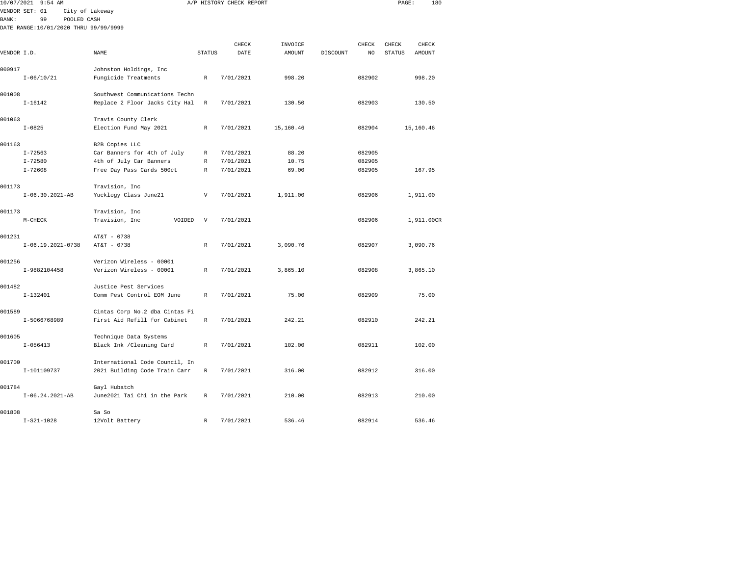| 10/07/2021  | $9:54$ AM                             |                                                                |                           | A/P HISTORY CHECK REPORT |           |          |        | PAGE:         | 180        |  |
|-------------|---------------------------------------|----------------------------------------------------------------|---------------------------|--------------------------|-----------|----------|--------|---------------|------------|--|
|             | VENDOR SET: 01                        | City of Lakeway                                                |                           |                          |           |          |        |               |            |  |
| BANK:       | 99<br>POOLED CASH                     |                                                                |                           |                          |           |          |        |               |            |  |
|             | DATE RANGE:10/01/2020 THRU 99/99/9999 |                                                                |                           |                          |           |          |        |               |            |  |
|             |                                       |                                                                |                           | CHECK                    | INVOICE   |          | CHECK  | CHECK         | CHECK      |  |
| VENDOR I.D. |                                       | NAME                                                           | <b>STATUS</b>             | DATE                     | AMOUNT    | DISCOUNT | NO     | <b>STATUS</b> | AMOUNT     |  |
|             |                                       |                                                                |                           |                          |           |          |        |               |            |  |
| 000917      |                                       | Johnston Holdings, Inc                                         |                           |                          |           |          |        |               |            |  |
|             | $I - 06/10/21$                        | Fungicide Treatments                                           | $\mathbb{R}$              | 7/01/2021                | 998.20    |          | 082902 |               | 998.20     |  |
| 001008      |                                       | Southwest Communications Techn                                 |                           |                          |           |          |        |               |            |  |
|             | $I - 16142$                           | Replace 2 Floor Jacks City Hal                                 | R                         | 7/01/2021                | 130.50    |          | 082903 |               | 130.50     |  |
| 001063      |                                       | Travis County Clerk                                            |                           |                          |           |          |        |               |            |  |
|             | $I - 0825$                            | Election Fund May 2021                                         | R                         | 7/01/2021                | 15,160.46 |          | 082904 |               | 15,160.46  |  |
| 001163      |                                       | B2B Copies LLC                                                 |                           |                          |           |          |        |               |            |  |
|             | $I - 72563$                           | Car Banners for 4th of July                                    | R                         | 7/01/2021                | 88.20     |          | 082905 |               |            |  |
|             | $I - 72580$                           | 4th of July Car Banners                                        | R                         | 7/01/2021                | 10.75     |          | 082905 |               |            |  |
|             | $I - 72608$                           | Free Day Pass Cards 500ct                                      | R                         | 7/01/2021                | 69.00     |          | 082905 |               | 167.95     |  |
| 001173      |                                       | Travision, Inc                                                 |                           |                          |           |          |        |               |            |  |
|             | $I-06.30.2021-AB$                     | Yucklogy Class June21                                          | $\boldsymbol{\mathrm{V}}$ | 7/01/2021                | 1,911.00  |          | 082906 |               | 1,911.00   |  |
|             |                                       |                                                                |                           |                          |           |          |        |               |            |  |
| 001173      | $M-CHECK$                             | Travision, Inc<br>Travision, Inc<br>VOIDED                     | $\boldsymbol{\mathrm{V}}$ | 7/01/2021                |           |          | 082906 |               | 1,911.00CR |  |
|             |                                       |                                                                |                           |                          |           |          |        |               |            |  |
| 001231      |                                       | AT&T - 0738                                                    |                           |                          |           |          |        |               |            |  |
|             | $I-06.19.2021-0738$                   | AT&T - 0738                                                    | $\mathbb{R}$              | 7/01/2021                | 3,090.76  |          | 082907 |               | 3,090.76   |  |
| 001256      |                                       | Verizon Wireless - 00001                                       |                           |                          |           |          |        |               |            |  |
|             | I-9882104458                          | Verizon Wireless - 00001                                       | R                         | 7/01/2021                | 3,865.10  |          | 082908 |               | 3,865.10   |  |
| 001482      |                                       | Justice Pest Services                                          |                           |                          |           |          |        |               |            |  |
|             | $I-132401$                            | Comm Pest Control EOM June                                     | R                         | 7/01/2021                | 75.00     |          | 082909 |               | 75.00      |  |
|             |                                       |                                                                |                           |                          |           |          |        |               |            |  |
| 001589      | I-5066768989                          | Cintas Corp No.2 dba Cintas Fi<br>First Aid Refill for Cabinet | R                         | 7/01/2021                | 242.21    |          | 082910 |               | 242.21     |  |
|             |                                       |                                                                |                           |                          |           |          |        |               |            |  |
| 001605      |                                       | Technique Data Systems                                         |                           |                          |           |          |        |               |            |  |
|             | $I - 056413$                          | Black Ink / Cleaning Card                                      | R                         | 7/01/2021                | 102.00    |          | 082911 |               | 102.00     |  |
| 001700      |                                       | International Code Council, In                                 |                           |                          |           |          |        |               |            |  |
|             | I-101109737                           | 2021 Building Code Train Carr                                  | R                         | 7/01/2021                | 316.00    |          | 082912 |               | 316.00     |  |
| 001784      |                                       | Gayl Hubatch                                                   |                           |                          |           |          |        |               |            |  |
|             | $I-06.24.2021-AB$                     | June2021 Tai Chi in the Park                                   | R                         | 7/01/2021                | 210.00    |          | 082913 |               | 210.00     |  |
|             |                                       |                                                                |                           |                          |           |          |        |               |            |  |
| 001808      | $I-S21-1028$                          | Sa So<br>12Volt Battery                                        | R                         | 7/01/2021                | 536.46    |          | 082914 |               | 536.46     |  |
|             |                                       |                                                                |                           |                          |           |          |        |               |            |  |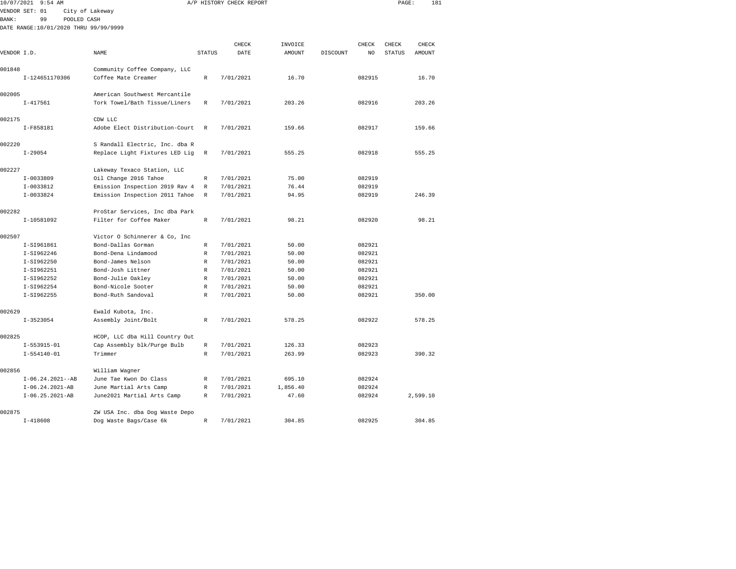| 10/07/2021   | $9:54$ AM                             |                 |                                |                  | A/P HISTORY CHECK REPORT |                |          |                  | PAGE:         | 181      |  |
|--------------|---------------------------------------|-----------------|--------------------------------|------------------|--------------------------|----------------|----------|------------------|---------------|----------|--|
|              | VENDOR SET: 01                        | City of Lakeway |                                |                  |                          |                |          |                  |               |          |  |
| <b>BANK:</b> | 99                                    | POOLED CASH     |                                |                  |                          |                |          |                  |               |          |  |
|              | DATE RANGE:10/01/2020 THRU 99/99/9999 |                 |                                |                  |                          |                |          |                  |               |          |  |
|              |                                       |                 |                                |                  |                          |                |          |                  |               |          |  |
|              |                                       |                 |                                |                  | CHECK                    | INVOICE        |          | CHECK            | CHECK         | CHECK    |  |
| VENDOR I.D.  |                                       |                 | NAME                           | <b>STATUS</b>    | DATE                     | AMOUNT         | DISCOUNT | NO               | <b>STATUS</b> | AMOUNT   |  |
| 001848       |                                       |                 | Community Coffee Company, LLC  |                  |                          |                |          |                  |               |          |  |
|              | I-124651170306                        |                 | Coffee Mate Creamer            | R                | 7/01/2021                | 16.70          |          | 082915           |               | 16.70    |  |
|              |                                       |                 |                                |                  |                          |                |          |                  |               |          |  |
| 002005       |                                       |                 | American Southwest Mercantile  |                  |                          |                |          |                  |               |          |  |
|              | $I - 417561$                          |                 | Tork Towel/Bath Tissue/Liners  | $\mathbb R$      | 7/01/2021                | 203.26         |          | 082916           |               | 203.26   |  |
| 002175       |                                       |                 | CDW LLC                        |                  |                          |                |          |                  |               |          |  |
|              | I-F858181                             |                 | Adobe Elect Distribution-Court | $\mathbb R$      | 7/01/2021                | 159.66         |          | 082917           |               | 159.66   |  |
|              |                                       |                 |                                |                  |                          |                |          |                  |               |          |  |
| 002220       |                                       |                 | S Randall Electric, Inc. dba R |                  |                          |                |          |                  |               |          |  |
|              | $I - 29054$                           |                 | Replace Light Fixtures LED Lig | R                | 7/01/2021                | 555.25         |          | 082918           |               | 555.25   |  |
|              |                                       |                 |                                |                  |                          |                |          |                  |               |          |  |
| 002227       |                                       |                 | Lakeway Texaco Station, LLC    |                  |                          |                |          |                  |               |          |  |
|              | $I-0033809$                           |                 | Oil Change 2016 Tahoe          | R                | 7/01/2021                | 75.00          |          | 082919           |               |          |  |
|              | $I-0033812$<br>$I-0033824$            |                 | Emission Inspection 2019 Rav 4 | R<br>$\mathbb R$ | 7/01/2021                | 76.44<br>94.95 |          | 082919<br>082919 |               | 246.39   |  |
|              |                                       |                 | Emission Inspection 2011 Tahoe |                  | 7/01/2021                |                |          |                  |               |          |  |
| 002282       |                                       |                 | ProStar Services, Inc dba Park |                  |                          |                |          |                  |               |          |  |
|              | I-10581092                            |                 | Filter for Coffee Maker        | R                | 7/01/2021                | 98.21          |          | 082920           |               | 98.21    |  |
|              |                                       |                 |                                |                  |                          |                |          |                  |               |          |  |
| 002507       |                                       |                 | Victor O Schinnerer & Co, Inc  |                  |                          |                |          |                  |               |          |  |
|              | I-SI961861                            |                 | Bond-Dallas Gorman             | R                | 7/01/2021                | 50.00          |          | 082921           |               |          |  |
|              | I-SI962246                            |                 | Bond-Dena Lindamood            | $\mathbb R$      | 7/01/2021                | 50.00          |          | 082921           |               |          |  |
|              | I-SI962250                            |                 | Bond-James Nelson              | R                | 7/01/2021                | 50.00          |          | 082921           |               |          |  |
|              | I-SI962251                            |                 | Bond-Josh Littner              | R                | 7/01/2021                | 50.00          |          | 082921           |               |          |  |
|              | I-SI962252                            |                 | Bond-Julie Oakley              | R                | 7/01/2021                | 50.00          |          | 082921           |               |          |  |
|              | I-SI962254                            |                 | Bond-Nicole Sooter             | R                | 7/01/2021                | 50.00          |          | 082921           |               |          |  |
|              | I-SI962255                            |                 | Bond-Ruth Sandoval             | $\mathbb R$      | 7/01/2021                | 50.00          |          | 082921           |               | 350.00   |  |
| 002629       |                                       |                 | Ewald Kubota, Inc.             |                  |                          |                |          |                  |               |          |  |
|              | $I-3523054$                           |                 | Assembly Joint/Bolt            | R                | 7/01/2021                | 578.25         |          | 082922           |               | 578.25   |  |
|              |                                       |                 |                                |                  |                          |                |          |                  |               |          |  |
| 002825       |                                       |                 | HCOP, LLC dba Hill Country Out |                  |                          |                |          |                  |               |          |  |
|              | $I-553915-01$                         |                 | Cap Assembly blk/Purge Bulb    | R                | 7/01/2021                | 126.33         |          | 082923           |               |          |  |
|              | $I - 554140 - 01$                     |                 | Trimmer                        | $\mathbb R$      | 7/01/2021                | 263.99         |          | 082923           |               | 390.32   |  |
| 002856       |                                       |                 | William Wagner                 |                  |                          |                |          |                  |               |          |  |
|              | $I-06.24.2021--AB$                    |                 | June Tae Kwon Do Class         | R                | 7/01/2021                | 695.10         |          | 082924           |               |          |  |
|              | $I-06.24.2021-AB$                     |                 | June Martial Arts Camp         | R                | 7/01/2021                | 1,856.40       |          | 082924           |               |          |  |
|              | $I-06.25.2021-AB$                     |                 | June2021 Martial Arts Camp     | R                | 7/01/2021                | 47.60          |          | 082924           |               | 2,599.10 |  |
|              |                                       |                 |                                |                  |                          |                |          |                  |               |          |  |
| 002875       |                                       |                 | ZW USA Inc. dba Dog Waste Depo |                  |                          |                |          |                  |               |          |  |

I-418608 Dog Waste Bags/Case 6k R 7/01/2021 304.85 082925 304.85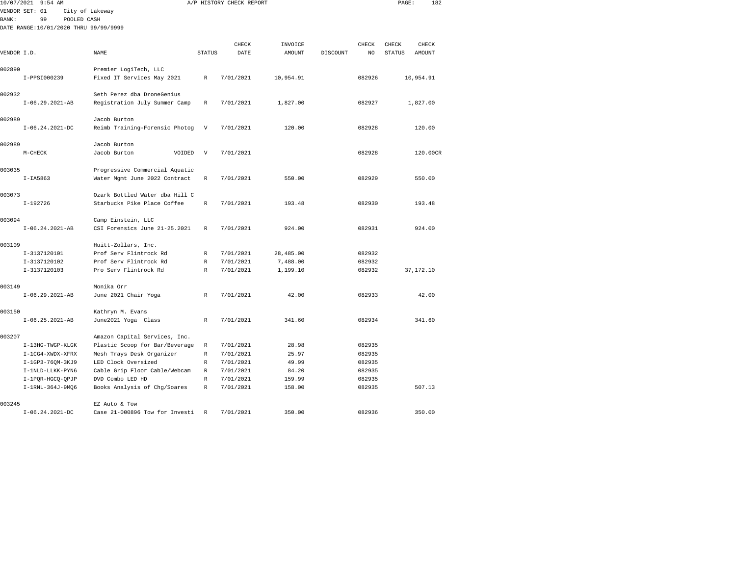|              | 10/07/2021 9:54 AM                    |                                                                 |               | A/P HISTORY CHECK REPORT |           |          |        | PAGE:  | 182        |
|--------------|---------------------------------------|-----------------------------------------------------------------|---------------|--------------------------|-----------|----------|--------|--------|------------|
|              | VENDOR SET: 01                        | City of Lakeway                                                 |               |                          |           |          |        |        |            |
| <b>BANK:</b> | 99<br>POOLED CASH                     |                                                                 |               |                          |           |          |        |        |            |
|              | DATE RANGE:10/01/2020 THRU 99/99/9999 |                                                                 |               |                          |           |          |        |        |            |
|              |                                       |                                                                 |               |                          |           |          |        |        |            |
|              |                                       |                                                                 |               | CHECK                    | INVOICE   |          | CHECK  | CHECK  | CHECK      |
| VENDOR I.D.  |                                       | NAME                                                            | <b>STATUS</b> | DATE                     | AMOUNT    | DISCOUNT | NO     | STATUS | AMOUNT     |
| 002890       |                                       | Premier LogiTech, LLC                                           |               |                          |           |          |        |        |            |
|              | I-PPSI000239                          | Fixed IT Services May 2021                                      | $\mathbb{R}$  | 7/01/2021                | 10,954.91 |          | 082926 |        | 10,954.91  |
| 002932       |                                       | Seth Perez dba DroneGenius                                      |               |                          |           |          |        |        |            |
|              | $I-06.29.2021-AB$                     | Registration July Summer Camp                                   | $\mathbb{R}$  | 7/01/2021                | 1,827.00  |          | 082927 |        | 1,827.00   |
|              |                                       |                                                                 |               |                          |           |          |        |        |            |
| 002989       |                                       | Jacob Burton                                                    |               |                          |           |          |        |        |            |
|              | $I-06.24.2021-DC$                     | Reimb Training-Forensic Photog                                  | V             | 7/01/2021                | 120.00    |          | 082928 |        | 120.00     |
| 002989       |                                       | Jacob Burton                                                    |               |                          |           |          |        |        |            |
|              | $M-CHECK$                             | Jacob Burton<br>VOIDED                                          | V             | 7/01/2021                |           |          | 082928 |        | 120.00CR   |
|              |                                       |                                                                 |               |                          |           |          |        |        |            |
| 003035       | $I-IA5863$                            | Progressive Commercial Aquatic<br>Water Mgmt June 2022 Contract | $\mathbb{R}$  | 7/01/2021                | 550.00    |          | 082929 |        | 550.00     |
|              |                                       |                                                                 |               |                          |           |          |        |        |            |
| 003073       |                                       | Ozark Bottled Water dba Hill C                                  |               |                          |           |          |        |        |            |
|              | $I-192726$                            | Starbucks Pike Place Coffee                                     | R             | 7/01/2021                | 193.48    |          | 082930 |        | 193.48     |
| 003094       |                                       | Camp Einstein, LLC                                              |               |                          |           |          |        |        |            |
|              | $I-06.24.2021-AB$                     | CSI Forensics June 21-25.2021                                   | R             | 7/01/2021                | 924.00    |          | 082931 |        | 924.00     |
|              |                                       |                                                                 |               |                          |           |          |        |        |            |
| 003109       |                                       | Huitt-Zollars, Inc.                                             |               |                          |           |          |        |        |            |
|              | I-3137120101                          | Prof Serv Flintrock Rd                                          | R             | 7/01/2021                | 28,485.00 |          | 082932 |        |            |
|              | I-3137120102                          | Prof Serv Flintrock Rd                                          | $\mathbb R$   | 7/01/2021                | 7,488.00  |          | 082932 |        |            |
|              | I-3137120103                          | Pro Serv Flintrock Rd                                           | $\mathbb{R}$  | 7/01/2021                | 1,199.10  |          | 082932 |        | 37, 172.10 |
| 003149       |                                       | Monika Orr                                                      |               |                          |           |          |        |        |            |
|              | $I-06.29.2021-AB$                     | June 2021 Chair Yoga                                            | $\mathbb{R}$  | 7/01/2021                | 42.00     |          | 082933 |        | 42.00      |
|              |                                       |                                                                 |               |                          |           |          |        |        |            |
| 003150       |                                       | Kathryn M. Evans                                                |               |                          |           |          |        |        |            |
|              | $I-06.25.2021-AB$                     | June2021 Yoga Class                                             | R             | 7/01/2021                | 341.60    |          | 082934 |        | 341.60     |
| 003207       |                                       | Amazon Capital Services, Inc.                                   |               |                          |           |          |        |        |            |
|              | I-13HG-TWGP-KLGK                      | Plastic Scoop for Bar/Beverage                                  | R             | 7/01/2021                | 28.98     |          | 082935 |        |            |
|              | I-1CG4-XWDX-XFRX                      | Mesh Trays Desk Organizer                                       | $\mathbb R$   | 7/01/2021                | 25.97     |          | 082935 |        |            |
|              | I-1GP3-760M-3KJ9                      | LED Clock Oversized                                             | R             | 7/01/2021                | 49.99     |          | 082935 |        |            |
|              | I-1NLD-LLKK-PYN6                      | Cable Grip Floor Cable/Webcam                                   | R             | 7/01/2021                | 84.20     |          | 082935 |        |            |
|              | I-1PQR-HGCQ-QPJP                      | DVD Combo LED HD                                                | R             | 7/01/2021                | 159.99    |          | 082935 |        |            |
|              | I-1RNL-364J-9MQ6                      | Books Analysis of Chg/Soares                                    | R             | 7/01/2021                | 158.00    |          | 082935 |        | 507.13     |
|              |                                       |                                                                 |               |                          |           |          |        |        |            |
| 003245       | $T - 06.24.2021 - DC$                 | EZ Auto & Tow<br>Case 21-000896 Tow for Investi                 | R             | 7/01/2021                | 350.00    |          | 082936 |        | 350.00     |
|              |                                       |                                                                 |               |                          |           |          |        |        |            |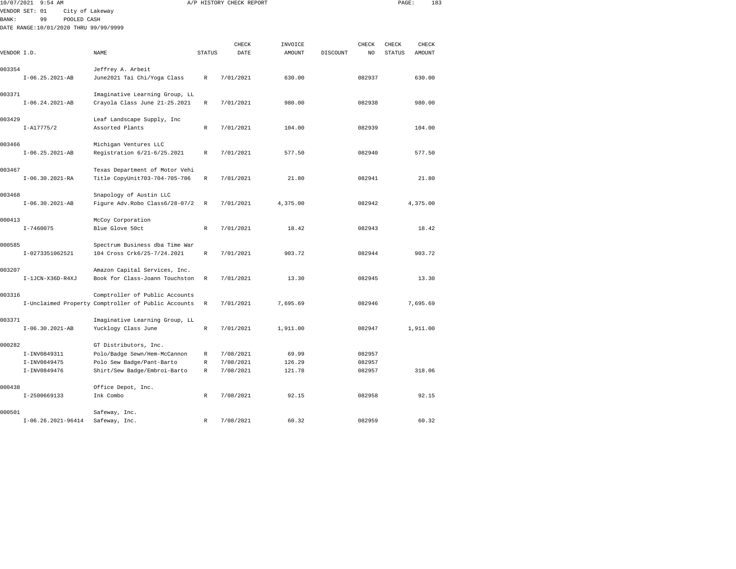| 10/07/2021 9:54 AM                    |                                                                                       |               | A/P HISTORY CHECK REPORT |               |          |                | PAGE:         | 183      |
|---------------------------------------|---------------------------------------------------------------------------------------|---------------|--------------------------|---------------|----------|----------------|---------------|----------|
| VENDOR SET: 01                        | City of Lakeway                                                                       |               |                          |               |          |                |               |          |
| BANK:<br>99                           | POOLED CASH                                                                           |               |                          |               |          |                |               |          |
| DATE RANGE:10/01/2020 THRU 99/99/9999 |                                                                                       |               |                          |               |          |                |               |          |
|                                       |                                                                                       |               | CHECK                    | INVOICE       |          | CHECK          | CHECK         | CHECK    |
| VENDOR I.D.                           | NAME                                                                                  | <b>STATUS</b> | DATE                     | <b>AMOUNT</b> | DISCOUNT | N <sub>O</sub> | <b>STATUS</b> | AMOUNT   |
|                                       |                                                                                       |               |                          |               |          |                |               |          |
| 003354                                | Jeffrey A. Arbeit                                                                     |               |                          |               |          |                |               |          |
| $I-06.25.2021-AB$                     | June2021 Tai Chi/Yoga Class                                                           | R             | 7/01/2021                | 630.00        |          | 082937         |               | 630.00   |
| 003371                                | Imaginative Learning Group, LL                                                        |               |                          |               |          |                |               |          |
| $I-06.24.2021-AB$                     | Crayola Class June 21-25.2021                                                         | $\mathbb R$   | 7/01/2021                | 980.00        |          | 082938         |               | 980.00   |
| 003429                                | Leaf Landscape Supply, Inc                                                            |               |                          |               |          |                |               |          |
| $I - A17775/2$                        | Assorted Plants                                                                       | $\mathbb R$   | 7/01/2021                | 104.00        |          | 082939         |               | 104.00   |
| 003466                                | Michigan Ventures LLC                                                                 |               |                          |               |          |                |               |          |
| $I-06.25.2021-AB$                     | Registration 6/21-6/25.2021                                                           | R             | 7/01/2021                | 577.50        |          | 082940         |               | 577.50   |
| 003467                                | Texas Department of Motor Vehi                                                        |               |                          |               |          |                |               |          |
| I-06.30.2021-RA                       | Title CopyUnit703-704-705-706                                                         | $\mathbb R$   | 7/01/2021                | 21.80         |          | 082941         |               | 21.80    |
|                                       |                                                                                       |               |                          |               |          |                |               |          |
| 003468<br>$I-06.30.2021-AB$           | Snapology of Austin LLC<br>Figure Adv.Robo Class6/28-07/2                             | R             | 7/01/2021                | 4,375.00      |          | 082942         |               | 4,375.00 |
|                                       |                                                                                       |               |                          |               |          |                |               |          |
| 000413                                | McCoy Corporation                                                                     |               |                          |               |          |                |               |          |
| I-7460075                             | Blue Glove 50ct                                                                       | R             | 7/01/2021                | 18.42         |          | 082943         |               | 18.42    |
| 000585                                | Spectrum Business dba Time War                                                        |               |                          |               |          |                |               |          |
| I-0273351062521                       | 104 Cross Crk6/25-7/24.2021                                                           | $\mathbb{R}$  | 7/01/2021                | 903.72        |          | 082944         |               | 903.72   |
| 003207                                | Amazon Capital Services, Inc.                                                         |               |                          |               |          |                |               |          |
| I-1JCN-X36D-R4XJ                      | Book for Class-Joann Touchston                                                        | R             | 7/01/2021                | 13.30         |          | 082945         |               | 13.30    |
| 003316                                |                                                                                       |               |                          |               |          |                |               |          |
|                                       | Comptroller of Public Accounts<br>I-Unclaimed Property Comptroller of Public Accounts | $\mathbb R$   | 7/01/2021                | 7,695.69      |          | 082946         |               | 7,695.69 |
|                                       |                                                                                       |               |                          |               |          |                |               |          |
| 003371                                | Imaginative Learning Group, LL                                                        |               |                          |               |          |                |               |          |
| $I-06.30.2021-AB$                     | Yucklogy Class June                                                                   | $\mathbb{R}$  | 7/01/2021                | 1,911.00      |          | 082947         |               | 1,911.00 |
| 000282                                | GT Distributors, Inc.                                                                 |               |                          |               |          |                |               |          |
| I-INV0849311                          | Polo/Badge Sewn/Hem-McCannon                                                          | $\mathbb R$   | 7/08/2021                | 69.99         |          | 082957         |               |          |
| I-INV0849475                          | Polo Sew Badge/Pant-Barto                                                             | $\mathbb R$   | 7/08/2021                | 126.29        |          | 082957         |               |          |
| I-INV0849476                          | Shirt/Sew Badge/Embroi-Barto                                                          | R             | 7/08/2021                | 121.78        |          | 082957         |               | 318.06   |
| 000438                                | Office Depot, Inc.                                                                    |               |                          |               |          |                |               |          |
| I-2500669133                          | Ink Combo                                                                             | $\mathbb R$   | 7/08/2021                | 92.15         |          | 082958         |               | 92.15    |
| 000501                                | Safeway, Inc.                                                                         |               |                          |               |          |                |               |          |
|                                       |                                                                                       |               |                          |               |          |                |               |          |

I-06.26.2021-96414 Safeway, Inc. R 7/08/2021 60.32 082959 60.32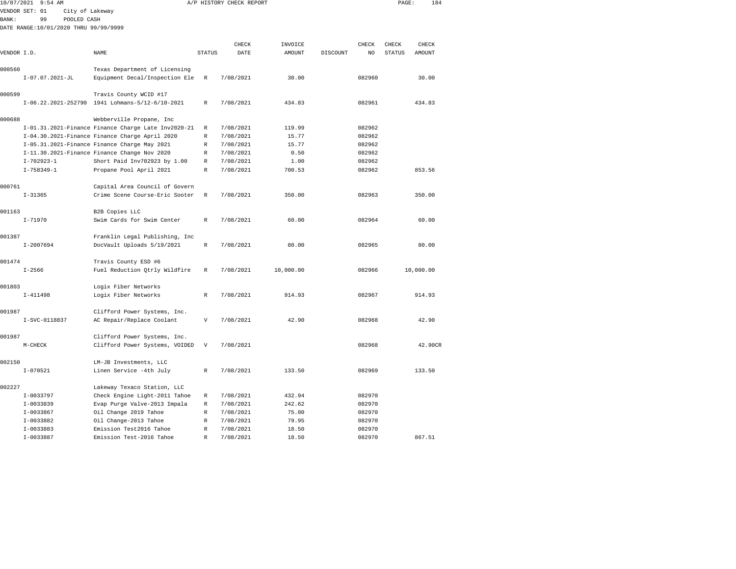| 10/07/2021   | $9:54$ AM                             |                                                     |                           | A/P HISTORY CHECK REPORT |           |          |        | PAGE:         | 184       |  |
|--------------|---------------------------------------|-----------------------------------------------------|---------------------------|--------------------------|-----------|----------|--------|---------------|-----------|--|
|              | VENDOR SET: 01<br>City of Lakeway     |                                                     |                           |                          |           |          |        |               |           |  |
| <b>BANK:</b> | 99<br>POOLED CASH                     |                                                     |                           |                          |           |          |        |               |           |  |
|              | DATE RANGE:10/01/2020 THRU 99/99/9999 |                                                     |                           |                          |           |          |        |               |           |  |
|              |                                       |                                                     |                           | CHECK                    | INVOICE   |          | CHECK  | CHECK         | CHECK     |  |
| VENDOR I.D.  |                                       | NAME                                                | <b>STATUS</b>             | DATE                     | AMOUNT    | DISCOUNT | NO     | <b>STATUS</b> | AMOUNT    |  |
|              |                                       |                                                     |                           |                          |           |          |        |               |           |  |
| 000560       |                                       | Texas Department of Licensing                       |                           |                          |           |          |        |               |           |  |
|              | $I-07.07.2021-JL$                     | Equipment Decal/Inspection Ele                      | R                         | 7/08/2021                | 30.00     |          | 082960 |               | 30.00     |  |
| 000599       |                                       | Travis County WCID #17                              |                           |                          |           |          |        |               |           |  |
|              |                                       | I-06.22.2021-252790 1941 Lohmans-5/12-6/10-2021     | R                         | 7/08/2021                | 434.83    |          | 082961 |               | 434.83    |  |
| 000688       |                                       | Webberville Propane, Inc                            |                           |                          |           |          |        |               |           |  |
|              |                                       | I-01.31.2021-Finance Finance Charge Late Inv2020-21 | $\mathbb R$               | 7/08/2021                | 119.99    |          | 082962 |               |           |  |
|              |                                       | I-04.30.2021-Finance Finance Charge April 2020      | $\mathbb R$               | 7/08/2021                | 15.77     |          | 082962 |               |           |  |
|              |                                       | I-05.31.2021-Finance Finance Charge May 2021        | R                         | 7/08/2021                | 15.77     |          | 082962 |               |           |  |
|              |                                       | I-11.30.2021-Finance Finance Change Nov 2020        | R                         | 7/08/2021                | 0.50      |          | 082962 |               |           |  |
|              | $I - 702923 - 1$                      | Short Paid Inv702923 by 1.00                        | R                         | 7/08/2021                | 1.00      |          | 082962 |               |           |  |
|              | $I - 758349 - 1$                      | Propane Pool April 2021                             | $\mathbb{R}$              | 7/08/2021                | 700.53    |          | 082962 |               | 853.56    |  |
| 000761       |                                       | Capital Area Council of Govern                      |                           |                          |           |          |        |               |           |  |
|              | $I - 31365$                           | Crime Scene Course-Eric Sooter                      | $\mathbb{R}$              | 7/08/2021                | 350.00    |          | 082963 |               | 350.00    |  |
| 001163       |                                       | B2B Copies LLC                                      |                           |                          |           |          |        |               |           |  |
|              | $I - 71970$                           | Swim Cards for Swim Center                          | R                         | 7/08/2021                | 60.00     |          | 082964 |               | 60.00     |  |
| 001387       |                                       | Franklin Legal Publishing, Inc                      |                           |                          |           |          |        |               |           |  |
|              | $I-2007694$                           | DocVault Uploads 5/19/2021                          | $\mathbb R$               | 7/08/2021                | 80.00     |          | 082965 |               | 80.00     |  |
| 001474       |                                       | Travis County ESD #6                                |                           |                          |           |          |        |               |           |  |
|              | $I - 2566$                            | Fuel Reduction Qtrly Wildfire                       | R                         | 7/08/2021                | 10,000.00 |          | 082966 |               | 10,000.00 |  |
| 001803       |                                       | Logix Fiber Networks                                |                           |                          |           |          |        |               |           |  |
|              | $I-411498$                            | Logix Fiber Networks                                | R                         | 7/08/2021                | 914.93    |          | 082967 |               | 914.93    |  |
| 001987       |                                       | Clifford Power Systems, Inc.                        |                           |                          |           |          |        |               |           |  |
|              | I-SVC-0118837                         | AC Repair/Replace Coolant                           | $\mathbf{V}$              | 7/08/2021                | 42.90     |          | 082968 |               | 42.90     |  |
| 001987       |                                       | Clifford Power Systems, Inc.                        |                           |                          |           |          |        |               |           |  |
|              | $M-CHECK$                             | Clifford Power Systems, VOIDED                      | $\boldsymbol{\mathrm{V}}$ | 7/08/2021                |           |          | 082968 |               | 42.90CR   |  |
| 002150       |                                       | LM-JB Investments, LLC                              |                           |                          |           |          |        |               |           |  |
|              | $I - 070521$                          | Linen Service -4th July                             | R                         | 7/08/2021                | 133.50    |          | 082969 |               | 133.50    |  |
| 002227       |                                       | Lakeway Texaco Station, LLC                         |                           |                          |           |          |        |               |           |  |
|              | I-0033797                             | Check Engine Light-2011 Tahoe                       | R                         | 7/08/2021                | 432.94    |          | 082970 |               |           |  |
|              | I-0033839                             | Evap Purge Valve-2013 Impala                        | R                         | 7/08/2021                | 242.62    |          | 082970 |               |           |  |
|              | $I-0033867$                           | Oil Change 2019 Tahoe                               | $\mathbb{R}$              | 7/08/2021                | 75.00     |          | 082970 |               |           |  |
|              | I-0033882                             | Oil Change-2013 Tahoe                               | $\mathbb{R}$              | 7/08/2021                | 79.95     |          | 082970 |               |           |  |
|              | $I-0033883$                           | Emission Test2016 Tahoe                             | R                         | 7/08/2021                | 18.50     |          | 082970 |               |           |  |

I-0033887 Emission Test-2016 Tahoe R 7/08/2021 18.50 082970 867.51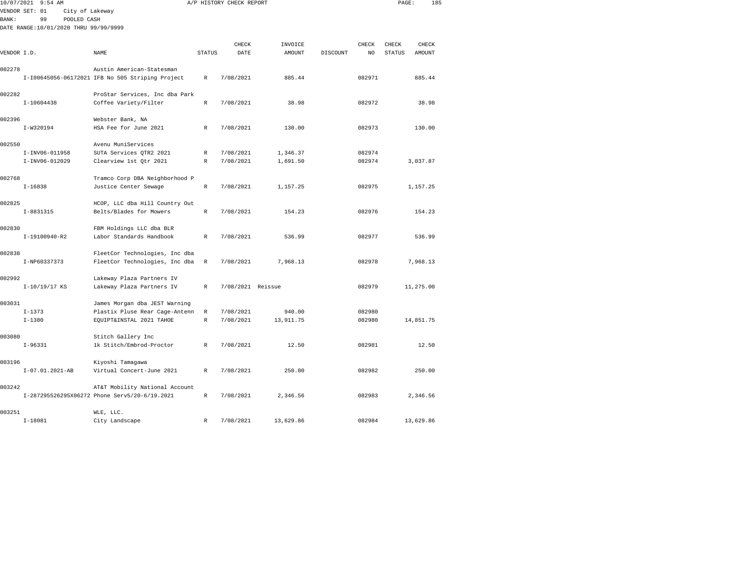| 10/07/2021  | $9:54$ AM                             |                                                                                 |              | A/P HISTORY CHECK REPORT |           |          |        | PAGE:  | 185       |  |
|-------------|---------------------------------------|---------------------------------------------------------------------------------|--------------|--------------------------|-----------|----------|--------|--------|-----------|--|
|             | VENDOR SET: 01<br>City of Lakeway     |                                                                                 |              |                          |           |          |        |        |           |  |
| BANK:       | 99<br>POOLED CASH                     |                                                                                 |              |                          |           |          |        |        |           |  |
|             | DATE RANGE:10/01/2020 THRU 99/99/9999 |                                                                                 |              |                          |           |          |        |        |           |  |
|             |                                       |                                                                                 |              |                          |           |          |        |        |           |  |
|             |                                       |                                                                                 |              | CHECK                    | INVOICE   |          | CHECK  | CHECK  | CHECK     |  |
| VENDOR I.D. |                                       | NAME                                                                            | STATUS       | DATE                     | AMOUNT    | DISCOUNT | NO     | STATUS | AMOUNT    |  |
|             |                                       |                                                                                 |              |                          |           |          |        |        |           |  |
| 002278      |                                       | Austin American-Statesman                                                       |              |                          |           |          |        |        |           |  |
|             |                                       | I-I00645056-06172021 IFB No 505 Striping Project                                | $\mathbb R$  | 7/08/2021                | 885.44    |          | 082971 |        | 885.44    |  |
| 002282      |                                       |                                                                                 |              |                          |           |          |        |        |           |  |
|             | $I-10604438$                          | ProStar Services, Inc dba Park                                                  | $\mathbb{R}$ | 7/08/2021                | 38.98     |          | 082972 |        | 38.98     |  |
|             |                                       | Coffee Variety/Filter                                                           |              |                          |           |          |        |        |           |  |
| 002396      |                                       | Webster Bank, NA                                                                |              |                          |           |          |        |        |           |  |
|             | I-W320194                             | HSA Fee for June 2021                                                           | $\mathbb{R}$ | 7/08/2021                | 130.00    |          | 082973 |        | 130.00    |  |
|             |                                       |                                                                                 |              |                          |           |          |        |        |           |  |
| 002550      |                                       | Avenu MuniServices                                                              |              |                          |           |          |        |        |           |  |
|             | I-INV06-011958                        | SUTA Services OTR2 2021                                                         | $\mathbb R$  | 7/08/2021                | 1,346.37  |          | 082974 |        |           |  |
|             | I-INV06-012029                        | Clearview 1st Qtr 2021                                                          | $\mathbb R$  | 7/08/2021                | 1,691.50  |          | 082974 |        | 3,037.87  |  |
|             |                                       |                                                                                 |              |                          |           |          |        |        |           |  |
| 002768      |                                       | Tramco Corp DBA Neighborhood P                                                  |              |                          |           |          |        |        |           |  |
|             | $I - 16838$                           | Justice Center Sewage                                                           | $\mathbb R$  | 7/08/2021                | 1,157.25  |          | 082975 |        | 1,157.25  |  |
|             |                                       |                                                                                 |              |                          |           |          |        |        |           |  |
| 002825      |                                       | HCOP, LLC dba Hill Country Out                                                  |              |                          |           |          |        |        |           |  |
|             | I-8831315                             | Belts/Blades for Mowers                                                         | $\mathbb R$  | 7/08/2021                | 154.23    |          | 082976 |        | 154.23    |  |
|             |                                       |                                                                                 |              |                          |           |          |        |        |           |  |
| 002830      |                                       | FBM Holdings LLC dba BLR                                                        |              |                          |           |          |        |        |           |  |
|             | I-19100940-R2                         | Labor Standards Handbook                                                        | $\mathbb{R}$ | 7/08/2021                | 536.99    |          | 082977 |        | 536.99    |  |
|             |                                       |                                                                                 |              |                          |           |          |        |        |           |  |
| 002838      |                                       | FleetCor Technologies, Inc dba                                                  |              |                          |           |          |        |        |           |  |
|             | I-NP60337373                          | FleetCor Technologies, Inc dba                                                  | $\mathbb R$  | 7/08/2021                | 7,968.13  |          | 082978 |        | 7,968.13  |  |
|             |                                       |                                                                                 |              |                          |           |          |        |        |           |  |
| 002992      |                                       | Lakeway Plaza Partners IV                                                       |              |                          |           |          |        |        |           |  |
|             | I-10/19/17 KS                         | Lakeway Plaza Partners IV                                                       | R            | 7/08/2021 Reissue        |           |          | 082979 |        | 11,275.00 |  |
|             |                                       |                                                                                 |              |                          |           |          |        |        |           |  |
| 003031      |                                       | James Morgan dba JEST Warning                                                   |              |                          |           |          |        |        |           |  |
|             | $I - 1373$                            | Plastix Pluse Rear Cage-Antenn                                                  | $\mathbb R$  | 7/08/2021                | 940.00    |          | 082980 |        |           |  |
|             | $I - 1380$                            | EQUIPT&INSTAL 2021 TAHOE                                                        | $\mathbb R$  | 7/08/2021                | 13,911.75 |          | 082980 |        | 14,851.75 |  |
|             |                                       |                                                                                 |              |                          |           |          |        |        |           |  |
| 003080      |                                       | Stitch Gallery Inc                                                              |              |                          |           |          |        |        |           |  |
|             | $I-96331$                             | 1k Stitch/Embrod-Proctor                                                        | $\mathbb{R}$ | 7/08/2021                | 12.50     |          | 082981 |        | 12.50     |  |
|             |                                       |                                                                                 |              |                          |           |          |        |        |           |  |
| 003196      |                                       | Kiyoshi Tamagawa                                                                |              |                          |           |          |        |        |           |  |
|             | I-07.01.2021-AB                       | Virtual Concert-June 2021                                                       | R            | 7/08/2021                | 250.00    |          | 082982 |        | 250.00    |  |
| 003242      |                                       |                                                                                 |              |                          |           |          |        |        |           |  |
|             |                                       | AT&T Mobility National Account<br>I-287295526295X06272 Phone Serv5/20-6/19.2021 | $\mathbb R$  | 7/08/2021                | 2,346.56  |          | 082983 |        | 2,346.56  |  |
|             |                                       |                                                                                 |              |                          |           |          |        |        |           |  |
| 003251      |                                       | WLE, LLC.                                                                       |              |                          |           |          |        |        |           |  |
|             |                                       |                                                                                 |              |                          |           |          |        |        |           |  |

I-18081 City Landscape R 7/08/2021 13,629.86 082984 13,629.86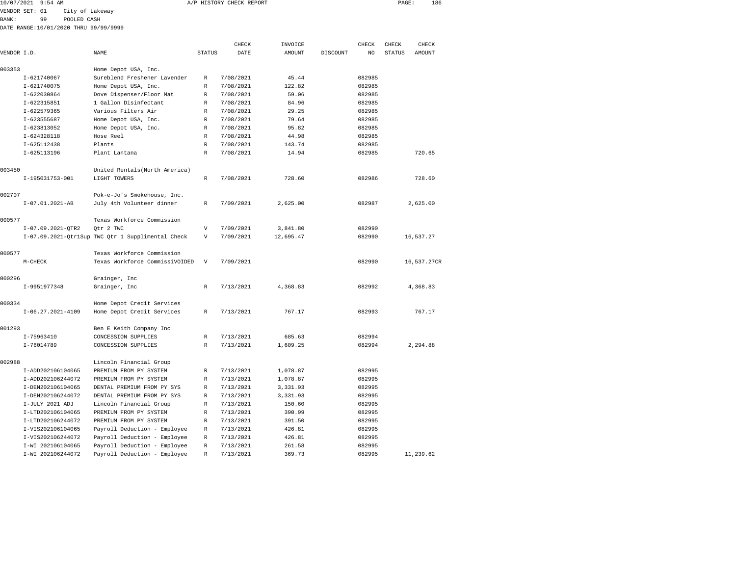|                 |                                                                                                                        |                                                                                                                               |           |               |                          |        |               | 186           |                                                                       |
|-----------------|------------------------------------------------------------------------------------------------------------------------|-------------------------------------------------------------------------------------------------------------------------------|-----------|---------------|--------------------------|--------|---------------|---------------|-----------------------------------------------------------------------|
| VENDOR SET: 01  |                                                                                                                        |                                                                                                                               |           |               |                          |        |               |               |                                                                       |
| 99              |                                                                                                                        |                                                                                                                               |           |               |                          |        |               |               |                                                                       |
|                 |                                                                                                                        |                                                                                                                               |           |               |                          |        |               |               |                                                                       |
|                 |                                                                                                                        |                                                                                                                               | CHECK     | INVOICE       |                          |        |               | CHECK         |                                                                       |
| VENDOR I.D.     | NAME                                                                                                                   | <b>STATUS</b>                                                                                                                 | DATE      | <b>AMOUNT</b> | DISCOUNT                 | NO.    | <b>STATUS</b> | <b>AMOUNT</b> |                                                                       |
|                 | Home Depot USA, Inc.                                                                                                   |                                                                                                                               |           |               |                          |        |               |               |                                                                       |
| I-621740067     | Sureblend Freshener Lavender                                                                                           | R                                                                                                                             | 7/08/2021 | 45.44         |                          | 082985 |               |               |                                                                       |
| $I - 621740075$ | Home Depot USA, Inc.                                                                                                   | R                                                                                                                             | 7/08/2021 | 122.82        |                          | 082985 |               |               |                                                                       |
| I-622030864     | Dove Dispenser/Floor Mat                                                                                               | $\mathbb{R}$                                                                                                                  | 7/08/2021 | 59.06         |                          | 082985 |               |               |                                                                       |
| I-622315851     | 1 Gallon Disinfectant                                                                                                  | $\mathbb{R}$                                                                                                                  | 7/08/2021 | 84.96         |                          | 082985 |               |               |                                                                       |
| $I - 622579365$ | Various Filters Air                                                                                                    | R                                                                                                                             | 7/08/2021 | 29.25         |                          | 082985 |               |               |                                                                       |
| I-623555687     | Home Depot USA, Inc.                                                                                                   | R                                                                                                                             | 7/08/2021 | 79.64         |                          | 082985 |               |               |                                                                       |
| I-623813052     | Home Depot USA, Inc.                                                                                                   | R                                                                                                                             | 7/08/2021 | 95.82         |                          | 082985 |               |               |                                                                       |
| $I-624328118$   | Hose Reel                                                                                                              | $\mathbb{R}$                                                                                                                  | 7/08/2021 | 44.98         |                          | 082985 |               |               |                                                                       |
| I-625112438     | Plants                                                                                                                 | R                                                                                                                             | 7/08/2021 | 143.74        |                          | 082985 |               |               |                                                                       |
| I-625113196     | Plant Lantana                                                                                                          | R                                                                                                                             | 7/08/2021 | 14.94         |                          | 082985 |               | 720.65        |                                                                       |
|                 | United Rentals (North America)                                                                                         |                                                                                                                               |           |               |                          |        |               |               |                                                                       |
|                 | LIGHT TOWERS                                                                                                           | $\mathbb{R}$                                                                                                                  | 7/08/2021 | 728.60        |                          | 082986 |               | 728.60        |                                                                       |
|                 | Pok-e-Jo's Smokehouse, Inc.                                                                                            |                                                                                                                               |           |               |                          |        |               |               |                                                                       |
|                 | July 4th Volunteer dinner                                                                                              | $\mathbb{R}$                                                                                                                  | 7/09/2021 | 2,625.00      |                          | 082987 |               |               |                                                                       |
|                 | Texas Workforce Commission                                                                                             |                                                                                                                               |           |               |                          |        |               |               |                                                                       |
|                 | Otr 2 TWC                                                                                                              | V                                                                                                                             | 7/09/2021 | 3,841.80      |                          | 082990 |               |               |                                                                       |
|                 |                                                                                                                        | V                                                                                                                             | 7/09/2021 | 12,695.47     |                          | 082990 |               |               |                                                                       |
|                 | Texas Workforce Commission                                                                                             |                                                                                                                               |           |               |                          |        |               |               |                                                                       |
| $M-CHECK$       | Texas Workforce CommissiVOIDED                                                                                         | V                                                                                                                             | 7/09/2021 |               |                          | 082990 |               |               |                                                                       |
|                 | Grainger, Inc                                                                                                          |                                                                                                                               |           |               |                          |        |               |               |                                                                       |
|                 | Grainger, Inc                                                                                                          | R                                                                                                                             | 7/13/2021 | 4,368.83      |                          | 082992 |               |               |                                                                       |
|                 | Home Depot Credit Services                                                                                             |                                                                                                                               |           |               |                          |        |               |               |                                                                       |
|                 | Home Depot Credit Services                                                                                             | $\mathbb{R}$                                                                                                                  | 7/13/2021 | 767.17        |                          | 082993 |               | 767.17        |                                                                       |
|                 | Ben E Keith Company Inc                                                                                                |                                                                                                                               |           |               |                          |        |               |               |                                                                       |
| I-75963410      | CONCESSION SUPPLIES                                                                                                    | $\mathbb{R}$                                                                                                                  | 7/13/2021 | 685.63        |                          | 082994 |               |               |                                                                       |
| I-76014789      | CONCESSION SUPPLIES                                                                                                    | R                                                                                                                             | 7/13/2021 | 1,609.25      |                          | 082994 |               |               |                                                                       |
|                 | 10/07/2021 9:54 AM<br>I-195031753-001<br>$I-07.01.2021-AB$<br>I-07.09.2021-OTR2<br>I-9951977348<br>$I-06.27.2021-4109$ | City of Lakeway<br>POOLED CASH<br>DATE RANGE: 10/01/2020 THRU 99/99/9999<br>I-07.09.2021-Qtr1Sup TWC Qtr 1 Supplimental Check |           |               | A/P HISTORY CHECK REPORT |        | CHECK         | CHECK         | PAGE:<br>2,625.00<br>16,537.27<br>16,537.27CR<br>4,368.83<br>2,294.88 |

|        | I-76014789        | CONCESSION SUPPLIES          | R            | 7/13/2021 | 1,609.25 | 082994 | 2,294.88  |
|--------|-------------------|------------------------------|--------------|-----------|----------|--------|-----------|
| 002988 |                   | Lincoln Financial Group      |              |           |          |        |           |
|        | I-ADD202106104065 | PREMIUM FROM PY SYSTEM       | $\mathbb{R}$ | 7/13/2021 | 1,078.87 | 082995 |           |
|        | I-ADD202106244072 | PREMIUM FROM PY SYSTEM       | R            | 7/13/2021 | 1,078.87 | 082995 |           |
|        | I-DEN202106104065 | DENTAL PREMIUM FROM PY SYS   | R            | 7/13/2021 | 3.331.93 | 082995 |           |
|        | I-DEN202106244072 | DENTAL PREMIUM FROM PY SYS   | R            | 7/13/2021 | 3,331.93 | 082995 |           |
|        | I-JULY 2021 ADJ   | Lincoln Financial Group      | R            | 7/13/2021 | 150.60   | 082995 |           |
|        | I-LTD202106104065 | PREMIUM FROM PY SYSTEM       | R            | 7/13/2021 | 390.99   | 082995 |           |
|        | I-LTD202106244072 | PREMIUM FROM PY SYSTEM       | R            | 7/13/2021 | 391.50   | 082995 |           |
|        | I-VIS202106104065 | Payroll Deduction - Employee | R            | 7/13/2021 | 426.81   | 082995 |           |
|        | I-VIS202106244072 | Payroll Deduction - Employee | R            | 7/13/2021 | 426.81   | 082995 |           |
|        | I-WI 202106104065 | Payroll Deduction - Employee | $\mathbb{R}$ | 7/13/2021 | 261.58   | 082995 |           |
|        | I-WI 202106244072 | Payroll Deduction - Employee | R            | 7/13/2021 | 369.73   | 082995 | 11,239.62 |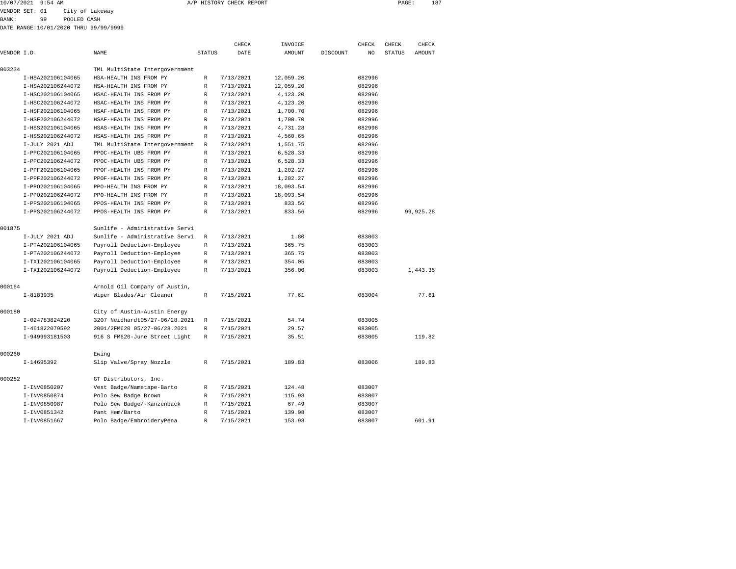| 10/07/2021 9:54 AM               |                   | A/P HISTORY CHECK REPORT | PAGE: | 187 |
|----------------------------------|-------------------|--------------------------|-------|-----|
| $mnm \wedge n$ $nm$ , $\wedge$ 1 | Adam of tobalists |                          |       |     |

VENDOR SET: 01 City of Lakeway

BANK: 99 POOLED CASH

DATE RANGE:10/01/2020 THRU 99/99/9999

|             |                   |                                |               | CHECK     | INVOICE       |          | CHECK  | CHECK         | CHECK         |
|-------------|-------------------|--------------------------------|---------------|-----------|---------------|----------|--------|---------------|---------------|
| VENDOR I.D. |                   | <b>NAME</b>                    | <b>STATUS</b> | DATE      | <b>AMOUNT</b> | DISCOUNT | NO.    | <b>STATUS</b> | <b>AMOUNT</b> |
| 003234      |                   | TML MultiState Intergovernment |               |           |               |          |        |               |               |
|             | I-HSA202106104065 | HSA-HEALTH INS FROM PY         | R             | 7/13/2021 | 12,059.20     |          | 082996 |               |               |
|             | I-HSA202106244072 | HSA-HEALTH INS FROM PY         | R             | 7/13/2021 | 12,059.20     |          | 082996 |               |               |
|             | I-HSC202106104065 | HSAC-HEALTH INS FROM PY        | R             | 7/13/2021 | 4,123.20      |          | 082996 |               |               |
|             | I-HSC202106244072 | HSAC-HEALTH INS FROM PY        | R             | 7/13/2021 | 4,123.20      |          | 082996 |               |               |
|             | I-HSF202106104065 | HSAF-HEALTH INS FROM PY        | R             | 7/13/2021 | 1,700.70      |          | 082996 |               |               |
|             | I-HSF202106244072 | HSAF-HEALTH INS FROM PY        | R             | 7/13/2021 | 1,700.70      |          | 082996 |               |               |
|             | I-HSS202106104065 | HSAS-HEALTH INS FROM PY        | R             | 7/13/2021 | 4,731.28      |          | 082996 |               |               |
|             | I-HSS202106244072 | HSAS-HEALTH INS FROM PY        | R             | 7/13/2021 | 4,560.65      |          | 082996 |               |               |
|             | I-JULY 2021 ADJ   | TML MultiState Intergovernment | R             | 7/13/2021 | 1,551.75      |          | 082996 |               |               |
|             | I-PPC202106104065 | PPOC-HEALTH UBS FROM PY        | R             | 7/13/2021 | 6,528.33      |          | 082996 |               |               |
|             | I-PPC202106244072 | PPOC-HEALTH UBS FROM PY        | R             | 7/13/2021 | 6,528.33      |          | 082996 |               |               |
|             | I-PPF202106104065 | PPOF-HEALTH INS FROM PY        | R             | 7/13/2021 | 1,202.27      |          | 082996 |               |               |
|             | I-PPF202106244072 | PPOF-HEALTH INS FROM PY        | R             | 7/13/2021 | 1,202.27      |          | 082996 |               |               |
|             | I-PP0202106104065 | PPO-HEALTH INS FROM PY         | R             | 7/13/2021 | 18,093.54     |          | 082996 |               |               |
|             | I-PP0202106244072 | PPO-HEALTH INS FROM PY         | R             | 7/13/2021 | 18,093.54     |          | 082996 |               |               |
|             | I-PPS202106104065 | PPOS-HEALTH INS FROM PY        | R             | 7/13/2021 | 833.56        |          | 082996 |               |               |
|             | I-PPS202106244072 | PPOS-HEALTH INS FROM PY        | R             | 7/13/2021 | 833.56        |          | 082996 |               | 99,925.28     |
| 001875      |                   | Sunlife - Administrative Servi |               |           |               |          |        |               |               |
|             | I-JULY 2021 ADJ   | Sunlife - Administrative Servi | R             | 7/13/2021 | 1.80          |          | 083003 |               |               |
|             | I-PTA202106104065 | Payroll Deduction-Employee     | R             | 7/13/2021 | 365.75        |          | 083003 |               |               |
|             | I-PTA202106244072 | Payroll Deduction-Employee     | R             | 7/13/2021 | 365.75        |          | 083003 |               |               |
|             | I-TXI202106104065 | Payroll Deduction-Employee     | R             | 7/13/2021 | 354.05        |          | 083003 |               |               |
|             | I-TXI202106244072 | Payroll Deduction-Employee     | R             | 7/13/2021 | 356.00        |          | 083003 |               | 1,443.35      |
| 000164      |                   | Arnold Oil Company of Austin,  |               |           |               |          |        |               |               |
|             | $I-8183935$       | Wiper Blades/Air Cleaner       | R             | 7/15/2021 | 77.61         |          | 083004 |               | 77.61         |
| 000180      |                   | City of Austin-Austin Energy   |               |           |               |          |        |               |               |
|             | I-024783824220    | 3207 Neidhardt05/27-06/28.2021 | R             | 7/15/2021 | 54.74         |          | 083005 |               |               |
|             | I-461822079592    | 2001/2FM620 05/27-06/28.2021   | R             | 7/15/2021 | 29.57         |          | 083005 |               |               |
|             | I-949993181503    | 916 S FM620-June Street Light  | R             | 7/15/2021 | 35.51         |          | 083005 |               | 119.82        |
| 000260      |                   | Ewing                          |               |           |               |          |        |               |               |
|             | I-14695392        | Slip Valve/Spray Nozzle        | R             | 7/15/2021 | 189.83        |          | 083006 |               | 189.83        |
| 000282      |                   | GT Distributors, Inc.          |               |           |               |          |        |               |               |
|             | I-INV0850207      | Vest Badge/Nametape-Barto      | R             | 7/15/2021 | 124.48        |          | 083007 |               |               |
|             | I-INV0850874      | Polo Sew Badge Brown           | R             | 7/15/2021 | 115.98        |          | 083007 |               |               |
|             | I-INV0850987      | Polo Sew Badge/-Kanzenback     | R             | 7/15/2021 | 67.49         |          | 083007 |               |               |
|             | I-INV0851342      | Pant Hem/Barto                 | R             | 7/15/2021 | 139.98        |          | 083007 |               |               |
|             | I-INV0851667      | Polo Badge/EmbroideryPena      | $\mathbb{R}$  | 7/15/2021 | 153.98        |          | 083007 |               | 601.91        |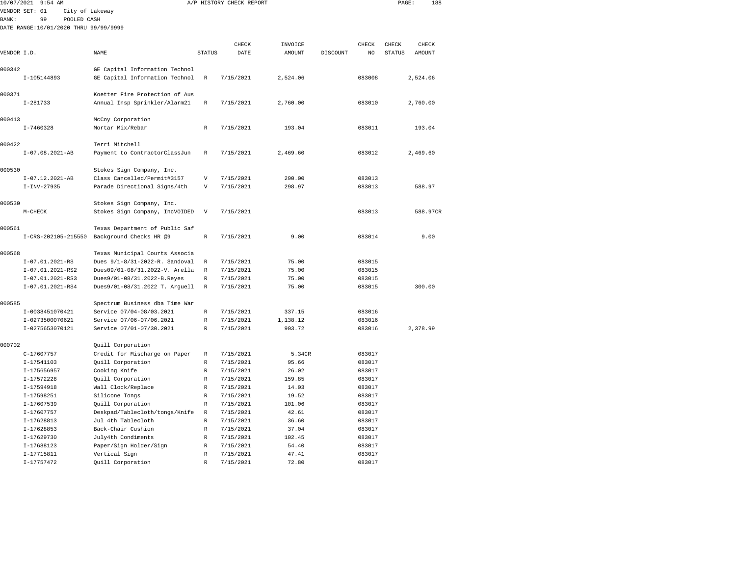|              | 10/07/2021 9:54 AM                    |                                                               |                            | A/P HISTORY CHECK REPORT |                |          |                  | PAGE:         | 188      |  |
|--------------|---------------------------------------|---------------------------------------------------------------|----------------------------|--------------------------|----------------|----------|------------------|---------------|----------|--|
|              | VENDOR SET: 01<br>City of Lakeway     |                                                               |                            |                          |                |          |                  |               |          |  |
| <b>BANK:</b> | POOLED CASH<br>99                     |                                                               |                            |                          |                |          |                  |               |          |  |
|              | DATE RANGE:10/01/2020 THRU 99/99/9999 |                                                               |                            |                          |                |          |                  |               |          |  |
|              |                                       |                                                               |                            |                          |                |          |                  |               |          |  |
|              |                                       |                                                               |                            | CHECK                    | INVOICE        |          | CHECK            | CHECK         | CHECK    |  |
| VENDOR I.D.  |                                       | NAME                                                          | <b>STATUS</b>              | DATE                     | AMOUNT         | DISCOUNT | NO               | <b>STATUS</b> | AMOUNT   |  |
|              |                                       |                                                               |                            |                          |                |          |                  |               |          |  |
| 000342       |                                       | GE Capital Information Technol                                |                            |                          |                |          |                  |               |          |  |
|              | I-105144893                           | GE Capital Information Technol                                | $\mathbb R$                | 7/15/2021                | 2,524.06       |          | 083008           |               | 2,524.06 |  |
|              |                                       |                                                               |                            |                          |                |          |                  |               |          |  |
| 000371       |                                       | Koetter Fire Protection of Aus                                |                            |                          |                |          |                  |               |          |  |
|              | $I-281733$                            | Annual Insp Sprinkler/Alarm21                                 | $\mathbb R$                | 7/15/2021                | 2,760.00       |          | 083010           |               | 2,760.00 |  |
| 000413       |                                       |                                                               |                            |                          |                |          |                  |               |          |  |
|              | $I - 7460328$                         | McCoy Corporation                                             | $\mathbb R$                | 7/15/2021                |                |          | 083011           |               |          |  |
|              |                                       | Mortar Mix/Rebar                                              |                            |                          | 193.04         |          |                  |               | 193.04   |  |
| 000422       |                                       | Terri Mitchell                                                |                            |                          |                |          |                  |               |          |  |
|              | $I-07.08.2021-AB$                     | Payment to ContractorClassJun                                 | R                          | 7/15/2021                | 2,469.60       |          | 083012           |               | 2,469.60 |  |
|              |                                       |                                                               |                            |                          |                |          |                  |               |          |  |
| 000530       |                                       | Stokes Sign Company, Inc.                                     |                            |                          |                |          |                  |               |          |  |
|              | $I-07.12.2021-AB$                     | Class Cancelled/Permit#3157                                   | $\overline{V}$             | 7/15/2021                | 290.00         |          | 083013           |               |          |  |
|              | $I-INV-27935$                         | Parade Directional Signs/4th                                  | V                          | 7/15/2021                | 298.97         |          | 083013           |               | 588.97   |  |
|              |                                       |                                                               |                            |                          |                |          |                  |               |          |  |
| 000530       |                                       | Stokes Sign Company, Inc.                                     |                            |                          |                |          |                  |               |          |  |
|              | M-CHECK                               | Stokes Sign Company, IncVOIDED                                | V                          | 7/15/2021                |                |          | 083013           |               | 588.97CR |  |
|              |                                       |                                                               |                            |                          |                |          |                  |               |          |  |
| 000561       |                                       | Texas Department of Public Saf                                |                            |                          |                |          |                  |               |          |  |
|              | I-CRS-202105-215550                   | Background Checks HR @9                                       | $\mathbb R$                | 7/15/2021                | 9.00           |          | 083014           |               | 9.00     |  |
|              |                                       |                                                               |                            |                          |                |          |                  |               |          |  |
| 000568       |                                       | Texas Municipal Courts Associa                                |                            |                          |                |          |                  |               |          |  |
|              | I-07.01.2021-RS                       | Dues 9/1-8/31-2022-R. Sandoval                                | R<br>$\mathbb{R}$          | 7/15/2021                | 75.00          |          | 083015           |               |          |  |
|              | I-07.01.2021-RS2<br>I-07.01.2021-RS3  | Dues09/01-08/31.2022-V. Arella                                | $\mathbb R$                | 7/15/2021<br>7/15/2021   | 75.00<br>75.00 |          | 083015<br>083015 |               |          |  |
|              | I-07.01.2021-RS4                      | Dues9/01-08/31.2022-B.Reyes<br>Dues9/01-08/31.2022 T. Arguell | $\mathbb R$                | 7/15/2021                | 75.00          |          | 083015           |               | 300.00   |  |
|              |                                       |                                                               |                            |                          |                |          |                  |               |          |  |
| 000585       |                                       | Spectrum Business dba Time War                                |                            |                          |                |          |                  |               |          |  |
|              | I-0038451070421                       | Service 07/04-08/03.2021                                      | $\mathbb R$                | 7/15/2021                | 337.15         |          | 083016           |               |          |  |
|              | I-0273500070621                       | Service 07/06-07/06.2021                                      | $\mathbb R$                | 7/15/2021                | 1,138.12       |          | 083016           |               |          |  |
|              | I-0275653070121                       | Service 07/01-07/30.2021                                      | $\mathbb R$                | 7/15/2021                | 903.72         |          | 083016           |               | 2,378.99 |  |
|              |                                       |                                                               |                            |                          |                |          |                  |               |          |  |
| 000702       |                                       | Quill Corporation                                             |                            |                          |                |          |                  |               |          |  |
|              | C-17607757                            | Credit for Mischarge on Paper                                 | $\mathbb R$                | 7/15/2021                | 5.34CR         |          | 083017           |               |          |  |
|              | I-17541103                            | Quill Corporation                                             | $\mathbb R$                | 7/15/2021                | 95.66          |          | 083017           |               |          |  |
|              | I-175656957                           | Cooking Knife                                                 | $\mathbb R$                | 7/15/2021                | 26.02          |          | 083017           |               |          |  |
|              | I-17572228                            | Quill Corporation                                             | $\mathbb R$                | 7/15/2021                | 159.85         |          | 083017           |               |          |  |
|              | $I-17594918$                          | Wall Clock/Replace                                            | $\mathbb{R}$               | 7/15/2021                | 14.03          |          | 083017           |               |          |  |
|              | I-17598251                            | Silicone Tongs                                                | $\mathbb R$                | 7/15/2021                | 19.52          |          | 083017           |               |          |  |
|              | I-17607539                            | Quill Corporation                                             | $\mathbb R$                | 7/15/2021                | 101.06         |          | 083017           |               |          |  |
|              | I-17607757                            | Deskpad/Tablecloth/tongs/Knife                                | R                          | 7/15/2021                | 42.61          |          | 083017           |               |          |  |
|              | I-17628813                            | Jul 4th Tablecloth                                            | $\mathbb R$                | 7/15/2021                | 36.60          |          | 083017           |               |          |  |
|              | $I-17628853$                          | Back-Chair Cushion                                            | $\mathbb R$                | 7/15/2021                | 37.04          |          | 083017           |               |          |  |
|              | I-17629730                            | July4th Condiments                                            | $\mathbb R$                | 7/15/2021                | 102.45         |          | 083017           |               |          |  |
|              | I-17688123                            | Paper/Sign Holder/Sign                                        | R                          | 7/15/2021                | 54.40          |          | 083017           |               |          |  |
|              | I-17715811<br>I-17757472              | Vertical Sign<br>Quill Corporation                            | $\mathbb R$<br>$\mathbb R$ | 7/15/2021<br>7/15/2021   | 47.41<br>72.80 |          | 083017<br>083017 |               |          |  |
|              |                                       |                                                               |                            |                          |                |          |                  |               |          |  |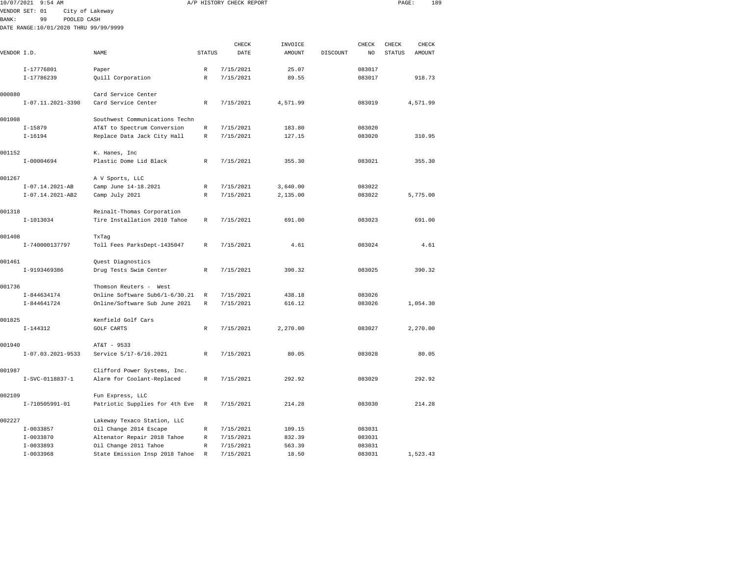| 10/07/2021   | $9:54$ AM                             |                                            |               | A/P HISTORY CHECK REPORT |               |          |        | PAGE:         | 189      |  |
|--------------|---------------------------------------|--------------------------------------------|---------------|--------------------------|---------------|----------|--------|---------------|----------|--|
|              | VENDOR SET: 01                        | City of Lakeway                            |               |                          |               |          |        |               |          |  |
| <b>BANK:</b> | 99<br>POOLED CASH                     |                                            |               |                          |               |          |        |               |          |  |
|              | DATE RANGE:10/01/2020 THRU 99/99/9999 |                                            |               |                          |               |          |        |               |          |  |
|              |                                       |                                            |               | CHECK                    | INVOICE       |          | CHECK  | CHECK         | CHECK    |  |
| VENDOR I.D.  |                                       | <b>NAME</b>                                | <b>STATUS</b> | DATE                     | <b>AMOUNT</b> | DISCOUNT | NO     | <b>STATUS</b> | AMOUNT   |  |
|              |                                       |                                            |               |                          |               |          |        |               |          |  |
|              | I-17776801                            | Paper                                      | R             | 7/15/2021                | 25.07         |          | 083017 |               |          |  |
|              | I-17786239                            | Quill Corporation                          | R             | 7/15/2021                | 89.55         |          | 083017 |               | 918.73   |  |
| 000880       |                                       |                                            |               |                          |               |          |        |               |          |  |
|              | I-07.11.2021-3390                     | Card Service Center<br>Card Service Center | R             | 7/15/2021                | 4,571.99      |          | 083019 |               | 4,571.99 |  |
|              |                                       |                                            |               |                          |               |          |        |               |          |  |
| 001008       |                                       | Southwest Communications Techn             |               |                          |               |          |        |               |          |  |
|              | $I-15879$                             | AT&T to Spectrum Conversion                | R             | 7/15/2021                | 183.80        |          | 083020 |               |          |  |
|              | $I-16194$                             | Replace Data Jack City Hall                | R             | 7/15/2021                | 127.15        |          | 083020 |               | 310.95   |  |
| 001152       |                                       | K. Hanes, Inc                              |               |                          |               |          |        |               |          |  |
|              | I-00004694                            | Plastic Dome Lid Black                     | R             | 7/15/2021                | 355.30        |          | 083021 |               | 355.30   |  |
|              |                                       |                                            |               |                          |               |          |        |               |          |  |
| 001267       |                                       | A V Sports, LLC                            |               |                          |               |          |        |               |          |  |
|              | $I-07.14.2021-AB$                     | Camp June 14-18.2021                       | R             | 7/15/2021                | 3,640.00      |          | 083022 |               |          |  |
|              | I-07.14.2021-AB2                      | Camp July 2021                             | R             | 7/15/2021                | 2,135.00      |          | 083022 |               | 5,775.00 |  |
| 001318       |                                       | Reinalt-Thomas Corporation                 |               |                          |               |          |        |               |          |  |
|              | $I-1013034$                           | Tire Installation 2010 Tahoe               | R             | 7/15/2021                | 691.00        |          | 083023 |               | 691.00   |  |
|              |                                       |                                            |               |                          |               |          |        |               |          |  |
| 001408       |                                       | TxTag                                      |               |                          |               |          |        |               |          |  |
|              | I-740000137797                        | Toll Fees ParksDept-1435047                | $\mathbb{R}$  | 7/15/2021                | 4.61          |          | 083024 |               | 4.61     |  |
| 001461       |                                       | Quest Diagnostics                          |               |                          |               |          |        |               |          |  |
|              | I-9193469386                          | Drug Tests Swim Center                     | R             | 7/15/2021                | 390.32        |          | 083025 |               | 390.32   |  |
|              |                                       |                                            |               |                          |               |          |        |               |          |  |
| 001736       |                                       | Thomson Reuters - West                     |               |                          |               |          |        |               |          |  |
|              | I-844634174                           | Online Software Sub6/1-6/30.21             | R             | 7/15/2021                | 438.18        |          | 083026 |               |          |  |
|              | I-844641724                           | Online/Software Sub June 2021              | R             | 7/15/2021                | 616.12        |          | 083026 |               | 1,054.30 |  |
| 001825       |                                       | Kenfield Golf Cars                         |               |                          |               |          |        |               |          |  |
|              | $I - 144312$                          | <b>GOLF CARTS</b>                          | R             | 7/15/2021                | 2,270.00      |          | 083027 |               | 2,270.00 |  |
|              |                                       |                                            |               |                          |               |          |        |               |          |  |
| 001940       |                                       | AT&T - 9533                                |               |                          |               |          |        |               |          |  |
|              | $I-07.03.2021-9533$                   | Service 5/17-6/16.2021                     | R             | 7/15/2021                | 80.05         |          | 083028 |               | 80.05    |  |
| 001987       |                                       | Clifford Power Systems, Inc.               |               |                          |               |          |        |               |          |  |
|              | I-SVC-0118837-1                       | Alarm for Coolant-Replaced                 | R             | 7/15/2021                | 292.92        |          | 083029 |               | 292.92   |  |
|              |                                       |                                            |               |                          |               |          |        |               |          |  |
| 002109       |                                       | Fun Express, LLC                           |               |                          |               |          |        |               |          |  |

I-710505991-01 Patriotic Supplies for 4th Eve R 7/15/2021 214.28 083030 214.28

I-0033968 State Emission Insp 2018 Tahoe R 7/15/2021 18.50 083031 1,523.43

 I-0033857 Oil Change 2014 Escape R 7/15/2021 109.15 083031 I-0033870 Altenator Repair 2018 Tahoe R 7/15/2021 832.39 083031 I-0033893 Oil Change 2011 Tahoe R 7/15/2021 563.39 083031

002227 Lakeway Texaco Station, LLC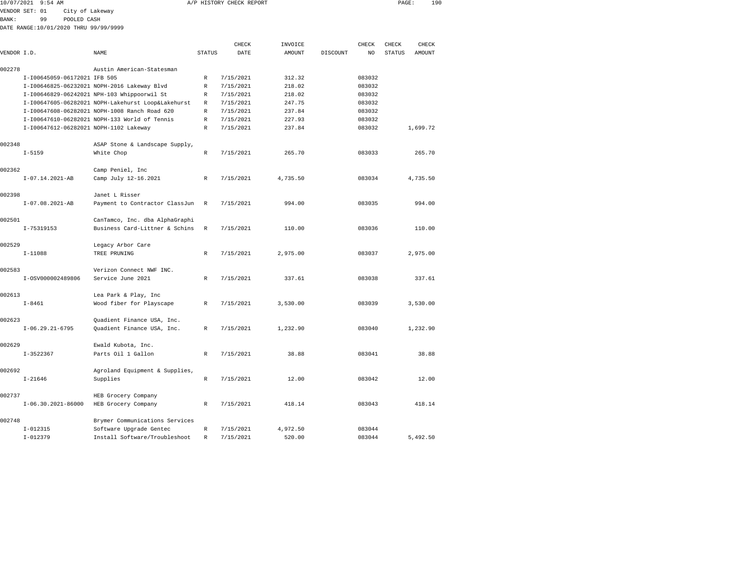|                |             | 10/07/2021 9:54 AM           |             |                                                    |               | A/P HISTORY CHECK REPORT |               |          |                | PAGE:         | 190           |  |
|----------------|-------------|------------------------------|-------------|----------------------------------------------------|---------------|--------------------------|---------------|----------|----------------|---------------|---------------|--|
| VENDOR SET: 01 |             |                              |             | City of Lakeway                                    |               |                          |               |          |                |               |               |  |
| BANK:          |             | 99                           | POOLED CASH |                                                    |               |                          |               |          |                |               |               |  |
|                |             |                              |             | DATE RANGE:10/01/2020 THRU 99/99/9999              |               |                          |               |          |                |               |               |  |
|                |             |                              |             |                                                    |               | CHECK                    | INVOICE       |          | CHECK          | CHECK         | CHECK         |  |
| VENDOR I.D.    |             |                              |             | <b>NAME</b>                                        | <b>STATUS</b> | DATE                     | <b>AMOUNT</b> | DISCOUNT | N <sub>O</sub> | <b>STATUS</b> | <b>AMOUNT</b> |  |
| 002278         |             |                              |             | Austin American-Statesman                          |               |                          |               |          |                |               |               |  |
|                |             | I-I00645059-06172021 IFB 505 |             |                                                    | $\mathbb{R}$  | 7/15/2021                | 312.32        |          | 083032         |               |               |  |
|                |             |                              |             | I-I00646825-06232021 NOPH-2016 Lakeway Blvd        | $\mathbb{R}$  | 7/15/2021                | 218.02        |          | 083032         |               |               |  |
|                |             |                              |             | I-I00646829-06242021 NPH-103 Whippoorwil St        | R             | 7/15/2021                | 218.02        |          | 083032         |               |               |  |
|                |             |                              |             | I-I00647605-06282021 NOPH-Lakehurst Loop&Lakehurst | R             | 7/15/2021                | 247.75        |          | 083032         |               |               |  |
|                |             |                              |             | I-I00647608-06282021 NOPH-1008 Ranch Road 620      | $\mathbb{R}$  | 7/15/2021                | 237.84        |          | 083032         |               |               |  |
|                |             |                              |             | I-I00647610-06282021 NOPH-133 World of Tennis      | $\mathbb{R}$  | 7/15/2021                | 227.93        |          | 083032         |               |               |  |
|                |             |                              |             | I-I00647612-06282021 NOPH-1102 Lakeway             | $\mathbb{R}$  | 7/15/2021                | 237.84        |          | 083032         |               | 1,699.72      |  |
| 002348         |             |                              |             | ASAP Stone & Landscape Supply,                     |               |                          |               |          |                |               |               |  |
|                | $I - 5159$  |                              |             | White Chop                                         | R             | 7/15/2021                | 265.70        |          | 083033         |               | 265.70        |  |
| 002362         |             |                              |             | Camp Peniel, Inc                                   |               |                          |               |          |                |               |               |  |
|                |             | $I-07.14.2021-AB$            |             | Camp July 12-16.2021                               | $\mathbb{R}$  | 7/15/2021                | 4,735.50      |          | 083034         |               | 4,735.50      |  |
| 002398         |             |                              |             | Janet L Risser                                     |               |                          |               |          |                |               |               |  |
|                |             | $I-07.08.2021-AB$            |             | Payment to Contractor ClassJun                     | $\mathbb{R}$  | 7/15/2021                | 994.00        |          | 083035         |               | 994.00        |  |
| 002501         |             |                              |             | CanTamco, Inc. dba AlphaGraphi                     |               |                          |               |          |                |               |               |  |
|                | I-75319153  |                              |             | Business Card-Littner & Schins                     | R             | 7/15/2021                | 110.00        |          | 083036         |               | 110.00        |  |
| 002529         |             |                              |             | Legacy Arbor Care                                  |               |                          |               |          |                |               |               |  |
|                | $I-11088$   |                              |             | TREE PRUNING                                       | $\mathbb{R}$  | 7/15/2021                | 2,975.00      |          | 083037         |               | 2,975.00      |  |
| 002583         |             |                              |             | Verizon Connect NWF INC.                           |               |                          |               |          |                |               |               |  |
|                |             | I-0SV000002489806            |             | Service June 2021                                  | $\mathbb{R}$  | 7/15/2021                | 337.61        |          | 083038         |               | 337.61        |  |
| 002613         |             |                              |             | Lea Park & Play, Inc                               |               |                          |               |          |                |               |               |  |
|                | $I - 8461$  |                              |             | Wood fiber for Playscape                           | R             | 7/15/2021                | 3,530.00      |          | 083039         |               | 3,530.00      |  |
| 002623         |             |                              |             | Quadient Finance USA, Inc.                         |               |                          |               |          |                |               |               |  |
|                |             | $I-06.29.21-6795$            |             | Quadient Finance USA, Inc.                         | $\mathbb{R}$  | 7/15/2021                | 1,232.90      |          | 083040         |               | 1,232.90      |  |
| 002629         |             |                              |             | Ewald Kubota, Inc.                                 |               |                          |               |          |                |               |               |  |
|                | $I-3522367$ |                              |             | Parts Oil 1 Gallon                                 | $\mathbb{R}$  | 7/15/2021                | 38.88         |          | 083041         |               | 38.88         |  |

|        | $I - 8461$         | Wood fiber for Playscape                                 | $\mathbb{R}$ | 7/15/2021 | 3,530.00 | 083039 | 3,530.00 |
|--------|--------------------|----------------------------------------------------------|--------------|-----------|----------|--------|----------|
| 002623 | $I-06.29.21-6795$  | Quadient Finance USA, Inc.<br>Quadient Finance USA, Inc. | $\mathbb{R}$ | 7/15/2021 | 1,232.90 | 083040 | 1,232.90 |
| 002629 |                    | Ewald Kubota, Inc.                                       |              |           |          |        |          |
|        | $I-3522367$        | Parts Oil 1 Gallon                                       | $\mathbb{R}$ | 7/15/2021 | 38.88    | 083041 | 38.88    |
| 002692 |                    | Agroland Equipment & Supplies,                           |              |           |          |        |          |
|        | $I - 21646$        | Supplies                                                 | R            | 7/15/2021 | 12.00    | 083042 | 12.00    |
| 002737 |                    | HEB Grocery Company                                      |              |           |          |        |          |
|        | I-06.30.2021-86000 | HEB Grocery Company                                      | R            | 7/15/2021 | 418.14   | 083043 | 418.14   |
| 002748 |                    | Brymer Communications Services                           |              |           |          |        |          |
|        | $I-012315$         | Software Upgrade Gentec                                  | R            | 7/15/2021 | 4,972.50 | 083044 |          |
|        | $I-012379$         | Install Software/Troubleshoot                            | R            | 7/15/2021 | 520.00   | 083044 | 5,492.50 |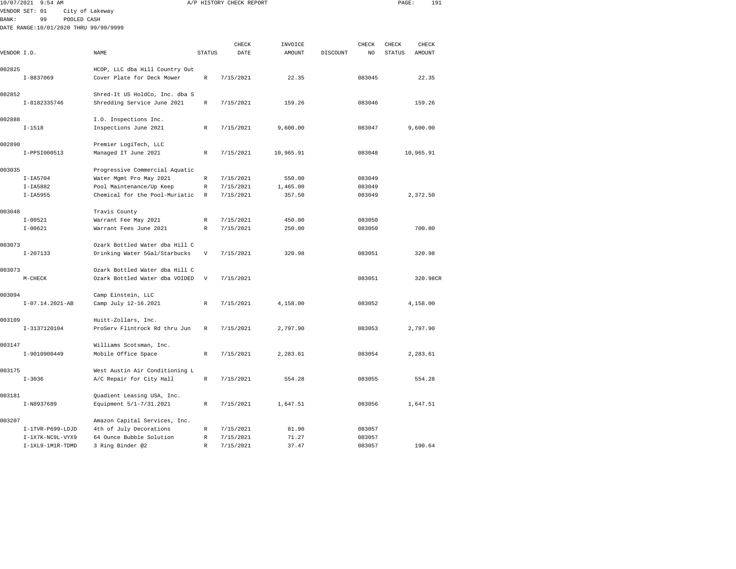| 10/07/2021  | $9:54$ AM                             |                                                       |                           | A/P HISTORY CHECK REPORT |           |          |        | PAGE:         | 191       |
|-------------|---------------------------------------|-------------------------------------------------------|---------------------------|--------------------------|-----------|----------|--------|---------------|-----------|
|             | VENDOR SET: 01                        | City of Lakeway                                       |                           |                          |           |          |        |               |           |
| BANK:       | 99<br>POOLED CASH                     |                                                       |                           |                          |           |          |        |               |           |
|             | DATE RANGE:10/01/2020 THRU 99/99/9999 |                                                       |                           |                          |           |          |        |               |           |
|             |                                       |                                                       |                           |                          |           |          |        |               |           |
|             |                                       |                                                       |                           | CHECK                    | INVOICE   |          | CHECK  | CHECK         | CHECK     |
| VENDOR I.D. |                                       | <b>NAME</b>                                           | <b>STATUS</b>             | DATE                     | AMOUNT    | DISCOUNT | NO     | <b>STATUS</b> | AMOUNT    |
|             |                                       |                                                       |                           |                          |           |          |        |               |           |
| 002825      |                                       | HCOP, LLC dba Hill Country Out                        |                           |                          |           |          |        |               |           |
|             | $I - 8837069$                         | Cover Plate for Deck Mower                            | $\mathbb R$               | 7/15/2021                | 22.35     |          | 083045 |               | 22.35     |
| 002852      |                                       | Shred-It US HoldCo, Inc. dba S                        |                           |                          |           |          |        |               |           |
|             | I-8182335746                          | Shredding Service June 2021                           | $\mathbb R$               | 7/15/2021                | 159.26    |          | 083046 |               | 159.26    |
|             |                                       |                                                       |                           |                          |           |          |        |               |           |
| 002888      |                                       | I.O. Inspections Inc.                                 |                           |                          |           |          |        |               |           |
|             | $I - 1518$                            | Inspections June 2021                                 | R                         | 7/15/2021                | 9,600.00  |          | 083047 |               | 9,600.00  |
|             |                                       |                                                       |                           |                          |           |          |        |               |           |
| 002890      |                                       | Premier LogiTech, LLC                                 |                           |                          |           |          |        |               |           |
|             | I-PPSI000513                          | Managed IT June 2021                                  | R                         | 7/15/2021                | 10,965.91 |          | 083048 |               | 10,965.91 |
|             |                                       |                                                       |                           |                          |           |          |        |               |           |
| 003035      |                                       | Progressive Commercial Aquatic                        |                           |                          |           |          |        |               |           |
|             | $I-IA5704$                            | Water Mgmt Pro May 2021                               | R                         | 7/15/2021                | 550.00    |          | 083049 |               |           |
|             | $I-IA5882$                            | Pool Maintenance/Up Keep                              | R                         | 7/15/2021                | 1,465.00  |          | 083049 |               |           |
|             | $I-IA5955$                            | Chemical for the Pool-Muriatic                        | R                         | 7/15/2021                | 357.50    |          | 083049 |               | 2,372.50  |
| 003048      |                                       | Travis County                                         |                           |                          |           |          |        |               |           |
|             | $I - 00521$                           | Warrant Fee May 2021                                  | R                         | 7/15/2021                | 450.00    |          | 083050 |               |           |
|             | $I - 00621$                           | Warrant Fees June 2021                                | $\mathbb R$               | 7/15/2021                | 250.00    |          | 083050 |               | 700.00    |
|             |                                       |                                                       |                           |                          |           |          |        |               |           |
| 003073      |                                       | Ozark Bottled Water dba Hill C                        |                           |                          |           |          |        |               |           |
|             | $I - 207133$                          | Drinking Water 5Gal/Starbucks                         | $\mathbf{V}$              | 7/15/2021                | 320.98    |          | 083051 |               | 320.98    |
|             |                                       |                                                       |                           |                          |           |          |        |               |           |
| 003073      |                                       | Ozark Bottled Water dba Hill C                        |                           |                          |           |          |        |               |           |
|             | $M-CHECK$                             | Ozark Bottled Water dba VOIDED                        | $\boldsymbol{\mathrm{V}}$ | 7/15/2021                |           |          | 083051 |               | 320.98CR  |
|             |                                       |                                                       |                           |                          |           |          |        |               |           |
| 003094      | $I-07.14.2021-AB$                     | Camp Einstein, LLC<br>Camp July 12-16.2021            | $\mathbb{R}$              | 7/15/2021                | 4,158.00  |          | 083052 |               | 4,158.00  |
|             |                                       |                                                       |                           |                          |           |          |        |               |           |
| 003109      |                                       | Huitt-Zollars, Inc.                                   |                           |                          |           |          |        |               |           |
|             | I-3137120104                          | ProServ Flintrock Rd thru Jun                         | R                         | 7/15/2021                | 2,797.90  |          | 083053 |               | 2,797.90  |
|             |                                       |                                                       |                           |                          |           |          |        |               |           |
| 003147      |                                       | Williams Scotsman, Inc.                               |                           |                          |           |          |        |               |           |
|             | I-9010900449                          | Mobile Office Space                                   | $\mathbb R$               | 7/15/2021                | 2,283.61  |          | 083054 |               | 2,283.61  |
|             |                                       |                                                       |                           |                          |           |          |        |               |           |
| 003175      |                                       | West Austin Air Conditioning L                        |                           |                          |           |          |        |               |           |
|             | $I - 3036$                            | A/C Repair for City Hall                              | $\mathbb{R}$              | 7/15/2021                | 554.28    |          | 083055 |               | 554.28    |
|             |                                       |                                                       |                           |                          |           |          |        |               |           |
| 003181      | I-N8937689                            | Quadient Leasing USA, Inc.<br>Equipment 5/1-7/31.2021 | R                         | 7/15/2021                | 1,647.51  |          | 083056 |               | 1,647.51  |
|             |                                       |                                                       |                           |                          |           |          |        |               |           |
| 003207      |                                       | Amazon Capital Services, Inc.                         |                           |                          |           |          |        |               |           |
|             | I-1TVR-P699-LDJD                      | 4th of July Decorations                               | R                         | 7/15/2021                | 81.90     |          | 083057 |               |           |

I-1XL9-1M1R-TDMD 3 Ring Binder @2 R 7/15/2021 37.47 083057 190.64

083057

 $I-1X7K-NC9L-VYX9$  64 Ounce Bubble Solution  $R$  7/15/2021 71.27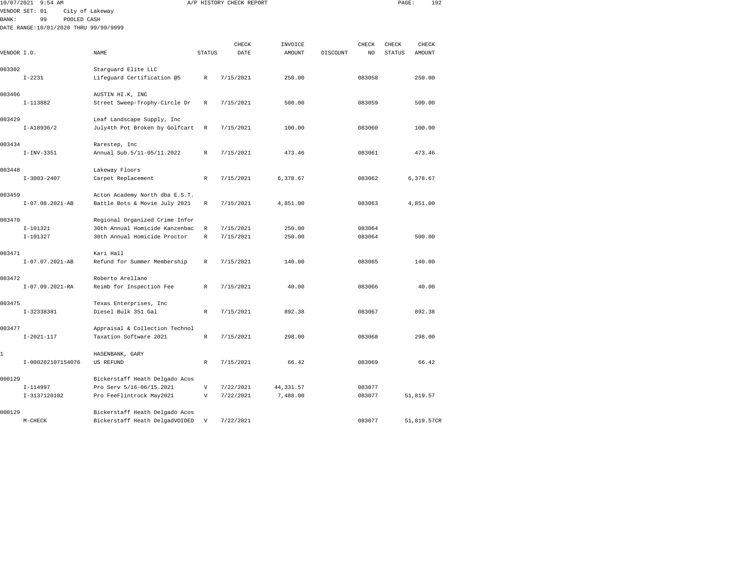| VENDOR SET: 01<br>City of Lakeway<br>99<br>POOLED CASH |                                                                                                                                                                                                                                                                            |                                                                                                                                                                                |                                                                                                                                                                                                                                                   |                                                                                         |                                                            |        |                                                         |           |
|--------------------------------------------------------|----------------------------------------------------------------------------------------------------------------------------------------------------------------------------------------------------------------------------------------------------------------------------|--------------------------------------------------------------------------------------------------------------------------------------------------------------------------------|---------------------------------------------------------------------------------------------------------------------------------------------------------------------------------------------------------------------------------------------------|-----------------------------------------------------------------------------------------|------------------------------------------------------------|--------|---------------------------------------------------------|-----------|
|                                                        |                                                                                                                                                                                                                                                                            |                                                                                                                                                                                |                                                                                                                                                                                                                                                   |                                                                                         |                                                            |        |                                                         |           |
|                                                        |                                                                                                                                                                                                                                                                            |                                                                                                                                                                                |                                                                                                                                                                                                                                                   |                                                                                         |                                                            |        |                                                         |           |
|                                                        |                                                                                                                                                                                                                                                                            |                                                                                                                                                                                |                                                                                                                                                                                                                                                   |                                                                                         |                                                            |        |                                                         |           |
|                                                        |                                                                                                                                                                                                                                                                            |                                                                                                                                                                                |                                                                                                                                                                                                                                                   |                                                                                         |                                                            |        |                                                         | CHECK     |
|                                                        | NAME                                                                                                                                                                                                                                                                       |                                                                                                                                                                                | DATE                                                                                                                                                                                                                                              | <b>AMOUNT</b>                                                                           | DISCOUNT                                                   | NO.    | <b>STATUS</b>                                           | AMOUNT    |
|                                                        | Starguard Elite LLC                                                                                                                                                                                                                                                        |                                                                                                                                                                                |                                                                                                                                                                                                                                                   |                                                                                         |                                                            |        |                                                         |           |
|                                                        | Lifeguard Certification @5                                                                                                                                                                                                                                                 | $\mathbb{R}$                                                                                                                                                                   | 7/15/2021                                                                                                                                                                                                                                         | 250.00                                                                                  |                                                            | 083058 |                                                         | 250.00    |
|                                                        | AUSTIN HI.K, INC                                                                                                                                                                                                                                                           |                                                                                                                                                                                |                                                                                                                                                                                                                                                   |                                                                                         |                                                            |        |                                                         |           |
|                                                        | Street Sweep-Trophy-Circle Dr                                                                                                                                                                                                                                              | $\mathbb{R}$                                                                                                                                                                   | 7/15/2021                                                                                                                                                                                                                                         | 500.00                                                                                  |                                                            | 083059 |                                                         | 500.00    |
|                                                        | Leaf Landscape Supply, Inc                                                                                                                                                                                                                                                 |                                                                                                                                                                                |                                                                                                                                                                                                                                                   |                                                                                         |                                                            |        |                                                         |           |
|                                                        |                                                                                                                                                                                                                                                                            | R                                                                                                                                                                              | 7/15/2021                                                                                                                                                                                                                                         | 100.00                                                                                  |                                                            | 083060 |                                                         | 100.00    |
|                                                        | Rarestep, Inc                                                                                                                                                                                                                                                              |                                                                                                                                                                                |                                                                                                                                                                                                                                                   |                                                                                         |                                                            |        |                                                         |           |
|                                                        | Annual Sub.5/11-05/11.2022                                                                                                                                                                                                                                                 | $\mathbb{R}$                                                                                                                                                                   | 7/15/2021                                                                                                                                                                                                                                         | 473.46                                                                                  |                                                            | 083061 |                                                         | 473.46    |
|                                                        | Lakeway Floors                                                                                                                                                                                                                                                             |                                                                                                                                                                                |                                                                                                                                                                                                                                                   |                                                                                         |                                                            |        |                                                         |           |
|                                                        |                                                                                                                                                                                                                                                                            | $\mathbb{R}$                                                                                                                                                                   |                                                                                                                                                                                                                                                   |                                                                                         |                                                            |        |                                                         | 6.378.67  |
|                                                        |                                                                                                                                                                                                                                                                            |                                                                                                                                                                                |                                                                                                                                                                                                                                                   |                                                                                         |                                                            |        |                                                         |           |
|                                                        | Battle Bots & Movie July 2021                                                                                                                                                                                                                                              | $\mathbb R$                                                                                                                                                                    | 7/15/2021                                                                                                                                                                                                                                         | 4,851.00                                                                                |                                                            | 083063 |                                                         | 4,851.00  |
|                                                        |                                                                                                                                                                                                                                                                            |                                                                                                                                                                                |                                                                                                                                                                                                                                                   |                                                                                         |                                                            |        |                                                         |           |
|                                                        |                                                                                                                                                                                                                                                                            | $\mathbb R$                                                                                                                                                                    | 7/15/2021                                                                                                                                                                                                                                         | 250.00                                                                                  |                                                            | 083064 |                                                         |           |
|                                                        |                                                                                                                                                                                                                                                                            |                                                                                                                                                                                |                                                                                                                                                                                                                                                   |                                                                                         |                                                            |        |                                                         | 500.00    |
|                                                        | Kari Hall                                                                                                                                                                                                                                                                  |                                                                                                                                                                                |                                                                                                                                                                                                                                                   |                                                                                         |                                                            |        |                                                         |           |
|                                                        |                                                                                                                                                                                                                                                                            |                                                                                                                                                                                |                                                                                                                                                                                                                                                   |                                                                                         |                                                            |        |                                                         | 140.00    |
|                                                        | Roberto Arellano                                                                                                                                                                                                                                                           |                                                                                                                                                                                |                                                                                                                                                                                                                                                   |                                                                                         |                                                            |        |                                                         |           |
|                                                        |                                                                                                                                                                                                                                                                            |                                                                                                                                                                                |                                                                                                                                                                                                                                                   |                                                                                         |                                                            |        |                                                         | 40.00     |
|                                                        | Texas Enterprises, Inc                                                                                                                                                                                                                                                     |                                                                                                                                                                                |                                                                                                                                                                                                                                                   |                                                                                         |                                                            |        |                                                         |           |
|                                                        |                                                                                                                                                                                                                                                                            |                                                                                                                                                                                |                                                                                                                                                                                                                                                   |                                                                                         |                                                            |        |                                                         | 892.38    |
|                                                        |                                                                                                                                                                                                                                                                            |                                                                                                                                                                                |                                                                                                                                                                                                                                                   |                                                                                         |                                                            |        |                                                         |           |
|                                                        | Taxation Software 2021                                                                                                                                                                                                                                                     | $\mathbb R$                                                                                                                                                                    | 7/15/2021                                                                                                                                                                                                                                         | 298.00                                                                                  |                                                            | 083068 |                                                         | 298.00    |
|                                                        | HASENBANK, GARY                                                                                                                                                                                                                                                            |                                                                                                                                                                                |                                                                                                                                                                                                                                                   |                                                                                         |                                                            |        |                                                         |           |
|                                                        | US REFUND                                                                                                                                                                                                                                                                  | R                                                                                                                                                                              | 7/15/2021                                                                                                                                                                                                                                         | 66.42                                                                                   |                                                            | 083069 |                                                         | 66.42     |
|                                                        |                                                                                                                                                                                                                                                                            |                                                                                                                                                                                |                                                                                                                                                                                                                                                   |                                                                                         |                                                            |        |                                                         |           |
|                                                        | Pro Serv 5/16-06/15.2021                                                                                                                                                                                                                                                   | $\mathbf{V}$                                                                                                                                                                   | 7/22/2021                                                                                                                                                                                                                                         | 44, 331.57                                                                              |                                                            | 083077 |                                                         |           |
|                                                        | Pro FeeFlintrock May2021                                                                                                                                                                                                                                                   | $\mathbf v$                                                                                                                                                                    | 7/22/2021                                                                                                                                                                                                                                         | 7,488.00                                                                                |                                                            | 083077 |                                                         | 51,819.57 |
|                                                        | VENDOR I.D.<br>$I - 2231$<br>$I-113882$<br>$I - A18936/2$<br>$I-INV-3351$<br>$I - 3003 - 2407$<br>$I-07.08.2021-AB$<br>$I-101321$<br>$I-101327$<br>I-07.07.2021-AB<br>I-07.09.2021-RA<br>I-32338381<br>$I - 2021 - 117$<br>I-000202107154076<br>$I-114997$<br>I-3137120102 | DATE RANGE:10/01/2020 THRU 99/99/9999<br>Carpet Replacement<br>30th Annual Homicide Proctor<br>Refund for Summer Membership<br>Reimb for Inspection Fee<br>Diesel Bulk 351 Gal | July4th Pot Broken by Golfcart<br>Acton Academy North dba E.S.T.<br>Regional Organized Crime Infor<br>30th Annual Homicide Kanzenbac<br>$\mathbb R$<br>R<br>R<br>$\mathbb{R}$<br>Appraisal & Collection Technol<br>Bickerstaff Heath Delgado Acos | CHECK<br><b>STATUS</b><br>7/15/2021<br>7/15/2021<br>7/15/2021<br>7/15/2021<br>7/15/2021 | INVOICE<br>6,378.67<br>250.00<br>140.00<br>40.00<br>892.38 |        | CHECK<br>083062<br>083064<br>083065<br>083066<br>083067 | CHECK     |

M-CHECK Bickerstaff Heath DelgadVOIDED V 7/22/2021 283077 51,819.57CR

000129 Bickerstaff Heath Delgado Acos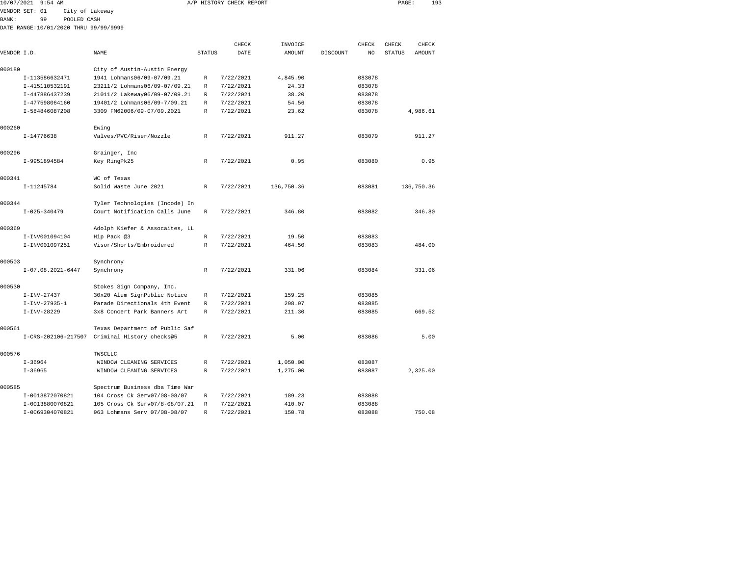| 10/07/2021   | $9:54$ AM                             |                 |                                               |               | A/P HISTORY CHECK REPORT |               |          |        | PAGE:         | 193           |  |
|--------------|---------------------------------------|-----------------|-----------------------------------------------|---------------|--------------------------|---------------|----------|--------|---------------|---------------|--|
|              | VENDOR SET: 01                        | City of Lakeway |                                               |               |                          |               |          |        |               |               |  |
| <b>BANK:</b> | 99                                    | POOLED CASH     |                                               |               |                          |               |          |        |               |               |  |
|              | DATE RANGE:10/01/2020 THRU 99/99/9999 |                 |                                               |               |                          |               |          |        |               |               |  |
|              |                                       |                 |                                               |               |                          |               |          |        |               |               |  |
|              |                                       |                 |                                               |               | CHECK                    | INVOICE       |          | CHECK  | CHECK         | CHECK         |  |
| VENDOR I.D.  |                                       |                 | NAME                                          | <b>STATUS</b> | DATE                     | <b>AMOUNT</b> | DISCOUNT | NO.    | <b>STATUS</b> | <b>AMOUNT</b> |  |
| 000180       |                                       |                 | City of Austin-Austin Energy                  |               |                          |               |          |        |               |               |  |
|              | I-113586632471                        |                 | 1941 Lohmans06/09-07/09.21                    | R             | 7/22/2021                | 4,845.90      |          | 083078 |               |               |  |
|              | I-415110532191                        |                 | 23211/2 Lohmans06/09-07/09.21                 | R             | 7/22/2021                | 24.33         |          | 083078 |               |               |  |
|              | I-447886437239                        |                 | 21011/2 Lakeway06/09-07/09.21                 | R             | 7/22/2021                | 38.20         |          | 083078 |               |               |  |
|              | I-477598064160                        |                 | 19401/2 Lohmans06/09-7/09.21                  | R             | 7/22/2021                | 54.56         |          | 083078 |               |               |  |
|              | I-584846087208                        |                 | 3309 FM62006/09-07/09.2021                    | R             | 7/22/2021                | 23.62         |          | 083078 |               | 4,986.61      |  |
| 000260       |                                       |                 | Ewing                                         |               |                          |               |          |        |               |               |  |
|              | $I-14776638$                          |                 | Valves/PVC/Riser/Nozzle                       | R             | 7/22/2021                | 911.27        |          | 083079 |               | 911.27        |  |
| 000296       |                                       |                 | Grainger, Inc                                 |               |                          |               |          |        |               |               |  |
|              | I-9951894584                          |                 | Key RingPk25                                  | R             | 7/22/2021                | 0.95          |          | 083080 |               | 0.95          |  |
| 000341       |                                       |                 | WC of Texas                                   |               |                          |               |          |        |               |               |  |
|              | I-11245784                            |                 | Solid Waste June 2021                         | $\mathbb R$   | 7/22/2021                | 136,750.36    |          | 083081 |               | 136,750.36    |  |
| 000344       |                                       |                 | Tyler Technologies (Incode) In                |               |                          |               |          |        |               |               |  |
|              | $I - 025 - 340479$                    |                 | Court Notification Calls June                 | $\mathbb R$   | 7/22/2021                | 346.80        |          | 083082 |               | 346.80        |  |
| 000369       |                                       |                 | Adolph Kiefer & Assocaites, LL                |               |                          |               |          |        |               |               |  |
|              | I-INV001094104                        |                 | Hip Pack @3                                   | R             | 7/22/2021                | 19.50         |          | 083083 |               |               |  |
|              | I-INV001097251                        |                 | Visor/Shorts/Embroidered                      | $\mathbb{R}$  | 7/22/2021                | 464.50        |          | 083083 |               | 484.00        |  |
| 000503       |                                       |                 | Synchrony                                     |               |                          |               |          |        |               |               |  |
|              | $I-07.08.2021-6447$                   |                 | Synchrony                                     | $\mathbb{R}$  | 7/22/2021                | 331.06        |          | 083084 |               | 331.06        |  |
| 000530       |                                       |                 | Stokes Sign Company, Inc.                     |               |                          |               |          |        |               |               |  |
|              | $I-INV-27437$                         |                 | 30x20 Alum SignPublic Notice                  | R             | 7/22/2021                | 159.25        |          | 083085 |               |               |  |
|              | $I-INV-27935-1$                       |                 | Parade Directionals 4th Event                 | R             | 7/22/2021                | 298.97        |          | 083085 |               |               |  |
|              | $I-INV-28229$                         |                 | 3x8 Concert Park Banners Art                  | $\mathbb{R}$  | 7/22/2021                | 211.30        |          | 083085 |               | 669.52        |  |
| 000561       |                                       |                 | Texas Department of Public Saf                |               |                          |               |          |        |               |               |  |
|              |                                       |                 | I-CRS-202106-217507 Criminal History checks@5 | $\mathbb R$   | 7/22/2021                | 5.00          |          | 083086 |               | 5.00          |  |
| 000576       |                                       |                 | TWSCLLC                                       |               |                          |               |          |        |               |               |  |
|              | $I - 36964$                           |                 | WINDOW CLEANING SERVICES                      | R             | 7/22/2021                | 1,050.00      |          | 083087 |               |               |  |
|              | $I - 36965$                           |                 | WINDOW CLEANING SERVICES                      | R             | 7/22/2021                | 1,275.00      |          | 083087 |               | 2,325.00      |  |
| 000585       |                                       |                 | Spectrum Business dba Time War                |               |                          |               |          |        |               |               |  |
|              | I-0013872070821                       |                 | 104 Cross Ck Serv07/08-08/07                  | R             | 7/22/2021                | 189.23        |          | 083088 |               |               |  |

I-0069304070821 963 Lohmans Serv 07/08-08/07 R 7/22/2021 150.78 083088 750.08

083088

I-0013880070821 105 Cross Ck Serv07/8-08/07.21 R 7/22/2021 410.07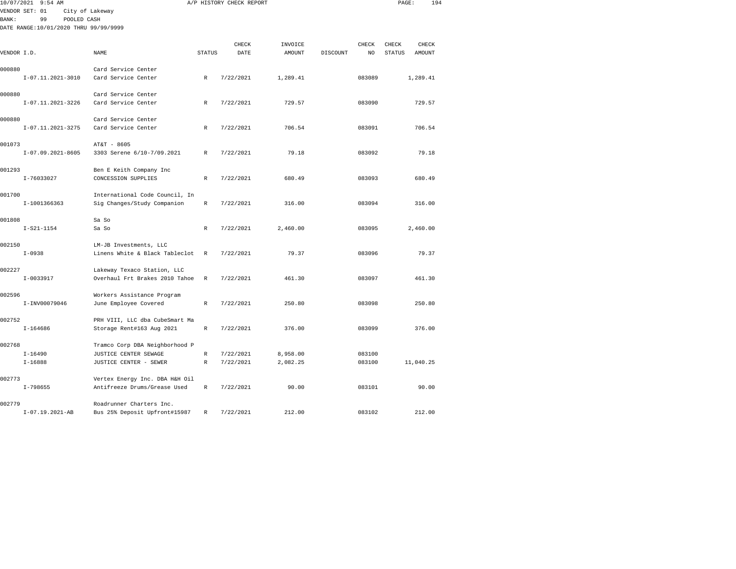|              | 10/07/2021 9:54 AM                    |                                                               |              | A/P HISTORY CHECK REPORT |          |          |        | PAGE:         | 194       |  |
|--------------|---------------------------------------|---------------------------------------------------------------|--------------|--------------------------|----------|----------|--------|---------------|-----------|--|
|              | VENDOR SET: 01                        | City of Lakeway                                               |              |                          |          |          |        |               |           |  |
| <b>BANK:</b> | 99<br>POOLED CASH                     |                                                               |              |                          |          |          |        |               |           |  |
|              | DATE RANGE:10/01/2020 THRU 99/99/9999 |                                                               |              |                          |          |          |        |               |           |  |
|              |                                       |                                                               |              |                          |          |          |        |               |           |  |
|              |                                       |                                                               |              | CHECK                    | INVOICE  |          | CHECK  | CHECK         | CHECK     |  |
| VENDOR I.D.  |                                       | NAME                                                          | STATUS       | DATE                     | AMOUNT   | DISCOUNT | NO     | <b>STATUS</b> | AMOUNT    |  |
| 000880       |                                       | Card Service Center                                           |              |                          |          |          |        |               |           |  |
|              | $I-07.11.2021-3010$                   | Card Service Center                                           | R            | 7/22/2021                | 1,289.41 |          | 083089 |               | 1,289.41  |  |
|              |                                       |                                                               |              |                          |          |          |        |               |           |  |
| 000880       |                                       | Card Service Center                                           |              |                          |          |          |        |               |           |  |
|              | I-07.11.2021-3226                     | Card Service Center                                           | R            | 7/22/2021                | 729.57   |          | 083090 |               | 729.57    |  |
|              |                                       |                                                               |              |                          |          |          |        |               |           |  |
| 000880       | I-07.11.2021-3275                     | Card Service Center<br>Card Service Center                    | R            | 7/22/2021                | 706.54   |          | 083091 |               | 706.54    |  |
|              |                                       |                                                               |              |                          |          |          |        |               |           |  |
| 001073       |                                       | AT&T - 8605                                                   |              |                          |          |          |        |               |           |  |
|              | $I-07.09.2021-8605$                   | 3303 Serene 6/10-7/09.2021                                    | $\mathbb{R}$ | 7/22/2021                | 79.18    |          | 083092 |               | 79.18     |  |
|              |                                       |                                                               |              |                          |          |          |        |               |           |  |
| 001293       |                                       | Ben E Keith Company Inc                                       |              |                          |          |          |        |               |           |  |
|              | I-76033027                            | CONCESSION SUPPLIES                                           | R            | 7/22/2021                | 680.49   |          | 083093 |               | 680.49    |  |
|              |                                       |                                                               |              |                          |          |          |        |               |           |  |
| 001700       |                                       | International Code Council, In                                | R            |                          | 316.00   |          | 083094 |               | 316.00    |  |
|              | I-1001366363                          | Sig Changes/Study Companion                                   |              | 7/22/2021                |          |          |        |               |           |  |
| 001808       |                                       | Sa So                                                         |              |                          |          |          |        |               |           |  |
|              | $I-S21-1154$                          | Sa So                                                         | R            | 7/22/2021                | 2,460.00 |          | 083095 |               | 2,460.00  |  |
|              |                                       |                                                               |              |                          |          |          |        |               |           |  |
| 002150       |                                       | LM-JB Investments, LLC                                        |              |                          |          |          |        |               |           |  |
|              | $I - 0938$                            | Linens White & Black Tableclot                                | R            | 7/22/2021                | 79.37    |          | 083096 |               | 79.37     |  |
|              |                                       |                                                               |              |                          |          |          |        |               |           |  |
| 002227       | $I-0033917$                           | Lakeway Texaco Station, LLC<br>Overhaul Frt Brakes 2010 Tahoe | $\mathbb{R}$ | 7/22/2021                | 461.30   |          | 083097 |               | 461.30    |  |
|              |                                       |                                                               |              |                          |          |          |        |               |           |  |
| 002596       |                                       | Workers Assistance Program                                    |              |                          |          |          |        |               |           |  |
|              | I-INV00079046                         | June Employee Covered                                         | $\mathbb{R}$ | 7/22/2021                | 250.80   |          | 083098 |               | 250.80    |  |
|              |                                       |                                                               |              |                          |          |          |        |               |           |  |
| 002752       |                                       | PRH VIII, LLC dba CubeSmart Ma                                |              |                          |          |          |        |               |           |  |
|              | $I - 164686$                          | Storage Rent#163 Aug 2021                                     | $\mathbb{R}$ | 7/22/2021                | 376.00   |          | 083099 |               | 376.00    |  |
| 002768       |                                       | Tramco Corp DBA Neighborhood P                                |              |                          |          |          |        |               |           |  |
|              | $I-16490$                             | JUSTICE CENTER SEWAGE                                         | R            | 7/22/2021                | 8,958.00 |          | 083100 |               |           |  |
|              | $I - 16888$                           | JUSTICE CENTER - SEWER                                        | $\mathbb{R}$ | 7/22/2021                | 2,082.25 |          | 083100 |               | 11,040.25 |  |
|              |                                       |                                                               |              |                          |          |          |        |               |           |  |
| 002773       |                                       | Vertex Energy Inc. DBA H&H Oil                                |              |                          |          |          |        |               |           |  |
|              | $I-798655$                            | Antifreeze Drums/Grease Used                                  | R            | 7/22/2021                | 90.00    |          | 083101 |               | 90.00     |  |
|              |                                       |                                                               |              |                          |          |          |        |               |           |  |
| 002779       |                                       | Roadrunner Charters Inc.                                      |              | 7/22/2021                | 212.00   |          | 083102 |               | 212.00    |  |
|              | $I-07.19.2021-AB$                     | Bus 25% Deposit Upfront#15987                                 | R            |                          |          |          |        |               |           |  |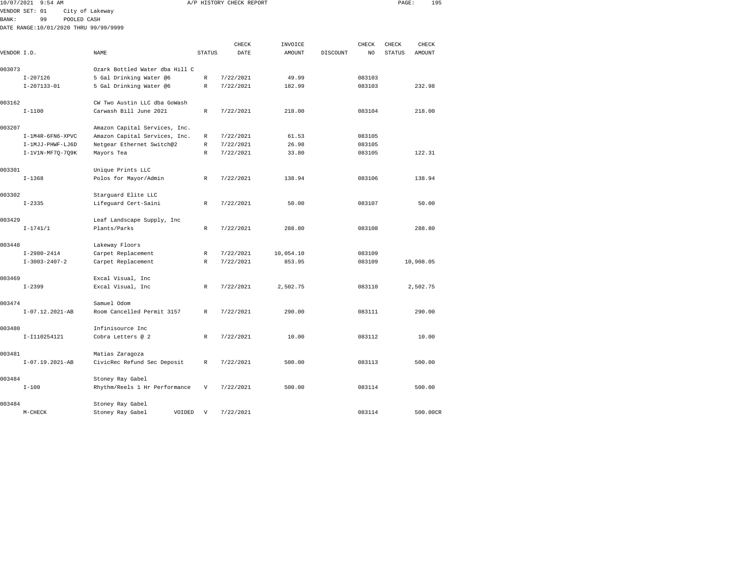| 10/07/2021     |              | $9:54$ AM        |                 |                                                        |               | A/P HISTORY CHECK REPORT |               |          |        | PAGE:         | 195           |  |
|----------------|--------------|------------------|-----------------|--------------------------------------------------------|---------------|--------------------------|---------------|----------|--------|---------------|---------------|--|
| VENDOR SET: 01 |              |                  | City of Lakeway |                                                        |               |                          |               |          |        |               |               |  |
| <b>BANK:</b>   |              | 99               | POOLED CASH     |                                                        |               |                          |               |          |        |               |               |  |
|                |              |                  |                 | DATE RANGE:10/01/2020 THRU 99/99/9999                  |               |                          |               |          |        |               |               |  |
|                |              |                  |                 |                                                        |               |                          |               |          |        |               |               |  |
|                |              |                  |                 |                                                        |               | CHECK                    | INVOICE       |          | CHECK  | CHECK         | CHECK         |  |
| VENDOR I.D.    |              |                  |                 | <b>NAME</b>                                            | <b>STATUS</b> | DATE                     | <b>AMOUNT</b> | DISCOUNT | NO     | <b>STATUS</b> | <b>AMOUNT</b> |  |
| 003073         |              |                  |                 | Ozark Bottled Water dba Hill C                         |               |                          |               |          |        |               |               |  |
|                | $I - 207126$ |                  |                 | 5 Gal Drinking Water @6                                | $\mathbb R$   | 7/22/2021                | 49.99         |          | 083103 |               |               |  |
|                |              | $I-207133-01$    |                 | 5 Gal Drinking Water @6                                | $\mathbb R$   | 7/22/2021                | 182.99        |          | 083103 |               | 232.98        |  |
|                |              |                  |                 |                                                        |               |                          |               |          |        |               |               |  |
| 003162         | $I - 1100$   |                  |                 | CW Two Austin LLC dba GoWash<br>Carwash Bill June 2021 | $\mathbb{R}$  | 7/22/2021                | 218.00        |          | 083104 |               | 218.00        |  |
|                |              |                  |                 |                                                        |               |                          |               |          |        |               |               |  |
| 003207         |              |                  |                 | Amazon Capital Services, Inc.                          |               |                          |               |          |        |               |               |  |
|                |              | I-1M4R-6FN6-XPVC |                 | Amazon Capital Services, Inc.                          | R             | 7/22/2021                | 61.53         |          | 083105 |               |               |  |
|                |              | I-1MJJ-PHWF-LJ6D |                 | Netgear Ethernet Switch@2                              | R             | 7/22/2021                | 26.98         |          | 083105 |               |               |  |
|                |              | I-1V1N-MF7Q-7Q9K |                 | Mayors Tea                                             | $\mathbb{R}$  | 7/22/2021                | 33.80         |          | 083105 |               | 122.31        |  |
| 003301         |              |                  |                 | Unique Prints LLC                                      |               |                          |               |          |        |               |               |  |
|                | $I - 1368$   |                  |                 | Polos for Mayor/Admin                                  | $\mathbb{R}$  | 7/22/2021                | 138.94        |          | 083106 |               | 138.94        |  |
| 003302         |              |                  |                 | Starquard Elite LLC                                    |               |                          |               |          |        |               |               |  |
|                | $I - 2335$   |                  |                 | Lifeguard Cert-Saini                                   | $\mathbb{R}$  | 7/22/2021                | 50.00         |          | 083107 |               | 50.00         |  |
|                |              |                  |                 |                                                        |               |                          |               |          |        |               |               |  |
| 003429         |              |                  |                 | Leaf Landscape Supply, Inc                             |               |                          |               |          |        |               |               |  |
|                | $I - 1741/1$ |                  |                 | Plants/Parks                                           | $\mathbb{R}$  | 7/22/2021                | 288.80        |          | 083108 |               | 288.80        |  |
| 003448         |              |                  |                 | Lakeway Floors                                         |               |                          |               |          |        |               |               |  |
|                |              | $I-2980-2414$    |                 | Carpet Replacement                                     | R             | 7/22/2021                | 10,054.10     |          | 083109 |               |               |  |
|                |              | $I-3003-2407-2$  |                 | Carpet Replacement                                     | $\mathbb{R}$  | 7/22/2021                | 853.95        |          | 083109 |               | 10,908.05     |  |
| 003469         |              |                  |                 | Excal Visual, Inc                                      |               |                          |               |          |        |               |               |  |
|                | $I - 2399$   |                  |                 | Excal Visual, Inc                                      | $\mathbb{R}$  | 7/22/2021                | 2,502.75      |          | 083110 |               | 2,502.75      |  |
|                |              |                  |                 |                                                        |               |                          |               |          |        |               |               |  |
| 003474         |              |                  |                 | Samuel Odom                                            |               |                          |               |          |        |               |               |  |
|                |              | I-07.12.2021-AB  |                 | Room Cancelled Permit 3157                             | $\mathbb{R}$  | 7/22/2021                | 290.00        |          | 083111 |               | 290.00        |  |
| 003480         |              |                  |                 | Infinisource Inc                                       |               |                          |               |          |        |               |               |  |
|                |              | I-I110254121     |                 | Cobra Letters @ 2                                      | $\mathbb R$   | 7/22/2021                | 10.00         |          | 083112 |               | 10.00         |  |
|                |              |                  |                 |                                                        |               |                          |               |          |        |               |               |  |
| 003481         |              |                  |                 | Matias Zaragoza                                        |               |                          |               |          |        |               |               |  |
|                |              | I-07.19.2021-AB  |                 | CivicRec Refund Sec Deposit                            | $\mathbb R$   | 7/22/2021                | 500.00        |          | 083113 |               | 500.00        |  |
| 003484         |              |                  |                 | Stoney Ray Gabel                                       |               |                          |               |          |        |               |               |  |
|                |              |                  |                 |                                                        |               |                          |               |          |        |               |               |  |

003484 Stoney Ray Gabel I-100 Rhythm/Reels 1 Hr Performance V 7/22/2021 500.00 083114 500.00 003484 Stoney Ray Gabel M-CHECK Stoney Ray Gabel VOIDED V 7/22/2021 083114 500.00CR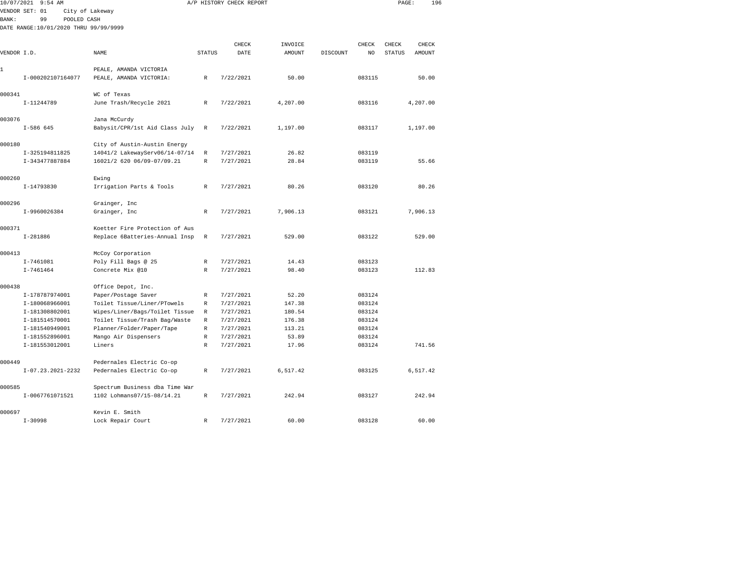|              | 10/07/2021 9:54 AM                    |                                                   |                  | A/P HISTORY CHECK REPORT |                 |          |                  | PAGE:         | 196      |  |
|--------------|---------------------------------------|---------------------------------------------------|------------------|--------------------------|-----------------|----------|------------------|---------------|----------|--|
|              | VENDOR SET: 01                        | City of Lakeway                                   |                  |                          |                 |          |                  |               |          |  |
| <b>BANK:</b> | 99<br>POOLED CASH                     |                                                   |                  |                          |                 |          |                  |               |          |  |
|              | DATE RANGE:10/01/2020 THRU 99/99/9999 |                                                   |                  |                          |                 |          |                  |               |          |  |
|              |                                       |                                                   |                  |                          |                 |          |                  |               |          |  |
|              |                                       |                                                   |                  | CHECK                    | INVOICE         |          | CHECK            | CHECK         | CHECK    |  |
| VENDOR I.D.  |                                       | NAME                                              | STATUS           | DATE                     | AMOUNT          | DISCOUNT | NO               | <b>STATUS</b> | AMOUNT   |  |
|              |                                       |                                                   |                  |                          |                 |          |                  |               |          |  |
| 1            |                                       | PEALE, AMANDA VICTORIA                            |                  |                          |                 |          | 083115           |               | 50.00    |  |
|              | I-000202107164077                     | PEALE, AMANDA VICTORIA:                           | $\mathbb R$      | 7/22/2021                | 50.00           |          |                  |               |          |  |
| 000341       |                                       | WC of Texas                                       |                  |                          |                 |          |                  |               |          |  |
|              | I-11244789                            | June Trash/Recycle 2021                           | R                | 7/22/2021                | 4,207.00        |          | 083116           |               | 4,207.00 |  |
|              |                                       |                                                   |                  |                          |                 |          |                  |               |          |  |
| 003076       |                                       | Jana McCurdy                                      |                  |                          |                 |          |                  |               |          |  |
|              | $I-586645$                            | Babysit/CPR/1st Aid Class July                    | $\mathbb{R}$     | 7/22/2021                | 1,197.00        |          | 083117           |               | 1,197.00 |  |
|              |                                       |                                                   |                  |                          |                 |          |                  |               |          |  |
| 000180       |                                       | City of Austin-Austin Energy                      |                  |                          |                 |          |                  |               |          |  |
|              | I-325194811825                        | 14041/2 LakewayServ06/14-07/14                    | $\mathbb R$      | 7/27/2021                | 26.82           |          | 083119           |               |          |  |
|              | I-343477887884                        | 16021/2 620 06/09-07/09.21                        | R                | 7/27/2021                | 28.84           |          | 083119           |               | 55.66    |  |
|              |                                       |                                                   |                  |                          |                 |          |                  |               |          |  |
| 000260       |                                       | Ewing                                             |                  |                          |                 |          |                  |               |          |  |
|              | I-14793830                            | Irrigation Parts & Tools                          | R                | 7/27/2021                | 80.26           |          | 083120           |               | 80.26    |  |
|              |                                       |                                                   |                  |                          |                 |          |                  |               |          |  |
| 000296       | I-9960026384                          | Grainger, Inc<br>Grainger, Inc                    | $\mathbb{R}$     | 7/27/2021                | 7,906.13        |          | 083121           |               | 7,906.13 |  |
|              |                                       |                                                   |                  |                          |                 |          |                  |               |          |  |
| 000371       |                                       | Koetter Fire Protection of Aus                    |                  |                          |                 |          |                  |               |          |  |
|              | $I-281886$                            | Replace 6Batteries-Annual Insp                    | R                | 7/27/2021                | 529.00          |          | 083122           |               | 529.00   |  |
|              |                                       |                                                   |                  |                          |                 |          |                  |               |          |  |
| 000413       |                                       | McCoy Corporation                                 |                  |                          |                 |          |                  |               |          |  |
|              | I-7461081                             | Poly Fill Bags @ 25                               | R                | 7/27/2021                | 14.43           |          | 083123           |               |          |  |
|              | $I - 7461464$                         | Concrete Mix @10                                  | R                | 7/27/2021                | 98.40           |          | 083123           |               | 112.83   |  |
|              |                                       |                                                   |                  |                          |                 |          |                  |               |          |  |
| 000438       |                                       | Office Depot, Inc.                                |                  |                          |                 |          |                  |               |          |  |
|              | I-178787974001                        | Paper/Postage Saver                               | R                | 7/27/2021                | 52.20           |          | 083124           |               |          |  |
|              | I-180068966001                        | Toilet Tissue/Liner/PTowels                       | R                | 7/27/2021                | 147.38          |          | 083124           |               |          |  |
|              | I-181308802001                        | Wipes/Liner/Bags/Toilet Tissue                    | $\mathbb R$      | 7/27/2021                | 180.54          |          | 083124           |               |          |  |
|              | I-181514570001                        | Toilet Tissue/Trash Bag/Waste                     | R                | 7/27/2021                | 176.38          |          | 083124           |               |          |  |
|              | I-181540949001<br>I-181552896001      | Planner/Folder/Paper/Tape<br>Mango Air Dispensers | R<br>$\mathbb R$ | 7/27/2021<br>7/27/2021   | 113.21<br>53.89 |          | 083124<br>083124 |               |          |  |
|              | I-181553012001                        | Liners                                            | $\mathbb{R}$     | 7/27/2021                | 17.96           |          | 083124           |               | 741.56   |  |
|              |                                       |                                                   |                  |                          |                 |          |                  |               |          |  |
| 000449       |                                       | Pedernales Electric Co-op                         |                  |                          |                 |          |                  |               |          |  |
|              | I-07.23.2021-2232                     | Pedernales Electric Co-op                         | R                | 7/27/2021                | 6,517.42        |          | 083125           |               | 6,517.42 |  |
|              |                                       |                                                   |                  |                          |                 |          |                  |               |          |  |
| 000585       |                                       | Spectrum Business dba Time War                    |                  |                          |                 |          |                  |               |          |  |
|              | I-0067761071521                       | 1102 Lohmans07/15-08/14.21                        | $\mathbb{R}$     | 7/27/2021                | 242.94          |          | 083127           |               | 242.94   |  |
|              |                                       |                                                   |                  |                          |                 |          |                  |               |          |  |
| 000697       |                                       | Kevin E Smith                                     |                  |                          |                 |          |                  |               |          |  |

I-30998 Lock Repair Court R 7/27/2021 60.00 083128 60.00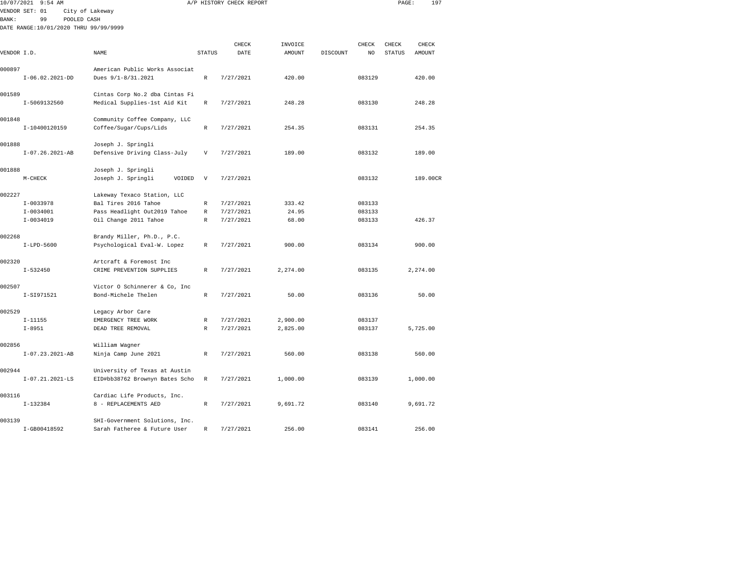| 10/07/2021   | $9:54$ AM                              |                                |                           | A/P HISTORY CHECK REPORT |                |          |                  | PAGE:         | 197           |  |
|--------------|----------------------------------------|--------------------------------|---------------------------|--------------------------|----------------|----------|------------------|---------------|---------------|--|
|              | VENDOR SET: 01                         | City of Lakeway                |                           |                          |                |          |                  |               |               |  |
| <b>BANK:</b> | 99<br>POOLED CASH                      |                                |                           |                          |                |          |                  |               |               |  |
|              | DATE RANGE: 10/01/2020 THRU 99/99/9999 |                                |                           |                          |                |          |                  |               |               |  |
|              |                                        |                                |                           |                          |                |          |                  |               |               |  |
|              |                                        |                                |                           | CHECK                    | INVOICE        |          | <b>CHECK</b>     | CHECK         | CHECK         |  |
| VENDOR I.D.  |                                        | NAME                           | <b>STATUS</b>             | DATE                     | <b>AMOUNT</b>  | DISCOUNT | NO               | <b>STATUS</b> | <b>AMOUNT</b> |  |
|              |                                        |                                |                           |                          |                |          |                  |               |               |  |
| 000897       |                                        | American Public Works Associat |                           |                          |                |          |                  |               |               |  |
|              | $I-06.02.2021-DD$                      | Dues $9/1 - 8/31.2021$         | $\mathbb R$               | 7/27/2021                | 420.00         |          | 083129           |               | 420.00        |  |
| 001589       |                                        | Cintas Corp No.2 dba Cintas Fi |                           |                          |                |          |                  |               |               |  |
|              | I-5069132560                           | Medical Supplies-1st Aid Kit   | R                         | 7/27/2021                | 248.28         |          | 083130           |               | 248.28        |  |
|              |                                        |                                |                           |                          |                |          |                  |               |               |  |
| 001848       |                                        | Community Coffee Company, LLC  |                           |                          |                |          |                  |               |               |  |
|              | I-10400120159                          | Coffee/Sugar/Cups/Lids         | R                         | 7/27/2021                | 254.35         |          | 083131           |               | 254.35        |  |
|              |                                        |                                |                           |                          |                |          |                  |               |               |  |
| 001888       |                                        | Joseph J. Springli             |                           |                          |                |          |                  |               |               |  |
|              | $I-07.26.2021-AB$                      | Defensive Driving Class-July   | V                         | 7/27/2021                | 189.00         |          | 083132           |               | 189.00        |  |
|              |                                        |                                |                           |                          |                |          |                  |               |               |  |
| 001888       |                                        | Joseph J. Springli             |                           |                          |                |          |                  |               |               |  |
|              | $M-CHECK$                              | Joseph J. Springli<br>VOIDED   | $\boldsymbol{\mathrm{V}}$ | 7/27/2021                |                |          | 083132           |               | 189.00CR      |  |
|              |                                        |                                |                           |                          |                |          |                  |               |               |  |
| 002227       |                                        | Lakeway Texaco Station, LLC    |                           |                          |                |          |                  |               |               |  |
|              | $I-0033978$                            | Bal Tires 2016 Tahoe           | R                         | 7/27/2021                | 333.42         |          | 083133           |               |               |  |
|              | $I-0034001$<br>$I - 0034019$           | Pass Headlight Out2019 Tahoe   | R<br>$\mathbb{R}$         | 7/27/2021                | 24.95<br>68.00 |          | 083133<br>083133 |               | 426.37        |  |
|              |                                        | Oil Change 2011 Tahoe          |                           | 7/27/2021                |                |          |                  |               |               |  |
| 002268       |                                        | Brandy Miller, Ph.D., P.C.     |                           |                          |                |          |                  |               |               |  |
|              | $I-LPD-5600$                           | Psychological Eval-W. Lopez    | $\mathbb R$               | 7/27/2021                | 900.00         |          | 083134           |               | 900.00        |  |
|              |                                        |                                |                           |                          |                |          |                  |               |               |  |
| 002320       |                                        | Artcraft & Foremost Inc        |                           |                          |                |          |                  |               |               |  |
|              | $I - 532450$                           | CRIME PREVENTION SUPPLIES      | R                         | 7/27/2021                | 2,274.00       |          | 083135           |               | 2,274.00      |  |
|              |                                        |                                |                           |                          |                |          |                  |               |               |  |
| 002507       |                                        | Victor O Schinnerer & Co, Inc  |                           |                          |                |          |                  |               |               |  |
|              | I-SI971521                             | Bond-Michele Thelen            | R                         | 7/27/2021                | 50.00          |          | 083136           |               | 50.00         |  |
|              |                                        |                                |                           |                          |                |          |                  |               |               |  |
| 002529       |                                        | Legacy Arbor Care              |                           |                          |                |          |                  |               |               |  |
|              | $I-11155$                              | EMERGENCY TREE WORK            | R                         | 7/27/2021                | 2,900.00       |          | 083137           |               |               |  |
|              | $I - 8951$                             | DEAD TREE REMOVAL              | $\mathbb{R}$              | 7/27/2021                | 2,825.00       |          | 083137           |               | 5,725.00      |  |
| 002856       |                                        | William Wagner                 |                           |                          |                |          |                  |               |               |  |
|              | $I-07.23.2021-AB$                      | Ninja Camp June 2021           | R                         | 7/27/2021                | 560.00         |          | 083138           |               | 560.00        |  |
|              |                                        |                                |                           |                          |                |          |                  |               |               |  |
| 002944       |                                        | University of Texas at Austin  |                           |                          |                |          |                  |               |               |  |
|              | $I-07.21.2021-LS$                      | EID#bb38762 Brownyn Bates Scho | R                         | 7/27/2021                | 1,000.00       |          | 083139           |               | 1,000.00      |  |
|              |                                        |                                |                           |                          |                |          |                  |               |               |  |
| 003116       |                                        | Cardiac Life Products, Inc.    |                           |                          |                |          |                  |               |               |  |
|              | $I-132384$                             | 8 - REPLACEMENTS AED           | R                         | 7/27/2021                | 9,691.72       |          | 083140           |               | 9,691.72      |  |
|              |                                        |                                |                           |                          |                |          |                  |               |               |  |
| 003139       |                                        | SHI-Government Solutions, Inc. |                           |                          |                |          |                  |               |               |  |

I-GB00418592 Sarah Fatheree & Future User R 7/27/2021 256.00 083141 256.00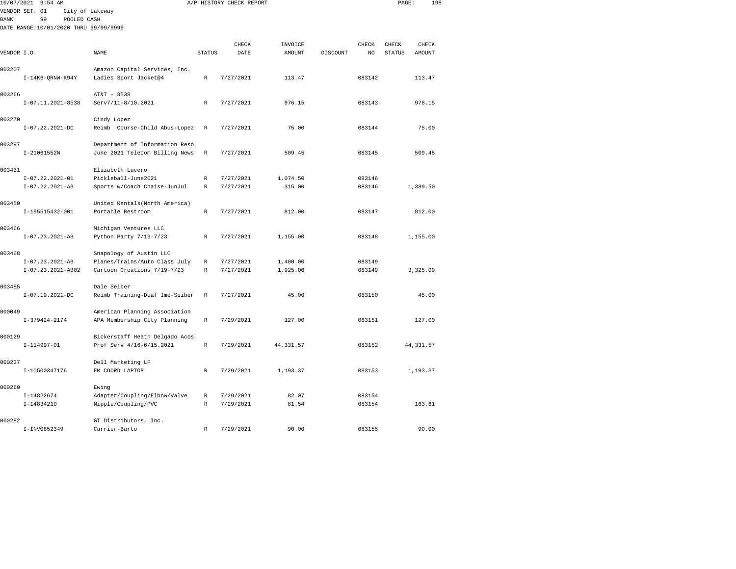| 10/07/2021  | $9:54$ AM                             |                                |               | A/P HISTORY CHECK REPORT |                          |          |              | PAGE:         | 198           |  |
|-------------|---------------------------------------|--------------------------------|---------------|--------------------------|--------------------------|----------|--------------|---------------|---------------|--|
|             | VENDOR SET: 01                        | City of Lakeway                |               |                          |                          |          |              |               |               |  |
| BANK:       | 99<br>POOLED CASH                     |                                |               |                          |                          |          |              |               |               |  |
|             | DATE RANGE:10/01/2020 THRU 99/99/9999 |                                |               |                          |                          |          |              |               |               |  |
|             |                                       |                                |               | CHECK                    |                          |          |              | CHECK         | CHECK         |  |
| VENDOR I.D. |                                       | NAME                           | <b>STATUS</b> | DATE                     | INVOICE<br><b>AMOUNT</b> | DISCOUNT | CHECK<br>NO. | <b>STATUS</b> | <b>AMOUNT</b> |  |
|             |                                       |                                |               |                          |                          |          |              |               |               |  |
| 003207      |                                       | Amazon Capital Services, Inc.  |               |                          |                          |          |              |               |               |  |
|             | $I-14K6-QRNW-K94Y$                    | Ladies Sport Jacket@4          | R             | 7/27/2021                | 113.47                   |          | 083142       |               | 113.47        |  |
| 003266      |                                       | AT&T - 8538                    |               |                          |                          |          |              |               |               |  |
|             | I-07.11.2021-8538                     | Serv7/11-8/10.2021             | $\mathbb R$   | 7/27/2021                | 976.15                   |          | 083143       |               | 976.15        |  |
| 003270      |                                       | Cindy Lopez                    |               |                          |                          |          |              |               |               |  |
|             | $I-07.22.2021-DC$                     | Reimb Course-Child Abus-Lopez  | R             | 7/27/2021                | 75.00                    |          | 083144       |               | 75.00         |  |
| 003297      |                                       | Department of Information Reso |               |                          |                          |          |              |               |               |  |
|             | I-21061552N                           | June 2021 Telecom Billing News | R             | 7/27/2021                | 509.45                   |          | 083145       |               | 509.45        |  |
| 003431      |                                       | Elizabeth Lucero               |               |                          |                          |          |              |               |               |  |
|             | $I-07.22.2021-01$                     | Pickleball-June2021            | R             | 7/27/2021                | 1,074.50                 |          | 083146       |               |               |  |
|             | $I-07.22.2021-AB$                     | Sports w/Coach Chaise-JunJul   | $\mathbb R$   | 7/27/2021                | 315.00                   |          | 083146       |               | 1,389.50      |  |
| 003450      |                                       | United Rentals (North America) |               |                          |                          |          |              |               |               |  |
|             | I-195515432-001                       | Portable Restroom              | R             | 7/27/2021                | 812.00                   |          | 083147       |               | 812.00        |  |
| 003466      |                                       | Michigan Ventures LLC          |               |                          |                          |          |              |               |               |  |
|             | $I-07.23.2021-AB$                     | Python Party 7/19-7/23         | R             | 7/27/2021                | 1,155.00                 |          | 083148       |               | 1,155.00      |  |
| 003468      |                                       | Snapology of Austin LLC        |               |                          |                          |          |              |               |               |  |
|             | $I-07.23.2021-AB$                     | Planes/Trains/Auto Class July  | R             | 7/27/2021                | 1,400.00                 |          | 083149       |               |               |  |
|             | I-07.23.2021-AB02                     | Cartoon Creations 7/19-7/23    | $\mathbb R$   | 7/27/2021                | 1,925.00                 |          | 083149       |               | 3,325.00      |  |
| 003485      |                                       | Dale Seiber                    |               |                          |                          |          |              |               |               |  |
|             | $I-07.19.2021-DC$                     | Reimb Training-Deaf Imp-Seiber | R             | 7/27/2021                | 45.00                    |          | 083150       |               | 45.00         |  |
| 000049      |                                       | American Planning Association  |               |                          |                          |          |              |               |               |  |
|             | I-379424-2174                         | APA Membership City Planning   | R             | 7/29/2021                | 127.00                   |          | 083151       |               | 127.00        |  |
| 000129      |                                       | Bickerstaff Heath Delgado Acos |               |                          |                          |          |              |               |               |  |
|             | $I-114997-01$                         | Prof Serv 4/16-6/15.2021       | $\mathbb R$   | 7/29/2021                | 44, 331.57               |          | 083152       |               | 44, 331.57    |  |
| 000237      |                                       | Dell Marketing LP              |               |                          |                          |          |              |               |               |  |
|             | I-10500347176                         | EM COORD LAPTOP                | R             | 7/29/2021                | 1,193.37                 |          | 083153       |               | 1,193.37      |  |
| 000260      |                                       | Ewing                          |               |                          |                          |          |              |               |               |  |
|             | $I-14822674$                          | Adapter/Coupling/Elbow/Valve   | R             | 7/29/2021                | 82.07                    |          | 083154       |               |               |  |
|             | I-14834210                            | Nipple/Coupling/PVC            | R             | 7/29/2021                | 81.54                    |          | 083154       |               | 163.61        |  |
| 000282      |                                       | GT Distributors, Inc.          |               |                          |                          |          |              |               |               |  |

I-INV0852349 Carrier-Barto R 7/29/2021 90.00 083155 90.00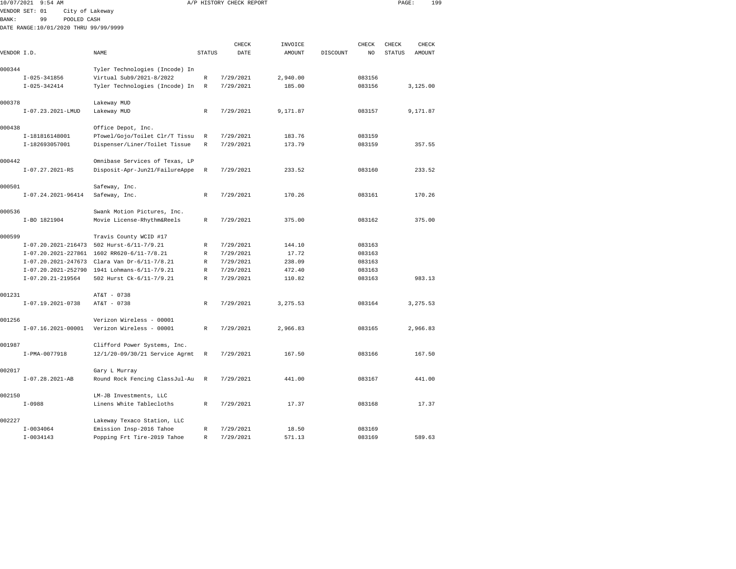|              | 10/07/2021 9:54 AM                    |                                              |               | A/P HISTORY CHECK REPORT |               |          |                | PAGE:         | 199      |  |
|--------------|---------------------------------------|----------------------------------------------|---------------|--------------------------|---------------|----------|----------------|---------------|----------|--|
|              | VENDOR SET: 01<br>City of Lakeway     |                                              |               |                          |               |          |                |               |          |  |
| <b>BANK:</b> | 99<br>POOLED CASH                     |                                              |               |                          |               |          |                |               |          |  |
|              | DATE RANGE:10/01/2020 THRU 99/99/9999 |                                              |               |                          |               |          |                |               |          |  |
|              |                                       |                                              |               |                          |               |          |                |               |          |  |
|              |                                       |                                              |               | CHECK                    | INVOICE       |          | CHECK          | CHECK         | CHECK    |  |
| VENDOR I.D.  |                                       | NAME                                         | <b>STATUS</b> | DATE                     | <b>AMOUNT</b> | DISCOUNT | N <sub>O</sub> | <b>STATUS</b> | AMOUNT   |  |
| 000344       |                                       | Tyler Technologies (Incode) In               |               |                          |               |          |                |               |          |  |
|              | $I-025-341856$                        | Virtual Sub9/2021-8/2022                     | R             | 7/29/2021                | 2,940.00      |          | 083156         |               |          |  |
|              | $I-025-342414$                        | Tyler Technologies (Incode) In               | $\mathbb R$   | 7/29/2021                | 185.00        |          | 083156         |               | 3,125.00 |  |
|              |                                       |                                              |               |                          |               |          |                |               |          |  |
| 000378       |                                       | Lakeway MUD                                  |               |                          |               |          |                |               |          |  |
|              | I-07.23.2021-LMUD                     | Lakeway MUD                                  | $\mathbb R$   | 7/29/2021                | 9,171.87      |          | 083157         |               | 9,171.87 |  |
|              |                                       |                                              |               |                          |               |          |                |               |          |  |
| 000438       |                                       | Office Depot, Inc.                           |               |                          |               |          |                |               |          |  |
|              | I-181816148001                        | PTowel/Gojo/Toilet Clr/T Tissu               | R             | 7/29/2021                | 183.76        |          | 083159         |               |          |  |
|              | I-182693057001                        | Dispenser/Liner/Toilet Tissue                | R             | 7/29/2021                | 173.79        |          | 083159         |               | 357.55   |  |
|              |                                       |                                              |               |                          |               |          |                |               |          |  |
| 000442       |                                       | Omnibase Services of Texas, LP               |               |                          |               |          |                |               |          |  |
|              | $I-07.27.2021-RS$                     | Disposit-Apr-Jun21/FailureAppe               | R             | 7/29/2021                | 233.52        |          | 083160         |               | 233.52   |  |
|              |                                       |                                              |               |                          |               |          |                |               |          |  |
| 000501       | $I-07.24.2021-96414$                  | Safeway, Inc.                                |               | 7/29/2021                | 170.26        |          | 083161         |               | 170.26   |  |
|              |                                       | Safeway, Inc.                                | R             |                          |               |          |                |               |          |  |
| 000536       |                                       | Swank Motion Pictures, Inc.                  |               |                          |               |          |                |               |          |  |
|              | I-BO 1821904                          | Movie License-Rhythm&Reels                   | R             | 7/29/2021                | 375.00        |          | 083162         |               | 375.00   |  |
|              |                                       |                                              |               |                          |               |          |                |               |          |  |
| 000599       |                                       | Travis County WCID #17                       |               |                          |               |          |                |               |          |  |
|              |                                       | I-07.20.2021-216473 502 Hurst-6/11-7/9.21    | R             | 7/29/2021                | 144.10        |          | 083163         |               |          |  |
|              |                                       | I-07.20.2021-227861 1602 RR620-6/11-7/8.21   | R             | 7/29/2021                | 17.72         |          | 083163         |               |          |  |
|              |                                       | I-07.20.2021-247673 Clara Van Dr-6/11-7/8.21 | $\mathbb R$   | 7/29/2021                | 238.09        |          | 083163         |               |          |  |
|              |                                       | I-07.20.2021-252790 1941 Lohmans-6/11-7/9.21 | R             | 7/29/2021                | 472.40        |          | 083163         |               |          |  |
|              | $I-07.20.21-219564$                   | 502 Hurst Ck-6/11-7/9.21                     | $\mathbb R$   | 7/29/2021                | 110.82        |          | 083163         |               | 983.13   |  |
|              |                                       |                                              |               |                          |               |          |                |               |          |  |
| 001231       |                                       | AT&T - 0738                                  |               |                          |               |          |                |               |          |  |
|              | $I-07.19.2021-0738$                   | AT&T - 0738                                  | R             | 7/29/2021                | 3,275.53      |          | 083164         |               | 3,275.53 |  |
|              |                                       |                                              |               |                          |               |          |                |               |          |  |
| 001256       |                                       | Verizon Wireless - 00001                     |               |                          |               |          |                |               |          |  |
|              | $I-07.16.2021-00001$                  | Verizon Wireless - 00001                     | R             | 7/29/2021                | 2,966.83      |          | 083165         |               | 2,966.83 |  |
| 001987       |                                       | Clifford Power Systems, Inc.                 |               |                          |               |          |                |               |          |  |
|              | I-PMA-0077918                         | 12/1/20-09/30/21 Service Agrmt               | R             | 7/29/2021                | 167.50        |          | 083166         |               | 167.50   |  |
|              |                                       |                                              |               |                          |               |          |                |               |          |  |
| 002017       |                                       | Gary L Murray                                |               |                          |               |          |                |               |          |  |
|              | $I-07.28.2021-AB$                     | Round Rock Fencing ClassJul-Au               | R             | 7/29/2021                | 441.00        |          | 083167         |               | 441.00   |  |
|              |                                       |                                              |               |                          |               |          |                |               |          |  |
| 002150       |                                       | LM-JB Investments, LLC                       |               |                          |               |          |                |               |          |  |
|              | $I-0988$                              | Linens White Tablecloths                     | $\mathbb R$   | 7/29/2021                | 17.37         |          | 083168         |               | 17.37    |  |
|              |                                       |                                              |               |                          |               |          |                |               |          |  |
| 002227       |                                       | Lakeway Texaco Station, LLC                  |               |                          |               |          |                |               |          |  |
|              | $I - 0034064$                         | Emission Insp-2016 Tahoe                     | R             | 7/29/2021                | 18.50         |          | 083169         |               |          |  |

I-0034143 Popping Frt Tire-2019 Tahoe R 7/29/2021 571.13 083169 589.63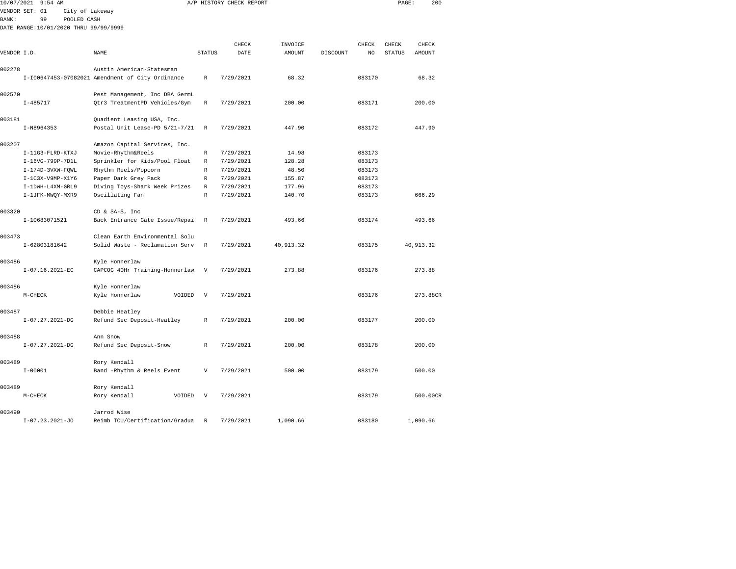|              | 10/07/2021 9:54 AM                    |                                                  |                           | A/P HISTORY CHECK REPORT |           |          |        | PAGE:  | 200        |  |
|--------------|---------------------------------------|--------------------------------------------------|---------------------------|--------------------------|-----------|----------|--------|--------|------------|--|
|              | VENDOR SET: 01<br>City of Lakeway     |                                                  |                           |                          |           |          |        |        |            |  |
| <b>BANK:</b> | 99<br>POOLED CASH                     |                                                  |                           |                          |           |          |        |        |            |  |
|              | DATE RANGE:10/01/2020 THRU 99/99/9999 |                                                  |                           |                          |           |          |        |        |            |  |
|              |                                       |                                                  |                           |                          |           |          |        |        |            |  |
|              |                                       |                                                  |                           | CHECK                    | INVOICE   |          | CHECK  | CHECK  | CHECK      |  |
| VENDOR I.D.  |                                       | NAME                                             | <b>STATUS</b>             | DATE                     | AMOUNT    | DISCOUNT | NO     | STATUS | AMOUNT     |  |
|              |                                       |                                                  |                           |                          |           |          |        |        |            |  |
| 002278       |                                       | Austin American-Statesman                        |                           |                          |           |          |        |        |            |  |
|              |                                       | I-I00647453-07082021 Amendment of City Ordinance | $\mathbb R$               | 7/29/2021                | 68.32     |          | 083170 |        | 68.32      |  |
| 002570       |                                       | Pest Management, Inc DBA GermL                   |                           |                          |           |          |        |        |            |  |
|              | $I - 485717$                          | Qtr3 TreatmentPD Vehicles/Gym                    | $\mathbb R$               | 7/29/2021                | 200.00    |          | 083171 |        | 200.00     |  |
|              |                                       |                                                  |                           |                          |           |          |        |        |            |  |
| 003181       |                                       | Quadient Leasing USA, Inc.                       |                           |                          |           |          |        |        |            |  |
|              | I-N8964353                            | Postal Unit Lease-PD 5/21-7/21                   | $\mathbb R$               | 7/29/2021                | 447.90    |          | 083172 |        | 447.90     |  |
|              |                                       |                                                  |                           |                          |           |          |        |        |            |  |
| 003207       |                                       | Amazon Capital Services, Inc.                    |                           |                          |           |          |        |        |            |  |
|              | I-11G3-FLRD-KTXJ                      | Movie-Rhythm&Reels                               | $\mathbb R$               | 7/29/2021                | 14.98     |          | 083173 |        |            |  |
|              | I-16VG-799P-7D1L                      | Sprinkler for Kids/Pool Float                    | $\mathbb R$               | 7/29/2021                | 128.28    |          | 083173 |        |            |  |
|              | I-174D-3VXW-FQWL                      | Rhythm Reels/Popcorn                             | R                         | 7/29/2021                | 48.50     |          | 083173 |        |            |  |
|              | $I-1C3X-V9MP-X1Y6$                    | Paper Dark Grey Pack                             | $\mathbb{R}$              | 7/29/2021                | 155.87    |          | 083173 |        |            |  |
|              | I-1DWH-L4XM-GRL9                      | Diving Toys-Shark Week Prizes                    | $\mathbb R$               | 7/29/2021                | 177.96    |          | 083173 |        |            |  |
|              | I-1JFK-MWQY-MXR9                      | Oscillating Fan                                  | $\mathbb R$               | 7/29/2021                | 140.70    |          | 083173 |        | 666.29     |  |
| 003320       |                                       | CD & SA-S, Inc                                   |                           |                          |           |          |        |        |            |  |
|              | I-10683071521                         | Back Entrance Gate Issue/Repai                   | R                         | 7/29/2021                | 493.66    |          | 083174 |        | 493.66     |  |
|              |                                       |                                                  |                           |                          |           |          |        |        |            |  |
| 003473       |                                       | Clean Earth Environmental Solu                   |                           |                          |           |          |        |        |            |  |
|              | I-62803181642                         | Solid Waste - Reclamation Serv                   | R                         | 7/29/2021                | 40,913.32 |          | 083175 |        | 40, 913.32 |  |
|              |                                       |                                                  |                           |                          |           |          |        |        |            |  |
| 003486       |                                       | Kyle Honnerlaw                                   |                           |                          |           |          |        |        |            |  |
|              | I-07.16.2021-EC                       | CAPCOG 40Hr Training-Honnerlaw                   | V                         | 7/29/2021                | 273.88    |          | 083176 |        | 273.88     |  |
|              |                                       |                                                  |                           |                          |           |          |        |        |            |  |
| 003486       |                                       | Kyle Honnerlaw                                   |                           |                          |           |          |        |        |            |  |
|              | $M-CHECK$                             | Kyle Honnerlaw<br>VOIDED                         | $\mathbf v$               | 7/29/2021                |           |          | 083176 |        | 273.88CR   |  |
| 003487       |                                       | Debbie Heatley                                   |                           |                          |           |          |        |        |            |  |
|              | $I-07.27.2021-DG$                     | Refund Sec Deposit-Heatley                       | $\mathbb R$               | 7/29/2021                | 200.00    |          | 083177 |        | 200.00     |  |
|              |                                       |                                                  |                           |                          |           |          |        |        |            |  |
| 003488       |                                       | Ann Snow                                         |                           |                          |           |          |        |        |            |  |
|              | $I-07.27.2021-DG$                     | Refund Sec Deposit-Snow                          | $\mathbb{R}$              | 7/29/2021                | 200.00    |          | 083178 |        | 200.00     |  |
|              |                                       |                                                  |                           |                          |           |          |        |        |            |  |
| 003489       |                                       | Rory Kendall                                     |                           |                          |           |          |        |        |            |  |
|              | $I - 00001$                           | Band -Rhythm & Reels Event                       | $\boldsymbol{\mathrm{V}}$ | 7/29/2021                | 500.00    |          | 083179 |        | 500.00     |  |
|              |                                       |                                                  |                           |                          |           |          |        |        |            |  |
| 003489       |                                       | Rory Kendall                                     |                           |                          |           |          |        |        |            |  |
|              | M-CHECK                               | Rory Kendall<br>VOIDED                           | V                         | 7/29/2021                |           |          | 083179 |        | 500.00CR   |  |
|              |                                       |                                                  |                           |                          |           |          |        |        |            |  |
| 003490       |                                       | Jarrod Wise                                      |                           |                          |           |          |        |        |            |  |

I-07.23.2021-JO Reimb TCU/Certification/Gradua R 7/29/2021 1,090.66 083180 1,090.66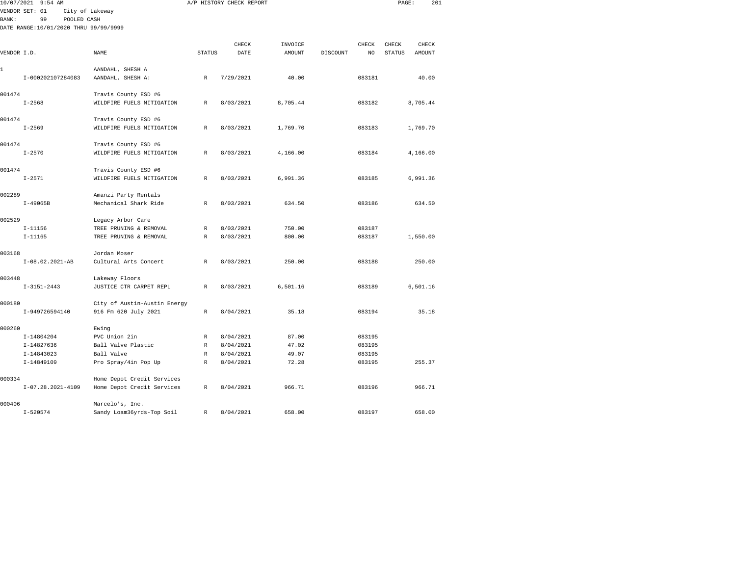|             | 10/07/2021 9:54 AM                    |                              |               | A/P HISTORY CHECK REPORT |               |          |                | PAGE:         | 201      |  |
|-------------|---------------------------------------|------------------------------|---------------|--------------------------|---------------|----------|----------------|---------------|----------|--|
|             | VENDOR SET: 01                        | City of Lakeway              |               |                          |               |          |                |               |          |  |
| BANK:       | 99<br>POOLED CASH                     |                              |               |                          |               |          |                |               |          |  |
|             | DATE RANGE:10/01/2020 THRU 99/99/9999 |                              |               |                          |               |          |                |               |          |  |
|             |                                       |                              |               |                          |               |          |                |               |          |  |
|             |                                       |                              |               | CHECK                    | INVOICE       |          | CHECK          | CHECK         | CHECK    |  |
| VENDOR I.D. |                                       | NAME                         | <b>STATUS</b> | DATE                     | <b>AMOUNT</b> | DISCOUNT | N <sub>O</sub> | <b>STATUS</b> | AMOUNT   |  |
| 1           |                                       | AANDAHL, SHESH A             |               |                          |               |          |                |               |          |  |
|             | I-000202107284083                     | AANDAHL, SHESH A:            | R             | 7/29/2021                | 40.00         |          | 083181         |               | 40.00    |  |
|             |                                       |                              |               |                          |               |          |                |               |          |  |
| 001474      |                                       | Travis County ESD #6         |               |                          |               |          |                |               |          |  |
|             | $I - 2568$                            | WILDFIRE FUELS MITIGATION    | $\mathbb R$   | 8/03/2021                | 8,705.44      |          | 083182         |               | 8,705.44 |  |
|             |                                       |                              |               |                          |               |          |                |               |          |  |
| 001474      |                                       | Travis County ESD #6         |               |                          |               |          |                |               |          |  |
|             | $I - 2569$                            | WILDFIRE FUELS MITIGATION    | $\mathbb{R}$  | 8/03/2021                | 1,769.70      |          | 083183         |               | 1,769.70 |  |
|             |                                       |                              |               |                          |               |          |                |               |          |  |
| 001474      |                                       | Travis County ESD #6         |               |                          |               |          |                |               |          |  |
|             | $I - 2570$                            | WILDFIRE FUELS MITIGATION    | R             | 8/03/2021                | 4,166.00      |          | 083184         |               | 4,166.00 |  |
| 001474      |                                       | Travis County ESD #6         |               |                          |               |          |                |               |          |  |
|             | $I - 2571$                            | WILDFIRE FUELS MITIGATION    | $\mathbb{R}$  | 8/03/2021                | 6,991.36      |          | 083185         |               | 6,991.36 |  |
|             |                                       |                              |               |                          |               |          |                |               |          |  |
| 002289      |                                       | Amanzi Party Rentals         |               |                          |               |          |                |               |          |  |
|             | $I-49065B$                            | Mechanical Shark Ride        | $\mathbb{R}$  | 8/03/2021                | 634.50        |          | 083186         |               | 634.50   |  |
|             |                                       |                              |               |                          |               |          |                |               |          |  |
| 002529      |                                       | Legacy Arbor Care            |               |                          |               |          |                |               |          |  |
|             | $I-11156$                             | TREE PRUNING & REMOVAL       | $\mathbb R$   | 8/03/2021                | 750.00        |          | 083187         |               |          |  |
|             | $I-11165$                             | TREE PRUNING & REMOVAL       | R             | 8/03/2021                | 800.00        |          | 083187         |               | 1,550.00 |  |
|             |                                       |                              |               |                          |               |          |                |               |          |  |
| 003168      | I-08.02.2021-AB                       | Jordan Moser                 | $\mathbb{R}$  | 8/03/2021                | 250.00        |          | 083188         |               | 250.00   |  |
|             |                                       | Cultural Arts Concert        |               |                          |               |          |                |               |          |  |
| 003448      |                                       | Lakeway Floors               |               |                          |               |          |                |               |          |  |
|             | $I-3151-2443$                         | JUSTICE CTR CARPET REPL      | R             | 8/03/2021                | 6,501.16      |          | 083189         |               | 6,501.16 |  |
|             |                                       |                              |               |                          |               |          |                |               |          |  |
| 000180      |                                       | City of Austin-Austin Energy |               |                          |               |          |                |               |          |  |
|             | I-949726594140                        | 916 Fm 620 July 2021         | R             | 8/04/2021                | 35.18         |          | 083194         |               | 35.18    |  |
|             |                                       |                              |               |                          |               |          |                |               |          |  |
| 000260      |                                       | Ewing                        |               |                          |               |          |                |               |          |  |
|             | I-14804204                            | PVC Union 2in                | R             | 8/04/2021                | 87.00         |          | 083195         |               |          |  |
|             | I-14827636                            | Ball Valve Plastic           | R             | 8/04/2021                | 47.02         |          | 083195         |               |          |  |
|             | I-14843023                            | Ball Valve                   | $\mathbb R$   | 8/04/2021                | 49.07         |          | 083195         |               |          |  |
|             | I-14849109                            | Pro Spray/4in Pop Up         | $\mathbb R$   | 8/04/2021                | 72.28         |          | 083195         |               | 255.37   |  |
| 000334      |                                       | Home Depot Credit Services   |               |                          |               |          |                |               |          |  |
|             | $I-07.28.2021-4109$                   | Home Depot Credit Services   | R             | 8/04/2021                | 966.71        |          | 083196         |               | 966.71   |  |
|             |                                       |                              |               |                          |               |          |                |               |          |  |

I-520574 Sandy Loam36yrds-Top Soil R 8/04/2021 658.00 083197 658.00

000406 Marcelo's, Inc.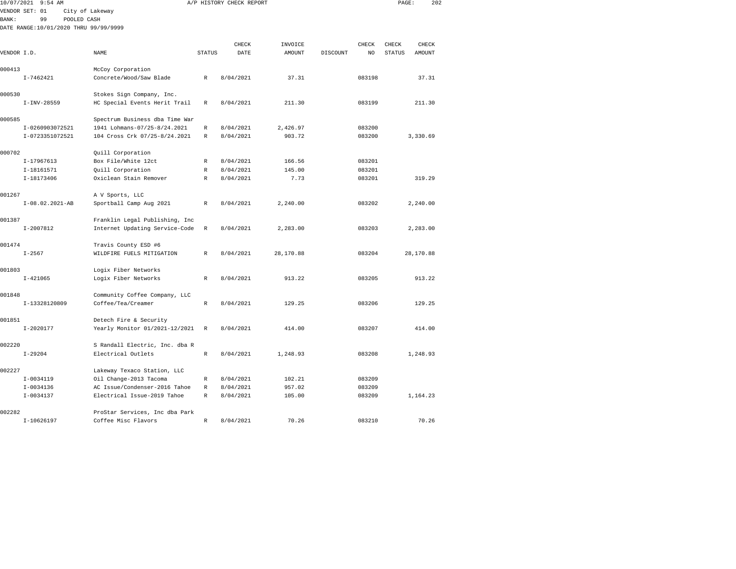| 10/07/2021   | $9:54$ AM                             |                                                                  |               | A/P HISTORY CHECK REPORT |               |          |        | PAGE:         | 202       |  |
|--------------|---------------------------------------|------------------------------------------------------------------|---------------|--------------------------|---------------|----------|--------|---------------|-----------|--|
|              | VENDOR SET: 01                        | City of Lakeway                                                  |               |                          |               |          |        |               |           |  |
| <b>BANK:</b> | 99<br>POOLED CASH                     |                                                                  |               |                          |               |          |        |               |           |  |
|              | DATE RANGE:10/01/2020 THRU 99/99/9999 |                                                                  |               |                          |               |          |        |               |           |  |
|              |                                       |                                                                  |               |                          |               |          |        |               |           |  |
|              |                                       |                                                                  |               | CHECK                    | INVOICE       |          | CHECK  | CHECK         | CHECK     |  |
| VENDOR I.D.  |                                       | <b>NAME</b>                                                      | <b>STATUS</b> | DATE                     | <b>AMOUNT</b> | DISCOUNT | NO.    | <b>STATUS</b> | AMOUNT    |  |
| 000413       |                                       | McCoy Corporation                                                |               |                          |               |          |        |               |           |  |
|              | $I - 7462421$                         | Concrete/Wood/Saw Blade                                          | $\mathbb{R}$  | 8/04/2021                | 37.31         |          | 083198 |               | 37.31     |  |
|              |                                       |                                                                  |               |                          |               |          |        |               |           |  |
| 000530       |                                       | Stokes Sign Company, Inc.                                        |               |                          |               |          |        |               |           |  |
|              | $I-INV-28559$                         | HC Special Events Herit Trail                                    | R             | 8/04/2021                | 211.30        |          | 083199 |               | 211.30    |  |
|              |                                       |                                                                  |               |                          |               |          |        |               |           |  |
| 000585       |                                       | Spectrum Business dba Time War                                   |               |                          |               |          |        |               |           |  |
|              | I-0260903072521                       | 1941 Lohmans-07/25-8/24.2021                                     | R             | 8/04/2021                | 2,426.97      |          | 083200 |               |           |  |
|              | I-0723351072521                       | 104 Cross Crk 07/25-8/24.2021                                    | R             | 8/04/2021                | 903.72        |          | 083200 |               | 3,330.69  |  |
| 000702       |                                       | Quill Corporation                                                |               |                          |               |          |        |               |           |  |
|              | I-17967613                            | Box File/White 12ct                                              | $\mathbb{R}$  | 8/04/2021                | 166.56        |          | 083201 |               |           |  |
|              | I-18161571                            | Quill Corporation                                                | $\mathbb R$   | 8/04/2021                | 145.00        |          | 083201 |               |           |  |
|              | I-18173406                            | Oxiclean Stain Remover                                           | $\mathbb{R}$  | 8/04/2021                | 7.73          |          | 083201 |               | 319.29    |  |
|              |                                       |                                                                  |               |                          |               |          |        |               |           |  |
| 001267       |                                       | A V Sports, LLC                                                  |               |                          |               |          |        |               |           |  |
|              | $I-08.02.2021-AB$                     | Sportball Camp Aug 2021                                          | R             | 8/04/2021                | 2,240.00      |          | 083202 |               | 2,240.00  |  |
| 001387       |                                       |                                                                  |               |                          |               |          |        |               |           |  |
|              | $I-2007812$                           | Franklin Legal Publishing, Inc<br>Internet Updating Service-Code | $\mathbb R$   | 8/04/2021                | 2,283.00      |          | 083203 |               | 2,283.00  |  |
|              |                                       |                                                                  |               |                          |               |          |        |               |           |  |
| 001474       |                                       | Travis County ESD #6                                             |               |                          |               |          |        |               |           |  |
|              | $I - 2567$                            | WILDFIRE FUELS MITIGATION                                        | $\mathbb R$   | 8/04/2021                | 28,170.88     |          | 083204 |               | 28,170.88 |  |
|              |                                       |                                                                  |               |                          |               |          |        |               |           |  |
| 001803       |                                       | Logix Fiber Networks                                             |               |                          |               |          |        |               |           |  |
|              | $I - 421065$                          | Logix Fiber Networks                                             | $\mathbb{R}$  | 8/04/2021                | 913.22        |          | 083205 |               | 913.22    |  |
| 001848       |                                       | Community Coffee Company, LLC                                    |               |                          |               |          |        |               |           |  |
|              | I-13328120809                         | Coffee/Tea/Creamer                                               | $\mathbb R$   | 8/04/2021                | 129.25        |          | 083206 |               | 129.25    |  |
|              |                                       |                                                                  |               |                          |               |          |        |               |           |  |
| 001851       |                                       | Detech Fire & Security                                           |               |                          |               |          |        |               |           |  |
|              | $I - 2020177$                         | Yearly Monitor 01/2021-12/2021                                   | R             | 8/04/2021                | 414.00        |          | 083207 |               | 414.00    |  |
|              |                                       |                                                                  |               |                          |               |          |        |               |           |  |
| 002220       |                                       | S Randall Electric, Inc. dba R                                   |               |                          |               |          |        |               |           |  |
|              | $I - 29204$                           | Electrical Outlets                                               | $\mathbb{R}$  | 8/04/2021                | 1,248.93      |          | 083208 |               | 1,248.93  |  |
| 002227       |                                       | Lakeway Texaco Station, LLC                                      |               |                          |               |          |        |               |           |  |
|              | $I-0034119$                           | Oil Change-2013 Tacoma                                           | $\mathbb{R}$  | 8/04/2021                | 102.21        |          | 083209 |               |           |  |
|              | $I-0034136$                           | AC Issue/Condenser-2016 Tahoe                                    | $\mathbb R$   | 8/04/2021                | 957.02        |          | 083209 |               |           |  |
|              | $I - 0034137$                         | Electrical Issue-2019 Tahoe                                      | R             | 8/04/2021                | 105.00        |          | 083209 |               | 1,164.23  |  |
|              |                                       |                                                                  |               |                          |               |          |        |               |           |  |

I-10626197 Coffee Misc Flavors R 8/04/2021 70.26 083210 70.26

002282 ProStar Services, Inc dba Park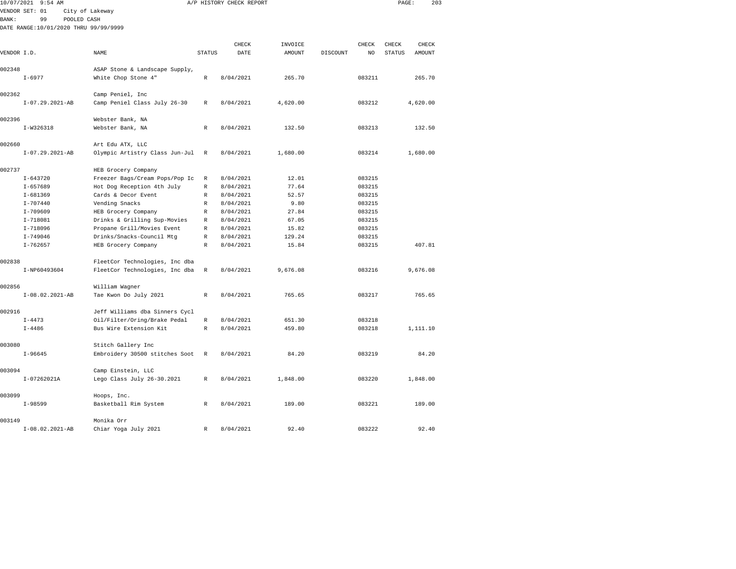| 10/07/2021  | $9:54$ AM                             |                                         |               | A/P HISTORY CHECK REPORT |          |          |        | PAGE:         | 203      |  |
|-------------|---------------------------------------|-----------------------------------------|---------------|--------------------------|----------|----------|--------|---------------|----------|--|
|             | VENDOR SET: 01                        | City of Lakeway                         |               |                          |          |          |        |               |          |  |
| BANK:       | 99<br>POOLED CASH                     |                                         |               |                          |          |          |        |               |          |  |
|             | DATE RANGE:10/01/2020 THRU 99/99/9999 |                                         |               |                          |          |          |        |               |          |  |
|             |                                       |                                         |               |                          |          |          |        |               |          |  |
|             |                                       |                                         |               | CHECK                    | INVOICE  |          | CHECK  | CHECK         | CHECK    |  |
| VENDOR I.D. |                                       | NAME                                    | <b>STATUS</b> | DATE                     | AMOUNT   | DISCOUNT | NO     | <b>STATUS</b> | AMOUNT   |  |
|             |                                       |                                         |               |                          |          |          |        |               |          |  |
| 002348      |                                       | ASAP Stone & Landscape Supply,          |               |                          |          |          |        |               |          |  |
|             | $I - 6977$                            | White Chop Stone 4"                     | $\mathbb R$   | 8/04/2021                | 265.70   |          | 083211 |               | 265.70   |  |
| 002362      |                                       | Camp Peniel, Inc                        |               |                          |          |          |        |               |          |  |
|             | $I-07.29.2021-AB$                     | Camp Peniel Class July 26-30            | R             | 8/04/2021                | 4,620.00 |          | 083212 |               | 4,620.00 |  |
|             |                                       |                                         |               |                          |          |          |        |               |          |  |
| 002396      |                                       | Webster Bank, NA                        |               |                          |          |          |        |               |          |  |
|             | I-W326318                             | Webster Bank, NA                        | R             | 8/04/2021                | 132.50   |          | 083213 |               | 132.50   |  |
|             |                                       |                                         |               |                          |          |          |        |               |          |  |
| 002660      |                                       | Art Edu ATX, LLC                        |               |                          |          |          |        |               |          |  |
|             | $I-07.29.2021-AB$                     | Olympic Artistry Class Jun-Jul          | R             | 8/04/2021                | 1,680.00 |          | 083214 |               | 1,680.00 |  |
| 002737      |                                       | HEB Grocery Company                     |               |                          |          |          |        |               |          |  |
|             | $I - 643720$                          | Freezer Bags/Cream Pops/Pop Ic          | R             | 8/04/2021                | 12.01    |          | 083215 |               |          |  |
|             | $I - 657689$                          | Hot Dog Reception 4th July              | R             | 8/04/2021                | 77.64    |          | 083215 |               |          |  |
|             | $I - 681369$                          | Cards & Decor Event                     | R             | 8/04/2021                | 52.57    |          | 083215 |               |          |  |
|             | $I - 707440$                          | Vending Snacks                          | R             | 8/04/2021                | 9.80     |          | 083215 |               |          |  |
|             | $I - 709609$                          | HEB Grocery Company                     | $\mathbb R$   | 8/04/2021                | 27.84    |          | 083215 |               |          |  |
|             | $I - 718081$                          | Drinks & Grilling Sup-Movies            | R             | 8/04/2021                | 67.05    |          | 083215 |               |          |  |
|             | I-718096                              | Propane Grill/Movies Event              | R             | 8/04/2021                | 15.82    |          | 083215 |               |          |  |
|             | $I - 749046$                          | Drinks/Snacks-Council Mtg               | R             | 8/04/2021                | 129.24   |          | 083215 |               |          |  |
|             | $I - 762657$                          | HEB Grocery Company                     | $\mathbb R$   | 8/04/2021                | 15.84    |          | 083215 |               | 407.81   |  |
|             |                                       |                                         |               |                          |          |          |        |               |          |  |
| 002838      |                                       | FleetCor Technologies, Inc dba          |               |                          |          |          |        |               |          |  |
|             | I-NP60493604                          | FleetCor Technologies, Inc dba          | R             | 8/04/2021                | 9,676.08 |          | 083216 |               | 9,676.08 |  |
| 002856      |                                       |                                         |               |                          |          |          |        |               |          |  |
|             | $I-08.02.2021-AB$                     | William Wagner<br>Tae Kwon Do July 2021 | $\mathbb{R}$  | 8/04/2021                | 765.65   |          | 083217 |               | 765.65   |  |
|             |                                       |                                         |               |                          |          |          |        |               |          |  |
| 002916      |                                       | Jeff Williams dba Sinners Cycl          |               |                          |          |          |        |               |          |  |
|             | $I - 4473$                            | Oil/Filter/Oring/Brake Pedal            | $\mathbb R$   | 8/04/2021                | 651.30   |          | 083218 |               |          |  |
|             | $I - 4486$                            | Bus Wire Extension Kit                  | R             | 8/04/2021                | 459.80   |          | 083218 |               | 1,111.10 |  |
|             |                                       |                                         |               |                          |          |          |        |               |          |  |
| 003080      |                                       | Stitch Gallery Inc                      |               |                          |          |          |        |               |          |  |
|             | $I - 96645$                           | Embroidery 30500 stitches Soot          | $\mathbb R$   | 8/04/2021                | 84.20    |          | 083219 |               | 84.20    |  |
| 003094      |                                       | Camp Einstein, LLC                      |               |                          |          |          |        |               |          |  |
|             | I-07262021A                           | Lego Class July 26-30.2021              | R             | 8/04/2021                | 1,848.00 |          | 083220 |               | 1,848.00 |  |
|             |                                       |                                         |               |                          |          |          |        |               |          |  |
| 003099      |                                       | Hoops, Inc.                             |               |                          |          |          |        |               |          |  |
|             | $I-98599$                             | Basketball Rim System                   | $\mathbb{R}$  | 8/04/2021                | 189.00   |          | 083221 |               | 189.00   |  |
| 003149      |                                       | Monika Orr                              |               |                          |          |          |        |               |          |  |
|             | $I-08.02.2021-AB$                     | Chiar Yoga July 2021                    | R             | 8/04/2021                | 92.40    |          | 083222 |               | 92.40    |  |
|             |                                       |                                         |               |                          |          |          |        |               |          |  |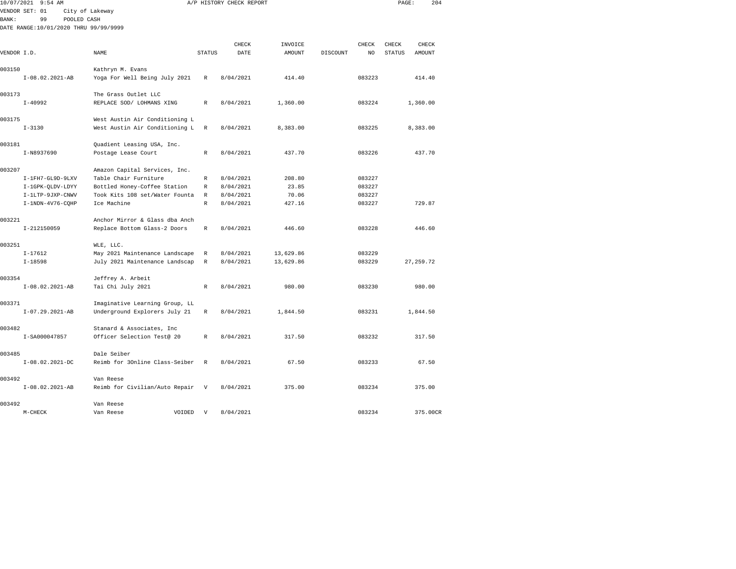| 10/07/2021   | $9:54$ AM                             |                                                   |               | A/P HISTORY CHECK REPORT |                   |          |             | PAGE:                  | 204             |
|--------------|---------------------------------------|---------------------------------------------------|---------------|--------------------------|-------------------|----------|-------------|------------------------|-----------------|
|              | VENDOR SET: 01                        | City of Lakeway                                   |               |                          |                   |          |             |                        |                 |
| <b>BANK:</b> | 99<br>POOLED CASH                     |                                                   |               |                          |                   |          |             |                        |                 |
|              | DATE RANGE:10/01/2020 THRU 99/99/9999 |                                                   |               |                          |                   |          |             |                        |                 |
|              |                                       |                                                   |               |                          |                   |          |             |                        |                 |
| VENDOR I.D.  |                                       | NAME                                              | <b>STATUS</b> | CHECK<br>DATE            | INVOICE<br>AMOUNT | DISCOUNT | CHECK<br>NO | CHECK<br><b>STATUS</b> | CHECK<br>AMOUNT |
|              |                                       |                                                   |               |                          |                   |          |             |                        |                 |
| 003150       |                                       | Kathryn M. Evans                                  |               |                          |                   |          |             |                        |                 |
|              | $I-08.02.2021-AB$                     | Yoga For Well Being July 2021                     | R             | 8/04/2021                | 414.40            |          | 083223      |                        | 414.40          |
|              |                                       |                                                   |               |                          |                   |          |             |                        |                 |
| 003173       |                                       | The Grass Outlet LLC                              |               |                          |                   |          |             |                        |                 |
|              | $I-40992$                             | REPLACE SOD/ LOHMANS XING                         | R             | 8/04/2021                | 1,360.00          |          | 083224      |                        | 1,360.00        |
|              |                                       |                                                   |               |                          |                   |          |             |                        |                 |
| 003175       |                                       | West Austin Air Conditioning L                    |               |                          |                   |          |             |                        |                 |
|              | $I - 3130$                            | West Austin Air Conditioning L                    | R             | 8/04/2021                | 8,383.00          |          | 083225      |                        | 8,383.00        |
|              |                                       |                                                   |               |                          |                   |          |             |                        |                 |
| 003181       | I-N8937690                            | Quadient Leasing USA, Inc.<br>Postage Lease Court | R             | 8/04/2021                | 437.70            |          | 083226      |                        | 437.70          |
|              |                                       |                                                   |               |                          |                   |          |             |                        |                 |
| 003207       |                                       | Amazon Capital Services, Inc.                     |               |                          |                   |          |             |                        |                 |
|              | I-1FH7-GL9D-9LXV                      | Table Chair Furniture                             | R             | 8/04/2021                | 208.80            |          | 083227      |                        |                 |
|              | I-1GPK-QLDV-LDYY                      | Bottled Honey-Coffee Station                      | R             | 8/04/2021                | 23.85             |          | 083227      |                        |                 |
|              | I-1LTP-9JXP-CNWV                      | Took Kits 108 set/Water Founta                    | $\mathbb{R}$  | 8/04/2021                | 70.06             |          | 083227      |                        |                 |
|              | $I-1NDN-4V76-CQHP$                    | Ice Machine                                       | $\mathbb{R}$  | 8/04/2021                | 427.16            |          | 083227      |                        | 729.87          |
|              |                                       |                                                   |               |                          |                   |          |             |                        |                 |
| 003221       |                                       | Anchor Mirror & Glass dba Anch                    |               |                          |                   |          |             |                        |                 |
|              | I-212150059                           | Replace Bottom Glass-2 Doors                      | R             | 8/04/2021                | 446.60            |          | 083228      |                        | 446.60          |
|              |                                       |                                                   |               |                          |                   |          |             |                        |                 |
| 003251       | $I-17612$                             | WLE, LLC.<br>May 2021 Maintenance Landscape       | R             | 8/04/2021                | 13,629.86         |          | 083229      |                        |                 |
|              | $I - 18598$                           | July 2021 Maintenance Landscap                    | R             | 8/04/2021                | 13,629.86         |          | 083229      | 27, 259.72             |                 |
|              |                                       |                                                   |               |                          |                   |          |             |                        |                 |
| 003354       |                                       | Jeffrey A. Arbeit                                 |               |                          |                   |          |             |                        |                 |
|              | I-08.02.2021-AB                       | Tai Chi July 2021                                 | R             | 8/04/2021                | 980.00            |          | 083230      |                        | 980.00          |
|              |                                       |                                                   |               |                          |                   |          |             |                        |                 |
| 003371       |                                       | Imaginative Learning Group, LL                    |               |                          |                   |          |             |                        |                 |
|              | $I-07.29.2021-AB$                     | Underground Explorers July 21                     | R             | 8/04/2021                | 1,844.50          |          | 083231      |                        | 1,844.50        |
|              |                                       |                                                   |               |                          |                   |          |             |                        |                 |
| 003482       |                                       | Stanard & Associates, Inc                         |               |                          |                   |          |             |                        |                 |
|              | I-SA000047857                         | Officer Selection Test@ 20                        | $\mathbb{R}$  | 8/04/2021                | 317.50            |          | 083232      |                        | 317.50          |
| 003485       |                                       | Dale Seiber                                       |               |                          |                   |          |             |                        |                 |
|              | $I-08.02.2021-DC$                     | Reimb for 30nline Class-Seiber                    | R             | 8/04/2021                | 67.50             |          | 083233      |                        | 67.50           |
|              |                                       |                                                   |               |                          |                   |          |             |                        |                 |
| 003492       |                                       | Van Reese                                         |               |                          |                   |          |             |                        |                 |
|              | $I-08.02.2021-AB$                     | Reimb for Civilian/Auto Repair                    | $\mathbf{V}$  | 8/04/2021                | 375.00            |          | 083234      |                        | 375.00          |
|              |                                       |                                                   |               |                          |                   |          |             |                        |                 |
|              |                                       |                                                   |               |                          |                   |          |             |                        |                 |

M-CHECK Van Reese VOIDED V 8/04/2021 083234 375.00CR

003492 Van Reese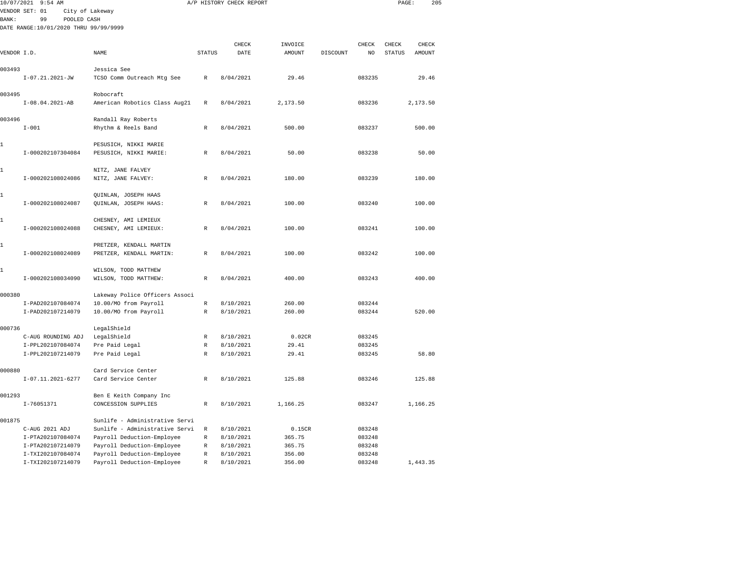|              | 10/07/2021 9:54 AM                     |                                               |                            | A/P HISTORY CHECK REPORT |                |          |                  | PAGE:         | 205           |  |
|--------------|----------------------------------------|-----------------------------------------------|----------------------------|--------------------------|----------------|----------|------------------|---------------|---------------|--|
|              | VENDOR SET: 01                         | City of Lakeway                               |                            |                          |                |          |                  |               |               |  |
| <b>BANK:</b> | POOLED CASH<br>99                      |                                               |                            |                          |                |          |                  |               |               |  |
|              | DATE RANGE:10/01/2020 THRU 99/99/9999  |                                               |                            |                          |                |          |                  |               |               |  |
|              |                                        |                                               |                            | CHECK                    | INVOICE        |          | CHECK            | CHECK         | ${\tt CHECK}$ |  |
| VENDOR I.D.  |                                        | NAME                                          | <b>STATUS</b>              | DATE                     | AMOUNT         | DISCOUNT | NO               | <b>STATUS</b> | AMOUNT        |  |
|              |                                        |                                               |                            |                          |                |          |                  |               |               |  |
| 003493       |                                        | Jessica See                                   |                            |                          |                |          |                  |               |               |  |
|              | $I-07.21.2021-JW$                      | TCSO Comm Outreach Mtg See                    | R                          | 8/04/2021                | 29.46          |          | 083235           |               | 29.46         |  |
| 003495       |                                        | Robocraft                                     |                            |                          |                |          |                  |               |               |  |
|              | $I-08.04.2021-AB$                      | American Robotics Class Aug21                 | R                          | 8/04/2021                | 2,173.50       |          | 083236           |               | 2,173.50      |  |
| 003496       |                                        | Randall Ray Roberts                           |                            |                          |                |          |                  |               |               |  |
|              | $I - 001$                              | Rhythm & Reels Band                           | $\mathbb R$                | 8/04/2021                | 500.00         |          | 083237           |               | 500.00        |  |
| 1            |                                        | PESUSICH, NIKKI MARIE                         |                            |                          |                |          |                  |               |               |  |
|              | I-000202107304084                      | PESUSICH, NIKKI MARIE:                        | $\mathbb R$                | 8/04/2021                | 50.00          |          | 083238           |               | 50.00         |  |
| 1            |                                        | NITZ, JANE FALVEY                             |                            |                          |                |          |                  |               |               |  |
|              | I-000202108024086                      | NITZ, JANE FALVEY:                            | $\mathbb{R}$               | 8/04/2021                | 180.00         |          | 083239           |               | 180.00        |  |
|              |                                        |                                               |                            |                          |                |          |                  |               |               |  |
| 1            | I-000202108024087                      | QUINLAN, JOSEPH HAAS<br>QUINLAN, JOSEPH HAAS: | $\mathbb{R}$               | 8/04/2021                | 100.00         |          | 083240           |               | 100.00        |  |
|              |                                        |                                               |                            |                          |                |          |                  |               |               |  |
| 1            | I-000202108024088                      | CHESNEY, AMI LEMIEUX                          |                            | 8/04/2021                | 100.00         |          | 083241           |               | 100.00        |  |
|              |                                        | CHESNEY, AMI LEMIEUX:                         | R                          |                          |                |          |                  |               |               |  |
| 1            |                                        | PRETZER, KENDALL MARTIN                       |                            |                          |                |          |                  |               |               |  |
|              | I-000202108024089                      | PRETZER, KENDALL MARTIN:                      | $\mathbb R$                | 8/04/2021                | 100.00         |          | 083242           |               | 100.00        |  |
| $\mathbf{1}$ |                                        | WILSON, TODD MATTHEW                          |                            |                          |                |          |                  |               |               |  |
|              | I-000202108034090                      | WILSON, TODD MATTHEW:                         | $\mathbb{R}$               | 8/04/2021                | 400.00         |          | 083243           |               | 400.00        |  |
| 000380       |                                        | Lakeway Police Officers Associ                |                            |                          |                |          |                  |               |               |  |
|              | I-PAD202107084074                      | 10.00/MO from Payroll                         | $\mathbb R$                | 8/10/2021                | 260.00         |          | 083244           |               |               |  |
|              | I-PAD202107214079                      | 10.00/MO from Payroll                         | $\mathbb R$                | 8/10/2021                | 260.00         |          | 083244           |               | 520.00        |  |
|              |                                        |                                               |                            |                          |                |          |                  |               |               |  |
| 000736       |                                        | LegalShield                                   |                            |                          |                |          |                  |               |               |  |
|              | C-AUG ROUNDING ADJ                     | LegalShield                                   | R                          | 8/10/2021                | 0.02CR         |          | 083245           |               |               |  |
|              | I-PPL202107084074<br>I-PPL202107214079 | Pre Paid Legal<br>Pre Paid Legal              | $\mathbb R$<br>$\mathbb R$ | 8/10/2021<br>8/10/2021   | 29.41<br>29.41 |          | 083245<br>083245 |               | 58.80         |  |
|              |                                        |                                               |                            |                          |                |          |                  |               |               |  |
| 000880       |                                        | Card Service Center                           |                            |                          |                |          |                  |               |               |  |
|              | $I-07.11.2021-6277$                    | Card Service Center                           | $\mathbb R$                | 8/10/2021                | 125.88         |          | 083246           |               | 125.88        |  |
| 001293       |                                        | Ben E Keith Company Inc                       |                            |                          |                |          |                  |               |               |  |
|              | I-76051371                             | CONCESSION SUPPLIES                           | R                          | 8/10/2021                | 1,166.25       |          | 083247           |               | 1,166.25      |  |
| 001875       |                                        | Sunlife - Administrative Servi                |                            |                          |                |          |                  |               |               |  |
|              | C-AUG 2021 ADJ                         | Sunlife - Administrative Servi                | $\mathbb R$                | 8/10/2021                | 0.15CR         |          | 083248           |               |               |  |
|              | I-PTA202107084074                      | Payroll Deduction-Employee                    | $\mathbb R$                | 8/10/2021                | 365.75         |          | 083248           |               |               |  |
|              | I-PTA202107214079                      | Payroll Deduction-Employee                    | R                          | 8/10/2021                | 365.75         |          | 083248           |               |               |  |
|              | I-TXI202107084074                      | Payroll Deduction-Employee                    | $\mathbb R$                | 8/10/2021                | 356.00         |          | 083248           |               |               |  |
|              | I-TXI202107214079                      | Payroll Deduction-Employee                    | R                          | 8/10/2021                | 356.00         |          | 083248           |               | 1,443.35      |  |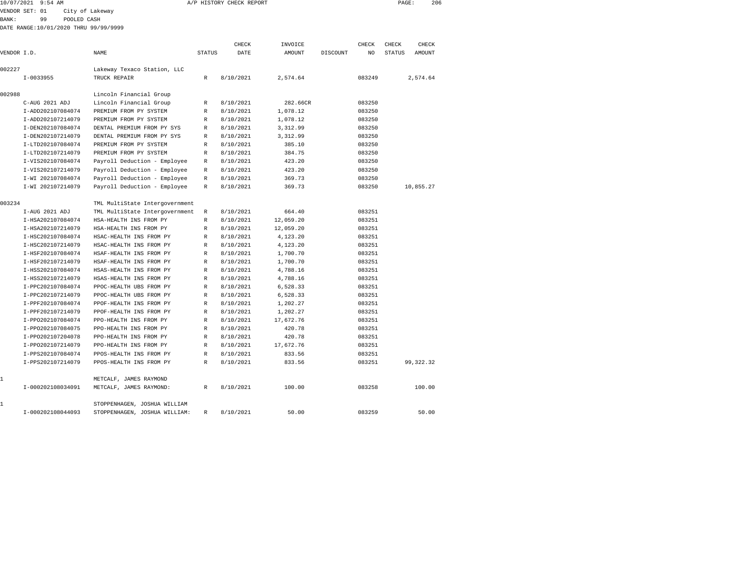|             | 10/07/2021 9:54 AM                    |             |                                |               | A/P HISTORY CHECK REPORT |           |          |        | PAGE:         |             | 206 |
|-------------|---------------------------------------|-------------|--------------------------------|---------------|--------------------------|-----------|----------|--------|---------------|-------------|-----|
|             | VENDOR SET: 01                        |             | City of Lakeway                |               |                          |           |          |        |               |             |     |
| BANK:       | 99                                    | POOLED CASH |                                |               |                          |           |          |        |               |             |     |
|             | DATE RANGE:10/01/2020 THRU 99/99/9999 |             |                                |               |                          |           |          |        |               |             |     |
|             |                                       |             |                                |               |                          |           |          |        |               |             |     |
|             |                                       |             |                                |               | CHECK                    | INVOICE   |          | CHECK  | CHECK         | CHECK       |     |
| VENDOR I.D. |                                       |             | NAME                           | <b>STATUS</b> | DATE                     | AMOUNT    | DISCOUNT | NO.    | <b>STATUS</b> | AMOUNT      |     |
| 002227      |                                       |             | Lakeway Texaco Station, LLC    |               |                          |           |          |        |               |             |     |
|             | $I - 0033955$                         |             | TRUCK REPAIR                   | $\mathbb{R}$  | 8/10/2021                | 2,574.64  |          | 083249 |               | 2,574.64    |     |
| 002988      |                                       |             | Lincoln Financial Group        |               |                          |           |          |        |               |             |     |
|             | C-AUG 2021 ADJ                        |             | Lincoln Financial Group        | R             | 8/10/2021                | 282.66CR  |          | 083250 |               |             |     |
|             | I-ADD202107084074                     |             | PREMIUM FROM PY SYSTEM         | R             | 8/10/2021                | 1,078.12  |          | 083250 |               |             |     |
|             | I-ADD202107214079                     |             | PREMIUM FROM PY SYSTEM         | R             | 8/10/2021                | 1,078.12  |          | 083250 |               |             |     |
|             | I-DEN202107084074                     |             | DENTAL PREMIUM FROM PY SYS     | R             | 8/10/2021                | 3,312.99  |          | 083250 |               |             |     |
|             | I-DEN202107214079                     |             | DENTAL PREMIUM FROM PY SYS     | R             | 8/10/2021                | 3,312.99  |          | 083250 |               |             |     |
|             | I-LTD202107084074                     |             | PREMIUM FROM PY SYSTEM         | R             | 8/10/2021                | 385.10    |          | 083250 |               |             |     |
|             | I-LTD202107214079                     |             | PREMIUM FROM PY SYSTEM         | R             | 8/10/2021                | 384.75    |          | 083250 |               |             |     |
|             | I-VIS202107084074                     |             | Payroll Deduction - Employee   | $\mathbb{R}$  | 8/10/2021                | 423.20    |          | 083250 |               |             |     |
|             | I-VIS202107214079                     |             | Payroll Deduction - Employee   | R             | 8/10/2021                | 423.20    |          | 083250 |               |             |     |
|             | I-WI 202107084074                     |             | Payroll Deduction - Employee   | R             | 8/10/2021                | 369.73    |          | 083250 |               |             |     |
|             | I-WI 202107214079                     |             | Payroll Deduction - Employee   | $\mathbb{R}$  | 8/10/2021                | 369.73    |          | 083250 |               | 10,855.27   |     |
| 003234      |                                       |             | TML MultiState Intergovernment |               |                          |           |          |        |               |             |     |
|             | I-AUG 2021 ADJ                        |             | TML MultiState Intergovernment | R             | 8/10/2021                | 664.40    |          | 083251 |               |             |     |
|             | I-HSA202107084074                     |             | HSA-HEALTH INS FROM PY         | $\mathbb{R}$  | 8/10/2021                | 12,059.20 |          | 083251 |               |             |     |
|             | I-HSA202107214079                     |             | HSA-HEALTH INS FROM PY         | R             | 8/10/2021                | 12,059.20 |          | 083251 |               |             |     |
|             | I-HSC202107084074                     |             | HSAC-HEALTH INS FROM PY        | R             | 8/10/2021                | 4,123.20  |          | 083251 |               |             |     |
|             | I-HSC202107214079                     |             | HSAC-HEALTH INS FROM PY        | $\mathbb{R}$  | 8/10/2021                | 4,123.20  |          | 083251 |               |             |     |
|             | I-HSF202107084074                     |             | HSAF-HEALTH INS FROM PY        | R             | 8/10/2021                | 1,700.70  |          | 083251 |               |             |     |
|             | I-HSF202107214079                     |             | HSAF-HEALTH INS FROM PY        | R             | 8/10/2021                | 1,700.70  |          | 083251 |               |             |     |
|             | I-HSS202107084074                     |             | HSAS-HEALTH INS FROM PY        | $\mathbb{R}$  | 8/10/2021                | 4,788.16  |          | 083251 |               |             |     |
|             | I-HSS202107214079                     |             | HSAS-HEALTH INS FROM PY        | $\mathbb{R}$  | 8/10/2021                | 4,788.16  |          | 083251 |               |             |     |
|             | I-PPC202107084074                     |             | PPOC-HEALTH UBS FROM PY        | R             | 8/10/2021                | 6,528.33  |          | 083251 |               |             |     |
|             | I-PPC202107214079                     |             | PPOC-HEALTH UBS FROM PY        | $\mathbb{R}$  | 8/10/2021                | 6,528.33  |          | 083251 |               |             |     |
|             | I-PPF202107084074                     |             | PPOF-HEALTH INS FROM PY        | $\mathbb{R}$  | 8/10/2021                | 1,202.27  |          | 083251 |               |             |     |
|             | I-PPF202107214079                     |             | PPOF-HEALTH INS FROM PY        | R             | 8/10/2021                | 1,202.27  |          | 083251 |               |             |     |
|             | I-PP0202107084074                     |             | PPO-HEALTH INS FROM PY         | R             | 8/10/2021                | 17,672.76 |          | 083251 |               |             |     |
|             | I-PP0202107084075                     |             | PPO-HEALTH INS FROM PY         | $\mathbb{R}$  | 8/10/2021                | 420.78    |          | 083251 |               |             |     |
|             | I-PP0202107204078                     |             | PPO-HEALTH INS FROM PY         | R             | 8/10/2021                | 420.78    |          | 083251 |               |             |     |
|             | I-PP0202107214079                     |             | PPO-HEALTH INS FROM PY         | R             | 8/10/2021                | 17,672.76 |          | 083251 |               |             |     |
|             | I-PPS202107084074                     |             | PPOS-HEALTH INS FROM PY        | $\mathbb{R}$  | 8/10/2021                | 833.56    |          | 083251 |               |             |     |
|             | <b>T. BBC202107214070</b>             |             | DDOC UPAL THE THE PDOM DV      | $\mathbf{r}$  | 0/10/2021                | 022E      |          | 002251 |               | 00, 222, 22 |     |

| I-PP0202107214079 | PPO-HEALTH INS FROM PY        | R | 8/10/2021 | 17.672.76 | 083251 |           |
|-------------------|-------------------------------|---|-----------|-----------|--------|-----------|
| I-PPS202107084074 | PPOS-HEALTH INS FROM PY       | R | 8/10/2021 | 833.56    | 083251 |           |
| I-PPS202107214079 | PPOS-HEALTH INS FROM PY       | R | 8/10/2021 | 833.56    | 083251 | 99.322.32 |
|                   |                               |   |           |           |        |           |
|                   | METCALF, JAMES RAYMOND        |   |           |           |        |           |
| T-000202108034091 | METCALF, JAMES RAYMOND:       | R | 8/10/2021 | 100.00    | 083258 | 100.00    |
|                   |                               |   |           |           |        |           |
|                   | STOPPENHAGEN, JOSHUA WILLIAM  |   |           |           |        |           |
| I-000202108044093 | STOPPENHAGEN, JOSHUA WILLIAM: | R | 8/10/2021 | 50.00     | 083259 | 50.00     |
|                   |                               |   |           |           |        |           |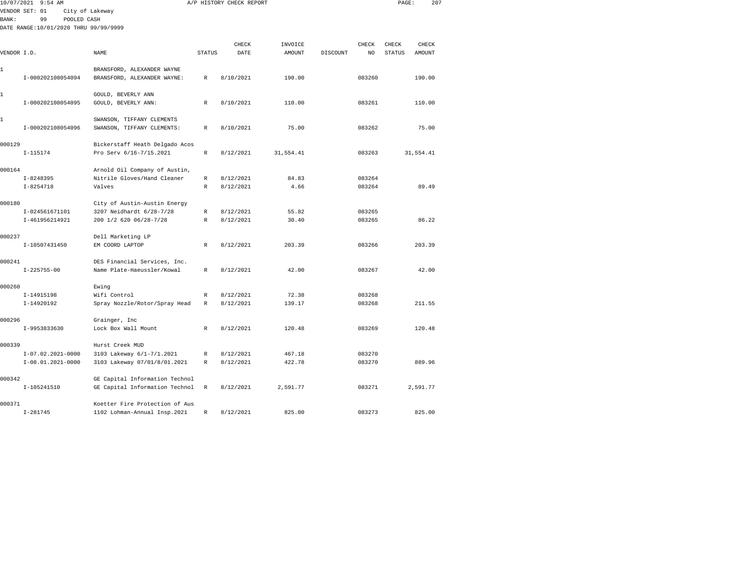|              | 10/07/2021 9:54 AM                    |                                                            |               | A/P HISTORY CHECK REPORT |               |          |        | PAGE:         | 207       |  |
|--------------|---------------------------------------|------------------------------------------------------------|---------------|--------------------------|---------------|----------|--------|---------------|-----------|--|
|              | VENDOR SET: 01                        | City of Lakeway                                            |               |                          |               |          |        |               |           |  |
| <b>BANK:</b> | 99<br>POOLED CASH                     |                                                            |               |                          |               |          |        |               |           |  |
|              | DATE RANGE:10/01/2020 THRU 99/99/9999 |                                                            |               |                          |               |          |        |               |           |  |
|              |                                       |                                                            |               | CHECK                    | INVOICE       |          | CHECK  | CHECK         | CHECK     |  |
| VENDOR I.D.  |                                       | <b>NAME</b>                                                | <b>STATUS</b> | DATE                     | <b>AMOUNT</b> | DISCOUNT | NO.    | <b>STATUS</b> | AMOUNT    |  |
|              |                                       |                                                            |               |                          |               |          |        |               |           |  |
| 1            |                                       | BRANSFORD, ALEXANDER WAYNE                                 |               |                          |               |          |        |               |           |  |
|              | I-000202108054094                     | BRANSFORD, ALEXANDER WAYNE:                                | $\mathbb R$   | 8/10/2021                | 190.00        |          | 083260 |               | 190.00    |  |
|              |                                       |                                                            |               |                          |               |          |        |               |           |  |
| 1            |                                       | GOULD, BEVERLY ANN                                         |               |                          |               |          |        |               |           |  |
|              | I-000202108054095                     | GOULD, BEVERLY ANN:                                        | R             | 8/10/2021                | 110.00        |          | 083261 |               | 110.00    |  |
| 1            |                                       | SWANSON, TIFFANY CLEMENTS                                  |               |                          |               |          |        |               |           |  |
|              | I-000202108054096                     | SWANSON, TIFFANY CLEMENTS:                                 | $\mathbb R$   | 8/10/2021                | 75.00         |          | 083262 |               | 75.00     |  |
|              |                                       |                                                            |               |                          |               |          |        |               |           |  |
| 000129       |                                       | Bickerstaff Heath Delgado Acos                             |               |                          |               |          |        |               |           |  |
|              | $I-115174$                            | Pro Serv 6/16-7/15.2021                                    | R             | 8/12/2021                | 31,554.41     |          | 083263 |               | 31,554.41 |  |
|              |                                       |                                                            |               |                          |               |          |        |               |           |  |
| 000164       |                                       | Arnold Oil Company of Austin,                              |               |                          |               |          |        |               |           |  |
|              | $I - 8248395$                         | Nitrile Gloves/Hand Cleaner                                | R             | 8/12/2021                | 84.83         |          | 083264 |               |           |  |
|              | $I - 8254718$                         | Valves                                                     | R             | 8/12/2021                | 4.66          |          | 083264 |               | 89.49     |  |
| 000180       |                                       | City of Austin-Austin Energy                               |               |                          |               |          |        |               |           |  |
|              | I-024561671101                        | 3207 Neidhardt 6/28-7/28                                   | R             | 8/12/2021                | 55.82         |          | 083265 |               |           |  |
|              | I-461956214921                        | 200 1/2 620 06/28-7/28                                     | $\mathbb R$   | 8/12/2021                | 30.40         |          | 083265 |               | 86.22     |  |
|              |                                       |                                                            |               |                          |               |          |        |               |           |  |
| 000237       |                                       | Dell Marketing LP                                          |               |                          |               |          |        |               |           |  |
|              | I-10507431450                         | EM COORD LAPTOP                                            | $\mathbb{R}$  | 8/12/2021                | 203.39        |          | 083266 |               | 203.39    |  |
| 000241       |                                       |                                                            |               |                          |               |          |        |               |           |  |
|              | $I - 225755 - 00$                     | DES Financial Services, Inc.<br>Name Plate-Haeussler/Kowal | $\mathbb{R}$  | 8/12/2021                | 42.00         |          | 083267 |               | 42.00     |  |
|              |                                       |                                                            |               |                          |               |          |        |               |           |  |
| 000260       |                                       | Ewing                                                      |               |                          |               |          |        |               |           |  |
|              | I-14915198                            | Wifi Control                                               | R             | 8/12/2021                | 72.38         |          | 083268 |               |           |  |
|              | I-14920192                            | Spray Nozzle/Rotor/Spray Head                              | R             | 8/12/2021                | 139.17        |          | 083268 |               | 211.55    |  |
|              |                                       |                                                            |               |                          |               |          |        |               |           |  |
| 000296       |                                       | Grainger, Inc                                              |               |                          |               |          |        |               |           |  |
|              | I-9953833630                          | Lock Box Wall Mount                                        | R             | 8/12/2021                | 120.48        |          | 083269 |               | 120.48    |  |
| 000339       |                                       | Hurst Creek MUD                                            |               |                          |               |          |        |               |           |  |
|              | $I-07.02.2021-0000$                   | 3103 Lakeway 6/1-7/1.2021                                  | $\mathbb R$   | 8/12/2021                | 467.18        |          | 083270 |               |           |  |
|              | $I-08.01.2021-0000$                   | 3103 Lakeway 07/01/8/01.2021                               | R             | 8/12/2021                | 422.78        |          | 083270 |               | 889.96    |  |
|              |                                       |                                                            |               |                          |               |          |        |               |           |  |
| 000342       |                                       | GE Capital Information Technol                             |               |                          |               |          |        |               |           |  |
|              | I-105241510                           | GE Capital Information Technol                             | $\mathbb R$   | 8/12/2021                | 2,591.77      |          | 083271 |               | 2,591.77  |  |
|              |                                       |                                                            |               |                          |               |          |        |               |           |  |
| 000371       |                                       | Koetter Fire Protection of Aus                             |               |                          |               |          |        |               |           |  |

I-281745 1102 Lohman-Annual Insp.2021 R 8/12/2021 825.00 083273 825.00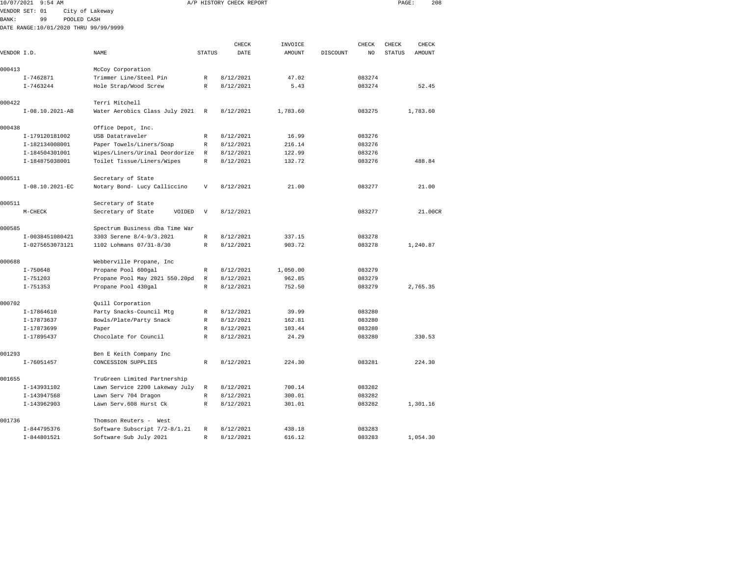| 10/07/2021   | $9:54$ AM                             |                                                       |                           | A/P HISTORY CHECK REPORT |                   |          |                  | PAGE:         | 208           |
|--------------|---------------------------------------|-------------------------------------------------------|---------------------------|--------------------------|-------------------|----------|------------------|---------------|---------------|
|              | VENDOR SET: 01                        | City of Lakeway                                       |                           |                          |                   |          |                  |               |               |
| <b>BANK:</b> | 99<br>POOLED CASH                     |                                                       |                           |                          |                   |          |                  |               |               |
|              | DATE RANGE:10/01/2020 THRU 99/99/9999 |                                                       |                           |                          |                   |          |                  |               |               |
|              |                                       |                                                       |                           | CHECK                    |                   |          | CHECK            | CHECK         | CHECK         |
| VENDOR I.D.  |                                       | NAME                                                  | <b>STATUS</b>             | DATE                     | INVOICE<br>AMOUNT | DISCOUNT | NO               | <b>STATUS</b> | <b>AMOUNT</b> |
|              |                                       |                                                       |                           |                          |                   |          |                  |               |               |
| 000413       |                                       | McCoy Corporation                                     |                           |                          |                   |          |                  |               |               |
|              | $I - 7462871$                         | Trimmer Line/Steel Pin                                | $\mathbb{R}$              | 8/12/2021                | 47.02             |          | 083274           |               |               |
|              | $I - 7463244$                         | Hole Strap/Wood Screw                                 | $\mathbb{R}$              | 8/12/2021                | 5.43              |          | 083274           |               | 52.45         |
|              |                                       |                                                       |                           |                          |                   |          |                  |               |               |
| 000422       |                                       | Terri Mitchell                                        |                           |                          |                   |          |                  |               |               |
|              | I-08.10.2021-AB                       | Water Aerobics Class July 2021                        | $\mathbb R$               | 8/12/2021                | 1,783.60          |          | 083275           |               | 1,783.60      |
| 000438       |                                       | Office Depot, Inc.                                    |                           |                          |                   |          |                  |               |               |
|              | I-179120181002                        | USB Datatraveler                                      | R                         | 8/12/2021                | 16.99             |          | 083276           |               |               |
|              | I-182134008001                        | Paper Towels/Liners/Soap                              | $\mathbb R$               | 8/12/2021                | 216.14            |          | 083276           |               |               |
|              | I-184504301001                        | Wipes/Liners/Urinal Deordorize                        | R                         | 8/12/2021                | 122.99            |          | 083276           |               |               |
|              | I-184875038001                        | Toilet Tissue/Liners/Wipes                            | $\mathbb R$               | 8/12/2021                | 132.72            |          | 083276           |               | 488.84        |
| 000511       |                                       | Secretary of State                                    |                           |                          |                   |          |                  |               |               |
|              | I-08.10.2021-EC                       | Notary Bond- Lucy Calliccino                          | V                         | 8/12/2021                | 21.00             |          | 083277           |               | 21.00         |
| 000511       |                                       | Secretary of State                                    |                           |                          |                   |          |                  |               |               |
|              | $M-CHECK$                             | Secretary of State<br>VOIDED                          | $\boldsymbol{\mathrm{V}}$ | 8/12/2021                |                   |          | 083277           |               | 21.00CR       |
| 000585       |                                       | Spectrum Business dba Time War                        |                           |                          |                   |          |                  |               |               |
|              | I-0038451080421                       | 3303 Serene 8/4-9/3.2021                              | $\mathbb{R}$              | 8/12/2021                | 337.15            |          | 083278           |               |               |
|              | I-0275653073121                       | 1102 Lohmans 07/31-8/30                               | $\mathbb{R}$              | 8/12/2021                | 903.72            |          | 083278           |               | 1,240.87      |
|              |                                       |                                                       |                           |                          |                   |          |                  |               |               |
| 000688       |                                       | Webberville Propane, Inc                              |                           |                          |                   |          |                  |               |               |
|              | $I - 750648$                          | Propane Pool 600gal                                   | R                         | 8/12/2021                | 1,050.00          |          | 083279           |               |               |
|              | $I - 751203$<br>$I - 751353$          | Propane Pool May 2021 550.20pd<br>Propane Pool 430gal | R<br>$\mathbb R$          | 8/12/2021<br>8/12/2021   | 962.85<br>752.50  |          | 083279<br>083279 |               | 2,765.35      |
|              |                                       |                                                       |                           |                          |                   |          |                  |               |               |
| 000702       |                                       | Quill Corporation                                     |                           |                          |                   |          |                  |               |               |
|              | I-17864610                            | Party Snacks-Council Mtg                              | R                         | 8/12/2021                | 39.99             |          | 083280           |               |               |
|              | I-17873637                            | Bowls/Plate/Party Snack                               | $\mathbb R$               | 8/12/2021                | 162.81            |          | 083280           |               |               |
|              | I-17873699                            | Paper                                                 | R                         | 8/12/2021                | 103.44            |          | 083280           |               |               |
|              | I-17895437                            | Chocolate for Council                                 | R                         | 8/12/2021                | 24.29             |          | 083280           |               | 330.53        |
| 001293       |                                       | Ben E Keith Company Inc                               |                           |                          |                   |          |                  |               |               |
|              | I-76051457                            | CONCESSION SUPPLIES                                   | $\mathbb{R}$              | 8/12/2021                | 224.30            |          | 083281           |               | 224.30        |
| 001655       |                                       | TruGreen Limited Partnership                          |                           |                          |                   |          |                  |               |               |
|              | I-143931102                           | Lawn Service 2200 Lakeway July                        | R                         | 8/12/2021                | 700.14            |          | 083282           |               |               |
|              | I-143947568                           | Lawn Serv 704 Dragon                                  | R                         | 8/12/2021                | 300.01            |          | 083282           |               |               |
|              | I-143962903                           | Lawn Serv. 608 Hurst Ck                               | $\mathbb{R}$              | 8/12/2021                | 301.01            |          | 083282           |               | 1,301.16      |
| 001736       |                                       | Thomson Reuters - West                                |                           |                          |                   |          |                  |               |               |
|              | I-844795376                           | Software Subscript 7/2-8/1.21                         | R                         | 8/12/2021                | 438.18            |          | 083283           |               |               |

I-844801521 Software Sub July 2021 R 8/12/2021 616.12 083283 1,054.30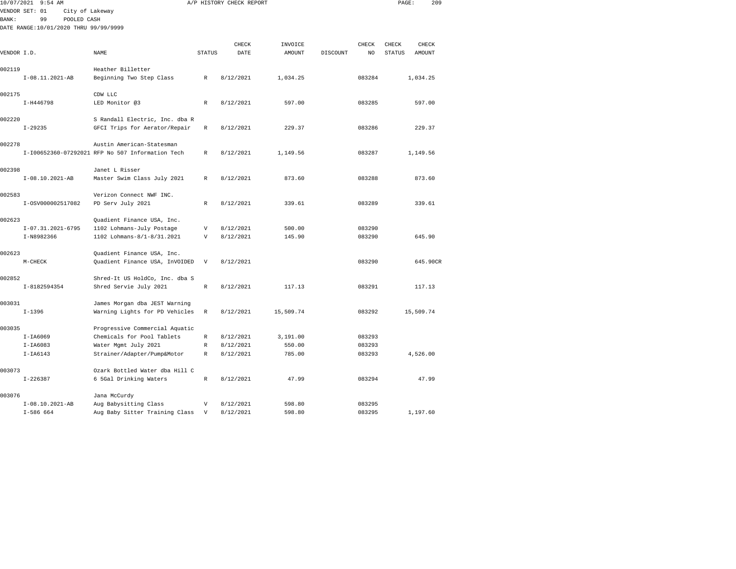| 10/07/2021  | $9:54$ AM                             |                                                     |                  | A/P HISTORY CHECK REPORT |                  |          |                  | PAGE:         | 209       |
|-------------|---------------------------------------|-----------------------------------------------------|------------------|--------------------------|------------------|----------|------------------|---------------|-----------|
|             | VENDOR SET: 01<br>City of Lakeway     |                                                     |                  |                          |                  |          |                  |               |           |
| BANK:       | 99<br>POOLED CASH                     |                                                     |                  |                          |                  |          |                  |               |           |
|             | DATE RANGE:10/01/2020 THRU 99/99/9999 |                                                     |                  |                          |                  |          |                  |               |           |
|             |                                       |                                                     |                  |                          |                  |          |                  |               |           |
|             |                                       |                                                     |                  | CHECK                    | INVOICE          |          | CHECK            | CHECK         | CHECK     |
| VENDOR I.D. |                                       | NAME                                                | <b>STATUS</b>    | DATE                     | AMOUNT           | DISCOUNT | NO               | <b>STATUS</b> | AMOUNT    |
|             |                                       |                                                     |                  |                          |                  |          |                  |               |           |
| 002119      |                                       | Heather Billetter                                   |                  |                          |                  |          |                  |               |           |
|             | I-08.11.2021-AB                       | Beginning Two Step Class                            | R                | 8/12/2021                | 1,034.25         |          | 083284           |               | 1,034.25  |
| 002175      |                                       | CDW LLC                                             |                  |                          |                  |          |                  |               |           |
|             | I-H446798                             | LED Monitor @3                                      | R                | 8/12/2021                | 597.00           |          | 083285           |               | 597.00    |
|             |                                       |                                                     |                  |                          |                  |          |                  |               |           |
| 002220      |                                       | S Randall Electric, Inc. dba R                      |                  |                          |                  |          |                  |               |           |
|             | $I-29235$                             | GFCI Trips for Aerator/Repair                       | R                | 8/12/2021                | 229.37           |          | 083286           |               | 229.37    |
|             |                                       |                                                     |                  |                          |                  |          |                  |               |           |
| 002278      |                                       | Austin American-Statesman                           |                  |                          |                  |          |                  |               |           |
|             |                                       | I-I00652360-07292021 RFP No 507 Information Tech    | R                | 8/12/2021                | 1,149.56         |          | 083287           |               | 1,149.56  |
|             |                                       |                                                     |                  |                          |                  |          |                  |               |           |
| 002398      |                                       | Janet L Risser                                      |                  |                          |                  |          |                  |               |           |
|             | $I-08.10.2021-AB$                     | Master Swim Class July 2021                         | R                | 8/12/2021                | 873.60           |          | 083288           |               | 873.60    |
|             |                                       |                                                     |                  |                          |                  |          |                  |               |           |
| 002583      |                                       | Verizon Connect NWF INC.                            |                  |                          |                  |          |                  |               |           |
|             | I-0SV000002517082                     | PD Serv July 2021                                   | $\mathbb R$      | 8/12/2021                | 339.61           |          | 083289           |               | 339.61    |
| 002623      |                                       | Quadient Finance USA, Inc.                          |                  |                          |                  |          |                  |               |           |
|             | $I-07.31.2021-6795$                   | 1102 Lohmans-July Postage                           | $\mathbf v$      | 8/12/2021                | 500.00           |          | 083290           |               |           |
|             | I-N8982366                            | 1102 Lohmans-8/1-8/31.2021                          | V                | 8/12/2021                | 145.90           |          | 083290           |               | 645.90    |
|             |                                       |                                                     |                  |                          |                  |          |                  |               |           |
| 002623      |                                       | Quadient Finance USA, Inc.                          |                  |                          |                  |          |                  |               |           |
|             | $M-CHECK$                             | Quadient Finance USA, InVOIDED                      | V                | 8/12/2021                |                  |          | 083290           |               | 645.90CR  |
|             |                                       |                                                     |                  |                          |                  |          |                  |               |           |
| 002852      |                                       | Shred-It US HoldCo, Inc. dba S                      |                  |                          |                  |          |                  |               |           |
|             | I-8182594354                          | Shred Servie July 2021                              | R                | 8/12/2021                | 117.13           |          | 083291           |               | 117.13    |
|             |                                       |                                                     |                  |                          |                  |          |                  |               |           |
| 003031      |                                       | James Morgan dba JEST Warning                       |                  |                          |                  |          |                  |               |           |
|             | $I-1396$                              | Warning Lights for PD Vehicles                      | R                | 8/12/2021                | 15,509.74        |          | 083292           |               | 15,509.74 |
|             |                                       |                                                     |                  |                          |                  |          |                  |               |           |
| 003035      |                                       | Progressive Commercial Aquatic                      |                  |                          |                  |          |                  |               |           |
|             | $I-IA6069$                            | Chemicals for Pool Tablets                          | $\mathbb R$<br>R | 8/12/2021                | 3,191.00         |          | 083293           |               |           |
|             | $I-IA6083$<br>$I-IA6143$              | Water Mgmt July 2021<br>Strainer/Adapter/Pump&Motor | R                | 8/12/2021<br>8/12/2021   | 550.00<br>785.00 |          | 083293<br>083293 |               | 4,526.00  |
|             |                                       |                                                     |                  |                          |                  |          |                  |               |           |
| 003073      |                                       | Ozark Bottled Water dba Hill C                      |                  |                          |                  |          |                  |               |           |
|             | $I - 226387$                          | 6 5Gal Drinking Waters                              | R                | 8/12/2021                | 47.99            |          | 083294           |               | 47.99     |
|             |                                       |                                                     |                  |                          |                  |          |                  |               |           |
| 003076      |                                       | Jana McCurdy                                        |                  |                          |                  |          |                  |               |           |
|             | $I-08.10.2021-AB$                     | Aug Babysitting Class                               | V                | 8/12/2021                | 598.80           |          | 083295           |               |           |
|             | $I-586664$                            | Aug Baby Sitter Training Class                      | $\overline{V}$   | 8/12/2021                | 598.80           |          | 083295           |               | 1,197.60  |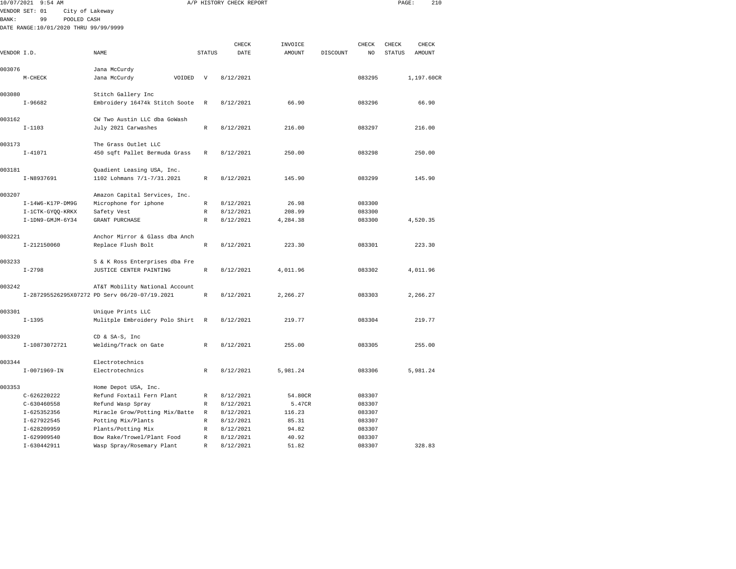| 10/07/2021  | 9:54 AM                               |                                                     |               | A/P HISTORY CHECK REPORT |                  |          |                  | PAGE:         | 210        |  |
|-------------|---------------------------------------|-----------------------------------------------------|---------------|--------------------------|------------------|----------|------------------|---------------|------------|--|
|             | VENDOR SET: 01<br>City of Lakeway     |                                                     |               |                          |                  |          |                  |               |            |  |
| BANK:       | 99<br>POOLED CASH                     |                                                     |               |                          |                  |          |                  |               |            |  |
|             | DATE RANGE:10/01/2020 THRU 99/99/9999 |                                                     |               |                          |                  |          |                  |               |            |  |
|             |                                       |                                                     |               |                          |                  |          |                  |               |            |  |
|             |                                       |                                                     |               | CHECK                    | INVOICE          |          | CHECK            | CHECK         | CHECK      |  |
| VENDOR I.D. |                                       | NAME                                                | <b>STATUS</b> | DATE                     | AMOUNT           | DISCOUNT | NO               | <b>STATUS</b> | AMOUNT     |  |
|             |                                       |                                                     |               |                          |                  |          |                  |               |            |  |
| 003076      |                                       | Jana McCurdy                                        |               |                          |                  |          |                  |               |            |  |
|             | $M-CHECK$                             | Jana McCurdy<br>VOIDED                              | V             | 8/12/2021                |                  |          | 083295           |               | 1,197.60CR |  |
| 003080      |                                       |                                                     |               |                          |                  |          |                  |               |            |  |
|             |                                       | Stitch Gallery Inc                                  |               |                          |                  |          |                  |               |            |  |
|             | $I-96682$                             | Embroidery 16474k Stitch Soote                      | R             | 8/12/2021                | 66.90            |          | 083296           |               | 66.90      |  |
| 003162      |                                       | CW Two Austin LLC dba GoWash                        |               |                          |                  |          |                  |               |            |  |
|             | $I - 1103$                            | July 2021 Carwashes                                 | $\mathbb R$   | 8/12/2021                | 216.00           |          | 083297           |               | 216.00     |  |
|             |                                       |                                                     |               |                          |                  |          |                  |               |            |  |
| 003173      |                                       | The Grass Outlet LLC                                |               |                          |                  |          |                  |               |            |  |
|             | $I - 41071$                           | 450 sqft Pallet Bermuda Grass                       | R             | 8/12/2021                | 250.00           |          | 083298           |               | 250.00     |  |
|             |                                       |                                                     |               |                          |                  |          |                  |               |            |  |
| 003181      |                                       | Quadient Leasing USA, Inc.                          |               |                          |                  |          |                  |               |            |  |
|             | I-N8937691                            | 1102 Lohmans 7/1-7/31.2021                          | $\mathbb R$   | 8/12/2021                | 145.90           |          | 083299           |               | 145.90     |  |
|             |                                       |                                                     |               |                          |                  |          |                  |               |            |  |
| 003207      |                                       | Amazon Capital Services, Inc.                       |               |                          |                  |          |                  |               |            |  |
|             | I-14W6-K17P-DM9G                      | Microphone for iphone                               | $\mathbb R$   | 8/12/2021                | 26.98            |          | 083300           |               |            |  |
|             | I-1CTK-GYQQ-KRKX                      | Safety Vest                                         | R             | 8/12/2021                | 208.99           |          | 083300           |               |            |  |
|             | $I-1DN9$ -GMJM-6Y34                   | GRANT PURCHASE                                      | R             | 8/12/2021                | 4,284.38         |          | 083300           |               | 4,520.35   |  |
|             |                                       |                                                     |               |                          |                  |          |                  |               |            |  |
| 003221      |                                       | Anchor Mirror & Glass dba Anch                      |               |                          |                  |          |                  |               |            |  |
|             | I-212150060                           | Replace Flush Bolt                                  | R             | 8/12/2021                | 223.30           |          | 083301           |               | 223.30     |  |
| 003233      |                                       | S & K Ross Enterprises dba Fre                      |               |                          |                  |          |                  |               |            |  |
|             | $I - 2798$                            | JUSTICE CENTER PAINTING                             | R             | 8/12/2021                | 4,011.96         |          | 083302           |               | 4,011.96   |  |
|             |                                       |                                                     |               |                          |                  |          |                  |               |            |  |
| 003242      |                                       | AT&T Mobility National Account                      |               |                          |                  |          |                  |               |            |  |
|             |                                       | I-287295526295X07272 PD Serv 06/20-07/19.2021       | $\mathbb R$   | 8/12/2021                | 2,266.27         |          | 083303           |               | 2,266.27   |  |
|             |                                       |                                                     |               |                          |                  |          |                  |               |            |  |
| 003301      |                                       | Unique Prints LLC                                   |               |                          |                  |          |                  |               |            |  |
|             | $I - 1395$                            | Mulitple Embroidery Polo Shirt                      | $\mathbb R$   | 8/12/2021                | 219.77           |          | 083304           |               | 219.77     |  |
|             |                                       |                                                     |               |                          |                  |          |                  |               |            |  |
| 003320      |                                       | CD & SA-S, Inc                                      |               |                          |                  |          |                  |               |            |  |
|             | I-10873072721                         | Welding/Track on Gate                               | R             | 8/12/2021                | 255.00           |          | 083305           |               | 255.00     |  |
|             |                                       |                                                     |               |                          |                  |          |                  |               |            |  |
| 003344      |                                       | Electrotechnics                                     |               |                          |                  |          |                  |               |            |  |
|             | $I-0071969 - IN$                      | Electrotechnics                                     | $\mathbb R$   | 8/12/2021                | 5,981.24         |          | 083306           |               | 5,981.24   |  |
|             |                                       |                                                     |               |                          |                  |          |                  |               |            |  |
| 003353      |                                       | Home Depot USA, Inc.                                |               |                          |                  |          |                  |               |            |  |
|             | $C - 626220222$                       | Refund Foxtail Fern Plant                           | R             | 8/12/2021                | 54.80CR          |          | 083307           |               |            |  |
|             | $C - 630460558$<br>$I-625352356$      | Refund Wasp Spray<br>Miracle Grow/Potting Mix/Batte | R<br>R        | 8/12/2021<br>8/12/2021   | 5.47CR<br>116.23 |          | 083307<br>083307 |               |            |  |
|             | I-627922545                           | Potting Mix/Plants                                  | R             | 8/12/2021                | 85.31            |          | 083307           |               |            |  |
|             | I-628209959                           | Plants/Potting Mix                                  | R             | 8/12/2021                | 94.82            |          | 083307           |               |            |  |
|             |                                       |                                                     |               |                          |                  |          |                  |               |            |  |

I-630442911 Wasp Spray/Rosemary Plant R 8/12/2021 51.82 083307 328.83

083307

I-629909540 Bow Rake/Trowel/Plant Food R 8/12/2021 40.92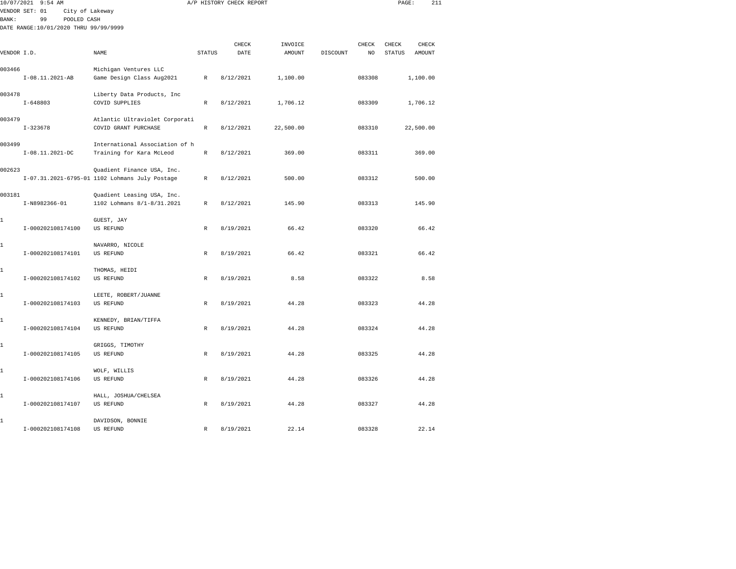|             | 10/07/2021 9:54 AM                    |                                                          |               | A/P HISTORY CHECK REPORT |               |          |        | PAGE:         | 211       |  |
|-------------|---------------------------------------|----------------------------------------------------------|---------------|--------------------------|---------------|----------|--------|---------------|-----------|--|
|             | VENDOR SET: 01<br>City of Lakeway     |                                                          |               |                          |               |          |        |               |           |  |
| BANK:       | 99<br>POOLED CASH                     |                                                          |               |                          |               |          |        |               |           |  |
|             | DATE RANGE:10/01/2020 THRU 99/99/9999 |                                                          |               |                          |               |          |        |               |           |  |
|             |                                       |                                                          |               | CHECK                    | INVOICE       |          | CHECK  | CHECK         | CHECK     |  |
| VENDOR I.D. |                                       | NAME                                                     | <b>STATUS</b> | DATE                     | <b>AMOUNT</b> | DISCOUNT | NO.    | <b>STATUS</b> | AMOUNT    |  |
|             |                                       |                                                          |               |                          |               |          |        |               |           |  |
| 003466      |                                       | Michigan Ventures LLC                                    |               |                          |               |          |        |               |           |  |
|             | I-08.11.2021-AB                       | Game Design Class Aug2021                                | $\mathbb{R}$  | 8/12/2021                | 1,100.00      |          | 083308 |               | 1,100.00  |  |
|             |                                       |                                                          |               |                          |               |          |        |               |           |  |
| 003478      |                                       | Liberty Data Products, Inc                               |               |                          |               |          |        |               |           |  |
|             | $I - 648803$                          | COVID SUPPLIES                                           | $\,$ R        | 8/12/2021                | 1,706.12      |          | 083309 |               | 1,706.12  |  |
| 003479      |                                       |                                                          |               |                          |               |          |        |               |           |  |
|             | $I-323678$                            | Atlantic Ultraviolet Corporati<br>COVID GRANT PURCHASE   | $\mathbb{R}$  | 8/12/2021                | 22,500.00     |          | 083310 |               | 22,500.00 |  |
|             |                                       |                                                          |               |                          |               |          |        |               |           |  |
| 003499      |                                       | International Association of h                           |               |                          |               |          |        |               |           |  |
|             | $I-08.11.2021-DC$                     | Training for Kara McLeod                                 | $\mathbb R$   | 8/12/2021                | 369.00        |          | 083311 |               | 369.00    |  |
|             |                                       |                                                          |               |                          |               |          |        |               |           |  |
| 002623      |                                       | Quadient Finance USA, Inc.                               |               |                          |               |          |        |               |           |  |
|             |                                       | I-07.31.2021-6795-01 1102 Lohmans July Postage           | R             | 8/12/2021                | 500.00        |          | 083312 |               | 500.00    |  |
|             |                                       |                                                          |               |                          |               |          |        |               |           |  |
| 003181      | I-N8982366-01                         | Quadient Leasing USA, Inc.<br>1102 Lohmans 8/1-8/31.2021 | R             | 8/12/2021                | 145.90        |          | 083313 |               | 145.90    |  |
|             |                                       |                                                          |               |                          |               |          |        |               |           |  |
| 1           |                                       | GUEST, JAY                                               |               |                          |               |          |        |               |           |  |
|             | I-000202108174100                     | US REFUND                                                | R             | 8/19/2021                | 66.42         |          | 083320 |               | 66.42     |  |
|             |                                       |                                                          |               |                          |               |          |        |               |           |  |
| 1           |                                       | NAVARRO, NICOLE                                          |               |                          |               |          |        |               |           |  |
|             | I-000202108174101                     | US REFUND                                                | R             | 8/19/2021                | 66.42         |          | 083321 |               | 66.42     |  |
|             |                                       |                                                          |               |                          |               |          |        |               |           |  |
| 1           | I-000202108174102                     | THOMAS, HEIDI<br><b>US REFUND</b>                        | R             | 8/19/2021                | 8.58          |          | 083322 |               | 8.58      |  |
|             |                                       |                                                          |               |                          |               |          |        |               |           |  |
| 1           |                                       | LEETE, ROBERT/JUANNE                                     |               |                          |               |          |        |               |           |  |
|             | I-000202108174103                     | <b>US REFUND</b>                                         | $\mathbb{R}$  | 8/19/2021                | 44.28         |          | 083323 |               | 44.28     |  |
|             |                                       |                                                          |               |                          |               |          |        |               |           |  |
| 1           |                                       | KENNEDY, BRIAN/TIFFA                                     |               |                          |               |          |        |               |           |  |
|             | I-000202108174104                     | <b>US REFUND</b>                                         | $\mathbb{R}$  | 8/19/2021                | 44.28         |          | 083324 |               | 44.28     |  |
|             |                                       |                                                          |               |                          |               |          |        |               |           |  |
| 1           | I-000202108174105                     | GRIGGS, TIMOTHY<br>US REFUND                             | R             | 8/19/2021                | 44.28         |          | 083325 |               | 44.28     |  |
|             |                                       |                                                          |               |                          |               |          |        |               |           |  |
| 1           |                                       | WOLF, WILLIS                                             |               |                          |               |          |        |               |           |  |
|             | I-000202108174106                     | US REFUND                                                | R             | 8/19/2021                | 44.28         |          | 083326 |               | 44.28     |  |
|             |                                       |                                                          |               |                          |               |          |        |               |           |  |
| 1           |                                       | HALL, JOSHUA/CHELSEA                                     |               |                          |               |          |        |               |           |  |
|             | I-000202108174107                     | US REFUND                                                | R             | 8/19/2021                | 44.28         |          | 083327 |               | 44.28     |  |
|             |                                       |                                                          |               |                          |               |          |        |               |           |  |
| 1           | I-000202108174108                     | DAVIDSON, BONNIE                                         |               | 8/19/2021                | 22.14         |          | 083328 |               | 22.14     |  |
|             |                                       | US REFUND                                                | R             |                          |               |          |        |               |           |  |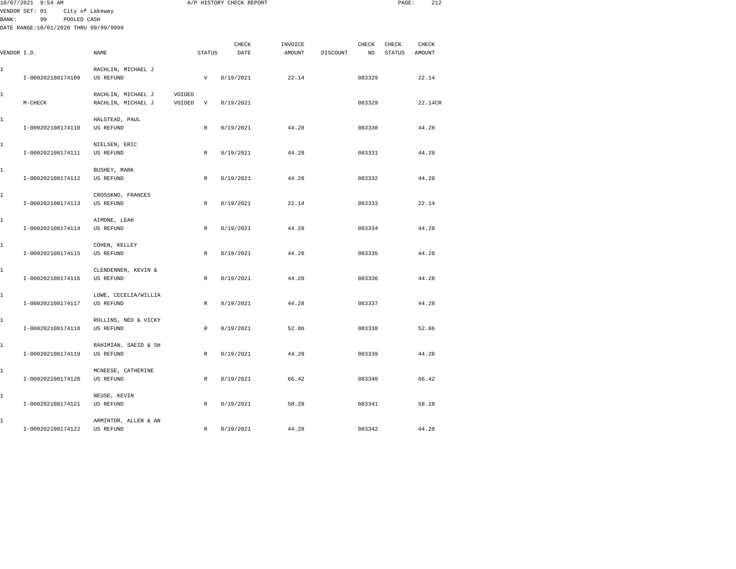|       | 10/07/2021 9:54 AM                                         |                                          |        |                           | A/P HISTORY CHECK REPORT |         |          |        | PAGE:         | 212     |  |
|-------|------------------------------------------------------------|------------------------------------------|--------|---------------------------|--------------------------|---------|----------|--------|---------------|---------|--|
|       | VENDOR SET: 01                                             | City of Lakeway                          |        |                           |                          |         |          |        |               |         |  |
| BANK: | 99<br>POOLED CASH<br>DATE RANGE:10/01/2020 THRU 99/99/9999 |                                          |        |                           |                          |         |          |        |               |         |  |
|       |                                                            |                                          |        |                           |                          |         |          |        |               |         |  |
|       |                                                            |                                          |        |                           | CHECK                    | INVOICE |          | CHECK  | CHECK         | CHECK   |  |
|       | VENDOR I.D.                                                | NAME                                     |        | <b>STATUS</b>             | DATE                     | AMOUNT  | DISCOUNT | NO     | <b>STATUS</b> | AMOUNT  |  |
|       |                                                            |                                          |        |                           |                          |         |          |        |               |         |  |
| 1     |                                                            | RACHLIN, MICHAEL J                       |        |                           |                          |         |          |        |               |         |  |
|       | I-000202108174109                                          | US REFUND                                |        | $\boldsymbol{\mathrm{V}}$ | 8/19/2021                | 22.14   |          | 083329 |               | 22.14   |  |
|       |                                                            |                                          |        |                           |                          |         |          |        |               |         |  |
| 1     |                                                            | RACHLIN, MICHAEL J                       | VOIDED |                           |                          |         |          |        |               |         |  |
|       | $M-CHECK$                                                  | RACHLIN, MICHAEL J                       | VOIDED | V                         | 8/19/2021                |         |          | 083329 |               | 22.14CR |  |
| 1     |                                                            | HALSTEAD, PAUL                           |        |                           |                          |         |          |        |               |         |  |
|       | I-000202108174110                                          | US REFUND                                |        | $\mathbb{R}$              | 8/19/2021                | 44.28   |          | 083330 |               | 44.28   |  |
|       |                                                            |                                          |        |                           |                          |         |          |        |               |         |  |
| 1     |                                                            | NIELSEN, ERIC                            |        |                           |                          |         |          |        |               |         |  |
|       | I-000202108174111                                          | <b>US REFUND</b>                         |        | $\mathbb R$               | 8/19/2021                | 44.28   |          | 083331 |               | 44.28   |  |
|       |                                                            |                                          |        |                           |                          |         |          |        |               |         |  |
| 1     |                                                            | BUSHEY, MARK                             |        |                           |                          |         |          |        |               |         |  |
|       | I-000202108174112                                          | US REFUND                                |        | $\mathbb R$               | 8/19/2021                | 44.28   |          | 083332 |               | 44.28   |  |
| 1     |                                                            | CROSSKNO, FRANCES                        |        |                           |                          |         |          |        |               |         |  |
|       | I-000202108174113                                          | <b>US REFUND</b>                         |        | $\mathbb R$               | 8/19/2021                | 22.14   |          | 083333 |               | 22.14   |  |
|       |                                                            |                                          |        |                           |                          |         |          |        |               |         |  |
| 1     |                                                            | AIMONE, LEAH                             |        |                           |                          |         |          |        |               |         |  |
|       | I-000202108174114                                          | <b>US REFUND</b>                         |        | $\mathbb{R}$              | 8/19/2021                | 44.28   |          | 083334 |               | 44.28   |  |
|       |                                                            |                                          |        |                           |                          |         |          |        |               |         |  |
| 1     |                                                            | COHEN, KELLEY                            |        |                           |                          |         |          |        |               |         |  |
|       | I-000202108174115                                          | <b>US REFUND</b>                         |        | $\mathbb{R}$              | 8/19/2021                | 44.28   |          | 083335 |               | 44.28   |  |
|       |                                                            |                                          |        |                           |                          |         |          |        |               |         |  |
| 1     | I-000202108174116                                          | CLENDENNEN, KEVIN &<br><b>US REFUND</b>  |        | $\mathbb{R}$              | 8/19/2021                | 44.28   |          | 083336 |               | 44.28   |  |
|       |                                                            |                                          |        |                           |                          |         |          |        |               |         |  |
| 1     |                                                            | LOWE, CECELIA/WILLIA                     |        |                           |                          |         |          |        |               |         |  |
|       | I-000202108174117                                          | <b>US REFUND</b>                         |        | $\mathbb R$               | 8/19/2021                | 44.28   |          | 083337 |               | 44.28   |  |
|       |                                                            |                                          |        |                           |                          |         |          |        |               |         |  |
| 1     |                                                            | ROLLINS, NED & VICKY                     |        |                           |                          |         |          |        |               |         |  |
|       | I-000202108174118                                          | <b>US REFUND</b>                         |        | $\mathbb{R}$              | 8/19/2021                | 52.86   |          | 083338 |               | 52.86   |  |
|       |                                                            |                                          |        |                           |                          |         |          |        |               |         |  |
| 1     | I-000202108174119                                          | RAHIMIAN, SAEID & SH<br><b>US REFUND</b> |        | $\mathbb{R}$              | 8/19/2021                | 44.28   |          | 083339 |               | 44.28   |  |
|       |                                                            |                                          |        |                           |                          |         |          |        |               |         |  |
| 1     |                                                            | MCNEESE, CATHERINE                       |        |                           |                          |         |          |        |               |         |  |
|       | I-000202108174120                                          | US REFUND                                |        | $\mathbb R$               | 8/19/2021                | 66.42   |          | 083340 |               | 66.42   |  |
|       |                                                            |                                          |        |                           |                          |         |          |        |               |         |  |
| 1     |                                                            | NEUSE, KEVIN                             |        |                           |                          |         |          |        |               |         |  |
|       | I-000202108174121                                          | US REFUND                                |        | R                         | 8/19/2021                | 58.28   |          | 083341 |               | 58.28   |  |
|       |                                                            |                                          |        |                           |                          |         |          |        |               |         |  |
| 1     |                                                            | ARMINTOR, ALLEN & AN                     |        |                           |                          |         |          |        |               |         |  |
|       | I-000202108174122                                          | US REFUND                                |        | $\mathbb R$               | 8/19/2021                | 44.28   |          | 083342 |               | 44.28   |  |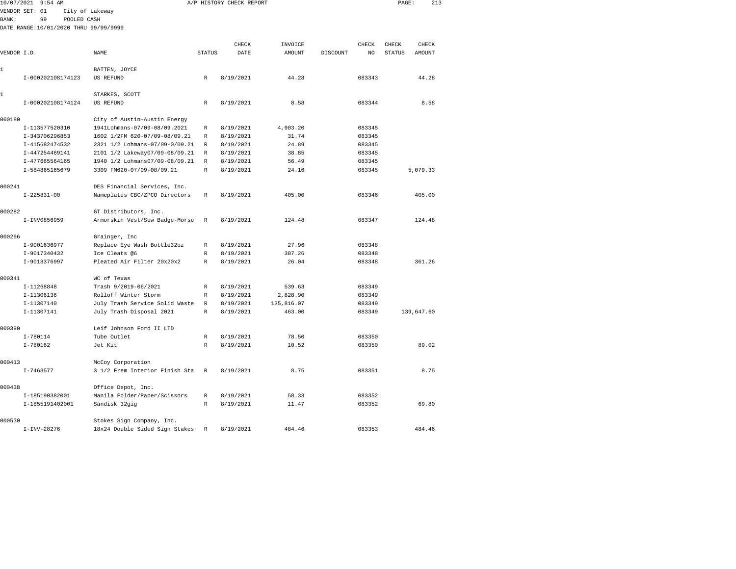| 10/07/2021   | $9:54$ AM                             |                                |                  | A/P HISTORY CHECK REPORT |                |                 |                  | PAGE:         | 213        |  |
|--------------|---------------------------------------|--------------------------------|------------------|--------------------------|----------------|-----------------|------------------|---------------|------------|--|
|              | VENDOR SET: 01                        | City of Lakeway                |                  |                          |                |                 |                  |               |            |  |
| <b>BANK:</b> | 99<br>POOLED CASH                     |                                |                  |                          |                |                 |                  |               |            |  |
|              | DATE RANGE:10/01/2020 THRU 99/99/9999 |                                |                  |                          |                |                 |                  |               |            |  |
|              |                                       |                                |                  |                          |                |                 |                  |               |            |  |
|              |                                       |                                |                  | CHECK                    | INVOICE        |                 | CHECK            | CHECK         | CHECK      |  |
| VENDOR I.D.  |                                       | <b>NAME</b>                    | <b>STATUS</b>    | DATE                     | <b>AMOUNT</b>  | <b>DISCOUNT</b> | NO.              | <b>STATUS</b> | AMOUNT     |  |
|              |                                       |                                |                  |                          |                |                 |                  |               |            |  |
| 1            |                                       | BATTEN, JOYCE                  |                  |                          |                |                 |                  |               |            |  |
|              | I-000202108174123                     | US REFUND                      | R                | 8/19/2021                | 44.28          |                 | 083343           |               | 44.28      |  |
| 1            |                                       | STARKES, SCOTT                 |                  |                          |                |                 |                  |               |            |  |
|              | I-000202108174124                     | US REFUND                      | $\mathbb{R}$     | 8/19/2021                | 8.58           |                 | 083344           |               | 8.58       |  |
|              |                                       |                                |                  |                          |                |                 |                  |               |            |  |
| 000180       |                                       | City of Austin-Austin Energy   |                  |                          |                |                 |                  |               |            |  |
|              | I-113577520310                        | 1941Lohmans-07/09-08/09.2021   | R                | 8/19/2021                | 4,903.20       |                 | 083345           |               |            |  |
|              | I-343706296853                        | 1602 1/2FM 620-07/09-08/09.21  | R                | 8/19/2021                | 31.74          |                 | 083345           |               |            |  |
|              | I-415682474532                        | 2321 1/2 Lohmans-07/09-0/09.21 | R                | 8/19/2021                | 24.89          |                 | 083345           |               |            |  |
|              | I-447254469141                        | 2101 1/2 Lakeway07/09-08/09.21 | R                | 8/19/2021                | 38.85          |                 | 083345           |               |            |  |
|              | I-477665564165                        | 1940 1/2 Lohmans07/09-08/09.21 | $\mathbb R$      | 8/19/2021                | 56.49          |                 | 083345           |               |            |  |
|              | I-584865165679                        | 3309 FM620-07/09-08/09.21      | $\mathbb{R}$     | 8/19/2021                | 24.16          |                 | 083345           |               | 5,079.33   |  |
|              |                                       |                                |                  |                          |                |                 |                  |               |            |  |
| 000241       |                                       | DES Financial Services, Inc.   |                  |                          |                |                 |                  |               |            |  |
|              | $I-225831-00$                         | Nameplates CBC/ZPCO Directors  | R                | 8/19/2021                | 405.00         |                 | 083346           |               | 405.00     |  |
|              |                                       |                                |                  |                          |                |                 |                  |               |            |  |
| 000282       | I-INV0856959                          | GT Distributors, Inc.          | R                | 8/19/2021                | 124.48         |                 | 083347           |               | 124.48     |  |
|              |                                       | Armorskin Vest/Sew Badge-Morse |                  |                          |                |                 |                  |               |            |  |
| 000296       |                                       | Grainger, Inc                  |                  |                          |                |                 |                  |               |            |  |
|              | I-9001636977                          | Replace Eye Wash Bottle32oz    | $\mathbb{R}$     | 8/19/2021                | 27.96          |                 | 083348           |               |            |  |
|              | I-9017340432                          | Ice Cleats @6                  | R                | 8/19/2021                | 307.26         |                 | 083348           |               |            |  |
|              | I-9018376997                          | Pleated Air Filter 20x20x2     | $\mathbb{R}$     | 8/19/2021                | 26.04          |                 | 083348           |               | 361.26     |  |
|              |                                       |                                |                  |                          |                |                 |                  |               |            |  |
| 000341       |                                       | WC of Texas                    |                  |                          |                |                 |                  |               |            |  |
|              | I-11268848                            | Trash 9/2019-06/2021           | R                | 8/19/2021                | 539.63         |                 | 083349           |               |            |  |
|              | I-11306136                            | Rolloff Winter Storm           | R                | 8/19/2021                | 2,828.90       |                 | 083349           |               |            |  |
|              | I-11307140                            | July Trash Service Solid Waste | R                | 8/19/2021                | 135,816.07     |                 | 083349           |               |            |  |
|              | I-11307141                            | July Trash Disposal 2021       | R                | 8/19/2021                | 463.00         |                 | 083349           |               | 139,647.60 |  |
|              |                                       |                                |                  |                          |                |                 |                  |               |            |  |
| 000390       |                                       | Leif Johnson Ford II LTD       |                  |                          |                |                 |                  |               |            |  |
|              | $I - 780114$<br>$I-780162$            | Tube Outlet<br>Jet Kit         | R<br>$\mathbb R$ | 8/19/2021<br>8/19/2021   | 78.50<br>10.52 |                 | 083350<br>083350 |               | 89.02      |  |
|              |                                       |                                |                  |                          |                |                 |                  |               |            |  |
| 000413       |                                       | McCoy Corporation              |                  |                          |                |                 |                  |               |            |  |
|              | $I - 7463577$                         | 3 1/2 Frem Interior Finish Sta | R                | 8/19/2021                | 8.75           |                 | 083351           |               | 8.75       |  |
|              |                                       |                                |                  |                          |                |                 |                  |               |            |  |
| 000438       |                                       | Office Depot, Inc.             |                  |                          |                |                 |                  |               |            |  |
|              | I-185190382001                        | Manila Folder/Paper/Scissors   | R                | 8/19/2021                | 58.33          |                 | 083352           |               |            |  |
|              | I-1855191402001                       | Sandisk 32gig                  | R                | 8/19/2021                | 11.47          |                 | 083352           |               | 69.80      |  |
|              |                                       |                                |                  |                          |                |                 |                  |               |            |  |
| 000530       |                                       | Stokes Sign Company, Inc.      |                  |                          |                |                 |                  |               |            |  |

I-INV-28276 18x24 Double Sided Sign Stakes R 8/19/2021 484.46 083353 484.46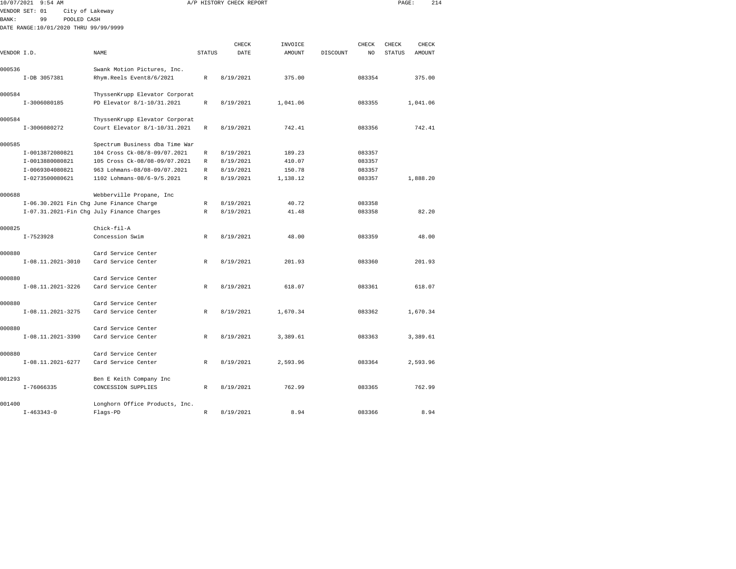|              | 10/07/2021 9:54 AM                       |                                           |               | A/P HISTORY CHECK REPORT |               |          |        | PAGE:         | 214           |  |
|--------------|------------------------------------------|-------------------------------------------|---------------|--------------------------|---------------|----------|--------|---------------|---------------|--|
|              | VENDOR SET: 01<br>City of Lakeway        |                                           |               |                          |               |          |        |               |               |  |
| <b>BANK:</b> | 99<br>POOLED CASH                        |                                           |               |                          |               |          |        |               |               |  |
|              | DATE RANGE:10/01/2020 THRU 99/99/9999    |                                           |               |                          |               |          |        |               |               |  |
|              |                                          |                                           |               | CHECK                    | INVOICE       |          | CHECK  | CHECK         | CHECK         |  |
| VENDOR I.D.  |                                          | NAME                                      | <b>STATUS</b> | DATE                     | <b>AMOUNT</b> | DISCOUNT | NO.    | <b>STATUS</b> | <b>AMOUNT</b> |  |
|              |                                          |                                           |               |                          |               |          |        |               |               |  |
| 000536       |                                          | Swank Motion Pictures, Inc.               |               |                          |               |          |        |               |               |  |
|              | I-DB 3057381                             | Rhym.Reels Event8/6/2021                  | $\mathbb{R}$  | 8/19/2021                | 375.00        |          | 083354 |               | 375.00        |  |
| 000584       |                                          | ThyssenKrupp Elevator Corporat            |               |                          |               |          |        |               |               |  |
|              | I-3006080185                             | PD Elevator 8/1-10/31.2021                | $\mathbb R$   | 8/19/2021                | 1,041.06      |          | 083355 |               | 1,041.06      |  |
| 000584       |                                          | ThyssenKrupp Elevator Corporat            |               |                          |               |          |        |               |               |  |
|              | I-3006080272                             | Court Elevator 8/1-10/31.2021             | $\mathbb{R}$  | 8/19/2021                | 742.41        |          | 083356 |               | 742.41        |  |
| 000585       |                                          | Spectrum Business dba Time War            |               |                          |               |          |        |               |               |  |
|              | I-0013872080821                          | 104 Cross Ck-08/8-09/07.2021              | R             | 8/19/2021                | 189.23        |          | 083357 |               |               |  |
|              | I-0013880080821                          | 105 Cross Ck-08/08-09/07.2021             | R             | 8/19/2021                | 410.07        |          | 083357 |               |               |  |
|              | I-0069304080821                          | 963 Lohmans-08/08-09/07.2021              | $\mathbb R$   | 8/19/2021                | 150.78        |          | 083357 |               |               |  |
|              | I-0273500080621                          | 1102 Lohmans-08/6-9/5.2021                | $\mathbb{R}$  | 8/19/2021                | 1,138.12      |          | 083357 |               | 1,888.20      |  |
| 000688       |                                          | Webberville Propane, Inc                  |               |                          |               |          |        |               |               |  |
|              | I-06.30.2021 Fin Chg June Finance Charge |                                           | R             | 8/19/2021                | 40.72         |          | 083358 |               |               |  |
|              |                                          | I-07.31.2021-Fin Chg July Finance Charges | R             | 8/19/2021                | 41.48         |          | 083358 |               | 82.20         |  |
| 000825       |                                          | Chick-fil-A                               |               |                          |               |          |        |               |               |  |
|              | $I-7523928$                              | Concession Swim                           | R             | 8/19/2021                | 48.00         |          | 083359 |               | 48.00         |  |
| 000880       |                                          | Card Service Center                       |               |                          |               |          |        |               |               |  |
|              | I-08.11.2021-3010                        | Card Service Center                       | $\mathbb R$   | 8/19/2021                | 201.93        |          | 083360 |               | 201.93        |  |
| 000880       |                                          | Card Service Center                       |               |                          |               |          |        |               |               |  |
|              | I-08.11.2021-3226                        | Card Service Center                       | R             | 8/19/2021                | 618.07        |          | 083361 |               | 618.07        |  |
| 000880       |                                          | Card Service Center                       |               |                          |               |          |        |               |               |  |
|              | I-08.11.2021-3275                        | Card Service Center                       | R             | 8/19/2021                | 1,670.34      |          | 083362 |               | 1,670.34      |  |
| 000880       |                                          | Card Service Center                       |               |                          |               |          |        |               |               |  |
|              | I-08.11.2021-3390                        | Card Service Center                       | R             | 8/19/2021                | 3,389.61      |          | 083363 |               | 3,389.61      |  |
| 000880       |                                          | Card Service Center                       |               |                          |               |          |        |               |               |  |
|              | I-08.11.2021-6277                        | Card Service Center                       | $\mathbb R$   | 8/19/2021                | 2,593.96      |          | 083364 |               | 2,593.96      |  |
| 001293       |                                          | Ben E Keith Company Inc                   |               |                          |               |          |        |               |               |  |
|              | $I - 76066335$                           | CONCESSION SUPPLIES                       | R             | 8/19/2021                | 762.99        |          | 083365 |               | 762.99        |  |
| 001400       |                                          | Longhorn Office Products, Inc.            |               |                          |               |          |        |               |               |  |

I-463343-0 Flags-PD R 8/19/2021 8.94 083366 8.94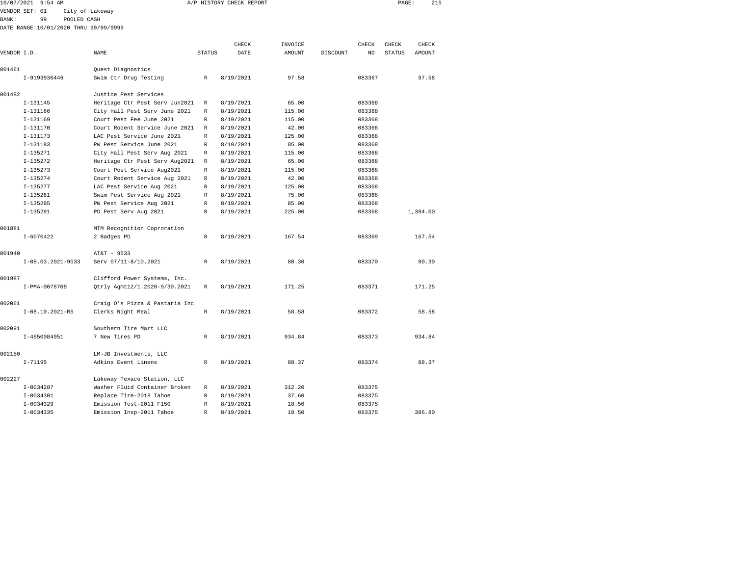| 10/07/2021 9:54 AM |    |                                       |        | A/P HISTORY CHECK REPORT |         |          |       | PAGE:         | 215    |
|--------------------|----|---------------------------------------|--------|--------------------------|---------|----------|-------|---------------|--------|
| VENDOR SET: 01     |    | City of Lakeway                       |        |                          |         |          |       |               |        |
| BANK :             | 99 | POOLED CASH                           |        |                          |         |          |       |               |        |
|                    |    | DATE RANGE:10/01/2020 THRU 99/99/9999 |        |                          |         |          |       |               |        |
|                    |    |                                       |        |                          |         |          |       |               |        |
|                    |    |                                       |        | CHECK                    | INVOICE |          | CHECK | CHECK         | CHECK  |
| VENDOR I.D.        |    | NAME                                  | STATUS | DATE                     | AMOUNT  | DISCOUNT | NO    | <b>STATUS</b> | AMOUNT |
| 001461             |    | Quest Diagnostics                     |        |                          |         |          |       |               |        |

|        | I-9193936446        | Swim Ctr Drug Testing          | R            | 8/19/2021 | 97.58  | 083367 | 97.58    |
|--------|---------------------|--------------------------------|--------------|-----------|--------|--------|----------|
| 001482 |                     | Justice Pest Services          |              |           |        |        |          |
|        | $I-131145$          | Heritage Ctr Pest Serv Jun2021 | R            | 8/19/2021 | 65.00  | 083368 |          |
|        | $I-131166$          | City Hall Pest Serv June 2021  | R            | 8/19/2021 | 115.00 | 083368 |          |
|        | $I-131169$          | Court Pest Fee June 2021       | R            | 8/19/2021 | 115.00 | 083368 |          |
|        | $I-131170$          | Court Rodent Service June 2021 | R            | 8/19/2021 | 42.00  | 083368 |          |
|        | $I-131173$          | LAC Pest Service June 2021     | R            | 8/19/2021 | 125.00 | 083368 |          |
|        | $I-131183$          | PW Pest Service June 2021      | R            | 8/19/2021 | 85.00  | 083368 |          |
|        | $I-135271$          | City Hall Pest Serv Aug 2021   | R            | 8/19/2021 | 115.00 | 083368 |          |
|        | $I-135272$          | Heritage Ctr Pest Serv Aug2021 | $\mathbb{R}$ | 8/19/2021 | 65.00  | 083368 |          |
|        | $I-135273$          | Court Pest Service Aug2021     | R            | 8/19/2021 | 115.00 | 083368 |          |
|        | $I-135274$          | Court Rodent Service Aug 2021  | R            | 8/19/2021 | 42.00  | 083368 |          |
|        | $I-135277$          | LAC Pest Service Aug 2021      | $\mathbb{R}$ | 8/19/2021 | 125.00 | 083368 |          |
|        | $I-135281$          | Swim Pest Service Aug 2021     | R            | 8/19/2021 | 75.00  | 083368 |          |
|        | $I-135285$          | PW Pest Service Aug 2021       | R            | 8/19/2021 | 85.00  | 083368 |          |
|        | $I-135291$          | PD Pest Serv Aug 2021          | R            | 8/19/2021 | 225.00 | 083368 | 1,394.00 |
| 001881 |                     | MTM Recognition Coproration    |              |           |        |        |          |
|        | $I - 6070422$       | 2 Badges PD                    | $\mathbb{R}$ | 8/19/2021 | 167.54 | 083369 | 167.54   |
| 001940 |                     | AT&T - 9533                    |              |           |        |        |          |
|        | $I-08.03.2021-9533$ | Serv 07/11-8/10.2021           | $\mathbb{R}$ | 8/19/2021 | 80.30  | 083370 | 80.30    |
| 001987 |                     | Clifford Power Systems, Inc.   |              |           |        |        |          |
|        | I-PMA-0078709       | Otrly Agmt12/1.2020-9/30.2021  | $\mathbb{R}$ | 8/19/2021 | 171.25 | 083371 | 171.25   |
| 002061 |                     | Craig O's Pizza & Pastaria Inc |              |           |        |        |          |
|        | $I-08.10.2021-RS$   | Clerks Night Meal              | $\mathbb{R}$ | 8/19/2021 | 58.58  | 083372 | 58.58    |
| 002091 |                     | Southern Tire Mart LLC         |              |           |        |        |          |
|        | I-4650084951        | 7 New Tires PD                 | $\mathbb{R}$ | 8/19/2021 | 934.84 | 083373 | 934.84   |
| 002150 |                     | LM-JB Investments, LLC         |              |           |        |        |          |
|        | $I - 71195$         | Adkins Event Linens            | $\mathbb{R}$ | 8/19/2021 | 88.37  | 083374 | 88.37    |
| 002227 |                     | Lakeway Texaco Station, LLC    |              |           |        |        |          |
|        | $I-0034287$         | Washer Fluid Container Broken  | R            | 8/19/2021 | 312.20 | 083375 |          |
|        | $I-0034301$         | Replace Tire-2018 Tahoe        | $\mathbb R$  | 8/19/2021 | 37.60  | 083375 |          |
|        | $I-0034329$         | Emission Test-2011 F150        | $\mathbb{R}$ | 8/19/2021 | 18.50  | 083375 |          |
|        | $I-0034335$         | Emission Insp-2011 Tahoe       | R            | 8/19/2021 | 18.50  | 083375 | 386.80   |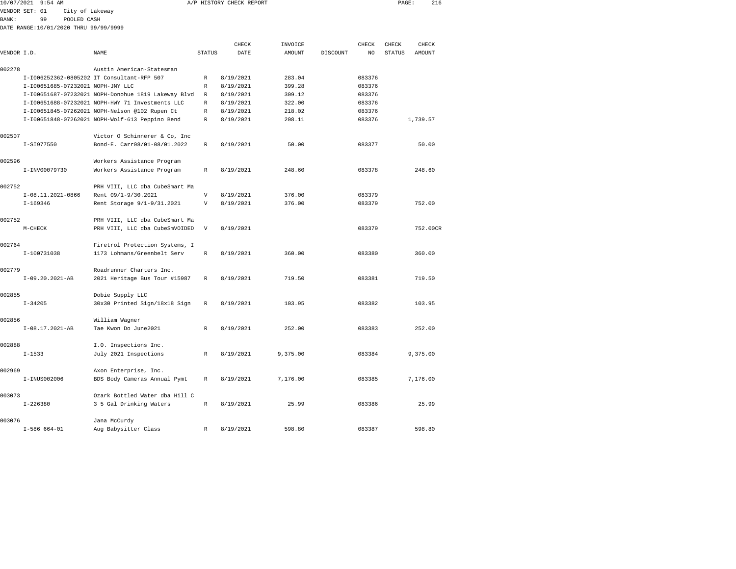| 10/07/2021   | $9:54$ AM                             |                 |                                                     |                           | A/P HISTORY CHECK REPORT |          |          |                | PAGE:         | 216      |  |
|--------------|---------------------------------------|-----------------|-----------------------------------------------------|---------------------------|--------------------------|----------|----------|----------------|---------------|----------|--|
|              | VENDOR SET: 01                        | City of Lakeway |                                                     |                           |                          |          |          |                |               |          |  |
| <b>BANK:</b> | 99                                    | POOLED CASH     |                                                     |                           |                          |          |          |                |               |          |  |
|              | DATE RANGE:10/01/2020 THRU 99/99/9999 |                 |                                                     |                           |                          |          |          |                |               |          |  |
|              |                                       |                 |                                                     |                           |                          |          |          |                |               |          |  |
|              |                                       |                 |                                                     |                           | CHECK                    | INVOICE  |          | CHECK          | CHECK         | CHECK    |  |
| VENDOR I.D.  |                                       |                 | <b>NAME</b>                                         | <b>STATUS</b>             | DATE                     | AMOUNT   | DISCOUNT | N <sub>O</sub> | <b>STATUS</b> | AMOUNT   |  |
| 002278       |                                       |                 | Austin American-Statesman                           |                           |                          |          |          |                |               |          |  |
|              |                                       |                 | I-I006252362-0805202 IT Consultant-RFP 507          | $\mathbb{R}$              | 8/19/2021                | 283.04   |          | 083376         |               |          |  |
|              | I-100651685-07232021 NOPH-JNY LLC     |                 |                                                     | $\mathbb{R}$              | 8/19/2021                | 399.28   |          | 083376         |               |          |  |
|              |                                       |                 | I-I00651687-07232021 NOPH-Donohue 1819 Lakeway Blvd | R                         | 8/19/2021                | 309.12   |          | 083376         |               |          |  |
|              |                                       |                 | I-I00651688-07232021 NOPH-HWY 71 Investments LLC    | R                         | 8/19/2021                | 322.00   |          | 083376         |               |          |  |
|              |                                       |                 | I-I00651845-07262021 NOPH-Nelson @102 Rupen Ct      | $\mathbb{R}$              | 8/19/2021                | 218.02   |          | 083376         |               |          |  |
|              |                                       |                 | I-I00651848-07262021 NOPH-Wolf-613 Peppino Bend     | R                         | 8/19/2021                | 208.11   |          | 083376         |               | 1,739.57 |  |
|              |                                       |                 |                                                     |                           |                          |          |          |                |               |          |  |
| 002507       |                                       |                 | Victor O Schinnerer & Co, Inc                       |                           |                          |          |          |                |               |          |  |
|              | I-SI977550                            |                 | Bond-E. Carr08/01-08/01.2022                        | $\mathbb{R}$              | 8/19/2021                | 50.00    |          | 083377         |               | 50.00    |  |
|              |                                       |                 |                                                     |                           |                          |          |          |                |               |          |  |
| 002596       |                                       |                 | Workers Assistance Program                          |                           |                          |          |          |                |               |          |  |
|              | I-INV00079730                         |                 | Workers Assistance Program                          | R                         | 8/19/2021                | 248.60   |          | 083378         |               | 248.60   |  |
|              |                                       |                 |                                                     |                           |                          |          |          |                |               |          |  |
| 002752       |                                       |                 | PRH VIII, LLC dba CubeSmart Ma                      |                           |                          |          |          |                |               |          |  |
|              | I-08.11.2021-0866                     |                 | Rent 09/1-9/30.2021                                 | $\boldsymbol{\mathrm{V}}$ | 8/19/2021                | 376.00   |          | 083379         |               |          |  |
|              | $I-169346$                            |                 | Rent Storage 9/1-9/31.2021                          | V                         | 8/19/2021                | 376.00   |          | 083379         |               | 752.00   |  |
| 002752       |                                       |                 | PRH VIII, LLC dba CubeSmart Ma                      |                           |                          |          |          |                |               |          |  |
|              | $M-CHECK$                             |                 | PRH VIII, LLC dba CubeSmVOIDED                      | $\mathbf{V}$              | 8/19/2021                |          |          | 083379         |               | 752.00CR |  |
|              |                                       |                 |                                                     |                           |                          |          |          |                |               |          |  |
| 002764       |                                       |                 | Firetrol Protection Systems, I                      |                           |                          |          |          |                |               |          |  |
|              | I-100731038                           |                 | 1173 Lohmans/Greenbelt Serv                         | $\mathbb{R}$              | 8/19/2021                | 360.00   |          | 083380         |               | 360.00   |  |
|              |                                       |                 |                                                     |                           |                          |          |          |                |               |          |  |
| 002779       |                                       |                 | Roadrunner Charters Inc.                            |                           |                          |          |          |                |               |          |  |
|              | $I-09.20.2021-AB$                     |                 | 2021 Heritage Bus Tour #15987                       | $\mathbb{R}$              | 8/19/2021                | 719.50   |          | 083381         |               | 719.50   |  |
|              |                                       |                 |                                                     |                           |                          |          |          |                |               |          |  |
| 002855       |                                       |                 | Dobie Supply LLC                                    |                           |                          |          |          |                |               |          |  |
|              | $I - 34205$                           |                 | 30x30 Printed Sign/18x18 Sign                       | R                         | 8/19/2021                | 103.95   |          | 083382         |               | 103.95   |  |
|              |                                       |                 |                                                     |                           |                          |          |          |                |               |          |  |
| 002856       |                                       |                 | William Wagner                                      |                           |                          |          |          |                |               |          |  |
|              | I-08.17.2021-AB                       |                 | Tae Kwon Do June2021                                | $\mathbb{R}$              | 8/19/2021                | 252.00   |          | 083383         |               | 252.00   |  |
| 002888       |                                       |                 | I.O. Inspections Inc.                               |                           |                          |          |          |                |               |          |  |
|              | $I - 1533$                            |                 | July 2021 Inspections                               | $\mathbb{R}$              | 8/19/2021                | 9,375.00 |          | 083384         |               | 9.375.00 |  |
|              |                                       |                 |                                                     |                           |                          |          |          |                |               |          |  |
| 002969       |                                       |                 | Axon Enterprise, Inc.                               |                           |                          |          |          |                |               |          |  |
|              | I-INUS002006                          |                 | BDS Body Cameras Annual Pymt                        | R                         | 8/19/2021                | 7,176.00 |          | 083385         |               | 7,176.00 |  |
|              |                                       |                 |                                                     |                           |                          |          |          |                |               |          |  |
| 003073       |                                       |                 | Ozark Bottled Water dba Hill C                      |                           |                          |          |          |                |               |          |  |
|              | $I - 226380$                          |                 | 3 5 Gal Drinking Waters                             | R                         | 8/19/2021                | 25.99    |          | 083386         |               | 25.99    |  |
|              |                                       |                 |                                                     |                           |                          |          |          |                |               |          |  |

I-586 664-01 Aug Babysitter Class R 8/19/2021 598.80 083387 598.80

003076 Jana McCurdy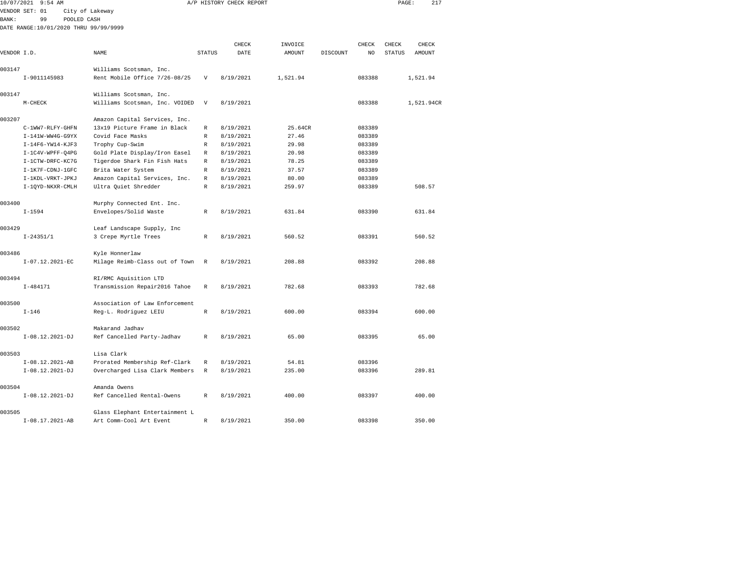| 10/07/2021   | $9:54$ AM                             |                                |               | A/P HISTORY CHECK REPORT |          |          |        | PAGE:         | 217        |  |
|--------------|---------------------------------------|--------------------------------|---------------|--------------------------|----------|----------|--------|---------------|------------|--|
|              | VENDOR SET: 01                        | City of Lakeway                |               |                          |          |          |        |               |            |  |
| <b>BANK:</b> | 99<br>POOLED CASH                     |                                |               |                          |          |          |        |               |            |  |
|              | DATE RANGE:10/01/2020 THRU 99/99/9999 |                                |               |                          |          |          |        |               |            |  |
|              |                                       |                                |               |                          |          |          |        |               |            |  |
|              |                                       |                                |               | CHECK                    | INVOICE  |          | CHECK  | CHECK         | CHECK      |  |
| VENDOR I.D.  |                                       | NAME                           | <b>STATUS</b> | DATE                     | AMOUNT   | DISCOUNT | NO     | <b>STATUS</b> | AMOUNT     |  |
| 003147       |                                       | Williams Scotsman, Inc.        |               |                          |          |          |        |               |            |  |
|              | I-9011145983                          | Rent Mobile Office 7/26-08/25  | V             | 8/19/2021                | 1,521.94 |          | 083388 |               | 1,521.94   |  |
| 003147       |                                       | Williams Scotsman, Inc.        |               |                          |          |          |        |               |            |  |
|              | $M-CHECK$                             | Williams Scotsman, Inc. VOIDED | $\mathbf{V}$  | 8/19/2021                |          |          | 083388 |               | 1,521.94CR |  |
| 003207       |                                       | Amazon Capital Services, Inc.  |               |                          |          |          |        |               |            |  |
|              | C-1WW7-RLFY-GHFN                      | 13x19 Picture Frame in Black   | $\mathbb R$   | 8/19/2021                | 25.64CR  |          | 083389 |               |            |  |
|              | I-141W-WW4G-G9YX                      | Covid Face Masks               | R             | 8/19/2021                | 27.46    |          | 083389 |               |            |  |
|              | I-14F6-YW14-KJF3                      | Trophy Cup-Swim                | R             | 8/19/2021                | 29.98    |          | 083389 |               |            |  |
|              | I-1C4V-WPFF-04PG                      | Gold Plate Display/Iron Easel  | $\mathbb R$   | 8/19/2021                | 20.98    |          | 083389 |               |            |  |
|              |                                       |                                |               |                          | 78.25    |          |        |               |            |  |
|              | I-1CTW-DRFC-KC7G                      | Tigerdoe Shark Fin Fish Hats   | R             | 8/19/2021                |          |          | 083389 |               |            |  |
|              | I-1K7F-CDNJ-1GFC                      | Brita Water System             | R             | 8/19/2021                | 37.57    |          | 083389 |               |            |  |
|              | I-1KDL-VRKT-JPKJ                      | Amazon Capital Services, Inc.  | $\mathbb R$   | 8/19/2021                | 80.00    |          | 083389 |               |            |  |
|              | I-1QYD-NKXR-CMLH                      | Ultra Quiet Shredder           | $\mathbb R$   | 8/19/2021                | 259.97   |          | 083389 |               | 508.57     |  |
| 003400       |                                       | Murphy Connected Ent. Inc.     |               |                          |          |          |        |               |            |  |
|              | $I - 1594$                            | Envelopes/Solid Waste          | R             | 8/19/2021                | 631.84   |          | 083390 |               | 631.84     |  |
| 003429       |                                       | Leaf Landscape Supply, Inc     |               |                          |          |          |        |               |            |  |
|              | $I - 24351/1$                         | 3 Crepe Myrtle Trees           | R             | 8/19/2021                | 560.52   |          | 083391 |               | 560.52     |  |
|              |                                       |                                |               |                          |          |          |        |               |            |  |
| 003486       |                                       | Kyle Honnerlaw                 |               |                          |          |          |        |               |            |  |
|              | I-07.12.2021-EC                       | Milage Reimb-Class out of Town | R             | 8/19/2021                | 208.88   |          | 083392 |               | 208.88     |  |
| 003494       |                                       | RI/RMC Aquisition LTD          |               |                          |          |          |        |               |            |  |
|              | $I - 484171$                          | Transmission Repair2016 Tahoe  | $\mathbb{R}$  | 8/19/2021                | 782.68   |          | 083393 |               | 782.68     |  |
| 003500       |                                       | Association of Law Enforcement |               |                          |          |          |        |               |            |  |
|              | $I - 146$                             | Reg-L. Rodriguez LEIU          | $\mathbb R$   | 8/19/2021                | 600.00   |          | 083394 |               | 600.00     |  |
|              |                                       |                                |               |                          |          |          |        |               |            |  |
| 003502       |                                       | Makarand Jadhav                |               |                          |          |          |        |               |            |  |
|              | I-08.12.2021-DJ                       | Ref Cancelled Party-Jadhav     | $\mathbb R$   | 8/19/2021                | 65.00    |          | 083395 |               | 65.00      |  |
|              |                                       |                                |               |                          |          |          |        |               |            |  |
| 003503       |                                       | Lisa Clark                     |               |                          |          |          |        |               |            |  |
|              | $I-08.12.2021-AB$                     | Prorated Membership Ref-Clark  | R             | 8/19/2021                | 54.81    |          | 083396 |               |            |  |
|              | I-08.12.2021-DJ                       | Overcharged Lisa Clark Members | R             | 8/19/2021                | 235.00   |          | 083396 |               | 289.81     |  |
| 003504       |                                       | Amanda Owens                   |               |                          |          |          |        |               |            |  |
|              | $I-08.12.2021-DJ$                     | Ref Cancelled Rental-Owens     | R             | 8/19/2021                | 400.00   |          | 083397 |               | 400.00     |  |
|              |                                       |                                |               |                          |          |          |        |               |            |  |

I-08.17.2021-AB Art Comm-Cool Art Event R 8/19/2021 350.00 083398 350.00

003505 Glass Elephant Entertainment L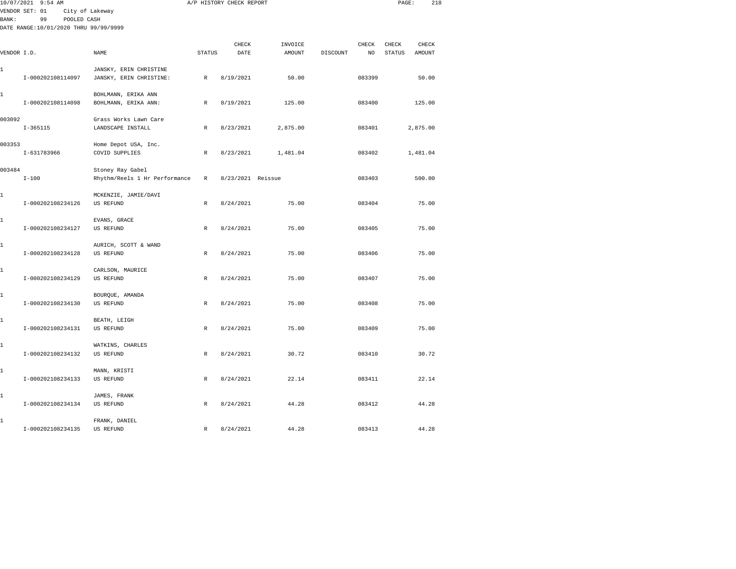|             | 10/07/2021 9:54 AM                                                           |                                                   |               | A/P HISTORY CHECK REPORT |                          |          |             | PAGE:                  | 218                    |
|-------------|------------------------------------------------------------------------------|---------------------------------------------------|---------------|--------------------------|--------------------------|----------|-------------|------------------------|------------------------|
| BANK:       | VENDOR SET: 01<br>99<br>POOLED CASH<br>DATE RANGE:10/01/2020 THRU 99/99/9999 | City of Lakeway                                   |               |                          |                          |          |             |                        |                        |
| VENDOR I.D. |                                                                              | NAME                                              | <b>STATUS</b> | CHECK<br>DATE            | INVOICE<br><b>AMOUNT</b> | DISCOUNT | CHECK<br>NO | CHECK<br><b>STATUS</b> | CHECK<br><b>AMOUNT</b> |
| 1           | I-000202108114097                                                            | JANSKY, ERIN CHRISTINE<br>JANSKY, ERIN CHRISTINE: | $\mathbb{R}$  | 8/19/2021                | 50.00                    |          | 083399      |                        | 50.00                  |
| 1           | I-000202108114098                                                            | BOHLMANN, ERIKA ANN<br>BOHLMANN, ERIKA ANN:       | $\,$ R        | 8/19/2021                | 125.00                   |          | 083400      |                        | 125.00                 |
| 003092      | $I-365115$                                                                   | Grass Works Lawn Care<br>LANDSCAPE INSTALL        | $\mathbb{R}$  | 8/23/2021                | 2,875.00                 |          | 083401      |                        | 2,875.00               |
| 003353      | I-631783966                                                                  | Home Depot USA, Inc.<br>COVID SUPPLIES            | R             | 8/23/2021                | 1,481.04                 |          | 083402      |                        | 1,481.04               |
| 003484      | $I - 100$                                                                    | Stoney Ray Gabel<br>Rhythm/Reels 1 Hr Performance | R             | 8/23/2021 Reissue        |                          |          | 083403      |                        | 500.00                 |
| 1           | I-000202108234126                                                            | MCKENZIE, JAMIE/DAVI<br>US REFUND                 | R             | 8/24/2021                | 75.00                    |          | 083404      |                        | 75.00                  |
| 1           | I-000202108234127                                                            | EVANS, GRACE<br><b>US REFUND</b>                  | $\mathbb R$   | 8/24/2021                | 75.00                    |          | 083405      |                        | 75.00                  |
| 1           | I-000202108234128                                                            | AURICH, SCOTT & WAND<br><b>US REFUND</b>          | $\mathbb{R}$  | 8/24/2021                | 75.00                    |          | 083406      |                        | 75.00                  |
| 1           | I-000202108234129                                                            | CARLSON, MAURICE<br><b>US REFUND</b>              | $\mathbb R$   | 8/24/2021                | 75.00                    |          | 083407      |                        | 75.00                  |
| 1           | I-000202108234130                                                            | BOURQUE, AMANDA<br>US REFUND                      | $\mathbb{R}$  | 8/24/2021                | 75.00                    |          | 083408      |                        | 75.00                  |
| 1           | I-000202108234131                                                            | BEATH, LEIGH<br>US REFUND                         | R             | 8/24/2021                | 75.00                    |          | 083409      |                        | 75.00                  |
| 1           | I-000202108234132                                                            | WATKINS, CHARLES<br>US REFUND                     | R             | 8/24/2021                | 30.72                    |          | 083410      |                        | 30.72                  |
| 1           | I-000202108234133                                                            | MANN, KRISTI<br>US REFUND                         | R             | 8/24/2021                | 22.14                    |          | 083411      |                        | 22.14                  |
| 1           | I-000202108234134                                                            | JAMES, FRANK<br><b>US REFUND</b>                  | $\mathbb R$   | 8/24/2021                | 44.28                    |          | 083412      |                        | 44.28                  |
| 1           | I-000202108234135                                                            | FRANK, DANIEL<br>US REFUND                        | R             | 8/24/2021                | 44.28                    |          | 083413      |                        | 44.28                  |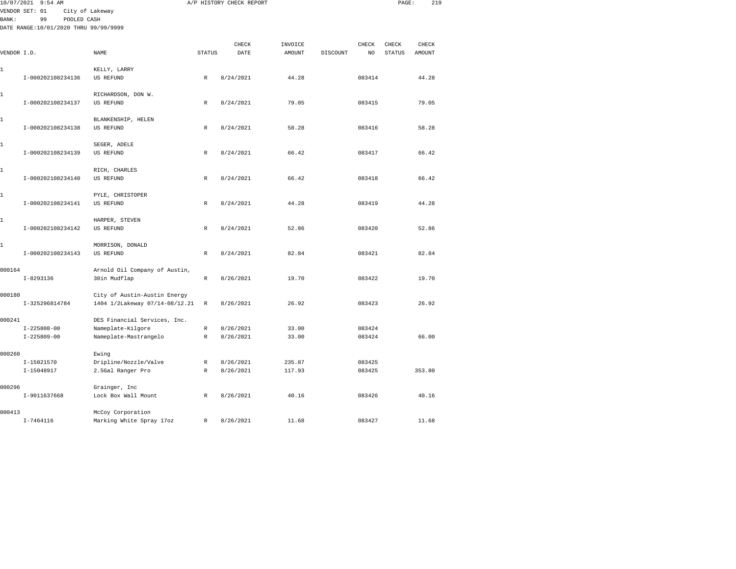|               | 10/07/2021 9:54 AM                    |                                      |               | A/P HISTORY CHECK REPORT |               |          |               | PAGE:         | 219           |  |
|---------------|---------------------------------------|--------------------------------------|---------------|--------------------------|---------------|----------|---------------|---------------|---------------|--|
|               | VENDOR SET: 01                        | City of Lakeway                      |               |                          |               |          |               |               |               |  |
| <b>BANK :</b> | 99<br>POOLED CASH                     |                                      |               |                          |               |          |               |               |               |  |
|               | DATE RANGE:10/01/2020 THRU 99/99/9999 |                                      |               |                          |               |          |               |               |               |  |
|               |                                       |                                      |               | CHECK                    | INVOICE       |          | ${\tt CHECK}$ | CHECK         | CHECK         |  |
| VENDOR I.D.   |                                       | NAME                                 | <b>STATUS</b> | DATE                     | <b>AMOUNT</b> | DISCOUNT | NO.           | <b>STATUS</b> | <b>AMOUNT</b> |  |
|               |                                       |                                      |               |                          |               |          |               |               |               |  |
| $\mathbf{1}$  |                                       | KELLY, LARRY                         |               |                          |               |          |               |               |               |  |
|               | I-000202108234136                     | US REFUND                            | R             | 8/24/2021                | 44.28         |          | 083414        |               | 44.28         |  |
| 1             |                                       | RICHARDSON, DON W.                   |               |                          |               |          |               |               |               |  |
|               | I-000202108234137                     | US REFUND                            | $\mathbb{R}$  | 8/24/2021                | 79.05         |          | 083415        |               | 79.05         |  |
|               |                                       |                                      |               |                          |               |          |               |               |               |  |
| 1             |                                       | BLANKENSHIP, HELEN                   |               |                          |               |          |               |               |               |  |
|               | I-000202108234138                     | US REFUND                            | R             | 8/24/2021                | 58.28         |          | 083416        |               | 58.28         |  |
| 1             |                                       | SEGER, ADELE                         |               |                          |               |          |               |               |               |  |
|               | I-000202108234139                     | <b>US REFUND</b>                     | R             | 8/24/2021                | 66.42         |          | 083417        |               | 66.42         |  |
|               |                                       |                                      |               |                          |               |          |               |               |               |  |
| 1             |                                       | RICH, CHARLES                        |               |                          |               |          |               |               |               |  |
|               | I-000202108234140                     | <b>US REFUND</b>                     | $\mathbb R$   | 8/24/2021                | 66.42         |          | 083418        |               | 66.42         |  |
|               |                                       |                                      |               |                          |               |          |               |               |               |  |
| 1             | I-000202108234141                     | PYLE, CHRISTOPER<br><b>US REFUND</b> | $\mathbb R$   | 8/24/2021                | 44.28         |          | 083419        |               | 44.28         |  |
|               |                                       |                                      |               |                          |               |          |               |               |               |  |
| 1             |                                       | HARPER, STEVEN                       |               |                          |               |          |               |               |               |  |
|               | I-000202108234142                     | US REFUND                            | R             | 8/24/2021                | 52.86         |          | 083420        |               | 52.86         |  |
|               |                                       |                                      |               |                          |               |          |               |               |               |  |
| 1             |                                       | MORRISON, DONALD                     |               |                          |               |          |               |               |               |  |
|               | I-000202108234143                     | <b>US REFUND</b>                     | $\mathbb R$   | 8/24/2021                | 82.84         |          | 083421        |               | 82.84         |  |
| 000164        |                                       | Arnold Oil Company of Austin,        |               |                          |               |          |               |               |               |  |
|               | $I - 8293136$                         | 30in Mudflap                         | $\mathbb R$   | 8/26/2021                | 19.70         |          | 083422        |               | 19.70         |  |
|               |                                       |                                      |               |                          |               |          |               |               |               |  |
| 000180        |                                       | City of Austin-Austin Energy         |               |                          |               |          |               |               |               |  |
|               | I-325296814784                        | 1404 1/2Lakeway 07/14-08/12.21       | $\,$ R        | 8/26/2021                | 26.92         |          | 083423        |               | 26.92         |  |
| 000241        |                                       | DES Financial Services, Inc.         |               |                          |               |          |               |               |               |  |
|               | $I - 225808 - 00$                     | Nameplate-Kilgore                    | R             | 8/26/2021                | 33.00         |          | 083424        |               |               |  |
|               | $I - 225809 - 00$                     | Nameplate-Mastrangelo                | R             | 8/26/2021                | 33.00         |          | 083424        |               | 66.00         |  |
|               |                                       |                                      |               |                          |               |          |               |               |               |  |
| 000260        |                                       | Ewing                                |               |                          |               |          |               |               |               |  |
|               | I-15021570                            | Dripline/Nozzle/Valve                | R             | 8/26/2021                | 235.87        |          | 083425        |               |               |  |
|               | I-15048917                            | 2.5Gal Ranger Pro                    | $\mathbb R$   | 8/26/2021                | 117.93        |          | 083425        |               | 353.80        |  |
| 000296        |                                       | Grainger, Inc                        |               |                          |               |          |               |               |               |  |
|               | I-9011637668                          | Lock Box Wall Mount                  | R             | 8/26/2021                | 40.16         |          | 083426        |               | 40.16         |  |
|               |                                       |                                      |               |                          |               |          |               |               |               |  |
| 000413        |                                       | McCoy Corporation                    |               |                          |               |          |               |               |               |  |
|               | $I - 7464116$                         | Marking White Spray 17oz             | R             | 8/26/2021                | 11.68         |          | 083427        |               | 11.68         |  |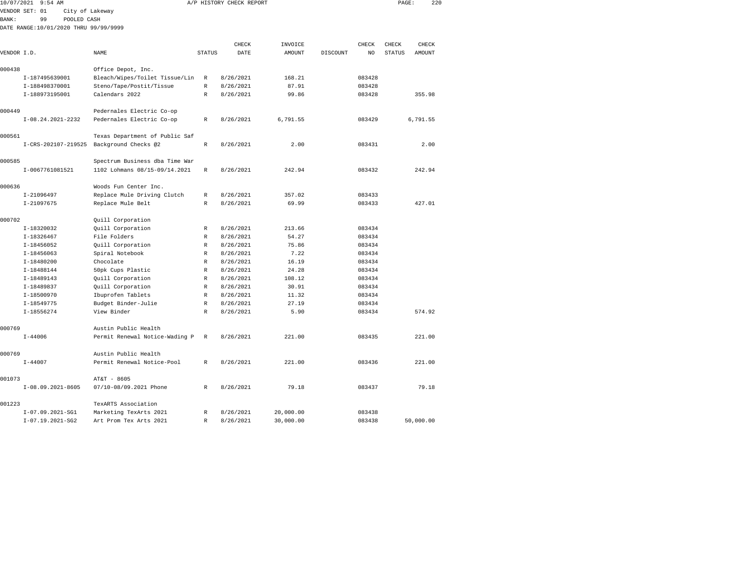| 10/07/2021   | $9:54$ AM                             |                                |              | A/P HISTORY CHECK REPORT |           |          |        | PAGE:  | 220      |
|--------------|---------------------------------------|--------------------------------|--------------|--------------------------|-----------|----------|--------|--------|----------|
|              | VENDOR SET: 01<br>City of Lakeway     |                                |              |                          |           |          |        |        |          |
| <b>BANK:</b> | 99<br>POOLED CASH                     |                                |              |                          |           |          |        |        |          |
|              | DATE RANGE:10/01/2020 THRU 99/99/9999 |                                |              |                          |           |          |        |        |          |
|              |                                       |                                |              | CHECK                    | INVOICE   |          | CHECK  | CHECK  | CHECK    |
| VENDOR I.D.  |                                       | NAME                           | STATUS       | DATE                     | AMOUNT    | DISCOUNT | NO     | STATUS | AMOUNT   |
| 000438       |                                       | Office Depot, Inc.             |              |                          |           |          |        |        |          |
|              | I-187495639001                        | Bleach/Wipes/Toilet Tissue/Lin | R            | 8/26/2021                | 168.21    |          | 083428 |        |          |
|              | I-188498370001                        | Steno/Tape/Postit/Tissue       | $\mathbb{R}$ | 8/26/2021                | 87.91     |          | 083428 |        |          |
|              | I-188973195001                        | Calendars 2022                 | R            | 8/26/2021                | 99.86     |          | 083428 |        | 355.98   |
| 000449       |                                       | Pedernales Electric Co-op      |              |                          |           |          |        |        |          |
|              | I-08.24.2021-2232                     | Pedernales Electric Co-op      | R            | 8/26/2021                | 6,791.55  |          | 083429 |        | 6,791.55 |
| 000561       |                                       | Texas Department of Public Saf |              |                          |           |          |        |        |          |
|              | I-CRS-202107-219525                   | Background Checks @2           | $\mathbb R$  | 8/26/2021                | 2.00      |          | 083431 |        | 2.00     |
| 000585       |                                       | Spectrum Business dba Time War |              |                          |           |          |        |        |          |
|              | I-0067761081521                       | 1102 Lohmans 08/15-09/14.2021  | $\mathbb R$  | 8/26/2021                | 242.94    |          | 083432 |        | 242.94   |
| 000636       |                                       | Woods Fun Center Inc.          |              |                          |           |          |        |        |          |
|              | I-21096497                            | Replace Mule Driving Clutch    | R            | 8/26/2021                | 357.02    |          | 083433 |        |          |
|              | I-21097675                            | Replace Mule Belt              | R            | 8/26/2021                | 69.99     |          | 083433 |        | 427.01   |
| 000702       |                                       | Quill Corporation              |              |                          |           |          |        |        |          |
|              | I-18320032                            | Quill Corporation              | R            | 8/26/2021                | 213.66    |          | 083434 |        |          |
|              | I-18326467                            | File Folders                   | R            | 8/26/2021                | 54.27     |          | 083434 |        |          |
|              | I-18456052                            | Quill Corporation              | $\mathbb{R}$ | 8/26/2021                | 75.86     |          | 083434 |        |          |
|              | $I-18456063$                          | Spiral Notebook                | $\mathbb R$  | 8/26/2021                | 7.22      |          | 083434 |        |          |
|              | I-18480200                            | Chocolate                      | R            | 8/26/2021                | 16.19     |          | 083434 |        |          |
|              | I-18488144                            | 50pk Cups Plastic              | R            | 8/26/2021                | 24.28     |          | 083434 |        |          |
|              | I-18489143                            | Quill Corporation              | R            | 8/26/2021                | 108.12    |          | 083434 |        |          |
|              | I-18489837                            | Quill Corporation              | R            | 8/26/2021                | 30.91     |          | 083434 |        |          |
|              | I-18500970                            | Ibuprofen Tablets              | R            | 8/26/2021                | 11.32     |          | 083434 |        |          |
|              | I-18549775                            | Budget Binder-Julie            | R            | 8/26/2021                | 27.19     |          | 083434 |        |          |
|              | I-18556274                            | View Binder                    | R            | 8/26/2021                | 5.90      |          | 083434 |        | 574.92   |
| 000769       |                                       | Austin Public Health           |              |                          |           |          |        |        |          |
|              | $I - 44006$                           | Permit Renewal Notice-Wading P | R            | 8/26/2021                | 221.00    |          | 083435 |        | 221.00   |
| 000769       |                                       | Austin Public Health           |              |                          |           |          |        |        |          |
|              | $I - 44007$                           | Permit Renewal Notice-Pool     | R            | 8/26/2021                | 221.00    |          | 083436 |        | 221.00   |
| 001073       |                                       | AT&T - 8605                    |              |                          |           |          |        |        |          |
|              | $I-08.09.2021-8605$                   | 07/10-08/09.2021 Phone         | R            | 8/26/2021                | 79.18     |          | 083437 |        | 79.18    |
| 001223       |                                       | TexARTS Association            |              |                          |           |          |        |        |          |
|              | $I-07.09.2021-SG1$                    | Marketing TexArts 2021         | R            | 8/26/2021                | 20,000.00 |          | 083438 |        |          |

I-07.19.2021-SG2 Art Prom Tex Arts 2021 R 8/26/2021 30,000.00 083438 50,000.00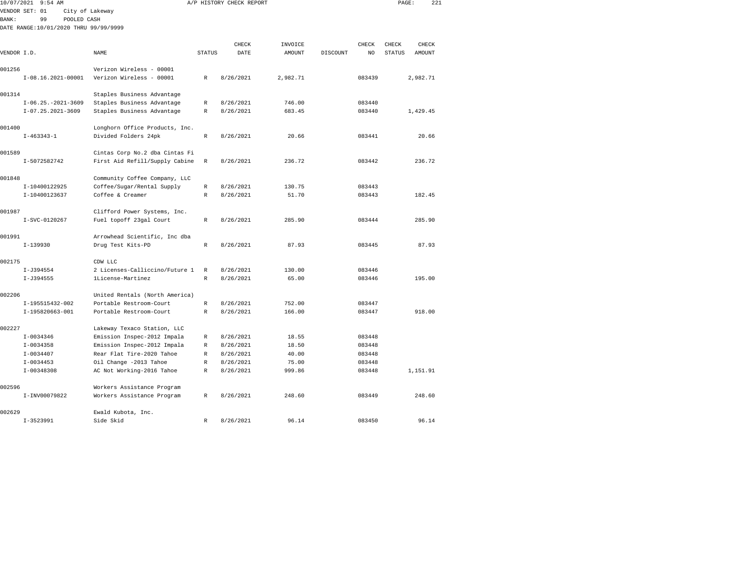| 10/07/2021  | $9:54$ AM                             |                                                          |               | A/P HISTORY CHECK REPORT |                |          |                  | PAGE:         | 221      |  |
|-------------|---------------------------------------|----------------------------------------------------------|---------------|--------------------------|----------------|----------|------------------|---------------|----------|--|
|             | VENDOR SET: 01                        | City of Lakeway                                          |               |                          |                |          |                  |               |          |  |
| BANK:       | 99<br>POOLED CASH                     |                                                          |               |                          |                |          |                  |               |          |  |
|             | DATE RANGE:10/01/2020 THRU 99/99/9999 |                                                          |               |                          |                |          |                  |               |          |  |
|             |                                       |                                                          |               |                          |                |          |                  |               |          |  |
|             |                                       |                                                          |               | CHECK                    | INVOICE        |          | CHECK            | CHECK         | CHECK    |  |
| VENDOR I.D. |                                       | NAME                                                     | <b>STATUS</b> | DATE                     | <b>AMOUNT</b>  | DISCOUNT | NO               | <b>STATUS</b> | AMOUNT   |  |
|             |                                       |                                                          |               |                          |                |          |                  |               |          |  |
| 001256      |                                       | Verizon Wireless - 00001                                 |               |                          |                |          |                  |               |          |  |
|             | $I-08.16.2021-00001$                  | Verizon Wireless - 00001                                 | $\mathbb R$   | 8/26/2021                | 2,982.71       |          | 083439           |               | 2,982.71 |  |
| 001314      |                                       | Staples Business Advantage                               |               |                          |                |          |                  |               |          |  |
|             | $I-06.25. -2021-3609$                 | Staples Business Advantage                               | R             | 8/26/2021                | 746.00         |          | 083440           |               |          |  |
|             | $I-07.25.2021-3609$                   | Staples Business Advantage                               | $\mathbb R$   | 8/26/2021                | 683.45         |          | 083440           |               | 1,429.45 |  |
|             |                                       |                                                          |               |                          |                |          |                  |               |          |  |
| 001400      |                                       | Longhorn Office Products, Inc.                           |               |                          |                |          |                  |               |          |  |
|             | $I-463343-1$                          | Divided Folders 24pk                                     | $\mathbb R$   | 8/26/2021                | 20.66          |          | 083441           |               | 20.66    |  |
| 001589      |                                       | Cintas Corp No.2 dba Cintas Fi                           |               |                          |                |          |                  |               |          |  |
|             | I-5072582742                          | First Aid Refill/Supply Cabine                           | $\mathbb{R}$  | 8/26/2021                | 236.72         |          | 083442           |               | 236.72   |  |
|             |                                       |                                                          |               |                          |                |          |                  |               |          |  |
| 001848      |                                       | Community Coffee Company, LLC                            |               |                          |                |          |                  |               |          |  |
|             | I-10400122925                         | Coffee/Sugar/Rental Supply                               | $\mathbb R$   | 8/26/2021                | 130.75         |          | 083443           |               |          |  |
|             | I-10400123637                         | Coffee & Creamer                                         | $\mathbb R$   | 8/26/2021                | 51.70          |          | 083443           |               | 182.45   |  |
| 001987      |                                       | Clifford Power Systems, Inc.                             |               |                          |                |          |                  |               |          |  |
|             | I-SVC-0120267                         | Fuel topoff 23gal Court                                  | $\mathbb R$   | 8/26/2021                | 285.90         |          | 083444           |               | 285.90   |  |
|             |                                       |                                                          |               |                          |                |          |                  |               |          |  |
| 001991      |                                       | Arrowhead Scientific, Inc dba                            |               |                          |                |          |                  |               |          |  |
|             | $I-139930$                            | Drug Test Kits-PD                                        | $\mathbb{R}$  | 8/26/2021                | 87.93          |          | 083445           |               | 87.93    |  |
| 002175      |                                       | CDW LLC                                                  |               |                          |                |          |                  |               |          |  |
|             | I-J394554                             | 2 Licenses-Calliccino/Future 1                           | $\mathbb R$   | 8/26/2021                | 130.00         |          | 083446           |               |          |  |
|             | I-J394555                             | 1License-Martinez                                        | $\mathbb{R}$  | 8/26/2021                | 65.00          |          | 083446           |               | 195.00   |  |
|             |                                       |                                                          |               |                          |                |          |                  |               |          |  |
| 002206      |                                       | United Rentals (North America)                           |               |                          |                |          |                  |               |          |  |
|             | I-195515432-002                       | Portable Restroom-Court                                  | $\mathbb R$   | 8/26/2021                | 752.00         |          | 083447           |               |          |  |
|             | I-195820663-001                       | Portable Restroom-Court                                  | $\mathbb{R}$  | 8/26/2021                | 166.00         |          | 083447           |               | 918.00   |  |
|             |                                       |                                                          |               |                          |                |          |                  |               |          |  |
| 002227      |                                       | Lakeway Texaco Station, LLC                              |               |                          |                |          |                  |               |          |  |
|             | $I-0034346$                           | Emission Inspec-2012 Impala                              | R<br>R        | 8/26/2021                | 18.55          |          | 083448           |               |          |  |
|             | $I-0034358$<br>$I-0034407$            | Emission Inspec-2012 Impala<br>Rear Flat Tire-2020 Tahoe | $\mathbb R$   | 8/26/2021<br>8/26/2021   | 18.50<br>40.00 |          | 083448<br>083448 |               |          |  |
|             | $I - 0034453$                         | Oil Change -2013 Tahoe                                   | R             | 8/26/2021                | 75.00          |          | 083448           |               |          |  |
|             | $I-00348308$                          | AC Not Working-2016 Tahoe                                | $\mathbb R$   | 8/26/2021                | 999.86         |          | 083448           |               | 1,151.91 |  |
|             |                                       |                                                          |               |                          |                |          |                  |               |          |  |
| 002596      |                                       | Workers Assistance Program                               |               |                          |                |          |                  |               |          |  |
|             | I-INV00079822                         | Workers Assistance Program                               | R             | 8/26/2021                | 248.60         |          | 083449           |               | 248.60   |  |
|             |                                       |                                                          |               |                          |                |          |                  |               |          |  |
| 002629      | $I-3523991$                           | Ewald Kubota, Inc.<br>Side Skid                          | $\mathbb R$   | 8/26/2021                | 96.14          |          | 083450           |               | 96.14    |  |
|             |                                       |                                                          |               |                          |                |          |                  |               |          |  |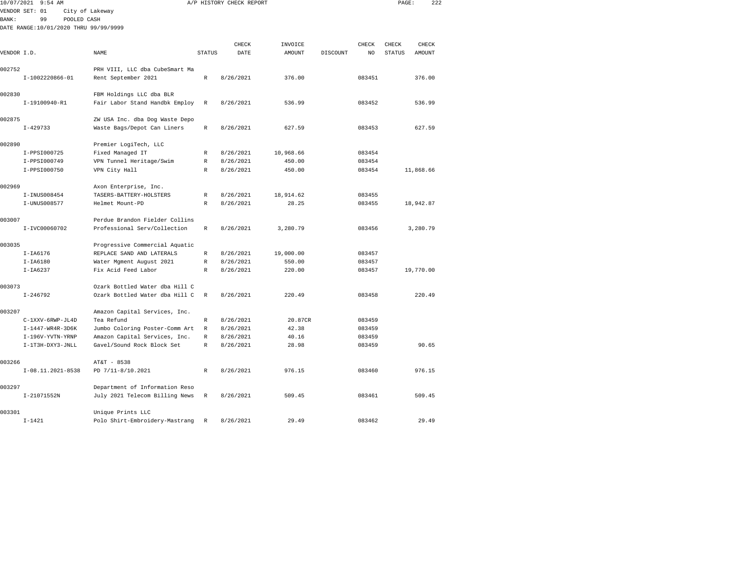| 10/07/2021  | $9:54$ AM                             |                                |              | A/P HISTORY CHECK REPORT |           |          |        | PAGE:  | 222       |  |
|-------------|---------------------------------------|--------------------------------|--------------|--------------------------|-----------|----------|--------|--------|-----------|--|
|             | VENDOR SET: 01                        | City of Lakeway                |              |                          |           |          |        |        |           |  |
| BANK:       | 99<br>POOLED CASH                     |                                |              |                          |           |          |        |        |           |  |
|             | DATE RANGE:10/01/2020 THRU 99/99/9999 |                                |              |                          |           |          |        |        |           |  |
|             |                                       |                                |              |                          |           |          |        |        |           |  |
|             |                                       |                                |              | CHECK                    | INVOICE   |          | CHECK  | CHECK  | CHECK     |  |
| VENDOR I.D. |                                       | NAME                           | STATUS       | DATE                     | AMOUNT    | DISCOUNT | NO     | STATUS | AMOUNT    |  |
|             |                                       |                                |              |                          |           |          |        |        |           |  |
| 002752      |                                       | PRH VIII, LLC dba CubeSmart Ma |              |                          |           |          |        |        |           |  |
|             | I-1002220866-01                       | Rent September 2021            | $\mathbb R$  | 8/26/2021                | 376.00    |          | 083451 |        | 376.00    |  |
| 002830      |                                       | FBM Holdings LLC dba BLR       |              |                          |           |          |        |        |           |  |
|             | I-19100940-R1                         | Fair Labor Stand Handbk Employ | $\mathbb{R}$ | 8/26/2021                | 536.99    |          | 083452 |        | 536.99    |  |
|             |                                       |                                |              |                          |           |          |        |        |           |  |
| 002875      |                                       | ZW USA Inc. dba Dog Waste Depo |              |                          |           |          |        |        |           |  |
|             | $I - 429733$                          | Waste Bags/Depot Can Liners    | $\mathbb{R}$ | 8/26/2021                | 627.59    |          | 083453 |        | 627.59    |  |
| 002890      |                                       | Premier LogiTech, LLC          |              |                          |           |          |        |        |           |  |
|             | I-PPSI000725                          | Fixed Managed IT               | R            | 8/26/2021                | 10,968.66 |          | 083454 |        |           |  |
|             | I-PPSI000749                          | VPN Tunnel Heritage/Swim       | R            | 8/26/2021                | 450.00    |          | 083454 |        |           |  |
|             | I-PPSI000750                          | VPN City Hall                  | R            | 8/26/2021                | 450.00    |          | 083454 |        | 11,868.66 |  |
|             |                                       |                                |              |                          |           |          |        |        |           |  |
| 002969      |                                       | Axon Enterprise, Inc.          |              |                          |           |          |        |        |           |  |
|             | I-INUS008454                          | TASERS-BATTERY-HOLSTERS        | R            | 8/26/2021                | 18,914.62 |          | 083455 |        |           |  |
|             | I-UNUS008577                          | Helmet Mount-PD                | $\mathbb{R}$ | 8/26/2021                | 28.25     |          | 083455 |        | 18,942.87 |  |
| 003007      |                                       | Perdue Brandon Fielder Collins |              |                          |           |          |        |        |           |  |
|             | I-IVC00060702                         | Professional Serv/Collection   | $\mathbb{R}$ | 8/26/2021                | 3,280.79  |          | 083456 |        | 3,280.79  |  |
|             |                                       |                                |              |                          |           |          |        |        |           |  |
| 003035      |                                       | Progressive Commercial Aquatic |              |                          |           |          |        |        |           |  |
|             | $I-IA6176$                            | REPLACE SAND AND LATERALS      | R            | 8/26/2021                | 19,000.00 |          | 083457 |        |           |  |
|             | $I-IA6180$                            | Water Mgment August 2021       | R            | 8/26/2021                | 550.00    |          | 083457 |        |           |  |
|             | $I-IA6237$                            | Fix Acid Feed Labor            | $\mathbb{R}$ | 8/26/2021                | 220.00    |          | 083457 |        | 19,770.00 |  |
| 003073      |                                       | Ozark Bottled Water dba Hill C |              |                          |           |          |        |        |           |  |
|             | $I - 246792$                          | Ozark Bottled Water dba Hill C | $\mathbb R$  | 8/26/2021                | 220.49    |          | 083458 |        | 220.49    |  |
|             |                                       |                                |              |                          |           |          |        |        |           |  |
| 003207      |                                       | Amazon Capital Services, Inc.  |              |                          |           |          |        |        |           |  |
|             | C-1XXV-6RWP-JL4D                      | Tea Refund                     | R            | 8/26/2021                | 20.87CR   |          | 083459 |        |           |  |
|             | $I-1447-WR4R-3D6K$                    | Jumbo Coloring Poster-Comm Art | $\mathbb R$  | 8/26/2021                | 42.38     |          | 083459 |        |           |  |
|             | I-196V-YVTN-YRNP                      | Amazon Capital Services, Inc.  | $\mathbb{R}$ | 8/26/2021                | 40.16     |          | 083459 |        |           |  |
|             | I-1T3H-DXY3-JNLL                      | Gavel/Sound Rock Block Set     | $\mathbb{R}$ | 8/26/2021                | 28.98     |          | 083459 |        | 90.65     |  |
| 003266      |                                       | AT&T - 8538                    |              |                          |           |          |        |        |           |  |
|             | I-08.11.2021-8538                     | PD 7/11-8/10.2021              | R            | 8/26/2021                | 976.15    |          | 083460 |        | 976.15    |  |
|             |                                       |                                |              |                          |           |          |        |        |           |  |
| 003297      |                                       | Department of Information Reso |              |                          |           |          |        |        |           |  |
|             | I-21071552N                           | July 2021 Telecom Billing News | R            | 8/26/2021                | 509.45    |          | 083461 |        | 509.45    |  |
|             |                                       |                                |              |                          |           |          |        |        |           |  |
| 003301      |                                       | Unique Prints LLC              |              |                          |           |          |        |        |           |  |

I-1421 Polo Shirt-Embroidery-Mastrang R 8/26/2021 29.49 083462 29.49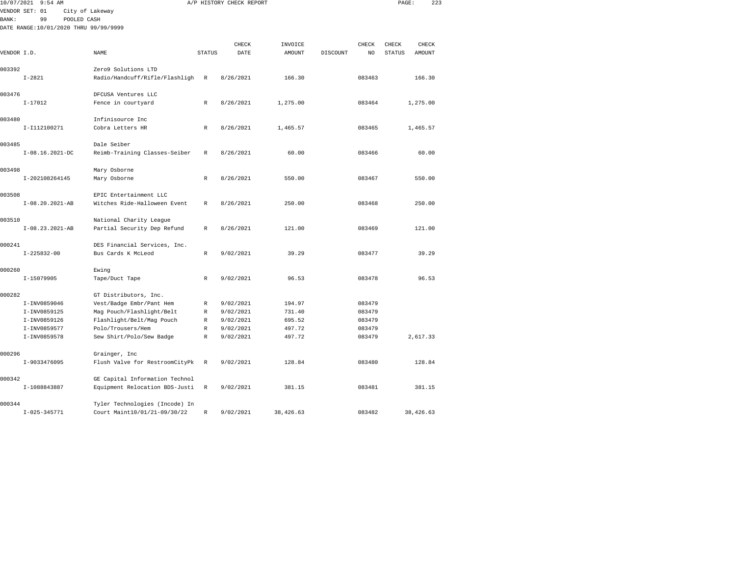| 10/07/2021   | $9:54$ AM                             |                                                 |               | A/P HISTORY CHECK REPORT |               |          |        | PAGE:         | 223      |  |
|--------------|---------------------------------------|-------------------------------------------------|---------------|--------------------------|---------------|----------|--------|---------------|----------|--|
|              | VENDOR SET: 01<br>City of Lakeway     |                                                 |               |                          |               |          |        |               |          |  |
| <b>BANK:</b> | 99<br>POOLED CASH                     |                                                 |               |                          |               |          |        |               |          |  |
|              | DATE RANGE:10/01/2020 THRU 99/99/9999 |                                                 |               |                          |               |          |        |               |          |  |
|              |                                       |                                                 |               | CHECK                    | INVOICE       |          | CHECK  | CHECK         | CHECK    |  |
| VENDOR I.D.  |                                       | <b>NAME</b>                                     | <b>STATUS</b> | DATE                     | <b>AMOUNT</b> | DISCOUNT | NO.    | <b>STATUS</b> | AMOUNT   |  |
|              |                                       |                                                 |               |                          |               |          |        |               |          |  |
| 003392       |                                       | Zero9 Solutions LTD                             |               |                          |               |          |        |               |          |  |
|              | $I - 2821$                            | Radio/Handcuff/Rifle/Flashligh                  | $\mathbb R$   | 8/26/2021                | 166.30        |          | 083463 |               | 166.30   |  |
|              |                                       |                                                 |               |                          |               |          |        |               |          |  |
| 003476       |                                       | DFCUSA Ventures LLC                             |               |                          |               |          |        |               |          |  |
|              | $I-17012$                             | Fence in courtyard                              | R             | 8/26/2021                | 1,275.00      |          | 083464 |               | 1,275.00 |  |
| 003480       |                                       | Infinisource Inc                                |               |                          |               |          |        |               |          |  |
|              | I-I112100271                          | Cobra Letters HR                                | R             | 8/26/2021                | 1,465.57      |          | 083465 |               | 1,465.57 |  |
|              |                                       |                                                 |               |                          |               |          |        |               |          |  |
| 003485       |                                       | Dale Seiber                                     |               |                          |               |          |        |               |          |  |
|              | $I-08.16.2021-DC$                     | Reimb-Training Classes-Seiber                   | R             | 8/26/2021                | 60.00         |          | 083466 |               | 60.00    |  |
|              |                                       |                                                 |               |                          |               |          |        |               |          |  |
| 003498       |                                       | Mary Osborne                                    |               |                          |               |          |        |               |          |  |
|              | I-202108264145                        | Mary Osborne                                    | R             | 8/26/2021                | 550.00        |          | 083467 |               | 550.00   |  |
| 003508       |                                       | EPIC Entertainment LLC                          |               |                          |               |          |        |               |          |  |
|              | I-08.20.2021-AB                       | Witches Ride-Halloween Event                    | $\mathbb{R}$  | 8/26/2021                | 250.00        |          | 083468 |               | 250.00   |  |
|              |                                       |                                                 |               |                          |               |          |        |               |          |  |
| 003510       |                                       | National Charity League                         |               |                          |               |          |        |               |          |  |
|              | $I-08.23.2021-AB$                     | Partial Security Dep Refund                     | R             | 8/26/2021                | 121.00        |          | 083469 |               | 121.00   |  |
|              |                                       |                                                 |               |                          |               |          |        |               |          |  |
| 000241       |                                       | DES Financial Services, Inc.                    |               |                          |               |          |        |               |          |  |
|              | $I - 225832 - 00$                     | Bus Cards K McLeod                              | $\mathbb{R}$  | 9/02/2021                | 39.29         |          | 083477 |               | 39.29    |  |
| 000260       |                                       | Ewing                                           |               |                          |               |          |        |               |          |  |
|              | I-15079905                            | Tape/Duct Tape                                  | R             | 9/02/2021                | 96.53         |          | 083478 |               | 96.53    |  |
|              |                                       |                                                 |               |                          |               |          |        |               |          |  |
| 000282       |                                       | GT Distributors, Inc.                           |               |                          |               |          |        |               |          |  |
|              | I-INV0859046                          | Vest/Badge Embr/Pant Hem                        | R             | 9/02/2021                | 194.97        |          | 083479 |               |          |  |
|              | I-INV0859125                          | Mag Pouch/Flashlight/Belt                       | R             | 9/02/2021                | 731.40        |          | 083479 |               |          |  |
|              | I-INV0859126                          | Flashlight/Belt/Mag Pouch                       | R             | 9/02/2021                | 695.52        |          | 083479 |               |          |  |
|              | I-INV0859577                          | Polo/Trousers/Hem                               | $\mathbb{R}$  | 9/02/2021                | 497.72        |          | 083479 |               |          |  |
|              | I-INV0859578                          | Sew Shirt/Polo/Sew Badge                        | R             | 9/02/2021                | 497.72        |          | 083479 |               | 2,617.33 |  |
| 000296       |                                       |                                                 |               |                          |               |          |        |               |          |  |
|              | I-9033476095                          | Grainger, Inc<br>Flush Valve for RestroomCityPk | R             | 9/02/2021                | 128.84        |          | 083480 |               | 128.84   |  |
|              |                                       |                                                 |               |                          |               |          |        |               |          |  |
| 000342       |                                       | GE Capital Information Technol                  |               |                          |               |          |        |               |          |  |
|              | I-1088843887                          | Equipment Relocation BDS-Justi                  | R             | 9/02/2021                | 381.15        |          | 083481 |               | 381.15   |  |
|              |                                       |                                                 |               |                          |               |          |        |               |          |  |
| 000344       |                                       | Tyler Technologies (Incode) In                  |               |                          |               |          |        |               |          |  |

I-025-345771 Court Maint10/01/21-09/30/22 R 9/02/2021 38,426.63 083482 38,426.63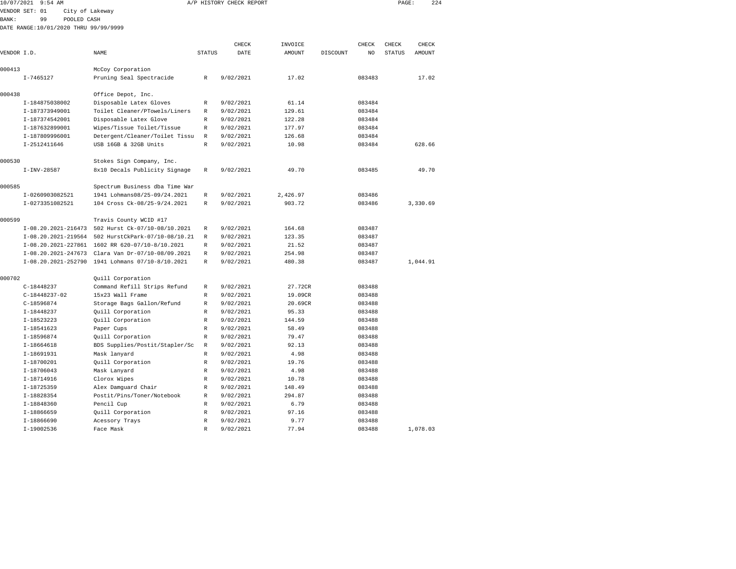| 10/07/2021  | $9:54$ AM                             |                                                                                                       |                   | A/P HISTORY CHECK REPORT |               |          |        | PAGE:         | 224           |
|-------------|---------------------------------------|-------------------------------------------------------------------------------------------------------|-------------------|--------------------------|---------------|----------|--------|---------------|---------------|
|             | VENDOR SET: 01<br>City of Lakeway     |                                                                                                       |                   |                          |               |          |        |               |               |
| BANK:       | 99<br>POOLED CASH                     |                                                                                                       |                   |                          |               |          |        |               |               |
|             | DATE RANGE:10/01/2020 THRU 99/99/9999 |                                                                                                       |                   |                          |               |          |        |               |               |
|             |                                       |                                                                                                       |                   |                          |               |          |        |               |               |
|             |                                       |                                                                                                       |                   | CHECK                    | INVOICE       |          | CHECK  | CHECK         | CHECK         |
| VENDOR I.D. |                                       | NAME                                                                                                  | <b>STATUS</b>     | DATE                     | <b>AMOUNT</b> | DISCOUNT | NO     | <b>STATUS</b> | <b>AMOUNT</b> |
| 000413      |                                       | McCoy Corporation                                                                                     |                   |                          |               |          |        |               |               |
|             | $I - 7465127$                         | Pruning Seal Spectracide                                                                              | $\mathbb R$       | 9/02/2021                | 17.02         |          | 083483 |               | 17.02         |
|             |                                       |                                                                                                       |                   |                          |               |          |        |               |               |
| 000438      |                                       | Office Depot, Inc.                                                                                    |                   |                          |               |          |        |               |               |
|             | I-184875038002                        | Disposable Latex Gloves                                                                               | R                 | 9/02/2021                | 61.14         |          | 083484 |               |               |
|             | I-187373949001                        | Toilet Cleaner/PTowels/Liners                                                                         | R                 | 9/02/2021                | 129.61        |          | 083484 |               |               |
|             | I-187374542001                        | Disposable Latex Glove                                                                                | $\mathbb R$       | 9/02/2021                | 122.28        |          | 083484 |               |               |
|             | I-187632899001                        | Wipes/Tissue Toilet/Tissue                                                                            | R                 | 9/02/2021                | 177.97        |          | 083484 |               |               |
|             | I-187809996001                        | Detergent/Cleaner/Toilet Tissu                                                                        | R                 | 9/02/2021                | 126.68        |          | 083484 |               |               |
|             | I-2512411646                          | USB 16GB & 32GB Units                                                                                 | R                 | 9/02/2021                | 10.98         |          | 083484 |               | 628.66        |
|             |                                       |                                                                                                       |                   |                          |               |          |        |               |               |
| 000530      |                                       | Stokes Sign Company, Inc.                                                                             |                   |                          |               |          |        |               |               |
|             | $I-INV-28587$                         | 8x10 Decals Publicity Signage                                                                         | R                 | 9/02/2021                | 49.70         |          | 083485 |               | 49.70         |
|             |                                       |                                                                                                       |                   |                          |               |          |        |               |               |
| 000585      |                                       | Spectrum Business dba Time War                                                                        |                   |                          |               |          |        |               |               |
|             | I-0260903082521                       | 1941 Lohmans08/25-09/24.2021                                                                          | R                 | 9/02/2021                | 2,426.97      |          | 083486 |               |               |
|             | I-0273351082521                       | 104 Cross Ck-08/25-9/24.2021                                                                          | R                 | 9/02/2021                | 903.72        |          | 083486 |               | 3,330.69      |
|             |                                       |                                                                                                       |                   |                          |               |          |        |               |               |
| 000599      |                                       | Travis County WCID #17                                                                                |                   |                          |               |          |        |               |               |
|             |                                       | I-08.20.2021-216473 502 Hurst Ck-07/10-08/10.2021                                                     | R                 | 9/02/2021                | 164.68        |          | 083487 |               |               |
|             |                                       | I-08.20.2021-219564 502 HurstCkPark-07/10-08/10.21                                                    | R                 | 9/02/2021                | 123.35        |          | 083487 |               |               |
|             | I-08.20.2021-227861                   | 1602 RR 620-07/10-8/10.2021                                                                           | R                 | 9/02/2021                | 21.52         |          | 083487 |               |               |
|             |                                       | I-08.20.2021-247673 Clara Van Dr-07/10-08/09.2021<br>I-08.20.2021-252790 1941 Lohmans 07/10-8/10.2021 | R<br>$\mathbb{R}$ | 9/02/2021                | 254.98        |          | 083487 |               |               |
|             |                                       |                                                                                                       |                   | 9/02/2021                | 480.38        |          | 083487 |               | 1,044.91      |
| 000702      |                                       | Quill Corporation                                                                                     |                   |                          |               |          |        |               |               |
|             | $C-18448237$                          | Command Refill Strips Refund                                                                          | R                 | 9/02/2021                | 27.72CR       |          | 083488 |               |               |
|             | $C-18448237-02$                       | 15x23 Wall Frame                                                                                      | R                 | 9/02/2021                | 19.09CR       |          | 083488 |               |               |
|             | $C-18596874$                          | Storage Bags Gallon/Refund                                                                            | R                 | 9/02/2021                | 20.69CR       |          | 083488 |               |               |
|             | $I-18448237$                          | Quill Corporation                                                                                     | R                 | 9/02/2021                | 95.33         |          | 083488 |               |               |
|             | I-18523223                            | Quill Corporation                                                                                     | R                 | 9/02/2021                | 144.59        |          | 083488 |               |               |
|             | I-18541623                            | Paper Cups                                                                                            | R                 | 9/02/2021                | 58.49         |          | 083488 |               |               |
|             | I-18596874                            | Quill Corporation                                                                                     | R                 | 9/02/2021                | 79.47         |          | 083488 |               |               |
|             | $I-18664618$                          | BDS Supplies/Postit/Stapler/Sc                                                                        | R                 | 9/02/2021                | 92.13         |          | 083488 |               |               |
|             | I-18691931                            | Mask lanyard                                                                                          | R                 | 9/02/2021                | 4.98          |          | 083488 |               |               |
|             | I-18700201                            | Quill Corporation                                                                                     | R                 | 9/02/2021                | 19.76         |          | 083488 |               |               |
|             | $I-18706043$                          | Mask Lanyard                                                                                          | R                 | 9/02/2021                | 4.98          |          | 083488 |               |               |
|             | I-18714916                            | Clorox Wipes                                                                                          | $\mathbb R$       | 9/02/2021                | 10.78         |          | 083488 |               |               |
|             | I-18725359                            | Alex Damguard Chair                                                                                   | R                 | 9/02/2021                | 148.49        |          | 083488 |               |               |
|             | I-18828354                            | Postit/Pins/Toner/Notebook                                                                            | R                 | 9/02/2021                | 294.87        |          | 083488 |               |               |
|             | I-18848360                            | Pencil Cup                                                                                            | R                 | 9/02/2021                | 6.79          |          | 083488 |               |               |
|             | I-18866659                            | Quill Corporation                                                                                     | R                 | 9/02/2021                | 97.16         |          | 083488 |               |               |
|             | I-18866690                            | Acessory Trays                                                                                        | R                 | 9/02/2021                | 9.77          |          | 083488 |               |               |
|             | I-19002536                            | Face Mask                                                                                             | R                 | 9/02/2021                | 77.94         |          | 083488 |               | 1,078.03      |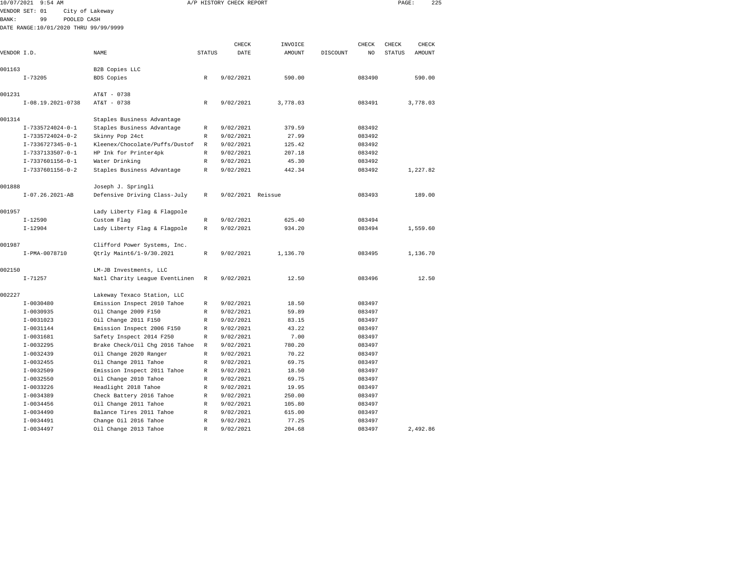| 10/07/2021  | 9:54 AM                               |                                                            |                  | A/P HISTORY CHECK REPORT |          |          |        | PAGE:         | 225      |  |
|-------------|---------------------------------------|------------------------------------------------------------|------------------|--------------------------|----------|----------|--------|---------------|----------|--|
|             | VENDOR SET: 01                        | City of Lakeway                                            |                  |                          |          |          |        |               |          |  |
| BANK:       | 99<br>POOLED CASH                     |                                                            |                  |                          |          |          |        |               |          |  |
|             | DATE RANGE:10/01/2020 THRU 99/99/9999 |                                                            |                  |                          |          |          |        |               |          |  |
|             |                                       |                                                            |                  |                          |          |          |        |               |          |  |
|             |                                       |                                                            |                  | CHECK                    | INVOICE  |          | CHECK  | CHECK         | CHECK    |  |
| VENDOR I.D. |                                       | NAME                                                       | <b>STATUS</b>    | DATE                     | AMOUNT   | DISCOUNT | NO     | <b>STATUS</b> | AMOUNT   |  |
|             |                                       |                                                            |                  |                          |          |          |        |               |          |  |
| 001163      |                                       | B2B Copies LLC                                             |                  |                          |          |          |        |               |          |  |
|             | $I - 73205$                           | <b>BDS</b> Copies                                          | $\mathbb{R}$     | 9/02/2021                | 590.00   |          | 083490 |               | 590.00   |  |
|             |                                       |                                                            |                  |                          |          |          |        |               |          |  |
| 001231      |                                       | AT&T - 0738                                                |                  |                          |          |          |        |               |          |  |
|             | I-08.19.2021-0738                     | AT&T - 0738                                                | R                | 9/02/2021                | 3,778.03 |          | 083491 |               | 3,778.03 |  |
| 001314      |                                       |                                                            |                  |                          |          |          |        |               |          |  |
|             | I-7335724024-0-1                      | Staples Business Advantage<br>Staples Business Advantage   | $\mathbb R$      | 9/02/2021                | 379.59   |          | 083492 |               |          |  |
|             | I-7335724024-0-2                      | Skinny Pop 24ct                                            | R                | 9/02/2021                | 27.99    |          | 083492 |               |          |  |
|             | I-7336727345-0-1                      | Kleenex/Chocolate/Puffs/Dustof                             | $\mathbb R$      | 9/02/2021                | 125.42   |          | 083492 |               |          |  |
|             | $I-7337133507-0-1$                    | HP Ink for Printer4pk                                      | $\mathbb R$      | 9/02/2021                | 207.18   |          | 083492 |               |          |  |
|             | I-7337601156-0-1                      | Water Drinking                                             | $\mathbb R$      | 9/02/2021                | 45.30    |          | 083492 |               |          |  |
|             | I-7337601156-0-2                      | Staples Business Advantage                                 | R                | 9/02/2021                | 442.34   |          | 083492 |               | 1,227.82 |  |
|             |                                       |                                                            |                  |                          |          |          |        |               |          |  |
| 001888      |                                       | Joseph J. Springli                                         |                  |                          |          |          |        |               |          |  |
|             | $I-07.26.2021-AB$                     | Defensive Driving Class-July                               | R                | 9/02/2021 Reissue        |          |          | 083493 |               | 189.00   |  |
|             |                                       |                                                            |                  |                          |          |          |        |               |          |  |
| 001957      |                                       | Lady Liberty Flag & Flagpole                               |                  |                          |          |          |        |               |          |  |
|             | $I - 12590$                           | Custom Flag                                                | R                | 9/02/2021                | 625.40   |          | 083494 |               |          |  |
|             | $I - 12904$                           | Lady Liberty Flag & Flagpole                               | R                | 9/02/2021                | 934.20   |          | 083494 |               | 1,559.60 |  |
|             |                                       |                                                            |                  |                          |          |          |        |               |          |  |
| 001987      |                                       | Clifford Power Systems, Inc.                               |                  |                          |          |          |        |               |          |  |
|             | I-PMA-0078710                         | Qtrly Maint6/1-9/30.2021                                   | R                | 9/02/2021                | 1,136.70 |          | 083495 |               | 1,136.70 |  |
|             |                                       |                                                            |                  |                          |          |          |        |               |          |  |
| 002150      |                                       | LM-JB Investments, LLC                                     |                  |                          |          |          |        |               |          |  |
|             | $I - 71257$                           | Natl Charity League EventLinen                             | R                | 9/02/2021                | 12.50    |          | 083496 |               | 12.50    |  |
| 002227      |                                       |                                                            |                  |                          |          |          |        |               |          |  |
|             | $I-0030480$                           | Lakeway Texaco Station, LLC<br>Emission Inspect 2010 Tahoe |                  |                          | 18.50    |          | 083497 |               |          |  |
|             | $I - 0030935$                         | Oil Change 2009 F150                                       | R<br>$\mathbb R$ | 9/02/2021<br>9/02/2021   | 59.89    |          | 083497 |               |          |  |
|             | I-0031023                             | Oil Change 2011 F150                                       | R                | 9/02/2021                | 83.15    |          | 083497 |               |          |  |
|             | $I-0031144$                           | Emission Inspect 2006 F150                                 | $\mathbb R$      | 9/02/2021                | 43.22    |          | 083497 |               |          |  |
|             | I-0031681                             | Safety Inspect 2014 F250                                   | $\mathbb R$      | 9/02/2021                | 7.00     |          | 083497 |               |          |  |
|             | $I-0032295$                           | Brake Check/Oil Chg 2016 Tahoe                             | $\mathbb R$      | 9/02/2021                | 780.20   |          | 083497 |               |          |  |
|             | $I-0032439$                           | Oil Change 2020 Ranger                                     | $\mathbb{R}$     | 9/02/2021                | 70.22    |          | 083497 |               |          |  |
|             | $I - 0032455$                         | Oil Change 2011 Tahoe                                      | R                | 9/02/2021                | 69.75    |          | 083497 |               |          |  |
|             | $I-0032509$                           | Emission Inspect 2011 Tahoe                                | $\mathbb R$      | 9/02/2021                | 18.50    |          | 083497 |               |          |  |
|             | $I-0032550$                           | Oil Change 2010 Tahoe                                      | $\mathbb R$      | 9/02/2021                | 69.75    |          | 083497 |               |          |  |
|             | I-0033226                             | Headlight 2018 Tahoe                                       | R                | 9/02/2021                | 19.95    |          | 083497 |               |          |  |
|             | $I-0034389$                           | Check Battery 2016 Tahoe                                   | R                | 9/02/2021                | 250.00   |          | 083497 |               |          |  |
|             | $I-0034456$                           | Oil Change 2011 Tahoe                                      | R                | 9/02/2021                | 105.80   |          | 083497 |               |          |  |
|             | $I-0034490$                           | Balance Tires 2011 Tahoe                                   | R                | 9/02/2021                | 615.00   |          | 083497 |               |          |  |
|             | $I - 0034491$                         | Change Oil 2016 Tahoe                                      | $\mathbb R$      | 9/02/2021                | 77.25    |          | 083497 |               |          |  |

I-0034497 Oil Change 2013 Tahoe R 9/02/2021 204.68 083497 2,492.86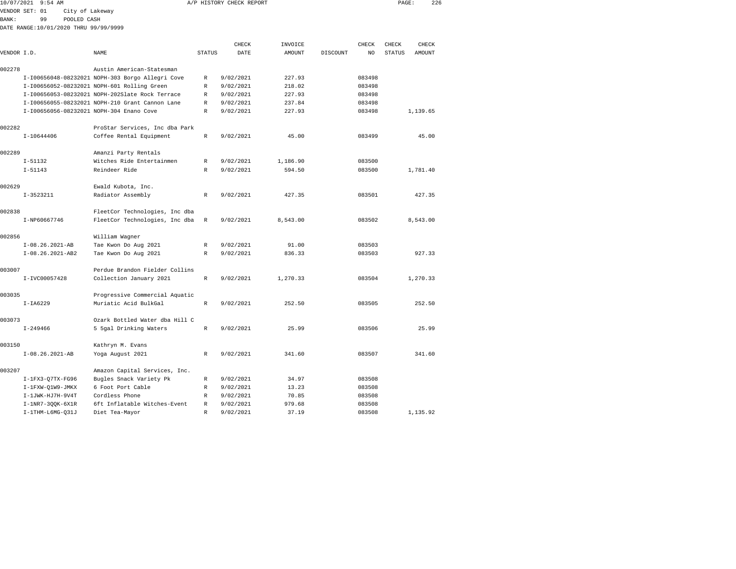| 10/07/2021   | $9:54$ AM                                |                                                  |               | A/P HISTORY CHECK REPORT |          |          |        | PAGE:         | 226      |  |
|--------------|------------------------------------------|--------------------------------------------------|---------------|--------------------------|----------|----------|--------|---------------|----------|--|
|              | VENDOR SET: 01<br>City of Lakeway        |                                                  |               |                          |          |          |        |               |          |  |
| <b>BANK:</b> | 99<br>POOLED CASH                        |                                                  |               |                          |          |          |        |               |          |  |
|              | DATE RANGE:10/01/2020 THRU 99/99/9999    |                                                  |               |                          |          |          |        |               |          |  |
|              |                                          |                                                  |               |                          |          |          |        |               |          |  |
|              |                                          |                                                  |               | CHECK                    | INVOICE  |          | CHECK  | CHECK         | CHECK    |  |
| VENDOR I.D.  |                                          | NAME                                             | <b>STATUS</b> | DATE                     | AMOUNT   | DISCOUNT | NO     | <b>STATUS</b> | AMOUNT   |  |
| 002278       |                                          | Austin American-Statesman                        |               |                          |          |          |        |               |          |  |
|              |                                          | I-I00656048-08232021 NOPH-303 Borgo Allegri Cove | R             | 9/02/2021                | 227.93   |          | 083498 |               |          |  |
|              |                                          | I-I00656052-08232021 NOPH-601 Rolling Green      | R             | 9/02/2021                | 218.02   |          | 083498 |               |          |  |
|              |                                          | I-I00656053-08232021 NOPH-202Slate Rock Terrace  | R             | 9/02/2021                | 227.93   |          | 083498 |               |          |  |
|              |                                          | I-I00656055-08232021 NOPH-210 Grant Cannon Lane  | R             | 9/02/2021                | 237.84   |          | 083498 |               |          |  |
|              | I-I00656056-08232021 NOPH-304 Enano Cove |                                                  | R             | 9/02/2021                | 227.93   |          | 083498 |               | 1,139.65 |  |
|              |                                          |                                                  |               |                          |          |          |        |               |          |  |
| 002282       |                                          | ProStar Services, Inc dba Park                   |               |                          |          |          |        |               |          |  |
|              | I-10644406                               | Coffee Rental Equipment                          | R             | 9/02/2021                | 45.00    |          | 083499 |               | 45.00    |  |
| 002289       |                                          | Amanzi Party Rentals                             |               |                          |          |          |        |               |          |  |
|              | $I - 51132$                              | Witches Ride Entertainmen                        | R             | 9/02/2021                | 1,186.90 |          | 083500 |               |          |  |
|              | $I - 51143$                              | Reindeer Ride                                    | $\mathbb{R}$  | 9/02/2021                | 594.50   |          | 083500 |               | 1,781.40 |  |
|              |                                          |                                                  |               |                          |          |          |        |               |          |  |
| 002629       |                                          | Ewald Kubota, Inc.                               |               |                          |          |          |        |               |          |  |
|              | $I-3523211$                              | Radiator Assembly                                | R             | 9/02/2021                | 427.35   |          | 083501 |               | 427.35   |  |
| 002838       |                                          | FleetCor Technologies, Inc dba                   |               |                          |          |          |        |               |          |  |
|              | I-NP60667746                             | FleetCor Technologies, Inc dba                   | R             | 9/02/2021                | 8,543.00 |          | 083502 |               | 8,543.00 |  |
|              |                                          |                                                  |               |                          |          |          |        |               |          |  |
| 002856       |                                          | William Wagner                                   |               |                          |          |          |        |               |          |  |
|              | $I-08.26.2021-AB$                        | Tae Kwon Do Aug 2021                             | R             | 9/02/2021                | 91.00    |          | 083503 |               |          |  |
|              | I-08.26.2021-AB2                         | Tae Kwon Do Aug 2021                             | R             | 9/02/2021                | 836.33   |          | 083503 |               | 927.33   |  |
| 003007       |                                          | Perdue Brandon Fielder Collins                   |               |                          |          |          |        |               |          |  |
|              | I-IVC00057428                            | Collection January 2021                          | $\mathbb R$   | 9/02/2021                | 1,270.33 |          | 083504 |               | 1,270.33 |  |
|              |                                          |                                                  |               |                          |          |          |        |               |          |  |
| 003035       |                                          | Progressive Commercial Aquatic                   |               |                          |          |          |        |               |          |  |
|              | $I-IA6229$                               | Muriatic Acid BulkGal                            | $\mathbb R$   | 9/02/2021                | 252.50   |          | 083505 |               | 252.50   |  |
| 003073       |                                          | Ozark Bottled Water dba Hill C                   |               |                          |          |          |        |               |          |  |
|              | $I - 249466$                             | 5 5gal Drinking Waters                           | $\mathbb R$   | 9/02/2021                | 25.99    |          | 083506 |               | 25.99    |  |
|              |                                          |                                                  |               |                          |          |          |        |               |          |  |
| 003150       |                                          | Kathryn M. Evans                                 |               |                          |          |          |        |               |          |  |
|              | $I-08.26.2021-AB$                        | Yoga August 2021                                 | R             | 9/02/2021                | 341.60   |          | 083507 |               | 341.60   |  |
| 003207       |                                          | Amazon Capital Services, Inc.                    |               |                          |          |          |        |               |          |  |
|              | $I-1FX3-Q7TX-FG96$                       | Bugles Snack Variety Pk                          | R             | 9/02/2021                | 34.97    |          | 083508 |               |          |  |
|              | I-1FXW-Q1W9-JMKX                         | 6 Foot Port Cable                                | R             | 9/02/2021                | 13.23    |          | 083508 |               |          |  |
|              | I-1JWK-HJ7H-9V4T                         | Cordless Phone                                   | R             | 9/02/2021                | 70.85    |          | 083508 |               |          |  |
|              | I-1NR7-300K-6X1R                         | 6ft Inflatable Witches-Event                     | R             | 9/02/2021                | 979.68   |          | 083508 |               |          |  |

I-1THM-L6MG-Q31J Diet Tea-Mayor R 9/02/2021 37.19 083508 1,135.92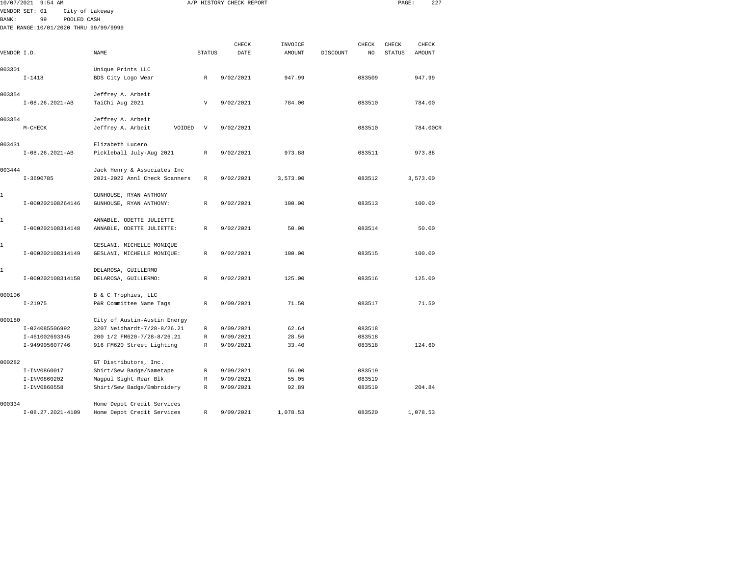|              | 10/07/2021 9:54 AM                    |                               |              | A/P HISTORY CHECK REPORT |          |          |        | PAGE:         | 227      |  |
|--------------|---------------------------------------|-------------------------------|--------------|--------------------------|----------|----------|--------|---------------|----------|--|
|              | VENDOR SET: 01                        | City of Lakeway               |              |                          |          |          |        |               |          |  |
| <b>BANK:</b> | 99<br>POOLED CASH                     |                               |              |                          |          |          |        |               |          |  |
|              | DATE RANGE:10/01/2020 THRU 99/99/9999 |                               |              |                          |          |          |        |               |          |  |
|              |                                       |                               |              | CHECK                    | INVOICE  |          | CHECK  | CHECK         | CHECK    |  |
| VENDOR I.D.  |                                       | NAME                          | STATUS       | DATE                     | AMOUNT   | DISCOUNT | NO     | <b>STATUS</b> | AMOUNT   |  |
|              |                                       |                               |              |                          |          |          |        |               |          |  |
| 003301       |                                       | Unique Prints LLC             |              |                          |          |          |        |               |          |  |
|              | $I - 1418$                            | BDS City Logo Wear            | R            | 9/02/2021                | 947.99   |          | 083509 |               | 947.99   |  |
| 003354       |                                       | Jeffrey A. Arbeit             |              |                          |          |          |        |               |          |  |
|              | $I-08.26.2021-AB$                     | TaiChi Aug 2021               | V            | 9/02/2021                | 784.00   |          | 083510 |               | 784.00   |  |
| 003354       |                                       | Jeffrey A. Arbeit             |              |                          |          |          |        |               |          |  |
|              | $M-CHECK$                             | Jeffrey A. Arbeit<br>VOIDED   | $\mathbf{V}$ | 9/02/2021                |          |          | 083510 |               | 784.00CR |  |
| 003431       |                                       | Elizabeth Lucero              |              |                          |          |          |        |               |          |  |
|              | $I-08.26.2021-AB$                     | Pickleball July-Aug 2021      | R            | 9/02/2021                | 973.88   |          | 083511 |               | 973.88   |  |
| 003444       |                                       | Jack Henry & Associates Inc   |              |                          |          |          |        |               |          |  |
|              | $I-3690785$                           | 2021-2022 Annl Check Scanners | R            | 9/02/2021                | 3,573.00 |          | 083512 |               | 3,573.00 |  |
| 1            |                                       | GUNHOUSE, RYAN ANTHONY        |              |                          |          |          |        |               |          |  |
|              | I-000202108264146                     | GUNHOUSE, RYAN ANTHONY:       | R            | 9/02/2021                | 100.00   |          | 083513 |               | 100.00   |  |
| 1            |                                       | ANNABLE, ODETTE JULIETTE      |              |                          |          |          |        |               |          |  |
|              | I-000202108314148                     | ANNABLE, ODETTE JULIETTE:     | R            | 9/02/2021                | 50.00    |          | 083514 |               | 50.00    |  |
| 1            |                                       | GESLANI, MICHELLE MONIQUE     |              |                          |          |          |        |               |          |  |
|              | I-000202108314149                     | GESLANI, MICHELLE MONIQUE:    | R            | 9/02/2021                | 100.00   |          | 083515 |               | 100.00   |  |
| 1            |                                       | DELAROSA, GUILLERMO           |              |                          |          |          |        |               |          |  |
|              | I-000202108314150                     | DELAROSA, GUILLERMO:          | R            | 9/02/2021                | 125.00   |          | 083516 |               | 125.00   |  |
| 000106       |                                       | B & C Trophies, LLC           |              |                          |          |          |        |               |          |  |
|              | $I - 21975$                           | P&R Committee Name Tags       | $\mathbb{R}$ | 9/09/2021                | 71.50    |          | 083517 |               | 71.50    |  |
| 000180       |                                       | City of Austin-Austin Energy  |              |                          |          |          |        |               |          |  |
|              | I-024085506992                        | 3207 Neidhardt-7/28-8/26.21   | R            | 9/09/2021                | 62.64    |          | 083518 |               |          |  |
|              | I-461002693345                        | 200 1/2 FM620-7/28-8/26.21    | R            | 9/09/2021                | 28.56    |          | 083518 |               |          |  |
|              | I-949905607746                        | 916 FM620 Street Lighting     | R            | 9/09/2021                | 33.40    |          | 083518 |               | 124.60   |  |
| 000282       |                                       | GT Distributors, Inc.         |              |                          |          |          |        |               |          |  |
|              | I-INV0860017                          | Shirt/Sew Badge/Nametape      | R            | 9/09/2021                | 56.90    |          | 083519 |               |          |  |
|              | I-INV0860202                          | Magpul Sight Rear Blk         | R            | 9/09/2021                | 55.05    |          | 083519 |               |          |  |
|              | I-INV0860558                          | Shirt/Sew Badge/Embroidery    | R            | 9/09/2021                | 92.89    |          | 083519 |               | 204.84   |  |
| 000334       |                                       | Home Depot Credit Services    |              |                          |          |          |        |               |          |  |
|              | I-08.27.2021-4109                     | Home Depot Credit Services    | R            | 9/09/2021                | 1,078.53 |          | 083520 |               | 1,078.53 |  |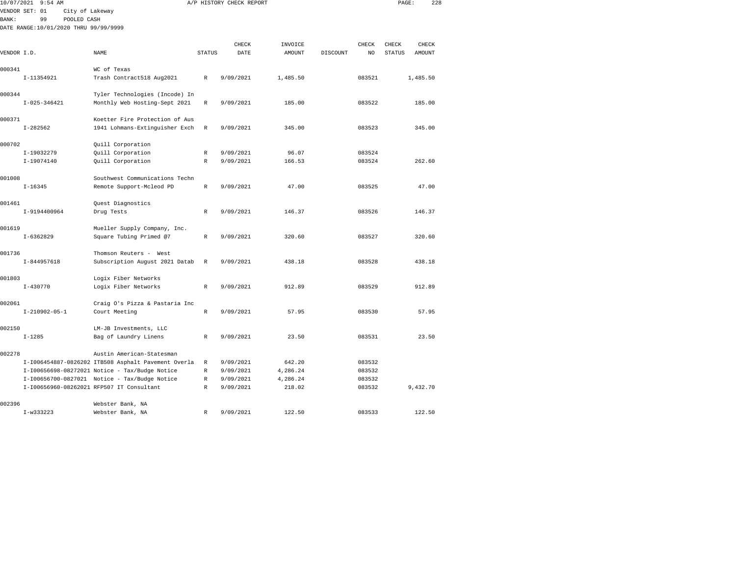| 10/07/2021  | $9:54$ AM                             |                                                     |               | A/P HISTORY CHECK REPORT |          |          |        | PAGE:         |          | 228 |
|-------------|---------------------------------------|-----------------------------------------------------|---------------|--------------------------|----------|----------|--------|---------------|----------|-----|
|             | VENDOR SET: 01<br>City of Lakeway     |                                                     |               |                          |          |          |        |               |          |     |
| BANK:       | 99<br>POOLED CASH                     |                                                     |               |                          |          |          |        |               |          |     |
|             | DATE RANGE:10/01/2020 THRU 99/99/9999 |                                                     |               |                          |          |          |        |               |          |     |
|             |                                       |                                                     |               |                          |          |          |        |               |          |     |
|             |                                       |                                                     |               | CHECK                    | INVOICE  |          | CHECK  | CHECK         | CHECK    |     |
| VENDOR I.D. |                                       | NAME                                                | <b>STATUS</b> | DATE                     | AMOUNT   | DISCOUNT | NO     | <b>STATUS</b> | AMOUNT   |     |
|             |                                       |                                                     |               |                          |          |          |        |               |          |     |
| 000341      |                                       | WC of Texas                                         |               |                          |          |          |        |               |          |     |
|             | I-11354921                            | Trash Contract518 Aug2021                           | R             | 9/09/2021                | 1,485.50 |          | 083521 |               | 1,485.50 |     |
|             |                                       |                                                     |               |                          |          |          |        |               |          |     |
| 000344      |                                       | Tyler Technologies (Incode) In                      |               |                          |          |          |        |               |          |     |
|             | $I - 025 - 346421$                    | Monthly Web Hosting-Sept 2021                       | R             | 9/09/2021                | 185.00   |          | 083522 |               | 185.00   |     |
|             |                                       |                                                     |               |                          |          |          |        |               |          |     |
| 000371      |                                       | Koetter Fire Protection of Aus                      |               |                          |          |          |        |               |          |     |
|             | $I-282562$                            | 1941 Lohmans-Extinguisher Exch                      | R             | 9/09/2021                | 345.00   |          | 083523 |               | 345.00   |     |
|             |                                       |                                                     |               |                          |          |          |        |               |          |     |
| 000702      |                                       | Quill Corporation                                   |               |                          |          |          |        |               |          |     |
|             | I-19032279                            | Quill Corporation                                   | R             | 9/09/2021                | 96.07    |          | 083524 |               |          |     |
|             | I-19074140                            | Quill Corporation                                   | R             | 9/09/2021                | 166.53   |          | 083524 |               | 262.60   |     |
|             |                                       |                                                     |               |                          |          |          |        |               |          |     |
| 001008      |                                       | Southwest Communications Techn                      |               |                          |          |          |        |               |          |     |
|             | $I - 16345$                           | Remote Support-Mcleod PD                            | $\mathbb R$   | 9/09/2021                | 47.00    |          | 083525 |               | 47.00    |     |
|             |                                       |                                                     |               |                          |          |          |        |               |          |     |
| 001461      |                                       | Quest Diagnostics                                   |               |                          |          |          |        |               |          |     |
|             | I-9194400964                          | Drug Tests                                          | R             | 9/09/2021                | 146.37   |          | 083526 |               | 146.37   |     |
|             |                                       |                                                     |               |                          |          |          |        |               |          |     |
| 001619      |                                       | Mueller Supply Company, Inc.                        |               |                          |          |          |        |               |          |     |
|             | $I-6362829$                           | Square Tubing Primed @7                             | $\mathbb{R}$  | 9/09/2021                | 320.60   |          | 083527 |               | 320.60   |     |
|             |                                       |                                                     |               |                          |          |          |        |               |          |     |
| 001736      |                                       | Thomson Reuters - West                              |               |                          |          |          |        |               |          |     |
|             | $I-844957618$                         | Subscription August 2021 Datab                      | $\mathbb R$   | 9/09/2021                | 438.18   |          | 083528 |               | 438.18   |     |
|             |                                       |                                                     |               |                          |          |          |        |               |          |     |
| 001803      |                                       | Logix Fiber Networks                                |               |                          |          |          |        |               |          |     |
|             | $I - 430770$                          | Logix Fiber Networks                                | R             | 9/09/2021                | 912.89   |          | 083529 |               | 912.89   |     |
|             |                                       |                                                     |               |                          |          |          |        |               |          |     |
| 002061      |                                       | Craig O's Pizza & Pastaria Inc                      |               |                          |          |          |        |               |          |     |
|             | $I-210902-05-1$                       | Court Meeting                                       | $\mathbb R$   | 9/09/2021                | 57.95    |          | 083530 |               | 57.95    |     |
|             |                                       |                                                     |               |                          |          |          |        |               |          |     |
| 002150      |                                       | LM-JB Investments, LLC                              |               |                          |          |          |        |               |          |     |
|             | $I - 1285$                            | Bag of Laundry Linens                               | R             | 9/09/2021                | 23.50    |          | 083531 |               | 23.50    |     |
|             |                                       |                                                     |               |                          |          |          |        |               |          |     |
| 002278      |                                       | Austin American-Statesman                           |               |                          |          |          |        |               |          |     |
|             |                                       | I-I006454887-0826202 ITB508 Asphalt Pavement Overla | R             | 9/09/2021                | 642.20   |          | 083532 |               |          |     |
|             |                                       | I-I00656698-08272021 Notice - Tax/Budge Notice      | R             | 9/09/2021                | 4,286.24 |          | 083532 |               |          |     |
|             |                                       | I-I00656700-0827021 Notice - Tax/Budge Notice       | R             | 9/09/2021                | 4,286.24 |          | 083532 |               |          |     |
|             |                                       | I-I00656960-08262021 RFP507 IT Consultant           | R             | 9/09/2021                | 218.02   |          | 083532 |               | 9,432.70 |     |
|             |                                       |                                                     |               |                          |          |          |        |               |          |     |
| 002396      |                                       | Webster Bank, NA                                    |               |                          |          |          |        |               |          |     |

I-w333223 Webster Bank, NA R 9/09/2021 122.50 083533 122.50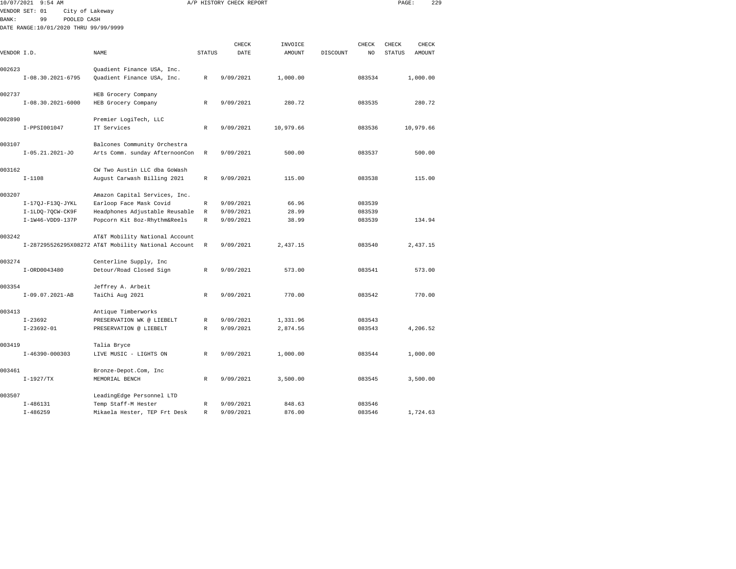|             | 10/07/2021 9:54 AM                    |                                                             |               | A/P HISTORY CHECK REPORT |               |          |        | PAGE:         |               | 229 |
|-------------|---------------------------------------|-------------------------------------------------------------|---------------|--------------------------|---------------|----------|--------|---------------|---------------|-----|
|             | VENDOR SET: 01<br>City of Lakeway     |                                                             |               |                          |               |          |        |               |               |     |
| BANK:       | 99<br>POOLED CASH                     |                                                             |               |                          |               |          |        |               |               |     |
|             | DATE RANGE:10/01/2020 THRU 99/99/9999 |                                                             |               |                          |               |          |        |               |               |     |
|             |                                       |                                                             |               |                          |               |          |        |               |               |     |
|             |                                       |                                                             |               | CHECK                    | INVOICE       |          | CHECK  | CHECK         | <b>CHECK</b>  |     |
| VENDOR I.D. |                                       | NAME                                                        | <b>STATUS</b> | DATE                     | <b>AMOUNT</b> | DISCOUNT | NO     | <b>STATUS</b> | <b>AMOUNT</b> |     |
|             |                                       |                                                             |               |                          |               |          |        |               |               |     |
| 002623      |                                       | Quadient Finance USA, Inc.                                  |               |                          |               |          |        |               |               |     |
|             | $I-08.30.2021-6795$                   | Quadient Finance USA, Inc.                                  | $\mathbb{R}$  | 9/09/2021                | 1,000.00      |          | 083534 |               | 1,000.00      |     |
|             |                                       |                                                             |               |                          |               |          |        |               |               |     |
| 002737      |                                       | HEB Grocery Company                                         |               |                          |               |          |        |               |               |     |
|             | $I-08.30.2021-6000$                   | HEB Grocery Company                                         | R             | 9/09/2021                | 280.72        |          | 083535 |               | 280.72        |     |
|             |                                       |                                                             |               |                          |               |          |        |               |               |     |
| 002890      |                                       | Premier LogiTech, LLC                                       |               |                          |               |          |        |               |               |     |
|             | I-PPSI001047                          | IT Services                                                 | R             | 9/09/2021                | 10,979.66     |          | 083536 |               | 10,979.66     |     |
|             |                                       |                                                             |               |                          |               |          |        |               |               |     |
| 003107      |                                       | Balcones Community Orchestra                                |               |                          |               |          |        |               |               |     |
|             | $I-05.21.2021-J0$                     | Arts Comm. sunday AfternoonCon                              | $\mathbb R$   | 9/09/2021                | 500.00        |          | 083537 |               | 500.00        |     |
|             |                                       |                                                             |               |                          |               |          |        |               |               |     |
| 003162      | $I - 1108$                            | CW Two Austin LLC dba GoWash<br>August Carwash Billing 2021 | $\mathbb R$   | 9/09/2021                | 115.00        |          | 083538 |               | 115.00        |     |
|             |                                       |                                                             |               |                          |               |          |        |               |               |     |
| 003207      |                                       | Amazon Capital Services, Inc.                               |               |                          |               |          |        |               |               |     |
|             | I-17QJ-F13Q-JYKL                      | Earloop Face Mask Covid                                     | R             | 9/09/2021                | 66.96         |          | 083539 |               |               |     |
|             | I-1LDQ-7QCW-CK9F                      | Headphones Adjustable Reusable                              | R             | 9/09/2021                | 28.99         |          | 083539 |               |               |     |
|             | I-1W46-VDD9-137P                      | Popcorn Kit 8oz-Rhythm&Reels                                | $\mathbb R$   | 9/09/2021                | 38.99         |          | 083539 |               | 134.94        |     |
|             |                                       |                                                             |               |                          |               |          |        |               |               |     |
| 003242      |                                       | AT&T Mobility National Account                              |               |                          |               |          |        |               |               |     |
|             |                                       | I-287295526295X08272 AT&T Mobility National Account         | $\mathbb R$   | 9/09/2021                | 2,437.15      |          | 083540 |               | 2,437.15      |     |
|             |                                       |                                                             |               |                          |               |          |        |               |               |     |
| 003274      |                                       | Centerline Supply, Inc                                      |               |                          |               |          |        |               |               |     |
|             | I-ORD0043480                          | Detour/Road Closed Sign                                     | R             | 9/09/2021                | 573.00        |          | 083541 |               | 573.00        |     |
|             |                                       |                                                             |               |                          |               |          |        |               |               |     |
| 003354      |                                       | Jeffrey A. Arbeit                                           |               |                          |               |          |        |               |               |     |
|             | I-09.07.2021-AB                       | TaiChi Aug 2021                                             | R             | 9/09/2021                | 770.00        |          | 083542 |               | 770.00        |     |
|             |                                       |                                                             |               |                          |               |          |        |               |               |     |
| 003413      |                                       | Antique Timberworks                                         |               |                          |               |          |        |               |               |     |
|             | $I - 23692$                           | PRESERVATION WK @ LIEBELT                                   | $\mathbb R$   | 9/09/2021                | 1,331.96      |          | 083543 |               |               |     |
|             | $I-23692-01$                          | PRESERVATION @ LIEBELT                                      | $\mathbb{R}$  | 9/09/2021                | 2,874.56      |          | 083543 |               | 4,206.52      |     |
|             |                                       |                                                             |               |                          |               |          |        |               |               |     |
| 003419      |                                       | Talia Bryce                                                 |               |                          |               |          |        |               |               |     |
|             | $I-46390-000303$                      | LIVE MUSIC - LIGHTS ON                                      | R             | 9/09/2021                | 1,000.00      |          | 083544 |               | 1,000.00      |     |
| 003461      |                                       | Bronze-Depot.Com, Inc                                       |               |                          |               |          |        |               |               |     |
|             | $I-1927/TX$                           | MEMORIAL BENCH                                              | R             | 9/09/2021                | 3,500.00      |          | 083545 |               | 3,500.00      |     |
|             |                                       |                                                             |               |                          |               |          |        |               |               |     |
| 003507      |                                       | LeadingEdge Personnel LTD                                   |               |                          |               |          |        |               |               |     |
|             | $I-486131$                            | Temp Staff-M Hester                                         | R             | 9/09/2021                | 848.63        |          | 083546 |               |               |     |
|             | $I - 486259$                          | Mikaela Hester, TEP Frt Desk                                | R             | 9/09/2021                | 876.00        |          | 083546 |               | 1,724.63      |     |
|             |                                       |                                                             |               |                          |               |          |        |               |               |     |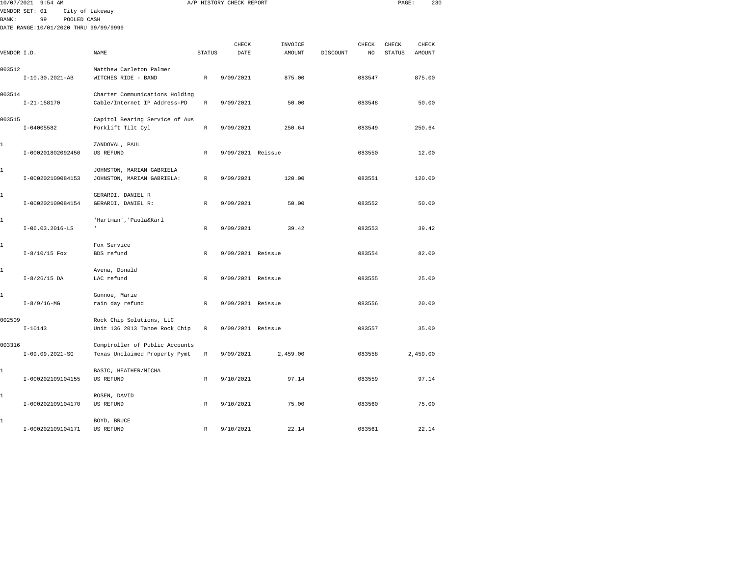|              | 10/07/2021 9:54 AM                    |                                         |               | A/P HISTORY CHECK REPORT |               |          |        | PAGE:         | 230           |  |
|--------------|---------------------------------------|-----------------------------------------|---------------|--------------------------|---------------|----------|--------|---------------|---------------|--|
| <b>BANK:</b> | VENDOR SET: 01<br>99<br>POOLED CASH   | City of Lakeway                         |               |                          |               |          |        |               |               |  |
|              | DATE RANGE:10/01/2020 THRU 99/99/9999 |                                         |               |                          |               |          |        |               |               |  |
|              |                                       |                                         |               | CHECK                    | INVOICE       |          | CHECK  | CHECK         | CHECK         |  |
| VENDOR I.D.  |                                       | NAME                                    | <b>STATUS</b> | DATE                     | <b>AMOUNT</b> | DISCOUNT | NO     | <b>STATUS</b> | <b>AMOUNT</b> |  |
| 003512       |                                       | Matthew Carleton Palmer                 |               |                          |               |          |        |               |               |  |
|              | I-10.30.2021-AB                       | WITCHES RIDE - BAND                     | $\mathbb{R}$  | 9/09/2021                | 875.00        |          | 083547 |               | 875.00        |  |
| 003514       |                                       | Charter Communications Holding          |               |                          |               |          |        |               |               |  |
|              | $I - 21 - 158170$                     | Cable/Internet IP Address-PD            | $\,$ R        | 9/09/2021                | 50.00         |          | 083548 |               | 50.00         |  |
| 003515       |                                       | Capitol Bearing Service of Aus          |               |                          |               |          |        |               |               |  |
|              | $I-04005582$                          | Forklift Tilt Cyl                       | $\mathbb{R}$  | 9/09/2021                | 250.64        |          | 083549 |               | 250.64        |  |
| 1            |                                       | ZANDOVAL, PAUL                          |               |                          |               |          |        |               |               |  |
|              | I-000201802092450                     | US REFUND                               | R             | 9/09/2021 Reissue        |               |          | 083550 |               | 12.00         |  |
| 1            |                                       | JOHNSTON, MARIAN GABRIELA               |               |                          |               |          |        |               |               |  |
|              | I-000202109084153                     | JOHNSTON, MARIAN GABRIELA:              | R             | 9/09/2021                | 120.00        |          | 083551 |               | 120.00        |  |
|              |                                       |                                         |               |                          |               |          |        |               |               |  |
| 1            | I-000202109084154                     | GERARDI, DANIEL R<br>GERARDI, DANIEL R: | R             | 9/09/2021                | 50.00         |          | 083552 |               | 50.00         |  |
|              |                                       |                                         |               |                          |               |          |        |               |               |  |
| 1            | $I-06.03.2016-LS$                     | 'Hartman', 'Paula&Karl                  | $\mathbb R$   | 9/09/2021                | 39.42         |          | 083553 |               | 39.42         |  |
|              |                                       |                                         |               |                          |               |          |        |               |               |  |
| 1            | $I-8/10/15$ Fox                       | Fox Service<br>BDS refund               | $\mathbb{R}$  | 9/09/2021 Reissue        |               |          | 083554 |               | 82.00         |  |
|              |                                       |                                         |               |                          |               |          |        |               |               |  |
| 1            | $I-8/26/15$ DA                        | Avena, Donald<br>LAC refund             | $\mathbb R$   | 9/09/2021 Reissue        |               |          | 083555 |               | 25.00         |  |
|              |                                       |                                         |               |                          |               |          |        |               |               |  |
| 1            | $I-8/9/16-MG$                         | Gunnoe, Marie                           | $\mathbb{R}$  | 9/09/2021 Reissue        |               |          | 083556 |               | 20.00         |  |
|              |                                       | rain day refund                         |               |                          |               |          |        |               |               |  |
| 002509       |                                       | Rock Chip Solutions, LLC                |               |                          |               |          |        |               |               |  |
|              | $I - 10143$                           | Unit 136 2013 Tahoe Rock Chip           | $\mathbb R$   | 9/09/2021 Reissue        |               |          | 083557 |               | 35.00         |  |
| 003316       |                                       | Comptroller of Public Accounts          |               |                          |               |          |        |               |               |  |
|              | $I-09.09.2021-SG$                     | Texas Unclaimed Property Pymt           | R             | 9/09/2021                | 2,459.00      |          | 083558 |               | 2,459.00      |  |
| 1            |                                       | BASIC, HEATHER/MICHA                    |               |                          |               |          |        |               |               |  |
|              | I-000202109104155                     | US REFUND                               | R             | 9/10/2021                | 97.14         |          | 083559 |               | 97.14         |  |
| 1            |                                       | ROSEN, DAVID                            |               |                          |               |          |        |               |               |  |
|              | I-000202109104170                     | <b>US REFUND</b>                        | $\mathbb R$   | 9/10/2021                | 75.00         |          | 083560 |               | 75.00         |  |
| 1            |                                       | BOYD, BRUCE                             |               |                          |               |          |        |               |               |  |
|              | I-000202109104171                     | <b>US REFUND</b>                        | R             | 9/10/2021                | 22.14         |          | 083561 |               | 22.14         |  |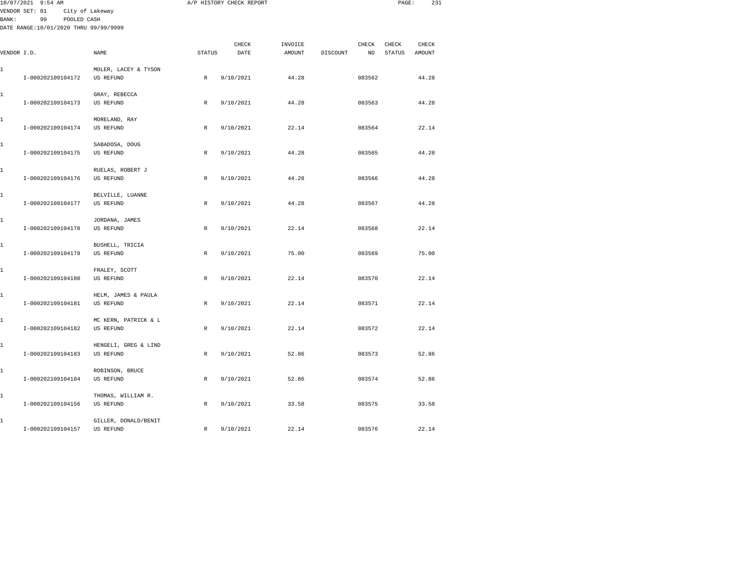|       | 10/07/2021 9:54 AM                    |                                          |              | A/P HISTORY CHECK REPORT |         |                 |        | PAGE:         | 231    |  |
|-------|---------------------------------------|------------------------------------------|--------------|--------------------------|---------|-----------------|--------|---------------|--------|--|
| BANK: | VENDOR SET: 01<br>99<br>POOLED CASH   | City of Lakeway                          |              |                          |         |                 |        |               |        |  |
|       | DATE RANGE:10/01/2020 THRU 99/99/9999 |                                          |              |                          |         |                 |        |               |        |  |
|       |                                       |                                          |              |                          |         |                 |        |               |        |  |
|       |                                       |                                          |              | CHECK                    | INVOICE |                 | CHECK  | CHECK         | CHECK  |  |
|       | VENDOR I.D.                           | NAME                                     | STATUS       | DATE                     | AMOUNT  | <b>DISCOUNT</b> | NO     | <b>STATUS</b> | AMOUNT |  |
|       |                                       |                                          |              |                          |         |                 |        |               |        |  |
| 1     | I-000202109104172                     | MOLER, LACEY & TYSON<br><b>US REFUND</b> | $\,$ R       | 9/10/2021                | 44.28   |                 | 083562 |               | 44.28  |  |
|       |                                       |                                          |              |                          |         |                 |        |               |        |  |
| 1     |                                       | GRAY, REBECCA                            |              |                          |         |                 |        |               |        |  |
|       | I-000202109104173                     | US REFUND                                | $\mathbb{R}$ | 9/10/2021                | 44.28   |                 | 083563 |               | 44.28  |  |
|       |                                       |                                          |              |                          |         |                 |        |               |        |  |
| 1     | I-000202109104174                     | MORELAND, RAY<br>US REFUND               | $\mathbb{R}$ | 9/10/2021                | 22.14   |                 | 083564 |               | 22.14  |  |
|       |                                       |                                          |              |                          |         |                 |        |               |        |  |
| 1     |                                       | SABADOSA, DOUG                           |              |                          |         |                 |        |               |        |  |
|       | I-000202109104175                     | US REFUND                                | $\mathbb R$  | 9/10/2021                | 44.28   |                 | 083565 |               | 44.28  |  |
|       |                                       |                                          |              |                          |         |                 |        |               |        |  |
| 1     |                                       | RUELAS, ROBERT J                         |              |                          |         |                 |        |               |        |  |
|       | I-000202109104176                     | US REFUND                                | R            | 9/10/2021                | 44.28   |                 | 083566 |               | 44.28  |  |
| 1     |                                       | BELVILLE, LUANNE                         |              |                          |         |                 |        |               |        |  |
|       | I-000202109104177                     | <b>US REFUND</b>                         | $\mathbb{R}$ | 9/10/2021                | 44.28   |                 | 083567 |               | 44.28  |  |
|       |                                       |                                          |              |                          |         |                 |        |               |        |  |
| 1     |                                       | JORDANA, JAMES                           |              |                          |         |                 |        |               |        |  |
|       | I-000202109104178                     | <b>US REFUND</b>                         | $\,$ R       | 9/10/2021                | 22.14   |                 | 083568 |               | 22.14  |  |
| 1     |                                       | BUSHELL, TRICIA                          |              |                          |         |                 |        |               |        |  |
|       | I-000202109104179                     | US REFUND                                | R            | 9/10/2021                | 75.00   |                 | 083569 |               | 75.00  |  |
|       |                                       |                                          |              |                          |         |                 |        |               |        |  |
| 1     |                                       | FRALEY, SCOTT                            |              |                          |         |                 |        |               |        |  |
|       | I-000202109104180                     | <b>US REFUND</b>                         | $\mathbb{R}$ | 9/10/2021                | 22.14   |                 | 083570 |               | 22.14  |  |
| 1     |                                       | HELM, JAMES & PAULA                      |              |                          |         |                 |        |               |        |  |
|       | I-000202109104181                     | US REFUND                                | $\mathbb R$  | 9/10/2021                | 22.14   |                 | 083571 |               | 22.14  |  |
|       |                                       |                                          |              |                          |         |                 |        |               |        |  |
| 1     |                                       | MC KERN, PATRICK & L                     |              |                          |         |                 |        |               |        |  |
|       | I-000202109104182                     | US REFUND                                | $\mathbb{R}$ | 9/10/2021                | 22.14   |                 | 083572 |               | 22.14  |  |
| 1     |                                       | HENGELI, GREG & LIND                     |              |                          |         |                 |        |               |        |  |
|       | I-000202109104183                     | US REFUND                                | R            | 9/10/2021                | 52.86   |                 | 083573 |               | 52.86  |  |
|       |                                       |                                          |              |                          |         |                 |        |               |        |  |
| 1     |                                       | ROBINSON, BRUCE                          |              |                          |         |                 |        |               |        |  |
|       | I-000202109104184                     | <b>US REFUND</b>                         | $\mathbb R$  | 9/10/2021                | 52.86   |                 | 083574 |               | 52.86  |  |
| 1     |                                       | THOMAS, WILLIAM R.                       |              |                          |         |                 |        |               |        |  |
|       | I-000202109104156                     | US REFUND                                | $\mathbb{R}$ | 9/10/2021                | 33.58   |                 | 083575 |               | 33.58  |  |
|       |                                       |                                          |              |                          |         |                 |        |               |        |  |
| 1     |                                       | GILLER, DONALD/BENIT                     |              |                          |         |                 |        |               |        |  |

I-000202109104157 US REFUND R 9/10/2021 22.14 083576 22.14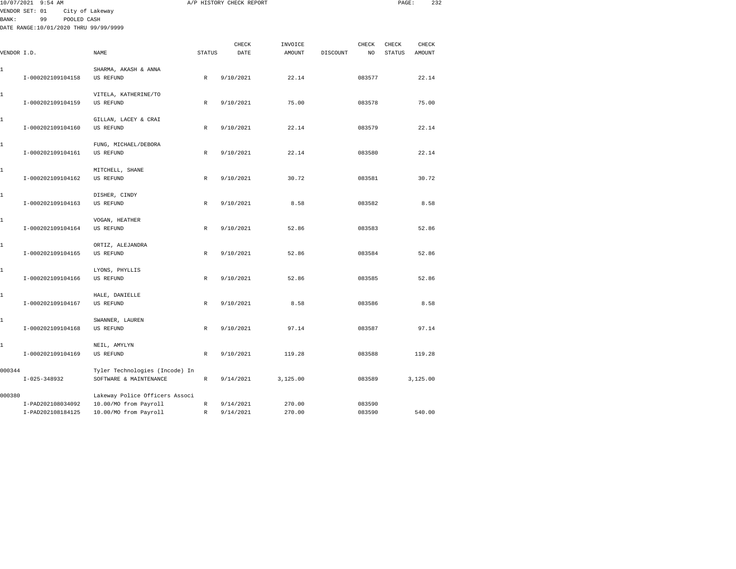|              | 10/07/2021 9:54 AM                     |                                                |               | A/P HISTORY CHECK REPORT |          |          |                  | PAGE:         | 232      |  |
|--------------|----------------------------------------|------------------------------------------------|---------------|--------------------------|----------|----------|------------------|---------------|----------|--|
|              | VENDOR SET: 01                         | City of Lakeway                                |               |                          |          |          |                  |               |          |  |
| BANK:        | 99<br>POOLED CASH                      |                                                |               |                          |          |          |                  |               |          |  |
|              | DATE RANGE: 10/01/2020 THRU 99/99/9999 |                                                |               |                          |          |          |                  |               |          |  |
|              |                                        |                                                |               |                          |          |          |                  |               |          |  |
|              |                                        |                                                |               | CHECK                    | INVOICE  |          | CHECK            | CHECK         | CHECK    |  |
| VENDOR I.D.  |                                        | NAME                                           | <b>STATUS</b> | DATE                     | AMOUNT   | DISCOUNT | NO.              | <b>STATUS</b> | AMOUNT   |  |
|              |                                        |                                                |               |                          |          |          |                  |               |          |  |
| 1            |                                        | SHARMA, AKASH & ANNA                           |               |                          |          |          |                  |               |          |  |
|              | I-000202109104158                      | US REFUND                                      | $\mathbb{R}$  | 9/10/2021                | 22.14    |          | 083577           |               | 22.14    |  |
|              |                                        |                                                |               |                          |          |          |                  |               |          |  |
| 1            |                                        | VITELA, KATHERINE/TO                           |               |                          |          |          |                  |               |          |  |
|              | I-000202109104159                      | US REFUND                                      | $\mathbb{R}$  | 9/10/2021                | 75.00    |          | 083578           |               | 75.00    |  |
| 1            |                                        | GILLAN, LACEY & CRAI                           |               |                          |          |          |                  |               |          |  |
|              | I-000202109104160                      | US REFUND                                      | $\mathbb{R}$  | 9/10/2021                | 22.14    |          | 083579           |               | 22.14    |  |
|              |                                        |                                                |               |                          |          |          |                  |               |          |  |
| 1            |                                        | FUNG, MICHAEL/DEBORA                           |               |                          |          |          |                  |               |          |  |
|              | I-000202109104161                      | <b>US REFUND</b>                               | $\mathbb R$   | 9/10/2021                | 22.14    |          | 083580           |               | 22.14    |  |
|              |                                        |                                                |               |                          |          |          |                  |               |          |  |
| 1            |                                        | MITCHELL, SHANE                                |               |                          |          |          |                  |               |          |  |
|              | I-000202109104162                      | <b>US REFUND</b>                               | $\,$ R        | 9/10/2021                | 30.72    |          | 083581           |               | 30.72    |  |
| 1            |                                        |                                                |               |                          |          |          |                  |               |          |  |
|              | I-000202109104163                      | DISHER, CINDY<br><b>US REFUND</b>              | $\mathbb{R}$  | 9/10/2021                | 8.58     |          | 083582           |               | 8.58     |  |
|              |                                        |                                                |               |                          |          |          |                  |               |          |  |
| 1            |                                        | VOGAN, HEATHER                                 |               |                          |          |          |                  |               |          |  |
|              | I-000202109104164                      | US REFUND                                      | $\mathbb{R}$  | 9/10/2021                | 52.86    |          | 083583           |               | 52.86    |  |
|              |                                        |                                                |               |                          |          |          |                  |               |          |  |
| 1            |                                        | ORTIZ, ALEJANDRA                               |               |                          |          |          |                  |               |          |  |
|              | I-000202109104165                      | US REFUND                                      | $\,$ R        | 9/10/2021                | 52.86    |          | 083584           |               | 52.86    |  |
|              |                                        |                                                |               |                          |          |          |                  |               |          |  |
| 1            |                                        | LYONS, PHYLLIS                                 |               |                          |          |          |                  |               |          |  |
|              | I-000202109104166                      | US REFUND                                      | $\,$ R        | 9/10/2021                | 52.86    |          | 083585           |               | 52.86    |  |
|              |                                        |                                                |               |                          |          |          |                  |               |          |  |
| 1            |                                        | HALE, DANIELLE<br><b>US REFUND</b>             |               |                          |          |          | 083586           |               |          |  |
|              | I-000202109104167                      |                                                | $\mathbb{R}$  | 9/10/2021                | 8.58     |          |                  |               | 8.58     |  |
| 1            |                                        | SWANNER, LAUREN                                |               |                          |          |          |                  |               |          |  |
|              | I-000202109104168                      | US REFUND                                      | $\mathbb{R}$  | 9/10/2021                | 97.14    |          | 083587           |               | 97.14    |  |
|              |                                        |                                                |               |                          |          |          |                  |               |          |  |
| $\mathbf{1}$ |                                        | NEIL, AMYLYN                                   |               |                          |          |          |                  |               |          |  |
|              | I-000202109104169                      | US REFUND                                      | $\mathbb{R}$  | 9/10/2021                | 119.28   |          | 083588           |               | 119.28   |  |
|              |                                        |                                                |               |                          |          |          |                  |               |          |  |
| 000344       |                                        | Tyler Technologies (Incode) In                 |               |                          |          |          |                  |               |          |  |
|              | $I-025-348932$                         | SOFTWARE & MAINTENANCE                         | $\mathbb{R}$  | 9/14/2021                | 3,125.00 |          | 083589           |               | 3,125.00 |  |
|              |                                        |                                                |               |                          |          |          |                  |               |          |  |
| 000380       | I-PAD202108034092                      | Lakeway Police Officers Associ                 | $\,$ R        | 9/14/2021                | 270.00   |          |                  |               |          |  |
|              | I-PAD202108184125                      | 10.00/MO from Payroll<br>10.00/MO from Payroll | $\mathbb{R}$  | 9/14/2021                | 270.00   |          | 083590<br>083590 |               | 540.00   |  |
|              |                                        |                                                |               |                          |          |          |                  |               |          |  |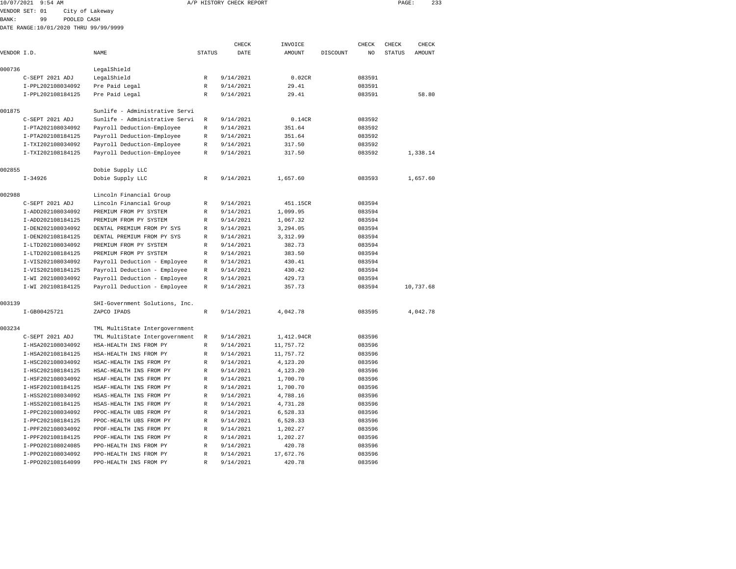|              | 10/07/2021 9:54 AM                     |                                                                  |                  | A/P HISTORY CHECK REPORT |                      |          |                  | PAGE:         | 233       |  |
|--------------|----------------------------------------|------------------------------------------------------------------|------------------|--------------------------|----------------------|----------|------------------|---------------|-----------|--|
|              | VENDOR SET: 01                         | City of Lakeway                                                  |                  |                          |                      |          |                  |               |           |  |
| <b>BANK:</b> | 99<br>POOLED CASH                      |                                                                  |                  |                          |                      |          |                  |               |           |  |
|              | DATE RANGE:10/01/2020 THRU 99/99/9999  |                                                                  |                  |                          |                      |          |                  |               |           |  |
|              |                                        |                                                                  |                  |                          |                      |          |                  |               |           |  |
|              |                                        |                                                                  |                  | CHECK                    | INVOICE              |          | CHECK            | CHECK         | CHECK     |  |
| VENDOR I.D.  |                                        | NAME                                                             | <b>STATUS</b>    | DATE                     | <b>AMOUNT</b>        | DISCOUNT | NO               | <b>STATUS</b> | AMOUNT    |  |
|              |                                        |                                                                  |                  |                          |                      |          |                  |               |           |  |
| 000736       |                                        | LegalShield                                                      |                  |                          |                      |          |                  |               |           |  |
|              | C-SEPT 2021 ADJ                        | LegalShield                                                      | $\mathbb R$      | 9/14/2021                | 0.02CR               |          | 083591           |               |           |  |
|              | I-PPL202108034092                      | Pre Paid Legal                                                   | R                | 9/14/2021                | 29.41                |          | 083591           |               |           |  |
|              | I-PPL202108184125                      | Pre Paid Legal                                                   | $\mathbb R$      | 9/14/2021                | 29.41                |          | 083591           |               | 58.80     |  |
|              |                                        |                                                                  |                  |                          |                      |          |                  |               |           |  |
| 001875       |                                        | Sunlife - Administrative Servi                                   |                  |                          |                      |          |                  |               |           |  |
|              | C-SEPT 2021 ADJ                        | Sunlife - Administrative Servi                                   | $\mathbb R$      | 9/14/2021                | 0.14CR               |          | 083592           |               |           |  |
|              | I-PTA202108034092                      | Payroll Deduction-Employee                                       | $\mathbb R$      | 9/14/2021                | 351.64               |          | 083592           |               |           |  |
|              | I-PTA202108184125                      | Payroll Deduction-Employee                                       | R                | 9/14/2021                | 351.64               |          | 083592           |               |           |  |
|              | I-TXI202108034092                      | Payroll Deduction-Employee                                       | $\mathbb{R}$     | 9/14/2021                | 317.50               |          | 083592           |               |           |  |
|              | I-TXI202108184125                      | Payroll Deduction-Employee                                       | $\mathbb R$      | 9/14/2021                | 317.50               |          | 083592           |               | 1,338.14  |  |
|              |                                        |                                                                  |                  |                          |                      |          |                  |               |           |  |
| 002855       |                                        | Dobie Supply LLC                                                 |                  |                          |                      |          |                  |               |           |  |
|              | $I - 34926$                            | Dobie Supply LLC                                                 | $\mathbb{R}$     | 9/14/2021                | 1,657.60             |          | 083593           |               | 1,657.60  |  |
|              |                                        |                                                                  |                  |                          |                      |          |                  |               |           |  |
| 002988       |                                        | Lincoln Financial Group                                          |                  |                          |                      |          |                  |               |           |  |
|              | C-SEPT 2021 ADJ                        | Lincoln Financial Group                                          | $\mathbb R$      | 9/14/2021                | 451.15CR             |          | 083594           |               |           |  |
|              | I-ADD202108034092                      | PREMIUM FROM PY SYSTEM                                           | R                | 9/14/2021                | 1,099.95             |          | 083594           |               |           |  |
|              | I-ADD202108184125                      | PREMIUM FROM PY SYSTEM                                           | R                | 9/14/2021                | 1,067.32             |          | 083594           |               |           |  |
|              | I-DEN202108034092                      | DENTAL PREMIUM FROM PY SYS                                       | $\mathbb R$      | 9/14/2021                | 3,294.05             |          | 083594           |               |           |  |
|              | I-DEN202108184125                      | DENTAL PREMIUM FROM PY SYS                                       | $\mathbb R$      | 9/14/2021                | 3,312.99             |          | 083594           |               |           |  |
|              | I-LTD202108034092                      | PREMIUM FROM PY SYSTEM                                           | $\mathbb R$      | 9/14/2021                | 382.73               |          | 083594           |               |           |  |
|              | I-LTD202108184125                      | PREMIUM FROM PY SYSTEM                                           | $\mathbb{R}$     | 9/14/2021                | 383.50               |          | 083594           |               |           |  |
|              | I-VIS202108034092                      | Payroll Deduction - Employee                                     | R                | 9/14/2021                | 430.41               |          | 083594           |               |           |  |
|              | I-VIS202108184125                      | Payroll Deduction - Employee                                     | R                | 9/14/2021                | 430.42               |          | 083594           |               |           |  |
|              | I-WI 202108034092                      | Payroll Deduction - Employee                                     | $\mathbb R$      | 9/14/2021                | 429.73               |          | 083594           |               |           |  |
|              | I-WI 202108184125                      | Payroll Deduction - Employee                                     | $\mathbb R$      | 9/14/2021                | 357.73               |          | 083594           |               | 10,737.68 |  |
|              |                                        |                                                                  |                  |                          |                      |          |                  |               |           |  |
| 003139       |                                        | SHI-Government Solutions, Inc.                                   |                  |                          |                      |          |                  |               |           |  |
|              | I-GB00425721                           | ZAPCO IPADS                                                      | $\mathbb R$      | 9/14/2021                | 4,042.78             |          | 083595           |               | 4,042.78  |  |
| 003234       |                                        |                                                                  |                  |                          |                      |          |                  |               |           |  |
|              | C-SEPT 2021 ADJ                        | TML MultiState Intergovernment<br>TML MultiState Intergovernment |                  | 9/14/2021                | 1,412.94CR           |          | 083596           |               |           |  |
|              | I-HSA202108034092                      | HSA-HEALTH INS FROM PY                                           | R<br>$\mathbb R$ | 9/14/2021                | 11,757.72            |          |                  |               |           |  |
|              | I-HSA202108184125                      | HSA-HEALTH INS FROM PY                                           | $\mathbb R$      | 9/14/2021                | 11,757.72            |          | 083596           |               |           |  |
|              |                                        |                                                                  | $\mathbb R$      |                          |                      |          | 083596           |               |           |  |
|              | I-HSC202108034092<br>I-HSC202108184125 | HSAC-HEALTH INS FROM PY<br>HSAC-HEALTH INS FROM PY               | R                | 9/14/2021<br>9/14/2021   | 4,123.20<br>4,123.20 |          | 083596<br>083596 |               |           |  |
|              | I-HSF202108034092                      | HSAF-HEALTH INS FROM PY                                          | $\mathbb R$      | 9/14/2021                | 1,700.70             |          | 083596           |               |           |  |
|              | I-HSF202108184125                      | HSAF-HEALTH INS FROM PY                                          | $\mathbb R$      | 9/14/2021                | 1,700.70             |          | 083596           |               |           |  |
|              | I-HSS202108034092                      | HSAS-HEALTH INS FROM PY                                          | $\mathbb R$      | 9/14/2021                | 4,788.16             |          | 083596           |               |           |  |
|              | I-HSS202108184125                      | HSAS-HEALTH INS FROM PY                                          | $\mathbb{R}$     | 9/14/2021                | 4,731.28             |          | 083596           |               |           |  |
|              | I-PPC202108034092                      | PPOC-HEALTH UBS FROM PY                                          | R                | 9/14/2021                | 6,528.33             |          | 083596           |               |           |  |
|              | I-PPC202108184125                      | PPOC-HEALTH UBS FROM PY                                          | R                | 9/14/2021                | 6,528.33             |          | 083596           |               |           |  |
|              | I-PPF202108034092                      | PPOF-HEALTH INS FROM PY                                          | $\mathbb R$      | 9/14/2021                | 1,202.27             |          | 083596           |               |           |  |
|              | I-PPF202108184125                      | PPOF-HEALTH INS FROM PY                                          | $\mathbb R$      | 9/14/2021                | 1,202.27             |          | 083596           |               |           |  |
|              | I-PP0202108024085                      | PPO-HEALTH INS FROM PY                                           | $\mathbb{R}$     | 9/14/2021                | 420.78               |          | 083596           |               |           |  |
|              |                                        |                                                                  |                  |                          |                      |          |                  |               |           |  |

 I-PPO202108034092 PPO-HEALTH INS FROM PY R 9/14/2021 17,672.76 083596 I-PPO202108164099 PPO-HEALTH INS FROM PY R 9/14/2021 420.78 083596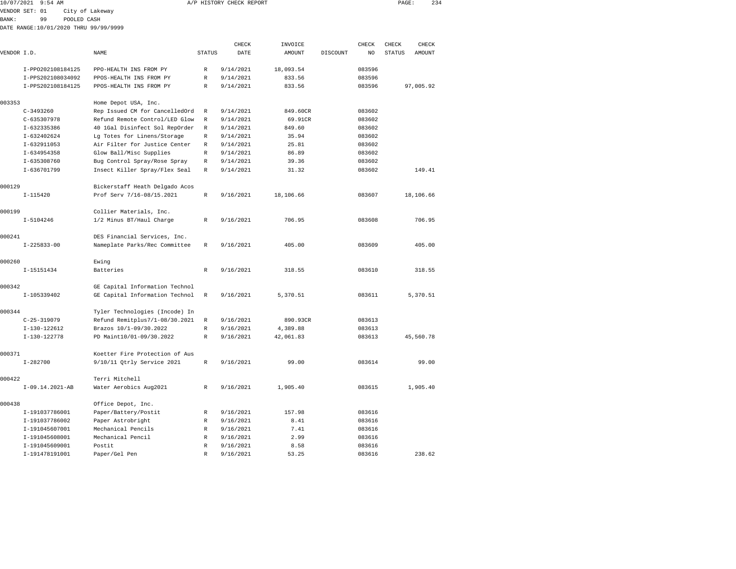| 10/07/2021 9:54 AM |    |                                       | A/P HISTORY CHECK REPORT |               |          |       | PAGE:        | 234   |
|--------------------|----|---------------------------------------|--------------------------|---------------|----------|-------|--------------|-------|
| VENDOR SET: 01     |    | City of Lakeway                       |                          |               |          |       |              |       |
| BANK :             | 99 | POOLED CASH                           |                          |               |          |       |              |       |
|                    |    | DATE RANGE:10/01/2020 THRU 99/99/9999 |                          |               |          |       |              |       |
|                    |    |                                       |                          |               |          |       |              |       |
|                    |    |                                       |                          | <b>THE CK</b> | TNVOTCE. | CHECK | <b>CHECK</b> | CHECK |

| VENDOR I.D. |                   | NAME                           | <b>STATUS</b> | DATE      | AMOUNT    | DISCOUNT | NO     | <b>STATUS</b> | <b>AMOUNT</b> |
|-------------|-------------------|--------------------------------|---------------|-----------|-----------|----------|--------|---------------|---------------|
|             | I-PP0202108184125 | PPO-HEALTH INS FROM PY         | R             | 9/14/2021 | 18,093.54 |          | 083596 |               |               |
|             | I-PPS202108034092 | PPOS-HEALTH INS FROM PY        | $\mathbb R$   | 9/14/2021 | 833.56    |          | 083596 |               |               |
|             | I-PPS202108184125 | PPOS-HEALTH INS FROM PY        | $\mathbb R$   | 9/14/2021 | 833.56    |          | 083596 |               | 97,005.92     |
|             |                   |                                |               |           |           |          |        |               |               |
| 003353      |                   | Home Depot USA, Inc.           |               |           |           |          |        |               |               |
|             | $C-3493260$       | Rep Issued CM for CancelledOrd | $\mathbb{R}$  | 9/14/2021 | 849.60CR  |          | 083602 |               |               |
|             | $C - 635307978$   | Refund Remote Control/LED Glow | R             | 9/14/2021 | 69.91CR   |          | 083602 |               |               |
|             | I-632335386       | 40 1Gal Disinfect Sol RepOrder | R             | 9/14/2021 | 849.60    |          | 083602 |               |               |
|             | I-632402624       | Lg Totes for Linens/Storage    | R             | 9/14/2021 | 35.94     |          | 083602 |               |               |
|             | $I-632911053$     | Air Filter for Justice Center  | R             | 9/14/2021 | 25.81     |          | 083602 |               |               |
|             | I-634954358       | Glow Ball/Misc Supplies        | R             | 9/14/2021 | 86.89     |          | 083602 |               |               |
|             | I-635308760       | Bug Control Spray/Rose Spray   | R             | 9/14/2021 | 39.36     |          | 083602 |               |               |
|             | I-636701799       | Insect Killer Spray/Flex Seal  | R             | 9/14/2021 | 31.32     |          | 083602 |               | 149.41        |
| 000129      |                   | Bickerstaff Heath Delgado Acos |               |           |           |          |        |               |               |
|             | $I - 115420$      | Prof Serv 7/16-08/15.2021      | $\mathbb{R}$  | 9/16/2021 | 18,106.66 |          | 083607 |               | 18,106.66     |
| 000199      |                   | Collier Materials, Inc.        |               |           |           |          |        |               |               |
|             | $I - 5104246$     | 1/2 Minus BT/Haul Charge       | R             | 9/16/2021 | 706.95    |          | 083608 |               | 706.95        |
|             |                   |                                |               |           |           |          |        |               |               |
| 000241      |                   | DES Financial Services, Inc.   |               |           |           |          |        |               |               |
|             | $I - 225833 - 00$ | Nameplate Parks/Rec Committee  | R             | 9/16/2021 | 405.00    |          | 083609 |               | 405.00        |
| 000260      |                   | Ewing                          |               |           |           |          |        |               |               |
|             | I-15151434        | Batteries                      | $\mathbb{R}$  | 9/16/2021 | 318.55    |          | 083610 |               | 318.55        |
| 000342      |                   | GE Capital Information Technol |               |           |           |          |        |               |               |
|             | I-105339402       | GE Capital Information Technol | R             | 9/16/2021 | 5,370.51  |          | 083611 |               | 5,370.51      |
| 000344      |                   | Tyler Technologies (Incode) In |               |           |           |          |        |               |               |
|             | $C-25-319079$     | Refund Remitplus7/1-08/30.2021 | R             | 9/16/2021 | 890.93CR  |          | 083613 |               |               |
|             | I-130-122612      | Brazos 10/1-09/30.2022         | R             | 9/16/2021 | 4,389.88  |          | 083613 |               |               |
|             |                   | PD Maint10/01-09/30.2022       |               |           |           |          |        |               |               |
|             | I-130-122778      |                                | R             | 9/16/2021 | 42,061.83 |          | 083613 |               | 45,560.78     |
| 000371      |                   | Koetter Fire Protection of Aus |               |           |           |          |        |               |               |
|             | $I - 282700$      | 9/10/11 Qtrly Service 2021     | R             | 9/16/2021 | 99.00     |          | 083614 |               | 99.00         |
| 000422      |                   | Terri Mitchell                 |               |           |           |          |        |               |               |
|             | I-09.14.2021-AB   | Water Aerobics Aug2021         | R             | 9/16/2021 | 1,905.40  |          | 083615 |               | 1,905.40      |
| 000438      |                   | Office Depot, Inc.             |               |           |           |          |        |               |               |
|             | I-191037786001    | Paper/Battery/Postit           | R             | 9/16/2021 | 157.98    |          | 083616 |               |               |
|             | I-191037786002    | Paper Astrobright              | R             | 9/16/2021 | 8.41      |          | 083616 |               |               |
|             | I-191045607001    | Mechanical Pencils             | R             | 9/16/2021 | 7.41      |          | 083616 |               |               |
|             | I-191045608001    | Mechanical Pencil              | R             | 9/16/2021 | 2.99      |          | 083616 |               |               |
|             | I-191045609001    | Postit                         | R             | 9/16/2021 | 8.58      |          | 083616 |               |               |
|             | I-191478191001    | Paper/Gel Pen                  | $\mathbb{R}$  | 9/16/2021 | 53.25     |          | 083616 |               | 238.62        |
|             |                   |                                |               |           |           |          |        |               |               |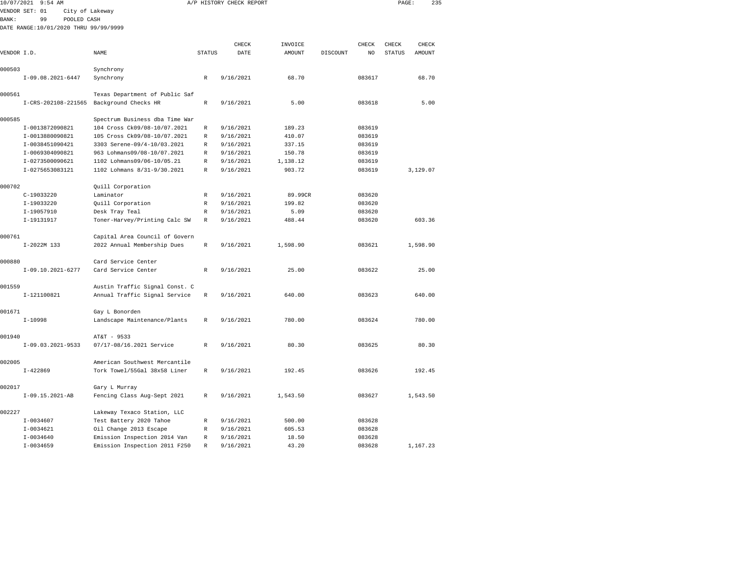| 10/07/2021   | $9:54$ AM                             |                                |               | A/P HISTORY CHECK REPORT |          |          |                | PAGE:         |               | 235 |
|--------------|---------------------------------------|--------------------------------|---------------|--------------------------|----------|----------|----------------|---------------|---------------|-----|
|              | VENDOR SET: 01<br>City of Lakeway     |                                |               |                          |          |          |                |               |               |     |
| <b>BANK:</b> | POOLED CASH<br>99                     |                                |               |                          |          |          |                |               |               |     |
|              | DATE RANGE:10/01/2020 THRU 99/99/9999 |                                |               |                          |          |          |                |               |               |     |
|              |                                       |                                |               |                          |          |          |                |               |               |     |
|              |                                       |                                |               | CHECK                    | INVOICE  |          | CHECK          | CHECK         | CHECK         |     |
| VENDOR I.D.  |                                       | NAME                           | <b>STATUS</b> | DATE                     | AMOUNT   | DISCOUNT | N <sub>O</sub> | <b>STATUS</b> | <b>AMOUNT</b> |     |
| 000503       |                                       | Synchrony                      |               |                          |          |          |                |               |               |     |
|              | $I-09.08.2021-6447$                   | Synchrony                      | R             | 9/16/2021                | 68.70    |          | 083617         |               | 68.70         |     |
|              |                                       |                                |               |                          |          |          |                |               |               |     |
| 000561       |                                       | Texas Department of Public Saf |               |                          |          |          |                |               |               |     |
|              | I-CRS-202108-221565                   | Background Checks HR           | $\mathbb{R}$  | 9/16/2021                | 5.00     |          | 083618         |               | 5.00          |     |
| 000585       |                                       | Spectrum Business dba Time War |               |                          |          |          |                |               |               |     |
|              | I-0013872090821                       | 104 Cross Ck09/08-10/07.2021   | R             | 9/16/2021                | 189.23   |          | 083619         |               |               |     |
|              | I-0013880090821                       | 105 Cross Ck09/08-10/07.2021   | R             | 9/16/2021                | 410.07   |          | 083619         |               |               |     |
|              | I-0038451090421                       | 3303 Serene-09/4-10/03.2021    | R             | 9/16/2021                | 337.15   |          | 083619         |               |               |     |
|              | I-0069304090821                       | 963 Lohmans09/08-10/07.2021    | R             | 9/16/2021                | 150.78   |          | 083619         |               |               |     |
|              | I-0273500090621                       | 1102 Lohmans09/06-10/05.21     | R             | 9/16/2021                | 1,138.12 |          | 083619         |               |               |     |
|              | I-0275653083121                       | 1102 Lohmans 8/31-9/30.2021    | R             | 9/16/2021                | 903.72   |          | 083619         |               | 3,129.07      |     |
| 000702       |                                       | Quill Corporation              |               |                          |          |          |                |               |               |     |
|              | C-19033220                            | Laminator                      | R             | 9/16/2021                | 89.99CR  |          | 083620         |               |               |     |
|              | I-19033220                            | Quill Corporation              | R             | 9/16/2021                | 199.82   |          | 083620         |               |               |     |
|              | I-19057910                            | Desk Tray Teal                 | R             | 9/16/2021                | 5.09     |          | 083620         |               |               |     |
|              | I-19131917                            | Toner-Harvey/Printing Calc SW  | R             | 9/16/2021                | 488.44   |          | 083620         |               | 603.36        |     |
| 000761       |                                       | Capital Area Council of Govern |               |                          |          |          |                |               |               |     |
|              | $I-2022M$ 133                         | 2022 Annual Membership Dues    | $\mathbb R$   | 9/16/2021                | 1,598.90 |          | 083621         |               | 1,598.90      |     |
| 000880       |                                       | Card Service Center            |               |                          |          |          |                |               |               |     |
|              | $I-09.10.2021-6277$                   | Card Service Center            | $\mathbb R$   | 9/16/2021                | 25.00    |          | 083622         |               | 25.00         |     |
|              |                                       |                                |               |                          |          |          |                |               |               |     |
| 001559       |                                       | Austin Traffic Signal Const. C |               |                          |          |          |                |               |               |     |
|              | I-121100821                           | Annual Traffic Signal Service  | $\mathbb R$   | 9/16/2021                | 640.00   |          | 083623         |               | 640.00        |     |
| 001671       |                                       | Gay L Bonorden                 |               |                          |          |          |                |               |               |     |
|              | $I-10998$                             | Landscape Maintenance/Plants   | $\mathbb R$   | 9/16/2021                | 780.00   |          | 083624         |               | 780.00        |     |
| 001940       |                                       | AT&T - 9533                    |               |                          |          |          |                |               |               |     |
|              | $I-09.03.2021-9533$                   | 07/17-08/16.2021 Service       | R             | 9/16/2021                | 80.30    |          | 083625         |               | 80.30         |     |
| 002005       |                                       | American Southwest Mercantile  |               |                          |          |          |                |               |               |     |
|              | $I - 422869$                          | Tork Towel/55Gal 38x58 Liner   | R             | 9/16/2021                | 192.45   |          | 083626         |               | 192.45        |     |
| 002017       |                                       | Gary L Murray                  |               |                          |          |          |                |               |               |     |
|              | I-09.15.2021-AB                       | Fencing Class Aug-Sept 2021    | R             | 9/16/2021                | 1,543.50 |          | 083627         |               | 1,543.50      |     |
| 002227       |                                       | Lakeway Texaco Station, LLC    |               |                          |          |          |                |               |               |     |
|              | $I-0034607$                           | Test Battery 2020 Tahoe        | R             | 9/16/2021                | 500.00   |          | 083628         |               |               |     |
|              | $I-0034621$                           | Oil Change 2013 Escape         | R             | 9/16/2021                | 605.53   |          | 083628         |               |               |     |
|              | $I - 0034640$                         | Emission Inspection 2014 Van   | R             | 9/16/2021                | 18.50    |          | 083628         |               |               |     |

I-0034659 Emission Inspection 2011 F250 R 9/16/2021 43.20 083628 1,167.23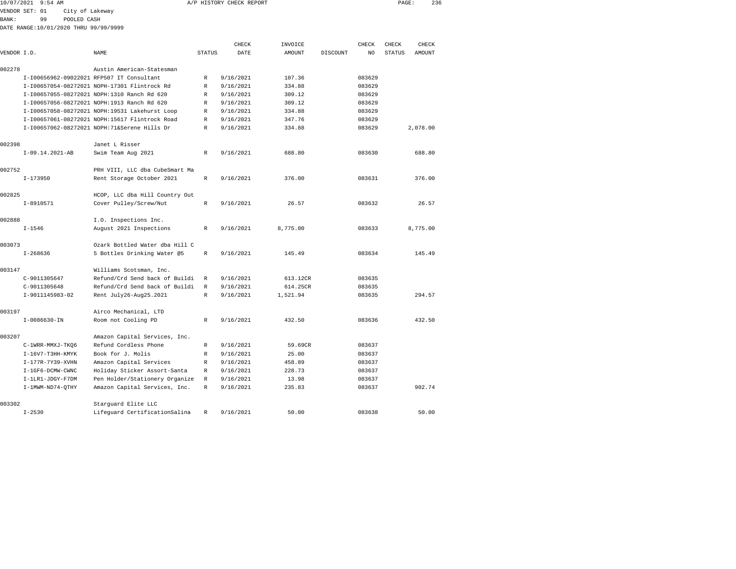|             | 10/07/2021 9:54 AM                    |                 |                                                |               | A/P HISTORY CHECK REPORT |               |          |                | PAGE:         | 236      |  |
|-------------|---------------------------------------|-----------------|------------------------------------------------|---------------|--------------------------|---------------|----------|----------------|---------------|----------|--|
|             | VENDOR SET: 01                        | City of Lakeway |                                                |               |                          |               |          |                |               |          |  |
| BANK:       | 99                                    | POOLED CASH     |                                                |               |                          |               |          |                |               |          |  |
|             | DATE RANGE:10/01/2020 THRU 99/99/9999 |                 |                                                |               |                          |               |          |                |               |          |  |
|             |                                       |                 |                                                |               |                          |               |          |                |               |          |  |
|             |                                       |                 |                                                |               | CHECK                    | INVOICE       |          | CHECK          | CHECK         | CHECK    |  |
| VENDOR I.D. |                                       |                 | NAME                                           | <b>STATUS</b> | DATE                     | <b>AMOUNT</b> | DISCOUNT | N <sub>O</sub> | <b>STATUS</b> | AMOUNT   |  |
| 002278      |                                       |                 | Austin American-Statesman                      |               |                          |               |          |                |               |          |  |
|             |                                       |                 | I-I00656962-09022021 RFP507 IT Consultant      | R             | 9/16/2021                | 107.36        |          | 083629         |               |          |  |
|             |                                       |                 | I-I00657054-08272021 NOPH-17301 Flintrock Rd   | R             | 9/16/2021                | 334.88        |          | 083629         |               |          |  |
|             |                                       |                 | I-I00657055-08272021 NOPH:1310 Ranch Rd 620    | R             | 9/16/2021                | 309.12        |          | 083629         |               |          |  |
|             |                                       |                 | I-I00657056-08272021 NOPH:1913 Ranch Rd 620    | R             | 9/16/2021                | 309.12        |          | 083629         |               |          |  |
|             |                                       |                 | I-I00657058-08272021 NOPH:19531 Lakehurst Loop | R             | 9/16/2021                | 334.88        |          | 083629         |               |          |  |
|             |                                       |                 | I-I00657061-08272021 NOPH:15617 Flintrock Road | R             | 9/16/2021                | 347.76        |          | 083629         |               |          |  |
|             |                                       |                 | I-I00657062-08272021 NOPH:71&Serene Hills Dr   | R             | 9/16/2021                | 334.88        |          | 083629         |               | 2.078.00 |  |
| 002398      |                                       |                 | Janet L Risser                                 |               |                          |               |          |                |               |          |  |
|             | $I-09.14.2021-AB$                     |                 | Swim Team Aug 2021                             | R             | 9/16/2021                | 688.80        |          | 083630         |               | 688.80   |  |
| 002752      |                                       |                 | PRH VIII, LLC dba CubeSmart Ma                 |               |                          |               |          |                |               |          |  |
|             | $I-173950$                            |                 | Rent Storage October 2021                      | $\mathbb R$   | 9/16/2021                | 376.00        |          | 083631         |               | 376.00   |  |
| 002825      |                                       |                 | HCOP, LLC dba Hill Country Out                 |               |                          |               |          |                |               |          |  |
|             | I-8910571                             |                 | Cover Pulley/Screw/Nut                         | R             | 9/16/2021                | 26.57         |          | 083632         |               | 26.57    |  |
| 002888      |                                       |                 | I.O. Inspections Inc.                          |               |                          |               |          |                |               |          |  |
|             | $I - 1546$                            |                 | August 2021 Inspections                        | R             | 9/16/2021                | 8,775.00      |          | 083633         |               | 8,775.00 |  |
| 003073      |                                       |                 | Ozark Bottled Water dba Hill C                 |               |                          |               |          |                |               |          |  |
|             | $I - 268636$                          |                 | 5 Bottles Drinking Water @5                    | $\mathbb R$   | 9/16/2021                | 145.49        |          | 083634         |               | 145.49   |  |
| 003147      |                                       |                 | Williams Scotsman, Inc.                        |               |                          |               |          |                |               |          |  |
|             | C-9011305647                          |                 | Refund/Crd Send back of Buildi                 | R             | 9/16/2021                | 613.12CR      |          | 083635         |               |          |  |
|             | C-9011305648                          |                 | Refund/Crd Send back of Buildi                 | $\mathbb{R}$  | 9/16/2021                | 614.25CR      |          | 083635         |               |          |  |
|             | I-9011145983-02                       |                 | Rent July26-Aug25.2021                         | R             | 9/16/2021                | 1,521.94      |          | 083635         |               | 294.57   |  |
| 003197      |                                       |                 | Airco Mechanical, LTD                          |               |                          |               |          |                |               |          |  |
|             | $I-0086630-IN$                        |                 | Room not Cooling PD                            | R             | 9/16/2021                | 432.50        |          | 083636         |               | 432.50   |  |
| 003207      |                                       |                 | Amazon Capital Services, Inc.                  |               |                          |               |          |                |               |          |  |
|             | C-1WRR-MMXJ-TKQ6                      |                 | Refund Cordless Phone                          | R             | 9/16/2021                | 59.69CR       |          | 083637         |               |          |  |
|             | I-16V7-T3HH-KMYK                      |                 | Book for J. Molis                              | R             | 9/16/2021                | 25.00         |          | 083637         |               |          |  |
|             | I-177R-7Y39-XVHN                      |                 | Amazon Capital Services                        | R             | 9/16/2021                | 458.89        |          | 083637         |               |          |  |
|             | I-1GF6-DCMW-CWNC                      |                 | Holiday Sticker Assort-Santa                   | R             | 9/16/2021                | 228.73        |          | 083637         |               |          |  |
|             | I-1LR1-JDGY-F7DM                      |                 | Pen Holder/Stationery Organize                 | R             | 9/16/2021                | 13.98         |          | 083637         |               |          |  |
|             | I-1MWM-ND74-OTHY                      |                 | Amazon Capital Services, Inc.                  | $\mathbb{R}$  | 9/16/2021                | 235.83        |          | 083637         |               | 902.74   |  |
|             |                                       |                 |                                                |               |                          |               |          |                |               |          |  |

| I-1LR1-JDGY-F7DM | Pen Holder/Stationery Organize R |   | 9/16/2021 | 13.98  | 083637 |        |
|------------------|----------------------------------|---|-----------|--------|--------|--------|
| I-1MWM-ND74-OTHY | Amazon Capital Services, Inc.    | R | 9/16/2021 | 235.83 | 083637 | 902.74 |
| 003302           | Starquard Elite LLC              |   |           |        |        |        |
| $I - 2530$       | Lifequard CertificationSalina    |   | 9/16/2021 | 50.00  | 083638 | 50.00  |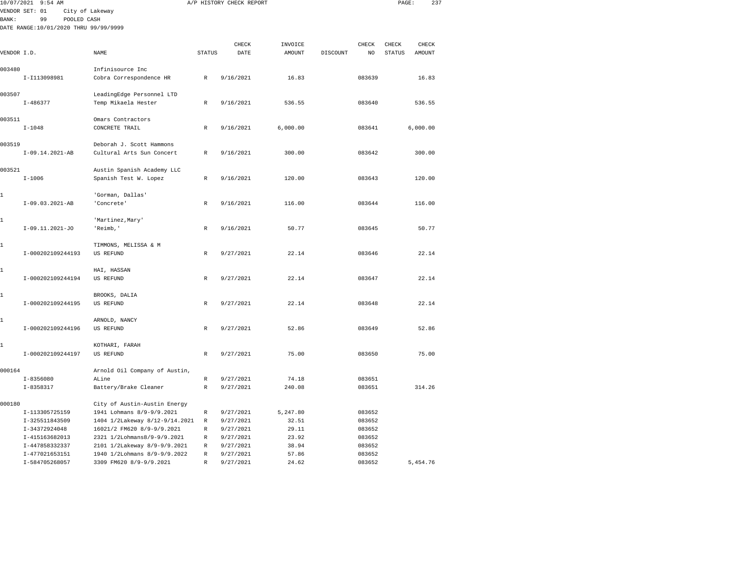|               | 10/07/2021 9:54 AM                    |                                                                                                                                                                                                                                                                                                                                                                                                                                                                                                                                                                                                                                                                                                                                                                  |                   | A/P HISTORY CHECK REPORT |                |                  | PAGE:         | 237      |  |
|---------------|---------------------------------------|------------------------------------------------------------------------------------------------------------------------------------------------------------------------------------------------------------------------------------------------------------------------------------------------------------------------------------------------------------------------------------------------------------------------------------------------------------------------------------------------------------------------------------------------------------------------------------------------------------------------------------------------------------------------------------------------------------------------------------------------------------------|-------------------|--------------------------|----------------|------------------|---------------|----------|--|
|               | VENDOR SET: 01                        | City of Lakeway                                                                                                                                                                                                                                                                                                                                                                                                                                                                                                                                                                                                                                                                                                                                                  |                   |                          |                |                  |               |          |  |
| <b>BANK :</b> | 99<br>POOLED CASH                     |                                                                                                                                                                                                                                                                                                                                                                                                                                                                                                                                                                                                                                                                                                                                                                  |                   |                          |                |                  |               |          |  |
|               | DATE RANGE:10/01/2020 THRU 99/99/9999 |                                                                                                                                                                                                                                                                                                                                                                                                                                                                                                                                                                                                                                                                                                                                                                  |                   |                          |                |                  |               |          |  |
|               |                                       |                                                                                                                                                                                                                                                                                                                                                                                                                                                                                                                                                                                                                                                                                                                                                                  |                   |                          |                |                  |               |          |  |
|               |                                       |                                                                                                                                                                                                                                                                                                                                                                                                                                                                                                                                                                                                                                                                                                                                                                  |                   | CHECK                    | INVOICE        | CHECK            | CHECK         | CHECK    |  |
| VENDOR I.D.   |                                       |                                                                                                                                                                                                                                                                                                                                                                                                                                                                                                                                                                                                                                                                                                                                                                  |                   |                          |                |                  | <b>STATUS</b> | AMOUNT   |  |
|               |                                       |                                                                                                                                                                                                                                                                                                                                                                                                                                                                                                                                                                                                                                                                                                                                                                  |                   |                          |                |                  |               |          |  |
| 003480        | I-I113098981                          |                                                                                                                                                                                                                                                                                                                                                                                                                                                                                                                                                                                                                                                                                                                                                                  |                   |                          |                |                  |               | 16.83    |  |
|               |                                       |                                                                                                                                                                                                                                                                                                                                                                                                                                                                                                                                                                                                                                                                                                                                                                  |                   |                          |                |                  |               |          |  |
| 003507        |                                       |                                                                                                                                                                                                                                                                                                                                                                                                                                                                                                                                                                                                                                                                                                                                                                  |                   |                          |                |                  |               |          |  |
|               | $I - 486377$                          | Temp Mikaela Hester                                                                                                                                                                                                                                                                                                                                                                                                                                                                                                                                                                                                                                                                                                                                              | R                 | 9/16/2021                | 536.55         | 083640           |               | 536.55   |  |
|               |                                       |                                                                                                                                                                                                                                                                                                                                                                                                                                                                                                                                                                                                                                                                                                                                                                  |                   |                          |                |                  |               |          |  |
| 003511        |                                       | Omars Contractors                                                                                                                                                                                                                                                                                                                                                                                                                                                                                                                                                                                                                                                                                                                                                |                   |                          |                |                  |               |          |  |
|               | $I - 1048$                            | CONCRETE TRAIL                                                                                                                                                                                                                                                                                                                                                                                                                                                                                                                                                                                                                                                                                                                                                   | R                 | 9/16/2021                | 6,000.00       | 083641           |               | 6,000.00 |  |
|               |                                       |                                                                                                                                                                                                                                                                                                                                                                                                                                                                                                                                                                                                                                                                                                                                                                  |                   |                          |                |                  |               |          |  |
| 003519        |                                       |                                                                                                                                                                                                                                                                                                                                                                                                                                                                                                                                                                                                                                                                                                                                                                  |                   |                          |                |                  |               |          |  |
|               | $I-09.14.2021-AB$                     |                                                                                                                                                                                                                                                                                                                                                                                                                                                                                                                                                                                                                                                                                                                                                                  |                   |                          |                |                  |               | 300.00   |  |
| 003521        |                                       |                                                                                                                                                                                                                                                                                                                                                                                                                                                                                                                                                                                                                                                                                                                                                                  |                   |                          |                |                  |               |          |  |
|               | $I - 1006$                            |                                                                                                                                                                                                                                                                                                                                                                                                                                                                                                                                                                                                                                                                                                                                                                  |                   |                          |                |                  |               | 120.00   |  |
|               |                                       |                                                                                                                                                                                                                                                                                                                                                                                                                                                                                                                                                                                                                                                                                                                                                                  |                   |                          |                |                  |               |          |  |
| 1             |                                       | NAME<br><b>STATUS</b><br>DATE<br><b>AMOUNT</b><br>DISCOUNT<br>NO<br>Infinisource Inc<br>Cobra Correspondence HR<br>$\mathbb R$<br>9/16/2021<br>16.83<br>083639<br>LeadingEdge Personnel LTD<br>Deborah J. Scott Hammons<br>9/16/2021<br>300.00<br>083642<br>Cultural Arts Sun Concert<br>R<br>Austin Spanish Academy LLC<br>Spanish Test W. Lopez<br>9/16/2021<br>120.00<br>083643<br>R<br>'Gorman, Dallas'<br>'Concrete'<br>9/16/2021<br>116.00<br>083644<br>R<br>'Martinez, Mary'<br>'Reimb,'<br>R<br>9/16/2021<br>50.77<br>083645<br>TIMMONS, MELISSA & M<br><b>US REFUND</b><br>9/27/2021<br>22.14<br>083646<br>R<br>HAI, HASSAN<br><b>US REFUND</b><br>9/27/2021<br>22.14<br>083647<br>R<br>BROOKS, DALIA<br>US REFUND<br>9/27/2021<br>22.14<br>083648<br>R |                   |                          |                |                  |               |          |  |
|               | $I-09.03.2021-AB$                     |                                                                                                                                                                                                                                                                                                                                                                                                                                                                                                                                                                                                                                                                                                                                                                  |                   |                          |                |                  |               | 116.00   |  |
|               |                                       |                                                                                                                                                                                                                                                                                                                                                                                                                                                                                                                                                                                                                                                                                                                                                                  |                   |                          |                |                  |               |          |  |
| 1             |                                       |                                                                                                                                                                                                                                                                                                                                                                                                                                                                                                                                                                                                                                                                                                                                                                  |                   |                          |                |                  |               |          |  |
|               | $I-09.11.2021-J0$                     |                                                                                                                                                                                                                                                                                                                                                                                                                                                                                                                                                                                                                                                                                                                                                                  |                   |                          |                |                  |               | 50.77    |  |
|               |                                       |                                                                                                                                                                                                                                                                                                                                                                                                                                                                                                                                                                                                                                                                                                                                                                  |                   |                          |                |                  |               |          |  |
| 1             |                                       |                                                                                                                                                                                                                                                                                                                                                                                                                                                                                                                                                                                                                                                                                                                                                                  |                   |                          |                |                  |               |          |  |
|               | I-000202109244193                     |                                                                                                                                                                                                                                                                                                                                                                                                                                                                                                                                                                                                                                                                                                                                                                  |                   |                          |                |                  |               | 22.14    |  |
| 1             |                                       |                                                                                                                                                                                                                                                                                                                                                                                                                                                                                                                                                                                                                                                                                                                                                                  |                   |                          |                |                  |               |          |  |
|               | I-000202109244194                     |                                                                                                                                                                                                                                                                                                                                                                                                                                                                                                                                                                                                                                                                                                                                                                  |                   |                          |                |                  |               | 22.14    |  |
|               |                                       |                                                                                                                                                                                                                                                                                                                                                                                                                                                                                                                                                                                                                                                                                                                                                                  |                   |                          |                |                  |               |          |  |
| 1             |                                       |                                                                                                                                                                                                                                                                                                                                                                                                                                                                                                                                                                                                                                                                                                                                                                  |                   |                          |                |                  |               |          |  |
|               | I-000202109244195                     |                                                                                                                                                                                                                                                                                                                                                                                                                                                                                                                                                                                                                                                                                                                                                                  |                   |                          |                |                  |               | 22.14    |  |
|               |                                       |                                                                                                                                                                                                                                                                                                                                                                                                                                                                                                                                                                                                                                                                                                                                                                  |                   |                          |                |                  |               |          |  |
| 1             |                                       | ARNOLD, NANCY                                                                                                                                                                                                                                                                                                                                                                                                                                                                                                                                                                                                                                                                                                                                                    |                   |                          |                |                  |               |          |  |
|               | I-000202109244196                     | <b>US REFUND</b>                                                                                                                                                                                                                                                                                                                                                                                                                                                                                                                                                                                                                                                                                                                                                 | R                 | 9/27/2021                | 52.86          | 083649           |               | 52.86    |  |
| 1             |                                       | KOTHARI, FARAH                                                                                                                                                                                                                                                                                                                                                                                                                                                                                                                                                                                                                                                                                                                                                   |                   |                          |                |                  |               |          |  |
|               | I-000202109244197                     | <b>US REFUND</b>                                                                                                                                                                                                                                                                                                                                                                                                                                                                                                                                                                                                                                                                                                                                                 | R                 | 9/27/2021                | 75.00          | 083650           |               | 75.00    |  |
|               |                                       |                                                                                                                                                                                                                                                                                                                                                                                                                                                                                                                                                                                                                                                                                                                                                                  |                   |                          |                |                  |               |          |  |
| 000164        |                                       | Arnold Oil Company of Austin,                                                                                                                                                                                                                                                                                                                                                                                                                                                                                                                                                                                                                                                                                                                                    |                   |                          |                |                  |               |          |  |
|               | $I - 8356080$                         | ALine                                                                                                                                                                                                                                                                                                                                                                                                                                                                                                                                                                                                                                                                                                                                                            | $\mathbb R$       | 9/27/2021                | 74.18          | 083651           |               |          |  |
|               | $I - 8358317$                         | Battery/Brake Cleaner                                                                                                                                                                                                                                                                                                                                                                                                                                                                                                                                                                                                                                                                                                                                            | $\mathbb R$       | 9/27/2021                | 240.08         | 083651           |               | 314.26   |  |
|               |                                       |                                                                                                                                                                                                                                                                                                                                                                                                                                                                                                                                                                                                                                                                                                                                                                  |                   |                          |                |                  |               |          |  |
| 000180        |                                       | City of Austin-Austin Energy                                                                                                                                                                                                                                                                                                                                                                                                                                                                                                                                                                                                                                                                                                                                     |                   |                          |                |                  |               |          |  |
|               | I-113305725159                        | 1941 Lohmans 8/9-9/9.2021                                                                                                                                                                                                                                                                                                                                                                                                                                                                                                                                                                                                                                                                                                                                        | R                 | 9/27/2021                | 5,247.80       | 083652           |               |          |  |
|               | I-325511843509                        | 1404 1/2Lakeway 8/12-9/14.2021                                                                                                                                                                                                                                                                                                                                                                                                                                                                                                                                                                                                                                                                                                                                   | R                 | 9/27/2021                | 32.51          | 083652           |               |          |  |
|               | I-34372924048                         | 16021/2 FM620 8/9-9/9.2021<br>2321 1/2Lohmans8/9-9/9.2021                                                                                                                                                                                                                                                                                                                                                                                                                                                                                                                                                                                                                                                                                                        | $\mathbb{R}$<br>R | 9/27/2021                | 29.11<br>23.92 | 083652<br>083652 |               |          |  |
|               | I-415163682013<br>I-447858332337      | 2101 1/2Lakeway 8/9-9/9.2021                                                                                                                                                                                                                                                                                                                                                                                                                                                                                                                                                                                                                                                                                                                                     | R                 | 9/27/2021<br>9/27/2021   | 38.94          | 083652           |               |          |  |
|               | I-477021653151                        | 1940 1/2Lohmans 8/9-9/9.2022                                                                                                                                                                                                                                                                                                                                                                                                                                                                                                                                                                                                                                                                                                                                     | $\mathbb R$       | 9/27/2021                | 57.86          | 083652           |               |          |  |
|               | I-584705268057                        | 3309 FM620 8/9-9/9.2021                                                                                                                                                                                                                                                                                                                                                                                                                                                                                                                                                                                                                                                                                                                                          | R                 | 9/27/2021                | 24.62          | 083652           |               | 5.454.76 |  |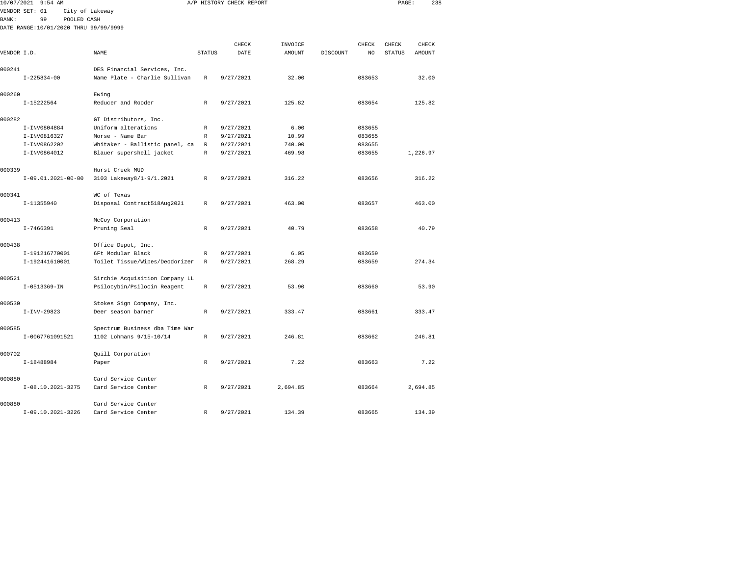| 10/07/2021  | $9:54$ AM                             |                 |                                              |               | A/P HISTORY CHECK REPORT |                          |          |                         | PAGE:                  | 238             |  |
|-------------|---------------------------------------|-----------------|----------------------------------------------|---------------|--------------------------|--------------------------|----------|-------------------------|------------------------|-----------------|--|
|             | VENDOR SET: 01                        | City of Lakeway |                                              |               |                          |                          |          |                         |                        |                 |  |
| BANK:       | 99                                    | POOLED CASH     |                                              |               |                          |                          |          |                         |                        |                 |  |
|             | DATE RANGE:10/01/2020 THRU 99/99/9999 |                 |                                              |               |                          |                          |          |                         |                        |                 |  |
|             |                                       |                 |                                              |               |                          |                          |          |                         |                        |                 |  |
| VENDOR I.D. |                                       |                 | <b>NAME</b>                                  | <b>STATUS</b> | CHECK<br>DATE            | INVOICE<br><b>AMOUNT</b> | DISCOUNT | CHECK<br>N <sub>O</sub> | CHECK<br><b>STATUS</b> | CHECK<br>AMOUNT |  |
|             |                                       |                 |                                              |               |                          |                          |          |                         |                        |                 |  |
| 000241      |                                       |                 | DES Financial Services, Inc.                 |               |                          |                          |          |                         |                        |                 |  |
|             | $I - 225834 - 00$                     |                 | Name Plate - Charlie Sullivan                | $\mathbb R$   | 9/27/2021                | 32.00                    |          | 083653                  |                        | 32.00           |  |
|             |                                       |                 |                                              |               |                          |                          |          |                         |                        |                 |  |
| 000260      |                                       |                 | Ewing                                        |               |                          |                          |          |                         |                        |                 |  |
|             | I-15222564                            |                 | Reducer and Rooder                           | $\mathbb{R}$  | 9/27/2021                | 125.82                   |          | 083654                  |                        | 125.82          |  |
| 000282      |                                       |                 |                                              |               |                          |                          |          |                         |                        |                 |  |
|             | I-INV0804884                          |                 | GT Distributors, Inc.<br>Uniform alterations | R             | 9/27/2021                | 6.00                     |          | 083655                  |                        |                 |  |
|             | I-INV0816327                          |                 | Morse - Name Bar                             | R             | 9/27/2021                | 10.99                    |          | 083655                  |                        |                 |  |
|             | I-INV0862202                          |                 | Whitaker - Ballistic panel, ca               | $\mathbb R$   | 9/27/2021                | 740.00                   |          | 083655                  |                        |                 |  |
|             | I-INV0864012                          |                 | Blauer supershell jacket                     | R             | 9/27/2021                | 469.98                   |          | 083655                  |                        | 1,226.97        |  |
|             |                                       |                 |                                              |               |                          |                          |          |                         |                        |                 |  |
| 000339      |                                       |                 | Hurst Creek MUD                              |               |                          |                          |          |                         |                        |                 |  |
|             | $I-09.01.2021-00-00$                  |                 | 3103 Lakeway8/1-9/1.2021                     | R             | 9/27/2021                | 316.22                   |          | 083656                  |                        | 316.22          |  |
|             |                                       |                 |                                              |               |                          |                          |          |                         |                        |                 |  |
| 000341      |                                       |                 | WC of Texas                                  |               |                          |                          |          |                         |                        | 463.00          |  |
|             | I-11355940                            |                 | Disposal Contract518Aug2021                  | R             | 9/27/2021                | 463.00                   |          | 083657                  |                        |                 |  |
| 000413      |                                       |                 | McCoy Corporation                            |               |                          |                          |          |                         |                        |                 |  |
|             | $I - 7466391$                         |                 | Pruning Seal                                 | $\mathbb R$   | 9/27/2021                | 40.79                    |          | 083658                  |                        | 40.79           |  |
|             |                                       |                 |                                              |               |                          |                          |          |                         |                        |                 |  |
| 000438      |                                       |                 | Office Depot, Inc.                           |               |                          |                          |          |                         |                        |                 |  |
|             | I-191216770001                        |                 | 6Ft Modular Black                            | $\mathbb R$   | 9/27/2021                | 6.05                     |          | 083659                  |                        |                 |  |
|             | I-192441610001                        |                 | Toilet Tissue/Wipes/Deodorizer               | R             | 9/27/2021                | 268.29                   |          | 083659                  |                        | 274.34          |  |
|             |                                       |                 |                                              |               |                          |                          |          |                         |                        |                 |  |
| 000521      |                                       |                 | Sirchie Acquisition Company LL               | $\mathbb R$   | 9/27/2021                | 53.90                    |          | 083660                  |                        | 53.90           |  |
|             | $I - 0513369 - IN$                    |                 | Psilocybin/Psilocin Reagent                  |               |                          |                          |          |                         |                        |                 |  |
| 000530      |                                       |                 | Stokes Sign Company, Inc.                    |               |                          |                          |          |                         |                        |                 |  |
|             | $I-INV-29823$                         |                 | Deer season banner                           | R             | 9/27/2021                | 333.47                   |          | 083661                  |                        | 333.47          |  |
|             |                                       |                 |                                              |               |                          |                          |          |                         |                        |                 |  |
| 000585      |                                       |                 | Spectrum Business dba Time War               |               |                          |                          |          |                         |                        |                 |  |
|             | I-0067761091521                       |                 | 1102 Lohmans 9/15-10/14                      | $\mathbb{R}$  | 9/27/2021                | 246.81                   |          | 083662                  |                        | 246.81          |  |
|             |                                       |                 |                                              |               |                          |                          |          |                         |                        |                 |  |
| 000702      |                                       |                 | Quill Corporation                            |               |                          |                          |          |                         |                        |                 |  |
|             | I-18488984                            |                 | Paper                                        | $\mathbb R$   | 9/27/2021                | 7.22                     |          | 083663                  |                        | 7.22            |  |
| 000880      |                                       |                 | Card Service Center                          |               |                          |                          |          |                         |                        |                 |  |
|             | I-08.10.2021-3275                     |                 | Card Service Center                          | R             | 9/27/2021                | 2,694.85                 |          | 083664                  |                        | 2,694.85        |  |
|             |                                       |                 |                                              |               |                          |                          |          |                         |                        |                 |  |
|             |                                       |                 |                                              |               |                          |                          |          |                         |                        |                 |  |

I-09.10.2021-3226 Card Service Center R 9/27/2021 134.39 083665 134.39

000880 Card Service Center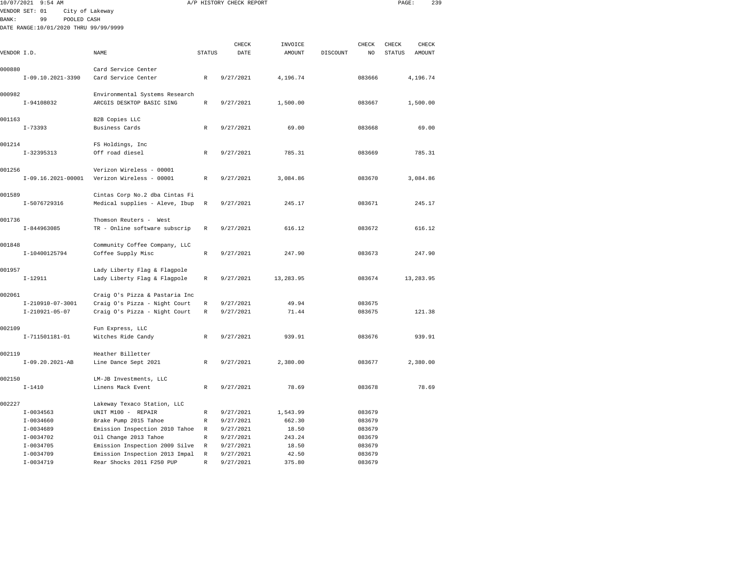|               | 10/07/2021 9:54 AM                    |                                                                  |               | A/P HISTORY CHECK REPORT |           |          |        | PAGE:            | 239 |
|---------------|---------------------------------------|------------------------------------------------------------------|---------------|--------------------------|-----------|----------|--------|------------------|-----|
| <b>BANK :</b> | VENDOR SET: 01<br>99<br>POOLED CASH   | City of Lakeway                                                  |               |                          |           |          |        |                  |     |
|               | DATE RANGE:10/01/2020 THRU 99/99/9999 |                                                                  |               |                          |           |          |        |                  |     |
|               |                                       |                                                                  |               | CHECK                    | INVOICE   |          | CHECK  | CHECK<br>CHECK   |     |
| VENDOR I.D.   |                                       | NAME                                                             | <b>STATUS</b> | DATE                     | AMOUNT    | DISCOUNT | NO     | STATUS<br>AMOUNT |     |
| 000880        |                                       | Card Service Center                                              |               |                          |           |          |        |                  |     |
|               | I-09.10.2021-3390                     | Card Service Center                                              | $\mathbb R$   | 9/27/2021                | 4,196.74  |          | 083666 | 4,196.74         |     |
| 000982        | I-94108032                            | Environmental Systems Research<br>ARCGIS DESKTOP BASIC SING      | $\mathbb{R}$  | 9/27/2021                | 1,500.00  |          | 083667 | 1,500.00         |     |
|               |                                       |                                                                  |               |                          |           |          |        |                  |     |
| 001163        | $I - 73393$                           | B2B Copies LLC<br>Business Cards                                 | R             | 9/27/2021                | 69.00     |          | 083668 | 69.00            |     |
| 001214        |                                       | FS Holdings, Inc                                                 |               |                          |           |          |        |                  |     |
|               | I-32395313                            | Off road diesel                                                  | R             | 9/27/2021                | 785.31    |          | 083669 | 785.31           |     |
| 001256        | $I-09.16.2021-00001$                  | Verizon Wireless - 00001<br>Verizon Wireless - 00001             | R             | 9/27/2021                | 3,084.86  |          | 083670 | 3,084.86         |     |
|               |                                       |                                                                  |               |                          |           |          |        |                  |     |
| 001589        | I-5076729316                          | Cintas Corp No.2 dba Cintas Fi<br>Medical supplies - Aleve, Ibup | $\mathbb R$   | 9/27/2021                | 245.17    |          | 083671 | 245.17           |     |
| 001736        |                                       | Thomson Reuters - West                                           |               |                          |           |          |        |                  |     |
|               | I-844963085                           | TR - Online software subscrip                                    | R             | 9/27/2021                | 616.12    |          | 083672 | 616.12           |     |
| 001848        |                                       | Community Coffee Company, LLC                                    |               |                          |           |          |        |                  |     |
|               | I-10400125794                         | Coffee Supply Misc                                               | $\mathbb R$   | 9/27/2021                | 247.90    |          | 083673 | 247.90           |     |
| 001957        |                                       | Lady Liberty Flag & Flagpole                                     |               |                          |           |          |        |                  |     |
|               | $I-12911$                             | Lady Liberty Flag & Flagpole                                     | R             | 9/27/2021                | 13,283.95 |          | 083674 | 13,283.95        |     |
| 002061        |                                       | Craig O's Pizza & Pastaria Inc                                   |               |                          |           |          |        |                  |     |
|               | I-210910-07-3001                      | Craig O's Pizza - Night Court                                    | R             | 9/27/2021                | 49.94     |          | 083675 |                  |     |
|               | $I-210921-05-07$                      | Craig O's Pizza - Night Court                                    | R             | 9/27/2021                | 71.44     |          | 083675 | 121.38           |     |
| 002109        |                                       | Fun Express, LLC                                                 |               |                          |           |          |        |                  |     |
|               | I-711501181-01                        | Witches Ride Candy                                               | R             | 9/27/2021                | 939.91    |          | 083676 | 939.91           |     |
| 002119        |                                       | Heather Billetter                                                |               |                          |           |          |        |                  |     |
|               | $I-09.20.2021-AB$                     | Line Dance Sept 2021                                             | R             | 9/27/2021                | 2,380.00  |          | 083677 | 2,380.00         |     |
| 002150        |                                       | LM-JB Investments, LLC                                           |               |                          |           |          |        |                  |     |
|               | $I - 1410$                            | Linens Mack Event                                                | R             | 9/27/2021                | 78.69     |          | 083678 | 78.69            |     |
| 002227        |                                       | Lakeway Texaco Station, LLC                                      |               |                          |           |          |        |                  |     |
|               | $I - 0034563$                         | UNIT M100 - REPAIR                                               | R             | 9/27/2021                | 1,543.99  |          | 083679 |                  |     |
|               | I-0034660                             | Brake Pump 2015 Tahoe                                            | R             | 9/27/2021                | 662.30    |          | 083679 |                  |     |
|               | $I-0034689$                           | Emission Inspection 2010 Tahoe                                   | R             | 9/27/2021                | 18.50     |          | 083679 |                  |     |
|               | $I-0034702$                           | Oil Change 2013 Tahoe                                            | R             | 9/27/2021                | 243.24    |          | 083679 |                  |     |
|               | $I - 0034705$                         | Emission Inspection 2009 Silve                                   | $\mathbb R$   | 9/27/2021                | 18.50     |          | 083679 |                  |     |
|               | $I - 0034709$                         | Emission Inspection 2013 Impal                                   | $\mathbb{R}$  | 9/27/2021                | 42.50     |          | 083679 |                  |     |

I-0034719 Rear Shocks 2011 F250 PUP R 9/27/2021 375.80 083679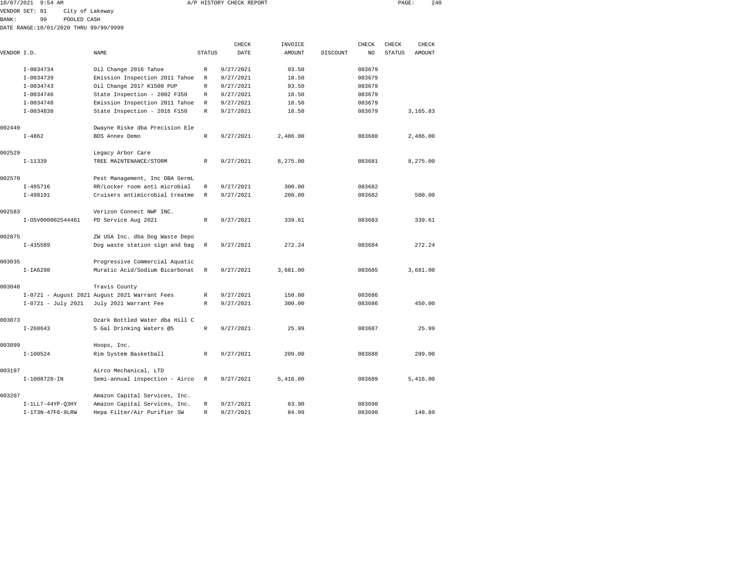| 10/07/2021  | 9:54 AM        |                                       |        | A/P HISTORY CHECK REPORT |         |          |        | PAGE:  | 240    |  |
|-------------|----------------|---------------------------------------|--------|--------------------------|---------|----------|--------|--------|--------|--|
|             | VENDOR SET: 01 | City of Lakeway                       |        |                          |         |          |        |        |        |  |
| BANK:       | 99             | POOLED CASH                           |        |                          |         |          |        |        |        |  |
|             |                | DATE RANGE:10/01/2020 THRU 99/99/9999 |        |                          |         |          |        |        |        |  |
|             |                |                                       |        | CHECK                    | INVOICE |          | CHECK  | CHECK  | CHECK  |  |
| VENDOR I.D. |                | NAME                                  | STATUS | DATE                     | AMOUNT  | DISCOUNT | NO.    | STATUS | AMOUNT |  |
|             | $I - 0034734$  | Oil Change 2016 Tahoe                 | R      | 9/27/2021                | 93.50   |          | 083679 |        |        |  |
|             | $T - 0024720$  | Emission Inspection 2011 Taboe        | Þ      | 0/27/2021                | 19 50   |          | 083679 |        |        |  |

|        | I-0034739          | Emission Inspection 2011 Tahoe                | R            | 9/27/2021 | 18.50    | 083679 |          |
|--------|--------------------|-----------------------------------------------|--------------|-----------|----------|--------|----------|
|        | $I - 0034743$      | Oil Change 2017 K1500 PUP                     | R            | 9/27/2021 | 93.50    | 083679 |          |
|        | $I - 0034746$      | State Inspection - 2002 F350                  | R            | 9/27/2021 | 18.50    | 083679 |          |
|        | $I - 0034748$      | Emission Inspection 2011 Tahoe                | R            | 9/27/2021 | 18.50    | 083679 |          |
|        | $I-0034838$        | State Inspection - 2016 F150                  | R            | 9/27/2021 | 18.50    | 083679 | 3,165.83 |
| 002449 |                    | Dwayne Riske dba Precision Ele                |              |           |          |        |          |
|        | $I - 4862$         | BDS Annex Demo                                | R            | 9/27/2021 | 2,486.00 | 083680 | 2,486.00 |
| 002529 |                    | Legacy Arbor Care                             |              |           |          |        |          |
|        | $I-11339$          | TREE MAINTENANCE/STORM                        | $\mathbb{R}$ | 9/27/2021 | 8,275.00 | 083681 | 8,275.00 |
| 002570 |                    | Pest Management, Inc DBA GermL                |              |           |          |        |          |
|        | $I - 485716$       | RR/Locker room anti microbial                 | R            | 9/27/2021 | 300.00   | 083682 |          |
|        | $I-498191$         | Cruisers antimicrobial treatme                | R            | 9/27/2021 | 200.00   | 083682 | 500.00   |
| 002583 |                    | Verizon Connect NWF INC.                      |              |           |          |        |          |
|        | I-0SV000002544461  | PD Service Aug 2021                           | R            | 9/27/2021 | 339.61   | 083683 | 339.61   |
| 002875 |                    | ZW USA Inc. dba Dog Waste Depo                |              |           |          |        |          |
|        | $I - 435589$       | Dog waste station sign and bag                | $\mathbb{R}$ | 9/27/2021 | 272.24   | 083684 | 272.24   |
| 003035 |                    | Progressive Commercial Aquatic                |              |           |          |        |          |
|        | $I-IA6298$         | Muratic Acid/Sodium Bicarbonat                | $\mathbb{R}$ | 9/27/2021 | 3,681.00 | 083685 | 3,681.00 |
| 003048 |                    | Travis County                                 |              |           |          |        |          |
|        |                    | I-0721 - August 2021 August 2021 Warrant Fees | R            | 9/27/2021 | 150.00   | 083686 |          |
|        | I-0721 - July 2021 | July 2021 Warrant Fee                         | R            | 9/27/2021 | 300.00   | 083686 | 450.00   |
| 003073 |                    | Ozark Bottled Water dba Hill C                |              |           |          |        |          |
|        | $I - 268643$       | 5 Gal Drinking Waters @5                      | R            | 9/27/2021 | 25.99    | 083687 | 25.99    |
| 003099 |                    | Hoops, Inc.                                   |              |           |          |        |          |
|        | $I-100524$         | Rim System Basketball                         | R            | 9/27/2021 | 209.00   | 083688 | 209.00   |
| 003197 |                    | Airco Mechanical, LTD                         |              |           |          |        |          |
|        | I-1008728-IN       | Semi-annual inspection - Airco                | R            | 9/27/2021 | 5,416.00 | 083689 | 5,416.00 |
| 003207 |                    | Amazon Capital Services, Inc.                 |              |           |          |        |          |
|        | $I-1LL7-44YP-03HY$ | Amazon Capital Services, Inc.                 | R            | 9/27/2021 | 63.90    | 083690 |          |
|        | $I-1T3N-47F6-9LRW$ | Hepa Filter/Air Purifier SW                   | R            | 9/27/2021 | 84.99    | 083690 | 148.89   |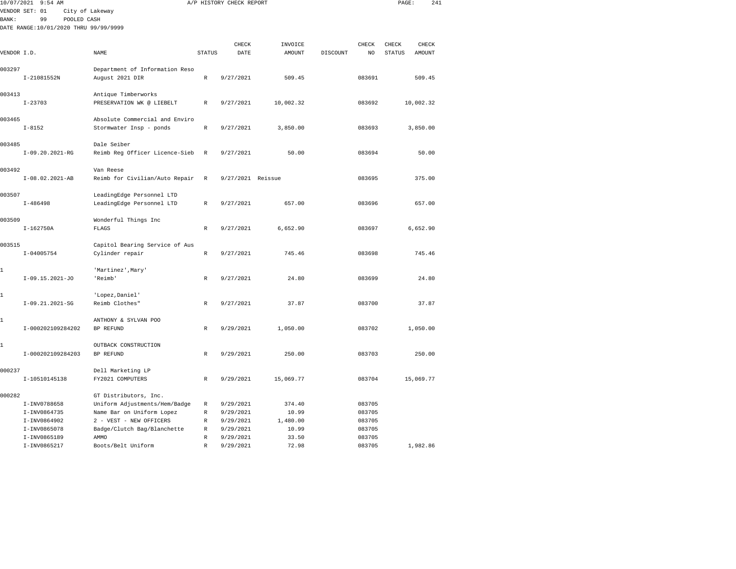|              | 10/07/2021 9:54 AM                    |                                |               | A/P HISTORY CHECK REPORT |           |          |        | PAGE:  |           | 241 |
|--------------|---------------------------------------|--------------------------------|---------------|--------------------------|-----------|----------|--------|--------|-----------|-----|
|              | VENDOR SET: 01                        | City of Lakeway                |               |                          |           |          |        |        |           |     |
| <b>BANK:</b> | 99<br>POOLED CASH                     |                                |               |                          |           |          |        |        |           |     |
|              | DATE RANGE:10/01/2020 THRU 99/99/9999 |                                |               |                          |           |          |        |        |           |     |
|              |                                       |                                |               | CHECK                    | INVOICE   |          | CHECK  | CHECK  | CHECK     |     |
| VENDOR I.D.  |                                       | NAME                           | <b>STATUS</b> | DATE                     | AMOUNT    | DISCOUNT | NO     | STATUS | AMOUNT    |     |
|              |                                       |                                |               |                          |           |          |        |        |           |     |
| 003297       |                                       | Department of Information Reso |               |                          |           |          |        |        |           |     |
|              | I-21081552N                           | August 2021 DIR                | $\mathbb R$   | 9/27/2021                | 509.45    |          | 083691 |        | 509.45    |     |
| 003413       |                                       | Antique Timberworks            |               |                          |           |          |        |        |           |     |
|              | $I - 23703$                           | PRESERVATION WK @ LIEBELT      | $\mathbb R$   | 9/27/2021                | 10,002.32 |          | 083692 |        | 10,002.32 |     |
| 003465       |                                       | Absolute Commercial and Enviro |               |                          |           |          |        |        |           |     |
|              | $I - 8152$                            | Stormwater Insp - ponds        | $\mathbb{R}$  | 9/27/2021                | 3,850.00  |          | 083693 |        | 3,850.00  |     |
| 003485       |                                       | Dale Seiber                    |               |                          |           |          |        |        |           |     |
|              | $I-09.20.2021-RG$                     | Reimb Reg Officer Licence-Sieb | $\mathbb R$   | 9/27/2021                | 50.00     |          | 083694 |        | 50.00     |     |
| 003492       |                                       | Van Reese                      |               |                          |           |          |        |        |           |     |
|              | $I-08.02.2021-AB$                     | Reimb for Civilian/Auto Repair | $\,$ R        | 9/27/2021 Reissue        |           |          | 083695 |        | 375.00    |     |
| 003507       |                                       | LeadingEdge Personnel LTD      |               |                          |           |          |        |        |           |     |
|              | $I-486498$                            | LeadingEdge Personnel LTD      | R             | 9/27/2021                | 657.00    |          | 083696 |        | 657.00    |     |
| 003509       |                                       | Wonderful Things Inc           |               |                          |           |          |        |        |           |     |
|              | $I-162750A$                           | FLAGS                          | R             | 9/27/2021                | 6,652.90  |          | 083697 |        | 6,652.90  |     |
| 003515       |                                       | Capitol Bearing Service of Aus |               |                          |           |          |        |        |           |     |
|              | $I - 04005754$                        | Cylinder repair                | $\mathbb R$   | 9/27/2021                | 745.46    |          | 083698 |        | 745.46    |     |
| 1            |                                       | 'Martinez', Mary'              |               |                          |           |          |        |        |           |     |
|              | I-09.15.2021-JO                       | 'Reimb'                        | $\mathbb R$   | 9/27/2021                | 24.80     |          | 083699 |        | 24.80     |     |
| 1            |                                       | 'Lopez, Daniel'                |               |                          |           |          |        |        |           |     |
|              | I-09.21.2021-SG                       | Reimb Clothes"                 | R             | 9/27/2021                | 37.87     |          | 083700 |        | 37.87     |     |
| 1            |                                       | ANTHONY & SYLVAN POO           |               |                          |           |          |        |        |           |     |
|              | I-000202109284202                     | BP REFUND                      | R             | 9/29/2021                | 1,050.00  |          | 083702 |        | 1,050.00  |     |
| 1            |                                       | OUTBACK CONSTRUCTION           |               |                          |           |          |        |        |           |     |
|              | I-000202109284203                     | BP REFUND                      | R             | 9/29/2021                | 250.00    |          | 083703 |        | 250.00    |     |
| 000237       |                                       | Dell Marketing LP              |               |                          |           |          |        |        |           |     |
|              | I-10510145138                         | FY2021 COMPUTERS               | $\mathbb R$   | 9/29/2021                | 15,069.77 |          | 083704 |        | 15,069.77 |     |
| 000282       |                                       | GT Distributors, Inc.          |               |                          |           |          |        |        |           |     |
|              | I-INV0788658                          | Uniform Adjustments/Hem/Badge  | R             | 9/29/2021                | 374.40    |          | 083705 |        |           |     |
|              | I-INV0864735                          | Name Bar on Uniform Lopez      | R             | 9/29/2021                | 10.99     |          | 083705 |        |           |     |
|              | I-INV0864902                          | 2 - VEST - NEW OFFICERS        | R             | 9/29/2021                | 1,480.00  |          | 083705 |        |           |     |
|              | I-INV0865078                          | Badge/Clutch Bag/Blanchette    | R             | 9/29/2021                | 10.99     |          | 083705 |        |           |     |

I-INV0865217 Boots/Belt Uniform R 9/29/2021 72.98 083705 1,982.86

083705

I-INV0865189 AMMO AMMO R 9/29/2021 33.50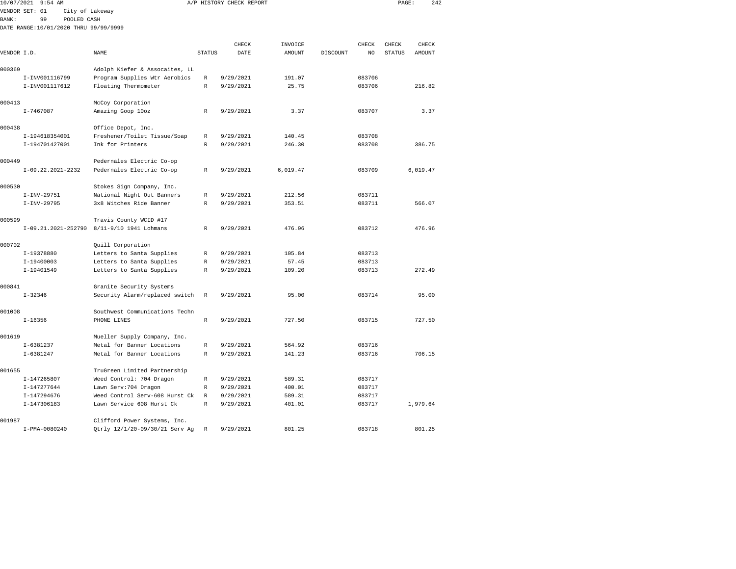| 10/07/2021    | $9:54$ AM                             |                                                       |                  | A/P HISTORY CHECK REPORT |                  |          |                  | PAGE:         | 242           |
|---------------|---------------------------------------|-------------------------------------------------------|------------------|--------------------------|------------------|----------|------------------|---------------|---------------|
|               | VENDOR SET: 01<br>City of Lakeway     |                                                       |                  |                          |                  |          |                  |               |               |
| <b>BANK :</b> | 99<br>POOLED CASH                     |                                                       |                  |                          |                  |          |                  |               |               |
|               | DATE RANGE:10/01/2020 THRU 99/99/9999 |                                                       |                  |                          |                  |          |                  |               |               |
|               |                                       |                                                       |                  | CHECK                    | INVOICE          |          | CHECK            | CHECK         | CHECK         |
| VENDOR I.D.   |                                       | NAME                                                  | <b>STATUS</b>    | DATE                     | AMOUNT           | DISCOUNT | NO               | <b>STATUS</b> | <b>AMOUNT</b> |
|               |                                       |                                                       |                  |                          |                  |          |                  |               |               |
| 000369        |                                       | Adolph Kiefer & Assocaites, LL                        |                  |                          |                  |          |                  |               |               |
|               | I-INV001116799                        | Program Supplies Wtr Aerobics                         | R                | 9/29/2021                | 191.07           |          | 083706           |               |               |
|               | I-INV001117612                        | Floating Thermometer                                  | R                | 9/29/2021                | 25.75            |          | 083706           |               | 216.82        |
|               |                                       |                                                       |                  |                          |                  |          |                  |               |               |
| 000413        |                                       | McCoy Corporation                                     |                  |                          |                  |          |                  |               |               |
|               | $I - 7467087$                         | Amazing Goop 10oz                                     | R                | 9/29/2021                | 3.37             |          | 083707           |               | 3.37          |
| 000438        |                                       | Office Depot, Inc.                                    |                  |                          |                  |          |                  |               |               |
|               | I-194618354001                        | Freshener/Toilet Tissue/Soap                          | R                | 9/29/2021                | 140.45           |          | 083708           |               |               |
|               | I-194701427001                        | Ink for Printers                                      | R                | 9/29/2021                | 246.30           |          | 083708           |               | 386.75        |
|               |                                       |                                                       |                  |                          |                  |          |                  |               |               |
| 000449        |                                       | Pedernales Electric Co-op                             |                  |                          |                  |          |                  |               |               |
|               | I-09.22.2021-2232                     | Pedernales Electric Co-op                             | R                | 9/29/2021                | 6,019.47         |          | 083709           |               | 6,019.47      |
|               |                                       |                                                       |                  |                          |                  |          |                  |               |               |
| 000530        |                                       | Stokes Sign Company, Inc.                             |                  |                          |                  |          |                  |               |               |
|               | I-INV-29751<br>$I-INV-29795$          | National Night Out Banners<br>3x8 Witches Ride Banner | R<br>$\mathbb R$ | 9/29/2021<br>9/29/2021   | 212.56<br>353.51 |          | 083711<br>083711 |               | 566.07        |
|               |                                       |                                                       |                  |                          |                  |          |                  |               |               |
| 000599        |                                       | Travis County WCID #17                                |                  |                          |                  |          |                  |               |               |
|               | I-09.21.2021-252790                   | 8/11-9/10 1941 Lohmans                                | R                | 9/29/2021                | 476.96           |          | 083712           |               | 476.96        |
|               |                                       |                                                       |                  |                          |                  |          |                  |               |               |
| 000702        |                                       | Quill Corporation                                     |                  |                          |                  |          |                  |               |               |
|               | I-19378880                            | Letters to Santa Supplies                             | R                | 9/29/2021                | 105.84           |          | 083713           |               |               |
|               | I-19400003                            | Letters to Santa Supplies                             | R                | 9/29/2021                | 57.45            |          | 083713           |               |               |
|               | I-19401549                            | Letters to Santa Supplies                             | R                | 9/29/2021                | 109.20           |          | 083713           |               | 272.49        |
| 000841        |                                       | Granite Security Systems                              |                  |                          |                  |          |                  |               |               |
|               | $I - 32346$                           | Security Alarm/replaced switch                        | R                | 9/29/2021                | 95.00            |          | 083714           |               | 95.00         |
|               |                                       |                                                       |                  |                          |                  |          |                  |               |               |
| 001008        |                                       | Southwest Communications Techn                        |                  |                          |                  |          |                  |               |               |
|               | $I - 16356$                           | PHONE LINES                                           | $\mathbb R$      | 9/29/2021                | 727.50           |          | 083715           |               | 727.50        |
|               |                                       |                                                       |                  |                          |                  |          |                  |               |               |
| 001619        |                                       | Mueller Supply Company, Inc.                          |                  |                          |                  |          |                  |               |               |
|               | $I-6381237$                           | Metal for Banner Locations                            | R                | 9/29/2021                | 564.92           |          | 083716           |               |               |
|               | $I-6381247$                           | Metal for Banner Locations                            | R                | 9/29/2021                | 141.23           |          | 083716           |               | 706.15        |
| 001655        |                                       | TruGreen Limited Partnership                          |                  |                          |                  |          |                  |               |               |
|               | I-147265807                           | Weed Control: 704 Dragon                              | $\mathbb{R}$     | 9/29/2021                | 589.31           |          | 083717           |               |               |
|               | I-147277644                           | Lawn Serv: 704 Dragon                                 | $\mathbb R$      | 9/29/2021                | 400.01           |          | 083717           |               |               |
|               | I-147294676                           | Weed Control Serv-608 Hurst Ck                        | $\mathbb R$      | 9/29/2021                | 589.31           |          | 083717           |               |               |
|               | I-147306183                           | Lawn Service 608 Hurst Ck                             | $\mathbb R$      | 9/29/2021                | 401.01           |          | 083717           |               | 1,979.64      |
|               |                                       |                                                       |                  |                          |                  |          |                  |               |               |
| 001987        |                                       | Clifford Power Systems, Inc.                          |                  |                          |                  |          |                  |               |               |

I-PMA-0080240 Qtrly 12/1/20-09/30/21 Serv Ag R 9/29/2021 801.25 083718 801.25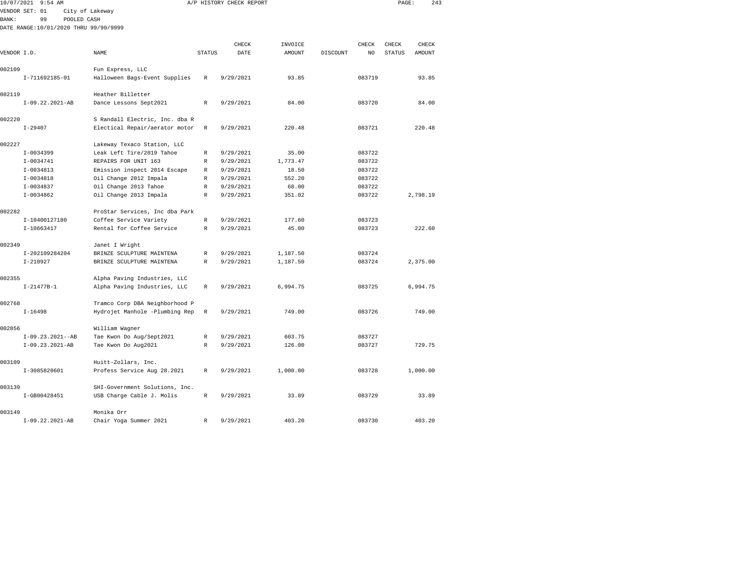|             | 10/07/2021 9:54 AM                    |                                                   |               | A/P HISTORY CHECK REPORT |          |          |        | PAGE:         | 243      |  |
|-------------|---------------------------------------|---------------------------------------------------|---------------|--------------------------|----------|----------|--------|---------------|----------|--|
|             | VENDOR SET: 01                        | City of Lakeway                                   |               |                          |          |          |        |               |          |  |
| BANK:       | 99<br>POOLED CASH                     |                                                   |               |                          |          |          |        |               |          |  |
|             | DATE RANGE:10/01/2020 THRU 99/99/9999 |                                                   |               |                          |          |          |        |               |          |  |
|             |                                       |                                                   |               |                          |          |          |        |               |          |  |
|             |                                       |                                                   |               | CHECK                    | INVOICE  |          | CHECK  | CHECK         | CHECK    |  |
| VENDOR I.D. |                                       | NAME                                              | <b>STATUS</b> | DATE                     | AMOUNT   | DISCOUNT | NO     | <b>STATUS</b> | AMOUNT   |  |
| 002109      |                                       |                                                   |               |                          |          |          |        |               |          |  |
|             |                                       | Fun Express, LLC<br>Halloween Bags-Event Supplies | R             |                          | 93.85    |          | 083719 |               | 93.85    |  |
|             | I-711692185-01                        |                                                   |               | 9/29/2021                |          |          |        |               |          |  |
| 002119      |                                       | Heather Billetter                                 |               |                          |          |          |        |               |          |  |
|             | $I-09.22.2021-AB$                     | Dance Lessons Sept2021                            | R             | 9/29/2021                | 84.00    |          | 083720 |               | 84.00    |  |
|             |                                       |                                                   |               |                          |          |          |        |               |          |  |
| 002220      |                                       | S Randall Electric, Inc. dba R                    |               |                          |          |          |        |               |          |  |
|             | $I - 29407$                           | Electical Repair/aerator motor                    | R             | 9/29/2021                | 220.48   |          | 083721 |               | 220.48   |  |
|             |                                       |                                                   |               |                          |          |          |        |               |          |  |
| 002227      |                                       | Lakeway Texaco Station, LLC                       |               |                          |          |          |        |               |          |  |
|             | $I-0034399$                           | Leak Left Tire/2019 Tahoe                         | R             | 9/29/2021                | 35.00    |          | 083722 |               |          |  |
|             | $I-0034741$                           | REPAIRS FOR UNIT 163                              | R             | 9/29/2021                | 1,773.47 |          | 083722 |               |          |  |
|             | $I-0034813$                           | Emission inspect 2014 Escape                      | R             | 9/29/2021                | 18.50    |          | 083722 |               |          |  |
|             | $I-0034818$                           | Oil Change 2012 Impala                            | R             | 9/29/2021                | 552.20   |          | 083722 |               |          |  |
|             | $I-0034837$                           | Oil Change 2013 Tahoe                             | R             | 9/29/2021                | 68.00    |          | 083722 |               |          |  |
|             | $I-0034862$                           | Oil Change 2013 Impala                            | R             | 9/29/2021                | 351.02   |          | 083722 |               | 2,798.19 |  |
|             |                                       |                                                   |               |                          |          |          |        |               |          |  |
| 002282      |                                       | ProStar Services, Inc dba Park                    |               |                          |          |          |        |               |          |  |
|             | I-10400127180                         | Coffee Service Variety                            | $\mathbb R$   | 9/29/2021                | 177.60   |          | 083723 |               |          |  |
|             | $I-10663417$                          | Rental for Coffee Service                         | $\mathbb{R}$  | 9/29/2021                | 45.00    |          | 083723 |               | 222.60   |  |
| 002349      |                                       | Janet I Wright                                    |               |                          |          |          |        |               |          |  |
|             | I-202109284204                        | BRINZE SCULPTURE MAINTENA                         | R             | 9/29/2021                | 1,187.50 |          | 083724 |               |          |  |
|             | $I-210927$                            | BRINZE SCULPTURE MAINTENA                         | $\mathbb{R}$  | 9/29/2021                | 1,187.50 |          | 083724 |               | 2,375.00 |  |
|             |                                       |                                                   |               |                          |          |          |        |               |          |  |
| 002355      |                                       | Alpha Paving Industries, LLC                      |               |                          |          |          |        |               |          |  |
|             | $I-21477B-1$                          | Alpha Paving Industries, LLC                      | R             | 9/29/2021                | 6,994.75 |          | 083725 |               | 6,994.75 |  |
|             |                                       |                                                   |               |                          |          |          |        |               |          |  |
| 002768      |                                       | Tramco Corp DBA Neighborhood P                    |               |                          |          |          |        |               |          |  |
|             | $I-16498$                             | Hydrojet Manhole -Plumbing Rep                    | $\mathbb R$   | 9/29/2021                | 749.00   |          | 083726 |               | 749.00   |  |
|             |                                       |                                                   |               |                          |          |          |        |               |          |  |
| 002856      |                                       | William Wagner                                    |               |                          |          |          |        |               |          |  |
|             | $I-09.23.2021--AB$                    | Tae Kwon Do Aug/Sept2021                          | R             | 9/29/2021                | 603.75   |          | 083727 |               |          |  |
|             | $I-09.23.2021-AB$                     | Tae Kwon Do Aug2021                               | R             | 9/29/2021                | 126.00   |          | 083727 |               | 729.75   |  |
|             |                                       |                                                   |               |                          |          |          |        |               |          |  |
| 003109      |                                       | Huitt-Zollars, Inc.                               |               |                          |          |          |        |               |          |  |
|             | I-3085820601                          | Profess Service Aug 28.2021                       | R             | 9/29/2021                | 1,000.00 |          | 083728 |               | 1,000.00 |  |
|             |                                       |                                                   |               |                          |          |          |        |               |          |  |
| 003139      |                                       | SHI-Government Solutions, Inc.                    |               |                          |          |          |        |               |          |  |
|             | I-GB00428451                          | USB Charge Cable J. Molis                         | R             | 9/29/2021                | 33.89    |          | 083729 |               | 33.89    |  |
|             |                                       |                                                   |               |                          |          |          |        |               |          |  |

I-09.22.2021-AB Chair Yoga Summer 2021 R 9/29/2021 403.20 083730 403.20

003149 Monika Orr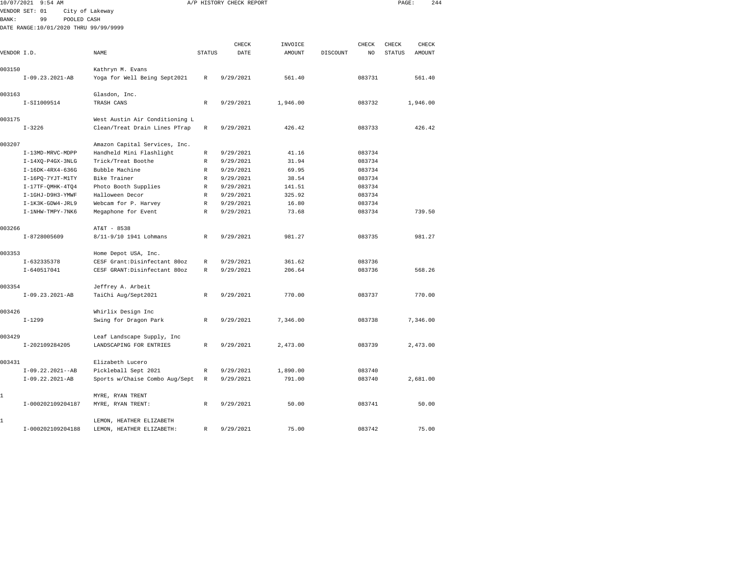|              | 10/07/2021 9:54 AM                    |                                |               | A/P HISTORY CHECK REPORT |          |          |        | PAGE:         | 244      |  |
|--------------|---------------------------------------|--------------------------------|---------------|--------------------------|----------|----------|--------|---------------|----------|--|
|              | VENDOR SET: 01                        | City of Lakeway                |               |                          |          |          |        |               |          |  |
| <b>BANK:</b> | 99<br>POOLED CASH                     |                                |               |                          |          |          |        |               |          |  |
|              | DATE RANGE:10/01/2020 THRU 99/99/9999 |                                |               |                          |          |          |        |               |          |  |
|              |                                       |                                |               |                          |          |          |        |               |          |  |
|              |                                       |                                |               | CHECK                    | INVOICE  |          | CHECK  | CHECK         | CHECK    |  |
| VENDOR I.D.  |                                       | NAME                           | <b>STATUS</b> | DATE                     | AMOUNT   | DISCOUNT | NO     | <b>STATUS</b> | AMOUNT   |  |
| 003150       |                                       | Kathryn M. Evans               |               |                          |          |          |        |               |          |  |
|              | $I-09.23.2021-AB$                     | Yoga for Well Being Sept2021   | R             | 9/29/2021                | 561.40   |          | 083731 |               | 561.40   |  |
| 003163       |                                       | Glasdon, Inc.                  |               |                          |          |          |        |               |          |  |
|              | I-SI1009514                           | TRASH CANS                     | R             | 9/29/2021                | 1,946.00 |          | 083732 |               | 1,946.00 |  |
| 003175       |                                       | West Austin Air Conditioning L |               |                          |          |          |        |               |          |  |
|              | $I - 3226$                            | Clean/Treat Drain Lines PTrap  | $\,$ R        | 9/29/2021                | 426.42   |          | 083733 |               | 426.42   |  |
| 003207       |                                       | Amazon Capital Services, Inc.  |               |                          |          |          |        |               |          |  |
|              | I-13MD-MRVC-MDPP                      | Handheld Mini Flashlight       | R             | 9/29/2021                | 41.16    |          | 083734 |               |          |  |
|              | $I-14XQ-P4GX-3NLG$                    | Trick/Treat Boothe             | R             | 9/29/2021                | 31.94    |          | 083734 |               |          |  |
|              | $I-16DK-4RX4-636G$                    | Bubble Machine                 | R             | 9/29/2021                | 69.95    |          | 083734 |               |          |  |
|              | I-16PQ-7YJT-M1TY                      | Bike Trainer                   | R             | 9/29/2021                | 38.54    |          | 083734 |               |          |  |
|              | $I-17TF-QMHK-4TQ4$                    | Photo Booth Supplies           | R             | 9/29/2021                | 141.51   |          | 083734 |               |          |  |
|              | I-1GHJ-D9H3-YMWF                      | Halloween Decor                | R             | 9/29/2021                | 325.92   |          | 083734 |               |          |  |
|              | I-1K3K-GDW4-JRL9                      | Webcam for P. Harvey           | R             | 9/29/2021                | 16.80    |          | 083734 |               |          |  |
|              | I-1NHW-TMPY-7NK6                      | Megaphone for Event            | R             | 9/29/2021                | 73.68    |          | 083734 |               | 739.50   |  |
| 003266       |                                       | AT&T - 8538                    |               |                          |          |          |        |               |          |  |
|              | I-8728005609                          | 8/11-9/10 1941 Lohmans         | R             | 9/29/2021                | 981.27   |          | 083735 |               | 981.27   |  |
| 003353       |                                       | Home Depot USA, Inc.           |               |                          |          |          |        |               |          |  |
|              | I-632335378                           | CESF Grant:Disinfectant 80oz   | R             | 9/29/2021                | 361.62   |          | 083736 |               |          |  |
|              | I-640517041                           | CESF GRANT:Disinfectant 80oz   | R             | 9/29/2021                | 206.64   |          | 083736 |               | 568.26   |  |
|              |                                       |                                |               |                          |          |          |        |               |          |  |
| 003354       |                                       | Jeffrey A. Arbeit              |               |                          |          |          |        |               |          |  |
|              | I-09.23.2021-AB                       | TaiChi Aug/Sept2021            | $\mathbb{R}$  | 9/29/2021                | 770.00   |          | 083737 |               | 770.00   |  |
| 003426       |                                       | Whirlix Design Inc             |               |                          |          |          |        |               |          |  |
|              | $I - 1299$                            | Swing for Dragon Park          | R             | 9/29/2021                | 7,346.00 |          | 083738 |               | 7,346.00 |  |
| 003429       |                                       | Leaf Landscape Supply, Inc     |               |                          |          |          |        |               |          |  |
|              | I-202109284205                        | LANDSCAPING FOR ENTRIES        | R             | 9/29/2021                | 2,473.00 |          | 083739 |               | 2,473.00 |  |
| 003431       |                                       | Elizabeth Lucero               |               |                          |          |          |        |               |          |  |
|              | $I-09.22.2021--AB$                    | Pickleball Sept 2021           | R             | 9/29/2021                | 1,890.00 |          | 083740 |               |          |  |
|              | I-09.22.2021-AB                       | Sports w/Chaise Combo Aug/Sept | R             | 9/29/2021                | 791.00   |          | 083740 |               | 2,681.00 |  |
| 1            |                                       | MYRE, RYAN TRENT               |               |                          |          |          |        |               |          |  |
|              | I-000202109204187                     | MYRE, RYAN TRENT:              | $\mathbb R$   | 9/29/2021                | 50.00    |          | 083741 |               | 50.00    |  |
| 1            |                                       | LEMON, HEATHER ELIZABETH       |               |                          |          |          |        |               |          |  |
|              | I-000202109204188                     | LEMON, HEATHER ELIZABETH:      | R             | 9/29/2021                | 75.00    |          | 083742 |               | 75.00    |  |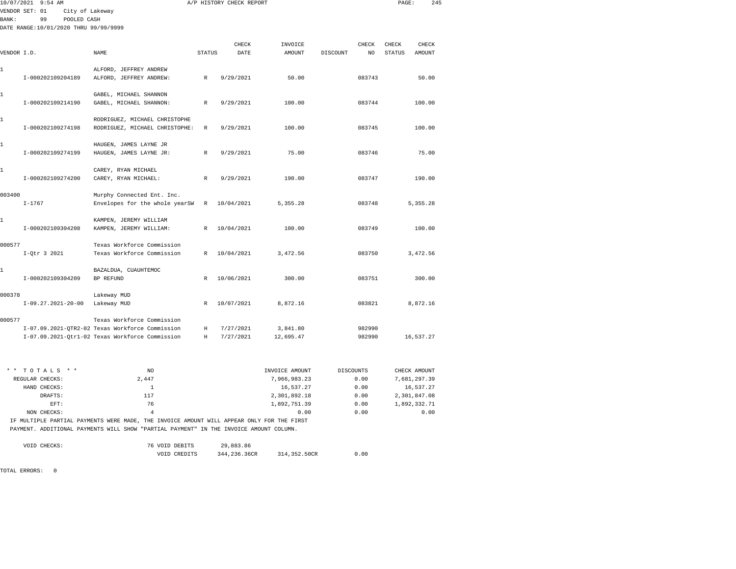|             | 10/07/2021 9:54 AM                                     |                                                                 |               | A/P HISTORY CHECK REPORT |           |          |        | PAGE:         | 245       |  |
|-------------|--------------------------------------------------------|-----------------------------------------------------------------|---------------|--------------------------|-----------|----------|--------|---------------|-----------|--|
| BANK :      | VENDOR SET: 01<br>City of Lakeway<br>99<br>POOLED CASH |                                                                 |               |                          |           |          |        |               |           |  |
|             | DATE RANGE:10/01/2020 THRU 99/99/9999                  |                                                                 |               |                          |           |          |        |               |           |  |
|             |                                                        |                                                                 |               | CHECK                    | INVOICE   |          | CHECK  | CHECK         | CHECK     |  |
| VENDOR I.D. |                                                        | <b>NAME</b>                                                     | <b>STATUS</b> | DATE                     | AMOUNT    | DISCOUNT | NO     | <b>STATUS</b> | AMOUNT    |  |
| 1           | I-000202109204189                                      | ALFORD, JEFFREY ANDREW<br>ALFORD, JEFFREY ANDREW:               | $\mathbb{R}$  | 9/29/2021                | 50.00     |          | 083743 |               | 50.00     |  |
| 1           | I-000202109214190                                      | GABEL, MICHAEL SHANNON<br>GABEL, MICHAEL SHANNON:               | $\mathbb{R}$  | 9/29/2021                | 100.00    |          | 083744 |               | 100.00    |  |
| 1           | I-000202109274198                                      | RODRIGUEZ, MICHAEL CHRISTOPHE<br>RODRIGUEZ, MICHAEL CHRISTOPHE: | R             | 9/29/2021                | 100.00    |          | 083745 |               | 100.00    |  |
| 1           | I-000202109274199                                      | HAUGEN, JAMES LAYNE JR<br>HAUGEN, JAMES LAYNE JR:               | $\mathbb{R}$  | 9/29/2021                | 75.00     |          | 083746 |               | 75.00     |  |
| 1           | I-000202109274200                                      | CAREY, RYAN MICHAEL<br>CAREY, RYAN MICHAEL:                     | $\mathbb{R}$  | 9/29/2021                | 190.00    |          | 083747 |               | 190.00    |  |
| 003400      | $I - 1767$                                             | Murphy Connected Ent. Inc.<br>Envelopes for the whole yearSW    | $\mathbb R$   | 10/04/2021               | 5,355.28  |          | 083748 |               | 5,355.28  |  |
| 1           | I-000202109304208                                      | KAMPEN, JEREMY WILLIAM<br>KAMPEN, JEREMY WILLIAM:               | $\mathbb{R}$  | 10/04/2021               | 100.00    |          | 083749 |               | 100.00    |  |
| 000577      | I-Otr 3 2021                                           | Texas Workforce Commission<br>Texas Workforce Commission        | $\mathbb{R}$  | 10/04/2021               | 3.472.56  |          | 083750 |               | 3,472.56  |  |
| 1           | I-000202109304209                                      | BAZALDUA, CUAUHTEMOC<br><b>BP REFUND</b>                        | $\mathbb{R}$  | 10/06/2021               | 300.00    |          | 083751 |               | 300.00    |  |
| 000378      |                                                        | Lakeway MUD                                                     |               |                          |           |          |        |               |           |  |
|             | $I-09.27.2021-20-00$                                   | Lakeway MUD                                                     | R             | 10/07/2021               | 8.872.16  |          | 083821 |               | 8.872.16  |  |
| 000577      |                                                        | Texas Workforce Commission                                      |               |                          |           |          |        |               |           |  |
|             |                                                        | I-07.09.2021-QTR2-02 Texas Workforce Commission                 | Η             | 7/27/2021                | 3,841.80  |          | 982990 |               |           |  |
|             |                                                        | I-07.09.2021-Qtr1-02 Texas Workforce Commission                 | H             | 7/27/2021                | 12,695.47 |          | 982990 |               | 16,537.27 |  |

| $*$ * TOTALS * * | NO.   | INVOICE AMOUNT | DISCOUNTS | CHECK AMOUNT |
|------------------|-------|----------------|-----------|--------------|
| REGULAR CHECKS:  | 2,447 | 7,966,983.23   | 0.00      | 7,681,297.39 |
| HAND CHECKS:     |       | 16,537.27      | 0.00      | 16,537.27    |
| DRAFTS:          | 117   | 2,301,892.18   | 0.00      | 2,301,847.08 |
| EFT:             | 76    | 1,892,751.39   | 0.00      | 1,892,332.71 |
| NON CHECKS:      |       | 0.00           | 0.00      | 0.00         |

 IF MULTIPLE PARTIAL PAYMENTS WERE MADE, THE INVOICE AMOUNT WILL APPEAR ONLY FOR THE FIRST PAYMENT. ADDITIONAL PAYMENTS WILL SHOW "PARTIAL PAYMENT" IN THE INVOICE AMOUNT COLUMN.

| VOID CHECKS: | 76 VOID DEBITS | 29,883.86    |                |      |
|--------------|----------------|--------------|----------------|------|
|              | VOID CREDITS   | 344,236,36CR | 314, 352, 50CR | 0.00 |

TOTAL ERRORS: 0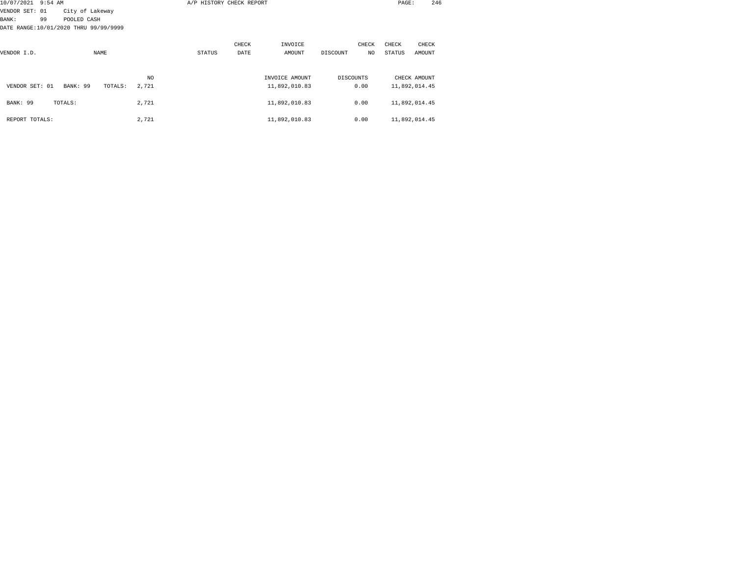| 10/07/2021 9:54 AM                    |    |                 |             |         |       |        | A/P HISTORY CHECK REPORT |                |           |       | PAGE:  | 246           |
|---------------------------------------|----|-----------------|-------------|---------|-------|--------|--------------------------|----------------|-----------|-------|--------|---------------|
| VENDOR SET: 01                        |    | City of Lakeway |             |         |       |        |                          |                |           |       |        |               |
| BANK :                                | 99 | POOLED CASH     |             |         |       |        |                          |                |           |       |        |               |
| DATE RANGE:10/01/2020 THRU 99/99/9999 |    |                 |             |         |       |        |                          |                |           |       |        |               |
|                                       |    |                 |             |         |       |        | CHECK                    | INVOICE        |           | CHECK | CHECK  | CHECK         |
| VENDOR I.D.                           |    |                 | <b>NAME</b> |         |       | STATUS | DATE                     | AMOUNT         | DISCOUNT  | NO.   | STATUS | AMOUNT        |
|                                       |    |                 |             |         |       |        |                          |                |           |       |        |               |
|                                       |    |                 |             |         | NO.   |        |                          | INVOICE AMOUNT | DISCOUNTS |       |        | CHECK AMOUNT  |
| VENDOR SET: 01                        |    | BANK: 99        |             | TOTALS: | 2,721 |        |                          | 11,892,010.83  |           | 0.00  |        | 11,892,014.45 |
| BANK: 99                              |    | TOTALS:         |             |         | 2,721 |        |                          | 11,892,010.83  |           | 0.00  |        | 11,892,014.45 |
| REPORT TOTALS:                        |    |                 |             |         | 2,721 |        |                          | 11,892,010.83  |           | 0.00  |        | 11,892,014.45 |